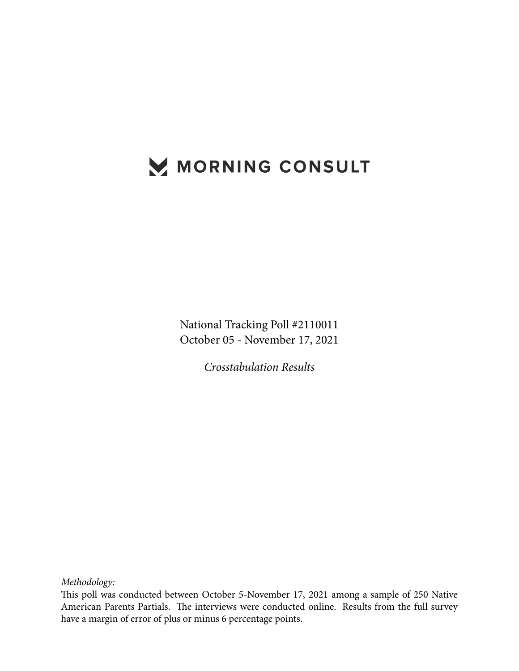# MORNING CONSULT

National Tracking Poll #2110011 October 05 - November 17, 2021

*Crosstabulation Results*

*Methodology:*

This poll was conducted between October 5-November 17, 2021 among a sample of 250 Native American Parents Partials. The interviews were conducted online. Results from the full survey have a margin of error of plus or minus 6 percentage points.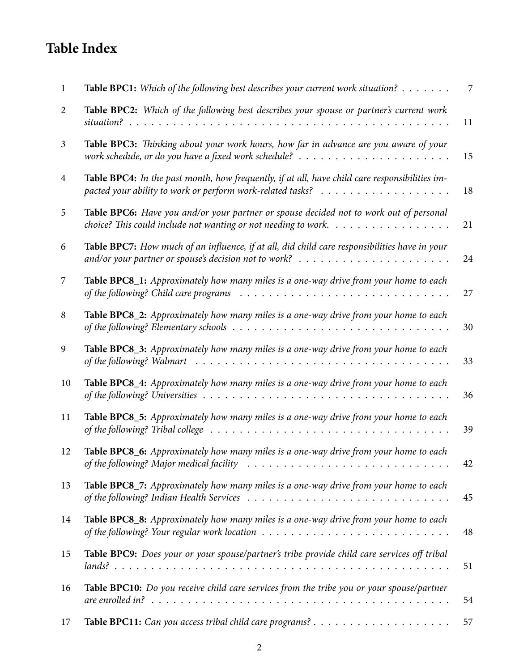## **Table Index**

| 1              | Table BPC1: Which of the following best describes your current work situation?                                                                                                                               | 7  |
|----------------|--------------------------------------------------------------------------------------------------------------------------------------------------------------------------------------------------------------|----|
| 2              | Table BPC2: Which of the following best describes your spouse or partner's current work                                                                                                                      | 11 |
| $\mathfrak{Z}$ | Table BPC3: Thinking about your work hours, how far in advance are you aware of your                                                                                                                         | 15 |
| 4              | Table BPC4: In the past month, how frequently, if at all, have child care responsibilities im-                                                                                                               | 18 |
| 5              | Table BPC6: Have you and/or your partner or spouse decided not to work out of personal<br>choice? This could include not wanting or not needing to work. $\ldots \ldots \ldots \ldots \ldots$                | 21 |
| 6              | Table BPC7: How much of an influence, if at all, did child care responsibilities have in your                                                                                                                | 24 |
| 7              | Table BPC8_1: Approximately how many miles is a one-way drive from your home to each                                                                                                                         | 27 |
| 8              | Table BPC8_2: Approximately how many miles is a one-way drive from your home to each<br>of the following? Elementary schools $\ldots \ldots \ldots \ldots \ldots \ldots \ldots \ldots \ldots \ldots \ldots$  | 30 |
| 9              | Table BPC8_3: Approximately how many miles is a one-way drive from your home to each<br>of the following? Walmart $\ldots \ldots \ldots \ldots \ldots \ldots \ldots \ldots \ldots \ldots \ldots \ldots$      | 33 |
| 10             | Table BPC8_4: Approximately how many miles is a one-way drive from your home to each                                                                                                                         | 36 |
| 11             | Table BPC8_5: Approximately how many miles is a one-way drive from your home to each<br>of the following? Tribal college                                                                                     | 39 |
| 12             | Table BPC8_6: Approximately how many miles is a one-way drive from your home to each                                                                                                                         | 42 |
| 13             | Table BPC8_7: Approximately how many miles is a one-way drive from your home to each<br>of the following? Indian Health Services $\ldots \ldots \ldots \ldots \ldots \ldots \ldots \ldots \ldots \ldots$     | 45 |
| 14             | Table BPC8_8: Approximately how many miles is a one-way drive from your home to each<br>of the following? Your regular work location $\ldots \ldots \ldots \ldots \ldots \ldots \ldots \ldots \ldots \ldots$ | 48 |
| 15             | Table BPC9: Does your or your spouse/partner's tribe provide child care services off tribal                                                                                                                  | 51 |
| 16             | Table BPC10: Do you receive child care services from the tribe you or your spouse/partner                                                                                                                    | 54 |
| 17             |                                                                                                                                                                                                              | 57 |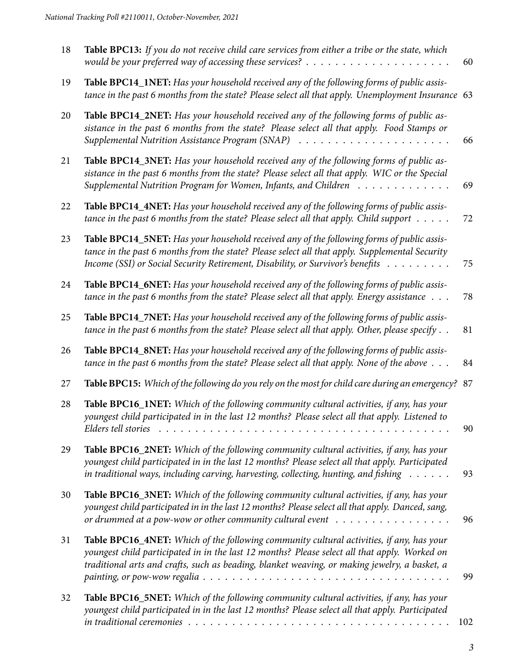| 18 | Table BPC13: If you do not receive child care services from either a tribe or the state, which                                                                                                                                                                                                     | 60  |
|----|----------------------------------------------------------------------------------------------------------------------------------------------------------------------------------------------------------------------------------------------------------------------------------------------------|-----|
| 19 | Table BPC14_1NET: Has your household received any of the following forms of public assis-<br>tance in the past 6 months from the state? Please select all that apply. Unemployment Insurance 63                                                                                                    |     |
| 20 | Table BPC14_2NET: Has your household received any of the following forms of public as-<br>sistance in the past 6 months from the state? Please select all that apply. Food Stamps or                                                                                                               | 66  |
| 21 | Table BPC14_3NET: Has your household received any of the following forms of public as-<br>sistance in the past 6 months from the state? Please select all that apply. WIC or the Special<br>Supplemental Nutrition Program for Women, Infants, and Children                                        | 69  |
| 22 | Table BPC14_4NET: Has your household received any of the following forms of public assis-<br>tance in the past 6 months from the state? Please select all that apply. Child support $\dots$ .                                                                                                      | 72  |
| 23 | Table BPC14_5NET: Has your household received any of the following forms of public assis-<br>tance in the past 6 months from the state? Please select all that apply. Supplemental Security<br>Income (SSI) or Social Security Retirement, Disability, or Survivor's benefits                      | 75  |
| 24 | Table BPC14_6NET: Has your household received any of the following forms of public assis-<br>tance in the past 6 months from the state? Please select all that apply. Energy assistance                                                                                                            | 78  |
| 25 | Table BPC14_7NET: Has your household received any of the following forms of public assis-<br>tance in the past 6 months from the state? Please select all that apply. Other, please specify $\ldots$                                                                                               | 81  |
| 26 | Table BPC14_8NET: Has your household received any of the following forms of public assis-<br>tance in the past 6 months from the state? Please select all that apply. None of the above                                                                                                            | 84  |
| 27 | Table BPC15: Which of the following do you rely on the most for child care during an emergency? 87                                                                                                                                                                                                 |     |
| 28 | Table BPC16_1NET: Which of the following community cultural activities, if any, has your<br>youngest child participated in in the last 12 months? Please select all that apply. Listened to<br>Elders tell stories<br>.                                                                            | 90  |
| 29 | Table BPC16_2NET: Which of the following community cultural activities, if any, has your<br>youngest child participated in in the last 12 months? Please select all that apply. Participated<br>in traditional ways, including carving, harvesting, collecting, hunting, and fishing $\dots \dots$ | 93  |
| 30 | Table BPC16_3NET: Which of the following community cultural activities, if any, has your<br>youngest child participated in in the last 12 months? Please select all that apply. Danced, sang,<br>or drummed at a pow-wow or other community cultural event $\dots \dots \dots \dots \dots \dots$   | 96  |
| 31 | Table BPC16_4NET: Which of the following community cultural activities, if any, has your<br>youngest child participated in in the last 12 months? Please select all that apply. Worked on<br>traditional arts and crafts, such as beading, blanket weaving, or making jewelry, a basket, a         | 99  |
| 32 | Table BPC16_5NET: Which of the following community cultural activities, if any, has your<br>youngest child participated in in the last 12 months? Please select all that apply. Participated                                                                                                       | 102 |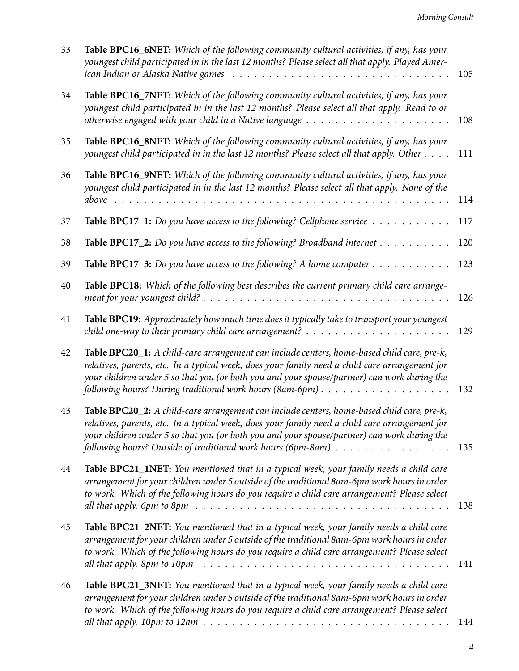| 33 | Table BPC16_6NET: Which of the following community cultural activities, if any, has your<br>youngest child participated in in the last 12 months? Please select all that apply. Played Amer-                                                                                                                                                                                                                               | 105 |
|----|----------------------------------------------------------------------------------------------------------------------------------------------------------------------------------------------------------------------------------------------------------------------------------------------------------------------------------------------------------------------------------------------------------------------------|-----|
| 34 | Table BPC16_7NET: Which of the following community cultural activities, if any, has your<br>youngest child participated in in the last 12 months? Please select all that apply. Read to or<br>otherwise engaged with your child in a Native language $\dots \dots \dots \dots \dots \dots \dots \dots$                                                                                                                     | 108 |
| 35 | Table BPC16_8NET: Which of the following community cultural activities, if any, has your<br>youngest child participated in in the last 12 months? Please select all that apply. Other                                                                                                                                                                                                                                      | 111 |
| 36 | Table BPC16_9NET: Which of the following community cultural activities, if any, has your<br>youngest child participated in in the last 12 months? Please select all that apply. None of the<br>above                                                                                                                                                                                                                       | 114 |
| 37 | <b>Table BPC17_1:</b> Do you have access to the following? Cellphone service $\dots \dots \dots$                                                                                                                                                                                                                                                                                                                           | 117 |
| 38 | <b>Table BPC17_2:</b> Do you have access to the following? Broadband internet                                                                                                                                                                                                                                                                                                                                              | 120 |
| 39 | <b>Table BPC17_3:</b> Do you have access to the following? A home computer $\dots \dots \dots$                                                                                                                                                                                                                                                                                                                             | 123 |
| 40 | Table BPC18: Which of the following best describes the current primary child care arrange-                                                                                                                                                                                                                                                                                                                                 | 126 |
| 41 | Table BPC19: Approximately how much time does it typically take to transport your youngest<br>child one-way to their primary child care arrangement? $\ldots \ldots \ldots \ldots \ldots \ldots \ldots$                                                                                                                                                                                                                    | 129 |
| 42 | Table BPC20_1: A child-care arrangement can include centers, home-based child care, pre-k,<br>relatives, parents, etc. In a typical week, does your family need a child care arrangement for<br>your children under 5 so that you (or both you and your spouse/partner) can work during the<br>following hours? During traditional work hours (8am-6pm)                                                                    | 132 |
| 43 | Table BPC20_2: A child-care arrangement can include centers, home-based child care, pre-k,<br>relatives, parents, etc. In a typical week, does your family need a child care arrangement for<br>your children under 5 so that you (or both you and your spouse/partner) can work during the<br>following hours? Outside of traditional work hours (6pm-8am)                                                                | 135 |
| 44 | Table BPC21_1NET: You mentioned that in a typical week, your family needs a child care<br>arrangement for your children under 5 outside of the traditional 8am-6pm work hours in order<br>to work. Which of the following hours do you require a child care arrangement? Please select<br>all that apply. 6pm to 8pm $\ldots \ldots \ldots \ldots \ldots \ldots \ldots \ldots \ldots \ldots \ldots \ldots \ldots$          | 138 |
| 45 | <b>Table BPC21_2NET:</b> You mentioned that in a typical week, your family needs a child care<br>arrangement for your children under 5 outside of the traditional 8am-6pm work hours in order<br>to work. Which of the following hours do you require a child care arrangement? Please select<br>all that apply. 8pm to 10pm $\ldots \ldots \ldots \ldots \ldots \ldots \ldots \ldots \ldots \ldots \ldots \ldots \ldots$  | 141 |
| 46 | <b>Table BPC21_3NET:</b> You mentioned that in a typical week, your family needs a child care<br>arrangement for your children under 5 outside of the traditional 8am-6pm work hours in order<br>to work. Which of the following hours do you require a child care arrangement? Please select<br>all that apply. 10pm to 12am $\ldots \ldots \ldots \ldots \ldots \ldots \ldots \ldots \ldots \ldots \ldots \ldots \ldots$ | 144 |
|    |                                                                                                                                                                                                                                                                                                                                                                                                                            |     |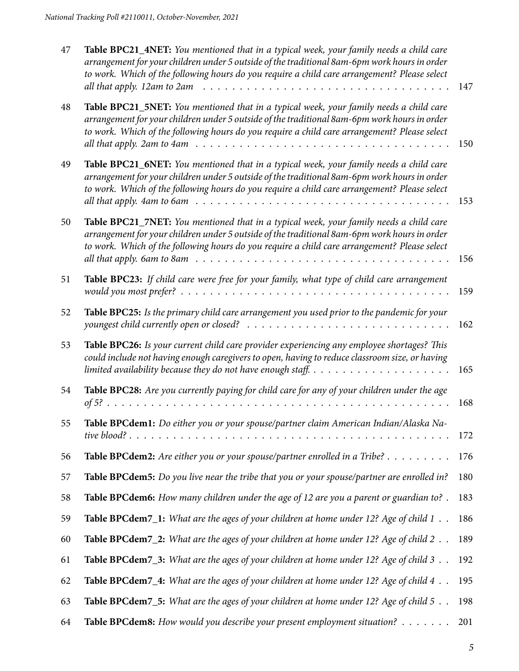| 47 | Table BPC21_4NET: You mentioned that in a typical week, your family needs a child care<br>arrangement for your children under 5 outside of the traditional 8am-6pm work hours in order<br>to work. Which of the following hours do you require a child care arrangement? Please select<br>all that apply. 12am to 2am                                                                                             | 147 |
|----|-------------------------------------------------------------------------------------------------------------------------------------------------------------------------------------------------------------------------------------------------------------------------------------------------------------------------------------------------------------------------------------------------------------------|-----|
| 48 | Table BPC21_5NET: You mentioned that in a typical week, your family needs a child care<br>arrangement for your children under 5 outside of the traditional 8am-6pm work hours in order<br>to work. Which of the following hours do you require a child care arrangement? Please select<br>all that apply. 2am to 4am $\ldots \ldots \ldots \ldots \ldots \ldots \ldots \ldots \ldots \ldots \ldots \ldots \ldots$ | 150 |
| 49 | Table BPC21_6NET: You mentioned that in a typical week, your family needs a child care<br>arrangement for your children under 5 outside of the traditional 8am-6pm work hours in order<br>to work. Which of the following hours do you require a child care arrangement? Please select                                                                                                                            | 153 |
| 50 | Table BPC21_7NET: You mentioned that in a typical week, your family needs a child care<br>arrangement for your children under 5 outside of the traditional 8am-6pm work hours in order<br>to work. Which of the following hours do you require a child care arrangement? Please select<br>all that apply. 6am to 8am $\ldots \ldots \ldots \ldots \ldots \ldots \ldots \ldots \ldots \ldots \ldots \ldots \ldots$ | 156 |
| 51 | Table BPC23: If child care were free for your family, what type of child care arrangement                                                                                                                                                                                                                                                                                                                         | 159 |
| 52 | Table BPC25: Is the primary child care arrangement you used prior to the pandemic for your                                                                                                                                                                                                                                                                                                                        | 162 |
| 53 | Table BPC26: Is your current child care provider experiencing any employee shortages? This<br>could include not having enough caregivers to open, having to reduce classroom size, or having<br>limited availability because they do not have enough staff. $\dots \dots \dots \dots \dots \dots \dots$                                                                                                           | 165 |
| 54 | Table BPC28: Are you currently paying for child care for any of your children under the age                                                                                                                                                                                                                                                                                                                       | 168 |
| 55 | Table BPCdem1: Do either you or your spouse/partner claim American Indian/Alaska Na-<br>tive blood?                                                                                                                                                                                                                                                                                                               | 172 |
| 56 | <b>Table BPCdem2:</b> Are either you or your spouse/partner enrolled in a Tribe? $\dots \dots \dots$                                                                                                                                                                                                                                                                                                              | 176 |
| 57 | Table BPCdem5: Do you live near the tribe that you or your spouse/partner are enrolled in?                                                                                                                                                                                                                                                                                                                        | 180 |
| 58 | Table BPCdem6: How many children under the age of 12 are you a parent or guardian to?.                                                                                                                                                                                                                                                                                                                            | 183 |
| 59 | <b>Table BPCdem7_1:</b> What are the ages of your children at home under 12? Age of child $1 \ldots$                                                                                                                                                                                                                                                                                                              | 186 |
| 60 | <b>Table BPCdem7_2:</b> What are the ages of your children at home under 12? Age of child 2                                                                                                                                                                                                                                                                                                                       | 189 |
| 61 | <b>Table BPCdem7_3:</b> What are the ages of your children at home under 12? Age of child 3 $\ldots$                                                                                                                                                                                                                                                                                                              | 192 |
| 62 | Table BPCdem7_4: What are the ages of your children at home under 12? Age of child 4                                                                                                                                                                                                                                                                                                                              | 195 |
| 63 | Table BPCdem7_5: What are the ages of your children at home under 12? Age of child 5                                                                                                                                                                                                                                                                                                                              | 198 |
| 64 | Table BPCdem8: How would you describe your present employment situation?                                                                                                                                                                                                                                                                                                                                          | 201 |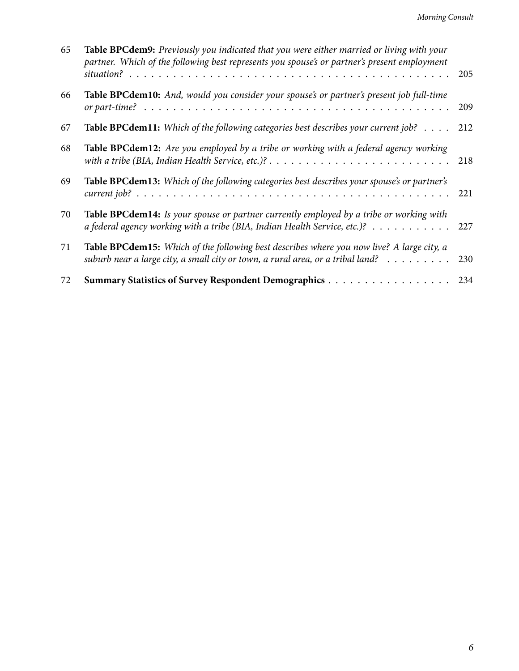| 65 | Table BPCdem9: Previously you indicated that you were either married or living with your<br>partner. Which of the following best represents you spouse's or partner's present employment         | 205 |
|----|--------------------------------------------------------------------------------------------------------------------------------------------------------------------------------------------------|-----|
| 66 | Table BPCdem10: And, would you consider your spouse's or partner's present job full-time                                                                                                         | 209 |
| 67 | <b>Table BPCdem11:</b> Which of the following categories best describes your current job? 212                                                                                                    |     |
| 68 | Table BPCdem12: Are you employed by a tribe or working with a federal agency working                                                                                                             | 218 |
| 69 | Table BPCdem13: Which of the following categories best describes your spouse's or partner's                                                                                                      | 221 |
| 70 | Table BPCdem14: Is your spouse or partner currently employed by a tribe or working with<br>a federal agency working with a tribe (BIA, Indian Health Service, etc.)? 227                         |     |
| 71 | Table BPCdem15: Which of the following best describes where you now live? A large city, a<br>suburb near a large city, a small city or town, a rural area, or a tribal land? $\dots \dots \dots$ | 230 |
| 72 |                                                                                                                                                                                                  | 234 |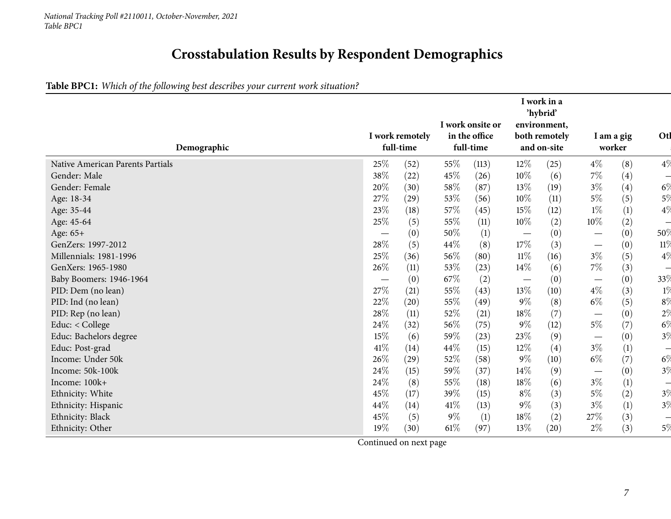## **Crosstabulation Results by Respondent Demographics**

## Table BPC1: Which of the following best describes your current work situation?

<span id="page-6-0"></span>

| Demographic                      |                                 | I work remotely<br>full-time |        | I work onsite or<br>in the office<br>full-time |                                 | I work in a<br>'hybrid'<br>environment,<br>both remotely<br>and on-site |                                 | I am a gig<br>worker | Otl                      |
|----------------------------------|---------------------------------|------------------------------|--------|------------------------------------------------|---------------------------------|-------------------------------------------------------------------------|---------------------------------|----------------------|--------------------------|
| Native American Parents Partials | 25%                             | (52)                         | 55\%   | (113)                                          | $12\%$                          | (25)                                                                    | $4\%$                           | (8)                  | 4%                       |
| Gender: Male                     | 38\%                            | (22)                         | 45\%   | (26)                                           | $10\%$                          | (6)                                                                     | $7\%$                           | (4)                  | $\overline{\phantom{0}}$ |
| Gender: Female                   | 20%                             | (30)                         | 58%    | (87)                                           | 13\%                            | (19)                                                                    | $3\%$                           | (4)                  | $6\%$                    |
| Age: 18-34                       | 27%                             | (29)                         | 53%    | (56)                                           | 10%                             | (11)                                                                    | $5\%$                           | (5)                  | 5%                       |
| Age: 35-44                       | 23%                             | (18)                         | 57\%   | (45)                                           | 15%                             | (12)                                                                    | $1\%$                           | $(1)$                | 4%                       |
| Age: 45-64                       | 25%                             | (5)                          | 55\%   | (11)                                           | $10\%$                          | (2)                                                                     | $10\%$                          | (2)                  | $\overline{\phantom{0}}$ |
| Age: 65+                         | $\hspace{0.1mm}-\hspace{0.1mm}$ | (0)                          | 50\%   | $\left(1\right)$                               | $\hspace{0.1mm}-\hspace{0.1mm}$ | (0)                                                                     |                                 | (0)                  | 50%                      |
| GenZers: 1997-2012               | 28%                             | (5)                          | 44\%   | (8)                                            | 17%                             | (3)                                                                     | $\hspace{0.1mm}-\hspace{0.1mm}$ | (0)                  | 11\%                     |
| Millennials: 1981-1996           | 25%                             | (36)                         | 56\%   | (80)                                           | 11%                             | (16)                                                                    | $3\%$                           | (5)                  | 4%                       |
| GenXers: 1965-1980               | 26%                             | (11)                         | 53%    | (23)                                           | $14\%$                          | (6)                                                                     | $7\%$                           | (3)                  | $\overline{\phantom{0}}$ |
| Baby Boomers: 1946-1964          |                                 | (0)                          | 67\%   | (2)                                            | $\hspace{0.1mm}-\hspace{0.1mm}$ | (0)                                                                     | $\hspace{0.05cm}$               | (0)                  | 33 <sup>0</sup>          |
| PID: Dem (no lean)               | 27\%                            | (21)                         | 55%    | (43)                                           | 13\%                            | (10)                                                                    | $4\%$                           | (3)                  | $1\%$                    |
| PID: Ind (no lean)               | 22%                             | (20)                         | 55%    | (49)                                           | $9\%$                           | (8)                                                                     | $6\%$                           | (5)                  | $8\%$                    |
| PID: Rep (no lean)               | $28\%$                          | (11)                         | 52\%   | (21)                                           | 18%                             | (7)                                                                     |                                 | (0)                  | 2%                       |
| Educ: < College                  | 24%                             | (32)                         | 56\%   | (75)                                           | $9\%$                           | (12)                                                                    | $5\%$                           | (7)                  | $6\%$                    |
| Educ: Bachelors degree           | $15\%$                          | (6)                          | 59%    | (23)                                           | 23%                             | (9)                                                                     |                                 | (0)                  | 3%                       |
| Educ: Post-grad                  | 41%                             | (14)                         | 44\%   | (15)                                           | 12%                             | (4)                                                                     | $3\%$                           | (1)                  | $\overline{\phantom{0}}$ |
| Income: Under 50k                | 26\%                            | (29)                         | 52\%   | (58)                                           | $9\%$                           | (10)                                                                    | $6\%$                           | (7)                  | $6\%$                    |
| Income: 50k-100k                 | 24\%                            | (15)                         | 59%    | (37)                                           | 14%                             | (9)                                                                     |                                 | (0)                  | 3%                       |
| Income: 100k+                    | 24%                             | (8)                          | 55%    | (18)                                           | 18%                             | (6)                                                                     | $3\%$                           | $\left(1\right)$     | $\overline{\phantom{0}}$ |
| Ethnicity: White                 | 45%                             | (17)                         | 39%    | (15)                                           | $8\%$                           | (3)                                                                     | $5\%$                           | (2)                  | $3\%$                    |
| Ethnicity: Hispanic              | 44%                             | (14)                         | $41\%$ | (13)                                           | $9\%$                           | (3)                                                                     | $3\%$                           | (1)                  | 3%                       |
| Ethnicity: Black                 | 45%                             | (5)                          | $9\%$  | (1)                                            | 18%                             | (2)                                                                     | $27\%$                          | (3)                  |                          |
| Ethnicity: Other                 | 19%                             | (30)                         | $61\%$ | (97)                                           | 13%                             | (20)                                                                    | $2\%$                           | (3)                  | $5\%$                    |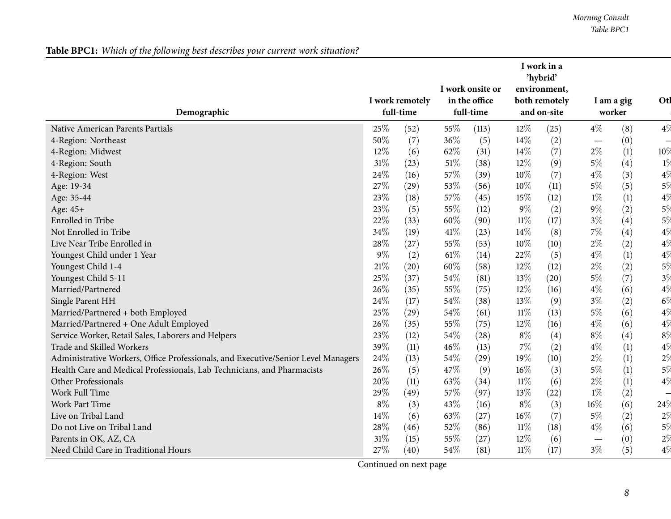## Table BPC1: Which of the following best describes your current work situation?

|                                                                                   |                              |      |                            | I work onsite or |                              | I work in a<br>'hybrid'<br>environment, |                          |                      |                          |
|-----------------------------------------------------------------------------------|------------------------------|------|----------------------------|------------------|------------------------------|-----------------------------------------|--------------------------|----------------------|--------------------------|
| Demographic                                                                       | I work remotely<br>full-time |      | in the office<br>full-time |                  | both remotely<br>and on-site |                                         |                          | I am a gig<br>worker |                          |
| Native American Parents Partials                                                  | 25%                          | (52) | 55%                        | (113)            | $12\%$                       | (25)                                    | $4\%$                    | (8)                  | $4\%$                    |
| 4-Region: Northeast                                                               | 50%                          | (7)  | 36%                        | (5)              | 14%                          | (2)                                     | $\overline{\phantom{m}}$ | (0)                  | $\overline{\phantom{0}}$ |
| 4-Region: Midwest                                                                 | 12%                          | (6)  | 62%                        | (31)             | 14%                          | (7)                                     | $2\%$                    | (1)                  | 10%                      |
| 4-Region: South                                                                   | 31%                          | (23) | $51\%$                     | (38)             | 12%                          | (9)                                     | $5\%$                    | (4)                  | $1\%$                    |
| 4-Region: West                                                                    | 24%                          | (16) | 57%                        | (39)             | 10%                          | (7)                                     | $4\%$                    | (3)                  | $4\%$                    |
| Age: 19-34                                                                        | 27%                          | (29) | 53%                        | (56)             | 10%                          | (11)                                    | $5\%$                    | (5)                  | 5%                       |
| Age: 35-44                                                                        | 23%                          | (18) | 57%                        | (45)             | 15%                          | (12)                                    | $1\%$                    | (1)                  | 4%                       |
| Age: 45+                                                                          | 23%                          | (5)  | 55%                        | (12)             | $9\%$                        | (2)                                     | $9\%$                    | (2)                  | $5\%$                    |
| <b>Enrolled</b> in Tribe                                                          | 22%                          | (33) | 60%                        | (90)             | $11\%$                       | (17)                                    | $3\%$                    | (4)                  | $5\%$                    |
| Not Enrolled in Tribe                                                             | 34%                          | (19) | 41\%                       | (23)             | 14%                          | (8)                                     | 7%                       | (4)                  | $4\%$                    |
| Live Near Tribe Enrolled in                                                       | 28%                          | (27) | 55%                        | (53)             | 10%                          | (10)                                    | $2\%$                    | (2)                  | $4\%$                    |
| Youngest Child under 1 Year                                                       | 9%                           | (2)  | $61\%$                     | (14)             | 22%                          | (5)                                     | $4\%$                    | (1)                  | $4\%$                    |
| Youngest Child 1-4                                                                | 21%                          | (20) | 60%                        | (58)             | 12%                          | (12)                                    | $2\%$                    | (2)                  | 5%                       |
| Youngest Child 5-11                                                               | 25%                          | (37) | 54%                        | (81)             | 13%                          | (20)                                    | $5\%$                    | (7)                  | 3%                       |
| Married/Partnered                                                                 | 26%                          | (35) | 55%                        | (75)             | 12%                          | (16)                                    | $4\%$                    | (6)                  | 4%                       |
| Single Parent HH                                                                  | 24%                          | (17) | 54%                        | (38)             | 13%                          | (9)                                     | $3\%$                    | (2)                  | $6\%$                    |
| Married/Partnered + both Employed                                                 | 25%                          | (29) | 54%                        | (61)             | $11\%$                       | (13)                                    | $5\%$                    | (6)                  | $4\%$                    |
| Married/Partnered + One Adult Employed                                            | 26%                          | (35) | 55%                        | (75)             | 12%                          | (16)                                    | $4\%$                    | (6)                  | $4\%$                    |
| Service Worker, Retail Sales, Laborers and Helpers                                | 23%                          | (12) | 54%                        | (28)             | $8\%$                        | (4)                                     | $8\%$                    | (4)                  | 8%                       |
| Trade and Skilled Workers                                                         | 39%                          | (11) | 46%                        | (13)             | $7\%$                        | (2)                                     | $4\%$                    | (1)                  | 4%                       |
| Administrative Workers, Office Professionals, and Executive/Senior Level Managers | 24%                          | (13) | 54%                        | (29)             | 19%                          | (10)                                    | $2\%$                    | (1)                  | 2%                       |
| Health Care and Medical Professionals, Lab Technicians, and Pharmacists           | 26%                          | (5)  | 47%                        | (9)              | 16%                          | (3)                                     | $5\%$                    | (1)                  | $5\%$                    |
| Other Professionals                                                               | 20%                          | (11) | 63%                        | (34)             | $11\%$                       | (6)                                     | $2\%$                    | (1)                  | $4\%$                    |
| Work Full Time                                                                    | 29%                          | (49) | 57%                        | (97)             | 13%                          | (22)                                    | $1\%$                    | (2)                  | $\overline{\phantom{0}}$ |
| <b>Work Part Time</b>                                                             | 8%                           | (3)  | 43%                        | (16)             | $8\%$                        | (3)                                     | 16%                      | (6)                  | 24%                      |
| Live on Tribal Land                                                               | 14%                          | (6)  | 63\%                       | (27)             | 16%                          | (7)                                     | $5\%$                    | (2)                  | $2\%$                    |
| Do not Live on Tribal Land                                                        | 28%                          | (46) | 52%                        | (86)             | $11\%$                       | (18)                                    | $4\%$                    | (6)                  | $5\%$                    |
| Parents in OK, AZ, CA                                                             | 31%                          | (15) | 55%                        | (27)             | 12%                          | (6)                                     | $\overline{\phantom{m}}$ | (0)                  | $2\%$                    |
| Need Child Care in Traditional Hours                                              | 27%                          | (40) | 54\%                       | (81)             | $11\%$                       | (17)                                    | $3\%$                    | (5)                  | $4\%$                    |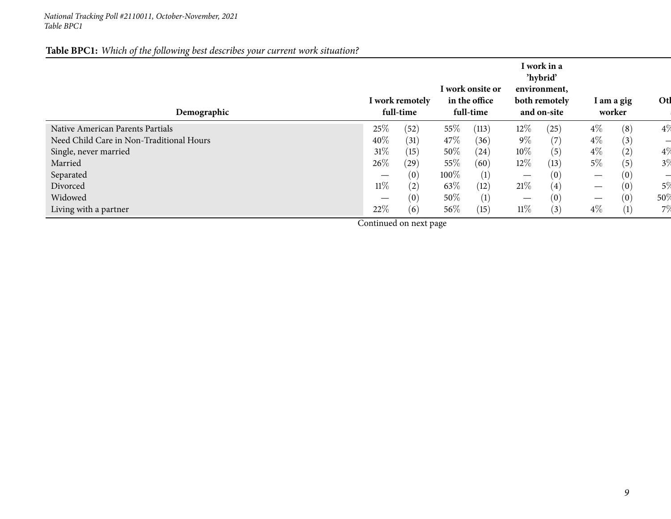## Table BPC1: Which of the following best describes your current work situation?

| Demographic                              |        | I work remotely<br>full-time |        | l work onsite or<br>in the office<br>full-time |                   | I work in a<br>'hybrid'<br>environment,<br>both remotely<br>and on-site |                   | I am a gig<br>worker | Otl   |
|------------------------------------------|--------|------------------------------|--------|------------------------------------------------|-------------------|-------------------------------------------------------------------------|-------------------|----------------------|-------|
| Native American Parents Partials         | 25%    | (52)                         | 55\%   | (113)                                          | $12\%$            | (25)                                                                    | $4\%$             | (8)                  | 4%    |
| Need Child Care in Non-Traditional Hours | 40%    | (31)                         | 47\%   | (36)                                           | $9\%$             | (7)                                                                     | $4\%$             | (3)                  |       |
| Single, never married                    | $31\%$ | (15)                         | $50\%$ | (24)                                           | 10%               | (5)                                                                     | $4\%$             | $\rm(2)$             | 4%    |
| Married                                  | 26\%   | (29)                         | 55\%   | (60)                                           | $12\%$            | (13)                                                                    | 5%                | (5)                  | 3%    |
| Separated                                |        | (0)                          | 100%   | (1)                                            | $\hspace{0.05cm}$ | (0)                                                                     | $\hspace{0.05cm}$ | (0)                  |       |
| Divorced                                 | $11\%$ | (2)                          | 63\%   | (12)                                           | 21%               | (4)                                                                     |                   | (0)                  | $5\%$ |
| Widowed                                  |        | (0)                          | $50\%$ | (1)                                            |                   | (0)                                                                     |                   | $\left(0\right)$     | 50%   |
| Living with a partner                    | 22%    | (6)                          | $56\%$ | (15)                                           | $11\%$            | (3)                                                                     | $4\%$             | $\left(1\right)$     | 7%    |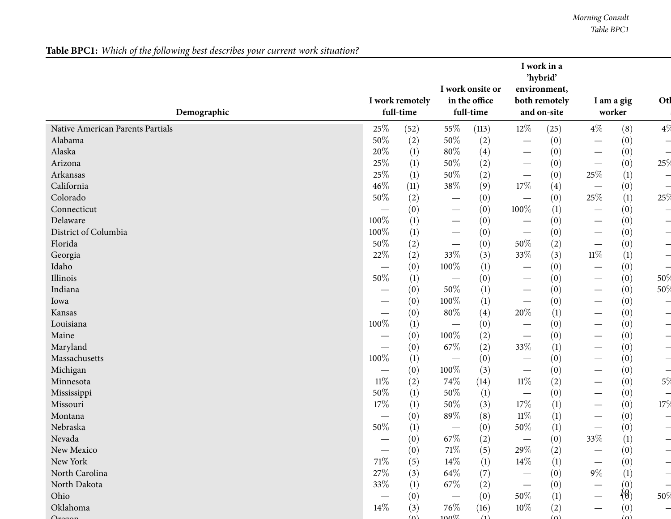## Table BPC1: Which of the following best describes your current work situation?

|                                  |                                  | I work remotely |                                 | I work onsite or<br>in the office |                                   | I work in a<br>'hybrid'<br>environment,<br>both remotely |                                 | I am a gig              | Otl                      |
|----------------------------------|----------------------------------|-----------------|---------------------------------|-----------------------------------|-----------------------------------|----------------------------------------------------------|---------------------------------|-------------------------|--------------------------|
| Demographic                      |                                  | full-time       |                                 | full-time                         |                                   | and on-site                                              |                                 | worker                  |                          |
| Native American Parents Partials | 25%                              | (52)            | 55%                             | (113)                             | $12\%$                            | (25)                                                     | $4\%$                           | (8)                     | 4%                       |
| Alabama                          | 50%                              | (2)             | $50\%$                          | (2)                               |                                   | (0)                                                      |                                 | (0)                     | ᅴ                        |
| Alaska                           | 20%                              | (1)             | 80%                             | (4)                               | $\hspace{0.1mm}-\hspace{0.1mm}$   | (0)                                                      |                                 | (0)                     | $\overline{\phantom{0}}$ |
| Arizona                          | 25%                              | (1)             | 50%                             | (2)                               | $\hspace{0.1mm}-\hspace{0.1mm}$   | (0)                                                      |                                 | (0)                     | 25%                      |
| Arkansas                         | 25%                              | (1)             | 50%                             | (2)                               | $\overbrace{\phantom{12322111}}$  | (0)                                                      | $25\%$                          | (1)                     | $\overline{\phantom{0}}$ |
| California                       | 46%                              | (11)            | 38\%                            | (9)                               | 17%                               | (4)                                                      | $\overline{\phantom{m}}$        | (0)                     |                          |
| Colorado                         | 50%                              | (2)             | $\hspace{0.1mm}-\hspace{0.1mm}$ | (0)                               | $\overbrace{\phantom{123221111}}$ | (0)                                                      | 25%                             | (1)                     | 25%                      |
| Connecticut                      | $\overbrace{\phantom{12322111}}$ | (0)             | $\hspace{0.1mm}-\hspace{0.1mm}$ | (0)                               | 100%                              | (1)                                                      |                                 | (0)                     | $\overline{\phantom{0}}$ |
| Delaware                         | 100%                             | (1)             | $\hspace{0.05cm}$               | (0)                               |                                   | (0)                                                      |                                 | (0)                     | $\overline{\phantom{0}}$ |
| District of Columbia             | 100%                             | (1)             | $\hspace{0.05cm}$               | (0)                               |                                   | (0)                                                      |                                 | (0)                     | $\overline{\phantom{0}}$ |
| Florida                          | 50%                              | (2)             | $\hspace{0.1mm}-\hspace{0.1mm}$ | (0)                               | 50%                               | (2)                                                      |                                 | (0)                     | $\overline{\phantom{0}}$ |
| Georgia                          | 22%                              | (2)             | 33%                             | (3)                               | 33%                               | (3)                                                      | $11\%$                          | (1)                     | $\overline{\phantom{0}}$ |
| Idaho                            |                                  | (0)             | 100%                            | (1)                               |                                   | (0)                                                      | $\overline{\phantom{0}}$        | (0)                     |                          |
| Illinois                         | 50%                              | (1)             |                                 | (0)                               | $\hspace{0.1mm}-\hspace{0.1mm}$   | (0)                                                      |                                 | (0)                     | 50%                      |
| Indiana                          |                                  | (0)             | 50%                             | (1)                               |                                   | (0)                                                      | $\hspace{0.1mm}-\hspace{0.1mm}$ | (0)                     | 50%                      |
| Iowa                             |                                  | (0)             | 100%                            | (1)                               | $\hspace{0.1mm}-\hspace{0.1mm}$   | (0)                                                      | $\overline{\phantom{0}}$        | (0)                     | $\overline{\phantom{0}}$ |
| Kansas                           |                                  | (0)             | $80\%$                          | (4)                               | $20\%$                            | (1)                                                      | —                               | (0)                     | $\overline{\phantom{0}}$ |
| Louisiana                        | 100%                             | (1)             |                                 | (0)                               | $\hspace{0.1mm}-\hspace{0.1mm}$   | (0)                                                      |                                 | (0)                     | $\overline{\phantom{0}}$ |
| Maine                            | —                                | (0)             | 100%                            | (2)                               | $\hspace{0.1mm}-\hspace{0.1mm}$   | (0)                                                      | —                               | (0)                     | $\overline{\phantom{0}}$ |
| Maryland                         | $\overline{\phantom{0}}$         | (0)             | 67\%                            | (2)                               | 33%                               | (1)                                                      | $\overline{\phantom{0}}$        | (0)                     | $\overline{\phantom{0}}$ |
| Massachusetts                    | 100%                             | (1)             |                                 | (0)                               |                                   | (0)                                                      | $\overline{\phantom{0}}$        | (0)                     | $\overline{\phantom{0}}$ |
| Michigan                         | $\qquad \qquad -$                | (0)             | 100%                            | (3)                               | $\overbrace{\phantom{123221111}}$ | (0)                                                      | $\overline{\phantom{0}}$        | (0)                     | $\overline{\phantom{0}}$ |
| Minnesota                        | $11\%$                           | (2)             | 74\%                            | (14)                              | $11\%$                            | (2)                                                      | —                               | (0)                     | 5\%                      |
| Mississippi                      | 50%                              | (1)             | 50%                             | (1)                               | $\hspace{0.1mm}-\hspace{0.1mm}$   | (0)                                                      | $\overline{\phantom{0}}$        | (0)                     | $\overline{\phantom{0}}$ |
| Missouri                         | 17%                              | (1)             | 50%                             | (3)                               | 17%                               | (1)                                                      |                                 | (0)                     | 17%                      |
| Montana                          |                                  | (0)             | 89%                             | (8)                               | $11\%$                            | (1)                                                      | $\overline{\phantom{0}}$        | (0)                     |                          |
| Nebraska                         | 50%                              | (1)             | $\hspace{0.1mm}-\hspace{0.1mm}$ | (0)                               | 50%                               | $\left(1\right)$                                         | —                               | (0)                     |                          |
| Nevada                           |                                  | (0)             | $67\%$                          | (2)                               |                                   | (0)                                                      | $33\%$                          | (1)                     |                          |
| New Mexico                       |                                  | (0)             | 71\%                            | (5)                               | 29\%                              | (2)                                                      |                                 | (0)                     |                          |
| New York                         | 71%                              | (5)             | $14\%$                          | (1)                               | $14\%$                            | (1)                                                      |                                 | (0)                     | $\overline{\phantom{0}}$ |
| North Carolina                   | 27%                              | (3)             | 64\%                            | (7)                               |                                   | (0)                                                      | $9\%$                           |                         |                          |
| North Dakota                     | 33%                              | (1)             | 67\%                            | (2)                               |                                   | (0)                                                      |                                 | $\left(1\right)$<br>(0) |                          |
| Ohio                             |                                  | (0)             |                                 | (0)                               | 50%                               | (1)                                                      |                                 | $\frac{1}{6}$           | 50%                      |
| Oklahoma                         | —<br>$14\%$                      | (3)             | 76\%                            | (16)                              | $10\%$                            |                                                          |                                 | (0)                     |                          |
|                                  |                                  | (n)             | $100\%$                         | (1)                               |                                   | (2)<br>$(\Omega)$                                        |                                 | (n)                     |                          |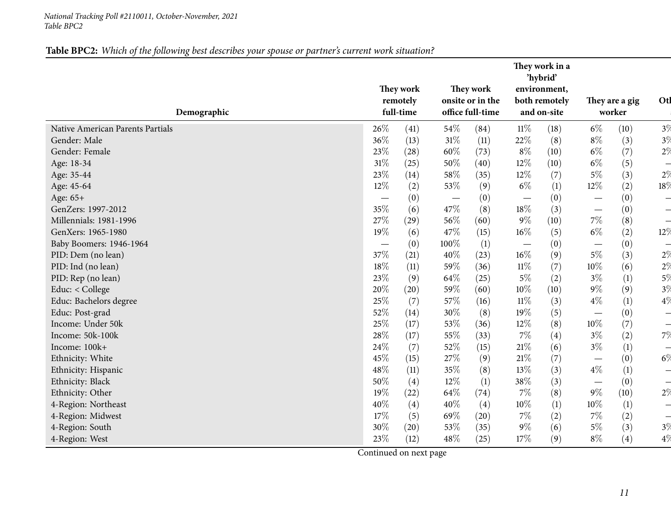## Table BPC2: Which of the following best describes your spouse or partner's current work situation?

<span id="page-10-0"></span>

| Demographic                      | They work<br>remotely<br>full-time |      |        | They work<br>onsite or in the<br>office full-time | They work in a<br>'hybrid'<br>environment,<br>both remotely<br>and on-site |      | They are a gig<br>worker          |      | Otl                      |
|----------------------------------|------------------------------------|------|--------|---------------------------------------------------|----------------------------------------------------------------------------|------|-----------------------------------|------|--------------------------|
| Native American Parents Partials | 26\%                               | (41) | 54\%   | (84)                                              | $11\%$                                                                     | (18) | $6\%$                             | (10) | 3%                       |
| Gender: Male                     | 36%                                | (13) | $31\%$ | (11)                                              | 22%                                                                        | (8)  | $8\%$                             | (3)  | $3\%$                    |
| Gender: Female                   | 23%                                | (28) | $60\%$ | (73)                                              | $8\%$                                                                      | (10) | $6\%$                             | (7)  | $2\%$                    |
| Age: 18-34                       | 31%                                | (25) | 50%    | (40)                                              | 12%                                                                        | (10) | $6\%$                             | (5)  | $\overline{\phantom{0}}$ |
| Age: 35-44                       | 23%                                | (14) | 58%    | (35)                                              | 12%                                                                        | (7)  | $5\%$                             | (3)  | 2%                       |
| Age: 45-64                       | 12%                                | (2)  | 53%    | (9)                                               | $6\%$                                                                      | (1)  | 12%                               | (2)  | 18%                      |
| Age: 65+                         |                                    | (0)  |        | (0)                                               |                                                                            | (0)  | $\overbrace{\phantom{12322111}}$  | (0)  | ᅴ                        |
| GenZers: 1997-2012               | 35%                                | (6)  | 47\%   | (8)                                               | 18%                                                                        | (3)  | $\overbrace{\phantom{123221111}}$ | (0)  | $\overline{\phantom{0}}$ |
| Millennials: 1981-1996           | 27%                                | (29) | 56%    | (60)                                              | $9\%$                                                                      | (10) | $7\%$                             | (8)  | $\overline{\phantom{0}}$ |
| GenXers: 1965-1980               | 19%                                | (6)  | 47%    | (15)                                              | $16\%$                                                                     | (5)  | $6\%$                             | (2)  | 12%                      |
| Baby Boomers: 1946-1964          | $\overline{\phantom{m}}$           | (0)  | 100%   | (1)                                               | $\overline{\phantom{m}}$                                                   | (0)  |                                   | (0)  | $\overline{\phantom{0}}$ |
| PID: Dem (no lean)               | 37%                                | (21) | 40%    | (23)                                              | $16\%$                                                                     | (9)  | $5\%$                             | (3)  | 2%                       |
| PID: Ind (no lean)               | 18%                                | (11) | 59%    | (36)                                              | $11\%$                                                                     | (7)  | 10%                               | (6)  | 2%                       |
| PID: Rep (no lean)               | 23%                                | (9)  | 64\%   | (25)                                              | $5\%$                                                                      | (2)  | $3\%$                             | (1)  | 5%                       |
| Educ: < College                  | 20%                                | (20) | 59%    | (60)                                              | $10\%$                                                                     | (10) | $9\%$                             | (9)  | 3%                       |
| Educ: Bachelors degree           | 25%                                | (7)  | 57%    | (16)                                              | $11\%$                                                                     | (3)  | $4\%$                             | (1)  | 4%                       |
| Educ: Post-grad                  | 52%                                | (14) | 30%    | (8)                                               | 19%                                                                        | (5)  | $\overline{\phantom{0}}$          | (0)  | $\overline{\phantom{0}}$ |
| Income: Under 50k                | 25%                                | (17) | 53%    | (36)                                              | 12%                                                                        | (8)  | 10%                               | (7)  | $\overline{\phantom{0}}$ |
| Income: 50k-100k                 | 28%                                | (17) | 55%    | (33)                                              | $7\%$                                                                      | (4)  | $3\%$                             | (2)  | 7%                       |
| Income: 100k+                    | 24%                                | (7)  | 52\%   | (15)                                              | $21\%$                                                                     | (6)  | $3\%$                             | (1)  | $\frac{1}{2}$            |
| Ethnicity: White                 | 45%                                | (15) | 27%    | (9)                                               | $21\%$                                                                     | (7)  |                                   | (0)  | 6%                       |
| Ethnicity: Hispanic              | 48%                                | (11) | 35%    | (8)                                               | 13%                                                                        | (3)  | $4\%$                             | (1)  | $\overline{\phantom{0}}$ |
| Ethnicity: Black                 | 50%                                | (4)  | 12%    | (1)                                               | 38%                                                                        | (3)  |                                   | (0)  | $\overline{\phantom{0}}$ |
| Ethnicity: Other                 | 19%                                | (22) | 64\%   | (74)                                              | $7\%$                                                                      | (8)  | $9\%$                             | (10) | 2%                       |
| 4-Region: Northeast              | 40%                                | (4)  | 40%    | (4)                                               | $10\%$                                                                     | (1)  | 10%                               | (1)  | $\overline{\phantom{0}}$ |
| 4-Region: Midwest                | 17%                                | (5)  | 69%    | (20)                                              | $7\%$                                                                      | (2)  | $7\%$                             | (2)  | $\overline{\phantom{0}}$ |
| 4-Region: South                  | 30%                                | (20) | 53%    | (35)                                              | $9\%$                                                                      | (6)  | $5\%$                             | (3)  | 3%                       |
| 4-Region: West                   | 23%                                | (12) | 48\%   | (25)                                              | 17%                                                                        | (9)  | $8\%$                             | (4)  | 4%                       |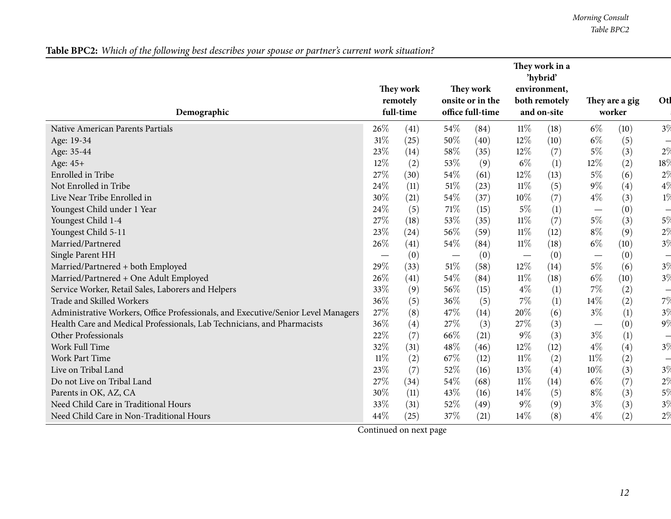Table BPC2: Which of the following best describes your spouse or partner's current work situation?

| Demographic                                                                       |        | They work<br>remotely<br>full-time |      | They work<br>onsite or in the<br>office full-time |        | They work in a<br>'hybrid'<br>environment,<br>both remotely<br>and on-site |                                 | They are a gig<br>worker | Otl                      |
|-----------------------------------------------------------------------------------|--------|------------------------------------|------|---------------------------------------------------|--------|----------------------------------------------------------------------------|---------------------------------|--------------------------|--------------------------|
| Native American Parents Partials                                                  | 26\%   | (41)                               | 54%  | (84)                                              | $11\%$ | (18)                                                                       | $6\%$                           | (10)                     | 3%                       |
| Age: 19-34                                                                        | 31%    | (25)                               | 50%  | (40)                                              | 12%    | (10)                                                                       | $6\%$                           | (5)                      | $\overline{\phantom{0}}$ |
| Age: 35-44                                                                        | 23%    | (14)                               | 58%  | (35)                                              | $12\%$ | (7)                                                                        | $5\%$                           | (3)                      | $2\%$                    |
| Age: 45+                                                                          | $12\%$ | (2)                                | 53%  | (9)                                               | $6\%$  | (1)                                                                        | 12%                             | (2)                      | 18\                      |
| Enrolled in Tribe                                                                 | 27%    | (30)                               | 54%  | (61)                                              | $12\%$ | (13)                                                                       | $5\%$                           | (6)                      | $2\%$                    |
| Not Enrolled in Tribe                                                             | 24%    | (11)                               | 51%  | (23)                                              | $11\%$ | (5)                                                                        | $9\%$                           | (4)                      | $4\%$                    |
| Live Near Tribe Enrolled in                                                       | 30%    | (21)                               | 54%  | (37)                                              | $10\%$ | (7)                                                                        | $4\%$                           | (3)                      | $1\%$                    |
| Youngest Child under 1 Year                                                       | 24%    | (5)                                | 71%  | (15)                                              | $5\%$  | (1)                                                                        | $\hspace{0.1mm}-\hspace{0.1mm}$ | (0)                      | $\overline{\phantom{0}}$ |
| Youngest Child 1-4                                                                | 27%    | (18)                               | 53%  | (35)                                              | $11\%$ | (7)                                                                        | $5\%$                           | (3)                      | $5\%$                    |
| Youngest Child 5-11                                                               | 23%    | (24)                               | 56%  | (59)                                              | $11\%$ | (12)                                                                       | $8\%$                           | (9)                      | $2\%$                    |
| Married/Partnered                                                                 | 26%    | (41)                               | 54%  | (84)                                              | $11\%$ | (18)                                                                       | $6\%$                           | (10)                     | 3%                       |
| Single Parent HH                                                                  |        | (0)                                |      | (0)                                               |        | (0)                                                                        | $\hspace{0.1mm}-\hspace{0.1mm}$ | (0)                      | $\overline{\phantom{0}}$ |
| Married/Partnered + both Employed                                                 | 29%    | (33)                               | 51%  | (58)                                              | 12%    | (14)                                                                       | $5\%$                           | (6)                      | 3%                       |
| Married/Partnered + One Adult Employed                                            | 26%    | (41)                               | 54%  | (84)                                              | $11\%$ | (18)                                                                       | $6\%$                           | (10)                     | 3%                       |
| Service Worker, Retail Sales, Laborers and Helpers                                | 33%    | (9)                                | 56%  | (15)                                              | $4\%$  | $\left(1\right)$                                                           | $7\%$                           | (2)                      | $\overline{\phantom{0}}$ |
| Trade and Skilled Workers                                                         | 36%    | (5)                                | 36%  | (5)                                               | 7%     | (1)                                                                        | 14%                             | (2)                      | 7%                       |
| Administrative Workers, Office Professionals, and Executive/Senior Level Managers | 27%    | (8)                                | 47%  | (14)                                              | 20%    | (6)                                                                        | $3\%$                           | (1)                      | 3%                       |
| Health Care and Medical Professionals, Lab Technicians, and Pharmacists           | 36%    | (4)                                | 27%  | (3)                                               | 27%    | (3)                                                                        | $\hspace{0.05cm}$               | (0)                      | $9\%$                    |
| Other Professionals                                                               | 22%    | (7)                                | 66%  | (21)                                              | $9\%$  | (3)                                                                        | $3\%$                           | (1)                      | $\overline{\phantom{0}}$ |
| Work Full Time                                                                    | 32%    | (31)                               | 48%  | (46)                                              | 12%    | (12)                                                                       | $4\%$                           | (4)                      | 3%                       |
| Work Part Time                                                                    | $11\%$ | (2)                                | 67\% | (12)                                              | 11%    | (2)                                                                        | $11\%$                          | (2)                      | $\frac{1}{\sqrt{2}}$     |
| Live on Tribal Land                                                               | $23\%$ | (7)                                | 52%  | (16)                                              | 13\%   | (4)                                                                        | $10\%$                          | (3)                      | 3%                       |
| Do not Live on Tribal Land                                                        | 27%    | (34)                               | 54%  | (68)                                              | 11%    | (14)                                                                       | $6\%$                           | (7)                      | 2%                       |
| Parents in OK, AZ, CA                                                             | 30%    | (11)                               | 43%  | (16)                                              | 14\%   | (5)                                                                        | $8\%$                           | (3)                      | $5\%$                    |
| Need Child Care in Traditional Hours                                              | 33%    | (31)                               | 52%  | (49)                                              | $9\%$  | (9)                                                                        | $3\%$                           | (3)                      | 3%                       |
| Need Child Care in Non-Traditional Hours                                          | 44%    | (25)                               | 37%  | (21)                                              | 14\%   | (8)                                                                        | $4\%$                           | (2)                      | $2\%$                    |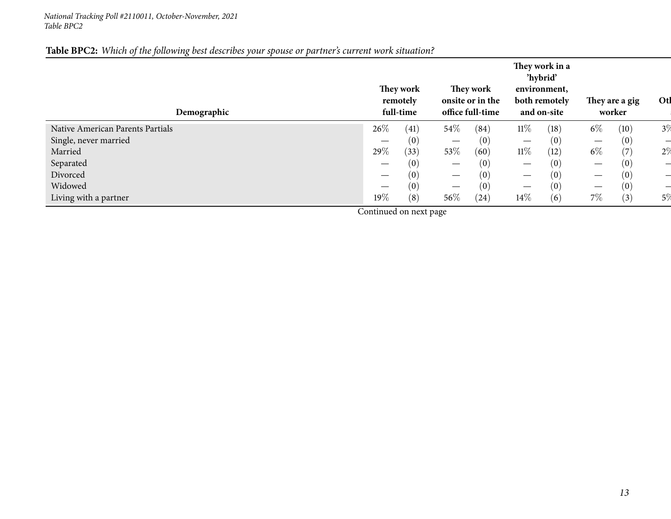## Table BPC2: Which of the following best describes your spouse or partner's current work situation?

| Demographic                      |        | They work<br>remotely<br>full-time |                                 | They work<br>onsite or in the<br>office full-time |                          | They work in a<br>'hybrid'<br>environment,<br>both remotely<br>and on-site |                   | They are a gig<br>worker | Otl   |
|----------------------------------|--------|------------------------------------|---------------------------------|---------------------------------------------------|--------------------------|----------------------------------------------------------------------------|-------------------|--------------------------|-------|
| Native American Parents Partials | 26\%   | (41)                               | $54\%$                          | (84)                                              | $11\%$                   | (18)                                                                       | $6\%$             | (10)                     | 3%    |
| Single, never married            |        | (0)                                |                                 | (0)                                               | $\hspace{0.05cm}$        | (0)                                                                        |                   | (0)                      |       |
| Married                          | 29%    | (33)                               | 53\%                            | (60)                                              | $11\%$                   | (12)                                                                       | $6\%$             | $\left( 7\right)$        | 2%    |
| Separated                        |        | (0)                                | $\hspace{0.1mm}-\hspace{0.1mm}$ | (0)                                               | $\overline{\phantom{a}}$ | (0)                                                                        | $\hspace{0.05cm}$ | (0)                      |       |
| Divorced                         |        | (0)                                | $\hspace{0.05cm}$               | (0)                                               | $\hspace{0.05cm}$        | (0)                                                                        |                   | (0)                      |       |
| Widowed                          |        | (0)                                |                                 | (0)                                               | $\hspace{0.05cm}$        | (0)                                                                        |                   | (0)                      |       |
| Living with a partner            | $19\%$ | (8)                                | $56\%$                          | (24)                                              | $14\%$                   | (6)                                                                        | 7%                | (3)                      | $5\%$ |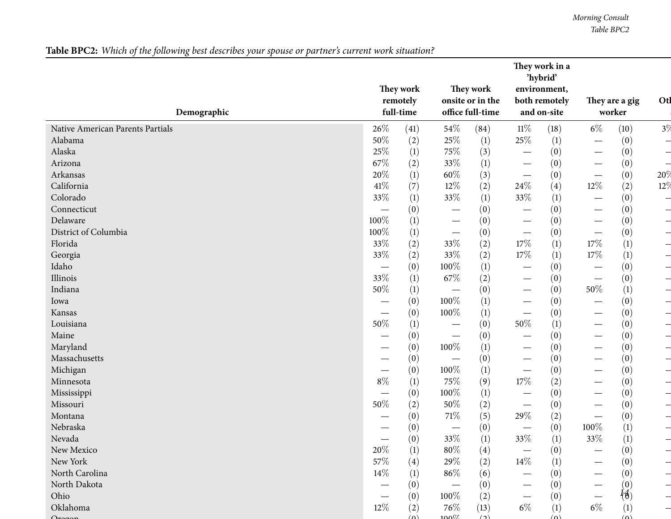Table BPC2: Which of the following best describes your spouse or partner's current work situation?

|                                  |                                 |                       |                                 |                               |                                 | They work in a<br>'hybrid'    |                                   |                   |                          |
|----------------------------------|---------------------------------|-----------------------|---------------------------------|-------------------------------|---------------------------------|-------------------------------|-----------------------------------|-------------------|--------------------------|
|                                  |                                 | They work<br>remotely |                                 | They work<br>onsite or in the |                                 | environment,<br>both remotely |                                   | They are a gig    | Otl                      |
| Demographic                      |                                 | full-time             |                                 | office full-time              |                                 | and on-site                   |                                   | worker            |                          |
| Native American Parents Partials | 26%                             | (41)                  | 54\%                            | (84)                          | $11\%$                          | (18)                          | $6\%$                             | (10)              | 3%                       |
| Alabama                          | 50%                             | (2)                   | 25%                             | $\left(1\right)$              | $25\%$                          | $\left(1\right)$              | $\overbrace{\phantom{123221111}}$ | (0)               | $\overline{\phantom{0}}$ |
| Alaska                           | 25%                             | (1)                   | 75%                             | (3)                           |                                 | (0)                           |                                   | (0)               | $\overline{\phantom{0}}$ |
| Arizona                          | 67%                             | (2)                   | 33%                             | (1)                           | $\hspace{0.1mm}-\hspace{0.1mm}$ | (0)                           |                                   | (0)               | $\overline{\phantom{0}}$ |
| Arkansas                         | 20%                             | (1)                   | 60%                             | (3)                           | $\hspace{0.1mm}-\hspace{0.1mm}$ | (0)                           | $\overbrace{\phantom{12322111}}$  | (0)               | 20%                      |
| California                       | 41\%                            | (7)                   | 12%                             | (2)                           | 24\%                            | (4)                           | $12\%$                            | (2)               | 12%                      |
| Colorado                         | 33%                             | (1)                   | 33%                             | (1)                           | 33%                             | $\left(1\right)$              |                                   | (0)               | $\frac{1}{2}$            |
| Connecticut                      | $\hspace{0.1mm}-\hspace{0.1mm}$ | (0)                   | $\overline{\phantom{m}}$        | (0)                           | $\hspace{0.1mm}-\hspace{0.1mm}$ | (0)                           | $\hspace{0.1mm}-\hspace{0.1mm}$   | (0)               | $\overline{\phantom{0}}$ |
| Delaware                         | 100%                            | (1)                   | $\hspace{0.1mm}-\hspace{0.1mm}$ | (0)                           | $\hspace{0.1mm}-\hspace{0.1mm}$ | (0)                           | $\overbrace{\phantom{12322111}}$  | (0)               | $\overline{\phantom{0}}$ |
| District of Columbia             | 100%                            | (1)                   | $\hspace{0.05cm}$               | (0)                           | $\hspace{0.1mm}-\hspace{0.1mm}$ | (0)                           |                                   | (0)               | $\rightarrow$            |
| Florida                          | 33%                             | (2)                   | 33\%                            | (2)                           | $17\%$                          | $\left(1\right)$              | 17%                               | (1)               | $\overline{\phantom{0}}$ |
| Georgia                          | 33%                             | (2)                   | 33%                             | (2)                           | 17%                             | $\left(1\right)$              | 17%                               | (1)               | $\overline{\phantom{0}}$ |
| Idaho                            | $\hspace{0.1mm}-\hspace{0.1mm}$ | (0)                   | 100%                            | $\left(1\right)$              | $\overbrace{\phantom{12333}}$   | (0)                           | $\overbrace{\phantom{12322111}}$  | (0)               | $\overline{\phantom{0}}$ |
| Illinois                         | 33%                             | (1)                   | 67\%                            | (2)                           | $\overbrace{\phantom{12333}}$   | (0)                           | $\overbrace{\phantom{123221111}}$ | (0)               | $\overline{\phantom{0}}$ |
| Indiana                          | 50%                             | (1)                   |                                 | (0)                           | $\hspace{0.1mm}-\hspace{0.1mm}$ | (0)                           | 50%                               | (1)               | $\frac{1}{2}$            |
| Iowa                             | —                               | (0)                   | 100%                            | (1)                           | $\overbrace{\phantom{12333}}$   | (0)                           | $\overbrace{\phantom{123221111}}$ | (0)               | $\overline{\phantom{0}}$ |
| Kansas                           |                                 | (0)                   | 100%                            | (1)                           |                                 | (0)                           | $\overbrace{\phantom{123221111}}$ | (0)               | $\overline{\phantom{0}}$ |
| Louisiana                        | $50\%$                          | (1)                   | —                               | (0)                           | $50\%$                          | (1)                           |                                   | (0)               | $\overline{\phantom{0}}$ |
| Maine                            |                                 | (0)                   |                                 | (0)                           |                                 | (0)                           | $\overbrace{\phantom{123221111}}$ | (0)               | $\overline{\phantom{0}}$ |
| Maryland                         |                                 | (0)                   | 100%                            | $\left(1\right)$              | $\hspace{0.1mm}-\hspace{0.1mm}$ | (0)                           |                                   | (0)               | $\overline{\phantom{0}}$ |
| Massachusetts                    |                                 | (0)                   |                                 | (0)                           | $\hspace{0.05cm}$               | (0)                           | $\overbrace{\phantom{123221111}}$ | (0)               | $\overline{\phantom{0}}$ |
| Michigan                         | —                               | (0)                   | 100%                            | (1)                           |                                 | (0)                           |                                   | (0)               | $\overline{\phantom{0}}$ |
| Minnesota                        | $8\%$                           | (1)                   | 75%                             | (9)                           | $17\%$                          | (2)                           | $\overbrace{\phantom{13333}}$     | (0)               | $\overline{\phantom{0}}$ |
| Mississippi                      |                                 | (0)                   | 100%                            | $\left(1\right)$              | $\hspace{0.1mm}-\hspace{0.1mm}$ | (0)                           |                                   | (0)               | $\overline{\phantom{0}}$ |
| Missouri                         | 50%                             | (2)                   | 50%                             | (2)                           | $\hspace{0.05cm}$               | (0)                           |                                   | (0)               | $\overline{\phantom{0}}$ |
| Montana                          |                                 | (0)                   | 71\%                            | (5)                           | 29%                             | (2)                           |                                   | (0)               | —                        |
| Nebraska                         |                                 | (0)                   |                                 | (0)                           | $\hspace{0.1mm}-\hspace{0.1mm}$ | (0)                           | 100%                              | (1)               |                          |
| Nevada                           |                                 | (0)                   | 33\%                            | (1)                           | $33\%$                          | (1)                           | 33%                               | (1)               |                          |
| New Mexico                       | 20%                             | (1)                   | $80\%$                          | $\left( 4\right)$             |                                 | (0)                           |                                   | (0)               |                          |
| New York                         | $57\%$                          | (4)                   | 29\%                            | (2)                           | 14%                             | (1)                           |                                   | (0)               | —                        |
| North Carolina                   | $14\%$                          |                       | $86\%$                          | (6)                           |                                 | (0)                           |                                   | (0)               |                          |
| North Dakota                     |                                 | $\left(1\right)$      |                                 |                               |                                 |                               |                                   |                   | —                        |
|                                  |                                 | (0)                   |                                 | (0)                           |                                 | (0)                           |                                   | (0)<br>ł∯)        |                          |
| Ohio<br>Oklahoma                 | —<br>$12\%$                     | (0)                   | 100\%<br>76\%                   | (2)                           | $6\%$                           | (0)                           | $6\%$                             |                   | $\overline{\phantom{0}}$ |
|                                  |                                 | (2)<br>$(\Omega)$     | 100 <sup>7</sup>                | (13)<br>$\big($               |                                 | (1)<br>$(\Omega)$             |                                   | (1)<br>$(\Omega)$ |                          |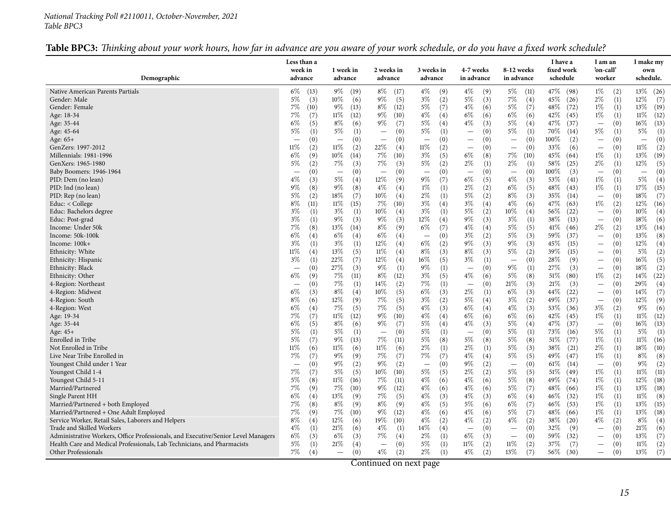#### *National Tracking Poll #2110011, October-November, <sup>2021</sup> Table BPC3*

## Table BPC3: Thinking about your work hours, how far in advance are you aware of your work schedule, or do you have a fixed work schedule?

<span id="page-14-0"></span>

| Demographic                                                                       | Less than a<br>week in<br>advance | 1 week in<br>advance            | 2 weeks in<br>advance           | 3 weeks in<br>advance                  | 4-7 weeks<br>in advance         | 8-12 weeks<br>in advance                            | I have a<br>fixed work<br>schedule | I am an<br>'on-call'<br>worker  | I make my<br>own<br>schedule.   |
|-----------------------------------------------------------------------------------|-----------------------------------|---------------------------------|---------------------------------|----------------------------------------|---------------------------------|-----------------------------------------------------|------------------------------------|---------------------------------|---------------------------------|
| Native American Parents Partials                                                  | $6\%$<br>(13)                     | $9\%$<br>(19)                   | $8\%$                           | $4\%$                                  | $4\%$<br>(9)                    | $5\%$                                               | 47%<br>(98)                        | $1\%$                           | 13%<br>(26)                     |
| Gender: Male                                                                      | $5\%$<br>(3)                      | $10\%$<br>(6)                   | (17)<br>$9\%$<br>(5)            | (9)<br>$3\%$<br>(2)                    | $5\%$<br>(3)                    | (11)<br>$7\%$<br>(4)                                | $45\%$<br>(26)                     | (2)<br>$2\%$<br>(1)             | $12\%$<br>(7)                   |
| Gender: Female                                                                    | 7%                                | $9\%$                           | $8\%$                           | $5\%$                                  | 4%                              | 5%                                                  | 48\%                               | $1\%$                           | 13%                             |
|                                                                                   | (10)                              | (13)                            | (12)                            | (7)                                    | (6)                             | (7)                                                 | (72)                               | (1)                             | (19)                            |
| Age: 18-34                                                                        | $7\%$                             | 11%                             | $9\%$                           | $4\%$                                  | $6\%$                           | $6\%$                                               | 42\%                               | $1\%$                           | $11\%$                          |
|                                                                                   | (7)                               | (12)                            | (10)                            | (4)                                    | (6)                             | (6)                                                 | (45)                               | (1)                             | (12)                            |
| Age: 35-44                                                                        | $6\%$                             | $8\%$                           | $9\%$                           | $5\%$                                  | $4\%$                           | 5%                                                  | (37)                               | (0)                             | $16\%$                          |
|                                                                                   | (5)                               | (6)                             | (7)                             | (4)                                    | (3)                             | (4)                                                 | 47\%                               | $\overline{\phantom{0}}$        | (13)                            |
| Age: 45-64                                                                        | $5\%$                             | 5%                              | (0)                             | $5\%$                                  | (0)                             | $5\%$                                               | 70%                                | 5%                              | $5\%$                           |
|                                                                                   | (1)                               | (1)                             | $\overline{\phantom{0}}$        | (1)                                    |                                 | $\left(1\right)$                                    | (14)                               | (1)                             | (1)                             |
| Age: 65+                                                                          | (0)                               | (0)                             | (0)                             | (0)<br>$\overline{\phantom{0}}$        | (0)<br>$\overline{\phantom{0}}$ | (0)<br>$\overline{\phantom{0}}$                     | (2)<br>$100\%$                     | (0)<br>$\overline{\phantom{0}}$ | (0)<br>$\overline{\phantom{0}}$ |
| GenZers: 1997-2012                                                                | 11%                               | 11%                             | 22\%                            | $11\%$                                 | (0)                             | (0)                                                 | 33\%                               | (0)                             | 11%                             |
|                                                                                   | (2)                               | (2)                             | (4)                             | (2)                                    | $\overline{\phantom{0}}$        | $\hspace{0.1mm}-\hspace{0.1mm}$                     | (6)                                | $\overline{\phantom{m}}$        | (2)                             |
| Millennials: 1981-1996                                                            | $6\%$                             | $10\%$                          | 7%                              | (5)                                    | 6%                              | $7\%$                                               | 45\%                               | $1\%$                           | 13%                             |
|                                                                                   | (9)                               | (14)                            | (10)                            | $3\%$                                  | (8)                             | (10)                                                | (64)                               | (1)                             | (19)                            |
| GenXers: 1965-1980                                                                | 5%<br>(2)                         | 7%<br>(3)                       | 7%<br>(3)                       | $5\%$                                  | 2%<br>(1)                       | $2\%$                                               | 58\%<br>(25)                       | $2\%$<br>(1)                    | $12\%$<br>(5)                   |
| Baby Boomers: 1946-1964                                                           | (0)                               | (0)<br>$\overline{\phantom{0}}$ | (0)<br>$\overline{\phantom{0}}$ | (2)<br>(0)<br>$\overline{\phantom{0}}$ | (0)<br>$\overline{\phantom{a}}$ | $\left(1\right)$<br>(0)<br>$\overline{\phantom{m}}$ | 100%<br>(3)                        | (0)<br>$\overline{\phantom{m}}$ | (0)<br>$\qquad \qquad =$        |
| PID: Dem (no lean)                                                                | 4%                                | $5\%$                           | $12\%$                          | (7)                                    | $6\%$                           | $4\%$                                               | 53%                                | $1\%$                           | $5\%$                           |
|                                                                                   | (3)                               | (4)                             | (9)                             | $9\%$                                  | (5)                             | (3)                                                 | (41)                               | (1)                             | (4)                             |
| PID: Ind (no lean)                                                                | 9%                                | $9\%$                           | $4\%$                           | $1\%$                                  | $2\%$                           | $6\%$                                               | 48\%                               | $1\%$                           | $17\%$                          |
|                                                                                   | (8)                               | (8)                             | (4)                             | (1)                                    | (2)                             | (5)                                                 | (43)                               | (1)                             | (15)                            |
| PID: Rep (no lean)                                                                | 5%                                | 18%                             | 10%                             | $2\%$                                  | 5%                              | $8\%$                                               | 35%                                | (0)                             | 18%                             |
|                                                                                   | (2)                               | (7)                             | (4)                             | (1)                                    | (2)                             | (3)                                                 | (14)                               | $\overline{\phantom{m}}$        | (7)                             |
| Educ: < College                                                                   | $8\%$                             | 11%                             | 7%                              | $3\%$                                  | 3%                              | $4\%$                                               | 47\%                               | $1\%$                           | 12%                             |
|                                                                                   | (11)                              | (15)                            | (10)                            | (4)                                    | (4)                             | (6)                                                 | (63)                               | (2)                             | (16)                            |
| Educ: Bachelors degree                                                            | $3\%$                             | $3\%$                           | $10\%$                          | $3\%$                                  | 5%                              | $10\%$                                              | $56\%$                             | (0)                             | $10\%$                          |
|                                                                                   | (1)                               | (1)                             | (4)                             | (1)                                    | (2)                             | (4)                                                 | (22)                               | $\overline{\phantom{m}}$        | (4)                             |
| Educ: Post-grad                                                                   | $3\%$                             | $9\%$                           | $9\%$                           | $12\%$                                 | $9\%$                           | $3\%$                                               | 38\%                               | (0)                             | $18\%$                          |
|                                                                                   | (1)                               | (3)                             | (3)                             | (4)                                    | (3)                             | (1)                                                 | (13)                               | $\overline{\phantom{0}}$        | (6)                             |
| Income: Under 50k                                                                 | 7%                                | 13%                             | $8\%$                           | $6\%$                                  | 4%                              | 5%                                                  | 41%                                | $2\%$                           | 13%                             |
|                                                                                   | (8)                               | (14)                            | (9)                             | (7)                                    | (4)                             | (5)                                                 | (46)                               | (2)                             | (14)                            |
| Income: 50k-100k                                                                  | $6\%$                             | $6\%$                           | $6\%$                           | (0)                                    | 3%                              | 5%                                                  | 59%                                | (0)                             | 13%                             |
|                                                                                   | (4)                               | (4)                             | (4)                             | $\overline{\phantom{m}}$               | (2)                             | (3)                                                 | (37)                               | $\overline{\phantom{m}}$        | (8)                             |
| Income: 100k+                                                                     | $3\%$                             | $3\%$                           | 12%                             | $6\%$                                  | 9%                              | $9\%$                                               | $45\%$                             | (0)                             | 12%                             |
|                                                                                   | (1)                               | (1)                             | (4)                             | (2)                                    | (3)                             | (3)                                                 | (15)                               |                                 | (4)                             |
| Ethnicity: White                                                                  | 11%                               | 13%                             | 11%                             | $8\%$                                  | 8%                              | 5%                                                  | 39\%                               | (0)                             | $5\%$                           |
|                                                                                   | (4)                               | (5)                             | (4)                             | (3)                                    | (3)                             | (2)                                                 | (15)                               | $\overline{\phantom{m}}$        | (2)                             |
| Ethnicity: Hispanic                                                               | 3%                                | 22\%                            | 12%                             | (5)                                    | 3%                              | (0)                                                 | 28\%                               | (0)                             | $16\%$                          |
|                                                                                   | (1)                               | (7)                             | (4)                             | $16\%$                                 | (1)                             | $\overline{\phantom{m}}$                            | (9)                                | $\overline{\phantom{m}}$        | (5)                             |
| Ethnicity: Black                                                                  | (0)                               | 27\%                            | $9\%$                           | $9\%$                                  | (0)                             | $9\%$                                               | 27%                                | (0)                             | 18%                             |
|                                                                                   | $\overline{\phantom{0}}$          | (3)                             | (1)                             | (1)                                    | $\overbrace{\phantom{123221}}$  | $\left(1\right)$                                    | (3)                                | $\overline{\phantom{m}}$        | (2)                             |
| Ethnicity: Other                                                                  | $6\%$                             | 7%                              | $8\%$                           | $3\%$                                  | 4%                              | 5%                                                  | 51%                                | $1\%$                           | $14\%$                          |
|                                                                                   | (9)                               | (11)                            | (12)                            | (5)                                    | (6)                             | (8)                                                 | (80)                               | (2)                             | (22)                            |
| 4-Region: Northeast                                                               | (0)                               | $7\%$                           | $14\%$                          | $7\%$                                  | (0)                             | 21%                                                 | 21\%                               | (0)                             | 29%                             |
|                                                                                   | $\overline{\phantom{0}}$          | (1)                             | (2)                             | (1)                                    |                                 | (3)                                                 | (3)                                | $\overline{\phantom{m}}$        | (4)                             |
| 4-Region: Midwest                                                                 | $6\%$                             | $8\%$                           | $10\%$                          | $6\%$                                  | $2\%$                           | $6\%$                                               | $44\%$                             | (0)                             | $14\%$                          |
|                                                                                   | (3)                               | (4)                             | (5)                             | (3)                                    | (1)                             | (3)                                                 | (22)                               | $\overbrace{\phantom{1232211}}$ | (7)                             |
| 4-Region: South                                                                   | $8\%$                             | $12\%$                          | $7\%$                           | $3\%$                                  | $5\%$                           | $3\%$                                               | 49%                                | (0)                             | $12\%$                          |
|                                                                                   | (6)                               | (9)                             | (5)                             | (2)                                    | (4)                             | (2)                                                 | (37)                               | $\qquad \qquad -$               | (9)                             |
| 4-Region: West                                                                    | $6\%$                             | 7%                              | 7%                              | $4\%$                                  | 6%                              | $4\%$                                               | 53%                                | $3\%$                           | $9\%$                           |
|                                                                                   | (4)                               | (5)                             | (5)                             | (3)                                    | (4)                             | (3)                                                 | (36)                               | (2)                             | (6)                             |
| Age: 19-34                                                                        | 7%                                | $11\%$                          | $9\%$                           | (4)                                    | $6\%$                           | $6\%$                                               | 42%                                | $1\%$                           | $11\%$                          |
|                                                                                   | (7)                               | (12)                            | (10)                            | $4\%$                                  | (6)                             | (6)                                                 | (45)                               | (1)                             | (12)                            |
| Age: 35-44                                                                        | (5)                               | $8\%$                           | $9\%$                           | $5\%$                                  | $4\%$                           | 5%                                                  | 47\%                               | (0)                             | $16\%$                          |
|                                                                                   | 6%                                | (6)                             | (7)                             | (4)                                    | (3)                             | (4)                                                 | (37)                               | $\overline{\phantom{0}}$        | (13)                            |
| Age: 45+                                                                          | 5%                                | 5%                              | (0)                             | $5\%$                                  | (0)                             | 5%                                                  | 73%                                | $5\%$                           | 5%                              |
|                                                                                   | (1)                               | (1)                             | $\overline{\phantom{a}}$        | (1)                                    | $\overline{\phantom{a}}$        | (1)                                                 | (16)                               | (1)                             | (1)                             |
| Enrolled in Tribe                                                                 | 5%                                | $9\%$                           | 7%                              | $5\%$                                  | 5%                              | 5%                                                  | 51%                                | $1\%$                           | 11%                             |
|                                                                                   | (7)                               | (13)                            | (11)                            | (8)                                    | (8)                             | (8)                                                 | (77)                               | (1)                             | (16)                            |
| Not Enrolled in Tribe                                                             | 11%                               | 11%                             | $11\%$                          | $2\%$                                  | $2\%$                           | 5%                                                  | 38\%                               | $2\%$                           | $18\%$                          |
|                                                                                   | (6)                               | (6)                             | (6)                             | $\left(1\right)$                       | (1)                             | (3)                                                 | (21)                               | (1)                             | (10)                            |
| Live Near Tribe Enrolled in                                                       | 7%                                | $9\%$                           | 7%                              | 7%                                     | 4%                              | 5%                                                  | (47)                               | $1\%$                           | $8\%$                           |
|                                                                                   | (7)                               | (9)                             | (7)                             | (7)                                    | (4)                             | (5)                                                 | 49\%                               | (1)                             | (8)                             |
| Youngest Child under 1 Year                                                       | (0)                               | $9\%$                           | $9\%$                           | (0)                                    | $9\%$                           | (0)                                                 | 61%                                | (0)                             | $9\%$                           |
|                                                                                   |                                   | (2)                             | (2)                             | $\overline{\phantom{a}}$               | (2)                             | $\overline{\phantom{0}}$                            | (14)                               | $\overline{\phantom{m}}$        | (2)                             |
| Youngest Child 1-4                                                                | 7%                                | 5%                              | $10\%$                          | (5)                                    | 2%                              | 5%                                                  | 51%                                | $1\%$                           | $11\%$                          |
|                                                                                   | (7)                               | (5)                             | (10)                            | $5\%$                                  | (2)                             | (5)                                                 | (49)                               | (1)                             | (11)                            |
| Youngest Child 5-11                                                               | 5%                                | 11%                             | 7%                              | (6)                                    | 4%                              | 5%                                                  | 49\%                               | $1\%$                           | $12\%$                          |
|                                                                                   | (8)                               | (16)                            | (11)                            | $4\%$                                  | (6)                             | (8)                                                 | (74)                               | (1)                             | (18)                            |
| Married/Partnered                                                                 | 7%                                | 7%                              | $9\%$                           | (6)                                    | 4%                              | 5%                                                  | 48\%                               | $1\%$                           | 13%                             |
|                                                                                   | (9)                               | (10)                            | (12)                            | $4\%$                                  | (6)                             | (7)                                                 | (66)                               | (1)                             | (18)                            |
| Single Parent HH                                                                  | $6\%$                             | 13%                             | 7%                              | (3)                                    | 4%                              | $6\%$                                               | 46%                                | $1\%$                           | $11\%$                          |
|                                                                                   | (4)                               | (9)                             | (5)                             | $4\%$                                  | (3)                             | (4)                                                 | (32)                               | (1)                             | (8)                             |
| Married/Partnered + both Employed                                                 | 7%                                | $8\%$                           | 8%                              | (5)                                    | 5%                              | $6\%$                                               | 46%                                | $1\%$                           | 13%                             |
|                                                                                   | (8)                               | (9)                             | (9)                             | $4\%$                                  | (6)                             | (7)                                                 | (53)                               | (1)                             | (15)                            |
| Married/Partnered + One Adult Employed                                            | 7%                                | 7%                              | $9\%$                           | (6)                                    | 4%                              | 5%                                                  | 48\%                               | $1\%$                           | 13%                             |
|                                                                                   | (9)                               | (10)                            | (12)                            | $4\%$                                  | (6)                             | (7)                                                 | (66)                               | (1)                             | (18)                            |
| Service Worker, Retail Sales, Laborers and Helpers                                | 8%                                | 12%                             | 19%                             | (2)                                    | 4%                              | $4\%$                                               | 38\%                               | $4\%$                           | $8\%$                           |
|                                                                                   | (4)                               | (6)                             | (10)                            | $4\%$                                  | (2)                             | (2)                                                 | (20)                               | (2)                             | (4)                             |
| Trade and Skilled Workers                                                         | $4\%$                             | 21%                             | $4\%$                           | (4)                                    | (0)                             | (0)                                                 | 32%                                | (0)                             | 21%                             |
|                                                                                   | (1)                               | (6)                             | (1)                             | 14%                                    | $\overline{\phantom{0}}$        | $\overline{\phantom{m}}$                            | (9)                                | $\overline{\phantom{m}}$        | (6)                             |
| Administrative Workers, Office Professionals, and Executive/Senior Level Managers | $6\%$                             | $6\%$                           | 7%                              | $2\%$                                  | 6%                              | (0)                                                 | 59%                                | (0)                             | 13%                             |
|                                                                                   | (3)                               | (3)                             | (4)                             | (1)                                    | (3)                             | $\overline{\phantom{m}}$                            | (32)                               | $\overbrace{\phantom{1232211}}$ | (7)                             |
| Health Care and Medical Professionals, Lab Technicians, and Pharmacists           | 5%                                | 21%                             | (0)                             | $5\%$                                  | $11\%$                          | 11%                                                 | 37\%                               | (0)                             | 11%                             |
|                                                                                   | (1)                               | (4)                             | $\overline{\phantom{0}}$        | (1)                                    | (2)                             | (2)                                                 | (7)                                | $\overline{\phantom{m}}$        | (2)                             |
| Other Professionals                                                               | $7\%$                             | (0)                             | $4\%$                           | $2\%$                                  | $4\%$                           | 13\%                                                | 56%                                | (0)                             | $13\%$                          |
|                                                                                   | (4)                               | $\overline{\phantom{0}}$        | (2)                             | (1)                                    | (2)                             | (7)                                                 | (30)                               | $\overline{\phantom{0}}$        | (7)                             |
|                                                                                   |                                   |                                 |                                 |                                        |                                 |                                                     |                                    |                                 |                                 |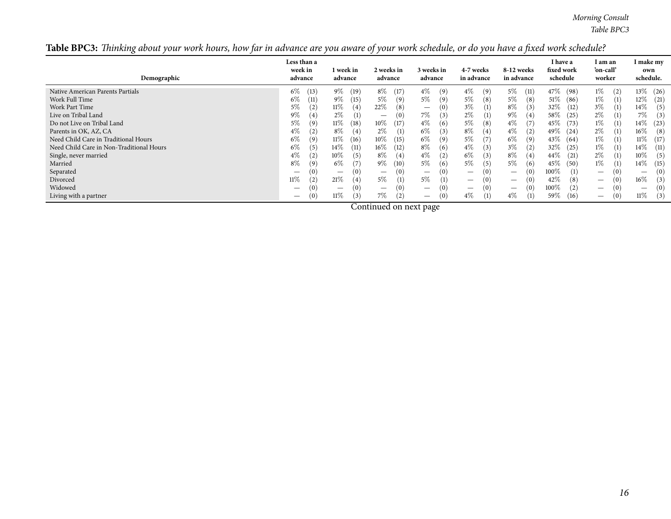|  | Table BPC3: Thinking about your work hours, how far in advance are you aware of your work schedule, or do you have a fixed work schedule? |  |  |  |  |
|--|-------------------------------------------------------------------------------------------------------------------------------------------|--|--|--|--|
|  |                                                                                                                                           |  |  |  |  |

| Demographic                              | Less than a<br>week in<br>advance | l week in<br>advance | 2 weeks in<br>advance                  | 3 weeks in<br>advance                   | 4-7 weeks<br>in advance         | 8-12 weeks<br>in advance               | I have a<br>fixed work<br>schedule | l am an<br>'on-call'<br>worker | I make my<br>own<br>schedule. |
|------------------------------------------|-----------------------------------|----------------------|----------------------------------------|-----------------------------------------|---------------------------------|----------------------------------------|------------------------------------|--------------------------------|-------------------------------|
| Native American Parents Partials         | $6\%$                             | $9\%$                | $8\%$                                  | $4\%$                                   | $4\%$                           | $5\%$                                  | 47\%                               | $1\%$                          | 13\%                          |
|                                          | (13)                              | (19)                 | (17)                                   | (9)                                     | (9)                             | (11)                                   | (98)                               | (2)                            | (26)                          |
| Work Full Time                           | $6\%$                             | $9\%$                | $5\%$                                  | $5\%$                                   | 5%                              | 5%                                     | 51%                                | 1%                             | $12\%$                        |
|                                          | (11)                              | (15)                 | (9)                                    | (9)                                     | (8)                             | (8)                                    | (86)                               | (1)                            | (21)                          |
| Work Part Time                           | $5\%$                             | 11%                  | 22%                                    | $\left(0\right)$                        | $3\%$                           | $8\%$                                  | 32\%                               | $3\%$                          | $14\%$                        |
|                                          | $\left( 2\right)$                 | (4)                  | (8)                                    | $\hspace{1.0cm} \overline{\phantom{0}}$ | (1)                             | (3)                                    | (12)                               | (1)                            | (5)                           |
| Live on Tribal Land                      | $9\%$                             | $2\%$                | (0)                                    | 7%                                      | $2\%$                           | $9\%$                                  | 58\%                               | $2\%$                          | 7%                            |
|                                          | $^{\prime}4)$                     | (1)                  | $\hspace{0.1mm}-\hspace{0.1mm}$        | (3)                                     | (1)                             | (4)                                    | (25)                               | (1)                            | (3)                           |
| Do not Live on Tribal Land               | $5\%$                             | 11%                  | $10\%$                                 | $4\%$                                   | 5%                              | $4\%$                                  | 45\%                               | 1%                             | 14\%                          |
|                                          | 9)                                | (18)                 | (17)                                   | (6)                                     | (8)                             | (7)                                    | (73)                               | (1)                            | (23)                          |
| Parents in OK, AZ, CA                    | $4\%$                             | 8%                   | $2\%$                                  | $6\%$                                   | $8\%$                           | $4\%$                                  | 49\%                               | $2\%$                          | $16\%$                        |
|                                          | $\mathbf{2}^{\prime}$             | (4)                  | (1)                                    | (3)                                     | (4)                             | (2)                                    | (24)                               | (1)                            | (8)                           |
| Need Child Care in Traditional Hours     | $6\%$<br>9                        | 11%<br>(16)          | $10\%$<br>(15)                         | $6\%$<br>(9)                            | 5%                              | $6\%$<br>(9)                           | 43\%<br>(64)                       | 1%<br>(1)                      | $11\%$<br>(17)                |
| Need Child Care in Non-Traditional Hours | $6\%$                             | 14%                  | $16\%$                                 | $8\%$                                   | $4\%$                           | $3\%$                                  | 32\%                               | 1%                             | 14%                           |
|                                          | 5                                 | (11)                 | (12)                                   | (6)                                     | (3)                             | (2)                                    | (25)                               | (1)                            | (11)                          |
| Single, never married                    | $4\%$                             | 10%                  | $8\%$                                  | $4\%$                                   | $6\%$                           | $8\%$                                  | $44\%$                             | $2\%$                          | 10%                           |
|                                          | $\mathbf{2}^{\prime}$             | (5)                  | (4)                                    | $\left( 2\right)$                       | (3)                             | (4)                                    | (21)                               | (1)                            | (5)                           |
| Married                                  | $8\%$                             | $6\%$                | $9\%$                                  | $5\%$                                   | 5%                              | $5\%$                                  | 45\%                               | 1%                             | 14%                           |
|                                          | 9                                 | (7)                  | (10)                                   | (6)                                     | (5)                             | (6)                                    | (50)                               | (1)                            | (15)                          |
| Separated                                | $\overline{\phantom{m}}$          | (0)                  | (0)<br>$\hspace{0.1mm}-\hspace{0.1mm}$ | $\left(0\right)$                        | (0)<br>$\overline{\phantom{0}}$ | (0)<br>$\overline{\phantom{m}}$        | $100\%$<br>(1)                     | $\qquad \qquad -$              | (0)<br>$\hspace{0.05cm}$      |
| Divorced                                 | $11\%$                            | 21%                  | $5\%$                                  | $5\%$                                   | (0)                             | (0)                                    | 42\%                               | $\qquad \qquad -$              | $16\%$                        |
|                                          | $\overline{2}$                    | (4)                  | $\left(1\right)$                       | (1)                                     | $\overline{\phantom{0}}$        | $\hspace{0.1mm}-\hspace{0.1mm}$        | (8)                                | v                              | (3)                           |
| Widowed                                  |                                   | (0)                  | (0)<br>$\hspace{0.1mm}-\hspace{0.1mm}$ | $\left(0\right)$                        | (0)<br>$\overline{\phantom{0}}$ | (0)<br>$\hspace{0.1mm}-\hspace{0.1mm}$ | $100\%$<br>(2)                     | $\overline{\phantom{0}}$       | (0)                           |
| Living with a partner                    | (0)                               | 11%                  | 7%                                     | $\left(0\right)$                        | (1)                             | 4%                                     | 59%                                | U)                             | $11\%$                        |
|                                          | $\overline{\phantom{m}}$          | (3)                  | (2)                                    | $\hspace{0.1mm}-\hspace{0.1mm}$         | $4\%$                           | (1)                                    | (16)                               | $\overline{\phantom{m}}$       | (3)                           |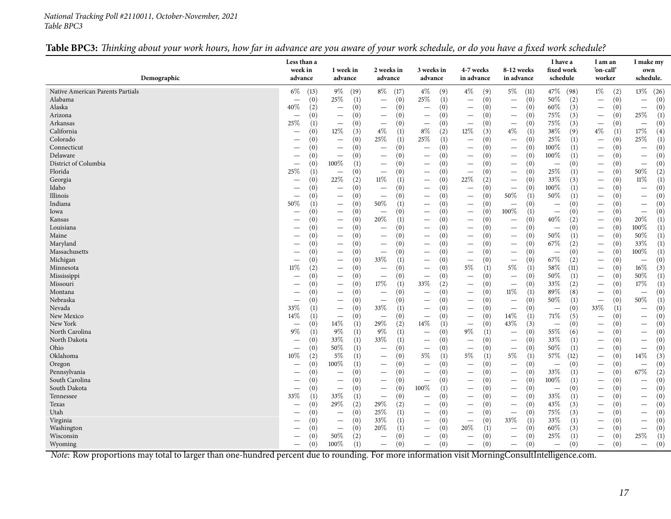#### *National Tracking Poll #2110011, October-November, <sup>2021</sup> Table BPC3*

## Table BPC3: Thinking about your work hours, how far in advance are you aware of your work schedule, or do you have a fixed work schedule?

| Demographic                      | Less than a<br>week in<br>advance | 1 week in<br>advance                                 | 2 weeks in<br>advance           | 3 weeks in<br>advance                  | 4-7 weeks<br>in advance                                     | 8-12 weeks<br>in advance                      | I have a<br>fixed work<br>schedule | I am an<br>'on-call'<br>worker  | I make my<br>own<br>schedule.          |
|----------------------------------|-----------------------------------|------------------------------------------------------|---------------------------------|----------------------------------------|-------------------------------------------------------------|-----------------------------------------------|------------------------------------|---------------------------------|----------------------------------------|
|                                  |                                   |                                                      |                                 |                                        |                                                             |                                               |                                    |                                 |                                        |
| Native American Parents Partials | $6\%$                             | $9\%$                                                | $8\%$                           | (9)                                    | $4\%$                                                       | $5\%$                                         | 47\%                               | $1\%$                           | 13%                                    |
|                                  | (13)                              | (19)                                                 | (17)                            | $4\%$                                  | (9)                                                         | (11)                                          | (98)                               | (2)                             | (26)                                   |
| Alabama                          | (0)                               | 25%                                                  | (0)                             | 25%                                    | (0)                                                         | (0)                                           | 50%                                | (0)                             | (0)                                    |
|                                  | $\overline{\phantom{0}}$          | (1)                                                  | $\overline{\phantom{0}}$        | (1)                                    |                                                             | $\overline{\phantom{0}}$                      | (2)                                | $\overline{\phantom{m}}$        | $\overline{\phantom{m}}$               |
| Alaska                           | $40\%$                            | (0)                                                  | (0)                             | (0)                                    | (0)                                                         | (0)                                           | (3)                                | (0)                             | (0)                                    |
|                                  | (2)                               |                                                      |                                 | $\overline{\phantom{a}}$               |                                                             | $\overline{\phantom{m}}$                      | $60\%$                             | $\overline{\phantom{m}}$        | $\overline{\phantom{m}}$               |
| Arizona                          | (0)                               | (0)                                                  | (0)                             | (0)                                    | (0)                                                         | (0)                                           | 75\%                               | (0)                             | $25\%$                                 |
|                                  | $\overline{\phantom{0}}$          |                                                      |                                 | $\overline{\phantom{m}}$               |                                                             | $\overline{\phantom{m}}$                      | (3)                                | $\overline{\phantom{m}}$        | (1)                                    |
| Arkansas                         | 25%                               | (0)                                                  | (0)                             | (0)                                    | (0)                                                         | (0)                                           | (3)                                | (0)                             | (0)                                    |
|                                  | (1)                               |                                                      | $\overline{\phantom{0}}$        | $\overline{\phantom{a}}$               |                                                             | $\overline{\phantom{m}}$                      | 75\%                               |                                 | $\overline{\phantom{m}}$               |
| California                       | (0)                               | 12\%<br>(3)                                          | $4\%$<br>(1)                    | $8\%$<br>(2)                           | 12%<br>(3)                                                  | $4\%$<br>$\left(1\right)$                     | 38\%<br>(9)                        | $4\%$<br>(1)                    | $17\%$<br>(4)                          |
| Colorado                         | (0)                               | (0)                                                  | 25%                             | 25%                                    | (0)                                                         | (0)                                           | 25\%                               | (0)                             | 25%                                    |
|                                  | $\overline{\phantom{0}}$          | $\overline{\phantom{0}}$                             | (1)                             | (1)                                    | $\overline{\phantom{0}}$                                    | $\overline{\phantom{0}}$                      | (1)                                | $\overline{\phantom{0}}$        | (1)                                    |
| Connecticut                      | (0)                               | (0)                                                  | (0)                             | (0)                                    | (0)                                                         | (0)                                           | $100\%$                            | (0)                             | (0)                                    |
|                                  | $\overline{\phantom{0}}$          | $\overline{\phantom{0}}$                             | $\overline{\phantom{0}}$        | $\overline{\phantom{a}}$               | $\overline{\phantom{0}}$                                    | $\overline{\phantom{a}}$                      | (1)                                | $\overbrace{\phantom{1232211}}$ | $\qquad \qquad -$                      |
| Delaware                         | (0)                               | (0)                                                  | (0)                             | (0)                                    | (0)                                                         | (0)                                           | 100%                               | (0)                             | (0)                                    |
|                                  |                                   | $\overline{\phantom{a}}$                             | $\overbrace{\phantom{1232211}}$ |                                        | $\overline{\phantom{0}}$                                    |                                               | (1)                                | $\overline{\phantom{0}}$        |                                        |
| District of Columbia             | (0)                               | $100\%$                                              | (0)                             | (0)                                    | (0)                                                         | (0)                                           | (0)                                | (0)                             | (0)                                    |
|                                  |                                   | (1)                                                  |                                 | $\overbrace{\phantom{12322111}}$       | $\overline{\phantom{0}}$                                    | $\overline{\phantom{a}}$                      | $\overline{\phantom{0}}$           | $\overline{\phantom{0}}$        | $\overline{\phantom{m}}$               |
| Florida                          | 25%                               | (0)                                                  | (0)                             | (0)                                    | (0)                                                         | (0)                                           | 25%                                | (0)                             | 50%                                    |
|                                  | (1)                               | $\overline{\phantom{0}}$                             | $\overline{\phantom{0}}$        | $\overline{\phantom{m}}$               |                                                             | $\overline{\phantom{m}}$                      | (1)                                | $\overline{\phantom{m}}$        | (2)                                    |
| Georgia                          | (0)                               | $22\%$                                               | $11\%$                          | (0)                                    | 22%                                                         | (0)                                           | 33%                                | (0)                             | $11\%$                                 |
|                                  | $\overline{\phantom{0}}$          | (2)                                                  | (1)                             | $\overline{\phantom{m}}$               | (2)                                                         | $\overline{\phantom{m}}$                      | (3)                                | $\overbrace{\phantom{1232211}}$ | (1)                                    |
| Idaho                            | (0)                               | (0)                                                  | (0)                             | (0)                                    | (0)                                                         | (0)                                           | $100\%$                            | (0)                             | (0)                                    |
|                                  |                                   | $\overline{\phantom{0}}$                             | $\overline{\phantom{m}}$        | $\overline{\phantom{m}}$               |                                                             | $\overline{\phantom{m}}$                      | (1)                                | $\overline{\phantom{m}}$        | $\overline{\phantom{0}}$               |
| Illinois                         | (0)                               | (0)                                                  | (0)                             | (0)                                    | (0)                                                         | 50%                                           | 50%                                | (0)                             | (0)                                    |
|                                  |                                   | $\overline{\phantom{0}}$                             |                                 | $\overline{\phantom{m}}$               |                                                             | (1)                                           | (1)                                | $\overline{\phantom{m}}$        | $\qquad \qquad -$                      |
| Indiana                          | 50%                               | (0)                                                  | 50%                             | (0)                                    | (0)                                                         | (0)                                           | (0)                                | (0)                             | (0)                                    |
|                                  | (1)                               | $\overline{\phantom{0}}$                             | (1)                             | $\overbrace{\phantom{123221111}}$      | $\overline{\phantom{0}}$                                    | $\overline{\phantom{m}}$                      | $\overline{\phantom{0}}$           | $\overline{\phantom{0}}$        |                                        |
| Iowa                             | (0)                               | (0)                                                  | (0)                             | (0)                                    | (0)                                                         | 100%                                          | (0)                                | (0)                             | (0)                                    |
|                                  |                                   |                                                      |                                 |                                        | $\overline{\phantom{0}}$                                    | (1)                                           | $\overline{\phantom{m}}$           |                                 | $\qquad \qquad -$                      |
| Kansas                           | (0)                               | (0)                                                  | 20%                             | (0)                                    | (0)                                                         | (0)                                           | 40%                                | (0)                             | 20%                                    |
|                                  | $\overline{\phantom{0}}$          | $\overline{\phantom{0}}$                             | (1)                             | $\overline{\phantom{0}}$               | $\overline{\phantom{0}}$                                    | $\overline{\phantom{a}}$                      | (2)                                | $\overline{\phantom{m}}$        | (1)                                    |
| Louisiana                        | $\left( 0\right)$                 | (0)                                                  | (0)                             | (0)                                    | (0)                                                         | (0)                                           | (0)                                | (0)                             | $100\%$                                |
|                                  |                                   | $\overline{\phantom{0}}$                             | $\overline{\phantom{0}}$        | $\overline{\phantom{0}}$               | $\overline{\phantom{0}}$                                    | $\overline{\phantom{a}}$                      | $\overline{\phantom{m}}$           | $\overbrace{\phantom{1232211}}$ | (1)                                    |
| Maine                            | (0)                               | (0)                                                  | (0)                             | (0)                                    | (0)                                                         | (0)                                           | 50%                                | (0)                             | 50%                                    |
|                                  | $\overline{\phantom{0}}$          | $\overline{\phantom{0}}$                             |                                 | $\overline{\phantom{0}}$               | $\overline{\phantom{0}}$                                    | $\hspace{0.1mm}-\hspace{0.1mm}$               | (1)                                | $\overline{\phantom{m}}$        | (1)                                    |
| Maryland                         | (0)                               | (0)                                                  | (0)                             | (0)                                    | (0)                                                         | (0)                                           | 67%                                | (0)                             | 33%                                    |
|                                  |                                   | $\overline{\phantom{0}}$                             | $\overline{\phantom{0}}$        |                                        | —                                                           |                                               | (2)                                | $\overline{\phantom{0}}$        | (1)                                    |
| Massachusetts                    | (0)                               | (0)                                                  | (0)                             | (0)                                    | (0)                                                         | (0)                                           | (0)                                | (0)                             | $100\%$                                |
|                                  | $\overline{\phantom{0}}$          | $\overline{\phantom{0}}$                             |                                 | $\overline{\phantom{0}}$               | $\overline{\phantom{0}}$                                    | $\overline{\phantom{m}}$                      | $\overline{\phantom{0}}$           | $\overbrace{\phantom{1232211}}$ | (1)                                    |
| Michigan                         | (0)                               | (0)                                                  | 33%                             | (0)                                    | (0)                                                         | (0)                                           | 67\%                               | (0)                             | (0)                                    |
|                                  |                                   | $\overline{\phantom{0}}$                             | (1)                             |                                        |                                                             | $\overline{\phantom{m}}$                      | (2)                                | $\overline{\phantom{m}}$        | $\overline{\phantom{m}}$               |
| Minnesota                        | 11%                               | (0)                                                  | (0)                             | (0)                                    | $5\%$                                                       | $5\%$                                         | 58\%                               | (0)                             | $16\%$                                 |
|                                  | (2)                               |                                                      | $\overline{\phantom{0}}$        | $\overline{\phantom{0}}$               | (1)                                                         | (1)                                           | (11)                               | $\qquad \qquad -$               | (3)                                    |
| Mississippi                      | (0)                               | (0)                                                  | (0)                             | (0)                                    | (0)                                                         | (0)                                           | (1)                                | (0)                             | $50\%$                                 |
|                                  | $\overline{\phantom{0}}$          |                                                      | $\overline{\phantom{0}}$        | $\overline{\phantom{0}}$               |                                                             | $\overline{\phantom{m}}$                      | 50\%                               | $\overline{\phantom{m}}$        | (1)                                    |
| Missouri                         | (0)                               | (0)<br>$\overline{\phantom{0}}$                      | $17\%$<br>(1)                   | $33\%$<br>(2)                          | (0)<br>$\overline{\phantom{0}}$                             | (0)<br>$\overline{\phantom{0}}$               | 33\%<br>(2)                        | (0)                             | $17\%$<br>(1)                          |
| Montana                          | (0)                               | (0)<br>$\overline{\phantom{0}}$                      | (0)                             | (0)<br>$\overline{\phantom{0}}$        | (0)<br>$\overline{\phantom{0}}$                             | 11%<br>(1)                                    | 89%<br>(8)                         | (0)                             | (0)<br>$\overline{\phantom{0}}$        |
| Nebraska                         | (0)                               | (0)                                                  | (0)                             | (0)                                    | (0)                                                         | (0)                                           | 50%                                | (0)                             | $50\%$                                 |
|                                  |                                   | $\overline{\phantom{0}}$                             | $\overline{\phantom{0}}$        |                                        | $\overline{\phantom{0}}$                                    | $\overline{\phantom{0}}$                      | (1)                                |                                 | (1)                                    |
| Nevada                           | 33%<br>(1)                        | (0)                                                  | 33%<br>(1)                      | (0)                                    | (0)                                                         | (0)                                           | (0)<br>$\overline{\phantom{m}}$    | 33%<br>(1)                      | (0)<br>$\overline{\phantom{0}}$        |
| New Mexico                       | 14%<br>(1)                        | $\qquad \qquad -$<br>(0)<br>$\overline{\phantom{m}}$ | (0)<br>$\overline{\phantom{0}}$ | $\overline{\phantom{m}}$<br>(0)        | $\overline{\phantom{m}}$<br>(0)<br>$\overline{\phantom{0}}$ | $\hspace{0.1mm}-\hspace{0.1mm}$<br>14%<br>(1) | 71%<br>(5)                         | (0)<br>$\overline{\phantom{0}}$ | (0)                                    |
| New York                         | (0)                               | 14%                                                  | 29%                             | 14\%                                   |                                                             | 43%                                           |                                    |                                 | (0)                                    |
|                                  | $\overline{\phantom{0}}$          | (1)<br>$9\%$                                         | (2)<br>9%                       | (1)                                    | (0)<br>$\overline{\phantom{0}}$                             | (3)                                           | (0)<br>$\overline{\phantom{m}}$    | (0)<br>$\overline{\phantom{0}}$ |                                        |
| North Carolina<br>North Dakota   | 9%<br>(1)<br>(0)                  | (1)<br>33%                                           | (1)<br>33%                      | (0)<br>$\overline{\phantom{m}}$<br>(0) | $9\%$<br>(1)                                                | (0)<br>$\overline{\phantom{m}}$               | 55%<br>(6)<br>33%                  | (0)                             | (0)<br>$\overline{\phantom{m}}$<br>(0) |
|                                  | $\overline{\phantom{0}}$          | (1)                                                  | (1)                             | $\overline{\phantom{m}}$               | (0)<br>$\overline{\phantom{0}}$                             | (0)<br>$\overline{\phantom{m}}$               | (1)                                | (0)<br>$\overline{\phantom{m}}$ |                                        |
| Ohio                             | (0)                               | 50%<br>(1)<br>5%                                     | (0)                             | (0)<br>$\overline{\phantom{m}}$        | (0)<br>$\overline{\phantom{0}}$                             | (0)<br>$\overline{\phantom{m}}$<br>$5\%$      | 50%<br>(1)                         | (0)<br>$\overline{\phantom{m}}$ | (0)<br>$\qquad \qquad -$               |
| Oklahoma                         | $10\%$<br>(2)                     | (1)                                                  | (0)                             | $5\%$<br>(1)                           | 5%<br>(1)                                                   | $\left(1\right)$                              | 57%<br>(12)                        | (0)<br>$\overline{\phantom{m}}$ | 14\%<br>(3)                            |
| Oregon                           | (0)                               | $100\%$                                              | (0)                             | (0)                                    | (0)                                                         | (0)                                           | (0)                                | (0)                             | (0)                                    |
|                                  |                                   | (1)                                                  |                                 | $\overline{\phantom{0}}$               | $\overline{\phantom{0}}$                                    | $\overline{\phantom{m}}$                      | $\overline{\phantom{m}}$           | $\overline{\phantom{m}}$        | $\overline{\phantom{m}}$               |
| Pennsylvania                     | (0)                               | (0)                                                  | (0)                             | (0)                                    | (0)                                                         | (0)                                           | 33\%                               | (0)                             | 67\%                                   |
|                                  |                                   | $\overline{\phantom{0}}$                             |                                 |                                        | $\overline{\phantom{0}}$                                    | $\overline{\phantom{0}}$                      | (1)                                |                                 | (2)                                    |
| South Carolina                   | (0)                               | (0)                                                  | (0)                             | (0)                                    | (0)                                                         | (0)                                           | $100\%$                            | (0)                             | (0)                                    |
|                                  |                                   | $\overline{\phantom{0}}$                             |                                 | $\overline{\phantom{a}}$               | $\overline{\phantom{0}}$                                    | $\overline{\phantom{0}}$                      | (1)                                | $\overline{\phantom{0}}$        |                                        |
| South Dakota                     | (0)                               | (0)                                                  | (0)                             | $100\%$                                | (0)                                                         | (0)                                           | (0)                                | (0)                             | (0)                                    |
|                                  | $\qquad \qquad$                   |                                                      |                                 | (1)                                    | $\overline{\phantom{0}}$                                    | $\overline{\phantom{m}}$                      | $\overbrace{\phantom{1232211}}$    | $\overbrace{\phantom{1232211}}$ | $\overline{\phantom{0}}$               |
| Tennessee                        | 33%                               | 33%                                                  | (0)                             | (0)                                    | (0)                                                         | (0)                                           | 33\%                               | (0)                             | (0)                                    |
|                                  | (1)                               | (1)                                                  |                                 | $\overline{\phantom{0}}$               | $\overline{\phantom{0}}$                                    | $\overline{\phantom{m}}$                      | (1)                                | $\overline{\phantom{0}}$        | $\overline{\phantom{0}}$               |
| Texas                            | (0)                               | 29\%                                                 | 29%                             | (0)                                    | (0)                                                         | (0)                                           | 43\%                               | (0)                             | (0)                                    |
|                                  | $\overline{\phantom{0}}$          | (2)                                                  | (2)                             |                                        | $\overline{\phantom{0}}$                                    | $\overline{\phantom{m}}$                      | (3)                                | $\overline{\phantom{0}}$        |                                        |
| Utah                             | (0)                               | (0)                                                  | 25%                             | (0)                                    | (0)                                                         | (0)                                           | 75%                                | (0)                             | (0)                                    |
|                                  | $\overline{\phantom{0}}$          | $\overline{\phantom{0}}$                             | (1)                             | $\overline{\phantom{m}}$               | $\overline{\phantom{0}}$                                    | $\overline{\phantom{m}}$                      | (3)                                |                                 |                                        |
| Virginia                         |                                   | (0)<br>$\overline{\phantom{0}}$                      | 33%<br>(1)                      | (0)<br>$\overline{\phantom{0}}$        | (0)<br>$\overline{\phantom{0}}$                             | $33\%$<br>(1)                                 | 33\%<br>(1)                        | (0)<br>$\overline{\phantom{0}}$ | (0)                                    |
|                                  | (0)                               |                                                      |                                 |                                        |                                                             |                                               |                                    |                                 |                                        |
| Washington                       | $\left( 0\right)$                 | (0)<br>$\overline{\phantom{0}}$                      | 20%<br>(1)                      | (0)<br>$\overline{\phantom{0}}$        | 20%<br>(1)                                                  | (0)<br>$\overline{\phantom{m}}$               | 60%<br>(3)                         | (0)                             | (0)<br>$\qquad \qquad -$               |
| Wisconsin                        | (0)                               | 50%                                                  | (0)                             | (0)                                    | (0)                                                         | (0)                                           | 25\%                               | (0)                             | 25\%                                   |
|                                  |                                   | (2)                                                  |                                 | $\overbrace{\phantom{12322111}}$       | $\overline{\phantom{0}}$                                    | $\overline{\phantom{m}}$                      | (1)                                |                                 | (1)                                    |
| Wyoming                          | (0)<br>$\qquad \qquad$            | 100%<br>(1)                                          | (0)<br>$\overline{\phantom{0}}$ | (0)                                    | (0)<br>$\overline{\phantom{0}}$                             | (0)                                           | (0)                                | (0)<br>$\overline{\phantom{m}}$ | (0)<br>$\equiv$                        |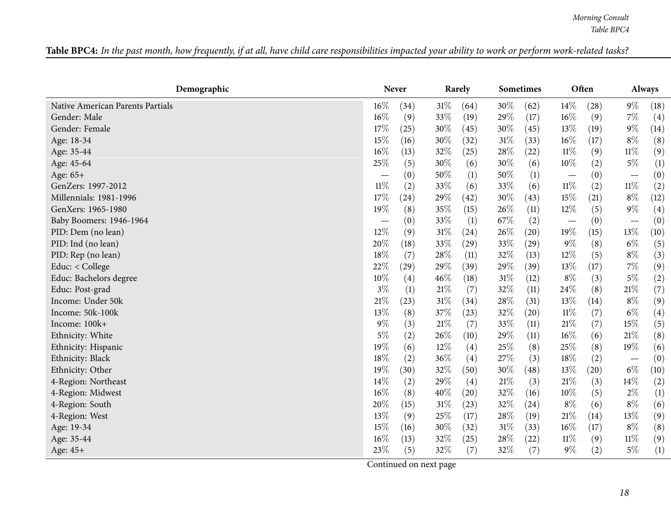| <b>Table BPC4:</b> In the past month, how frequently, if at all, have child care responsibilities impacted your ability to work or perform work-related tasks?<br>. The contract of the contract of the contract of the contract of the contract of the contract of the contract of the contract of the contract of the contract of the contract of the contract of the contract of the contrac |
|-------------------------------------------------------------------------------------------------------------------------------------------------------------------------------------------------------------------------------------------------------------------------------------------------------------------------------------------------------------------------------------------------|
|-------------------------------------------------------------------------------------------------------------------------------------------------------------------------------------------------------------------------------------------------------------------------------------------------------------------------------------------------------------------------------------------------|

<span id="page-17-0"></span>

| Demographic                      |                          | <b>Never</b> |        | Rarely            |        | <b>Sometimes</b> |                          | Often |                          | <b>Always</b> |
|----------------------------------|--------------------------|--------------|--------|-------------------|--------|------------------|--------------------------|-------|--------------------------|---------------|
| Native American Parents Partials | 16%                      | (34)         | 31%    | (64)              | $30\%$ | (62)             | $14\%$                   | (28)  | $9\%$                    | (18)          |
| Gender: Male                     | 16%                      | (9)          | 33%    | (19)              | 29%    | (17)             | $16\%$                   | (9)   | $7\%$                    | (4)           |
| Gender: Female                   | 17%                      | (25)         | 30%    | (45)              | 30%    | (45)             | 13%                      | (19)  | $9\%$                    | (14)          |
| Age: 18-34                       | 15%                      | (16)         | 30%    | (32)              | 31%    | (33)             | 16%                      | (17)  | $8\%$                    | (8)           |
| Age: 35-44                       | 16%                      | (13)         | 32%    | (25)              | 28%    | (22)             | $11\%$                   | (9)   | $11\%$                   | (9)           |
| Age: 45-64                       | 25%                      | (5)          | 30%    | (6)               | 30%    | (6)              | 10%                      | (2)   | $5\%$                    | (1)           |
| Age: 65+                         | $\overline{\phantom{0}}$ | (0)          | 50%    | (1)               | 50%    | (1)              | $\overline{\phantom{m}}$ | (0)   | $\overline{\phantom{m}}$ | (0)           |
| GenZers: 1997-2012               | $11\%$                   | (2)          | 33%    | (6)               | 33%    | (6)              | $11\%$                   | (2)   | $11\%$                   | (2)           |
| Millennials: 1981-1996           | 17%                      | (24)         | 29%    | (42)              | $30\%$ | (43)             | 15%                      | (21)  | $8\%$                    | (12)          |
| GenXers: 1965-1980               | 19%                      | (8)          | 35%    | (15)              | 26%    | (11)             | $12\%$                   | (5)   | $9\%$                    | (4)           |
| Baby Boomers: 1946-1964          | $\overline{\phantom{0}}$ | (0)          | 33\%   | (1)               | 67%    | (2)              | $\overline{\phantom{m}}$ | (0)   | $\overline{\phantom{m}}$ | (0)           |
| PID: Dem (no lean)               | 12%                      | (9)          | 31%    | (24)              | 26%    | (20)             | 19%                      | (15)  | $13\%$                   | (10)          |
| PID: Ind (no lean)               | 20%                      | (18)         | 33\%   | (29)              | 33%    | (29)             | $9\%$                    | (8)   | $6\%$                    | (5)           |
| PID: Rep (no lean)               | 18%                      | (7)          | 28%    | (11)              | 32%    | (13)             | $12\%$                   | (5)   | $8\%$                    | (3)           |
| Educ: < College                  | 22%                      | (29)         | 29%    | (39)              | 29%    | (39)             | 13\%                     | (17)  | $7\%$                    | (9)           |
| Educ: Bachelors degree           | 10%                      | (4)          | 46%    | (18)              | 31%    | (12)             | $8\%$                    | (3)   | $5\%$                    | (2)           |
| Educ: Post-grad                  | $3\%$                    | (1)          | $21\%$ | (7)               | 32%    | (11)             | 24\%                     | (8)   | $21\%$                   | (7)           |
| Income: Under 50k                | 21%                      | (23)         | $31\%$ | (34)              | 28%    | (31)             | 13%                      | (14)  | $8\%$                    | (9)           |
| Income: 50k-100k                 | 13%                      | (8)          | 37%    | (23)              | 32%    | (20)             | $11\%$                   | (7)   | $6\%$                    | (4)           |
| Income: 100k+                    | 9%                       | (3)          | $21\%$ | (7)               | 33%    | (11)             | $21\%$                   | (7)   | 15%                      | (5)           |
| Ethnicity: White                 | $5\%$                    | (2)          | 26%    | (10)              | 29%    | (11)             | $16\%$                   | (6)   | 21%                      | (8)           |
| Ethnicity: Hispanic              | 19%                      | (6)          | 12%    | (4)               | 25%    | (8)              | 25%                      | (8)   | 19%                      | (6)           |
| Ethnicity: Black                 | 18%                      | (2)          | 36%    | (4)               | 27%    | (3)              | 18%                      | (2)   | $\overline{\phantom{m}}$ | (0)           |
| Ethnicity: Other                 | 19%                      | (30)         | 32%    | (50)              | 30%    | (48)             | $13\%$                   | (20)  | $6\%$                    | (10)          |
| 4-Region: Northeast              | 14\%                     | (2)          | 29%    | $\left( 4\right)$ | 21%    | (3)              | $21\%$                   | (3)   | 14%                      | (2)           |
| 4-Region: Midwest                | 16%                      | (8)          | 40%    | (20)              | 32%    | (16)             | $10\%$                   | (5)   | $2\%$                    | (1)           |
| 4-Region: South                  | 20%                      | (15)         | 31%    | (23)              | 32%    | (24)             | $8\%$                    | (6)   | $8\%$                    | (6)           |
| 4-Region: West                   | 13%                      | (9)          | 25%    | (17)              | 28%    | (19)             | $21\%$                   | (14)  | 13%                      | (9)           |
| Age: 19-34                       | 15%                      | (16)         | $30\%$ | (32)              | 31%    | (33)             | $16\%$                   | (17)  | $8\%$                    | (8)           |
| Age: 35-44                       | 16%                      | (13)         | 32%    | (25)              | 28%    | (22)             | $11\%$                   | (9)   | 11%                      | (9)           |
| Age: 45+                         | 23%                      | (5)          | 32%    | (7)               | 32%    | (7)              | $9\%$                    | (2)   | $5\%$                    | (1)           |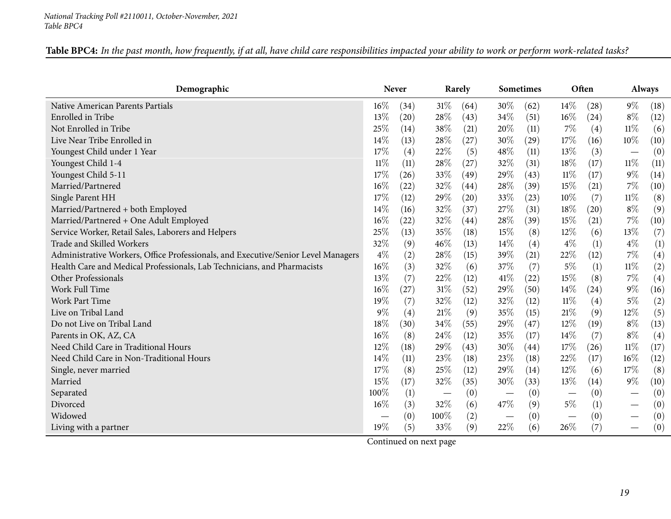| Table BPC4: In the past month, how frequently, if at all, have child care responsibilities impacted your ability to work or perform work-related tasks? |
|---------------------------------------------------------------------------------------------------------------------------------------------------------|
|---------------------------------------------------------------------------------------------------------------------------------------------------------|

| Demographic                                                                       |        | <b>Never</b> |                          | Rarely |                               | <b>Sometimes</b> |                                 | Often |                                 | <b>Always</b> |
|-----------------------------------------------------------------------------------|--------|--------------|--------------------------|--------|-------------------------------|------------------|---------------------------------|-------|---------------------------------|---------------|
| Native American Parents Partials                                                  | 16%    | (34)         | $31\%$                   | (64)   | 30%                           | (62)             | $14\%$                          | (28)  | $9\%$                           | (18)          |
| <b>Enrolled</b> in Tribe                                                          | 13%    | (20)         | 28\%                     | (43)   | 34%                           | (51)             | $16\%$                          | (24)  | $8\%$                           | (12)          |
| Not Enrolled in Tribe                                                             | 25%    | (14)         | 38\%                     | (21)   | 20%                           | (11)             | 7%                              | (4)   | $11\%$                          | (6)           |
| Live Near Tribe Enrolled in                                                       | 14%    | (13)         | 28\%                     | (27)   | 30%                           | (29)             | 17\%                            | (16)  | $10\%$                          | (10)          |
| Youngest Child under 1 Year                                                       | 17%    | (4)          | 22\%                     | (5)    | 48%                           | (11)             | 13%                             | (3)   | $\overline{\phantom{m}}$        | (0)           |
| Youngest Child 1-4                                                                | $11\%$ | (11)         | 28\%                     | (27)   | 32%                           | (31)             | 18%                             | (17)  | $11\%$                          | (11)          |
| Youngest Child 5-11                                                               | 17%    | (26)         | 33%                      | (49)   | 29%                           | (43)             | $11\%$                          | (17)  | $9\%$                           | (14)          |
| Married/Partnered                                                                 | 16%    | (22)         | 32\%                     | (44)   | 28\%                          | (39)             | 15%                             | (21)  | $7\%$                           | (10)          |
| Single Parent HH                                                                  | 17%    | (12)         | 29%                      | (20)   | 33%                           | (23)             | 10%                             | (7)   | 11%                             | (8)           |
| Married/Partnered + both Employed                                                 | 14%    | (16)         | 32%                      | (37)   | 27\%                          | (31)             | $18\%$                          | (20)  | $8\%$                           | (9)           |
| Married/Partnered + One Adult Employed                                            | 16%    | (22)         | 32%                      | (44)   | 28%                           | (39)             | $15\%$                          | (21)  | 7%                              | (10)          |
| Service Worker, Retail Sales, Laborers and Helpers                                | 25%    | (13)         | 35%                      | (18)   | 15%                           | (8)              | 12%                             | (6)   | 13%                             | (7)           |
| Trade and Skilled Workers                                                         | 32%    | (9)          | $46\%$                   | (13)   | 14\%                          | (4)              | $4\%$                           | (1)   | $4\%$                           | (1)           |
| Administrative Workers, Office Professionals, and Executive/Senior Level Managers | $4\%$  | (2)          | 28%                      | (15)   | 39%                           | (21)             | 22%                             | (12)  | $7\%$                           | (4)           |
| Health Care and Medical Professionals, Lab Technicians, and Pharmacists           | 16%    | (3)          | 32%                      | (6)    | 37%                           | (7)              | $5\%$                           | (1)   | $11\%$                          | (2)           |
| Other Professionals                                                               | 13%    | (7)          | 22%                      | (12)   | 41%                           | (22)             | $15\%$                          | (8)   | $7\%$                           | (4)           |
| Work Full Time                                                                    | 16%    | (27)         | 31%                      | (52)   | 29%                           | (50)             | 14%                             | (24)  | $9\%$                           | (16)          |
| <b>Work Part Time</b>                                                             | 19%    | (7)          | 32\%                     | (12)   | 32%                           | (12)             | $11\%$                          | (4)   | $5\%$                           | (2)           |
| Live on Tribal Land                                                               | 9%     | (4)          | 21%                      | (9)    | 35%                           | (15)             | 21\%                            | (9)   | 12%                             | (5)           |
| Do not Live on Tribal Land                                                        | 18%    | (30)         | 34\%                     | (55)   | 29%                           | (47)             | 12%                             | (19)  | $8\%$                           | (13)          |
| Parents in OK, AZ, CA                                                             | 16%    | (8)          | 24\%                     | (12)   | 35%                           | (17)             | 14\%                            | (7)   | $8\%$                           | (4)           |
| Need Child Care in Traditional Hours                                              | 12%    | (18)         | 29%                      | (43)   | 30%                           | (44)             | 17%                             | (26)  | $11\%$                          | (17)          |
| Need Child Care in Non-Traditional Hours                                          | 14%    | (11)         | 23%                      | (18)   | 23%                           | (18)             | 22%                             | (17)  | $16\%$                          | (12)          |
| Single, never married                                                             | 17%    | (8)          | 25\%                     | (12)   | 29%                           | (14)             | 12%                             | (6)   | 17%                             | (8)           |
| Married                                                                           | 15%    | (17)         | 32\%                     | (35)   | 30%                           | (33)             | 13%                             | (14)  | $9\%$                           | (10)          |
| Separated                                                                         | 100%   | (1)          | $\overline{\phantom{m}}$ | (0)    | $\overline{\phantom{m}}$      | (0)              | $\hspace{0.1mm}-\hspace{0.1mm}$ | (0)   | $\hspace{0.1mm}-\hspace{0.1mm}$ | (0)           |
| Divorced                                                                          | 16%    | (3)          | 32%                      | (6)    | 47%                           | (9)              | $5\%$                           | (1)   | $\hspace{0.1mm}-\hspace{0.1mm}$ | (0)           |
| Widowed                                                                           |        | (0)          | 100%                     | (2)    | $\overbrace{\phantom{12333}}$ | (0)              | $\hspace{0.1mm}-\hspace{0.1mm}$ | (0)   |                                 | (0)           |
| Living with a partner                                                             | 19%    | (5)          | 33\%                     | (9)    | 22\%                          | (6)              | 26%                             | (7)   | $\overbrace{\phantom{13333}}$   | (0)           |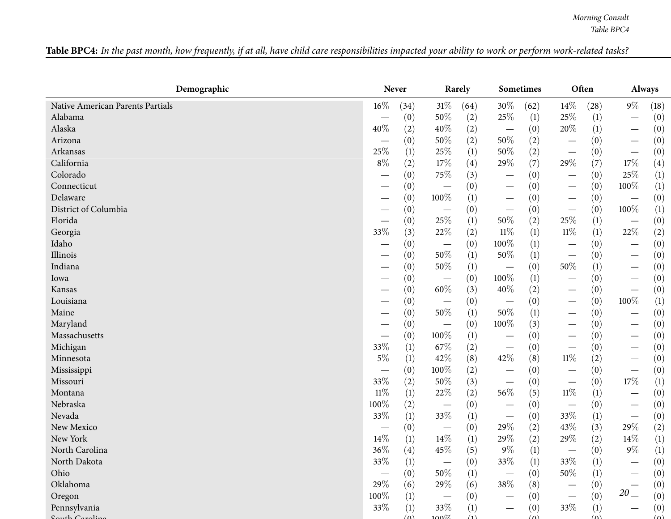| Table BPC4: In the past month, how frequently, if at all, have child care responsibilities impacted your ability to work or perform work-related tasks? |  |
|---------------------------------------------------------------------------------------------------------------------------------------------------------|--|
|---------------------------------------------------------------------------------------------------------------------------------------------------------|--|

| Demographic                       |                               | <b>Never</b>      |                                 | Rarely            |                                 | Sometimes         |                                 | Often             |                                   | <b>Always</b>    |
|-----------------------------------|-------------------------------|-------------------|---------------------------------|-------------------|---------------------------------|-------------------|---------------------------------|-------------------|-----------------------------------|------------------|
| Native American Parents Partials  | 16%                           | (34)              | $31\%$                          | (64)              | 30%                             | (62)              | $14\%$                          | (28)              | $9\%$                             | (18)             |
| Alabama                           |                               | (0)               | 50%                             | (2)               | 25\%                            | (1)               | 25\%                            | $\left(1\right)$  | $\overbrace{\phantom{123221111}}$ | (0)              |
| Alaska                            | 40%                           | (2)               | 40%                             | (2)               | $\hspace{0.1mm}-\hspace{0.1mm}$ | (0)               | $20\%$                          | (1)               | $\overline{\phantom{m}}$          | (0)              |
| Arizona                           |                               | (0)               | 50%                             | (2)               | $50\%$                          | (2)               |                                 | (0)               | $\overbrace{\phantom{123221111}}$ | (0)              |
| Arkansas                          | 25%                           | (1)               | 25\%                            | (1)               | $50\%$                          | (2)               | $\overline{\phantom{m}}$        | (0)               | $\overline{\phantom{m}}$          | (0)              |
| California                        | $8\%$                         | (2)               | 17%                             | $\left( 4\right)$ | 29%                             | (7)               | 29\%                            | (7)               | 17%                               | (4)              |
| Colorado                          |                               | (0)               | 75%                             | (3)               |                                 | (0)               | $\hspace{0.1mm}-\hspace{0.1mm}$ | (0)               | 25%                               | (1)              |
| Connecticut                       |                               | (0)               |                                 | (0)               | $\overbrace{\phantom{13333}}$   | (0)               | $\overline{\phantom{m}}$        | (0)               | 100%                              | (1)              |
| Delaware                          | $\overbrace{\phantom{13333}}$ | (0)               | 100%                            | (1)               | $\overline{\phantom{m}}$        | (0)               | $\overline{\phantom{m}}$        | (0)               | $\overline{\phantom{m}}$          | (0)              |
| District of Columbia              |                               | (0)               | $\hspace{0.1mm}-\hspace{0.1mm}$ | (0)               | $\overline{\phantom{m}}$        | (0)               | $\overline{\phantom{m}}$        | (0)               | 100%                              | $\left(1\right)$ |
| Florida                           |                               | (0)               | 25%                             | (1)               | 50%                             | (2)               | 25%                             | (1)               | $\overline{\phantom{m}}$          | (0)              |
| Georgia                           | 33%                           | (3)               | 22%                             | (2)               | $11\%$                          | (1)               | $11\%$                          | (1)               | 22%                               | (2)              |
| Idaho                             |                               | (0)               | $\overline{\phantom{m}}$        | (0)               | 100%                            | (1)               | $\hspace{0.1mm}-\hspace{0.1mm}$ | (0)               | $\hspace{0.1mm}-\hspace{0.1mm}$   | (0)              |
| Illinois                          |                               | (0)               | $50\%$                          | (1)               | 50%                             | (1)               | $\overline{\phantom{m}}$        | (0)               | $\hspace{0.1mm}-\hspace{0.1mm}$   | (0)              |
| Indiana                           |                               | (0)               | 50%                             | $\left(1\right)$  | $\hspace{0.1mm}-\hspace{0.1mm}$ | (0)               | $50\%$                          | (1)               | $\hspace{0.1mm}-\hspace{0.1mm}$   | (0)              |
| Iowa                              |                               | (0)               | $\hspace{0.1mm}-\hspace{0.1mm}$ | (0)               | 100%                            | (1)               | $\hspace{0.1mm}-\hspace{0.1mm}$ | (0)               |                                   | (0)              |
| Kansas                            |                               | (0)               | $60\%$                          | (3)               | 40%                             | $\left( 2\right)$ | $\hspace{0.1mm}-\hspace{0.1mm}$ | (0)               | $\overline{\phantom{m}}$          | (0)              |
| Louisiana                         |                               | (0)               | $\overline{\phantom{m}}$        | (0)               | $\overline{\phantom{0}}$        | (0)               | $\overbrace{\phantom{13333}}$   | (0)               | 100%                              | (1)              |
| Maine                             |                               | (0)               | 50%                             | (1)               | 50%                             | $\left(1\right)$  |                                 | (0)               |                                   | (0)              |
| Maryland                          |                               | (0)               |                                 | (0)               | 100%                            | (3)               | $\overline{\phantom{m}}$        | (0)               |                                   | (0)              |
| Massachusetts                     | —                             | (0)               | 100%                            | $\left(1\right)$  | $\hspace{0.1mm}-\hspace{0.1mm}$ | (0)               | $\overline{\phantom{m}}$        | (0)               | $\hspace{0.1mm}-\hspace{0.1mm}$   | (0)              |
| Michigan                          | 33%                           | (1)               | 67\%                            | (2)               | $\overline{\phantom{m}}$        | (0)               | $\overline{\phantom{m}}$        | (0)               | $\overline{\phantom{m}}$          | (0)              |
| Minnesota                         | $5\%$                         | (1)               | 42%                             | (8)               | $42\%$                          | (8)               | $11\%$                          | (2)               | $\overline{\phantom{m}}$          | (0)              |
| Mississippi                       | —                             | (0)               | 100%                            | (2)               |                                 | (0)               | $\overline{\phantom{m}}$        | (0)               | $\overline{\phantom{m}}$          | (0)              |
| Missouri                          | 33%                           | (2)               | 50%                             | (3)               | $\overline{\phantom{m}}$        | (0)               | $\overline{\phantom{m}}$        | (0)               | 17\%                              | (1)              |
| Montana                           | $11\%$                        | (1)               | 22%                             | (2)               | 56%                             | (5)               | $11\%$                          | (1)               | $\overbrace{\phantom{123221111}}$ | (0)              |
| Nebraska                          | 100%                          | (2)               |                                 | (0)               |                                 | (0)               |                                 | (0)               |                                   | (0)              |
| Nevada                            | 33%                           | (1)               | 33%                             | (1)               | $\hspace{0.1mm}-\hspace{0.1mm}$ | (0)               | 33%                             | (1)               | $\overline{\phantom{m}}$          | (0)              |
| New Mexico                        | $\overline{\phantom{0}}$      | (0)               | $\hspace{0.1mm}-\hspace{0.1mm}$ | (0)               | 29%                             | (2)               | 43%                             | (3)               | 29%                               | (2)              |
| New York                          | $14\%$                        | (1)               | $14\%$                          | (1)               | 29%                             | (2)               | 29%                             | (2)               | 14%                               | (1)              |
| North Carolina                    | $36\%$                        | (4)               | 45%                             | (5)               | $9\%$                           | (1)               | $\hspace{0.1mm}-\hspace{0.1mm}$ | (0)               | $9\%$                             | (1)              |
| North Dakota                      | $33\%$                        | (1)               |                                 | (0)               | $33\%$                          | (1)               | $33\%$                          | (1)               |                                   | (0)              |
| Ohio                              |                               | (0)               | 50\%                            | (1)               |                                 | (0)               | 50%                             | $\left( 1\right)$ |                                   | (0)              |
| Oklahoma                          | 29%                           | (6)               | 29%                             | (6)               | 38%                             | (8)               |                                 | (0)               |                                   | (0)              |
| Oregon                            | 100%                          | (1)               |                                 | (0)               |                                 | (0)               | $\overline{\phantom{0}}$        | (0)               | $20\,$                            | (0)              |
| Pennsylvania<br>$H_1$ $C$ analize | 33%                           | (1)<br>$(\Omega)$ | 33\%<br>$100\%$                 | (1)<br>(1)        |                                 | (0)<br>$(\Omega)$ | 33\%                            | (1)<br>$(\Omega)$ | $\overbrace{\phantom{13333}}$     | (0)<br>(n)       |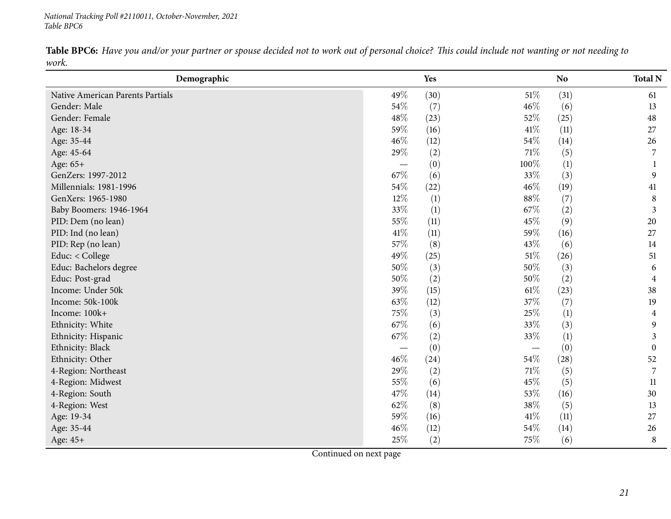*National Tracking Poll #2110011, October-November, <sup>2021</sup> Table BPC6*

Table BPC6: Have you and/or your partner or spouse decided not to work out of personal choice? This could include not wanting or not needing to *work.*

<span id="page-20-0"></span>

| Demographic                      |        | Yes  |                          | N <sub>o</sub>   | <b>Total N</b> |
|----------------------------------|--------|------|--------------------------|------------------|----------------|
| Native American Parents Partials | 49%    | (30) | $51\%$                   | (31)             | 61             |
| Gender: Male                     | 54\%   | (7)  | 46%                      | (6)              | 13             |
| Gender: Female                   | 48%    | (23) | 52%                      | (25)             | 48             |
| Age: 18-34                       | 59%    | (16) | 41\%                     | (11)             | 27             |
| Age: 35-44                       | 46%    | (12) | $54\%$                   | (14)             | 26             |
| Age: 45-64                       | 29%    | (2)  | $71\%$                   | (5)              | 7              |
| Age: 65+                         |        | (0)  | 100%                     | $\left(1\right)$ |                |
| GenZers: 1997-2012               | 67%    | (6)  | 33%                      | (3)              | 9              |
| Millennials: 1981-1996           | 54%    | (22) | 46%                      | (19)             | 41             |
| GenXers: 1965-1980               | 12%    | (1)  | 88%                      | (7)              | 8              |
| Baby Boomers: 1946-1964          | 33%    | (1)  | 67%                      | (2)              | 3              |
| PID: Dem (no lean)               | 55%    | (11) | 45%                      | (9)              | 20             |
| PID: Ind (no lean)               | 41\%   | (11) | 59%                      | (16)             | 27             |
| PID: Rep (no lean)               | 57%    | (8)  | 43%                      | (6)              | 14             |
| Educ: < College                  | 49%    | (25) | $51\%$                   | (26)             | 51             |
| Educ: Bachelors degree           | $50\%$ | (3)  | 50%                      | (3)              | 6              |
| Educ: Post-grad                  | 50%    | (2)  | 50%                      | (2)              | 4              |
| Income: Under 50k                | 39%    | (15) | $61\%$                   | (23)             | 38             |
| Income: 50k-100k                 | 63%    | (12) | 37%                      | (7)              | 19             |
| Income: 100k+                    | 75%    | (3)  | $25\%$                   | $\left(1\right)$ | 4              |
| Ethnicity: White                 | 67\%   | (6)  | 33%                      | (3)              | 9              |
| Ethnicity: Hispanic              | 67%    | (2)  | 33%                      | (1)              | 3              |
| Ethnicity: Black                 |        | (0)  | $\overline{\phantom{m}}$ | (0)              | $\overline{0}$ |
| Ethnicity: Other                 | 46%    | (24) | 54\%                     | (28)             | 52             |
| 4-Region: Northeast              | 29%    | (2)  | 71\%                     | (5)              | 7              |
| 4-Region: Midwest                | 55%    | (6)  | 45%                      | (5)              | 11             |
| 4-Region: South                  | 47%    | (14) | 53%                      | (16)             | 30             |
| 4-Region: West                   | 62%    | (8)  | $38\%$                   | (5)              | 13             |
| Age: 19-34                       | 59%    | (16) | $41\%$                   | (11)             | 27             |
| Age: 35-44                       | 46%    | (12) | $54\%$                   | (14)             | 26             |
| Age: 45+                         | 25%    | (2)  | 75%                      | (6)              | 8              |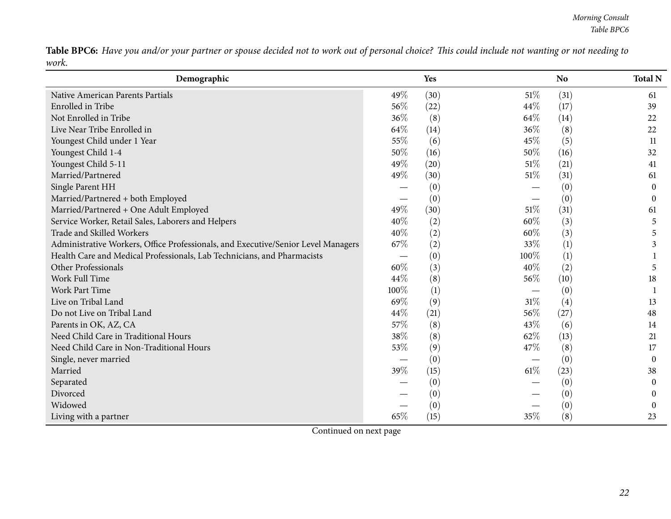Table BPC6: Have you and/or your partner or spouse decided not to work out of personal choice? This could include not wanting or not needing to *work.*

| Demographic                                                                       |      | Yes              |        | N <sub>o</sub> | <b>Total N</b> |
|-----------------------------------------------------------------------------------|------|------------------|--------|----------------|----------------|
| Native American Parents Partials                                                  | 49%  | (30)             | 51\%   | (31)           | 61             |
| Enrolled in Tribe                                                                 | 56%  | (22)             | 44%    | (17)           | 39             |
| Not Enrolled in Tribe                                                             | 36%  | (8)              | 64\%   | (14)           | 22             |
| Live Near Tribe Enrolled in                                                       | 64%  | (14)             | $36\%$ | (8)            | 22             |
| Youngest Child under 1 Year                                                       | 55%  | (6)              | 45%    | (5)            | 11             |
| Youngest Child 1-4                                                                | 50%  | (16)             | 50%    | (16)           | 32             |
| Youngest Child 5-11                                                               | 49%  | (20)             | 51%    | (21)           | 41             |
| Married/Partnered                                                                 | 49%  | (30)             | $51\%$ | (31)           | 61             |
| Single Parent HH                                                                  |      | (0)              |        | (0)            | 0              |
| Married/Partnered + both Employed                                                 |      | (0)              |        | (0)            | $\theta$       |
| Married/Partnered + One Adult Employed                                            | 49%  | (30)             | $51\%$ | (31)           | 61             |
| Service Worker, Retail Sales, Laborers and Helpers                                | 40%  | (2)              | 60%    | (3)            | 5              |
| Trade and Skilled Workers                                                         | 40%  | (2)              | 60%    | (3)            | 5              |
| Administrative Workers, Office Professionals, and Executive/Senior Level Managers | 67%  | (2)              | 33%    | (1)            | 3              |
| Health Care and Medical Professionals, Lab Technicians, and Pharmacists           |      | (0)              | 100%   | (1)            |                |
| Other Professionals                                                               | 60%  | (3)              | 40%    | (2)            | 5              |
| Work Full Time                                                                    | 44%  | (8)              | 56%    | (10)           | 18             |
| Work Part Time                                                                    | 100% | $\left(1\right)$ |        | (0)            |                |
| Live on Tribal Land                                                               | 69%  | (9)              | 31%    | (4)            | 13             |
| Do not Live on Tribal Land                                                        | 44%  | (21)             | 56%    | (27)           | 48             |
| Parents in OK, AZ, CA                                                             | 57%  | (8)              | 43%    | (6)            | 14             |
| Need Child Care in Traditional Hours                                              | 38%  | (8)              | 62%    | (13)           | 21             |
| Need Child Care in Non-Traditional Hours                                          | 53%  | (9)              | 47%    | (8)            | 17             |
| Single, never married                                                             |      | (0)              |        | (0)            | $\overline{0}$ |
| Married                                                                           | 39%  | (15)             | $61\%$ | (23)           | 38             |
| Separated                                                                         |      | (0)              |        | (0)            | 0              |
| Divorced                                                                          |      | (0)              |        | (0)            | 0              |
| Widowed                                                                           |      | (0)              |        | (0)            | 0              |
| Living with a partner                                                             | 65%  | (15)             | 35%    | (8)            | 23             |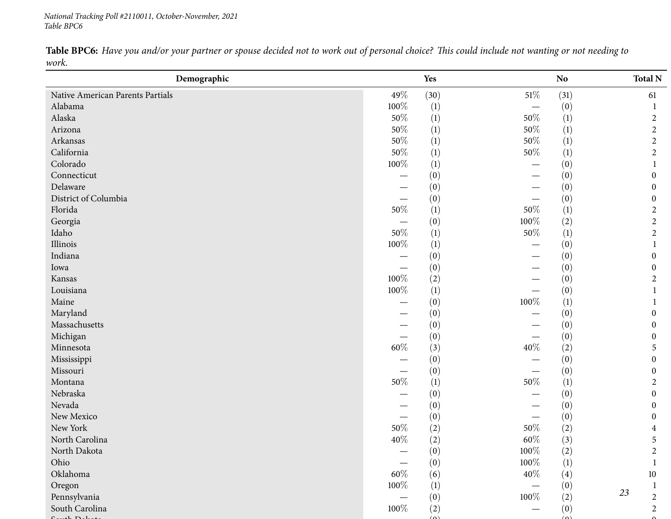*National Tracking Poll #2110011, October-November, <sup>2021</sup> Table BPC6*

Table BPC6: Have you and/or your partner or spouse decided not to work out of personal choice? This could include not wanting or not needing to *work.*

| Demographic                      |         | Yes              |                          | <b>No</b>        | <b>Total N</b>       |
|----------------------------------|---------|------------------|--------------------------|------------------|----------------------|
| Native American Parents Partials | 49%     | (30)             | $51\%$                   | (31)             | 61                   |
| Alabama                          | 100%    | $\left(1\right)$ | $\overline{\phantom{0}}$ | (0)              |                      |
| Alaska                           | $50\%$  | $\left(1\right)$ | 50%                      | $\left(1\right)$ | $\overline{c}$       |
| Arizona                          | $50\%$  | (1)              | $50\%$                   | $\left(1\right)$ | $\overline{c}$       |
| Arkansas                         | $50\%$  | $\left(1\right)$ | $50\%$                   | (1)              | $\overline{c}$       |
| California                       | $50\%$  | $\left(1\right)$ | $50\%$                   | (1)              | $\overline{2}$       |
| Colorado                         | $100\%$ | $\left(1\right)$ |                          | (0)              |                      |
| Connecticut                      |         | (0)              |                          | (0)              | 0                    |
| Delaware                         |         | (0)              |                          | (0)              | 0                    |
| District of Columbia             |         | (0)              |                          | (0)              | 0                    |
| Florida                          | $50\%$  | $\left(1\right)$ | 50%                      | $\left(1\right)$ | $\overline{c}$       |
| Georgia                          |         | (0)              | $100\%$                  | (2)              | $\overline{c}$       |
| Idaho                            | $50\%$  | $\left(1\right)$ | $50\%$                   | (1)              | $\overline{2}$       |
| Illinois                         | $100\%$ | $\left(1\right)$ |                          | (0)              | 1                    |
| Indiana                          |         | (0)              |                          | (0)              | 0                    |
| Iowa                             |         | (0)              |                          | (0)              | 0                    |
| Kansas                           | 100%    | (2)              |                          | (0)              | 2                    |
| Louisiana                        | $100\%$ | $\left(1\right)$ |                          | (0)              | 1                    |
| Maine                            |         | (0)              | $100\%$                  | $\left(1\right)$ |                      |
| Maryland                         |         | (0)              |                          | (0)              | 0                    |
| Massachusetts                    |         | (0)              |                          | (0)              | 0                    |
| Michigan                         |         | (0)              |                          | (0)              | 0                    |
| Minnesota                        | $60\%$  | (3)              | 40\%                     | (2)              | 5                    |
| Mississippi                      |         | (0)              |                          | (0)              | 0                    |
| Missouri                         |         | (0)              |                          | (0)              | 0                    |
| Montana                          | $50\%$  | $\left(1\right)$ | $50\%$                   | $\left(1\right)$ | 2                    |
| Nebraska                         |         | (0)              |                          | (0)              | 0                    |
| Nevada                           |         | (0)              |                          | (0)              | 0                    |
| New Mexico                       |         | (0)              |                          | (0)              | 0                    |
| New York                         | $50\%$  | (2)              | 50%                      | (2)              | 4                    |
| North Carolina                   | 40%     | (2)              | $60\%$                   | (3)              | 5                    |
| North Dakota                     |         | (0)              | $100\%$                  | (2)              | $\overline{2}$       |
| Ohio                             |         | (0)              | 100%                     | $\left(1\right)$ | 1                    |
| Oklahoma                         | $60\%$  | (6)              | 40\%                     | (4)              | $10\,$               |
| Oregon                           | 100%    | $\left(1\right)$ |                          | (0)              | 1                    |
| Pennsylvania                     |         | (0)              | 100%                     | (2)              | 23<br>$\overline{c}$ |
| South Carolina                   | 100%    | (2)              |                          | (0)              | $\overline{2}$       |
| 4.71                             |         | $\Delta$         |                          | $\Delta$         |                      |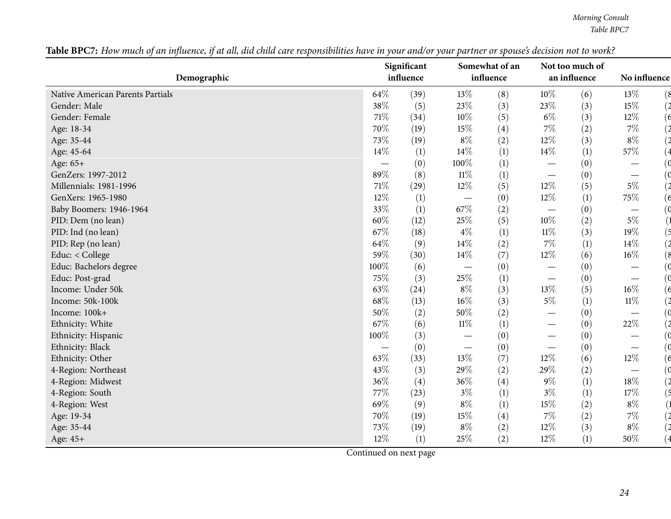<span id="page-23-0"></span>

|                                  | Significant |      |                                 | Somewhat of an |        | Not too much of |                                 |  |
|----------------------------------|-------------|------|---------------------------------|----------------|--------|-----------------|---------------------------------|--|
| Demographic                      | influence   |      |                                 | influence      |        | an influence    | No influence                    |  |
| Native American Parents Partials | 64%         | (39) | 13%                             | (8)            | $10\%$ | (6)             | 13%<br>(8                       |  |
| Gender: Male                     | 38%         | (5)  | 23%                             | (3)            | 23%    | (3)             | 15%                             |  |
| Gender: Female                   | 71%         | (34) | $10\%$                          | (5)            | $6\%$  | (3)             | $12\%$<br>(6                    |  |
| Age: 18-34                       | 70%         | (19) | 15%                             | (4)            | 7%     | (2)             | $7\%$                           |  |
| Age: 35-44                       | 73%         | (19) | $8\%$                           | (2)            | 12%    | (3)             | $8\%$                           |  |
| Age: 45-64                       | 14\%        | (1)  | 14\%                            | (1)            | 14%    | (1)             | 57\%                            |  |
| Age: 65+                         |             | (0)  | 100%                            | (1)            |        | (0)             |                                 |  |
| GenZers: 1997-2012               | 89%         | (8)  | $11\%$                          | (1)            |        | (0)             | $\overline{\phantom{0}}$        |  |
| Millennials: 1981-1996           | 71%         | (29) | $12\%$                          | (5)            | $12\%$ | (5)             | $5\%$                           |  |
| GenXers: 1965-1980               | 12%         | (1)  |                                 | (0)            | 12%    | (1)             | 75%<br>6                        |  |
| Baby Boomers: 1946-1964          | 33%         | (1)  | 67\%                            | (2)            |        | (0)             |                                 |  |
| PID: Dem (no lean)               | 60%         | (12) | 25%                             | (5)            | 10%    | (2)             | $5\%$                           |  |
| PID: Ind (no lean)               | 67%         | (18) | $4\%$                           | (1)            | $11\%$ | (3)             | 19%                             |  |
| PID: Rep (no lean)               | 64%         | (9)  | $14\%$                          | (2)            | 7%     | (1)             | 14%                             |  |
| Educ: < College                  | 59%         | (30) | $14\%$                          | (7)            | 12%    | (6)             | $16\%$<br>8)                    |  |
| Educ: Bachelors degree           | 100%        | (6)  |                                 | (0)            |        | (0)             |                                 |  |
| Educ: Post-grad                  | 75%         | (3)  | 25%                             | (1)            |        | (0)             | $\hspace{0.05cm}$               |  |
| Income: Under 50k                | 63%         | (24) | $8\%$                           | (3)            | 13%    | (5)             | $16\%$                          |  |
| Income: 50k-100k                 | 68%         | (13) | 16%                             | (3)            | $5\%$  | (1)             | $11\%$                          |  |
| Income: 100k+                    | $50\%$      | (2)  | 50%                             | (2)            |        | (0)             |                                 |  |
| Ethnicity: White                 | 67%         | (6)  | $11\%$                          | (1)            |        | (0)             | $22\%$                          |  |
| Ethnicity: Hispanic              | 100%        | (3)  |                                 | (0)            | —      | (0)             |                                 |  |
| Ethnicity: Black                 |             | (0)  | $\hspace{0.1mm}-\hspace{0.1mm}$ | (0)            |        | (0)             | $\hspace{0.1mm}-\hspace{0.1mm}$ |  |
| Ethnicity: Other                 | 63%         | (33) | $13\%$                          | (7)            | 12%    | (6)             | $12\%$<br>6                     |  |
| 4-Region: Northeast              | 43%         | (3)  | 29%                             | (2)            | 29%    | (2)             | $\overline{\phantom{0}}$        |  |
| 4-Region: Midwest                | 36%         | (4)  | 36%                             | (4)            | $9\%$  | (1)             | $18\%$                          |  |
| 4-Region: South                  | 77%         | (23) | $3\%$                           | (1)            | $3\%$  | (1)             | $17\%$                          |  |
| 4-Region: West                   | 69%         | (9)  | $8\%$                           | (1)            | 15%    | (2)             | $8\%$                           |  |
| Age: 19-34                       | 70%         | (19) | $15\%$                          | (4)            | 7%     | (2)             | $7\%$                           |  |
| Age: 35-44                       | 73%         | (19) | $8\%$                           | (2)            | 12%    | (3)             | $8\%$                           |  |
| Age: 45+                         | 12%         | (1)  | 25%                             | (2)            | 12%    | (1)             | 50%                             |  |

Table BPC7: How much of an influence, if at all, did child care responsibilities have in your and/or your partner or spouse's decision not to work?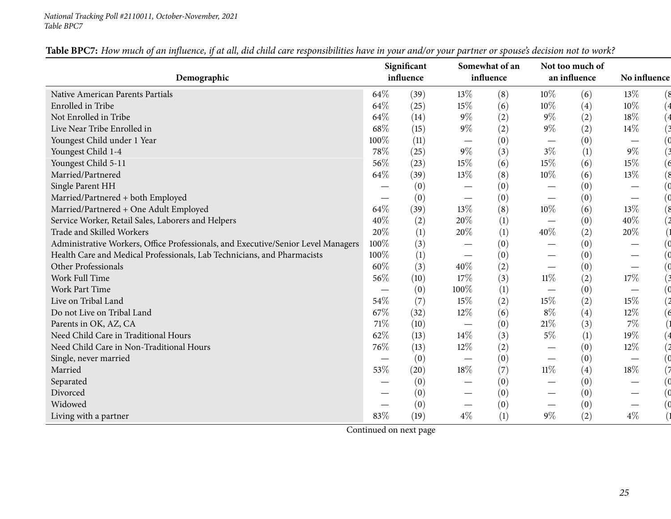#### *National Tracking Poll #2110011, October-November, <sup>2021</sup> Table BPC7*

|                                                                                   |      | Significant |                                   | Somewhat of an |        | Not too much of  |                                |
|-----------------------------------------------------------------------------------|------|-------------|-----------------------------------|----------------|--------|------------------|--------------------------------|
| Demographic                                                                       |      | influence   |                                   | influence      |        | an influence     | No influence                   |
| Native American Parents Partials                                                  | 64\% | (39)        | 13%                               | (8)            | 10%    | (6)              | 13%<br>8)                      |
| Enrolled in Tribe                                                                 | 64\% | (25)        | 15%                               | (6)            | 10%    | (4)              | $10\%$                         |
| Not Enrolled in Tribe                                                             | 64\% | (14)        | 9%                                | (2)            | $9\%$  | (2)              | 18%                            |
| Live Near Tribe Enrolled in                                                       | 68%  | (15)        | $9\%$                             | (2)            | $9\%$  | (2)              | $14\%$                         |
| Youngest Child under 1 Year                                                       | 100% | (11)        |                                   | (0)            |        | (0)              |                                |
| Youngest Child 1-4                                                                | 78%  | (25)        | $9\%$                             | (3)            | $3\%$  | (1)              | $9\%$                          |
| Youngest Child 5-11                                                               | 56%  | (23)        | 15%                               | (6)            | $15\%$ | (6)              | 15%<br>$\epsilon$              |
| Married/Partnered                                                                 | 64\% | (39)        | 13%                               | (8)            | $10\%$ | (6)              | 13%<br>8)                      |
| Single Parent HH                                                                  |      | (0)         |                                   | (0)            |        | (0)              |                                |
| Married/Partnered + both Employed                                                 |      | (0)         | $\hspace{0.1mm}-\hspace{0.1mm}$   | (0)            |        | (0)              |                                |
| Married/Partnered + One Adult Employed                                            | 64\% | (39)        | 13%                               | (8)            | 10%    | (6)              | 13%<br>8)                      |
| Service Worker, Retail Sales, Laborers and Helpers                                | 40%  | (2)         | 20%                               | (1)            |        | (0)              | 40%                            |
| Trade and Skilled Workers                                                         | 20%  | (1)         | 20%                               | (1)            | 40%    | (2)              | 20%                            |
| Administrative Workers, Office Professionals, and Executive/Senior Level Managers | 100% | (3)         |                                   | (0)            |        | (0)              |                                |
| Health Care and Medical Professionals, Lab Technicians, and Pharmacists           | 100% | (1)         |                                   | (0)            |        | (0)              |                                |
| Other Professionals                                                               | 60%  | (3)         | 40%                               | (2)            |        | (0)              |                                |
| Work Full Time                                                                    | 56%  | (10)        | 17%                               | (3)            | $11\%$ | (2)              | 17%                            |
| <b>Work Part Time</b>                                                             |      | (0)         | 100%                              | (1)            |        | (0)              |                                |
| Live on Tribal Land                                                               | 54%  | (7)         | 15%                               | (2)            | $15\%$ | (2)              | 15%                            |
| Do not Live on Tribal Land                                                        | 67\% | (32)        | 12%                               | (6)            | $8\%$  | (4)              | 12%                            |
| Parents in OK, AZ, CA                                                             | 71\% | (10)        |                                   | (0)            | $21\%$ | (3)              | $7\%$                          |
| Need Child Care in Traditional Hours                                              | 62%  | (13)        | 14%                               | (3)            | $5\%$  | $\left(1\right)$ | 19%                            |
| Need Child Care in Non-Traditional Hours                                          | 76%  | (13)        | 12%                               | (2)            |        | (0)              | 12%                            |
| Single, never married                                                             |      | (0)         |                                   | (0)            |        | (0)              |                                |
| Married                                                                           | 53%  | (20)        | 18%                               | (7)            | $11\%$ | (4)              | 18%                            |
| Separated                                                                         |      | (0)         |                                   | (0)            |        | (0)              |                                |
| Divorced                                                                          |      | (0)         | $\hspace{0.1mm}-\hspace{0.1mm}$   | (0)            |        | (0)              |                                |
| Widowed                                                                           |      | (0)         | $\overbrace{\phantom{123221111}}$ | (0)            |        | (0)              | $\overbrace{\phantom{123321}}$ |
| Living with a partner                                                             | 83%  | (19)        | $4\%$                             | (1)            | $9\%$  | (2)              | $4\%$                          |

Table BPC7: How much of an influence, if at all, did child care responsibilities have in your and/or your partner or spouse's decision not to work?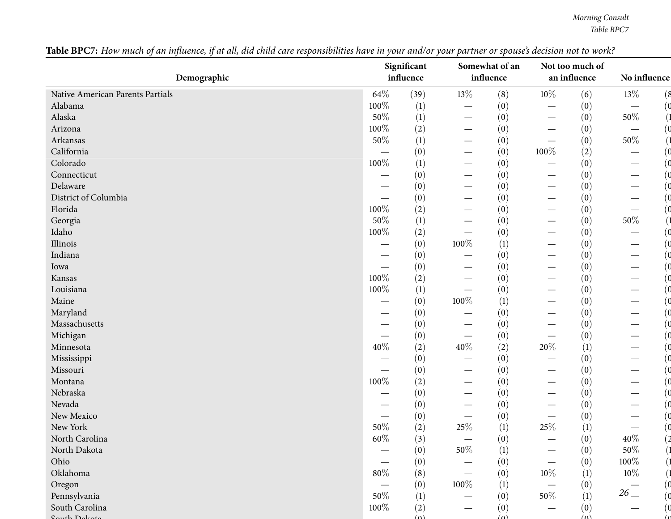| Demographic                      |                          | Significant<br>influence |                                   | Somewhat of an<br>influence |                                   | Not too much of<br>an influence | No influence                    |  |
|----------------------------------|--------------------------|--------------------------|-----------------------------------|-----------------------------|-----------------------------------|---------------------------------|---------------------------------|--|
|                                  |                          |                          |                                   |                             |                                   |                                 |                                 |  |
| Native American Parents Partials | $64\%$                   | (39)                     | $13\%$                            | (8)                         | $10\%$                            | (6)                             | $13\%$<br>(8                    |  |
| Alabama                          | 100%                     | (1)                      | $\overline{\phantom{m}}$          | (0)                         |                                   | (0)                             | $\overline{\phantom{m}}$        |  |
| Alaska                           | 50%                      | (1)                      | $\hspace{0.1mm}-\hspace{0.1mm}$   | (0)                         | $\overbrace{\phantom{13333}}$     | (0)                             | $50\%$                          |  |
| Arizona                          | $100\%$                  | (2)                      | $\hspace{0.05cm}$                 | (0)                         |                                   | (0)                             | $\overbrace{\phantom{13333}}$   |  |
| Arkansas                         | $50\%$                   | (1)                      | $\overbrace{\phantom{12332}}$     | (0)                         | $\overbrace{\phantom{12322111}}$  | (0)                             | $50\%$                          |  |
| California                       |                          | (0)                      | $\hspace{0.05cm}$                 | (0)                         | 100%                              | (2)                             | $\hspace{0.05cm}$               |  |
| Colorado                         | 100%                     | (1)                      | $\overbrace{\phantom{12332}}$     | (0)                         |                                   | (0)                             |                                 |  |
| Connecticut                      | --                       | (0)                      |                                   | (0)                         |                                   | (0)                             |                                 |  |
| Delaware                         |                          | (0)                      |                                   | (0)                         |                                   | (0)                             |                                 |  |
| District of Columbia             |                          | (0)                      | $\hspace{0.05cm}$                 | (0)                         | $\hspace{0.1mm}-\hspace{0.1mm}$   | (0)                             |                                 |  |
| Florida                          | 100%                     | (2)                      |                                   | (0)                         |                                   | (0)                             |                                 |  |
| Georgia                          | $50\%$                   | (1)                      |                                   | (0)                         |                                   | (0)                             | $50\%$                          |  |
| Idaho                            | 100%                     | (2)                      |                                   | (0)                         | $\overline{\phantom{0}}$          | (0)                             |                                 |  |
| Illinois                         |                          | (0)                      | 100%                              | $\left(1\right)$            | $\hspace{0.1mm}-\hspace{0.1mm}$   | (0)                             | $\hspace{0.05cm}$               |  |
| Indiana                          |                          | (0)                      |                                   | (0)                         |                                   | (0)                             | $\overbrace{\phantom{123321}}$  |  |
| Iowa                             |                          | (0)                      |                                   | (0)                         |                                   | (0)                             | $\overbrace{\phantom{123321}}$  |  |
| Kansas                           | 100%                     | (2)                      |                                   | (0)                         | —                                 | (0)                             | $\hspace{0.1mm}-\hspace{0.1mm}$ |  |
| Louisiana                        | 100%                     | $\left(1\right)$         | $\hspace{0.1mm}-\hspace{0.1mm}$   | (0)                         | $\hspace{0.1mm}-\hspace{0.1mm}$   | (0)                             | $\hspace{0.1mm}-\hspace{0.1mm}$ |  |
| Maine                            |                          | (0)                      | 100%                              | (1)                         |                                   | (0)                             |                                 |  |
| Maryland                         |                          | (0)                      |                                   | (0)                         |                                   | (0)                             |                                 |  |
| Massachusetts                    |                          | (0)                      |                                   | (0)                         |                                   | (0)                             |                                 |  |
| Michigan                         |                          | (0)                      | $\overbrace{\phantom{123221111}}$ | (0)                         |                                   | (0)                             |                                 |  |
| Minnesota                        | 40%                      | (2)                      | 40%                               | (2)                         | 20%                               | $\left(1\right)$                |                                 |  |
| Mississippi                      |                          | (0)                      |                                   | (0)                         |                                   | (0)                             |                                 |  |
| Missouri                         |                          | (0)                      |                                   | (0)                         |                                   | (0)                             |                                 |  |
| Montana                          | 100%                     | (2)                      | $\hspace{0.05cm}$                 | (0)                         |                                   | (0)                             | —                               |  |
| Nebraska                         |                          | (0)                      |                                   | (0)                         |                                   | (0)                             | $\hspace{0.05cm}$               |  |
| Nevada                           |                          | (0)                      | $\hspace{0.05cm}$                 | (0)                         |                                   | (0)                             |                                 |  |
| New Mexico                       | $\overline{\phantom{0}}$ | (0)                      | $\hspace{0.1mm}-\hspace{0.1mm}$   | (0)                         | $\overbrace{\phantom{13333}}$     | (0)                             |                                 |  |
| New York                         | $50\%$                   | (2)                      | $25\%$                            | (1)                         | 25%                               | $\left(1\right)$                | $\overbrace{\phantom{13333}}$   |  |
| North Carolina                   | $60\%$                   | (3)                      |                                   | (0)                         |                                   | (0)                             | $40\%$                          |  |
| North Dakota                     |                          | (0)                      | $50\%$                            | (1)                         |                                   | (0)                             | $50\%$                          |  |
| Ohio                             |                          | (0)                      |                                   | (0)                         | $\overline{\phantom{0}}$          | (0)                             | 100%                            |  |
| Oklahoma                         | $80\%$                   | (8)                      |                                   | (0)                         | $10\%$                            | (1)                             | $10\%$                          |  |
| Oregon                           |                          | (0)                      | 100%                              | $\left(1\right)$            | $\overbrace{\phantom{123221111}}$ | (0)                             | O                               |  |
| Pennsylvania                     | 50%                      | (1)                      |                                   | (0)                         | 50%                               | (1)                             | $26$ $-$                        |  |
| South Carolina                   | 100%                     | (2)                      |                                   | (0)                         |                                   | (0)                             | (0                              |  |
| uth Delvet                       |                          | $(\Omega)$               |                                   | $(\Omega)$                  |                                   | (n)                             |                                 |  |

Table BPC7: How much of an influence, if at all, did child care responsibilities have in your and/or your partner or spouse's decision not to work?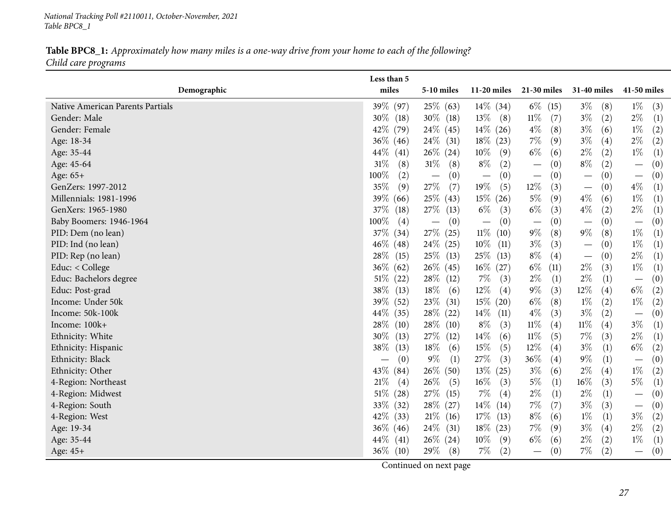*National Tracking Poll #2110011, October-November, <sup>2021</sup> Table BPC8\_1*

## Table BPC8\_1: Approximately how many miles is a one-way drive from your home to each of the following? *Child care programs*

<span id="page-26-0"></span>

| miles<br>Demographic<br>$11-20$ miles<br>21-30 miles<br>31-40 miles<br>41-50 miles<br>5-10 miles<br>39% (97)<br>$25\%$ (63)<br>$14\%$ (34)<br>$6\%$ (15)<br>$3\%$<br>$1\%$<br>Native American Parents Partials<br>(8)<br>(3)<br>$3\%$<br>30%<br>$30\%$ (18)<br>$13\%$<br>$11\%$<br>$2\%$<br>(1)<br>Gender: Male<br>(2)<br>(18)<br>(8)<br>(7)<br>42\%<br>$24\%$ (45)<br>$14\%$ (26)<br>$4\%$<br>$3\%$<br>$1\%$<br>(79)<br>(8)<br>(6)<br>(2)<br>Gender: Female<br>$3\%$<br>$2\%$<br>36\%<br>$24\%$ (31)<br>$18\%$ (23)<br>$7\%$<br>(9)<br>(4)<br>(2)<br>Age: 18-34<br>(46)<br>$26\%$ (24)<br>$6\%$<br>$2\%$<br>$1\%$<br>$10\%$<br>(2)<br>$44\%$<br>(9)<br>(6)<br>(1)<br>Age: 35-44<br>(41)<br>$31\%$<br>$31\%$<br>$8\%$<br>$8\%$<br>(2)<br>(2)<br>Age: 45-64<br>(8)<br>(0)<br>(0)<br>(8)<br>$\overline{\phantom{m}}$<br>$\overline{\phantom{m}}$<br>100%<br>(0)<br>(0)<br>Age: 65+<br>(2)<br>(0)<br>(0)<br>(0)<br>$\overline{\phantom{m}}$<br>$\overbrace{\phantom{12322111}}$<br>$\overline{\phantom{m}}$<br>$\overbrace{\phantom{123221111}}$<br>$\overline{\phantom{m}}$<br>35%<br>27\%<br>19%<br>$12\%$<br>$4\%$<br>(9)<br>(7)<br>(5)<br>(1)<br>GenZers: 1997-2012<br>(3)<br>(0)<br>$\qquad \qquad$<br>$5\%$<br>$1\%$<br>Millennials: 1981-1996<br>$25\%$ (43)<br>$15\%$ (26)<br>(9)<br>$4\%$<br>$\left( 1\right)$<br>$39\%$<br>(6)<br>(66)<br>$6\%$<br>$4\%$<br>$2\%$<br>27\%<br>$6\%$<br>GenXers: 1965-1980<br>37%<br>(3)<br>(3)<br>(2)<br>$\left(1\right)$<br>(18)<br>(13)<br>100%<br>(0)<br>(0)<br>(0)<br>(0)<br>(0)<br>Baby Boomers: 1946-1964<br>(4)<br>$\overline{\phantom{m}}$<br>$\overline{\phantom{m}}$<br>$\overline{\phantom{m}}$<br>$\qquad \qquad -$<br>37%<br>27\% (25)<br>$11\%$<br>$9\%$<br>$9\%$<br>$1\%$<br>(8)<br>(8)<br>(10)<br>(1)<br>PID: Dem (no lean)<br>(34)<br>$3\%$<br>46\%<br>$24\%$ (25)<br>$10\%$<br>(3)<br>$1\%$<br>PID: Ind (no lean)<br>$\left( 1\right)$<br>(48)<br>(11)<br>(0)<br>$\qquad \qquad -$<br>$8\%$<br>$2\%$<br>$25\%$ (13)<br>(1)<br>PID: Rep (no lean)<br>28\%<br>(15)<br>$25\%$ (13)<br>(4)<br>(0)<br>$\qquad \qquad -$<br>$26\%$ (45)<br>$6\%$<br>$2\%$<br>$1\%$<br>Educ: < College<br>$36\%$<br>$16\%$ (27)<br>(3)<br>(62)<br>(11)<br>$\left(1\right)$<br>28\% (12)<br>$7\%$<br>$2\%$<br>$2\%$<br>Educ: Bachelors degree<br>$51\%$<br>(3)<br>(1)<br>(0)<br>(22)<br>(1)<br>38%<br>$18\%$<br>$12\%$<br>$9\%$<br>12%<br>$6\%$<br>Educ: Post-grad<br>(13)<br>(6)<br>(4)<br>(3)<br>(4)<br>(2)<br>$6\%$<br>39%<br>$23\%$ (31)<br>$15\%$ (20)<br>(8)<br>$1\%$<br>(2)<br>$1\%$<br>Income: Under 50k<br>(52)<br>(2)<br>28\% (22)<br>$4\%$<br>$3\%$<br>Income: 50k-100k<br>$44\%$<br>$14\%$<br>(3)<br>(2)<br>(0)<br>(35)<br>(11)<br>$\overline{\phantom{m}}$<br>$28\%$ (10)<br>$11\%$<br>$3\%$<br>Income: 100k+<br>28\%<br>$8\%$<br>$11\%$<br>(3)<br>(4)<br>(4)<br>$\left(1\right)$<br>(10)<br>30%<br>27\% (12)<br>$14\%$<br>$11\%$<br>$7\%$<br>$2\%$<br>(6)<br>(3)<br>(1)<br>Ethnicity: White<br>(13)<br>(5)<br>38%<br>18%<br>15%<br>$12\%$<br>$3\%$<br>$6\%$<br>(5)<br>(4)<br>(1)<br>(2)<br>(6)<br>Ethnicity: Hispanic<br>(13)<br>$9\%$<br>$27\%$<br>36%<br>$9\%$<br>Ethnicity: Black<br>(1)<br>(3)<br>(4)<br>(1)<br>(0)<br>(0)<br>$\overline{\phantom{m}}$<br>$26\%$ (50)<br>$2\%$<br>43\%<br>$13\%$ (25)<br>$3\%$<br>(6)<br>(4)<br>$1\%$<br>(2)<br>Ethnicity: Other<br>(84)<br>$16\%$<br>$5\%$<br>26\%<br>$16\%$<br>$5\%$<br>21%<br>(3)<br>(3)<br>4-Region: Northeast<br>(4)<br>(5)<br>$\left(1\right)$<br>$\left(1\right)$<br>$2\%$<br>$51\%$<br>27\% (15)<br>$7\%$<br>$2\%$<br>(28)<br>(4)<br>(1)<br>(0)<br>4-Region: Midwest<br>(1)<br>$\overline{\phantom{m}}$<br>33%<br>28\% (27)<br>$7\%$<br>$3\%$<br>14%<br>(3)<br>(7)<br>(0)<br>4-Region: South<br>(32)<br>(14)<br>$\overline{\phantom{m}}$<br>$8\%$<br>42\%<br>$21\%$ (16)<br>$17\%$<br>$1\%$<br>$3\%$<br>4-Region: West<br>(6)<br>(1)<br>(2)<br>(33)<br>(13)<br>$2\%$<br>$24\%$ (31)<br>$18\%$ (23)<br>$7\%$<br>$3\%$<br>(2)<br>$36\%$ (46)<br>(9)<br>(4)<br>Age: 19-34<br>$6\%$<br>$44\%$<br>$26\%$ (24)<br>$10\%$<br>$2\%$<br>(2)<br>$1\%$<br>Age: 35-44<br>(41)<br>(9)<br>(6)<br>$\left(1\right)$<br>29%<br>$36\%$ (10)<br>$7\%$<br>(2)<br>$7\%$<br>(2)<br>(8)<br>(0)<br>(0)<br>Age: 45+<br>$\overline{\phantom{m}}$ | Less than 5 |  |  |  |
|----------------------------------------------------------------------------------------------------------------------------------------------------------------------------------------------------------------------------------------------------------------------------------------------------------------------------------------------------------------------------------------------------------------------------------------------------------------------------------------------------------------------------------------------------------------------------------------------------------------------------------------------------------------------------------------------------------------------------------------------------------------------------------------------------------------------------------------------------------------------------------------------------------------------------------------------------------------------------------------------------------------------------------------------------------------------------------------------------------------------------------------------------------------------------------------------------------------------------------------------------------------------------------------------------------------------------------------------------------------------------------------------------------------------------------------------------------------------------------------------------------------------------------------------------------------------------------------------------------------------------------------------------------------------------------------------------------------------------------------------------------------------------------------------------------------------------------------------------------------------------------------------------------------------------------------------------------------------------------------------------------------------------------------------------------------------------------------------------------------------------------------------------------------------------------------------------------------------------------------------------------------------------------------------------------------------------------------------------------------------------------------------------------------------------------------------------------------------------------------------------------------------------------------------------------------------------------------------------------------------------------------------------------------------------------------------------------------------------------------------------------------------------------------------------------------------------------------------------------------------------------------------------------------------------------------------------------------------------------------------------------------------------------------------------------------------------------------------------------------------------------------------------------------------------------------------------------------------------------------------------------------------------------------------------------------------------------------------------------------------------------------------------------------------------------------------------------------------------------------------------------------------------------------------------------------------------------------------------------------------------------------------------------------------------------------------------------------------------------------------------------------------------------------------------------------------------------------------------------------------------------------------------------------------------------------------------------------------------------------------------------------------------------------------------------------------------------------------------------------------------------------------------------------------------------------------------------------------------------|-------------|--|--|--|
|                                                                                                                                                                                                                                                                                                                                                                                                                                                                                                                                                                                                                                                                                                                                                                                                                                                                                                                                                                                                                                                                                                                                                                                                                                                                                                                                                                                                                                                                                                                                                                                                                                                                                                                                                                                                                                                                                                                                                                                                                                                                                                                                                                                                                                                                                                                                                                                                                                                                                                                                                                                                                                                                                                                                                                                                                                                                                                                                                                                                                                                                                                                                                                                                                                                                                                                                                                                                                                                                                                                                                                                                                                                                                                                                                                                                                                                                                                                                                                                                                                                                                                                                                                                                                                  |             |  |  |  |
|                                                                                                                                                                                                                                                                                                                                                                                                                                                                                                                                                                                                                                                                                                                                                                                                                                                                                                                                                                                                                                                                                                                                                                                                                                                                                                                                                                                                                                                                                                                                                                                                                                                                                                                                                                                                                                                                                                                                                                                                                                                                                                                                                                                                                                                                                                                                                                                                                                                                                                                                                                                                                                                                                                                                                                                                                                                                                                                                                                                                                                                                                                                                                                                                                                                                                                                                                                                                                                                                                                                                                                                                                                                                                                                                                                                                                                                                                                                                                                                                                                                                                                                                                                                                                                  |             |  |  |  |
|                                                                                                                                                                                                                                                                                                                                                                                                                                                                                                                                                                                                                                                                                                                                                                                                                                                                                                                                                                                                                                                                                                                                                                                                                                                                                                                                                                                                                                                                                                                                                                                                                                                                                                                                                                                                                                                                                                                                                                                                                                                                                                                                                                                                                                                                                                                                                                                                                                                                                                                                                                                                                                                                                                                                                                                                                                                                                                                                                                                                                                                                                                                                                                                                                                                                                                                                                                                                                                                                                                                                                                                                                                                                                                                                                                                                                                                                                                                                                                                                                                                                                                                                                                                                                                  |             |  |  |  |
|                                                                                                                                                                                                                                                                                                                                                                                                                                                                                                                                                                                                                                                                                                                                                                                                                                                                                                                                                                                                                                                                                                                                                                                                                                                                                                                                                                                                                                                                                                                                                                                                                                                                                                                                                                                                                                                                                                                                                                                                                                                                                                                                                                                                                                                                                                                                                                                                                                                                                                                                                                                                                                                                                                                                                                                                                                                                                                                                                                                                                                                                                                                                                                                                                                                                                                                                                                                                                                                                                                                                                                                                                                                                                                                                                                                                                                                                                                                                                                                                                                                                                                                                                                                                                                  |             |  |  |  |
|                                                                                                                                                                                                                                                                                                                                                                                                                                                                                                                                                                                                                                                                                                                                                                                                                                                                                                                                                                                                                                                                                                                                                                                                                                                                                                                                                                                                                                                                                                                                                                                                                                                                                                                                                                                                                                                                                                                                                                                                                                                                                                                                                                                                                                                                                                                                                                                                                                                                                                                                                                                                                                                                                                                                                                                                                                                                                                                                                                                                                                                                                                                                                                                                                                                                                                                                                                                                                                                                                                                                                                                                                                                                                                                                                                                                                                                                                                                                                                                                                                                                                                                                                                                                                                  |             |  |  |  |
|                                                                                                                                                                                                                                                                                                                                                                                                                                                                                                                                                                                                                                                                                                                                                                                                                                                                                                                                                                                                                                                                                                                                                                                                                                                                                                                                                                                                                                                                                                                                                                                                                                                                                                                                                                                                                                                                                                                                                                                                                                                                                                                                                                                                                                                                                                                                                                                                                                                                                                                                                                                                                                                                                                                                                                                                                                                                                                                                                                                                                                                                                                                                                                                                                                                                                                                                                                                                                                                                                                                                                                                                                                                                                                                                                                                                                                                                                                                                                                                                                                                                                                                                                                                                                                  |             |  |  |  |
|                                                                                                                                                                                                                                                                                                                                                                                                                                                                                                                                                                                                                                                                                                                                                                                                                                                                                                                                                                                                                                                                                                                                                                                                                                                                                                                                                                                                                                                                                                                                                                                                                                                                                                                                                                                                                                                                                                                                                                                                                                                                                                                                                                                                                                                                                                                                                                                                                                                                                                                                                                                                                                                                                                                                                                                                                                                                                                                                                                                                                                                                                                                                                                                                                                                                                                                                                                                                                                                                                                                                                                                                                                                                                                                                                                                                                                                                                                                                                                                                                                                                                                                                                                                                                                  |             |  |  |  |
|                                                                                                                                                                                                                                                                                                                                                                                                                                                                                                                                                                                                                                                                                                                                                                                                                                                                                                                                                                                                                                                                                                                                                                                                                                                                                                                                                                                                                                                                                                                                                                                                                                                                                                                                                                                                                                                                                                                                                                                                                                                                                                                                                                                                                                                                                                                                                                                                                                                                                                                                                                                                                                                                                                                                                                                                                                                                                                                                                                                                                                                                                                                                                                                                                                                                                                                                                                                                                                                                                                                                                                                                                                                                                                                                                                                                                                                                                                                                                                                                                                                                                                                                                                                                                                  |             |  |  |  |
|                                                                                                                                                                                                                                                                                                                                                                                                                                                                                                                                                                                                                                                                                                                                                                                                                                                                                                                                                                                                                                                                                                                                                                                                                                                                                                                                                                                                                                                                                                                                                                                                                                                                                                                                                                                                                                                                                                                                                                                                                                                                                                                                                                                                                                                                                                                                                                                                                                                                                                                                                                                                                                                                                                                                                                                                                                                                                                                                                                                                                                                                                                                                                                                                                                                                                                                                                                                                                                                                                                                                                                                                                                                                                                                                                                                                                                                                                                                                                                                                                                                                                                                                                                                                                                  |             |  |  |  |
|                                                                                                                                                                                                                                                                                                                                                                                                                                                                                                                                                                                                                                                                                                                                                                                                                                                                                                                                                                                                                                                                                                                                                                                                                                                                                                                                                                                                                                                                                                                                                                                                                                                                                                                                                                                                                                                                                                                                                                                                                                                                                                                                                                                                                                                                                                                                                                                                                                                                                                                                                                                                                                                                                                                                                                                                                                                                                                                                                                                                                                                                                                                                                                                                                                                                                                                                                                                                                                                                                                                                                                                                                                                                                                                                                                                                                                                                                                                                                                                                                                                                                                                                                                                                                                  |             |  |  |  |
|                                                                                                                                                                                                                                                                                                                                                                                                                                                                                                                                                                                                                                                                                                                                                                                                                                                                                                                                                                                                                                                                                                                                                                                                                                                                                                                                                                                                                                                                                                                                                                                                                                                                                                                                                                                                                                                                                                                                                                                                                                                                                                                                                                                                                                                                                                                                                                                                                                                                                                                                                                                                                                                                                                                                                                                                                                                                                                                                                                                                                                                                                                                                                                                                                                                                                                                                                                                                                                                                                                                                                                                                                                                                                                                                                                                                                                                                                                                                                                                                                                                                                                                                                                                                                                  |             |  |  |  |
|                                                                                                                                                                                                                                                                                                                                                                                                                                                                                                                                                                                                                                                                                                                                                                                                                                                                                                                                                                                                                                                                                                                                                                                                                                                                                                                                                                                                                                                                                                                                                                                                                                                                                                                                                                                                                                                                                                                                                                                                                                                                                                                                                                                                                                                                                                                                                                                                                                                                                                                                                                                                                                                                                                                                                                                                                                                                                                                                                                                                                                                                                                                                                                                                                                                                                                                                                                                                                                                                                                                                                                                                                                                                                                                                                                                                                                                                                                                                                                                                                                                                                                                                                                                                                                  |             |  |  |  |
|                                                                                                                                                                                                                                                                                                                                                                                                                                                                                                                                                                                                                                                                                                                                                                                                                                                                                                                                                                                                                                                                                                                                                                                                                                                                                                                                                                                                                                                                                                                                                                                                                                                                                                                                                                                                                                                                                                                                                                                                                                                                                                                                                                                                                                                                                                                                                                                                                                                                                                                                                                                                                                                                                                                                                                                                                                                                                                                                                                                                                                                                                                                                                                                                                                                                                                                                                                                                                                                                                                                                                                                                                                                                                                                                                                                                                                                                                                                                                                                                                                                                                                                                                                                                                                  |             |  |  |  |
|                                                                                                                                                                                                                                                                                                                                                                                                                                                                                                                                                                                                                                                                                                                                                                                                                                                                                                                                                                                                                                                                                                                                                                                                                                                                                                                                                                                                                                                                                                                                                                                                                                                                                                                                                                                                                                                                                                                                                                                                                                                                                                                                                                                                                                                                                                                                                                                                                                                                                                                                                                                                                                                                                                                                                                                                                                                                                                                                                                                                                                                                                                                                                                                                                                                                                                                                                                                                                                                                                                                                                                                                                                                                                                                                                                                                                                                                                                                                                                                                                                                                                                                                                                                                                                  |             |  |  |  |
|                                                                                                                                                                                                                                                                                                                                                                                                                                                                                                                                                                                                                                                                                                                                                                                                                                                                                                                                                                                                                                                                                                                                                                                                                                                                                                                                                                                                                                                                                                                                                                                                                                                                                                                                                                                                                                                                                                                                                                                                                                                                                                                                                                                                                                                                                                                                                                                                                                                                                                                                                                                                                                                                                                                                                                                                                                                                                                                                                                                                                                                                                                                                                                                                                                                                                                                                                                                                                                                                                                                                                                                                                                                                                                                                                                                                                                                                                                                                                                                                                                                                                                                                                                                                                                  |             |  |  |  |
|                                                                                                                                                                                                                                                                                                                                                                                                                                                                                                                                                                                                                                                                                                                                                                                                                                                                                                                                                                                                                                                                                                                                                                                                                                                                                                                                                                                                                                                                                                                                                                                                                                                                                                                                                                                                                                                                                                                                                                                                                                                                                                                                                                                                                                                                                                                                                                                                                                                                                                                                                                                                                                                                                                                                                                                                                                                                                                                                                                                                                                                                                                                                                                                                                                                                                                                                                                                                                                                                                                                                                                                                                                                                                                                                                                                                                                                                                                                                                                                                                                                                                                                                                                                                                                  |             |  |  |  |
|                                                                                                                                                                                                                                                                                                                                                                                                                                                                                                                                                                                                                                                                                                                                                                                                                                                                                                                                                                                                                                                                                                                                                                                                                                                                                                                                                                                                                                                                                                                                                                                                                                                                                                                                                                                                                                                                                                                                                                                                                                                                                                                                                                                                                                                                                                                                                                                                                                                                                                                                                                                                                                                                                                                                                                                                                                                                                                                                                                                                                                                                                                                                                                                                                                                                                                                                                                                                                                                                                                                                                                                                                                                                                                                                                                                                                                                                                                                                                                                                                                                                                                                                                                                                                                  |             |  |  |  |
|                                                                                                                                                                                                                                                                                                                                                                                                                                                                                                                                                                                                                                                                                                                                                                                                                                                                                                                                                                                                                                                                                                                                                                                                                                                                                                                                                                                                                                                                                                                                                                                                                                                                                                                                                                                                                                                                                                                                                                                                                                                                                                                                                                                                                                                                                                                                                                                                                                                                                                                                                                                                                                                                                                                                                                                                                                                                                                                                                                                                                                                                                                                                                                                                                                                                                                                                                                                                                                                                                                                                                                                                                                                                                                                                                                                                                                                                                                                                                                                                                                                                                                                                                                                                                                  |             |  |  |  |
|                                                                                                                                                                                                                                                                                                                                                                                                                                                                                                                                                                                                                                                                                                                                                                                                                                                                                                                                                                                                                                                                                                                                                                                                                                                                                                                                                                                                                                                                                                                                                                                                                                                                                                                                                                                                                                                                                                                                                                                                                                                                                                                                                                                                                                                                                                                                                                                                                                                                                                                                                                                                                                                                                                                                                                                                                                                                                                                                                                                                                                                                                                                                                                                                                                                                                                                                                                                                                                                                                                                                                                                                                                                                                                                                                                                                                                                                                                                                                                                                                                                                                                                                                                                                                                  |             |  |  |  |
|                                                                                                                                                                                                                                                                                                                                                                                                                                                                                                                                                                                                                                                                                                                                                                                                                                                                                                                                                                                                                                                                                                                                                                                                                                                                                                                                                                                                                                                                                                                                                                                                                                                                                                                                                                                                                                                                                                                                                                                                                                                                                                                                                                                                                                                                                                                                                                                                                                                                                                                                                                                                                                                                                                                                                                                                                                                                                                                                                                                                                                                                                                                                                                                                                                                                                                                                                                                                                                                                                                                                                                                                                                                                                                                                                                                                                                                                                                                                                                                                                                                                                                                                                                                                                                  |             |  |  |  |
|                                                                                                                                                                                                                                                                                                                                                                                                                                                                                                                                                                                                                                                                                                                                                                                                                                                                                                                                                                                                                                                                                                                                                                                                                                                                                                                                                                                                                                                                                                                                                                                                                                                                                                                                                                                                                                                                                                                                                                                                                                                                                                                                                                                                                                                                                                                                                                                                                                                                                                                                                                                                                                                                                                                                                                                                                                                                                                                                                                                                                                                                                                                                                                                                                                                                                                                                                                                                                                                                                                                                                                                                                                                                                                                                                                                                                                                                                                                                                                                                                                                                                                                                                                                                                                  |             |  |  |  |
|                                                                                                                                                                                                                                                                                                                                                                                                                                                                                                                                                                                                                                                                                                                                                                                                                                                                                                                                                                                                                                                                                                                                                                                                                                                                                                                                                                                                                                                                                                                                                                                                                                                                                                                                                                                                                                                                                                                                                                                                                                                                                                                                                                                                                                                                                                                                                                                                                                                                                                                                                                                                                                                                                                                                                                                                                                                                                                                                                                                                                                                                                                                                                                                                                                                                                                                                                                                                                                                                                                                                                                                                                                                                                                                                                                                                                                                                                                                                                                                                                                                                                                                                                                                                                                  |             |  |  |  |
|                                                                                                                                                                                                                                                                                                                                                                                                                                                                                                                                                                                                                                                                                                                                                                                                                                                                                                                                                                                                                                                                                                                                                                                                                                                                                                                                                                                                                                                                                                                                                                                                                                                                                                                                                                                                                                                                                                                                                                                                                                                                                                                                                                                                                                                                                                                                                                                                                                                                                                                                                                                                                                                                                                                                                                                                                                                                                                                                                                                                                                                                                                                                                                                                                                                                                                                                                                                                                                                                                                                                                                                                                                                                                                                                                                                                                                                                                                                                                                                                                                                                                                                                                                                                                                  |             |  |  |  |
|                                                                                                                                                                                                                                                                                                                                                                                                                                                                                                                                                                                                                                                                                                                                                                                                                                                                                                                                                                                                                                                                                                                                                                                                                                                                                                                                                                                                                                                                                                                                                                                                                                                                                                                                                                                                                                                                                                                                                                                                                                                                                                                                                                                                                                                                                                                                                                                                                                                                                                                                                                                                                                                                                                                                                                                                                                                                                                                                                                                                                                                                                                                                                                                                                                                                                                                                                                                                                                                                                                                                                                                                                                                                                                                                                                                                                                                                                                                                                                                                                                                                                                                                                                                                                                  |             |  |  |  |
|                                                                                                                                                                                                                                                                                                                                                                                                                                                                                                                                                                                                                                                                                                                                                                                                                                                                                                                                                                                                                                                                                                                                                                                                                                                                                                                                                                                                                                                                                                                                                                                                                                                                                                                                                                                                                                                                                                                                                                                                                                                                                                                                                                                                                                                                                                                                                                                                                                                                                                                                                                                                                                                                                                                                                                                                                                                                                                                                                                                                                                                                                                                                                                                                                                                                                                                                                                                                                                                                                                                                                                                                                                                                                                                                                                                                                                                                                                                                                                                                                                                                                                                                                                                                                                  |             |  |  |  |
|                                                                                                                                                                                                                                                                                                                                                                                                                                                                                                                                                                                                                                                                                                                                                                                                                                                                                                                                                                                                                                                                                                                                                                                                                                                                                                                                                                                                                                                                                                                                                                                                                                                                                                                                                                                                                                                                                                                                                                                                                                                                                                                                                                                                                                                                                                                                                                                                                                                                                                                                                                                                                                                                                                                                                                                                                                                                                                                                                                                                                                                                                                                                                                                                                                                                                                                                                                                                                                                                                                                                                                                                                                                                                                                                                                                                                                                                                                                                                                                                                                                                                                                                                                                                                                  |             |  |  |  |
|                                                                                                                                                                                                                                                                                                                                                                                                                                                                                                                                                                                                                                                                                                                                                                                                                                                                                                                                                                                                                                                                                                                                                                                                                                                                                                                                                                                                                                                                                                                                                                                                                                                                                                                                                                                                                                                                                                                                                                                                                                                                                                                                                                                                                                                                                                                                                                                                                                                                                                                                                                                                                                                                                                                                                                                                                                                                                                                                                                                                                                                                                                                                                                                                                                                                                                                                                                                                                                                                                                                                                                                                                                                                                                                                                                                                                                                                                                                                                                                                                                                                                                                                                                                                                                  |             |  |  |  |
|                                                                                                                                                                                                                                                                                                                                                                                                                                                                                                                                                                                                                                                                                                                                                                                                                                                                                                                                                                                                                                                                                                                                                                                                                                                                                                                                                                                                                                                                                                                                                                                                                                                                                                                                                                                                                                                                                                                                                                                                                                                                                                                                                                                                                                                                                                                                                                                                                                                                                                                                                                                                                                                                                                                                                                                                                                                                                                                                                                                                                                                                                                                                                                                                                                                                                                                                                                                                                                                                                                                                                                                                                                                                                                                                                                                                                                                                                                                                                                                                                                                                                                                                                                                                                                  |             |  |  |  |
|                                                                                                                                                                                                                                                                                                                                                                                                                                                                                                                                                                                                                                                                                                                                                                                                                                                                                                                                                                                                                                                                                                                                                                                                                                                                                                                                                                                                                                                                                                                                                                                                                                                                                                                                                                                                                                                                                                                                                                                                                                                                                                                                                                                                                                                                                                                                                                                                                                                                                                                                                                                                                                                                                                                                                                                                                                                                                                                                                                                                                                                                                                                                                                                                                                                                                                                                                                                                                                                                                                                                                                                                                                                                                                                                                                                                                                                                                                                                                                                                                                                                                                                                                                                                                                  |             |  |  |  |
|                                                                                                                                                                                                                                                                                                                                                                                                                                                                                                                                                                                                                                                                                                                                                                                                                                                                                                                                                                                                                                                                                                                                                                                                                                                                                                                                                                                                                                                                                                                                                                                                                                                                                                                                                                                                                                                                                                                                                                                                                                                                                                                                                                                                                                                                                                                                                                                                                                                                                                                                                                                                                                                                                                                                                                                                                                                                                                                                                                                                                                                                                                                                                                                                                                                                                                                                                                                                                                                                                                                                                                                                                                                                                                                                                                                                                                                                                                                                                                                                                                                                                                                                                                                                                                  |             |  |  |  |
|                                                                                                                                                                                                                                                                                                                                                                                                                                                                                                                                                                                                                                                                                                                                                                                                                                                                                                                                                                                                                                                                                                                                                                                                                                                                                                                                                                                                                                                                                                                                                                                                                                                                                                                                                                                                                                                                                                                                                                                                                                                                                                                                                                                                                                                                                                                                                                                                                                                                                                                                                                                                                                                                                                                                                                                                                                                                                                                                                                                                                                                                                                                                                                                                                                                                                                                                                                                                                                                                                                                                                                                                                                                                                                                                                                                                                                                                                                                                                                                                                                                                                                                                                                                                                                  |             |  |  |  |
|                                                                                                                                                                                                                                                                                                                                                                                                                                                                                                                                                                                                                                                                                                                                                                                                                                                                                                                                                                                                                                                                                                                                                                                                                                                                                                                                                                                                                                                                                                                                                                                                                                                                                                                                                                                                                                                                                                                                                                                                                                                                                                                                                                                                                                                                                                                                                                                                                                                                                                                                                                                                                                                                                                                                                                                                                                                                                                                                                                                                                                                                                                                                                                                                                                                                                                                                                                                                                                                                                                                                                                                                                                                                                                                                                                                                                                                                                                                                                                                                                                                                                                                                                                                                                                  |             |  |  |  |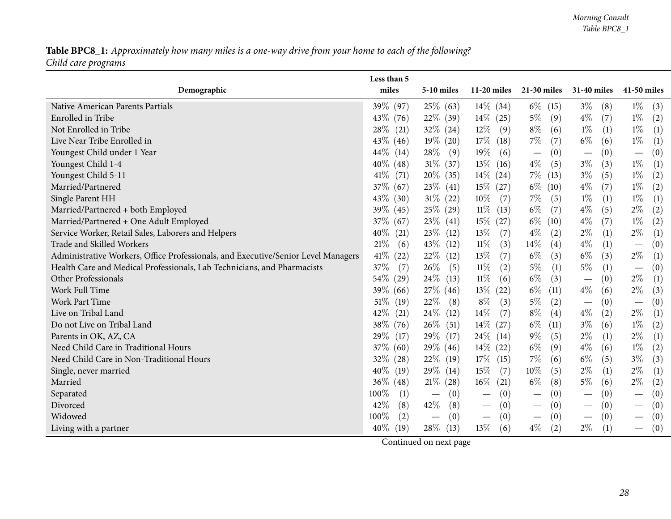## Table BPC8\_1: Approximately how many miles is a one-way drive from your home to each of the following? *Child care programs*

|                                                                                   | Less than 5   |                                 |                                        |                                        |              |                                               |
|-----------------------------------------------------------------------------------|---------------|---------------------------------|----------------------------------------|----------------------------------------|--------------|-----------------------------------------------|
| Demographic                                                                       | miles         | $5-10$ miles                    | $11-20$ miles                          | $21-30$ miles                          | 31-40 miles  | 41-50 miles                                   |
| Native American Parents Partials                                                  | 39\% (97)     | $25\%$ (63)                     | $14\%$ (34)                            | $6\%$ (15)                             | $3\%$<br>(8) | $1\%$<br>(3)                                  |
| Enrolled in Tribe                                                                 | 43\% (76)     | $22\%$ (39)                     | $14\%$ (25)                            | $5\%$<br>(9)                           | $4\%$<br>(7) | $1\%$<br>(2)                                  |
| Not Enrolled in Tribe                                                             | 28\%<br>(21)  | $32\%$ (24)                     | $12\%$<br>(9)                          | $8\%$<br>(6)                           | $1\%$<br>(1) | $1\%$<br>(1)                                  |
| Live Near Tribe Enrolled in                                                       | 43\%<br>(46)  | $19\%$ (20)                     | $17\%$<br>(18)                         | $7\%$<br>(7)                           | $6\%$<br>(6) | $1\%$<br>(1)                                  |
| Youngest Child under 1 Year                                                       | 44\%<br>(14)  | $28\%$<br>(9)                   | $19\%$<br>(6)                          | (0)<br>$\overline{\phantom{m}}$        | (0)          | $\left( 0\right)$<br>$\overline{\phantom{m}}$ |
| Youngest Child 1-4                                                                | $40\%$ (48)   | $31\%$ (37)                     | $13\%$ (16)                            | $4\%$<br>(5)                           | $3\%$<br>(3) | $1\%$<br>(1)                                  |
| Youngest Child 5-11                                                               | 41\%<br>(71)  | $20\%$ (35)                     | $14\%$ (24)                            | $7\%$ (13)                             | $3\%$<br>(5) | $1\%$<br>$\left( 2\right)$                    |
| Married/Partnered                                                                 | $37\%$ (67)   | $23\%$ (41)                     | $15\%$ (27)                            | $6\%$ (10)                             | $4\%$<br>(7) | $1\%$<br>(2)                                  |
| Single Parent HH                                                                  | 43\%<br>(30)  | $31\%$ (22)                     | $10\%$<br>(7)                          | $7\%$<br>(5)                           | $1\%$<br>(1) | $1\%$<br>(1)                                  |
| Married/Partnered + both Employed                                                 | 39%<br>(45)   | 25% (29)                        | $11\%$ (13)                            | $6\%$<br>(7)                           | $4\%$<br>(5) | $2\%$<br>(2)                                  |
| Married/Partnered + One Adult Employed                                            | $37\%$ (67)   | $23\%$ (41)                     | $15\%$ (27)                            | $6\%$ (10)                             | $4\%$<br>(7) | $1\%$<br>(2)                                  |
| Service Worker, Retail Sales, Laborers and Helpers                                | 40%<br>(21)   | $23\%$ (12)                     | 13\%<br>(7)                            | $4\%$<br>(2)                           | $2\%$<br>(1) | $2\%$<br>(1)                                  |
| Trade and Skilled Workers                                                         | $21\%$<br>(6) | 43\% (12)                       | $11\%$<br>(3)                          | 14\%<br>(4)                            | $4\%$<br>(1) | (0)<br>$\overline{\phantom{m}}$               |
| Administrative Workers, Office Professionals, and Executive/Senior Level Managers | $41\%$ (22)   | $22\%$<br>(12)                  | 13\%<br>(7)                            | $6\%$<br>(3)                           | $6\%$<br>(3) | $2\%$<br>(1)                                  |
| Health Care and Medical Professionals, Lab Technicians, and Pharmacists           | 37%<br>(7)    | 26\%<br>(5)                     | $11\%$<br>(2)                          | $5\%$<br>$\left(1\right)$              | $5\%$<br>(1) | (0)<br>$\overline{\phantom{m}}$               |
| Other Professionals                                                               | 54\%<br>(29)  | $24\%$ (13)                     | $11\%$<br>(6)                          | $6\%$<br>(3)                           | (0)          | $2\%$<br>(1)                                  |
| <b>Work Full Time</b>                                                             | $39\%$ (66)   | $27\%$ (46)                     | $13\%$ (22)                            | $6\%$<br>(11)                          | $4\%$<br>(6) | $2\%$<br>(3)                                  |
| Work Part Time                                                                    | 51\%<br>(19)  | 22\%<br>(8)                     | $8\%$<br>(3)                           | $5\%$<br>(2)                           | (0)          | (0)<br>$\overline{\phantom{m}}$               |
| Live on Tribal Land                                                               | 42%<br>(21)   | $24\%$ (12)                     | $14\%$<br>(7)                          | $8\%$<br>(4)                           | $4\%$<br>(2) | $2\%$<br>(1)                                  |
| Do not Live on Tribal Land                                                        | 38\%<br>(76)  | $26\%$ (51)                     | $14\%$ (27)                            | $6\%$<br>(11)                          | $3\%$<br>(6) | $1\%$<br>(2)                                  |
| Parents in OK, AZ, CA                                                             | 29%<br>(17)   | 29\% (17)                       | $24\%$ (14)                            | $9\%$<br>(5)                           | $2\%$<br>(1) | $2\%$<br>(1)                                  |
| Need Child Care in Traditional Hours                                              | 37%<br>(60)   | 29\% (46)                       | $14\%$ (22)                            | $6\%$<br>(9)                           | $4\%$<br>(6) | $1\%$<br>(2)                                  |
| Need Child Care in Non-Traditional Hours                                          | 32\%<br>(28)  | 22\% (19)                       | $17\%$ (15)                            | $7\%$<br>(6)                           | $6\%$<br>(5) | $3\%$<br>(3)                                  |
| Single, never married                                                             | 40%<br>(19)   | 29\% (14)                       | 15%<br>(7)                             | $10\%$<br>(5)                          | $2\%$<br>(1) | $2\%$<br>(1)                                  |
| Married                                                                           | 36\%<br>(48)  | $21\%$ (28)                     | $16\%$ (21)                            | $6\%$<br>(8)                           | $5\%$<br>(6) | $2\%$<br>(2)                                  |
| Separated                                                                         | 100%<br>(1)   | (0)<br>$\overline{\phantom{m}}$ | (0)<br>$\overline{\phantom{m}}$        | (0)<br>$\overline{\phantom{m}}$        | (0)          | $\left( 0\right)$                             |
| Divorced                                                                          | 42%<br>(8)    | 42%<br>(8)                      | (0)<br>$\hspace{0.1mm}-\hspace{0.1mm}$ | (0)<br>$\hspace{0.1mm}-\hspace{0.1mm}$ | (0)          | (0)                                           |
| Widowed                                                                           | 100%<br>(2)   | (0)                             | (0)                                    | (0)<br>$\overline{\phantom{m}}$        | (0)          | (0)                                           |
| Living with a partner                                                             | 40%<br>(19)   | $28\%$ (13)                     | $13\%$<br>(6)                          | $4\%$<br>(2)                           | $2\%$<br>(1) | (0)                                           |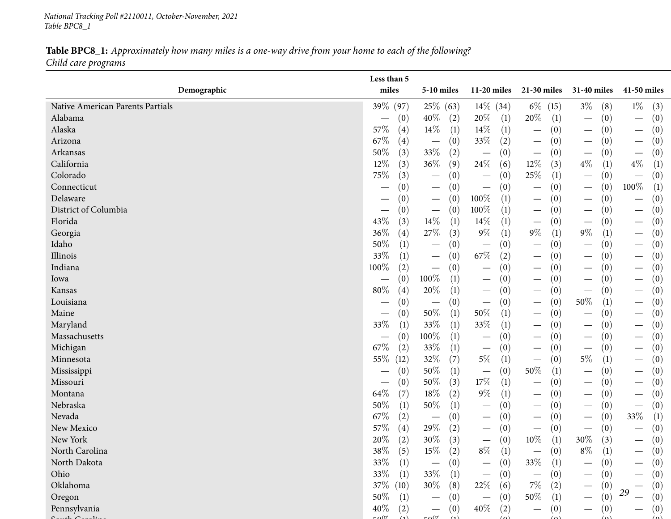*National Tracking Poll #2110011, October-November, <sup>2021</sup> Table BPC8\_1*

## Table BPC8\_1: Approximately how many miles is a one-way drive from your home to each of the following? *Child care programs*

|                                  | Less than 5                   |                                        |                                        |                                        |                                        |                                        |
|----------------------------------|-------------------------------|----------------------------------------|----------------------------------------|----------------------------------------|----------------------------------------|----------------------------------------|
| Demographic                      | miles                         | $5-10$ miles                           | $11-20$ miles                          | 21-30 miles                            | 31-40 miles                            | 41-50 miles                            |
| Native American Parents Partials | 39% (97)                      | 25\% (63)                              | $14\%$ (34)                            | $6\%$ (15)                             | $3\%$<br>(8)                           | $1\%$<br>(3)                           |
| Alabama                          | (0)                           | $40\%$<br>(2)                          | 20%<br>$\left(1\right)$                | 20%<br>(1)                             | (0)<br>$\overline{\phantom{m}}$        | (0)<br>$\overline{\phantom{m}}$        |
| Alaska                           | 57\%                          | $14\%$                                 | $14\%$                                 | (0)                                    | (0)                                    | (0)                                    |
|                                  | (4)                           | (1)                                    | $\left(1\right)$                       | $\overline{\phantom{m}}$               | $\overline{\phantom{0}}$               | $\hspace{0.1mm}-\hspace{0.1mm}$        |
| Arizona                          | 67\%                          | (0)                                    | 33%                                    | (0)                                    | (0)                                    | (0)                                    |
|                                  | (4)                           | $\overline{\phantom{m}}$               | (2)                                    | $\overline{\phantom{m}}$               |                                        | $\overline{\phantom{m}}$               |
| Arkansas                         | 50%                           | 33%                                    | (0)                                    | (0)                                    | (0)                                    | (0)                                    |
|                                  | (3)                           | (2)                                    | $\overline{\phantom{m}}$               | $\overline{\phantom{m}}$               | $\overbrace{\phantom{13333}}$          | $\overline{\phantom{m}}$               |
| California                       | 12%                           | 36\%                                   | 24\%                                   | $12\%$                                 | $4\%$                                  | $4\%$                                  |
|                                  | (3)                           | (9)                                    | (6)                                    | (3)                                    | (1)                                    | (1)                                    |
| Colorado                         | 75%                           | (0)                                    | (0)                                    | 25\%                                   | (0)                                    | (0)                                    |
|                                  | (3)                           | $\hspace{0.1mm}-\hspace{0.1mm}$        | $\hspace{0.1mm}-\hspace{0.1mm}$        | (1)                                    | $\overline{\phantom{m}}$               | $\hspace{0.1mm}-\hspace{0.1mm}$        |
| Connecticut                      | (0)                           | (0)<br>$\hspace{0.1mm}-\hspace{0.1mm}$ | (0)<br>$\hspace{0.1mm}-\hspace{0.1mm}$ | (0)<br>—                               | (0)<br>$\qquad \qquad -$               | 100%<br>(1)                            |
| Delaware                         | (0)                           | (0)<br>$\hspace{0.1mm}-\hspace{0.1mm}$ | $100\%$<br>(1)                         | (0)<br>$\hspace{0.1mm}-\hspace{0.1mm}$ | (0)                                    | (0)                                    |
| District of Columbia             | (0)                           | (0)<br>$\hspace{0.1mm}-\hspace{0.1mm}$ | 100%<br>(1)                            | (0)<br>$\hspace{0.1mm}-\hspace{0.1mm}$ | (0)<br>$\hspace{0.1mm}-\hspace{0.1mm}$ | (0)<br>$\hspace{0.1mm}-\hspace{0.1mm}$ |
| Florida                          | 43%                           | $14\%$                                 | 14%                                    | (0)                                    | (0)                                    | (0)                                    |
|                                  | (3)                           | (1)                                    | (1)                                    | $\overline{\phantom{m}}$               | $\overline{\phantom{m}}$               | $\hspace{0.1mm}-\hspace{0.1mm}$        |
| Georgia                          | 36%                           | $27\%$                                 | $9\%$                                  | $9\%$                                  | $9\%$                                  | (0)                                    |
|                                  | (4)                           | (3)                                    | (1)                                    | (1)                                    | (1)                                    | $\overline{\phantom{m}}$               |
| Idaho                            | 50%                           | (0)                                    | (0)                                    | (0)                                    | (0)                                    | (0)                                    |
|                                  | $\left(1\right)$              | $\hspace{0.1mm}-\hspace{0.1mm}$        |                                        |                                        | $\overline{\phantom{0}}$               | $\hspace{0.1mm}-\hspace{0.1mm}$        |
| Illinois                         | 33%                           | (0)                                    | $67\%$                                 | (0)                                    | (0)                                    | (0)                                    |
|                                  | (1)                           | $\hspace{0.1mm}-\hspace{0.1mm}$        | (2)                                    | $\hspace{0.1mm}-\hspace{0.1mm}$        | $\hspace{0.1mm}-\hspace{0.1mm}$        | $\hspace{0.1mm}-\hspace{0.1mm}$        |
| Indiana                          | 100%                          | (0)                                    | (0)                                    | (0)                                    | (0)                                    | (0)                                    |
|                                  | (2)                           | $\hspace{0.1mm}-\hspace{0.1mm}$        | $\hspace{0.1mm}-\hspace{0.1mm}$        |                                        | $\overbrace{\hspace{15em}}$            | $\hspace{0.1mm}-\hspace{0.1mm}$        |
| Iowa                             | (0)                           | 100%                                   | (0)                                    | (0)                                    | (0)                                    | (0)                                    |
|                                  | $\overbrace{\phantom{13333}}$ | (1)                                    | $\hspace{0.1mm}-\hspace{0.1mm}$        | $\overline{\phantom{0}}$               |                                        | $\hspace{0.1mm}-\hspace{0.1mm}$        |
| Kansas                           | 80%                           | 20%                                    | (0)                                    | (0)                                    | (0)                                    | (0)                                    |
|                                  | (4)                           | (1)                                    | $\hspace{0.1mm}-\hspace{0.1mm}$        | $\overline{\phantom{0}}$               | $\overbrace{\phantom{13333}}$          | $\hspace{0.1mm}-\hspace{0.1mm}$        |
| Louisiana                        | (0)                           | (0)<br>$\qquad \qquad -$               | (0)<br>$\overline{\phantom{m}}$        | (0)<br>$\hspace{0.1mm}-\hspace{0.1mm}$ | 50\%<br>(1)                            | (0)<br>$\hspace{0.1mm}-\hspace{0.1mm}$ |
| Maine                            | (0)                           | $50\%$                                 | 50%                                    | (0)                                    | (0)                                    | (0)                                    |
|                                  |                               | (1)                                    | $\left(1\right)$                       | $\hspace{0.1mm}-\hspace{0.1mm}$        |                                        | $\overline{\phantom{0}}$               |
| Maryland                         | 33%                           | $33\%$                                 | 33%                                    | (0)                                    | (0)                                    | (0)                                    |
|                                  | (1)                           | (1)                                    | (1)                                    | $\overbrace{\phantom{aaaaa}}$          | $\overline{\phantom{m}}$               | $\hspace{0.1mm}-\hspace{0.1mm}$        |
| Massachusetts                    | (0)                           | 100%<br>(1)                            | (0)<br>$\hspace{0.1mm}-\hspace{0.1mm}$ | (0)                                    | (0)                                    | (0)<br>$\overline{\phantom{0}}$        |
| Michigan                         | 67\%                          | 33%                                    | (0)                                    | (0)                                    | (0)                                    | (0)                                    |
|                                  | (2)                           | (1)                                    | $\hspace{0.1mm}-\hspace{0.1mm}$        | $\hspace{0.1mm}-\hspace{0.1mm}$        | $\hspace{0.1mm}-\hspace{0.1mm}$        | $\hspace{0.1mm}-\hspace{0.1mm}$        |
| Minnesota                        | 55%                           | 32\%                                   | $5\%$                                  | (0)                                    | $5\%$                                  | (0)                                    |
|                                  | (12)                          | (7)                                    | (1)                                    | $\overline{\phantom{m}}$               | (1)                                    | $\hspace{0.1mm}-\hspace{0.1mm}$        |
| Mississippi                      | (0)                           | $50\%$                                 | (0)                                    | 50%                                    | (0)                                    | (0)                                    |
|                                  |                               | (1)                                    | $\hspace{0.1mm}-\hspace{0.1mm}$        | (1)                                    | $\hspace{0.1mm}-\hspace{0.1mm}$        | $\hspace{0.1mm}-\hspace{0.1mm}$        |
| Missouri                         | (0)                           | 50%                                    | $17\%$                                 | (0)                                    | (0)                                    | (0)                                    |
|                                  |                               | (3)                                    | (1)                                    | $\hspace{0.1mm}-\hspace{0.1mm}$        | $\hspace{0.1mm}-\hspace{0.1mm}$        | $\hspace{0.1mm}-\hspace{0.1mm}$        |
| Montana                          | 64\%                          | 18%                                    | $9\%$                                  | (0)                                    | (0)                                    | (0)                                    |
|                                  | (7)                           | (2)                                    | (1)                                    | $\hspace{0.1mm}-\hspace{0.1mm}$        | $\hspace{0.1mm}-\hspace{0.1mm}$        | $\hspace{0.1mm}-\hspace{0.1mm}$        |
| Nebraska                         | 50%                           | $50\%$                                 | (0)                                    | (0)                                    | (0)                                    | (0)                                    |
|                                  | (1)                           | (1)                                    | $\overline{\phantom{m}}$               | $\hspace{0.1mm}-\hspace{0.1mm}$        | $\overbrace{\hspace{15em}}$            | $\hspace{0.1mm}-\hspace{0.1mm}$        |
| Nevada                           | 67\%                          | (0)                                    | (0)                                    | (0)                                    | (0)                                    | 33\%                                   |
|                                  | (2)                           | $\overline{\phantom{m}}$               | $\hspace{0.1mm}-\hspace{0.1mm}$        | $\hspace{0.1mm}-\hspace{0.1mm}$        | $\overline{\phantom{m}}$               | (1)                                    |
| New Mexico                       | 57%                           | 29%                                    | (0)                                    | (0)                                    | (0)                                    | (0)                                    |
|                                  | (4)                           | (2)                                    | $\hspace{0.05cm}$                      | $\hspace{0.1mm}-\hspace{0.1mm}$        | $\hspace{0.1mm}-\hspace{0.1mm}$        | $\overbrace{\phantom{aaaaa}}$          |
| New York                         | 20%                           | $30\%$                                 | (0)                                    | $10\%$                                 | 30\%                                   | (0)                                    |
|                                  | (2)                           | (3)                                    | $\overline{\phantom{m}}$               | (1)                                    | (3)                                    | $\hspace{0.1mm}-\hspace{0.1mm}$        |
| North Carolina                   | $38\%$<br>(5)                 | $15\%$<br>(2)                          | $8\%$<br>$\left(1\right)$              | (0)                                    | $8\%$<br>(1)                           | (0)                                    |
| North Dakota                     | $33\%$<br>(1)                 | (0)                                    | (0)<br>$\overline{\phantom{0}}$        | 33\%<br>(1)                            | (0)                                    | (0)                                    |
| Ohio                             | $33\%$<br>(1)                 | 33\%<br>(1)                            | (0)<br>$\overline{\phantom{0}}$        | (0)<br>$\overline{\phantom{m}}$        | (0)                                    | (0)                                    |
| Oklahoma                         | 37\% (10)                     | $30\%$<br>(8)                          | 22\%<br>(6)                            | $7\%$<br>(2)                           | (0)                                    | (0)                                    |
| Oregon                           | 50%<br>(1)                    | (0)                                    | (0)<br>$\overbrace{\phantom{13333}}$   | $50\%$<br>(1)                          | (0)                                    | 29<br>(0)                              |
| Pennsylvania                     | 40%<br>(2)                    | (0)                                    | $40\%$<br>(2)                          | (0)                                    | (0)                                    | (0)                                    |
| $1\Omega$                        |                               | $F \cap \mathbb{C}$                    | $\sqrt{2}$                             |                                        | $\sqrt{2}$                             |                                        |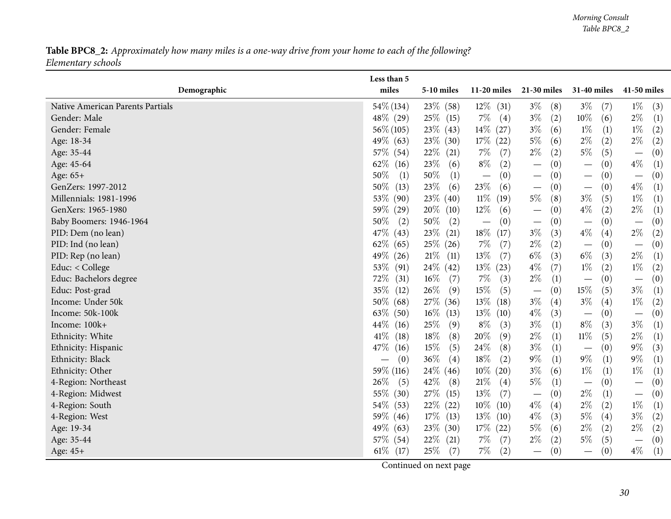## Table BPC8\_2: Approximately how many miles is a one-way drive from your home to each of the following? *Elementary schools*

<span id="page-29-0"></span>

| miles<br>Demographic<br>5-10 miles<br>$11-20$ miles<br>21-30 miles<br>31-40 miles<br>41-50 miles<br>54\% (134)<br>$23\%$ (58)<br>$12\%$ (31)<br>$3\%$<br>$3\%$<br>$1\%$<br>Native American Parents Partials<br>(3)<br>(8)<br>(7)<br>48% (29)<br>$25\%$ (15)<br>$7\%$<br>$3\%$<br>$10\%$<br>$2\%$<br>(2)<br>(1)<br>Gender: Male<br>$\left( 4\right)$<br>(6)<br>$56\% (105)$<br>$23\%$ (43)<br>$14\%$ (27)<br>$3\%$<br>$1\%$<br>(1)<br>$1\%$<br>(2)<br>Gender: Female<br>(6)<br>$5\%$<br>$2\%$<br>49\% (63)<br>$23\%$ (30)<br>$17\%$ (22)<br>$2\%$<br>(2)<br>(2)<br>Age: 18-34<br>(6) |
|-------------------------------------------------------------------------------------------------------------------------------------------------------------------------------------------------------------------------------------------------------------------------------------------------------------------------------------------------------------------------------------------------------------------------------------------------------------------------------------------------------------------------------------------------------------------------------------|
|                                                                                                                                                                                                                                                                                                                                                                                                                                                                                                                                                                                     |
|                                                                                                                                                                                                                                                                                                                                                                                                                                                                                                                                                                                     |
|                                                                                                                                                                                                                                                                                                                                                                                                                                                                                                                                                                                     |
|                                                                                                                                                                                                                                                                                                                                                                                                                                                                                                                                                                                     |
|                                                                                                                                                                                                                                                                                                                                                                                                                                                                                                                                                                                     |
| $2\%$<br>$5\%$<br>$22\%$ (21)<br>$7\%$<br>(5)<br>57\% (54)<br>(7)<br>(2)<br>(0)<br>Age: 35-44<br>$\overline{\phantom{0}}$                                                                                                                                                                                                                                                                                                                                                                                                                                                           |
| $8\%$<br>62\%<br>23\%<br>$4\%$<br>(2)<br>Age: 45-64<br>(0)<br>(0)<br>(1)<br>(16)<br>(6)<br>$\overline{\phantom{m}}$                                                                                                                                                                                                                                                                                                                                                                                                                                                                 |
| $50\%$<br>$50\%$<br>(0)<br>Age: 65+<br>(1)<br>(0)<br>(0)<br>(0)<br>(1)<br>$\overline{\phantom{m}}$<br>$\overline{\phantom{m}}$                                                                                                                                                                                                                                                                                                                                                                                                                                                      |
| $23\%$<br>$4\%$<br>50%<br>23\%<br>GenZers: 1997-2012<br>(13)<br>(6)<br>(6)<br>(1)<br>(0)<br>(0)<br>$\overline{\phantom{m}}$                                                                                                                                                                                                                                                                                                                                                                                                                                                         |
| $5\%$<br>$1\%$<br>53\%<br>$23\%$ (40)<br>$11\%$<br>$3\%$<br>(1)<br>Millennials: 1981-1996<br>(90)<br>(19)<br>(8)<br>(5)                                                                                                                                                                                                                                                                                                                                                                                                                                                             |
| $2\%$<br>$20\%$ (10)<br>$12\%$<br>$4\%$<br>GenXers: 1965-1980<br>59% (29)<br>(6)<br>(2)<br>(0)<br>(1)<br>$\overline{\phantom{m}}$                                                                                                                                                                                                                                                                                                                                                                                                                                                   |
| 50%<br>$50\%$<br>Baby Boomers: 1946-1964<br>(2)<br>(2)<br>(0)<br>(0)<br>(0)<br>(0)<br>$\overline{\phantom{m}}$<br>$\overline{\phantom{m}}$<br>$\overline{\phantom{m}}$                                                                                                                                                                                                                                                                                                                                                                                                              |
| $3\%$<br>47\%<br>$23\%$ (21)<br>$18\%$<br>$4\%$<br>$2\%$<br>(3)<br>(4)<br>PID: Dem (no lean)<br>(43)<br>(17)<br>(2)                                                                                                                                                                                                                                                                                                                                                                                                                                                                 |
| $2\%$<br>62%<br>25\% (26)<br>$7\%$<br>PID: Ind (no lean)<br>(2)<br>(0)<br>(65)<br>(7)<br>(0)<br>$\overline{\phantom{m}}$                                                                                                                                                                                                                                                                                                                                                                                                                                                            |
| $6\%$<br>13\%<br>$6\%$<br>$2\%$<br>49%<br>$21\%$ (11)<br>(7)<br>(3)<br>(3)<br>(1)<br>PID: Rep (no lean)<br>(26)                                                                                                                                                                                                                                                                                                                                                                                                                                                                     |
| $4\%$<br>$1\%$<br>$1\%$<br>53\%<br>$24\%$ (42)<br>$13\%$ (23)<br>(7)<br>(2)<br>Educ: < College<br>(91)<br>$\left( 2\right)$                                                                                                                                                                                                                                                                                                                                                                                                                                                         |
| 72\%<br>$16\%$<br>$2\%$<br>Educ: Bachelors degree<br>$7\%$<br>(3)<br>(0)<br>(0)<br>(31)<br>(7)<br>(1)<br>$\overline{\phantom{m}}$<br>$\overline{\phantom{m}}$                                                                                                                                                                                                                                                                                                                                                                                                                       |
| 35%<br>26\%<br>$15\%$<br>$15\%$<br>$3\%$<br>(5)<br>(5)<br>Educ: Post-grad<br>(12)<br>(9)<br>(0)<br>(1)<br>$\overline{\phantom{m}}$                                                                                                                                                                                                                                                                                                                                                                                                                                                  |
| $13\%$<br>$3\%$<br>$3\%$<br>50%<br>27\% (36)<br>$1\%$<br>Income: Under 50k<br>(68)<br>(18)<br>(4)<br>(4)<br>$\left( 2\right)$                                                                                                                                                                                                                                                                                                                                                                                                                                                       |
| $4\%$<br>63\%<br>$16\%$ (13)<br>$13\%$<br>Income: 50k-100k<br>(50)<br>(10)<br>(3)<br>(0)<br>(0)<br>$\overline{\phantom{m}}$                                                                                                                                                                                                                                                                                                                                                                                                                                                         |
| $3\%$<br>$8\%$<br>$44\%$<br>25\%<br>$3\%$<br>Income: 100k+<br>(9)<br>$8\%$<br>(1)<br>(3)<br>(3)<br>$\left(1\right)$<br>(16)                                                                                                                                                                                                                                                                                                                                                                                                                                                         |
| $2\%$<br>$11\%$<br>41\%<br>$18\%$<br>$20\%$<br>$2\%$<br>(8)<br>(9)<br>(1)<br>(5)<br>Ethnicity: White<br>(18)<br>(1)                                                                                                                                                                                                                                                                                                                                                                                                                                                                 |
| $15\%$<br>$24\%$<br>$3\%$<br>47\%<br>$9\%$<br>(8)<br>(1)<br>(0)<br>(3)<br>Ethnicity: Hispanic<br>(5)<br>(16)<br>$\overline{\phantom{0}}$                                                                                                                                                                                                                                                                                                                                                                                                                                            |
| $9\%$<br>36\%<br>18%<br>$9\%$<br>$9\%$<br>Ethnicity: Black<br>(0)<br>(4)<br>(2)<br>(1)<br>(1)<br>(1)<br>$\hspace{0.05cm}$                                                                                                                                                                                                                                                                                                                                                                                                                                                           |
| $1\%$<br>59\% (116)<br>$3\%$<br>$1\%$<br>$24\%$ (46)<br>$10\%$ (20)<br>(6)<br>(1)<br>(1)<br>Ethnicity: Other                                                                                                                                                                                                                                                                                                                                                                                                                                                                        |
| 42\%<br>$5\%$<br>$26\%$<br>21%<br>4-Region: Northeast<br>(8)<br>(4)<br>(0)<br>(0)<br>(5)<br>(1)<br>$\overbrace{\phantom{123221111}}$<br>$\overline{\phantom{m}}$                                                                                                                                                                                                                                                                                                                                                                                                                    |
| 55\%<br>27\% (15)<br>13%<br>$2\%$<br>(7)<br>4-Region: Midwest<br>(30)<br>(0)<br>(1)<br>(0)<br>$\overline{\phantom{m}}$<br>$\overline{\phantom{m}}$                                                                                                                                                                                                                                                                                                                                                                                                                                  |
| 54\%<br>22% (22)<br>$10\%$<br>$4\%$<br>$2\%$<br>$1\%$<br>(2)<br>(53)<br>(10)<br>(4)<br>(1)<br>4-Region: South                                                                                                                                                                                                                                                                                                                                                                                                                                                                       |
| 13%<br>$4\%$<br>59\%<br>$17\%$ (13)<br>$5\%$<br>$3\%$<br>4-Region: West<br>(3)<br>(4)<br>$\left( 2\right)$<br>(46)<br>(10)                                                                                                                                                                                                                                                                                                                                                                                                                                                          |
| 49\%<br>$17\%$ (22)<br>$5\%$<br>$2\%$<br>(2)<br>$2\%$<br>(2)<br>$23\%$ (30)<br>(6)<br>Age: 19-34<br>(63)                                                                                                                                                                                                                                                                                                                                                                                                                                                                            |
| $2\%$<br>57\% (54)<br>$22\%$ (21)<br>$7\%$<br>(2)<br>Age: 35-44<br>(7)<br>$5\%$<br>(5)<br>(0)<br>$\overline{\phantom{m}}$                                                                                                                                                                                                                                                                                                                                                                                                                                                           |
| $61\%$ (17)<br>25\%<br>$7\%$<br>(2)<br>$4\%$<br>(7)<br>(0)<br>(0)<br>(1)<br>Age: 45+<br>$\overline{\phantom{m}}$<br>$\overbrace{\phantom{123331}}$                                                                                                                                                                                                                                                                                                                                                                                                                                  |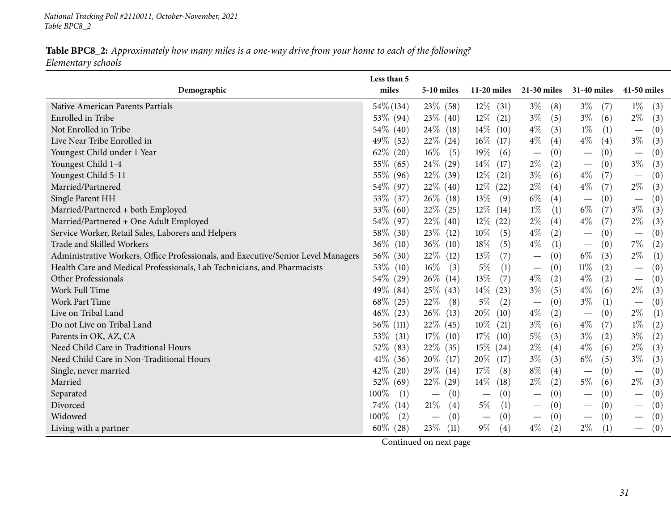*National Tracking Poll #2110011, October-November, <sup>2021</sup> Table BPC8\_2*

## Table BPC8\_2: Approximately how many miles is a one-way drive from your home to each of the following? *Elementary schools*

|                                                                                   | Less than 5<br>miles | 5-10 miles                      | $11-20$ miles                   | 21-30 miles                            | <b>31-40 miles</b>                   | 41-50 miles                             |
|-----------------------------------------------------------------------------------|----------------------|---------------------------------|---------------------------------|----------------------------------------|--------------------------------------|-----------------------------------------|
| Demographic                                                                       |                      |                                 |                                 |                                        |                                      |                                         |
| Native American Parents Partials                                                  | $54\%$ (134)         | 23\% (58)                       | $12\%$ (31)                     | $3\%$<br>(8)                           | $3\%$<br>(7)                         | $1\%$<br>(3)                            |
| Enrolled in Tribe                                                                 | 53\% (94)            | $23\%$ (40)                     | $12\%$ (21)                     | $3\%$<br>(5)                           | $3\%$<br>(6)                         | $2\%$<br>(3)                            |
| Not Enrolled in Tribe                                                             | 54\% (40)            | $24\%$ (18)                     | $14\%$<br>(10)                  | $4\%$<br>(3)                           | $1\%$<br>(1)                         | (0)<br>$\overline{\phantom{m}}$         |
| Live Near Tribe Enrolled in                                                       | 49%<br>(52)          | $22\%$ $(24)$                   | $16\%$ (17)                     | $4\%$<br>(4)                           | $4\%$<br>(4)                         | $3\%$<br>(3)                            |
| Youngest Child under 1 Year                                                       | 62\%<br>(20)         | $16\%$<br>(5)                   | $19\%$<br>(6)                   | (0)<br>$\overline{\phantom{m}}$        | (0)                                  | $\left( 0\right)$                       |
| Youngest Child 1-4                                                                | 55% (65)             | 24\% (29)                       | $14\%$<br>(17)                  | $2\%$<br>(2)                           | (0)<br>$\overbrace{\phantom{13333}}$ | $3\%$<br>(3)                            |
| Youngest Child 5-11                                                               | 55% (96)             | $22\%$ (39)                     | $12\%$ (21)                     | $3\%$<br>(6)                           | $4\%$<br>(7)                         | (0)<br>$\overline{\phantom{m}}$         |
| Married/Partnered                                                                 | 54\% (97)            | $22\%$ (40)                     | $12\%$ (22)                     | $2\%$<br>(4)                           | $4\%$<br>(7)                         | $2\%$<br>(3)                            |
| Single Parent HH                                                                  | 53%<br>(37)          | $26\%$ (18)                     | $13\%$<br>(9)                   | $6\%$<br>(4)                           | (0)                                  | (0)<br>$\overline{\phantom{m}}$         |
| Married/Partnered + both Employed                                                 | 53%<br>(60)          | $22\%$ (25)                     | $12\%$ (14)                     | $1\%$<br>(1)                           | $6\%$<br>(7)                         | $3\%$<br>(3)                            |
| Married/Partnered + One Adult Employed                                            | 54\% (97)            | $22\%$ (40)                     | $12\%$ (22)                     | $2\%$<br>(4)                           | $4\%$<br>(7)                         | $2\%$<br>(3)                            |
| Service Worker, Retail Sales, Laborers and Helpers                                | 58\%<br>(30)         | $23\%$ (12)                     | $10\%$<br>(5)                   | $4\%$<br>(2)                           | (0)<br>$\overbrace{\phantom{12333}}$ | (0)<br>$\overline{\phantom{m}}$         |
| Trade and Skilled Workers                                                         | 36%<br>(10)          | $36\%$ (10)                     | 18%<br>(5)                      | $4\%$<br>(1)                           | (0)                                  | 7%<br>(2)                               |
| Administrative Workers, Office Professionals, and Executive/Senior Level Managers | 56\%<br>(30)         | $22\%$ (12)                     | 13\%<br>(7)                     | (0)<br>$\overline{\phantom{m}}$        | $6\%$<br>(3)                         | $2\%$<br>(1)                            |
| Health Care and Medical Professionals, Lab Technicians, and Pharmacists           | 53%<br>(10)          | $16\%$<br>(3)                   | $5\%$<br>(1)                    | (0)<br>$\overline{\phantom{m}}$        | $11\%$<br>(2)                        | $\left( 0\right)$                       |
| Other Professionals                                                               | 54\%<br>(29)         | $26\%$ (14)                     | 13%<br>(7)                      | $4\%$<br>(2)                           | $4\%$<br>(2)                         | (0)                                     |
| Work Full Time                                                                    | $49\%$ (84)          | 25\% (43)                       | $14\%$ (23)                     | $3\%$<br>(5)                           | $4\%$<br>(6)                         | $2\%$<br>(3)                            |
| <b>Work Part Time</b>                                                             | 68\%<br>(25)         | 22\%<br>(8)                     | $5\%$<br>(2)                    | (0)<br>$\overline{\phantom{m}}$        | $3\%$<br>(1)                         | (0)<br>$\overline{\phantom{m}}$         |
| Live on Tribal Land                                                               | 46%<br>(23)          | $26\%$ (13)                     | $20\%$ (10)                     | $4\%$<br>(2)                           | (0)                                  | $2\%$<br>(1)                            |
| Do not Live on Tribal Land                                                        | 56\%<br>(111)        | $22\%$ (45)                     | $10\%$ (21)                     | $3\%$<br>(6)                           | $4\%$<br>(7)                         | $1\%$<br>(2)                            |
| Parents in OK, AZ, CA                                                             | 53%<br>(31)          | $17\%$ $(10)$                   | $17\%$<br>(10)                  | $5\%$<br>(3)                           | $3\%$<br>(2)                         | $3\%$<br>(2)                            |
| Need Child Care in Traditional Hours                                              | 52\%<br>(83)         | $22\%$ (35)                     | $15\%$ (24)                     | $2\%$<br>(4)                           | $4\%$<br>(6)                         | $2\%$<br>(3)                            |
| Need Child Care in Non-Traditional Hours                                          | $41\%$<br>(36)       | $20\%$ (17)                     | $20\%$ (17)                     | $3\%$<br>(3)                           | $6\%$<br>(5)                         | $3\%$<br>(3)                            |
| Single, never married                                                             | 42\%<br>(20)         | $29\%$ (14)                     | $17\%$<br>(8)                   | $8\%$<br>(4)                           | (0)                                  | (0)<br>$\overline{\phantom{m}}$         |
| Married                                                                           | 52\%<br>(69)         | $22\%$ (29)                     | $14\%$<br>(18)                  | $2\%$<br>(2)                           | $5\%$<br>(6)                         | $2\%$<br>(3)                            |
| Separated                                                                         | 100%<br>(1)          | (0)<br>$\overline{\phantom{m}}$ | (0)<br>$\overline{\phantom{m}}$ | (0)<br>$\overline{\phantom{m}}$        | (0)                                  | $\left( 0\right)$                       |
| Divorced                                                                          | 74%<br>(14)          | 21\%<br>(4)                     | $5\%$<br>(1)                    | (0)<br>$\hspace{0.1mm}-\hspace{0.1mm}$ | (0)                                  | (0)<br>$\overbrace{\phantom{12322111}}$ |
| Widowed                                                                           | 100%<br>(2)          | (0)                             | (0)<br>$\overline{\phantom{m}}$ | (0)<br>$\hspace{0.1mm}-\hspace{0.1mm}$ | (0)                                  | (0)                                     |
| Living with a partner                                                             | $60\%$ (28)          | $23\%$<br>(11)                  | $9\%$<br>(4)                    | $4\%$<br>(2)                           | $2\%$<br>(1)                         | (0)                                     |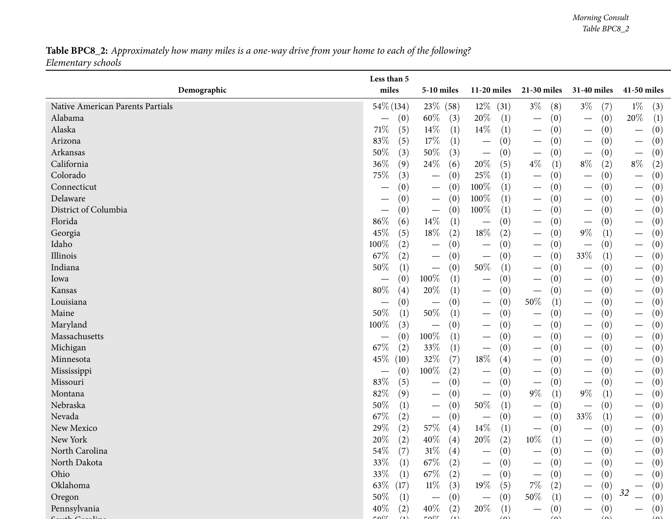## Table BPC8\_2: Approximately how many miles is a one-way drive from your home to each of the following? *Elementary schools*

|                                  | Less than 5   |                                        |                                        |                                        |                                        |                                                   |
|----------------------------------|---------------|----------------------------------------|----------------------------------------|----------------------------------------|----------------------------------------|---------------------------------------------------|
| Demographic                      | miles         | <b>5-10 miles</b>                      | $11-20$ miles                          | 21-30 miles                            | 31-40 miles                            | 41-50 miles                                       |
| Native American Parents Partials | 54\% (134)    | 23\% (58)                              | $12\%$ (31)                            | $3\%$<br>(8)                           | $3\%$<br>(7)                           | $1\%$<br>(3)                                      |
| Alabama                          | (0)           | $60\%$<br>(3)                          | 20%<br>(1)                             | (0)<br>$\hspace{0.1mm}-\hspace{0.1mm}$ | (0)<br>$\qquad \qquad$                 | 20%<br>(1)                                        |
| Alaska                           | $71\%$        | 14\%                                   | $14\%$                                 | (0)                                    | (0)                                    | $\left(0\right)$                                  |
|                                  | (5)           | (1)                                    | (1)                                    | $\overline{\phantom{m}}$               | $\hspace{0.1mm}-\hspace{0.1mm}$        | $\overline{\phantom{m}}$                          |
| Arizona                          | 83%           | $17\%$                                 | (0)                                    | (0)                                    | (0)                                    | (0)                                               |
|                                  | (5)           | (1)                                    | $\overbrace{\phantom{123221111}}$      | $\hspace{0.1mm}-\hspace{0.1mm}$        | $\hspace{0.1mm}-\hspace{0.1mm}$        | $\overline{\phantom{m}}$                          |
| Arkansas                         | $50\%$        | $50\%$                                 | (0)                                    | (0)                                    | (0)                                    | (0)                                               |
|                                  | (3)           | (3)                                    |                                        | $\hspace{0.1mm}-\hspace{0.1mm}$        | $\qquad \qquad$                        | $\overline{\phantom{m}}$                          |
| California                       | 36%           | 24\%                                   | 20%                                    | $4\%$                                  | $8\%$                                  | $8\%$                                             |
|                                  | (9)           | (6)                                    | (5)                                    | $\left(1\right)$                       | (2)                                    | (2)                                               |
| Colorado                         | 75%           | (0)                                    | 25%                                    | (0)                                    | (0)                                    | $\left(0\right)$                                  |
|                                  | (3)           | $\hspace{0.1mm}-\hspace{0.1mm}$        | (1)                                    | $\hspace{0.1mm}-\hspace{0.1mm}$        | $\qquad \qquad$                        |                                                   |
| Connecticut                      | (0)           | (0)<br>$\hspace{0.1mm}-\hspace{0.1mm}$ | 100%<br>(1)                            | (0)<br>$\overline{\phantom{m}}$        | (0)                                    | $\left(0\right)$                                  |
| Delaware                         | (0)           | (0)<br>$\hspace{0.1mm}-\hspace{0.1mm}$ | 100%<br>(1)                            | (0)<br>$\overline{\phantom{m}}$        | (0)<br>$\overline{\phantom{0}}$        | $\left(0\right)$<br>$\overbrace{\phantom{13333}}$ |
| District of Columbia             | (0)           | (0)<br>$\hspace{0.1mm}-\hspace{0.1mm}$ | 100%<br>(1)                            | (0)<br>$\hspace{0.1mm}-\hspace{0.1mm}$ | (0)<br>$\hspace{0.1mm}-\hspace{0.1mm}$ | $\left(0\right)$                                  |
| Florida                          | $86\%$        | $14\%$                                 | (0)                                    | (0)                                    | (0)                                    | $\left(0\right)$                                  |
|                                  | (6)           | (1)                                    | $\overbrace{\phantom{13333}}$          | $\overline{\phantom{m}}$               | $\overbrace{\phantom{13333}}$          |                                                   |
| Georgia                          | 45%           | $18\%$                                 | $18\%$                                 | (0)                                    | $9\%$                                  | $\left(0\right)$                                  |
|                                  | (5)           | (2)                                    | (2)                                    | $\overline{\phantom{m}}$               | (1)                                    |                                                   |
| Idaho                            | 100%          | (0)                                    | (0)                                    | (0)                                    | (0)                                    | $\left(0\right)$                                  |
|                                  | (2)           | $\overbrace{\phantom{13333}}$          |                                        | $\overline{\phantom{m}}$               |                                        | $\overbrace{\phantom{13333}}$                     |
| Illinois                         | 67\%          | (0)                                    | (0)                                    | (0)                                    | 33%                                    | $\left(0\right)$                                  |
|                                  | (2)           | $\hspace{0.1mm}-\hspace{0.1mm}$        | $\hspace{0.1mm}-\hspace{0.1mm}$        | $\hspace{0.1mm}-\hspace{0.1mm}$        | (1)                                    |                                                   |
| Indiana                          | 50%           | (0)                                    | 50%                                    | (0)                                    | (0)                                    | $\left(0\right)$                                  |
|                                  | (1)           | $\hspace{0.1mm}-\hspace{0.1mm}$        | (1)                                    | $\hspace{0.1mm}-\hspace{0.1mm}$        | $\hspace{0.1mm}-\hspace{0.1mm}$        | $\overbrace{\phantom{13333}}$                     |
| Iowa                             | (0)           | 100%<br>(1)                            | (0)                                    | (0)<br>$\overline{\phantom{m}}$        | (0)<br>$\hspace{0.1mm}-\hspace{0.1mm}$ | $\left(0\right)$                                  |
| Kansas                           | 80%           | 20%                                    | (0)                                    | (0)                                    | (0)                                    | $\left(0\right)$                                  |
|                                  | (4)           | (1)                                    |                                        |                                        | —                                      |                                                   |
| Louisiana                        | (0)           | (0)<br>$\hspace{0.1mm}-\hspace{0.1mm}$ | (0)<br>$\hspace{0.1mm}-\hspace{0.1mm}$ | $50\%$<br>(1)                          | (0)<br>$\hspace{0.1mm}-\hspace{0.1mm}$ | (0)<br>$\overbrace{\phantom{13333}}$              |
| Maine                            | 50%           | $50\%$                                 | (0)                                    | (0)                                    | (0)                                    | $\left(0\right)$                                  |
|                                  | (1)           | (1)                                    | $\hspace{0.1mm}-\hspace{0.1mm}$        | $\overline{\phantom{m}}$               | $\hspace{0.1mm}-\hspace{0.1mm}$        | $\overbrace{\phantom{13333}}$                     |
| Maryland                         | 100%          | (0)                                    | (0)                                    | (0)                                    | (0)                                    | $\left(0\right)$                                  |
|                                  | (3)           | $\overline{\phantom{m}}$               |                                        |                                        | $\qquad \qquad$                        |                                                   |
| Massachusetts                    | (0)           | 100%<br>(1)                            | (0)                                    | (0)                                    | (0)<br>—                               | (0)                                               |
| Michigan                         | $67\%$        | $33\%$                                 | (0)                                    | (0)                                    | (0)                                    | $\left(0\right)$                                  |
|                                  | (2)           | (1)                                    | $\overbrace{\phantom{13333}}$          | $\overline{\phantom{m}}$               | $\qquad \qquad$                        |                                                   |
| Minnesota                        | 45%           | 32%                                    | 18%                                    | (0)                                    | (0)                                    | (0)                                               |
|                                  | (10)          | (7)                                    | (4)                                    | $\overline{\phantom{m}}$               |                                        |                                                   |
| Mississippi                      | (0)           | 100%                                   | (0)                                    | (0)                                    | (0)                                    | (0)                                               |
|                                  |               | (2)                                    |                                        | $\overline{\phantom{m}}$               | $\qquad \qquad$                        |                                                   |
| Missouri                         | 83%           | (0)                                    | (0)                                    | (0)                                    | (0)                                    | (0)                                               |
|                                  | (5)           | $\hspace{0.05cm}$                      | $\hspace{0.1mm}-\hspace{0.1mm}$        | $\overline{\phantom{m}}$               | $\qquad \qquad$                        | $\overbrace{\phantom{13333}}$                     |
| Montana                          | 82%           | (0)                                    | (0)                                    | $9\%$                                  | $9\%$                                  | (0)                                               |
|                                  | (9)           | $\hspace{0.1mm}-\hspace{0.1mm}$        | $\overbrace{\phantom{13333}}$          | $\left( 1\right)$                      | (1)                                    |                                                   |
| Nebraska                         | 50%           | (0)                                    | 50%                                    | (0)                                    | (0)                                    | (0)                                               |
|                                  | (1)           | $\hspace{0.1mm}-\hspace{0.1mm}$        | (1)                                    | $\overline{\phantom{m}}$               | $\overbrace{\phantom{13333}}$          |                                                   |
| Nevada                           | 67%           | (0)                                    | (0)                                    | (0)                                    | 33%                                    | (0)                                               |
|                                  | (2)           | $\overline{\phantom{m}}$               |                                        | $\overline{\phantom{m}}$               | (1)                                    |                                                   |
| New Mexico                       | 29%           | 57\%                                   | 14\%                                   | (0)                                    | (0)                                    | (0)                                               |
|                                  | (2)           | $\left( 4\right)$                      | (1)                                    | $\hspace{0.1mm}-\hspace{0.1mm}$        | $\overline{\phantom{0}}$               | $\hspace{0.1mm}-\hspace{0.1mm}$                   |
| New York                         | 20%           | $40\%$                                 | $20\%$                                 | $10\%$                                 | (0)                                    | (0)                                               |
|                                  | (2)           | $\left( 4\right)$                      | (2)                                    | $\left( 1\right)$                      | $\hspace{0.1mm}-\hspace{0.1mm}$        | $\hspace{0.1mm}-\hspace{0.1mm}$                   |
| North Carolina                   | $54\%$<br>(7) | $31\%$<br>$\left(4\right)$             | (0)                                    | (0)                                    | (0)                                    | (0)                                               |
| North Dakota                     | $33\%$<br>(1) | $67\%$<br>(2)                          | (0)                                    | (0)                                    | (0)                                    | $\left(0\right)$                                  |
| Ohio                             | $33\%$<br>(1) | $67\%$<br>(2)                          | (0)<br>$\overbrace{\phantom{13333}}$   | (0)<br>$\overline{\phantom{m}}$        | (0)                                    | $\left(0\right)$                                  |
| Oklahoma                         | 63\% $(17)$   | $11\%$<br>(3)                          | $19\%$<br>(5)                          | $7\%$<br>(2)                           | (0)                                    | $\left( 0\right)$<br>$\overline{\phantom{0}}$     |
| Oregon                           | $50\%$        | (0)                                    | (0)                                    | $50\%$                                 | (0)                                    | 32                                                |
|                                  | (1)           | $\overline{\phantom{m}}$               | $\overbrace{\phantom{13333}}$          | (1)                                    | $\overline{\phantom{0}}$               | $\left(0\right)$                                  |
| Pennsylvania                     | 40%<br>(2)    | $40\%$<br>(2)                          | $20\%$<br>(1)                          | (0)<br>$\overline{\phantom{m}}$        | (0)                                    | $\left(0\right)$                                  |
|                                  | $-001$        | $F \wedge 0$                           |                                        |                                        |                                        |                                                   |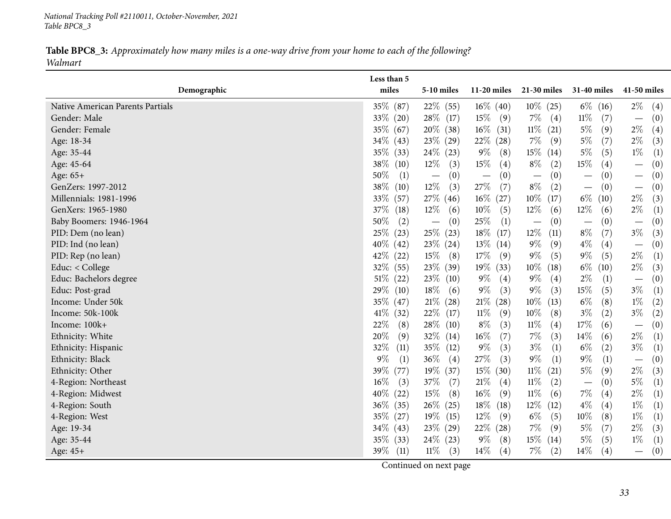*National Tracking Poll #2110011, October-November, <sup>2021</sup> Table BPC8\_3*

Table BPC8\_3: Approximately how many miles is a one-way drive from your home to each of the following? *Walmart*

<span id="page-32-0"></span>

|                                  | Less than 5    |                                        |                                 |                                          |                                       |                                 |
|----------------------------------|----------------|----------------------------------------|---------------------------------|------------------------------------------|---------------------------------------|---------------------------------|
| Demographic                      | miles          | 5-10 miles                             | $11-20$ miles                   | $21-30$ miles                            | 31-40 miles                           | 41-50 miles                     |
| Native American Parents Partials | 35\% (87)      | $22\%$ (55)                            | $16\%$ (40)                     | $10\%$ (25)                              | $6\%$ (16)                            | $2\%$<br>(4)                    |
| Gender: Male                     | 33% (20)       | $28\%$ (17)                            | $15\%$<br>(9)                   | $7\%$<br>$\left( 4\right)$               | $11\%$<br>(7)                         | (0)<br>$\overline{\phantom{0}}$ |
| Gender: Female                   | 35\% (67)      | $20\%$ (38)                            | $16\%$ (31)                     | $11\%$ (21)                              | $5\%$<br>(9)                          | $2\%$<br>(4)                    |
| Age: 18-34                       | $34\%$ (43)    | $23\%$ (29)                            | $22\%$ (28)                     | $7\%$<br>(9)                             | $5\%$<br>(7)                          | $2\%$<br>(3)                    |
| Age: 35-44                       | 35\% (33)      | $24\%$ (23)                            | $9\%$<br>(8)                    | $15\%$ (14)                              | $5\%$<br>(5)                          | $1\%$<br>(1)                    |
| Age: 45-64                       | 38\%<br>(10)   | $12\%$<br>(3)                          | $15\%$<br>(4)                   | $8\%$<br>(2)                             | $15\%$<br>(4)                         | (0)<br>$\overline{\phantom{0}}$ |
| Age: 65+                         | 50%<br>(1)     | (0)<br>$\overline{\phantom{m}}$        | (0)<br>$\overline{\phantom{m}}$ | (0)                                      | (0)<br>—                              | (0)<br>$\overline{\phantom{m}}$ |
| GenZers: 1997-2012               | $38\%$<br>(10) | $12\%$<br>(3)                          | $27\%$<br>(7)                   | $8\%$<br>(2)                             | (0)<br>$\qquad \qquad \longleftarrow$ | (0)<br>$\overline{\phantom{m}}$ |
| Millennials: 1981-1996           | 33\%<br>(57)   | $27\%$ (46)                            | $16\%$ (27)                     | $10\%$<br>(17)                           | $6\%$<br>(10)                         | $2\%$<br>(3)                    |
| GenXers: 1965-1980               | 37\%<br>(18)   | $12\%$<br>(6)                          | $10\%$<br>(5)                   | $12\%$<br>(6)                            | 12\%<br>(6)                           | $2\%$<br>(1)                    |
| Baby Boomers: 1946-1964          | 50%<br>(2)     | (0)<br>$\hspace{0.1mm}-\hspace{0.1mm}$ | $25\%$<br>(1)                   | (0)<br>$\overbrace{\phantom{123221111}}$ | (0)<br>$\overline{\phantom{m}}$       | (0)<br>$\overline{\phantom{0}}$ |
| PID: Dem (no lean)               | 25%<br>(23)    | $25\%$ (23)                            | $18\%$<br>(17)                  | 12%<br>(11)                              | $8\%$<br>(7)                          | $3\%$<br>(3)                    |
| PID: Ind (no lean)               | $40\%$<br>(42) | $23\%$ $(24)$                          | $13\%$ (14)                     | $9\%$<br>(9)                             | $4\%$<br>(4)                          | (0)<br>$\overline{\phantom{m}}$ |
| PID: Rep (no lean)               | $42\%$<br>(22) | $15\%$ (8)                             | 17\%<br>(9)                     | $9\%$<br>(5)                             | $9\%$<br>(5)                          | $2\%$<br>(1)                    |
| Educ: < College                  | 32\% (55)      | $23\%$ (39)                            | $19\%$ (33)                     | $10\%$<br>(18)                           | $6\%$ (10)                            | $2\%$<br>(3)                    |
| Educ: Bachelors degree           | $51\%$<br>(22) | $23\%$ (10)                            | $9\%$<br>(4)                    | $9\%$<br>(4)                             | $2\%$<br>(1)                          | (0)<br>$\overline{\phantom{m}}$ |
| Educ: Post-grad                  | 29%<br>(10)    | $18\%$<br>(6)                          | $9\%$<br>(3)                    | $9\%$<br>(3)                             | $15\%$<br>(5)                         | $3\%$<br>(1)                    |
| Income: Under 50k                | 35\%<br>(47)   | $21\%$ (28)                            | $21\%$<br>(28)                  | $10\%$ (13)                              | $6\%$<br>(8)                          | $1\%$<br>(2)                    |
| Income: 50k-100k                 | $41\%$<br>(32) | $22\%$ (17)                            | $11\%$<br>(9)                   | $10\%$<br>(8)                            | $3\%$<br>(2)                          | $3\%$<br>(2)                    |
| Income: 100k+                    | 22%<br>(8)     | $28\%$ (10)                            | $8\%$<br>(3)                    | $11\%$<br>(4)                            | 17%<br>(6)                            | (0)<br>$\overline{\phantom{m}}$ |
| Ethnicity: White                 | 20%<br>(9)     | $32\%$ (14)                            | $16\%$<br>(7)                   | $7\%$<br>(3)                             | $14\%$<br>(6)                         | $2\%$<br>(1)                    |
| Ethnicity: Hispanic              | 32%<br>(11)    | 35\% (12)                              | $9\%$<br>(3)                    | $3\%$<br>(1)                             | $6\%$<br>(2)                          | $3\%$<br>(1)                    |
| Ethnicity: Black                 | $9\%$<br>(1)   | 36\%<br>(4)                            | $27\%$<br>(3)                   | $9\%$<br>(1)                             | $9\%$<br>(1)                          | (0)<br>$\overline{\phantom{m}}$ |
| Ethnicity: Other                 | 39\%<br>(77)   | 19\% (37)                              | $15\%$ (30)                     | $11\%$ (21)                              | $5\%$<br>(9)                          | $2\%$<br>(3)                    |
| 4-Region: Northeast              | $16\%$<br>(3)  | 37\%<br>(7)                            | 21%<br>(4)                      | $11\%$<br>(2)                            | (0)<br>$\overline{\phantom{m}}$       | $5\%$<br>(1)                    |
| 4-Region: Midwest                | 40%<br>(22)    | 15\%<br>(8)                            | $16\%$<br>(9)                   | $11\%$<br>(6)                            | $7\%$<br>(4)                          | $2\%$<br>(1)                    |
| 4-Region: South                  | $36\%$<br>(35) | $26\%$ (25)                            | $18\%$<br>(18)                  | $12\%$<br>(12)                           | $4\%$<br>(4)                          | $1\%$<br>(1)                    |
| 4-Region: West                   | 35\%<br>(27)   | $19\%$ (15)                            | $12\%$<br>(9)                   | $6\%$<br>(5)                             | $10\%$<br>(8)                         | $1\%$<br>(1)                    |
| Age: 19-34                       | $34\%$ (43)    | $23\%$ (29)                            | $22\%$ (28)                     | $7\%$<br>(9)                             | $5\%$<br>(7)                          | $2\%$<br>(3)                    |
| Age: 35-44                       | 35\% (33)      | $24\%$ (23)                            | $9\%$<br>(8)                    | $15\%$ (14)                              | $5\%$<br>(5)                          | $1\%$<br>(1)                    |
| Age: 45+                         | $39\%$ (11)    | $11\%$<br>(3)                          | $14\%$<br>(4)                   | $7\%$<br>(2)                             | $14\%$<br>(4)                         | (0)<br>$\overline{\phantom{0}}$ |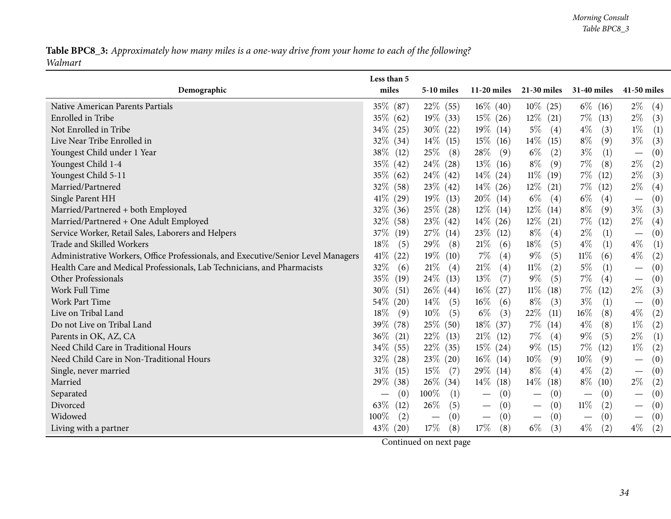Table BPC8\_3: Approximately how many miles is a one-way drive from your home to each of the following? *Walmart*

|                                                                                   | Less than 5    |                                 |                                        |                                        |                                 |                                              |
|-----------------------------------------------------------------------------------|----------------|---------------------------------|----------------------------------------|----------------------------------------|---------------------------------|----------------------------------------------|
| Demographic                                                                       | miles          | 5-10 miles                      | $11-20$ miles                          | 21-30 miles                            | 31-40 miles                     | 41-50 miles                                  |
| Native American Parents Partials                                                  | 35% (87)       | $22\%$ (55)                     | $16\%$ (40)                            | $10\%$ (25)                            | $6\%$ (16)                      | $2\%$<br>(4)                                 |
| Enrolled in Tribe                                                                 | $35\%$ (62)    | $19\%$ (33)                     | $15\%$ (26)                            | $12\%$ (21)                            | $7\%$ (13)                      | $2\%$<br>(3)                                 |
| Not Enrolled in Tribe                                                             | 34\%<br>(25)   | $30\%$ (22)                     | $19\%$ (14)                            | $5\%$<br>(4)                           | $4\%$<br>(3)                    | $1\%$<br>(1)                                 |
| Live Near Tribe Enrolled in                                                       | 32%<br>(34)    | $14\%$ (15)                     | $15\%$ (16)                            | $14\%$ (15)                            | $8\%$<br>(9)                    | $3\%$<br>(3)                                 |
| Youngest Child under 1 Year                                                       | 38\%<br>(12)   | $25\%$<br>(8)                   | $28\%$<br>(9)                          | $6\%$<br>(2)                           | $3\%$<br>(1)                    | $\left(0\right)$<br>$\overline{\phantom{m}}$ |
| Youngest Child 1-4                                                                | 35%<br>(42)    | $24\%$ (28)                     | $13\%$ (16)                            | $8\%$<br>(9)                           | $7\%$<br>(8)                    | $2\%$<br>(2)                                 |
| Youngest Child 5-11                                                               | $35\%$<br>(62) | $24\%$ (42)                     | $14\%$ (24)                            | $11\%$ (19)                            | $7\%$ (12)                      | $2\%$<br>(3)                                 |
| Married/Partnered                                                                 | 32%<br>(58)    | $23\%$ (42)                     | $14\%$ (26)                            | $12\%$ (21)                            | $7\%$<br>(12)                   | $2\%$<br>(4)                                 |
| Single Parent HH                                                                  | 41\%<br>(29)   | $19\%$ (13)                     | $20\%$ (14)                            | $6\%$<br>(4)                           | $6\%$<br>(4)                    | (0)<br>$\hspace{0.1mm}-\hspace{0.1mm}$       |
| Married/Partnered + both Employed                                                 | 32%<br>(36)    | $25\%$ (28)                     | $12\%$ (14)                            | $12\%$ (14)                            | $8\%$<br>(9)                    | $3\%$<br>(3)                                 |
| Married/Partnered + One Adult Employed                                            | 32%<br>(58)    | $23\%$ (42)                     | $14\%$ (26)                            | $12\%$ (21)                            | $7\%$<br>(12)                   | $2\%$<br>(4)                                 |
| Service Worker, Retail Sales, Laborers and Helpers                                | 37\%<br>(19)   | $27\%$ (14)                     | $23\%$ (12)                            | $8\%$<br>(4)                           | $2\%$<br>(1)                    | (0)<br>$\overline{\phantom{m}}$              |
| Trade and Skilled Workers                                                         | 18\%<br>(5)    | 29%<br>(8)                      | $21\%$<br>(6)                          | 18%<br>(5)                             | $4\%$<br>(1)                    | $4\%$<br>(1)                                 |
| Administrative Workers, Office Professionals, and Executive/Senior Level Managers | 41\%<br>(22)   | $19\%$ (10)                     | $7\%$<br>(4)                           | $9\%$<br>(5)                           | $11\%$<br>(6)                   | $4\%$<br>(2)                                 |
| Health Care and Medical Professionals, Lab Technicians, and Pharmacists           | 32%<br>(6)     | 21%<br>(4)                      | $21\%$<br>(4)                          | $11\%$<br>(2)                          | $5\%$<br>(1)                    | (0)                                          |
| Other Professionals                                                               | 35\%<br>(19)   | $24\%$ (13)                     | 13\%<br>(7)                            | $9\%$<br>(5)                           | $7\%$<br>(4)                    | (0)<br>$\overline{\phantom{m}}$              |
| Work Full Time                                                                    | 30%<br>(51)    | $26\%$ (44)                     | $16\%$ (27)                            | $11\%$<br>(18)                         | 7%<br>(12)                      | $2\%$<br>(3)                                 |
| <b>Work Part Time</b>                                                             | 54\%<br>(20)   | $14\%$<br>(5)                   | $16\%$<br>(6)                          | $8\%$<br>(3)                           | $3\%$<br>(1)                    | (0)<br>$\overline{\phantom{m}}$              |
| Live on Tribal Land                                                               | 18%<br>(9)     | $10\%$<br>(5)                   | $6\%$<br>(3)                           | 22\%<br>(11)                           | $16\%$<br>(8)                   | $4\%$<br>(2)                                 |
| Do not Live on Tribal Land                                                        | 39%<br>(78)    | 25% (50)                        | 18%<br>(37)                            | $7\%$ (14)                             | $4\%$<br>(8)                    | $1\%$<br>(2)                                 |
| Parents in OK, AZ, CA                                                             | $36\%$<br>(21) | $22\%$ (13)                     | $21\%$ (12)                            | $7\%$<br>(4)                           | $9\%$<br>(5)                    | $2\%$<br>(1)                                 |
| Need Child Care in Traditional Hours                                              | 34\%<br>(55)   | $22\%$ (35)                     | $15\%$ (24)                            | $9\%$<br>(15)                          | $7\%$<br>(12)                   | $1\%$<br>$\left( 2\right)$                   |
| Need Child Care in Non-Traditional Hours                                          | 32%<br>(28)    | $23\%$ (20)                     | $16\%$ (14)                            | $10\%$<br>(9)                          | $10\%$<br>(9)                   | (0)                                          |
| Single, never married                                                             | $31\%$<br>(15) | $15\%$<br>(7)                   | 29\% (14)                              | $8\%$<br>(4)                           | $4\%$<br>(2)                    | (0)<br>$\overline{\phantom{m}}$              |
| Married                                                                           | 29%<br>(38)    | $26\%$ (34)                     | $14\%$ (18)                            | $14\%$<br>(18)                         | $8\%$ (10)                      | $2\%$<br>(2)                                 |
| Separated                                                                         | (0)            | 100%<br>(1)                     | (0)                                    | (0)                                    | (0)                             | (0)                                          |
| Divorced                                                                          | 63\%<br>(12)   | 26%<br>(5)                      | (0)<br>$\hspace{0.1mm}-\hspace{0.1mm}$ | (0)<br>$\hspace{0.1mm}-\hspace{0.1mm}$ | $11\%$<br>(2)                   | (0)<br>$\hspace{0.1mm}-\hspace{0.1mm}$       |
| Widowed                                                                           | $100\%$<br>(2) | (0)<br>$\overline{\phantom{m}}$ | (0)<br>$\overline{\phantom{m}}$        | (0)<br>$\overline{\phantom{m}}$        | (0)<br>$\overline{\phantom{m}}$ | (0)<br>$\overline{\phantom{m}}$              |
| Living with a partner                                                             | 43\%<br>(20)   | 17\%<br>(8)                     | 17%<br>(8)                             | $6\%$<br>(3)                           | $4\%$<br>(2)                    | $4\%$<br>(2)                                 |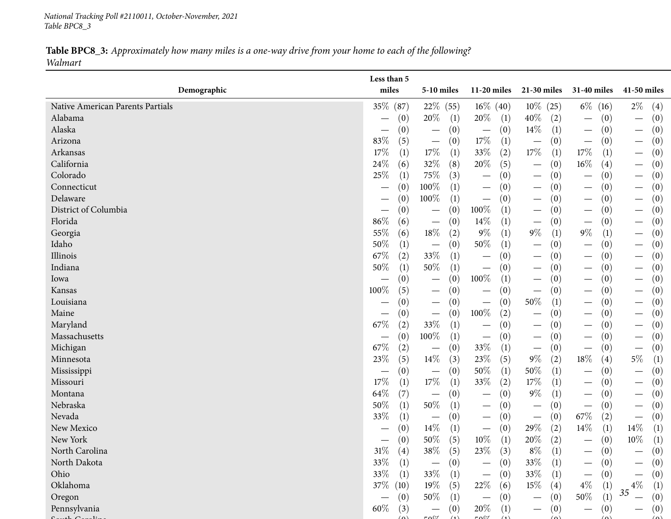*National Tracking Poll #2110011, October-November, <sup>2021</sup> Table BPC8\_3*

### Table BPC8\_3: Approximately how many miles is a one-way drive from your home to each of the following? *Walmart*

|                                  | Less than 5 |                   |                                 |            |                                 |     |                                        |        |                                        |                                 |             |  |
|----------------------------------|-------------|-------------------|---------------------------------|------------|---------------------------------|-----|----------------------------------------|--------|----------------------------------------|---------------------------------|-------------|--|
| Demographic                      | miles       |                   | 5-10 miles                      |            | $11-20$ miles                   |     | 21-30 miles                            |        | 31-40 miles                            |                                 | 41-50 miles |  |
| Native American Parents Partials | 35\% (87)   |                   | $22\%$ (55)                     |            | $16\%$ (40)                     |     | $10\%$ (25)                            |        | $6\%$ (16)                             | $2\%$                           | (4)         |  |
| Alabama                          |             | (0)               | 20\%                            | (1)        | 20\%                            | (1) | $40\%$<br>(2)                          |        | (0)<br>$\hspace{0.1mm}-\hspace{0.1mm}$ | $\overline{\phantom{m}}$        | (0)         |  |
| Alaska                           |             | (0)               |                                 | (0)        | $\overline{\phantom{m}}$        | (0) | $14\%$<br>(1)                          |        | (0)                                    | $\hspace{0.1mm}-\hspace{0.1mm}$ | (0)         |  |
| Arizona                          | 83%         | (5)               | $\overline{\phantom{m}}$        | (0)        | $17\%$                          | (1) | (0)<br>$\overline{\phantom{m}}$        |        | (0)<br>$\overline{\phantom{m}}$        | $\hspace{0.1mm}-\hspace{0.1mm}$ | (0)         |  |
| Arkansas                         | 17%         | (1)               | 17\%                            | (1)        | 33%                             | (2) | $17\%$<br>(1)                          | $17\%$ | (1)                                    | $\hspace{0.1mm}-\hspace{0.1mm}$ | (0)         |  |
| California                       | 24%         | (6)               | 32%                             | (8)        | $20\%$                          | (5) | (0)<br>$\overline{\phantom{m}}$        | $16\%$ | $\left( 4\right)$                      | $\hspace{0.1mm}-\hspace{0.1mm}$ | (0)         |  |
| Colorado                         | 25%         | (1)               | 75%                             | (3)        | $\hspace{0.1mm}-\hspace{0.1mm}$ | (0) | (0)<br>$\hspace{0.1mm}-\hspace{0.1mm}$ |        | (0)<br>$\overline{\phantom{0}}$        | $\hspace{0.1mm}-\hspace{0.1mm}$ | (0)         |  |
| Connecticut                      |             | (0)               | 100%                            | (1)        | $\hspace{0.1mm}-\hspace{0.1mm}$ | (0) | (0)<br>$\hspace{0.1mm}-\hspace{0.1mm}$ |        | (0)                                    | $\hspace{0.1mm}-\hspace{0.1mm}$ | (0)         |  |
| Delaware                         |             | (0)               | 100%                            | (1)        | $\hspace{0.1mm}-\hspace{0.1mm}$ | (0) | (0)<br>$\overline{\phantom{m}}$        |        | (0)<br>$\overline{\phantom{0}}$        | $\overline{\phantom{m}}$        | (0)         |  |
| District of Columbia             | —           | (0)               | $\qquad \qquad \longleftarrow$  | (0)        | 100%                            | (1) | (0)<br>$\overline{\phantom{m}}$        |        | (0)                                    | $\overline{\phantom{m}}$        | (0)         |  |
| Florida                          | 86%         | (6)               | $\overline{\phantom{m}}$        | (0)        | 14\%                            | (1) | (0)<br>$\overline{\phantom{m}}$        |        | (0)<br>$\overbrace{\phantom{12333}}$   | $\hspace{0.1mm}-\hspace{0.1mm}$ | (0)         |  |
| Georgia                          | 55%         | (6)               | $18\%$                          | (2)        | $9\%$                           | (1) | $9\%$<br>(1)                           | $9\%$  | (1)                                    | $\hspace{0.1mm}-\hspace{0.1mm}$ | (0)         |  |
| Idaho                            | 50%         | (1)               | $\overline{\phantom{m}}$        | (0)        | 50%                             | (1) | (0)<br>$\hspace{0.1mm}-\hspace{0.1mm}$ |        | (0)<br>$\overline{\phantom{m}}$        | $\hspace{0.1mm}-\hspace{0.1mm}$ | (0)         |  |
| Illinois                         | 67%         | (2)               | 33%                             | (1)        | $\overline{\phantom{m}}$        | (0) | (0)<br>$\overline{\phantom{m}}$        |        | (0)                                    | $\overline{\phantom{m}}$        | (0)         |  |
| Indiana                          | 50%         | (1)               | 50%                             | (1)        | $\hspace{0.1mm}-\hspace{0.1mm}$ | (0) | (0)<br>$\hspace{0.1mm}-\hspace{0.1mm}$ |        | (0)                                    | $\hspace{0.05cm}$               | (0)         |  |
| Iowa                             |             | (0)               | $\hspace{0.1mm}-\hspace{0.1mm}$ | (0)        | 100%                            | (1) | (0)<br>$\hspace{0.1mm}-\hspace{0.1mm}$ |        | (0)<br>$\overline{\phantom{0}}$        | $\hspace{0.1mm}-\hspace{0.1mm}$ | (0)         |  |
| Kansas                           | 100%        | (5)               |                                 | (0)        | $\hspace{0.1mm}-\hspace{0.1mm}$ | (0) | (0)<br>$\hspace{0.1mm}-\hspace{0.1mm}$ |        | (0)<br>$\hspace{0.1mm}-\hspace{0.1mm}$ | $\hspace{0.1mm}-\hspace{0.1mm}$ | (0)         |  |
| Louisiana                        |             | (0)               | $\qquad \qquad \longleftarrow$  | (0)        | $\hspace{0.1mm}-\hspace{0.1mm}$ | (0) | $50\%$<br>(1)                          |        | (0)<br>$\overbrace{\phantom{13333}}$   | $\hspace{0.1mm}-\hspace{0.1mm}$ | (0)         |  |
| Maine                            |             | (0)               | $\qquad \qquad \longleftarrow$  | (0)        | $100\%$                         | (2) | (0)<br>$\hspace{0.1mm}-\hspace{0.1mm}$ |        | (0)                                    | $\hspace{0.05cm}$               | (0)         |  |
| Maryland                         | 67\%        | (2)               | $33\%$                          | (1)        |                                 | (0) | (0)<br>$\hspace{0.1mm}-\hspace{0.1mm}$ |        | (0)<br>$\overline{\phantom{0}}$        | $\hspace{0.1mm}-\hspace{0.1mm}$ | (0)         |  |
| Massachusetts                    | —           | (0)               | 100%                            | (1)        | $\hspace{0.1mm}-\hspace{0.1mm}$ | (0) | (0)<br>$\overline{\phantom{m}}$        |        | (0)<br>$\hspace{0.1mm}-\hspace{0.1mm}$ | $\hspace{0.1mm}-\hspace{0.1mm}$ | (0)         |  |
| Michigan                         | 67\%        | (2)               |                                 | (0)        | 33%                             | (1) | (0)<br>$\overline{\phantom{m}}$        |        | (0)<br>$\overbrace{\phantom{12333}}$   | $\overbrace{\phantom{13333}}$   | (0)         |  |
| Minnesota                        | 23%         | (5)               | $14\%$                          | (3)        | 23\%                            | (5) | $9\%$<br>(2)                           | $18\%$ | (4)                                    | $5\%$                           | (1)         |  |
| Mississippi                      |             | (0)               | $\hspace{0.1mm}-\hspace{0.1mm}$ | (0)        | 50%                             | (1) | 50%<br>(1)                             |        | (0)<br>$\hspace{0.1mm}-\hspace{0.1mm}$ | $\hspace{0.1mm}-\hspace{0.1mm}$ | (0)         |  |
| Missouri                         | $17\%$      | (1)               | $17\%$                          | (1)        | 33%                             | (2) | $17\%$<br>(1)                          |        | (0)<br>$\hspace{0.1mm}-\hspace{0.1mm}$ | $\hspace{0.1mm}-\hspace{0.1mm}$ | (0)         |  |
| Montana                          | 64\%        | (7)               | $\overline{\phantom{m}}$        | (0)        |                                 | (0) | $9\%$<br>(1)                           |        | (0)                                    | $\overline{\phantom{m}}$        | (0)         |  |
| Nebraska                         | 50%         | (1)               | $50\%$                          | (1)        | $\hspace{0.1mm}-\hspace{0.1mm}$ | (0) | (0)<br>$\hspace{0.1mm}-\hspace{0.1mm}$ |        | (0)<br>$\overline{\phantom{m}}$        | $\hspace{0.1mm}-\hspace{0.1mm}$ | (0)         |  |
| Nevada                           | 33%         | (1)               | $\hspace{0.05cm}$               | (0)        | $\hspace{0.1mm}-\hspace{0.1mm}$ | (0) | (0)<br>$\hspace{0.1mm}-\hspace{0.1mm}$ | 67\%   | (2)                                    | $\hspace{0.1mm}-\hspace{0.1mm}$ | (0)         |  |
| New Mexico                       |             | (0)               | 14%                             | (1)        | $\overline{\phantom{m}}$        | (0) | 29%<br>(2)                             | $14\%$ | (1)                                    | $14\%$                          | (1)         |  |
| New York                         |             | (0)               | $50\%$                          | (5)        | $10\%$                          | (1) | $20\%$<br>(2)                          |        | (0)<br>$\hspace{0.1mm}-\hspace{0.1mm}$ | $10\%$                          | (1)         |  |
| North Carolina                   | $31\%$      | $\left( 4\right)$ | $38\%$                          | (5)        | 23\%                            | (3) | $8\%$<br>(1)                           |        | (0)                                    |                                 | (0)         |  |
| North Dakota                     | 33%         | (1)               |                                 | (0)        |                                 | (0) | 33\%<br>(1)                            |        | (0)                                    |                                 | (0)         |  |
| Ohio                             | 33%         | (1)               | 33\%                            | (1)        | $\overline{\phantom{m}}$        | (0) | 33\%<br>(1)                            |        | (0)<br>$\hspace{0.1mm}-\hspace{0.1mm}$ | $\hspace{0.1mm}-\hspace{0.1mm}$ | (0)         |  |
| Oklahoma                         | $37\%$ (10) |                   | 19%                             | (5)        | 22\%                            | (6) | $15\%$<br>(4)                          | $4\%$  | (1)                                    | $4\%$                           | (1)         |  |
| Oregon                           |             | (0)               | 50%                             | (1)        |                                 | (0) | (0)                                    | 50%    | (1)                                    | 35                              | (0)         |  |
| Pennsylvania<br>$1 \cap$         | $60\%$      | (3)               | $\sim$ 0 $\sim$                 | (0)<br>(1) | $20\%$<br>$F \cap \mathbb{C}$   | (1) | (0)<br>$\overbrace{\phantom{aaaaa}}$   |        | (0)<br>$\overline{\phantom{0}}$        |                                 | (0)         |  |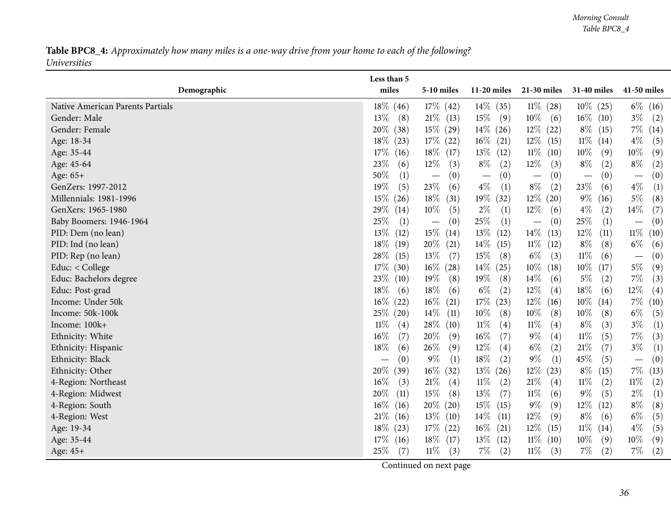Table BPC8\_4: Approximately how many miles is a one-way drive from your home to each of the following? *Universities*

<span id="page-35-0"></span>

|                                  | Less than 5                            |                                 |                |                                 |                                      |                                          |
|----------------------------------|----------------------------------------|---------------------------------|----------------|---------------------------------|--------------------------------------|------------------------------------------|
| Demographic                      | miles                                  | 5-10 miles                      | 11-20 miles    | 21-30 miles                     | 31-40 miles                          | 41-50 miles                              |
| Native American Parents Partials | $18\%$ (46)                            | $17\%$ (42)                     | $14\%$ (35)    | $11\% (28)$                     | $10\%$ (25)                          | $6\%$ (16)                               |
| Gender: Male                     | 13\%<br>(8)                            | $21\%$ (13)                     | $15\%$<br>(9)  | $10\%$<br>(6)                   | $16\%$ (10)                          | $3\%$<br>(2)                             |
| Gender: Female                   | 20\%<br>(38)                           | $15\%$ (29)                     | $14\%$ (26)    | $12\%$ (22)                     | $8\%$ (15)                           | $7\%$<br>(14)                            |
| Age: 18-34                       | $18\%$<br>(23)                         | $17\%$ (22)                     | $16\%$ (21)    | $12\%$ (15)                     | $11\%$ (14)                          | $4\%$<br>(5)                             |
| Age: 35-44                       | $17\%$<br>(16)                         | $18\%$ (17)                     | $13\%$ (12)    | $11\%$ (10)                     | $10\%$<br>(9)                        | $10\%$<br>(9)                            |
| Age: 45-64                       | 23\%<br>(6)                            | $12\%$<br>(3)                   | $8\%$<br>(2)   | $12\%$<br>(3)                   | $8\%$<br>(2)                         | $8\%$<br>(2)                             |
| Age: 65+                         | 50%<br>(1)                             | (0)<br>$\overline{\phantom{m}}$ | (0)            | (0)<br>$\overline{\phantom{0}}$ | (0)<br>$\overbrace{\phantom{12333}}$ | (0)<br>$\overbrace{\phantom{123221111}}$ |
| GenZers: 1997-2012               | 19%<br>(5)                             | 23\%<br>(6)                     | $4\%$<br>(1)   | $8\%$<br>(2)                    | 23\%<br>(6)                          | $4\%$<br>(1)                             |
| Millennials: 1981-1996           | $15\%$<br>(26)                         | $18\%$<br>(31)                  | $19\%$<br>(32) | $12\%$ (20)                     | $9\%$ (16)                           | $5\%$<br>(8)                             |
| GenXers: 1965-1980               | 29\%<br>(14)                           | $10\%$<br>(5)                   | $2\%$<br>(1)   | $12\%$<br>(6)                   | $4\%$<br>(2)                         | $14\%$<br>(7)                            |
| Baby Boomers: 1946-1964          | 25\%<br>(1)                            | (0)<br>$\overline{\phantom{m}}$ | 25%<br>(1)     | (0)<br>$\overline{\phantom{m}}$ | $25\%$<br>(1)                        | (0)<br>$\overline{\phantom{m}}$          |
| PID: Dem (no lean)               | 13\%<br>(12)                           | $15\%$ (14)                     | $13\%$<br>(12) | $14\%$ (13)                     | $12\%$<br>(11)                       | $11\%$<br>(10)                           |
| PID: Ind (no lean)               | $18\%$<br>(19)                         | $20\%$ (21)                     | $14\%$<br>(15) | $11\%$ (12)                     | $8\%$<br>(8)                         | $6\%$<br>(6)                             |
| PID: Rep (no lean)               | $28\%$<br>(15)                         | $13\%$<br>(7)                   | 15%<br>(8)     | $6\%$<br>(3)                    | $11\%$<br>(6)                        | (0)<br>$\overline{\phantom{m}}$          |
| Educ: < College                  | $17\%$<br>(30)                         | $16\%$ (28)                     | 14%<br>(25)    | $10\%$<br>(18)                  | $10\%$<br>(17)                       | $5\%$<br>(9)                             |
| Educ: Bachelors degree           | 23%<br>(10)                            | $19\%$<br>(8)                   | 19%<br>(8)     | $14\%$<br>(6)                   | $5\%$<br>(2)                         | $7\%$<br>(3)                             |
| Educ: Post-grad                  | 18%<br>(6)                             | 18\%<br>(6)                     | $6\%$<br>(2)   | $12\%$<br>(4)                   | $18\%$<br>(6)                        | $12\%$<br>(4)                            |
| Income: Under 50k                | $16\%$<br>(22)                         | $16\%$<br>(21)                  | $17\%$<br>(23) | $12\%$ (16)                     | $10\%$ (14)                          | $7\%$<br>(10)                            |
| Income: 50k-100k                 | $25\%$ (20)                            | $14\%$ (11)                     | 10%<br>(8)     | $10\%$<br>(8)                   | $10\%$<br>(8)                        | $6\%$<br>(5)                             |
| Income: 100k+                    | $11\%$<br>(4)                          | $28\%$ (10)                     | $11\%$<br>(4)  | $11\%$<br>(4)                   | $8\%$<br>(3)                         | $3\%$<br>(1)                             |
| Ethnicity: White                 | $16\%$<br>(7)                          | 20%<br>(9)                      | $16\%$<br>(7)  | $9\%$<br>(4)                    | $11\%$<br>(5)                        | $7\%$<br>(3)                             |
| Ethnicity: Hispanic              | 18%<br>(6)                             | 26\%<br>(9)                     | 12%<br>(4)     | $6\%$<br>(2)                    | $21\%$<br>(7)                        | $3\%$<br>(1)                             |
| Ethnicity: Black                 | (0)<br>$\hspace{0.1mm}-\hspace{0.1mm}$ | $9\%$<br>(1)                    | 18%<br>(2)     | $9\%$<br>(1)                    | $45\%$<br>(5)                        | (0)<br>$\overline{\phantom{m}}$          |
| Ethnicity: Other                 | 20%<br>(39)                            | $16\%$ (32)                     | $13\%$ (26)    | $12\%$<br>(23)                  | $8\%$<br>(15)                        | $7\%$<br>(13)                            |
| 4-Region: Northeast              | $16\%$<br>(3)                          | 21%<br>(4)                      | 11%<br>(2)     | $21\%$<br>(4)                   | $11\%$<br>(2)                        | $11\%$<br>(2)                            |
| 4-Region: Midwest                | 20\%<br>(11)                           | 15\%<br>(8)                     | 13%<br>(7)     | $11\%$<br>(6)                   | $9\%$<br>(5)                         | $2\%$<br>(1)                             |
| 4-Region: South                  | $16\%$<br>(16)                         | $20\%$ (20)                     | $15\%$ (15)    | $9\%$<br>(9)                    | $12\%$<br>(12)                       | $8\%$<br>(8)                             |
| 4-Region: West                   | 21%<br>(16)                            | $13\%$ (10)                     | $14\%$<br>(11) | $12\%$<br>(9)                   | $8\%$<br>(6)                         | $6\%$<br>(5)                             |
| Age: 19-34                       | $18\%$<br>(23)                         | $17\%$ (22)                     | $16\%$ (21)    | $12\%$<br>(15)                  | $11\%$ (14)                          | $4\%$<br>(5)                             |
| Age: 35-44                       | $17\%$<br>(16)                         | $18\%$ (17)                     | $13\%$ (12)    | $11\%$ (10)                     | $10\%$<br>(9)                        | $10\%$<br>(9)                            |
| Age: 45+                         | $25\%$<br>(7)                          | $11\%$<br>(3)                   | $7\%$<br>(2)   | $11\%$<br>(3)                   | $7\%$<br>(2)                         | $7\%$<br>(2)                             |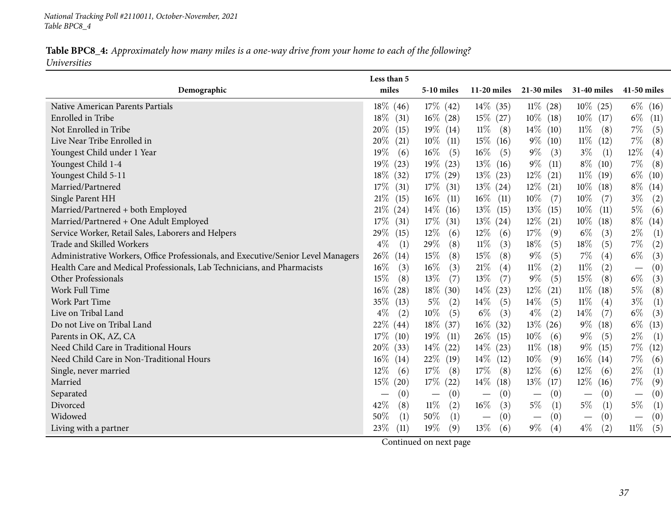*National Tracking Poll #2110011, October-November, <sup>2021</sup> Table BPC8\_4*

#### Table BPC8\_4: Approximately how many miles is a one-way drive from your home to each of the following? *Universities*

|                                                                                   | Less than 5    |                                        |                |                                 |                                      |                                 |
|-----------------------------------------------------------------------------------|----------------|----------------------------------------|----------------|---------------------------------|--------------------------------------|---------------------------------|
| Demographic                                                                       | miles          | 5-10 miles                             | $11-20$ miles  | 21-30 miles                     | 31-40 miles                          | 41-50 miles                     |
| Native American Parents Partials                                                  | $18\%$ (46)    | $17\%$ (42)                            | $14\%$ (35)    | $11\%$ (28)                     | $10\%$ (25)                          | $6\%$ (16)                      |
| Enrolled in Tribe                                                                 | $18\%$<br>(31) | $16\%$ (28)                            | $15\%$ (27)    | $10\%$ (18)                     | $10\%$ (17)                          | $6\%$<br>(11)                   |
| Not Enrolled in Tribe                                                             | 20%<br>(15)    | 19% (14)                               | $11\%$<br>(8)  | $14\%$ (10)                     | $11\%$<br>(8)                        | 7%<br>(5)                       |
| Live Near Tribe Enrolled in                                                       | 20%<br>(21)    | $10\%$<br>(11)                         | $15\%$ (16)    | $9\%$ (10)                      | $11\%$ (12)                          | $7\%$<br>(8)                    |
| Youngest Child under 1 Year                                                       | 19%<br>(6)     | $16\%$<br>(5)                          | $16\%$<br>(5)  | $9\%$<br>(3)                    | $3\%$<br>(1)                         | $12\%$<br>(4)                   |
| Youngest Child 1-4                                                                | 19%<br>(23)    | $19\%$ (23)                            | $13\%$ (16)    | $9\%$<br>(11)                   | $8\%$ (10)                           | $7\%$<br>(8)                    |
| Youngest Child 5-11                                                               | $18\%$<br>(32) | $17\%$ (29)                            | $13\%$ (23)    | $12\%$ (21)                     | $11\%$ (19)                          | $6\%$ (10)                      |
| Married/Partnered                                                                 | $17\%$<br>(31) | $17\%$ (31)                            | $13\%$ (24)    | $12\%$ (21)                     | $10\%$ (18)                          | $8\%$ (14)                      |
| Single Parent HH                                                                  | $21\%$<br>(15) | $16\%$<br>(11)                         | $16\%$<br>(11) | $10\%$<br>(7)                   | $10\%$<br>(7)                        | $3\%$<br>(2)                    |
| Married/Partnered + both Employed                                                 | 21%<br>(24)    | $14\%$ (16)                            | $13\%$ (15)    | $13\%$ (15)                     | $10\%$<br>(11)                       | $5\%$<br>(6)                    |
| Married/Partnered + One Adult Employed                                            | $17\%$<br>(31) | $17\%$ (31)                            | $13\%$ (24)    | $12\%$ (21)                     | $10\%$ (18)                          | $8\%$<br>(14)                   |
| Service Worker, Retail Sales, Laborers and Helpers                                | 29%<br>(15)    | 12%<br>(6)                             | $12\%$<br>(6)  | $17\%$<br>(9)                   | $6\%$<br>(3)                         | $2\%$<br>(1)                    |
| Trade and Skilled Workers                                                         | $4\%$<br>(1)   | 29%<br>(8)                             | $11\%$<br>(3)  | $18\%$<br>(5)                   | 18\%<br>(5)                          | $7\%$<br>(2)                    |
| Administrative Workers, Office Professionals, and Executive/Senior Level Managers | 26%<br>(14)    | 15%<br>(8)                             | $15\%$<br>(8)  | $9\%$<br>(5)                    | $7\%$<br>(4)                         | $6\%$<br>(3)                    |
| Health Care and Medical Professionals, Lab Technicians, and Pharmacists           | 16%<br>(3)     | $16\%$<br>(3)                          | $21\%$<br>(4)  | $11\%$<br>(2)                   | $11\%$<br>(2)                        | (0)                             |
| Other Professionals                                                               | 15%<br>(8)     | 13\%<br>(7)                            | 13\%<br>(7)    | $9\%$<br>(5)                    | 15%<br>(8)                           | $6\%$<br>(3)                    |
| Work Full Time                                                                    | 16%<br>(28)    | $18\%$ (30)                            | $14\%$<br>(23) | $12\%$<br>(21)                  | $11\%$<br>(18)                       | $5\%$<br>(8)                    |
| <b>Work Part Time</b>                                                             | 35%<br>(13)    | $5\%$<br>(2)                           | $14\%$<br>(5)  | $14\%$<br>(5)                   | $11\%$<br>(4)                        | $3\%$<br>(1)                    |
| Live on Tribal Land                                                               | $4\%$<br>(2)   | $10\%$<br>(5)                          | $6\%$<br>(3)   | $4\%$<br>(2)                    | $14\%$<br>(7)                        | $6\%$<br>(3)                    |
| Do not Live on Tribal Land                                                        | 22%<br>(44)    | $18\%$ (37)                            | $16\%$<br>(32) | $13\%$ (26)                     | $9\%$<br>(18)                        | $6\%$<br>(13)                   |
| Parents in OK, AZ, CA                                                             | 17%<br>(10)    | $19\%$ (11)                            | $26\%$ (15)    | $10\%$<br>(6)                   | $9\%$<br>(5)                         | $2\%$<br>(1)                    |
| Need Child Care in Traditional Hours                                              | 20%<br>(33)    | $14\%$ (22)                            | $14\%$ (23)    | $11\%$ (18)                     | $9\%$<br>(15)                        | $7\%$<br>(12)                   |
| Need Child Care in Non-Traditional Hours                                          | $16\%$<br>(14) | 22\% (19)                              | $14\%$ (12)    | $10\%$<br>(9)                   | $16\%$ (14)                          | $7\%$<br>(6)                    |
| Single, never married                                                             | $12\%$<br>(6)  | 17%<br>(8)                             | 17\%<br>(8)    | $12\%$<br>(6)                   | $12\%$<br>(6)                        | $2\%$<br>(1)                    |
| Married                                                                           | $15\%$<br>(20) | $17\%$ (22)                            | $14\%$<br>(18) | $13\%$ (17)                     | $12\%$ (16)                          | 7%<br>(9)                       |
| Separated                                                                         | (0)            | (0)<br>$\hspace{0.1mm}-\hspace{0.1mm}$ | (0)            | (0)<br>$\overline{\phantom{m}}$ | (0)                                  | (0)                             |
| Divorced                                                                          | 42%<br>(8)     | $11\%$<br>(2)                          | $16\%$<br>(3)  | $5\%$<br>$\left( 1\right)$      | $5\%$<br>(1)                         | $5\%$<br>(1)                    |
| Widowed                                                                           | $50\%$<br>(1)  | 50%<br>(1)                             | (0)            | (0)<br>$\overline{\phantom{m}}$ | (0)<br>$\overbrace{\phantom{13333}}$ | (0)<br>$\overline{\phantom{m}}$ |
| Living with a partner                                                             | 23%<br>(11)    | 19%<br>(9)                             | 13\%<br>(6)    | $9\%$<br>(4)                    | $4\%$<br>(2)                         | $11\%$<br>(5)                   |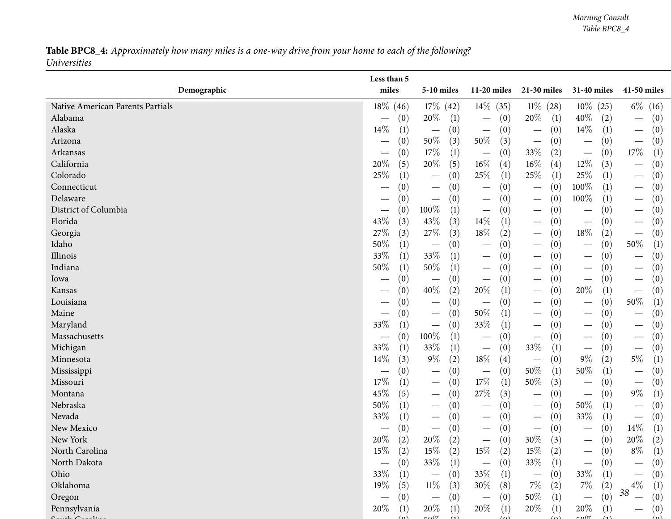#### Table BPC8\_4: Approximately how many miles is a one-way drive from your home to each of the following? *Universities*

|                                  | Less than 5    |                                        |                                        |                                        |                                                  |                                        |
|----------------------------------|----------------|----------------------------------------|----------------------------------------|----------------------------------------|--------------------------------------------------|----------------------------------------|
| Demographic                      | miles          | 5-10 miles                             | $11-20$ miles                          | 21-30 miles                            | 31-40 miles                                      | 41-50 miles                            |
| Native American Parents Partials | $18\%$<br>(46) | $17\%$ (42)                            | $14\%$ (35)                            | $11\%$ (28)                            | $10\%$ (25)                                      | $6\%$ (16)                             |
| Alabama                          | (0)            | 20%<br>$\left(1\right)$                | (0)<br>$\hspace{0.1mm}-\hspace{0.1mm}$ | 20\%<br>(1)                            | $40\%$<br>(2)                                    | (0)                                    |
| Alaska                           | $14\%$<br>(1)  | (0)<br>$\hspace{0.1mm}-\hspace{0.1mm}$ | (0)<br>$\overbrace{\phantom{13333}}$   | (0)<br>$\overline{\phantom{m}}$        | $14\%$<br>(1)                                    | (0)<br>$\hspace{0.1mm}-\hspace{0.1mm}$ |
| Arizona                          | (0)            | $50\%$<br>(3)                          | $50\%$<br>(3)                          | (0)<br>$\overline{\phantom{m}}$        | (0)<br>$\overbrace{\phantom{13333}}$             | (0)<br>$\overbrace{\phantom{123333}}$  |
| Arkansas                         | (0)            | $17\%$<br>(1)                          | (0)                                    | 33%<br>(2)                             | (0)<br>$\overbrace{\phantom{13333}}$             | $17\%$<br>$\left(1\right)$             |
| California                       | $20\%$<br>(5)  | 20%<br>(5)                             | $16\%$<br>(4)                          | $16\%$<br>(4)                          | 12\%<br>(3)                                      | (0)                                    |
| Colorado                         | 25\%<br>(1)    | (0)<br>$\hspace{0.1mm}-\hspace{0.1mm}$ | 25%<br>(1)                             | $25\%$<br>(1)                          | 25\%<br>(1)                                      | (0)<br>$\hspace{0.1mm}-\hspace{0.1mm}$ |
| Connecticut                      | (0)            | (0)<br>$\hspace{0.1mm}-\hspace{0.1mm}$ | (0)                                    | (0)<br>$\hspace{0.1mm}-\hspace{0.1mm}$ | 100%<br>(1)                                      | (0)<br>$\hspace{0.1mm}-\hspace{0.1mm}$ |
| Delaware                         | (0)            | (0)<br>$\hspace{0.1mm}-\hspace{0.1mm}$ | (0)<br>$\hspace{0.1mm}-\hspace{0.1mm}$ | (0)                                    | 100%<br>(1)                                      | (0)                                    |
| District of Columbia             | (0)            | 100%<br>(1)                            | (0)                                    | (0)                                    | (0)<br>$\overline{\phantom{0}}$                  | (0)                                    |
| Florida                          | 43%<br>(3)     | 43%<br>(3)                             | $14\%$<br>(1)                          | (0)<br>$\overline{\phantom{m}}$        | (0)<br>$\overline{\phantom{m}}$                  | (0)<br>$\hspace{0.1mm}-\hspace{0.1mm}$ |
| Georgia                          | 27%<br>(3)     | $27\%$<br>(3)                          | 18%<br>(2)                             | (0)<br>$\hspace{0.1mm}-\hspace{0.1mm}$ | 18\%<br>(2)                                      | (0)<br>$\overline{\phantom{m}}$        |
| Idaho                            | 50%<br>(1)     | (0)<br>$\hspace{0.1mm}-\hspace{0.1mm}$ | (0)                                    | (0)                                    | (0)                                              | $50\%$<br>(1)                          |
| Illinois                         | 33%<br>(1)     | 33%<br>(1)                             | (0)<br>$\hspace{0.1mm}-\hspace{0.1mm}$ | (0)                                    | (0)<br>$\overline{\phantom{0}}$                  | (0)                                    |
| Indiana                          | 50%<br>(1)     | $50\%$<br>(1)                          | (0)                                    | (0)<br>$\hspace{0.1mm}-\hspace{0.1mm}$ | (0)                                              | (0)                                    |
| Iowa                             | (0)            | (0)<br>$\overline{\phantom{m}}$        | (0)<br>$\overbrace{\phantom{13333}}$   | (0)<br>$\overline{\phantom{m}}$        | (0)<br>$\overline{\phantom{m}}$                  | (0)<br>$\overline{\phantom{m}}$        |
| Kansas                           | (0)            | 40%<br>(2)                             | 20%<br>(1)                             | (0)<br>$\hspace{0.1mm}-\hspace{0.1mm}$ | 20%<br>(1)                                       | (0)<br>$\overline{\phantom{m}}$        |
| Louisiana                        | (0)            | (0)<br>$\hspace{0.1mm}-\hspace{0.1mm}$ | (0)                                    | (0)<br>$\overline{\phantom{m}}$        | (0)                                              | $50\%$<br>(1)                          |
| Maine                            | (0)            | (0)<br>$\qquad \qquad -$               | 50%<br>(1)                             | (0)<br>$\overline{\phantom{m}}$        | (0)                                              | (0)<br>$\overline{\phantom{m}}$        |
| Maryland                         | 33%<br>(1)     | (0)<br>$\qquad \qquad -$               | 33%<br>(1)                             | (0)<br>$\overline{\phantom{m}}$        | (0)                                              | (0)<br>$\overline{\phantom{m}}$        |
| Massachusetts                    | (0)            | 100%<br>(1)                            | (0)<br>$\hspace{0.1mm}-\hspace{0.1mm}$ | (0)<br>$\hspace{0.1mm}-\hspace{0.1mm}$ | (0)<br>$\overline{\phantom{0}}$                  | (0)<br>$\hspace{0.1mm}-\hspace{0.1mm}$ |
| Michigan                         | 33%<br>(1)     | 33%<br>(1)                             | (0)<br>$\hspace{0.1mm}-\hspace{0.1mm}$ | 33%<br>(1)                             | (0)<br>$\overbrace{\phantom{12333}}$             | (0)<br>$\hspace{0.1mm}-\hspace{0.1mm}$ |
| Minnesota                        | $14\%$<br>(3)  | $9\%$<br>(2)                           | $18\%$<br>(4)                          | (0)<br>$\overline{\phantom{m}}$        | $9\%$<br>(2)                                     | $5\%$<br>(1)                           |
| Mississippi                      | (0)            | (0)<br>$\hspace{0.05cm}$               | (0)<br>$\qquad \qquad \longleftarrow$  | $50\%$<br>(1)                          | 50%<br>(1)                                       | (0)<br>$\overline{\phantom{m}}$        |
| Missouri                         | 17%<br>(1)     | (0)<br>$\hspace{0.1mm}-\hspace{0.1mm}$ | $17\%$<br>(1)                          | 50%<br>(3)                             | (0)<br>$\overbrace{\phantom{13333}}$             | (0)<br>$\hspace{0.1mm}-\hspace{0.1mm}$ |
| Montana                          | 45\%<br>(5)    | (0)<br>$\hspace{0.1mm}-\hspace{0.1mm}$ | 27\%<br>(3)                            | (0)<br>$\overline{\phantom{m}}$        | (0)<br>$\overbrace{\phantom{123331}}$            | $9\%$<br>(1)                           |
| Nebraska                         | 50%<br>(1)     | (0)<br>$\hspace{0.1mm}-\hspace{0.1mm}$ | (0)                                    | (0)<br>$\hspace{0.1mm}-\hspace{0.1mm}$ | $50\%$<br>(1)                                    | (0)<br>$\overline{\phantom{m}}$        |
| Nevada                           | 33%<br>(1)     | (0)<br>$\hspace{0.05cm}$               | (0)<br>$\overbrace{\phantom{123321}}$  | (0)<br>$\hspace{0.1mm}-\hspace{0.1mm}$ | 33%<br>(1)                                       | (0)<br>$\hspace{0.1mm}-\hspace{0.1mm}$ |
| New Mexico                       | (0)            | (0)<br>$\hspace{0.1mm}-\hspace{0.1mm}$ | (0)<br>$\overbrace{\phantom{aaaaa}}$   | (0)<br>$\hspace{0.1mm}-\hspace{0.1mm}$ | (0)<br>$\overline{\phantom{0}}$                  | $14\%$<br>(1)                          |
| New York                         | $20\%$<br>(2)  | $20\%$<br>(2)                          | (0)<br>$\overbrace{\phantom{13333}}$   | 30%<br>(3)                             | (0)                                              | 20%<br>(2)                             |
| North Carolina                   | $15\%$<br>(2)  | $15\%$<br>(2)                          | $15\%$<br>(2)                          | $15\%$<br>(2)                          | (0)                                              | $8\%$<br>(1)                           |
| North Dakota                     | (0)            | 33\%<br>(1)                            | (0)<br>—                               | 33\%<br>(1)                            | (0)<br>$\overline{\phantom{0}}$                  | (0)                                    |
| Ohio                             | $33\%$<br>(1)  | (0)<br>$\hspace{0.1mm}-\hspace{0.1mm}$ | 33\%<br>(1)                            | (0)<br>$\overline{\phantom{m}}$        | 33\%<br>(1)                                      | (0)                                    |
| Oklahoma                         | 19%<br>(5)     | $11\%$<br>(3)                          | 30\%<br>(8)                            | $7\%$<br>(2)                           | $7\%$<br>(2)                                     | $4\%$<br>$\left( 1\right)$             |
| Oregon                           | (0)            | (0)<br>$\overline{\phantom{0}}$        | (0)                                    | $50\%$<br>(1)                          | (0)<br>$\overline{\phantom{0}}$                  | 38<br>(0)<br>$\overline{\phantom{m}}$  |
| Pennsylvania                     | $20\%$<br>(1)  | $20\%$<br>(1)<br>$F \wedge 0$          | 20\%<br>(1)                            | 20%<br>(1)<br>$\sim$                   | $20\%$<br>(1)<br>$F \wedge \theta$<br>$\sqrt{1}$ | (0)                                    |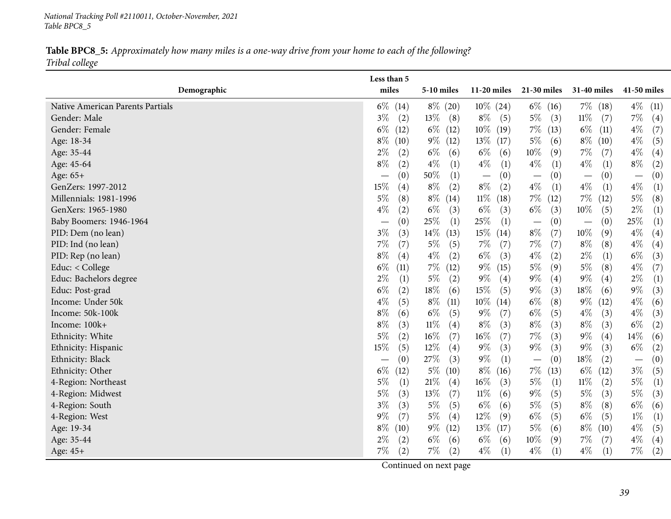*National Tracking Poll #2110011, October-November, <sup>2021</sup> Table BPC8\_5*

Table BPC8\_5: Approximately how many miles is a one-way drive from your home to each of the following? *Tribal college*

|                                  | Less than 5              |                   |                                 |                          |                          |                          |
|----------------------------------|--------------------------|-------------------|---------------------------------|--------------------------|--------------------------|--------------------------|
| Demographic                      | miles                    | 5-10 miles        | $11-20$ miles                   | 21-30 miles              | 31-40 miles              | 41-50 miles              |
| Native American Parents Partials | $6\%$<br>(14)            | $8\% (20)$        | $10\%$ (24)                     | $6\%$ (16)               | $7\%$ (18)               | $4\%$<br>(11)            |
| Gender: Male                     | $3\%$<br>(2)             | $13\%$ (8)        | $8\%$<br>(5)                    | $5\%$<br>(3)             | $11\%$<br>(7)            | $7\%$<br>(4)             |
| Gender: Female                   | $6\%$<br>(12)            | $6\%$ (12)        | $10\%$<br>(19)                  | $7\%$ (13)               | $6\%$<br>(11)            | $4\%$<br>(7)             |
| Age: 18-34                       | $8\%$<br>(10)            | $9\%$ (12)        | $13\%$<br>(17)                  | $5\%$<br>(6)             | $8\%$ (10)               | $4\%$<br>(5)             |
| Age: 35-44                       | $2\%$                    | $6\%$             | $6\%$                           | $10\%$                   | $7\%$                    | $4\%$                    |
|                                  | (2)                      | (6)               | (6)                             | (9)                      | (7)                      | (4)                      |
| Age: 45-64                       | $8\%$                    | $4\%$             | $4\%$                           | $4\%$                    | $4\%$                    | $8\%$                    |
|                                  | (2)                      | (1)               | (1)                             | (1)                      | (1)                      | (2)                      |
| Age: 65+                         | (0)                      | $50\%$            | (0)                             | (0)                      | (0)                      | (0)                      |
|                                  |                          | (1)               | $\hspace{0.1mm}-\hspace{0.1mm}$ |                          | $\overline{\phantom{m}}$ | $\overline{\phantom{m}}$ |
| GenZers: 1997-2012               | 15%                      | $8\%$             | $8\%$                           | $4\%$                    | $4\%$                    | $4\%$                    |
|                                  | (4)                      | (2)               | (2)                             | (1)                      | (1)                      | (1)                      |
| Millennials: 1981-1996           | $5\%$                    | $8\%$             | $11\%$                          | $7\%$                    | $7\%$                    | $5\%$                    |
|                                  | (8)                      | (14)              | (18)                            | (12)                     | (12)                     | (8)                      |
| GenXers: 1965-1980               | $4\%$                    | $6\%$             | $6\%$                           | $6\%$                    | $10\%$                   | $2\%$                    |
|                                  | (2)                      | (3)               | (3)                             | (3)                      | (5)                      | (1)                      |
| Baby Boomers: 1946-1964          | (0)                      | 25%               | $25\%$                          | (0)                      | (0)                      | 25\%                     |
|                                  |                          | (1)               | (1)                             |                          |                          | (1)                      |
| PID: Dem (no lean)               | $3\%$                    | $14\%$            | 15\%                            | $8\%$                    | $10\%$                   | $4\%$                    |
|                                  | (3)                      | (13)              | (14)                            | (7)                      | (9)                      | (4)                      |
| PID: Ind (no lean)               | $7\%$                    | $5\%$             | $7\%$                           | $7\%$                    | $8\%$                    | $4\%$                    |
|                                  | (7)                      | (5)               | (7)                             | (7)                      | (8)                      | (4)                      |
| PID: Rep (no lean)               | $8\%$                    | $4\%$             | $6\%$                           | $4\%$                    | $2\%$                    | $6\%$                    |
|                                  | (4)                      | (2)               | (3)                             | (2)                      | (1)                      | (3)                      |
| Educ: < College                  | $6\%$                    | $7\%$             | $9\%$                           | $5\%$                    | $5\%$                    | $4\%$                    |
|                                  | (11)                     | (12)              | (15)                            | (9)                      | (8)                      | (7)                      |
| Educ: Bachelors degree           | $2\%$                    | $5\%$             | $9\%$                           | $9\%$                    | $9\%$                    | $2\%$                    |
|                                  | (1)                      | (2)               | (4)                             | (4)                      | (4)                      | (1)                      |
| Educ: Post-grad                  | $6\%$                    | 18%               | $15\%$                          | $9\%$                    | $18\%$                   | $9\%$                    |
|                                  | (2)                      | (6)               | (5)                             | (3)                      | (6)                      | (3)                      |
| Income: Under 50k                | $4\%$                    | $8\%$             | $10\%$                          | $6\%$                    | $9\%$                    | $4\%$                    |
|                                  | (5)                      | (11)              | (14)                            | (8)                      | (12)                     | (6)                      |
| Income: 50k-100k                 | $8\%$                    | $6\%$             | $9\%$                           | $6\%$                    | $4\%$                    | $4\%$                    |
|                                  | (6)                      | (5)               | (7)                             | (5)                      | (3)                      | (3)                      |
| Income: 100k+                    | $8\%$                    | $11\%$            | $8\%$                           | $8\%$                    | $8\%$                    | $6\%$                    |
|                                  | (3)                      | (4)               | (3)                             | (3)                      | (3)                      | (2)                      |
| Ethnicity: White                 | 5%                       | $16\%$            | $16\%$                          | $7\%$                    | $9\%$                    | $14\%$                   |
|                                  | (2)                      | (7)               | (7)                             | (3)                      | (4)                      | (6)                      |
| Ethnicity: Hispanic              | 15%                      | $12\%$            | $9\%$                           | $9\%$                    | $9\%$                    | $6\%$                    |
|                                  | (5)                      | (4)               | (3)                             | (3)                      | (3)                      | (2)                      |
| Ethnicity: Black                 | (0)                      | 27\%              | $9\%$                           | (0)                      | $18\%$                   | (0)                      |
|                                  | $\overline{\phantom{m}}$ | (3)               | (1)                             | $\overline{\phantom{m}}$ | (2)                      | $\overline{\phantom{m}}$ |
| Ethnicity: Other                 | $6\%$                    | $5\%$             | $8\%$                           | $7\%$                    | $6\%$                    | $3\%$                    |
|                                  | (12)                     | (10)              | (16)                            | (13)                     | (12)                     | (5)                      |
| 4-Region: Northeast              | 5%                       | $21\%$            | $16\%$                          | $5\%$                    | $11\%$                   | $5\%$                    |
|                                  | (1)                      | $\left( 4\right)$ | (3)                             | (1)                      | (2)                      | (1)                      |
| 4-Region: Midwest                | $5\%$                    | $13\%$            | $11\%$                          | $9\%$                    | $5\%$                    | $5\%$                    |
|                                  | (3)                      | (7)               | (6)                             | (5)                      | (3)                      | (3)                      |
| 4-Region: South                  | 3%                       | $5\%$             | $6\%$                           | $5\%$                    | $8\%$                    | $6\%$                    |
|                                  | (3)                      | (5)               | (6)                             | (5)                      | (8)                      | (6)                      |
| 4-Region: West                   | $9\%$                    | $5\%$             | $12\%$                          | $6\%$                    | $6\%$                    | $1\%$                    |
|                                  | (7)                      | (4)               | (9)                             | (5)                      | (5)                      | (1)                      |
| Age: 19-34                       | $8\%$                    | $9\%$             | $13\%$                          | $5\%$                    | $8\%$                    | $4\%$                    |
|                                  | (10)                     | (12)              | (17)                            | (6)                      | (10)                     | (5)                      |
| Age: 35-44                       | $2\%$                    | $6\%$             | $6\%$                           | $10\%$                   | $7\%$                    | $4\%$                    |
|                                  | (2)                      | (6)               | (6)                             | (9)                      | (7)                      | (4)                      |
| Age: 45+                         | $7\%$                    | $7\%$             | $4\%$                           | $4\%$                    | $4\%$                    | $7\%$                    |
|                                  | (2)                      | (2)               | (1)                             | (1)                      | (1)                      | (2)                      |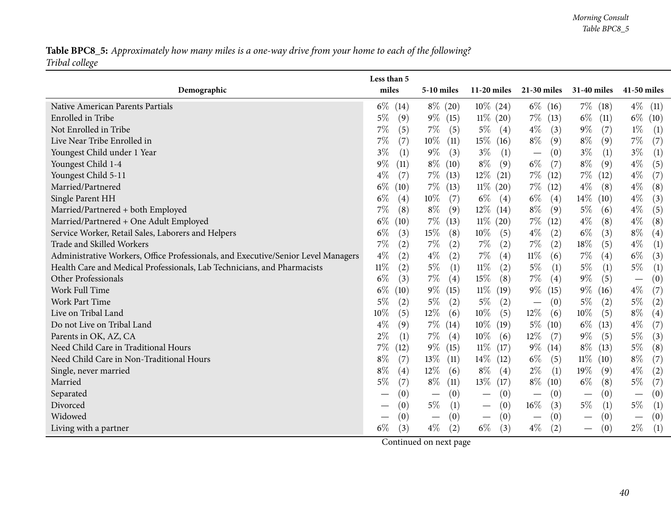## Table BPC8\_5: Approximately how many miles is a one-way drive from your home to each of the following? *Tribal college*

|                                                                                   | Less than 5   |                                        |                                          |                                 |                        |                                              |
|-----------------------------------------------------------------------------------|---------------|----------------------------------------|------------------------------------------|---------------------------------|------------------------|----------------------------------------------|
| Demographic                                                                       | miles         | $5-10$ miles                           | $11-20$ miles                            | $21-30$ miles                   | <b>31-40 miles</b>     | 41-50 miles                                  |
| Native American Parents Partials                                                  | $6\%$<br>(14) | $8\%$ (20)                             | $10\%$ (24)                              | $6\%$ (16)                      | $7\%$ (18)             | $4\%$ (11)                                   |
| Enrolled in Tribe                                                                 | $5\%$<br>(9)  | $9\%$ (15)                             | $11\%$ (20)                              | $7\%$ (13)                      | $6\%$<br>(11)          | $6\%$<br>(10)                                |
| Not Enrolled in Tribe                                                             | $7\%$<br>(5)  | $7\%$<br>(5)                           | $5\%$<br>(4)                             | $4\%$<br>(3)                    | $9\%$<br>(7)           | $1\%$<br>(1)                                 |
| Live Near Tribe Enrolled in                                                       | $7\%$<br>(7)  | $10\%$<br>(11)                         | $15\%$ (16)                              | $8\%$<br>(9)                    | $8\%$<br>(9)           | 7%<br>(7)                                    |
| Youngest Child under 1 Year                                                       | $3\%$<br>(1)  | $9\%$<br>(3)                           | $3\%$<br>(1)                             | (0)<br>$\overline{\phantom{m}}$ | $3\%$<br>(1)           | $3\%$<br>(1)                                 |
| Youngest Child 1-4                                                                | $9\%$<br>(11) | $8\%$<br>(10)                          | $8\%$<br>(9)                             | $6\%$<br>(7)                    | $8\%$<br>(9)           | $4\%$<br>(5)                                 |
| Youngest Child 5-11                                                               | $4\%$<br>(7)  | $7\%$ (13)                             | $12\%$ (21)                              | $7\%$ (12)                      | $7\%$ (12)             | $4\%$<br>(7)                                 |
| Married/Partnered                                                                 | $6\%$<br>(10) | $7\%$<br>(13)                          | $11\%$ (20)                              | $7\%$ (12)                      | $4\%$<br>(8)           | $4\%$<br>(8)                                 |
| Single Parent HH                                                                  | $6\%$<br>(4)  | $10\%$<br>(7)                          | $6\%$<br>(4)                             | $6\%$<br>(4)                    | $14\%$<br>(10)         | $4\%$<br>(3)                                 |
| Married/Partnered + both Employed                                                 | $7\%$<br>(8)  | $8\%$<br>(9)                           | $12\%$ (14)                              | $8\%$<br>(9)                    | $5\%$<br>(6)           | $4\%$<br>(5)                                 |
| Married/Partnered + One Adult Employed                                            | $6\%$<br>(10) | $7\%$<br>(13)                          | $11\%$ (20)                              | $7\%$<br>(12)                   | $4\%$<br>(8)           | $4\%$<br>(8)                                 |
| Service Worker, Retail Sales, Laborers and Helpers                                | $6\%$<br>(3)  | $15\%$<br>(8)                          | $10\%$<br>(5)                            | $4\%$<br>(2)                    | $6\%$<br>(3)           | $8\%$<br>$\left( 4\right)$                   |
| Trade and Skilled Workers                                                         | $7\%$<br>(2)  | 7%<br>(2)                              | $7\%$<br>(2)                             | $7\%$<br>(2)                    | 18%<br>(5)             | $4\%$<br>(1)                                 |
| Administrative Workers, Office Professionals, and Executive/Senior Level Managers | $4\%$<br>(2)  | $4\%$<br>(2)                           | $7\%$<br>(4)                             | $11\%$<br>(6)                   | $7\%$<br>(4)           | $6\%$<br>(3)                                 |
| Health Care and Medical Professionals, Lab Technicians, and Pharmacists           | $11\%$<br>(2) | $5\%$<br>(1)                           | $11\%$<br>(2)                            | $5\%$<br>$\left(1\right)$       | $5\%$<br>(1)           | $5\%$<br>(1)                                 |
| Other Professionals                                                               | $6\%$<br>(3)  | $7\%$<br>(4)                           | $15\%$<br>(8)                            | $7\%$<br>(4)                    | $9\%$<br>(5)           | (0)                                          |
| Work Full Time                                                                    | $6\%$<br>(10) | $9\%$<br>(15)                          | $11\%$<br>(19)                           | $9\%$<br>(15)                   | $9\%$<br>(16)          | $4\%$<br>(7)                                 |
| <b>Work Part Time</b>                                                             | $5\%$<br>(2)  | $5\%$<br>(2)                           | $5\%$<br>(2)                             | (0)<br>$\overline{\phantom{m}}$ | $5\%$<br>(2)           | $5\%$<br>(2)                                 |
| Live on Tribal Land                                                               | (5)<br>$10\%$ | $12\%$<br>(6)                          | $10\%$<br>(5)                            | $12\%$<br>(6)                   | $10\%$<br>(5)          | $8\%$<br>$\left( 4\right)$                   |
| Do not Live on Tribal Land                                                        | $4\%$<br>(9)  | $7\%$ (14)                             | $10\%$<br>(19)                           | $5\%$ (10)                      | $6\%$<br>(13)          | $4\%$<br>(7)                                 |
| Parents in OK, AZ, CA                                                             | $2\%$<br>(1)  | $7\%$<br>$\left( 4\right)$             | 10%<br>(6)                               | $12\%$<br>(7)                   | $9\%$<br>(5)           | $5\%$<br>(3)                                 |
| Need Child Care in Traditional Hours                                              | $7\%$<br>(12) | $9\%$ (15)                             | $11\%$ (17)                              | $9\%$ (14)                      | $8\%$<br>(13)          | $5\%$<br>(8)                                 |
| Need Child Care in Non-Traditional Hours                                          | $8\%$<br>(7)  | $13\%$<br>(11)                         | $14\%$ (12)                              | $6\%$<br>(5)                    | $11\%$ (10)            | $8\%$<br>(7)                                 |
| Single, never married                                                             | $8\%$<br>(4)  | $12\%$<br>(6)                          | $8\%$<br>(4)                             | $2\%$<br>(1)                    | 19%<br>(9)             | $4\%$<br>(2)                                 |
| Married                                                                           | (7)<br>$5\%$  | $8\%$<br>(11)                          | $13\%$ (17)                              | $8\%$ (10)                      | $6\%$<br>(8)           | $5\%$<br>(7)                                 |
| Separated                                                                         | (0)           | (0)<br>$\hspace{0.1mm}-\hspace{0.1mm}$ | (0)<br>$\overbrace{\phantom{123221111}}$ | (0)<br>$\overline{\phantom{m}}$ | (0)<br>$\qquad \qquad$ | $\left(0\right)$<br>$\overline{\phantom{m}}$ |
| Divorced                                                                          | (0)           | $5\%$<br>(1)                           | (0)<br>$\overbrace{\phantom{123221111}}$ | $16\%$<br>(3)                   | $5\%$<br>(1)           | $5\%$<br>(1)                                 |
| Widowed                                                                           | (0)           | (0)<br>$\overbrace{\phantom{13333}}$   | (0)                                      | (0)<br>$\overline{\phantom{m}}$ | (0)                    | (0)                                          |
| Living with a partner                                                             | (3)<br>$6\%$  | $4\%$<br>(2)                           | $6\%$<br>(3)                             | $4\%$<br>(2)                    | (0)<br>$\qquad \qquad$ | $2\%$<br>(1)                                 |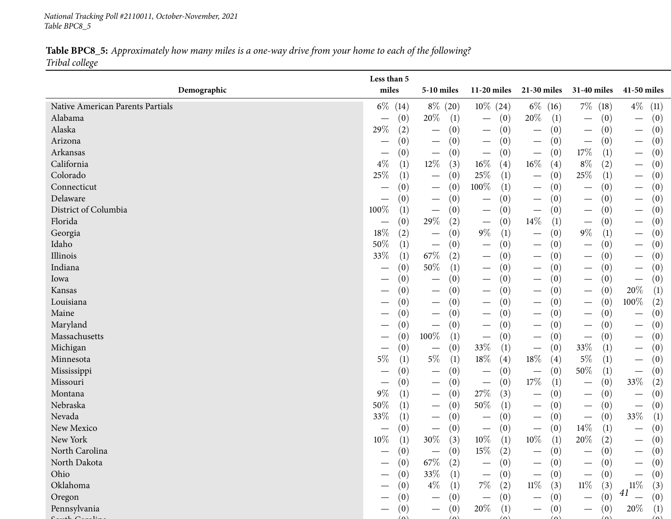*National Tracking Poll #2110011, October-November, <sup>2021</sup> Table BPC8\_5*

Table BPC8\_5: Approximately how many miles is a one-way drive from your home to each of the following? *Tribal college*

| miles<br>Demographic<br>5-10 miles<br>$11-20$ miles<br>21-30 miles<br>31-40 miles<br>41-50 miles<br>$6\%$<br>$8\%$ (20)<br>$10\%$ (24)<br>$7\%$ (18)<br>$4\%$<br>$6\%$ (16)<br>Native American Parents Partials<br>(11)<br>(14)<br>20%<br>20\%<br>Alabama<br>(1)<br>(1)<br>(0)<br>(0)<br>(0)<br>(0)<br>$\overline{\phantom{0}}$<br>$\overline{\phantom{m}}$<br>29%<br>Alaska<br>(2)<br>(0)<br>(0)<br>(0)<br>(0)<br>(0)<br>$\overline{\phantom{m}}$<br>$\overline{\phantom{m}}$<br>$\overline{\phantom{0}}$<br>$\overline{\phantom{m}}$<br>$\overbrace{\phantom{13333}}$<br>(0)<br>Arizona<br>(0)<br>(0)<br>(0)<br>(0)<br>(0)<br>$\overline{\phantom{m}}$<br>$\overline{\phantom{m}}$<br>$\overline{\phantom{m}}$<br>$\hspace{0.1mm}-\hspace{0.1mm}$<br>17\%<br>(0)<br>Arkansas<br>(0)<br>(0)<br>(1)<br>(0)<br>(0)<br>$\hspace{0.1mm}-\hspace{0.1mm}$<br>$\overline{\phantom{m}}$<br>$\overline{\phantom{m}}$<br>$\overline{\phantom{m}}$<br>$16\%$<br>California<br>$4\%$<br>$12\%$<br>16%<br>$8\%$<br>(2)<br>(1)<br>(3)<br>(4)<br>(4)<br>(0)<br>$\overline{\phantom{m}}$<br>$25\%$<br>25%<br>Colorado<br>(1)<br>25\%<br>(1)<br>(0)<br>(0)<br>(0)<br>(1)<br>$\hspace{0.1mm}-\hspace{0.1mm}$<br>$\hspace{0.1mm}-\hspace{0.1mm}$<br>$\overline{\phantom{m}}$<br>100%<br>Connecticut<br>(1)<br>(0)<br>(0)<br>(0)<br>(0)<br>(0)<br>$\hspace{0.1mm}-\hspace{0.1mm}$<br>$\hspace{0.1mm}-\hspace{0.1mm}$<br>$\hspace{0.1mm}-\hspace{0.1mm}$<br>Delaware<br>(0)<br>(0)<br>(0)<br>(0)<br>(0)<br>(0)<br>$\hspace{0.1mm}-\hspace{0.1mm}$<br>$\hspace{0.1mm}-\hspace{0.1mm}$<br>$\overline{\phantom{0}}$<br>$\hspace{0.1mm}-\hspace{0.1mm}$<br>100%<br>District of Columbia<br>(1)<br>(0)<br>(0)<br>(0)<br>(0)<br>(0)<br>$\hspace{0.1mm}-\hspace{0.1mm}$<br>$\hspace{0.1mm}-\hspace{0.1mm}$<br>$\overline{\phantom{m}}$<br>$\hspace{0.1mm}-\hspace{0.1mm}$<br>$\overbrace{\phantom{13333}}$<br>$14\%$<br>29\%<br>Florida<br>(0)<br>(2)<br>(0)<br>(0)<br>(1)<br>(0)<br>$\overline{\phantom{m}}$<br>$\overline{\phantom{m}}$<br>$\overline{\phantom{m}}$<br>$18\%$<br>$9\%$<br>$9\%$<br>(2)<br>(1)<br>(0)<br>(0)<br>Georgia<br>(0)<br>(1)<br>$\hspace{0.1mm}-\hspace{0.1mm}$<br>$\hspace{0.1mm}-\hspace{0.1mm}$<br>$\hspace{0.1mm}-\hspace{0.1mm}$<br>50%<br>Idaho<br>(1)<br>(0)<br>(0)<br>(0)<br>(0)<br>(0)<br>$\hspace{0.1mm}-\hspace{0.1mm}$<br>$\hspace{0.1mm}-\hspace{0.1mm}$<br>$67\%$<br>33%<br>Illinois<br>(1)<br>(2)<br>(0)<br>(0)<br>(0)<br>(0)<br>$\hspace{0.1mm}-\hspace{0.1mm}$<br>$\hspace{0.1mm}-\hspace{0.1mm}$<br>$\overline{\phantom{m}}$<br>$50\%$<br>Indiana<br>(0)<br>(0)<br>(1)<br>(0)<br>(0)<br>(0)<br>$\overline{\phantom{m}}$<br>$\hspace{0.1mm}-\hspace{0.1mm}$<br>$\overline{\phantom{0}}$<br>(0)<br>(0)<br>(0)<br>(0)<br>(0)<br>(0)<br>Iowa<br>$\overline{\phantom{m}}$<br>$\hspace{0.1mm}-\hspace{0.1mm}$<br>$\hspace{0.1mm}-\hspace{0.1mm}$<br>20%<br>(1)<br>Kansas<br>(0)<br>(0)<br>(0)<br>(0)<br>(0)<br>$\hspace{0.1mm}-\hspace{0.1mm}$<br>$\hspace{0.1mm}-\hspace{0.1mm}$<br>$\hspace{0.1mm}-\hspace{0.1mm}$<br>$\overline{\phantom{0}}$<br>100%<br>$\left( 2\right)$<br>Louisiana<br>(0)<br>(0)<br>(0)<br>(0)<br>(0)<br>$\overline{\phantom{m}}$<br>$\hspace{0.1mm}-\hspace{0.1mm}$<br>$\hspace{0.1mm}-\hspace{0.1mm}$<br>$\overline{\phantom{0}}$<br>Maine<br>(0)<br>(0)<br>(0)<br>(0)<br>(0)<br>(0)<br>$\hspace{0.1mm}-\hspace{0.1mm}$<br>$\overline{\phantom{0}}$<br>$\overbrace{\phantom{12333}}$<br>Maryland<br>(0)<br>(0)<br>(0)<br>(0)<br>(0)<br>(0)<br>$\overline{\phantom{0}}$<br>$\overline{\phantom{m}}$<br>$\hspace{0.1mm}-\hspace{0.1mm}$<br>$\hspace{0.1mm}-\hspace{0.1mm}$<br>$\hspace{0.1mm}-\hspace{0.1mm}$<br>100%<br>Massachusetts<br>(0)<br>(0)<br>(1)<br>(0)<br>(0)<br>(0)<br>$\hspace{0.1mm}-\hspace{0.1mm}$<br>$\hspace{0.1mm}-\hspace{0.1mm}$<br>$\overline{\phantom{m}}$<br>$\overline{\phantom{m}}$<br>33%<br>Michigan<br>33\%<br>(0)<br>(0)<br>(1)<br>(0)<br>(0)<br>(1)<br>$\hspace{0.1mm}-\hspace{0.1mm}$<br>$\hspace{0.1mm}-\hspace{0.1mm}$<br>$\overline{\phantom{m}}$<br>$5\%$<br>$18\%$<br>$5\%$<br>18%<br>$5\%$<br>Minnesota<br>(1)<br>(1)<br>(4)<br>(1)<br>(0)<br>(4)<br>$\hspace{0.1mm}-\hspace{0.1mm}$<br>50%<br>(0)<br>(0)<br>(0)<br>(0)<br>(1)<br>Mississippi<br>(0)<br>$\overline{\phantom{m}}$<br>$\hspace{0.05cm}$<br>$\overbrace{\phantom{12333}}$<br>17%<br>33\%<br>(2)<br>Missouri<br>(0)<br>(0)<br>(1)<br>(0)<br>(0)<br>$\hspace{0.1mm}-\hspace{0.1mm}$<br>$9\%$<br>27%<br>Montana<br>(1)<br>(3)<br>(0)<br>(0)<br>(0)<br>(0)<br>$\hspace{0.1mm}-\hspace{0.1mm}$<br>$\hspace{0.1mm}-\hspace{0.1mm}$<br>$\hspace{0.1mm}-\hspace{0.1mm}$<br>$\hspace{0.1mm}-\hspace{0.1mm}$<br>50%<br>50%<br>Nebraska<br>(1)<br>(1)<br>(0)<br>(0)<br>(0)<br>(0)<br>$\overline{\phantom{m}}$<br>$\overline{\phantom{m}}$<br>$\hspace{0.1mm}-\hspace{0.1mm}$<br>33%<br>33%<br>Nevada<br>(1)<br>(0)<br>(0)<br>(0)<br>(1)<br>(0)<br>$\overbrace{\phantom{12333}}$<br>$14\%$<br>New Mexico<br>(0)<br>(0)<br>(0)<br>(0)<br>(0)<br>(1)<br>$\hspace{0.1mm}-\hspace{0.1mm}$<br>$\hspace{0.1mm}-\hspace{0.1mm}$<br>$\hspace{0.1mm}-\hspace{0.1mm}$<br>$\hspace{0.1mm}-\hspace{0.1mm}$<br>10%<br>$30\%$<br>10%<br>$10\%$<br>20%<br>New York<br>(3)<br>(1)<br>(2)<br>(0)<br>(1)<br>$\left(1\right)$<br>$15\%$<br>(2)<br>(0)<br>North Carolina<br>(0)<br>(0)<br>(0)<br>(0)<br>$67\%$<br>North Dakota<br>(2)<br>(0)<br>(0)<br>(0)<br>(0)<br>(0)<br>$\hspace{0.1mm}-\hspace{0.1mm}$<br>--<br>$33\%$<br>Ohio<br>(0)<br>(0)<br>(0)<br>(1)<br>(0)<br>(0)<br>$\overline{\phantom{m}}$<br>$\overline{\phantom{0}}$<br>$11\%$<br>Oklahoma<br>$4\%$<br>$7\%$<br>$11\%$<br>$11\%$<br>(2)<br>(3)<br>(3)<br>(0)<br>(1)<br>(3)<br>41<br>(0)<br>(0)<br>(0)<br>Oregon<br>(0)<br>(0)<br>(0)<br>$\overline{\phantom{m}}$<br>$\hspace{0.1mm}-\hspace{0.1mm}$<br>$\qquad \qquad \longleftarrow$<br>$\overbrace{\phantom{13333}}$<br>20%<br>Pennsylvania<br>20%<br>(1)<br>(0)<br>(1)<br>(0)<br>(0)<br>(0)<br>$\qquad \qquad$ | Less than 5 |  |  |  |  |  |
|-------------------------------------------------------------------------------------------------------------------------------------------------------------------------------------------------------------------------------------------------------------------------------------------------------------------------------------------------------------------------------------------------------------------------------------------------------------------------------------------------------------------------------------------------------------------------------------------------------------------------------------------------------------------------------------------------------------------------------------------------------------------------------------------------------------------------------------------------------------------------------------------------------------------------------------------------------------------------------------------------------------------------------------------------------------------------------------------------------------------------------------------------------------------------------------------------------------------------------------------------------------------------------------------------------------------------------------------------------------------------------------------------------------------------------------------------------------------------------------------------------------------------------------------------------------------------------------------------------------------------------------------------------------------------------------------------------------------------------------------------------------------------------------------------------------------------------------------------------------------------------------------------------------------------------------------------------------------------------------------------------------------------------------------------------------------------------------------------------------------------------------------------------------------------------------------------------------------------------------------------------------------------------------------------------------------------------------------------------------------------------------------------------------------------------------------------------------------------------------------------------------------------------------------------------------------------------------------------------------------------------------------------------------------------------------------------------------------------------------------------------------------------------------------------------------------------------------------------------------------------------------------------------------------------------------------------------------------------------------------------------------------------------------------------------------------------------------------------------------------------------------------------------------------------------------------------------------------------------------------------------------------------------------------------------------------------------------------------------------------------------------------------------------------------------------------------------------------------------------------------------------------------------------------------------------------------------------------------------------------------------------------------------------------------------------------------------------------------------------------------------------------------------------------------------------------------------------------------------------------------------------------------------------------------------------------------------------------------------------------------------------------------------------------------------------------------------------------------------------------------------------------------------------------------------------------------------------------------------------------------------------------------------------------------------------------------------------------------------------------------------------------------------------------------------------------------------------------------------------------------------------------------------------------------------------------------------------------------------------------------------------------------------------------------------------------------------------------------------------------------------------------------------------------------------------------------------------------------------------------------------------------------------------------------------------------------------------------------------------------------------------------------------------------------------------------------------------------------------------------------------------------------------------------------------------------------------------------------------------------------------------------------------------------------------------------------------------------------------------------------------------------------------------------------------------------------------------------------------------------------------------------------------------------------------------------------------------------------------------------------------------------------------------------------------------------------------------------------------------------------------------------------------------------------------------------------------------------------------------------------------------------------------------------------------------------|-------------|--|--|--|--|--|
|                                                                                                                                                                                                                                                                                                                                                                                                                                                                                                                                                                                                                                                                                                                                                                                                                                                                                                                                                                                                                                                                                                                                                                                                                                                                                                                                                                                                                                                                                                                                                                                                                                                                                                                                                                                                                                                                                                                                                                                                                                                                                                                                                                                                                                                                                                                                                                                                                                                                                                                                                                                                                                                                                                                                                                                                                                                                                                                                                                                                                                                                                                                                                                                                                                                                                                                                                                                                                                                                                                                                                                                                                                                                                                                                                                                                                                                                                                                                                                                                                                                                                                                                                                                                                                                                                                                                                                                                                                                                                                                                                                                                                                                                                                                                                                                                                                                                                                                                                                                                                                                                                                                                                                                                                                                                                                                                                                                                                                                                                                                                                                                                                                                                                                                                                                                                                                                                                                                                           |             |  |  |  |  |  |
|                                                                                                                                                                                                                                                                                                                                                                                                                                                                                                                                                                                                                                                                                                                                                                                                                                                                                                                                                                                                                                                                                                                                                                                                                                                                                                                                                                                                                                                                                                                                                                                                                                                                                                                                                                                                                                                                                                                                                                                                                                                                                                                                                                                                                                                                                                                                                                                                                                                                                                                                                                                                                                                                                                                                                                                                                                                                                                                                                                                                                                                                                                                                                                                                                                                                                                                                                                                                                                                                                                                                                                                                                                                                                                                                                                                                                                                                                                                                                                                                                                                                                                                                                                                                                                                                                                                                                                                                                                                                                                                                                                                                                                                                                                                                                                                                                                                                                                                                                                                                                                                                                                                                                                                                                                                                                                                                                                                                                                                                                                                                                                                                                                                                                                                                                                                                                                                                                                                                           |             |  |  |  |  |  |
|                                                                                                                                                                                                                                                                                                                                                                                                                                                                                                                                                                                                                                                                                                                                                                                                                                                                                                                                                                                                                                                                                                                                                                                                                                                                                                                                                                                                                                                                                                                                                                                                                                                                                                                                                                                                                                                                                                                                                                                                                                                                                                                                                                                                                                                                                                                                                                                                                                                                                                                                                                                                                                                                                                                                                                                                                                                                                                                                                                                                                                                                                                                                                                                                                                                                                                                                                                                                                                                                                                                                                                                                                                                                                                                                                                                                                                                                                                                                                                                                                                                                                                                                                                                                                                                                                                                                                                                                                                                                                                                                                                                                                                                                                                                                                                                                                                                                                                                                                                                                                                                                                                                                                                                                                                                                                                                                                                                                                                                                                                                                                                                                                                                                                                                                                                                                                                                                                                                                           |             |  |  |  |  |  |
|                                                                                                                                                                                                                                                                                                                                                                                                                                                                                                                                                                                                                                                                                                                                                                                                                                                                                                                                                                                                                                                                                                                                                                                                                                                                                                                                                                                                                                                                                                                                                                                                                                                                                                                                                                                                                                                                                                                                                                                                                                                                                                                                                                                                                                                                                                                                                                                                                                                                                                                                                                                                                                                                                                                                                                                                                                                                                                                                                                                                                                                                                                                                                                                                                                                                                                                                                                                                                                                                                                                                                                                                                                                                                                                                                                                                                                                                                                                                                                                                                                                                                                                                                                                                                                                                                                                                                                                                                                                                                                                                                                                                                                                                                                                                                                                                                                                                                                                                                                                                                                                                                                                                                                                                                                                                                                                                                                                                                                                                                                                                                                                                                                                                                                                                                                                                                                                                                                                                           |             |  |  |  |  |  |
|                                                                                                                                                                                                                                                                                                                                                                                                                                                                                                                                                                                                                                                                                                                                                                                                                                                                                                                                                                                                                                                                                                                                                                                                                                                                                                                                                                                                                                                                                                                                                                                                                                                                                                                                                                                                                                                                                                                                                                                                                                                                                                                                                                                                                                                                                                                                                                                                                                                                                                                                                                                                                                                                                                                                                                                                                                                                                                                                                                                                                                                                                                                                                                                                                                                                                                                                                                                                                                                                                                                                                                                                                                                                                                                                                                                                                                                                                                                                                                                                                                                                                                                                                                                                                                                                                                                                                                                                                                                                                                                                                                                                                                                                                                                                                                                                                                                                                                                                                                                                                                                                                                                                                                                                                                                                                                                                                                                                                                                                                                                                                                                                                                                                                                                                                                                                                                                                                                                                           |             |  |  |  |  |  |
|                                                                                                                                                                                                                                                                                                                                                                                                                                                                                                                                                                                                                                                                                                                                                                                                                                                                                                                                                                                                                                                                                                                                                                                                                                                                                                                                                                                                                                                                                                                                                                                                                                                                                                                                                                                                                                                                                                                                                                                                                                                                                                                                                                                                                                                                                                                                                                                                                                                                                                                                                                                                                                                                                                                                                                                                                                                                                                                                                                                                                                                                                                                                                                                                                                                                                                                                                                                                                                                                                                                                                                                                                                                                                                                                                                                                                                                                                                                                                                                                                                                                                                                                                                                                                                                                                                                                                                                                                                                                                                                                                                                                                                                                                                                                                                                                                                                                                                                                                                                                                                                                                                                                                                                                                                                                                                                                                                                                                                                                                                                                                                                                                                                                                                                                                                                                                                                                                                                                           |             |  |  |  |  |  |
|                                                                                                                                                                                                                                                                                                                                                                                                                                                                                                                                                                                                                                                                                                                                                                                                                                                                                                                                                                                                                                                                                                                                                                                                                                                                                                                                                                                                                                                                                                                                                                                                                                                                                                                                                                                                                                                                                                                                                                                                                                                                                                                                                                                                                                                                                                                                                                                                                                                                                                                                                                                                                                                                                                                                                                                                                                                                                                                                                                                                                                                                                                                                                                                                                                                                                                                                                                                                                                                                                                                                                                                                                                                                                                                                                                                                                                                                                                                                                                                                                                                                                                                                                                                                                                                                                                                                                                                                                                                                                                                                                                                                                                                                                                                                                                                                                                                                                                                                                                                                                                                                                                                                                                                                                                                                                                                                                                                                                                                                                                                                                                                                                                                                                                                                                                                                                                                                                                                                           |             |  |  |  |  |  |
|                                                                                                                                                                                                                                                                                                                                                                                                                                                                                                                                                                                                                                                                                                                                                                                                                                                                                                                                                                                                                                                                                                                                                                                                                                                                                                                                                                                                                                                                                                                                                                                                                                                                                                                                                                                                                                                                                                                                                                                                                                                                                                                                                                                                                                                                                                                                                                                                                                                                                                                                                                                                                                                                                                                                                                                                                                                                                                                                                                                                                                                                                                                                                                                                                                                                                                                                                                                                                                                                                                                                                                                                                                                                                                                                                                                                                                                                                                                                                                                                                                                                                                                                                                                                                                                                                                                                                                                                                                                                                                                                                                                                                                                                                                                                                                                                                                                                                                                                                                                                                                                                                                                                                                                                                                                                                                                                                                                                                                                                                                                                                                                                                                                                                                                                                                                                                                                                                                                                           |             |  |  |  |  |  |
|                                                                                                                                                                                                                                                                                                                                                                                                                                                                                                                                                                                                                                                                                                                                                                                                                                                                                                                                                                                                                                                                                                                                                                                                                                                                                                                                                                                                                                                                                                                                                                                                                                                                                                                                                                                                                                                                                                                                                                                                                                                                                                                                                                                                                                                                                                                                                                                                                                                                                                                                                                                                                                                                                                                                                                                                                                                                                                                                                                                                                                                                                                                                                                                                                                                                                                                                                                                                                                                                                                                                                                                                                                                                                                                                                                                                                                                                                                                                                                                                                                                                                                                                                                                                                                                                                                                                                                                                                                                                                                                                                                                                                                                                                                                                                                                                                                                                                                                                                                                                                                                                                                                                                                                                                                                                                                                                                                                                                                                                                                                                                                                                                                                                                                                                                                                                                                                                                                                                           |             |  |  |  |  |  |
|                                                                                                                                                                                                                                                                                                                                                                                                                                                                                                                                                                                                                                                                                                                                                                                                                                                                                                                                                                                                                                                                                                                                                                                                                                                                                                                                                                                                                                                                                                                                                                                                                                                                                                                                                                                                                                                                                                                                                                                                                                                                                                                                                                                                                                                                                                                                                                                                                                                                                                                                                                                                                                                                                                                                                                                                                                                                                                                                                                                                                                                                                                                                                                                                                                                                                                                                                                                                                                                                                                                                                                                                                                                                                                                                                                                                                                                                                                                                                                                                                                                                                                                                                                                                                                                                                                                                                                                                                                                                                                                                                                                                                                                                                                                                                                                                                                                                                                                                                                                                                                                                                                                                                                                                                                                                                                                                                                                                                                                                                                                                                                                                                                                                                                                                                                                                                                                                                                                                           |             |  |  |  |  |  |
|                                                                                                                                                                                                                                                                                                                                                                                                                                                                                                                                                                                                                                                                                                                                                                                                                                                                                                                                                                                                                                                                                                                                                                                                                                                                                                                                                                                                                                                                                                                                                                                                                                                                                                                                                                                                                                                                                                                                                                                                                                                                                                                                                                                                                                                                                                                                                                                                                                                                                                                                                                                                                                                                                                                                                                                                                                                                                                                                                                                                                                                                                                                                                                                                                                                                                                                                                                                                                                                                                                                                                                                                                                                                                                                                                                                                                                                                                                                                                                                                                                                                                                                                                                                                                                                                                                                                                                                                                                                                                                                                                                                                                                                                                                                                                                                                                                                                                                                                                                                                                                                                                                                                                                                                                                                                                                                                                                                                                                                                                                                                                                                                                                                                                                                                                                                                                                                                                                                                           |             |  |  |  |  |  |
|                                                                                                                                                                                                                                                                                                                                                                                                                                                                                                                                                                                                                                                                                                                                                                                                                                                                                                                                                                                                                                                                                                                                                                                                                                                                                                                                                                                                                                                                                                                                                                                                                                                                                                                                                                                                                                                                                                                                                                                                                                                                                                                                                                                                                                                                                                                                                                                                                                                                                                                                                                                                                                                                                                                                                                                                                                                                                                                                                                                                                                                                                                                                                                                                                                                                                                                                                                                                                                                                                                                                                                                                                                                                                                                                                                                                                                                                                                                                                                                                                                                                                                                                                                                                                                                                                                                                                                                                                                                                                                                                                                                                                                                                                                                                                                                                                                                                                                                                                                                                                                                                                                                                                                                                                                                                                                                                                                                                                                                                                                                                                                                                                                                                                                                                                                                                                                                                                                                                           |             |  |  |  |  |  |
|                                                                                                                                                                                                                                                                                                                                                                                                                                                                                                                                                                                                                                                                                                                                                                                                                                                                                                                                                                                                                                                                                                                                                                                                                                                                                                                                                                                                                                                                                                                                                                                                                                                                                                                                                                                                                                                                                                                                                                                                                                                                                                                                                                                                                                                                                                                                                                                                                                                                                                                                                                                                                                                                                                                                                                                                                                                                                                                                                                                                                                                                                                                                                                                                                                                                                                                                                                                                                                                                                                                                                                                                                                                                                                                                                                                                                                                                                                                                                                                                                                                                                                                                                                                                                                                                                                                                                                                                                                                                                                                                                                                                                                                                                                                                                                                                                                                                                                                                                                                                                                                                                                                                                                                                                                                                                                                                                                                                                                                                                                                                                                                                                                                                                                                                                                                                                                                                                                                                           |             |  |  |  |  |  |
|                                                                                                                                                                                                                                                                                                                                                                                                                                                                                                                                                                                                                                                                                                                                                                                                                                                                                                                                                                                                                                                                                                                                                                                                                                                                                                                                                                                                                                                                                                                                                                                                                                                                                                                                                                                                                                                                                                                                                                                                                                                                                                                                                                                                                                                                                                                                                                                                                                                                                                                                                                                                                                                                                                                                                                                                                                                                                                                                                                                                                                                                                                                                                                                                                                                                                                                                                                                                                                                                                                                                                                                                                                                                                                                                                                                                                                                                                                                                                                                                                                                                                                                                                                                                                                                                                                                                                                                                                                                                                                                                                                                                                                                                                                                                                                                                                                                                                                                                                                                                                                                                                                                                                                                                                                                                                                                                                                                                                                                                                                                                                                                                                                                                                                                                                                                                                                                                                                                                           |             |  |  |  |  |  |
|                                                                                                                                                                                                                                                                                                                                                                                                                                                                                                                                                                                                                                                                                                                                                                                                                                                                                                                                                                                                                                                                                                                                                                                                                                                                                                                                                                                                                                                                                                                                                                                                                                                                                                                                                                                                                                                                                                                                                                                                                                                                                                                                                                                                                                                                                                                                                                                                                                                                                                                                                                                                                                                                                                                                                                                                                                                                                                                                                                                                                                                                                                                                                                                                                                                                                                                                                                                                                                                                                                                                                                                                                                                                                                                                                                                                                                                                                                                                                                                                                                                                                                                                                                                                                                                                                                                                                                                                                                                                                                                                                                                                                                                                                                                                                                                                                                                                                                                                                                                                                                                                                                                                                                                                                                                                                                                                                                                                                                                                                                                                                                                                                                                                                                                                                                                                                                                                                                                                           |             |  |  |  |  |  |
|                                                                                                                                                                                                                                                                                                                                                                                                                                                                                                                                                                                                                                                                                                                                                                                                                                                                                                                                                                                                                                                                                                                                                                                                                                                                                                                                                                                                                                                                                                                                                                                                                                                                                                                                                                                                                                                                                                                                                                                                                                                                                                                                                                                                                                                                                                                                                                                                                                                                                                                                                                                                                                                                                                                                                                                                                                                                                                                                                                                                                                                                                                                                                                                                                                                                                                                                                                                                                                                                                                                                                                                                                                                                                                                                                                                                                                                                                                                                                                                                                                                                                                                                                                                                                                                                                                                                                                                                                                                                                                                                                                                                                                                                                                                                                                                                                                                                                                                                                                                                                                                                                                                                                                                                                                                                                                                                                                                                                                                                                                                                                                                                                                                                                                                                                                                                                                                                                                                                           |             |  |  |  |  |  |
|                                                                                                                                                                                                                                                                                                                                                                                                                                                                                                                                                                                                                                                                                                                                                                                                                                                                                                                                                                                                                                                                                                                                                                                                                                                                                                                                                                                                                                                                                                                                                                                                                                                                                                                                                                                                                                                                                                                                                                                                                                                                                                                                                                                                                                                                                                                                                                                                                                                                                                                                                                                                                                                                                                                                                                                                                                                                                                                                                                                                                                                                                                                                                                                                                                                                                                                                                                                                                                                                                                                                                                                                                                                                                                                                                                                                                                                                                                                                                                                                                                                                                                                                                                                                                                                                                                                                                                                                                                                                                                                                                                                                                                                                                                                                                                                                                                                                                                                                                                                                                                                                                                                                                                                                                                                                                                                                                                                                                                                                                                                                                                                                                                                                                                                                                                                                                                                                                                                                           |             |  |  |  |  |  |
|                                                                                                                                                                                                                                                                                                                                                                                                                                                                                                                                                                                                                                                                                                                                                                                                                                                                                                                                                                                                                                                                                                                                                                                                                                                                                                                                                                                                                                                                                                                                                                                                                                                                                                                                                                                                                                                                                                                                                                                                                                                                                                                                                                                                                                                                                                                                                                                                                                                                                                                                                                                                                                                                                                                                                                                                                                                                                                                                                                                                                                                                                                                                                                                                                                                                                                                                                                                                                                                                                                                                                                                                                                                                                                                                                                                                                                                                                                                                                                                                                                                                                                                                                                                                                                                                                                                                                                                                                                                                                                                                                                                                                                                                                                                                                                                                                                                                                                                                                                                                                                                                                                                                                                                                                                                                                                                                                                                                                                                                                                                                                                                                                                                                                                                                                                                                                                                                                                                                           |             |  |  |  |  |  |
|                                                                                                                                                                                                                                                                                                                                                                                                                                                                                                                                                                                                                                                                                                                                                                                                                                                                                                                                                                                                                                                                                                                                                                                                                                                                                                                                                                                                                                                                                                                                                                                                                                                                                                                                                                                                                                                                                                                                                                                                                                                                                                                                                                                                                                                                                                                                                                                                                                                                                                                                                                                                                                                                                                                                                                                                                                                                                                                                                                                                                                                                                                                                                                                                                                                                                                                                                                                                                                                                                                                                                                                                                                                                                                                                                                                                                                                                                                                                                                                                                                                                                                                                                                                                                                                                                                                                                                                                                                                                                                                                                                                                                                                                                                                                                                                                                                                                                                                                                                                                                                                                                                                                                                                                                                                                                                                                                                                                                                                                                                                                                                                                                                                                                                                                                                                                                                                                                                                                           |             |  |  |  |  |  |
|                                                                                                                                                                                                                                                                                                                                                                                                                                                                                                                                                                                                                                                                                                                                                                                                                                                                                                                                                                                                                                                                                                                                                                                                                                                                                                                                                                                                                                                                                                                                                                                                                                                                                                                                                                                                                                                                                                                                                                                                                                                                                                                                                                                                                                                                                                                                                                                                                                                                                                                                                                                                                                                                                                                                                                                                                                                                                                                                                                                                                                                                                                                                                                                                                                                                                                                                                                                                                                                                                                                                                                                                                                                                                                                                                                                                                                                                                                                                                                                                                                                                                                                                                                                                                                                                                                                                                                                                                                                                                                                                                                                                                                                                                                                                                                                                                                                                                                                                                                                                                                                                                                                                                                                                                                                                                                                                                                                                                                                                                                                                                                                                                                                                                                                                                                                                                                                                                                                                           |             |  |  |  |  |  |
|                                                                                                                                                                                                                                                                                                                                                                                                                                                                                                                                                                                                                                                                                                                                                                                                                                                                                                                                                                                                                                                                                                                                                                                                                                                                                                                                                                                                                                                                                                                                                                                                                                                                                                                                                                                                                                                                                                                                                                                                                                                                                                                                                                                                                                                                                                                                                                                                                                                                                                                                                                                                                                                                                                                                                                                                                                                                                                                                                                                                                                                                                                                                                                                                                                                                                                                                                                                                                                                                                                                                                                                                                                                                                                                                                                                                                                                                                                                                                                                                                                                                                                                                                                                                                                                                                                                                                                                                                                                                                                                                                                                                                                                                                                                                                                                                                                                                                                                                                                                                                                                                                                                                                                                                                                                                                                                                                                                                                                                                                                                                                                                                                                                                                                                                                                                                                                                                                                                                           |             |  |  |  |  |  |
|                                                                                                                                                                                                                                                                                                                                                                                                                                                                                                                                                                                                                                                                                                                                                                                                                                                                                                                                                                                                                                                                                                                                                                                                                                                                                                                                                                                                                                                                                                                                                                                                                                                                                                                                                                                                                                                                                                                                                                                                                                                                                                                                                                                                                                                                                                                                                                                                                                                                                                                                                                                                                                                                                                                                                                                                                                                                                                                                                                                                                                                                                                                                                                                                                                                                                                                                                                                                                                                                                                                                                                                                                                                                                                                                                                                                                                                                                                                                                                                                                                                                                                                                                                                                                                                                                                                                                                                                                                                                                                                                                                                                                                                                                                                                                                                                                                                                                                                                                                                                                                                                                                                                                                                                                                                                                                                                                                                                                                                                                                                                                                                                                                                                                                                                                                                                                                                                                                                                           |             |  |  |  |  |  |
|                                                                                                                                                                                                                                                                                                                                                                                                                                                                                                                                                                                                                                                                                                                                                                                                                                                                                                                                                                                                                                                                                                                                                                                                                                                                                                                                                                                                                                                                                                                                                                                                                                                                                                                                                                                                                                                                                                                                                                                                                                                                                                                                                                                                                                                                                                                                                                                                                                                                                                                                                                                                                                                                                                                                                                                                                                                                                                                                                                                                                                                                                                                                                                                                                                                                                                                                                                                                                                                                                                                                                                                                                                                                                                                                                                                                                                                                                                                                                                                                                                                                                                                                                                                                                                                                                                                                                                                                                                                                                                                                                                                                                                                                                                                                                                                                                                                                                                                                                                                                                                                                                                                                                                                                                                                                                                                                                                                                                                                                                                                                                                                                                                                                                                                                                                                                                                                                                                                                           |             |  |  |  |  |  |
|                                                                                                                                                                                                                                                                                                                                                                                                                                                                                                                                                                                                                                                                                                                                                                                                                                                                                                                                                                                                                                                                                                                                                                                                                                                                                                                                                                                                                                                                                                                                                                                                                                                                                                                                                                                                                                                                                                                                                                                                                                                                                                                                                                                                                                                                                                                                                                                                                                                                                                                                                                                                                                                                                                                                                                                                                                                                                                                                                                                                                                                                                                                                                                                                                                                                                                                                                                                                                                                                                                                                                                                                                                                                                                                                                                                                                                                                                                                                                                                                                                                                                                                                                                                                                                                                                                                                                                                                                                                                                                                                                                                                                                                                                                                                                                                                                                                                                                                                                                                                                                                                                                                                                                                                                                                                                                                                                                                                                                                                                                                                                                                                                                                                                                                                                                                                                                                                                                                                           |             |  |  |  |  |  |
|                                                                                                                                                                                                                                                                                                                                                                                                                                                                                                                                                                                                                                                                                                                                                                                                                                                                                                                                                                                                                                                                                                                                                                                                                                                                                                                                                                                                                                                                                                                                                                                                                                                                                                                                                                                                                                                                                                                                                                                                                                                                                                                                                                                                                                                                                                                                                                                                                                                                                                                                                                                                                                                                                                                                                                                                                                                                                                                                                                                                                                                                                                                                                                                                                                                                                                                                                                                                                                                                                                                                                                                                                                                                                                                                                                                                                                                                                                                                                                                                                                                                                                                                                                                                                                                                                                                                                                                                                                                                                                                                                                                                                                                                                                                                                                                                                                                                                                                                                                                                                                                                                                                                                                                                                                                                                                                                                                                                                                                                                                                                                                                                                                                                                                                                                                                                                                                                                                                                           |             |  |  |  |  |  |
|                                                                                                                                                                                                                                                                                                                                                                                                                                                                                                                                                                                                                                                                                                                                                                                                                                                                                                                                                                                                                                                                                                                                                                                                                                                                                                                                                                                                                                                                                                                                                                                                                                                                                                                                                                                                                                                                                                                                                                                                                                                                                                                                                                                                                                                                                                                                                                                                                                                                                                                                                                                                                                                                                                                                                                                                                                                                                                                                                                                                                                                                                                                                                                                                                                                                                                                                                                                                                                                                                                                                                                                                                                                                                                                                                                                                                                                                                                                                                                                                                                                                                                                                                                                                                                                                                                                                                                                                                                                                                                                                                                                                                                                                                                                                                                                                                                                                                                                                                                                                                                                                                                                                                                                                                                                                                                                                                                                                                                                                                                                                                                                                                                                                                                                                                                                                                                                                                                                                           |             |  |  |  |  |  |
|                                                                                                                                                                                                                                                                                                                                                                                                                                                                                                                                                                                                                                                                                                                                                                                                                                                                                                                                                                                                                                                                                                                                                                                                                                                                                                                                                                                                                                                                                                                                                                                                                                                                                                                                                                                                                                                                                                                                                                                                                                                                                                                                                                                                                                                                                                                                                                                                                                                                                                                                                                                                                                                                                                                                                                                                                                                                                                                                                                                                                                                                                                                                                                                                                                                                                                                                                                                                                                                                                                                                                                                                                                                                                                                                                                                                                                                                                                                                                                                                                                                                                                                                                                                                                                                                                                                                                                                                                                                                                                                                                                                                                                                                                                                                                                                                                                                                                                                                                                                                                                                                                                                                                                                                                                                                                                                                                                                                                                                                                                                                                                                                                                                                                                                                                                                                                                                                                                                                           |             |  |  |  |  |  |
|                                                                                                                                                                                                                                                                                                                                                                                                                                                                                                                                                                                                                                                                                                                                                                                                                                                                                                                                                                                                                                                                                                                                                                                                                                                                                                                                                                                                                                                                                                                                                                                                                                                                                                                                                                                                                                                                                                                                                                                                                                                                                                                                                                                                                                                                                                                                                                                                                                                                                                                                                                                                                                                                                                                                                                                                                                                                                                                                                                                                                                                                                                                                                                                                                                                                                                                                                                                                                                                                                                                                                                                                                                                                                                                                                                                                                                                                                                                                                                                                                                                                                                                                                                                                                                                                                                                                                                                                                                                                                                                                                                                                                                                                                                                                                                                                                                                                                                                                                                                                                                                                                                                                                                                                                                                                                                                                                                                                                                                                                                                                                                                                                                                                                                                                                                                                                                                                                                                                           |             |  |  |  |  |  |
|                                                                                                                                                                                                                                                                                                                                                                                                                                                                                                                                                                                                                                                                                                                                                                                                                                                                                                                                                                                                                                                                                                                                                                                                                                                                                                                                                                                                                                                                                                                                                                                                                                                                                                                                                                                                                                                                                                                                                                                                                                                                                                                                                                                                                                                                                                                                                                                                                                                                                                                                                                                                                                                                                                                                                                                                                                                                                                                                                                                                                                                                                                                                                                                                                                                                                                                                                                                                                                                                                                                                                                                                                                                                                                                                                                                                                                                                                                                                                                                                                                                                                                                                                                                                                                                                                                                                                                                                                                                                                                                                                                                                                                                                                                                                                                                                                                                                                                                                                                                                                                                                                                                                                                                                                                                                                                                                                                                                                                                                                                                                                                                                                                                                                                                                                                                                                                                                                                                                           |             |  |  |  |  |  |
|                                                                                                                                                                                                                                                                                                                                                                                                                                                                                                                                                                                                                                                                                                                                                                                                                                                                                                                                                                                                                                                                                                                                                                                                                                                                                                                                                                                                                                                                                                                                                                                                                                                                                                                                                                                                                                                                                                                                                                                                                                                                                                                                                                                                                                                                                                                                                                                                                                                                                                                                                                                                                                                                                                                                                                                                                                                                                                                                                                                                                                                                                                                                                                                                                                                                                                                                                                                                                                                                                                                                                                                                                                                                                                                                                                                                                                                                                                                                                                                                                                                                                                                                                                                                                                                                                                                                                                                                                                                                                                                                                                                                                                                                                                                                                                                                                                                                                                                                                                                                                                                                                                                                                                                                                                                                                                                                                                                                                                                                                                                                                                                                                                                                                                                                                                                                                                                                                                                                           |             |  |  |  |  |  |
|                                                                                                                                                                                                                                                                                                                                                                                                                                                                                                                                                                                                                                                                                                                                                                                                                                                                                                                                                                                                                                                                                                                                                                                                                                                                                                                                                                                                                                                                                                                                                                                                                                                                                                                                                                                                                                                                                                                                                                                                                                                                                                                                                                                                                                                                                                                                                                                                                                                                                                                                                                                                                                                                                                                                                                                                                                                                                                                                                                                                                                                                                                                                                                                                                                                                                                                                                                                                                                                                                                                                                                                                                                                                                                                                                                                                                                                                                                                                                                                                                                                                                                                                                                                                                                                                                                                                                                                                                                                                                                                                                                                                                                                                                                                                                                                                                                                                                                                                                                                                                                                                                                                                                                                                                                                                                                                                                                                                                                                                                                                                                                                                                                                                                                                                                                                                                                                                                                                                           |             |  |  |  |  |  |
|                                                                                                                                                                                                                                                                                                                                                                                                                                                                                                                                                                                                                                                                                                                                                                                                                                                                                                                                                                                                                                                                                                                                                                                                                                                                                                                                                                                                                                                                                                                                                                                                                                                                                                                                                                                                                                                                                                                                                                                                                                                                                                                                                                                                                                                                                                                                                                                                                                                                                                                                                                                                                                                                                                                                                                                                                                                                                                                                                                                                                                                                                                                                                                                                                                                                                                                                                                                                                                                                                                                                                                                                                                                                                                                                                                                                                                                                                                                                                                                                                                                                                                                                                                                                                                                                                                                                                                                                                                                                                                                                                                                                                                                                                                                                                                                                                                                                                                                                                                                                                                                                                                                                                                                                                                                                                                                                                                                                                                                                                                                                                                                                                                                                                                                                                                                                                                                                                                                                           |             |  |  |  |  |  |
|                                                                                                                                                                                                                                                                                                                                                                                                                                                                                                                                                                                                                                                                                                                                                                                                                                                                                                                                                                                                                                                                                                                                                                                                                                                                                                                                                                                                                                                                                                                                                                                                                                                                                                                                                                                                                                                                                                                                                                                                                                                                                                                                                                                                                                                                                                                                                                                                                                                                                                                                                                                                                                                                                                                                                                                                                                                                                                                                                                                                                                                                                                                                                                                                                                                                                                                                                                                                                                                                                                                                                                                                                                                                                                                                                                                                                                                                                                                                                                                                                                                                                                                                                                                                                                                                                                                                                                                                                                                                                                                                                                                                                                                                                                                                                                                                                                                                                                                                                                                                                                                                                                                                                                                                                                                                                                                                                                                                                                                                                                                                                                                                                                                                                                                                                                                                                                                                                                                                           |             |  |  |  |  |  |
|                                                                                                                                                                                                                                                                                                                                                                                                                                                                                                                                                                                                                                                                                                                                                                                                                                                                                                                                                                                                                                                                                                                                                                                                                                                                                                                                                                                                                                                                                                                                                                                                                                                                                                                                                                                                                                                                                                                                                                                                                                                                                                                                                                                                                                                                                                                                                                                                                                                                                                                                                                                                                                                                                                                                                                                                                                                                                                                                                                                                                                                                                                                                                                                                                                                                                                                                                                                                                                                                                                                                                                                                                                                                                                                                                                                                                                                                                                                                                                                                                                                                                                                                                                                                                                                                                                                                                                                                                                                                                                                                                                                                                                                                                                                                                                                                                                                                                                                                                                                                                                                                                                                                                                                                                                                                                                                                                                                                                                                                                                                                                                                                                                                                                                                                                                                                                                                                                                                                           |             |  |  |  |  |  |
|                                                                                                                                                                                                                                                                                                                                                                                                                                                                                                                                                                                                                                                                                                                                                                                                                                                                                                                                                                                                                                                                                                                                                                                                                                                                                                                                                                                                                                                                                                                                                                                                                                                                                                                                                                                                                                                                                                                                                                                                                                                                                                                                                                                                                                                                                                                                                                                                                                                                                                                                                                                                                                                                                                                                                                                                                                                                                                                                                                                                                                                                                                                                                                                                                                                                                                                                                                                                                                                                                                                                                                                                                                                                                                                                                                                                                                                                                                                                                                                                                                                                                                                                                                                                                                                                                                                                                                                                                                                                                                                                                                                                                                                                                                                                                                                                                                                                                                                                                                                                                                                                                                                                                                                                                                                                                                                                                                                                                                                                                                                                                                                                                                                                                                                                                                                                                                                                                                                                           |             |  |  |  |  |  |
|                                                                                                                                                                                                                                                                                                                                                                                                                                                                                                                                                                                                                                                                                                                                                                                                                                                                                                                                                                                                                                                                                                                                                                                                                                                                                                                                                                                                                                                                                                                                                                                                                                                                                                                                                                                                                                                                                                                                                                                                                                                                                                                                                                                                                                                                                                                                                                                                                                                                                                                                                                                                                                                                                                                                                                                                                                                                                                                                                                                                                                                                                                                                                                                                                                                                                                                                                                                                                                                                                                                                                                                                                                                                                                                                                                                                                                                                                                                                                                                                                                                                                                                                                                                                                                                                                                                                                                                                                                                                                                                                                                                                                                                                                                                                                                                                                                                                                                                                                                                                                                                                                                                                                                                                                                                                                                                                                                                                                                                                                                                                                                                                                                                                                                                                                                                                                                                                                                                                           |             |  |  |  |  |  |
| (n)                                                                                                                                                                                                                                                                                                                                                                                                                                                                                                                                                                                                                                                                                                                                                                                                                                                                                                                                                                                                                                                                                                                                                                                                                                                                                                                                                                                                                                                                                                                                                                                                                                                                                                                                                                                                                                                                                                                                                                                                                                                                                                                                                                                                                                                                                                                                                                                                                                                                                                                                                                                                                                                                                                                                                                                                                                                                                                                                                                                                                                                                                                                                                                                                                                                                                                                                                                                                                                                                                                                                                                                                                                                                                                                                                                                                                                                                                                                                                                                                                                                                                                                                                                                                                                                                                                                                                                                                                                                                                                                                                                                                                                                                                                                                                                                                                                                                                                                                                                                                                                                                                                                                                                                                                                                                                                                                                                                                                                                                                                                                                                                                                                                                                                                                                                                                                                                                                                                                       |             |  |  |  |  |  |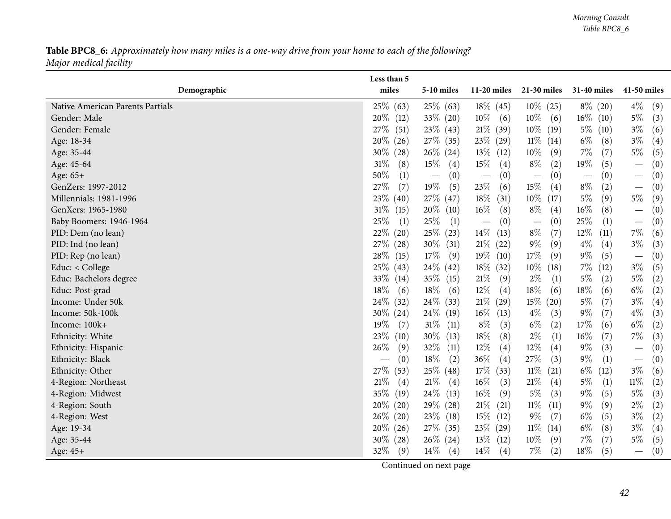## Table BPC8\_6: Approximately how many miles is a one-way drive from your home to each of the following? *Major medical facility*

| miles<br>$11-20$ miles<br>21-30 miles<br>31-40 miles<br>41-50 miles<br>Demographic<br><b>5-10 miles</b><br>25\% (63)<br>25\% (63)<br>$18\%$ (45)<br>$10\%$ (25)<br>$8\%$ (20)<br>$4\%$<br>Native American Parents Partials<br>(9)<br>20%<br>33\% (20)<br>$10\%$<br>$10\%$<br>$16\%$ (10)<br>$5\%$<br>Gender: Male<br>(3)<br>(12)<br>(6)<br>(6)<br>23\% (43)<br>$21\%$ (39)<br>$10\%$ (19)<br>27\%<br>(51)<br>$3\%$<br>(6)<br>Gender: Female<br>$5\%$ (10)<br>$27\%$ (35)<br>$23\%$ (29)<br>$11\%$ (14)<br>$6\%$<br>(8)<br>$3\%$<br>Age: 18-34<br>20%<br>(26)<br>(4)<br>$10\%$<br>$7\%$<br>$5\%$<br>$26\%$ (24)<br>(7)<br>$30\%$<br>$13\%$ (12)<br>(9)<br>(5)<br>Age: 35-44<br>(28)<br>$8\%$<br>19%<br>$31\%$<br>$15\%$<br>$15\%$<br>(5)<br>(4)<br>(2)<br>(0)<br>Age: 45-64<br>(8)<br>(4)<br>$\overline{\phantom{m}}$<br>$50\%$<br>(0)<br>Age: 65+<br>(1)<br>(0)<br>(0)<br>(0)<br>(0)<br>$\overline{\phantom{m}}$<br>$\overline{\phantom{m}}$<br>$\overline{\phantom{m}}$<br>$\qquad \qquad -$<br>$\overline{\phantom{m}}$<br>19%<br>$23\%$<br>$15\%$<br>27%<br>$8\%$<br>(2)<br>GenZers: 1997-2012<br>(7)<br>(5)<br>(0)<br>(6)<br>(4)<br>$\overline{\phantom{m}}$<br>$10\%$ (17)<br>$5\%$<br>$5\%$<br>23\%<br>27\% (47)<br>$18\%$<br>(9)<br>(9)<br>Millennials: 1981-1996<br>(40)<br>(31)<br>$20\%$ (10)<br>$16\%$<br>$8\%$<br>$16\%$<br>GenXers: 1965-1980<br>$31\%$<br>(8)<br>(8)<br>(0)<br>(15)<br>(4)<br>$\overline{\phantom{m}}$<br>25%<br>25\%<br>25%<br>(1)<br>Baby Boomers: 1946-1964<br>(1)<br>(1)<br>(0)<br>(0)<br>(0)<br>$\overline{\phantom{m}}$<br>$\overline{\phantom{m}}$<br>$\overline{\phantom{m}}$<br>$14\%$<br>$8\%$<br>22%<br>25% (23)<br>$12\%$<br>$7\%$<br>(7)<br>(11)<br>PID: Dem (no lean)<br>(20)<br>(13)<br>(6)<br>$9\%$<br>$30\%$ (31)<br>$21\%$ (22)<br>$4\%$<br>$3\%$<br>PID: Ind (no lean)<br>27\%<br>(28)<br>(9)<br>(4)<br>(3)<br>17\%<br>$9\%$<br>28\%<br>$17\%$<br>(9)<br>$19\%$ (10)<br>(9)<br>(5)<br>(0)<br>PID: Rep (no lean)<br>(15)<br>$\overline{\phantom{m}}$<br>$10\%$<br>25\%<br>$24\%$ (42)<br>$18\%$ (32)<br>$7\%$<br>$3\%$<br>Educ: $<$ College<br>(18)<br>(12)<br>(5)<br>(43)<br>33%<br>$35\%$ (15)<br>$21\%$<br>Educ: Bachelors degree<br>$2\%$<br>$5\%$<br>$5\%$<br>(9)<br>(2)<br>(2)<br>(14)<br>(1)<br>$18\%$<br>18%<br>$12\%$<br>$18\%$<br>$18\%$<br>(6)<br>$6\%$<br>Educ: Post-grad<br>(6)<br>(6)<br>(4)<br>(6)<br>(2)<br>$21\%$ (29)<br>24\%<br>24\% (33)<br>$15\%$ (20)<br>(7)<br>$3\%$<br>Income: Under 50k<br>(32)<br>$5\%$<br>(4)<br>$24\%$ (19)<br>$16\%$ (13)<br>$4\%$<br>$9\%$<br>(7)<br>$4\%$<br>(3)<br>Income: 50k-100k<br>30\%<br>(24)<br>(3)<br>$31\%$ (11)<br>$6\%$<br>$6\%$<br>Income: 100k+<br>19%<br>$8\%$<br>(2)<br>17%<br>(2)<br>(7)<br>(3)<br>(6)<br>23\%<br>$30\%$ (13)<br>$18\%$<br>$2\%$<br>7%<br>(8)<br>$16\%$<br>(7)<br>Ethnicity: White<br>(10)<br>(1)<br>(3)<br>32\%<br>$12\%$<br>$12\%$<br>26%<br>$9\%$<br>(3)<br>(4)<br>(0)<br>Ethnicity: Hispanic<br>(9)<br>(11)<br>(4)<br>$\overline{\phantom{m}}$<br>$18\%$<br>$36\%$<br>27\%<br>$9\%$<br>Ethnicity: Black<br>(0)<br>(2)<br>(4)<br>(3)<br>(1)<br>(0)<br>$\overline{\phantom{m}}$<br>25\% (48)<br>$17\%$ (33)<br>$11\%$ (21)<br>$6\%$<br>$3\%$<br>27\%<br>(53)<br>(12)<br>(6)<br>Ethnicity: Other<br>$21\%$<br>$16\%$<br>21%<br>$11\%$<br>4-Region: Northeast<br>21%<br>(3)<br>$5\%$<br>(1)<br>(2)<br>(4)<br>(4)<br>(4)<br>35%<br>$24\%$ (13)<br>$16\%$<br>$5\%$<br>$9\%$<br>$5\%$<br>4-Region: Midwest<br>(19)<br>(9)<br>(3)<br>(5)<br>(3)<br>20%<br>29\% (28)<br>$21\%$<br>$11\%$<br>$9\%$<br>(9)<br>$2\%$<br>(20)<br>(21)<br>(11)<br>(2)<br>4-Region: South<br>$9\%$<br>$26\%$<br>$23\%$ (18)<br>$15\%$<br>(7)<br>$6\%$<br>(5)<br>$3\%$<br>(2)<br>4-Region: West<br>(20)<br>(12)<br>27\% (35)<br>$11\%$ (14)<br>$6\%$<br>$3\%$<br>$20\%$<br>$23\%$ (29)<br>(8)<br>(4)<br>Age: 19-34<br>(26)<br>$10\%$<br>$30\%$ (28)<br>$26\%$ (24)<br>$7\%$<br>(7)<br>$5\%$<br>Age: 35-44<br>$13\%$ (12)<br>(9)<br>(5)<br>32%<br>$14\%$<br>$14\%$<br>$7\%$<br>(2)<br>$18\%$<br>(5)<br>(0)<br>(9)<br>(4)<br>(4)<br>$\qquad \qquad -$ |          | Less than 5 |  |  |  |
|---------------------------------------------------------------------------------------------------------------------------------------------------------------------------------------------------------------------------------------------------------------------------------------------------------------------------------------------------------------------------------------------------------------------------------------------------------------------------------------------------------------------------------------------------------------------------------------------------------------------------------------------------------------------------------------------------------------------------------------------------------------------------------------------------------------------------------------------------------------------------------------------------------------------------------------------------------------------------------------------------------------------------------------------------------------------------------------------------------------------------------------------------------------------------------------------------------------------------------------------------------------------------------------------------------------------------------------------------------------------------------------------------------------------------------------------------------------------------------------------------------------------------------------------------------------------------------------------------------------------------------------------------------------------------------------------------------------------------------------------------------------------------------------------------------------------------------------------------------------------------------------------------------------------------------------------------------------------------------------------------------------------------------------------------------------------------------------------------------------------------------------------------------------------------------------------------------------------------------------------------------------------------------------------------------------------------------------------------------------------------------------------------------------------------------------------------------------------------------------------------------------------------------------------------------------------------------------------------------------------------------------------------------------------------------------------------------------------------------------------------------------------------------------------------------------------------------------------------------------------------------------------------------------------------------------------------------------------------------------------------------------------------------------------------------------------------------------------------------------------------------------------------------------------------------------------------------------------------------------------------------------------------------------------------------------------------------------------------------------------------------------------------------------------------------------------------------------------------------------------------------------------------------------------------------------------------------------------------------------------------------------------------------------------------------------------------------------------------------------------------------------------------------------------------------------------------------------------------------------------------------------------------------------------------------------------------------------------------------------------------------------------------------------------------------|----------|-------------|--|--|--|
|                                                                                                                                                                                                                                                                                                                                                                                                                                                                                                                                                                                                                                                                                                                                                                                                                                                                                                                                                                                                                                                                                                                                                                                                                                                                                                                                                                                                                                                                                                                                                                                                                                                                                                                                                                                                                                                                                                                                                                                                                                                                                                                                                                                                                                                                                                                                                                                                                                                                                                                                                                                                                                                                                                                                                                                                                                                                                                                                                                                                                                                                                                                                                                                                                                                                                                                                                                                                                                                                                                                                                                                                                                                                                                                                                                                                                                                                                                                                                                                                                                                         |          |             |  |  |  |
|                                                                                                                                                                                                                                                                                                                                                                                                                                                                                                                                                                                                                                                                                                                                                                                                                                                                                                                                                                                                                                                                                                                                                                                                                                                                                                                                                                                                                                                                                                                                                                                                                                                                                                                                                                                                                                                                                                                                                                                                                                                                                                                                                                                                                                                                                                                                                                                                                                                                                                                                                                                                                                                                                                                                                                                                                                                                                                                                                                                                                                                                                                                                                                                                                                                                                                                                                                                                                                                                                                                                                                                                                                                                                                                                                                                                                                                                                                                                                                                                                                                         |          |             |  |  |  |
|                                                                                                                                                                                                                                                                                                                                                                                                                                                                                                                                                                                                                                                                                                                                                                                                                                                                                                                                                                                                                                                                                                                                                                                                                                                                                                                                                                                                                                                                                                                                                                                                                                                                                                                                                                                                                                                                                                                                                                                                                                                                                                                                                                                                                                                                                                                                                                                                                                                                                                                                                                                                                                                                                                                                                                                                                                                                                                                                                                                                                                                                                                                                                                                                                                                                                                                                                                                                                                                                                                                                                                                                                                                                                                                                                                                                                                                                                                                                                                                                                                                         |          |             |  |  |  |
|                                                                                                                                                                                                                                                                                                                                                                                                                                                                                                                                                                                                                                                                                                                                                                                                                                                                                                                                                                                                                                                                                                                                                                                                                                                                                                                                                                                                                                                                                                                                                                                                                                                                                                                                                                                                                                                                                                                                                                                                                                                                                                                                                                                                                                                                                                                                                                                                                                                                                                                                                                                                                                                                                                                                                                                                                                                                                                                                                                                                                                                                                                                                                                                                                                                                                                                                                                                                                                                                                                                                                                                                                                                                                                                                                                                                                                                                                                                                                                                                                                                         |          |             |  |  |  |
|                                                                                                                                                                                                                                                                                                                                                                                                                                                                                                                                                                                                                                                                                                                                                                                                                                                                                                                                                                                                                                                                                                                                                                                                                                                                                                                                                                                                                                                                                                                                                                                                                                                                                                                                                                                                                                                                                                                                                                                                                                                                                                                                                                                                                                                                                                                                                                                                                                                                                                                                                                                                                                                                                                                                                                                                                                                                                                                                                                                                                                                                                                                                                                                                                                                                                                                                                                                                                                                                                                                                                                                                                                                                                                                                                                                                                                                                                                                                                                                                                                                         |          |             |  |  |  |
|                                                                                                                                                                                                                                                                                                                                                                                                                                                                                                                                                                                                                                                                                                                                                                                                                                                                                                                                                                                                                                                                                                                                                                                                                                                                                                                                                                                                                                                                                                                                                                                                                                                                                                                                                                                                                                                                                                                                                                                                                                                                                                                                                                                                                                                                                                                                                                                                                                                                                                                                                                                                                                                                                                                                                                                                                                                                                                                                                                                                                                                                                                                                                                                                                                                                                                                                                                                                                                                                                                                                                                                                                                                                                                                                                                                                                                                                                                                                                                                                                                                         |          |             |  |  |  |
|                                                                                                                                                                                                                                                                                                                                                                                                                                                                                                                                                                                                                                                                                                                                                                                                                                                                                                                                                                                                                                                                                                                                                                                                                                                                                                                                                                                                                                                                                                                                                                                                                                                                                                                                                                                                                                                                                                                                                                                                                                                                                                                                                                                                                                                                                                                                                                                                                                                                                                                                                                                                                                                                                                                                                                                                                                                                                                                                                                                                                                                                                                                                                                                                                                                                                                                                                                                                                                                                                                                                                                                                                                                                                                                                                                                                                                                                                                                                                                                                                                                         |          |             |  |  |  |
|                                                                                                                                                                                                                                                                                                                                                                                                                                                                                                                                                                                                                                                                                                                                                                                                                                                                                                                                                                                                                                                                                                                                                                                                                                                                                                                                                                                                                                                                                                                                                                                                                                                                                                                                                                                                                                                                                                                                                                                                                                                                                                                                                                                                                                                                                                                                                                                                                                                                                                                                                                                                                                                                                                                                                                                                                                                                                                                                                                                                                                                                                                                                                                                                                                                                                                                                                                                                                                                                                                                                                                                                                                                                                                                                                                                                                                                                                                                                                                                                                                                         |          |             |  |  |  |
|                                                                                                                                                                                                                                                                                                                                                                                                                                                                                                                                                                                                                                                                                                                                                                                                                                                                                                                                                                                                                                                                                                                                                                                                                                                                                                                                                                                                                                                                                                                                                                                                                                                                                                                                                                                                                                                                                                                                                                                                                                                                                                                                                                                                                                                                                                                                                                                                                                                                                                                                                                                                                                                                                                                                                                                                                                                                                                                                                                                                                                                                                                                                                                                                                                                                                                                                                                                                                                                                                                                                                                                                                                                                                                                                                                                                                                                                                                                                                                                                                                                         |          |             |  |  |  |
|                                                                                                                                                                                                                                                                                                                                                                                                                                                                                                                                                                                                                                                                                                                                                                                                                                                                                                                                                                                                                                                                                                                                                                                                                                                                                                                                                                                                                                                                                                                                                                                                                                                                                                                                                                                                                                                                                                                                                                                                                                                                                                                                                                                                                                                                                                                                                                                                                                                                                                                                                                                                                                                                                                                                                                                                                                                                                                                                                                                                                                                                                                                                                                                                                                                                                                                                                                                                                                                                                                                                                                                                                                                                                                                                                                                                                                                                                                                                                                                                                                                         |          |             |  |  |  |
|                                                                                                                                                                                                                                                                                                                                                                                                                                                                                                                                                                                                                                                                                                                                                                                                                                                                                                                                                                                                                                                                                                                                                                                                                                                                                                                                                                                                                                                                                                                                                                                                                                                                                                                                                                                                                                                                                                                                                                                                                                                                                                                                                                                                                                                                                                                                                                                                                                                                                                                                                                                                                                                                                                                                                                                                                                                                                                                                                                                                                                                                                                                                                                                                                                                                                                                                                                                                                                                                                                                                                                                                                                                                                                                                                                                                                                                                                                                                                                                                                                                         |          |             |  |  |  |
|                                                                                                                                                                                                                                                                                                                                                                                                                                                                                                                                                                                                                                                                                                                                                                                                                                                                                                                                                                                                                                                                                                                                                                                                                                                                                                                                                                                                                                                                                                                                                                                                                                                                                                                                                                                                                                                                                                                                                                                                                                                                                                                                                                                                                                                                                                                                                                                                                                                                                                                                                                                                                                                                                                                                                                                                                                                                                                                                                                                                                                                                                                                                                                                                                                                                                                                                                                                                                                                                                                                                                                                                                                                                                                                                                                                                                                                                                                                                                                                                                                                         |          |             |  |  |  |
|                                                                                                                                                                                                                                                                                                                                                                                                                                                                                                                                                                                                                                                                                                                                                                                                                                                                                                                                                                                                                                                                                                                                                                                                                                                                                                                                                                                                                                                                                                                                                                                                                                                                                                                                                                                                                                                                                                                                                                                                                                                                                                                                                                                                                                                                                                                                                                                                                                                                                                                                                                                                                                                                                                                                                                                                                                                                                                                                                                                                                                                                                                                                                                                                                                                                                                                                                                                                                                                                                                                                                                                                                                                                                                                                                                                                                                                                                                                                                                                                                                                         |          |             |  |  |  |
|                                                                                                                                                                                                                                                                                                                                                                                                                                                                                                                                                                                                                                                                                                                                                                                                                                                                                                                                                                                                                                                                                                                                                                                                                                                                                                                                                                                                                                                                                                                                                                                                                                                                                                                                                                                                                                                                                                                                                                                                                                                                                                                                                                                                                                                                                                                                                                                                                                                                                                                                                                                                                                                                                                                                                                                                                                                                                                                                                                                                                                                                                                                                                                                                                                                                                                                                                                                                                                                                                                                                                                                                                                                                                                                                                                                                                                                                                                                                                                                                                                                         |          |             |  |  |  |
|                                                                                                                                                                                                                                                                                                                                                                                                                                                                                                                                                                                                                                                                                                                                                                                                                                                                                                                                                                                                                                                                                                                                                                                                                                                                                                                                                                                                                                                                                                                                                                                                                                                                                                                                                                                                                                                                                                                                                                                                                                                                                                                                                                                                                                                                                                                                                                                                                                                                                                                                                                                                                                                                                                                                                                                                                                                                                                                                                                                                                                                                                                                                                                                                                                                                                                                                                                                                                                                                                                                                                                                                                                                                                                                                                                                                                                                                                                                                                                                                                                                         |          |             |  |  |  |
|                                                                                                                                                                                                                                                                                                                                                                                                                                                                                                                                                                                                                                                                                                                                                                                                                                                                                                                                                                                                                                                                                                                                                                                                                                                                                                                                                                                                                                                                                                                                                                                                                                                                                                                                                                                                                                                                                                                                                                                                                                                                                                                                                                                                                                                                                                                                                                                                                                                                                                                                                                                                                                                                                                                                                                                                                                                                                                                                                                                                                                                                                                                                                                                                                                                                                                                                                                                                                                                                                                                                                                                                                                                                                                                                                                                                                                                                                                                                                                                                                                                         |          |             |  |  |  |
|                                                                                                                                                                                                                                                                                                                                                                                                                                                                                                                                                                                                                                                                                                                                                                                                                                                                                                                                                                                                                                                                                                                                                                                                                                                                                                                                                                                                                                                                                                                                                                                                                                                                                                                                                                                                                                                                                                                                                                                                                                                                                                                                                                                                                                                                                                                                                                                                                                                                                                                                                                                                                                                                                                                                                                                                                                                                                                                                                                                                                                                                                                                                                                                                                                                                                                                                                                                                                                                                                                                                                                                                                                                                                                                                                                                                                                                                                                                                                                                                                                                         |          |             |  |  |  |
|                                                                                                                                                                                                                                                                                                                                                                                                                                                                                                                                                                                                                                                                                                                                                                                                                                                                                                                                                                                                                                                                                                                                                                                                                                                                                                                                                                                                                                                                                                                                                                                                                                                                                                                                                                                                                                                                                                                                                                                                                                                                                                                                                                                                                                                                                                                                                                                                                                                                                                                                                                                                                                                                                                                                                                                                                                                                                                                                                                                                                                                                                                                                                                                                                                                                                                                                                                                                                                                                                                                                                                                                                                                                                                                                                                                                                                                                                                                                                                                                                                                         |          |             |  |  |  |
|                                                                                                                                                                                                                                                                                                                                                                                                                                                                                                                                                                                                                                                                                                                                                                                                                                                                                                                                                                                                                                                                                                                                                                                                                                                                                                                                                                                                                                                                                                                                                                                                                                                                                                                                                                                                                                                                                                                                                                                                                                                                                                                                                                                                                                                                                                                                                                                                                                                                                                                                                                                                                                                                                                                                                                                                                                                                                                                                                                                                                                                                                                                                                                                                                                                                                                                                                                                                                                                                                                                                                                                                                                                                                                                                                                                                                                                                                                                                                                                                                                                         |          |             |  |  |  |
|                                                                                                                                                                                                                                                                                                                                                                                                                                                                                                                                                                                                                                                                                                                                                                                                                                                                                                                                                                                                                                                                                                                                                                                                                                                                                                                                                                                                                                                                                                                                                                                                                                                                                                                                                                                                                                                                                                                                                                                                                                                                                                                                                                                                                                                                                                                                                                                                                                                                                                                                                                                                                                                                                                                                                                                                                                                                                                                                                                                                                                                                                                                                                                                                                                                                                                                                                                                                                                                                                                                                                                                                                                                                                                                                                                                                                                                                                                                                                                                                                                                         |          |             |  |  |  |
|                                                                                                                                                                                                                                                                                                                                                                                                                                                                                                                                                                                                                                                                                                                                                                                                                                                                                                                                                                                                                                                                                                                                                                                                                                                                                                                                                                                                                                                                                                                                                                                                                                                                                                                                                                                                                                                                                                                                                                                                                                                                                                                                                                                                                                                                                                                                                                                                                                                                                                                                                                                                                                                                                                                                                                                                                                                                                                                                                                                                                                                                                                                                                                                                                                                                                                                                                                                                                                                                                                                                                                                                                                                                                                                                                                                                                                                                                                                                                                                                                                                         |          |             |  |  |  |
|                                                                                                                                                                                                                                                                                                                                                                                                                                                                                                                                                                                                                                                                                                                                                                                                                                                                                                                                                                                                                                                                                                                                                                                                                                                                                                                                                                                                                                                                                                                                                                                                                                                                                                                                                                                                                                                                                                                                                                                                                                                                                                                                                                                                                                                                                                                                                                                                                                                                                                                                                                                                                                                                                                                                                                                                                                                                                                                                                                                                                                                                                                                                                                                                                                                                                                                                                                                                                                                                                                                                                                                                                                                                                                                                                                                                                                                                                                                                                                                                                                                         |          |             |  |  |  |
|                                                                                                                                                                                                                                                                                                                                                                                                                                                                                                                                                                                                                                                                                                                                                                                                                                                                                                                                                                                                                                                                                                                                                                                                                                                                                                                                                                                                                                                                                                                                                                                                                                                                                                                                                                                                                                                                                                                                                                                                                                                                                                                                                                                                                                                                                                                                                                                                                                                                                                                                                                                                                                                                                                                                                                                                                                                                                                                                                                                                                                                                                                                                                                                                                                                                                                                                                                                                                                                                                                                                                                                                                                                                                                                                                                                                                                                                                                                                                                                                                                                         |          |             |  |  |  |
|                                                                                                                                                                                                                                                                                                                                                                                                                                                                                                                                                                                                                                                                                                                                                                                                                                                                                                                                                                                                                                                                                                                                                                                                                                                                                                                                                                                                                                                                                                                                                                                                                                                                                                                                                                                                                                                                                                                                                                                                                                                                                                                                                                                                                                                                                                                                                                                                                                                                                                                                                                                                                                                                                                                                                                                                                                                                                                                                                                                                                                                                                                                                                                                                                                                                                                                                                                                                                                                                                                                                                                                                                                                                                                                                                                                                                                                                                                                                                                                                                                                         |          |             |  |  |  |
|                                                                                                                                                                                                                                                                                                                                                                                                                                                                                                                                                                                                                                                                                                                                                                                                                                                                                                                                                                                                                                                                                                                                                                                                                                                                                                                                                                                                                                                                                                                                                                                                                                                                                                                                                                                                                                                                                                                                                                                                                                                                                                                                                                                                                                                                                                                                                                                                                                                                                                                                                                                                                                                                                                                                                                                                                                                                                                                                                                                                                                                                                                                                                                                                                                                                                                                                                                                                                                                                                                                                                                                                                                                                                                                                                                                                                                                                                                                                                                                                                                                         |          |             |  |  |  |
|                                                                                                                                                                                                                                                                                                                                                                                                                                                                                                                                                                                                                                                                                                                                                                                                                                                                                                                                                                                                                                                                                                                                                                                                                                                                                                                                                                                                                                                                                                                                                                                                                                                                                                                                                                                                                                                                                                                                                                                                                                                                                                                                                                                                                                                                                                                                                                                                                                                                                                                                                                                                                                                                                                                                                                                                                                                                                                                                                                                                                                                                                                                                                                                                                                                                                                                                                                                                                                                                                                                                                                                                                                                                                                                                                                                                                                                                                                                                                                                                                                                         |          |             |  |  |  |
|                                                                                                                                                                                                                                                                                                                                                                                                                                                                                                                                                                                                                                                                                                                                                                                                                                                                                                                                                                                                                                                                                                                                                                                                                                                                                                                                                                                                                                                                                                                                                                                                                                                                                                                                                                                                                                                                                                                                                                                                                                                                                                                                                                                                                                                                                                                                                                                                                                                                                                                                                                                                                                                                                                                                                                                                                                                                                                                                                                                                                                                                                                                                                                                                                                                                                                                                                                                                                                                                                                                                                                                                                                                                                                                                                                                                                                                                                                                                                                                                                                                         |          |             |  |  |  |
|                                                                                                                                                                                                                                                                                                                                                                                                                                                                                                                                                                                                                                                                                                                                                                                                                                                                                                                                                                                                                                                                                                                                                                                                                                                                                                                                                                                                                                                                                                                                                                                                                                                                                                                                                                                                                                                                                                                                                                                                                                                                                                                                                                                                                                                                                                                                                                                                                                                                                                                                                                                                                                                                                                                                                                                                                                                                                                                                                                                                                                                                                                                                                                                                                                                                                                                                                                                                                                                                                                                                                                                                                                                                                                                                                                                                                                                                                                                                                                                                                                                         |          |             |  |  |  |
|                                                                                                                                                                                                                                                                                                                                                                                                                                                                                                                                                                                                                                                                                                                                                                                                                                                                                                                                                                                                                                                                                                                                                                                                                                                                                                                                                                                                                                                                                                                                                                                                                                                                                                                                                                                                                                                                                                                                                                                                                                                                                                                                                                                                                                                                                                                                                                                                                                                                                                                                                                                                                                                                                                                                                                                                                                                                                                                                                                                                                                                                                                                                                                                                                                                                                                                                                                                                                                                                                                                                                                                                                                                                                                                                                                                                                                                                                                                                                                                                                                                         |          |             |  |  |  |
|                                                                                                                                                                                                                                                                                                                                                                                                                                                                                                                                                                                                                                                                                                                                                                                                                                                                                                                                                                                                                                                                                                                                                                                                                                                                                                                                                                                                                                                                                                                                                                                                                                                                                                                                                                                                                                                                                                                                                                                                                                                                                                                                                                                                                                                                                                                                                                                                                                                                                                                                                                                                                                                                                                                                                                                                                                                                                                                                                                                                                                                                                                                                                                                                                                                                                                                                                                                                                                                                                                                                                                                                                                                                                                                                                                                                                                                                                                                                                                                                                                                         |          |             |  |  |  |
|                                                                                                                                                                                                                                                                                                                                                                                                                                                                                                                                                                                                                                                                                                                                                                                                                                                                                                                                                                                                                                                                                                                                                                                                                                                                                                                                                                                                                                                                                                                                                                                                                                                                                                                                                                                                                                                                                                                                                                                                                                                                                                                                                                                                                                                                                                                                                                                                                                                                                                                                                                                                                                                                                                                                                                                                                                                                                                                                                                                                                                                                                                                                                                                                                                                                                                                                                                                                                                                                                                                                                                                                                                                                                                                                                                                                                                                                                                                                                                                                                                                         |          |             |  |  |  |
|                                                                                                                                                                                                                                                                                                                                                                                                                                                                                                                                                                                                                                                                                                                                                                                                                                                                                                                                                                                                                                                                                                                                                                                                                                                                                                                                                                                                                                                                                                                                                                                                                                                                                                                                                                                                                                                                                                                                                                                                                                                                                                                                                                                                                                                                                                                                                                                                                                                                                                                                                                                                                                                                                                                                                                                                                                                                                                                                                                                                                                                                                                                                                                                                                                                                                                                                                                                                                                                                                                                                                                                                                                                                                                                                                                                                                                                                                                                                                                                                                                                         | Age: 45+ |             |  |  |  |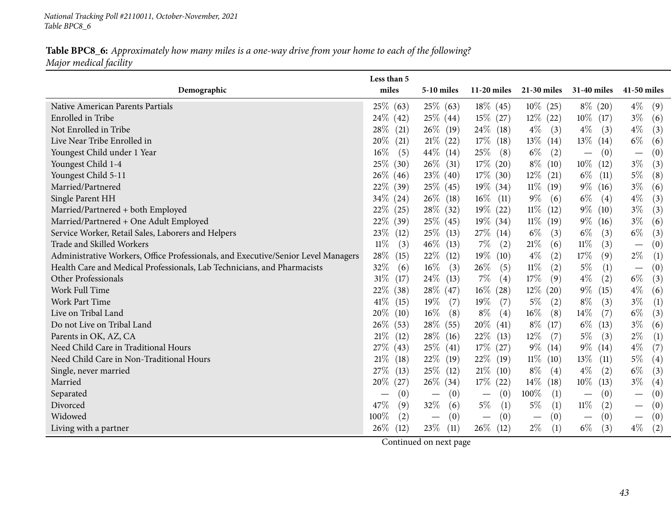*National Tracking Poll #2110011, October-November, <sup>2021</sup> Table BPC8\_6*

#### Table BPC8\_6: Approximately how many miles is a one-way drive from your home to each of the following? *Major medical facility*

|                                                                                   | Less than 5    |                                 |                                 |                                 |                                      |                                      |
|-----------------------------------------------------------------------------------|----------------|---------------------------------|---------------------------------|---------------------------------|--------------------------------------|--------------------------------------|
| Demographic                                                                       | miles          | 5-10 miles                      | $11-20$ miles                   | $21-30$ miles                   | <b>31-40 miles</b>                   | 41-50 miles                          |
| Native American Parents Partials                                                  | $25\%$ (63)    | 25\% (63)                       | $18\%$ (45)                     | $10\%$ (25)                     | $8\%$ (20)                           | $4\%$<br>(9)                         |
| Enrolled in Tribe                                                                 | $24\%$ (42)    | $25\%$ (44)                     | $15\%$ (27)                     | $12\%$ (22)                     | $10\%$ (17)                          | $3\%$<br>(6)                         |
| Not Enrolled in Tribe                                                             | 28%<br>(21)    | $26\%$ (19)                     | $24\%$ (18)                     | $4\%$<br>(3)                    | $4\%$<br>(3)                         | $4\%$<br>(3)                         |
| Live Near Tribe Enrolled in                                                       | 20%<br>(21)    | $21\%$ (22)                     | $17\%$ (18)                     | $13\%$ (14)                     | $13\%$ (14)                          | $6\%$<br>(6)                         |
| Youngest Child under 1 Year                                                       | 16%<br>(5)     | 44\% $(14)$                     | $25\%$<br>(8)                   | $6\%$<br>(2)                    | (0)<br>$\overbrace{\phantom{12333}}$ | (0)<br>$\overline{\phantom{m}}$      |
| Youngest Child 1-4                                                                | 25%<br>(30)    | $26\%$ (31)                     | 17% (20)                        | $8\%$ (10)                      | $10\%$ (12)                          | $3\%$<br>(3)                         |
| Youngest Child 5-11                                                               | $26\%$ (46)    | 23\% (40)                       | 17% (30)                        | $12\%$ (21)                     | $6\%$ (11)                           | $5\%$<br>(8)                         |
| Married/Partnered                                                                 | 22\%<br>(39)   | 25\% (45)                       | $19\%$ (34)                     | $11\%$ (19)                     | $9\%$ (16)                           | $3\%$<br>(6)                         |
| Single Parent HH                                                                  | 34%<br>(24)    | $26\%$ (18)                     | $16\%$<br>(11)                  | $9\%$<br>(6)                    | $6\%$<br>(4)                         | $4\%$<br>(3)                         |
| Married/Partnered + both Employed                                                 | 22\%<br>(25)   | $28\%$ (32)                     | 19% (22)                        | $11\%$ (12)                     | $9\%$ (10)                           | $3\%$<br>(3)                         |
| Married/Partnered + One Adult Employed                                            | 22\%<br>(39)   | $25\%$ (45)                     | $19\%$ (34)                     | $11\%$ (19)                     | $9\%$ (16)                           | $3\%$<br>(6)                         |
| Service Worker, Retail Sales, Laborers and Helpers                                | 23%<br>(12)    | $25\%$ (13)                     | $27\%$ (14)                     | $6\%$<br>(3)                    | $6\%$<br>(3)                         | $6\%$<br>(3)                         |
| Trade and Skilled Workers                                                         | 11%<br>(3)     | $46\%$ (13)                     | $7\%$<br>(2)                    | $21\%$<br>(6)                   | $11\%$<br>(3)                        | (0)<br>$\overline{\phantom{m}}$      |
| Administrative Workers, Office Professionals, and Executive/Senior Level Managers | 28\%<br>(15)   | $22\%$ (12)                     | $19\%$ (10)                     | $4\%$<br>(2)                    | 17%<br>(9)                           | $2\%$<br>(1)                         |
| Health Care and Medical Professionals, Lab Technicians, and Pharmacists           | 32%<br>(6)     | $16\%$<br>(3)                   | 26\%<br>(5)                     | $11\%$<br>(2)                   | $5\%$<br>(1)                         | (0)                                  |
| Other Professionals                                                               | $31\%$<br>(17) | $24\%$ (13)                     | $7\%$<br>(4)                    | $17\%$<br>(9)                   | $4\%$<br>(2)                         | $6\%$<br>(3)                         |
| Work Full Time                                                                    | 22%<br>(38)    | $28\%$ (47)                     | $16\%$ (28)                     | $12\%$ (20)                     | $9\%$<br>(15)                        | $4\%$<br>(6)                         |
| Work Part Time                                                                    | 41\%<br>(15)   | 19%<br>(7)                      | $19\%$<br>(7)                   | $5\%$<br>(2)                    | $8\%$<br>(3)                         | $3\%$<br>(1)                         |
| Live on Tribal Land                                                               | 20%<br>(10)    | $16\%$<br>(8)                   | $8\%$<br>(4)                    | $16\%$<br>(8)                   | $14\%$<br>(7)                        | $6\%$<br>(3)                         |
| Do not Live on Tribal Land                                                        | 26%<br>(53)    | 28\% (55)                       | $20\%$ (41)                     | $8\%$<br>(17)                   | $6\%$<br>(13)                        | $3\%$<br>(6)                         |
| Parents in OK, AZ, CA                                                             | $21\%$<br>(12) | 28\% (16)                       | $22\%$ (13)                     | $12\%$<br>(7)                   | $5\%$<br>(3)                         | $2\%$<br>(1)                         |
| Need Child Care in Traditional Hours                                              | 27\%<br>(43)   | $25\%$ (41)                     | $17\%$ (27)                     | $9\%$ (14)                      | $9\%$ (14)                           | $4\%$<br>(7)                         |
| Need Child Care in Non-Traditional Hours                                          | $21\%$<br>(18) | $22\%$ (19)                     | $22\%$ (19)                     | $11\%$ (10)                     | $13\%$<br>(11)                       | $5\%$<br>$\left( 4\right)$           |
| Single, never married                                                             | 27%<br>(13)    | $25\%$ (12)                     | $21\%$ (10)                     | $8\%$<br>$\left( 4\right)$      | $4\%$<br>(2)                         | $6\%$<br>(3)                         |
| Married                                                                           | 20%<br>(27)    | $26\%$ (34)                     | $17\%$ (22)                     | $14\%$<br>(18)                  | $10\%$<br>(13)                       | $3\%$<br>(4)                         |
| Separated                                                                         | (0)            | (0)<br>$\overline{\phantom{0}}$ | (0)<br>$\overline{\phantom{m}}$ | 100%<br>(1)                     | (0)<br>$\overbrace{\phantom{12333}}$ | $\left( 0\right)$                    |
| Divorced                                                                          | 47%<br>(9)     | 32%<br>(6)                      | $5\%$<br>(1)                    | $5\%$<br>(1)                    | $11\%$<br>(2)                        | (0)<br>$\overbrace{\phantom{13333}}$ |
| Widowed                                                                           | 100%<br>(2)    | (0)<br>$\overline{\phantom{0}}$ | (0)<br>$\overline{\phantom{m}}$ | (0)<br>$\overline{\phantom{m}}$ | (0)<br>$\overbrace{\phantom{12333}}$ | (0)<br>$\overline{\phantom{m}}$      |
| Living with a partner                                                             | 26%<br>(12)    | 23\%<br>(11)                    | $26\%$ (12)                     | $2\%$<br>$\left( 1\right)$      | $6\%$<br>(3)                         | $4\%$<br>(2)                         |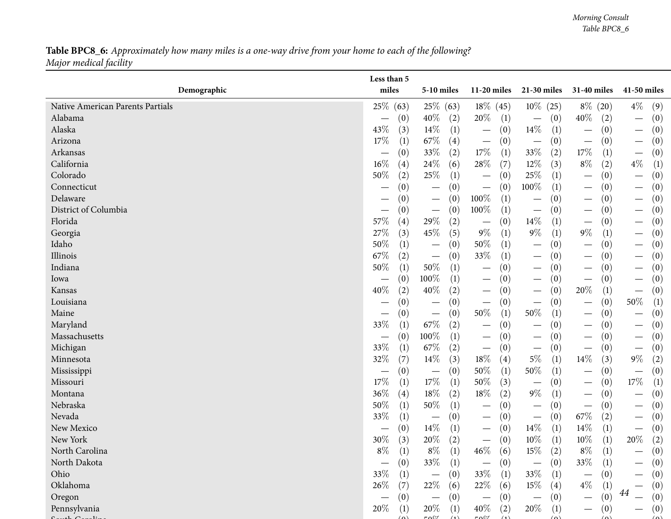### **Table BPC8\_6:** Approximately how many miles is a one-way drive from your home to each of the following? *Major medical facility*

|                                  | Less than 5       |                                        |                                          |                                        |                                        |                                              |
|----------------------------------|-------------------|----------------------------------------|------------------------------------------|----------------------------------------|----------------------------------------|----------------------------------------------|
| Demographic                      | miles             | 5-10 miles                             | 11-20 miles                              | 21-30 miles                            | 31-40 miles                            | 41-50 miles                                  |
| Native American Parents Partials | 25\%<br>(63)      | 25\% (63)                              | $18\%$ (45)                              | $10\%$ (25)                            | $8\%$ (20)                             | $4\%$<br>(9)                                 |
| Alabama                          | (0)               | 40%<br>(2)                             | 20%<br>(1)                               | (0)<br>$\overline{\phantom{m}}$        | $40\%$<br>(2)                          | (0)                                          |
| Alaska                           | 43\%              | 14\%                                   | (0)                                      | $14\%$                                 | (0)                                    | (0)                                          |
|                                  | (3)               | (1)                                    |                                          | (1)                                    | $\qquad \qquad -$                      |                                              |
| Arizona                          | $17\%$            | 67\%                                   | (0)                                      | (0)                                    | (0)                                    | $\left(0\right)$                             |
|                                  | (1)               | (4)                                    | $\overbrace{\phantom{13333}}$            | $\overline{\phantom{m}}$               | $\overbrace{\phantom{13333}}$          | $\overbrace{\phantom{13333}}$                |
| Arkansas                         | (0)               | $33\%$<br>(2)                          | 17%<br>(1)                               | $33\%$<br>(2)                          | 17\%<br>(1)                            | $\left(0\right)$<br>$\overline{\phantom{m}}$ |
| California                       | $16\%$            | 24\%                                   | $28\%$                                   | $12\%$                                 | $8\%$                                  | $4\%$                                        |
|                                  | (4)               | (6)                                    | (7)                                      | (3)                                    | (2)                                    | (1)                                          |
| Colorado                         | 50%               | 25\%                                   | (0)                                      | 25\%                                   | (0)                                    | $\left(0\right)$                             |
|                                  | (2)               | (1)                                    |                                          | $\left(1\right)$                       | $\qquad \qquad$                        |                                              |
| Connecticut                      | (0)               | (0)<br>$\hspace{0.1mm}-\hspace{0.1mm}$ | (0)<br>$\overline{\phantom{m}}$          | 100%<br>$\left( 1\right)$              | (0)<br>$\hspace{0.1mm}-\hspace{0.1mm}$ | $\left(0\right)$                             |
| Delaware                         | (0)               | (0)<br>$\hspace{0.1mm}-\hspace{0.1mm}$ | $100\%$<br>(1)                           | (0)                                    | (0)<br>—                               | (0)                                          |
| District of Columbia             | (0)               | (0)<br>$\hspace{0.1mm}-\hspace{0.1mm}$ | 100%<br>(1)                              | (0)<br>$\overline{\phantom{m}}$        | (0)<br>$\qquad \qquad$                 | (0)                                          |
| Florida                          | 57\%              | 29%                                    | (0)                                      | $14\%$                                 | (0)                                    | $\left( 0\right)$                            |
|                                  | (4)               | (2)                                    |                                          | $\left(1\right)$                       | $\qquad \qquad$                        |                                              |
| Georgia                          | 27%               | $45\%$                                 | $9\%$                                    | $9\%$                                  | $9\%$                                  | $\left(0\right)$                             |
|                                  | (3)               | (5)                                    | (1)                                      | $\left( 1\right)$                      | (1)                                    |                                              |
| Idaho                            | 50%               | (0)                                    | 50%                                      | (0)                                    | (0)                                    | (0)                                          |
|                                  | (1)               |                                        | (1)                                      |                                        | —                                      |                                              |
| Illinois                         | 67\%              | (0)                                    | 33%                                      | (0)                                    | (0)                                    | (0)                                          |
|                                  | (2)               | $\hspace{0.1mm}-\hspace{0.1mm}$        | (1)                                      | $\overline{\phantom{m}}$               | $\qquad \qquad$                        |                                              |
| Indiana                          | 50%               | $50\%$                                 | (0)                                      | (0)                                    | (0)                                    | (0)                                          |
|                                  | (1)               | (1)                                    |                                          | $\hspace{0.1mm}-\hspace{0.1mm}$        | $\qquad \qquad$                        |                                              |
| Iowa                             | (0)               | $100\%$                                | (0)                                      | (0)                                    | (0)                                    | $\left(0\right)$                             |
|                                  | $\hspace{0.05cm}$ | (1)                                    |                                          | $\overline{\phantom{m}}$               | $\overbrace{\phantom{13333}}$          |                                              |
| Kansas                           | 40%               | 40%                                    | (0)                                      | (0)                                    | 20%                                    | $\left(0\right)$                             |
|                                  | (2)               | (2)                                    | $\hspace{0.1mm}-\hspace{0.1mm}$          | $\hspace{0.1mm}-\hspace{0.1mm}$        | (1)                                    | $\overline{\phantom{m}}$                     |
| Louisiana                        | (0)               | (0)<br>$\hspace{0.1mm}-\hspace{0.1mm}$ | (0)                                      | (0)<br>$\overline{\phantom{m}}$        | (0)<br>$\qquad \qquad$                 | $50\%$<br>(1)                                |
| Maine                            | (0)               | (0)<br>$\overline{\phantom{m}}$        | 50%<br>(1)                               | 50%<br>$\left(1\right)$                | (0)<br>$\qquad \qquad$                 | $\left(0\right)$                             |
| Maryland                         | 33%               | 67\%                                   | (0)                                      | (0)                                    | (0)                                    | $\left(0\right)$                             |
|                                  | (1)               | (2)                                    |                                          |                                        | $\qquad \qquad$                        |                                              |
| Massachusetts                    | (0)               | $100\%$<br>(1)                         | (0)<br>$\hspace{0.1mm}-\hspace{0.1mm}$   | (0)<br>$\hspace{0.1mm}-\hspace{0.1mm}$ | (0)<br>$\hspace{0.1mm}-\hspace{0.1mm}$ | (0)<br>$\hspace{0.1mm}-\hspace{0.1mm}$       |
| Michigan                         | 33%               | 67\%                                   | (0)                                      | (0)                                    | (0)                                    | $\left(0\right)$                             |
|                                  | (1)               | (2)                                    | $\overbrace{\phantom{13333}}$            | $\hspace{0.1mm}-\hspace{0.1mm}$        | $\qquad \qquad$                        | $\overline{\phantom{m}}$                     |
| Minnesota                        | 32%               | $14\%$                                 | $18\%$                                   | $5\%$                                  | $14\%$                                 | $9\%$                                        |
|                                  | (7)               | (3)                                    | (4)                                      | $\left( 1\right)$                      | (3)                                    | (2)                                          |
| Mississippi                      | (0)               | (0)                                    | 50%                                      | $50\%$                                 | (0)                                    | (0)                                          |
|                                  |                   | $\hspace{0.1mm}-\hspace{0.1mm}$        | (1)                                      | $\left( 1\right)$                      | $\hspace{0.1mm}-\hspace{0.1mm}$        | $\overline{\phantom{m}}$                     |
| Missouri                         | 17%               | $17\%$                                 | 50%                                      | (0)                                    | (0)                                    | $17\%$                                       |
|                                  | (1)               | (1)                                    | (3)                                      | $\overline{\phantom{m}}$               | $\hspace{0.1mm}-\hspace{0.1mm}$        | (1)                                          |
| Montana                          | 36%               | $18\%$                                 | $18\%$                                   | $9\%$                                  | (0)                                    | $\left( 0\right)$                            |
|                                  | (4)               | (2)                                    | (2)                                      | $\left( 1\right)$                      | $\hspace{0.1mm}-\hspace{0.1mm}$        | $\overline{\phantom{m}}$                     |
| Nebraska                         | 50%               | $50\%$                                 | (0)                                      | (0)                                    | (0)                                    | (0)                                          |
|                                  | (1)               | (1)                                    |                                          | $\hspace{0.1mm}-\hspace{0.1mm}$        | $\overbrace{\phantom{13333}}$          | $\overline{\phantom{m}}$                     |
| Nevada                           | 33%               | (0)                                    | (0)                                      | (0)                                    | $67\%$                                 | (0)                                          |
|                                  | (1)               | $\hspace{0.1mm}-\hspace{0.1mm}$        | $\hspace{0.1mm}-\hspace{0.1mm}$          | $\overline{\phantom{m}}$               | (2)                                    | $\hspace{0.1mm}-\hspace{0.1mm}$              |
| New Mexico                       | (0)               | $14\%$<br>(1)                          | (0)<br>$\hspace{0.1mm}-\hspace{0.1mm}$   | $14\%$<br>(1)                          | 14%<br>(1)                             | (0)<br>$\hspace{0.1mm}-\hspace{0.1mm}$       |
| New York                         | 30%               | $20\%$                                 | (0)                                      | $10\%$                                 | $10\%$                                 | 20%                                          |
|                                  | (3)               | (2)                                    | $\overbrace{\phantom{13333}}$            | (1)                                    | (1)                                    | (2)                                          |
| North Carolina                   | $8\%$<br>(1)      | $8\%$<br>(1)                           | $46\%$<br>(6)                            | $15\%$<br>(2)                          | $8\%$<br>$\left(1\right)$              | (0)                                          |
| North Dakota                     | (0)               | $33\%$<br>(1)                          | (0)                                      | (0)                                    | $33\%$<br>(1)                          | (0)                                          |
| Ohio                             | 33%<br>(1)        | (0)<br>$\hspace{0.1mm}-\hspace{0.1mm}$ | 33\%<br>(1)                              | 33\%<br>(1)                            | (0)                                    | $\left(0\right)$                             |
| Oklahoma                         | $26\%$<br>(7)     | 22\%<br>(6)                            | 22\%<br>(6)                              | $15\%$<br>(4)                          | $4\%$<br>(1)                           | (0)                                          |
| Oregon                           | (0)               | (0)<br>$\overline{\phantom{m}}$        | (0)<br>$\overbrace{\phantom{123221111}}$ | (0)<br>$\overline{\phantom{m}}$        | (0)                                    | 44<br>(0)                                    |
| Pennsylvania                     | $20\%$<br>(1)     | $20\%$<br>(1)                          | $40\%$<br>(2)                            | 20%<br>(1)                             | (0)                                    | $\left(0\right)$                             |
| $\sim$                           |                   | $F \cap \mathbb{C}$                    | $F \wedge 0$                             | $\sqrt{2}$                             | $\sim$                                 |                                              |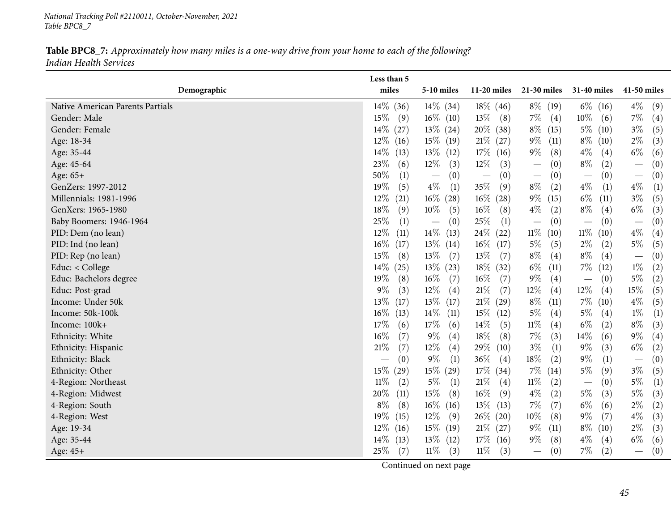*National Tracking Poll #2110011, October-November, <sup>2021</sup> Table BPC8\_7*

Table BPC8\_7: Approximately how many miles is a one-way drive from your home to each of the following? *Indian Health Services*

|                                  | Less than 5    |                                        |                |                                      |                                          |                                          |
|----------------------------------|----------------|----------------------------------------|----------------|--------------------------------------|------------------------------------------|------------------------------------------|
| Demographic                      | miles          | 5-10 miles                             | $11-20$ miles  | $21-30$ miles                        | 31-40 miles                              | 41-50 miles                              |
| Native American Parents Partials | $14\%$<br>(36) | $14\%$ (34)                            | $18\%$ (46)    | $8\%$ (19)                           | $6\%$ (16)                               | $4\%$<br>(9)                             |
| Gender: Male                     | $15\%$<br>(9)  | $16\%$ (10)                            | 13%<br>(8)     | $7\%$<br>(4)                         | $10\%$<br>(6)                            | $7\%$<br>$\left( 4\right)$               |
| Gender: Female                   | $14\%$<br>(27) | $13\%$ (24)                            | 20% (38)       | $8\%$ (15)                           | $5\%$ (10)                               | $3\%$<br>(5)                             |
| Age: 18-34                       | $12\%$<br>(16) | $15\%$ (19)                            | $21\%$ (27)    | $9\%$<br>(11)                        | $8\%$ (10)                               | $2\%$<br>(3)                             |
| Age: 35-44                       | $14\%$<br>(13) | $13\%$ (12)                            | $17\%$ (16)    | $9\%$<br>(8)                         | $4\%$<br>(4)                             | $6\%$<br>(6)                             |
| Age: 45-64                       | 23\%<br>(6)    | $12\%$<br>(3)                          | $12\%$<br>(3)  | (0)<br>$\overline{\phantom{m}}$      | $8\%$<br>(2)                             | (0)<br>$\overbrace{\phantom{123221111}}$ |
| Age: 65+                         | 50%<br>(1)     | (0)<br>$\overline{\phantom{m}}$        | (0)            | (0)<br>$\overbrace{\phantom{12333}}$ | (0)<br>$\overbrace{\phantom{123221111}}$ | (0)<br>$\overbrace{\phantom{13333}}$     |
| GenZers: 1997-2012               | $19\%$<br>(5)  | $4\%$<br>(1)                           | $35\%$<br>(9)  | $8\%$<br>(2)                         | $4\%$<br>(1)                             | $4\%$<br>(1)                             |
| Millennials: 1981-1996           | 12\%<br>(21)   | $16\%$ (28)                            | $16\%$<br>(28) | $9\%$<br>(15)                        | $6\%$<br>(11)                            | $3\%$<br>(5)                             |
| GenXers: 1965-1980               | $18\%$<br>(9)  | $10\%$<br>(5)                          | $16\%$<br>(8)  | $4\%$<br>(2)                         | $8\%$<br>(4)                             | $6\%$<br>(3)                             |
| Baby Boomers: 1946-1964          | 25%<br>(1)     | (0)<br>$\hspace{0.1mm}-\hspace{0.1mm}$ | $25\%$<br>(1)  | (0)<br>$\overline{\phantom{m}}$      | (0)<br>$\overbrace{\phantom{123221111}}$ | (0)                                      |
| PID: Dem (no lean)               | $12\%$<br>(11) | $14\%$<br>(13)                         | 24\% (22)      | $11\%$<br>(10)                       | $11\%$<br>(10)                           | $4\%$<br>(4)                             |
| PID: Ind (no lean)               | 16%<br>(17)    | $13\%$ (14)                            | $16\%$ (17)    | $5\%$<br>(5)                         | $2\%$<br>(2)                             | $5\%$<br>(5)                             |
| PID: Rep (no lean)               | 15\%<br>(8)    | $13\%$<br>(7)                          | 13\%<br>(7)    | $8\%$<br>(4)                         | $8\%$<br>(4)                             | (0)<br>$\overline{\phantom{0}}$          |
| Educ: < College                  | $14\%$<br>(25) | $13\%$ (23)                            | $18\%$ (32)    | $6\%$<br>(11)                        | $7\%$<br>(12)                            | $1\%$<br>$\left( 2\right)$               |
| Educ: Bachelors degree           | $19\%$<br>(8)  | $16\%$<br>(7)                          | $16\%$<br>(7)  | $9\%$<br>(4)                         | (0)<br>$\overline{\phantom{m}}$          | $5\%$<br>(2)                             |
| Educ: Post-grad                  | $9\%$<br>(3)   | $12\%$<br>$\left( 4\right)$            | $21\%$<br>(7)  | $12\%$<br>(4)                        | 12\%<br>(4)                              | 15%<br>(5)                               |
| Income: Under 50k                | 13\%<br>(17)   | $13\%$ (17)                            | $21\%$ (29)    | $8\%$<br>(11)                        | $7\%$ (10)                               | $4\%$<br>(5)                             |
| Income: 50k-100k                 | $16\%$<br>(13) | $14\%$<br>(11)                         | $15\%$<br>(12) | $5\%$<br>(4)                         | $5\%$<br>(4)                             | $1\%$<br>$\left(1\right)$                |
| Income: 100k+                    | $17\%$<br>(6)  | $17\%$<br>(6)                          | $14\%$<br>(5)  | $11\%$<br>(4)                        | $6\%$<br>(2)                             | $8\%$<br>(3)                             |
| Ethnicity: White                 | $16\%$<br>(7)  | $9\%$<br>$\left( 4\right)$             | 18%<br>(8)     | $7\%$<br>(3)                         | $14\%$<br>(6)                            | $9\%$<br>(4)                             |
| Ethnicity: Hispanic              | $21\%$<br>(7)  | $12\%$<br>$\left( 4\right)$            | 29%<br>(10)    | $3\%$<br>(1)                         | $9\%$<br>(3)                             | $6\%$<br>(2)                             |
| Ethnicity: Black                 | (0)            | $9\%$<br>(1)                           | $36\%$<br>(4)  | $18\%$<br>(2)                        | $9\%$<br>(1)                             | (0)                                      |
| Ethnicity: Other                 | 15\%<br>(29)   | 15% (29)                               | $17\%$ (34)    | $7\%$ (14)                           | $5\%$<br>(9)                             | $3\%$<br>(5)                             |
| 4-Region: Northeast              | $11\%$<br>(2)  | $5\%$<br>(1)                           | 21%<br>(4)     | $11\%$<br>(2)                        | (0)<br>$\hspace{0.1mm}-\hspace{0.1mm}$   | $5\%$<br>(1)                             |
| 4-Region: Midwest                | 20%<br>(11)    | $15\%$<br>(8)                          | $16\%$<br>(9)  | $4\%$<br>(2)                         | $5\%$<br>(3)                             | $5\%$<br>(3)                             |
| 4-Region: South                  | $8\%$<br>(8)   | $16\%$ (16)                            | 13%<br>(13)    | $7\%$<br>(7)                         | $6\%$<br>(6)                             | $2\%$<br>$\rm(2)$                        |
| 4-Region: West                   | 19%<br>(15)    | $12\%$<br>(9)                          | $26\%$ (20)    | $10\%$<br>(8)                        | $9\%$<br>(7)                             | $4\%$<br>(3)                             |
| Age: 19-34                       | $12\%$<br>(16) | $15\%$ (19)                            | $21\%$ (27)    | $9\%$<br>(11)                        | $8\%$ (10)                               | $2\%$<br>(3)                             |
| Age: 35-44                       | $14\%$<br>(13) | $13\%$ (12)                            | $17\%$ (16)    | $9\%$<br>(8)                         | $4\%$<br>(4)                             | $6\%$<br>(6)                             |
| Age: 45+                         | 25\%<br>(7)    | $11\%$<br>(3)                          | $11\%$<br>(3)  | (0)<br>$\qquad \qquad -$             | $7\%$<br>(2)                             | (0)<br>$\qquad \qquad$                   |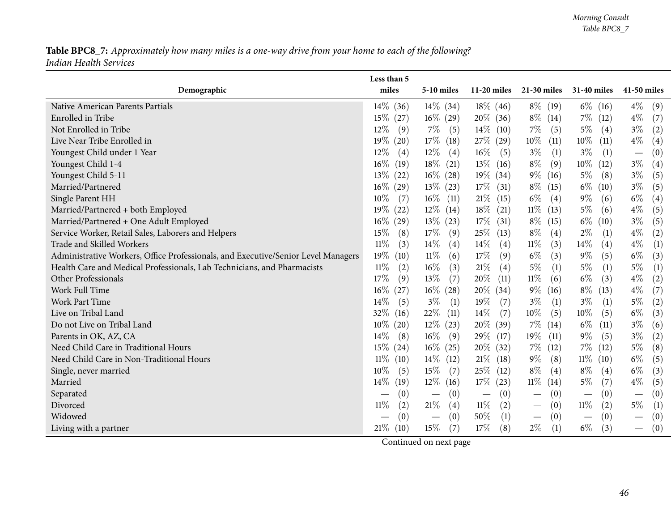### Table BPC8\_7: Approximately how many miles is a one-way drive from your home to each of the following? *Indian Health Services*

| Demographic                                                                       | Less than 5<br>miles   | 5-10 miles                      | $11-20$ miles                   | 21-30 miles                     | <b>31-40 miles</b> | 41-50 miles                            |
|-----------------------------------------------------------------------------------|------------------------|---------------------------------|---------------------------------|---------------------------------|--------------------|----------------------------------------|
| Native American Parents Partials                                                  | 14\% (36)              | $14\%$ (34)                     | $18\%$ (46)                     | $8\%$ (19)                      | $6\%$ (16)         | $4\%$<br>(9)                           |
| Enrolled in Tribe                                                                 | $15\%$ (27)            | $16\%$ (29)                     | $20\%$ (36)                     | $8\%$ (14)                      | $7\%$ (12)         | $4\%$<br>(7)                           |
| Not Enrolled in Tribe                                                             | $12\%$<br>(9)          | $7\%$<br>(5)                    | $14\%$ (10)                     | $7\%$<br>(5)                    | $5\%$<br>(4)       | $3\%$<br>(2)                           |
| Live Near Tribe Enrolled in                                                       | 19%<br>(20)            | $17\%$ (18)                     | 27\% (29)                       | $10\%$<br>(11)                  | $10\%$<br>(11)     | $4\%$<br>$\left( 4\right)$             |
| Youngest Child under 1 Year                                                       | $12\%$<br>(4)          | $12\%$<br>(4)                   | $16\%$ (5)                      | $3\%$<br>(1)                    | $3\%$<br>(1)       | (0)<br>$\overline{\phantom{m}}$        |
| Youngest Child 1-4                                                                | 16%<br>(19)            | $18\%$ (21)                     | $13\%$ (16)                     | $8\%$<br>(9)                    | $10\%$<br>(12)     | $3\%$<br>$\left( 4\right)$             |
| Youngest Child 5-11                                                               | 13\%<br>(22)           | $16\%$ (28)                     | $19\%$ (34)                     | $9\%$ (16)                      | $5\%$<br>(8)       | $3\%$<br>(5)                           |
| Married/Partnered                                                                 | $16\%$<br>(29)         | $13\%$ (23)                     | $17\%$ (31)                     | $8\%$ (15)                      | $6\%$ (10)         | $3\%$<br>(5)                           |
| Single Parent HH                                                                  | 10%<br>(7)             | $16\%$ (11)                     | $21\%$ (15)                     | $6\%$<br>(4)                    | $9\%$<br>(6)       | $6\%$<br>$\left( 4\right)$             |
| Married/Partnered + both Employed                                                 | 19%<br>(22)            | $12\%$ (14)                     | $18\%$ (21)                     | $11\%$ (13)                     | $5\%$<br>(6)       | $4\%$<br>(5)                           |
| Married/Partnered + One Adult Employed                                            | $16\%$<br>(29)         | $13\%$ (23)                     | $17\%$ (31)                     | $8\%$ (15)                      | $6\%$ (10)         | $3\%$<br>(5)                           |
| Service Worker, Retail Sales, Laborers and Helpers                                | 15%<br>(8)             | $17\%$<br>(9)                   | $25\%$<br>(13)                  | $8\%$<br>(4)                    | $2\%$<br>(1)       | $4\%$<br>(2)                           |
| Trade and Skilled Workers                                                         | $11\%$<br>(3)          | $14\%$<br>(4)                   | $14\%$<br>(4)                   | $11\%$<br>(3)                   | $14\%$<br>(4)      | $4\%$<br>(1)                           |
| Administrative Workers, Office Professionals, and Executive/Senior Level Managers | 19%<br>(10)            | $11\%$<br>(6)                   | 17\%<br>(9)                     | $6\%$<br>(3)                    | $9\%$<br>(5)       | $6\%$<br>(3)                           |
| Health Care and Medical Professionals, Lab Technicians, and Pharmacists           | $11\%$<br>(2)          | $16\%$<br>(3)                   | $21\%$<br>(4)                   | $5\%$<br>(1)                    | $5\%$<br>(1)       | $5\%$<br>(1)                           |
| Other Professionals                                                               | 17%<br>(9)             | 13\%<br>(7)                     | $20\%$<br>(11)                  | $11\%$<br>(6)                   | $6\%$<br>(3)       | $4\%$<br>(2)                           |
| Work Full Time                                                                    | $16\%$<br>(27)         | $16\%$ (28)                     | 20% (34)                        | $9\%$<br>(16)                   | $8\%$<br>(13)      | $4\%$<br>(7)                           |
| Work Part Time                                                                    | 14%<br>(5)             | $3\%$<br>(1)                    | 19%<br>(7)                      | $3\%$<br>(1)                    | $3\%$<br>(1)       | $5\%$<br>(2)                           |
| Live on Tribal Land                                                               | 32%<br>(16)            | $22\%$ (11)                     | $14\%$<br>(7)                   | $10\%$<br>(5)                   | $10\%$<br>(5)      | $6\%$<br>(3)                           |
| Do not Live on Tribal Land                                                        | $10\%$<br>(20)         | $12\%$ (23)                     | 20% (39)                        | $7\%$ (14)                      | $6\%$<br>(11)      | $3\%$<br>(6)                           |
| Parents in OK, AZ, CA                                                             | 14%<br>(8)             | $16\%$<br>(9)                   | 29\% (17)                       | $19\%$<br>(11)                  | $9\%$<br>(5)       | $3\%$<br>(2)                           |
| Need Child Care in Traditional Hours                                              | $15\%$<br>(24)         | $16\%$ (25)                     | 20% (32)                        | $7\%$ (12)                      | $7\%$ (12)         | $5\%$<br>(8)                           |
| Need Child Care in Non-Traditional Hours                                          | $11\%$<br>(10)         | $14\%$ (12)                     | $21\%$ (18)                     | $9\%$<br>(8)                    | $11\%$ (10)        | $6\%$<br>(5)                           |
| Single, never married                                                             | 10%<br>(5)             | $15\%$<br>(7)                   | 25\% (12)                       | $8\%$<br>(4)                    | $8\%$<br>(4)       | $6\%$<br>(3)                           |
| Married                                                                           | 14\%<br>(19)           | $12\%$ (16)                     | $17\%$ (23)                     | $11\%$ (14)                     | $5\%$<br>(7)       | $4\%$<br>(5)                           |
| Separated                                                                         | (0)<br>$\qquad \qquad$ | (0)<br>$\overline{\phantom{m}}$ | (0)<br>$\overline{\phantom{m}}$ | (0)<br>$\overline{\phantom{m}}$ | (0)                | (0)<br>$\overline{\phantom{m}}$        |
| Divorced                                                                          | 11%<br>(2)             | $21\%$<br>(4)                   | $11\%$<br>(2)                   | (0)<br>$\overline{\phantom{m}}$ | $11\%$<br>(2)      | $5\%$<br>(1)                           |
| Widowed                                                                           | (0)                    | (0)                             | 50%<br>(1)                      | (0)<br>$\overline{\phantom{m}}$ | (0)                | $\left( 0\right)$                      |
| Living with a partner                                                             | $21\%$ (10)            | 15%<br>(7)                      | 17%<br>(8)                      | $2\%$<br>(1)                    | $6\%$<br>(3)       | (0)<br>$\hspace{0.1mm}-\hspace{0.1mm}$ |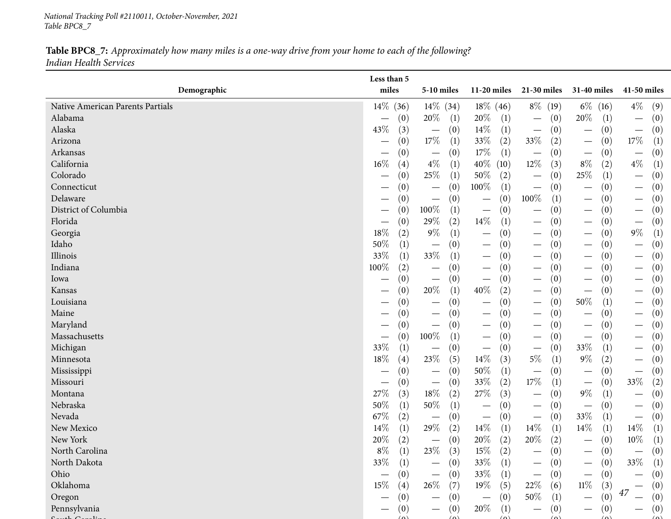*National Tracking Poll #2110011, October-November, <sup>2021</sup> Table BPC8\_7*

Table BPC8\_7: Approximately how many miles is a one-way drive from your home to each of the following? *Indian Health Services*

|                                  | Less than 5                 |                                        |                                        |                                          |                                      |                                        |
|----------------------------------|-----------------------------|----------------------------------------|----------------------------------------|------------------------------------------|--------------------------------------|----------------------------------------|
| Demographic                      | miles                       | 5-10 miles                             | $11-20$ miles                          | 21-30 miles                              | 31-40 miles                          | 41-50 miles                            |
| Native American Parents Partials | $14\%$<br>(36)              | 14\% (34)                              | 18% (46)                               | $8\%$ (19)                               | $6\%$ (16)                           | $4\%$<br>(9)                           |
| Alabama                          | (0)                         | 20\%<br>(1)                            | 20%<br>(1)                             | (0)<br>$\overline{\phantom{m}}$          | 20%<br>(1)                           | (0)<br>$\overline{\phantom{m}}$        |
| Alaska                           | 43%<br>(3)                  | (0)<br>$\overline{\phantom{m}}$        | $14\%$<br>(1)                          | (0)<br>$\overline{\phantom{m}}$          | (0)<br>$\overline{\phantom{m}}$      | (0)<br>$\overline{\phantom{m}}$        |
| Arizona                          | (0)                         | $17\%$<br>(1)                          | 33\%<br>(2)                            | 33\%<br>(2)                              | (0)<br>$\overline{\phantom{m}}$      | $17\%$<br>(1)                          |
| Arkansas                         | (0)                         | (0)<br>$\hspace{0.1mm}-\hspace{0.1mm}$ | $17\%$<br>(1)                          | (0)                                      | (0)                                  | (0)<br>$\overline{\phantom{m}}$        |
| California                       | $16\%$<br>(4)               | $4\%$<br>(1)                           | $40\%$<br>(10)                         | $12\%$<br>(3)                            | $8\%$<br>(2)                         | $4\%$<br>$\left(1\right)$              |
| Colorado                         | (0)                         | 25%<br>(1)                             | 50%<br>(2)                             | (0)<br>$\overline{\phantom{m}}$          | 25\%<br>(1)                          | (0)<br>$\overline{\phantom{m}}$        |
| Connecticut                      | (0)                         | (0)<br>$\hspace{0.1mm}-\hspace{0.1mm}$ | 100%<br>(1)                            | (0)<br>$\overline{\phantom{m}}$          | (0)<br>$\overline{\phantom{0}}$      | (0)<br>$\overline{\phantom{m}}$        |
| Delaware                         | (0)                         | (0)<br>$\hspace{0.1mm}-\hspace{0.1mm}$ | (0)                                    | $100\%$<br>(1)                           | (0)<br>$\overline{\phantom{0}}$      | (0)                                    |
| District of Columbia             | (0)                         | 100%<br>(1)                            | (0)                                    | (0)<br>$\hspace{0.1mm}-\hspace{0.1mm}$   | (0)                                  | (0)<br>$\hspace{0.1mm}-\hspace{0.1mm}$ |
| Florida                          | (0)                         | 29%<br>(2)                             | $14\%$<br>(1)                          | (0)<br>$\overline{\phantom{m}}$          | (0)                                  | (0)<br>$\overline{\phantom{m}}$        |
| Georgia                          | 18%<br>(2)                  | $9\%$<br>(1)                           | (0)                                    | (0)<br>$\overline{\phantom{m}}$          | (0)                                  | $9\%$<br>$\left(1\right)$              |
| Idaho                            | $50\%$<br>(1)               | (0)<br>$\hspace{0.1mm}-\hspace{0.1mm}$ | (0)<br>$\hspace{0.1mm}-\hspace{0.1mm}$ | (0)<br>$\hspace{0.1mm}-\hspace{0.1mm}$   | (0)<br>$\overline{\phantom{0}}$      | (0)<br>$\hspace{0.1mm}-\hspace{0.1mm}$ |
| Illinois                         | 33%<br>(1)                  | $33\%$<br>(1)                          | (0)                                    | (0)<br>$\overline{\phantom{m}}$          | (0)                                  | (0)<br>$\hspace{0.1mm}-\hspace{0.1mm}$ |
| Indiana                          | 100%<br>(2)                 | (0)<br>$\hspace{0.1mm}-\hspace{0.1mm}$ | (0)<br>$\hspace{0.1mm}-\hspace{0.1mm}$ | (0)<br>$\hspace{0.1mm}-\hspace{0.1mm}$   | (0)                                  | (0)                                    |
| lowa                             | (0)                         | (0)<br>$\qquad \qquad -$               | (0)<br>$\hspace{0.1mm}-\hspace{0.1mm}$ | (0)<br>$\hspace{0.1mm}-\hspace{0.1mm}$   | (0)<br>$\overline{\phantom{0}}$      | (0)<br>$\overline{\phantom{m}}$        |
| Kansas                           | (0)                         | $20\%$<br>(1)                          | 40%<br>(2)                             | (0)<br>$\hspace{0.05cm}$                 | (0)<br>$\overline{\phantom{m}}$      | (0)<br>$\overbrace{\phantom{123321}}$  |
| Louisiana                        | (0)                         | (0)<br>$\hspace{0.1mm}-\hspace{0.1mm}$ | (0)<br>$\hspace{0.1mm}-\hspace{0.1mm}$ | (0)<br>$\overline{\phantom{m}}$          | 50%<br>(1)                           | (0)<br>$\hspace{0.1mm}-\hspace{0.1mm}$ |
| Maine                            | (0)                         | (0)<br>$\hspace{0.1mm}-\hspace{0.1mm}$ | (0)<br>$\hspace{0.1mm}-\hspace{0.1mm}$ | (0)<br>$\hspace{0.1mm}-\hspace{0.1mm}$   | (0)<br>$\overline{\phantom{0}}$      | (0)<br>$\overline{\phantom{m}}$        |
| Maryland                         | (0)                         | (0)<br>$\hspace{0.1mm}-\hspace{0.1mm}$ | (0)<br>$\overbrace{\phantom{123321}}$  | (0)<br>$\hspace{0.1mm}-\hspace{0.1mm}$   | (0)                                  | (0)<br>$\hspace{0.1mm}-\hspace{0.1mm}$ |
| Massachusetts                    | (0)                         | 100%<br>(1)                            | (0)<br>$\overbrace{\phantom{123321}}$  | (0)<br>$\hspace{0.1mm}-\hspace{0.1mm}$   | (0)<br>$\overline{\phantom{m}}$      | (0)<br>$\hspace{0.1mm}-\hspace{0.1mm}$ |
| Michigan                         | 33%<br>(1)                  | (0)<br>$\hspace{0.1mm}-\hspace{0.1mm}$ | (0)<br>$\overbrace{\phantom{13333}}$   | (0)<br>$\overline{\phantom{m}}$          | 33%<br>(1)                           | (0)                                    |
| Minnesota                        | $18\%$<br>$\left( 4\right)$ | 23\%<br>(5)                            | $14\%$<br>(3)                          | $5\%$<br>(1)                             | $9\%$<br>(2)                         | (0)<br>$\overline{\phantom{m}}$        |
| Mississippi                      | (0)                         | (0)<br>$\hspace{0.1mm}-\hspace{0.1mm}$ | 50%<br>(1)                             | (0)                                      | (0)<br>$\overline{\phantom{0}}$      | (0)<br>$\overline{\phantom{m}}$        |
| Missouri                         | $\left(0\right)$            | (0)<br>$\overline{\phantom{m}}$        | 33%<br>(2)                             | $17\%$<br>(1)                            | (0)<br>$\overline{\phantom{m}}$      | 33\%<br>(2)                            |
| Montana                          | 27\%<br>(3)                 | $18\%$<br>(2)                          | $27\%$<br>(3)                          | (0)<br>$\overline{\phantom{m}}$          | $9\%$<br>(1)                         | (0)<br>$\overline{\phantom{m}}$        |
| Nebraska                         | 50%<br>(1)                  | $50\%$<br>$\left(1\right)$             | (0)                                    | (0)<br>$\overline{\phantom{m}}$          | (0)<br>$\overbrace{\phantom{13333}}$ | (0)<br>$\overline{\phantom{m}}$        |
| Nevada                           | 67%<br>(2)                  | (0)<br>$\hspace{0.1mm}-\hspace{0.1mm}$ | (0)                                    | (0)<br>$\overline{\phantom{m}}$          | 33\%<br>(1)                          | (0)<br>$\overline{\phantom{m}}$        |
| New Mexico                       | 14%<br>(1)                  | 29%<br>(2)                             | $14\%$<br>(1)                          | $14\%$<br>(1)                            | $14\%$<br>(1)                        | $14\%$<br>(1)                          |
| New York                         | 20%<br>$\left( 2\right)$    | (0)<br>$\hspace{0.1mm}-\hspace{0.1mm}$ | 20%<br>(2)                             | 20%<br>(2)                               | (0)                                  | $10\%$<br>(1)                          |
| North Carolina                   | $8\%$<br>(1)                | $23\%$<br>(3)                          | $15\%$<br>(2)                          | (0)                                      | (0)                                  | (0)                                    |
| North Dakota                     | $33\%$<br>(1)               | (0)<br>$\hspace{0.1mm}-\hspace{0.1mm}$ | $33\%$<br>(1)                          | (0)                                      | (0)                                  | 33\%<br>(1)                            |
| Ohio                             | (0)                         | (0)<br>$\hspace{0.1mm}-\hspace{0.1mm}$ | 33\%<br>(1)                            | (0)<br>$\qquad \qquad -$                 | (0)                                  | (0)                                    |
| Oklahoma                         | $15\%$<br>(4)               | 26\%<br>(7)                            | $19\%$<br>(5)                          | 22\%<br>(6)                              | $11\%$<br>(3)                        | (0)<br>$\hspace{0.1mm}-\hspace{0.1mm}$ |
| Oregon                           | (0)                         | (0)                                    | (0)                                    | $50\%$<br>(1)                            | (0)                                  | 47<br>(0)                              |
| Pennsylvania<br>$1 \cap 1$       | (0)                         | (0)                                    | $20\%$<br>(1)                          | (0)<br>$\overbrace{\phantom{123221111}}$ | (0)                                  | (0)                                    |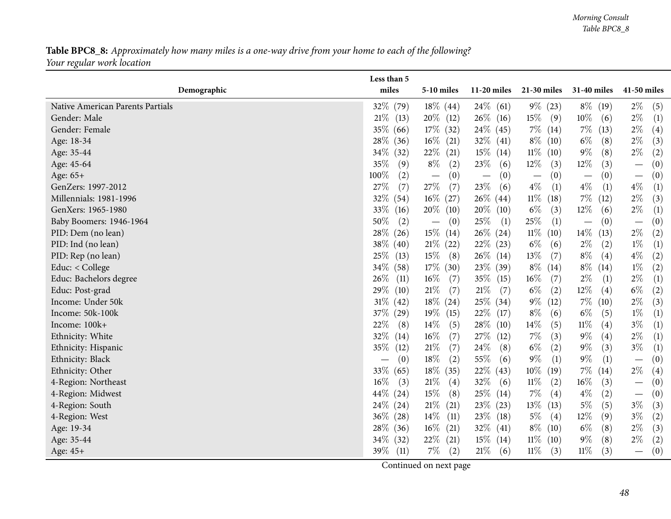#### Table BPC8\_8: Approximately how many miles is a one-way drive from your home to each of the following? *Your regular work location*

| miles<br>Demographic<br>$11-20$ miles<br>21-30 miles<br>31-40 miles<br>41-50 miles<br>5-10 miles<br>32% (79)<br>$18\%$ (44)<br>$24\%$ (61)<br>$9\%$ (23)<br>$8\%$ (19)<br>$2\%$<br>Native American Parents Partials<br>(5)<br>$21\%$ (13)<br>$20\%$ (12)<br>$26\%$ (16)<br>$15\%$<br>$10\%$<br>$2\%$<br>(9)<br>(1)<br>Gender: Male<br>(6)<br>$17\%$ (32)<br>$24\%$ (45)<br>35%<br>$7\%$ (14)<br>$7\%$<br>$2\%$<br>Gender: Female<br>(66)<br>(13)<br>(4)<br>28\%<br>$16\%$ (21)<br>$32\%$ (41)<br>$8\%$ (10)<br>$6\%$<br>(8)<br>$2\%$<br>(3)<br>Age: 18-34<br>(36)<br>$2\%$<br>$22\%$ (21)<br>$15\%$ (14)<br>$11\%$ (10)<br>$9\%$<br>$34\%$<br>(8)<br>(2)<br>Age: 35-44<br>(32)<br>$12\%$<br>35%<br>$8\%$<br>23\%<br>$12\%$<br>(2)<br>(3)<br>(0)<br>Age: 45-64<br>(9)<br>(6)<br>(3)<br>$\overline{\phantom{m}}$<br>100%<br>(0)<br>Age: 65+<br>(2)<br>(0)<br>(0)<br>(0)<br>(0)<br>$\overline{\phantom{0}}$<br>$\overline{\phantom{m}}$<br>$\overline{\phantom{m}}$<br>$\overline{\phantom{m}}$<br>$27\%$<br>$23\%$<br>$4\%$<br>$4\%$<br>27\%<br>(7)<br>$4\%$<br>GenZers: 1997-2012<br>(7)<br>(1)<br>(1)<br>(1)<br>(6)<br>$11\%$ (18)<br>$2\%$<br>32%<br>$16\%$ (27)<br>$26\%$ (44)<br>$7\%$<br>(3)<br>Millennials: 1981-1996<br>(54)<br>(12)<br>$20\%$ (10)<br>$6\%$<br>12\%<br>$2\%$<br>GenXers: 1965-1980<br>33\%<br>$20\%$ (10)<br>(3)<br>(6)<br>$\left(1\right)$<br>(16)<br>$25\%$<br>50%<br>25\%<br>Baby Boomers: 1946-1964<br>(2)<br>(1)<br>(1)<br>(0)<br>(0)<br>(0)<br>$\overline{\phantom{0}}$<br>$\overline{\phantom{0}}$<br>$\overline{\phantom{0}}$<br>28\%<br>$15\%$ (14)<br>$26\%$ (24)<br>$11\%$<br>$14\%$<br>$2\%$<br>(13)<br>PID: Dem (no lean)<br>(26)<br>(10)<br>(2)<br>38\%<br>$22\%$ (23)<br>$1\%$<br>PID: Ind (no lean)<br>$21\%$ (22)<br>$6\%$<br>$2\%$<br>(2)<br>(1)<br>(40)<br>(6)<br>13\%<br>$8\%$<br>$4\%$<br>25\%<br>$15\%$<br>$26\%$ (14)<br>(7)<br>(4)<br>(2)<br>PID: Rep (no lean)<br>(13)<br>(8)<br>$34\%$<br>$17\%$ (30)<br>$23\%$ (39)<br>$8\%$ (14)<br>$8\%$<br>$1\%$<br>Educ: < College<br>(14)<br>(2)<br>(58)<br>26\%<br>$16\%$<br>Educ: Bachelors degree<br>$16\%$<br>$35\%$ (15)<br>$2\%$<br>$2\%$<br>(1)<br>(7)<br>(11)<br>(7)<br>(1)<br>29%<br>$21\%$<br>$21\%$<br>$6\%$<br>$12\%$<br>(4)<br>$6\%$<br>Educ: Post-grad<br>(7)<br>(7)<br>(2)<br>$\left( 2\right)$<br>(10)<br>$9\%$<br>$31\%$<br>$18\%$ (24)<br>25\% (34)<br>$7\%$<br>$2\%$<br>(3)<br>Income: Under 50k<br>(42)<br>(12)<br>(10)<br>37\%<br>$19\%$ (15)<br>$22\%$ (17)<br>$8\%$<br>$6\%$<br>$1\%$<br>(1)<br>Income: 50k-100k<br>(29)<br>(6)<br>(5)<br>$14\%$<br>22\%<br>$14\%$<br>$11\%$<br>$3\%$<br>Income: 100k+<br>$28\%$<br>(5)<br>(4)<br>(8)<br>(5)<br>(10)<br>(1) |
|---------------------------------------------------------------------------------------------------------------------------------------------------------------------------------------------------------------------------------------------------------------------------------------------------------------------------------------------------------------------------------------------------------------------------------------------------------------------------------------------------------------------------------------------------------------------------------------------------------------------------------------------------------------------------------------------------------------------------------------------------------------------------------------------------------------------------------------------------------------------------------------------------------------------------------------------------------------------------------------------------------------------------------------------------------------------------------------------------------------------------------------------------------------------------------------------------------------------------------------------------------------------------------------------------------------------------------------------------------------------------------------------------------------------------------------------------------------------------------------------------------------------------------------------------------------------------------------------------------------------------------------------------------------------------------------------------------------------------------------------------------------------------------------------------------------------------------------------------------------------------------------------------------------------------------------------------------------------------------------------------------------------------------------------------------------------------------------------------------------------------------------------------------------------------------------------------------------------------------------------------------------------------------------------------------------------------------------------------------------------------------------------------------------------------------------------------------------------------------------------------------------------------------------------------------------------------------------------------------------------------------------------------------------------------|
|                                                                                                                                                                                                                                                                                                                                                                                                                                                                                                                                                                                                                                                                                                                                                                                                                                                                                                                                                                                                                                                                                                                                                                                                                                                                                                                                                                                                                                                                                                                                                                                                                                                                                                                                                                                                                                                                                                                                                                                                                                                                                                                                                                                                                                                                                                                                                                                                                                                                                                                                                                                                                                                                           |
|                                                                                                                                                                                                                                                                                                                                                                                                                                                                                                                                                                                                                                                                                                                                                                                                                                                                                                                                                                                                                                                                                                                                                                                                                                                                                                                                                                                                                                                                                                                                                                                                                                                                                                                                                                                                                                                                                                                                                                                                                                                                                                                                                                                                                                                                                                                                                                                                                                                                                                                                                                                                                                                                           |
|                                                                                                                                                                                                                                                                                                                                                                                                                                                                                                                                                                                                                                                                                                                                                                                                                                                                                                                                                                                                                                                                                                                                                                                                                                                                                                                                                                                                                                                                                                                                                                                                                                                                                                                                                                                                                                                                                                                                                                                                                                                                                                                                                                                                                                                                                                                                                                                                                                                                                                                                                                                                                                                                           |
|                                                                                                                                                                                                                                                                                                                                                                                                                                                                                                                                                                                                                                                                                                                                                                                                                                                                                                                                                                                                                                                                                                                                                                                                                                                                                                                                                                                                                                                                                                                                                                                                                                                                                                                                                                                                                                                                                                                                                                                                                                                                                                                                                                                                                                                                                                                                                                                                                                                                                                                                                                                                                                                                           |
|                                                                                                                                                                                                                                                                                                                                                                                                                                                                                                                                                                                                                                                                                                                                                                                                                                                                                                                                                                                                                                                                                                                                                                                                                                                                                                                                                                                                                                                                                                                                                                                                                                                                                                                                                                                                                                                                                                                                                                                                                                                                                                                                                                                                                                                                                                                                                                                                                                                                                                                                                                                                                                                                           |
|                                                                                                                                                                                                                                                                                                                                                                                                                                                                                                                                                                                                                                                                                                                                                                                                                                                                                                                                                                                                                                                                                                                                                                                                                                                                                                                                                                                                                                                                                                                                                                                                                                                                                                                                                                                                                                                                                                                                                                                                                                                                                                                                                                                                                                                                                                                                                                                                                                                                                                                                                                                                                                                                           |
|                                                                                                                                                                                                                                                                                                                                                                                                                                                                                                                                                                                                                                                                                                                                                                                                                                                                                                                                                                                                                                                                                                                                                                                                                                                                                                                                                                                                                                                                                                                                                                                                                                                                                                                                                                                                                                                                                                                                                                                                                                                                                                                                                                                                                                                                                                                                                                                                                                                                                                                                                                                                                                                                           |
|                                                                                                                                                                                                                                                                                                                                                                                                                                                                                                                                                                                                                                                                                                                                                                                                                                                                                                                                                                                                                                                                                                                                                                                                                                                                                                                                                                                                                                                                                                                                                                                                                                                                                                                                                                                                                                                                                                                                                                                                                                                                                                                                                                                                                                                                                                                                                                                                                                                                                                                                                                                                                                                                           |
|                                                                                                                                                                                                                                                                                                                                                                                                                                                                                                                                                                                                                                                                                                                                                                                                                                                                                                                                                                                                                                                                                                                                                                                                                                                                                                                                                                                                                                                                                                                                                                                                                                                                                                                                                                                                                                                                                                                                                                                                                                                                                                                                                                                                                                                                                                                                                                                                                                                                                                                                                                                                                                                                           |
|                                                                                                                                                                                                                                                                                                                                                                                                                                                                                                                                                                                                                                                                                                                                                                                                                                                                                                                                                                                                                                                                                                                                                                                                                                                                                                                                                                                                                                                                                                                                                                                                                                                                                                                                                                                                                                                                                                                                                                                                                                                                                                                                                                                                                                                                                                                                                                                                                                                                                                                                                                                                                                                                           |
|                                                                                                                                                                                                                                                                                                                                                                                                                                                                                                                                                                                                                                                                                                                                                                                                                                                                                                                                                                                                                                                                                                                                                                                                                                                                                                                                                                                                                                                                                                                                                                                                                                                                                                                                                                                                                                                                                                                                                                                                                                                                                                                                                                                                                                                                                                                                                                                                                                                                                                                                                                                                                                                                           |
|                                                                                                                                                                                                                                                                                                                                                                                                                                                                                                                                                                                                                                                                                                                                                                                                                                                                                                                                                                                                                                                                                                                                                                                                                                                                                                                                                                                                                                                                                                                                                                                                                                                                                                                                                                                                                                                                                                                                                                                                                                                                                                                                                                                                                                                                                                                                                                                                                                                                                                                                                                                                                                                                           |
|                                                                                                                                                                                                                                                                                                                                                                                                                                                                                                                                                                                                                                                                                                                                                                                                                                                                                                                                                                                                                                                                                                                                                                                                                                                                                                                                                                                                                                                                                                                                                                                                                                                                                                                                                                                                                                                                                                                                                                                                                                                                                                                                                                                                                                                                                                                                                                                                                                                                                                                                                                                                                                                                           |
|                                                                                                                                                                                                                                                                                                                                                                                                                                                                                                                                                                                                                                                                                                                                                                                                                                                                                                                                                                                                                                                                                                                                                                                                                                                                                                                                                                                                                                                                                                                                                                                                                                                                                                                                                                                                                                                                                                                                                                                                                                                                                                                                                                                                                                                                                                                                                                                                                                                                                                                                                                                                                                                                           |
|                                                                                                                                                                                                                                                                                                                                                                                                                                                                                                                                                                                                                                                                                                                                                                                                                                                                                                                                                                                                                                                                                                                                                                                                                                                                                                                                                                                                                                                                                                                                                                                                                                                                                                                                                                                                                                                                                                                                                                                                                                                                                                                                                                                                                                                                                                                                                                                                                                                                                                                                                                                                                                                                           |
|                                                                                                                                                                                                                                                                                                                                                                                                                                                                                                                                                                                                                                                                                                                                                                                                                                                                                                                                                                                                                                                                                                                                                                                                                                                                                                                                                                                                                                                                                                                                                                                                                                                                                                                                                                                                                                                                                                                                                                                                                                                                                                                                                                                                                                                                                                                                                                                                                                                                                                                                                                                                                                                                           |
|                                                                                                                                                                                                                                                                                                                                                                                                                                                                                                                                                                                                                                                                                                                                                                                                                                                                                                                                                                                                                                                                                                                                                                                                                                                                                                                                                                                                                                                                                                                                                                                                                                                                                                                                                                                                                                                                                                                                                                                                                                                                                                                                                                                                                                                                                                                                                                                                                                                                                                                                                                                                                                                                           |
|                                                                                                                                                                                                                                                                                                                                                                                                                                                                                                                                                                                                                                                                                                                                                                                                                                                                                                                                                                                                                                                                                                                                                                                                                                                                                                                                                                                                                                                                                                                                                                                                                                                                                                                                                                                                                                                                                                                                                                                                                                                                                                                                                                                                                                                                                                                                                                                                                                                                                                                                                                                                                                                                           |
|                                                                                                                                                                                                                                                                                                                                                                                                                                                                                                                                                                                                                                                                                                                                                                                                                                                                                                                                                                                                                                                                                                                                                                                                                                                                                                                                                                                                                                                                                                                                                                                                                                                                                                                                                                                                                                                                                                                                                                                                                                                                                                                                                                                                                                                                                                                                                                                                                                                                                                                                                                                                                                                                           |
|                                                                                                                                                                                                                                                                                                                                                                                                                                                                                                                                                                                                                                                                                                                                                                                                                                                                                                                                                                                                                                                                                                                                                                                                                                                                                                                                                                                                                                                                                                                                                                                                                                                                                                                                                                                                                                                                                                                                                                                                                                                                                                                                                                                                                                                                                                                                                                                                                                                                                                                                                                                                                                                                           |
|                                                                                                                                                                                                                                                                                                                                                                                                                                                                                                                                                                                                                                                                                                                                                                                                                                                                                                                                                                                                                                                                                                                                                                                                                                                                                                                                                                                                                                                                                                                                                                                                                                                                                                                                                                                                                                                                                                                                                                                                                                                                                                                                                                                                                                                                                                                                                                                                                                                                                                                                                                                                                                                                           |
| 32\%<br>$16\%$<br>27%<br>$7\%$<br>$9\%$<br>$2\%$<br>(7)<br>(3)<br>(4)<br>(1)<br>Ethnicity: White<br>(12)<br>(14)                                                                                                                                                                                                                                                                                                                                                                                                                                                                                                                                                                                                                                                                                                                                                                                                                                                                                                                                                                                                                                                                                                                                                                                                                                                                                                                                                                                                                                                                                                                                                                                                                                                                                                                                                                                                                                                                                                                                                                                                                                                                                                                                                                                                                                                                                                                                                                                                                                                                                                                                                          |
| $24\%$<br>35%<br>$21\%$<br>$6\%$<br>$9\%$<br>(3)<br>$3\%$<br>(2)<br>(1)<br>Ethnicity: Hispanic<br>(7)<br>(8)<br>(12)                                                                                                                                                                                                                                                                                                                                                                                                                                                                                                                                                                                                                                                                                                                                                                                                                                                                                                                                                                                                                                                                                                                                                                                                                                                                                                                                                                                                                                                                                                                                                                                                                                                                                                                                                                                                                                                                                                                                                                                                                                                                                                                                                                                                                                                                                                                                                                                                                                                                                                                                                      |
| $9\%$<br>$9\%$<br>18%<br>55%<br>(1)<br>Ethnicity: Black<br>(0)<br>(2)<br>(6)<br>(1)<br>(0)<br>$\overline{\phantom{0}}$<br>$\hspace{0.05cm}$                                                                                                                                                                                                                                                                                                                                                                                                                                                                                                                                                                                                                                                                                                                                                                                                                                                                                                                                                                                                                                                                                                                                                                                                                                                                                                                                                                                                                                                                                                                                                                                                                                                                                                                                                                                                                                                                                                                                                                                                                                                                                                                                                                                                                                                                                                                                                                                                                                                                                                                               |
| $10\%$ (19)<br>33\%<br>$18\%$ (35)<br>$7\%$<br>$2\%$<br>$22\%$ (43)<br>(14)<br>Ethnicity: Other<br>(65)<br>(4)                                                                                                                                                                                                                                                                                                                                                                                                                                                                                                                                                                                                                                                                                                                                                                                                                                                                                                                                                                                                                                                                                                                                                                                                                                                                                                                                                                                                                                                                                                                                                                                                                                                                                                                                                                                                                                                                                                                                                                                                                                                                                                                                                                                                                                                                                                                                                                                                                                                                                                                                                            |
| $16\%$<br>21%<br>32\%<br>$11\%$<br>$16\%$<br>4-Region: Northeast<br>(4)<br>(2)<br>(3)<br>(0)<br>(3)<br>(6)<br>$\overline{\phantom{m}}$                                                                                                                                                                                                                                                                                                                                                                                                                                                                                                                                                                                                                                                                                                                                                                                                                                                                                                                                                                                                                                                                                                                                                                                                                                                                                                                                                                                                                                                                                                                                                                                                                                                                                                                                                                                                                                                                                                                                                                                                                                                                                                                                                                                                                                                                                                                                                                                                                                                                                                                                    |
| $44\%$<br>15%<br>$25\%$ (14)<br>7\%<br>$4\%$<br>(2)<br>4-Region: Midwest<br>(8)<br>(4)<br>(0)<br>(24)<br>$\overline{\phantom{m}}$                                                                                                                                                                                                                                                                                                                                                                                                                                                                                                                                                                                                                                                                                                                                                                                                                                                                                                                                                                                                                                                                                                                                                                                                                                                                                                                                                                                                                                                                                                                                                                                                                                                                                                                                                                                                                                                                                                                                                                                                                                                                                                                                                                                                                                                                                                                                                                                                                                                                                                                                         |
| 24\%<br>$21\%$<br>13\%<br>$5\%$<br>$3\%$<br>23\% (23)<br>(5)<br>(3)<br>4-Region: South<br>(24)<br>(21)<br>(13)                                                                                                                                                                                                                                                                                                                                                                                                                                                                                                                                                                                                                                                                                                                                                                                                                                                                                                                                                                                                                                                                                                                                                                                                                                                                                                                                                                                                                                                                                                                                                                                                                                                                                                                                                                                                                                                                                                                                                                                                                                                                                                                                                                                                                                                                                                                                                                                                                                                                                                                                                            |
| $36\%$<br>$14\%$ (11)<br>23\%<br>$5\%$<br>12%<br>$3\%$<br>$\left( 2\right)$<br>4-Region: West<br>(28)<br>(18)<br>(4)<br>(9)                                                                                                                                                                                                                                                                                                                                                                                                                                                                                                                                                                                                                                                                                                                                                                                                                                                                                                                                                                                                                                                                                                                                                                                                                                                                                                                                                                                                                                                                                                                                                                                                                                                                                                                                                                                                                                                                                                                                                                                                                                                                                                                                                                                                                                                                                                                                                                                                                                                                                                                                               |
| 28\% (36)<br>$16\%$ (21)<br>$8\%$ (10)<br>$6\%$<br>$2\%$<br>(3)<br>$32\%$ (41)<br>(8)<br>Age: 19-34                                                                                                                                                                                                                                                                                                                                                                                                                                                                                                                                                                                                                                                                                                                                                                                                                                                                                                                                                                                                                                                                                                                                                                                                                                                                                                                                                                                                                                                                                                                                                                                                                                                                                                                                                                                                                                                                                                                                                                                                                                                                                                                                                                                                                                                                                                                                                                                                                                                                                                                                                                       |
| $2\%$<br>$34\%$ (32)<br>$22\%$ (21)<br>$15\%$ (14)<br>$11\%$ (10)<br>$9\%$<br>(8)<br>Age: 35-44<br>$\left( 2\right)$                                                                                                                                                                                                                                                                                                                                                                                                                                                                                                                                                                                                                                                                                                                                                                                                                                                                                                                                                                                                                                                                                                                                                                                                                                                                                                                                                                                                                                                                                                                                                                                                                                                                                                                                                                                                                                                                                                                                                                                                                                                                                                                                                                                                                                                                                                                                                                                                                                                                                                                                                      |
| $39\%$ (11)<br>$11\%$<br>$7\%$<br>21%<br>$11\%$<br>(3)<br>(0)<br>(6)<br>(3)<br>Age: 45+<br>(2)<br>$\qquad \qquad$                                                                                                                                                                                                                                                                                                                                                                                                                                                                                                                                                                                                                                                                                                                                                                                                                                                                                                                                                                                                                                                                                                                                                                                                                                                                                                                                                                                                                                                                                                                                                                                                                                                                                                                                                                                                                                                                                                                                                                                                                                                                                                                                                                                                                                                                                                                                                                                                                                                                                                                                                         |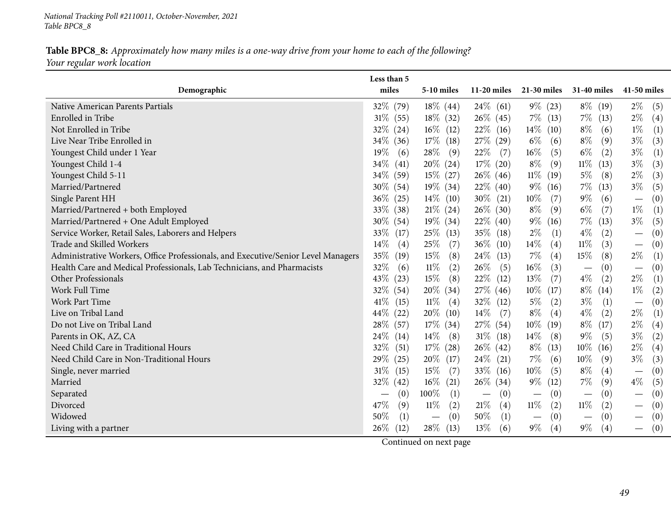#### Table BPC8\_8: Approximately how many miles is a one-way drive from your home to each of the following? *Your regular work location*

|                                                                                   | Less than 5                     |                          |                                 |                                        |                                        |                                        |
|-----------------------------------------------------------------------------------|---------------------------------|--------------------------|---------------------------------|----------------------------------------|----------------------------------------|----------------------------------------|
| Demographic                                                                       | miles                           | 5-10 miles               | $11-20$ miles                   | 21-30 miles                            | <b>31-40 miles</b>                     | 41-50 miles                            |
| Native American Parents Partials                                                  | 32\% (79)                       | $18\%$ (44)              | $24\%$ (61)                     | $9\%$ (23)                             | $8\%$ (19)                             | $2\%$<br>(5)                           |
| Enrolled in Tribe                                                                 | $31\%$ (55)                     | $18\%$ (32)              | $26\%$ (45)                     | $7\%$ (13)                             | $7\%$ (13)                             | $2\%$<br>(4)                           |
| Not Enrolled in Tribe                                                             | 32\%<br>(24)                    | $16\%$ (12)              | $22\%$ (16)                     | $14\%$ (10)                            | $8\%$<br>(6)                           | $1\%$<br>(1)                           |
| Live Near Tribe Enrolled in                                                       | 34\%<br>(36)                    | $17\%$ (18)              | 27\% (29)                       | $6\%$<br>(6)                           | $8\%$<br>(9)                           | $3\%$<br>(3)                           |
| Youngest Child under 1 Year                                                       | 19%<br>(6)                      | $28\%$<br>(9)            | 22\%<br>(7)                     | $16\%$<br>(5)                          | $6\%$<br>(2)                           | $3\%$<br>(1)                           |
| Youngest Child 1-4                                                                | 34%<br>(41)                     | $20\%$ (24)              | 17% (20)                        | $8\%$<br>(9)                           | $11\%$<br>(13)                         | $3\%$<br>(3)                           |
| Youngest Child 5-11                                                               | $34\%$ (59)                     | $15\%$ (27)              | $26\%$ (46)                     | $11\%$ (19)                            | $5\%$<br>(8)                           | $2\%$<br>(3)                           |
| Married/Partnered                                                                 | $30\%$ (54)                     | $19\%$ (34)              | $22\%$ (40)                     | $9\%$ (16)                             | $7\%$<br>(13)                          | $3\%$<br>(5)                           |
| Single Parent HH                                                                  | 36%<br>(25)                     | $14\%$ (10)              | $30\%$ (21)                     | $10\%$<br>(7)                          | $9\%$<br>(6)                           | (0)<br>$\hspace{0.1mm}-\hspace{0.1mm}$ |
| Married/Partnered + both Employed                                                 | 33%<br>(38)                     | $21\%$ (24)              | $26\%$ (30)                     | $8\%$<br>(9)                           | $6\%$<br>(7)                           | $1\%$<br>(1)                           |
| Married/Partnered + One Adult Employed                                            | $30\%$ (54)                     | $19\%$ (34)              | $22\%$ (40)                     | $9\%$<br>(16)                          | $7\%$<br>(13)                          | $3\%$<br>(5)                           |
| Service Worker, Retail Sales, Laborers and Helpers                                | 33%<br>(17)                     | $25\%$ (13)              | $35\%$ (18)                     | $2\%$<br>(1)                           | $4\%$<br>(2)                           | (0)<br>$\overline{\phantom{m}}$        |
| Trade and Skilled Workers                                                         | 14%<br>(4)                      | 25\%<br>(7)              | $36\%$ (10)                     | 14\%<br>(4)                            | $11\%$<br>(3)                          | (0)<br>$\hspace{0.1mm}-\hspace{0.1mm}$ |
| Administrative Workers, Office Professionals, and Executive/Senior Level Managers | 35%<br>(19)                     | $15\%$<br>(8)            | $24\%$ (13)                     | $7\%$<br>(4)                           | 15\%<br>(8)                            | $2\%$<br>(1)                           |
| Health Care and Medical Professionals, Lab Technicians, and Pharmacists           | 32%<br>(6)                      | $11\%$<br>(2)            | 26\%<br>(5)                     | $16\%$<br>(3)                          | (0)<br>$\hspace{0.1mm}-\hspace{0.1mm}$ | (0)                                    |
| Other Professionals                                                               | 43%<br>(23)                     | $15\%$<br>(8)            | $22\%$ (12)                     | 13%<br>(7)                             | $4\%$<br>(2)                           | $2\%$<br>(1)                           |
| Work Full Time                                                                    | 32% (54)                        | $20\%$ (34)              | $27\%$ (46)                     | $10\%$ (17)                            | $8\%$ (14)                             | $1\%$<br>(2)                           |
| Work Part Time                                                                    | 41\%<br>(15)                    | $11\%$<br>(4)            | $32\%$ (12)                     | $5\%$<br>(2)                           | $3\%$<br>(1)                           | (0)<br>$\overline{\phantom{m}}$        |
| Live on Tribal Land                                                               | 44\%<br>(22)                    | $20\%$ (10)              | $14\%$<br>(7)                   | $8\%$<br>(4)                           | $4\%$<br>(2)                           | $2\%$<br>(1)                           |
| Do not Live on Tribal Land                                                        | 28\%<br>(57)                    | $17\%$ (34)              | 27\% (54)                       | $10\%$<br>(19)                         | $8\%$ (17)                             | $2\%$<br>(4)                           |
| Parents in OK, AZ, CA                                                             | 24%<br>(14)                     | $14\%$<br>(8)            | $31\%$ (18)                     | 14\%<br>(8)                            | $9\%$<br>(5)                           | $3\%$<br>(2)                           |
| Need Child Care in Traditional Hours                                              | 32%<br>(51)                     | $17\%$ (28)              | $26\%$ (42)                     | $8\%$<br>(13)                          | $10\%$<br>(16)                         | $2\%$<br>(4)                           |
| Need Child Care in Non-Traditional Hours                                          | 29\%<br>(25)                    | 20\% (17)                | $24\%$ (21)                     | $7\%$<br>(6)                           | $10\%$<br>(9)                          | $3\%$<br>(3)                           |
| Single, never married                                                             | $31\%$<br>(15)                  | 15\%<br>(7)              | 33\% (16)                       | $10\%$<br>(5)                          | $8\%$<br>(4)                           | (0)<br>$\overline{\phantom{m}}$        |
| Married                                                                           | 32%<br>(42)                     | $16\%$ (21)              | $26\%$ (34)                     | $9\%$ (12)                             | 7%<br>(9)                              | $4\%$<br>(5)                           |
| Separated                                                                         | (0)<br>$\overline{\phantom{0}}$ | $100\%$<br>(1)           | (0)<br>$\overline{\phantom{m}}$ | (0)<br>$\overline{\phantom{m}}$        | (0)<br>$\overline{\phantom{m}}$        | (0)<br>$\overline{\phantom{m}}$        |
| Divorced                                                                          | 47%<br>(9)                      | $11\%$<br>(2)            | $21\%$<br>(4)                   | $11\%$<br>(2)                          | $11\%$<br>(2)                          | (0)<br>$\overline{\phantom{m}}$        |
| Widowed                                                                           | 50%<br>(1)                      | (0)<br>$\qquad \qquad -$ | 50%<br>(1)                      | (0)<br>$\hspace{0.1mm}-\hspace{0.1mm}$ | (0)<br>$\hspace{0.1mm}-\hspace{0.1mm}$ | (0)                                    |
| Living with a partner                                                             | $26\%$<br>(12)                  | $28\%$ (13)              | 13\%<br>(6)                     | $9\%$<br>(4)                           | $9\%$<br>(4)                           | (0)<br>$\overline{\phantom{0}}$        |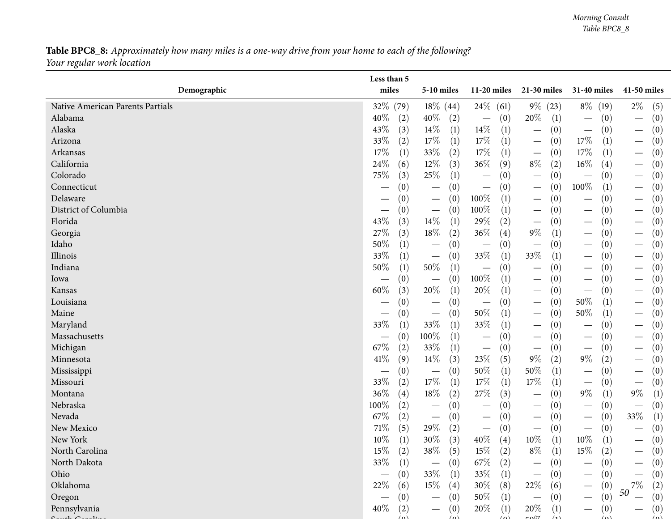### **Table BPC8\_8:** Approximately how many miles is a one-way drive from your home to each of the following? *Your regular work location*

| miles<br>Demographic<br>11-20 miles<br>21-30 miles<br>31-40 miles<br>41-50 miles<br><b>5-10 miles</b><br>32% (79)<br>$18\%$ (44)<br>$24\%$ (61)<br>$9\%$ (23)<br>$8\%$ (19)<br>$2\%$<br>(5)<br>Native American Parents Partials<br>20%<br>40%<br>40\%<br>(0)<br>Alabama<br>(2)<br>(2)<br>(1)<br>(0)<br>(0)<br>$\hspace{0.1mm}-\hspace{0.1mm}$<br>43%<br>14\%<br>$14\%$<br>Alaska<br>(3)<br>(1)<br>(1)<br>(0)<br>(0)<br>(0)<br>$\overline{\phantom{m}}$<br>$\overline{\phantom{m}}$<br>$\hspace{0.1mm}-\hspace{0.1mm}$<br>33%<br>$17\%$<br>17\%<br>17\%<br>Arizona<br>(2)<br>(1)<br>(1)<br>(0)<br>$\left(1\right)$<br>(0)<br>$\hspace{0.1mm}-\hspace{0.1mm}$<br>$\overline{\phantom{m}}$<br>$17\%$<br>$33\%$<br>17%<br>17%<br>(1)<br>(1)<br>$\left(0\right)$<br>Arkansas<br>(1)<br>(2)<br>(0)<br>$\hspace{0.1mm}-\hspace{0.1mm}$<br>24\%<br>$12\%$<br>36%<br>$8\%$<br>California<br>(9)<br>$16\%$<br>(4)<br>(6)<br>(3)<br>(2)<br>(0)<br>$\hspace{0.1mm}-\hspace{0.1mm}$<br>$25\%$<br>75\%<br>Colorado<br>(3)<br>(0)<br>(0)<br>$\left(0\right)$<br>(1)<br>(0)<br>$\hspace{0.1mm}-\hspace{0.1mm}$<br>$\overbrace{\phantom{13333}}$<br>100%<br>Connecticut<br>(0)<br>(0)<br>(1)<br>(0)<br>(0)<br>(0)<br>$\hspace{0.1mm}-\hspace{0.1mm}$<br>$\overline{\phantom{0}}$<br>100%<br>Delaware<br>(1)<br>(0)<br>(0)<br>(0)<br>(0)<br>(0)<br>—<br>$\hspace{0.1mm}-\hspace{0.1mm}$<br>$\hspace{0.1mm}-\hspace{0.1mm}$<br>$\overbrace{\phantom{13333}}$<br>District of Columbia<br>100%<br>(0)<br>(1)<br>(0)<br>(0)<br>(0)<br>(0)<br>$\hspace{0.1mm}-\hspace{0.1mm}$<br>$\overline{\phantom{m}}$<br>$\overbrace{\phantom{13333}}$<br>$14\%$<br>43%<br>29%<br>Florida<br>(3)<br>(2)<br>(0)<br>(1)<br>(0)<br>(0)<br>$\overline{\phantom{m}}$<br>$\hspace{0.1mm}-\hspace{0.1mm}$<br>$9\%$<br>27%<br>$18\%$<br>$36\%$<br>Georgia<br>(3)<br>(2)<br>(4)<br>(0)<br>(0)<br>$\left( 1\right)$<br>50%<br>Idaho<br>(0)<br>(0)<br>(1)<br>(0)<br>(0)<br>(0)<br>$\overbrace{\phantom{13333}}$<br>$\overbrace{\phantom{13333}}$<br>$\overbrace{\phantom{13333}}$<br>$\overbrace{\phantom{13333}}$ |
|----------------------------------------------------------------------------------------------------------------------------------------------------------------------------------------------------------------------------------------------------------------------------------------------------------------------------------------------------------------------------------------------------------------------------------------------------------------------------------------------------------------------------------------------------------------------------------------------------------------------------------------------------------------------------------------------------------------------------------------------------------------------------------------------------------------------------------------------------------------------------------------------------------------------------------------------------------------------------------------------------------------------------------------------------------------------------------------------------------------------------------------------------------------------------------------------------------------------------------------------------------------------------------------------------------------------------------------------------------------------------------------------------------------------------------------------------------------------------------------------------------------------------------------------------------------------------------------------------------------------------------------------------------------------------------------------------------------------------------------------------------------------------------------------------------------------------------------------------------------------------------------------------------------------------------------------------------------------------------------------------------------------------------------------------------------------|
|                                                                                                                                                                                                                                                                                                                                                                                                                                                                                                                                                                                                                                                                                                                                                                                                                                                                                                                                                                                                                                                                                                                                                                                                                                                                                                                                                                                                                                                                                                                                                                                                                                                                                                                                                                                                                                                                                                                                                                                                                                                                      |
|                                                                                                                                                                                                                                                                                                                                                                                                                                                                                                                                                                                                                                                                                                                                                                                                                                                                                                                                                                                                                                                                                                                                                                                                                                                                                                                                                                                                                                                                                                                                                                                                                                                                                                                                                                                                                                                                                                                                                                                                                                                                      |
|                                                                                                                                                                                                                                                                                                                                                                                                                                                                                                                                                                                                                                                                                                                                                                                                                                                                                                                                                                                                                                                                                                                                                                                                                                                                                                                                                                                                                                                                                                                                                                                                                                                                                                                                                                                                                                                                                                                                                                                                                                                                      |
|                                                                                                                                                                                                                                                                                                                                                                                                                                                                                                                                                                                                                                                                                                                                                                                                                                                                                                                                                                                                                                                                                                                                                                                                                                                                                                                                                                                                                                                                                                                                                                                                                                                                                                                                                                                                                                                                                                                                                                                                                                                                      |
|                                                                                                                                                                                                                                                                                                                                                                                                                                                                                                                                                                                                                                                                                                                                                                                                                                                                                                                                                                                                                                                                                                                                                                                                                                                                                                                                                                                                                                                                                                                                                                                                                                                                                                                                                                                                                                                                                                                                                                                                                                                                      |
|                                                                                                                                                                                                                                                                                                                                                                                                                                                                                                                                                                                                                                                                                                                                                                                                                                                                                                                                                                                                                                                                                                                                                                                                                                                                                                                                                                                                                                                                                                                                                                                                                                                                                                                                                                                                                                                                                                                                                                                                                                                                      |
|                                                                                                                                                                                                                                                                                                                                                                                                                                                                                                                                                                                                                                                                                                                                                                                                                                                                                                                                                                                                                                                                                                                                                                                                                                                                                                                                                                                                                                                                                                                                                                                                                                                                                                                                                                                                                                                                                                                                                                                                                                                                      |
|                                                                                                                                                                                                                                                                                                                                                                                                                                                                                                                                                                                                                                                                                                                                                                                                                                                                                                                                                                                                                                                                                                                                                                                                                                                                                                                                                                                                                                                                                                                                                                                                                                                                                                                                                                                                                                                                                                                                                                                                                                                                      |
|                                                                                                                                                                                                                                                                                                                                                                                                                                                                                                                                                                                                                                                                                                                                                                                                                                                                                                                                                                                                                                                                                                                                                                                                                                                                                                                                                                                                                                                                                                                                                                                                                                                                                                                                                                                                                                                                                                                                                                                                                                                                      |
|                                                                                                                                                                                                                                                                                                                                                                                                                                                                                                                                                                                                                                                                                                                                                                                                                                                                                                                                                                                                                                                                                                                                                                                                                                                                                                                                                                                                                                                                                                                                                                                                                                                                                                                                                                                                                                                                                                                                                                                                                                                                      |
|                                                                                                                                                                                                                                                                                                                                                                                                                                                                                                                                                                                                                                                                                                                                                                                                                                                                                                                                                                                                                                                                                                                                                                                                                                                                                                                                                                                                                                                                                                                                                                                                                                                                                                                                                                                                                                                                                                                                                                                                                                                                      |
|                                                                                                                                                                                                                                                                                                                                                                                                                                                                                                                                                                                                                                                                                                                                                                                                                                                                                                                                                                                                                                                                                                                                                                                                                                                                                                                                                                                                                                                                                                                                                                                                                                                                                                                                                                                                                                                                                                                                                                                                                                                                      |
|                                                                                                                                                                                                                                                                                                                                                                                                                                                                                                                                                                                                                                                                                                                                                                                                                                                                                                                                                                                                                                                                                                                                                                                                                                                                                                                                                                                                                                                                                                                                                                                                                                                                                                                                                                                                                                                                                                                                                                                                                                                                      |
|                                                                                                                                                                                                                                                                                                                                                                                                                                                                                                                                                                                                                                                                                                                                                                                                                                                                                                                                                                                                                                                                                                                                                                                                                                                                                                                                                                                                                                                                                                                                                                                                                                                                                                                                                                                                                                                                                                                                                                                                                                                                      |
| $33\%$<br>33%<br>33%<br>Illinois<br>(1)<br>(0)<br>(1)<br>$\left(0\right)$<br>(0)<br>$\left(1\right)$<br>$\hspace{0.1mm}-\hspace{0.1mm}$<br>$\hspace{0.1mm}-\hspace{0.1mm}$                                                                                                                                                                                                                                                                                                                                                                                                                                                                                                                                                                                                                                                                                                                                                                                                                                                                                                                                                                                                                                                                                                                                                                                                                                                                                                                                                                                                                                                                                                                                                                                                                                                                                                                                                                                                                                                                                           |
| $50\%$<br>50%<br>Indiana<br>(1)<br>(0)<br>(0)<br>(0)<br>$\left(1\right)$<br>(0)<br>$\hspace{0.1mm}-\hspace{0.1mm}$<br>$\overbrace{\phantom{13333}}$                                                                                                                                                                                                                                                                                                                                                                                                                                                                                                                                                                                                                                                                                                                                                                                                                                                                                                                                                                                                                                                                                                                                                                                                                                                                                                                                                                                                                                                                                                                                                                                                                                                                                                                                                                                                                                                                                                                  |
| 100%<br>(0)<br>(1)<br>$\left(0\right)$<br>(0)<br>(0)<br>(0)<br>Iowa<br>$\hspace{0.1mm}-\hspace{0.1mm}$<br>$\overline{\phantom{m}}$<br>$\hspace{0.1mm}-\hspace{0.1mm}$                                                                                                                                                                                                                                                                                                                                                                                                                                                                                                                                                                                                                                                                                                                                                                                                                                                                                                                                                                                                                                                                                                                                                                                                                                                                                                                                                                                                                                                                                                                                                                                                                                                                                                                                                                                                                                                                                                |
| $20\%$<br>60%<br>20%<br>(3)<br>(1)<br>(0)<br>(0)<br>(0)<br>Kansas<br>(1)                                                                                                                                                                                                                                                                                                                                                                                                                                                                                                                                                                                                                                                                                                                                                                                                                                                                                                                                                                                                                                                                                                                                                                                                                                                                                                                                                                                                                                                                                                                                                                                                                                                                                                                                                                                                                                                                                                                                                                                             |
| $50\%$<br>Louisiana<br>(0)<br>(0)<br>(0)<br>(1)<br>(0)<br>(0)<br>$\hspace{0.1mm}-\hspace{0.1mm}$<br>$\hspace{0.1mm}-\hspace{0.1mm}$                                                                                                                                                                                                                                                                                                                                                                                                                                                                                                                                                                                                                                                                                                                                                                                                                                                                                                                                                                                                                                                                                                                                                                                                                                                                                                                                                                                                                                                                                                                                                                                                                                                                                                                                                                                                                                                                                                                                  |
| 50%<br>50%<br>Maine<br>(0)<br>(0)<br>(1)<br>(0)<br>(1)<br>(0)<br>$\hspace{0.1mm}-\hspace{0.1mm}$<br>$\hspace{0.1mm}-\hspace{0.1mm}$                                                                                                                                                                                                                                                                                                                                                                                                                                                                                                                                                                                                                                                                                                                                                                                                                                                                                                                                                                                                                                                                                                                                                                                                                                                                                                                                                                                                                                                                                                                                                                                                                                                                                                                                                                                                                                                                                                                                  |
| 33%<br>33%<br>$33\%$<br>Maryland<br>(1)<br>(0)<br>$\left(0\right)$<br>(1)<br>(1)<br>(0)<br>$\overline{\phantom{m}}$<br>$\hspace{0.1mm}-\hspace{0.1mm}$                                                                                                                                                                                                                                                                                                                                                                                                                                                                                                                                                                                                                                                                                                                                                                                                                                                                                                                                                                                                                                                                                                                                                                                                                                                                                                                                                                                                                                                                                                                                                                                                                                                                                                                                                                                                                                                                                                               |
| 100%<br>Massachusetts<br>(0)<br>(0)<br>(0)<br>(0)<br>(0)<br>(1)<br>—                                                                                                                                                                                                                                                                                                                                                                                                                                                                                                                                                                                                                                                                                                                                                                                                                                                                                                                                                                                                                                                                                                                                                                                                                                                                                                                                                                                                                                                                                                                                                                                                                                                                                                                                                                                                                                                                                                                                                                                                 |
| 67\%<br>$33\%$<br>(2)<br>Michigan<br>(1)<br>(0)<br>$\left(0\right)$<br>(0)<br>(0)<br>$\overline{\phantom{m}}$<br>$\overbrace{\phantom{13333}}$                                                                                                                                                                                                                                                                                                                                                                                                                                                                                                                                                                                                                                                                                                                                                                                                                                                                                                                                                                                                                                                                                                                                                                                                                                                                                                                                                                                                                                                                                                                                                                                                                                                                                                                                                                                                                                                                                                                       |
| $9\%$<br>$14\%$<br>23\%<br>$9\%$<br>41\%<br>(2)<br>Minnesota<br>(9)<br>(3)<br>(5)<br>(2)<br>(0)<br>$\overbrace{\phantom{13333}}$                                                                                                                                                                                                                                                                                                                                                                                                                                                                                                                                                                                                                                                                                                                                                                                                                                                                                                                                                                                                                                                                                                                                                                                                                                                                                                                                                                                                                                                                                                                                                                                                                                                                                                                                                                                                                                                                                                                                     |
| $50\%$<br>50%<br>(0)<br>(0)<br>(1)<br>(0)<br>Mississippi<br>(0)<br>$\left( 1\right)$<br>$\overline{\phantom{m}}$<br>$\qquad \qquad$<br>$\overline{\phantom{m}}$<br>$\hspace{0.05cm}$                                                                                                                                                                                                                                                                                                                                                                                                                                                                                                                                                                                                                                                                                                                                                                                                                                                                                                                                                                                                                                                                                                                                                                                                                                                                                                                                                                                                                                                                                                                                                                                                                                                                                                                                                                                                                                                                                 |
| 33%<br>$17\%$<br>17%<br>17%<br>(2)<br>(1)<br>$\left(0\right)$<br>Missouri<br>(1)<br>$\left(1\right)$<br>(0)<br>$\overline{\phantom{m}}$<br>$\overbrace{\phantom{13333}}$                                                                                                                                                                                                                                                                                                                                                                                                                                                                                                                                                                                                                                                                                                                                                                                                                                                                                                                                                                                                                                                                                                                                                                                                                                                                                                                                                                                                                                                                                                                                                                                                                                                                                                                                                                                                                                                                                             |
| $18\%$<br>$27\%$<br>$9\%$<br>$9\%$<br>36%<br>(3)<br>(4)<br>(2)<br>(0)<br>(1)<br>$\left( 1\right)$<br>Montana<br>$\overline{\phantom{m}}$                                                                                                                                                                                                                                                                                                                                                                                                                                                                                                                                                                                                                                                                                                                                                                                                                                                                                                                                                                                                                                                                                                                                                                                                                                                                                                                                                                                                                                                                                                                                                                                                                                                                                                                                                                                                                                                                                                                             |
| 100%<br>Nebraska<br>(2)<br>(0)<br>$\left(0\right)$<br>(0)<br>(0)<br>(0)<br>$\overline{\phantom{m}}$<br>$\hspace{0.1mm}-\hspace{0.1mm}$<br>$\hspace{0.1mm}-\hspace{0.1mm}$<br>$\qquad \qquad$                                                                                                                                                                                                                                                                                                                                                                                                                                                                                                                                                                                                                                                                                                                                                                                                                                                                                                                                                                                                                                                                                                                                                                                                                                                                                                                                                                                                                                                                                                                                                                                                                                                                                                                                                                                                                                                                         |
| 33\%<br>Nevada<br>67\%<br>(2)<br>(0)<br>$\left(1\right)$<br>(0)<br>(0)<br>(0)<br>$\hspace{0.1mm}-\hspace{0.1mm}$<br>$\hspace{0.1mm}-\hspace{0.1mm}$<br>$\qquad \qquad$                                                                                                                                                                                                                                                                                                                                                                                                                                                                                                                                                                                                                                                                                                                                                                                                                                                                                                                                                                                                                                                                                                                                                                                                                                                                                                                                                                                                                                                                                                                                                                                                                                                                                                                                                                                                                                                                                               |
| 29%<br>71\%<br>New Mexico<br>(5)<br>(2)<br>$\left(0\right)$<br>(0)<br>(0)<br>(0)<br>$\overbrace{\phantom{13333}}$<br>$\hspace{0.1mm}-\hspace{0.1mm}$<br>$\hspace{0.1mm}-\hspace{0.1mm}$<br>$\overbrace{\phantom{aaaaa}}$                                                                                                                                                                                                                                                                                                                                                                                                                                                                                                                                                                                                                                                                                                                                                                                                                                                                                                                                                                                                                                                                                                                                                                                                                                                                                                                                                                                                                                                                                                                                                                                                                                                                                                                                                                                                                                             |
| New York<br>$10\%$<br>$30\%$<br>$40\%$<br>$10\%$<br>$10\%$<br>(3)<br>(4)<br>(1)<br>(1)<br>(0)<br>$\left( 1\right)$<br>$\hspace{0.1mm}-\hspace{0.1mm}$                                                                                                                                                                                                                                                                                                                                                                                                                                                                                                                                                                                                                                                                                                                                                                                                                                                                                                                                                                                                                                                                                                                                                                                                                                                                                                                                                                                                                                                                                                                                                                                                                                                                                                                                                                                                                                                                                                                |
| $15\%$<br>$38\%$<br>$8\%$<br>15%<br>$15\%$<br>(2)<br>(5)<br>(2)<br>(1)<br>(2)<br>(0)<br>North Carolina                                                                                                                                                                                                                                                                                                                                                                                                                                                                                                                                                                                                                                                                                                                                                                                                                                                                                                                                                                                                                                                                                                                                                                                                                                                                                                                                                                                                                                                                                                                                                                                                                                                                                                                                                                                                                                                                                                                                                               |
| $33\%$<br>$67\%$<br>(0)<br>North Dakota<br>(1)<br>(2)<br>(0)<br>(0)<br>$\left(0\right)$<br>$\qquad \qquad$<br>$\overline{\phantom{0}}$                                                                                                                                                                                                                                                                                                                                                                                                                                                                                                                                                                                                                                                                                                                                                                                                                                                                                                                                                                                                                                                                                                                                                                                                                                                                                                                                                                                                                                                                                                                                                                                                                                                                                                                                                                                                                                                                                                                               |
| 33\%<br>(1)<br>$33\%$<br>(1)<br>Ohio<br>(0)<br>(0)<br>(0)<br>$\left(0\right)$                                                                                                                                                                                                                                                                                                                                                                                                                                                                                                                                                                                                                                                                                                                                                                                                                                                                                                                                                                                                                                                                                                                                                                                                                                                                                                                                                                                                                                                                                                                                                                                                                                                                                                                                                                                                                                                                                                                                                                                        |
| 7%<br>Oklahoma<br>$22\%$<br>$15\%$<br>$30\%$<br>22\%<br>(6)<br>(8)<br>(0)<br>(4)<br>(6)<br>(2)<br>—                                                                                                                                                                                                                                                                                                                                                                                                                                                                                                                                                                                                                                                                                                                                                                                                                                                                                                                                                                                                                                                                                                                                                                                                                                                                                                                                                                                                                                                                                                                                                                                                                                                                                                                                                                                                                                                                                                                                                                  |
| 50<br>$50\%$<br>Oregon<br>(0)<br>(0)<br>(1)<br>(0)<br>(0)<br>(0)<br>$\overline{\phantom{m}}$<br>$\overbrace{\phantom{13333}}$                                                                                                                                                                                                                                                                                                                                                                                                                                                                                                                                                                                                                                                                                                                                                                                                                                                                                                                                                                                                                                                                                                                                                                                                                                                                                                                                                                                                                                                                                                                                                                                                                                                                                                                                                                                                                                                                                                                                        |
| 20%<br>Pennsylvania<br>40%<br>20%<br>(2)<br>(0)<br>(1)<br>(0)<br>(0)<br>$\left(1\right)$<br>$\sim 0$                                                                                                                                                                                                                                                                                                                                                                                                                                                                                                                                                                                                                                                                                                                                                                                                                                                                                                                                                                                                                                                                                                                                                                                                                                                                                                                                                                                                                                                                                                                                                                                                                                                                                                                                                                                                                                                                                                                                                                 |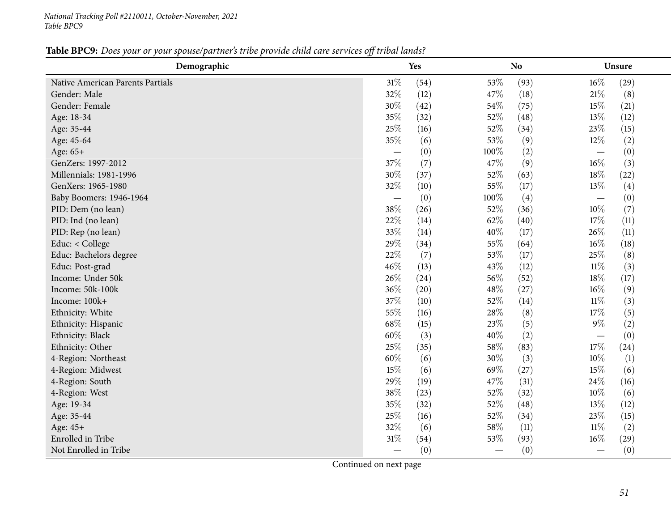#### Table BPC9: Does your or your spouse/partner's tribe provide child care services off tribal lands?

| Demographic                      | Yes                      |      |      | N <sub>o</sub> |                                 | Unsure           |
|----------------------------------|--------------------------|------|------|----------------|---------------------------------|------------------|
| Native American Parents Partials | $31\%$                   | (54) | 53%  | (93)           | $16\%$                          | (29)             |
| Gender: Male                     | 32%                      | (12) | 47\% | (18)           | $21\%$                          | (8)              |
| Gender: Female                   | 30%                      | (42) | 54\% | (75)           | $15\%$                          | (21)             |
| Age: 18-34                       | 35%                      | (32) | 52%  | (48)           | 13%                             | (12)             |
| Age: 35-44                       | 25%                      | (16) | 52%  | (34)           | 23%                             | (15)             |
| Age: 45-64                       | 35%                      | (6)  | 53%  | (9)            | $12\%$                          | (2)              |
| Age: 65+                         | $\overline{\phantom{m}}$ | (0)  | 100% | (2)            | $\overline{\phantom{m}}$        | (0)              |
| GenZers: 1997-2012               | 37%                      | (7)  | 47%  | (9)            | $16\%$                          | (3)              |
| Millennials: 1981-1996           | 30%                      | (37) | 52%  | (63)           | 18%                             | (22)             |
| GenXers: 1965-1980               | 32%                      | (10) | 55%  | (17)           | 13%                             | (4)              |
| Baby Boomers: 1946-1964          |                          | (0)  | 100% | (4)            | $\overbrace{\phantom{1232211}}$ | (0)              |
| PID: Dem (no lean)               | 38%                      | (26) | 52%  | (36)           | $10\%$                          | (7)              |
| PID: Ind (no lean)               | 22%                      | (14) | 62%  | (40)           | 17%                             | (11)             |
| PID: Rep (no lean)               | 33%                      | (14) | 40%  | (17)           | 26%                             | (11)             |
| Educ: < College                  | 29%                      | (34) | 55%  | (64)           | $16\%$                          | (18)             |
| Educ: Bachelors degree           | 22%                      | (7)  | 53%  | (17)           | 25%                             | (8)              |
| Educ: Post-grad                  | 46%                      | (13) | 43%  | (12)           | $11\%$                          | (3)              |
| Income: Under 50k                | 26%                      | (24) | 56%  | (52)           | 18%                             | (17)             |
| Income: 50k-100k                 | 36%                      | (20) | 48\% | (27)           | $16\%$                          | (9)              |
| Income: 100k+                    | 37%                      | (10) | 52%  | (14)           | $11\%$                          | (3)              |
| Ethnicity: White                 | 55%                      | (16) | 28%  | (8)            | 17%                             | (5)              |
| Ethnicity: Hispanic              | 68%                      | (15) | 23%  | (5)            | $9\%$                           | (2)              |
| Ethnicity: Black                 | 60%                      | (3)  | 40%  | (2)            | $\overline{\phantom{m}}$        | (0)              |
| Ethnicity: Other                 | 25%                      | (35) | 58%  | (83)           | 17%                             | (24)             |
| 4-Region: Northeast              | 60%                      | (6)  | 30%  | (3)            | 10%                             | $\left(1\right)$ |
| 4-Region: Midwest                | 15%                      | (6)  | 69%  | (27)           | $15\%$                          | (6)              |
| 4-Region: South                  | 29%                      | (19) | 47%  | (31)           | 24\%                            | (16)             |
| 4-Region: West                   | 38\%                     | (23) | 52%  | (32)           | $10\%$                          | (6)              |
| Age: 19-34                       | 35%                      | (32) | 52%  | (48)           | 13%                             | (12)             |
| Age: 35-44                       | 25%                      | (16) | 52%  | (34)           | 23%                             | (15)             |
| Age: 45+                         | 32%                      | (6)  | 58%  | (11)           | $11\%$                          | (2)              |
| Enrolled in Tribe                | 31%                      | (54) | 53%  | (93)           | $16\%$                          | (29)             |
| Not Enrolled in Tribe            |                          | (0)  |      | (0)            |                                 | (0)              |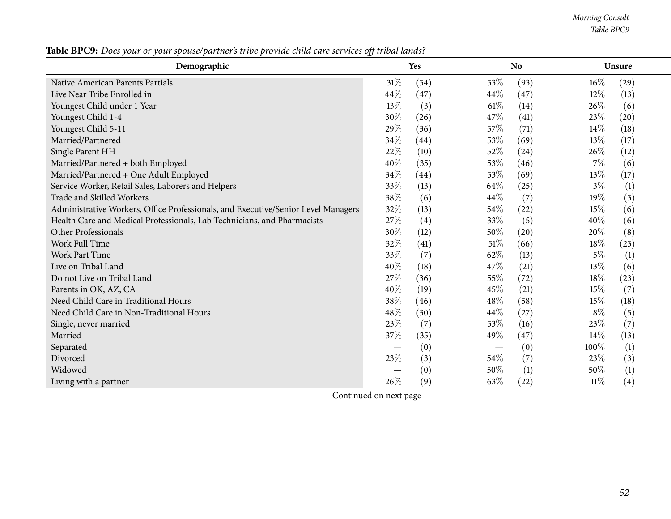*Morning Consult Table BPC9*

Table BPC9: Does your or your spouse/partner's tribe provide child care services off tribal lands?

| Demographic                                                                       |        | <b>Yes</b> |        | N <sub>o</sub> |        | <b>Unsure</b>    |  |
|-----------------------------------------------------------------------------------|--------|------------|--------|----------------|--------|------------------|--|
| Native American Parents Partials                                                  | $31\%$ | (54)       | 53%    | (93)           | $16\%$ | (29)             |  |
| Live Near Tribe Enrolled in                                                       | 44\%   | (47)       | $44\%$ | (47)           | $12\%$ | (13)             |  |
| Youngest Child under 1 Year                                                       | 13\%   | (3)        | $61\%$ | (14)           | $26\%$ | (6)              |  |
| Youngest Child 1-4                                                                | 30%    | (26)       | 47%    | (41)           | 23%    | (20)             |  |
| Youngest Child 5-11                                                               | 29%    | (36)       | 57%    | (71)           | 14%    | (18)             |  |
| Married/Partnered                                                                 | 34%    | (44)       | 53%    | (69)           | 13%    | (17)             |  |
| Single Parent HH                                                                  | 22%    | (10)       | 52%    | (24)           | 26%    | (12)             |  |
| Married/Partnered + both Employed                                                 | 40%    | (35)       | 53%    | (46)           | $7\%$  | (6)              |  |
| Married/Partnered + One Adult Employed                                            | 34\%   | (44)       | 53\%   | (69)           | 13%    | (17)             |  |
| Service Worker, Retail Sales, Laborers and Helpers                                | 33\%   | (13)       | 64\%   | (25)           | $3\%$  | $\left(1\right)$ |  |
| Trade and Skilled Workers                                                         | 38%    | (6)        | 44\%   | (7)            | 19%    | (3)              |  |
| Administrative Workers, Office Professionals, and Executive/Senior Level Managers | 32%    | (13)       | 54\%   | (22)           | 15%    | (6)              |  |
| Health Care and Medical Professionals, Lab Technicians, and Pharmacists           | 27\%   | (4)        | 33%    | (5)            | 40%    | (6)              |  |
| Other Professionals                                                               | 30%    | (12)       | 50\%   | (20)           | 20%    | (8)              |  |
| Work Full Time                                                                    | 32%    | (41)       | $51\%$ | (66)           | 18%    | (23)             |  |
| <b>Work Part Time</b>                                                             | 33%    | (7)        | 62\%   | (13)           | $5\%$  | $\left(1\right)$ |  |
| Live on Tribal Land                                                               | 40%    | (18)       | 47\%   | (21)           | 13%    | (6)              |  |
| Do not Live on Tribal Land                                                        | 27%    | (36)       | 55%    | (72)           | 18%    | (23)             |  |
| Parents in OK, AZ, CA                                                             | 40%    | (19)       | 45%    | (21)           | $15\%$ | (7)              |  |
| Need Child Care in Traditional Hours                                              | 38%    | (46)       | 48%    | (58)           | 15%    | (18)             |  |
| Need Child Care in Non-Traditional Hours                                          | 48%    | (30)       | 44\%   | (27)           | $8\%$  | (5)              |  |
| Single, never married                                                             | 23%    | (7)        | 53%    | (16)           | 23%    | (7)              |  |
| Married                                                                           | 37\%   | (35)       | 49%    | (47)           | 14%    | (13)             |  |
| Separated                                                                         |        | (0)        |        | (0)            | 100%   | $\left(1\right)$ |  |
| Divorced                                                                          | 23\%   | (3)        | $54\%$ | (7)            | 23\%   | (3)              |  |
| Widowed                                                                           |        | (0)        | 50%    | (1)            | 50%    | (1)              |  |
| Living with a partner                                                             | 26%    | (9)        | 63%    | (22)           | $11\%$ | (4)              |  |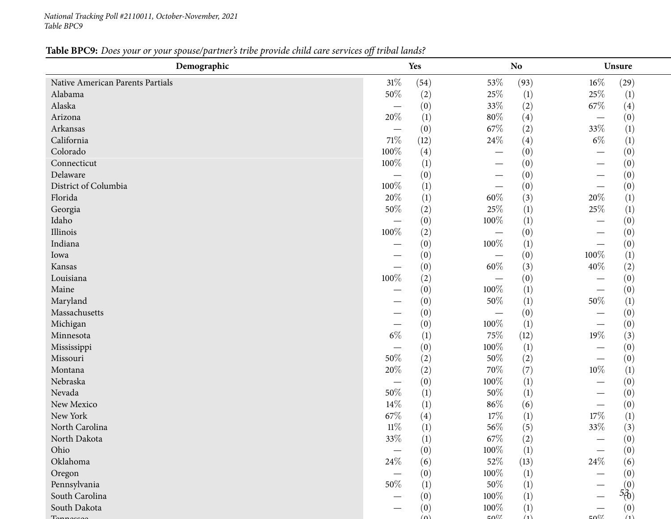# Table BPC9: Does your or your spouse/partner's tribe provide child care services off tribal lands?

| Demographic                      |                                  | Yes      |           | <b>No</b>        | Unsure                          |
|----------------------------------|----------------------------------|----------|-----------|------------------|---------------------------------|
| Native American Parents Partials | $31\%$                           | (54)     | $53\%$    | (93)             | $16\%$<br>(29)                  |
| Alabama                          | 50%                              | (2)      | 25%       | $\left(1\right)$ | 25%<br>$\left(1\right)$         |
| Alaska                           | $\overline{\phantom{0}}$         | (0)      | 33%       | (2)              | 67\%<br>(4)                     |
| Arizona                          | 20%                              | (1)      | $80\%$    | (4)              | (0)                             |
| Arkansas                         |                                  | (0)      | 67\%      | (2)              | 33%<br>$\left(1\right)$         |
| California                       | $71\%$                           | (12)     | 24%       | (4)              | $6\%$<br>$\left(1\right)$       |
| Colorado                         | 100%                             | (4)      |           | (0)              | (0)                             |
| Connecticut                      | 100%                             | (1)      |           | (0)              | (0)                             |
| Delaware                         | $\overbrace{\phantom{12322111}}$ | (0)      |           | (0)              | (0)                             |
| District of Columbia             | 100%                             | (1)      |           | (0)              | (0)                             |
| Florida                          | 20%                              | (1)      | $60\%$    | (3)              | 20%<br>(1)                      |
| Georgia                          | 50%                              | (2)      | 25%       | (1)              | $25\%$<br>$\left(1\right)$      |
| Idaho                            | $\overline{\phantom{0}}$         | (0)      | 100%      | (1)              | (0)                             |
| Illinois                         | 100%                             | (2)      |           | (0)              | (0)                             |
| Indiana                          |                                  | (0)      | 100%      | (1)              | (0)                             |
| Iowa                             |                                  | (0)      |           | (0)              | 100%<br>$\left(1\right)$        |
| Kansas                           |                                  | (0)      | $60\%$    | (3)              | 40%<br>(2)                      |
| Louisiana                        | 100%                             | (2)      |           | (0)              | (0)                             |
| Maine                            |                                  | (0)      | 100%      | (1)              | (0)                             |
| Maryland                         |                                  | (0)      | 50%       | (1)              | 50%<br>$\left(1\right)$         |
| Massachusetts                    |                                  | (0)      |           | (0)              | (0)                             |
| Michigan                         |                                  | (0)      | 100%      | (1)              | (0)<br>$\overline{\phantom{0}}$ |
| Minnesota                        | $6\%$                            | (1)      | 75%       | (12)             | 19%<br>(3)                      |
| Mississippi                      |                                  | (0)      | 100%      | (1)              | (0)                             |
| Missouri                         | 50%                              | (2)      | 50%       | (2)              | (0)<br>—                        |
| Montana                          | $20\%$                           | (2)      | 70%       | (7)              | $10\%$<br>$\left(1\right)$      |
| Nebraska                         |                                  | (0)      | 100%      | (1)              | (0)                             |
| Nevada                           | $50\%$                           | (1)      | 50%       | (1)              | (0)<br>—                        |
| New Mexico                       | 14%                              | (1)      | 86%       | (6)              | (0)<br>—                        |
| New York                         | 67\%                             | (4)      | 17%       | (1)              | $17\%$<br>(1)                   |
| North Carolina                   | $11\%$                           | (1)      | 56%       | (5)              | (3)<br>33%                      |
| North Dakota                     | 33\%                             | (1)      | $67\%$    | (2)              | (0)                             |
| Ohio                             |                                  | (0)      | 100%      | (1)              | (0)                             |
| Oklahoma                         | 24\%                             | (6)      | 52%       | (13)             | 24\%<br>(6)                     |
| Oregon                           |                                  | (0)      | 100%      | (1)              | (0)                             |
| Pennsylvania                     | 50%                              | (1)      | 50%       | (1)              |                                 |
| South Carolina                   |                                  | (0)      | 100%      | (1)              | $5^{(0)}_{(0)}$                 |
| South Dakota                     |                                  | (0)      | 100%      | (1)              | (0)                             |
|                                  |                                  | $\omega$ | $E\Omega$ | (1)              | (1)<br>$\mathcal{L}00$          |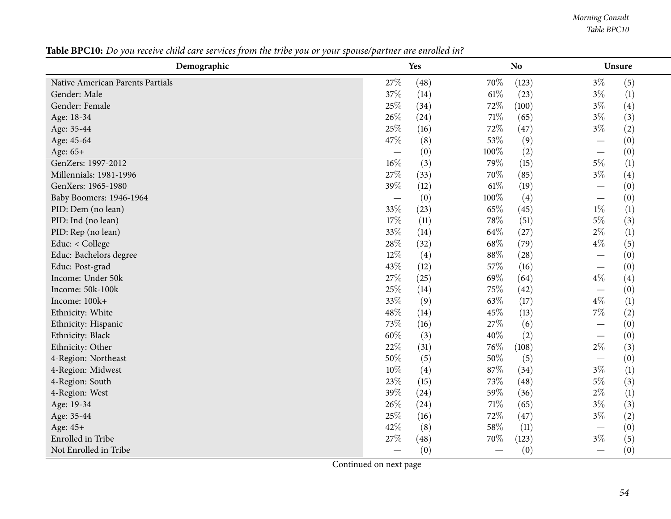*Morning Consult Table BPC10*

| Demographic                      | Yes    |      | <b>No</b> |       | Unsure                          |
|----------------------------------|--------|------|-----------|-------|---------------------------------|
| Native American Parents Partials | 27\%   | (48) | 70%       | (123) | $3\%$<br>(5)                    |
| Gender: Male                     | 37%    | (14) | $61\%$    | (23)  | $3\%$<br>(1)                    |
| Gender: Female                   | 25%    | (34) | 72%       | (100) | $3\%$<br>(4)                    |
| Age: 18-34                       | 26%    | (24) | 71\%      | (65)  | $3\%$<br>(3)                    |
| Age: 35-44                       | 25%    | (16) | 72%       | (47)  | (2)<br>$3\%$                    |
| Age: 45-64                       | 47%    | (8)  | 53%       | (9)   | (0)                             |
| Age: 65+                         |        | (0)  | 100%      | (2)   | (0)                             |
| GenZers: 1997-2012               | $16\%$ | (3)  | 79%       | (15)  | $5\%$<br>(1)                    |
| Millennials: 1981-1996           | 27%    | (33) | 70%       | (85)  | $3\%$<br>(4)                    |
| GenXers: 1965-1980               | 39%    | (12) | $61\%$    | (19)  | (0)                             |
| Baby Boomers: 1946-1964          |        | (0)  | 100%      | (4)   | (0)<br>—                        |
| PID: Dem (no lean)               | 33%    | (23) | 65%       | (45)  | $1\%$<br>(1)                    |
| PID: Ind (no lean)               | 17%    | (11) | 78%       | (51)  | (3)<br>$5\%$                    |
| PID: Rep (no lean)               | 33%    | (14) | 64\%      | (27)  | $2\%$<br>$\left(1\right)$       |
| Educ: < College                  | 28\%   | (32) | 68\%      | (79)  | $4\%$<br>(5)                    |
| Educ: Bachelors degree           | 12%    | (4)  | 88%       | (28)  | (0)<br>$\overline{\phantom{0}}$ |
| Educ: Post-grad                  | 43%    | (12) | 57%       | (16)  | (0)                             |
| Income: Under 50k                | 27%    | (25) | 69%       | (64)  | $4\%$<br>(4)                    |
| Income: 50k-100k                 | 25%    | (14) | 75%       | (42)  | (0)                             |
| Income: 100k+                    | 33%    | (9)  | 63%       | (17)  | (1)<br>$4\%$                    |
| Ethnicity: White                 | 48\%   | (14) | 45%       | (13)  | $7\%$<br>(2)                    |
| Ethnicity: Hispanic              | 73%    | (16) | 27%       | (6)   | (0)                             |
| Ethnicity: Black                 | 60%    | (3)  | 40%       | (2)   | (0)                             |
| Ethnicity: Other                 | 22%    | (31) | 76%       | (108) | $2\%$<br>(3)                    |
| 4-Region: Northeast              | 50%    | (5)  | 50%       | (5)   | (0)                             |
| 4-Region: Midwest                | 10%    | (4)  | 87%       | (34)  | $3\%$<br>(1)                    |
| 4-Region: South                  | 23%    | (15) | 73%       | (48)  | $5\%$<br>(3)                    |
| 4-Region: West                   | 39%    | (24) | 59%       | (36)  | $2\%$<br>(1)                    |
| Age: 19-34                       | 26%    | (24) | $71\%$    | (65)  | $3\%$<br>(3)                    |
| Age: 35-44                       | 25%    | (16) | 72%       | (47)  | $3\%$<br>(2)                    |
| Age: 45+                         | 42%    | (8)  | 58%       | (11)  | (0)                             |
| Enrolled in Tribe                | 27%    | (48) | 70%       | (123) | $3\%$<br>(5)                    |
| Not Enrolled in Tribe            |        | (0)  |           | (0)   | (0)                             |

Table BPC10: Do you receive child care services from the tribe you or your spouse/partner are enrolled in?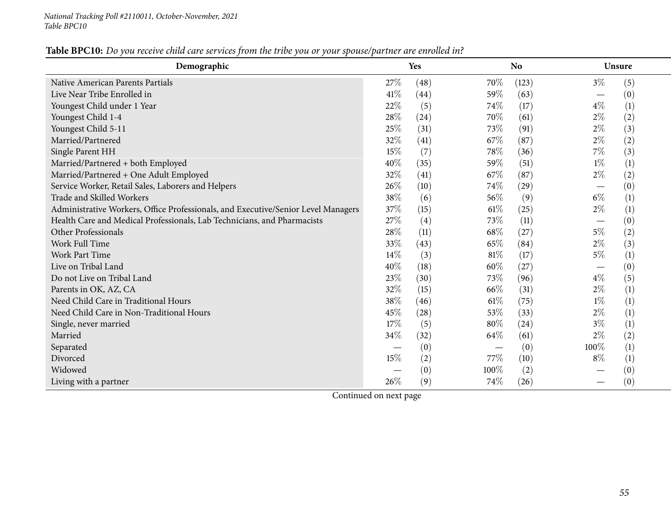| Demographic                                                                       | Yes  |      |      | N <sub>o</sub> |                               | <b>Unsure</b>    |  |
|-----------------------------------------------------------------------------------|------|------|------|----------------|-------------------------------|------------------|--|
| Native American Parents Partials                                                  | 27%  | (48) | 70%  | (123)          | $3\%$                         | (5)              |  |
| Live Near Tribe Enrolled in                                                       | 41\% | (44) | 59%  | (63)           | $\overbrace{\phantom{aaaaa}}$ | (0)              |  |
| Youngest Child under 1 Year                                                       | 22%  | (5)  | 74%  | (17)           | $4\%$                         | (1)              |  |
| Youngest Child 1-4                                                                | 28%  | (24) | 70%  | (61)           | $2\%$                         | (2)              |  |
| Youngest Child 5-11                                                               | 25%  | (31) | 73%  | (91)           | $2\%$                         | (3)              |  |
| Married/Partnered                                                                 | 32%  | (41) | 67\% | (87)           | $2\%$                         | (2)              |  |
| Single Parent HH                                                                  | 15%  | (7)  | 78%  | (36)           | $7\%$                         | (3)              |  |
| Married/Partnered + both Employed                                                 | 40%  | (35) | 59%  | (51)           | $1\%$                         | (1)              |  |
| Married/Partnered + One Adult Employed                                            | 32%  | (41) | 67%  | (87)           | $2\%$                         | (2)              |  |
| Service Worker, Retail Sales, Laborers and Helpers                                | 26%  | (10) | 74%  | (29)           |                               | (0)              |  |
| Trade and Skilled Workers                                                         | 38%  | (6)  | 56%  | (9)            | $6\%$                         | (1)              |  |
| Administrative Workers, Office Professionals, and Executive/Senior Level Managers | 37%  | (15) | 61%  | (25)           | $2\%$                         | (1)              |  |
| Health Care and Medical Professionals, Lab Technicians, and Pharmacists           | 27%  | (4)  | 73%  | (11)           | $\overbrace{\phantom{aaaaa}}$ | (0)              |  |
| Other Professionals                                                               | 28%  | (11) | 68%  | (27)           | $5\%$                         | (2)              |  |
| <b>Work Full Time</b>                                                             | 33%  | (43) | 65%  | (84)           | $2\%$                         | (3)              |  |
| <b>Work Part Time</b>                                                             | 14%  | (3)  | 81%  | (17)           | $5\%$                         | (1)              |  |
| Live on Tribal Land                                                               | 40%  | (18) | 60%  | (27)           |                               | (0)              |  |
| Do not Live on Tribal Land                                                        | 23\% | (30) | 73%  | (96)           | $4\%$                         | (5)              |  |
| Parents in OK, AZ, CA                                                             | 32%  | (15) | 66%  | (31)           | $2\%$                         | (1)              |  |
| Need Child Care in Traditional Hours                                              | 38%  | (46) | 61\% | (75)           | $1\%$                         | (1)              |  |
| Need Child Care in Non-Traditional Hours                                          | 45%  | (28) | 53%  | (33)           | $2\%$                         | (1)              |  |
| Single, never married                                                             | 17%  | (5)  | 80%  | (24)           | $3\%$                         | (1)              |  |
| Married                                                                           | 34\% | (32) | 64\% | (61)           | $2\%$                         | (2)              |  |
| Separated                                                                         |      | (0)  |      | (0)            | 100%                          | (1)              |  |
| Divorced                                                                          | 15%  | (2)  | 77\% | (10)           | $8\%$                         | $\left(1\right)$ |  |
| Widowed                                                                           |      | (0)  | 100% | (2)            |                               | (0)              |  |
| Living with a partner                                                             | 26%  | (9)  | 74%  | (26)           |                               | (0)              |  |

# Table BPC10: Do you receive child care services from the tribe you or your spouse/partner are enrolled in?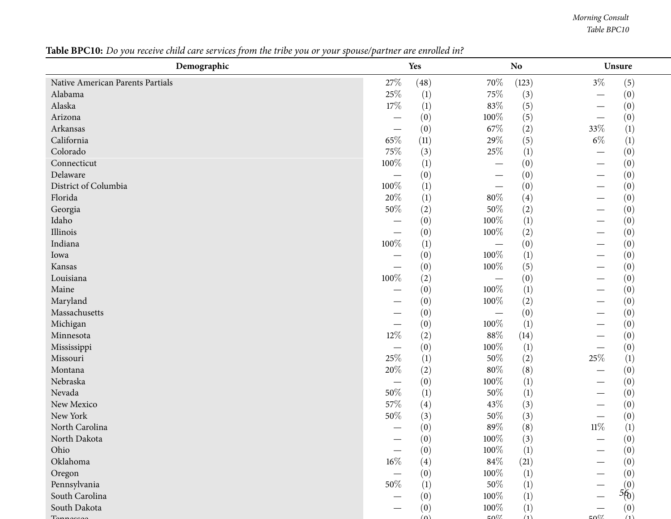*Morning Consult Table BPC10*

#### $\begin{array}{cc} - & 0 \\ - & 56 \end{array}$ **Demographic Yes NoNo Unsure** Native American Parents Partials  $\begin{array}{cccc} 27\% & (48) & 70\% & (123) & 3\% & (5) \\ 48\end{array}$ Alabamaa and  $25\%$  (1)  $75\%$  (3)  $-$  (0)  $(0)$ Alaskaa and  $17\%$  (1)  $83\%$  (5)  $-$  (0)  $(0)$ Arizona $\overline{a}$  and  $\overline{b}$  and  $\overline{c}$  and  $\overline{c}$  and  $\overline{c}$  and  $\overline{c}$  and  $\overline{c}$  and  $\overline{c}$  and  $\overline{c}$  and  $\overline{c}$  and  $\overline{c}$  and  $\overline{c}$  and  $\overline{c}$  and  $\overline{c}$  and  $\overline{c}$  and  $\overline{c}$  and  $\overline{c}$  and  $-$  (0)  $100\%$  (5)  $-$  (0)<br>(0)  $\epsilon 70^\circ$  (2)  $320^\circ$  (1) Arkansas $\overline{\phantom{a}}$  $-$  (0) 67% (2) 33% (1)<br>  $-$  (1) 300% (5) 33% (1) Californiaa a  $65\%$  (11)  $29\%$  (5)  $6\%$  (1) Colorado**0** 25% (3)  $25\%$  (1)  $-$  (0)  $(0)$ Connecticutt the contract of the contract of the contract of the contract of the contract of the contract of the contract of the contract of the contract of the contract of the contract of the contract of the contract of the contrac  $\frac{1}{\sqrt{2}}$   $\frac{1}{\sqrt{2}}$  $-$  (0)  $-$  (0)  $-$  (0) Delaware $\epsilon$  and  $\epsilon$  and  $\epsilon$  and  $\epsilon$  and  $\epsilon$  and  $\epsilon$  and  $\epsilon$  and  $\epsilon$  and  $\epsilon$  and  $\epsilon$  and  $\epsilon$  and  $\epsilon$  and  $\epsilon$  and  $\epsilon$  and  $\epsilon$  and  $\epsilon$  and  $\epsilon$  and  $\epsilon$  and  $\epsilon$  and  $\epsilon$  and  $\epsilon$  and  $\epsilon$  and  $\epsilon$  and  $\epsilon$  and  $\epsilon$   $\begin{array}{cccc} - & (0) & - & (0) & - & (0) \\ \frac{07}{2} & (1) & (1) & (0) & (0) \end{array}$ District of Columbia  $100\%$  (1)  $\begin{array}{cccc} - & (0) & - & (0) \\ \frac{07}{2} & (4) & (1) & (0) \end{array}$ Floridaa and  $20\%$  (1) and  $80\%$  (4) and  $80\%$  (4) and  $-$  (0)  $(0)$ Georgiaa  $50\%$  (2)  $50\%$  (2)  $-$  (0)  $(0)$ Idaho — $-$  (0)  $100\%$  (1)  $-$  (0)  $(0)$  100% (2)  $-$  (0) Illinois $\sim$   $\begin{array}{cccc} - & (0) & 100\% & (2) & - & (0) \\ \frac{07}{2} & (1) & (0) & (0) & (0) \end{array}$ Indianaa and  $100\%$  (1)  $\begin{array}{cccc} - & (0) & - & (0) \\ \frac{07}{2} & (1) & (0) \end{array}$ Iowa $\overline{a}$  and  $\overline{b}$  and  $\overline{c}$  and  $\overline{a}$  and  $\overline{a}$  and  $\overline{a}$  and  $\overline{a}$  and  $\overline{a}$  and  $\overline{a}$  and  $\overline{a}$  and  $\overline{a}$  and  $\overline{a}$  and  $\overline{a}$  and  $\overline{a}$  and  $\overline{a}$  and  $\overline{a}$  and  $\overline{a}$  and  $-$  (0)  $100\%$  (1)  $-$  (0)  $(0)$  100<sup>07</sup> (5)  $-$  (0) Kansas $\sim$   $\begin{array}{cccc} - & (0) & 100\% & (5) & - & (0) \\ \frac{67}{2} & (2) & (0) & (0) & 0 \end{array}$ Louisianaa and  $100\%$  (2)  $\begin{array}{cccc} - & (0) & - & (0) \\ \frac{07}{2} & (1) & (0) \end{array}$ Maine $\mathcal{L}$  and  $\mathcal{L}$  and  $\mathcal{L}$  and  $\mathcal{L}$  and  $\mathcal{L}$  and  $\mathcal{L}$  and  $\mathcal{L}$  and  $\mathcal{L}$  and  $\mathcal{L}$  and  $\mathcal{L}$  and  $\mathcal{L}$  and  $\mathcal{L}$  and  $\mathcal{L}$  and  $\mathcal{L}$  and  $\mathcal{L}$  and  $\mathcal{L}$  and  $\mathcal{L}$  and  $-$  (0)  $100\%$  (1)  $-$  (0)  $(0)$  100<sup>07</sup> (2)  $-$  (0) Maryland $\mathbf{u}$  and  $\mathbf{v}$  and  $\mathbf{v}$  and  $\mathbf{v}$  and  $\mathbf{v}$  and  $\mathbf{v}$  and  $\mathbf{v}$  and  $\mathbf{v}$  and  $\mathbf{v}$  $-$  (0)  $100\%$  (2)  $-$  (0)  $(0)$ Massachusetts $\sim$   $-$  (0)  $-$  (0)  $-$  (0)  $-$  (0) Michigan $\overline{ }$   $\overline{ }$   $\overline{ }$   $\overline{ }$   $\overline{ }$   $\overline{ }$   $\overline{ }$   $\overline{ }$   $\overline{ }$   $\overline{ }$   $\overline{ }$   $\overline{ }$   $\overline{ }$   $\overline{ }$   $\overline{ }$   $\overline{ }$   $\overline{ }$   $\overline{ }$   $\overline{ }$   $\overline{ }$   $\overline{ }$   $\overline{ }$   $\overline{ }$   $\overline{ }$   $\overline{ }$   $\overline{ }$   $\overline{ }$   $\overline{$  $\begin{array}{cccc} - & (0) & 100\% & (1) & - & (0) \\ \frac{07}{2} & (2) & 0.0\% & (14) & (11) \end{array}$ Minnesotaa a  $12\%$  (2)  $88\%$  (14)  $-$  (0)  $(0)$ Mississippi $\overline{1}$  and  $\overline{1}$  and  $\overline{1}$  and  $\overline{1}$  and  $\overline{1}$  and  $\overline{1}$  and  $\overline{1}$  and  $\overline{1}$  and  $\overline{1}$  and  $\overline{1}$  and  $\overline{1}$  and  $\overline{1}$  and  $\overline{1}$  and  $\overline{1}$  and  $\overline{1}$  and  $\overline{1}$  and  $\overline{1}$  and  $\begin{array}{cccc} - & (0) & 100\% & (1) & - & (0) \\ \frac{67}{2} & (1) & 50\% & (2) & 25\% & (1) \end{array}$ Missourii 25% (1)  $50\%$  (2)  $25\%$  (1) Montanaa and  $20\%$  (2) and  $80\%$  (8) and  $80\%$  (8) and  $-$  (0)  $(0)$ Nebraska $\overline{a}$  and  $\overline{a}$  and  $\overline{a}$  and  $\overline{a}$  and  $\overline{a}$  and  $\overline{a}$  and  $\overline{a}$  and  $\overline{a}$  and  $\overline{a}$  and  $\overline{a}$  and  $\overline{a}$  and  $\overline{a}$  and  $\overline{a}$  and  $\overline{a}$  and  $\overline{a}$  and  $\overline{a}$  and  $\overline{a}$  and  $\begin{array}{cccc} - & (0) & 100\% & (1) & - & (0) \\ \frac{07}{2} & (1) & 50\% & (1) & (0) \end{array}$ Nevadaa  $50\%$  (1)  $50\%$  (1)  $-$  (0)  $(0)$ New Mexico**o**  $57\%$  (4)  $43\%$  (3)  $-$  (0)  $(0)$ New Yorkk  $50\%$  (3)  $50\%$  (3)  $\frac{1}{\alpha}$  (0) North Carolina — $-$  (0) 89% (8) 11% (1) 99% (8) North Dakota — $-$  (0)  $100\%$  (3)  $-$  (0)  $(0)$   $100\%$  (1)  $(0)$ Ohio — $\begin{array}{cccc} - & (0) & 100\% & (1) & - & (0) \\ \frac{67}{2} & (4) & 84\% & (21) & (0) \end{array}$ Oklahomaa a  $16\%$  (4)  $84\%$  (21)  $-$  (0)  $(0)$ Oregon $\frac{1}{2}$  $\begin{array}{cccc} - & (0) & 100\% & (1) & - & (0) \\ \frac{07}{2} & (1) & 50\% & (1) & (0) \end{array}$ Pennsylvaniaa  $50\%$  (1)  $50\%$  (1)  $-$ South Carolina — $-$  (0)  $100\%$  (1)  $2(0)$  (0) South Dakota — $-$  (0)  $100\%$  (1)  $-$  (0)  $100\%$  (1)  $-$  (0)  $T$ ennessee  $(0)$   $50\%$   $(1)$   $50\%$   $(1)$

Table BPC10: Do you receive child care services from the tribe you or your spouse/partner are enrolled in?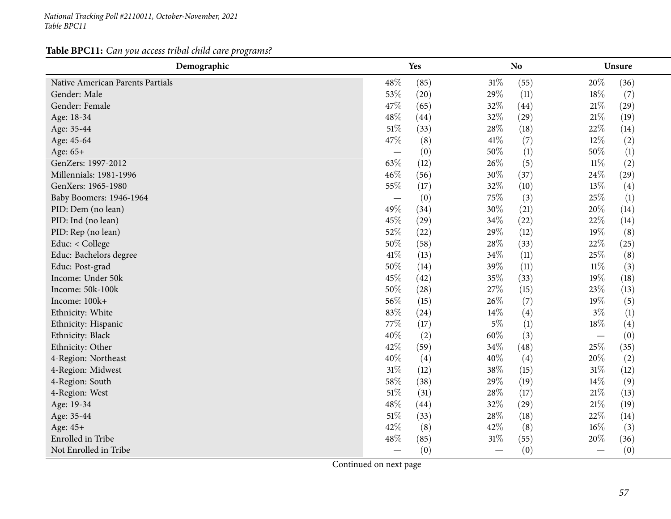**Table BPC11:** *Can you access tribal child care programs?*

| Demographic                      | <b>Yes</b>               |      |        | <b>No</b> | Unsure                          |
|----------------------------------|--------------------------|------|--------|-----------|---------------------------------|
| Native American Parents Partials | 48%                      | (85) | 31%    | (55)      | 20%<br>(36)                     |
| Gender: Male                     | 53%                      | (20) | 29%    | (11)      | $18\%$<br>(7)                   |
| Gender: Female                   | 47%                      | (65) | 32%    | (44)      | $21\%$<br>(29)                  |
| Age: 18-34                       | 48%                      | (44) | 32%    | (29)      | $21\%$<br>(19)                  |
| Age: 35-44                       | 51%                      | (33) | 28\%   | (18)      | 22%<br>(14)                     |
| Age: 45-64                       | 47%                      | (8)  | 41\%   | (7)       | (2)<br>$12\%$                   |
| Age: 65+                         | $\overline{\phantom{m}}$ | (0)  | 50%    | (1)       | 50%<br>$\left(1\right)$         |
| GenZers: 1997-2012               | 63%                      | (12) | 26%    | (5)       | $11\%$<br>(2)                   |
| Millennials: 1981-1996           | 46%                      | (56) | 30%    | (37)      | 24\%<br>(29)                    |
| GenXers: 1965-1980               | 55%                      | (17) | 32%    | (10)      | 13%<br>(4)                      |
| Baby Boomers: 1946-1964          | $\overline{\phantom{m}}$ | (0)  | 75%    | (3)       | 25%<br>(1)                      |
| PID: Dem (no lean)               | 49%                      | (34) | 30%    | (21)      | 20%<br>(14)                     |
| PID: Ind (no lean)               | 45%                      | (29) | 34%    | (22)      | 22%<br>(14)                     |
| PID: Rep (no lean)               | 52%                      | (22) | 29%    | (12)      | 19%<br>(8)                      |
| Educ: < College                  | 50%                      | (58) | 28%    | (33)      | 22%<br>(25)                     |
| Educ: Bachelors degree           | 41\%                     | (13) | 34%    | (11)      | 25%<br>(8)                      |
| Educ: Post-grad                  | 50%                      | (14) | 39%    | (11)      | $11\%$<br>(3)                   |
| Income: Under 50k                | 45%                      | (42) | 35%    | (33)      | 19%<br>(18)                     |
| Income: 50k-100k                 | 50%                      | (28) | $27\%$ | (15)      | 23%<br>(13)                     |
| Income: 100k+                    | 56%                      | (15) | 26%    | (7)       | 19%<br>(5)                      |
| Ethnicity: White                 | 83%                      | (24) | $14\%$ | (4)       | (1)<br>$3\%$                    |
| Ethnicity: Hispanic              | 77%                      | (17) | $5\%$  | (1)       | $18\%$<br>(4)                   |
| Ethnicity: Black                 | 40%                      | (2)  | $60\%$ | (3)       | (0)<br>$\overline{\phantom{m}}$ |
| Ethnicity: Other                 | 42%                      | (59) | 34%    | (48)      | 25%<br>(35)                     |
| 4-Region: Northeast              | 40%                      | (4)  | 40%    | (4)       | 20%<br>(2)                      |
| 4-Region: Midwest                | 31%                      | (12) | 38%    | (15)      | $31\%$<br>(12)                  |
| 4-Region: South                  | 58%                      | (38) | 29%    | (19)      | $14\%$<br>(9)                   |
| 4-Region: West                   | 51%                      | (31) | 28\%   | (17)      | $21\%$<br>(13)                  |
| Age: 19-34                       | 48%                      | (44) | 32%    | (29)      | $21\%$<br>(19)                  |
| Age: 35-44                       | 51%                      | (33) | 28%    | (18)      | 22\%<br>(14)                    |
| Age: 45+                         | 42%                      | (8)  | 42%    | (8)       | $16\%$<br>(3)                   |
| Enrolled in Tribe                | 48%                      | (85) | 31%    | (55)      | 20%<br>(36)                     |
| Not Enrolled in Tribe            |                          | (0)  |        | (0)       | (0)                             |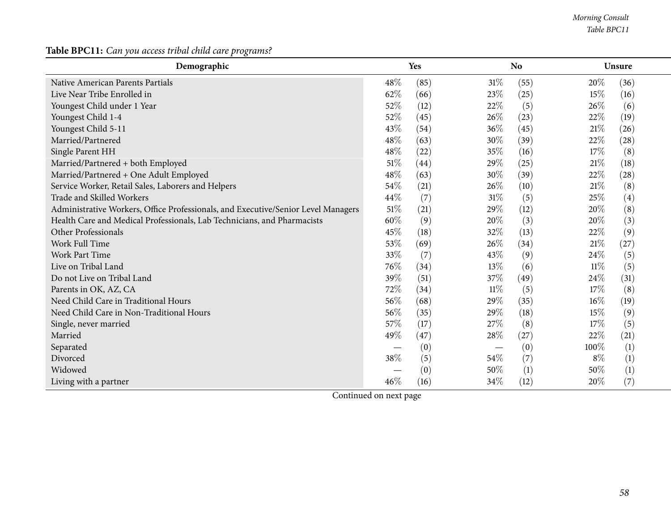*Morning Consult Table BPC11*

**Table BPC11:** *Can you access tribal child care programs?*

| Demographic                                                                       | Yes    |                | <b>No</b> | Unsure         |      |
|-----------------------------------------------------------------------------------|--------|----------------|-----------|----------------|------|
| Native American Parents Partials                                                  | 48%    | (85)<br>$31\%$ | (55)      | 20\%<br>(36)   |      |
| Live Near Tribe Enrolled in                                                       | 62%    | 23\%<br>(66)   | (25)      | 15%            | (16) |
| Youngest Child under 1 Year                                                       | 52%    | (12)<br>22%    | (5)       | 26\%           | (6)  |
| Youngest Child 1-4                                                                | 52%    | (45)<br>26\%   | (23)      | 22%<br>(19)    |      |
| Youngest Child 5-11                                                               | 43\%   | 36%<br>(54)    | (45)      | $21\%$<br>(26) |      |
| Married/Partnered                                                                 | 48\%   | 30%<br>(63)    | (39)      | 22%<br>(28)    |      |
| Single Parent HH                                                                  | 48\%   | (22)<br>35%    | (16)      | 17%            | (8)  |
| Married/Partnered + both Employed                                                 | 51%    | 29%<br>(44)    | (25)      | $21\%$<br>(18) |      |
| Married/Partnered + One Adult Employed                                            | 48\%   | 30%<br>(63)    | (39)      | 22\%<br>(28)   |      |
| Service Worker, Retail Sales, Laborers and Helpers                                | 54%    | (21)<br>26\%   | (10)      | 21%            | (8)  |
| Trade and Skilled Workers                                                         | 44\%   | (7)<br>$31\%$  | (5)       | 25\%           | (4)  |
| Administrative Workers, Office Professionals, and Executive/Senior Level Managers | $51\%$ | 29%<br>(21)    | (12)      | 20%            | (8)  |
| Health Care and Medical Professionals, Lab Technicians, and Pharmacists           | 60%    | 20%<br>(9)     | (3)       | 20%            | (3)  |
| Other Professionals                                                               | 45%    | 32%<br>(18)    | (13)      | 22\%           | (9)  |
| Work Full Time                                                                    | 53%    | 26\%<br>(69)   | (34)      | $21\%$<br>(27) |      |
| <b>Work Part Time</b>                                                             | 33%    | (7)<br>43\%    | (9)       | 24\%           | (5)  |
| Live on Tribal Land                                                               | 76%    | 13%<br>(34)    | (6)       | $11\%$         | (5)  |
| Do not Live on Tribal Land                                                        | 39%    | 37%<br>(51)    | (49)      | 24%<br>(31)    |      |
| Parents in OK, AZ, CA                                                             | 72%    | $11\%$<br>(34) | (5)       | 17\%           | (8)  |
| Need Child Care in Traditional Hours                                              | 56%    | 29%<br>(68)    | (35)      | $16\%$<br>(19) |      |
| Need Child Care in Non-Traditional Hours                                          | 56%    | 29%<br>(35)    | (18)      | 15%            | (9)  |
| Single, never married                                                             | 57%    | 27%<br>(17)    | (8)       | 17%            | (5)  |
| Married                                                                           | 49%    | 28\%<br>(47)   | (27)      | 22\%<br>(21)   |      |
| Separated                                                                         |        | (0)            | (0)       | 100%           | (1)  |
| Divorced                                                                          | 38%    | (5)<br>$54\%$  | (7)       | $8\%$          | (1)  |
| Widowed                                                                           |        | (0)<br>50%     | (1)       | 50%            | (1)  |
| Living with a partner                                                             | 46%    | (16)<br>34\%   | (12)      | 20%            | (7)  |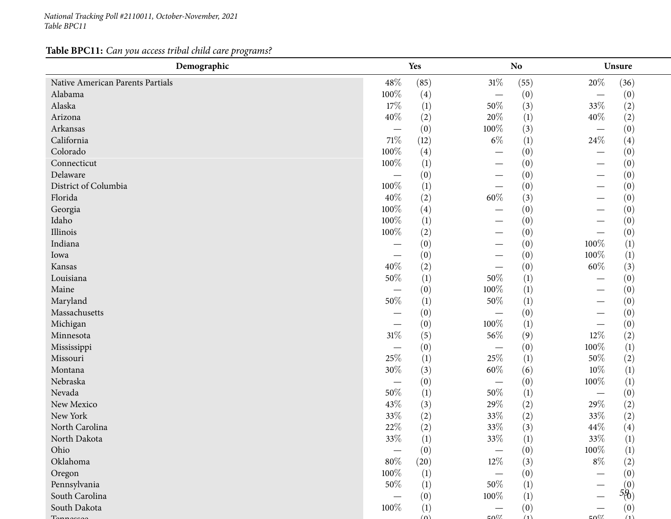*National Tracking Poll #2110011, October-November, <sup>2021</sup> Table BPC11*

**Table BPC11:** *Can you access tribal child care programs?*

| Demographic                      | Yes                              |                  |                          | N <sub>o</sub>   | Unsure                          |
|----------------------------------|----------------------------------|------------------|--------------------------|------------------|---------------------------------|
| Native American Parents Partials | 48\%                             | (85)             | $31\%$                   | (55)             | $20\%$<br>(36)                  |
| Alabama                          | 100%                             | (4)              |                          | (0)              | (0)<br>$\overline{\phantom{0}}$ |
| Alaska                           | 17%                              | (1)              | 50%                      | (3)              | (2)<br>33%                      |
| Arizona                          | 40%                              | (2)              | 20%                      | (1)              | 40\%<br>(2)                     |
| Arkansas                         |                                  | (0)              | 100%                     | (3)              | (0)<br>$\overline{\phantom{m}}$ |
| California                       | $71\%$                           | (12)             | $6\%$                    | (1)              | $24\%$<br>(4)                   |
| Colorado                         | 100%                             | (4)              |                          | (0)              | (0)                             |
| Connecticut                      | 100%                             | $\left(1\right)$ |                          | (0)              | (0)                             |
| Delaware                         |                                  | (0)              |                          | (0)              | (0)                             |
| District of Columbia             | 100%                             | (1)              |                          | (0)              | (0)                             |
| Florida                          | 40%                              | (2)              | $60\%$                   | (3)              | (0)                             |
| Georgia                          | 100%                             | (4)              |                          | (0)              | (0)                             |
| Idaho                            | 100%                             | (1)              |                          | (0)              | (0)                             |
| Illinois                         | 100%                             | (2)              |                          | (0)              | (0)                             |
| Indiana                          |                                  | (0)              | —                        | (0)              | (1)<br>100%                     |
| Iowa                             |                                  | (0)              |                          | (0)              | 100%<br>$\left(1\right)$        |
| Kansas                           | 40%                              | (2)              | $\overline{\phantom{0}}$ | (0)              | $60\%$<br>(3)                   |
| Louisiana                        | 50%                              | (1)              | 50%                      | (1)              | (0)                             |
| Maine                            |                                  | (0)              | 100%                     | (1)              | (0)                             |
| Maryland                         | 50%                              | (1)              | $50\%$                   | (1)              | (0)                             |
| Massachusetts                    |                                  | (0)              |                          | (0)              | (0)                             |
| Michigan                         |                                  | (0)              | $100\%$                  | (1)              | (0)                             |
| Minnesota                        | $31\%$                           | (5)              | 56\%                     | (9)              | $12\%$<br>(2)                   |
| Mississippi                      | $\overbrace{\phantom{12322111}}$ | (0)              |                          | (0)              | 100%<br>(1)                     |
| Missouri                         | 25%                              | (1)              | 25%                      | (1)              | 50%<br>(2)                      |
| Montana                          | 30%                              | (3)              | $60\%$                   | (6)              | (1)<br>$10\%$                   |
| Nebraska                         | $\overline{\phantom{m}}$         | (0)              |                          | (0)              | 100%<br>(1)                     |
| Nevada                           | 50%                              | (1)              | 50%                      | $\left(1\right)$ | (0)                             |
| New Mexico                       | 43%                              | (3)              | 29%                      | (2)              | 29%<br>(2)                      |
| New York                         | $33\%$                           | (2)              | 33%                      | (2)              | (2)<br>33%                      |
| North Carolina                   | $22\%$                           | (2)              | 33%                      | (3)              | 44\%<br>(4)                     |
| North Dakota                     | 33\%                             | (1)              | $33\%$                   | (1)              | 33\%<br>(1)                     |
| Ohio                             |                                  | (0)              |                          | (0)              | 100%<br>(1)                     |
| Oklahoma                         | $80\%$                           | (20)             | $12\%$                   | (3)              | (2)<br>$8\%$                    |
| Oregon                           | 100%                             | (1)              |                          | (0)              | (0)                             |
| Pennsylvania                     | 50%                              | (1)              | 50\%                     | (1)              |                                 |
| South Carolina                   |                                  | (0)              | 100%                     | (1)              | $5^{(0)}_{(0)}$                 |
| South Dakota                     | 100%                             | (1)              |                          | (0)              | (0)                             |
|                                  |                                  | $(\Omega)$       | $E\Omega$                | (1)              | (1)<br>$\sim 0$                 |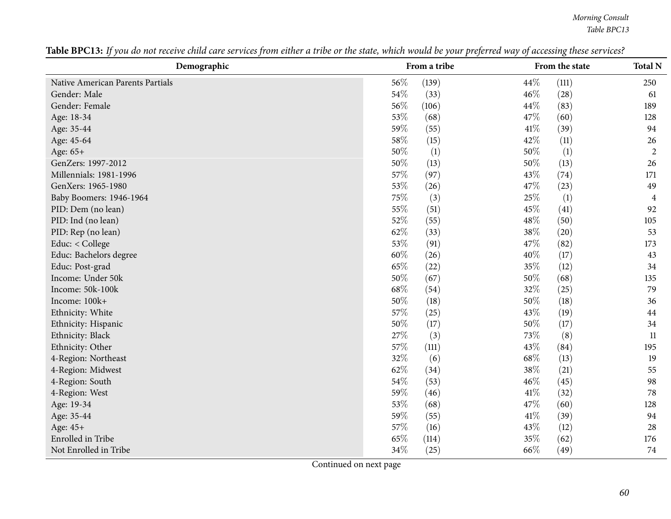*Morning Consult Table BPC13*

| Demographic                      | From a tribe |       |        | From the state | <b>Total N</b> |
|----------------------------------|--------------|-------|--------|----------------|----------------|
| Native American Parents Partials | 56%          | (139) | 44%    | (111)          | 250            |
| Gender: Male                     | 54\%         | (33)  | 46%    | (28)           | 61             |
| Gender: Female                   | 56%          | (106) | 44\%   | (83)           | 189            |
| Age: 18-34                       | 53%          | (68)  | 47%    | (60)           | 128            |
| Age: 35-44                       | 59%          | (55)  | 41\%   | (39)           | 94             |
| Age: 45-64                       | 58%          | (15)  | 42%    | (11)           | 26             |
| Age: 65+                         | 50%          | (1)   | 50%    | (1)            | $\overline{2}$ |
| GenZers: 1997-2012               | 50%          | (13)  | 50%    | (13)           | 26             |
| Millennials: 1981-1996           | 57%          | (97)  | 43%    | (74)           | 171            |
| GenXers: 1965-1980               | 53%          | (26)  | 47%    | (23)           | 49             |
| Baby Boomers: 1946-1964          | 75%          | (3)   | 25%    | (1)            | $\overline{4}$ |
| PID: Dem (no lean)               | 55%          | (51)  | 45%    | (41)           | 92             |
| PID: Ind (no lean)               | 52%          | (55)  | 48%    | (50)           | 105            |
| PID: Rep (no lean)               | 62%          | (33)  | 38%    | (20)           | 53             |
| Educ: < College                  | 53%          | (91)  | 47%    | (82)           | 173            |
| Educ: Bachelors degree           | 60%          | (26)  | 40%    | (17)           | 43             |
| Educ: Post-grad                  | 65%          | (22)  | 35%    | (12)           | 34             |
| Income: Under 50k                | 50%          | (67)  | 50%    | (68)           | 135            |
| Income: 50k-100k                 | 68\%         | (54)  | 32%    | (25)           | 79             |
| Income: 100k+                    | 50%          | (18)  | $50\%$ | (18)           | 36             |
| Ethnicity: White                 | 57%          | (25)  | 43%    | (19)           | 44             |
| Ethnicity: Hispanic              | $50\%$       | (17)  | 50%    | (17)           | 34             |
| Ethnicity: Black                 | 27%          | (3)   | 73%    | (8)            | 11             |
| Ethnicity: Other                 | 57%          | (111) | 43%    | (84)           | 195            |
| 4-Region: Northeast              | 32%          | (6)   | 68%    | (13)           | 19             |
| 4-Region: Midwest                | 62%          | (34)  | 38%    | (21)           | 55             |
| 4-Region: South                  | 54%          | (53)  | 46%    | (45)           | 98             |
| 4-Region: West                   | 59%          | (46)  | 41\%   | (32)           | 78             |
| Age: 19-34                       | 53%          | (68)  | 47%    | (60)           | 128            |
| Age: 35-44                       | 59%          | (55)  | 41\%   | (39)           | 94             |
| Age: 45+                         | 57%          | (16)  | 43%    | (12)           | 28             |
| Enrolled in Tribe                | 65%          | (114) | 35%    | (62)           | 176            |
| Not Enrolled in Tribe            | 34%          | (25)  | 66\%   | (49)           | 74             |

Table BPC13: If you do not receive child care services from either a tribe or the state, which would be your preferred way of accessing these services?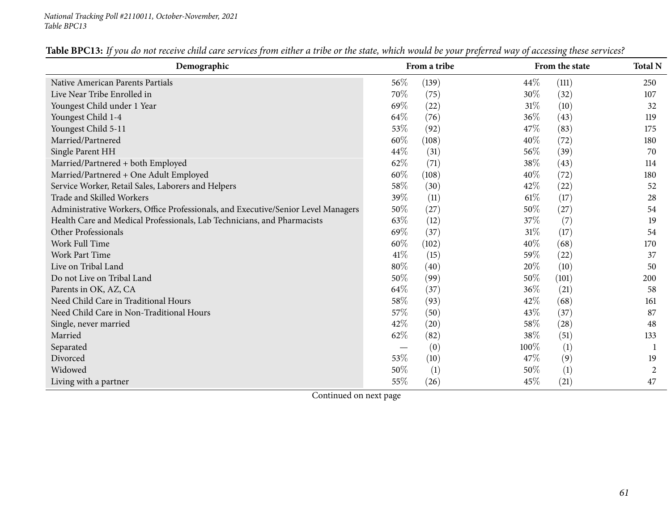| Demographic                                                                       |        | From a tribe |        | From the state | <b>Total N</b> |
|-----------------------------------------------------------------------------------|--------|--------------|--------|----------------|----------------|
| Native American Parents Partials                                                  | 56\%   | (139)        | 44\%   | (111)          | 250            |
| Live Near Tribe Enrolled in                                                       | 70%    | (75)         | 30\%   | (32)           | 107            |
| Youngest Child under 1 Year                                                       | 69%    | (22)         | $31\%$ | (10)           | 32             |
| Youngest Child 1-4                                                                | 64\%   | (76)         | 36\%   | (43)           | 119            |
| Youngest Child 5-11                                                               | 53%    | (92)         | 47\%   | (83)           | 175            |
| Married/Partnered                                                                 | 60%    | (108)        | 40\%   | (72)           | 180            |
| Single Parent HH                                                                  | 44%    | (31)         | 56%    | (39)           | 70             |
| Married/Partnered + both Employed                                                 | 62%    | (71)         | 38\%   | (43)           | 114            |
| Married/Partnered + One Adult Employed                                            | $60\%$ | (108)        | 40%    | (72)           | 180            |
| Service Worker, Retail Sales, Laborers and Helpers                                | 58%    | (30)         | 42%    | (22)           | 52             |
| Trade and Skilled Workers                                                         | 39%    | (11)         | $61\%$ | (17)           | 28             |
| Administrative Workers, Office Professionals, and Executive/Senior Level Managers | $50\%$ | (27)         | 50%    | (27)           | 54             |
| Health Care and Medical Professionals, Lab Technicians, and Pharmacists           | 63\%   | (12)         | 37\%   | (7)            | 19             |
| Other Professionals                                                               | 69%    | (37)         | $31\%$ | (17)           | 54             |
| Work Full Time                                                                    | 60%    | (102)        | 40\%   | (68)           | 170            |
| Work Part Time                                                                    | 41%    | (15)         | 59%    | (22)           | 37             |
| Live on Tribal Land                                                               | $80\%$ | (40)         | 20%    | (10)           | 50             |
| Do not Live on Tribal Land                                                        | 50%    | (99)         | 50\%   | (101)          | 200            |
| Parents in OK, AZ, CA                                                             | 64\%   | (37)         | 36\%   | (21)           | 58             |
| Need Child Care in Traditional Hours                                              | 58\%   | (93)         | 42%    | (68)           | 161            |
| Need Child Care in Non-Traditional Hours                                          | 57\%   | (50)         | 43\%   | (37)           | 87             |
| Single, never married                                                             | 42\%   | (20)         | $58\%$ | (28)           | 48             |
| Married                                                                           | 62\%   | (82)         | 38%    | (51)           | 133            |
| Separated                                                                         |        | (0)          | 100%   | (1)            |                |
| Divorced                                                                          | 53%    | (10)         | 47%    | (9)            | 19             |
| Widowed                                                                           | 50%    | (1)          | 50%    | (1)            | 2              |
| Living with a partner                                                             | 55%    | (26)         | 45%    | (21)           | 47             |

Table BPC13: If you do not receive child care services from either a tribe or the state, which would be your preferred way of accessing these services?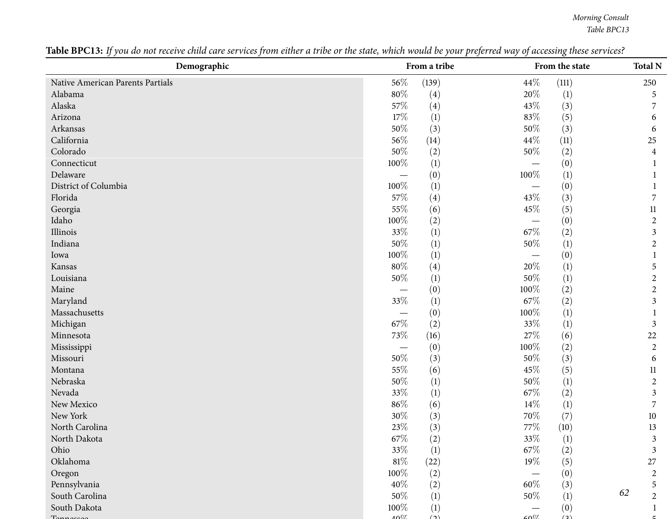*Morning Consult Table BPC13*

| Demographic                      | From a tribe |                  |         | From the state   |                      |  |
|----------------------------------|--------------|------------------|---------|------------------|----------------------|--|
| Native American Parents Partials | 56\%         | (139)            | 44\%    | (111)            | 250                  |  |
| Alabama                          | 80%          | (4)              | $20\%$  | $\left(1\right)$ | 5                    |  |
| Alaska                           | 57%          | (4)              | 43%     | (3)              | 7                    |  |
| Arizona                          | 17%          | (1)              | $83\%$  | (5)              | 6                    |  |
| Arkansas                         | 50%          | (3)              | $50\%$  | (3)              | 6                    |  |
| California                       | 56%          | (14)             | 44\%    | (11)             | 25                   |  |
| Colorado                         | 50%          | (2)              | 50%     | (2)              | 4                    |  |
| Connecticut                      | 100%         | (1)              |         | (0)              |                      |  |
| Delaware                         |              | (0)              | 100%    | (1)              |                      |  |
| District of Columbia             | 100%         | (1)              |         | (0)              |                      |  |
| Florida                          | 57%          | (4)              | 43%     | (3)              | 7                    |  |
| Georgia                          | 55%          | (6)              | 45%     | (5)              | 11                   |  |
| Idaho                            | 100%         | (2)              |         | (0)              | $\overline{2}$       |  |
| Illinois                         | 33%          | $\left(1\right)$ | $67\%$  | (2)              | 3                    |  |
| Indiana                          | 50%          | (1)              | $50\%$  | (1)              | $\overline{c}$       |  |
| Iowa                             | 100%         | (1)              |         | (0)              |                      |  |
| Kansas                           | 80%          | (4)              | 20%     | (1)              | 5                    |  |
| Louisiana                        | 50%          | (1)              | $50\%$  | (1)              | $\overline{2}$       |  |
| Maine                            | —            | (0)              | $100\%$ | (2)              | $\overline{2}$       |  |
| Maryland                         | 33%          | (1)              | 67\%    | (2)              | 3                    |  |
| Massachusetts                    |              | (0)              | 100%    | (1)              | 1                    |  |
| Michigan                         | 67\%         | (2)              | $33\%$  | $\left(1\right)$ | $\mathfrak{Z}$       |  |
| Minnesota                        | 73%          | (16)             | $27\%$  | (6)              | 22                   |  |
| Mississippi                      |              | (0)              | 100%    | (2)              | $\overline{c}$       |  |
| Missouri                         | 50%          | (3)              | 50%     | (3)              | 6                    |  |
| Montana                          | 55%          | (6)              | 45%     | (5)              | 11                   |  |
| Nebraska                         | $50\%$       | (1)              | $50\%$  | (1)              | $\overline{2}$       |  |
| Nevada                           | 33%          | (1)              | 67\%    | (2)              | 3                    |  |
| New Mexico                       | 86%          | (6)              | $14\%$  | (1)              | 7                    |  |
| New York                         | $30\%$       | (3)              | 70%     | (7)              | 10                   |  |
| North Carolina                   | 23%          | (3)              | $77\%$  | (10)             | 13                   |  |
| North Dakota                     | $67\%$       | (2)              | $33\%$  | (1)              | $\mathfrak{Z}$       |  |
| Ohio                             | 33%          | (1)              | 67\%    | (2)              | 3                    |  |
| Oklahoma                         | $81\%$       | (22)             | 19%     | (5)              | 27                   |  |
| Oregon                           | 100%         | (2)              |         | (0)              | $\overline{c}$       |  |
| Pennsylvania                     | 40%          | (2)              | $60\%$  | (3)              | 5                    |  |
| South Carolina                   | 50%          | (1)              | $50\%$  | (1)              | 62<br>$\overline{2}$ |  |
| South Dakota                     | 100%         | (1)              |         | (0)              |                      |  |
| $T_{\rm a}$                      | 4007         | $\Delta$         | COOZ    | (2)              |                      |  |

Table BPC13: If you do not receive child care services from either a tribe or the state, which would be your preferred way of accessing these services?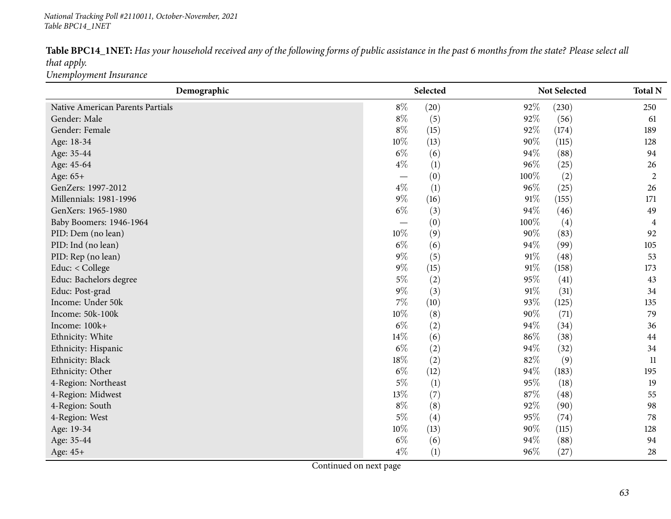#### *National Tracking Poll #2110011, October-November, <sup>2021</sup> Table BPC14\_1NET*

|                        | Table BPC14_1NET: Has your household received any of the following forms of public assistance in the past 6 months from the state? Please select all |  |
|------------------------|------------------------------------------------------------------------------------------------------------------------------------------------------|--|
| that apply.            |                                                                                                                                                      |  |
| Unemployment Insurance |                                                                                                                                                      |  |

| Demographic                      | Selected                 |      | Not Selected |                   | <b>Total N</b> |
|----------------------------------|--------------------------|------|--------------|-------------------|----------------|
| Native American Parents Partials | $8\%$                    | (20) | 92%          | (230)             | 250            |
| Gender: Male                     | $8\%$                    | (5)  | 92%          | (56)              | 61             |
| Gender: Female                   | $8\%$                    | (15) | 92%          | (174)             | 189            |
| Age: 18-34                       | 10%                      | (13) | 90%          | (115)             | 128            |
| Age: 35-44                       | $6\%$                    | (6)  | 94%          | (88)              | 94             |
| Age: 45-64                       | $4\%$                    | (1)  | 96%          | (25)              | 26             |
| Age: 65+                         | $\overline{\phantom{m}}$ | (0)  | 100%         | (2)               | $\overline{c}$ |
| GenZers: 1997-2012               | $4\%$                    | (1)  | 96%          | (25)              | 26             |
| Millennials: 1981-1996           | $9\%$                    | (16) | 91%          | (155)             | 171            |
| GenXers: 1965-1980               | $6\%$                    | (3)  | 94%          | (46)              | 49             |
| Baby Boomers: 1946-1964          |                          | (0)  | 100%         | $\left( 4\right)$ | 4              |
| PID: Dem (no lean)               | $10\%$                   | (9)  | $90\%$       | (83)              | 92             |
| PID: Ind (no lean)               | $6\%$                    | (6)  | 94%          | (99)              | 105            |
| PID: Rep (no lean)               | $9\%$                    | (5)  | 91%          | (48)              | 53             |
| Educ: < College                  | $9\%$                    | (15) | $91\%$       | (158)             | 173            |
| Educ: Bachelors degree           | $5\%$                    | (2)  | 95%          | (41)              | 43             |
| Educ: Post-grad                  | $9\%$                    | (3)  | 91%          | (31)              | 34             |
| Income: Under 50k                | $7\%$                    | (10) | 93%          | (125)             | 135            |
| Income: 50k-100k                 | 10%                      | (8)  | 90%          | (71)              | 79             |
| Income: 100k+                    | $6\%$                    | (2)  | 94%          | (34)              | 36             |
| Ethnicity: White                 | 14\%                     | (6)  | 86%          | (38)              | 44             |
| Ethnicity: Hispanic              | $6\%$                    | (2)  | 94%          | (32)              | 34             |
| Ethnicity: Black                 | 18%                      | (2)  | 82%          | (9)               | 11             |
| Ethnicity: Other                 | $6\%$                    | (12) | 94%          | (183)             | 195            |
| 4-Region: Northeast              | $5\%$                    | (1)  | 95%          | (18)              | 19             |
| 4-Region: Midwest                | 13%                      | (7)  | 87%          | (48)              | 55             |
| 4-Region: South                  | $8\%$                    | (8)  | 92%          | (90)              | 98             |
| 4-Region: West                   | $5\%$                    | (4)  | 95%          | (74)              | 78             |
| Age: 19-34                       | 10%                      | (13) | 90%          | (115)             | 128            |
| Age: 35-44                       | $6\%$                    | (6)  | 94%          | (88)              | 94             |
| Age: 45+                         | $4\%$                    | (1)  | 96%          | (27)              | 28             |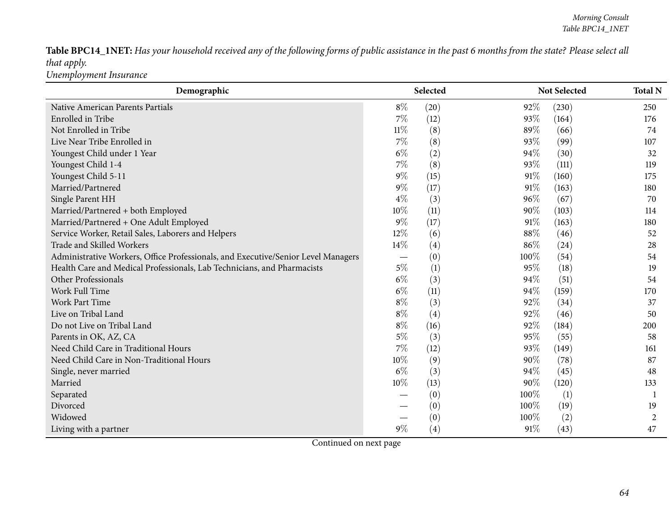Table BPC14\_1NET: Has your household received any of the following forms of public assistance in the past 6 months from the state? Please select all *that apply. Unemployment Insurance*

| Demographic                                                                       |        | Selected |      | <b>Not Selected</b> |                |  |
|-----------------------------------------------------------------------------------|--------|----------|------|---------------------|----------------|--|
| Native American Parents Partials                                                  | $8\%$  | (20)     | 92%  | (230)               | 250            |  |
| Enrolled in Tribe                                                                 | $7\%$  | (12)     | 93%  | (164)               | 176            |  |
| Not Enrolled in Tribe                                                             | $11\%$ | (8)      | 89%  | (66)                | 74             |  |
| Live Near Tribe Enrolled in                                                       | 7%     | (8)      | 93%  | (99)                | 107            |  |
| Youngest Child under 1 Year                                                       | $6\%$  | (2)      | 94%  | (30)                | 32             |  |
| Youngest Child 1-4                                                                | 7%     | (8)      | 93%  | (111)               | 119            |  |
| Youngest Child 5-11                                                               | $9\%$  | (15)     | 91%  | (160)               | 175            |  |
| Married/Partnered                                                                 | $9\%$  | (17)     | 91%  | (163)               | 180            |  |
| Single Parent HH                                                                  | $4\%$  | (3)      | 96%  | (67)                | 70             |  |
| Married/Partnered + both Employed                                                 | 10%    | (11)     | 90%  | (103)               | 114            |  |
| Married/Partnered + One Adult Employed                                            | $9\%$  | (17)     | 91%  | (163)               | 180            |  |
| Service Worker, Retail Sales, Laborers and Helpers                                | 12%    | (6)      | 88%  | (46)                | 52             |  |
| Trade and Skilled Workers                                                         | 14%    | (4)      | 86%  | (24)                | 28             |  |
| Administrative Workers, Office Professionals, and Executive/Senior Level Managers |        | (0)      | 100% | (54)                | 54             |  |
| Health Care and Medical Professionals, Lab Technicians, and Pharmacists           | $5\%$  | (1)      | 95%  | (18)                | 19             |  |
| Other Professionals                                                               | $6\%$  | (3)      | 94%  | (51)                | 54             |  |
| Work Full Time                                                                    | $6\%$  | (11)     | 94%  | (159)               | 170            |  |
| Work Part Time                                                                    | $8\%$  | (3)      | 92%  | (34)                | 37             |  |
| Live on Tribal Land                                                               | $8\%$  | (4)      | 92%  | (46)                | 50             |  |
| Do not Live on Tribal Land                                                        | $8\%$  | (16)     | 92%  | (184)               | 200            |  |
| Parents in OK, AZ, CA                                                             | $5\%$  | (3)      | 95%  | (55)                | 58             |  |
| Need Child Care in Traditional Hours                                              | 7%     | (12)     | 93%  | (149)               | 161            |  |
| Need Child Care in Non-Traditional Hours                                          | 10%    | (9)      | 90%  | (78)                | 87             |  |
| Single, never married                                                             | $6\%$  | (3)      | 94%  | (45)                | 48             |  |
| Married                                                                           | 10%    | (13)     | 90%  | (120)               | 133            |  |
| Separated                                                                         |        | (0)      | 100% | (1)                 | -1             |  |
| Divorced                                                                          |        | (0)      | 100% | (19)                | 19             |  |
| Widowed                                                                           |        | (0)      | 100% | (2)                 | $\overline{2}$ |  |
| Living with a partner                                                             | $9\%$  | (4)      | 91%  | (43)                | 47             |  |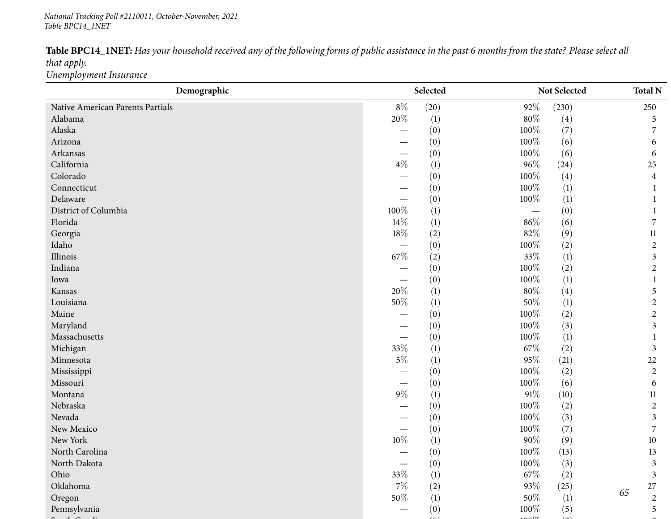#### *National Tracking Poll #2110011, October-November, <sup>2021</sup> Table BPC14\_1NET*

|                        | Table BPC14_1NET: Has your household received any of the following forms of public assistance in the past 6 months from the state? Please select all |
|------------------------|------------------------------------------------------------------------------------------------------------------------------------------------------|
| that apply.            |                                                                                                                                                      |
| Unemployment Insurance |                                                                                                                                                      |

| Demographic                      |                          | Selected<br>Not Selected |         |                   | <b>Total N</b> |                |
|----------------------------------|--------------------------|--------------------------|---------|-------------------|----------------|----------------|
| Native American Parents Partials | $8\%$                    | (20)                     | 92%     | (230)             |                | 250            |
| Alabama                          | 20%                      | $\left(1\right)$         | $80\%$  | (4)               |                | 5              |
| Alaska                           |                          | (0)                      | 100%    | (7)               |                | 7              |
| Arizona                          |                          | (0)                      | 100%    | (6)               |                | 6              |
| Arkansas                         |                          | (0)                      | 100%    | (6)               |                | 6              |
| California                       | $4\%$                    | (1)                      | $96\%$  | (24)              |                | 25             |
| Colorado                         |                          | (0)                      | 100%    | $\left( 4\right)$ |                | $\overline{4}$ |
| Connecticut                      |                          | (0)                      | 100%    | (1)               |                |                |
| Delaware                         |                          | (0)                      | 100%    | (1)               |                |                |
| District of Columbia             | 100%                     | (1)                      |         | (0)               |                |                |
| Florida                          | 14\%                     | (1)                      | 86%     | (6)               |                | 7              |
| Georgia                          | $18\%$                   | (2)                      | $82\%$  | (9)               |                | $11\,$         |
| Idaho                            |                          | (0)                      | 100%    | (2)               |                | $\overline{2}$ |
| Illinois                         | 67%                      | (2)                      | 33%     | $\left(1\right)$  |                | 3              |
| Indiana                          |                          | (0)                      | 100%    | (2)               |                | $\overline{2}$ |
| Iowa                             |                          | (0)                      | 100%    | (1)               |                |                |
| Kansas                           | 20%                      | (1)                      | $80\%$  | (4)               |                | 5              |
| Louisiana                        | $50\%$                   | (1)                      | $50\%$  | $\left(1\right)$  |                | $\overline{2}$ |
| Maine                            |                          | (0)                      | 100%    | (2)               |                | $\overline{2}$ |
| Maryland                         |                          | (0)                      | 100%    | (3)               |                | 3              |
| Massachusetts                    | $\overline{\phantom{0}}$ | (0)                      | 100%    | (1)               |                |                |
| Michigan                         | 33%                      | (1)                      | 67\%    | (2)               |                | $\mathfrak{Z}$ |
| Minnesota                        | $5\%$                    | (1)                      | 95%     | (21)              |                | 22             |
| Mississippi                      | —                        | (0)                      | 100%    | (2)               |                | $\overline{2}$ |
| Missouri                         |                          | (0)                      | 100%    | (6)               |                | 6              |
| Montana                          | $9\%$                    | (1)                      | $91\%$  | (10)              |                | $11\,$         |
| Nebraska                         |                          | (0)                      | 100%    | (2)               |                | $\overline{2}$ |
| Nevada                           |                          | (0)                      | 100%    | (3)               |                | 3              |
| New Mexico                       | $\overline{\phantom{0}}$ | (0)                      | 100%    | (7)               |                | 7              |
| New York                         | 10%                      | (1)                      | $90\%$  | (9)               |                | $10\,$         |
| North Carolina                   |                          | (0)                      | 100%    | (13)              |                | 13             |
| North Dakota                     |                          | (0)                      | $100\%$ | (3)               |                | $\mathfrak{Z}$ |
| Ohio                             | $33\%$                   | (1)                      | $67\%$  | (2)               |                | $\mathfrak{Z}$ |
| Oklahoma                         | $7\%$                    | (2)                      | $93\%$  | (25)              | 65             | 27             |
| Oregon                           | 50%                      | (1)                      | 50%     | $\left(1\right)$  |                | $\sqrt{2}$     |
| Pennsylvania                     |                          | (0)                      | 100%    | (5)               |                | 5              |
|                                  |                          |                          |         |                   |                |                |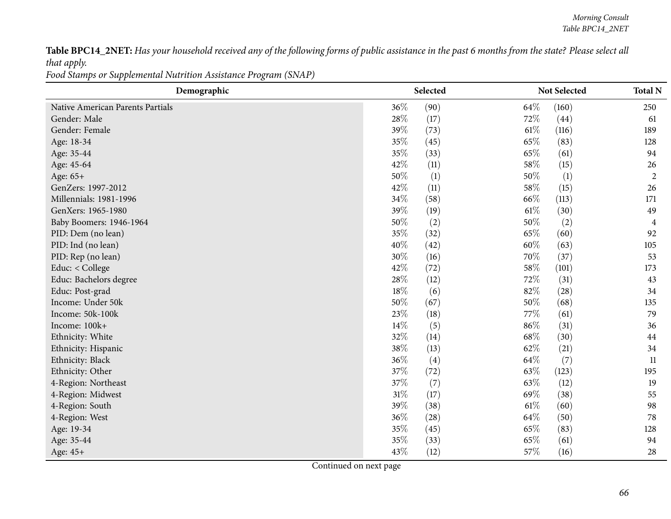Table BPC14\_2NET: Has your household received any of the following forms of public assistance in the past 6 months from the state? Please select all *that apply.*

| Food Stamps or Supplemental Nutrition Assistance Program (SNAP) |
|-----------------------------------------------------------------|
|-----------------------------------------------------------------|

| Demographic                      | Selected |      | Not Selected |       | <b>Total N</b> |
|----------------------------------|----------|------|--------------|-------|----------------|
| Native American Parents Partials | 36%      | (90) | 64\%         | (160) | 250            |
| Gender: Male                     | 28\%     | (17) | 72%          | (44)  | 61             |
| Gender: Female                   | 39%      | (73) | $61\%$       | (116) | 189            |
| Age: 18-34                       | 35%      | (45) | 65%          | (83)  | 128            |
| Age: 35-44                       | 35%      | (33) | 65%          | (61)  | 94             |
| Age: 45-64                       | 42\%     | (11) | 58%          | (15)  | 26             |
| Age: 65+                         | 50%      | (1)  | 50%          | (1)   | $\overline{2}$ |
| GenZers: 1997-2012               | 42\%     | (11) | 58%          | (15)  | 26             |
| Millennials: 1981-1996           | 34%      | (58) | 66%          | (113) | 171            |
| GenXers: 1965-1980               | 39%      | (19) | $61\%$       | (30)  | 49             |
| Baby Boomers: 1946-1964          | 50%      | (2)  | 50%          | (2)   | 4              |
| PID: Dem (no lean)               | 35%      | (32) | 65%          | (60)  | 92             |
| PID: Ind (no lean)               | 40%      | (42) | 60%          | (63)  | 105            |
| PID: Rep (no lean)               | 30%      | (16) | 70%          | (37)  | 53             |
| Educ: < College                  | 42%      | (72) | 58%          | (101) | 173            |
| Educ: Bachelors degree           | 28\%     | (12) | 72%          | (31)  | 43             |
| Educ: Post-grad                  | 18%      | (6)  | 82%          | (28)  | 34             |
| Income: Under 50k                | 50%      | (67) | 50%          | (68)  | 135            |
| Income: 50k-100k                 | 23%      | (18) | 77%          | (61)  | 79             |
| Income: 100k+                    | 14%      | (5)  | 86%          | (31)  | 36             |
| Ethnicity: White                 | 32%      | (14) | 68%          | (30)  | 44             |
| Ethnicity: Hispanic              | 38%      | (13) | 62%          | (21)  | 34             |
| Ethnicity: Black                 | 36%      | (4)  | 64\%         | (7)   | 11             |
| Ethnicity: Other                 | 37%      | (72) | 63%          | (123) | 195            |
| 4-Region: Northeast              | 37\%     | (7)  | 63%          | (12)  | 19             |
| 4-Region: Midwest                | $31\%$   | (17) | 69%          | (38)  | 55             |
| 4-Region: South                  | 39%      | (38) | $61\%$       | (60)  | 98             |
| 4-Region: West                   | 36%      | (28) | 64\%         | (50)  | 78             |
| Age: 19-34                       | 35%      | (45) | 65%          | (83)  | 128            |
| Age: 35-44                       | 35%      | (33) | 65%          | (61)  | 94             |
| Age: 45+                         | 43%      | (12) | 57%          | (16)  | 28             |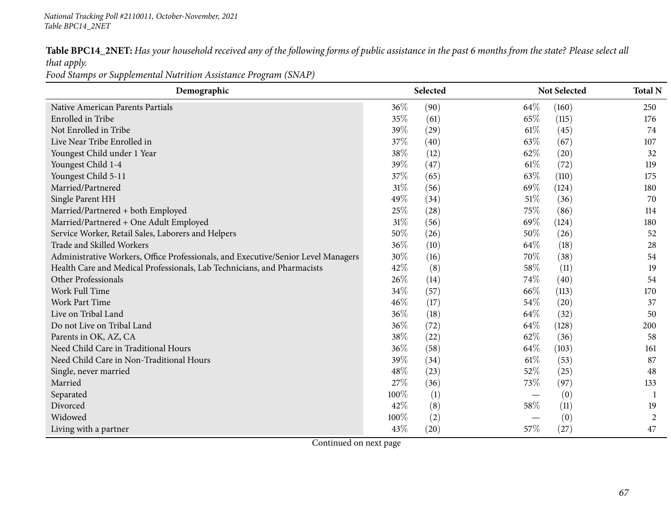|             |  |  | Table BPC14_2NET: Has your household received any of the following forms of public assistance in the past 6 months from the state? Please select all |  |
|-------------|--|--|------------------------------------------------------------------------------------------------------------------------------------------------------|--|
| that apply. |  |  |                                                                                                                                                      |  |

*Food Stamps or Supplemental Nutrition Assistance Program (SNAP)*

| Demographic                                                                       |        | Selected |        | Not Selected | <b>Total N</b> |
|-----------------------------------------------------------------------------------|--------|----------|--------|--------------|----------------|
| Native American Parents Partials                                                  | 36%    | (90)     | 64\%   | (160)        | 250            |
| Enrolled in Tribe                                                                 | 35%    | (61)     | 65\%   | (115)        | 176            |
| Not Enrolled in Tribe                                                             | 39%    | (29)     | $61\%$ | (45)         | 74             |
| Live Near Tribe Enrolled in                                                       | 37%    | (40)     | 63\%   | (67)         | 107            |
| Youngest Child under 1 Year                                                       | 38%    | (12)     | 62%    | (20)         | 32             |
| Youngest Child 1-4                                                                | 39%    | (47)     | $61\%$ | (72)         | 119            |
| Youngest Child 5-11                                                               | 37%    | (65)     | 63\%   | (110)        | 175            |
| Married/Partnered                                                                 | $31\%$ | (56)     | 69%    | (124)        | 180            |
| Single Parent HH                                                                  | 49%    | (34)     | 51\%   | (36)         | 70             |
| Married/Partnered + both Employed                                                 | 25%    | (28)     | 75\%   | (86)         | 114            |
| Married/Partnered + One Adult Employed                                            | $31\%$ | (56)     | 69%    | (124)        | 180            |
| Service Worker, Retail Sales, Laborers and Helpers                                | 50%    | (26)     | 50%    | (26)         | 52             |
| Trade and Skilled Workers                                                         | 36%    | (10)     | 64%    | (18)         | 28             |
| Administrative Workers, Office Professionals, and Executive/Senior Level Managers | 30%    | (16)     | 70%    | (38)         | 54             |
| Health Care and Medical Professionals, Lab Technicians, and Pharmacists           | 42%    | (8)      | 58%    | (11)         | 19             |
| Other Professionals                                                               | 26%    | (14)     | 74\%   | (40)         | 54             |
| Work Full Time                                                                    | 34%    | (57)     | 66\%   | (113)        | 170            |
| Work Part Time                                                                    | 46%    | (17)     | 54\%   | (20)         | 37             |
| Live on Tribal Land                                                               | 36%    | (18)     | 64\%   | (32)         | 50             |
| Do not Live on Tribal Land                                                        | 36%    | (72)     | 64\%   | (128)        | 200            |
| Parents in OK, AZ, CA                                                             | 38%    | (22)     | 62%    | (36)         | 58             |
| Need Child Care in Traditional Hours                                              | 36%    | (58)     | 64\%   | (103)        | 161            |
| Need Child Care in Non-Traditional Hours                                          | 39%    | (34)     | $61\%$ | (53)         | 87             |
| Single, never married                                                             | 48%    | (23)     | 52\%   | (25)         | 48             |
| Married                                                                           | 27%    | (36)     | 73\%   | (97)         | 133            |
| Separated                                                                         | 100%   | (1)      |        | (0)          | -1             |
| Divorced                                                                          | 42%    | (8)      | 58%    | (11)         | 19             |
| Widowed                                                                           | 100%   | (2)      |        | (0)          | 2              |
| Living with a partner                                                             | 43%    | (20)     | 57\%   | (27)         | 47             |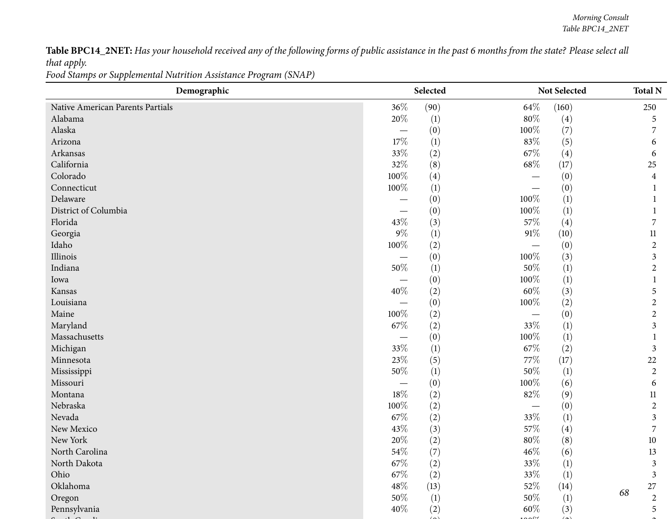Table BPC14\_2NET: Has your household received any of the following forms of public assistance in the past 6 months from the state? Please select all *that apply.*

*Food Stamps or Supplemental Nutrition Assistance Program (SNAP)*

| Demographic                      |        | Selected |        | Not Selected      | <b>Total N</b>          |
|----------------------------------|--------|----------|--------|-------------------|-------------------------|
| Native American Parents Partials | 36%    | (90)     | 64\%   | (160)             | 250                     |
| Alabama                          | 20%    | (1)      | $80\%$ | $\left( 4\right)$ | 5                       |
| Alaska                           |        | (0)      | 100%   | (7)               |                         |
| Arizona                          | $17\%$ | (1)      | 83%    | (5)               | 6                       |
| Arkansas                         | 33%    | (2)      | 67\%   | $\left( 4\right)$ | 6                       |
| California                       | 32%    | (8)      | $68\%$ | (17)              | 25                      |
| Colorado                         | 100%   | (4)      |        | (0)               | $\overline{\mathbf{4}}$ |
| Connecticut                      | 100%   | (1)      |        | (0)               | -1                      |
| Delaware                         |        | (0)      | 100%   | $\left(1\right)$  |                         |
| District of Columbia             |        | (0)      | 100%   | (1)               | -1                      |
| Florida                          | 43\%   | (3)      | 57%    | (4)               | 7                       |
| Georgia                          | $9\%$  | (1)      | $91\%$ | (10)              | 11                      |
| Idaho                            | 100%   | (2)      |        | (0)               | $\overline{2}$          |
| Illinois                         |        | (0)      | 100%   | (3)               | $\mathfrak{Z}$          |
| Indiana                          | $50\%$ | (1)      | $50\%$ | $\left(1\right)$  | $\overline{2}$          |
| Iowa                             |        | (0)      | 100%   | (1)               |                         |
| Kansas                           | $40\%$ | (2)      | $60\%$ | (3)               | 5                       |
| Louisiana                        |        | (0)      | 100%   | (2)               | $\overline{2}$          |
| Maine                            | 100%   | (2)      |        | (0)               | $\mathbf{2}$            |
| Maryland                         | 67\%   | (2)      | 33%    | $\left(1\right)$  | 3                       |
| Massachusetts                    |        | (0)      | 100%   | $\left(1\right)$  |                         |
| Michigan                         | 33%    | (1)      | 67\%   | (2)               | 3                       |
| Minnesota                        | 23%    | (5)      | $77\%$ | (17)              | 22                      |
| Mississippi                      | 50%    | (1)      | $50\%$ | $\left(1\right)$  | $\overline{2}$          |
| Missouri                         |        | (0)      | 100%   | (6)               | 6                       |
| Montana                          | $18\%$ | (2)      | $82\%$ | (9)               | $11\,$                  |
| Nebraska                         | 100%   | (2)      |        | (0)               | $\overline{c}$          |
| Nevada                           | 67%    | (2)      | 33%    | $\left(1\right)$  | 3                       |
| New Mexico                       | 43%    | (3)      | 57%    | (4)               | 7                       |
| New York                         | $20\%$ | (2)      | $80\%$ | (8)               | 10                      |
| North Carolina                   | $54\%$ | (7)      | 46%    | (6)               | 13                      |
| North Dakota                     | $67\%$ | (2)      | $33\%$ | (1)               | 3                       |
| Ohio                             | 67%    | (2)      | $33\%$ | (1)               | $\mathfrak{Z}$          |
| Oklahoma                         | $48\%$ | (13)     | $52\%$ | (14)              | $27\,$                  |
| Oregon                           | $50\%$ | (1)      | $50\%$ | (1)               | 68<br>$\overline{2}$    |
| Pennsylvania                     | 40%    | (2)      | $60\%$ | (3)               | 5                       |
|                                  |        |          |        |                   |                         |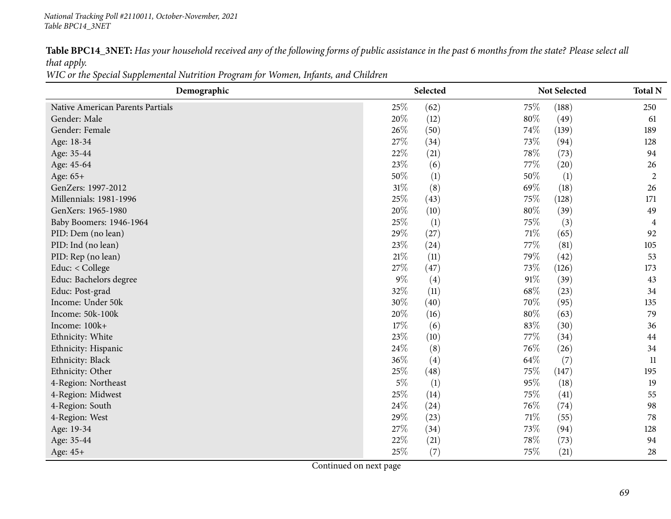Table BPC14\_3NET: Has your household received any of the following forms of public assistance in the past 6 months from the state? Please select all *that apply.*

WIC or the Special Supplemental Nutrition Program for Women, Infants, and Children

| Demographic                      | Selected |      |        | Not Selected     |                |
|----------------------------------|----------|------|--------|------------------|----------------|
| Native American Parents Partials | 25%      | (62) | 75%    | (188)            | 250            |
| Gender: Male                     | 20%      | (12) | $80\%$ | (49)             | 61             |
| Gender: Female                   | 26\%     | (50) | 74\%   | (139)            | 189            |
| Age: 18-34                       | 27%      | (34) | 73%    | (94)             | 128            |
| Age: 35-44                       | 22%      | (21) | 78%    | (73)             | 94             |
| Age: 45-64                       | 23%      | (6)  | 77\%   | (20)             | 26             |
| Age: 65+                         | 50%      | (1)  | 50%    | $\left(1\right)$ | $\overline{2}$ |
| GenZers: 1997-2012               | 31%      | (8)  | 69%    | (18)             | 26             |
| Millennials: 1981-1996           | 25%      | (43) | 75%    | (128)            | 171            |
| GenXers: 1965-1980               | 20%      | (10) | 80%    | (39)             | 49             |
| Baby Boomers: 1946-1964          | 25%      | (1)  | 75\%   | (3)              | 4              |
| PID: Dem (no lean)               | 29%      | (27) | 71\%   | (65)             | 92             |
| PID: Ind (no lean)               | 23%      | (24) | 77%    | (81)             | 105            |
| PID: Rep (no lean)               | 21%      | (11) | 79%    | (42)             | 53             |
| Educ: < College                  | 27%      | (47) | 73%    | (126)            | 173            |
| Educ: Bachelors degree           | $9\%$    | (4)  | $91\%$ | (39)             | 43             |
| Educ: Post-grad                  | 32%      | (11) | 68\%   | (23)             | 34             |
| Income: Under 50k                | 30%      | (40) | 70\%   | (95)             | 135            |
| Income: 50k-100k                 | 20%      | (16) | $80\%$ | (63)             | 79             |
| Income: 100k+                    | 17%      | (6)  | 83%    | (30)             | 36             |
| Ethnicity: White                 | 23%      | (10) | 77\%   | (34)             | 44             |
| Ethnicity: Hispanic              | 24%      | (8)  | 76%    | (26)             | 34             |
| Ethnicity: Black                 | 36%      | (4)  | 64\%   | (7)              | 11             |
| Ethnicity: Other                 | 25%      | (48) | 75%    | (147)            | 195            |
| 4-Region: Northeast              | $5\%$    | (1)  | 95%    | (18)             | 19             |
| 4-Region: Midwest                | 25%      | (14) | 75%    | (41)             | 55             |
| 4-Region: South                  | 24\%     | (24) | 76\%   | (74)             | 98             |
| 4-Region: West                   | 29%      | (23) | 71\%   | (55)             | 78             |
| Age: 19-34                       | 27%      | (34) | 73%    | (94)             | 128            |
| Age: 35-44                       | 22%      | (21) | 78%    | (73)             | 94             |
| Age: 45+                         | 25%      | (7)  | 75%    | (21)             | 28             |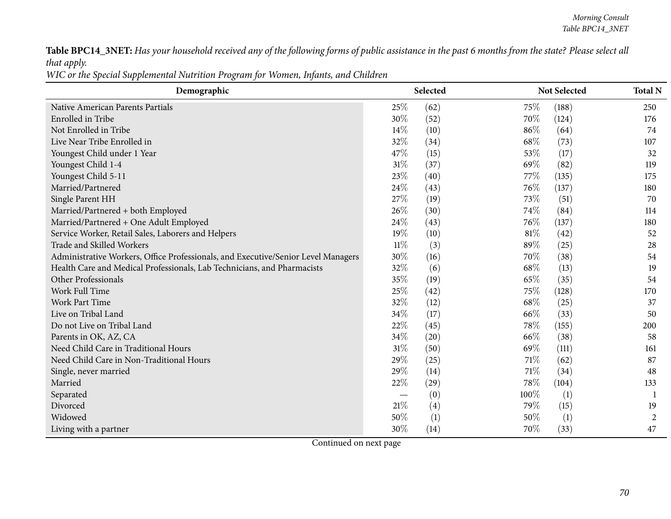Table BPC14\_3NET: Has your household received any of the following forms of public assistance in the past 6 months from the state? Please select all *that apply.*

WIC or the Special Supplemental Nutrition Program for Women, Infants, and Children

| Demographic                                                                       | Selected |      |      | Not Selected | <b>Total N</b> |
|-----------------------------------------------------------------------------------|----------|------|------|--------------|----------------|
| Native American Parents Partials                                                  | 25\%     | (62) | 75%  | (188)        | 250            |
| Enrolled in Tribe                                                                 | 30%      | (52) | 70%  | (124)        | 176            |
| Not Enrolled in Tribe                                                             | 14%      | (10) | 86%  | (64)         | 74             |
| Live Near Tribe Enrolled in                                                       | 32%      | (34) | 68%  | (73)         | 107            |
| Youngest Child under 1 Year                                                       | 47%      | (15) | 53%  | (17)         | 32             |
| Youngest Child 1-4                                                                | $31\%$   | (37) | 69%  | (82)         | 119            |
| Youngest Child 5-11                                                               | 23%      | (40) | 77\% | (135)        | 175            |
| Married/Partnered                                                                 | 24%      | (43) | 76%  | (137)        | 180            |
| Single Parent HH                                                                  | 27\%     | (19) | 73%  | (51)         | 70             |
| Married/Partnered + both Employed                                                 | 26%      | (30) | 74%  | (84)         | 114            |
| Married/Partnered + One Adult Employed                                            | 24%      | (43) | 76%  | (137)        | 180            |
| Service Worker, Retail Sales, Laborers and Helpers                                | 19%      | (10) | 81\% | (42)         | 52             |
| Trade and Skilled Workers                                                         | $11\%$   | (3)  | 89%  | (25)         | 28             |
| Administrative Workers, Office Professionals, and Executive/Senior Level Managers | 30%      | (16) | 70%  | (38)         | 54             |
| Health Care and Medical Professionals, Lab Technicians, and Pharmacists           | 32%      | (6)  | 68%  | (13)         | 19             |
| Other Professionals                                                               | 35%      | (19) | 65%  | (35)         | 54             |
| Work Full Time                                                                    | 25%      | (42) | 75%  | (128)        | 170            |
| Work Part Time                                                                    | 32%      | (12) | 68%  | (25)         | 37             |
| Live on Tribal Land                                                               | 34%      | (17) | 66%  | (33)         | 50             |
| Do not Live on Tribal Land                                                        | 22%      | (45) | 78%  | (155)        | 200            |
| Parents in OK, AZ, CA                                                             | 34%      | (20) | 66\% | (38)         | 58             |
| Need Child Care in Traditional Hours                                              | $31\%$   | (50) | 69%  | (111)        | 161            |
| Need Child Care in Non-Traditional Hours                                          | 29%      | (25) | 71\% | (62)         | 87             |
| Single, never married                                                             | 29%      | (14) | 71\% | (34)         | 48             |
| Married                                                                           | 22%      | (29) | 78%  | (104)        | 133            |
| Separated                                                                         |          | (0)  | 100% | (1)          | 1              |
| Divorced                                                                          | 21\%     | (4)  | 79%  | (15)         | 19             |
| Widowed                                                                           | 50%      | (1)  | 50%  | (1)          | 2              |
| Living with a partner                                                             | 30%      | (14) | 70%  | (33)         | 47             |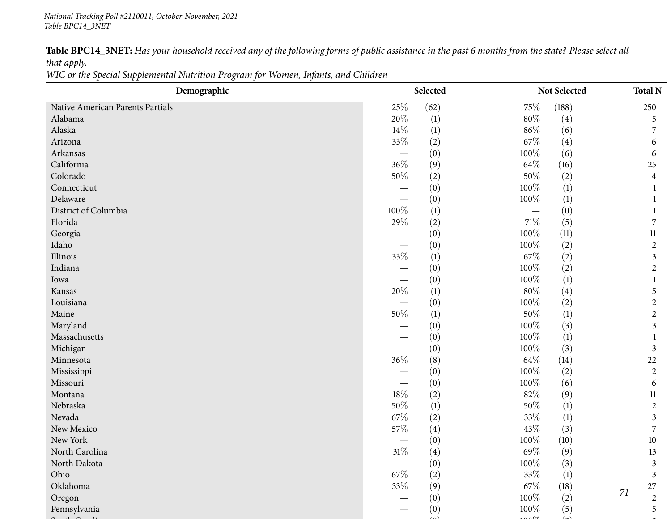Table BPC14\_3NET: Has your household received any of the following forms of public assistance in the past 6 months from the state? Please select all *that apply.*

WIC or the Special Supplemental Nutrition Program for Women, Infants, and Children

| Demographic                      |        | Selected         |         | Not Selected      |    | <b>Total N</b>          |  |
|----------------------------------|--------|------------------|---------|-------------------|----|-------------------------|--|
| Native American Parents Partials | 25%    | (62)             | 75%     | (188)             |    | 250                     |  |
| Alabama                          | 20%    | (1)              | $80\%$  | $\left( 4\right)$ |    | 5                       |  |
| Alaska                           | 14\%   | (1)              | $86\%$  | (6)               |    |                         |  |
| Arizona                          | 33%    | (2)              | 67\%    | (4)               |    | 6                       |  |
| Arkansas                         |        | (0)              | 100%    | (6)               |    | 6                       |  |
| California                       | 36%    | (9)              | 64\%    | (16)              |    | 25                      |  |
| Colorado                         | $50\%$ | (2)              | $50\%$  | (2)               |    | $\overline{\mathbf{4}}$ |  |
| Connecticut                      |        | (0)              | 100%    | $\left(1\right)$  |    |                         |  |
| Delaware                         |        | (0)              | 100%    | $\left(1\right)$  |    |                         |  |
| District of Columbia             | 100%   | (1)              |         | (0)               |    |                         |  |
| Florida                          | 29%    | (2)              | $71\%$  | (5)               |    | 7                       |  |
| Georgia                          |        | (0)              | 100%    | (11)              |    | 11                      |  |
| Idaho                            |        | (0)              | 100%    | (2)               |    | $\overline{2}$          |  |
| Illinois                         | $33\%$ | (1)              | 67\%    | (2)               |    | 3                       |  |
| Indiana                          |        | (0)              | 100%    | (2)               |    | $\overline{2}$          |  |
| Iowa                             |        | (0)              | 100%    | $\left(1\right)$  |    |                         |  |
| Kansas                           | $20\%$ | $\left(1\right)$ | $80\%$  | $\left( 4\right)$ |    | 5                       |  |
| Louisiana                        |        | (0)              | 100%    | (2)               |    | $\overline{2}$          |  |
| Maine                            | $50\%$ | (1)              | $50\%$  | (1)               |    | $\overline{c}$          |  |
| Maryland                         |        | (0)              | 100%    | (3)               |    | 3                       |  |
| Massachusetts                    |        | (0)              | 100%    | $\left(1\right)$  |    |                         |  |
| Michigan                         |        | (0)              | 100%    | (3)               |    | $\mathfrak{Z}$          |  |
| Minnesota                        | $36\%$ | (8)              | 64\%    | (14)              |    | 22                      |  |
| Mississippi                      |        | (0)              | 100%    | (2)               |    | $\overline{2}$          |  |
| Missouri                         |        | (0)              | 100%    | (6)               |    | 6                       |  |
| Montana                          | $18\%$ | (2)              | $82\%$  | (9)               |    | $11\,$                  |  |
| Nebraska                         | 50%    | (1)              | 50%     | (1)               |    | $\overline{2}$          |  |
| Nevada                           | 67\%   | (2)              | 33%     | $\left(1\right)$  |    | 3                       |  |
| New Mexico                       | $57\%$ | (4)              | $43\%$  | (3)               |    | 7                       |  |
| New York                         |        | (0)              | 100%    | (10)              |    | 10                      |  |
| North Carolina                   | $31\%$ | (4)              | 69%     | (9)               |    | 13                      |  |
| North Dakota                     |        | (0)              | 100%    | (3)               |    | 3                       |  |
| Ohio                             | $67\%$ | (2)              | $33\%$  | $\left(1\right)$  |    | $\mathfrak{Z}$          |  |
| Oklahoma                         | $33\%$ | (9)              | $67\%$  | (18)              | 71 | $27\,$                  |  |
| Oregon                           |        | (0)              | $100\%$ | (2)               |    | $\overline{2}$          |  |
| Pennsylvania                     |        | (0)              | 100%    | (5)               |    | 5                       |  |
|                                  |        |                  |         |                   |    |                         |  |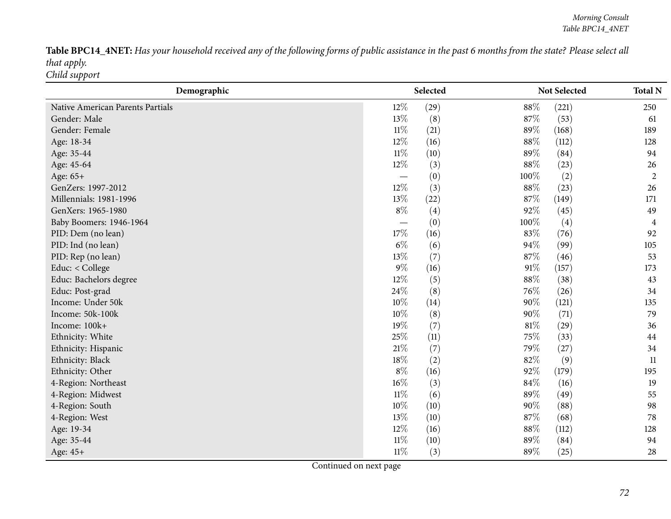Table BPC14\_4NET: Has your household received any of the following forms of public assistance in the past 6 months from the state? Please select all *that apply. Child support*

| Demographic                      |        | Selected |        | Not Selected | <b>Total N</b> |
|----------------------------------|--------|----------|--------|--------------|----------------|
| Native American Parents Partials | 12%    | (29)     | 88%    | (221)        | 250            |
| Gender: Male                     | 13%    | (8)      | 87%    | (53)         | 61             |
| Gender: Female                   | $11\%$ | (21)     | 89%    | (168)        | 189            |
| Age: 18-34                       | 12%    | (16)     | 88%    | (112)        | 128            |
| Age: 35-44                       | $11\%$ | (10)     | 89%    | (84)         | 94             |
| Age: 45-64                       | $12\%$ | (3)      | 88%    | (23)         | 26             |
| Age: 65+                         |        | (0)      | 100%   | (2)          | $\overline{2}$ |
| GenZers: 1997-2012               | 12%    | (3)      | 88%    | (23)         | 26             |
| Millennials: 1981-1996           | 13%    | (22)     | 87%    | (149)        | 171            |
| GenXers: 1965-1980               | $8\%$  | (4)      | 92%    | (45)         | 49             |
| Baby Boomers: 1946-1964          |        | (0)      | 100%   | (4)          | 4              |
| PID: Dem (no lean)               | 17%    | (16)     | 83%    | (76)         | 92             |
| PID: Ind (no lean)               | $6\%$  | (6)      | 94%    | (99)         | 105            |
| PID: Rep (no lean)               | 13%    | (7)      | 87%    | (46)         | 53             |
| Educ: < College                  | $9\%$  | (16)     | $91\%$ | (157)        | 173            |
| Educ: Bachelors degree           | 12%    | (5)      | 88\%   | (38)         | 43             |
| Educ: Post-grad                  | 24\%   | (8)      | 76\%   | (26)         | 34             |
| Income: Under 50k                | 10%    | (14)     | 90%    | (121)        | 135            |
| Income: 50k-100k                 | 10%    | (8)      | 90%    | (71)         | 79             |
| Income: 100k+                    | 19%    | (7)      | $81\%$ | (29)         | 36             |
| Ethnicity: White                 | 25%    | (11)     | 75%    | (33)         | 44             |
| Ethnicity: Hispanic              | 21\%   | (7)      | 79%    | (27)         | 34             |
| Ethnicity: Black                 | 18%    | (2)      | 82%    | (9)          | 11             |
| Ethnicity: Other                 | $8\%$  | (16)     | 92%    | (179)        | 195            |
| 4-Region: Northeast              | $16\%$ | (3)      | 84%    | (16)         | 19             |
| 4-Region: Midwest                | $11\%$ | (6)      | 89%    | (49)         | 55             |
| 4-Region: South                  | 10%    | (10)     | 90%    | (88)         | 98             |
| 4-Region: West                   | 13%    | (10)     | 87%    | (68)         | 78             |
| Age: 19-34                       | 12%    | (16)     | 88%    | (112)        | 128            |
| Age: 35-44                       | $11\%$ | (10)     | 89%    | (84)         | 94             |
| Age: 45+                         | $11\%$ | (3)      | 89%    | (25)         | 28             |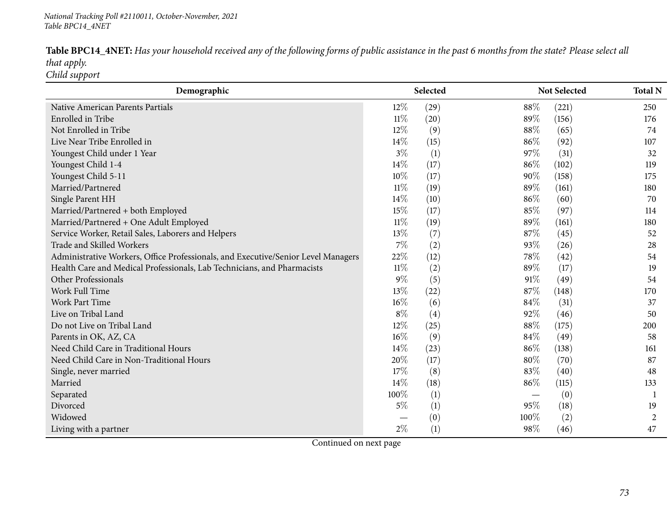Table BPC14\_4NET: Has your household received any of the following forms of public assistance in the past 6 months from the state? Please select all *that apply. Child support*

| Demographic                                                                       |        | Selected |        | <b>Not Selected</b> | <b>Total N</b> |
|-----------------------------------------------------------------------------------|--------|----------|--------|---------------------|----------------|
| Native American Parents Partials                                                  | $12\%$ | (29)     | 88%    | (221)               | 250            |
| Enrolled in Tribe                                                                 | $11\%$ | (20)     | 89%    | (156)               | 176            |
| Not Enrolled in Tribe                                                             | 12%    | (9)      | 88%    | (65)                | 74             |
| Live Near Tribe Enrolled in                                                       | 14%    | (15)     | 86%    | (92)                | 107            |
| Youngest Child under 1 Year                                                       | $3\%$  | (1)      | 97\%   | (31)                | 32             |
| Youngest Child 1-4                                                                | 14%    | (17)     | 86%    | (102)               | 119            |
| Youngest Child 5-11                                                               | 10%    | (17)     | $90\%$ | (158)               | 175            |
| Married/Partnered                                                                 | $11\%$ | (19)     | 89%    | (161)               | 180            |
| Single Parent HH                                                                  | 14\%   | (10)     | 86%    | (60)                | 70             |
| Married/Partnered + both Employed                                                 | 15%    | (17)     | 85%    | (97)                | 114            |
| Married/Partnered + One Adult Employed                                            | $11\%$ | (19)     | 89%    | (161)               | 180            |
| Service Worker, Retail Sales, Laborers and Helpers                                | 13%    | (7)      | 87%    | (45)                | 52             |
| Trade and Skilled Workers                                                         | 7%     | (2)      | 93%    | (26)                | 28             |
| Administrative Workers, Office Professionals, and Executive/Senior Level Managers | 22%    | (12)     | 78%    | (42)                | 54             |
| Health Care and Medical Professionals, Lab Technicians, and Pharmacists           | $11\%$ | (2)      | 89%    | (17)                | 19             |
| Other Professionals                                                               | $9\%$  | (5)      | 91%    | (49)                | 54             |
| Work Full Time                                                                    | 13%    | (22)     | 87\%   | (148)               | 170            |
| Work Part Time                                                                    | $16\%$ | (6)      | 84\%   | (31)                | 37             |
| Live on Tribal Land                                                               | $8\%$  | (4)      | 92%    | (46)                | 50             |
| Do not Live on Tribal Land                                                        | 12%    | (25)     | 88%    | (175)               | 200            |
| Parents in OK, AZ, CA                                                             | 16%    | (9)      | 84\%   | (49)                | 58             |
| Need Child Care in Traditional Hours                                              | 14\%   | (23)     | 86%    | (138)               | 161            |
| Need Child Care in Non-Traditional Hours                                          | 20%    | (17)     | 80%    | (70)                | 87             |
| Single, never married                                                             | 17%    | (8)      | 83%    | (40)                | 48             |
| Married                                                                           | 14%    | (18)     | 86%    | (115)               | 133            |
| Separated                                                                         | 100%   | (1)      |        | (0)                 |                |
| Divorced                                                                          | $5\%$  | (1)      | 95%    | (18)                | 19             |
| Widowed                                                                           |        | (0)      | 100%   | (2)                 | $\overline{c}$ |
| Living with a partner                                                             | $2\%$  | (1)      | 98%    | (46)                | 47             |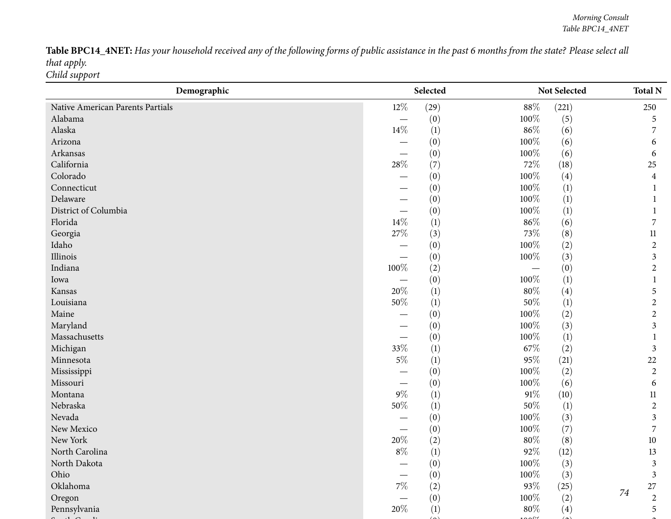Table BPC14\_4NET: Has your household received any of the following forms of public assistance in the past 6 months from the state? Please select all *that apply. Child support*

| Demographic                      |                          | Selected         |         | Not Selected     |    | <b>Total N</b> |
|----------------------------------|--------------------------|------------------|---------|------------------|----|----------------|
| Native American Parents Partials | $12\%$                   | (29)             | $88\%$  | (221)            |    | 250            |
| Alabama                          | $\overline{\phantom{m}}$ | (0)              | 100%    | (5)              |    | 5              |
| Alaska                           | $14\%$                   | $\left(1\right)$ | $86\%$  | (6)              |    | 7              |
| Arizona                          |                          | (0)              | 100%    | (6)              |    | 6              |
| Arkansas                         |                          | (0)              | 100%    | (6)              |    | 6              |
| California                       | $28\%$                   | (7)              | 72%     | (18)             |    | 25             |
| Colorado                         |                          | (0)              | 100%    | (4)              |    | 4              |
| Connecticut                      |                          | (0)              | 100%    | (1)              |    |                |
| Delaware                         |                          | (0)              | 100%    | (1)              |    |                |
| District of Columbia             |                          | (0)              | 100%    | $\left(1\right)$ |    |                |
| Florida                          | $14\%$                   | (1)              | $86\%$  | (6)              |    | 7              |
| Georgia                          | $27\%$                   | (3)              | 73%     | (8)              |    | $11\,$         |
| Idaho                            |                          | (0)              | 100%    | (2)              |    | $\overline{2}$ |
| Illinois                         |                          | (0)              | 100%    | (3)              |    | 3              |
| Indiana                          | 100%                     | (2)              |         | (0)              |    | $\overline{2}$ |
| Iowa                             |                          | (0)              | 100%    | (1)              |    |                |
| Kansas                           | 20%                      | (1)              | $80\%$  | (4)              |    | 5              |
| Louisiana                        | 50%                      | $\left(1\right)$ | 50%     | (1)              |    | $\overline{2}$ |
| Maine                            |                          | (0)              | 100%    | (2)              |    | $\overline{2}$ |
| Maryland                         |                          | (0)              | 100%    | (3)              |    | 3              |
| Massachusetts                    |                          | (0)              | 100%    | $\left(1\right)$ |    |                |
| Michigan                         | 33%                      | (1)              | $67\%$  | (2)              |    | 3              |
| Minnesota                        | $5\%$                    | (1)              | 95%     | (21)             |    | 22             |
| Mississippi                      |                          | (0)              | 100%    | (2)              |    | $\overline{2}$ |
| Missouri                         |                          | (0)              | $100\%$ | (6)              |    | 6              |
| Montana                          | $9\%$                    | $\left(1\right)$ | $91\%$  | (10)             |    | 11             |
| Nebraska                         | 50%                      | (1)              | 50%     | $\left(1\right)$ |    | $\overline{2}$ |
| Nevada                           |                          | (0)              | 100%    | (3)              |    | 3              |
| New Mexico                       |                          | (0)              | 100%    | (7)              |    | 7              |
| New York                         | $20\%$                   | (2)              | $80\%$  | (8)              |    | $10\,$         |
| North Carolina                   | $8\%$                    | (1)              | $92\%$  | (12)             |    | 13             |
| North Dakota                     |                          | (0)              | $100\%$ | (3)              |    | 3              |
| Ohio                             |                          | (0)              | 100%    | (3)              |    | 3              |
| Oklahoma                         | $7\%$                    | (2)              | 93%     | (25)             |    | 27             |
| Oregon                           |                          | (0)              | 100%    | (2)              | 74 | $\overline{2}$ |
| Pennsylvania                     | 20%                      | (1)              | $80\%$  | (4)              |    | 5              |
|                                  |                          |                  |         |                  |    |                |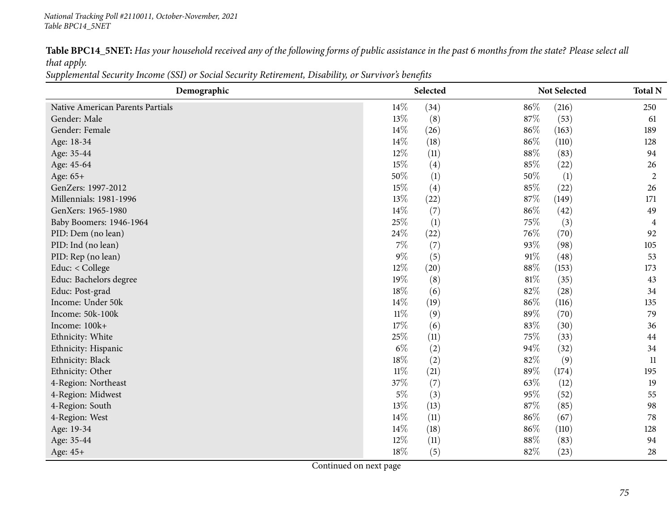### *National Tracking Poll #2110011, October-November, <sup>2021</sup> Table BPC14\_5NET*

Table BPC14\_5NET: Has your household received any of the following forms of public assistance in the past 6 months from the state? Please select all *that apply.*

Supplemental Security Income (SSI) or Social Security Retirement, Disability, or Survivor's benefits

| Demographic                      | Selected |      |        | Not Selected | <b>Total N</b> |
|----------------------------------|----------|------|--------|--------------|----------------|
| Native American Parents Partials | 14%      | (34) | 86%    | (216)        | 250            |
| Gender: Male                     | 13%      | (8)  | 87%    | (53)         | 61             |
| Gender: Female                   | $14\%$   | (26) | 86%    | (163)        | 189            |
| Age: 18-34                       | 14%      | (18) | 86%    | (110)        | 128            |
| Age: 35-44                       | 12%      | (11) | 88%    | (83)         | 94             |
| Age: 45-64                       | 15%      | (4)  | 85%    | (22)         | 26             |
| Age: 65+                         | 50%      | (1)  | 50%    | (1)          | $\overline{c}$ |
| GenZers: 1997-2012               | 15%      | (4)  | 85%    | (22)         | 26             |
| Millennials: 1981-1996           | 13%      | (22) | 87%    | (149)        | 171            |
| GenXers: 1965-1980               | 14\%     | (7)  | 86%    | (42)         | 49             |
| Baby Boomers: 1946-1964          | 25%      | (1)  | 75\%   | (3)          | 4              |
| PID: Dem (no lean)               | 24\%     | (22) | 76\%   | (70)         | 92             |
| PID: Ind (no lean)               | $7\%$    | (7)  | 93%    | (98)         | 105            |
| PID: Rep (no lean)               | $9\%$    | (5)  | 91%    | (48)         | 53             |
| Educ: < College                  | 12%      | (20) | 88%    | (153)        | 173            |
| Educ: Bachelors degree           | 19%      | (8)  | $81\%$ | (35)         | 43             |
| Educ: Post-grad                  | 18%      | (6)  | 82%    | (28)         | 34             |
| Income: Under 50k                | $14\%$   | (19) | 86%    | (116)        | 135            |
| Income: 50k-100k                 | $11\%$   | (9)  | 89%    | (70)         | 79             |
| Income: 100k+                    | 17%      | (6)  | 83%    | (30)         | 36             |
| Ethnicity: White                 | 25%      | (11) | 75\%   | (33)         | 44             |
| Ethnicity: Hispanic              | $6\%$    | (2)  | 94%    | (32)         | 34             |
| Ethnicity: Black                 | 18%      | (2)  | 82\%   | (9)          | 11             |
| Ethnicity: Other                 | $11\%$   | (21) | 89%    | (174)        | 195            |
| 4-Region: Northeast              | 37%      | (7)  | 63\%   | (12)         | 19             |
| 4-Region: Midwest                | $5\%$    | (3)  | 95%    | (52)         | 55             |
| 4-Region: South                  | 13%      | (13) | 87%    | (85)         | 98             |
| 4-Region: West                   | 14%      | (11) | 86%    | (67)         | 78             |
| Age: 19-34                       | $14\%$   | (18) | 86%    | (110)        | 128            |
| Age: 35-44                       | 12%      | (11) | 88%    | (83)         | 94             |
| Age: 45+                         | $18\%$   | (5)  | 82%    | (23)         | 28             |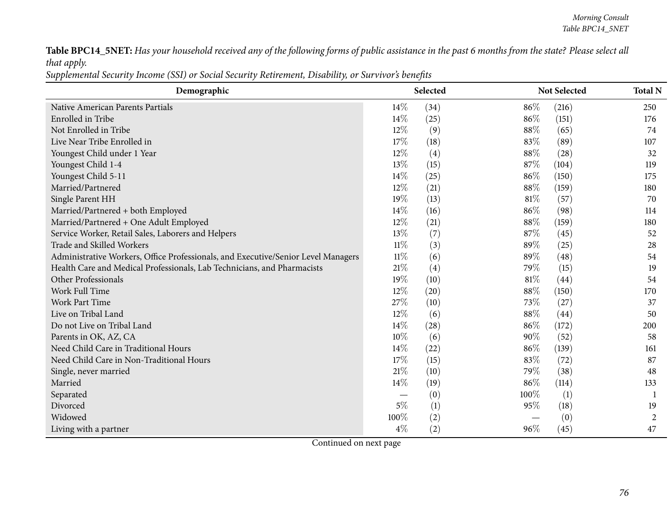Table BPC14\_5NET: Has your household received any of the following forms of public assistance in the past 6 months from the state? Please select all *that apply.*

Supplemental Security Income (SSI) or Social Security Retirement, Disability, or Survivor's benefits

| Demographic                                                                       |        | Selected |      | Not Selected | <b>Total N</b> |
|-----------------------------------------------------------------------------------|--------|----------|------|--------------|----------------|
| Native American Parents Partials                                                  | 14%    | (34)     | 86%  | (216)        | 250            |
| Enrolled in Tribe                                                                 | 14%    | (25)     | 86%  | (151)        | 176            |
| Not Enrolled in Tribe                                                             | 12%    | (9)      | 88%  | (65)         | 74             |
| Live Near Tribe Enrolled in                                                       | 17%    | (18)     | 83%  | (89)         | 107            |
| Youngest Child under 1 Year                                                       | $12\%$ | (4)      | 88%  | (28)         | 32             |
| Youngest Child 1-4                                                                | 13%    | (15)     | 87\% | (104)        | 119            |
| Youngest Child 5-11                                                               | $14\%$ | (25)     | 86%  | (150)        | 175            |
| Married/Partnered                                                                 | 12%    | (21)     | 88%  | (159)        | 180            |
| Single Parent HH                                                                  | 19%    | (13)     | 81\% | (57)         | 70             |
| Married/Partnered + both Employed                                                 | 14%    | (16)     | 86%  | (98)         | 114            |
| Married/Partnered + One Adult Employed                                            | 12%    | (21)     | 88%  | (159)        | 180            |
| Service Worker, Retail Sales, Laborers and Helpers                                | 13%    | (7)      | 87%  | (45)         | 52             |
| Trade and Skilled Workers                                                         | $11\%$ | (3)      | 89%  | (25)         | 28             |
| Administrative Workers, Office Professionals, and Executive/Senior Level Managers | $11\%$ | (6)      | 89%  | (48)         | 54             |
| Health Care and Medical Professionals, Lab Technicians, and Pharmacists           | 21\%   | (4)      | 79%  | (15)         | 19             |
| Other Professionals                                                               | 19%    | (10)     | 81\% | (44)         | 54             |
| Work Full Time                                                                    | 12%    | (20)     | 88%  | (150)        | 170            |
| Work Part Time                                                                    | 27%    | (10)     | 73%  | (27)         | 37             |
| Live on Tribal Land                                                               | 12%    | (6)      | 88%  | (44)         | 50             |
| Do not Live on Tribal Land                                                        | 14%    | (28)     | 86%  | (172)        | 200            |
| Parents in OK, AZ, CA                                                             | 10%    | (6)      | 90%  | (52)         | 58             |
| Need Child Care in Traditional Hours                                              | 14%    | (22)     | 86%  | (139)        | 161            |
| Need Child Care in Non-Traditional Hours                                          | 17%    | (15)     | 83%  | (72)         | 87             |
| Single, never married                                                             | 21%    | (10)     | 79%  | (38)         | 48             |
| Married                                                                           | 14%    | (19)     | 86%  | (114)        | 133            |
| Separated                                                                         |        | (0)      | 100% | (1)          | 1              |
| Divorced                                                                          | $5\%$  | (1)      | 95%  | (18)         | 19             |
| Widowed                                                                           | 100%   | (2)      |      | (0)          | 2              |
| Living with a partner                                                             | $4\%$  | (2)      | 96%  | (45)         | 47             |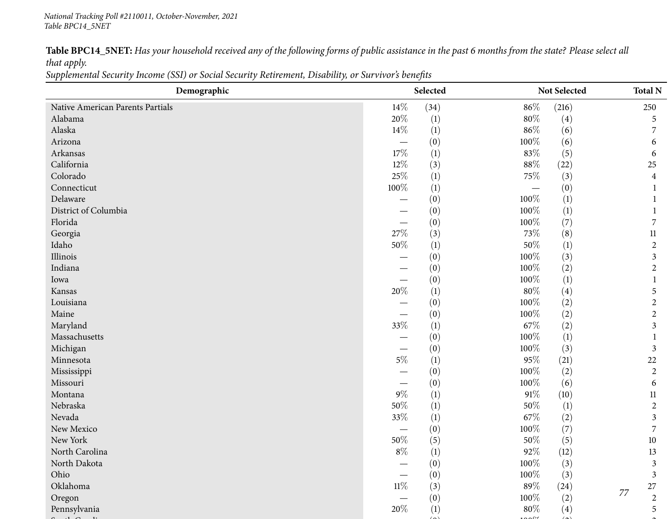Table BPC14\_5NET: Has your household received any of the following forms of public assistance in the past 6 months from the state? Please select all *that apply.*

Supplemental Security Income (SSI) or Social Security Retirement, Disability, or Survivor's benefits

| Demographic                      | Selected                 |                  |         | Not Selected     | <b>Total N</b>   |
|----------------------------------|--------------------------|------------------|---------|------------------|------------------|
| Native American Parents Partials | $14\%$                   | (34)             | $86\%$  | (216)            | 250              |
| Alabama                          | $20\%$                   | $\left(1\right)$ | $80\%$  | (4)              | 5                |
| Alaska                           | $14\%$                   | (1)              | $86\%$  | (6)              |                  |
| Arizona                          | $\overline{\phantom{0}}$ | (0)              | 100%    | (6)              | 6                |
| Arkansas                         | 17%                      | (1)              | 83%     | (5)              | 6                |
| California                       | 12%                      | (3)              | $88\%$  | (22)             | $25\,$           |
| Colorado                         | 25%                      | (1)              | 75%     | (3)              | $\overline{4}$   |
| Connecticut                      | 100%                     | (1)              |         | (0)              |                  |
| Delaware                         |                          | (0)              | 100%    | $\left(1\right)$ |                  |
| District of Columbia             |                          | (0)              | 100%    | $\left(1\right)$ |                  |
| Florida                          |                          | (0)              | 100%    | (7)              | 7                |
| Georgia                          | 27\%                     | (3)              | 73%     | (8)              | $11\,$           |
| Idaho                            | 50%                      | (1)              | 50%     | (1)              | $\overline{2}$   |
| Illinois                         |                          | (0)              | 100%    | (3)              | $\mathfrak{Z}$   |
| Indiana                          |                          | (0)              | 100%    | (2)              | $\overline{2}$   |
| Iowa                             |                          | (0)              | 100%    | $\left(1\right)$ |                  |
| Kansas                           | 20%                      | (1)              | $80\%$  | (4)              | 5                |
| Louisiana                        |                          | (0)              | 100%    | (2)              | $\overline{2}$   |
| Maine                            |                          | (0)              | 100%    | (2)              | 2                |
| Maryland                         | 33%                      | (1)              | 67\%    | (2)              | 3                |
| Massachusetts                    |                          | (0)              | 100%    | (1)              |                  |
| Michigan                         | $\overline{\phantom{0}}$ | (0)              | 100%    | (3)              | 3                |
| Minnesota                        | $5\%$                    | (1)              | $95\%$  | (21)             | $22\,$           |
| Mississippi                      |                          | (0)              | 100%    | (2)              | $\overline{2}$   |
| Missouri                         |                          | (0)              | 100%    | (6)              | 6                |
| Montana                          | $9\%$                    | $\left(1\right)$ | $91\%$  | (10)             | $11\,$           |
| Nebraska                         | 50%                      | (1)              | 50%     | $\left(1\right)$ | $\overline{2}$   |
| Nevada                           | 33%                      | (1)              | $67\%$  | (2)              | 3                |
| New Mexico                       |                          | (0)              | 100%    | (7)              | 7                |
| New York                         | $50\%$                   | (5)              | $50\%$  | (5)              | $10\,$           |
| North Carolina                   | $8\%$                    | (1)              | 92%     | (12)             | 13               |
| North Dakota                     |                          | (0)              | 100%    | (3)              | 3                |
| Ohio                             |                          | (0)              | 100%    | (3)              | 3                |
| Oklahoma                         | $11\%$                   | (3)              | $89\%$  | (24)             | 27<br>77         |
| Oregon                           |                          | (0)              | $100\%$ | (2)              | $\boldsymbol{2}$ |
| Pennsylvania                     | $20\%$                   | (1)              | $80\%$  | (4)              | $\mathfrak s$    |
|                                  |                          |                  |         |                  |                  |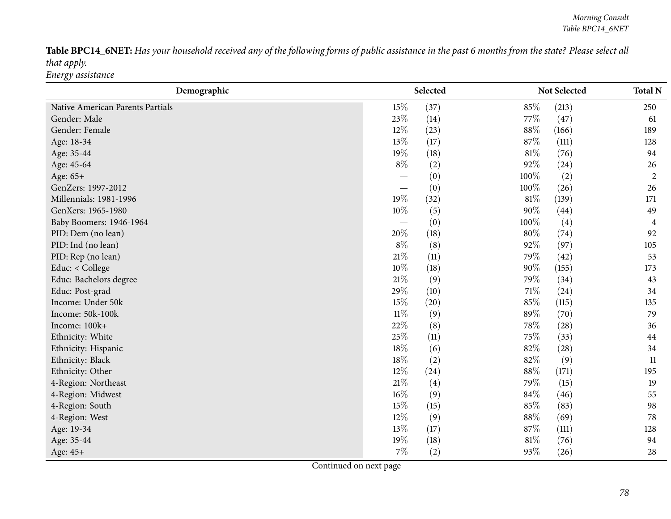Table BPC14\_6NET: Has your household received any of the following forms of public assistance in the past 6 months from the state? Please select all *that apply. Energy assistance*

| Demographic                      |        | Selected |        | Not Selected | <b>Total N</b> |
|----------------------------------|--------|----------|--------|--------------|----------------|
| Native American Parents Partials | 15%    | (37)     | 85%    | (213)        | 250            |
| Gender: Male                     | 23\%   | (14)     | 77%    | (47)         | 61             |
| Gender: Female                   | $12\%$ | (23)     | 88\%   | (166)        | 189            |
| Age: 18-34                       | 13%    | (17)     | 87%    | (111)        | 128            |
| Age: 35-44                       | 19%    | (18)     | 81\%   | (76)         | 94             |
| Age: 45-64                       | $8\%$  | (2)      | 92%    | (24)         | 26             |
| Age: 65+                         |        | (0)      | 100%   | (2)          | $\overline{2}$ |
| GenZers: 1997-2012               |        | (0)      | 100%   | (26)         | 26             |
| Millennials: 1981-1996           | 19%    | (32)     | $81\%$ | (139)        | 171            |
| GenXers: 1965-1980               | 10%    | (5)      | 90%    | (44)         | 49             |
| Baby Boomers: 1946-1964          |        | (0)      | 100%   | (4)          | 4              |
| PID: Dem (no lean)               | 20%    | (18)     | 80%    | (74)         | 92             |
| PID: Ind (no lean)               | $8\%$  | (8)      | 92%    | (97)         | 105            |
| PID: Rep (no lean)               | 21\%   | (11)     | 79%    | (42)         | 53             |
| Educ: < College                  | $10\%$ | (18)     | 90%    | (155)        | 173            |
| Educ: Bachelors degree           | $21\%$ | (9)      | 79%    | (34)         | 43             |
| Educ: Post-grad                  | 29%    | (10)     | 71\%   | (24)         | 34             |
| Income: Under 50k                | 15%    | (20)     | $85\%$ | (115)        | 135            |
| Income: 50k-100k                 | $11\%$ | (9)      | 89%    | (70)         | 79             |
| Income: 100k+                    | 22%    | (8)      | 78\%   | (28)         | 36             |
| Ethnicity: White                 | 25%    | (11)     | 75%    | (33)         | 44             |
| Ethnicity: Hispanic              | 18%    | (6)      | 82%    | (28)         | 34             |
| Ethnicity: Black                 | 18%    | (2)      | 82%    | (9)          | 11             |
| Ethnicity: Other                 | $12\%$ | (24)     | 88%    | (171)        | 195            |
| 4-Region: Northeast              | 21\%   | (4)      | 79%    | (15)         | 19             |
| 4-Region: Midwest                | $16\%$ | (9)      | 84%    | (46)         | 55             |
| 4-Region: South                  | 15%    | (15)     | 85%    | (83)         | 98             |
| 4-Region: West                   | 12%    | (9)      | 88%    | (69)         | 78             |
| Age: 19-34                       | 13%    | (17)     | 87%    | (111)        | 128            |
| Age: 35-44                       | 19%    | (18)     | $81\%$ | (76)         | 94             |
| Age: 45+                         | $7\%$  | (2)      | 93%    | (26)         | 28             |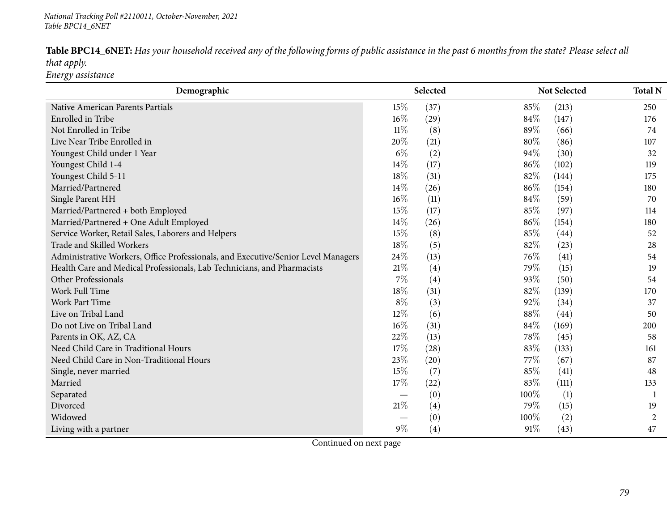Table BPC14\_6NET: Has your household received any of the following forms of public assistance in the past 6 months from the state? Please select all *that apply. Energy assistance*

| Demographic                                                                       |        | Selected |      | Not Selected | <b>Total N</b> |
|-----------------------------------------------------------------------------------|--------|----------|------|--------------|----------------|
| Native American Parents Partials                                                  | 15%    | (37)     | 85%  | (213)        | 250            |
| Enrolled in Tribe                                                                 | $16\%$ | (29)     | 84%  | (147)        | 176            |
| Not Enrolled in Tribe                                                             | $11\%$ | (8)      | 89%  | (66)         | 74             |
| Live Near Tribe Enrolled in                                                       | 20%    | (21)     | 80%  | (86)         | 107            |
| Youngest Child under 1 Year                                                       | $6\%$  | (2)      | 94%  | (30)         | 32             |
| Youngest Child 1-4                                                                | 14%    | (17)     | 86%  | (102)        | 119            |
| Youngest Child 5-11                                                               | 18%    | (31)     | 82%  | (144)        | 175            |
| Married/Partnered                                                                 | 14%    | (26)     | 86%  | (154)        | 180            |
| Single Parent HH                                                                  | $16\%$ | (11)     | 84%  | (59)         | 70             |
| Married/Partnered + both Employed                                                 | 15%    | (17)     | 85%  | (97)         | 114            |
| Married/Partnered + One Adult Employed                                            | 14%    | (26)     | 86%  | (154)        | 180            |
| Service Worker, Retail Sales, Laborers and Helpers                                | 15%    | (8)      | 85%  | (44)         | 52             |
| Trade and Skilled Workers                                                         | 18%    | (5)      | 82%  | (23)         | 28             |
| Administrative Workers, Office Professionals, and Executive/Senior Level Managers | 24%    | (13)     | 76%  | (41)         | 54             |
| Health Care and Medical Professionals, Lab Technicians, and Pharmacists           | 21\%   | (4)      | 79%  | (15)         | 19             |
| Other Professionals                                                               | $7\%$  | (4)      | 93%  | (50)         | 54             |
| Work Full Time                                                                    | 18%    | (31)     | 82%  | (139)        | 170            |
| Work Part Time                                                                    | $8\%$  | (3)      | 92%  | (34)         | 37             |
| Live on Tribal Land                                                               | 12%    | (6)      | 88%  | (44)         | 50             |
| Do not Live on Tribal Land                                                        | 16%    | (31)     | 84\% | (169)        | 200            |
| Parents in OK, AZ, CA                                                             | 22%    | (13)     | 78%  | (45)         | 58             |
| Need Child Care in Traditional Hours                                              | 17%    | (28)     | 83%  | (133)        | 161            |
| Need Child Care in Non-Traditional Hours                                          | 23%    | (20)     | 77\% | (67)         | 87             |
| Single, never married                                                             | 15%    | (7)      | 85%  | (41)         | 48             |
| Married                                                                           | 17%    | (22)     | 83%  | (111)        | 133            |
| Separated                                                                         |        | (0)      | 100% | (1)          | -1             |
| Divorced                                                                          | 21%    | (4)      | 79%  | (15)         | 19             |
| Widowed                                                                           |        | (0)      | 100% | (2)          | $\overline{2}$ |
| Living with a partner                                                             | $9\%$  | (4)      | 91%  | (43)         | 47             |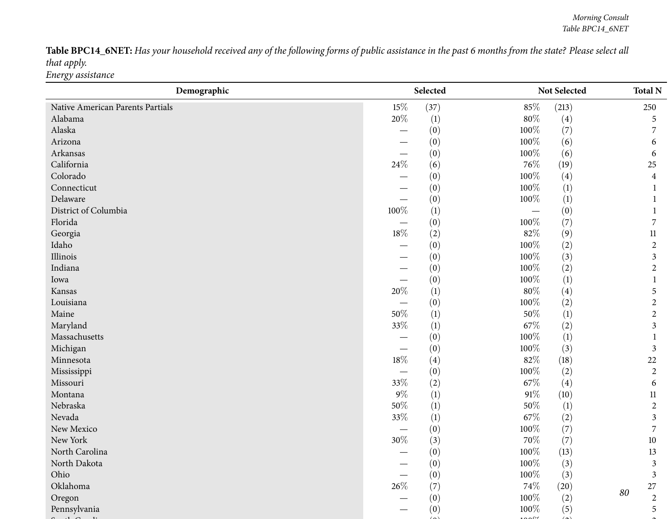Table BPC14\_6NET: Has your household received any of the following forms of public assistance in the past 6 months from the state? Please select all *that apply. Energy assistance*

| Demographic                      |         | Selected         |         | Not Selected     |    | <b>Total N</b> |
|----------------------------------|---------|------------------|---------|------------------|----|----------------|
| Native American Parents Partials | 15%     | (37)             | 85%     | (213)            |    | 250            |
| Alabama                          | 20%     | $\left(1\right)$ | $80\%$  | (4)              |    | 5              |
| Alaska                           |         | (0)              | 100%    | (7)              |    | 7              |
| Arizona                          |         | (0)              | 100%    | (6)              |    | 6              |
| Arkansas                         |         | (0)              | 100%    | (6)              |    | 6              |
| California                       | $24\%$  | (6)              | 76%     | (19)             |    | 25             |
| Colorado                         |         | (0)              | 100%    | (4)              |    | $\overline{4}$ |
| Connecticut                      |         | (0)              | 100%    | (1)              |    |                |
| Delaware                         |         | (0)              | 100%    | (1)              |    |                |
| District of Columbia             | $100\%$ | $\left(1\right)$ |         | (0)              |    |                |
| Florida                          |         | (0)              | 100%    | (7)              |    | 7              |
| Georgia                          | $18\%$  | (2)              | 82%     | (9)              |    | $11\,$         |
| Idaho                            |         | (0)              | 100%    | (2)              |    | $\overline{2}$ |
| Illinois                         |         | (0)              | 100%    | (3)              |    | 3              |
| Indiana                          |         | (0)              | 100%    | (2)              |    | $\overline{2}$ |
| Iowa                             |         | (0)              | 100%    | (1)              |    |                |
| Kansas                           | $20\%$  | (1)              | $80\%$  | (4)              |    | 5              |
| Louisiana                        |         | (0)              | 100%    | (2)              |    | $\overline{2}$ |
| Maine                            | $50\%$  | (1)              | 50%     | $\left(1\right)$ |    | $\overline{2}$ |
| Maryland                         | 33%     | (1)              | $67\%$  | (2)              |    | 3              |
| Massachusetts                    |         | (0)              | 100%    | $\left(1\right)$ |    |                |
| Michigan                         |         | (0)              | 100%    | (3)              |    | $\mathfrak{Z}$ |
| Minnesota                        | $18\%$  | (4)              | 82%     | (18)             |    | 22             |
| Mississippi                      |         | (0)              | 100%    | (2)              |    | $\overline{2}$ |
| Missouri                         | 33%     | (2)              | 67\%    | (4)              |    | 6              |
| Montana                          | $9\%$   | (1)              | $91\%$  | (10)             |    | 11             |
| Nebraska                         | $50\%$  | (1)              | 50%     | $\left(1\right)$ |    | $\overline{2}$ |
| Nevada                           | 33%     | (1)              | 67\%    | (2)              |    | 3              |
| New Mexico                       |         | (0)              | 100%    | (7)              |    | 7              |
| New York                         | $30\%$  | (3)              | $70\%$  | (7)              |    | $10\,$         |
| North Carolina                   |         | (0)              | 100%    | (13)             |    | 13             |
| North Dakota                     |         | (0)              | $100\%$ | (3)              |    | 3              |
| Ohio                             |         | (0)              | 100%    | (3)              |    | 3              |
| Oklahoma                         | $26\%$  | (7)              | 74\%    | (20)             | 80 | 27             |
| Oregon                           |         | (0)              | 100%    | (2)              |    | $\sqrt{2}$     |
| Pennsylvania                     |         | (0)              | 100%    | (5)              |    | 5              |
|                                  |         |                  |         |                  |    |                |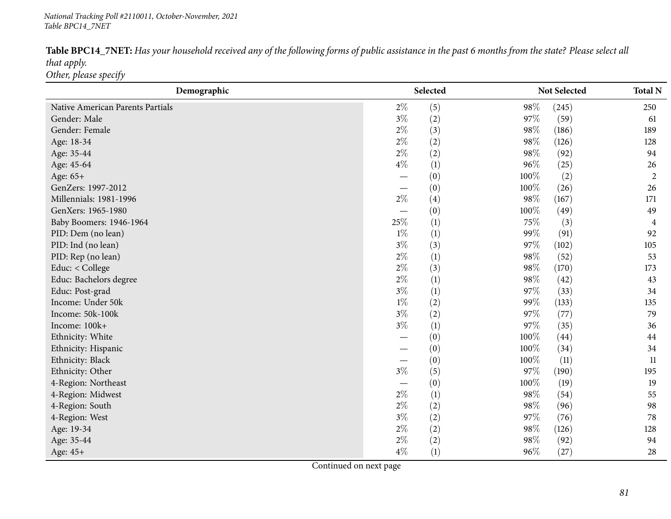## *National Tracking Poll #2110011, October-November, <sup>2021</sup> Table BPC14\_7NET*

| Table BPC14_7NET: Has your household received any of the following forms of public assistance in the past 6 months from the state? Please select all |  |
|------------------------------------------------------------------------------------------------------------------------------------------------------|--|
| that apply.                                                                                                                                          |  |
| Other, please specify                                                                                                                                |  |

| Demographic                      | Selected                 |     |        | Not Selected |                |
|----------------------------------|--------------------------|-----|--------|--------------|----------------|
| Native American Parents Partials | $2\%$                    | (5) | 98%    | (245)        | 250            |
| Gender: Male                     | $3\%$                    | (2) | 97%    | (59)         | 61             |
| Gender: Female                   | $2\%$                    | (3) | 98\%   | (186)        | 189            |
| Age: 18-34                       | $2\%$                    | (2) | 98%    | (126)        | 128            |
| Age: 35-44                       | $2\%$                    | (2) | 98%    | (92)         | 94             |
| Age: 45-64                       | $4\%$                    | (1) | 96%    | (25)         | 26             |
| Age: 65+                         | $\overline{\phantom{0}}$ | (0) | 100%   | (2)          | $\overline{2}$ |
| GenZers: 1997-2012               |                          | (0) | 100%   | (26)         | 26             |
| Millennials: 1981-1996           | $2\%$                    | (4) | 98%    | (167)        | 171            |
| GenXers: 1965-1980               |                          | (0) | 100%   | (49)         | 49             |
| Baby Boomers: 1946-1964          | 25%                      | (1) | 75%    | (3)          | 4              |
| PID: Dem (no lean)               | $1\%$                    | (1) | 99%    | (91)         | 92             |
| PID: Ind (no lean)               | $3\%$                    | (3) | 97%    | (102)        | 105            |
| PID: Rep (no lean)               | $2\%$                    | (1) | 98%    | (52)         | 53             |
| Educ: < College                  | $2\%$                    | (3) | 98%    | (170)        | 173            |
| Educ: Bachelors degree           | $2\%$                    | (1) | 98%    | (42)         | 43             |
| Educ: Post-grad                  | $3\%$                    | (1) | 97%    | (33)         | 34             |
| Income: Under 50k                | $1\%$                    | (2) | 99%    | (133)        | 135            |
| Income: 50k-100k                 | $3\%$                    | (2) | 97%    | (77)         | 79             |
| Income: 100k+                    | $3\%$                    | (1) | 97%    | (35)         | 36             |
| Ethnicity: White                 |                          | (0) | 100%   | (44)         | 44             |
| Ethnicity: Hispanic              | $\overline{\phantom{0}}$ | (0) | 100%   | (34)         | 34             |
| Ethnicity: Black                 | $\overline{\phantom{0}}$ | (0) | 100%   | (11)         | 11             |
| Ethnicity: Other                 | $3\%$                    | (5) | 97%    | (190)        | 195            |
| 4-Region: Northeast              |                          | (0) | 100%   | (19)         | 19             |
| 4-Region: Midwest                | $2\%$                    | (1) | 98%    | (54)         | 55             |
| 4-Region: South                  | $2\%$                    | (2) | 98%    | (96)         | 98             |
| 4-Region: West                   | $3\%$                    | (2) | 97%    | (76)         | 78             |
| Age: 19-34                       | $2\%$                    | (2) | 98%    | (126)        | 128            |
| Age: 35-44                       | $2\%$                    | (2) | 98%    | (92)         | 94             |
| Age: 45+                         | $4\%$                    | (1) | $96\%$ | (27)         | 28             |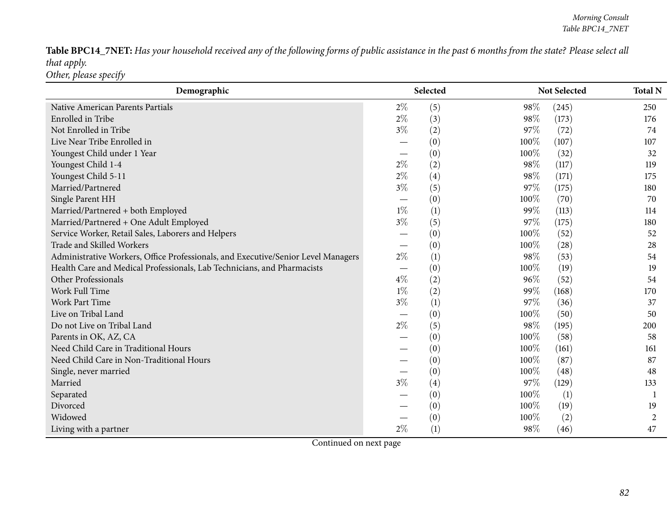Table BPC14\_7NET: Has your household received any of the following forms of public assistance in the past 6 months from the state? Please select all *that apply. Other, <sup>p</sup>lease specify*

| Demographic                                                                       |       | Selected |      | <b>Not Selected</b> | <b>Total N</b> |
|-----------------------------------------------------------------------------------|-------|----------|------|---------------------|----------------|
| Native American Parents Partials                                                  | $2\%$ | (5)      | 98%  | (245)               | 250            |
| Enrolled in Tribe                                                                 | $2\%$ | (3)      | 98%  | (173)               | 176            |
| Not Enrolled in Tribe                                                             | $3\%$ | (2)      | 97%  | (72)                | 74             |
| Live Near Tribe Enrolled in                                                       |       | (0)      | 100% | (107)               | 107            |
| Youngest Child under 1 Year                                                       |       | (0)      | 100% | (32)                | 32             |
| Youngest Child 1-4                                                                | $2\%$ | (2)      | 98%  | (117)               | 119            |
| Youngest Child 5-11                                                               | $2\%$ | (4)      | 98%  | (171)               | 175            |
| Married/Partnered                                                                 | $3\%$ | (5)      | 97%  | (175)               | 180            |
| Single Parent HH                                                                  |       | (0)      | 100% | (70)                | 70             |
| Married/Partnered + both Employed                                                 | $1\%$ | (1)      | 99%  | (113)               | 114            |
| Married/Partnered + One Adult Employed                                            | $3\%$ | (5)      | 97%  | (175)               | 180            |
| Service Worker, Retail Sales, Laborers and Helpers                                |       | (0)      | 100% | (52)                | 52             |
| Trade and Skilled Workers                                                         |       | (0)      | 100% | (28)                | 28             |
| Administrative Workers, Office Professionals, and Executive/Senior Level Managers | $2\%$ | (1)      | 98%  | (53)                | 54             |
| Health Care and Medical Professionals, Lab Technicians, and Pharmacists           |       | (0)      | 100% | (19)                | 19             |
| Other Professionals                                                               | $4\%$ | (2)      | 96%  | (52)                | 54             |
| Work Full Time                                                                    | $1\%$ | (2)      | 99%  | (168)               | 170            |
| Work Part Time                                                                    | $3\%$ | (1)      | 97%  | (36)                | 37             |
| Live on Tribal Land                                                               |       | (0)      | 100% | (50)                | 50             |
| Do not Live on Tribal Land                                                        | $2\%$ | (5)      | 98%  | (195)               | 200            |
| Parents in OK, AZ, CA                                                             |       | (0)      | 100% | (58)                | 58             |
| Need Child Care in Traditional Hours                                              |       | (0)      | 100% | (161)               | 161            |
| Need Child Care in Non-Traditional Hours                                          |       | (0)      | 100% | (87)                | 87             |
| Single, never married                                                             |       | (0)      | 100% | (48)                | 48             |
| Married                                                                           | $3\%$ | (4)      | 97%  | (129)               | 133            |
| Separated                                                                         |       | (0)      | 100% | (1)                 |                |
| Divorced                                                                          |       | (0)      | 100% | (19)                | 19             |
| Widowed                                                                           |       | (0)      | 100% | (2)                 | $\overline{c}$ |
| Living with a partner                                                             | $2\%$ | (1)      | 98%  | (46)                | 47             |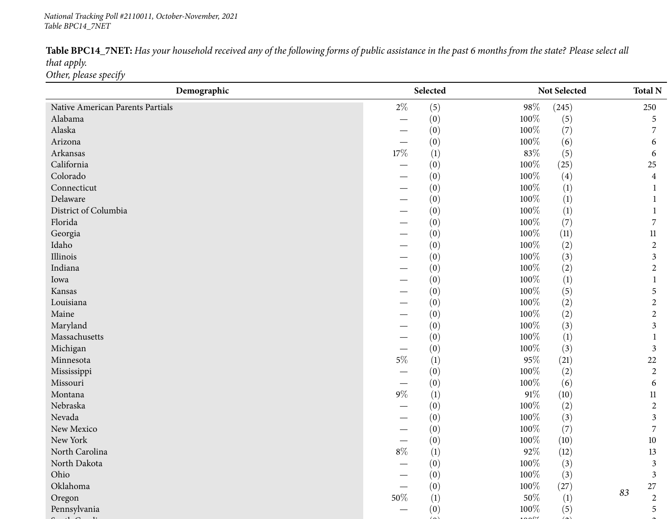### *National Tracking Poll #2110011, October-November, <sup>2021</sup> Table BPC14\_7NET*

| Table BPC14_7NET: Has your household received any of the following forms of public assistance in the past 6 months from the state? Please select all |  |
|------------------------------------------------------------------------------------------------------------------------------------------------------|--|
| that apply.                                                                                                                                          |  |
| Other, please specify                                                                                                                                |  |

| Demographic                      |                                 | Selected<br>Not Selected |         |                  |    | <b>Total N</b> |
|----------------------------------|---------------------------------|--------------------------|---------|------------------|----|----------------|
| Native American Parents Partials | $2\%$                           | (5)                      | $98\%$  | (245)            |    | 250            |
| Alabama                          |                                 | (0)                      | 100%    | (5)              |    | 5              |
| Alaska                           |                                 | (0)                      | 100%    | (7)              |    |                |
| Arizona                          | $\hspace{0.1mm}-\hspace{0.1mm}$ | (0)                      | 100%    | (6)              |    | 6              |
| Arkansas                         | $17\%$                          | (1)                      | $83\%$  | (5)              |    | 6              |
| California                       |                                 | (0)                      | 100%    | (25)             |    | 25             |
| Colorado                         | $\overbrace{\phantom{aaaaa}}$   | (0)                      | 100%    | (4)              |    | 4              |
| Connecticut                      |                                 | (0)                      | 100%    | $\left(1\right)$ |    | 1              |
| Delaware                         |                                 | (0)                      | 100%    | (1)              |    |                |
| District of Columbia             |                                 | (0)                      | 100%    | (1)              |    |                |
| Florida                          | $\overbrace{\phantom{aaaaa}}$   | (0)                      | 100%    | (7)              |    | 7              |
| Georgia                          |                                 | (0)                      | 100%    | (11)             |    | $11\,$         |
| Idaho                            |                                 | (0)                      | 100%    | (2)              |    | $\overline{2}$ |
| Illinois                         |                                 | (0)                      | 100%    | (3)              |    | $\mathfrak{Z}$ |
| Indiana                          |                                 | (0)                      | 100%    | (2)              |    | $\overline{2}$ |
| Iowa                             |                                 | (0)                      | 100%    | $\left(1\right)$ |    |                |
| Kansas                           |                                 | (0)                      | 100%    | (5)              |    | 5              |
| Louisiana                        |                                 | (0)                      | 100%    | (2)              |    | 2              |
| Maine                            | $\overbrace{\phantom{aaaaa}}$   | (0)                      | 100%    | (2)              |    | $\overline{2}$ |
| Maryland                         |                                 | (0)                      | 100%    | (3)              |    | 3              |
| Massachusetts                    |                                 | (0)                      | 100%    | $\left(1\right)$ |    |                |
| Michigan                         |                                 | (0)                      | 100%    | (3)              |    | 3              |
| Minnesota                        | $5\%$                           | (1)                      | $95\%$  | (21)             |    | 22             |
| Mississippi                      |                                 | (0)                      | 100%    | (2)              |    | $\overline{2}$ |
| Missouri                         |                                 | (0)                      | 100%    | (6)              |    | 6              |
| Montana                          | $9\%$                           | (1)                      | $91\%$  | (10)             |    | $11\,$         |
| Nebraska                         |                                 | (0)                      | 100%    | (2)              |    | $\overline{2}$ |
| Nevada                           |                                 | (0)                      | 100%    | (3)              |    | 3              |
| New Mexico                       |                                 | (0)                      | 100%    | (7)              |    | 7              |
| New York                         |                                 | (0)                      | 100%    | (10)             |    | $10\,$         |
| North Carolina                   | $8\%$                           | (1)                      | 92%     | (12)             |    | 13             |
| North Dakota                     |                                 | (0)                      | $100\%$ | (3)              |    | $\mathfrak{Z}$ |
| Ohio                             |                                 | (0)                      | $100\%$ | (3)              |    | $\mathfrak{Z}$ |
| Oklahoma                         |                                 | (0)                      | 100%    | (27)             | 83 | 27             |
| Oregon                           | $50\%$                          | (1)                      | $50\%$  | (1)              |    | $\overline{2}$ |
| Pennsylvania                     |                                 | (0)                      | 100%    | (5)              |    | 5              |
|                                  |                                 |                          |         |                  |    |                |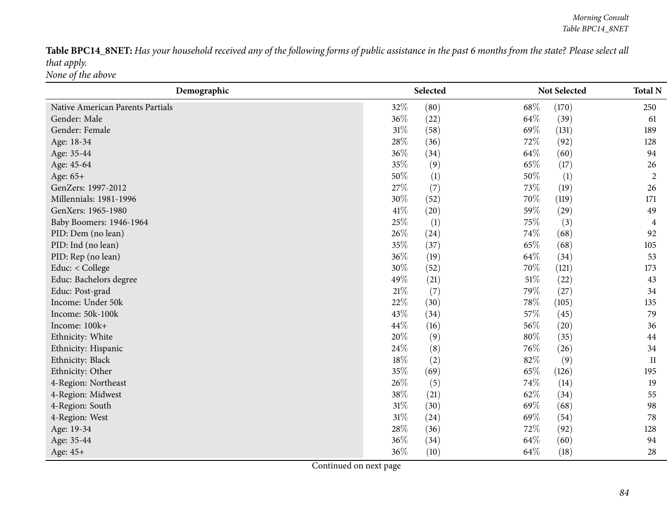Table BPC14\_8NET: Has your household received any of the following forms of public assistance in the past 6 months from the state? Please select all *that apply. None of the above*

| Demographic                      |        | Selected |        | Not Selected | <b>Total N</b> |
|----------------------------------|--------|----------|--------|--------------|----------------|
| Native American Parents Partials | 32%    | (80)     | 68%    | (170)        | 250            |
| Gender: Male                     | 36%    | (22)     | 64\%   | (39)         | 61             |
| Gender: Female                   | $31\%$ | (58)     | 69%    | (131)        | 189            |
| Age: 18-34                       | 28%    | (36)     | 72%    | (92)         | 128            |
| Age: 35-44                       | 36%    | (34)     | 64%    | (60)         | 94             |
| Age: 45-64                       | 35%    | (9)      | 65%    | (17)         | 26             |
| Age: 65+                         | 50%    | (1)      | 50%    | (1)          | $\overline{2}$ |
| GenZers: 1997-2012               | 27\%   | (7)      | 73%    | (19)         | 26             |
| Millennials: 1981-1996           | 30%    | (52)     | 70%    | (119)        | 171            |
| GenXers: 1965-1980               | 41\%   | (20)     | 59%    | (29)         | 49             |
| Baby Boomers: 1946-1964          | 25%    | (1)      | 75%    | (3)          | 4              |
| PID: Dem (no lean)               | 26%    | (24)     | 74%    | (68)         | 92             |
| PID: Ind (no lean)               | 35%    | (37)     | 65%    | (68)         | 105            |
| PID: Rep (no lean)               | 36%    | (19)     | 64%    | (34)         | 53             |
| Educ: < College                  | 30%    | (52)     | 70%    | (121)        | 173            |
| Educ: Bachelors degree           | 49%    | (21)     | $51\%$ | (22)         | 43             |
| Educ: Post-grad                  | 21%    | (7)      | 79%    | (27)         | 34             |
| Income: Under 50k                | 22%    | (30)     | 78%    | (105)        | 135            |
| Income: 50k-100k                 | 43%    | (34)     | 57%    | (45)         | 79             |
| Income: 100k+                    | 44\%   | (16)     | 56%    | (20)         | 36             |
| Ethnicity: White                 | 20%    | (9)      | $80\%$ | (35)         | 44             |
| Ethnicity: Hispanic              | 24%    | (8)      | 76%    | (26)         | 34             |
| Ethnicity: Black                 | 18%    | (2)      | 82%    | (9)          | 11             |
| Ethnicity: Other                 | 35%    | (69)     | 65%    | (126)        | 195            |
| 4-Region: Northeast              | 26\%   | (5)      | 74%    | (14)         | 19             |
| 4-Region: Midwest                | 38%    | (21)     | 62%    | (34)         | 55             |
| 4-Region: South                  | $31\%$ | (30)     | 69%    | (68)         | 98             |
| 4-Region: West                   | $31\%$ | (24)     | 69%    | (54)         | 78             |
| Age: 19-34                       | 28%    | (36)     | 72%    | (92)         | 128            |
| Age: 35-44                       | 36\%   | (34)     | 64%    | (60)         | 94             |
| Age: 45+                         | 36%    | (10)     | 64%    | (18)         | 28             |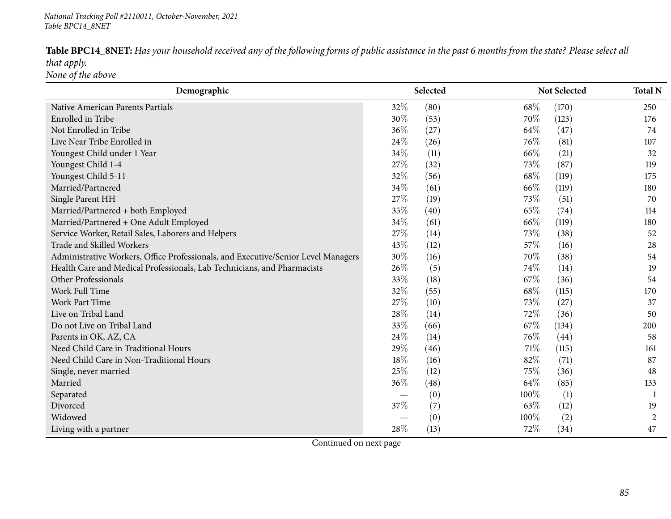Table BPC14\_8NET: Has your household received any of the following forms of public assistance in the past 6 months from the state? Please select all *that apply. None of the above*

| Demographic                                                                       |      | Selected |      | Not Selected |                |  |
|-----------------------------------------------------------------------------------|------|----------|------|--------------|----------------|--|
| Native American Parents Partials                                                  | 32%  | (80)     | 68\% | (170)        | 250            |  |
| Enrolled in Tribe                                                                 | 30%  | (53)     | 70%  | (123)        | 176            |  |
| Not Enrolled in Tribe                                                             | 36%  | (27)     | 64%  | (47)         | 74             |  |
| Live Near Tribe Enrolled in                                                       | 24\% | (26)     | 76%  | (81)         | 107            |  |
| Youngest Child under 1 Year                                                       | 34%  | (11)     | 66%  | (21)         | 32             |  |
| Youngest Child 1-4                                                                | 27\% | (32)     | 73\% | (87)         | 119            |  |
| Youngest Child 5-11                                                               | 32%  | (56)     | 68\% | (119)        | 175            |  |
| Married/Partnered                                                                 | 34%  | (61)     | 66%  | (119)        | 180            |  |
| Single Parent HH                                                                  | 27%  | (19)     | 73%  | (51)         | 70             |  |
| Married/Partnered + both Employed                                                 | 35%  | (40)     | 65%  | (74)         | 114            |  |
| Married/Partnered + One Adult Employed                                            | 34\% | (61)     | 66\% | (119)        | 180            |  |
| Service Worker, Retail Sales, Laborers and Helpers                                | 27%  | (14)     | 73%  | (38)         | 52             |  |
| Trade and Skilled Workers                                                         | 43%  | (12)     | 57%  | (16)         | 28             |  |
| Administrative Workers, Office Professionals, and Executive/Senior Level Managers | 30%  | (16)     | 70%  | (38)         | 54             |  |
| Health Care and Medical Professionals, Lab Technicians, and Pharmacists           | 26%  | (5)      | 74%  | (14)         | 19             |  |
| Other Professionals                                                               | 33%  | (18)     | 67%  | (36)         | 54             |  |
| <b>Work Full Time</b>                                                             | 32%  | (55)     | 68\% | (115)        | 170            |  |
| Work Part Time                                                                    | 27%  | (10)     | 73%  | (27)         | 37             |  |
| Live on Tribal Land                                                               | 28%  | (14)     | 72\% | (36)         | 50             |  |
| Do not Live on Tribal Land                                                        | 33%  | (66)     | 67\% | (134)        | 200            |  |
| Parents in OK, AZ, CA                                                             | 24\% | (14)     | 76\% | (44)         | 58             |  |
| Need Child Care in Traditional Hours                                              | 29%  | (46)     | 71\% | (115)        | 161            |  |
| Need Child Care in Non-Traditional Hours                                          | 18%  | (16)     | 82%  | (71)         | 87             |  |
| Single, never married                                                             | 25\% | (12)     | 75%  | (36)         | 48             |  |
| Married                                                                           | 36%  | (48)     | 64\% | (85)         | 133            |  |
| Separated                                                                         |      | (0)      | 100% | (1)          |                |  |
| Divorced                                                                          | 37%  | (7)      | 63%  | (12)         | 19             |  |
| Widowed                                                                           |      | (0)      | 100% | (2)          | $\overline{2}$ |  |
| Living with a partner                                                             | 28%  | (13)     | 72%  | (34)         | 47             |  |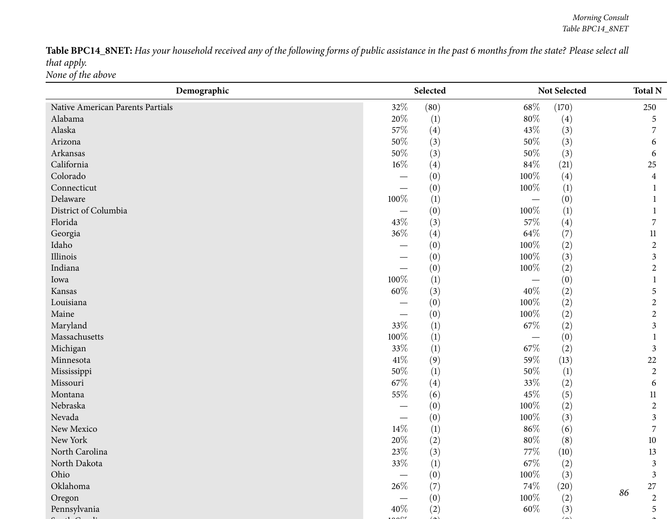Table BPC14\_8NET: Has your household received any of the following forms of public assistance in the past 6 months from the state? Please select all *that apply. None of the above*

| Demographic                      | Selected |                  |         | Not Selected |    | <b>Total N</b>   |
|----------------------------------|----------|------------------|---------|--------------|----|------------------|
| Native American Parents Partials | 32%      | (80)             | $68\%$  | (170)        |    | 250              |
| Alabama                          | 20%      | $\left(1\right)$ | $80\%$  | (4)          |    | 5                |
| Alaska                           | 57%      | (4)              | 43\%    | (3)          |    | 7                |
| Arizona                          | $50\%$   | (3)              | $50\%$  | (3)          |    | 6                |
| Arkansas                         | 50%      | (3)              | $50\%$  | (3)          |    | 6                |
| California                       | $16\%$   | (4)              | 84\%    | (21)         |    | $25\,$           |
| Colorado                         |          | (0)              | 100%    | (4)          |    | $\overline{4}$   |
| Connecticut                      |          | (0)              | 100%    | (1)          |    |                  |
| Delaware                         | 100%     | (1)              |         | (0)          |    |                  |
| District of Columbia             |          | (0)              | 100%    | (1)          |    |                  |
| Florida                          | 43%      | (3)              | 57%     | (4)          |    | 7                |
| Georgia                          | 36%      | (4)              | 64\%    | (7)          |    | 11               |
| Idaho                            |          | (0)              | $100\%$ | (2)          |    | $\boldsymbol{2}$ |
| Illinois                         |          | (0)              | 100%    | (3)          |    | 3                |
| Indiana                          |          | (0)              | $100\%$ | (2)          |    | 2                |
| Iowa                             | 100%     | (1)              |         | (0)          |    |                  |
| Kansas                           | $60\%$   | (3)              | 40%     | (2)          |    | 5                |
| Louisiana                        |          | (0)              | 100%    | (2)          |    | $\overline{2}$   |
| Maine                            |          | (0)              | $100\%$ | (2)          |    | $\mathbf{2}$     |
| Maryland                         | 33%      | (1)              | $67\%$  | (2)          |    | 3                |
| Massachusetts                    | 100%     | (1)              |         | (0)          |    | 1                |
| Michigan                         | 33%      | (1)              | $67\%$  | (2)          |    | 3                |
| Minnesota                        | 41\%     | (9)              | 59%     | (13)         |    | 22               |
| Mississippi                      | 50%      | (1)              | $50\%$  | (1)          |    | $\overline{2}$   |
| Missouri                         | 67%      | (4)              | 33%     | (2)          |    | 6                |
| Montana                          | 55%      | (6)              | 45%     | (5)          |    | 11               |
| Nebraska                         |          | (0)              | $100\%$ | (2)          |    | $\mathbf{2}$     |
| Nevada                           |          | (0)              | $100\%$ | (3)          |    | 3                |
| New Mexico                       | $14\%$   | (1)              | $86\%$  | (6)          |    | $\overline{7}$   |
| New York                         | 20%      | (2)              | $80\%$  | (8)          |    | $10\,$           |
| North Carolina                   | 23%      | (3)              | 77\%    | (10)         |    | 13               |
| North Dakota                     | $33\%$   | (1)              | $67\%$  | (2)          |    | 3                |
| Ohio                             |          | (0)              | $100\%$ | (3)          |    | $\mathfrak{Z}$   |
| Oklahoma                         | $26\%$   | (7)              | 74\%    | (20)         | 86 | $27\,$           |
| Oregon                           |          | (0)              | 100%    | (2)          |    | $\overline{2}$   |
| Pennsylvania                     | 40%      | (2)              | $60\%$  | (3)          |    | 5                |
|                                  |          |                  |         |              |    |                  |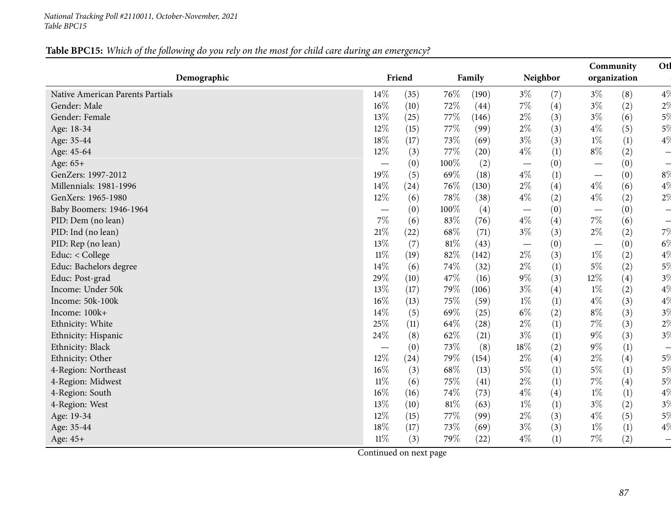### *National Tracking Poll #2110011, October-November, <sup>2021</sup> Table BPC15*

# Table BPC15: Which of the following do you rely on the most for child care during an emergency?

| Demographic                      |                               | Friend |        | Family |                                 | Neighbor |                          | Community<br>organization | Otl                      |
|----------------------------------|-------------------------------|--------|--------|--------|---------------------------------|----------|--------------------------|---------------------------|--------------------------|
| Native American Parents Partials | 14%                           | (35)   | 76\%   | (190)  | $3\%$                           | (7)      | $3\%$                    | (8)                       | $4\%$                    |
| Gender: Male                     | 16%                           | (10)   | 72%    | (44)   | 7%                              | (4)      | $3\%$                    | (2)                       | $2\%$                    |
| Gender: Female                   | 13%                           | (25)   | 77%    | (146)  | $2\%$                           | (3)      | $3\%$                    | (6)                       | 5%                       |
| Age: 18-34                       | 12%                           | (15)   | 77%    | (99)   | $2\%$                           | (3)      | $4\%$                    | (5)                       | $5\%$                    |
| Age: 35-44                       | 18%                           | (17)   | 73\%   | (69)   | $3\%$                           | (3)      | $1\%$                    | (1)                       | 4%                       |
| Age: 45-64                       | 12%                           | (3)    | 77\%   | (20)   | $4\%$                           | (1)      | $8\%$                    | (2)                       | $\overline{\phantom{0}}$ |
| Age: 65+                         |                               | (0)    | 100%   | (2)    | $\hspace{0.1mm}-\hspace{0.1mm}$ | (0)      |                          | (0)                       | $\overline{\phantom{0}}$ |
| GenZers: 1997-2012               | 19%                           | (5)    | 69%    | (18)   | $4\%$                           | (1)      |                          | (0)                       | 8%                       |
| Millennials: 1981-1996           | 14%                           | (24)   | 76%    | (130)  | $2\%$                           | (4)      | $4\%$                    | (6)                       | 4%                       |
| GenXers: 1965-1980               | 12%                           | (6)    | 78\%   | (38)   | $4\%$                           | (2)      | $4\%$                    | (2)                       | $2\%$                    |
| Baby Boomers: 1946-1964          |                               | (0)    | 100%   | (4)    | $\hspace{0.05cm}$               | (0)      |                          | (0)                       | $\overline{\phantom{0}}$ |
| PID: Dem (no lean)               | 7%                            | (6)    | 83%    | (76)   | $4\%$                           | (4)      | $7\%$                    | (6)                       | $\overline{\phantom{0}}$ |
| PID: Ind (no lean)               | 21%                           | (22)   | 68\%   | (71)   | $3\%$                           | (3)      | $2\%$                    | (2)                       | 7%                       |
| PID: Rep (no lean)               | 13%                           | (7)    | 81%    | (43)   | $\overline{\phantom{m}}$        | (0)      | $\overline{\phantom{0}}$ | (0)                       | $6\%$                    |
| Educ: < College                  | $11\%$                        | (19)   | 82%    | (142)  | $2\%$                           | (3)      | $1\%$                    | (2)                       | $4\%$                    |
| Educ: Bachelors degree           | 14%                           | (6)    | 74%    | (32)   | $2\%$                           | (1)      | $5\%$                    | (2)                       | $5\%$                    |
| Educ: Post-grad                  | 29%                           | (10)   | 47\%   | (16)   | $9\%$                           | (3)      | 12%                      | (4)                       | 3%                       |
| Income: Under 50k                | 13%                           | (17)   | 79%    | (106)  | $3\%$                           | (4)      | $1\%$                    | (2)                       | 4%                       |
| Income: 50k-100k                 | 16%                           | (13)   | 75%    | (59)   | $1\%$                           | (1)      | $4\%$                    | (3)                       | $4\%$                    |
| Income: 100k+                    | 14\%                          | (5)    | 69%    | (25)   | $6\%$                           | (2)      | $8\%$                    | (3)                       | 3%                       |
| Ethnicity: White                 | 25%                           | (11)   | 64\%   | (28)   | $2\%$                           | (1)      | 7%                       | (3)                       | 2%                       |
| Ethnicity: Hispanic              | 24%                           | (8)    | 62%    | (21)   | $3\%$                           | (1)      | $9\%$                    | (3)                       | 3%                       |
| Ethnicity: Black                 | $\overbrace{\phantom{aaaaa}}$ | (0)    | 73%    | (8)    | 18%                             | (2)      | $9\%$                    | (1)                       | $\overline{\phantom{0}}$ |
| Ethnicity: Other                 | 12%                           | (24)   | 79%    | (154)  | $2\%$                           | (4)      | $2\%$                    | (4)                       | 5%                       |
| 4-Region: Northeast              | 16%                           | (3)    | 68\%   | (13)   | $5\%$                           | (1)      | $5\%$                    | (1)                       | $5\%$                    |
| 4-Region: Midwest                | $11\%$                        | (6)    | 75\%   | (41)   | $2\%$                           | (1)      | $7\%$                    | (4)                       | $5\%$                    |
| 4-Region: South                  | 16%                           | (16)   | 74%    | (73)   | $4\%$                           | (4)      | $1\%$                    | (1)                       | 4%                       |
| 4-Region: West                   | 13%                           | (10)   | $81\%$ | (63)   | $1\%$                           | (1)      | $3\%$                    | (2)                       | 3%                       |
| Age: 19-34                       | 12%                           | (15)   | 77%    | (99)   | $2\%$                           | (3)      | $4\%$                    | (5)                       | 5%                       |
| Age: 35-44                       | 18%                           | (17)   | 73%    | (69)   | $3\%$                           | (3)      | $1\%$                    | (1)                       | $4\%$                    |
| Age: 45+                         | $11\%$                        | (3)    | 79%    | (22)   | $4\%$                           | (1)      | 7%                       | (2)                       |                          |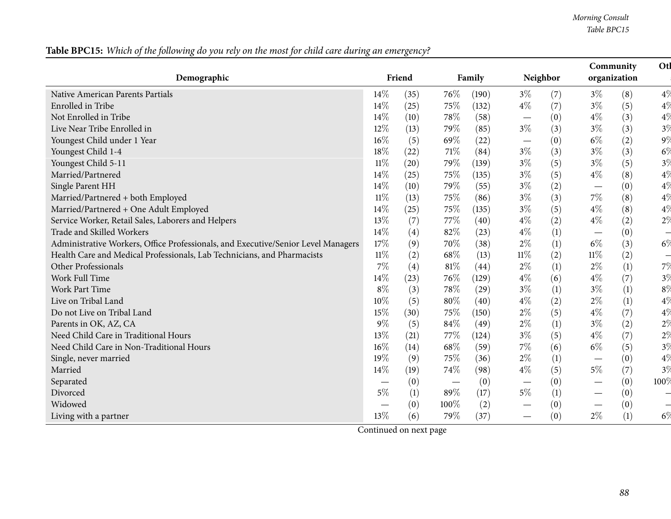*Morning Consult Table BPC15*

| Demographic                                                                       |                               | Friend |                                 | Family |                                 | Neighbor |                                 | Otl<br>Community<br>organization |                          |
|-----------------------------------------------------------------------------------|-------------------------------|--------|---------------------------------|--------|---------------------------------|----------|---------------------------------|----------------------------------|--------------------------|
| Native American Parents Partials                                                  | 14%                           | (35)   | 76%                             | (190)  | $3\%$                           | (7)      | $3\%$                           | (8)                              | $4\%$                    |
| Enrolled in Tribe                                                                 | 14%                           | (25)   | 75\%                            | (132)  | $4\%$                           | (7)      | $3\%$                           | (5)                              | $4\%$                    |
| Not Enrolled in Tribe                                                             | 14%                           | (10)   | 78%                             | (58)   | $\hspace{0.05cm}$               | (0)      | $4\%$                           | (3)                              | $4\%$                    |
| Live Near Tribe Enrolled in                                                       | 12%                           | (13)   | 79%                             | (85)   | $3\%$                           | (3)      | $3\%$                           | (3)                              | 3%                       |
| Youngest Child under 1 Year                                                       | 16%                           | (5)    | 69%                             | (22)   | $\hspace{0.1mm}-\hspace{0.1mm}$ | (0)      | $6\%$                           | (2)                              | $9\%$                    |
| Youngest Child 1-4                                                                | $18\%$                        | (22)   | 71\%                            | (84)   | $3\%$                           | (3)      | $3\%$                           | (3)                              | $6\%$                    |
| Youngest Child 5-11                                                               | $11\%$                        | (20)   | 79%                             | (139)  | $3\%$                           | (5)      | $3\%$                           | (5)                              | 3%                       |
| Married/Partnered                                                                 | 14%                           | (25)   | 75%                             | (135)  | $3\%$                           | (5)      | $4\%$                           | (8)                              | $4\%$                    |
| Single Parent HH                                                                  | 14%                           | (10)   | 79%                             | (55)   | $3\%$                           | (2)      |                                 | (0)                              | $4\%$                    |
| Married/Partnered + both Employed                                                 | $11\%$                        | (13)   | 75%                             | (86)   | $3\%$                           | (3)      | $7\%$                           | (8)                              | $4\%$                    |
| Married/Partnered + One Adult Employed                                            | 14%                           | (25)   | 75%                             | (135)  | $3\%$                           | (5)      | $4\%$                           | (8)                              | $4\%$                    |
| Service Worker, Retail Sales, Laborers and Helpers                                | 13%                           | (7)    | 77\%                            | (40)   | $4\%$                           | (2)      | $4\%$                           | (2)                              | $2\%$                    |
| Trade and Skilled Workers                                                         | 14%                           | (4)    | 82%                             | (23)   | $4\%$                           | (1)      | $\hspace{0.1mm}-\hspace{0.1mm}$ | (0)                              | $\overline{\phantom{0}}$ |
| Administrative Workers, Office Professionals, and Executive/Senior Level Managers | 17%                           | (9)    | 70%                             | (38)   | $2\%$                           | (1)      | $6\%$                           | (3)                              | $6\%$                    |
| Health Care and Medical Professionals, Lab Technicians, and Pharmacists           | $11\%$                        | (2)    | 68\%                            | (13)   | $11\%$                          | (2)      | $11\%$                          | (2)                              | $\overline{\phantom{0}}$ |
| Other Professionals                                                               | 7%                            | (4)    | 81%                             | (44)   | $2\%$                           | (1)      | $2\%$                           | (1)                              | 7%                       |
| Work Full Time                                                                    | 14%                           | (23)   | 76%                             | (129)  | $4\%$                           | (6)      | $4\%$                           | (7)                              | $3\%$                    |
| Work Part Time                                                                    | $8\%$                         | (3)    | 78%                             | (29)   | $3\%$                           | (1)      | $3\%$                           | (1)                              | $8\%$                    |
| Live on Tribal Land                                                               | $10\%$                        | (5)    | 80%                             | (40)   | $4\%$                           | (2)      | $2\%$                           | (1)                              | 4%                       |
| Do not Live on Tribal Land                                                        | 15%                           | (30)   | 75%                             | (150)  | $2\%$                           | (5)      | $4\%$                           | (7)                              | $4\%$                    |
| Parents in OK, AZ, CA                                                             | $9\%$                         | (5)    | 84%                             | (49)   | $2\%$                           | (1)      | $3\%$                           | (2)                              | $2\%$                    |
| Need Child Care in Traditional Hours                                              | 13%                           | (21)   | 77%                             | (124)  | $3\%$                           | (5)      | $4\%$                           | (7)                              | 2%                       |
| Need Child Care in Non-Traditional Hours                                          | 16%                           | (14)   | 68\%                            | (59)   | $7\%$                           | (6)      | $6\%$                           | (5)                              | $3\%$                    |
| Single, never married                                                             | 19%                           | (9)    | 75%                             | (36)   | $2\%$                           | (1)      | $\hspace{0.1mm}-\hspace{0.1mm}$ | (0)                              | $4\%$                    |
| Married                                                                           | 14%                           | (19)   | 74%                             | (98)   | $4\%$                           | (5)      | $5\%$                           | (7)                              | $3\%$                    |
| Separated                                                                         | $\overbrace{\phantom{aaaaa}}$ | (0)    | $\hspace{0.1mm}-\hspace{0.1mm}$ | (0)    | $\hspace{0.05cm}$               | (0)      | $\overline{\phantom{0}}$        | (0)                              | 100%                     |
| Divorced                                                                          | $5\%$                         | (1)    | 89%                             | (17)   | $5\%$                           | (1)      | $\hspace{0.05cm}$               | (0)                              | -                        |
| Widowed                                                                           |                               | (0)    | 100%                            | (2)    |                                 | (0)      | $\hspace{0.1mm}-\hspace{0.1mm}$ | (0)                              |                          |
| Living with a partner                                                             | 13%                           | (6)    | 79%                             | (37)   |                                 | (0)      | $2\%$                           | (1)                              | $6\%$                    |

Table BPC15: Which of the following do you rely on the most for child care during an emergency?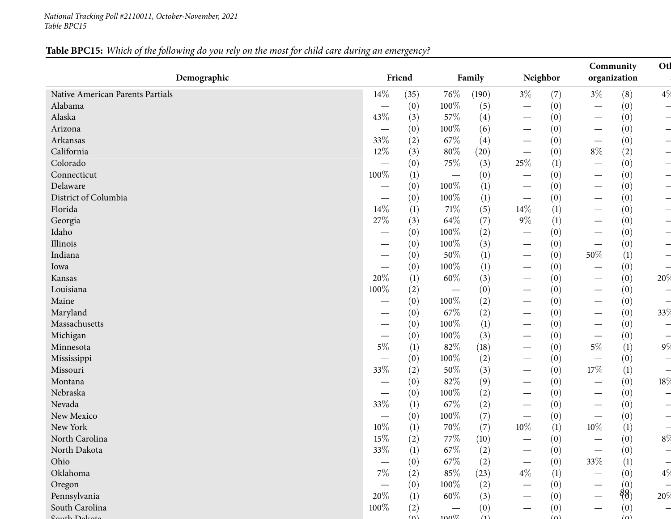#### *National Tracking Poll #2110011, October-November, <sup>2021</sup> Table BPC15*

# Table BPC15: Which of the following do you rely on the most for child care during an emergency?

| Demographic                      |                                 | Friend   |                                 | Family |                                 | Neighbor         |                                   | Community<br>organization                    |                          |
|----------------------------------|---------------------------------|----------|---------------------------------|--------|---------------------------------|------------------|-----------------------------------|----------------------------------------------|--------------------------|
| Native American Parents Partials | $14\%$                          | (35)     | 76\%                            | (190)  | $3\%$                           | (7)              | $3\%$                             | (8)                                          | 4%                       |
| Alabama                          |                                 | (0)      | 100%                            | (5)    | $\hspace{0.1mm}-\hspace{0.1mm}$ | (0)              | $\hspace{0.05cm}$                 | (0)                                          | $\overline{\phantom{0}}$ |
| Alaska                           | 43%                             | (3)      | 57%                             | (4)    | $\hspace{0.1mm}-\hspace{0.1mm}$ | (0)              | $\hspace{0.1mm}-\hspace{0.1mm}$   | (0)                                          | $\overline{\phantom{0}}$ |
| Arizona                          | $\hspace{0.1mm}-\hspace{0.1mm}$ | (0)      | 100%                            | (6)    | $\hspace{0.1mm}-\hspace{0.1mm}$ | (0)              | $\overline{\phantom{0}}$          | (0)                                          | ᅴ                        |
| Arkansas                         | 33%                             | (2)      | 67\%                            | (4)    | $\hspace{0.05cm}$               | (0)              | $\overline{\phantom{0}}$          | (0)                                          | ᅴ                        |
| California                       | $12\%$                          | (3)      | $80\%$                          | (20)   |                                 | (0)              | $8\%$                             | (2)                                          | ᅴ                        |
| Colorado                         | $\hspace{0.1mm}-\hspace{0.1mm}$ | (0)      | 75%                             | (3)    | $25\%$                          | $\left(1\right)$ | $\overline{\phantom{0}}$          | (0)                                          | ᅴ                        |
| Connecticut                      | 100%                            | (1)      | $\overline{\phantom{m}}$        | (0)    |                                 | (0)              |                                   | (0)                                          |                          |
| Delaware                         |                                 | (0)      | 100%                            | (1)    |                                 | (0)              | $\overline{\phantom{0}}$          | (0)                                          | $\overline{\phantom{0}}$ |
| District of Columbia             |                                 | (0)      | 100%                            | (1)    |                                 | (0)              |                                   | (0)                                          |                          |
| Florida                          | 14\%                            | (1)      | 71\%                            | (5)    | 14%                             | $\left(1\right)$ | $\overline{\phantom{0}}$          | (0)                                          |                          |
| Georgia                          | $27\%$                          | (3)      | 64\%                            | (7)    | $9\%$                           | (1)              | $\overline{\phantom{0}}$          | (0)                                          | $\overline{\phantom{0}}$ |
| Idaho                            |                                 | (0)      | $100\%$                         | (2)    | $\overline{\phantom{0}}$        | (0)              | $\overline{\phantom{0}}$          | (0)                                          |                          |
| Illinois                         |                                 | (0)      | 100%                            | (3)    | $\hspace{0.1mm}-\hspace{0.1mm}$ | (0)              | $\overline{\phantom{0}}$          | (0)                                          | $\overline{\phantom{0}}$ |
| Indiana                          |                                 | (0)      | 50%                             | (1)    |                                 | (0)              | 50%                               | $\left(1\right)$                             |                          |
| Iowa                             |                                 | (0)      | 100%                            | (1)    | $\qquad \qquad$                 | (0)              | $\overline{\phantom{0}}$          | (0)                                          |                          |
| Kansas                           | 20%                             | (1)      | $60\%$                          | (3)    |                                 | (0)              | $\overline{\phantom{0}}$          | (0)                                          | 20%                      |
| Louisiana                        | 100%                            | (2)      | $\hspace{0.1mm}-\hspace{0.1mm}$ | (0)    |                                 | (0)              | $\hspace{0.1mm}-\hspace{0.1mm}$   | (0)                                          |                          |
| Maine                            |                                 | (0)      | 100%                            | (2)    |                                 | (0)              | $\hspace{0.1mm}-\hspace{0.1mm}$   | (0)                                          |                          |
| Maryland                         |                                 | (0)      | 67\%                            | (2)    | $\qquad \qquad$                 | (0)              |                                   | (0)                                          | 33%                      |
| Massachusetts                    |                                 | (0)      | 100%                            | (1)    |                                 | (0)              | $\overline{\phantom{0}}$          | (0)                                          |                          |
| Michigan                         |                                 | (0)      | 100%                            | (3)    | $\qquad \qquad$                 | (0)              | $\overbrace{\phantom{123221111}}$ | (0)                                          | $\overline{\phantom{0}}$ |
| Minnesota                        | $5\%$                           | (1)      | 82%                             | (18)   |                                 | (0)              | $5\%$                             | $\left(1\right)$                             | 9\%                      |
| Mississippi                      |                                 | (0)      | 100%                            | (2)    | $\qquad \qquad$                 | (0)              |                                   | (0)                                          | $\overline{\phantom{0}}$ |
| Missouri                         | 33%                             | (2)      | $50\%$                          | (3)    |                                 | (0)              | $17\%$                            | (1)                                          |                          |
| Montana                          | $\overbrace{\phantom{12333}}$   | (0)      | 82%                             | (9)    |                                 | (0)              | $\overbrace{\phantom{123221111}}$ | (0)                                          | 18%                      |
| Nebraska                         |                                 | (0)      | 100%                            | (2)    | $\overbrace{\phantom{123321}}$  | (0)              | $\hspace{0.05cm}$                 | (0)                                          | ᅴ                        |
| Nevada                           | 33%                             | (1)      | 67\%                            | (2)    |                                 | (0)              | $\qquad \qquad$                   | (0)                                          |                          |
| New Mexico                       |                                 | (0)      | 100%                            | (7)    |                                 | (0)              | $\hspace{0.1mm}-\hspace{0.1mm}$   | (0)                                          |                          |
| New York                         | $10\%$                          | (1)      | 70%                             | (7)    | $10\%$                          | (1)              | $10\%$                            | (1)                                          |                          |
| North Carolina                   | $15\%$                          | (2)      | 77\%                            | (10)   |                                 | (0)              |                                   | (0)                                          | $8\%$                    |
| North Dakota                     | 33\%                            | (1)      | $67\%$                          | (2)    |                                 | (0)              |                                   | (0)                                          |                          |
| Ohio                             | $\hspace{0.1mm}-\hspace{0.1mm}$ | (0)      | 67\%                            | (2)    |                                 | (0)              | 33%                               | (1)                                          |                          |
| Oklahoma                         | $7\%$                           | (2)      | 85%                             | (23)   | $4\%$                           | (1)              |                                   | (0)                                          | 4%                       |
| Oregon                           | $\hspace{0.1mm}-\hspace{0.1mm}$ | (0)      | 100%                            | (2)    |                                 | (0)              |                                   |                                              |                          |
| Pennsylvania                     | 20%                             | (1)      | 60\%                            | (3)    |                                 | (0)              |                                   | $\overset{(0)}{\underset{(0)}{\vartheta_0}}$ | 20%                      |
| South Carolina                   | 100%                            | (2)      |                                 | (0)    |                                 | (0)              |                                   | (0)                                          |                          |
| H <sub>1</sub>                   |                                 | $\Delta$ | $100\%$                         | (1)    |                                 | $(\Omega)$       |                                   | $\omega$                                     |                          |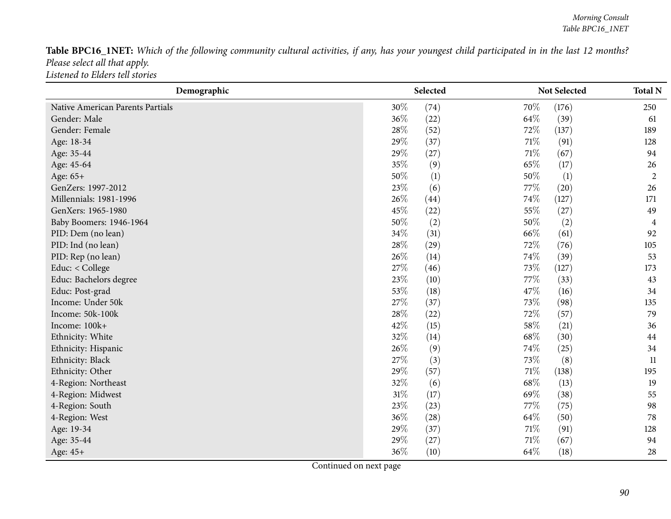Table BPC16\_1NET: Which of the following community cultural activities, if any, has your youngest child participated in in the last 12 months? *Please select all that apply. Listened to Elders tell stories*

| Demographic                      |        | Selected |        | Not Selected | <b>Total N</b> |
|----------------------------------|--------|----------|--------|--------------|----------------|
| Native American Parents Partials | 30%    | (74)     | 70%    | (176)        | 250            |
| Gender: Male                     | 36%    | (22)     | 64%    | (39)         | 61             |
| Gender: Female                   | 28\%   | (52)     | 72%    | (137)        | 189            |
| Age: 18-34                       | 29%    | (37)     | 71\%   | (91)         | 128            |
| Age: 35-44                       | 29%    | (27)     | $71\%$ | (67)         | 94             |
| Age: 45-64                       | 35%    | (9)      | 65%    | (17)         | 26             |
| Age: 65+                         | 50%    | (1)      | 50%    | (1)          | $\overline{2}$ |
| GenZers: 1997-2012               | 23%    | (6)      | 77\%   | (20)         | 26             |
| Millennials: 1981-1996           | 26%    | (44)     | 74%    | (127)        | 171            |
| GenXers: 1965-1980               | 45%    | (22)     | 55%    | (27)         | 49             |
| Baby Boomers: 1946-1964          | 50%    | (2)      | 50%    | (2)          | 4              |
| PID: Dem (no lean)               | 34%    | (31)     | 66%    | (61)         | 92             |
| PID: Ind (no lean)               | 28%    | (29)     | 72%    | (76)         | 105            |
| PID: Rep (no lean)               | 26%    | (14)     | 74%    | (39)         | 53             |
| Educ: < College                  | 27%    | (46)     | 73%    | (127)        | 173            |
| Educ: Bachelors degree           | 23%    | (10)     | 77%    | (33)         | 43             |
| Educ: Post-grad                  | 53%    | (18)     | 47%    | (16)         | 34             |
| Income: Under 50k                | 27%    | (37)     | 73%    | (98)         | 135            |
| Income: 50k-100k                 | 28%    | (22)     | 72%    | (57)         | 79             |
| Income: 100k+                    | 42%    | (15)     | 58\%   | (21)         | 36             |
| Ethnicity: White                 | 32%    | (14)     | 68%    | (30)         | 44             |
| Ethnicity: Hispanic              | 26%    | (9)      | 74%    | (25)         | 34             |
| Ethnicity: Black                 | 27%    | (3)      | 73%    | (8)          | 11             |
| Ethnicity: Other                 | 29%    | (57)     | $71\%$ | (138)        | 195            |
| 4-Region: Northeast              | 32%    | (6)      | 68%    | (13)         | 19             |
| 4-Region: Midwest                | $31\%$ | (17)     | 69%    | (38)         | 55             |
| 4-Region: South                  | 23%    | (23)     | 77%    | (75)         | 98             |
| 4-Region: West                   | 36%    | (28)     | 64\%   | (50)         | 78             |
| Age: 19-34                       | 29%    | (37)     | $71\%$ | (91)         | 128            |
| Age: 35-44                       | 29%    | (27)     | 71%    | (67)         | 94             |
| Age: 45+                         | 36%    | (10)     | 64%    | (18)         | 28             |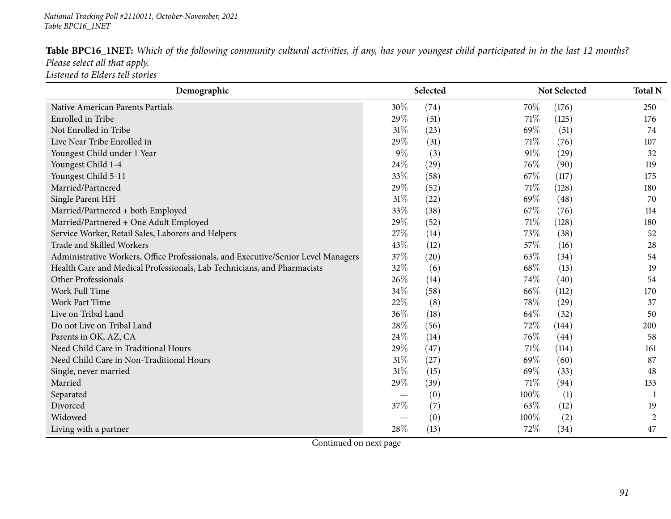## *National Tracking Poll #2110011, October-November, <sup>2021</sup> Table BPC16\_1NET*

| Table BPC16_1NET: Which of the following community cultural activities, if any, has your youngest child participated in in the last 12 months? |  |  |  |  |  |  |  |
|------------------------------------------------------------------------------------------------------------------------------------------------|--|--|--|--|--|--|--|
| Please select all that apply.                                                                                                                  |  |  |  |  |  |  |  |
| Listened to Elders tell stories                                                                                                                |  |  |  |  |  |  |  |

| Demographic                                                                       |        | Selected |      | Not Selected | <b>Total N</b> |
|-----------------------------------------------------------------------------------|--------|----------|------|--------------|----------------|
| Native American Parents Partials                                                  | $30\%$ | (74)     | 70\% | (176)        | 250            |
| Enrolled in Tribe                                                                 | 29%    | (51)     | 71\% | (125)        | 176            |
| Not Enrolled in Tribe                                                             | 31%    | (23)     | 69%  | (51)         | 74             |
| Live Near Tribe Enrolled in                                                       | 29%    | (31)     | 71\% | (76)         | 107            |
| Youngest Child under 1 Year                                                       | $9\%$  | (3)      | 91%  | (29)         | 32             |
| Youngest Child 1-4                                                                | 24\%   | (29)     | 76\% | (90)         | 119            |
| Youngest Child 5-11                                                               | 33%    | (58)     | 67%  | (117)        | 175            |
| Married/Partnered                                                                 | 29%    | (52)     | 71\% | (128)        | 180            |
| Single Parent HH                                                                  | 31%    | (22)     | 69%  | (48)         | 70             |
| Married/Partnered + both Employed                                                 | 33%    | (38)     | 67\% | (76)         | 114            |
| Married/Partnered + One Adult Employed                                            | 29%    | (52)     | 71\% | (128)        | 180            |
| Service Worker, Retail Sales, Laborers and Helpers                                | 27%    | (14)     | 73%  | (38)         | 52             |
| Trade and Skilled Workers                                                         | 43%    | (12)     | 57\% | (16)         | 28             |
| Administrative Workers, Office Professionals, and Executive/Senior Level Managers | 37%    | (20)     | 63%  | (34)         | 54             |
| Health Care and Medical Professionals, Lab Technicians, and Pharmacists           | 32%    | (6)      | 68\% | (13)         | 19             |
| Other Professionals                                                               | 26\%   | (14)     | 74%  | (40)         | 54             |
| Work Full Time                                                                    | 34%    | (58)     | 66%  | (112)        | 170            |
| <b>Work Part Time</b>                                                             | 22%    | (8)      | 78%  | (29)         | 37             |
| Live on Tribal Land                                                               | 36%    | (18)     | 64%  | (32)         | 50             |
| Do not Live on Tribal Land                                                        | 28%    | (56)     | 72\% | (144)        | 200            |
| Parents in OK, AZ, CA                                                             | 24\%   | (14)     | 76\% | (44)         | 58             |
| Need Child Care in Traditional Hours                                              | 29%    | (47)     | 71\% | (114)        | 161            |
| Need Child Care in Non-Traditional Hours                                          | 31%    | (27)     | 69%  | (60)         | 87             |
| Single, never married                                                             | 31%    | (15)     | 69%  | (33)         | 48             |
| Married                                                                           | 29%    | (39)     | 71\% | (94)         | 133            |
| Separated                                                                         |        | (0)      | 100% | (1)          |                |
| Divorced                                                                          | 37%    | (7)      | 63\% | (12)         | 19             |
| Widowed                                                                           |        | (0)      | 100% | (2)          | $\overline{2}$ |
| Living with a partner                                                             | 28%    | (13)     | 72%  | (34)         | 47             |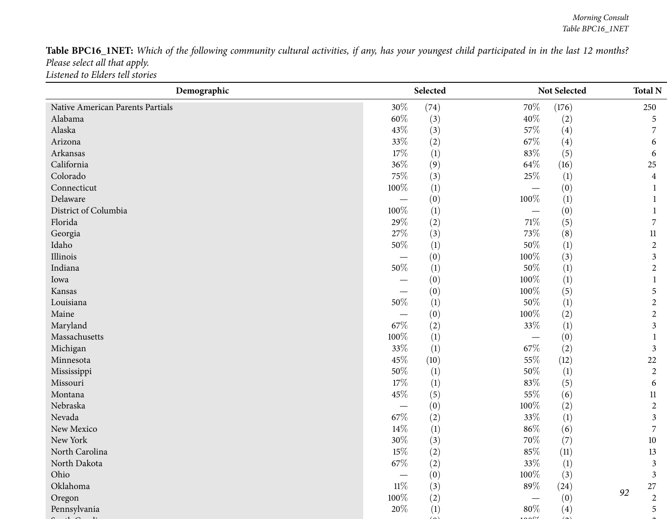Table BPC16\_1NET: Which of the following community cultural activities, if any, has your youngest child participated in in the last 12 months? *Please select all that apply. Listened to Elders tell stories*

| Demographic                      | Selected |                  | Not Selected |                  |                |
|----------------------------------|----------|------------------|--------------|------------------|----------------|
| Native American Parents Partials | 30%      | (74)             | 70%          | (176)            | 250            |
| Alabama                          | 60%      | (3)              | 40%          | (2)              | 5              |
| Alaska                           | 43%      | (3)              | 57\%         | (4)              | 7              |
| Arizona                          | 33%      | (2)              | 67%          | (4)              | 6              |
| Arkansas                         | 17%      | (1)              | 83%          | (5)              | 6              |
| California                       | 36%      | (9)              | 64\%         | (16)             | 25             |
| Colorado                         | 75%      | (3)              | 25\%         | $\left(1\right)$ | 4              |
| Connecticut                      | 100%     | (1)              |              | (0)              |                |
| Delaware                         |          | (0)              | 100%         | (1)              |                |
| District of Columbia             | 100%     | $\left(1\right)$ |              | (0)              |                |
| Florida                          | 29%      | (2)              | $71\%$       | (5)              | 7              |
| Georgia                          | 27%      | (3)              | 73%          | (8)              | $11\,$         |
| Idaho                            | $50\%$   | (1)              | $50\%$       | (1)              | $\sqrt{2}$     |
| Illinois                         |          | (0)              | 100%         | (3)              | 3              |
| Indiana                          | 50%      | (1)              | $50\%$       | $\left(1\right)$ | $\overline{2}$ |
| Iowa                             |          | (0)              | 100%         | (1)              |                |
| Kansas                           |          | (0)              | 100%         | (5)              | 5              |
| Louisiana                        | $50\%$   | $\left(1\right)$ | 50%          | $\left(1\right)$ | $\overline{2}$ |
| Maine                            |          | (0)              | $100\%$      | (2)              | $\sqrt{2}$     |
| Maryland                         | 67%      | (2)              | $33\%$       | (1)              | 3              |
| Massachusetts                    | 100%     | (1)              |              | (0)              |                |
| Michigan                         | 33%      | (1)              | 67\%         | (2)              | 3              |
| Minnesota                        | 45%      | (10)             | 55%          | (12)             | 22             |
| Mississippi                      | 50%      | $\left(1\right)$ | 50%          | (1)              | $\overline{2}$ |
| Missouri                         | 17%      | (1)              | 83%          | (5)              | 6              |
| Montana                          | 45%      | (5)              | 55%          | (6)              | 11             |
| Nebraska                         |          | (0)              | 100%         | (2)              | $\overline{2}$ |
| Nevada                           | $67\%$   | (2)              | 33%          | (1)              | 3              |
| New Mexico                       | 14\%     | $\left(1\right)$ | $86\%$       | (6)              | 7              |
| New York                         | 30%      | (3)              | 70%          | (7)              | $10\,$         |
| North Carolina                   | $15\%$   | (2)              | 85%          | (11)             | 13             |
| North Dakota                     | $67\%$   | (2)              | $33\%$       | (1)              | $\mathfrak{Z}$ |
| Ohio                             |          | (0)              | 100%         | (3)              | $\mathfrak{Z}$ |
| Oklahoma                         | $11\%$   | (3)              | 89%          | (24)             | 27<br>92       |
| Oregon                           | 100%     | (2)              |              | (0)              | $\overline{2}$ |
| Pennsylvania                     | 20%      | (1)              | $80\%$       | (4)              | 5              |
|                                  |          |                  |              |                  |                |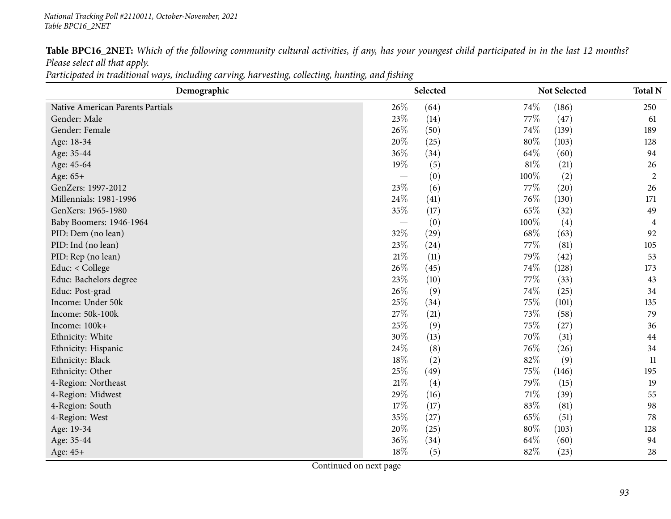Table BPC16\_2NET: Which of the following community cultural activities, if any, has your youngest child participated in in the last 12 months? *Please select all that apply.*

Participated in traditional ways, including carving, harvesting, collecting, hunting, and fishing

| Demographic                      |                                   | Selected |        | Not Selected      | <b>Total N</b> |
|----------------------------------|-----------------------------------|----------|--------|-------------------|----------------|
| Native American Parents Partials | 26\%                              | (64)     | 74\%   | (186)             | 250            |
| Gender: Male                     | 23%                               | (14)     | 77\%   | (47)              | 61             |
| Gender: Female                   | 26%                               | (50)     | 74\%   | (139)             | 189            |
| Age: 18-34                       | 20%                               | (25)     | 80%    | (103)             | 128            |
| Age: 35-44                       | 36%                               | (34)     | 64\%   | (60)              | 94             |
| Age: 45-64                       | 19%                               | (5)      | $81\%$ | (21)              | 26             |
| Age: 65+                         | $\overbrace{\phantom{12321111}}$  | (0)      | 100%   | (2)               | $\overline{2}$ |
| GenZers: 1997-2012               | 23\%                              | (6)      | 77\%   | (20)              | 26             |
| Millennials: 1981-1996           | 24\%                              | (41)     | 76\%   | (130)             | 171            |
| GenXers: 1965-1980               | 35%                               | (17)     | 65%    | (32)              | 49             |
| Baby Boomers: 1946-1964          | $\overbrace{\phantom{123221111}}$ | (0)      | 100%   | $\left( 4\right)$ | 4              |
| PID: Dem (no lean)               | 32%                               | (29)     | 68\%   | (63)              | 92             |
| PID: Ind (no lean)               | 23%                               | (24)     | 77\%   | (81)              | 105            |
| PID: Rep (no lean)               | 21%                               | (11)     | 79%    | (42)              | 53             |
| Educ: < College                  | 26%                               | (45)     | 74%    | (128)             | 173            |
| Educ: Bachelors degree           | 23\%                              | (10)     | 77\%   | (33)              | 43             |
| Educ: Post-grad                  | 26%                               | (9)      | 74%    | (25)              | 34             |
| Income: Under 50k                | 25%                               | (34)     | 75\%   | (101)             | 135            |
| Income: 50k-100k                 | 27%                               | (21)     | 73%    | (58)              | 79             |
| Income: 100k+                    | 25%                               | (9)      | 75%    | (27)              | 36             |
| Ethnicity: White                 | 30%                               | (13)     | 70%    | (31)              | 44             |
| Ethnicity: Hispanic              | 24%                               | (8)      | 76%    | (26)              | 34             |
| Ethnicity: Black                 | 18%                               | (2)      | 82%    | (9)               | 11             |
| Ethnicity: Other                 | 25%                               | (49)     | 75%    | (146)             | 195            |
| 4-Region: Northeast              | 21\%                              | (4)      | 79%    | (15)              | 19             |
| 4-Region: Midwest                | 29%                               | (16)     | 71\%   | (39)              | 55             |
| 4-Region: South                  | 17%                               | (17)     | 83%    | (81)              | 98             |
| 4-Region: West                   | 35%                               | (27)     | 65%    | (51)              | 78             |
| Age: 19-34                       | 20%                               | (25)     | 80%    | (103)             | 128            |
| Age: 35-44                       | 36\%                              | (34)     | 64\%   | (60)              | 94             |
| Age: 45+                         | $18\%$                            | (5)      | 82%    | (23)              | 28             |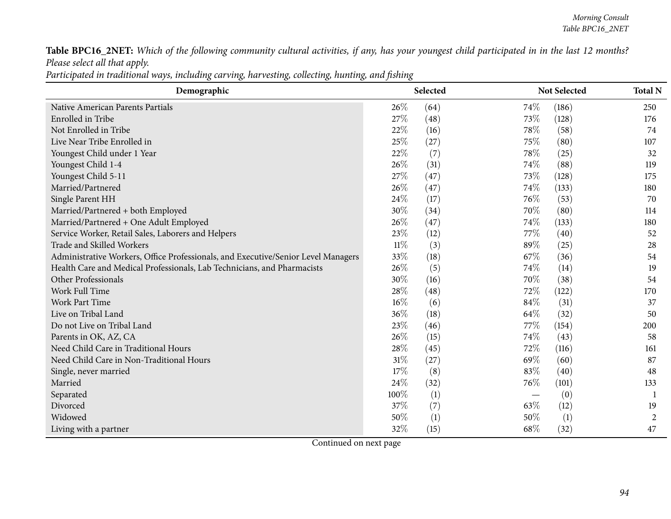Table BPC16\_2NET: Which of the following community cultural activities, if any, has your youngest child participated in in the last 12 months? *Please select all that apply.*

Participated in traditional ways, including carving, harvesting, collecting, hunting, and fishing

| Demographic                                                                       |        | Selected |      | Not Selected | <b>Total N</b> |
|-----------------------------------------------------------------------------------|--------|----------|------|--------------|----------------|
| Native American Parents Partials                                                  | 26\%   | (64)     | 74\% | (186)        | 250            |
| Enrolled in Tribe                                                                 | 27%    | (48)     | 73%  | (128)        | 176            |
| Not Enrolled in Tribe                                                             | 22%    | (16)     | 78%  | (58)         | 74             |
| Live Near Tribe Enrolled in                                                       | 25%    | (27)     | 75%  | (80)         | 107            |
| Youngest Child under 1 Year                                                       | 22%    | (7)      | 78%  | (25)         | 32             |
| Youngest Child 1-4                                                                | 26%    | (31)     | 74%  | (88)         | 119            |
| Youngest Child 5-11                                                               | 27%    | (47)     | 73%  | (128)        | 175            |
| Married/Partnered                                                                 | 26%    | (47)     | 74%  | (133)        | 180            |
| Single Parent HH                                                                  | 24\%   | (17)     | 76\% | (53)         | 70             |
| Married/Partnered + both Employed                                                 | 30%    | (34)     | 70%  | (80)         | 114            |
| Married/Partnered + One Adult Employed                                            | 26%    | (47)     | 74\% | (133)        | 180            |
| Service Worker, Retail Sales, Laborers and Helpers                                | 23%    | (12)     | 77\% | (40)         | 52             |
| Trade and Skilled Workers                                                         | $11\%$ | (3)      | 89%  | (25)         | 28             |
| Administrative Workers, Office Professionals, and Executive/Senior Level Managers | 33%    | (18)     | 67%  | (36)         | 54             |
| Health Care and Medical Professionals, Lab Technicians, and Pharmacists           | 26%    | (5)      | 74%  | (14)         | 19             |
| Other Professionals                                                               | 30%    | (16)     | 70%  | (38)         | 54             |
| Work Full Time                                                                    | 28%    | (48)     | 72\% | (122)        | 170            |
| Work Part Time                                                                    | $16\%$ | (6)      | 84\% | (31)         | 37             |
| Live on Tribal Land                                                               | 36%    | (18)     | 64\% | (32)         | 50             |
| Do not Live on Tribal Land                                                        | 23%    | (46)     | 77%  | (154)        | 200            |
| Parents in OK, AZ, CA                                                             | 26%    | (15)     | 74%  | (43)         | 58             |
| Need Child Care in Traditional Hours                                              | 28%    | (45)     | 72%  | (116)        | 161            |
| Need Child Care in Non-Traditional Hours                                          | $31\%$ | (27)     | 69%  | (60)         | 87             |
| Single, never married                                                             | 17%    | (8)      | 83%  | (40)         | 48             |
| Married                                                                           | 24%    | (32)     | 76%  | (101)        | 133            |
| Separated                                                                         | 100%   | (1)      |      | (0)          | 1              |
| Divorced                                                                          | 37%    | (7)      | 63%  | (12)         | 19             |
| Widowed                                                                           | 50%    | (1)      | 50%  | (1)          | 2              |
| Living with a partner                                                             | 32%    | (15)     | 68%  | (32)         | 47             |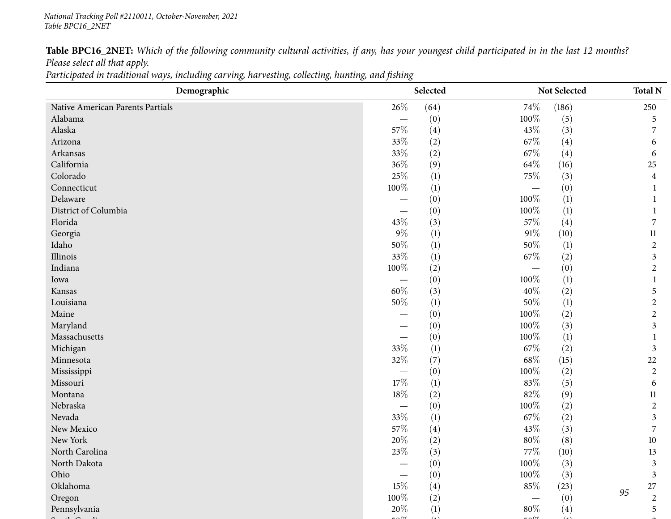Table BPC16\_2NET: Which of the following community cultural activities, if any, has your youngest child participated in in the last 12 months? *Please select all that apply.*

Participated in traditional ways, including carving, harvesting, collecting, hunting, and fishing

| Demographic                      |                          | Selected |        | Not Selected |    | <b>Total N</b>          |
|----------------------------------|--------------------------|----------|--------|--------------|----|-------------------------|
| Native American Parents Partials | 26%                      | (64)     | 74%    | (186)        |    | 250                     |
| Alabama                          | $\overline{\phantom{0}}$ | (0)      | 100%   | (5)          |    | 5                       |
| Alaska                           | 57%                      | (4)      | 43%    | (3)          |    | $\overline{7}$          |
| Arizona                          | 33%                      | (2)      | $67\%$ | (4)          |    | 6                       |
| Arkansas                         | 33%                      | (2)      | $67\%$ | (4)          |    | 6                       |
| California                       | 36%                      | (9)      | 64\%   | (16)         |    | 25                      |
| Colorado                         | 25%                      | (1)      | $75\%$ | (3)          |    | $\overline{\mathbf{4}}$ |
| Connecticut                      | 100%                     | (1)      |        | (0)          |    | $\mathbf{1}$            |
| Delaware                         |                          | (0)      | 100%   | (1)          |    | $\mathbf{1}$            |
| District of Columbia             | $\overline{\phantom{0}}$ | (0)      | 100%   | (1)          |    | $\mathbf{1}$            |
| Florida                          | 43%                      | (3)      | $57\%$ | (4)          |    | 7                       |
| Georgia                          | $9\%$                    | (1)      | $91\%$ | (10)         |    | $11\,$                  |
| Idaho                            | $50\%$                   | (1)      | 50%    | (1)          |    | $\overline{c}$          |
| Illinois                         | 33%                      | (1)      | 67\%   | (2)          |    | $\mathfrak{Z}$          |
| Indiana                          | 100%                     | (2)      |        | (0)          |    | $\overline{c}$          |
| Iowa                             | $\overline{\phantom{0}}$ | (0)      | 100%   | (1)          |    | $\mathbf{1}$            |
| Kansas                           | $60\%$                   | (3)      | $40\%$ | (2)          |    | 5                       |
| Louisiana                        | $50\%$                   | (1)      | $50\%$ | (1)          |    | $\overline{c}$          |
| Maine                            | $\overline{\phantom{0}}$ | (0)      | 100%   | (2)          |    | $\overline{c}$          |
| Maryland                         |                          | (0)      | 100%   | (3)          |    | $\mathfrak{Z}$          |
| Massachusetts                    |                          | (0)      | 100%   | (1)          |    | $\mathbf{1}$            |
| Michigan                         | $33\%$                   | (1)      | $67\%$ | (2)          |    | $\mathfrak{Z}$          |
| Minnesota                        | 32%                      | (7)      | $68\%$ | (15)         |    | 22                      |
| Mississippi                      |                          | (0)      | 100%   | (2)          |    | $\overline{c}$          |
| Missouri                         | $17\%$                   | (1)      | 83%    | (5)          |    | 6                       |
| Montana                          | $18\%$                   | (2)      | $82\%$ | (9)          |    | $11\,$                  |
| Nebraska                         |                          | (0)      | 100%   | (2)          |    | $\overline{c}$          |
| Nevada                           | 33%                      | (1)      | $67\%$ | (2)          |    | $\overline{3}$          |
| New Mexico                       | 57\%                     | (4)      | 43\%   | (3)          |    | $\overline{7}$          |
| New York                         | $20\%$                   | (2)      | $80\%$ | (8)          |    | 10                      |
| North Carolina                   | 23%                      | (3)      | $77\%$ | (10)         |    | 13                      |
| North Dakota                     |                          | (0)      | 100%   | (3)          |    | $\mathfrak{Z}$          |
| Ohio                             |                          | (0)      | 100%   | (3)          |    | $\mathfrak{Z}$          |
| Oklahoma                         | 15%                      | (4)      | $85\%$ | (23)         | 95 | 27                      |
| Oregon                           | $100\%$                  | (2)      |        | (0)          |    | $\overline{c}$          |
| Pennsylvania                     | 20%                      | (1)      | $80\%$ | (4)          |    | 5                       |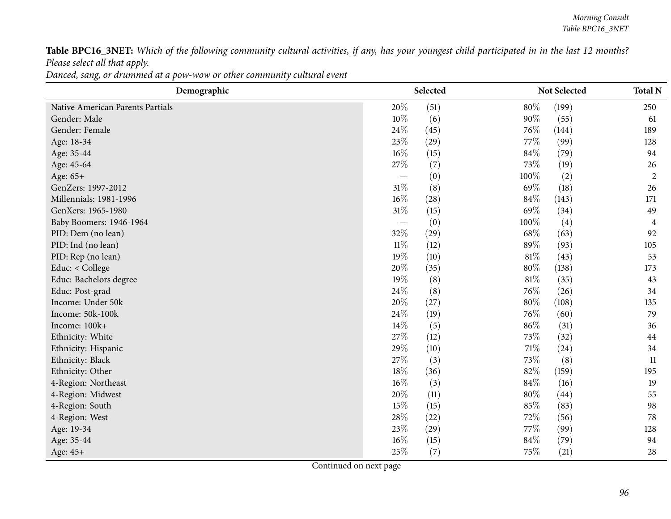Table BPC16\_3NET: Which of the following community cultural activities, if any, has your youngest child participated in in the last 12 months? *Please select all that apply.*

Danced, sang, or drummed at a pow-wow or other community cultural event

| Demographic                      |        | Selected |        | Not Selected | <b>Total N</b> |
|----------------------------------|--------|----------|--------|--------------|----------------|
| Native American Parents Partials | 20%    | (51)     | 80%    | (199)        | 250            |
| Gender: Male                     | 10%    | (6)      | 90%    | (55)         | 61             |
| Gender: Female                   | 24\%   | (45)     | $76\%$ | (144)        | 189            |
| Age: 18-34                       | 23%    | (29)     | 77%    | (99)         | 128            |
| Age: 35-44                       | $16\%$ | (15)     | 84\%   | (79)         | 94             |
| Age: 45-64                       | 27\%   | (7)      | 73\%   | (19)         | 26             |
| Age: 65+                         |        | (0)      | 100%   | (2)          | $\overline{2}$ |
| GenZers: 1997-2012               | $31\%$ | (8)      | 69%    | (18)         | 26             |
| Millennials: 1981-1996           | $16\%$ | (28)     | 84\%   | (143)        | 171            |
| GenXers: 1965-1980               | $31\%$ | (15)     | 69%    | (34)         | 49             |
| Baby Boomers: 1946-1964          |        | (0)      | 100%   | (4)          | $\overline{4}$ |
| PID: Dem (no lean)               | 32%    | (29)     | 68%    | (63)         | 92             |
| PID: Ind (no lean)               | $11\%$ | (12)     | 89%    | (93)         | 105            |
| PID: Rep (no lean)               | 19%    | (10)     | $81\%$ | (43)         | 53             |
| Educ: < College                  | 20%    | (35)     | 80%    | (138)        | 173            |
| Educ: Bachelors degree           | 19%    | (8)      | 81\%   | (35)         | 43             |
| Educ: Post-grad                  | 24\%   | (8)      | 76%    | (26)         | 34             |
| Income: Under 50k                | 20%    | (27)     | 80%    | (108)        | 135            |
| Income: 50k-100k                 | 24%    | (19)     | 76%    | (60)         | 79             |
| Income: 100k+                    | 14%    | (5)      | 86%    | (31)         | 36             |
| Ethnicity: White                 | 27%    | (12)     | 73%    | (32)         | 44             |
| Ethnicity: Hispanic              | 29%    | (10)     | 71\%   | (24)         | 34             |
| Ethnicity: Black                 | 27%    | (3)      | 73%    | (8)          | 11             |
| Ethnicity: Other                 | 18%    | (36)     | 82\%   | (159)        | 195            |
| 4-Region: Northeast              | $16\%$ | (3)      | $84\%$ | (16)         | 19             |
| 4-Region: Midwest                | 20%    | (11)     | 80%    | (44)         | 55             |
| 4-Region: South                  | 15%    | (15)     | 85%    | (83)         | 98             |
| 4-Region: West                   | 28\%   | (22)     | 72%    | (56)         | 78             |
| Age: 19-34                       | 23\%   | (29)     | 77\%   | (99)         | 128            |
| Age: 35-44                       | $16\%$ | (15)     | 84%    | (79)         | 94             |
| Age: 45+                         | 25%    | (7)      | 75%    | (21)         | 28             |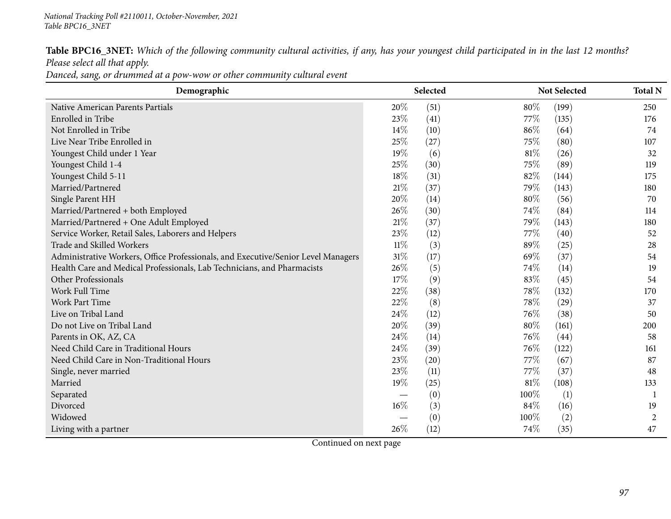Table BPC16\_3NET: Which of the following community cultural activities, if any, has your youngest child participated in in the last 12 months? *Please select all that apply.*

Danced, sang, or drummed at a pow-wow or other community cultural event

| Demographic                                                                       |        | Selected |      | Not Selected | <b>Total N</b> |
|-----------------------------------------------------------------------------------|--------|----------|------|--------------|----------------|
| Native American Parents Partials                                                  | 20%    | (51)     | 80%  | (199)        | 250            |
| Enrolled in Tribe                                                                 | 23\%   | (41)     | 77\% | (135)        | 176            |
| Not Enrolled in Tribe                                                             | $14\%$ | (10)     | 86%  | (64)         | 74             |
| Live Near Tribe Enrolled in                                                       | 25%    | (27)     | 75\% | (80)         | 107            |
| Youngest Child under 1 Year                                                       | 19%    | (6)      | 81\% | (26)         | 32             |
| Youngest Child 1-4                                                                | 25%    | (30)     | 75\% | (89)         | 119            |
| Youngest Child 5-11                                                               | 18%    | (31)     | 82%  | (144)        | 175            |
| Married/Partnered                                                                 | 21%    | (37)     | 79%  | (143)        | 180            |
| Single Parent HH                                                                  | 20%    | (14)     | 80%  | (56)         | 70             |
| Married/Partnered + both Employed                                                 | 26%    | (30)     | 74\% | (84)         | 114            |
| Married/Partnered + One Adult Employed                                            | 21%    | (37)     | 79%  | (143)        | 180            |
| Service Worker, Retail Sales, Laborers and Helpers                                | 23%    | (12)     | 77\% | (40)         | 52             |
| Trade and Skilled Workers                                                         | $11\%$ | (3)      | 89%  | (25)         | 28             |
| Administrative Workers, Office Professionals, and Executive/Senior Level Managers | 31%    | (17)     | 69%  | (37)         | 54             |
| Health Care and Medical Professionals, Lab Technicians, and Pharmacists           | 26\%   | (5)      | 74%  | (14)         | 19             |
| Other Professionals                                                               | 17%    | (9)      | 83%  | (45)         | 54             |
| Work Full Time                                                                    | 22%    | (38)     | 78\% | (132)        | 170            |
| Work Part Time                                                                    | 22%    | (8)      | 78\% | (29)         | 37             |
| Live on Tribal Land                                                               | 24\%   | (12)     | 76\% | (38)         | 50             |
| Do not Live on Tribal Land                                                        | 20%    | (39)     | 80%  | (161)        | 200            |
| Parents in OK, AZ, CA                                                             | 24%    | (14)     | 76%  | (44)         | 58             |
| Need Child Care in Traditional Hours                                              | 24%    | (39)     | 76\% | (122)        | 161            |
| Need Child Care in Non-Traditional Hours                                          | 23%    | (20)     | 77\% | (67)         | 87             |
| Single, never married                                                             | 23%    | (11)     | 77\% | (37)         | 48             |
| Married                                                                           | 19%    | (25)     | 81\% | (108)        | 133            |
| Separated                                                                         |        | (0)      | 100% | (1)          | -1             |
| Divorced                                                                          | $16\%$ | (3)      | 84\% | (16)         | 19             |
| Widowed                                                                           |        | (0)      | 100% | (2)          | $\overline{c}$ |
| Living with a partner                                                             | 26%    | (12)     | 74%  | (35)         | 47             |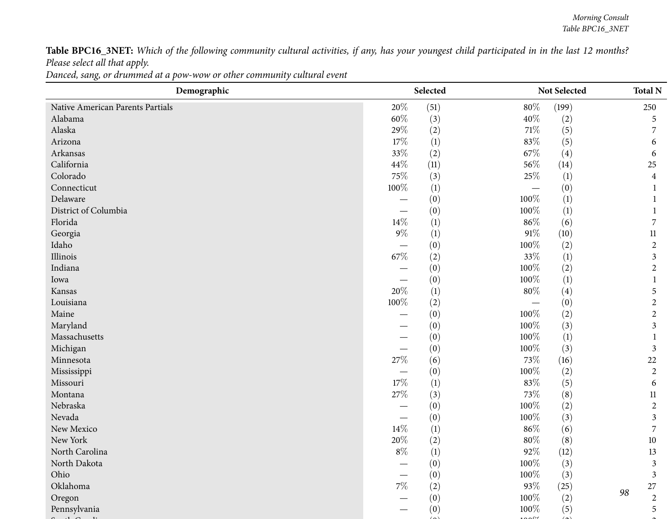Table BPC16\_3NET: Which of the following community cultural activities, if any, has your youngest child participated in in the last 12 months? *Please select all that apply.*

Danced, sang, or drummed at a pow-wow or other community cultural event

| Demographic                      | Selected<br>Not Selected        |                  | <b>Total N</b> |                  |                  |  |
|----------------------------------|---------------------------------|------------------|----------------|------------------|------------------|--|
| Native American Parents Partials | 20%                             | (51)             | $80\%$         | (199)            | 250              |  |
| Alabama                          | $60\%$                          | (3)              | 40\%           | (2)              | 5                |  |
| Alaska                           | 29%                             | (2)              | $71\%$         | (5)              |                  |  |
| Arizona                          | 17\%                            | (1)              | 83%            | (5)              | 6                |  |
| Arkansas                         | 33%                             | (2)              | 67\%           | (4)              | 6                |  |
| California                       | 44\%                            | (11)             | 56\%           | (14)             | 25               |  |
| Colorado                         | 75%                             | (3)              | 25\%           | $\left(1\right)$ | $\overline{4}$   |  |
| Connecticut                      | 100%                            | (1)              |                | (0)              |                  |  |
| Delaware                         |                                 | (0)              | 100%           | $\left(1\right)$ |                  |  |
| District of Columbia             |                                 | (0)              | 100%           | (1)              |                  |  |
| Florida                          | $14\%$                          | (1)              | $86\%$         | (6)              | 7                |  |
| Georgia                          | $9\%$                           | (1)              | $91\%$         | (10)             | $11\,$           |  |
| Idaho                            |                                 | (0)              | 100%           | (2)              | $\overline{2}$   |  |
| Illinois                         | 67%                             | (2)              | 33%            | (1)              | 3                |  |
| Indiana                          |                                 | (0)              | 100%           | (2)              | $\overline{c}$   |  |
| Iowa                             |                                 | (0)              | 100%           | (1)              |                  |  |
| Kansas                           | 20%                             | $\left(1\right)$ | $80\%$         | (4)              | 5                |  |
| Louisiana                        | $100\%$                         | (2)              |                | (0)              | $\mathbf{2}$     |  |
| Maine                            |                                 | (0)              | 100%           | (2)              | $\overline{2}$   |  |
| Maryland                         | —                               | (0)              | 100%           | (3)              | 3                |  |
| Massachusetts                    |                                 | (0)              | 100%           | (1)              |                  |  |
| Michigan                         |                                 | (0)              | 100%           | (3)              | 3                |  |
| Minnesota                        | 27\%                            | (6)              | 73\%           | (16)             | $22\,$           |  |
| Mississippi                      |                                 | (0)              | 100%           | (2)              | $\overline{2}$   |  |
| Missouri                         | 17%                             | $\left(1\right)$ | 83%            | (5)              | 6                |  |
| Montana                          | $27\%$                          | (3)              | $73\%$         | (8)              | $11\,$           |  |
| Nebraska                         |                                 | (0)              | 100%           | (2)              | $\overline{2}$   |  |
| Nevada                           | $\hspace{0.1mm}-\hspace{0.1mm}$ | (0)              | 100%           | (3)              | 3                |  |
| New Mexico                       | 14%                             | (1)              | $86\%$         | (6)              | 7                |  |
| New York                         | 20%                             | (2)              | $80\%$         | (8)              | $10\,$           |  |
| North Carolina                   | $8\%$                           | (1)              | 92%            | (12)             | 13               |  |
| North Dakota                     |                                 | (0)              | 100%           | (3)              | 3                |  |
| Ohio                             |                                 | (0)              | 100%           | (3)              | 3                |  |
| Oklahoma                         | $7\%$                           | (2)              | $93\%$         | (25)             | 27<br>98         |  |
| Oregon                           |                                 | (0)              | 100%           | (2)              | $\boldsymbol{2}$ |  |
| Pennsylvania                     |                                 | (0)              | 100%           | (5)              | 5                |  |
|                                  |                                 |                  |                |                  |                  |  |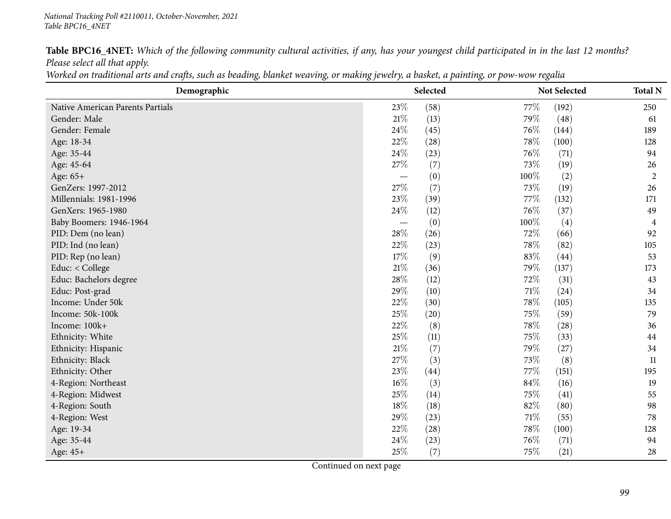### *National Tracking Poll #2110011, October-November, <sup>2021</sup> Table BPC16\_4NET*

Table BPC16\_4NET: Which of the following community cultural activities, if any, has your youngest child participated in in the last 12 months? *Please select all that apply.*

| Worked on traditional arts and crafts, such as beading, blanket weaving, or making jewelry, a basket, a painting, or pow-wow regalia |
|--------------------------------------------------------------------------------------------------------------------------------------|
|--------------------------------------------------------------------------------------------------------------------------------------|

| Demographic                      |        | Selected |        | Not Selected | <b>Total N</b> |
|----------------------------------|--------|----------|--------|--------------|----------------|
| Native American Parents Partials | 23%    | (58)     | $77\%$ | (192)        | 250            |
| Gender: Male                     | 21\%   | (13)     | 79%    | (48)         | 61             |
| Gender: Female                   | 24\%   | (45)     | 76%    | (144)        | 189            |
| Age: 18-34                       | 22%    | (28)     | 78%    | (100)        | 128            |
| Age: 35-44                       | 24\%   | (23)     | 76%    | (71)         | 94             |
| Age: 45-64                       | 27%    | (7)      | 73%    | (19)         | 26             |
| Age: 65+                         |        | (0)      | 100%   | (2)          | $\overline{2}$ |
| GenZers: 1997-2012               | 27%    | (7)      | 73%    | (19)         | 26             |
| Millennials: 1981-1996           | 23%    | (39)     | 77\%   | (132)        | 171            |
| GenXers: 1965-1980               | 24\%   | (12)     | 76%    | (37)         | 49             |
| Baby Boomers: 1946-1964          |        | (0)      | 100%   | (4)          | 4              |
| PID: Dem (no lean)               | 28%    | (26)     | 72%    | (66)         | 92             |
| PID: Ind (no lean)               | 22%    | (23)     | 78%    | (82)         | 105            |
| PID: Rep (no lean)               | 17%    | (9)      | 83%    | (44)         | 53             |
| Educ: < College                  | $21\%$ | (36)     | 79%    | (137)        | 173            |
| Educ: Bachelors degree           | 28\%   | (12)     | 72\%   | (31)         | 43             |
| Educ: Post-grad                  | 29%    | (10)     | $71\%$ | (24)         | 34             |
| Income: Under 50k                | 22%    | (30)     | 78%    | (105)        | 135            |
| Income: 50k-100k                 | 25%    | (20)     | 75%    | (59)         | 79             |
| Income: 100k+                    | 22%    | (8)      | 78%    | (28)         | 36             |
| Ethnicity: White                 | 25%    | (11)     | 75%    | (33)         | 44             |
| Ethnicity: Hispanic              | 21\%   | (7)      | 79%    | (27)         | 34             |
| Ethnicity: Black                 | 27%    | (3)      | 73%    | (8)          | 11             |
| Ethnicity: Other                 | 23%    | (44)     | 77\%   | (151)        | 195            |
| 4-Region: Northeast              | $16\%$ | (3)      | 84%    | (16)         | 19             |
| 4-Region: Midwest                | 25%    | (14)     | 75%    | (41)         | 55             |
| 4-Region: South                  | 18%    | (18)     | 82%    | (80)         | 98             |
| 4-Region: West                   | 29%    | (23)     | $71\%$ | (55)         | 78             |
| Age: 19-34                       | 22%    | (28)     | 78%    | (100)        | 128            |
| Age: 35-44                       | 24\%   | (23)     | 76\%   | (71)         | 94             |
| Age: 45+                         | 25%    | (7)      | 75%    | (21)         | 28             |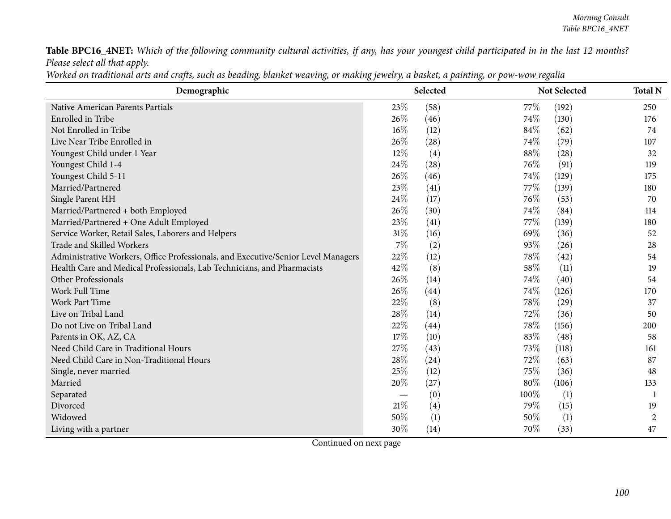Table BPC16\_4NET: Which of the following community cultural activities, if any, has your youngest child participated in in the last 12 months? *Please select all that apply.*

|  | Worked on traditional arts and crafts, such as beading, blanket weaving, or making jewelry, a basket, a painting, or pow-wow regalia |  |
|--|--------------------------------------------------------------------------------------------------------------------------------------|--|
|--|--------------------------------------------------------------------------------------------------------------------------------------|--|

| Demographic                                                                       |        | Selected |      | Not Selected | <b>Total N</b> |
|-----------------------------------------------------------------------------------|--------|----------|------|--------------|----------------|
| Native American Parents Partials                                                  | 23\%   | (58)     | 77\% | (192)        | 250            |
| Enrolled in Tribe                                                                 | 26%    | (46)     | 74%  | (130)        | 176            |
| Not Enrolled in Tribe                                                             | 16%    | (12)     | 84%  | (62)         | 74             |
| Live Near Tribe Enrolled in                                                       | 26%    | (28)     | 74%  | (79)         | 107            |
| Youngest Child under 1 Year                                                       | 12%    | (4)      | 88%  | (28)         | 32             |
| Youngest Child 1-4                                                                | 24%    | (28)     | 76%  | (91)         | 119            |
| Youngest Child 5-11                                                               | 26%    | (46)     | 74\% | (129)        | 175            |
| Married/Partnered                                                                 | 23%    | (41)     | 77\% | (139)        | 180            |
| Single Parent HH                                                                  | 24\%   | (17)     | 76%  | (53)         | 70             |
| Married/Partnered + both Employed                                                 | 26%    | (30)     | 74\% | (84)         | 114            |
| Married/Partnered + One Adult Employed                                            | 23%    | (41)     | 77\% | (139)        | 180            |
| Service Worker, Retail Sales, Laborers and Helpers                                | 31%    | (16)     | 69%  | (36)         | 52             |
| Trade and Skilled Workers                                                         | $7\%$  | (2)      | 93%  | (26)         | 28             |
| Administrative Workers, Office Professionals, and Executive/Senior Level Managers | 22%    | (12)     | 78%  | (42)         | 54             |
| Health Care and Medical Professionals, Lab Technicians, and Pharmacists           | 42%    | (8)      | 58%  | (11)         | 19             |
| Other Professionals                                                               | 26%    | (14)     | 74\% | (40)         | 54             |
| Work Full Time                                                                    | 26%    | (44)     | 74\% | (126)        | 170            |
| <b>Work Part Time</b>                                                             | 22%    | (8)      | 78%  | (29)         | 37             |
| Live on Tribal Land                                                               | 28%    | (14)     | 72%  | (36)         | 50             |
| Do not Live on Tribal Land                                                        | 22%    | (44)     | 78\% | (156)        | 200            |
| Parents in OK, AZ, CA                                                             | 17\%   | (10)     | 83%  | (48)         | 58             |
| Need Child Care in Traditional Hours                                              | 27%    | (43)     | 73%  | (118)        | 161            |
| Need Child Care in Non-Traditional Hours                                          | 28%    | (24)     | 72%  | (63)         | 87             |
| Single, never married                                                             | 25%    | (12)     | 75%  | (36)         | 48             |
| Married                                                                           | 20%    | (27)     | 80%  | (106)        | 133            |
| Separated                                                                         |        | (0)      | 100% | (1)          | 1              |
| Divorced                                                                          | $21\%$ | (4)      | 79%  | (15)         | 19             |
| Widowed                                                                           | 50%    | (1)      | 50%  | (1)          | 2              |
| Living with a partner                                                             | 30%    | (14)     | 70%  | (33)         | 47             |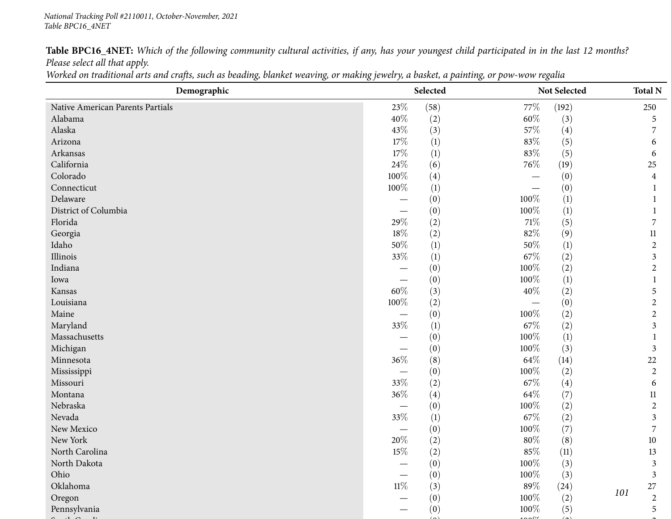Table BPC16\_4NET: Which of the following community cultural activities, if any, has your youngest child participated in in the last 12 months? *Please select all that apply.*

|  | Worked on traditional arts and crafts, such as beading, blanket weaving, or making jewelry, a basket, a painting, or pow-wow regalia |  |  |  |  |  |  |  |
|--|--------------------------------------------------------------------------------------------------------------------------------------|--|--|--|--|--|--|--|
|--|--------------------------------------------------------------------------------------------------------------------------------------|--|--|--|--|--|--|--|

| Demographic                      |                          | Selected |         | Not Selected | <b>Total N</b> |
|----------------------------------|--------------------------|----------|---------|--------------|----------------|
| Native American Parents Partials | 23\%                     | (58)     | 77\%    | (192)        | 250            |
| Alabama                          | 40%                      | (2)      | $60\%$  | (3)          | 5              |
| Alaska                           | 43%                      | (3)      | 57%     | (4)          | 7              |
| Arizona                          | 17%                      | (1)      | 83%     | (5)          | 6              |
| Arkansas                         | $17\%$                   | (1)      | $83\%$  | (5)          | 6              |
| California                       | 24\%                     | (6)      | 76\%    | (19)         | 25             |
| Colorado                         | 100%                     | (4)      |         | (0)          | 4              |
| Connecticut                      | 100%                     | (1)      |         | (0)          |                |
| Delaware                         |                          | (0)      | 100%    | (1)          |                |
| District of Columbia             |                          | (0)      | 100%    | (1)          |                |
| Florida                          | 29%                      | (2)      | $71\%$  | (5)          | 7              |
| Georgia                          | 18%                      | (2)      | 82%     | (9)          | $11\,$         |
| Idaho                            | $50\%$                   | (1)      | $50\%$  | (1)          | $\overline{c}$ |
| Illinois                         | $33\%$                   | (1)      | 67\%    | (2)          | 3              |
| Indiana                          |                          | (0)      | $100\%$ | (2)          | $\overline{c}$ |
| Iowa                             |                          | (0)      | 100%    | (1)          |                |
| Kansas                           | $60\%$                   | (3)      | $40\%$  | (2)          | 5              |
| Louisiana                        | $100\%$                  | (2)      |         | (0)          | $\overline{c}$ |
| Maine                            |                          | (0)      | 100%    | (2)          | $\overline{c}$ |
| Maryland                         | 33%                      | (1)      | 67\%    | (2)          | 3              |
| Massachusetts                    |                          | (0)      | 100%    | (1)          |                |
| Michigan                         |                          | (0)      | 100%    | (3)          | 3              |
| Minnesota                        | 36%                      | (8)      | $64\%$  | (14)         | $22\,$         |
| Mississippi                      |                          | (0)      | 100%    | (2)          | $\overline{2}$ |
| Missouri                         | 33%                      | (2)      | 67\%    | (4)          | 6              |
| Montana                          | $36\%$                   | (4)      | 64\%    | (7)          | 11             |
| Nebraska                         | $\overline{\phantom{0}}$ | (0)      | 100%    | (2)          | $\overline{c}$ |
| Nevada                           | $33\%$                   | (1)      | 67\%    | (2)          | 3              |
| New Mexico                       |                          | (0)      | 100%    | (7)          | 7              |
| New York                         | $20\%$                   | (2)      | $80\%$  | (8)          | 10             |
| North Carolina                   | 15%                      | (2)      | 85%     | (11)         | 13             |
| North Dakota                     |                          | (0)      | $100\%$ | (3)          | 3              |
| Ohio                             |                          | (0)      | $100\%$ | (3)          | $\mathfrak{Z}$ |
| Oklahoma                         | $11\%$                   | (3)      | 89%     | (24)         | $27\,$<br>101  |
| Oregon                           |                          | (0)      | 100%    | (2)          | $\overline{c}$ |
| Pennsylvania                     |                          | (0)      | 100%    | (5)          | 5              |
|                                  |                          |          |         |              |                |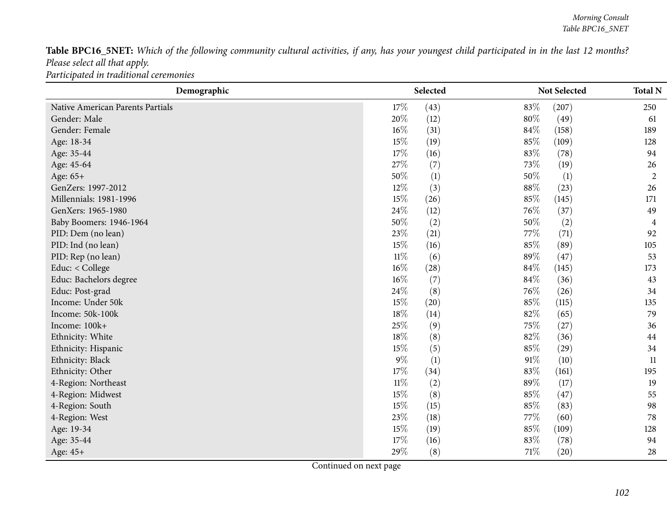Table BPC16\_5NET: Which of the following community cultural activities, if any, has your youngest child participated in in the last 12 months? *Please select all that apply. Participated in traditional ceremonies*

| Demographic                      |        | Selected |        | Not Selected | <b>Total N</b> |
|----------------------------------|--------|----------|--------|--------------|----------------|
| Native American Parents Partials | 17%    | (43)     | 83%    | (207)        | 250            |
| Gender: Male                     | 20%    | (12)     | $80\%$ | (49)         | 61             |
| Gender: Female                   | 16%    | (31)     | 84%    | (158)        | 189            |
| Age: 18-34                       | $15\%$ | (19)     | 85%    | (109)        | 128            |
| Age: 35-44                       | 17%    | (16)     | 83%    | (78)         | 94             |
| Age: 45-64                       | 27\%   | (7)      | 73%    | (19)         | 26             |
| Age: 65+                         | 50%    | (1)      | 50%    | (1)          | $\overline{2}$ |
| GenZers: 1997-2012               | 12%    | (3)      | $88\%$ | (23)         | 26             |
| Millennials: 1981-1996           | $15\%$ | (26)     | 85%    | (145)        | 171            |
| GenXers: 1965-1980               | 24\%   | (12)     | 76\%   | (37)         | 49             |
| Baby Boomers: 1946-1964          | 50%    | (2)      | 50%    | (2)          | 4              |
| PID: Dem (no lean)               | 23%    | (21)     | 77%    | (71)         | 92             |
| PID: Ind (no lean)               | 15%    | (16)     | 85%    | (89)         | 105            |
| PID: Rep (no lean)               | $11\%$ | (6)      | 89%    | (47)         | 53             |
| Educ: $<$ College                | 16%    | (28)     | 84%    | (145)        | 173            |
| Educ: Bachelors degree           | $16\%$ | (7)      | 84%    | (36)         | 43             |
| Educ: Post-grad                  | 24\%   | (8)      | 76%    | (26)         | 34             |
| Income: Under 50k                | 15%    | (20)     | 85%    | (115)        | 135            |
| Income: 50k-100k                 | 18%    | (14)     | 82%    | (65)         | 79             |
| Income: 100k+                    | 25%    | (9)      | 75%    | (27)         | 36             |
| Ethnicity: White                 | 18%    | (8)      | 82%    | (36)         | 44             |
| Ethnicity: Hispanic              | 15%    | (5)      | 85%    | (29)         | 34             |
| Ethnicity: Black                 | $9\%$  | (1)      | $91\%$ | (10)         | 11             |
| Ethnicity: Other                 | 17%    | (34)     | 83%    | (161)        | 195            |
| 4-Region: Northeast              | $11\%$ | (2)      | 89%    | (17)         | 19             |
| 4-Region: Midwest                | 15%    | (8)      | 85%    | (47)         | 55             |
| 4-Region: South                  | 15%    | (15)     | 85%    | (83)         | 98             |
| 4-Region: West                   | 23%    | (18)     | 77%    | (60)         | 78             |
| Age: 19-34                       | $15\%$ | (19)     | 85%    | (109)        | 128            |
| Age: 35-44                       | 17%    | (16)     | 83%    | (78)         | 94             |
| Age: 45+                         | 29%    | (8)      | $71\%$ | (20)         | 28             |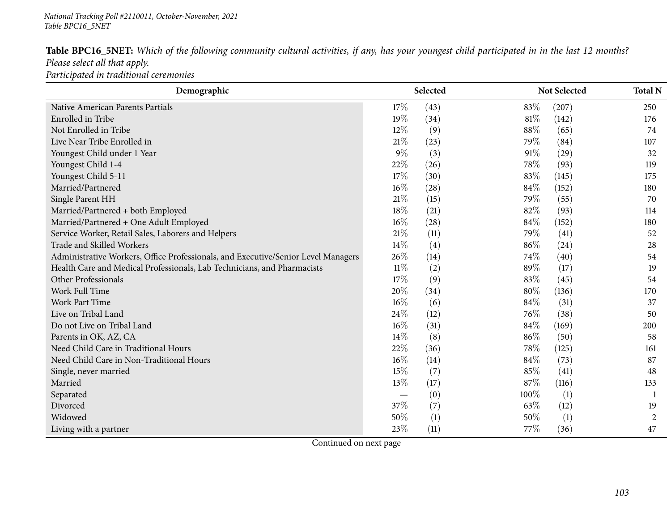| Table BPC16_5NET: Which of the following community cultural activities, if any, has your youngest child participated in in the last 12 months? |  |
|------------------------------------------------------------------------------------------------------------------------------------------------|--|
| Please select all that apply.                                                                                                                  |  |
| Participated in traditional ceremonies                                                                                                         |  |

| Demographic                                                                       |        | Selected |        | Not Selected | <b>Total N</b> |
|-----------------------------------------------------------------------------------|--------|----------|--------|--------------|----------------|
| Native American Parents Partials                                                  | 17%    | (43)     | 83%    | (207)        | 250            |
| <b>Enrolled</b> in Tribe                                                          | 19%    | (34)     | 81\%   | (142)        | 176            |
| Not Enrolled in Tribe                                                             | $12\%$ | (9)      | 88%    | (65)         | 74             |
| Live Near Tribe Enrolled in                                                       | 21%    | (23)     | 79%    | (84)         | 107            |
| Youngest Child under 1 Year                                                       | $9\%$  | (3)      | 91%    | (29)         | 32             |
| Youngest Child 1-4                                                                | 22%    | (26)     | 78\%   | (93)         | 119            |
| Youngest Child 5-11                                                               | 17%    | (30)     | 83%    | (145)        | 175            |
| Married/Partnered                                                                 | $16\%$ | (28)     | 84\%   | (152)        | 180            |
| Single Parent HH                                                                  | 21\%   | (15)     | 79%    | (55)         | 70             |
| Married/Partnered + both Employed                                                 | 18%    | (21)     | 82%    | (93)         | 114            |
| Married/Partnered + One Adult Employed                                            | $16\%$ | (28)     | 84\%   | (152)        | 180            |
| Service Worker, Retail Sales, Laborers and Helpers                                | $21\%$ | (11)     | 79%    | (41)         | 52             |
| Trade and Skilled Workers                                                         | 14%    | (4)      | 86%    | (24)         | 28             |
| Administrative Workers, Office Professionals, and Executive/Senior Level Managers | 26%    | (14)     | 74%    | (40)         | 54             |
| Health Care and Medical Professionals, Lab Technicians, and Pharmacists           | $11\%$ | (2)      | 89%    | (17)         | 19             |
| Other Professionals                                                               | 17%    | (9)      | 83%    | (45)         | 54             |
| Work Full Time                                                                    | 20%    | (34)     | 80%    | (136)        | 170            |
| <b>Work Part Time</b>                                                             | $16\%$ | (6)      | 84\%   | (31)         | 37             |
| Live on Tribal Land                                                               | 24%    | (12)     | 76%    | (38)         | 50             |
| Do not Live on Tribal Land                                                        | $16\%$ | (31)     | $84\%$ | (169)        | 200            |
| Parents in OK, AZ, CA                                                             | $14\%$ | (8)      | 86%    | (50)         | 58             |
| Need Child Care in Traditional Hours                                              | 22%    | (36)     | 78\%   | (125)        | 161            |
| Need Child Care in Non-Traditional Hours                                          | $16\%$ | (14)     | 84\%   | (73)         | 87             |
| Single, never married                                                             | 15%    | (7)      | 85%    | (41)         | 48             |
| Married                                                                           | 13%    | (17)     | 87\%   | (116)        | 133            |
| Separated                                                                         |        | (0)      | 100%   | (1)          |                |
| Divorced                                                                          | 37%    | (7)      | 63\%   | (12)         | 19             |
| Widowed                                                                           | 50%    | (1)      | 50%    | (1)          | 2              |
| Living with a partner                                                             | 23%    | (11)     | 77\%   | (36)         | 47             |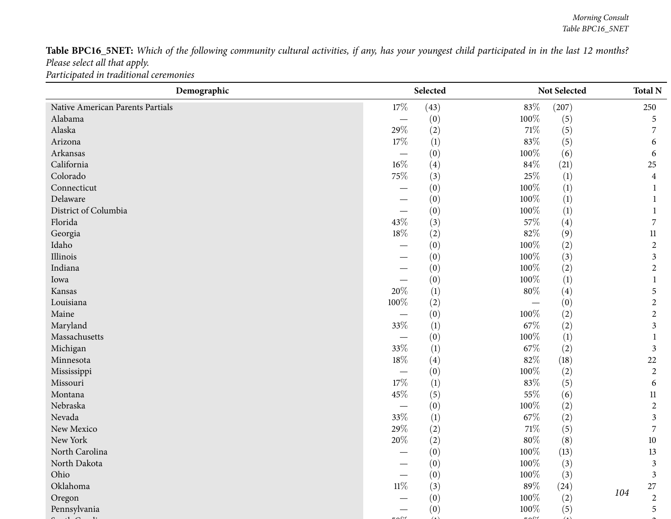Table BPC16\_5NET: Which of the following community cultural activities, if any, has your youngest child participated in in the last 12 months? *Please select all that apply. Participated in traditional ceremonies*

| 17%<br>(43)<br>83%<br>(207)<br>Native American Parents Partials<br>100%<br>Alabama<br>(0)<br>(5)<br>$\overline{\phantom{m}}$<br>Alaska<br>29%<br>71\%<br>(2)<br>(5)<br>$83\%$<br>17%<br>Arizona<br>(5)<br>(1)<br>100%<br>Arkansas<br>(0)<br>(6)<br>California<br>$16\%$<br>$84\%$<br>(4)<br>(21)<br>25%<br>Colorado<br>75%<br>(3)<br>$\left(1\right)$<br>$100\%$<br>Connecticut<br>(1)<br>(0)<br>Delaware<br>100%<br>(1)<br>(0)<br>District of Columbia<br>100%<br>(0)<br>$\left(1\right)$<br>— | 250            |
|-------------------------------------------------------------------------------------------------------------------------------------------------------------------------------------------------------------------------------------------------------------------------------------------------------------------------------------------------------------------------------------------------------------------------------------------------------------------------------------------------|----------------|
|                                                                                                                                                                                                                                                                                                                                                                                                                                                                                                 |                |
|                                                                                                                                                                                                                                                                                                                                                                                                                                                                                                 | 5              |
|                                                                                                                                                                                                                                                                                                                                                                                                                                                                                                 | 7              |
|                                                                                                                                                                                                                                                                                                                                                                                                                                                                                                 | 6              |
|                                                                                                                                                                                                                                                                                                                                                                                                                                                                                                 | 6              |
|                                                                                                                                                                                                                                                                                                                                                                                                                                                                                                 | 25             |
|                                                                                                                                                                                                                                                                                                                                                                                                                                                                                                 | 4              |
|                                                                                                                                                                                                                                                                                                                                                                                                                                                                                                 |                |
|                                                                                                                                                                                                                                                                                                                                                                                                                                                                                                 |                |
|                                                                                                                                                                                                                                                                                                                                                                                                                                                                                                 |                |
| Florida<br>43%<br>57%<br>(3)<br>(4)                                                                                                                                                                                                                                                                                                                                                                                                                                                             | 7              |
| 18%<br>82%<br>(2)<br>(9)<br>Georgia                                                                                                                                                                                                                                                                                                                                                                                                                                                             | $11\,$         |
| 100%<br>Idaho<br>(0)<br>(2)                                                                                                                                                                                                                                                                                                                                                                                                                                                                     | $\sqrt{2}$     |
| 100%<br>Illinois<br>(3)<br>(0)                                                                                                                                                                                                                                                                                                                                                                                                                                                                  | 3              |
| 100%<br>Indiana<br>(2)<br>(0)                                                                                                                                                                                                                                                                                                                                                                                                                                                                   | $\overline{2}$ |
| 100%<br>(0)<br>(1)<br>Iowa                                                                                                                                                                                                                                                                                                                                                                                                                                                                      |                |
| 20%<br>$80\%$<br>(1)<br>(4)<br>Kansas                                                                                                                                                                                                                                                                                                                                                                                                                                                           | 5              |
| Louisiana<br>100%<br>(2)<br>(0)                                                                                                                                                                                                                                                                                                                                                                                                                                                                 | $\overline{2}$ |
| Maine<br>100%<br>(0)<br>(2)<br>$\overline{\phantom{0}}$                                                                                                                                                                                                                                                                                                                                                                                                                                         | $\sqrt{2}$     |
| 33%<br>67\%<br>Maryland<br>(1)<br>(2)                                                                                                                                                                                                                                                                                                                                                                                                                                                           | 3              |
| Massachusetts<br>100%<br>(0)<br>$\left(1\right)$<br>$\overline{\phantom{0}}$                                                                                                                                                                                                                                                                                                                                                                                                                    |                |
| 33%<br>67\%<br>Michigan<br>(2)<br>(1)                                                                                                                                                                                                                                                                                                                                                                                                                                                           | 3              |
| $82\%$<br>18%<br>Minnesota<br>(4)<br>(18)                                                                                                                                                                                                                                                                                                                                                                                                                                                       | 22             |
| 100%<br>(2)<br>(0)<br>Mississippi<br>$\overline{\phantom{0}}$                                                                                                                                                                                                                                                                                                                                                                                                                                   | $\overline{2}$ |
| 17%<br>83%<br>(1)<br>(5)<br>Missouri                                                                                                                                                                                                                                                                                                                                                                                                                                                            | 6              |
| 45%<br>55%<br>Montana<br>(5)<br>(6)                                                                                                                                                                                                                                                                                                                                                                                                                                                             | 11             |
| $100\%$<br>Nebraska<br>(0)<br>(2)<br>$\overline{\phantom{0}}$                                                                                                                                                                                                                                                                                                                                                                                                                                   | $\overline{2}$ |
| 33%<br>Nevada<br>67\%<br>(2)<br>(1)                                                                                                                                                                                                                                                                                                                                                                                                                                                             | 3              |
| 29%<br>$71\%$<br>New Mexico<br>(2)<br>(5)                                                                                                                                                                                                                                                                                                                                                                                                                                                       | 7              |
| New York<br>20%<br>$80\%$<br>(2)<br>(8)                                                                                                                                                                                                                                                                                                                                                                                                                                                         | 10             |
| $100\%$<br>North Carolina<br>(0)<br>(13)                                                                                                                                                                                                                                                                                                                                                                                                                                                        | 13             |
| $100\%$<br>North Dakota<br>(3)<br>(0)                                                                                                                                                                                                                                                                                                                                                                                                                                                           | 3              |
| 100%<br>Ohio<br>(0)<br>(3)                                                                                                                                                                                                                                                                                                                                                                                                                                                                      | $\mathfrak{Z}$ |
| $11\%$<br>89%<br>Oklahoma<br>(3)<br>(24)                                                                                                                                                                                                                                                                                                                                                                                                                                                        | 27             |
| 104<br>100%<br>(0)<br>(2)<br>Oregon                                                                                                                                                                                                                                                                                                                                                                                                                                                             | $\overline{2}$ |
| Pennsylvania<br>(0)<br>100%<br>(5)                                                                                                                                                                                                                                                                                                                                                                                                                                                              | 5              |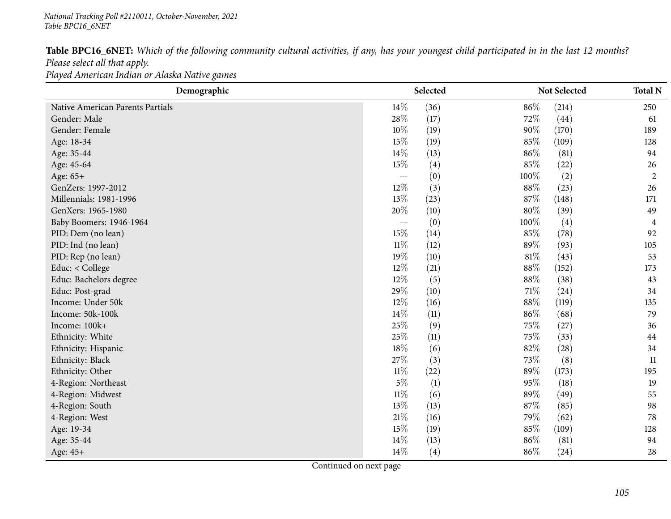|                               | Table BPC16_6NET: Which of the following community cultural activities, if any, has your youngest child participated in in the last 12 months? |  |  |  |  |  |  |
|-------------------------------|------------------------------------------------------------------------------------------------------------------------------------------------|--|--|--|--|--|--|
| Please select all that apply. |                                                                                                                                                |  |  |  |  |  |  |
|                               | Played American Indian or Alaska Native games                                                                                                  |  |  |  |  |  |  |

| Demographic                      | Selected                 |                  |        | <b>Not Selected</b> |                |  |
|----------------------------------|--------------------------|------------------|--------|---------------------|----------------|--|
| Native American Parents Partials | $14\%$                   | (36)             | 86%    | (214)               | 250            |  |
| Gender: Male                     | 28%                      | (17)             | 72%    | (44)                | 61             |  |
| Gender: Female                   | 10%                      | (19)             | 90%    | (170)               | 189            |  |
| Age: 18-34                       | 15%                      | (19)             | 85%    | (109)               | 128            |  |
| Age: 35-44                       | 14%                      | (13)             | 86%    | (81)                | 94             |  |
| Age: 45-64                       | 15%                      | (4)              | $85\%$ | (22)                | 26             |  |
| Age: 65+                         |                          | (0)              | 100%   | (2)                 | $\overline{2}$ |  |
| GenZers: 1997-2012               | 12%                      | (3)              | 88%    | (23)                | 26             |  |
| Millennials: 1981-1996           | 13%                      | (23)             | 87%    | (148)               | 171            |  |
| GenXers: 1965-1980               | 20%                      | (10)             | $80\%$ | (39)                | 49             |  |
| Baby Boomers: 1946-1964          | $\overline{\phantom{m}}$ | (0)              | 100%   | $\left( 4\right)$   | 4              |  |
| PID: Dem (no lean)               | 15%                      | (14)             | 85%    | (78)                | 92             |  |
| PID: Ind (no lean)               | $11\%$                   | (12)             | 89%    | (93)                | 105            |  |
| PID: Rep (no lean)               | 19%                      | (10)             | $81\%$ | (43)                | 53             |  |
| Educ: < College                  | 12%                      | (21)             | 88%    | (152)               | 173            |  |
| Educ: Bachelors degree           | 12%                      | (5)              | 88%    | (38)                | 43             |  |
| Educ: Post-grad                  | 29%                      | (10)             | 71\%   | (24)                | 34             |  |
| Income: Under 50k                | $12\%$                   | (16)             | 88%    | (119)               | 135            |  |
| Income: 50k-100k                 | 14%                      | (11)             | 86%    | (68)                | 79             |  |
| Income: 100k+                    | 25%                      | (9)              | 75\%   | (27)                | 36             |  |
| Ethnicity: White                 | 25%                      | (11)             | 75%    | (33)                | 44             |  |
| Ethnicity: Hispanic              | 18%                      | (6)              | 82%    | (28)                | 34             |  |
| Ethnicity: Black                 | 27%                      | (3)              | 73%    | (8)                 | 11             |  |
| Ethnicity: Other                 | $11\%$                   | (22)             | 89%    | (173)               | 195            |  |
| 4-Region: Northeast              | $5\%$                    | $\left(1\right)$ | 95%    | (18)                | 19             |  |
| 4-Region: Midwest                | $11\%$                   | (6)              | 89%    | (49)                | 55             |  |
| 4-Region: South                  | 13%                      | (13)             | 87%    | (85)                | 98             |  |
| 4-Region: West                   | 21%                      | (16)             | 79%    | (62)                | 78             |  |
| Age: 19-34                       | 15%                      | (19)             | 85%    | (109)               | 128            |  |
| Age: 35-44                       | $14\%$                   | (13)             | 86%    | (81)                | 94             |  |
| Age: 45+                         | $14\%$                   | (4)              | 86%    | (24)                | 28             |  |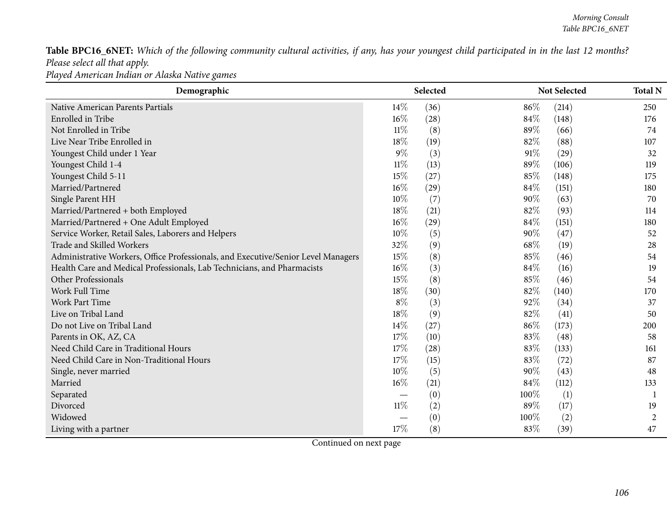Table BPC16\_6NET: Which of the following community cultural activities, if any, has your youngest child participated in in the last 12 months? *Please select all that apply.*

*Played American Indian or Alaska Native games*

| Demographic                                                                       |        | Selected |        | Not Selected | <b>Total N</b> |
|-----------------------------------------------------------------------------------|--------|----------|--------|--------------|----------------|
| Native American Parents Partials                                                  | $14\%$ | (36)     | 86%    | (214)        | 250            |
| Enrolled in Tribe                                                                 | $16\%$ | (28)     | $84\%$ | (148)        | 176            |
| Not Enrolled in Tribe                                                             | $11\%$ | (8)      | 89%    | (66)         | 74             |
| Live Near Tribe Enrolled in                                                       | 18%    | (19)     | 82%    | (88)         | 107            |
| Youngest Child under 1 Year                                                       | $9\%$  | (3)      | 91%    | (29)         | 32             |
| Youngest Child 1-4                                                                | 11%    | (13)     | 89\%   | (106)        | 119            |
| Youngest Child 5-11                                                               | 15%    | (27)     | 85%    | (148)        | 175            |
| Married/Partnered                                                                 | 16%    | (29)     | 84%    | (151)        | 180            |
| Single Parent HH                                                                  | 10%    | (7)      | 90%    | (63)         | 70             |
| Married/Partnered + both Employed                                                 | 18%    | (21)     | 82%    | (93)         | 114            |
| Married/Partnered + One Adult Employed                                            | $16\%$ | (29)     | 84%    | (151)        | 180            |
| Service Worker, Retail Sales, Laborers and Helpers                                | $10\%$ | (5)      | 90%    | (47)         | 52             |
| Trade and Skilled Workers                                                         | 32%    | (9)      | 68\%   | (19)         | 28             |
| Administrative Workers, Office Professionals, and Executive/Senior Level Managers | 15%    | (8)      | 85%    | (46)         | 54             |
| Health Care and Medical Professionals, Lab Technicians, and Pharmacists           | $16\%$ | (3)      | 84%    | (16)         | 19             |
| Other Professionals                                                               | 15%    | (8)      | 85%    | (46)         | 54             |
| Work Full Time                                                                    | 18%    | (30)     | 82%    | (140)        | 170            |
| <b>Work Part Time</b>                                                             | $8\%$  | (3)      | 92%    | (34)         | 37             |
| Live on Tribal Land                                                               | 18%    | (9)      | 82%    | (41)         | 50             |
| Do not Live on Tribal Land                                                        | 14%    | (27)     | 86%    | (173)        | 200            |
| Parents in OK, AZ, CA                                                             | 17%    | (10)     | 83%    | (48)         | 58             |
| Need Child Care in Traditional Hours                                              | 17%    | (28)     | 83%    | (133)        | 161            |
| Need Child Care in Non-Traditional Hours                                          | 17%    | (15)     | 83%    | (72)         | 87             |
| Single, never married                                                             | 10%    | (5)      | 90%    | (43)         | 48             |
| Married                                                                           | 16%    | (21)     | $84\%$ | (112)        | 133            |
| Separated                                                                         |        | (0)      | 100%   | (1)          |                |
| Divorced                                                                          | $11\%$ | (2)      | 89%    | (17)         | 19             |
| Widowed                                                                           |        | (0)      | 100%   | (2)          | 2              |
| Living with a partner                                                             | 17%    | (8)      | 83%    | (39)         | 47             |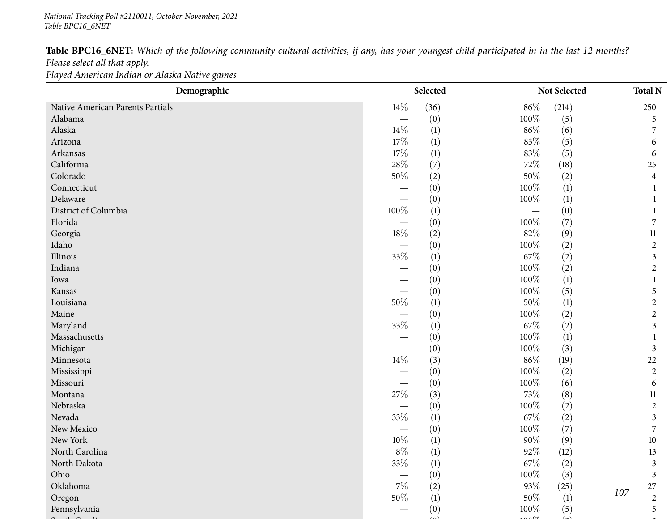Table BPC16\_6NET: Which of the following community cultural activities, if any, has your youngest child participated in in the last 12 months? *Please select all that apply.*

*Played American Indian or Alaska Native games*

| Demographic                      |                          | Selected         |         | Not Selected     |     | <b>Total N</b>   |
|----------------------------------|--------------------------|------------------|---------|------------------|-----|------------------|
| Native American Parents Partials | $14\%$                   | (36)             | $86\%$  | (214)            |     | 250              |
| Alabama                          |                          | (0)              | 100%    | (5)              |     | 5                |
| Alaska                           | 14%                      | (1)              | $86\%$  | (6)              |     |                  |
| Arizona                          | $17\%$                   | (1)              | $83\%$  | (5)              |     | 6                |
| Arkansas                         | $17\%$                   | $\left(1\right)$ | $83\%$  | (5)              |     | 6                |
| California                       | 28\%                     | (7)              | 72%     | (18)             |     | 25               |
| Colorado                         | $50\%$                   | (2)              | $50\%$  | (2)              |     | 4                |
| Connecticut                      |                          | (0)              | 100%    | (1)              |     |                  |
| Delaware                         |                          | (0)              | 100%    | (1)              |     |                  |
| District of Columbia             | 100%                     | $\left(1\right)$ |         | (0)              |     |                  |
| Florida                          |                          | (0)              | 100%    | (7)              |     |                  |
| Georgia                          | 18%                      | (2)              | 82%     | (9)              |     | 11               |
| Idaho                            |                          | (0)              | 100%    | (2)              |     | $\overline{2}$   |
| Illinois                         | 33%                      | $\left(1\right)$ | 67\%    | (2)              |     | 3                |
| Indiana                          |                          | (0)              | 100%    | (2)              |     | 2                |
| Iowa                             |                          | (0)              | 100%    | $\left(1\right)$ |     | 1                |
| Kansas                           |                          | (0)              | 100%    | (5)              |     | 5                |
| Louisiana                        | 50%                      | (1)              | $50\%$  | $\left(1\right)$ |     | $\overline{c}$   |
| Maine                            |                          | (0)              | $100\%$ | (2)              |     | 2                |
| Maryland                         | $33\%$                   | $\left(1\right)$ | 67%     | (2)              |     | 3                |
| Massachusetts                    |                          | (0)              | 100%    | $\left(1\right)$ |     |                  |
| Michigan                         | $\overline{\phantom{0}}$ | (0)              | 100%    | (3)              |     | 3                |
| Minnesota                        | 14\%                     | (3)              | $86\%$  | (19)             |     | 22               |
| Mississippi                      |                          | (0)              | 100%    | (2)              |     | $\overline{2}$   |
| Missouri                         |                          | (0)              | 100%    | (6)              |     | 6                |
| Montana                          | $27\%$                   | (3)              | $73\%$  | (8)              |     | 11               |
| Nebraska                         |                          | (0)              | 100%    | (2)              |     | $\mathbf{2}$     |
| Nevada                           | $33\%$                   | $\left(1\right)$ | $67\%$  | (2)              |     | 3                |
| New Mexico                       |                          | (0)              | 100%    | (7)              |     | 7                |
| New York                         | $10\%$                   | (1)              | $90\%$  | (9)              |     | $10\,$           |
| North Carolina                   | $8\%$                    | (1)              | 92%     | (12)             |     | 13               |
| North Dakota                     | $33\%$                   | $\left(1\right)$ | $67\%$  | (2)              |     | 3                |
| Ohio                             |                          | (0)              | $100\%$ | (3)              |     | $\mathfrak{Z}$   |
| Oklahoma                         | $7\%$                    | (2)              | $93\%$  | (25)             | 107 | $27\,$           |
| Oregon                           | $50\%$                   | (1)              | $50\%$  | $\left(1\right)$ |     | $\boldsymbol{2}$ |
| Pennsylvania                     |                          | (0)              | 100%    | (5)              |     | 5                |
|                                  |                          |                  |         |                  |     |                  |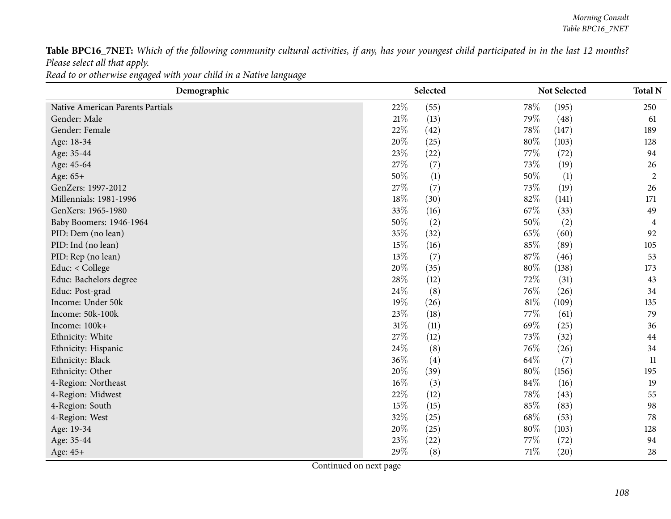Table BPC16\_7NET: Which of the following community cultural activities, if any, has your youngest child participated in in the last 12 months? *Please select all that apply.*

Read to or otherwise engaged with your child in a Native language

| Demographic                      |        | Selected         |        | Not Selected | <b>Total N</b> |
|----------------------------------|--------|------------------|--------|--------------|----------------|
| Native American Parents Partials | 22\%   | (55)             | 78%    | (195)        | 250            |
| Gender: Male                     | $21\%$ | (13)             | 79%    | (48)         | 61             |
| Gender: Female                   | 22%    | (42)             | 78%    | (147)        | 189            |
| Age: 18-34                       | 20%    | (25)             | $80\%$ | (103)        | 128            |
| Age: 35-44                       | 23\%   | (22)             | 77%    | (72)         | 94             |
| Age: 45-64                       | 27\%   | (7)              | 73%    | (19)         | 26             |
| Age: 65+                         | 50%    | $\left(1\right)$ | 50%    | (1)          | $\overline{2}$ |
| GenZers: 1997-2012               | 27\%   | (7)              | 73%    | (19)         | 26             |
| Millennials: 1981-1996           | 18%    | (30)             | 82%    | (141)        | 171            |
| GenXers: 1965-1980               | 33\%   | (16)             | 67\%   | (33)         | 49             |
| Baby Boomers: 1946-1964          | 50%    | (2)              | 50%    | (2)          | 4              |
| PID: Dem (no lean)               | 35%    | (32)             | 65%    | (60)         | 92             |
| PID: Ind (no lean)               | 15%    | (16)             | 85%    | (89)         | 105            |
| PID: Rep (no lean)               | 13%    | (7)              | 87%    | (46)         | 53             |
| Educ: < College                  | 20%    | (35)             | $80\%$ | (138)        | 173            |
| Educ: Bachelors degree           | 28\%   | (12)             | 72%    | (31)         | 43             |
| Educ: Post-grad                  | 24\%   | (8)              | 76%    | (26)         | 34             |
| Income: Under 50k                | $19\%$ | (26)             | $81\%$ | (109)        | 135            |
| Income: 50k-100k                 | 23%    | (18)             | 77%    | (61)         | 79             |
| Income: 100k+                    | $31\%$ | (11)             | 69%    | (25)         | 36             |
| Ethnicity: White                 | 27\%   | (12)             | 73%    | (32)         | 44             |
| Ethnicity: Hispanic              | 24\%   | (8)              | 76%    | (26)         | 34             |
| Ethnicity: Black                 | 36%    | (4)              | 64\%   | (7)          | 11             |
| Ethnicity: Other                 | 20%    | (39)             | $80\%$ | (156)        | 195            |
| 4-Region: Northeast              | $16\%$ | (3)              | 84%    | (16)         | 19             |
| 4-Region: Midwest                | 22%    | (12)             | 78%    | (43)         | 55             |
| 4-Region: South                  | 15%    | (15)             | 85%    | (83)         | 98             |
| 4-Region: West                   | 32%    | (25)             | 68%    | (53)         | 78             |
| Age: 19-34                       | 20%    | (25)             | 80%    | (103)        | 128            |
| Age: 35-44                       | 23%    | (22)             | 77%    | (72)         | 94             |
| Age: 45+                         | 29%    | (8)              | $71\%$ | (20)         | 28             |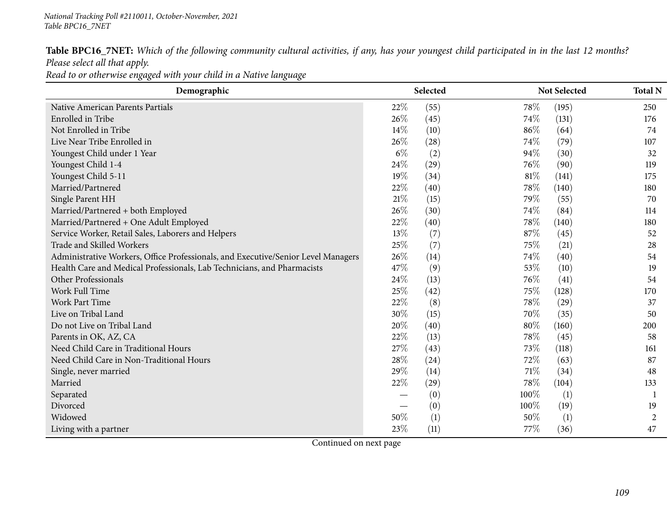| Table BPC16_7NET: Which of the following community cultural activities, if any, has your youngest child participated in in the last 12 months? |  |  |  |  |  |  |  |  |
|------------------------------------------------------------------------------------------------------------------------------------------------|--|--|--|--|--|--|--|--|
| Please select all that apply.                                                                                                                  |  |  |  |  |  |  |  |  |

Read to or otherwise engaged with your child in a Native language

| Demographic                                                                       |       | Selected |        | Not Selected | <b>Total N</b> |
|-----------------------------------------------------------------------------------|-------|----------|--------|--------------|----------------|
| Native American Parents Partials                                                  | 22%   | (55)     | 78\%   | (195)        | 250            |
| Enrolled in Tribe                                                                 | 26%   | (45)     | $74\%$ | (131)        | 176            |
| Not Enrolled in Tribe                                                             | 14%   | (10)     | 86\%   | (64)         | 74             |
| Live Near Tribe Enrolled in                                                       | 26\%  | (28)     | 74\%   | (79)         | 107            |
| Youngest Child under 1 Year                                                       | $6\%$ | (2)      | 94%    | (30)         | 32             |
| Youngest Child 1-4                                                                | 24\%  | (29)     | 76\%   | (90)         | 119            |
| Youngest Child 5-11                                                               | 19%   | (34)     | 81\%   | (141)        | 175            |
| Married/Partnered                                                                 | 22%   | (40)     | 78\%   | (140)        | 180            |
| Single Parent HH                                                                  | 21%   | (15)     | 79%    | (55)         | 70             |
| Married/Partnered + both Employed                                                 | 26%   | (30)     | 74\%   | (84)         | 114            |
| Married/Partnered + One Adult Employed                                            | 22%   | (40)     | 78\%   | (140)        | 180            |
| Service Worker, Retail Sales, Laborers and Helpers                                | 13%   | (7)      | 87%    | (45)         | 52             |
| Trade and Skilled Workers                                                         | 25%   | (7)      | 75%    | (21)         | 28             |
| Administrative Workers, Office Professionals, and Executive/Senior Level Managers | 26%   | (14)     | 74%    | (40)         | 54             |
| Health Care and Medical Professionals, Lab Technicians, and Pharmacists           | 47%   | (9)      | 53%    | (10)         | 19             |
| Other Professionals                                                               | 24\%  | (13)     | 76\%   | (41)         | 54             |
| Work Full Time                                                                    | 25\%  | (42)     | 75\%   | (128)        | 170            |
| <b>Work Part Time</b>                                                             | 22%   | (8)      | 78\%   | (29)         | 37             |
| Live on Tribal Land                                                               | 30%   | (15)     | 70%    | (35)         | 50             |
| Do not Live on Tribal Land                                                        | 20%   | (40)     | 80%    | (160)        | 200            |
| Parents in OK, AZ, CA                                                             | 22%   | (13)     | 78%    | (45)         | 58             |
| Need Child Care in Traditional Hours                                              | 27%   | (43)     | 73\%   | (118)        | 161            |
| Need Child Care in Non-Traditional Hours                                          | 28\%  | (24)     | 72\%   | (63)         | 87             |
| Single, never married                                                             | 29%   | (14)     | 71\%   | (34)         | 48             |
| Married                                                                           | 22%   | (29)     | 78\%   | (104)        | 133            |
| Separated                                                                         |       | (0)      | 100%   | (1)          | -1             |
| Divorced                                                                          |       | (0)      | 100%   | (19)         | 19             |
| Widowed                                                                           | 50%   | (1)      | 50%    | (1)          | 2              |
| Living with a partner                                                             | 23%   | (11)     | 77%    | (36)         | 47             |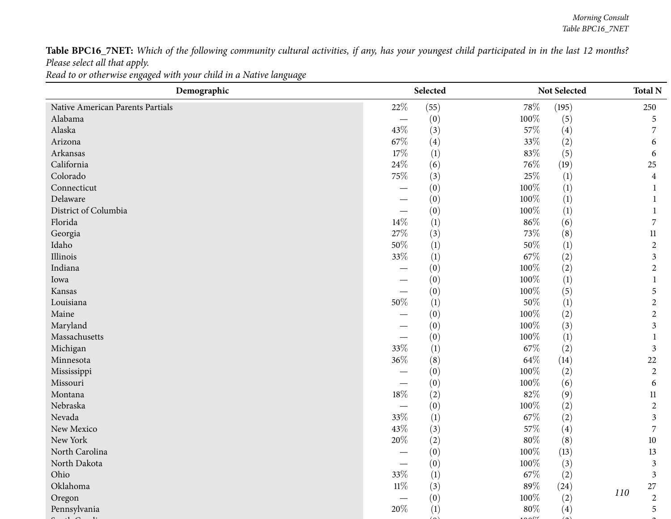Table BPC16\_7NET: Which of the following community cultural activities, if any, has your youngest child participated in in the last 12 months? *Please select all that apply.*

Read to or otherwise engaged with your child in a Native language

| Demographic                      | Selected                 |      |         | Not Selected |     | <b>Total N</b>   |
|----------------------------------|--------------------------|------|---------|--------------|-----|------------------|
| Native American Parents Partials | 22\%                     | (55) | 78\%    | (195)        |     | 250              |
| Alabama                          |                          | (0)  | 100%    | (5)          |     | 5                |
| Alaska                           | 43%                      | (3)  | 57\%    | (4)          |     |                  |
| Arizona                          | 67%                      | (4)  | 33%     | (2)          |     | 6                |
| Arkansas                         | 17%                      | (1)  | 83%     | (5)          |     | 6                |
| California                       | 24\%                     | (6)  | 76\%    | (19)         |     | 25               |
| Colorado                         | 75%                      | (3)  | $25\%$  | (1)          |     | $\overline{4}$   |
| Connecticut                      | —                        | (0)  | 100%    | (1)          |     | 1                |
| Delaware                         |                          | (0)  | 100%    | (1)          |     |                  |
| District of Columbia             | $\overline{\phantom{0}}$ | (0)  | 100%    | (1)          |     |                  |
| Florida                          | $14\%$                   | (1)  | $86\%$  | (6)          |     | 7                |
| Georgia                          | 27%                      | (3)  | 73%     | (8)          |     | $11\,$           |
| Idaho                            | $50\%$                   | (1)  | 50%     | (1)          |     | $\overline{2}$   |
| Illinois                         | 33%                      | (1)  | 67\%    | (2)          |     | $\mathfrak{Z}$   |
| Indiana                          |                          | (0)  | 100%    | (2)          |     | $\overline{2}$   |
| Iowa                             |                          | (0)  | 100%    | (1)          |     |                  |
| Kansas                           | $\overline{\phantom{0}}$ | (0)  | 100%    | (5)          |     | 5                |
| Louisiana                        | $50\%$                   | (1)  | $50\%$  | (1)          |     | $\overline{2}$   |
| Maine                            |                          | (0)  | 100%    | (2)          |     | $\overline{2}$   |
| Maryland                         |                          | (0)  | 100%    | (3)          |     | $\mathfrak{Z}$   |
| Massachusetts                    |                          | (0)  | 100%    | (1)          |     |                  |
| Michigan                         | 33%                      | (1)  | 67\%    | (2)          |     | $\mathfrak{Z}$   |
| Minnesota                        | $36\%$                   | (8)  | 64\%    | (14)         |     | $22\,$           |
| Mississippi                      |                          | (0)  | 100%    | (2)          |     | $\overline{2}$   |
| Missouri                         |                          | (0)  | 100%    | (6)          |     | 6                |
| Montana                          | $18\%$                   | (2)  | 82%     | (9)          |     | 11               |
| Nebraska                         |                          | (0)  | 100%    | (2)          |     | $\overline{2}$   |
| Nevada                           | 33%                      | (1)  | 67\%    | (2)          |     | $\mathfrak{Z}$   |
| New Mexico                       | 43%                      | (3)  | 57\%    | (4)          |     | 7                |
| New York                         | 20%                      | (2)  | $80\%$  | (8)          |     | 10               |
| North Carolina                   |                          | (0)  | $100\%$ | (13)         |     | 13               |
| North Dakota                     |                          | (0)  | 100%    | (3)          |     | 3                |
| Ohio                             | 33%                      | (1)  | $67\%$  | (2)          |     | $\mathfrak{Z}$   |
| Oklahoma                         | $11\%$                   | (3)  | $89\%$  | (24)         | 110 | 27               |
| Oregon                           |                          | (0)  | 100%    | (2)          |     | $\boldsymbol{2}$ |
| Pennsylvania                     | $20\%$                   | (1)  | $80\%$  | (4)          |     | 5                |
|                                  |                          |      |         |              |     |                  |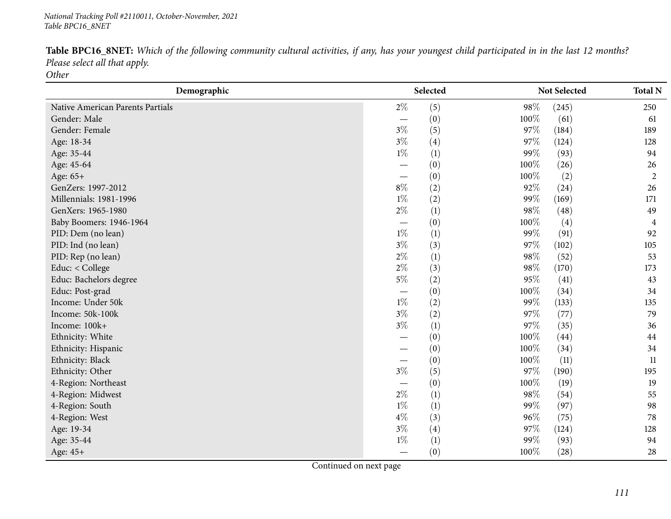| Table BPC16_8NET: Which of the following community cultural activities, if any, has your youngest child participated in in the last 12 months? |  |
|------------------------------------------------------------------------------------------------------------------------------------------------|--|
| Please select all that apply.                                                                                                                  |  |
| <b>Other</b>                                                                                                                                   |  |

| Demographic                      | Selected                        |     |         | <b>Not Selected</b> |                |
|----------------------------------|---------------------------------|-----|---------|---------------------|----------------|
| Native American Parents Partials | $2\%$                           | (5) | 98%     | (245)               | 250            |
| Gender: Male                     |                                 | (0) | 100%    | (61)                | 61             |
| Gender: Female                   | $3\%$                           | (5) | 97%     | (184)               | 189            |
| Age: 18-34                       | $3\%$                           | (4) | 97%     | (124)               | 128            |
| Age: 35-44                       | $1\%$                           | (1) | 99%     | (93)                | 94             |
| Age: 45-64                       |                                 | (0) | 100%    | (26)                | 26             |
| Age: 65+                         |                                 | (0) | 100%    | (2)                 | $\overline{2}$ |
| GenZers: 1997-2012               | $8\%$                           | (2) | 92%     | (24)                | 26             |
| Millennials: 1981-1996           | $1\%$                           | (2) | 99%     | (169)               | 171            |
| GenXers: 1965-1980               | $2\%$                           | (1) | 98%     | (48)                | 49             |
| Baby Boomers: 1946-1964          | $\hspace{0.1mm}-\hspace{0.1mm}$ | (0) | 100%    | (4)                 | 4              |
| PID: Dem (no lean)               | $1\%$                           | (1) | 99%     | (91)                | 92             |
| PID: Ind (no lean)               | $3\%$                           | (3) | 97%     | (102)               | 105            |
| PID: Rep (no lean)               | $2\%$                           | (1) | 98%     | (52)                | 53             |
| Educ: < College                  | $2\%$                           | (3) | 98%     | (170)               | 173            |
| Educ: Bachelors degree           | $5\%$                           | (2) | 95%     | (41)                | 43             |
| Educ: Post-grad                  | —                               | (0) | 100%    | (34)                | 34             |
| Income: Under 50k                | $1\%$                           | (2) | 99%     | (133)               | 135            |
| Income: 50k-100k                 | $3\%$                           | (2) | 97%     | (77)                | 79             |
| Income: 100k+                    | $3\%$                           | (1) | 97%     | (35)                | 36             |
| Ethnicity: White                 |                                 | (0) | $100\%$ | (44)                | 44             |
| Ethnicity: Hispanic              |                                 | (0) | 100%    | (34)                | 34             |
| Ethnicity: Black                 |                                 | (0) | 100%    | (11)                | 11             |
| Ethnicity: Other                 | $3\%$                           | (5) | 97%     | (190)               | 195            |
| 4-Region: Northeast              |                                 | (0) | 100%    | (19)                | 19             |
| 4-Region: Midwest                | $2\%$                           | (1) | 98%     | (54)                | 55             |
| 4-Region: South                  | $1\%$                           | (1) | 99%     | (97)                | 98             |
| 4-Region: West                   | $4\%$                           | (3) | 96%     | (75)                | 78             |
| Age: 19-34                       | $3\%$                           | (4) | 97%     | (124)               | 128            |
| Age: 35-44                       | $1\%$                           | (1) | 99%     | (93)                | 94             |
| Age: 45+                         |                                 | (0) | 100%    | (28)                | 28             |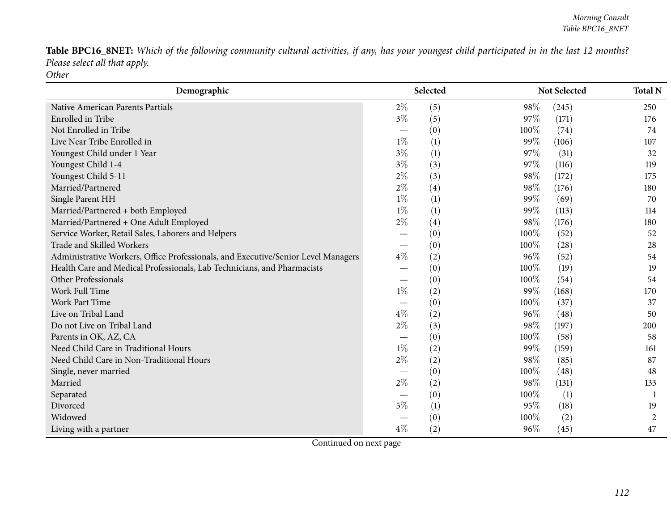Table BPC16\_8NET: Which of the following community cultural activities, if any, has your youngest child participated in in the last 12 months? *Please select all that apply. Other*

| Demographic                                                                       |                                 | Selected         |      | <b>Not Selected</b> | <b>Total N</b> |
|-----------------------------------------------------------------------------------|---------------------------------|------------------|------|---------------------|----------------|
| <b>Native American Parents Partials</b>                                           | $2\%$                           | (5)              | 98%  | (245)               | 250            |
| Enrolled in Tribe                                                                 | $3\%$                           | (5)              | 97%  | (171)               | 176            |
| Not Enrolled in Tribe                                                             |                                 | (0)              | 100% | (74)                | 74             |
| Live Near Tribe Enrolled in                                                       | $1\%$                           | (1)              | 99%  | (106)               | 107            |
| Youngest Child under 1 Year                                                       | $3\%$                           | (1)              | 97\% | (31)                | 32             |
| Youngest Child 1-4                                                                | $3\%$                           | (3)              | 97%  | (116)               | 119            |
| Youngest Child 5-11                                                               | $2\%$                           | (3)              | 98%  | (172)               | 175            |
| Married/Partnered                                                                 | $2\%$                           | (4)              | 98%  | (176)               | 180            |
| Single Parent HH                                                                  | $1\%$                           | (1)              | 99%  | (69)                | 70             |
| Married/Partnered + both Employed                                                 | $1\%$                           | (1)              | 99%  | (113)               | 114            |
| Married/Partnered + One Adult Employed                                            | $2\%$                           | (4)              | 98%  | (176)               | 180            |
| Service Worker, Retail Sales, Laborers and Helpers                                |                                 | (0)              | 100% | (52)                | 52             |
| Trade and Skilled Workers                                                         |                                 | (0)              | 100% | (28)                | 28             |
| Administrative Workers, Office Professionals, and Executive/Senior Level Managers | $4\%$                           | (2)              | 96%  | (52)                | 54             |
| Health Care and Medical Professionals, Lab Technicians, and Pharmacists           |                                 | (0)              | 100% | (19)                | 19             |
| Other Professionals                                                               |                                 | (0)              | 100% | (54)                | 54             |
| <b>Work Full Time</b>                                                             | $1\%$                           | (2)              | 99%  | (168)               | 170            |
| <b>Work Part Time</b>                                                             |                                 | (0)              | 100% | (37)                | 37             |
| Live on Tribal Land                                                               | $4\%$                           | (2)              | 96%  | (48)                | 50             |
| Do not Live on Tribal Land                                                        | $2\%$                           | (3)              | 98%  | (197)               | 200            |
| Parents in OK, AZ, CA                                                             | $\hspace{0.1mm}-\hspace{0.1mm}$ | (0)              | 100% | (58)                | 58             |
| Need Child Care in Traditional Hours                                              | $1\%$                           | (2)              | 99%  | (159)               | 161            |
| Need Child Care in Non-Traditional Hours                                          | $2\%$                           | (2)              | 98%  | (85)                | 87             |
| Single, never married                                                             |                                 | (0)              | 100% | (48)                | 48             |
| Married                                                                           | $2\%$                           | (2)              | 98%  | (131)               | 133            |
| Separated                                                                         | $\hspace{0.1mm}-\hspace{0.1mm}$ | (0)              | 100% | (1)                 |                |
| Divorced                                                                          | 5%                              | $\left(1\right)$ | 95%  | (18)                | 19             |
| Widowed                                                                           |                                 | (0)              | 100% | (2)                 | 2              |
| Living with a partner                                                             | $4\%$                           | (2)              | 96%  | (45)                | 47             |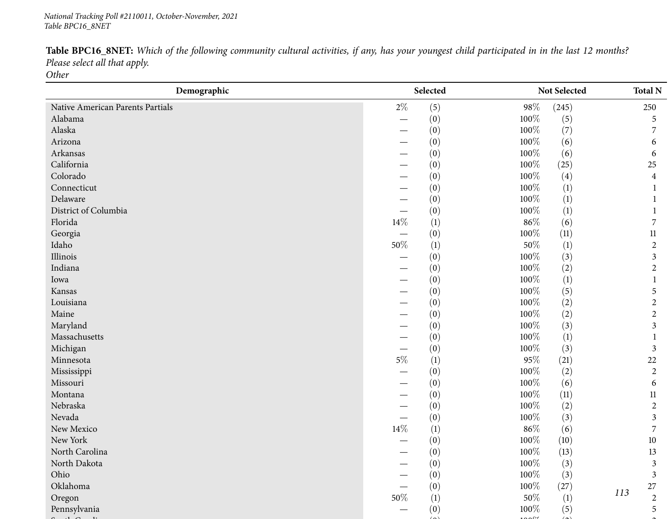*113***Demographic Selected Not Selected Total <sup>N</sup>**Native American Parents Partials 2% (5) 98% (245) 250<br>Alabama – (0) 98% (245) 5  $\mathfrak s$ Alabama $\overline{a}$  $-$  (0)  $100\%$  (5) 5<br>(0)  $100\%$  (7) 5 Alaska $\overline{a}$  and  $\overline{a}$  and  $\overline{a}$  and  $\overline{a}$  and  $\overline{a}$  and  $\overline{a}$  and  $\overline{a}$  and  $\overline{a}$  and  $\overline{a}$  and  $\overline{a}$  and  $\overline{a}$  and  $\overline{a}$  and  $\overline{a}$  and  $\overline{a}$  and  $\overline{a}$  and  $\overline{a}$  and  $\overline{a}$  and  $-$  (0)  $100\%$  (7) 7<br>(0)  $100\%$  (6) 7 Arizona $\overline{a}$  $-$  (0)  $100\%$  (6) 6<br>(0)  $100\%$  (6) 6 Arkansas — $-$  (0)  $100\%$  (6) 6<br>  $(0)$   $100\%$  (25) 5 California $\overline{a}$  and  $\overline{a}$  and  $\overline{a}$  and  $\overline{a}$  and  $\overline{a}$  and  $\overline{a}$  and  $\overline{a}$  and  $\overline{a}$  and  $\overline{a}$  and  $\overline{a}$  and  $\overline{a}$  and  $\overline{a}$  and  $\overline{a}$  and  $\overline{a}$  and  $\overline{a}$  and  $\overline{a}$  and  $\overline{a}$  and  $-$  (0)  $100\%$  (25) 25<br>(0)  $100\%$  (4)  $4$ Colorado — $-$  (0)  $100\%$  (4)  $4$ <br>  $100\%$  (1)  $1$ Connecticut $\overline{\phantom{a}}$  $-$  (0)  $100\%$  (1) 1<br>(0)  $100\%$  (1) 1 Delaware $\epsilon$  $-$  (0)  $100\%$  (1) 1<br>(0)  $100\%$  (1) 1 District of Columbia — $\begin{array}{cccc} - & & (0) & & 100\% & (1) & 1 \\ \frac{07}{2} & & (1) & & 86\% & (6) & 7 \end{array}$ Florida**a**  $14\%$  (1)  $86\%$  (6) 7  $11$ Georgia $\overline{a}$  $-$  (0)  $100\%$  (11) 11<br>  $100\%$  (1) 11 Idaho**50%** (1) 50% (1) 50% (1) 50% (1) 2 Illinois — $-$  (0)  $100\%$  (3) 3<br>  $100\%$  (2) 3 Indiana $\overline{a}$  $-$  (0)  $100\%$  (2) 2<br>(0)  $100\%$  (1) 2 Iowa $\overline{ }$  and  $\overline{ }$  and  $\overline{ }$  and  $\overline{ }$  and  $\overline{ }$  and  $\overline{ }$  and  $\overline{ }$  and  $\overline{ }$  and  $\overline{ }$  and  $\overline{ }$  and  $\overline{ }$  and  $\overline{ }$  and  $\overline{ }$  and  $\overline{ }$  and  $\overline{ }$  and  $\overline{ }$  and  $\overline{ }$  and  $\overline{ }$  and  $\overline{$  $-$  (0)  $100\%$  (1)  $1$ <br>  $100\%$  (5)  $1$ Kansas — $-$  (0)  $100\%$  (5) 5<br>(0)  $100\%$  (2) 5 Louisiana $\overline{a}$  and  $\overline{a}$  and  $\overline{a}$  and  $\overline{a}$  and  $\overline{a}$  and  $\overline{a}$  and  $\overline{a}$  and  $\overline{a}$  and  $\overline{a}$  and  $\overline{a}$  and  $\overline{a}$  and  $\overline{a}$  and  $\overline{a}$  and  $\overline{a}$  and  $\overline{a}$  and  $\overline{a}$  and  $\overline{a}$  and  $-$  (0)  $100\%$  (2) 2<br>(0)  $100\%$  (2) 2 Maine $\epsilon$  $-$  (0)  $100\%$  (2) 2<br>(0)  $100\%$  (2) 2 Maryland $\mathbf{u}$  and  $\mathbf{v}$  and  $\mathbf{v}$  and  $\mathbf{v}$  and  $\mathbf{v}$  and  $\mathbf{v}$  and  $\mathbf{v}$  and  $\mathbf{v}$  and  $\mathbf{v}$  $-$  (0)  $100\%$  (3) 3<br>
(0)  $100\%$  (1) 3 Massachusetts — $-$  (0)  $100\%$  (1) 1<br>(0)  $100\%$  (2) 2 Michigan $\frac{1}{2}$  $-$  (0)  $100\%$  (3) 3<br>  $0.5\%$  (1)  $0.5\%$  (21) 3 Minnesotaa  $5\%$  (1)  $95\%$  (21)  $22$  $\overline{2}$ Mississippi $\overline{1}$  and  $\overline{1}$  and  $\overline{1}$  and  $\overline{1}$  and  $\overline{1}$  and  $\overline{1}$  and  $\overline{1}$  and  $\overline{1}$  and  $\overline{1}$  and  $\overline{1}$  and  $\overline{1}$  and  $\overline{1}$  and  $\overline{1}$  and  $\overline{1}$  and  $\overline{1}$  and  $\overline{1}$  and  $\overline{1}$  and  $-$  (0)  $100\%$  (2) 2<br>(0)  $100\%$  (6) 2 Missouri $\overline{1}$  $-$  (0)  $100\%$  (6) 6<br>(0)  $100\%$  (11) 11 Montana $\overline{a}$  and  $\overline{b}$  and  $\overline{c}$  and  $\overline{c}$  and  $\overline{c}$  and  $\overline{c}$  and  $\overline{c}$  and  $\overline{c}$  and  $\overline{c}$  and  $\overline{c}$  and  $\overline{c}$  and  $\overline{c}$  and  $\overline{c}$  and  $\overline{c}$  and  $\overline{c}$  and  $\overline{c}$  and  $\overline{c}$  and  $-$  (0)  $100\%$  (11) 11<br>(0)  $100\%$  (2) 2 Nebraska $\overline{a}$  and  $\overline{a}$  and  $\overline{a}$  and  $\overline{a}$  and  $\overline{a}$  and  $\overline{a}$  and  $\overline{a}$  and  $\overline{a}$  and  $\overline{a}$  and  $\overline{a}$  and  $\overline{a}$  and  $\overline{a}$  and  $\overline{a}$  and  $\overline{a}$  and  $\overline{a}$  and  $\overline{a}$  and  $\overline{a}$  and  $-$  (0)  $100\%$  (2) 2<br>(0)  $100\%$  (2) 2 Nevada $\overline{a}$  $-$  (0)  $100\%$  (3) 3<br>  $\frac{3}{25}$  3 New Mexico**14%** (1)  $86\%$  (6) 7 New York $\mathcal{L}$  $-$  (0)  $100\%$  (10)  $10$ <br>
(0)  $100\%$  (12)  $13$ North Carolina — $-$  (0)  $100\%$  (13) 13<br>
(0)  $100\%$  (2) 2 North Dakota — $-$  (0)  $100\%$  (3) 3<br>(0)  $100\%$  (2) 3 Ohio — $-$  (0)  $100\%$  (3) 3<br>  $100\%$  (27) 3 Oklahoma $\overline{a}$  and  $\overline{b}$  and  $\overline{c}$  and  $\overline{c}$  and  $\overline{c}$  and  $\overline{c}$  and  $\overline{c}$  and  $\overline{c}$  and  $\overline{c}$  and  $\overline{c}$  and  $\overline{c}$  and  $\overline{c}$  and  $\overline{c}$  and  $\overline{c}$  and  $\overline{c}$  and  $\overline{c}$  and  $\overline{c}$  and  $-$  (0)  $100\%$  (27)  $113$  27 Oregonn 50% (1) 50% (1) 50% (1)  $113$  2 Pennsylvania $\overline{a}$  and  $\overline{a}$  and  $\overline{a}$  and  $\overline{a}$  and  $\overline{a}$  and  $\overline{a}$  and  $\overline{a}$  and  $\overline{a}$  and  $\overline{a}$  and  $\overline{a}$  and  $\overline{a}$  and  $\overline{a}$  and  $\overline{a}$  and  $\overline{a}$  and  $\overline{a}$  and  $\overline{a}$  and  $\overline{a}$  and  $-$  (0)  $100\%$  (5) 5

 $(0)$  100 $\mathcal{M}$  (2) 200 $\mathcal{M}$  (2)

 $\mathfrak{S}$  and  $\mathfrak{S}$  around  $\mathfrak{S}$  and  $\mathfrak{S}$  around  $\mathfrak{S}$  around  $\mathfrak{S}$  around  $\mathfrak{S}$  around  $\mathfrak{S}$  around  $\mathfrak{S}$  around  $\mathfrak{S}$  around  $\mathfrak{S}$  around  $\mathfrak{S}$  around  $\mathfrak{S}$  around  $\mathfrak{$ 

Table BPC16\_8NET: Which of the following community cultural activities, if any, has your youngest child participated in in the last 12 months? *Please select all that apply.*

*Other*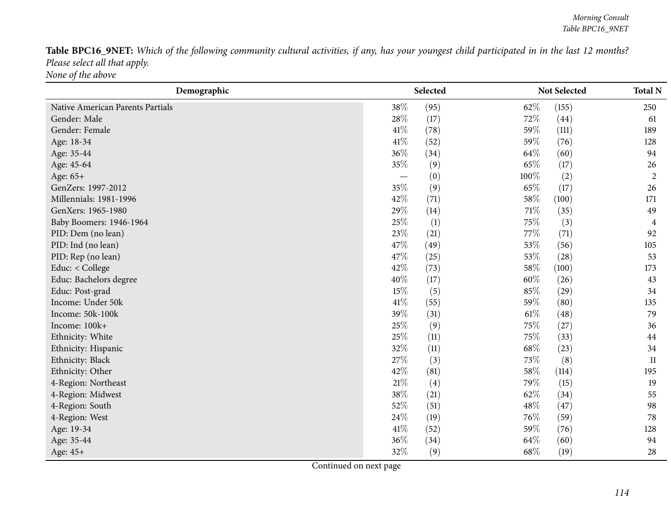Table BPC16\_9NET: Which of the following community cultural activities, if any, has your youngest child participated in in the last 12 months? *Please select all that apply. None of the above*

| Demographic                      | Selected                 |      |        | Not Selected | <b>Total N</b> |
|----------------------------------|--------------------------|------|--------|--------------|----------------|
| Native American Parents Partials | 38%                      | (95) | 62%    | (155)        | 250            |
| Gender: Male                     | 28\%                     | (17) | 72%    | (44)         | 61             |
| Gender: Female                   | 41%                      | (78) | 59%    | (111)        | 189            |
| Age: 18-34                       | 41\%                     | (52) | 59%    | (76)         | 128            |
| Age: 35-44                       | 36%                      | (34) | 64\%   | (60)         | 94             |
| Age: 45-64                       | 35%                      | (9)  | 65%    | (17)         | 26             |
| Age: 65+                         | $\overline{\phantom{0}}$ | (0)  | 100%   | (2)          | $\overline{2}$ |
| GenZers: 1997-2012               | 35%                      | (9)  | 65%    | (17)         | 26             |
| Millennials: 1981-1996           | 42%                      | (71) | 58\%   | (100)        | 171            |
| GenXers: 1965-1980               | 29%                      | (14) | 71\%   | (35)         | 49             |
| Baby Boomers: 1946-1964          | 25%                      | (1)  | 75%    | (3)          | 4              |
| PID: Dem (no lean)               | 23\%                     | (21) | 77%    | (71)         | 92             |
| PID: Ind (no lean)               | 47%                      | (49) | 53%    | (56)         | 105            |
| PID: Rep (no lean)               | 47%                      | (25) | 53%    | (28)         | 53             |
| Educ: < College                  | 42%                      | (73) | 58\%   | (100)        | 173            |
| Educ: Bachelors degree           | 40%                      | (17) | 60%    | (26)         | 43             |
| Educ: Post-grad                  | 15%                      | (5)  | 85%    | (29)         | 34             |
| Income: Under 50k                | 41\%                     | (55) | 59%    | (80)         | 135            |
| Income: 50k-100k                 | 39%                      | (31) | $61\%$ | (48)         | 79             |
| Income: 100k+                    | 25%                      | (9)  | 75%    | (27)         | 36             |
| Ethnicity: White                 | 25%                      | (11) | 75%    | (33)         | 44             |
| Ethnicity: Hispanic              | 32%                      | (11) | 68%    | (23)         | 34             |
| Ethnicity: Black                 | 27%                      | (3)  | 73%    | (8)          | 11             |
| Ethnicity: Other                 | 42%                      | (81) | 58\%   | (114)        | 195            |
| 4-Region: Northeast              | 21\%                     | (4)  | 79%    | (15)         | 19             |
| 4-Region: Midwest                | 38%                      | (21) | 62%    | (34)         | 55             |
| 4-Region: South                  | 52%                      | (51) | 48%    | (47)         | 98             |
| 4-Region: West                   | 24\%                     | (19) | 76%    | (59)         | 78             |
| Age: 19-34                       | $41\%$                   | (52) | 59%    | (76)         | 128            |
| Age: 35-44                       | 36%                      | (34) | 64%    | (60)         | 94             |
| Age: 45+                         | 32%                      | (9)  | 68%    | (19)         | 28             |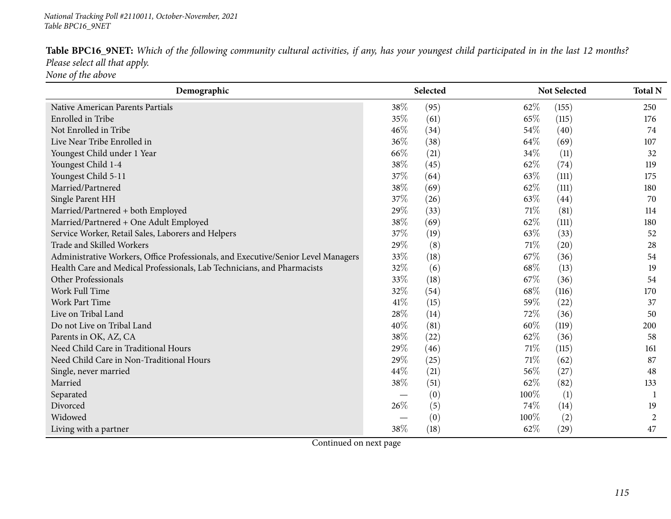| Table BPC16_9NET: Which of the following community cultural activities, if any, has your youngest child participated in in the last 12 months? |  |
|------------------------------------------------------------------------------------------------------------------------------------------------|--|
| Please select all that apply.                                                                                                                  |  |
| None of the above                                                                                                                              |  |

| Demographic                                                                       | Selected |      |        | Not Selected | <b>Total N</b> |
|-----------------------------------------------------------------------------------|----------|------|--------|--------------|----------------|
| Native American Parents Partials                                                  | 38%      | (95) | 62%    | (155)        | 250            |
| Enrolled in Tribe                                                                 | 35%      | (61) | 65%    | (115)        | 176            |
| Not Enrolled in Tribe                                                             | 46%      | (34) | 54\%   | (40)         | 74             |
| Live Near Tribe Enrolled in                                                       | 36%      | (38) | 64%    | (69)         | 107            |
| Youngest Child under 1 Year                                                       | 66\%     | (21) | 34\%   | (11)         | 32             |
| Youngest Child 1-4                                                                | 38%      | (45) | 62%    | (74)         | 119            |
| Youngest Child 5-11                                                               | 37%      | (64) | 63%    | (111)        | 175            |
| Married/Partnered                                                                 | 38%      | (69) | 62%    | (111)        | 180            |
| Single Parent HH                                                                  | 37%      | (26) | 63%    | (44)         | 70             |
| Married/Partnered + both Employed                                                 | 29%      | (33) | 71\%   | (81)         | 114            |
| Married/Partnered + One Adult Employed                                            | 38%      | (69) | 62%    | (111)        | 180            |
| Service Worker, Retail Sales, Laborers and Helpers                                | 37%      | (19) | 63%    | (33)         | 52             |
| Trade and Skilled Workers                                                         | 29%      | (8)  | $71\%$ | (20)         | 28             |
| Administrative Workers, Office Professionals, and Executive/Senior Level Managers | 33%      | (18) | 67%    | (36)         | 54             |
| Health Care and Medical Professionals, Lab Technicians, and Pharmacists           | 32%      | (6)  | 68%    | (13)         | 19             |
| Other Professionals                                                               | 33%      | (18) | 67%    | (36)         | 54             |
| Work Full Time                                                                    | 32%      | (54) | 68\%   | (116)        | 170            |
| <b>Work Part Time</b>                                                             | 41\%     | (15) | 59%    | (22)         | 37             |
| Live on Tribal Land                                                               | 28%      | (14) | 72%    | (36)         | 50             |
| Do not Live on Tribal Land                                                        | 40%      | (81) | 60%    | (119)        | 200            |
| Parents in OK, AZ, CA                                                             | 38%      | (22) | 62%    | (36)         | 58             |
| Need Child Care in Traditional Hours                                              | 29%      | (46) | 71\%   | (115)        | 161            |
| Need Child Care in Non-Traditional Hours                                          | 29%      | (25) | $71\%$ | (62)         | 87             |
| Single, never married                                                             | 44\%     | (21) | 56%    | (27)         | 48             |
| Married                                                                           | 38%      | (51) | 62%    | (82)         | 133            |
| Separated                                                                         |          | (0)  | 100%   | (1)          | $\mathbf{1}$   |
| Divorced                                                                          | 26%      | (5)  | 74%    | (14)         | 19             |
| Widowed                                                                           |          | (0)  | 100%   | (2)          | 2              |
| Living with a partner                                                             | 38%      | (18) | 62%    | (29)         | 47             |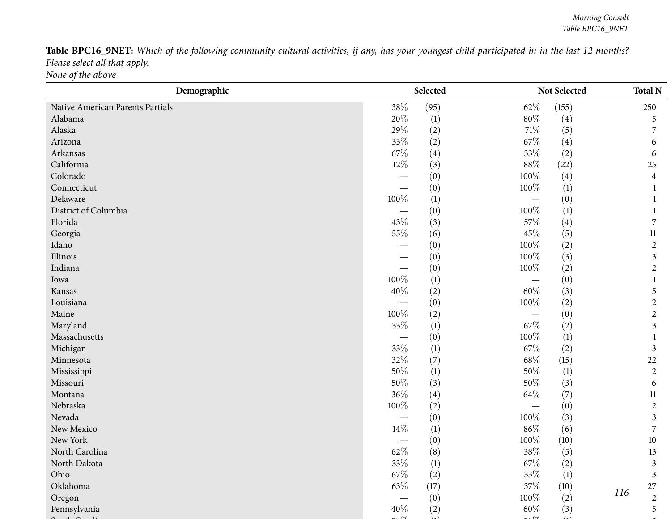Table BPC16\_9NET: Which of the following community cultural activities, if any, has your youngest child participated in in the last 12 months? *Please select all that apply. None of the above*

| Demographic                      |                                 | Selected         |         | Not Selected     |     | <b>Total N</b> |
|----------------------------------|---------------------------------|------------------|---------|------------------|-----|----------------|
| Native American Parents Partials | 38%                             | (95)             | 62\%    | (155)            |     | 250            |
| Alabama                          | 20%                             | $\left(1\right)$ | $80\%$  | (4)              |     | 5              |
| Alaska                           | 29%                             | (2)              | $71\%$  | (5)              |     | 7              |
| Arizona                          | 33%                             | (2)              | 67\%    | (4)              |     | 6              |
| Arkansas                         | 67%                             | (4)              | 33%     | (2)              |     | 6              |
| California                       | 12%                             | (3)              | $88\%$  | (22)             |     | 25             |
| Colorado                         |                                 | (0)              | 100%    | (4)              |     | $\overline{4}$ |
| Connecticut                      |                                 | (0)              | 100%    | (1)              |     |                |
| Delaware                         | 100%                            | (1)              |         | (0)              |     |                |
| District of Columbia             |                                 | (0)              | 100%    | (1)              |     |                |
| Florida                          | 43%                             | (3)              | 57\%    | (4)              |     | $\overline{7}$ |
| Georgia                          | 55%                             | (6)              | 45%     | (5)              |     | 11             |
| Idaho                            |                                 | (0)              | $100\%$ | (2)              |     | $\overline{2}$ |
| Illinois                         |                                 | (0)              | 100%    | (3)              |     | $\mathfrak{Z}$ |
| Indiana                          |                                 | (0)              | 100%    | (2)              |     | $\overline{2}$ |
| Iowa                             | 100%                            | (1)              |         | (0)              |     |                |
| Kansas                           | 40%                             | (2)              | $60\%$  | (3)              |     | 5              |
| Louisiana                        | $\overline{\phantom{0}}$        | (0)              | 100%    | (2)              |     | $\overline{2}$ |
| Maine                            | 100%                            | (2)              |         | (0)              |     | $\sqrt{2}$     |
| Maryland                         | 33%                             | (1)              | $67\%$  | (2)              |     | $\mathfrak{Z}$ |
| Massachusetts                    | $\overbrace{\phantom{13333}}$   | (0)              | $100\%$ | $\left(1\right)$ |     | 1              |
| Michigan                         | 33%                             | (1)              | $67\%$  | (2)              |     | $\mathfrak{Z}$ |
| Minnesota                        | 32%                             | (7)              | $68\%$  | (15)             |     | 22             |
| Mississippi                      | $50\%$                          | (1)              | 50%     | (1)              |     | $\overline{2}$ |
| Missouri                         | 50%                             | (3)              | 50%     | (3)              |     | 6              |
| Montana                          | 36%                             | (4)              | $64\%$  | (7)              |     | 11             |
| Nebraska                         | 100%                            | (2)              |         | (0)              |     | $\overline{2}$ |
| Nevada                           | $\hspace{0.1mm}-\hspace{0.1mm}$ | (0)              | 100%    | (3)              |     | $\mathfrak{Z}$ |
| New Mexico                       | 14%                             | $\left(1\right)$ | $86\%$  | (6)              |     | $\overline{7}$ |
| New York                         |                                 | (0)              | 100%    | (10)             |     | $10\,$         |
| North Carolina                   | 62%                             | (8)              | 38\%    | (5)              |     | 13             |
| North Dakota                     | $33\%$                          | (1)              | $67\%$  | (2)              |     | 3              |
| Ohio                             | 67%                             | (2)              | 33%     | (1)              |     | $\mathfrak{Z}$ |
| Oklahoma                         | 63\%                            | (17)             | $37\%$  | (10)             |     | $27\,$         |
| Oregon                           |                                 | (0)              | 100%    | (2)              | 116 | $\overline{2}$ |
| Pennsylvania                     | 40%                             | (2)              | 60%     | (3)              |     | 5              |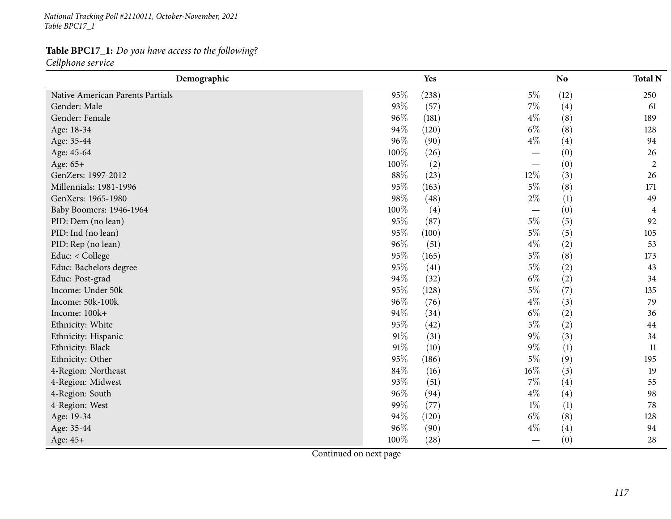*National Tracking Poll #2110011, October-November, <sup>2021</sup> Table BPC17\_1*

## **Table BPC17\_1:** *Do you have access to the following?*

*Cellphone service*

| Demographic                      |      | Yes   |                          | <b>No</b> | <b>Total N</b> |
|----------------------------------|------|-------|--------------------------|-----------|----------------|
| Native American Parents Partials | 95%  | (238) | $5\%$                    | (12)      | 250            |
| Gender: Male                     | 93%  | (57)  | $7\%$                    | (4)       | 61             |
| Gender: Female                   | 96%  | (181) | $4\%$                    | (8)       | 189            |
| Age: 18-34                       | 94%  | (120) | $6\%$                    | (8)       | 128            |
| Age: 35-44                       | 96%  | (90)  | $4\%$                    | (4)       | 94             |
| Age: 45-64                       | 100% | (26)  |                          | (0)       | 26             |
| Age: 65+                         | 100% | (2)   |                          | (0)       | $\overline{2}$ |
| GenZers: 1997-2012               | 88%  | (23)  | 12%                      | (3)       | 26             |
| Millennials: 1981-1996           | 95%  | (163) | $5\%$                    | (8)       | 171            |
| GenXers: 1965-1980               | 98%  | (48)  | $2\%$                    | (1)       | 49             |
| Baby Boomers: 1946-1964          | 100% | (4)   | $\overline{\phantom{0}}$ | (0)       | 4              |
| PID: Dem (no lean)               | 95%  | (87)  | $5\%$                    | (5)       | 92             |
| PID: Ind (no lean)               | 95%  | (100) | $5\%$                    | (5)       | 105            |
| PID: Rep (no lean)               | 96%  | (51)  | $4\%$                    | (2)       | 53             |
| Educ: < College                  | 95%  | (165) | $5\%$                    | (8)       | 173            |
| Educ: Bachelors degree           | 95%  | (41)  | $5\%$                    | (2)       | 43             |
| Educ: Post-grad                  | 94%  | (32)  | $6\%$                    | (2)       | 34             |
| Income: Under 50k                | 95%  | (128) | $5\%$                    | (7)       | 135            |
| Income: 50k-100k                 | 96%  | (76)  | $4\%$                    | (3)       | 79             |
| Income: 100k+                    | 94%  | (34)  | $6\%$                    | (2)       | 36             |
| Ethnicity: White                 | 95%  | (42)  | $5\%$                    | (2)       | 44             |
| Ethnicity: Hispanic              | 91%  | (31)  | $9\%$                    | (3)       | 34             |
| Ethnicity: Black                 | 91%  | (10)  | $9\%$                    | (1)       | 11             |
| Ethnicity: Other                 | 95%  | (186) | $5\%$                    | (9)       | 195            |
| 4-Region: Northeast              | 84\% | (16)  | $16\%$                   | (3)       | 19             |
| 4-Region: Midwest                | 93%  | (51)  | $7\%$                    | (4)       | 55             |
| 4-Region: South                  | 96%  | (94)  | $4\%$                    | (4)       | 98             |
| 4-Region: West                   | 99%  | (77)  | $1\%$                    | (1)       | 78             |
| Age: 19-34                       | 94%  | (120) | $6\%$                    | (8)       | 128            |
| Age: 35-44                       | 96%  | (90)  | $4\%$                    | (4)       | 94             |
| Age: 45+                         | 100% | (28)  |                          | (0)       | 28             |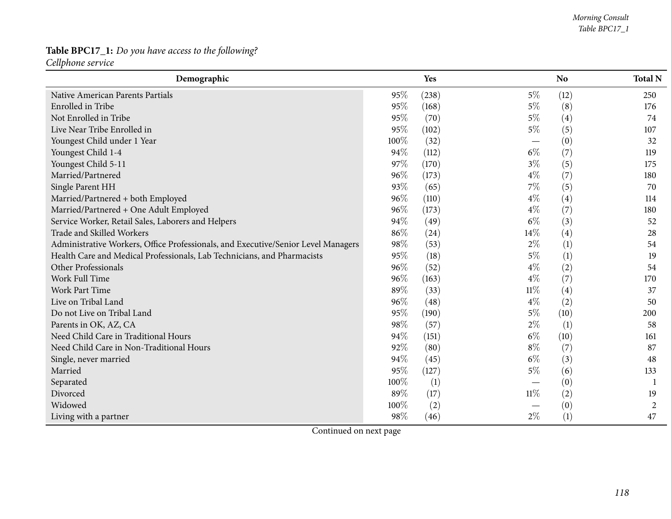# **Table BPC17\_1:** *Do you have access to the following?*

*Cellphone service*

| Demographic                                                                       |      | Yes   |        | N <sub>o</sub> | <b>Total N</b> |
|-----------------------------------------------------------------------------------|------|-------|--------|----------------|----------------|
| Native American Parents Partials                                                  | 95%  | (238) | $5\%$  | (12)           | 250            |
| Enrolled in Tribe                                                                 | 95%  | (168) | $5\%$  | (8)            | 176            |
| Not Enrolled in Tribe                                                             | 95%  | (70)  | $5\%$  | (4)            | 74             |
| Live Near Tribe Enrolled in                                                       | 95%  | (102) | $5\%$  | (5)            | 107            |
| Youngest Child under 1 Year                                                       | 100% | (32)  |        | (0)            | 32             |
| Youngest Child 1-4                                                                | 94%  | (112) | $6\%$  | (7)            | 119            |
| Youngest Child 5-11                                                               | 97%  | (170) | $3\%$  | (5)            | 175            |
| Married/Partnered                                                                 | 96%  | (173) | $4\%$  | (7)            | 180            |
| Single Parent HH                                                                  | 93%  | (65)  | $7\%$  | (5)            | 70             |
| Married/Partnered + both Employed                                                 | 96%  | (110) | $4\%$  | (4)            | 114            |
| Married/Partnered + One Adult Employed                                            | 96%  | (173) | $4\%$  | (7)            | 180            |
| Service Worker, Retail Sales, Laborers and Helpers                                | 94%  | (49)  | $6\%$  | (3)            | 52             |
| <b>Trade and Skilled Workers</b>                                                  | 86%  | (24)  | 14%    | (4)            | 28             |
| Administrative Workers, Office Professionals, and Executive/Senior Level Managers | 98%  | (53)  | $2\%$  | (1)            | 54             |
| Health Care and Medical Professionals, Lab Technicians, and Pharmacists           | 95%  | (18)  | $5\%$  | (1)            | 19             |
| Other Professionals                                                               | 96%  | (52)  | $4\%$  | (2)            | 54             |
| Work Full Time                                                                    | 96%  | (163) | $4\%$  | (7)            | 170            |
| <b>Work Part Time</b>                                                             | 89%  | (33)  | $11\%$ | (4)            | 37             |
| Live on Tribal Land                                                               | 96%  | (48)  | $4\%$  | (2)            | 50             |
| Do not Live on Tribal Land                                                        | 95%  | (190) | $5\%$  | (10)           | 200            |
| Parents in OK, AZ, CA                                                             | 98%  | (57)  | $2\%$  | (1)            | 58             |
| Need Child Care in Traditional Hours                                              | 94%  | (151) | $6\%$  | (10)           | 161            |
| Need Child Care in Non-Traditional Hours                                          | 92%  | (80)  | $8\%$  | (7)            | 87             |
| Single, never married                                                             | 94%  | (45)  | $6\%$  | (3)            | 48             |
| Married                                                                           | 95%  | (127) | $5\%$  | (6)            | 133            |
| Separated                                                                         | 100% | (1)   |        | (0)            |                |
| Divorced                                                                          | 89%  | (17)  | $11\%$ | (2)            | 19             |
| Widowed                                                                           | 100% | (2)   |        | (0)            | 2              |
| Living with a partner                                                             | 98%  | (46)  | $2\%$  | (1)            | 47             |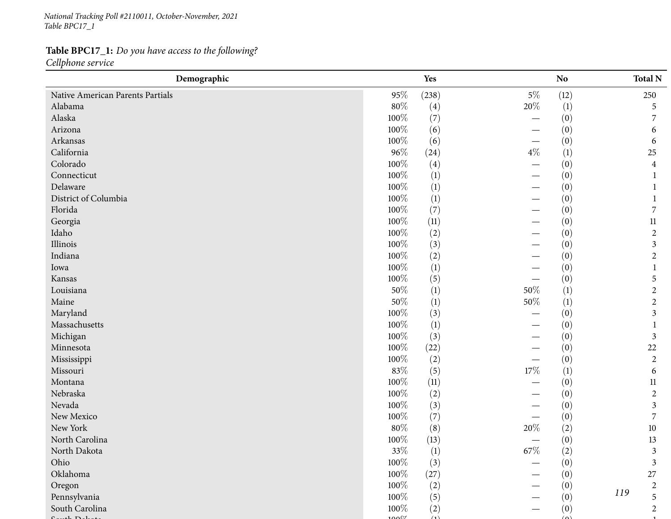*National Tracking Poll #2110011, October-November, <sup>2021</sup> Table BPC17\_1*

# **Table BPC17\_1:** *Do you have access to the following?*

*Cellphone service*

| Demographic                      |        | Yes   |                          | N <sub>o</sub>   | <b>Total N</b> |
|----------------------------------|--------|-------|--------------------------|------------------|----------------|
| Native American Parents Partials | 95%    | (238) | $5\%$                    | (12)             | 250            |
| Alabama                          | 80%    | (4)   | 20%                      | (1)              | 5              |
| Alaska                           | 100%   | (7)   | $\overline{\phantom{0}}$ | (0)              | 7              |
| Arizona                          | 100%   | (6)   |                          | (0)              | 6              |
| Arkansas                         | 100%   | (6)   | —                        | (0)              | 6              |
| California                       | 96%    | (24)  | $4\%$                    | $\left(1\right)$ | 25             |
| Colorado                         | 100%   | (4)   |                          | (0)              | $\overline{4}$ |
| Connecticut                      | 100%   | (1)   |                          | (0)              |                |
| Delaware                         | 100%   | (1)   |                          | (0)              |                |
| District of Columbia             | 100%   | (1)   |                          | (0)              |                |
| Florida                          | 100%   | (7)   |                          | (0)              | 7              |
| Georgia                          | 100%   | (11)  |                          | (0)              | $11\,$         |
| Idaho                            | 100%   | (2)   |                          | (0)              | $\overline{2}$ |
| Illinois                         | 100%   | (3)   |                          | (0)              | $\mathfrak{Z}$ |
| Indiana                          | 100%   | (2)   |                          | (0)              | $\overline{2}$ |
| Iowa                             | 100%   | (1)   |                          | (0)              |                |
| Kansas                           | 100%   | (5)   |                          | (0)              | 5              |
| Louisiana                        | 50%    | (1)   | 50%                      | (1)              | $\overline{2}$ |
| Maine                            | 50%    | (1)   | $50\%$                   | $\left(1\right)$ | $\overline{2}$ |
| Maryland                         | 100%   | (3)   |                          | (0)              | $\mathfrak{Z}$ |
| Massachusetts                    | 100%   | (1)   |                          | (0)              |                |
| Michigan                         | 100%   | (3)   |                          | (0)              | 3              |
| Minnesota                        | 100%   | (22)  |                          | (0)              | 22             |
| Mississippi                      | 100%   | (2)   |                          | (0)              | $\mathbf{2}$   |
| Missouri                         | 83%    | (5)   | $17\%$                   | $\left(1\right)$ | 6              |
| Montana                          | 100%   | (11)  |                          | (0)              | $11\,$         |
| Nebraska                         | 100%   | (2)   |                          | (0)              | $\overline{2}$ |
| Nevada                           | 100%   | (3)   |                          | (0)              | 3              |
| New Mexico                       | 100%   | (7)   |                          | (0)              | 7              |
| New York                         | $80\%$ | (8)   | 20%                      | (2)              | $10\,$         |
| North Carolina                   | 100%   | (13)  |                          | (0)              | 13             |
| North Dakota                     | $33\%$ | (1)   | $67\%$                   | (2)              | $\mathfrak{Z}$ |
| Ohio                             | 100%   | (3)   |                          | (0)              | $\mathfrak{Z}$ |
| Oklahoma                         | 100%   | (27)  |                          | (0)              | 27             |
| Oregon                           | 100%   | (2)   |                          | (0)              | $\sqrt{2}$     |
| Pennsylvania                     | 100%   | (5)   |                          | (0)              | 119<br>5       |
| South Carolina                   | 100%   | (2)   |                          | (0)              | $\overline{2}$ |
| (1, 1)                           | ∕۵۵۵   | (1)   |                          | $\Delta$         |                |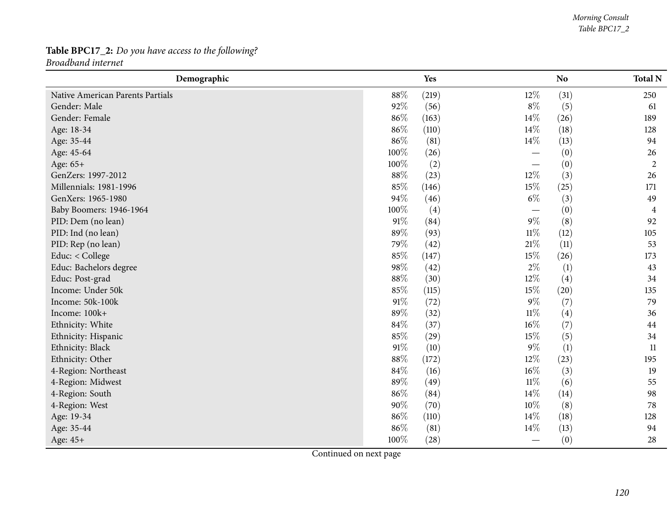## **Table BPC17\_2:** *Do you have access to the following? Broadband internet*

| Demographic                      |      | Yes   |                                 | N <sub>o</sub> | <b>Total N</b> |
|----------------------------------|------|-------|---------------------------------|----------------|----------------|
| Native American Parents Partials | 88%  | (219) | $12\%$                          | (31)           | 250            |
| Gender: Male                     | 92%  | (56)  | $8\%$                           | (5)            | 61             |
| Gender: Female                   | 86%  | (163) | $14\%$                          | (26)           | 189            |
| Age: 18-34                       | 86%  | (110) | 14\%                            | (18)           | 128            |
| Age: 35-44                       | 86%  | (81)  | $14\%$                          | (13)           | 94             |
| Age: 45-64                       | 100% | (26)  |                                 | (0)            | 26             |
| Age: 65+                         | 100% | (2)   |                                 | (0)            | $\mathbf{2}$   |
| GenZers: 1997-2012               | 88%  | (23)  | 12%                             | (3)            | 26             |
| Millennials: 1981-1996           | 85%  | (146) | 15%                             | (25)           | 171            |
| GenXers: 1965-1980               | 94%  | (46)  | $6\%$                           | (3)            | 49             |
| Baby Boomers: 1946-1964          | 100% | (4)   | $\hspace{0.1mm}-\hspace{0.1mm}$ | (0)            | 4              |
| PID: Dem (no lean)               | 91%  | (84)  | $9\%$                           | (8)            | 92             |
| PID: Ind (no lean)               | 89%  | (93)  | $11\%$                          | (12)           | 105            |
| PID: Rep (no lean)               | 79%  | (42)  | $21\%$                          | (11)           | 53             |
| Educ: < College                  | 85%  | (147) | 15%                             | (26)           | 173            |
| Educ: Bachelors degree           | 98%  | (42)  | $2\%$                           | (1)            | 43             |
| Educ: Post-grad                  | 88%  | (30)  | 12%                             | (4)            | 34             |
| Income: Under 50k                | 85%  | (115) | 15%                             | (20)           | 135            |
| Income: 50k-100k                 | 91%  | (72)  | $9\%$                           | (7)            | 79             |
| Income: 100k+                    | 89%  | (32)  | $11\%$                          | (4)            | 36             |
| Ethnicity: White                 | 84%  | (37)  | $16\%$                          | (7)            | 44             |
| Ethnicity: Hispanic              | 85%  | (29)  | 15%                             | (5)            | 34             |
| Ethnicity: Black                 | 91%  | (10)  | $9\%$                           | (1)            | 11             |
| Ethnicity: Other                 | 88%  | (172) | 12%                             | (23)           | 195            |
| 4-Region: Northeast              | 84%  | (16)  | 16%                             | (3)            | 19             |
| 4-Region: Midwest                | 89%  | (49)  | $11\%$                          | (6)            | 55             |
| 4-Region: South                  | 86%  | (84)  | 14%                             | (14)           | 98             |
| 4-Region: West                   | 90%  | (70)  | $10\%$                          | (8)            | 78             |
| Age: 19-34                       | 86%  | (110) | 14%                             | (18)           | 128            |
| Age: 35-44                       | 86%  | (81)  | 14%                             | (13)           | 94             |
| Age: 45+                         | 100% | (28)  |                                 | (0)            | 28             |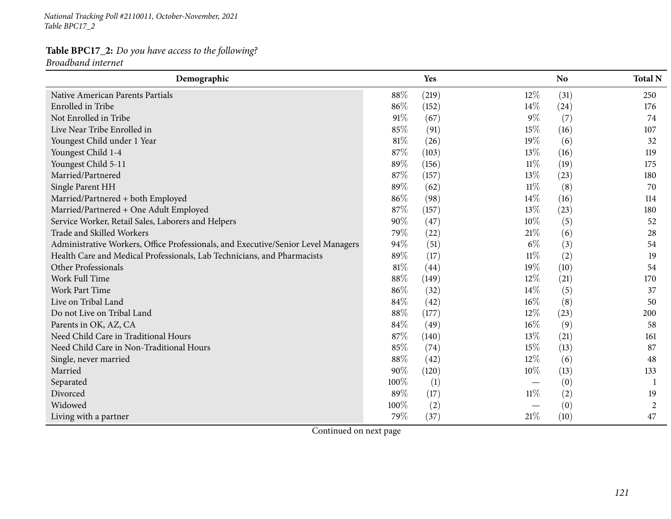*National Tracking Poll #2110011, October-November, <sup>2021</sup> Table BPC17\_2*

#### **Table BPC17\_2:** *Do you have access to the following? Broadband internet*

| Demographic                                                                       |        | Yes   |                                 | N <sub>o</sub> | <b>Total N</b> |
|-----------------------------------------------------------------------------------|--------|-------|---------------------------------|----------------|----------------|
| <b>Native American Parents Partials</b>                                           | 88%    | (219) | 12%                             | (31)           | 250            |
| <b>Enrolled</b> in Tribe                                                          | 86%    | (152) | 14\%                            | (24)           | 176            |
| Not Enrolled in Tribe                                                             | 91%    | (67)  | $9\%$                           | (7)            | 74             |
| Live Near Tribe Enrolled in                                                       | 85%    | (91)  | 15%                             | (16)           | 107            |
| Youngest Child under 1 Year                                                       | $81\%$ | (26)  | 19%                             | (6)            | 32             |
| Youngest Child 1-4                                                                | 87%    | (103) | 13%                             | (16)           | 119            |
| Youngest Child 5-11                                                               | 89%    | (156) | $11\%$                          | (19)           | 175            |
| Married/Partnered                                                                 | 87%    | (157) | 13%                             | (23)           | 180            |
| Single Parent HH                                                                  | 89%    | (62)  | $11\%$                          | (8)            | 70             |
| Married/Partnered + both Employed                                                 | 86%    | (98)  | $14\%$                          | (16)           | 114            |
| Married/Partnered + One Adult Employed                                            | 87%    | (157) | 13%                             | (23)           | 180            |
| Service Worker, Retail Sales, Laborers and Helpers                                | 90%    | (47)  | 10%                             | (5)            | 52             |
| Trade and Skilled Workers                                                         | 79%    | (22)  | 21\%                            | (6)            | 28             |
| Administrative Workers, Office Professionals, and Executive/Senior Level Managers | 94%    | (51)  | $6\%$                           | (3)            | 54             |
| Health Care and Medical Professionals, Lab Technicians, and Pharmacists           | 89%    | (17)  | $11\%$                          | (2)            | 19             |
| Other Professionals                                                               | $81\%$ | (44)  | 19%                             | (10)           | 54             |
| Work Full Time                                                                    | 88%    | (149) | 12%                             | (21)           | 170            |
| Work Part Time                                                                    | 86%    | (32)  | 14%                             | (5)            | 37             |
| Live on Tribal Land                                                               | 84%    | (42)  | $16\%$                          | (8)            | 50             |
| Do not Live on Tribal Land                                                        | 88%    | (177) | 12%                             | (23)           | 200            |
| Parents in OK, AZ, CA                                                             | 84%    | (49)  | $16\%$                          | (9)            | 58             |
| Need Child Care in Traditional Hours                                              | 87%    | (140) | 13%                             | (21)           | 161            |
| Need Child Care in Non-Traditional Hours                                          | 85%    | (74)  | 15%                             | (13)           | 87             |
| Single, never married                                                             | 88%    | (42)  | 12%                             | (6)            | 48             |
| Married                                                                           | 90%    | (120) | 10%                             | (13)           | 133            |
| Separated                                                                         | 100%   | (1)   | $\hspace{0.1mm}-\hspace{0.1mm}$ | (0)            |                |
| Divorced                                                                          | 89%    | (17)  | $11\%$                          | (2)            | 19             |
| Widowed                                                                           | 100%   | (2)   |                                 | (0)            | $\overline{2}$ |
| Living with a partner                                                             | 79%    | (37)  | 21\%                            | (10)           | 47             |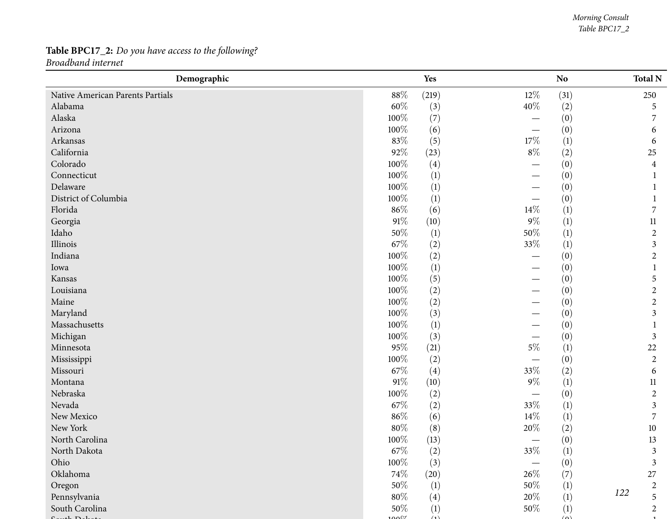## **Table BPC17\_2:** *Do you have access to the following? Broadband internet*

| Demographic                      |                 | Yes              |                                  | No               | <b>Total N</b>   |
|----------------------------------|-----------------|------------------|----------------------------------|------------------|------------------|
| Native American Parents Partials | $88\%$          | (219)            | $12\%$                           | (31)             | 250              |
| Alabama                          | 60%             | (3)              | $40\%$                           | (2)              | 5                |
| Alaska                           | 100%            | (7)              | $\overbrace{\phantom{12322111}}$ | (0)              |                  |
| Arizona                          | 100%            | (6)              |                                  | (0)              | 6                |
| Arkansas                         | 83%             | (5)              | $17\%$                           | (1)              | 6                |
| California                       | $92\%$          | (23)             | $8\%$                            | (2)              | 25               |
| Colorado                         | 100%            | (4)              |                                  | (0)              | 4                |
| Connecticut                      | 100%            | (1)              |                                  | (0)              |                  |
| Delaware                         | 100%            | (1)              |                                  | (0)              |                  |
| District of Columbia             | 100%            | (1)              |                                  | (0)              |                  |
| Florida                          | 86%             | (6)              | $14\%$                           | (1)              | 7                |
| Georgia                          | $91\%$          | (10)             | $9\%$                            | (1)              | 11               |
| Idaho                            | $50\%$          | (1)              | $50\%$                           | (1)              | $\overline{c}$   |
| Illinois                         | 67\%            | (2)              | 33%                              | $\left(1\right)$ | 3                |
| Indiana                          | 100%            | (2)              |                                  | (0)              | $\overline{c}$   |
| Iowa                             | 100%            | (1)              |                                  | (0)              |                  |
| Kansas                           | 100%            | (5)              |                                  | (0)              | 5                |
| Louisiana                        | 100%            | (2)              |                                  | (0)              | $\boldsymbol{2}$ |
| Maine                            | 100%            | (2)              |                                  | (0)              | $\overline{c}$   |
| Maryland                         | $100\%$         | (3)              |                                  | (0)              | 3                |
| Massachusetts                    | 100%            | (1)              |                                  | (0)              |                  |
| Michigan                         | 100%            | (3)              |                                  | (0)              | 3                |
| Minnesota                        | 95%             | (21)             | $5\%$                            | (1)              | 22               |
| Mississippi                      | 100%            | (2)              |                                  | (0)              | $\overline{c}$   |
| Missouri                         | 67\%            | (4)              | 33%                              | (2)              | 6                |
| Montana                          | $91\%$          | (10)             | $9\%$                            | (1)              | 11               |
| Nebraska                         | 100%            | (2)              | —                                | (0)              | $\overline{c}$   |
| Nevada                           | 67\%            | (2)              | 33%                              | (1)              | 3                |
| New Mexico                       | 86%             | (6)              | $14\%$                           | (1)              | 7                |
| New York                         | $80\%$          | (8)              | 20%                              | (2)              | $10\,$           |
| North Carolina                   | 100%            | (13)             | $\hspace{0.1mm}-\hspace{0.1mm}$  | (0)              | 13               |
| North Dakota                     | $67\%$          | (2)              | $33\%$                           | (1)              | 3                |
| Ohio                             | 100%            | (3)              |                                  | (0)              | 3                |
| Oklahoma                         | 74%             | (20)             | 26\%                             | (7)              | $27\,$           |
| Oregon                           | 50%             | $\left(1\right)$ | 50%                              | (1)              | $\boldsymbol{2}$ |
| Pennsylvania                     | $80\%$          | (4)              | 20%                              | (1)              | 122<br>5         |
| South Carolina                   | 50%             | (1)              | 50%                              | $\left(1\right)$ | $\overline{2}$   |
| $1 \nD 1$                        | 00 <sup>1</sup> | (1)              |                                  | $\Delta$         |                  |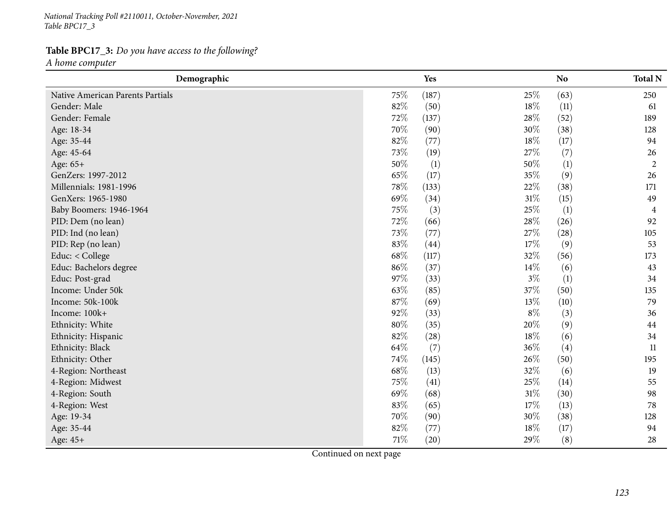*National Tracking Poll #2110011, October-November, <sup>2021</sup> Table BPC17\_3*

## **Table BPC17\_3:** *Do you have access to the following?*

*<sup>A</sup> home computer*

| Demographic                      |        | Yes   |       | N <sub>o</sub> | <b>Total N</b> |
|----------------------------------|--------|-------|-------|----------------|----------------|
| Native American Parents Partials | 75\%   | (187) | 25%   | (63)           | 250            |
| Gender: Male                     | 82%    | (50)  | 18%   | (11)           | 61             |
| Gender: Female                   | 72%    | (137) | 28%   | (52)           | 189            |
| Age: 18-34                       | 70%    | (90)  | 30%   | (38)           | 128            |
| Age: 35-44                       | 82%    | (77)  | 18%   | (17)           | 94             |
| Age: 45-64                       | 73%    | (19)  | 27%   | (7)            | 26             |
| Age: 65+                         | 50%    | (1)   | 50%   | (1)            | $\overline{2}$ |
| GenZers: 1997-2012               | 65\%   | (17)  | 35%   | (9)            | 26             |
| Millennials: 1981-1996           | 78%    | (133) | 22%   | (38)           | 171            |
| GenXers: 1965-1980               | 69%    | (34)  | 31%   | (15)           | 49             |
| Baby Boomers: 1946-1964          | 75%    | (3)   | 25%   | (1)            | 4              |
| PID: Dem (no lean)               | 72%    | (66)  | 28\%  | (26)           | 92             |
| PID: Ind (no lean)               | 73%    | (77)  | 27\%  | (28)           | 105            |
| PID: Rep (no lean)               | 83%    | (44)  | 17%   | (9)            | 53             |
| Educ: < College                  | 68\%   | (117) | 32%   | (56)           | 173            |
| Educ: Bachelors degree           | 86%    | (37)  | 14%   | (6)            | 43             |
| Educ: Post-grad                  | 97%    | (33)  | $3\%$ | (1)            | 34             |
| Income: Under 50k                | 63%    | (85)  | 37%   | (50)           | 135            |
| Income: 50k-100k                 | 87%    | (69)  | 13%   | (10)           | 79             |
| Income: 100k+                    | 92%    | (33)  | $8\%$ | (3)            | 36             |
| Ethnicity: White                 | 80%    | (35)  | 20%   | (9)            | 44             |
| Ethnicity: Hispanic              | 82%    | (28)  | 18%   | (6)            | 34             |
| Ethnicity: Black                 | 64\%   | (7)   | 36%   | (4)            | 11             |
| Ethnicity: Other                 | 74%    | (145) | 26%   | (50)           | 195            |
| 4-Region: Northeast              | 68\%   | (13)  | 32%   | (6)            | 19             |
| 4-Region: Midwest                | 75%    | (41)  | 25%   | (14)           | 55             |
| 4-Region: South                  | 69%    | (68)  | 31%   | (30)           | 98             |
| 4-Region: West                   | 83%    | (65)  | 17%   | (13)           | 78             |
| Age: 19-34                       | 70%    | (90)  | 30%   | (38)           | 128            |
| Age: 35-44                       | 82%    | (77)  | 18%   | (17)           | 94             |
| Age: 45+                         | $71\%$ | (20)  | 29%   | (8)            | 28             |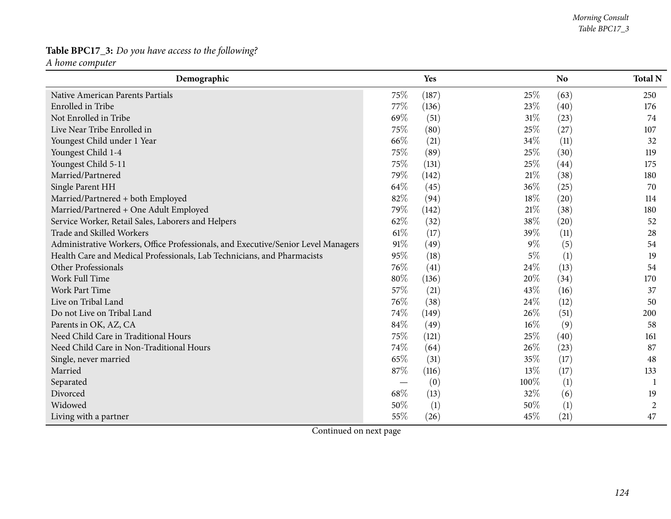## **Table BPC17\_3:** *Do you have access to the following?*

*<sup>A</sup> home computer*

| Demographic                                                                       |        | <b>Yes</b> |        | <b>No</b> | <b>Total N</b> |
|-----------------------------------------------------------------------------------|--------|------------|--------|-----------|----------------|
| Native American Parents Partials                                                  | 75\%   | (187)      | 25\%   | (63)      | 250            |
| <b>Enrolled</b> in Tribe                                                          | 77\%   | (136)      | 23%    | (40)      | 176            |
| Not Enrolled in Tribe                                                             | 69%    | (51)       | 31%    | (23)      | 74             |
| Live Near Tribe Enrolled in                                                       | 75%    | (80)       | 25%    | (27)      | 107            |
| Youngest Child under 1 Year                                                       | 66\%   | (21)       | 34%    | (11)      | 32             |
| Youngest Child 1-4                                                                | 75%    | (89)       | 25%    | (30)      | 119            |
| Youngest Child 5-11                                                               | 75%    | (131)      | 25%    | (44)      | 175            |
| Married/Partnered                                                                 | 79%    | (142)      | 21%    | (38)      | 180            |
| Single Parent HH                                                                  | 64\%   | (45)       | 36%    | (25)      | 70             |
| Married/Partnered + both Employed                                                 | 82%    | (94)       | 18%    | (20)      | 114            |
| Married/Partnered + One Adult Employed                                            | 79%    | (142)      | 21%    | (38)      | 180            |
| Service Worker, Retail Sales, Laborers and Helpers                                | 62%    | (32)       | 38%    | (20)      | 52             |
| Trade and Skilled Workers                                                         | $61\%$ | (17)       | 39%    | (11)      | 28             |
| Administrative Workers, Office Professionals, and Executive/Senior Level Managers | 91%    | (49)       | $9\%$  | (5)       | 54             |
| Health Care and Medical Professionals, Lab Technicians, and Pharmacists           | 95%    | (18)       | $5\%$  | (1)       | 19             |
| Other Professionals                                                               | 76\%   | (41)       | 24\%   | (13)      | 54             |
| Work Full Time                                                                    | 80%    | (136)      | 20%    | (34)      | 170            |
| <b>Work Part Time</b>                                                             | 57%    | (21)       | 43%    | (16)      | 37             |
| Live on Tribal Land                                                               | 76\%   | (38)       | 24\%   | (12)      | 50             |
| Do not Live on Tribal Land                                                        | 74%    | (149)      | 26\%   | (51)      | 200            |
| Parents in OK, AZ, CA                                                             | 84%    | (49)       | $16\%$ | (9)       | 58             |
| Need Child Care in Traditional Hours                                              | 75%    | (121)      | 25%    | (40)      | 161            |
| Need Child Care in Non-Traditional Hours                                          | 74%    | (64)       | 26%    | (23)      | 87             |
| Single, never married                                                             | 65%    | (31)       | 35%    | (17)      | 48             |
| Married                                                                           | 87%    | (116)      | 13%    | (17)      | 133            |
| Separated                                                                         |        | (0)        | 100%   | (1)       |                |
| Divorced                                                                          | 68%    | (13)       | 32%    | (6)       | 19             |
| Widowed                                                                           | 50%    | (1)        | 50%    | (1)       | $\overline{c}$ |
| Living with a partner                                                             | 55%    | (26)       | 45%    | (21)      | 47             |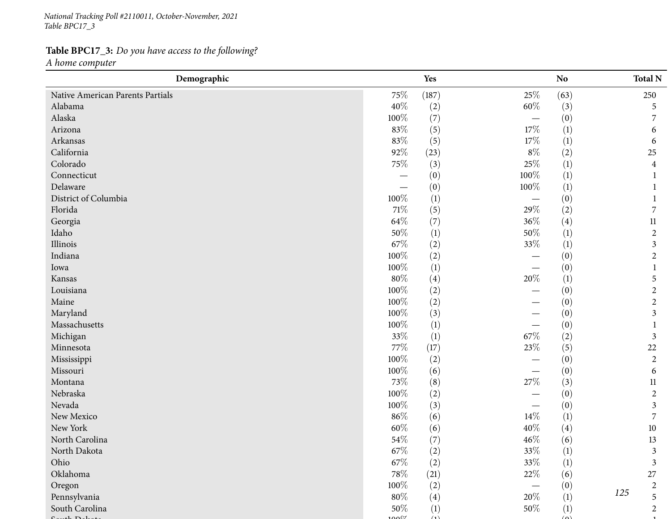*National Tracking Poll #2110011, October-November, <sup>2021</sup> Table BPC17\_3*

# **Table BPC17\_3:** *Do you have access to the following?*

*<sup>A</sup> home computer*

| Demographic                      |                 | Yes   |        | No.               | <b>Total N</b> |
|----------------------------------|-----------------|-------|--------|-------------------|----------------|
| Native American Parents Partials | 75%             | (187) | 25\%   | (63)              | 250            |
| Alabama                          | 40%             | (2)   | $60\%$ | (3)               | 5              |
| Alaska                           | 100%            | (7)   |        | (0)               | 7              |
| Arizona                          | 83%             | (5)   | 17\%   | (1)               | 6              |
| Arkansas                         | 83%             | (5)   | 17%    | (1)               | 6              |
| California                       | 92%             | (23)  | $8\%$  | (2)               | 25             |
| Colorado                         | $75\%$          | (3)   | 25\%   | (1)               | 4              |
| Connecticut                      |                 | (0)   | 100%   | (1)               |                |
| Delaware                         |                 | (0)   | 100%   | (1)               |                |
| District of Columbia             | 100%            | (1)   |        | (0)               |                |
| Florida                          | $71\%$          | (5)   | $29\%$ | (2)               | 7              |
| Georgia                          | 64\%            | (7)   | 36%    | (4)               | 11             |
| Idaho                            | 50%             | (1)   | $50\%$ | (1)               | $\overline{c}$ |
| Illinois                         | 67\%            | (2)   | $33\%$ | $\left(1\right)$  | 3              |
| Indiana                          | 100%            | (2)   |        | (0)               | $\overline{c}$ |
| Iowa                             | 100%            | (1)   |        | (0)               |                |
| Kansas                           | $80\%$          | (4)   | 20%    | $\left(1\right)$  | 5              |
| Louisiana                        | 100%            | (2)   |        | (0)               | $\overline{c}$ |
| Maine                            | 100%            | (2)   |        | (0)               | $\overline{c}$ |
| Maryland                         | 100%            | (3)   |        | (0)               | 3              |
| Massachusetts                    | 100%            | (1)   |        | (0)               |                |
| Michigan                         | 33%             | (1)   | $67\%$ | (2)               | 3              |
| Minnesota                        | $77\%$          | (17)  | 23%    | (5)               | 22             |
| Mississippi                      | 100%            | (2)   |        | (0)               | $\overline{c}$ |
| Missouri                         | 100%            | (6)   |        | (0)               | 6              |
| Montana                          | 73%             | (8)   | 27\%   | (3)               | 11             |
| Nebraska                         | 100%            | (2)   |        | (0)               | $\overline{c}$ |
| Nevada                           | 100%            | (3)   |        | (0)               | 3              |
| New Mexico                       | 86%             | (6)   | $14\%$ | (1)               | 7              |
| New York                         | $60\%$          | (6)   | 40%    | $\left( 4\right)$ | 10             |
| North Carolina                   | 54%             | (7)   | 46%    | (6)               | 13             |
| North Dakota                     | $67\%$          | (2)   | $33\%$ | (1)               | 3              |
| Ohio                             | 67\%            | (2)   | 33%    | (1)               | 3              |
| Oklahoma                         | 78\%            | (21)  | 22\%   | (6)               | 27             |
| Oregon                           | 100%            | (2)   |        | (0)               | $\overline{c}$ |
| Pennsylvania                     | $80\%$          | (4)   | 20%    | (1)               | 125<br>5       |
| South Carolina                   | 50%             | (1)   | 50%    | (1)               | $\overline{c}$ |
| 4.71                             | 00 <sup>1</sup> | (1)   |        | $\triangle$       |                |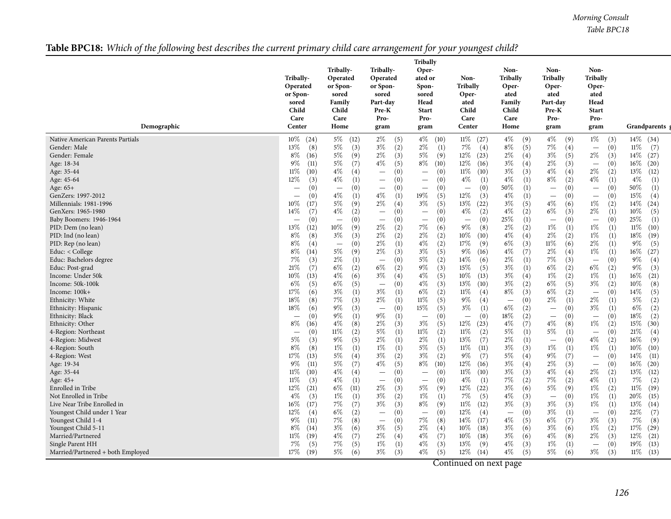*Morning Consult Table BPC18*

## Table BPC18: Which of the following best describes the current primary child care arrangement for your youngest child?

| Demographic                                                                                                                                                                                                                                                                                                                                                                                                                                                                                                                                                                                                                                                                                                                                                                                                                                                                  | Tribally-<br>Operated<br>or Spon-<br>sored<br>Child<br>Care<br>Center                                                                                                                                                                                                                                                                                                                                                                                                                                                                                                                                                                                                                                              | Tribally-<br>Operated<br>or Spon-<br>sored<br>Family<br>Child<br>Care<br>Home                                                                                                                                                                                                                                                                                                                                                                                                                                                                                                                                                                                                                           | Tribally-<br>Operated<br>or Spon-<br>sored<br>Part-day<br>Pre-K<br>Pro-<br>gram                                                                                                                                                                                                                                                                                                                                                                                                                                                                                                                                                                                                                                                                                                                                                                                                               | <b>Tribally</b><br>Oper-<br>ated or<br>Spon-<br>sored<br>Head<br><b>Start</b><br>Pro-<br>gram                                                                                                                                                                                                                                                                                                                                                                                                                                                                                                                                                                                                                                                                                                                                                                | Non-<br>Tribally<br>Oper-<br>ated<br>Child<br>Care<br>Center                                                                                                                                                                                                                                                                                                                                                                                                                                                                                                                                                                                                                                            | Non-<br><b>Tribally</b><br>Oper-<br>ated<br>Family<br>Child<br>Care<br>Home                                                                                                                                                                                                                                                                                                                                                                                                                                                                                                                                                                                                               | Non-<br><b>Tribally</b><br>Oper-<br>ated<br>Part-day<br>Pre-K<br>Pro-<br>gram                                                                                                                                                                                                                                                                                                                                                                                                                                                                                                                                                                                                                                                                                                             | Non-<br><b>Tribally</b><br>Oper-<br>ated<br>Head<br><b>Start</b><br>Pro-<br>gram                                                                                                                                                                                                                                                                                                                                                                                                                                                                                                                                                                                                                                                                                                                                                                                                     | Grandparents g                                                                                                                                                                                                                                                                                                                                                                                                                                                                                                                                                                                                                    |
|------------------------------------------------------------------------------------------------------------------------------------------------------------------------------------------------------------------------------------------------------------------------------------------------------------------------------------------------------------------------------------------------------------------------------------------------------------------------------------------------------------------------------------------------------------------------------------------------------------------------------------------------------------------------------------------------------------------------------------------------------------------------------------------------------------------------------------------------------------------------------|--------------------------------------------------------------------------------------------------------------------------------------------------------------------------------------------------------------------------------------------------------------------------------------------------------------------------------------------------------------------------------------------------------------------------------------------------------------------------------------------------------------------------------------------------------------------------------------------------------------------------------------------------------------------------------------------------------------------|---------------------------------------------------------------------------------------------------------------------------------------------------------------------------------------------------------------------------------------------------------------------------------------------------------------------------------------------------------------------------------------------------------------------------------------------------------------------------------------------------------------------------------------------------------------------------------------------------------------------------------------------------------------------------------------------------------|-----------------------------------------------------------------------------------------------------------------------------------------------------------------------------------------------------------------------------------------------------------------------------------------------------------------------------------------------------------------------------------------------------------------------------------------------------------------------------------------------------------------------------------------------------------------------------------------------------------------------------------------------------------------------------------------------------------------------------------------------------------------------------------------------------------------------------------------------------------------------------------------------|--------------------------------------------------------------------------------------------------------------------------------------------------------------------------------------------------------------------------------------------------------------------------------------------------------------------------------------------------------------------------------------------------------------------------------------------------------------------------------------------------------------------------------------------------------------------------------------------------------------------------------------------------------------------------------------------------------------------------------------------------------------------------------------------------------------------------------------------------------------|---------------------------------------------------------------------------------------------------------------------------------------------------------------------------------------------------------------------------------------------------------------------------------------------------------------------------------------------------------------------------------------------------------------------------------------------------------------------------------------------------------------------------------------------------------------------------------------------------------------------------------------------------------------------------------------------------------|-------------------------------------------------------------------------------------------------------------------------------------------------------------------------------------------------------------------------------------------------------------------------------------------------------------------------------------------------------------------------------------------------------------------------------------------------------------------------------------------------------------------------------------------------------------------------------------------------------------------------------------------------------------------------------------------|-------------------------------------------------------------------------------------------------------------------------------------------------------------------------------------------------------------------------------------------------------------------------------------------------------------------------------------------------------------------------------------------------------------------------------------------------------------------------------------------------------------------------------------------------------------------------------------------------------------------------------------------------------------------------------------------------------------------------------------------------------------------------------------------|--------------------------------------------------------------------------------------------------------------------------------------------------------------------------------------------------------------------------------------------------------------------------------------------------------------------------------------------------------------------------------------------------------------------------------------------------------------------------------------------------------------------------------------------------------------------------------------------------------------------------------------------------------------------------------------------------------------------------------------------------------------------------------------------------------------------------------------------------------------------------------------|-----------------------------------------------------------------------------------------------------------------------------------------------------------------------------------------------------------------------------------------------------------------------------------------------------------------------------------------------------------------------------------------------------------------------------------------------------------------------------------------------------------------------------------------------------------------------------------------------------------------------------------|
| Native American Parents Partials<br>Gender: Male<br>Gender: Female<br>Age: 18-34<br>Age: 35-44<br>Age: 45-64<br>Age: 65+<br>GenZers: 1997-2012<br>Millennials: 1981-1996<br>GenXers: 1965-1980<br>Baby Boomers: 1946-1964<br>PID: Dem (no lean)<br>PID: Ind (no lean)<br>PID: Rep (no lean)<br>Educ: $<$ College<br>Educ: Bachelors degree<br>Educ: Post-grad<br>Income: Under 50k<br>Income: 50k-100k<br>Income: 100k+<br>Ethnicity: White<br>Ethnicity: Hispanic<br>Ethnicity: Black<br>Ethnicity: Other<br>4-Region: Northeast<br>4-Region: Midwest<br>4-Region: South<br>4-Region: West<br>Age: 19-34<br>Age: 35-44<br>Age: $45+$<br>Enrolled in Tribe<br>Not Enrolled in Tribe<br>Live Near Tribe Enrolled in<br>Youngest Child under 1 Year<br>Youngest Child 1-4<br>Youngest Child 5-11<br>Married/Partnered<br>Single Parent HH<br>Married/Partnered + both Employed | $10\%$<br>(24)<br>13%<br>(8)<br>$8\%$<br>(16)<br>9%<br>(11)<br>11%<br>(10)<br>12%<br>(3)<br>(0)<br>$\overline{\phantom{m}}$<br>(0)<br>$10\%$<br>(17)<br>(7)<br>14%<br>(0)<br>$\overline{\phantom{m}}$<br>13%<br>(12)<br>$8\%$<br>(8)<br>$8\%$<br>(4)<br>$8\%$<br>(14)<br>$7\%$<br>(3)<br>21%<br>(7)<br>$10\%$<br>(13)<br>$6\%$<br>(5)<br>17%<br>(6)<br>$18\%$<br>(8)<br>18%<br>(6)<br>(0)<br>$\overline{\phantom{a}}$<br>$8\%$<br>(16)<br>(0)<br>$\overline{\phantom{m}}$<br>$5\%$<br>(3)<br>$8\%$<br>(8)<br>17%<br>(13)<br>$9\%$<br>(11)<br>(10)<br>11%<br>11%<br>(3)<br>12%<br>(21)<br>4%<br>(3)<br>16%<br>(17)<br>$12\%$<br>(4)<br>$9\%$<br>(11)<br>$8\%$<br>(14)<br>11%<br>(19)<br>$7\%$<br>(5)<br>17%<br>(19) | $5\%$<br>(12)<br>$5\%$<br>(3)<br>$5\%$<br>(9)<br>$5\%$<br>(7)<br>$4\%$<br>(4)<br>4%<br>(1)<br>(0)<br>$\overline{\phantom{m}}$<br>$4\%$<br>(1)<br>5%<br>(9)<br>$4\%$<br>(2)<br>(0)<br>$\overline{\phantom{m}}$<br>$10\%$<br>(9)<br>$3\%$<br>(3)<br>(0)<br>$\overline{\phantom{m}}$<br>$5\%$<br>(9)<br>2%<br>(1)<br>$6\%$<br>(2)<br>$4\%$<br>(6)<br>$6\%$<br>(5)<br>$3\%$<br>(1)<br>$7\%$<br>(3)<br>$9\%$<br>(3)<br>$9\%$<br>(1)<br>$4\%$<br>(8)<br>11%<br>(2)<br>$9\%$<br>(5)<br>$1\%$<br>(1)<br>$5\%$<br>(4)<br>$5\%$<br>(7)<br>$4\%$<br>(4)<br>$4\%$<br>(1)<br>$6\%$<br>(11)<br>$1\%$<br>(1)<br>7%<br>(7)<br>$6\%$<br>(2)<br>$7\%$<br>(8)<br>$3\%$<br>(6)<br>$4\%$<br>(7)<br>7%<br>(5)<br>$5\%$<br>(6) | $2\%$<br>(5)<br>$3\%$<br>(2)<br>$2\%$<br>(3)<br>$4\%$<br>(5)<br>(0)<br>$\overline{\phantom{m}}$<br>(0)<br>$\overline{\phantom{m}}$<br>(0)<br>$\overline{\phantom{m}}$<br>$4\%$<br>(1)<br>$2\%$<br>(4)<br>(0)<br>$\overline{\phantom{m}}$<br>(0)<br>$\overline{\phantom{m}}$<br>$2\%$<br>(2)<br>$2\%$<br>(2)<br>$2\%$<br>(1)<br>$2\%$<br>(3)<br>(0)<br>$\overline{\phantom{m}}$<br>$6\%$<br>(2)<br>$3\%$<br>(4)<br>(0)<br>$\overline{\phantom{m}}$<br>$3\%$<br>(1)<br>$2\%$<br>(1)<br>(0)<br>$\overline{\phantom{m}}$<br>9%<br>(1)<br>$2\%$<br>(3)<br>$5\%$<br>(1)<br>$2\%$<br>(1)<br>$1\%$<br>(1)<br>$3\%$<br>(2)<br>$4\%$<br>(5)<br>(0)<br>$\overline{\phantom{m}}$<br>(0)<br>$\overline{\phantom{m}}$<br>$2\%$<br>(3)<br>$3\%$<br>(2)<br>$3\%$<br>(3)<br>(0)<br>$\overline{\phantom{m}}$<br>(0)<br>$\overline{\phantom{m}}$<br>$3\%$<br>(5)<br>$2\%$<br>(4)<br>$1\%$<br>(1)<br>$3\%$<br>(3) | $4\%$ (10)<br>$2\%$<br>(1)<br>$5\%$<br>(9)<br>$8\%$<br>(10)<br>(0)<br>$\overline{\phantom{m}}$<br>(0)<br>$\overline{\phantom{m}}$<br>(0)<br>$\overline{\phantom{m}}$<br>19%<br>(5)<br>$3\%$<br>(5)<br>(0)<br>$\overline{\phantom{m}}$<br>(0)<br>$\overline{\phantom{m}}$<br>$7\%$<br>(6)<br>$2\%$<br>(2)<br>$4\%$<br>(2)<br>$3\%$<br>(5)<br>$5\%$<br>(2)<br>$9\%$<br>(3)<br>$4\%$<br>(5)<br>$4\%$<br>(3)<br>6%<br>(2)<br>$11\%$<br>(5)<br>15%<br>(5)<br>(0)<br>$\overline{\phantom{m}}$<br>$3\%$<br>(5)<br>$11\%$<br>(2)<br>$2\%$<br>$\left(1\right)$<br>$5\%$<br>(5)<br>$3\%$<br>(2)<br>$8\%$<br>(10)<br>(0)<br>$\overline{\phantom{m}}$<br>(0)<br>$\overline{\phantom{m}}$<br>$5\%$<br>(9)<br>$1\%$<br>$\left(1\right)$<br>$8\%$<br>(9)<br>(0)<br>$\overline{\phantom{m}}$<br>$7\%$<br>(8)<br>$2\%$<br>(4)<br>$4\%$<br>(7)<br>$4\%$<br>(3)<br>$4\%$<br>(5) | $11\%$ (27)<br>7%<br>(4)<br>12\%<br>(23)<br>12%<br>(16)<br>11%<br>(10)<br>$4\%$<br>(1)<br>(0)<br>$\overline{\phantom{m}}$<br>12%<br>(3)<br>13%<br>(22)<br>$4\%$<br>(2)<br>(0)<br>$\overline{\phantom{m}}$<br>9%<br>(8)<br>10%<br>(10)<br>17%<br>(9)<br>9%<br>(16)<br>$14\%$<br>(6)<br>15%<br>(5)<br>10%<br>(13)<br>13%<br>(10)<br>$11\%$<br>(4)<br>$9\%$<br>(4)<br>$3\%$<br>(1)<br>(0)<br>$\overline{\phantom{m}}$<br>12%<br>(23)<br>$11\%$<br>(2)<br>13\%<br>(7)<br>$11\%$<br>(11)<br>$9\%$<br>(7)<br>$12\%$<br>(16)<br>$11\%$<br>(10)<br>$4\%$<br>(1)<br>12%<br>(22)<br>7%<br>(5)<br>$11\%$<br>(12)<br>12%<br>(4)<br>14\%<br>(17)<br>$10\%$<br>(18)<br>$10\%$<br>(18)<br>13%<br>(9)<br>$12\%$<br>(14) | $4\%$<br>(9)<br>$8\%$<br>(5)<br>$2\%$<br>(4)<br>$3\%$<br>(4)<br>$3\%$<br>(3)<br>$4\%$<br>(1)<br>50%<br>(1)<br>$4\%$<br>(1)<br>$3\%$<br>(5)<br>$4\%$<br>(2)<br>25%<br>(1)<br>$2\%$<br>(2)<br>$4\%$<br>(4)<br>6%<br>(3)<br>$4\%$<br>(7)<br>$2\%$<br>(1)<br>$3\%$<br>(1)<br>$3\%$<br>(4)<br>$3\%$<br>(2)<br>$8\%$<br>(3)<br>(0)<br>$\overline{\phantom{m}}$<br>$6\%$<br>(2)<br>$18\%$<br>(2)<br>$4\%$<br>(7)<br>$5\%$<br>(1)<br>$2\%$<br>(1)<br>$3\%$<br>(3)<br>$5\%$<br>(4)<br>$3\%$<br>(4)<br>$3\%$<br>(3)<br>7%<br>(2)<br>$3\%$<br>(6)<br>$4\%$<br>(3)<br>$3\%$<br>(3)<br>(0)<br>$\overline{\phantom{m}}$<br>$4\%$<br>(5)<br>$3\%$<br>(6)<br>$3\%$<br>(6)<br>$4\%$<br>(3)<br>$4\%$<br>(5) | $4\%$<br>(9)<br>$7\%$<br>(4)<br>$3\%$<br>(5)<br>$2\%$<br>(3)<br>$4\%$<br>(4)<br>$8\%$<br>(2)<br>(0)<br>$\overline{\phantom{m}}$<br>(0)<br>$\overline{\phantom{m}}$<br>$4\%$<br>(6)<br>$6\%$<br>(3)<br>(0)<br>$\overline{\phantom{m}}$<br>$1\%$<br>(1)<br>$2\%$<br>(2)<br>11%<br>(6)<br>$2\%$<br>(4)<br>7%<br>(3)<br>$6\%$<br>(2)<br>$1\%$<br>(2)<br>$6\%$<br>(5)<br>$6\%$<br>(2)<br>$2\%$<br>(1)<br>$\overline{\phantom{m}}$<br>(0)<br>(0)<br>$\overline{\phantom{0}}$<br>$4\%$<br>(8)<br>$5\%$<br>(1)<br>(0)<br>$\overline{\phantom{m}}$<br>$1\%$<br>(1)<br>$9\%$<br>(7)<br>$2\%$<br>(3)<br>$4\%$<br>(4)<br>7%<br>(2)<br>$5\%$<br>(9)<br>(0)<br>$\overline{\phantom{m}}$<br>$3\%$<br>(3)<br>$3\%$<br>(1)<br>$6\%$<br>(7)<br>$3\%$<br>(6)<br>$4\%$<br>(8)<br>$1\%$<br>(1)<br>$5\%$<br>(6) | $1\%$<br>(3)<br>(0)<br>$\overline{\phantom{m}}$<br>$2\%$<br>(3)<br>(0)<br>$\overline{\phantom{m}}$<br>$2\%$<br>(2)<br>$4\%$<br>(1)<br>(0)<br>$\overline{\phantom{m}}$<br>(0)<br>$\overline{\phantom{m}}$<br>$1\%$<br>(2)<br>$2\%$<br>(1)<br>(0)<br>$\overline{\phantom{m}}$<br>$1\%$<br>(1)<br>$1\%$<br>(1)<br>$2\%$<br>(1)<br>$1\%$<br>(1)<br>(0)<br>$\overline{\phantom{m}}$<br>$6\%$<br>(2)<br>$1\%$<br>(1)<br>$3\%$<br>(2)<br>(0)<br>$2\%$<br>(1)<br>$3\%$<br>(1)<br>(0)<br>$\overline{\phantom{m}}$<br>$1\%$<br>(2)<br>(0)<br>$\overline{\phantom{0}}$<br>$4\%$<br>(2)<br>$1\%$<br>(1)<br>(0)<br>$\overline{\phantom{m}}$<br>(0)<br>$\overline{\phantom{m}}$<br>$2\%$<br>(2)<br>$4\%$<br>(1)<br>$1\%$<br>(2)<br>$1\%$<br>(1)<br>$1\%$<br>(1)<br>(0)<br>$\overline{\phantom{m}}$<br>$3\%$<br>(3)<br>$1\%$<br>(2)<br>2%<br>(3)<br>(0)<br>$\overline{\phantom{m}}$<br>$3\%$<br>(3) | 14\% (34)<br>$11\%$<br>(7)<br>$14\%$<br>(27)<br>16%<br>(20)<br>13%<br>(12)<br>$4\%$<br>(1)<br>50%<br>(1)<br>15%<br>(4)<br>14%<br>(24)<br>$10\%$<br>(5)<br>25%<br>(1)<br>11%<br>(10)<br>$18\%$<br>(19)<br>$9\%$<br>(5)<br>$16\%$<br>(27)<br>$9\%$<br>(4)<br>$9\%$<br>(3)<br>16%<br>(21)<br>10%<br>(8)<br>14%<br>(5)<br>$5\%$<br>(2)<br>$6\%$<br>(2)<br>$18\%$<br>(2)<br>15%<br>(30)<br>21%<br>(4)<br>16%<br>(9)<br>10%<br>(10)<br>14%<br>(11)<br>16%<br>(20)<br>13%<br>(12)<br>7%<br>(2)<br>$11\%$<br>(19)<br>20%<br>(15)<br>13%<br>(14)<br>22%<br>(7)<br>7%<br>(8)<br>17%<br>(29)<br>12%<br>(21)<br>19%<br>(13)<br>$11\%$<br>(13) |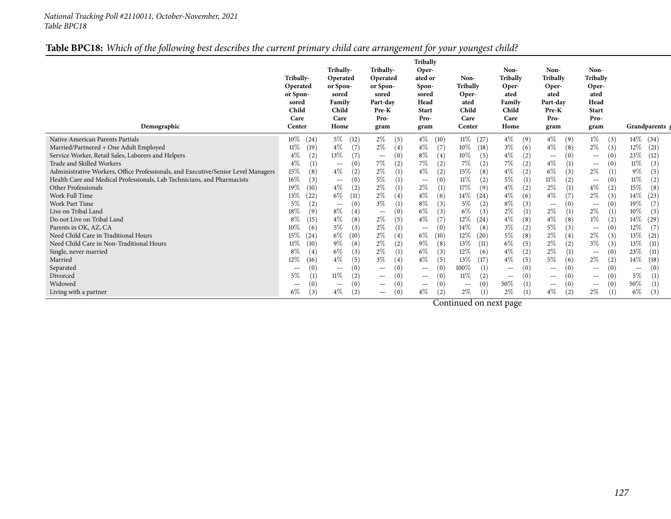### Table BPC18: Which of the following best describes the current primary child care arrangement for your youngest child?

| Non-<br>Non-<br>Tribally-<br>Tribally-<br>Non-<br>Oper-<br><b>Tribally</b><br>Tribally<br>Tribally<br>Operated<br>Non-<br>Tribally-<br>Operated<br>ated or<br>Tribally<br>Oper-<br>or Spon-<br>Oper-<br>Oper-<br>Operated<br>or Spon-<br>Spon-<br>ated<br>or Spon-<br>ated<br>sored<br>Oper-<br>ated<br>sored<br>sored<br>Family<br>Head<br>Part-day<br>Head<br>Family<br>Part-day<br>ated<br>sored<br>Child<br>Child<br>Child<br>Child<br>Pre-K<br><b>Start</b><br>Pre-K<br><b>Start</b><br>Care<br>Pro-<br>Care<br>Care<br>Care<br>Pro-<br>Pro-<br>Pro-<br>Demographic<br>Home<br>Home<br>Grandparents g<br>Center<br>Center<br>gram<br>gram<br>gram<br>gram |
|----------------------------------------------------------------------------------------------------------------------------------------------------------------------------------------------------------------------------------------------------------------------------------------------------------------------------------------------------------------------------------------------------------------------------------------------------------------------------------------------------------------------------------------------------------------------------------------------------------------------------------------------------------------|
| $10\%$<br>$5\%$<br>$2\%$<br>$14\%$<br>$4\%$ (10)<br>$11\%$ (27)<br>$4\%$<br>$4\%$<br>$1\%$<br>Native American Parents Partials<br>(24)<br>(34)<br>(12)<br>(5)<br>(9)<br>(9)<br>(3)                                                                                                                                                                                                                                                                                                                                                                                                                                                                             |
| $3\%$<br>$2\%$<br>$4\%$<br>$2\%$<br>$4\%$<br>$4\%$<br>$12\%$<br>$11\%$<br>(7)<br>(7)<br>$10\%$<br>Married/Partnered + One Adult Employed<br>(19)<br>(18)<br>(6)<br>(8)<br>(21)<br>(3)<br>(4)<br>13%<br>$8\%$                                                                                                                                                                                                                                                                                                                                                                                                                                                   |
| $4\%$<br>$4\%$<br>23%<br>(2)<br>(7)<br>$10\%$<br>(5)<br>(2)<br>Service Worker, Retail Sales, Laborers and Helpers<br>(4)<br>(12)<br>(0)<br>$\qquad \qquad -$<br>$\overline{\phantom{m}}$                                                                                                                                                                                                                                                                                                                                                                                                                                                                       |
| 7%<br>$7\%$<br>$4\%$<br>7%<br>$4\%$<br>7%<br>(2)<br>Trade and Skilled Workers<br>(1)<br>(2)<br>(2)<br>(2)<br>(0)<br>11%<br>(3)<br>(0)<br>$\hspace{0.1mm}-\hspace{0.1mm}$<br>$\hspace{0.1mm}-\hspace{0.1mm}$<br>$6\%$<br>15%<br>$2\%$                                                                                                                                                                                                                                                                                                                                                                                                                           |
| $2\%$<br>$4\%$<br>$4\%$<br>$4\%$<br>$9\%$<br>(2)<br>15%<br>(2)<br>Administrative Workers, Office Professionals, and Executive/Senior Level Managers<br>(8)<br>(2)<br>(8)<br>(5)<br>$\left(1\right)$<br>(3)<br>(1)<br>$5\%$<br>$5\%$<br>11%<br>16%<br>(3)<br>11%<br>11%<br>Health Care and Medical Professionals, Lab Technicians, and Pharmacists<br>(2)<br>(1)<br>(0)<br>(1)<br>(2)<br>(2)<br>(0)<br>(0)                                                                                                                                                                                                                                                      |
| $\overline{\phantom{a}}$<br>$\qquad \qquad \overline{\qquad \qquad }$<br>$\hspace{0.1mm}-\hspace{0.1mm}$<br>$4\%$<br>$2\%$<br>$2\%$<br>$4\%$<br>$2\%$<br>$4\%$<br>19%<br>17%<br>15%<br>(10)<br>(2)<br>(9)<br>(2)<br>Other Professionals<br>(1)<br>(1)<br>(2)<br>(8)                                                                                                                                                                                                                                                                                                                                                                                            |
| $2\%$<br>$6\%$<br>$4\%$<br>$4\%$<br>$4\%$<br>$2\%$<br>Work Full Time<br>13%<br>14%<br>(22)<br>(11)<br>(6)<br>$14\%$<br>(24)<br>(6)<br>(3)<br>(23)<br>(4)                                                                                                                                                                                                                                                                                                                                                                                                                                                                                                       |
| $3\%$<br>$8\%$<br>$8\%$<br>$5\%$<br>(2)<br>$5\%$<br>(3)<br>19%<br>(0)<br>(3)<br>(2)<br>(7)<br>Work Part Time<br>(1)<br>(0)<br>$\overline{\phantom{m}}$<br>$\qquad \qquad \overline{\qquad \qquad }$<br>$\hspace{0.1mm}-\hspace{0.1mm}$                                                                                                                                                                                                                                                                                                                                                                                                                         |
| $8\%$<br>2%<br>$2\%$<br>$2\%$<br>$18\%$<br>(9)<br>$6\%$<br>$6\%$<br>(3)<br>(1)<br>$10\%$<br>Live on Tribal Land<br>(3)<br>(5)<br>(4)<br>(1)<br>$\overline{\phantom{m}}$                                                                                                                                                                                                                                                                                                                                                                                                                                                                                        |
| $4\%$<br>$4\%$<br>$4\%$<br>$1\%$<br>$8\%$<br>$2\%$<br>$4\%$<br>(8)<br>(7)<br>$12\%$<br>(15)<br>(5)<br>(8)<br>14%<br>Do not Live on Tribal Land<br>(24)<br>(8)<br>(2)<br>(29)                                                                                                                                                                                                                                                                                                                                                                                                                                                                                   |
| $5\%$<br>$2\%$<br>$3\%$<br>$5\%$<br>(3)<br>$12\%$<br>$10\%$<br>(6)<br>(8)<br>(2)<br>(7)<br>Parents in OK, AZ, CA<br>(1)<br>(0)<br>$14\%$<br>(3)<br>(0)<br>$\qquad \qquad -$<br>$\overline{\phantom{m}}$                                                                                                                                                                                                                                                                                                                                                                                                                                                        |
| $6\%$<br>$2\%$<br>$5\%$<br>$2\%$<br>$2\%$<br>15%<br>$6\%$<br>13%<br>12%<br>(8)<br>(3)<br>Need Child Care in Traditional Hours<br>(24)<br>(10)<br>(4)<br>(10)<br>(20)<br>(21)<br>(4)                                                                                                                                                                                                                                                                                                                                                                                                                                                                            |
| $9\%$<br>$2\%$<br>$6\%$<br>$3\%$<br>$9\%$<br>$2\%$<br>13%<br>(10)<br>(8)<br>(2)<br>(8)<br>13%<br>(11)<br>(5)<br>(3)<br>Need Child Care in Non-Traditional Hours<br>11%<br>(2)<br>(11)                                                                                                                                                                                                                                                                                                                                                                                                                                                                          |
| $6\%$<br>$2\%$<br>$6\%$<br>$4\%$<br>$2\%$<br>$8\%$<br>(3)<br>12%<br>(3)<br>(6)<br>(2)<br>23\%<br>(4)<br>(1)<br>(11)<br>Single, never married<br>(0)<br>$\overline{\phantom{m}}$                                                                                                                                                                                                                                                                                                                                                                                                                                                                                |
| $4\%$<br>$3\%$<br>$4\%$<br>$5\%$<br>$12\%$<br>$4\%$<br>(5)<br>$2\%$<br>(16)<br>(5)<br>(5)<br>13%<br>(2)<br>14\%<br>(17)<br>(6)<br>Married<br>(4)<br>(18)                                                                                                                                                                                                                                                                                                                                                                                                                                                                                                       |
| 100%<br>(0)<br>(0)<br>(0)<br>(1)<br>Separated<br>(0)<br>(0)<br>(0)<br>(0)<br>$\overline{\phantom{a}}$<br>$\overline{\phantom{m}}$<br>$\overline{\phantom{a}}$<br>$\overline{\phantom{a}}$<br>$\qquad \qquad \overline{\qquad \qquad }$<br>$\overline{\phantom{m}}$<br>$\overline{\phantom{0}}$<br>$\overline{\phantom{a}}$                                                                                                                                                                                                                                                                                                                                     |
| $11\%$<br>5%<br>(1)<br>(2)<br>(2)<br>$5\%$<br>$11\%$<br>(0)<br>(1)<br>(0)<br>(0)<br>Divorced<br>(0)<br>(0)<br>$\overline{\phantom{m}}$<br>$\overline{\phantom{a}}$<br>$\hspace{0.1mm}-\hspace{0.1mm}$<br>$\qquad \qquad \overline{\qquad \qquad }$<br>$\overline{\phantom{m}}$                                                                                                                                                                                                                                                                                                                                                                                 |
| 50%<br>50%<br>Widowed<br>(0)<br>(1)<br>(0)<br>(0)<br>(0)<br>(0)<br>(1)<br>(0)<br>$\qquad \qquad \overline{\qquad \qquad }$<br>$\overline{\phantom{m}}$<br>$\qquad \qquad \overline{\qquad \qquad }$<br>$\qquad \qquad \overline{\qquad \qquad }$<br>$\overline{\phantom{0}}$<br>$\hspace{0.1mm}-\hspace{0.1mm}$<br>$\overline{\phantom{a}}$                                                                                                                                                                                                                                                                                                                    |
| $4\%$<br>$4\%$<br>$2\%$<br>2%<br>$4\%$<br>$2\%$<br>$6\%$<br>$6\%$<br>(3)<br>(2)<br>(2)<br>(3)<br>(1)<br>(1)<br>Living with a partner<br>(1)<br>$\overline{\phantom{m}}$                                                                                                                                                                                                                                                                                                                                                                                                                                                                                        |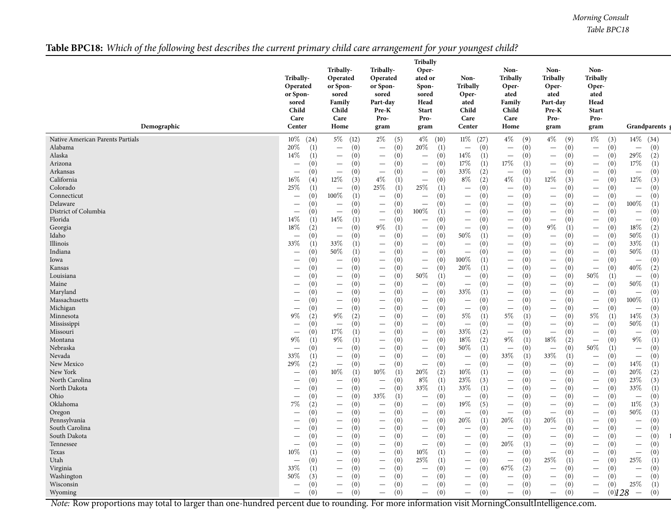*Morning Consult Table BPC18*

## Table BPC18: Which of the following best describes the current primary child care arrangement for your youngest child?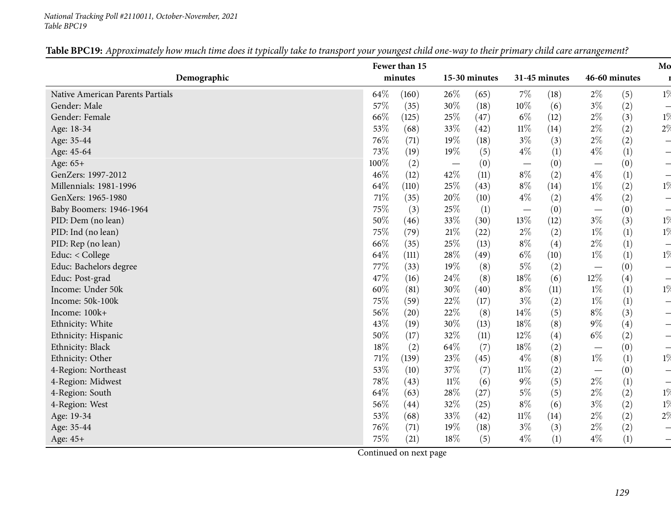#### *National Tracking Poll #2110011, October-November, <sup>2021</sup> Table BPC19*

|                                  |        |         |        |               |                                 |               |                                  |                  | Mo                       |
|----------------------------------|--------|---------|--------|---------------|---------------------------------|---------------|----------------------------------|------------------|--------------------------|
| Demographic                      |        | minutes |        | 15-30 minutes |                                 | 31-45 minutes |                                  | 46-60 minutes    |                          |
| Native American Parents Partials | 64\%   | (160)   | 26\%   | (65)          | $7\%$                           | (18)          | $2\%$                            | (5)              | $1\%$                    |
| Gender: Male                     | 57%    | (35)    | 30%    | (18)          | $10\%$                          | (6)           | $3\%$                            | (2)              |                          |
| Gender: Female                   | 66%    | (125)   | 25%    | (47)          | $6\%$                           | (12)          | $2\%$                            | (3)              | $1\%$                    |
| Age: 18-34                       | 53%    | (68)    | 33%    | (42)          | $11\%$                          | (14)          | $2\%$                            | (2)              | 2%                       |
| Age: 35-44                       | 76%    | (71)    | 19%    | (18)          | $3\%$                           | (3)           | $2\%$                            | (2)              |                          |
| Age: 45-64                       | 73%    | (19)    | 19%    | (5)           | $4\%$                           | (1)           | $4\%$                            | (1)              |                          |
| Age: 65+                         | 100%   | (2)     |        | (0)           | $\hspace{0.1mm}-\hspace{0.1mm}$ | (0)           | $\hspace{0.1mm}-\hspace{0.1mm}$  | (0)              |                          |
| GenZers: 1997-2012               | 46%    | (12)    | 42%    | (11)          | $8\%$                           | (2)           | $4\%$                            | (1)              |                          |
| Millennials: 1981-1996           | 64\%   | (110)   | 25%    | (43)          | $8\%$                           | (14)          | $1\%$                            | (2)              | $1\%$                    |
| GenXers: 1965-1980               | $71\%$ | (35)    | 20%    | (10)          | $4\%$                           | (2)           | $4\%$                            | (2)              |                          |
| Baby Boomers: 1946-1964          | 75%    | (3)     | 25%    | (1)           | $\overline{\phantom{m}}$        | (0)           | $\overbrace{\phantom{12322111}}$ | (0)              |                          |
| PID: Dem (no lean)               | 50%    | (46)    | 33%    | (30)          | 13%                             | (12)          | $3\%$                            | (3)              | $1\%$                    |
| PID: Ind (no lean)               | 75%    | (79)    | $21\%$ | (22)          | $2\%$                           | (2)           | $1\%$                            | (1)              | $1\%$                    |
| PID: Rep (no lean)               | 66%    | (35)    | 25%    | (13)          | $8\%$                           | (4)           | $2\%$                            | (1)              |                          |
| Educ: < College                  | 64\%   | (111)   | 28%    | (49)          | $6\%$                           | (10)          | $1\%$                            | (1)              | $1\%$                    |
| Educ: Bachelors degree           | 77%    | (33)    | 19%    | (8)           | $5\%$                           | (2)           |                                  | (0)              |                          |
| Educ: Post-grad                  | 47%    | (16)    | 24\%   | (8)           | $18\%$                          | (6)           | $12\%$                           | (4)              | $\overline{\phantom{0}}$ |
| Income: Under 50k                | $60\%$ | (81)    | 30%    | (40)          | $8\%$                           | (11)          | $1\%$                            | $\left(1\right)$ | $1\%$                    |
| Income: 50k-100k                 | 75%    | (59)    | 22\%   | (17)          | $3\%$                           | (2)           | $1\%$                            | (1)              |                          |
| Income: 100k+                    | 56%    | (20)    | 22%    | (8)           | 14%                             | (5)           | $8\%$                            | (3)              |                          |
| Ethnicity: White                 | 43%    | (19)    | 30%    | (13)          | 18%                             | (8)           | $9\%$                            | (4)              |                          |
| Ethnicity: Hispanic              | $50\%$ | (17)    | 32%    | (11)          | 12%                             | (4)           | $6\%$                            | (2)              |                          |
| Ethnicity: Black                 | $18\%$ | (2)     | 64\%   | (7)           | 18%                             | (2)           | $\overbrace{\phantom{12322111}}$ | (0)              |                          |
| Ethnicity: Other                 | $71\%$ | (139)   | 23%    | (45)          | $4\%$                           | (8)           | $1\%$                            | (1)              | $1\%$                    |
| 4-Region: Northeast              | 53%    | (10)    | 37%    | (7)           | $11\%$                          | (2)           | $\overline{\phantom{m}}$         | (0)              |                          |
| 4-Region: Midwest                | 78%    | (43)    | $11\%$ | (6)           | $9\%$                           | (5)           | $2\%$                            | (1)              |                          |
| 4-Region: South                  | 64\%   | (63)    | 28\%   | (27)          | $5\%$                           | (5)           | $2\%$                            | (2)              | $1\%$                    |
| 4-Region: West                   | $56\%$ | (44)    | 32%    | (25)          | $8\%$                           | (6)           | $3\%$                            | (2)              | $1\%$                    |
| Age: 19-34                       | 53%    | (68)    | 33%    | (42)          | $11\%$                          | (14)          | $2\%$                            | (2)              | 2%                       |
| Age: 35-44                       | 76%    | (71)    | 19%    | (18)          | $3\%$                           | (3)           | $2\%$                            | (2)              |                          |
| Age: 45+                         | 75%    | (21)    | 18%    | (5)           | $4\%$                           | (1)           | $4\%$                            | (1)              |                          |

Table BPC19: Approximately how much time does it typically take to transport your youngest child one-way to their primary child care arrangement?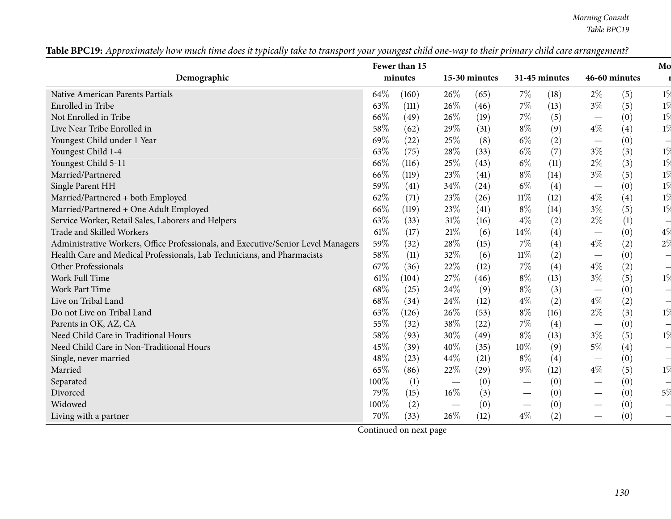*Morning Consult Table BPC19*

| Fewer than 15                                                                     |        |                  |        |               |                                 |               |                                 | Mo            |       |
|-----------------------------------------------------------------------------------|--------|------------------|--------|---------------|---------------------------------|---------------|---------------------------------|---------------|-------|
| Demographic                                                                       |        | minutes          |        | 15-30 minutes |                                 | 31-45 minutes |                                 | 46-60 minutes |       |
| Native American Parents Partials                                                  | 64%    | (160)            | $26\%$ | (65)          | $7\%$                           | (18)          | $2\%$                           | (5)           | $1\%$ |
| Enrolled in Tribe                                                                 | 63%    | (111)            | 26\%   | (46)          | $7\%$                           | (13)          | $3\%$                           | (5)           | $1\%$ |
| Not Enrolled in Tribe                                                             | 66%    | (49)             | 26\%   | (19)          | $7\%$                           | (5)           | $\hspace{0.1mm}-\hspace{0.1mm}$ | (0)           | $1\%$ |
| Live Near Tribe Enrolled in                                                       | 58\%   | (62)             | 29%    | (31)          | $8\%$                           | (9)           | $4\%$                           | (4)           | $1\%$ |
| Youngest Child under 1 Year                                                       | 69%    | (22)             | 25%    | (8)           | $6\%$                           | (2)           | $\hspace{0.1mm}-\hspace{0.1mm}$ | (0)           |       |
| Youngest Child 1-4                                                                | 63%    | (75)             | 28%    | (33)          | $6\%$                           | (7)           | $3\%$                           | (3)           | $1\%$ |
| Youngest Child 5-11                                                               | 66%    | (116)            | 25%    | (43)          | $6\%$                           | (11)          | $2\%$                           | (3)           | $1\%$ |
| Married/Partnered                                                                 | 66%    | (119)            | 23%    | (41)          | $8\%$                           | (14)          | $3\%$                           | (5)           | $1\%$ |
| Single Parent HH                                                                  | 59%    | (41)             | 34\%   | (24)          | $6\%$                           | (4)           | $\hspace{0.1mm}-\hspace{0.1mm}$ | (0)           | $1\%$ |
| Married/Partnered + both Employed                                                 | 62%    | (71)             | 23\%   | (26)          | $11\%$                          | (12)          | $4\%$                           | (4)           | $1\%$ |
| Married/Partnered + One Adult Employed                                            | 66%    | (119)            | 23%    | (41)          | $8\%$                           | (14)          | $3\%$                           | (5)           | $1\%$ |
| Service Worker, Retail Sales, Laborers and Helpers                                | 63%    | (33)             | 31%    | (16)          | $4\%$                           | (2)           | $2\%$                           | (1)           |       |
| <b>Trade and Skilled Workers</b>                                                  | 61\%   | (17)             | 21%    | (6)           | 14%                             | (4)           | $\hspace{0.1mm}-\hspace{0.1mm}$ | (0)           | $4\%$ |
| Administrative Workers, Office Professionals, and Executive/Senior Level Managers | 59%    | (32)             | 28%    | (15)          | $7\%$                           | (4)           | $4\%$                           | (2)           | $2\%$ |
| Health Care and Medical Professionals, Lab Technicians, and Pharmacists           | 58%    | (11)             | 32\%   | (6)           | $11\%$                          | (2)           | $\hspace{0.1mm}-\hspace{0.1mm}$ | (0)           |       |
| Other Professionals                                                               | 67%    | (36)             | 22%    | (12)          | $7\%$                           | (4)           | $4\%$                           | (2)           |       |
| Work Full Time                                                                    | $61\%$ | (104)            | 27%    | (46)          | $8\%$                           | (13)          | $3\%$                           | (5)           | $1\%$ |
| <b>Work Part Time</b>                                                             | 68%    | (25)             | 24\%   | (9)           | $8\%$                           | (3)           | $\hspace{0.1mm}-\hspace{0.1mm}$ | (0)           |       |
| Live on Tribal Land                                                               | 68%    | (34)             | 24\%   | (12)          | $4\%$                           | (2)           | $4\%$                           | (2)           |       |
| Do not Live on Tribal Land                                                        | 63%    | (126)            | 26\%   | (53)          | $8\%$                           | (16)          | $2\%$                           | (3)           | $1\%$ |
| Parents in OK, AZ, CA                                                             | 55%    | (32)             | 38%    | (22)          | $7\%$                           | (4)           | $\hspace{0.1mm}-\hspace{0.1mm}$ | (0)           |       |
| Need Child Care in Traditional Hours                                              | 58%    | (93)             | 30%    | (49)          | $8\%$                           | (13)          | $3\%$                           | (5)           | $1\%$ |
| Need Child Care in Non-Traditional Hours                                          | 45%    | (39)             | 40%    | (35)          | 10%                             | (9)           | $5\%$                           | (4)           |       |
| Single, never married                                                             | 48%    | (23)             | 44\%   | (21)          | $8\%$                           | (4)           | $\hspace{0.1mm}-\hspace{0.1mm}$ | (0)           |       |
| Married                                                                           | 65%    | (86)             | 22%    | (29)          | $9\%$                           | (12)          | $4\%$                           | (5)           | $1\%$ |
| Separated                                                                         | 100%   | $\left(1\right)$ |        | (0)           | $\hspace{0.05cm}$               | (0)           | $\hspace{0.05cm}$               | (0)           |       |
| Divorced                                                                          | 79%    | (15)             | 16%    | (3)           | $\hspace{0.05cm}$               | (0)           | $\hspace{0.1mm}-\hspace{0.1mm}$ | (0)           | $5\%$ |
| Widowed                                                                           | 100%   | (2)              |        | (0)           | $\hspace{0.1mm}-\hspace{0.1mm}$ | (0)           |                                 | (0)           |       |
| Living with a partner                                                             | 70%    | (33)             | 26%    | (12)          | $4\%$                           | (2)           | $\overbrace{\phantom{123321}}$  | (0)           |       |

Table BPC19: Approximately how much time does it typically take to transport your youngest child one-way to their primary child care arrangement?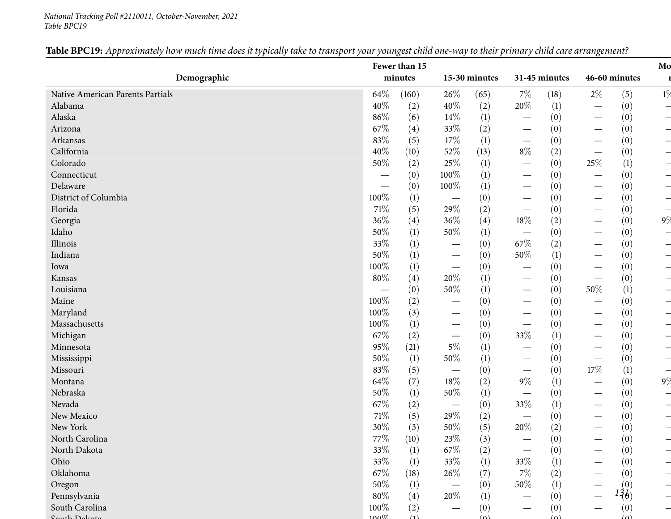#### *National Tracking Poll #2110011, October-November, <sup>2021</sup> Table BPC19*

|                                  |         | Fewer than 15 |                                 |                  |                                  |                  |                                 |               | Mo    |
|----------------------------------|---------|---------------|---------------------------------|------------------|----------------------------------|------------------|---------------------------------|---------------|-------|
| Demographic                      |         | minutes       |                                 | 15-30 minutes    |                                  | 31-45 minutes    |                                 | 46-60 minutes |       |
| Native American Parents Partials | 64\%    | (160)         | 26\%                            | (65)             | $7\%$                            | (18)             | $2\%$                           | (5)           | $1\%$ |
| Alabama                          | 40%     | (2)           | 40%                             | (2)              | $20\%$                           | (1)              |                                 | (0)           |       |
| Alaska                           | 86%     | (6)           | 14\%                            | $\left(1\right)$ | $\overline{\phantom{m}}$         | (0)              |                                 | (0)           |       |
| Arizona                          | 67%     | (4)           | 33%                             | (2)              | $\hspace{0.1mm}-\hspace{0.1mm}$  | (0)              | —                               | (0)           |       |
| Arkansas                         | 83%     | (5)           | 17\%                            | (1)              | $\hspace{0.1mm}-\hspace{0.1mm}$  | (0)              | $\overline{\phantom{0}}$        | (0)           |       |
| California                       | 40%     | (10)          | 52%                             | (13)             | $8\%$                            | (2)              |                                 | (0)           |       |
| Colorado                         | $50\%$  | (2)           | 25%                             | $\left(1\right)$ | $\hspace{0.1mm}-\hspace{0.1mm}$  | (0)              | 25%                             | (1)           |       |
| Connecticut                      |         | (0)           | 100%                            | (1)              | $\hspace{0.1mm}-\hspace{0.1mm}$  | (0)              | $\overline{\phantom{0}}$        | (0)           |       |
| Delaware                         |         | (0)           | 100%                            | (1)              | $\hspace{0.1mm}-\hspace{0.1mm}$  | (0)              | —                               | (0)           |       |
| District of Columbia             | 100%    | (1)           | $\overline{\phantom{m}}$        | (0)              | $\hspace{0.1mm}-\hspace{0.1mm}$  | (0)              | —                               | (0)           |       |
| Florida                          | 71\%    | (5)           | 29%                             | (2)              | $\hspace{0.05cm}$                | (0)              | $\hspace{0.1mm}-\hspace{0.1mm}$ | (0)           |       |
| Georgia                          | 36%     | (4)           | 36%                             | (4)              | $18\%$                           | (2)              | $\overline{\phantom{0}}$        | (0)           | $9\%$ |
| Idaho                            | $50\%$  | (1)           | $50\%$                          | $\left(1\right)$ | $\hspace{0.1mm}-\hspace{0.1mm}$  | (0)              | —                               | (0)           |       |
| Illinois                         | 33%     | (1)           | $\hspace{0.1mm}-\hspace{0.1mm}$ | (0)              | 67%                              | (2)              | $\qquad \qquad$                 | (0)           |       |
| Indiana                          | $50\%$  | (1)           | $\overline{\phantom{m}}$        | (0)              | 50%                              | $\left(1\right)$ | $\overline{\phantom{0}}$        | (0)           |       |
| Iowa                             | $100\%$ | (1)           | $\hspace{0.1mm}-\hspace{0.1mm}$ | (0)              | $\hspace{0.1mm}-\hspace{0.1mm}$  | (0)              | $\overline{\phantom{0}}$        | (0)           |       |
| Kansas                           | $80\%$  | (4)           | 20%                             | (1)              | $\hspace{0.1mm}-\hspace{0.1mm}$  | (0)              |                                 | (0)           |       |
| Louisiana                        |         | (0)           | $50\%$                          | $\left(1\right)$ | $\overbrace{\phantom{12322111}}$ | (0)              | 50%                             | (1)           |       |
| Maine                            | 100%    | (2)           | $\hspace{0.1mm}-\hspace{0.1mm}$ | (0)              | $\hspace{0.05cm}$                | (0)              |                                 | (0)           |       |
| Maryland                         | $100\%$ | (3)           | $\hspace{0.1mm}-\hspace{0.1mm}$ | (0)              | $\hspace{0.1mm}-\hspace{0.1mm}$  | (0)              |                                 | (0)           |       |
| Massachusetts                    | $100\%$ | (1)           | $\overline{\phantom{m}}$        | (0)              |                                  | (0)              | $\hspace{0.1mm}-\hspace{0.1mm}$ | (0)           |       |
| Michigan                         | 67%     | (2)           | $\overline{\phantom{m}}$        | (0)              | 33%                              | (1)              | —                               | (0)           |       |
| Minnesota                        | 95%     | (21)          | $5\%$                           | $\left(1\right)$ | $\hspace{0.1mm}-\hspace{0.1mm}$  | (0)              | $\hspace{0.1mm}-\hspace{0.1mm}$ | (0)           |       |
| Mississippi                      | $50\%$  | (1)           | $50\%$                          | $\left(1\right)$ | $\hspace{0.1mm}-\hspace{0.1mm}$  | (0)              |                                 | (0)           |       |
| Missouri                         | 83%     | (5)           | $\overline{\phantom{m}}$        | (0)              | $\hspace{0.1mm}-\hspace{0.1mm}$  | (0)              | $17\%$                          | (1)           |       |
| Montana                          | 64\%    | (7)           | 18%                             | (2)              | $9\%$                            | (1)              |                                 | (0)           | 9%    |
| Nebraska                         | $50\%$  | (1)           | $50\%$                          | $\left(1\right)$ | $\hspace{0.05cm}$                | (0)              |                                 | (0)           |       |
| Nevada                           | $67\%$  | (2)           |                                 | (0)              | 33%                              | (1)              | —                               | (0)           |       |
| New Mexico                       | $71\%$  | (5)           | 29%                             | (2)              | $\hspace{0.1mm}-\hspace{0.1mm}$  | (0)              | —                               | (0)           |       |
| New York                         | $30\%$  | (3)           | $50\%$                          | (5)              | $20\%$                           | (2)              |                                 | (0)           |       |
| North Carolina                   | 77\%    | (10)          | $23\%$                          | (3)              |                                  | (0)              |                                 | (0)           |       |
| North Dakota                     | 33\%    | (1)           | $67\%$                          | (2)              |                                  | (0)              |                                 | (0)           |       |
| Ohio                             | 33\%    | (1)           | $33\%$                          | (1)              | 33%                              | (1)              |                                 | (0)           |       |
| Oklahoma                         | $67\%$  | (18)          | 26\%                            | (7)              | $7\%$                            | (2)              |                                 | (0)           |       |
| Oregon                           | $50\%$  | (1)           |                                 | (0)              | 50%                              | (1)              |                                 | (0)           |       |
| Pennsylvania                     | $80\%$  | (4)           | 20%                             | (1)              |                                  | (0)              |                                 | $13\delta$    |       |
| South Carolina                   | 100%    | (2)           |                                 | (0)              |                                  | (0)              |                                 | (0)           |       |
| the Dalsar                       | $100\%$ | (1)           |                                 | $(\Omega)$       |                                  | $\Delta$         |                                 | (n)           |       |

### Table BPC19: Approximately how much time does it typically take to transport your youngest child one-way to their primary child care arrangement?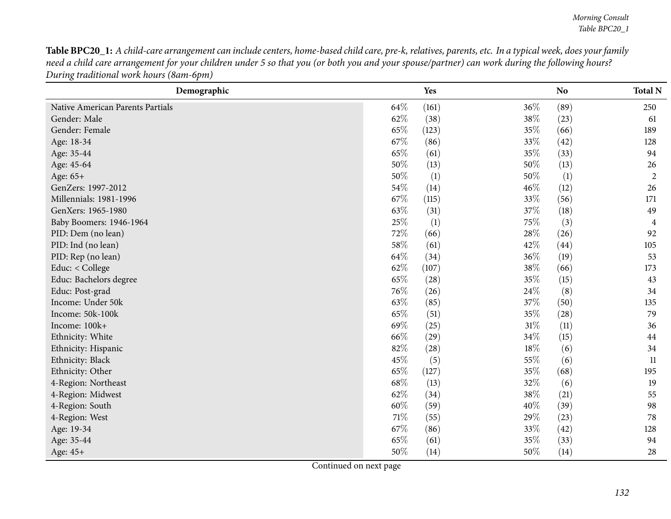Table BPC20\_1: A child-care arrangement can include centers, home-based child care, pre-k, relatives, parents, etc. In a typical week, does your family need a child care arrangement for your children under 5 so that you (or both you and your spouse/partner) can work during the following hours? *During traditional work hours (8am-6pm)*

| Demographic                      |      | Yes   |        | N <sub>o</sub> | <b>Total N</b> |
|----------------------------------|------|-------|--------|----------------|----------------|
| Native American Parents Partials | 64\% | (161) | 36%    | (89)           | 250            |
| Gender: Male                     | 62%  | (38)  | 38\%   | (23)           | 61             |
| Gender: Female                   | 65%  | (123) | 35%    | (66)           | 189            |
| Age: 18-34                       | 67\% | (86)  | 33\%   | (42)           | 128            |
| Age: 35-44                       | 65%  | (61)  | 35%    | (33)           | 94             |
| Age: 45-64                       | 50%  | (13)  | 50%    | (13)           | 26             |
| Age: 65+                         | 50%  | (1)   | 50%    | (1)            | $\overline{2}$ |
| GenZers: 1997-2012               | 54%  | (14)  | $46\%$ | (12)           | 26             |
| Millennials: 1981-1996           | 67%  | (115) | 33%    | (56)           | 171            |
| GenXers: 1965-1980               | 63\% | (31)  | 37\%   | (18)           | 49             |
| Baby Boomers: 1946-1964          | 25%  | (1)   | 75%    | (3)            | 4              |
| PID: Dem (no lean)               | 72%  | (66)  | 28\%   | (26)           | 92             |
| PID: Ind (no lean)               | 58%  | (61)  | 42\%   | (44)           | 105            |
| PID: Rep (no lean)               | 64\% | (34)  | 36%    | (19)           | 53             |
| Educ: < College                  | 62%  | (107) | 38%    | (66)           | 173            |
| Educ: Bachelors degree           | 65%  | (28)  | 35%    | (15)           | 43             |
| Educ: Post-grad                  | 76%  | (26)  | 24\%   | (8)            | 34             |
| Income: Under 50k                | 63%  | (85)  | 37%    | (50)           | 135            |
| Income: 50k-100k                 | 65%  | (51)  | 35%    | (28)           | 79             |
| Income: 100k+                    | 69%  | (25)  | $31\%$ | (11)           | 36             |
| Ethnicity: White                 | 66%  | (29)  | 34\%   | (15)           | 44             |
| Ethnicity: Hispanic              | 82%  | (28)  | 18%    | (6)            | 34             |
| Ethnicity: Black                 | 45%  | (5)   | 55%    | (6)            | 11             |
| Ethnicity: Other                 | 65%  | (127) | 35%    | (68)           | 195            |
| 4-Region: Northeast              | 68%  | (13)  | 32%    | (6)            | 19             |
| 4-Region: Midwest                | 62%  | (34)  | 38\%   | (21)           | 55             |
| 4-Region: South                  | 60%  | (59)  | 40%    | (39)           | 98             |
| 4-Region: West                   | 71\% | (55)  | 29%    | (23)           | 78             |
| Age: 19-34                       | 67%  | (86)  | 33%    | (42)           | 128            |
| Age: 35-44                       | 65%  | (61)  | 35%    | (33)           | 94             |
| Age: 45+                         | 50%  | (14)  | $50\%$ | (14)           | 28             |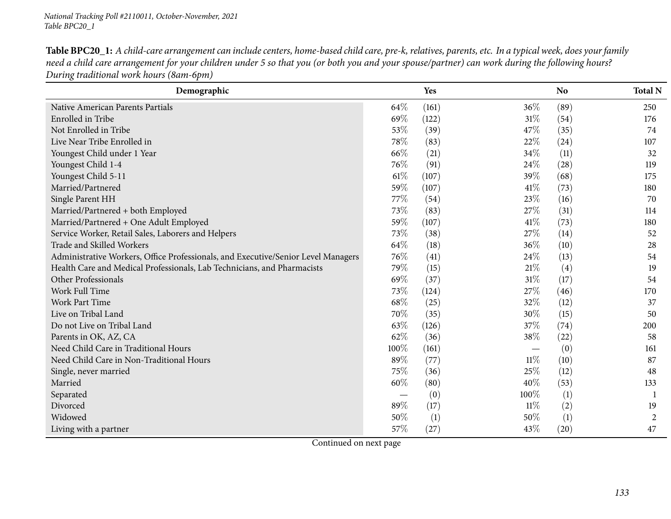Table BPC20\_1: A child-care arrangement can include centers, home-based child care, pre-k, relatives, parents, etc. In a typical week, does your family need a child care arrangement for your children under 5 so that you (or both you and your spouse/partner) can work during the following hours? *During traditional work hours (8am-6pm)*

| Demographic                                                                       |      | Yes   |        | <b>No</b>        | <b>Total N</b> |
|-----------------------------------------------------------------------------------|------|-------|--------|------------------|----------------|
| Native American Parents Partials                                                  | 64\% | (161) | 36%    | (89)             | 250            |
| Enrolled in Tribe                                                                 | 69%  | (122) | $31\%$ | (54)             | 176            |
| Not Enrolled in Tribe                                                             | 53%  | (39)  | 47%    | (35)             | 74             |
| Live Near Tribe Enrolled in                                                       | 78%  | (83)  | 22%    | (24)             | 107            |
| Youngest Child under 1 Year                                                       | 66%  | (21)  | 34\%   | (11)             | 32             |
| Youngest Child 1-4                                                                | 76%  | (91)  | 24\%   | (28)             | 119            |
| Youngest Child 5-11                                                               | 61%  | (107) | 39%    | (68)             | 175            |
| Married/Partnered                                                                 | 59%  | (107) | 41\%   | (73)             | 180            |
| Single Parent HH                                                                  | 77\% | (54)  | 23%    | (16)             | 70             |
| Married/Partnered + both Employed                                                 | 73%  | (83)  | 27%    | (31)             | 114            |
| Married/Partnered + One Adult Employed                                            | 59%  | (107) | 41\%   | (73)             | 180            |
| Service Worker, Retail Sales, Laborers and Helpers                                | 73%  | (38)  | 27%    | (14)             | 52             |
| Trade and Skilled Workers                                                         | 64%  | (18)  | 36%    | (10)             | 28             |
| Administrative Workers, Office Professionals, and Executive/Senior Level Managers | 76%  | (41)  | 24\%   | (13)             | 54             |
| Health Care and Medical Professionals, Lab Technicians, and Pharmacists           | 79%  | (15)  | $21\%$ | (4)              | 19             |
| Other Professionals                                                               | 69%  | (37)  | $31\%$ | (17)             | 54             |
| Work Full Time                                                                    | 73%  | (124) | 27%    | (46)             | 170            |
| Work Part Time                                                                    | 68%  | (25)  | 32%    | (12)             | 37             |
| Live on Tribal Land                                                               | 70%  | (35)  | 30%    | (15)             | 50             |
| Do not Live on Tribal Land                                                        | 63%  | (126) | 37\%   | (74)             | 200            |
| Parents in OK, AZ, CA                                                             | 62%  | (36)  | 38%    | (22)             | 58             |
| Need Child Care in Traditional Hours                                              | 100% | (161) |        | (0)              | 161            |
| Need Child Care in Non-Traditional Hours                                          | 89%  | (77)  | $11\%$ | (10)             | 87             |
| Single, never married                                                             | 75%  | (36)  | 25%    | (12)             | 48             |
| Married                                                                           | 60%  | (80)  | 40%    | (53)             | 133            |
| Separated                                                                         |      | (0)   | 100%   | $\left(1\right)$ | -1             |
| Divorced                                                                          | 89%  | (17)  | $11\%$ | (2)              | 19             |
| Widowed                                                                           | 50%  | (1)   | 50%    | (1)              | 2              |
| Living with a partner                                                             | 57%  | (27)  | 43%    | (20)             | 47             |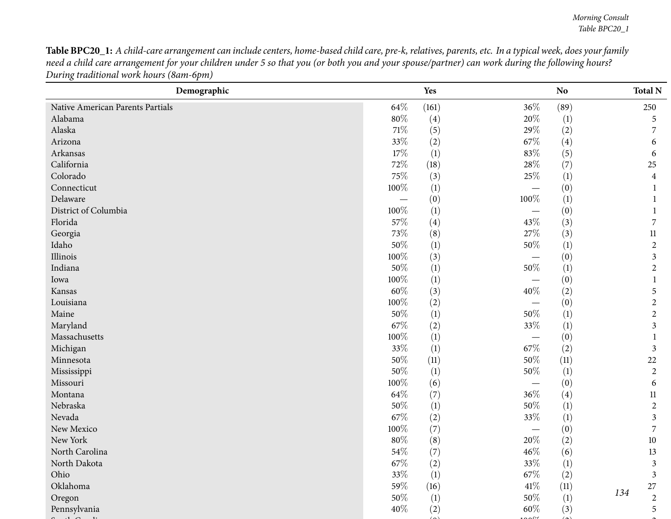Table BPC20\_1: A child-care arrangement can include centers, home-based child care, pre-k, relatives, parents, etc. In a typical week, does your family need a child care arrangement for your children under 5 so that you (or both you and your spouse/partner) can work during the following hours? *During traditional work hours (8am-6pm)*

| (161)<br>(89)<br>64\%<br>$36\%$<br>Native American Parents Partials<br>250<br>Alabama<br>80%<br>20%<br>(4)<br>$\left(1\right)$<br>5<br>Alaska<br>71\%<br>29%<br>(5)<br>(2)<br>7<br>33%<br>67%<br>Arizona<br>(2)<br>$\left( 4\right)$<br>6<br>17%<br>83%<br>(5)<br>Arkansas<br>$\left(1\right)$<br>6<br>California<br>$28\%$<br>72\%<br>(7)<br>(18)<br>25<br>75%<br>Colorado<br>25\%<br>(3)<br>$\left(1\right)$<br>4<br>100%<br>Connecticut<br>$\left(1\right)$<br>(0)<br>$\overline{\phantom{m}}$<br>100%<br>Delaware<br>(0)<br>$\left(1\right)$<br>100%<br>District of Columbia<br>$\left(1\right)$<br>(0)<br>$\overline{\phantom{m}}$<br>57\%<br>Florida<br>43\%<br>(3)<br>7<br>(4)<br>$73\%$<br>$27\%$<br>(8)<br>(3)<br>Georgia<br>11<br>$50\%$<br>$50\%$<br>Idaho<br>(1)<br>$\left(1\right)$<br>$\overline{2}$<br>$100\%$<br>Illinois<br>(3)<br>(0)<br>3<br>50%<br>$50\%$<br>Indiana<br>(1)<br>$\left(1\right)$<br>$\overline{c}$<br>100%<br>$\left(1\right)$<br>(0)<br>Iowa<br>$60\%$<br>(3)<br>40\%<br>(2)<br>Kansas<br>5<br>$100\%$<br>Louisiana<br>(2)<br>(0)<br>$\overline{c}$<br>50%<br>Maine<br>50%<br>$\left(1\right)$<br>$\left(1\right)$<br>$\overline{2}$<br>67%<br>33%<br>Maryland<br>(2)<br>$\left(1\right)$<br>$\mathfrak{Z}$<br>100%<br>Massachusetts<br>(1)<br>(0)<br>1<br>$67\%$<br>33%<br>Michigan<br>(1)<br>(2)<br>3<br>50%<br>$50\%$<br>Minnesota<br>22<br>(11)<br>(11)<br>50%<br>$50\%$<br>(1)<br>$\left(1\right)$<br>Mississippi<br>$\overline{c}$<br>100%<br>Missouri<br>(6)<br>(0)<br>6<br>64\%<br>$36\%$<br>Montana<br>(7)<br>$\left( 4\right)$<br>11<br>Nebraska<br>$50\%$<br>50%<br>$\left(1\right)$<br>$\overline{2}$<br>$\left(1\right)$<br>Nevada<br>67\%<br>33%<br>(2)<br>$\left(1\right)$<br>3<br>New Mexico<br>100%<br>(7)<br>(0)<br>7<br>New York<br>$80\%$<br>20%<br>(8)<br>(2)<br>10<br>$54\%$<br>$46\%$<br>North Carolina<br>(7)<br>(6)<br>13<br>$67\%$<br>$33\%$<br>North Dakota<br>(2)<br>(1)<br>$\mathfrak{Z}$<br>33%<br>67\%<br>$\left(1\right)$<br>(2)<br>Ohio<br>$\mathfrak{Z}$<br>$41\%$<br>Oklahoma<br>59%<br>(11)<br>(16)<br>$27\,$<br>134<br>50%<br>$50\%$<br>(1)<br>(1)<br>Oregon<br>$\overline{2}$<br>Pennsylvania<br>40%<br>(2)<br>60\%<br>(3)<br>5 | Demographic | Yes | No | <b>Total N</b> |
|-----------------------------------------------------------------------------------------------------------------------------------------------------------------------------------------------------------------------------------------------------------------------------------------------------------------------------------------------------------------------------------------------------------------------------------------------------------------------------------------------------------------------------------------------------------------------------------------------------------------------------------------------------------------------------------------------------------------------------------------------------------------------------------------------------------------------------------------------------------------------------------------------------------------------------------------------------------------------------------------------------------------------------------------------------------------------------------------------------------------------------------------------------------------------------------------------------------------------------------------------------------------------------------------------------------------------------------------------------------------------------------------------------------------------------------------------------------------------------------------------------------------------------------------------------------------------------------------------------------------------------------------------------------------------------------------------------------------------------------------------------------------------------------------------------------------------------------------------------------------------------------------------------------------------------------------------------------------------------------------------------------------------------------------------------------------------------------------------------------------------------------------------------------------------------------------------------------|-------------|-----|----|----------------|
|                                                                                                                                                                                                                                                                                                                                                                                                                                                                                                                                                                                                                                                                                                                                                                                                                                                                                                                                                                                                                                                                                                                                                                                                                                                                                                                                                                                                                                                                                                                                                                                                                                                                                                                                                                                                                                                                                                                                                                                                                                                                                                                                                                                                           |             |     |    |                |
|                                                                                                                                                                                                                                                                                                                                                                                                                                                                                                                                                                                                                                                                                                                                                                                                                                                                                                                                                                                                                                                                                                                                                                                                                                                                                                                                                                                                                                                                                                                                                                                                                                                                                                                                                                                                                                                                                                                                                                                                                                                                                                                                                                                                           |             |     |    |                |
|                                                                                                                                                                                                                                                                                                                                                                                                                                                                                                                                                                                                                                                                                                                                                                                                                                                                                                                                                                                                                                                                                                                                                                                                                                                                                                                                                                                                                                                                                                                                                                                                                                                                                                                                                                                                                                                                                                                                                                                                                                                                                                                                                                                                           |             |     |    |                |
|                                                                                                                                                                                                                                                                                                                                                                                                                                                                                                                                                                                                                                                                                                                                                                                                                                                                                                                                                                                                                                                                                                                                                                                                                                                                                                                                                                                                                                                                                                                                                                                                                                                                                                                                                                                                                                                                                                                                                                                                                                                                                                                                                                                                           |             |     |    |                |
|                                                                                                                                                                                                                                                                                                                                                                                                                                                                                                                                                                                                                                                                                                                                                                                                                                                                                                                                                                                                                                                                                                                                                                                                                                                                                                                                                                                                                                                                                                                                                                                                                                                                                                                                                                                                                                                                                                                                                                                                                                                                                                                                                                                                           |             |     |    |                |
|                                                                                                                                                                                                                                                                                                                                                                                                                                                                                                                                                                                                                                                                                                                                                                                                                                                                                                                                                                                                                                                                                                                                                                                                                                                                                                                                                                                                                                                                                                                                                                                                                                                                                                                                                                                                                                                                                                                                                                                                                                                                                                                                                                                                           |             |     |    |                |
|                                                                                                                                                                                                                                                                                                                                                                                                                                                                                                                                                                                                                                                                                                                                                                                                                                                                                                                                                                                                                                                                                                                                                                                                                                                                                                                                                                                                                                                                                                                                                                                                                                                                                                                                                                                                                                                                                                                                                                                                                                                                                                                                                                                                           |             |     |    |                |
|                                                                                                                                                                                                                                                                                                                                                                                                                                                                                                                                                                                                                                                                                                                                                                                                                                                                                                                                                                                                                                                                                                                                                                                                                                                                                                                                                                                                                                                                                                                                                                                                                                                                                                                                                                                                                                                                                                                                                                                                                                                                                                                                                                                                           |             |     |    |                |
|                                                                                                                                                                                                                                                                                                                                                                                                                                                                                                                                                                                                                                                                                                                                                                                                                                                                                                                                                                                                                                                                                                                                                                                                                                                                                                                                                                                                                                                                                                                                                                                                                                                                                                                                                                                                                                                                                                                                                                                                                                                                                                                                                                                                           |             |     |    |                |
|                                                                                                                                                                                                                                                                                                                                                                                                                                                                                                                                                                                                                                                                                                                                                                                                                                                                                                                                                                                                                                                                                                                                                                                                                                                                                                                                                                                                                                                                                                                                                                                                                                                                                                                                                                                                                                                                                                                                                                                                                                                                                                                                                                                                           |             |     |    |                |
|                                                                                                                                                                                                                                                                                                                                                                                                                                                                                                                                                                                                                                                                                                                                                                                                                                                                                                                                                                                                                                                                                                                                                                                                                                                                                                                                                                                                                                                                                                                                                                                                                                                                                                                                                                                                                                                                                                                                                                                                                                                                                                                                                                                                           |             |     |    |                |
|                                                                                                                                                                                                                                                                                                                                                                                                                                                                                                                                                                                                                                                                                                                                                                                                                                                                                                                                                                                                                                                                                                                                                                                                                                                                                                                                                                                                                                                                                                                                                                                                                                                                                                                                                                                                                                                                                                                                                                                                                                                                                                                                                                                                           |             |     |    |                |
|                                                                                                                                                                                                                                                                                                                                                                                                                                                                                                                                                                                                                                                                                                                                                                                                                                                                                                                                                                                                                                                                                                                                                                                                                                                                                                                                                                                                                                                                                                                                                                                                                                                                                                                                                                                                                                                                                                                                                                                                                                                                                                                                                                                                           |             |     |    |                |
|                                                                                                                                                                                                                                                                                                                                                                                                                                                                                                                                                                                                                                                                                                                                                                                                                                                                                                                                                                                                                                                                                                                                                                                                                                                                                                                                                                                                                                                                                                                                                                                                                                                                                                                                                                                                                                                                                                                                                                                                                                                                                                                                                                                                           |             |     |    |                |
|                                                                                                                                                                                                                                                                                                                                                                                                                                                                                                                                                                                                                                                                                                                                                                                                                                                                                                                                                                                                                                                                                                                                                                                                                                                                                                                                                                                                                                                                                                                                                                                                                                                                                                                                                                                                                                                                                                                                                                                                                                                                                                                                                                                                           |             |     |    |                |
|                                                                                                                                                                                                                                                                                                                                                                                                                                                                                                                                                                                                                                                                                                                                                                                                                                                                                                                                                                                                                                                                                                                                                                                                                                                                                                                                                                                                                                                                                                                                                                                                                                                                                                                                                                                                                                                                                                                                                                                                                                                                                                                                                                                                           |             |     |    |                |
|                                                                                                                                                                                                                                                                                                                                                                                                                                                                                                                                                                                                                                                                                                                                                                                                                                                                                                                                                                                                                                                                                                                                                                                                                                                                                                                                                                                                                                                                                                                                                                                                                                                                                                                                                                                                                                                                                                                                                                                                                                                                                                                                                                                                           |             |     |    |                |
|                                                                                                                                                                                                                                                                                                                                                                                                                                                                                                                                                                                                                                                                                                                                                                                                                                                                                                                                                                                                                                                                                                                                                                                                                                                                                                                                                                                                                                                                                                                                                                                                                                                                                                                                                                                                                                                                                                                                                                                                                                                                                                                                                                                                           |             |     |    |                |
|                                                                                                                                                                                                                                                                                                                                                                                                                                                                                                                                                                                                                                                                                                                                                                                                                                                                                                                                                                                                                                                                                                                                                                                                                                                                                                                                                                                                                                                                                                                                                                                                                                                                                                                                                                                                                                                                                                                                                                                                                                                                                                                                                                                                           |             |     |    |                |
|                                                                                                                                                                                                                                                                                                                                                                                                                                                                                                                                                                                                                                                                                                                                                                                                                                                                                                                                                                                                                                                                                                                                                                                                                                                                                                                                                                                                                                                                                                                                                                                                                                                                                                                                                                                                                                                                                                                                                                                                                                                                                                                                                                                                           |             |     |    |                |
|                                                                                                                                                                                                                                                                                                                                                                                                                                                                                                                                                                                                                                                                                                                                                                                                                                                                                                                                                                                                                                                                                                                                                                                                                                                                                                                                                                                                                                                                                                                                                                                                                                                                                                                                                                                                                                                                                                                                                                                                                                                                                                                                                                                                           |             |     |    |                |
|                                                                                                                                                                                                                                                                                                                                                                                                                                                                                                                                                                                                                                                                                                                                                                                                                                                                                                                                                                                                                                                                                                                                                                                                                                                                                                                                                                                                                                                                                                                                                                                                                                                                                                                                                                                                                                                                                                                                                                                                                                                                                                                                                                                                           |             |     |    |                |
|                                                                                                                                                                                                                                                                                                                                                                                                                                                                                                                                                                                                                                                                                                                                                                                                                                                                                                                                                                                                                                                                                                                                                                                                                                                                                                                                                                                                                                                                                                                                                                                                                                                                                                                                                                                                                                                                                                                                                                                                                                                                                                                                                                                                           |             |     |    |                |
|                                                                                                                                                                                                                                                                                                                                                                                                                                                                                                                                                                                                                                                                                                                                                                                                                                                                                                                                                                                                                                                                                                                                                                                                                                                                                                                                                                                                                                                                                                                                                                                                                                                                                                                                                                                                                                                                                                                                                                                                                                                                                                                                                                                                           |             |     |    |                |
|                                                                                                                                                                                                                                                                                                                                                                                                                                                                                                                                                                                                                                                                                                                                                                                                                                                                                                                                                                                                                                                                                                                                                                                                                                                                                                                                                                                                                                                                                                                                                                                                                                                                                                                                                                                                                                                                                                                                                                                                                                                                                                                                                                                                           |             |     |    |                |
|                                                                                                                                                                                                                                                                                                                                                                                                                                                                                                                                                                                                                                                                                                                                                                                                                                                                                                                                                                                                                                                                                                                                                                                                                                                                                                                                                                                                                                                                                                                                                                                                                                                                                                                                                                                                                                                                                                                                                                                                                                                                                                                                                                                                           |             |     |    |                |
|                                                                                                                                                                                                                                                                                                                                                                                                                                                                                                                                                                                                                                                                                                                                                                                                                                                                                                                                                                                                                                                                                                                                                                                                                                                                                                                                                                                                                                                                                                                                                                                                                                                                                                                                                                                                                                                                                                                                                                                                                                                                                                                                                                                                           |             |     |    |                |
|                                                                                                                                                                                                                                                                                                                                                                                                                                                                                                                                                                                                                                                                                                                                                                                                                                                                                                                                                                                                                                                                                                                                                                                                                                                                                                                                                                                                                                                                                                                                                                                                                                                                                                                                                                                                                                                                                                                                                                                                                                                                                                                                                                                                           |             |     |    |                |
|                                                                                                                                                                                                                                                                                                                                                                                                                                                                                                                                                                                                                                                                                                                                                                                                                                                                                                                                                                                                                                                                                                                                                                                                                                                                                                                                                                                                                                                                                                                                                                                                                                                                                                                                                                                                                                                                                                                                                                                                                                                                                                                                                                                                           |             |     |    |                |
|                                                                                                                                                                                                                                                                                                                                                                                                                                                                                                                                                                                                                                                                                                                                                                                                                                                                                                                                                                                                                                                                                                                                                                                                                                                                                                                                                                                                                                                                                                                                                                                                                                                                                                                                                                                                                                                                                                                                                                                                                                                                                                                                                                                                           |             |     |    |                |
|                                                                                                                                                                                                                                                                                                                                                                                                                                                                                                                                                                                                                                                                                                                                                                                                                                                                                                                                                                                                                                                                                                                                                                                                                                                                                                                                                                                                                                                                                                                                                                                                                                                                                                                                                                                                                                                                                                                                                                                                                                                                                                                                                                                                           |             |     |    |                |
|                                                                                                                                                                                                                                                                                                                                                                                                                                                                                                                                                                                                                                                                                                                                                                                                                                                                                                                                                                                                                                                                                                                                                                                                                                                                                                                                                                                                                                                                                                                                                                                                                                                                                                                                                                                                                                                                                                                                                                                                                                                                                                                                                                                                           |             |     |    |                |
|                                                                                                                                                                                                                                                                                                                                                                                                                                                                                                                                                                                                                                                                                                                                                                                                                                                                                                                                                                                                                                                                                                                                                                                                                                                                                                                                                                                                                                                                                                                                                                                                                                                                                                                                                                                                                                                                                                                                                                                                                                                                                                                                                                                                           |             |     |    |                |
|                                                                                                                                                                                                                                                                                                                                                                                                                                                                                                                                                                                                                                                                                                                                                                                                                                                                                                                                                                                                                                                                                                                                                                                                                                                                                                                                                                                                                                                                                                                                                                                                                                                                                                                                                                                                                                                                                                                                                                                                                                                                                                                                                                                                           |             |     |    |                |
|                                                                                                                                                                                                                                                                                                                                                                                                                                                                                                                                                                                                                                                                                                                                                                                                                                                                                                                                                                                                                                                                                                                                                                                                                                                                                                                                                                                                                                                                                                                                                                                                                                                                                                                                                                                                                                                                                                                                                                                                                                                                                                                                                                                                           |             |     |    |                |
|                                                                                                                                                                                                                                                                                                                                                                                                                                                                                                                                                                                                                                                                                                                                                                                                                                                                                                                                                                                                                                                                                                                                                                                                                                                                                                                                                                                                                                                                                                                                                                                                                                                                                                                                                                                                                                                                                                                                                                                                                                                                                                                                                                                                           |             |     |    |                |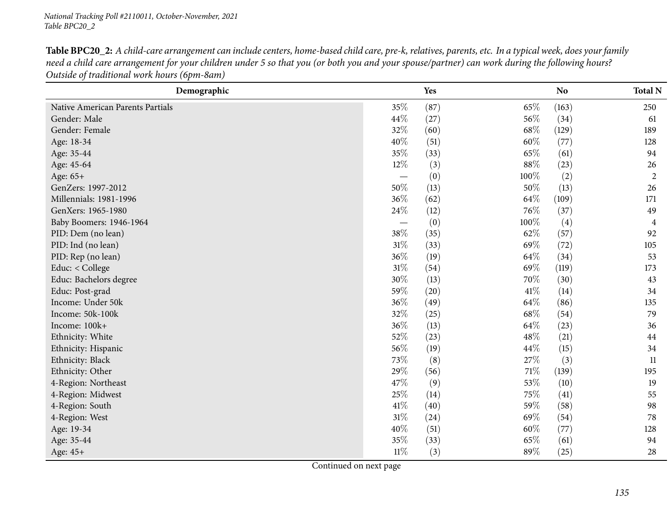| <b>Table BPC20_2:</b> A child-care arrangement can include centers, home-based child care, pre-k, relatives, parents, etc. In a typical week, does your family |  |
|----------------------------------------------------------------------------------------------------------------------------------------------------------------|--|
| need a child care arrangement for your children under 5 so that you (or both you and your spouse/partner) can work during the following hours?                 |  |
| Outside of traditional work hours (6pm-8am)                                                                                                                    |  |

| Demographic                      |        | Yes  |        | N <sub>o</sub> | <b>Total N</b> |
|----------------------------------|--------|------|--------|----------------|----------------|
| Native American Parents Partials | 35%    | (87) | 65%    | (163)          | 250            |
| Gender: Male                     | 44\%   | (27) | 56\%   | (34)           | 61             |
| Gender: Female                   | 32%    | (60) | 68\%   | (129)          | 189            |
| Age: 18-34                       | 40%    | (51) | 60%    | (77)           | 128            |
| Age: 35-44                       | 35%    | (33) | 65%    | (61)           | 94             |
| Age: 45-64                       | 12%    | (3)  | 88%    | (23)           | 26             |
| Age: 65+                         |        | (0)  | 100%   | (2)            | $\overline{2}$ |
| GenZers: 1997-2012               | 50%    | (13) | 50%    | (13)           | 26             |
| Millennials: 1981-1996           | 36%    | (62) | 64\%   | (109)          | 171            |
| GenXers: 1965-1980               | 24\%   | (12) | 76%    | (37)           | 49             |
| Baby Boomers: 1946-1964          |        | (0)  | 100%   | (4)            | 4              |
| PID: Dem (no lean)               | 38%    | (35) | 62%    | (57)           | 92             |
| PID: Ind (no lean)               | $31\%$ | (33) | 69%    | (72)           | 105            |
| PID: Rep (no lean)               | 36%    | (19) | 64\%   | (34)           | 53             |
| Educ: < College                  | $31\%$ | (54) | 69%    | (119)          | 173            |
| Educ: Bachelors degree           | 30%    | (13) | 70%    | (30)           | 43             |
| Educ: Post-grad                  | 59%    | (20) | 41\%   | (14)           | 34             |
| Income: Under 50k                | 36%    | (49) | 64\%   | (86)           | 135            |
| Income: 50k-100k                 | 32%    | (25) | 68\%   | (54)           | 79             |
| Income: 100k+                    | 36%    | (13) | 64\%   | (23)           | 36             |
| Ethnicity: White                 | 52%    | (23) | 48\%   | (21)           | 44             |
| Ethnicity: Hispanic              | 56%    | (19) | 44\%   | (15)           | 34             |
| Ethnicity: Black                 | 73%    | (8)  | 27%    | (3)            | 11             |
| Ethnicity: Other                 | 29%    | (56) | $71\%$ | (139)          | 195            |
| 4-Region: Northeast              | 47%    | (9)  | 53%    | (10)           | 19             |
| 4-Region: Midwest                | 25%    | (14) | 75%    | (41)           | 55             |
| 4-Region: South                  | 41\%   | (40) | 59%    | (58)           | 98             |
| 4-Region: West                   | $31\%$ | (24) | 69%    | (54)           | 78             |
| Age: 19-34                       | 40%    | (51) | 60%    | (77)           | 128            |
| Age: 35-44                       | 35%    | (33) | 65%    | (61)           | 94             |
| Age: 45+                         | $11\%$ | (3)  | 89%    | (25)           | 28             |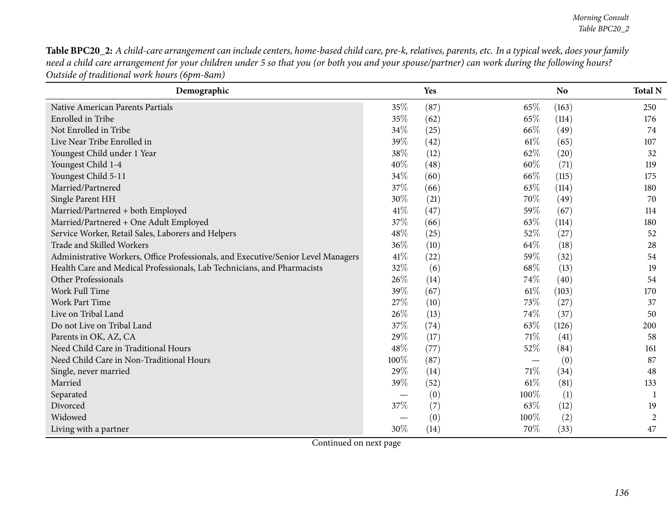Table BPC20\_2: A child-care arrangement can include centers, home-based child care, pre-k, relatives, parents, etc. In a typical week, does your family need a child care arrangement for your children under 5 so that you (or both you and your spouse/partner) can work during the following hours? *Outside of traditional work hours (6pm-8am)*

| Demographic                                                                       |      | Yes  |        | N <sub>o</sub> | <b>Total N</b> |
|-----------------------------------------------------------------------------------|------|------|--------|----------------|----------------|
| Native American Parents Partials                                                  | 35%  | (87) | 65\%   | (163)          | 250            |
| Enrolled in Tribe                                                                 | 35%  | (62) | 65%    | (114)          | 176            |
| Not Enrolled in Tribe                                                             | 34%  | (25) | 66\%   | (49)           | 74             |
| Live Near Tribe Enrolled in                                                       | 39%  | (42) | 61\%   | (65)           | 107            |
| Youngest Child under 1 Year                                                       | 38%  | (12) | 62%    | (20)           | 32             |
| Youngest Child 1-4                                                                | 40%  | (48) | 60%    | (71)           | 119            |
| Youngest Child 5-11                                                               | 34%  | (60) | 66\%   | (115)          | 175            |
| Married/Partnered                                                                 | 37%  | (66) | 63%    | (114)          | 180            |
| Single Parent HH                                                                  | 30%  | (21) | 70%    | (49)           | 70             |
| Married/Partnered + both Employed                                                 | 41\% | (47) | 59%    | (67)           | 114            |
| Married/Partnered + One Adult Employed                                            | 37%  | (66) | 63%    | (114)          | 180            |
| Service Worker, Retail Sales, Laborers and Helpers                                | 48%  | (25) | 52%    | (27)           | 52             |
| Trade and Skilled Workers                                                         | 36%  | (10) | 64%    | (18)           | 28             |
| Administrative Workers, Office Professionals, and Executive/Senior Level Managers | 41\% | (22) | 59%    | (32)           | 54             |
| Health Care and Medical Professionals, Lab Technicians, and Pharmacists           | 32%  | (6)  | 68\%   | (13)           | 19             |
| Other Professionals                                                               | 26%  | (14) | 74%    | (40)           | 54             |
| Work Full Time                                                                    | 39%  | (67) | $61\%$ | (103)          | 170            |
| Work Part Time                                                                    | 27\% | (10) | 73\%   | (27)           | 37             |
| Live on Tribal Land                                                               | 26%  | (13) | 74%    | (37)           | 50             |
| Do not Live on Tribal Land                                                        | 37%  | (74) | 63\%   | (126)          | 200            |
| Parents in OK, AZ, CA                                                             | 29%  | (17) | 71\%   | (41)           | 58             |
| Need Child Care in Traditional Hours                                              | 48%  | (77) | 52\%   | (84)           | 161            |
| Need Child Care in Non-Traditional Hours                                          | 100% | (87) |        | (0)            | 87             |
| Single, never married                                                             | 29%  | (14) | 71\%   | (34)           | 48             |
| Married                                                                           | 39%  | (52) | $61\%$ | (81)           | 133            |
| Separated                                                                         |      | (0)  | 100%   | (1)            |                |
| Divorced                                                                          | 37%  | (7)  | 63%    | (12)           | 19             |
| Widowed                                                                           |      | (0)  | 100%   | (2)            | $\overline{2}$ |
| Living with a partner                                                             | 30%  | (14) | 70%    | (33)           | 47             |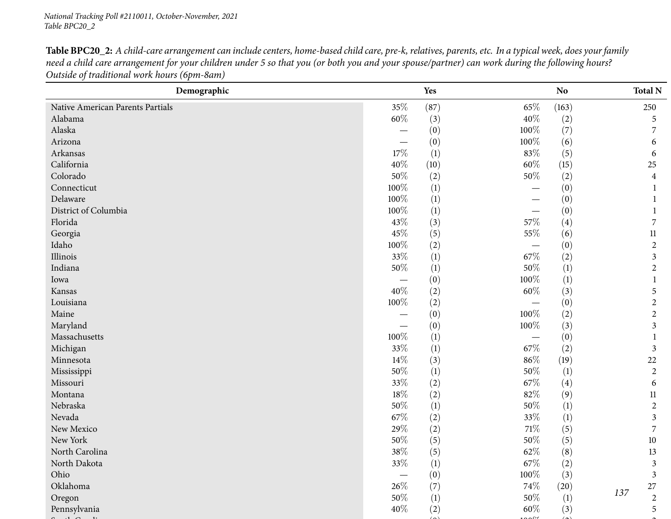Table BPC20\_2: A child-care arrangement can include centers, home-based child care, pre-k, relatives, parents, etc. In a typical week, does your family need a child care arrangement for your children under 5 so that you (or both you and your spouse/partner) can work during the following hours? *Outside of traditional work hours (6pm-8am)* **Demographic Yes NoNo TotalN** Native American Parents Partials  $35\%$   $(87)$   $65\%$   $(163)$   $250$ Alabamaa  $60\%$  (3)  $40\%$  (2)  $5$ Alaska $\overline{a}$  and  $\overline{a}$  and  $\overline{a}$  and  $\overline{a}$  and  $\overline{a}$  and  $\overline{a}$  and  $\overline{a}$  and  $\overline{a}$  and  $\overline{a}$  and  $\overline{a}$  and  $\overline{a}$  and  $\overline{a}$  and  $\overline{a}$  and  $\overline{a}$  and  $\overline{a}$  and  $\overline{a}$  and  $\overline{a}$  and  $-$  (0)  $100\%$  (7) 7<br>(0)  $100\%$  (6) 7 Arizona $\overline{a}$  (0) <sup>100</sup>% (6) <sup>6</sup> Arkansass and  $17\%$  (1)  $83\%$  (5) 6 Californiaa  $40\%$  (10)  $60\%$  (15)  $25$ 

| Native American Parents Partials | 35%                             | (87) | $65\%$                   | (163)            | 250                     |
|----------------------------------|---------------------------------|------|--------------------------|------------------|-------------------------|
| Alabama                          | $60\%$                          | (3)  | $40\%$                   | (2)              | 5                       |
| Alaska                           |                                 | (0)  | 100%                     | (7)              | $\overline{7}$          |
| Arizona                          | $\hspace{0.1mm}-\hspace{0.1mm}$ | (0)  | 100%                     | (6)              | 6                       |
| Arkansas                         | 17%                             | (1)  | $83\%$                   | (5)              | 6                       |
| California                       | 40%                             | (10) | $60\%$                   | (15)             | 25                      |
| Colorado                         | $50\%$                          | (2)  | $50\%$                   | (2)              | $\overline{\mathbf{4}}$ |
| Connecticut                      | 100%                            | (1)  |                          | (0)              | $\mathbf{1}$            |
| Delaware                         | 100%                            | (1)  |                          | (0)              | $\mathbf{1}$            |
| District of Columbia             | 100%                            | (1)  |                          | (0)              | 1                       |
| Florida                          | 43%                             | (3)  | 57%                      | (4)              | $\overline{7}$          |
| Georgia                          | 45%                             | (5)  | $55\%$                   | (6)              | $11\,$                  |
| Idaho                            | $100\%$                         | (2)  | $\overline{\phantom{0}}$ | (0)              | $\boldsymbol{2}$        |
| Illinois                         | 33%                             | (1)  | 67\%                     | (2)              | 3                       |
| Indiana                          | $50\%$                          | (1)  | $50\%$                   | (1)              | $\overline{c}$          |
| Iowa                             | $\overline{\phantom{0}}$        | (0)  | 100%                     | $\left(1\right)$ |                         |
| Kansas                           | 40%                             | (2)  | $60\%$                   | (3)              | 5                       |
| Louisiana                        | 100%                            | (2)  |                          | (0)              | $\overline{2}$          |
| Maine                            |                                 | (0)  | 100%                     | (2)              | $\overline{c}$          |
| Maryland                         | $\overline{\phantom{m}}$        | (0)  | $100\%$                  | (3)              | 3                       |
| Massachusetts                    | 100%                            | (1)  | $\overline{\phantom{0}}$ | (0)              |                         |
| Michigan                         | 33%                             | (1)  | 67\%                     | (2)              | $\mathfrak{Z}$          |
| Minnesota                        | $14\%$                          | (3)  | $86\%$                   | (19)             | 22                      |
| Mississippi                      | 50%                             | (1)  | 50%                      | $\left(1\right)$ | $\overline{2}$          |
| Missouri                         | 33%                             | (2)  | $67\%$                   | (4)              | 6                       |
| Montana                          | $18\%$                          | (2)  | $82\%$                   | (9)              | $11\,$                  |
| Nebraska                         | $50\%$                          | (1)  | 50%                      | (1)              | $\overline{2}$          |
| Nevada                           | 67\%                            | (2)  | 33%                      | (1)              | $\overline{3}$          |
| New Mexico                       | 29%                             | (2)  | $71\%$                   | (5)              | $\overline{7}$          |
| New York                         | 50%                             | (5)  | $50\%$                   | (5)              | $10\,$                  |
| North Carolina                   | $38\%$                          | (5)  | $62\%$                   | (8)              | 13                      |
| North Dakota                     | 33%                             | (1)  | 67\%                     | (2)              | $\mathfrak{Z}$          |
| Ohio                             | $\overline{\phantom{m}}$        | (0)  | $100\%$                  | (3)              | $\mathfrak{Z}$          |
| Oklahoma                         | 26\%                            | (7)  | $74\%$                   | (20)             | 27<br>137               |
| Oregon                           | 50%                             | (1)  | $50\%$                   | $\left(1\right)$ | $\sqrt{2}$              |
| Pennsylvania                     | 40%                             | (2)  | $60\%$                   | (3)              | 5                       |
|                                  |                                 |      |                          |                  |                         |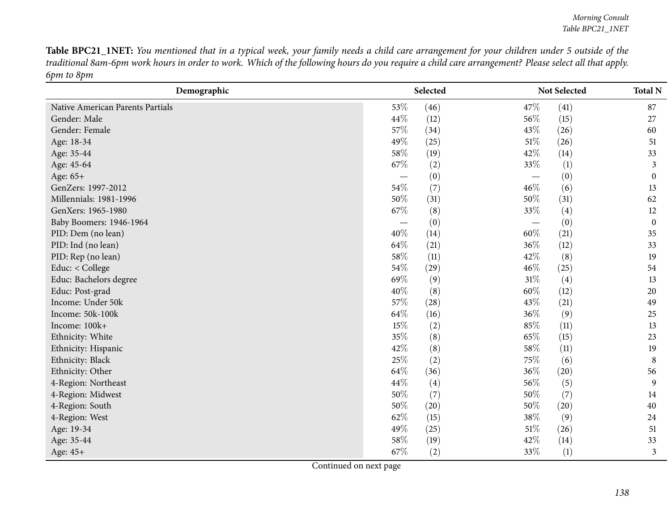Table BPC21\_1NET: You mentioned that in a typical week, your family needs a child care arrangement for your children under 5 outside of the traditional 8am-6pm work hours in order to work. Which of the following hours do you require a child care arrangement? Please select all that apply. *6pm to 8pm*

| Demographic                      |        | Selected          |        | Not Selected     | <b>Total N</b>   |
|----------------------------------|--------|-------------------|--------|------------------|------------------|
| Native American Parents Partials | 53%    | (46)              | 47%    | (41)             | 87               |
| Gender: Male                     | 44\%   | (12)              | 56\%   | (15)             | 27               |
| Gender: Female                   | 57%    | (34)              | 43%    | (26)             | 60               |
| Age: 18-34                       | 49%    | (25)              | $51\%$ | (26)             | 51               |
| Age: 35-44                       | 58%    | (19)              | 42\%   | (14)             | 33               |
| Age: 45-64                       | 67%    | (2)               | 33%    | $\left(1\right)$ | 3                |
| Age: 65+                         |        | (0)               |        | (0)              | $\boldsymbol{0}$ |
| GenZers: 1997-2012               | 54%    | (7)               | 46\%   | (6)              | 13               |
| Millennials: 1981-1996           | 50%    | (31)              | 50%    | (31)             | 62               |
| GenXers: 1965-1980               | 67%    | (8)               | 33%    | (4)              | 12               |
| Baby Boomers: 1946-1964          |        | (0)               |        | (0)              | $\boldsymbol{0}$ |
| PID: Dem (no lean)               | 40%    | (14)              | 60%    | (21)             | 35               |
| PID: Ind (no lean)               | 64%    | (21)              | 36\%   | (12)             | 33               |
| PID: Rep (no lean)               | 58%    | (11)              | 42%    | (8)              | 19               |
| Educ: < College                  | 54%    | (29)              | 46%    | (25)             | 54               |
| Educ: Bachelors degree           | 69%    | (9)               | 31%    | (4)              | 13               |
| Educ: Post-grad                  | 40%    | (8)               | 60%    | (12)             | 20               |
| Income: Under 50k                | 57%    | (28)              | 43%    | (21)             | 49               |
| Income: 50k-100k                 | 64%    | (16)              | 36%    | (9)              | 25               |
| Income: 100k+                    | $15\%$ | (2)               | 85%    | (11)             | 13               |
| Ethnicity: White                 | 35%    | (8)               | 65%    | (15)             | 23               |
| Ethnicity: Hispanic              | 42%    | (8)               | 58\%   | (11)             | 19               |
| Ethnicity: Black                 | 25%    | (2)               | 75%    | (6)              | $\,8\,$          |
| Ethnicity: Other                 | 64%    | (36)              | 36\%   | (20)             | 56               |
| 4-Region: Northeast              | 44\%   | $\left( 4\right)$ | 56\%   | (5)              | 9                |
| 4-Region: Midwest                | 50%    | (7)               | 50%    | (7)              | 14               |
| 4-Region: South                  | 50%    | (20)              | 50%    | (20)             | 40               |
| 4-Region: West                   | 62%    | (15)              | 38\%   | (9)              | 24               |
| Age: 19-34                       | 49%    | (25)              | $51\%$ | (26)             | 51               |
| Age: 35-44                       | 58%    | (19)              | 42%    | (14)             | 33               |
| Age: 45+                         | 67%    | (2)               | 33%    | (1)              | 3                |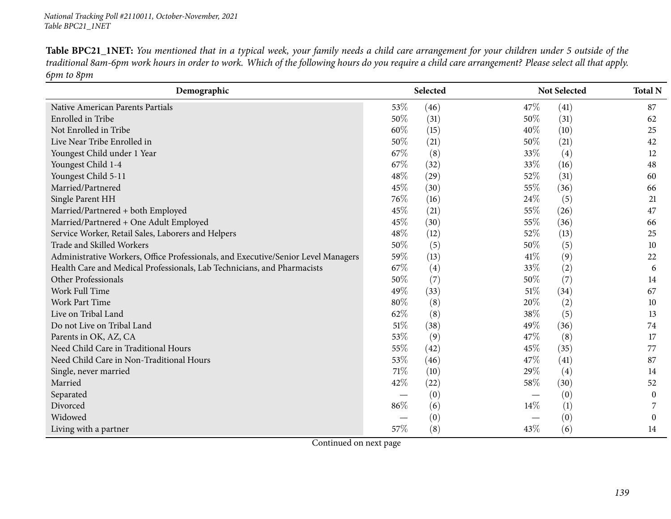Table BPC21\_1NET: You mentioned that in a typical week, your family needs a child care arrangement for your children under 5 outside of the traditional 8am-6pm work hours in order to work. Which of the following hours do you require a child care arrangement? Please select all that apply. *6pm to 8pm*

| Demographic                                                                       |      | Selected |      | Not Selected | <b>Total N</b>   |
|-----------------------------------------------------------------------------------|------|----------|------|--------------|------------------|
| Native American Parents Partials                                                  | 53%  | (46)     | 47\% | (41)         | 87               |
| Enrolled in Tribe                                                                 | 50%  | (31)     | 50%  | (31)         | 62               |
| Not Enrolled in Tribe                                                             | 60%  | (15)     | 40%  | (10)         | 25               |
| Live Near Tribe Enrolled in                                                       | 50%  | (21)     | 50%  | (21)         | 42               |
| Youngest Child under 1 Year                                                       | 67%  | (8)      | 33%  | (4)          | 12               |
| Youngest Child 1-4                                                                | 67%  | (32)     | 33%  | (16)         | 48               |
| Youngest Child 5-11                                                               | 48%  | (29)     | 52%  | (31)         | 60               |
| Married/Partnered                                                                 | 45%  | (30)     | 55%  | (36)         | 66               |
| Single Parent HH                                                                  | 76%  | (16)     | 24\% | (5)          | 21               |
| Married/Partnered + both Employed                                                 | 45%  | (21)     | 55%  | (26)         | 47               |
| Married/Partnered + One Adult Employed                                            | 45%  | (30)     | 55%  | (36)         | 66               |
| Service Worker, Retail Sales, Laborers and Helpers                                | 48%  | (12)     | 52%  | (13)         | 25               |
| Trade and Skilled Workers                                                         | 50%  | (5)      | 50%  | (5)          | 10               |
| Administrative Workers, Office Professionals, and Executive/Senior Level Managers | 59%  | (13)     | 41\% | (9)          | 22               |
| Health Care and Medical Professionals, Lab Technicians, and Pharmacists           | 67%  | (4)      | 33%  | (2)          | 6                |
| Other Professionals                                                               | 50%  | (7)      | 50%  | (7)          | 14               |
| Work Full Time                                                                    | 49%  | (33)     | 51%  | (34)         | 67               |
| Work Part Time                                                                    | 80%  | (8)      | 20%  | (2)          | 10               |
| Live on Tribal Land                                                               | 62%  | (8)      | 38%  | (5)          | 13               |
| Do not Live on Tribal Land                                                        | 51%  | (38)     | 49%  | (36)         | 74               |
| Parents in OK, AZ, CA                                                             | 53%  | (9)      | 47%  | (8)          | 17               |
| Need Child Care in Traditional Hours                                              | 55%  | (42)     | 45%  | (35)         | 77               |
| Need Child Care in Non-Traditional Hours                                          | 53%  | (46)     | 47%  | (41)         | 87               |
| Single, never married                                                             | 71\% | (10)     | 29%  | (4)          | 14               |
| Married                                                                           | 42%  | (22)     | 58\% | (30)         | 52               |
| Separated                                                                         |      | (0)      |      | (0)          | $\boldsymbol{0}$ |
| Divorced                                                                          | 86%  | (6)      | 14\% | (1)          |                  |
| Widowed                                                                           |      | (0)      |      | (0)          | $\Omega$         |
| Living with a partner                                                             | 57%  | (8)      | 43%  | (6)          | 14               |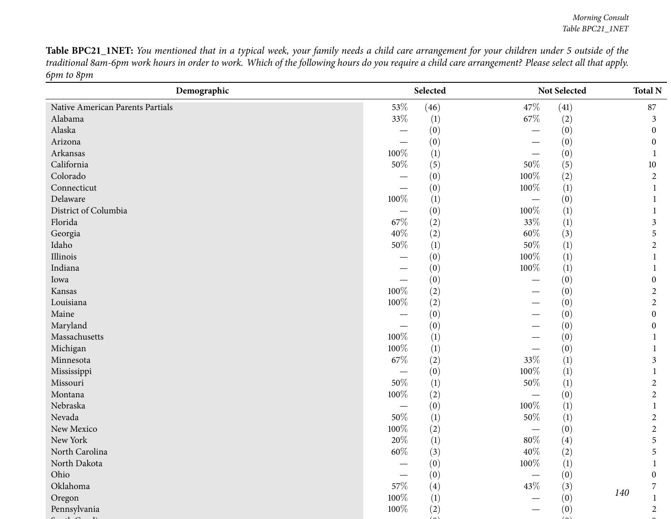Table BPC21\_INET: You mentioned that in a typical week, your family needs a child care arrangement for your children under 5 outside of the traditional 8am-6pm work hours in order to work. Which of the following hours do you require a child care arrangement? Please select all that apply. *6pm to 8pm*

| Demographic                      |         | Selected |         | Not Selected     | <b>Total N</b>        |
|----------------------------------|---------|----------|---------|------------------|-----------------------|
| Native American Parents Partials | 53%     | (46)     | 47\%    | (41)             | 87                    |
| Alabama                          | 33%     | (1)      | 67\%    | (2)              | 3                     |
| Alaska                           |         | (0)      |         | (0)              | $\theta$              |
| Arizona                          |         | (0)      |         | (0)              | $\theta$              |
| Arkansas                         | 100%    | (1)      |         | (0)              |                       |
| California                       | $50\%$  | (5)      | $50\%$  | (5)              | 10                    |
| Colorado                         |         | (0)      | 100%    | (2)              | $\overline{2}$        |
| Connecticut                      |         | (0)      | 100%    | (1)              |                       |
| Delaware                         | $100\%$ | (1)      |         | (0)              |                       |
| District of Columbia             |         | (0)      | 100%    | (1)              |                       |
| Florida                          | 67%     | (2)      | 33%     | $\left(1\right)$ | 3                     |
| Georgia                          | $40\%$  | (2)      | $60\%$  | (3)              | 5                     |
| Idaho                            | $50\%$  | (1)      | $50\%$  | (1)              | $\overline{2}$        |
| Illinois                         |         | (0)      | 100%    | (1)              |                       |
| Indiana                          |         | (0)      | 100%    | $\left(1\right)$ |                       |
| Iowa                             |         | (0)      |         | (0)              | $\boldsymbol{0}$      |
| Kansas                           | 100%    | (2)      |         | (0)              | 2                     |
| Louisiana                        | 100%    | (2)      |         | (0)              | $\overline{2}$        |
| Maine                            |         | (0)      |         | (0)              | $\boldsymbol{0}$      |
| Maryland                         |         | (0)      |         | (0)              | $\boldsymbol{0}$      |
| Massachusetts                    | 100%    | (1)      |         | (0)              |                       |
| Michigan                         | 100%    | (1)      |         | (0)              |                       |
| Minnesota                        | 67%     | (2)      | 33%     | (1)              | 3                     |
| Mississippi                      |         | (0)      | 100%    | (1)              |                       |
| Missouri                         | $50\%$  | (1)      | $50\%$  | (1)              | $\overline{c}$        |
| Montana                          | 100%    | (2)      |         | (0)              | $\overline{2}$        |
| Nebraska                         |         | (0)      | 100%    | $\left(1\right)$ |                       |
| Nevada                           | $50\%$  | (1)      | 50%     | (1)              | $\overline{2}$        |
| New Mexico                       | 100%    | (2)      |         | (0)              | $\overline{c}$        |
| New York                         | $20\%$  | (1)      | $80\%$  | (4)              | 5                     |
| North Carolina                   | 60%     | (3)      | 40%     | (2)              | 5                     |
| North Dakota                     |         | (0)      | $100\%$ | (1)              | $\mathbf{1}$          |
| Ohio                             |         | (0)      |         | (0)              | $\boldsymbol{0}$      |
| Oklahoma                         | 57%     | (4)      | 43\%    | (3)              | $\overline{7}$<br>140 |
| Oregon                           | 100%    | (1)      |         | (0)              |                       |
| Pennsylvania                     | 100%    | (2)      |         | (0)              | $\boldsymbol{2}$      |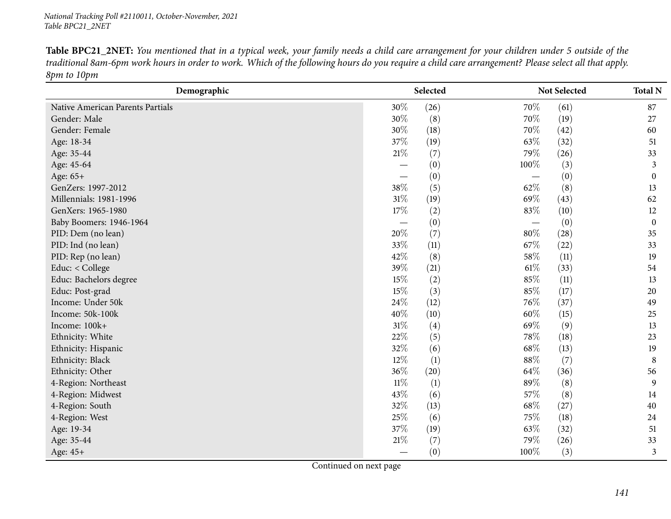Table BPC21\_2NET: You mentioned that in a typical week, your family needs a child care arrangement for your children under 5 outside of the traditional 8am-6pm work hours in order to work. Which of the following hours do you require a child care arrangement? Please select all that apply. *8pm to 10pm*

| Demographic                      |        | Selected |        | Not Selected | <b>Total N</b>   |
|----------------------------------|--------|----------|--------|--------------|------------------|
| Native American Parents Partials | 30%    | (26)     | 70%    | (61)         | 87               |
| Gender: Male                     | 30%    | (8)      | 70%    | (19)         | 27               |
| Gender: Female                   | 30%    | (18)     | 70%    | (42)         | 60               |
| Age: 18-34                       | 37%    | (19)     | 63%    | (32)         | 51               |
| Age: 35-44                       | $21\%$ | (7)      | 79%    | (26)         | 33               |
| Age: 45-64                       |        | (0)      | 100%   | (3)          | 3                |
| Age: 65+                         |        | (0)      |        | (0)          | $\mathbf{0}$     |
| GenZers: 1997-2012               | 38%    | (5)      | 62%    | (8)          | 13               |
| Millennials: 1981-1996           | $31\%$ | (19)     | 69%    | (43)         | 62               |
| GenXers: 1965-1980               | 17%    | (2)      | 83%    | (10)         | 12               |
| Baby Boomers: 1946-1964          |        | (0)      |        | (0)          | $\boldsymbol{0}$ |
| PID: Dem (no lean)               | 20%    | (7)      | $80\%$ | (28)         | 35               |
| PID: Ind (no lean)               | 33%    | (11)     | 67%    | (22)         | 33               |
| PID: Rep (no lean)               | 42%    | (8)      | 58%    | (11)         | 19               |
| Educ: < College                  | 39%    | (21)     | $61\%$ | (33)         | 54               |
| Educ: Bachelors degree           | 15%    | (2)      | 85%    | (11)         | 13               |
| Educ: Post-grad                  | 15%    | (3)      | 85%    | (17)         | 20               |
| Income: Under 50k                | 24%    | (12)     | 76\%   | (37)         | 49               |
| Income: 50k-100k                 | 40%    | (10)     | 60%    | (15)         | 25               |
| Income: 100k+                    | 31%    | (4)      | 69%    | (9)          | 13               |
| Ethnicity: White                 | 22%    | (5)      | 78%    | (18)         | 23               |
| Ethnicity: Hispanic              | 32%    | (6)      | 68%    | (13)         | 19               |
| Ethnicity: Black                 | 12%    | (1)      | 88%    | (7)          | 8                |
| Ethnicity: Other                 | 36%    | (20)     | 64\%   | (36)         | 56               |
| 4-Region: Northeast              | $11\%$ | (1)      | 89%    | (8)          | 9                |
| 4-Region: Midwest                | 43%    | (6)      | 57%    | (8)          | 14               |
| 4-Region: South                  | 32%    | (13)     | 68%    | (27)         | 40               |
| 4-Region: West                   | 25%    | (6)      | 75%    | (18)         | 24               |
| Age: 19-34                       | 37%    | (19)     | 63%    | (32)         | 51               |
| Age: 35-44                       | 21\%   | (7)      | 79%    | (26)         | 33               |
| Age: 45+                         |        | (0)      | 100%   | (3)          | 3                |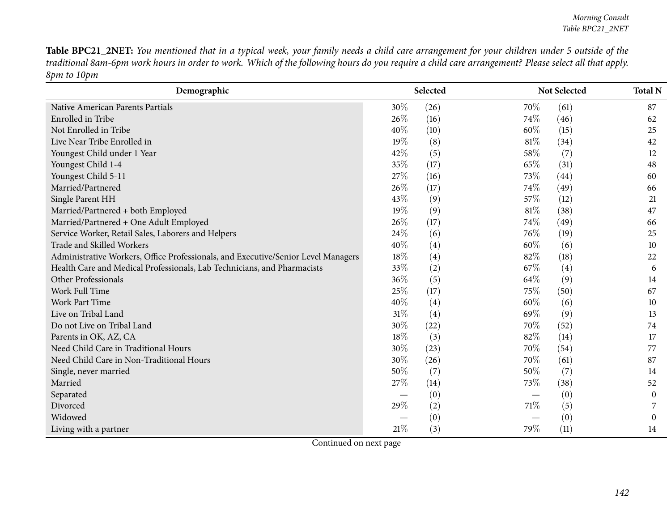Table BPC21\_2NET: You mentioned that in a typical week, your family needs a child care arrangement for your children under 5 outside of the traditional 8am-6pm work hours in order to work. Which of the following hours do you require a child care arrangement? Please select all that apply. *8pm to 10pm*

| Demographic                                                                       |     | Selected |        | Not Selected |                  |
|-----------------------------------------------------------------------------------|-----|----------|--------|--------------|------------------|
| Native American Parents Partials                                                  | 30% | (26)     | 70%    | (61)         | 87               |
| Enrolled in Tribe                                                                 | 26% | (16)     | 74\%   | (46)         | 62               |
| Not Enrolled in Tribe                                                             | 40% | (10)     | 60%    | (15)         | 25               |
| Live Near Tribe Enrolled in                                                       | 19% | (8)      | $81\%$ | (34)         | 42               |
| Youngest Child under 1 Year                                                       | 42% | (5)      | 58%    | (7)          | 12               |
| Youngest Child 1-4                                                                | 35% | (17)     | 65%    | (31)         | 48               |
| Youngest Child 5-11                                                               | 27% | (16)     | 73%    | (44)         | 60               |
| Married/Partnered                                                                 | 26% | (17)     | 74\%   | (49)         | 66               |
| Single Parent HH                                                                  | 43% | (9)      | 57%    | (12)         | 21               |
| Married/Partnered + both Employed                                                 | 19% | (9)      | 81\%   | (38)         | 47               |
| Married/Partnered + One Adult Employed                                            | 26% | (17)     | 74%    | (49)         | 66               |
| Service Worker, Retail Sales, Laborers and Helpers                                | 24% | (6)      | 76%    | (19)         | 25               |
| Trade and Skilled Workers                                                         | 40% | (4)      | 60%    | (6)          | 10               |
| Administrative Workers, Office Professionals, and Executive/Senior Level Managers | 18% | (4)      | 82%    | (18)         | 22               |
| Health Care and Medical Professionals, Lab Technicians, and Pharmacists           | 33% | (2)      | 67%    | (4)          | 6                |
| Other Professionals                                                               | 36% | (5)      | 64\%   | (9)          | 14               |
| Work Full Time                                                                    | 25% | (17)     | 75%    | (50)         | 67               |
| Work Part Time                                                                    | 40% | (4)      | 60%    | (6)          | 10               |
| Live on Tribal Land                                                               | 31% | (4)      | 69%    | (9)          | 13               |
| Do not Live on Tribal Land                                                        | 30% | (22)     | 70%    | (52)         | 74               |
| Parents in OK, AZ, CA                                                             | 18% | (3)      | 82%    | (14)         | 17               |
| Need Child Care in Traditional Hours                                              | 30% | (23)     | 70%    | (54)         | 77               |
| Need Child Care in Non-Traditional Hours                                          | 30% | (26)     | 70%    | (61)         | 87               |
| Single, never married                                                             | 50% | (7)      | 50%    | (7)          | 14               |
| Married                                                                           | 27% | (14)     | 73%    | (38)         | 52               |
| Separated                                                                         |     | (0)      |        | (0)          | $\boldsymbol{0}$ |
| Divorced                                                                          | 29% | (2)      | 71\%   | (5)          |                  |
| Widowed                                                                           |     | (0)      |        | (0)          | $\theta$         |
| Living with a partner                                                             | 21% | (3)      | 79%    | (11)         | 14               |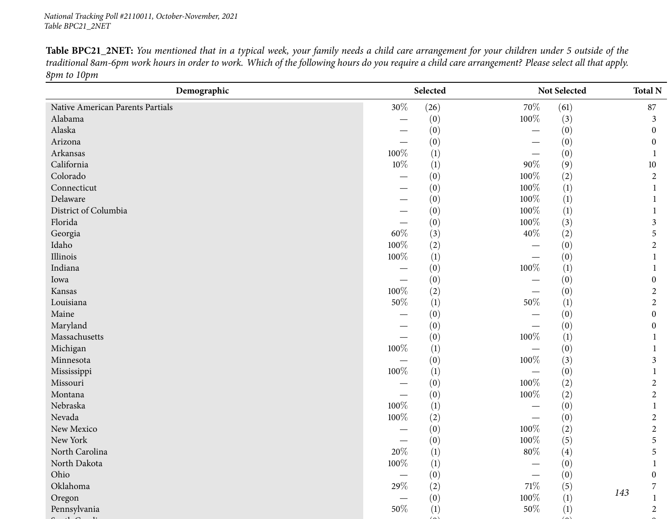Table BPC21\_2NET: You mentioned that in a typical week, your family needs a child care arrangement for your children under 5 outside of the traditional 8am-6pm work hours in order to work. Which of the following hours do you require a child care arrangement? Please select all that apply. *8pm to 10pm*

| $30\%$<br>(26)<br>70%<br>(61)<br>Native American Parents Partials | 87               |
|-------------------------------------------------------------------|------------------|
| Alabama<br>(0)<br>100%<br>(3)<br>—                                | 3                |
| Alaska<br>(0)<br>(0)<br>$\overline{\phantom{0}}$                  | $\mathbf{0}$     |
| Arizona<br>(0)<br>(0)                                             | $\mathbf{0}$     |
| Arkansas<br>100%<br>(1)<br>(0)                                    |                  |
| California<br>$10\%$<br>(1)<br>$90\%$<br>(9)                      | 10               |
| Colorado<br>100%<br>(2)<br>(0)                                    | $\overline{2}$   |
| 100%<br>Connecticut<br>$\left(1\right)$<br>(0)                    |                  |
| 100%<br>Delaware<br>(1)<br>(0)                                    |                  |
| District of Columbia<br>100%<br>(0)<br>(1)                        |                  |
| Florida<br>100%<br>(0)<br>(3)                                     | 3                |
| 60%<br>40%<br>Georgia<br>(3)<br>(2)                               | 5                |
| Idaho<br>100%<br>(2)<br>(0)                                       | $\overline{2}$   |
| Illinois<br>100%<br>(1)<br>(0)                                    | -1               |
| Indiana<br>100%<br>(0)<br>$\left(1\right)$                        |                  |
| (0)<br>(0)<br>Iowa                                                | $\boldsymbol{0}$ |
| 100%<br>(2)<br>(0)<br>Kansas                                      | $\overline{2}$   |
| $50\%$<br>50%<br>Louisiana<br>(1)<br>$\left(1\right)$             | $\overline{2}$   |
| Maine<br>(0)<br>(0)                                               | $\boldsymbol{0}$ |
| Maryland<br>(0)<br>(0)                                            | $\boldsymbol{0}$ |
| Massachusetts<br>100%<br>(0)<br>(1)                               |                  |
| 100%<br>Michigan<br>(1)<br>(0)                                    |                  |
| 100%<br>Minnesota<br>(0)<br>(3)                                   | 3                |
| 100%<br>(1)<br>Mississippi<br>(0)                                 |                  |
| 100%<br>Missouri<br>(0)<br>(2)                                    | 2                |
| $100\%$<br>Montana<br>(0)<br>(2)                                  | $\overline{2}$   |
| 100%<br>Nebraska<br>(1)<br>(0)                                    | -1               |
| Nevada<br>100%<br>(2)<br>(0)                                      | $\overline{2}$   |
| 100%<br>New Mexico<br>(2)<br>(0)                                  | $\overline{2}$   |
| New York<br>100%<br>(0)<br>(5)                                    | 5                |
| 20%<br>$80\%$<br>North Carolina<br>(1)<br>(4)                     | 5                |
| $100\%$<br>North Dakota<br>(1)<br>(0)                             | $\mathbf{1}$     |
| (0)<br>(0)<br>Ohio<br>Oklahoma                                    | $\boldsymbol{0}$ |
| $29\%$<br>$71\%$<br>(2)<br>(5)                                    | 7<br>143         |
| 100%<br>(0)<br>$\left(1\right)$<br>Oregon                         |                  |
| Pennsylvania<br>50%<br>(1)<br>50%<br>(1)                          | $\overline{2}$   |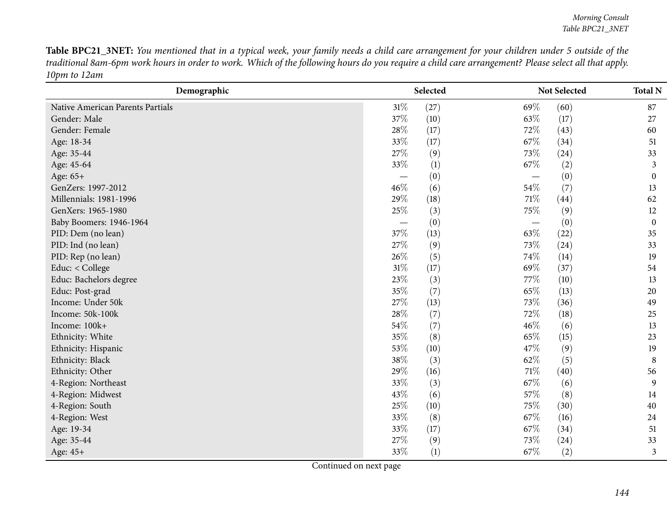Table BPC21\_3NET: You mentioned that in a typical week, your family needs a child care arrangement for your children under 5 outside of the traditional 8am-6pm work hours in order to work. Which of the following hours do you require a child care arrangement? Please select all that apply. *10pm to 12am*

| Demographic                      |      | Selected |      | Not Selected |                  |
|----------------------------------|------|----------|------|--------------|------------------|
| Native American Parents Partials | 31%  | (27)     | 69%  | (60)         | 87               |
| Gender: Male                     | 37\% | (10)     | 63\% | (17)         | 27               |
| Gender: Female                   | 28%  | (17)     | 72%  | (43)         | 60               |
| Age: 18-34                       | 33%  | (17)     | 67%  | (34)         | 51               |
| Age: 35-44                       | 27%  | (9)      | 73%  | (24)         | 33               |
| Age: 45-64                       | 33%  | (1)      | 67%  | (2)          | 3                |
| Age: 65+                         |      | (0)      |      | (0)          | $\boldsymbol{0}$ |
| GenZers: 1997-2012               | 46%  | (6)      | 54\% | (7)          | 13               |
| Millennials: 1981-1996           | 29%  | (18)     | 71\% | (44)         | 62               |
| GenXers: 1965-1980               | 25%  | (3)      | 75%  | (9)          | 12               |
| Baby Boomers: 1946-1964          |      | (0)      |      | (0)          | $\boldsymbol{0}$ |
| PID: Dem (no lean)               | 37%  | (13)     | 63\% | (22)         | 35               |
| PID: Ind (no lean)               | 27%  | (9)      | 73%  | (24)         | 33               |
| PID: Rep (no lean)               | 26%  | (5)      | 74\% | (14)         | 19               |
| Educ: < College                  | 31%  | (17)     | 69%  | (37)         | 54               |
| Educ: Bachelors degree           | 23%  | (3)      | 77\% | (10)         | 13               |
| Educ: Post-grad                  | 35%  | (7)      | 65%  | (13)         | 20               |
| Income: Under 50k                | 27%  | (13)     | 73%  | (36)         | 49               |
| Income: 50k-100k                 | 28%  | (7)      | 72%  | (18)         | 25               |
| Income: 100k+                    | 54\% | (7)      | 46\% | (6)          | 13               |
| Ethnicity: White                 | 35%  | (8)      | 65%  | (15)         | 23               |
| Ethnicity: Hispanic              | 53%  | (10)     | 47%  | (9)          | 19               |
| Ethnicity: Black                 | 38%  | (3)      | 62%  | (5)          | 8                |
| Ethnicity: Other                 | 29%  | (16)     | 71\% | (40)         | 56               |
| 4-Region: Northeast              | 33%  | (3)      | 67%  | (6)          | 9                |
| 4-Region: Midwest                | 43%  | (6)      | 57%  | (8)          | 14               |
| 4-Region: South                  | 25%  | (10)     | 75%  | (30)         | 40               |
| 4-Region: West                   | 33\% | (8)      | 67\% | (16)         | 24               |
| Age: 19-34                       | 33%  | (17)     | 67\% | (34)         | 51               |
| Age: 35-44                       | 27\% | (9)      | 73%  | (24)         | 33               |
| Age: 45+                         | 33%  | (1)      | 67%  | (2)          | 3                |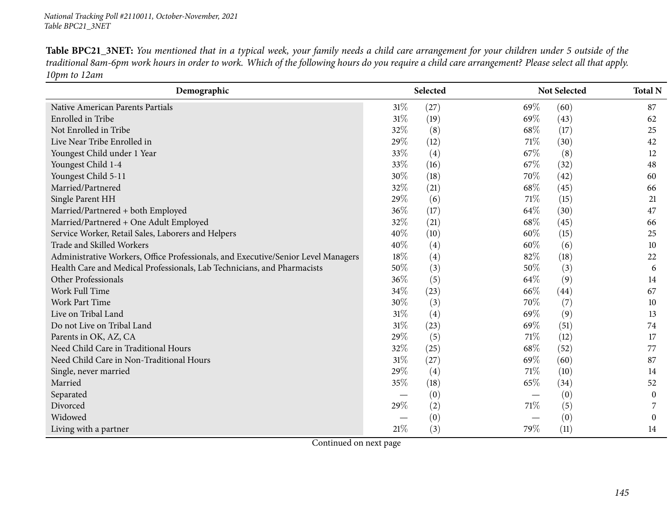Table BPC21\_3NET: You mentioned that in a typical week, your family needs a child care arrangement for your children under 5 outside of the traditional 8am-6pm work hours in order to work. Which of the following hours do you require a child care arrangement? Please select all that apply. *10pm to 12am*

| Demographic                                                                       |        | Selected |      | Not Selected | <b>Total N</b> |
|-----------------------------------------------------------------------------------|--------|----------|------|--------------|----------------|
| Native American Parents Partials                                                  | $31\%$ | (27)     | 69\% | (60)         | 87             |
| Enrolled in Tribe                                                                 | 31%    | (19)     | 69%  | (43)         | 62             |
| Not Enrolled in Tribe                                                             | 32%    | (8)      | 68\% | (17)         | 25             |
| Live Near Tribe Enrolled in                                                       | 29%    | (12)     | 71\% | (30)         | 42             |
| Youngest Child under 1 Year                                                       | 33%    | (4)      | 67\% | (8)          | 12             |
| Youngest Child 1-4                                                                | 33%    | (16)     | 67%  | (32)         | 48             |
| Youngest Child 5-11                                                               | 30%    | (18)     | 70%  | (42)         | 60             |
| Married/Partnered                                                                 | 32%    | (21)     | 68\% | (45)         | 66             |
| Single Parent HH                                                                  | 29%    | (6)      | 71\% | (15)         | 21             |
| Married/Partnered + both Employed                                                 | 36%    | (17)     | 64\% | (30)         | 47             |
| Married/Partnered + One Adult Employed                                            | 32%    | (21)     | 68\% | (45)         | 66             |
| Service Worker, Retail Sales, Laborers and Helpers                                | 40%    | (10)     | 60%  | (15)         | 25             |
| Trade and Skilled Workers                                                         | 40%    | (4)      | 60%  | (6)          | 10             |
| Administrative Workers, Office Professionals, and Executive/Senior Level Managers | 18%    | (4)      | 82%  | (18)         | 22             |
| Health Care and Medical Professionals, Lab Technicians, and Pharmacists           | 50%    | (3)      | 50%  | (3)          | 6              |
| Other Professionals                                                               | 36%    | (5)      | 64%  | (9)          | 14             |
| Work Full Time                                                                    | 34\%   | (23)     | 66\% | (44)         | 67             |
| <b>Work Part Time</b>                                                             | 30%    | (3)      | 70%  | (7)          | 10             |
| Live on Tribal Land                                                               | 31%    | (4)      | 69%  | (9)          | 13             |
| Do not Live on Tribal Land                                                        | 31%    | (23)     | 69%  | (51)         | 74             |
| Parents in OK, AZ, CA                                                             | 29%    | (5)      | 71%  | (12)         | 17             |
| Need Child Care in Traditional Hours                                              | 32%    | (25)     | 68\% | (52)         | 77             |
| Need Child Care in Non-Traditional Hours                                          | 31%    | (27)     | 69%  | (60)         | 87             |
| Single, never married                                                             | 29%    | (4)      | 71\% | (10)         | 14             |
| Married                                                                           | 35%    | (18)     | 65%  | (34)         | 52             |
| Separated                                                                         |        | (0)      |      | (0)          | $\overline{0}$ |
| Divorced                                                                          | 29%    | (2)      | 71\% | (5)          |                |
| Widowed                                                                           |        | (0)      |      | (0)          | 0              |
| Living with a partner                                                             | 21%    | (3)      | 79%  | (11)         | 14             |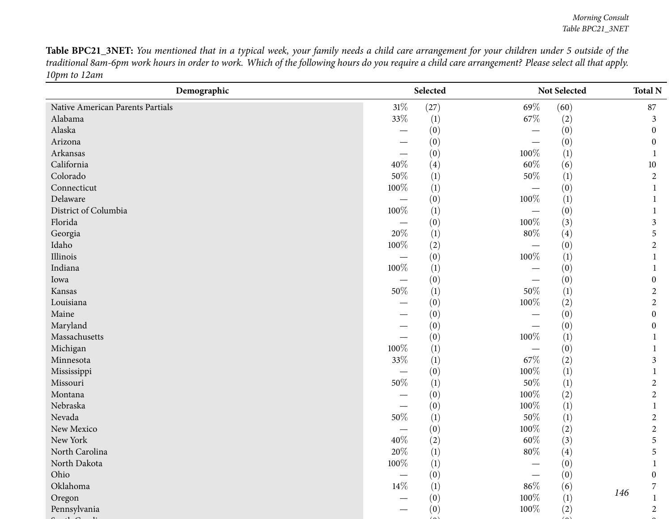Table BPC21\_3NET: You mentioned that in a typical week, your family needs a child care arrangement for your children under 5 outside of the traditional 8am-6pm work hours in order to work. Which of the following hours do you require a child care arrangement? Please select all that apply. *10pm to 12am*

| $31\%$<br>(27)<br>69%<br>(60)<br>Native American Parents Partials<br>33%<br>Alabama<br>(1)<br>67\%<br>(2)<br>Alaska | 87<br>3          |
|---------------------------------------------------------------------------------------------------------------------|------------------|
|                                                                                                                     |                  |
|                                                                                                                     |                  |
| (0)<br>(0)                                                                                                          | $\mathbf{0}$     |
| Arizona<br>(0)<br>(0)                                                                                               | $\mathbf{0}$     |
| $100\%$<br>Arkansas<br>(1)<br>(0)                                                                                   |                  |
| California<br>40%<br>$60\%$<br>(4)<br>(6)                                                                           | 10               |
| $50\%$<br>$50\%$<br>Colorado<br>$\left(1\right)$<br>(1)                                                             | $\overline{c}$   |
| $100\%$<br>Connecticut<br>(1)<br>(0)                                                                                |                  |
| 100%<br>Delaware<br>(1)<br>(0)                                                                                      |                  |
| $100\%$<br>District of Columbia<br>(1)<br>(0)                                                                       |                  |
| Florida<br>100%<br>(3)<br>(0)                                                                                       | 3                |
| $80\%$<br>20%<br>Georgia<br>(1)<br>(4)                                                                              | 5                |
| Idaho<br>100%<br>(2)<br>(0)                                                                                         | $\overline{c}$   |
| 100%<br>Illinois<br>(0)<br>(1)                                                                                      | 1                |
| $100\%$<br>Indiana<br>(1)<br>(0)                                                                                    |                  |
| (0)<br>(0)<br>Iowa                                                                                                  | 0                |
| $50\%$<br>$50\%$<br>(1)<br>(1)<br>Kansas                                                                            | 2                |
| $100\%$<br>Louisiana<br>(0)<br>(2)                                                                                  | $\overline{c}$   |
| Maine<br>(0)<br>(0)                                                                                                 | $\boldsymbol{0}$ |
| Maryland<br>(0)<br>(0)                                                                                              | 0                |
| 100%<br>Massachusetts<br>(0)<br>(1)                                                                                 |                  |
| 100%<br>Michigan<br>(1)<br>(0)                                                                                      |                  |
| 67\%<br>33%<br>Minnesota<br>(1)<br>(2)                                                                              | 3                |
| $100\%$<br>(1)<br>Mississippi<br>(0)<br>$\overline{\phantom{0}}$                                                    |                  |
| $50\%$<br>$50\%$<br>Missouri<br>(1)<br>(1)                                                                          | 2                |
| 100%<br>Montana<br>(0)<br>(2)                                                                                       | $\overline{c}$   |
| 100%<br>Nebraska<br>(1)<br>(0)<br>$\overbrace{\phantom{12322111}}$                                                  |                  |
| $50\%$<br>$50\%$<br>Nevada<br>(1)<br>(1)                                                                            | $\overline{c}$   |
| $100\%$<br>New Mexico<br>(2)<br>(0)                                                                                 | 2                |
| New York<br>$40\%$<br>$60\%$<br>(2)<br>(3)                                                                          | 5                |
| 20%<br>$80\%$<br>North Carolina<br>(1)<br>(4)                                                                       | 5                |
| $100\%$<br>$\left(1\right)$<br>(0)<br>North Dakota                                                                  | $\mathbf{1}$     |
| (0)<br>(0)<br>Ohio                                                                                                  | $\boldsymbol{0}$ |
| $14\%$<br>$86\%$<br>Oklahoma<br>(1)<br>(6)<br>146                                                                   | 7                |
| 100%<br>Oregon<br>(1)<br>(0)                                                                                        |                  |
| Pennsylvania<br>100%<br>(0)<br>(2)                                                                                  | $\overline{2}$   |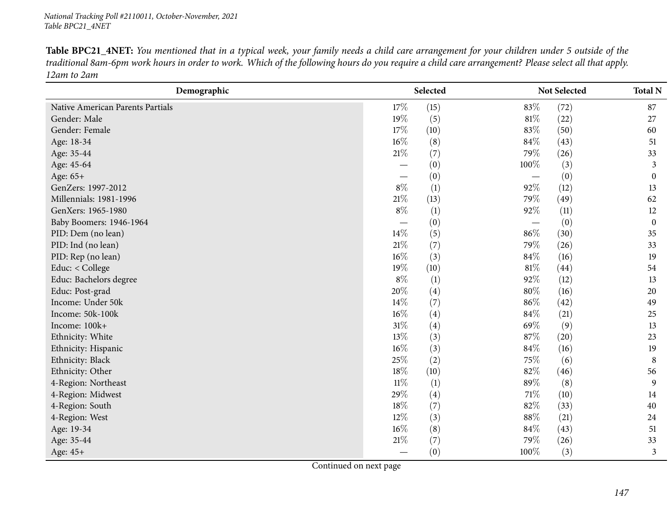Table BPC21\_4NET: You mentioned that in a typical week, your family needs a child care arrangement for your children under 5 outside of the traditional 8am-6pm work hours in order to work. Which of the following hours do you require a child care arrangement? Please select all that apply. *12am to 2am*

| Demographic                      |        | Selected |                                   | Not Selected | <b>Total N</b>   |
|----------------------------------|--------|----------|-----------------------------------|--------------|------------------|
| Native American Parents Partials | 17%    | (15)     | 83%                               | (72)         | 87               |
| Gender: Male                     | 19%    | (5)      | $81\%$                            | (22)         | 27               |
| Gender: Female                   | 17%    | (10)     | 83%                               | (50)         | 60               |
| Age: 18-34                       | $16\%$ | (8)      | 84\%                              | (43)         | 51               |
| Age: 35-44                       | $21\%$ | (7)      | 79%                               | (26)         | 33               |
| Age: 45-64                       |        | (0)      | 100%                              | (3)          | 3                |
| Age: 65+                         | —      | (0)      |                                   | (0)          | $\mathbf{0}$     |
| GenZers: 1997-2012               | $8\%$  | (1)      | $92\%$                            | (12)         | 13               |
| Millennials: 1981-1996           | $21\%$ | (13)     | 79%                               | (49)         | 62               |
| GenXers: 1965-1980               | $8\%$  | (1)      | 92%                               | (11)         | 12               |
| Baby Boomers: 1946-1964          |        | (0)      | $\overbrace{\phantom{123221111}}$ | (0)          | $\boldsymbol{0}$ |
| PID: Dem (no lean)               | 14%    | (5)      | 86%                               | (30)         | 35               |
| PID: Ind (no lean)               | $21\%$ | (7)      | 79%                               | (26)         | 33               |
| PID: Rep (no lean)               | $16\%$ | (3)      | 84\%                              | (16)         | 19               |
| Educ: < College                  | 19%    | (10)     | $81\%$                            | (44)         | 54               |
| Educ: Bachelors degree           | $8\%$  | (1)      | 92%                               | (12)         | 13               |
| Educ: Post-grad                  | 20%    | (4)      | $80\%$                            | (16)         | 20               |
| Income: Under 50k                | 14%    | (7)      | $86\%$                            | (42)         | 49               |
| Income: 50k-100k                 | 16%    | (4)      | 84%                               | (21)         | 25               |
| Income: 100k+                    | $31\%$ | (4)      | 69%                               | (9)          | 13               |
| Ethnicity: White                 | 13%    | (3)      | 87\%                              | (20)         | 23               |
| Ethnicity: Hispanic              | $16\%$ | (3)      | 84\%                              | (16)         | 19               |
| Ethnicity: Black                 | 25%    | (2)      | 75\%                              | (6)          | 8                |
| Ethnicity: Other                 | 18%    | (10)     | 82%                               | (46)         | 56               |
| 4-Region: Northeast              | $11\%$ | (1)      | 89%                               | (8)          | 9                |
| 4-Region: Midwest                | 29%    | (4)      | 71\%                              | (10)         | 14               |
| 4-Region: South                  | 18%    | (7)      | 82%                               | (33)         | 40               |
| 4-Region: West                   | $12\%$ | (3)      | $88\%$                            | (21)         | 24               |
| Age: 19-34                       | $16\%$ | (8)      | 84\%                              | (43)         | 51               |
| Age: 35-44                       | 21%    | (7)      | 79%                               | (26)         | 33               |
| Age: 45+                         |        | (0)      | 100%                              | (3)          | 3                |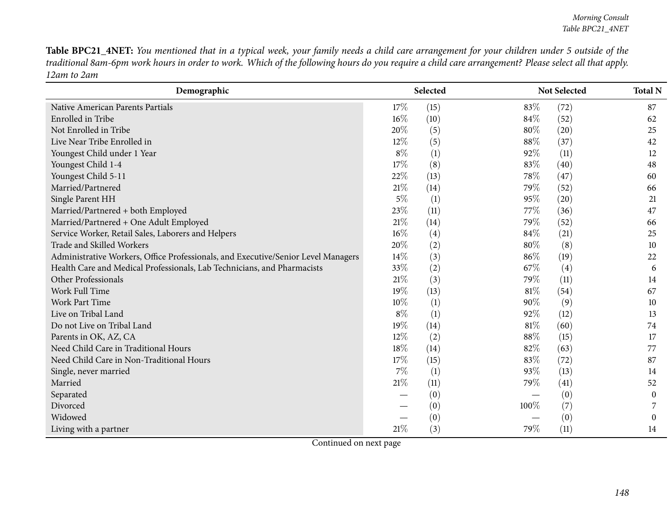Table BPC21\_4NET: You mentioned that in a typical week, your family needs a child care arrangement for your children under 5 outside of the traditional 8am-6pm work hours in order to work. Which of the following hours do you require a child care arrangement? Please select all that apply. *12am to 2am*

| Demographic                                                                       |        | Selected |        | Not Selected | <b>Total N</b>   |
|-----------------------------------------------------------------------------------|--------|----------|--------|--------------|------------------|
| Native American Parents Partials                                                  | 17\%   | (15)     | 83%    | (72)         | 87               |
| Enrolled in Tribe                                                                 | 16%    | (10)     | 84\%   | (52)         | 62               |
| Not Enrolled in Tribe                                                             | 20%    | (5)      | 80%    | (20)         | 25               |
| Live Near Tribe Enrolled in                                                       | 12%    | (5)      | 88%    | (37)         | 42               |
| Youngest Child under 1 Year                                                       | $8\%$  | (1)      | 92%    | (11)         | 12               |
| Youngest Child 1-4                                                                | 17\%   | (8)      | 83%    | (40)         | 48               |
| Youngest Child 5-11                                                               | 22%    | (13)     | 78%    | (47)         | 60               |
| Married/Partnered                                                                 | 21%    | (14)     | 79%    | (52)         | 66               |
| Single Parent HH                                                                  | $5\%$  | (1)      | 95%    | (20)         | 21               |
| Married/Partnered + both Employed                                                 | 23%    | (11)     | 77\%   | (36)         | 47               |
| Married/Partnered + One Adult Employed                                            | 21%    | (14)     | 79%    | (52)         | 66               |
| Service Worker, Retail Sales, Laborers and Helpers                                | $16\%$ | (4)      | 84\%   | (21)         | 25               |
| Trade and Skilled Workers                                                         | 20%    | (2)      | 80%    | (8)          | 10               |
| Administrative Workers, Office Professionals, and Executive/Senior Level Managers | 14%    | (3)      | 86%    | (19)         | 22               |
| Health Care and Medical Professionals, Lab Technicians, and Pharmacists           | 33%    | (2)      | 67%    | (4)          | 6                |
| Other Professionals                                                               | 21%    | (3)      | 79%    | (11)         | 14               |
| Work Full Time                                                                    | 19%    | (13)     | $81\%$ | (54)         | 67               |
| Work Part Time                                                                    | 10%    | (1)      | 90%    | (9)          | 10               |
| Live on Tribal Land                                                               | $8\%$  | (1)      | 92%    | (12)         | 13               |
| Do not Live on Tribal Land                                                        | 19%    | (14)     | 81\%   | (60)         | 74               |
| Parents in OK, AZ, CA                                                             | 12%    | (2)      | 88%    | (15)         | 17               |
| Need Child Care in Traditional Hours                                              | 18%    | (14)     | 82%    | (63)         | 77               |
| Need Child Care in Non-Traditional Hours                                          | 17\%   | (15)     | 83%    | (72)         | 87               |
| Single, never married                                                             | $7\%$  | (1)      | 93%    | (13)         | 14               |
| Married                                                                           | 21%    | (11)     | 79%    | (41)         | 52               |
| Separated                                                                         |        | (0)      |        | (0)          | $\boldsymbol{0}$ |
| Divorced                                                                          |        | (0)      | 100%   | (7)          |                  |
| Widowed                                                                           |        | (0)      |        | (0)          | $\Omega$         |
| Living with a partner                                                             | 21%    | (3)      | 79%    | (11)         | 14               |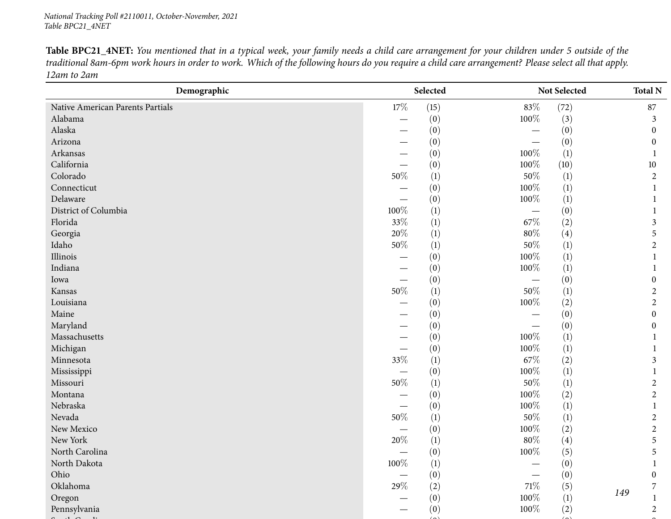Table BPC21\_4NET: You mentioned that in a typical week, your family needs a child care arrangement for your children under 5 outside of the traditional 8am-6pm work hours in order to work. Which of the following hours do you require a child care arrangement? Please select all that apply. *12am to 2am*

| $17\%$<br>83%<br>(72)<br>Native American Parents Partials<br>(15)<br>87<br>100%<br>Alabama<br>(0)<br>(3)<br>3<br>Alaska<br>(0)<br>(0)<br>$\mathbf{0}$<br>Arizona<br>(0)<br>(0)<br>$\mathbf{0}$<br>$100\%$<br>Arkansas<br>(1)<br>(0)<br>California<br>100%<br>(0)<br>(10)<br>10<br>$50\%$<br>$50\%$<br>Colorado<br>$\left(1\right)$<br>$\left(1\right)$<br>$\overline{c}$<br>100%<br>Connecticut<br>(1)<br>(0)<br>100%<br>Delaware<br>(1)<br>(0)<br>100%<br>District of Columbia<br>(1)<br>(0)<br>33%<br>$67\%$<br>Florida<br>(1)<br>(2)<br>3<br>$20\%$<br>$80\%$<br>Georgia<br>(1)<br>(4)<br>5<br>$50\%$<br>$50\%$<br>Idaho<br>(1)<br>(1)<br>$\overline{c}$<br>$100\%$<br>Illinois<br>(1)<br>(0)<br>1<br>$100\%$<br>Indiana<br>(0)<br>(1)<br>(0)<br>(0)<br>Iowa<br>0<br>$50\%$<br>$50\%$<br>(1)<br>(1)<br>Kansas<br>2<br>100%<br>Louisiana<br>(0)<br>(2)<br>$\overline{c}$<br>Maine<br>(0)<br>(0)<br>$\boldsymbol{0}$<br>Maryland<br>(0)<br>(0)<br>0<br>100%<br>Massachusetts<br>(0)<br>(1)<br>Michigan<br>100%<br>(0)<br>(1)<br>33%<br>67\%<br>Minnesota<br>(2)<br>$\left(1\right)$<br>3<br>$100\%$<br>(1)<br>Mississippi<br>(0)<br>—<br>—<br>$50\%$<br>$50\%$<br>Missouri<br>(1)<br>(1)<br>2<br>100%<br>Montana<br>(0)<br>(2)<br>$\overline{c}$<br>100%<br>Nebraska<br>(1)<br>(0)<br>$\overbrace{\phantom{12322111}}$<br>$50\%$<br>$50\%$<br>Nevada<br>(1)<br>(1)<br>2<br>$100\%$<br>New Mexico<br>(2)<br>(0)<br>2<br>New York<br>$20\%$<br>$80\%$<br>(1)<br>(4)<br>5<br>$100\%$<br>North Carolina<br>(5)<br>5<br>(0)<br>$100\%$<br>$\left(1\right)$<br>(0)<br>North Dakota<br>$\mathbf{1}$<br>(0)<br>(0)<br>Ohio<br>$\boldsymbol{0}$<br>29\%<br>$71\%$<br>Oklahoma<br>(2)<br>(5)<br>7<br>149<br>$100\%$<br>Oregon<br>(1)<br>(0) | Demographic  | Selected |      | Not Selected | <b>Total N</b> |  |
|------------------------------------------------------------------------------------------------------------------------------------------------------------------------------------------------------------------------------------------------------------------------------------------------------------------------------------------------------------------------------------------------------------------------------------------------------------------------------------------------------------------------------------------------------------------------------------------------------------------------------------------------------------------------------------------------------------------------------------------------------------------------------------------------------------------------------------------------------------------------------------------------------------------------------------------------------------------------------------------------------------------------------------------------------------------------------------------------------------------------------------------------------------------------------------------------------------------------------------------------------------------------------------------------------------------------------------------------------------------------------------------------------------------------------------------------------------------------------------------------------------------------------------------------------------------------------------------------------------------------------------------------------------------------------------------------------------------------------------|--------------|----------|------|--------------|----------------|--|
|                                                                                                                                                                                                                                                                                                                                                                                                                                                                                                                                                                                                                                                                                                                                                                                                                                                                                                                                                                                                                                                                                                                                                                                                                                                                                                                                                                                                                                                                                                                                                                                                                                                                                                                                    |              |          |      |              |                |  |
|                                                                                                                                                                                                                                                                                                                                                                                                                                                                                                                                                                                                                                                                                                                                                                                                                                                                                                                                                                                                                                                                                                                                                                                                                                                                                                                                                                                                                                                                                                                                                                                                                                                                                                                                    |              |          |      |              |                |  |
|                                                                                                                                                                                                                                                                                                                                                                                                                                                                                                                                                                                                                                                                                                                                                                                                                                                                                                                                                                                                                                                                                                                                                                                                                                                                                                                                                                                                                                                                                                                                                                                                                                                                                                                                    |              |          |      |              |                |  |
|                                                                                                                                                                                                                                                                                                                                                                                                                                                                                                                                                                                                                                                                                                                                                                                                                                                                                                                                                                                                                                                                                                                                                                                                                                                                                                                                                                                                                                                                                                                                                                                                                                                                                                                                    |              |          |      |              |                |  |
|                                                                                                                                                                                                                                                                                                                                                                                                                                                                                                                                                                                                                                                                                                                                                                                                                                                                                                                                                                                                                                                                                                                                                                                                                                                                                                                                                                                                                                                                                                                                                                                                                                                                                                                                    |              |          |      |              |                |  |
|                                                                                                                                                                                                                                                                                                                                                                                                                                                                                                                                                                                                                                                                                                                                                                                                                                                                                                                                                                                                                                                                                                                                                                                                                                                                                                                                                                                                                                                                                                                                                                                                                                                                                                                                    |              |          |      |              |                |  |
|                                                                                                                                                                                                                                                                                                                                                                                                                                                                                                                                                                                                                                                                                                                                                                                                                                                                                                                                                                                                                                                                                                                                                                                                                                                                                                                                                                                                                                                                                                                                                                                                                                                                                                                                    |              |          |      |              |                |  |
|                                                                                                                                                                                                                                                                                                                                                                                                                                                                                                                                                                                                                                                                                                                                                                                                                                                                                                                                                                                                                                                                                                                                                                                                                                                                                                                                                                                                                                                                                                                                                                                                                                                                                                                                    |              |          |      |              |                |  |
|                                                                                                                                                                                                                                                                                                                                                                                                                                                                                                                                                                                                                                                                                                                                                                                                                                                                                                                                                                                                                                                                                                                                                                                                                                                                                                                                                                                                                                                                                                                                                                                                                                                                                                                                    |              |          |      |              |                |  |
|                                                                                                                                                                                                                                                                                                                                                                                                                                                                                                                                                                                                                                                                                                                                                                                                                                                                                                                                                                                                                                                                                                                                                                                                                                                                                                                                                                                                                                                                                                                                                                                                                                                                                                                                    |              |          |      |              |                |  |
|                                                                                                                                                                                                                                                                                                                                                                                                                                                                                                                                                                                                                                                                                                                                                                                                                                                                                                                                                                                                                                                                                                                                                                                                                                                                                                                                                                                                                                                                                                                                                                                                                                                                                                                                    |              |          |      |              |                |  |
|                                                                                                                                                                                                                                                                                                                                                                                                                                                                                                                                                                                                                                                                                                                                                                                                                                                                                                                                                                                                                                                                                                                                                                                                                                                                                                                                                                                                                                                                                                                                                                                                                                                                                                                                    |              |          |      |              |                |  |
|                                                                                                                                                                                                                                                                                                                                                                                                                                                                                                                                                                                                                                                                                                                                                                                                                                                                                                                                                                                                                                                                                                                                                                                                                                                                                                                                                                                                                                                                                                                                                                                                                                                                                                                                    |              |          |      |              |                |  |
|                                                                                                                                                                                                                                                                                                                                                                                                                                                                                                                                                                                                                                                                                                                                                                                                                                                                                                                                                                                                                                                                                                                                                                                                                                                                                                                                                                                                                                                                                                                                                                                                                                                                                                                                    |              |          |      |              |                |  |
|                                                                                                                                                                                                                                                                                                                                                                                                                                                                                                                                                                                                                                                                                                                                                                                                                                                                                                                                                                                                                                                                                                                                                                                                                                                                                                                                                                                                                                                                                                                                                                                                                                                                                                                                    |              |          |      |              |                |  |
|                                                                                                                                                                                                                                                                                                                                                                                                                                                                                                                                                                                                                                                                                                                                                                                                                                                                                                                                                                                                                                                                                                                                                                                                                                                                                                                                                                                                                                                                                                                                                                                                                                                                                                                                    |              |          |      |              |                |  |
|                                                                                                                                                                                                                                                                                                                                                                                                                                                                                                                                                                                                                                                                                                                                                                                                                                                                                                                                                                                                                                                                                                                                                                                                                                                                                                                                                                                                                                                                                                                                                                                                                                                                                                                                    |              |          |      |              |                |  |
|                                                                                                                                                                                                                                                                                                                                                                                                                                                                                                                                                                                                                                                                                                                                                                                                                                                                                                                                                                                                                                                                                                                                                                                                                                                                                                                                                                                                                                                                                                                                                                                                                                                                                                                                    |              |          |      |              |                |  |
|                                                                                                                                                                                                                                                                                                                                                                                                                                                                                                                                                                                                                                                                                                                                                                                                                                                                                                                                                                                                                                                                                                                                                                                                                                                                                                                                                                                                                                                                                                                                                                                                                                                                                                                                    |              |          |      |              |                |  |
|                                                                                                                                                                                                                                                                                                                                                                                                                                                                                                                                                                                                                                                                                                                                                                                                                                                                                                                                                                                                                                                                                                                                                                                                                                                                                                                                                                                                                                                                                                                                                                                                                                                                                                                                    |              |          |      |              |                |  |
|                                                                                                                                                                                                                                                                                                                                                                                                                                                                                                                                                                                                                                                                                                                                                                                                                                                                                                                                                                                                                                                                                                                                                                                                                                                                                                                                                                                                                                                                                                                                                                                                                                                                                                                                    |              |          |      |              |                |  |
|                                                                                                                                                                                                                                                                                                                                                                                                                                                                                                                                                                                                                                                                                                                                                                                                                                                                                                                                                                                                                                                                                                                                                                                                                                                                                                                                                                                                                                                                                                                                                                                                                                                                                                                                    |              |          |      |              |                |  |
|                                                                                                                                                                                                                                                                                                                                                                                                                                                                                                                                                                                                                                                                                                                                                                                                                                                                                                                                                                                                                                                                                                                                                                                                                                                                                                                                                                                                                                                                                                                                                                                                                                                                                                                                    |              |          |      |              |                |  |
|                                                                                                                                                                                                                                                                                                                                                                                                                                                                                                                                                                                                                                                                                                                                                                                                                                                                                                                                                                                                                                                                                                                                                                                                                                                                                                                                                                                                                                                                                                                                                                                                                                                                                                                                    |              |          |      |              |                |  |
|                                                                                                                                                                                                                                                                                                                                                                                                                                                                                                                                                                                                                                                                                                                                                                                                                                                                                                                                                                                                                                                                                                                                                                                                                                                                                                                                                                                                                                                                                                                                                                                                                                                                                                                                    |              |          |      |              |                |  |
|                                                                                                                                                                                                                                                                                                                                                                                                                                                                                                                                                                                                                                                                                                                                                                                                                                                                                                                                                                                                                                                                                                                                                                                                                                                                                                                                                                                                                                                                                                                                                                                                                                                                                                                                    |              |          |      |              |                |  |
|                                                                                                                                                                                                                                                                                                                                                                                                                                                                                                                                                                                                                                                                                                                                                                                                                                                                                                                                                                                                                                                                                                                                                                                                                                                                                                                                                                                                                                                                                                                                                                                                                                                                                                                                    |              |          |      |              |                |  |
|                                                                                                                                                                                                                                                                                                                                                                                                                                                                                                                                                                                                                                                                                                                                                                                                                                                                                                                                                                                                                                                                                                                                                                                                                                                                                                                                                                                                                                                                                                                                                                                                                                                                                                                                    |              |          |      |              |                |  |
|                                                                                                                                                                                                                                                                                                                                                                                                                                                                                                                                                                                                                                                                                                                                                                                                                                                                                                                                                                                                                                                                                                                                                                                                                                                                                                                                                                                                                                                                                                                                                                                                                                                                                                                                    |              |          |      |              |                |  |
|                                                                                                                                                                                                                                                                                                                                                                                                                                                                                                                                                                                                                                                                                                                                                                                                                                                                                                                                                                                                                                                                                                                                                                                                                                                                                                                                                                                                                                                                                                                                                                                                                                                                                                                                    |              |          |      |              |                |  |
|                                                                                                                                                                                                                                                                                                                                                                                                                                                                                                                                                                                                                                                                                                                                                                                                                                                                                                                                                                                                                                                                                                                                                                                                                                                                                                                                                                                                                                                                                                                                                                                                                                                                                                                                    |              |          |      |              |                |  |
|                                                                                                                                                                                                                                                                                                                                                                                                                                                                                                                                                                                                                                                                                                                                                                                                                                                                                                                                                                                                                                                                                                                                                                                                                                                                                                                                                                                                                                                                                                                                                                                                                                                                                                                                    |              |          |      |              |                |  |
|                                                                                                                                                                                                                                                                                                                                                                                                                                                                                                                                                                                                                                                                                                                                                                                                                                                                                                                                                                                                                                                                                                                                                                                                                                                                                                                                                                                                                                                                                                                                                                                                                                                                                                                                    |              |          |      |              |                |  |
|                                                                                                                                                                                                                                                                                                                                                                                                                                                                                                                                                                                                                                                                                                                                                                                                                                                                                                                                                                                                                                                                                                                                                                                                                                                                                                                                                                                                                                                                                                                                                                                                                                                                                                                                    |              |          |      |              |                |  |
|                                                                                                                                                                                                                                                                                                                                                                                                                                                                                                                                                                                                                                                                                                                                                                                                                                                                                                                                                                                                                                                                                                                                                                                                                                                                                                                                                                                                                                                                                                                                                                                                                                                                                                                                    |              |          |      |              |                |  |
|                                                                                                                                                                                                                                                                                                                                                                                                                                                                                                                                                                                                                                                                                                                                                                                                                                                                                                                                                                                                                                                                                                                                                                                                                                                                                                                                                                                                                                                                                                                                                                                                                                                                                                                                    | Pennsylvania | (0)      | 100% | (2)          | $\overline{2}$ |  |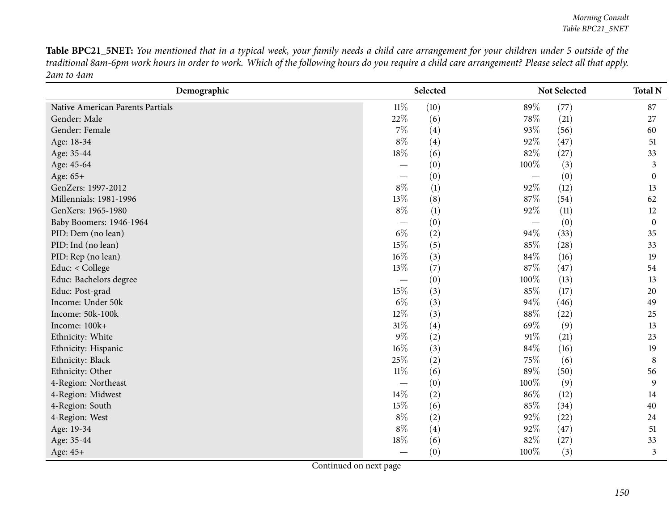Table BPC21\_5NET: You mentioned that in a typical week, your family needs a child care arrangement for your children under 5 outside of the traditional 8am-6pm work hours in order to work. Which of the following hours do you require a child care arrangement? Please select all that apply. *2am to 4am*

| Demographic                      |                          | Selected |                          | Not Selected | <b>Total N</b>   |
|----------------------------------|--------------------------|----------|--------------------------|--------------|------------------|
| Native American Parents Partials | $11\%$                   | (10)     | 89%                      | (77)         | 87               |
| Gender: Male                     | 22%                      | (6)      | 78\%                     | (21)         | 27               |
| Gender: Female                   | 7%                       | (4)      | 93%                      | (56)         | 60               |
| Age: 18-34                       | $8\%$                    | (4)      | 92%                      | (47)         | 51               |
| Age: 35-44                       | 18%                      | (6)      | 82%                      | (27)         | 33               |
| Age: 45-64                       | $\overline{\phantom{0}}$ | (0)      | 100%                     | (3)          | 3                |
| Age: 65+                         | $\overline{\phantom{0}}$ | (0)      |                          | (0)          | $\boldsymbol{0}$ |
| GenZers: 1997-2012               | $8\%$                    | (1)      | 92%                      | (12)         | 13               |
| Millennials: 1981-1996           | 13%                      | (8)      | 87%                      | (54)         | 62               |
| GenXers: 1965-1980               | $8\%$                    | (1)      | 92%                      | (11)         | 12               |
| Baby Boomers: 1946-1964          | $\overline{\phantom{0}}$ | (0)      | $\overline{\phantom{m}}$ | (0)          | $\boldsymbol{0}$ |
| PID: Dem (no lean)               | $6\%$                    | (2)      | 94%                      | (33)         | 35               |
| PID: Ind (no lean)               | 15%                      | (5)      | 85%                      | (28)         | 33               |
| PID: Rep (no lean)               | 16%                      | (3)      | 84%                      | (16)         | 19               |
| Educ: < College                  | 13%                      | (7)      | 87%                      | (47)         | 54               |
| Educ: Bachelors degree           |                          | (0)      | 100%                     | (13)         | 13               |
| Educ: Post-grad                  | 15%                      | (3)      | 85%                      | (17)         | 20               |
| Income: Under 50k                | $6\%$                    | (3)      | 94%                      | (46)         | 49               |
| Income: 50k-100k                 | 12%                      | (3)      | 88%                      | (22)         | 25               |
| Income: 100k+                    | 31%                      | (4)      | 69%                      | (9)          | 13               |
| Ethnicity: White                 | $9\%$                    | (2)      | $91\%$                   | (21)         | 23               |
| Ethnicity: Hispanic              | 16%                      | (3)      | 84%                      | (16)         | 19               |
| Ethnicity: Black                 | 25%                      | (2)      | 75%                      | (6)          | 8                |
| Ethnicity: Other                 | $11\%$                   | (6)      | 89%                      | (50)         | 56               |
| 4-Region: Northeast              |                          | (0)      | 100%                     | (9)          | 9                |
| 4-Region: Midwest                | 14%                      | (2)      | 86%                      | (12)         | 14               |
| 4-Region: South                  | 15%                      | (6)      | 85%                      | (34)         | 40               |
| 4-Region: West                   | $8\%$                    | (2)      | 92%                      | (22)         | 24               |
| Age: 19-34                       | $8\%$                    | (4)      | 92%                      | (47)         | 51               |
| Age: 35-44                       | 18%                      | (6)      | 82%                      | (27)         | 33               |
| Age: 45+                         |                          | (0)      | 100%                     | (3)          | 3                |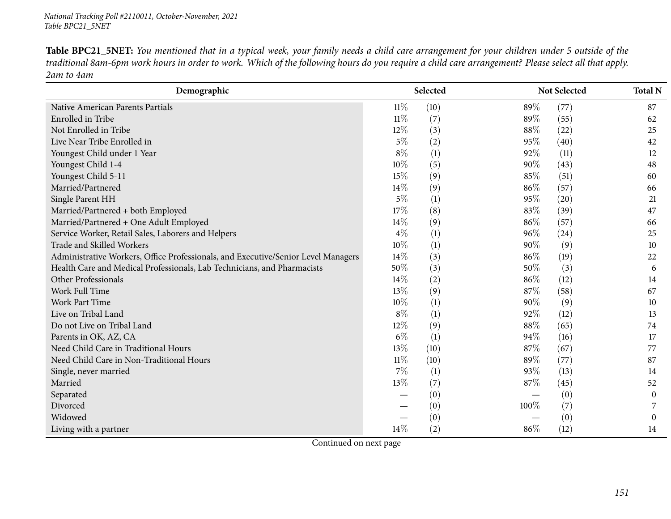Table BPC21\_5NET: You mentioned that in a typical week, your family needs a child care arrangement for your children under 5 outside of the traditional 8am-6pm work hours in order to work. Which of the following hours do you require a child care arrangement? Please select all that apply. *2am to 4am*

| Demographic                                                                       |        | Selected |        | Not Selected | <b>Total N</b>   |
|-----------------------------------------------------------------------------------|--------|----------|--------|--------------|------------------|
| Native American Parents Partials                                                  | $11\%$ | (10)     | 89%    | (77)         | 87               |
| Enrolled in Tribe                                                                 | $11\%$ | (7)      | 89%    | (55)         | 62               |
| Not Enrolled in Tribe                                                             | 12%    | (3)      | 88%    | (22)         | 25               |
| Live Near Tribe Enrolled in                                                       | $5\%$  | (2)      | 95%    | (40)         | 42               |
| Youngest Child under 1 Year                                                       | $8\%$  | (1)      | 92%    | (11)         | 12               |
| Youngest Child 1-4                                                                | 10%    | (5)      | 90%    | (43)         | 48               |
| Youngest Child 5-11                                                               | 15%    | (9)      | 85%    | (51)         | 60               |
| Married/Partnered                                                                 | 14%    | (9)      | 86%    | (57)         | 66               |
| Single Parent HH                                                                  | $5\%$  | (1)      | 95%    | (20)         | 21               |
| Married/Partnered + both Employed                                                 | 17%    | (8)      | 83%    | (39)         | 47               |
| Married/Partnered + One Adult Employed                                            | 14\%   | (9)      | 86\%   | (57)         | 66               |
| Service Worker, Retail Sales, Laborers and Helpers                                | $4\%$  | (1)      | 96%    | (24)         | 25               |
| Trade and Skilled Workers                                                         | 10%    | (1)      | $90\%$ | (9)          | 10               |
| Administrative Workers, Office Professionals, and Executive/Senior Level Managers | 14%    | (3)      | 86%    | (19)         | 22               |
| Health Care and Medical Professionals, Lab Technicians, and Pharmacists           | 50%    | (3)      | 50%    | (3)          | 6                |
| Other Professionals                                                               | 14%    | (2)      | 86%    | (12)         | 14               |
| Work Full Time                                                                    | 13%    | (9)      | 87%    | (58)         | 67               |
| Work Part Time                                                                    | 10%    | (1)      | 90%    | (9)          | 10               |
| Live on Tribal Land                                                               | $8\%$  | (1)      | 92%    | (12)         | 13               |
| Do not Live on Tribal Land                                                        | 12%    | (9)      | 88%    | (65)         | 74               |
| Parents in OK, AZ, CA                                                             | $6\%$  | (1)      | 94%    | (16)         | 17               |
| Need Child Care in Traditional Hours                                              | 13%    | (10)     | 87%    | (67)         | 77               |
| Need Child Care in Non-Traditional Hours                                          | $11\%$ | (10)     | 89%    | (77)         | 87               |
| Single, never married                                                             | $7\%$  | (1)      | 93%    | (13)         | 14               |
| Married                                                                           | 13%    | (7)      | 87%    | (45)         | 52               |
| Separated                                                                         |        | (0)      |        | (0)          | $\boldsymbol{0}$ |
| Divorced                                                                          |        | (0)      | 100%   | (7)          |                  |
| Widowed                                                                           |        | (0)      |        | (0)          | 0                |
| Living with a partner                                                             | 14%    | (2)      | 86%    | (12)         | 14               |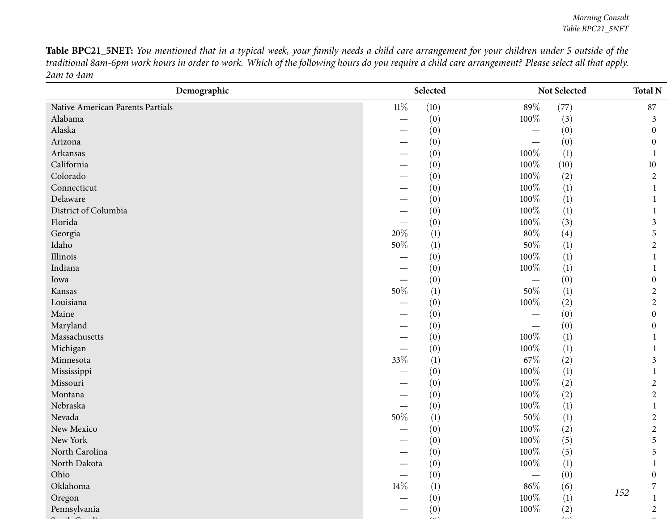Table BPC21\_5NET: You mentioned that in a typical week, your family needs a child care arrangement for your children under 5 outside of the traditional 8am-6pm work hours in order to work. Which of the following hours do you require a child care arrangement? Please select all that apply. *2am to 4am*

| Demographic                      |        | Selected         |         | Not Selected     | <b>Total N</b>   |
|----------------------------------|--------|------------------|---------|------------------|------------------|
| Native American Parents Partials | $11\%$ | (10)             | $89\%$  | (77)             | 87               |
| Alabama                          |        | (0)              | 100%    | (3)              | 3                |
| Alaska                           |        | (0)              |         | (0)              | $\theta$         |
| Arizona                          |        | (0)              |         | (0)              | $\theta$         |
| Arkansas                         |        | (0)              | 100%    | (1)              |                  |
| California                       |        | (0)              | 100%    | (10)             | 10               |
| Colorado                         |        | (0)              | 100%    | (2)              | $\overline{2}$   |
| Connecticut                      |        | (0)              | 100%    | (1)              | 1                |
| Delaware                         |        | (0)              | 100%    | (1)              |                  |
| District of Columbia             |        | (0)              | 100%    | (1)              |                  |
| Florida                          |        | (0)              | 100%    | (3)              | 3                |
| Georgia                          | 20%    | (1)              | $80\%$  | (4)              | 5                |
| Idaho                            | $50\%$ | (1)              | $50\%$  | (1)              | $\overline{c}$   |
| Illinois                         |        | (0)              | 100%    | (1)              |                  |
| Indiana                          |        | (0)              | 100%    | $\left(1\right)$ |                  |
| Iowa                             |        | (0)              |         | (0)              | $\theta$         |
| Kansas                           | $50\%$ | (1)              | 50%     | (1)              | $\overline{c}$   |
| Louisiana                        |        | (0)              | $100\%$ | (2)              | $\overline{2}$   |
| Maine                            |        | (0)              |         | (0)              | $\boldsymbol{0}$ |
| Maryland                         |        | (0)              |         | (0)              | 0                |
| Massachusetts                    |        | (0)              | 100%    | $\left(1\right)$ |                  |
| Michigan                         |        | (0)              | 100%    | $\left(1\right)$ |                  |
| Minnesota                        | 33%    | $\left(1\right)$ | 67\%    | (2)              | 3                |
| Mississippi                      |        | (0)              | 100%    | (1)              |                  |
| Missouri                         |        | (0)              | 100%    | (2)              | 2                |
| Montana                          | --     | (0)              | 100%    | (2)              | $\overline{2}$   |
| Nebraska                         |        | (0)              | 100%    | $\left(1\right)$ |                  |
| Nevada                           | $50\%$ | (1)              | $50\%$  | $\left(1\right)$ | $\overline{2}$   |
| New Mexico                       |        | (0)              | 100%    | (2)              | $\overline{c}$   |
| New York                         |        | (0)              | $100\%$ | (5)              | 5                |
| North Carolina                   |        | (0)              | 100%    | (5)              | 5                |
| North Dakota                     |        | (0)              | $100\%$ | (1)              | $\mathbf{1}$     |
| Ohio                             |        | (0)              |         | (0)              | $\boldsymbol{0}$ |
| Oklahoma                         | $14\%$ | (1)              | $86\%$  | (6)              | 7<br>152         |
| Oregon                           |        | (0)              | 100%    | (1)              |                  |
| Pennsylvania                     |        | (0)              | 100%    | (2)              | $\overline{2}$   |
|                                  |        |                  |         |                  |                  |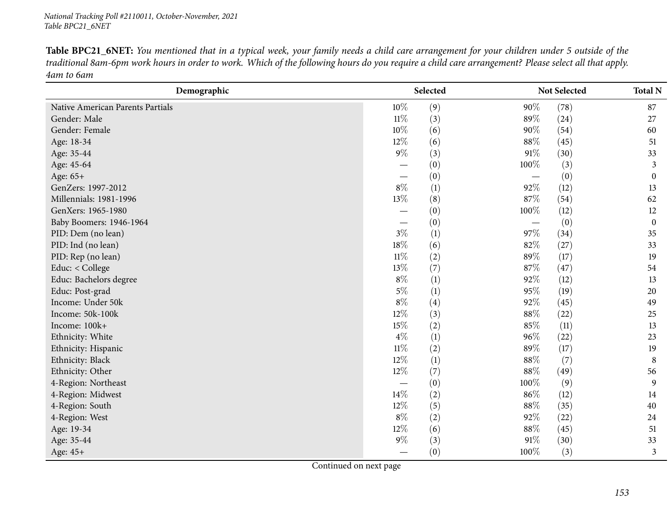Table BPC21\_6NET: You mentioned that in a typical week, your family needs a child care arrangement for your children under 5 outside of the traditional 8am-6pm work hours in order to work. Which of the following hours do you require a child care arrangement? Please select all that apply. *4am to 6am*

| Demographic                      |                          | Selected         |                                   | Not Selected | <b>Total N</b>   |
|----------------------------------|--------------------------|------------------|-----------------------------------|--------------|------------------|
| Native American Parents Partials | 10%                      | (9)              | 90%                               | (78)         | 87               |
| Gender: Male                     | $11\%$                   | (3)              | 89%                               | (24)         | 27               |
| Gender: Female                   | 10%                      | (6)              | 90%                               | (54)         | 60               |
| Age: 18-34                       | 12%                      | (6)              | 88%                               | (45)         | 51               |
| Age: 35-44                       | $9\%$                    | (3)              | $91\%$                            | (30)         | 33               |
| Age: 45-64                       |                          | (0)              | 100%                              | (3)          | 3                |
| Age: 65+                         | $\overline{\phantom{0}}$ | (0)              |                                   | (0)          | $\mathbf{0}$     |
| GenZers: 1997-2012               | $8\%$                    | (1)              | 92%                               | (12)         | 13               |
| Millennials: 1981-1996           | $13\%$                   | (8)              | 87%                               | (54)         | 62               |
| GenXers: 1965-1980               |                          | (0)              | 100%                              | (12)         | 12               |
| Baby Boomers: 1946-1964          |                          | (0)              | $\overbrace{\phantom{123221111}}$ | (0)          | $\boldsymbol{0}$ |
| PID: Dem (no lean)               | $3\%$                    | (1)              | 97%                               | (34)         | 35               |
| PID: Ind (no lean)               | 18%                      | (6)              | 82%                               | (27)         | 33               |
| PID: Rep (no lean)               | $11\%$                   | (2)              | 89%                               | (17)         | 19               |
| Educ: < College                  | 13%                      | (7)              | 87\%                              | (47)         | 54               |
| Educ: Bachelors degree           | $8\%$                    | (1)              | 92%                               | (12)         | 13               |
| Educ: Post-grad                  | $5\%$                    | (1)              | 95%                               | (19)         | 20               |
| Income: Under 50k                | $8\%$                    | (4)              | 92%                               | (45)         | 49               |
| Income: 50k-100k                 | 12%                      | (3)              | 88%                               | (22)         | 25               |
| Income: 100k+                    | 15%                      | (2)              | 85%                               | (11)         | 13               |
| Ethnicity: White                 | $4\%$                    | (1)              | 96%                               | (22)         | 23               |
| Ethnicity: Hispanic              | $11\%$                   | (2)              | 89%                               | (17)         | 19               |
| Ethnicity: Black                 | $12\%$                   | $\left(1\right)$ | 88%                               | (7)          | 8                |
| Ethnicity: Other                 | $12\%$                   | (7)              | 88%                               | (49)         | 56               |
| 4-Region: Northeast              |                          | (0)              | 100%                              | (9)          | 9                |
| 4-Region: Midwest                | 14%                      | (2)              | 86%                               | (12)         | 14               |
| 4-Region: South                  | $12\%$                   | (5)              | 88%                               | (35)         | 40               |
| 4-Region: West                   | $8\%$                    | (2)              | 92%                               | (22)         | 24               |
| Age: 19-34                       | $12\%$                   | (6)              | 88%                               | (45)         | 51               |
| Age: 35-44                       | $9\%$                    | (3)              | 91\%                              | (30)         | 33               |
| Age: 45+                         |                          | (0)              | 100%                              | (3)          | 3                |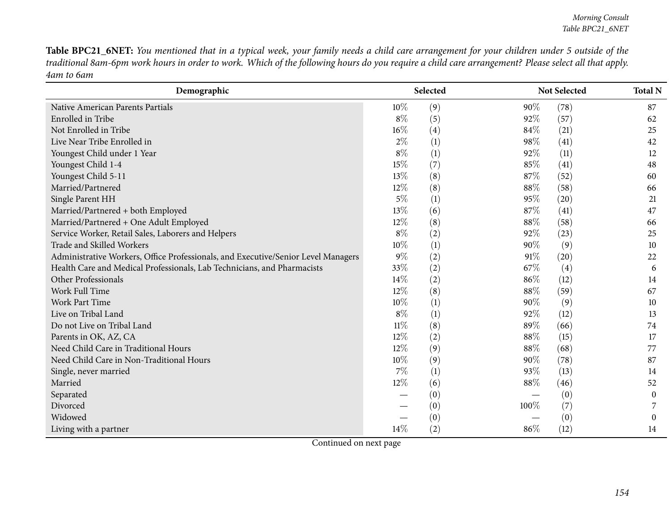Table BPC21\_6NET: You mentioned that in a typical week, your family needs a child care arrangement for your children under 5 outside of the traditional 8am-6pm work hours in order to work. Which of the following hours do you require a child care arrangement? Please select all that apply. *4am to 6am*

| Demographic                                                                       |       | Selected |      | Not Selected | <b>Total N</b>   |
|-----------------------------------------------------------------------------------|-------|----------|------|--------------|------------------|
| Native American Parents Partials                                                  | 10%   | (9)      | 90%  | (78)         | 87               |
| Enrolled in Tribe                                                                 | $8\%$ | (5)      | 92%  | (57)         | 62               |
| Not Enrolled in Tribe                                                             | 16%   | (4)      | 84%  | (21)         | 25               |
| Live Near Tribe Enrolled in                                                       | $2\%$ | (1)      | 98%  | (41)         | 42               |
| Youngest Child under 1 Year                                                       | $8\%$ | (1)      | 92%  | (11)         | 12               |
| Youngest Child 1-4                                                                | 15%   | (7)      | 85%  | (41)         | 48               |
| Youngest Child 5-11                                                               | 13%   | (8)      | 87%  | (52)         | 60               |
| Married/Partnered                                                                 | 12%   | (8)      | 88\% | (58)         | 66               |
| Single Parent HH                                                                  | $5\%$ | (1)      | 95%  | (20)         | 21               |
| Married/Partnered + both Employed                                                 | 13%   | (6)      | 87%  | (41)         | 47               |
| Married/Partnered + One Adult Employed                                            | 12%   | (8)      | 88%  | (58)         | 66               |
| Service Worker, Retail Sales, Laborers and Helpers                                | $8\%$ | (2)      | 92%  | (23)         | 25               |
| Trade and Skilled Workers                                                         | 10%   | (1)      | 90%  | (9)          | 10               |
| Administrative Workers, Office Professionals, and Executive/Senior Level Managers | $9\%$ | (2)      | 91%  | (20)         | 22               |
| Health Care and Medical Professionals, Lab Technicians, and Pharmacists           | 33%   | (2)      | 67%  | (4)          | 6                |
| Other Professionals                                                               | 14\%  | (2)      | 86%  | (12)         | 14               |
| Work Full Time                                                                    | 12%   | (8)      | 88%  | (59)         | 67               |
| Work Part Time                                                                    | 10%   | (1)      | 90%  | (9)          | 10               |
| Live on Tribal Land                                                               | $8\%$ | (1)      | 92%  | (12)         | 13               |
| Do not Live on Tribal Land                                                        | 11%   | (8)      | 89%  | (66)         | 74               |
| Parents in OK, AZ, CA                                                             | 12%   | (2)      | 88%  | (15)         | 17               |
| Need Child Care in Traditional Hours                                              | 12%   | (9)      | 88\% | (68)         | 77               |
| Need Child Care in Non-Traditional Hours                                          | 10%   | (9)      | 90%  | (78)         | 87               |
| Single, never married                                                             | 7%    | (1)      | 93%  | (13)         | 14               |
| Married                                                                           | 12%   | (6)      | 88%  | (46)         | 52               |
| Separated                                                                         |       | (0)      |      | (0)          | $\boldsymbol{0}$ |
| Divorced                                                                          |       | (0)      | 100% | (7)          |                  |
| Widowed                                                                           |       | (0)      |      | (0)          | $\theta$         |
| Living with a partner                                                             | 14%   | (2)      | 86%  | (12)         | 14               |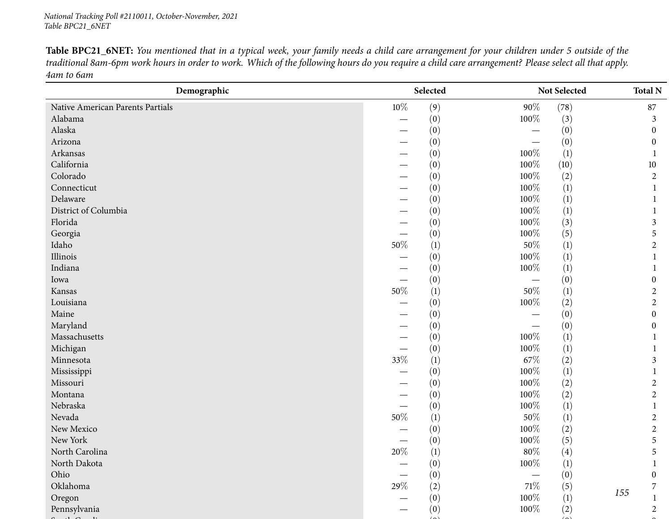Table BPC21\_6NET: You mentioned that in a typical week, your family needs a child care arrangement for your children under 5 outside of the traditional 8am-6pm work hours in order to work. Which of the following hours do you require a child care arrangement? Please select all that apply. *4am to 6am*

| Demographic                      |        | Selected         |         | Not Selected     | <b>Total N</b>   |  |
|----------------------------------|--------|------------------|---------|------------------|------------------|--|
| Native American Parents Partials | $10\%$ | (9)              | $90\%$  | (78)             | 87               |  |
| Alabama                          |        | (0)              | 100%    | (3)              | 3                |  |
| Alaska                           |        | (0)              |         | (0)              | $\theta$         |  |
| Arizona                          |        | (0)              |         | (0)              | $\theta$         |  |
| Arkansas                         |        | (0)              | 100%    | (1)              |                  |  |
| California                       |        | (0)              | 100%    | (10)             | 10               |  |
| Colorado                         |        | (0)              | 100%    | (2)              | $\overline{2}$   |  |
| Connecticut                      |        | (0)              | 100%    | $\left(1\right)$ | 1                |  |
| Delaware                         |        | (0)              | 100%    | $\left(1\right)$ |                  |  |
| District of Columbia             |        | (0)              | 100%    | (1)              |                  |  |
| Florida                          |        | (0)              | 100%    | (3)              | 3                |  |
| Georgia                          |        | (0)              | 100%    | (5)              | 5                |  |
| Idaho                            | $50\%$ | (1)              | $50\%$  | $\left(1\right)$ | $\overline{2}$   |  |
| Illinois                         |        | (0)              | 100%    | $\left(1\right)$ |                  |  |
| Indiana                          |        | (0)              | 100%    | $\left(1\right)$ |                  |  |
| Iowa                             |        | (0)              |         | (0)              | $\theta$         |  |
| Kansas                           | $50\%$ | (1)              | 50%     | $\left(1\right)$ | $\overline{c}$   |  |
| Louisiana                        |        | (0)              | $100\%$ | (2)              | $\overline{2}$   |  |
| Maine                            |        | (0)              |         | (0)              | $\boldsymbol{0}$ |  |
| Maryland                         |        | (0)              |         | (0)              | 0                |  |
| Massachusetts                    |        | (0)              | 100%    | $\left(1\right)$ |                  |  |
| Michigan                         |        | (0)              | 100%    | $\left(1\right)$ |                  |  |
| Minnesota                        | 33%    | $\left(1\right)$ | 67\%    | (2)              | 3                |  |
| Mississippi                      |        | (0)              | 100%    | (1)              |                  |  |
| Missouri                         |        | (0)              | 100%    | (2)              | 2                |  |
| Montana                          | --     | (0)              | 100%    | (2)              | $\overline{2}$   |  |
| Nebraska                         |        | (0)              | 100%    | $\left(1\right)$ |                  |  |
| Nevada                           | $50\%$ | (1)              | $50\%$  | (1)              | $\overline{2}$   |  |
| New Mexico                       |        | (0)              | 100%    | (2)              | $\overline{c}$   |  |
| New York                         |        | (0)              | $100\%$ | (5)              | 5                |  |
| North Carolina                   | 20%    | (1)              | $80\%$  | (4)              | 5                |  |
| North Dakota                     |        | (0)              | $100\%$ | (1)              | $\mathbf{1}$     |  |
| Ohio                             |        | (0)              |         | (0)              | $\boldsymbol{0}$ |  |
| Oklahoma                         | 29\%   | (2)              | $71\%$  | (5)              | 7<br>155         |  |
| Oregon                           |        | (0)              | $100\%$ | (1)              |                  |  |
| Pennsylvania                     |        | (0)              | 100%    | (2)              | $\overline{2}$   |  |
|                                  |        |                  |         |                  |                  |  |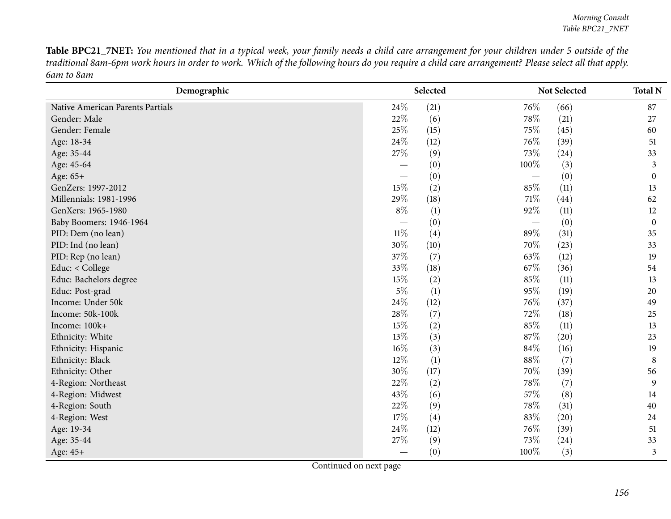Table BPC21\_7NET: You mentioned that in a typical week, your family needs a child care arrangement for your children under 5 outside of the traditional 8am-6pm work hours in order to work. Which of the following hours do you require a child care arrangement? Please select all that apply. *6am to 8am*

| Demographic                      |                          | Selected |      | Not Selected | <b>Total N</b>   |
|----------------------------------|--------------------------|----------|------|--------------|------------------|
| Native American Parents Partials | 24\%                     | (21)     | 76%  | (66)         | 87               |
| Gender: Male                     | 22\%                     | (6)      | 78\% | (21)         | 27               |
| Gender: Female                   | 25\%                     | (15)     | 75\% | (45)         | 60               |
| Age: 18-34                       | 24%                      | (12)     | 76\% | (39)         | 51               |
| Age: 35-44                       | 27%                      | (9)      | 73%  | (24)         | 33               |
| Age: 45-64                       | —                        | (0)      | 100% | (3)          | 3                |
| Age: 65+                         | $\overline{\phantom{0}}$ | (0)      |      | (0)          | $\boldsymbol{0}$ |
| GenZers: 1997-2012               | 15%                      | (2)      | 85%  | (11)         | 13               |
| Millennials: 1981-1996           | 29%                      | (18)     | 71\% | (44)         | 62               |
| GenXers: 1965-1980               | $8\%$                    | (1)      | 92%  | (11)         | 12               |
| Baby Boomers: 1946-1964          |                          | (0)      |      | (0)          | $\boldsymbol{0}$ |
| PID: Dem (no lean)               | $11\%$                   | (4)      | 89%  | (31)         | 35               |
| PID: Ind (no lean)               | 30%                      | (10)     | 70%  | (23)         | 33               |
| PID: Rep (no lean)               | 37%                      | (7)      | 63%  | (12)         | 19               |
| Educ: < College                  | 33%                      | (18)     | 67%  | (36)         | 54               |
| Educ: Bachelors degree           | 15%                      | (2)      | 85%  | (11)         | 13               |
| Educ: Post-grad                  | $5\%$                    | (1)      | 95%  | (19)         | 20               |
| Income: Under 50k                | 24%                      | (12)     | 76\% | (37)         | 49               |
| Income: 50k-100k                 | 28%                      | (7)      | 72%  | (18)         | 25               |
| Income: 100k+                    | 15%                      | (2)      | 85%  | (11)         | 13               |
| Ethnicity: White                 | 13%                      | (3)      | 87%  | (20)         | 23               |
| Ethnicity: Hispanic              | 16%                      | (3)      | 84%  | (16)         | 19               |
| Ethnicity: Black                 | 12%                      | (1)      | 88\% | (7)          | 8                |
| Ethnicity: Other                 | 30%                      | (17)     | 70%  | (39)         | 56               |
| 4-Region: Northeast              | 22%                      | (2)      | 78%  | (7)          | 9                |
| 4-Region: Midwest                | 43%                      | (6)      | 57%  | (8)          | 14               |
| 4-Region: South                  | 22%                      | (9)      | 78%  | (31)         | 40               |
| 4-Region: West                   | 17%                      | (4)      | 83%  | (20)         | 24               |
| Age: 19-34                       | 24%                      | (12)     | 76\% | (39)         | 51               |
| Age: 35-44                       | 27%                      | (9)      | 73%  | (24)         | 33               |
| Age: 45+                         |                          | (0)      | 100% | (3)          | 3                |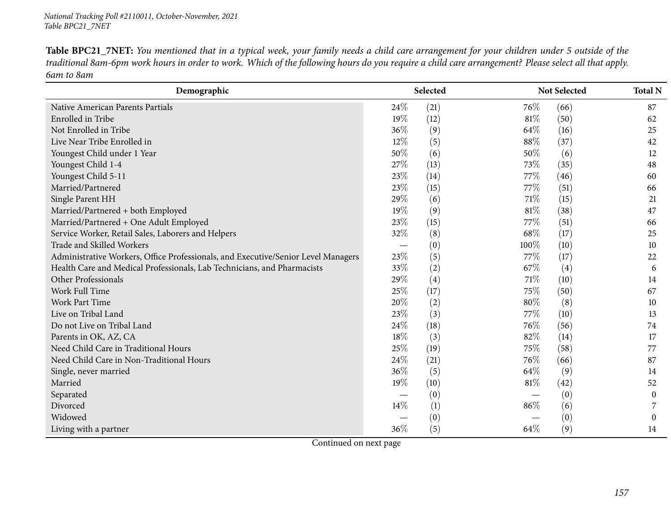Table BPC21\_7NET: You mentioned that in a typical week, your family needs a child care arrangement for your children under 5 outside of the traditional 8am-6pm work hours in order to work. Which of the following hours do you require a child care arrangement? Please select all that apply. *6am to 8am*

| Demographic                                                                       |                          | Selected |        | Not Selected | <b>Total N</b> |
|-----------------------------------------------------------------------------------|--------------------------|----------|--------|--------------|----------------|
| Native American Parents Partials                                                  | 24\%                     | (21)     | 76\%   | (66)         | 87             |
| Enrolled in Tribe                                                                 | 19%                      | (12)     | 81\%   | (50)         | 62             |
| Not Enrolled in Tribe                                                             | 36%                      | (9)      | 64\%   | (16)         | 25             |
| Live Near Tribe Enrolled in                                                       | 12%                      | (5)      | 88%    | (37)         | 42             |
| Youngest Child under 1 Year                                                       | 50%                      | (6)      | 50%    | (6)          | 12             |
| Youngest Child 1-4                                                                | 27%                      | (13)     | 73%    | (35)         | 48             |
| Youngest Child 5-11                                                               | 23%                      | (14)     | 77\%   | (46)         | 60             |
| Married/Partnered                                                                 | 23%                      | (15)     | 77%    | (51)         | 66             |
| Single Parent HH                                                                  | 29%                      | (6)      | 71%    | (15)         | 21             |
| Married/Partnered + both Employed                                                 | 19%                      | (9)      | 81%    | (38)         | 47             |
| Married/Partnered + One Adult Employed                                            | 23%                      | (15)     | 77\%   | (51)         | 66             |
| Service Worker, Retail Sales, Laborers and Helpers                                | 32%                      | (8)      | 68%    | (17)         | 25             |
| Trade and Skilled Workers                                                         | $\overline{\phantom{0}}$ | (0)      | 100%   | (10)         | 10             |
| Administrative Workers, Office Professionals, and Executive/Senior Level Managers | 23%                      | (5)      | 77%    | (17)         | 22             |
| Health Care and Medical Professionals, Lab Technicians, and Pharmacists           | 33%                      | (2)      | 67\%   | (4)          | 6              |
| Other Professionals                                                               | 29%                      | (4)      | 71\%   | (10)         | 14             |
| Work Full Time                                                                    | 25%                      | (17)     | 75%    | (50)         | 67             |
| <b>Work Part Time</b>                                                             | 20%                      | (2)      | 80%    | (8)          | 10             |
| Live on Tribal Land                                                               | 23%                      | (3)      | 77%    | (10)         | 13             |
| Do not Live on Tribal Land                                                        | 24%                      | (18)     | 76\%   | (56)         | 74             |
| Parents in OK, AZ, CA                                                             | 18\%                     | (3)      | 82%    | (14)         | 17             |
| Need Child Care in Traditional Hours                                              | 25%                      | (19)     | 75\%   | (58)         | 77             |
| Need Child Care in Non-Traditional Hours                                          | 24%                      | (21)     | 76%    | (66)         | 87             |
| Single, never married                                                             | 36%                      | (5)      | 64\%   | (9)          | 14             |
| Married                                                                           | 19%                      | (10)     | $81\%$ | (42)         | 52             |
| Separated                                                                         |                          | (0)      |        | (0)          | $\theta$       |
| Divorced                                                                          | 14%                      | (1)      | 86\%   | (6)          |                |
| Widowed                                                                           |                          | (0)      |        | (0)          | $\Omega$       |
| Living with a partner                                                             | 36%                      | (5)      | 64%    | (9)          | 14             |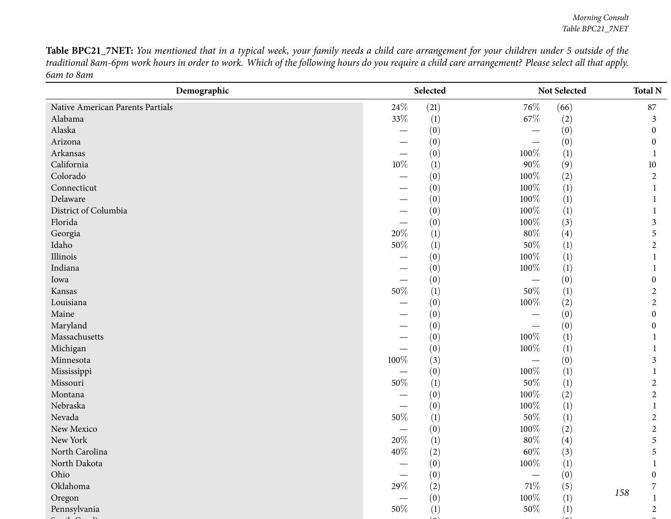Table BPC21\_7NET: You mentioned that in a typical week, your family needs a child care arrangement for your children under 5 outside of the traditional 8am-6pm work hours in order to work. Which of the following hours do you require a child care arrangement? Please select all that apply. *6am to 8am*

| (21)<br>(66)<br>24\%<br>76\%<br>87<br>Native American Parents Partials<br>Alabama<br>33%<br>(1)<br>67\%<br>(2)<br>3<br>Alaska<br>(0)<br>(0)<br>$\theta$<br>Arizona<br>(0)<br>(0)<br>$\theta$<br>Arkansas<br>100%<br>(1)<br>(0)<br>California<br>$10\%$<br>$90\%$<br>(1)<br>(9)<br>10<br>100%<br>Colorado<br>(2)<br>(0)<br>$\overline{2}$<br>100%<br>Connecticut<br>$\left(1\right)$<br>(0)<br>100%<br>Delaware<br>$\left(1\right)$<br>(0)<br>100%<br>District of Columbia<br>(1)<br>(0)<br>100%<br>Florida<br>(3)<br>(0)<br>3<br>20%<br>$80\%$<br>Georgia<br>(1)<br>(4)<br>5<br>$50\%$<br>Idaho<br>$50\%$<br>(1)<br>$\left(1\right)$<br>$\overline{2}$<br>100%<br>Illinois<br>$\left(1\right)$<br>(0)<br>1<br>100%<br>Indiana<br>(0)<br>$\left(1\right)$<br>Iowa<br>(0)<br>(0)<br>$\boldsymbol{0}$<br>$50\%$<br>50%<br>(1)<br>$\left(1\right)$<br>Kansas<br>$\overline{c}$<br>100%<br>Louisiana<br>(0)<br>(2)<br>$\overline{c}$<br>Maine<br>(0)<br>(0)<br>$\theta$<br>Maryland<br>(0)<br>(0)<br>$\theta$<br>100%<br>Massachusetts<br>$\left(1\right)$<br>(0)<br>Michigan<br>100%<br>(0)<br>$\left(1\right)$<br>100%<br>Minnesota<br>(3)<br>(0)<br>3<br>100%<br>$\left(1\right)$<br>Mississippi<br>(0)<br>$50\%$<br>$50\%$<br>Missouri<br>(1)<br>$\left(1\right)$<br>$\overline{c}$<br>100%<br>Montana<br>(0)<br>(2)<br>$\overline{2}$<br>100%<br>Nebraska<br>$\left(1\right)$<br>(0)<br>Nevada<br>$50\%$<br>$50\%$<br>(1)<br>$\left(1\right)$<br>$\overline{2}$<br>New Mexico<br>100%<br>(0)<br>(2)<br>$\overline{2}$<br>$20\%$<br>New York<br>$80\%$<br>(1)<br>(4)<br>5<br>$60\%$<br>North Carolina<br>40%<br>(2)<br>(3)<br>5<br>$100\%$<br>(0)<br>(1)<br>North Dakota<br>$\mathbf{1}$<br>(0)<br>(0)<br>Ohio<br>$\boldsymbol{0}$<br>29\%<br>$71\%$<br>Oklahoma<br>(2)<br>(5)<br>7<br>158 | Demographic | Selected |      | Not Selected | <b>Total N</b> |  |
|-------------------------------------------------------------------------------------------------------------------------------------------------------------------------------------------------------------------------------------------------------------------------------------------------------------------------------------------------------------------------------------------------------------------------------------------------------------------------------------------------------------------------------------------------------------------------------------------------------------------------------------------------------------------------------------------------------------------------------------------------------------------------------------------------------------------------------------------------------------------------------------------------------------------------------------------------------------------------------------------------------------------------------------------------------------------------------------------------------------------------------------------------------------------------------------------------------------------------------------------------------------------------------------------------------------------------------------------------------------------------------------------------------------------------------------------------------------------------------------------------------------------------------------------------------------------------------------------------------------------------------------------------------------------------------------------------------------------------------------------------------------------------------------------|-------------|----------|------|--------------|----------------|--|
|                                                                                                                                                                                                                                                                                                                                                                                                                                                                                                                                                                                                                                                                                                                                                                                                                                                                                                                                                                                                                                                                                                                                                                                                                                                                                                                                                                                                                                                                                                                                                                                                                                                                                                                                                                                           |             |          |      |              |                |  |
|                                                                                                                                                                                                                                                                                                                                                                                                                                                                                                                                                                                                                                                                                                                                                                                                                                                                                                                                                                                                                                                                                                                                                                                                                                                                                                                                                                                                                                                                                                                                                                                                                                                                                                                                                                                           |             |          |      |              |                |  |
|                                                                                                                                                                                                                                                                                                                                                                                                                                                                                                                                                                                                                                                                                                                                                                                                                                                                                                                                                                                                                                                                                                                                                                                                                                                                                                                                                                                                                                                                                                                                                                                                                                                                                                                                                                                           |             |          |      |              |                |  |
|                                                                                                                                                                                                                                                                                                                                                                                                                                                                                                                                                                                                                                                                                                                                                                                                                                                                                                                                                                                                                                                                                                                                                                                                                                                                                                                                                                                                                                                                                                                                                                                                                                                                                                                                                                                           |             |          |      |              |                |  |
|                                                                                                                                                                                                                                                                                                                                                                                                                                                                                                                                                                                                                                                                                                                                                                                                                                                                                                                                                                                                                                                                                                                                                                                                                                                                                                                                                                                                                                                                                                                                                                                                                                                                                                                                                                                           |             |          |      |              |                |  |
|                                                                                                                                                                                                                                                                                                                                                                                                                                                                                                                                                                                                                                                                                                                                                                                                                                                                                                                                                                                                                                                                                                                                                                                                                                                                                                                                                                                                                                                                                                                                                                                                                                                                                                                                                                                           |             |          |      |              |                |  |
|                                                                                                                                                                                                                                                                                                                                                                                                                                                                                                                                                                                                                                                                                                                                                                                                                                                                                                                                                                                                                                                                                                                                                                                                                                                                                                                                                                                                                                                                                                                                                                                                                                                                                                                                                                                           |             |          |      |              |                |  |
|                                                                                                                                                                                                                                                                                                                                                                                                                                                                                                                                                                                                                                                                                                                                                                                                                                                                                                                                                                                                                                                                                                                                                                                                                                                                                                                                                                                                                                                                                                                                                                                                                                                                                                                                                                                           |             |          |      |              |                |  |
|                                                                                                                                                                                                                                                                                                                                                                                                                                                                                                                                                                                                                                                                                                                                                                                                                                                                                                                                                                                                                                                                                                                                                                                                                                                                                                                                                                                                                                                                                                                                                                                                                                                                                                                                                                                           |             |          |      |              |                |  |
|                                                                                                                                                                                                                                                                                                                                                                                                                                                                                                                                                                                                                                                                                                                                                                                                                                                                                                                                                                                                                                                                                                                                                                                                                                                                                                                                                                                                                                                                                                                                                                                                                                                                                                                                                                                           |             |          |      |              |                |  |
|                                                                                                                                                                                                                                                                                                                                                                                                                                                                                                                                                                                                                                                                                                                                                                                                                                                                                                                                                                                                                                                                                                                                                                                                                                                                                                                                                                                                                                                                                                                                                                                                                                                                                                                                                                                           |             |          |      |              |                |  |
|                                                                                                                                                                                                                                                                                                                                                                                                                                                                                                                                                                                                                                                                                                                                                                                                                                                                                                                                                                                                                                                                                                                                                                                                                                                                                                                                                                                                                                                                                                                                                                                                                                                                                                                                                                                           |             |          |      |              |                |  |
|                                                                                                                                                                                                                                                                                                                                                                                                                                                                                                                                                                                                                                                                                                                                                                                                                                                                                                                                                                                                                                                                                                                                                                                                                                                                                                                                                                                                                                                                                                                                                                                                                                                                                                                                                                                           |             |          |      |              |                |  |
|                                                                                                                                                                                                                                                                                                                                                                                                                                                                                                                                                                                                                                                                                                                                                                                                                                                                                                                                                                                                                                                                                                                                                                                                                                                                                                                                                                                                                                                                                                                                                                                                                                                                                                                                                                                           |             |          |      |              |                |  |
|                                                                                                                                                                                                                                                                                                                                                                                                                                                                                                                                                                                                                                                                                                                                                                                                                                                                                                                                                                                                                                                                                                                                                                                                                                                                                                                                                                                                                                                                                                                                                                                                                                                                                                                                                                                           |             |          |      |              |                |  |
|                                                                                                                                                                                                                                                                                                                                                                                                                                                                                                                                                                                                                                                                                                                                                                                                                                                                                                                                                                                                                                                                                                                                                                                                                                                                                                                                                                                                                                                                                                                                                                                                                                                                                                                                                                                           |             |          |      |              |                |  |
|                                                                                                                                                                                                                                                                                                                                                                                                                                                                                                                                                                                                                                                                                                                                                                                                                                                                                                                                                                                                                                                                                                                                                                                                                                                                                                                                                                                                                                                                                                                                                                                                                                                                                                                                                                                           |             |          |      |              |                |  |
|                                                                                                                                                                                                                                                                                                                                                                                                                                                                                                                                                                                                                                                                                                                                                                                                                                                                                                                                                                                                                                                                                                                                                                                                                                                                                                                                                                                                                                                                                                                                                                                                                                                                                                                                                                                           |             |          |      |              |                |  |
|                                                                                                                                                                                                                                                                                                                                                                                                                                                                                                                                                                                                                                                                                                                                                                                                                                                                                                                                                                                                                                                                                                                                                                                                                                                                                                                                                                                                                                                                                                                                                                                                                                                                                                                                                                                           |             |          |      |              |                |  |
|                                                                                                                                                                                                                                                                                                                                                                                                                                                                                                                                                                                                                                                                                                                                                                                                                                                                                                                                                                                                                                                                                                                                                                                                                                                                                                                                                                                                                                                                                                                                                                                                                                                                                                                                                                                           |             |          |      |              |                |  |
|                                                                                                                                                                                                                                                                                                                                                                                                                                                                                                                                                                                                                                                                                                                                                                                                                                                                                                                                                                                                                                                                                                                                                                                                                                                                                                                                                                                                                                                                                                                                                                                                                                                                                                                                                                                           |             |          |      |              |                |  |
|                                                                                                                                                                                                                                                                                                                                                                                                                                                                                                                                                                                                                                                                                                                                                                                                                                                                                                                                                                                                                                                                                                                                                                                                                                                                                                                                                                                                                                                                                                                                                                                                                                                                                                                                                                                           |             |          |      |              |                |  |
|                                                                                                                                                                                                                                                                                                                                                                                                                                                                                                                                                                                                                                                                                                                                                                                                                                                                                                                                                                                                                                                                                                                                                                                                                                                                                                                                                                                                                                                                                                                                                                                                                                                                                                                                                                                           |             |          |      |              |                |  |
|                                                                                                                                                                                                                                                                                                                                                                                                                                                                                                                                                                                                                                                                                                                                                                                                                                                                                                                                                                                                                                                                                                                                                                                                                                                                                                                                                                                                                                                                                                                                                                                                                                                                                                                                                                                           |             |          |      |              |                |  |
|                                                                                                                                                                                                                                                                                                                                                                                                                                                                                                                                                                                                                                                                                                                                                                                                                                                                                                                                                                                                                                                                                                                                                                                                                                                                                                                                                                                                                                                                                                                                                                                                                                                                                                                                                                                           |             |          |      |              |                |  |
|                                                                                                                                                                                                                                                                                                                                                                                                                                                                                                                                                                                                                                                                                                                                                                                                                                                                                                                                                                                                                                                                                                                                                                                                                                                                                                                                                                                                                                                                                                                                                                                                                                                                                                                                                                                           |             |          |      |              |                |  |
|                                                                                                                                                                                                                                                                                                                                                                                                                                                                                                                                                                                                                                                                                                                                                                                                                                                                                                                                                                                                                                                                                                                                                                                                                                                                                                                                                                                                                                                                                                                                                                                                                                                                                                                                                                                           |             |          |      |              |                |  |
|                                                                                                                                                                                                                                                                                                                                                                                                                                                                                                                                                                                                                                                                                                                                                                                                                                                                                                                                                                                                                                                                                                                                                                                                                                                                                                                                                                                                                                                                                                                                                                                                                                                                                                                                                                                           |             |          |      |              |                |  |
|                                                                                                                                                                                                                                                                                                                                                                                                                                                                                                                                                                                                                                                                                                                                                                                                                                                                                                                                                                                                                                                                                                                                                                                                                                                                                                                                                                                                                                                                                                                                                                                                                                                                                                                                                                                           |             |          |      |              |                |  |
|                                                                                                                                                                                                                                                                                                                                                                                                                                                                                                                                                                                                                                                                                                                                                                                                                                                                                                                                                                                                                                                                                                                                                                                                                                                                                                                                                                                                                                                                                                                                                                                                                                                                                                                                                                                           |             |          |      |              |                |  |
|                                                                                                                                                                                                                                                                                                                                                                                                                                                                                                                                                                                                                                                                                                                                                                                                                                                                                                                                                                                                                                                                                                                                                                                                                                                                                                                                                                                                                                                                                                                                                                                                                                                                                                                                                                                           |             |          |      |              |                |  |
|                                                                                                                                                                                                                                                                                                                                                                                                                                                                                                                                                                                                                                                                                                                                                                                                                                                                                                                                                                                                                                                                                                                                                                                                                                                                                                                                                                                                                                                                                                                                                                                                                                                                                                                                                                                           |             |          |      |              |                |  |
|                                                                                                                                                                                                                                                                                                                                                                                                                                                                                                                                                                                                                                                                                                                                                                                                                                                                                                                                                                                                                                                                                                                                                                                                                                                                                                                                                                                                                                                                                                                                                                                                                                                                                                                                                                                           |             |          |      |              |                |  |
|                                                                                                                                                                                                                                                                                                                                                                                                                                                                                                                                                                                                                                                                                                                                                                                                                                                                                                                                                                                                                                                                                                                                                                                                                                                                                                                                                                                                                                                                                                                                                                                                                                                                                                                                                                                           |             |          |      |              |                |  |
|                                                                                                                                                                                                                                                                                                                                                                                                                                                                                                                                                                                                                                                                                                                                                                                                                                                                                                                                                                                                                                                                                                                                                                                                                                                                                                                                                                                                                                                                                                                                                                                                                                                                                                                                                                                           | Oregon      | (0)      | 100% | (1)          |                |  |
| Pennsylvania<br>$50\%$<br>$50\%$<br>(1)<br>(1)<br>$\boldsymbol{2}$                                                                                                                                                                                                                                                                                                                                                                                                                                                                                                                                                                                                                                                                                                                                                                                                                                                                                                                                                                                                                                                                                                                                                                                                                                                                                                                                                                                                                                                                                                                                                                                                                                                                                                                        |             |          |      |              |                |  |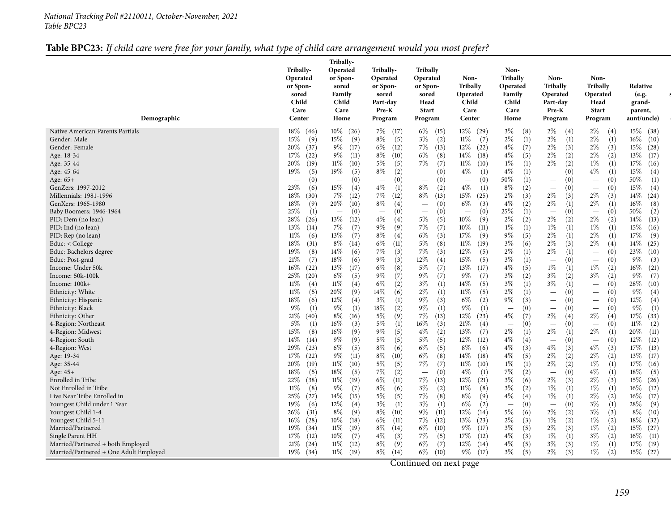#### *National Tracking Poll #2110011, October-November, <sup>2021</sup> Table BPC23*

## Table BPC23: If child care were free for your family, what type of child care arrangement would you most prefer?

| Demographic                                                                                                                                                                                                                                                                                                                                                                                                                                                                                                                                                                                                                                                                                                                                                                                                                           | Tribally-<br>Operated<br>or Spon-<br>sored<br>Child<br>Care<br>Center                                                                                                                                                                                                                                                                                                                                                                                                                                                                                                                                                                                     | Tribally-<br>Operated<br>or Spon-<br>sored<br>Family<br>Child<br>Care<br>Home                                                                                                                                                                                                                                                                                                                                                                                                                                                                                                                                                                                                   | Tribally-<br>Operated<br>or Spon-<br>sored<br>Part-day<br>Pre-K<br>Program                                                                                                                                                                                                                                                                                                                                                                                                                                                                                                                                                                                                   | Tribally<br>Operated<br>or Spon-<br>sored<br>Head<br><b>Start</b><br>Program                                                                                                                                                                                                                                                                                                                                                                                                                                                                                                                                                                                                                              | Non-<br><b>Tribally</b><br>Operated<br>Child<br>Care<br>Center                                                                                                                                                                                                                                                                                                                                                                                                                                                                                                                                                                                                                                  | Non-<br>Tribally<br>Operated<br>Family<br>Child<br>Care<br>Home                                                                                                                                                                                                                                                                                                                                                                                                                                                                                                                                                                                                                                    | Non-<br>Tribally<br>Operated<br>Part-day<br>Pre-K<br>Program                                                                                                                                                                                                                                                                                                                                                                                                                                                                                                                                                                                                                                                                                                                                                                                                                     | Non-<br><b>Tribally</b><br>Operated<br>Head<br><b>Start</b><br>Program                                                                                                                                                                                                                                                                                                                                                                                                                                                                                                                                                                                                                                                                                                                                                            | Relative<br>(e.g.<br>grand-<br>parent,<br>aunt/uncle)                                                                                                                                                                                                                                                                                                                                                                                                                                                                                                                                                                                   |
|---------------------------------------------------------------------------------------------------------------------------------------------------------------------------------------------------------------------------------------------------------------------------------------------------------------------------------------------------------------------------------------------------------------------------------------------------------------------------------------------------------------------------------------------------------------------------------------------------------------------------------------------------------------------------------------------------------------------------------------------------------------------------------------------------------------------------------------|-----------------------------------------------------------------------------------------------------------------------------------------------------------------------------------------------------------------------------------------------------------------------------------------------------------------------------------------------------------------------------------------------------------------------------------------------------------------------------------------------------------------------------------------------------------------------------------------------------------------------------------------------------------|---------------------------------------------------------------------------------------------------------------------------------------------------------------------------------------------------------------------------------------------------------------------------------------------------------------------------------------------------------------------------------------------------------------------------------------------------------------------------------------------------------------------------------------------------------------------------------------------------------------------------------------------------------------------------------|------------------------------------------------------------------------------------------------------------------------------------------------------------------------------------------------------------------------------------------------------------------------------------------------------------------------------------------------------------------------------------------------------------------------------------------------------------------------------------------------------------------------------------------------------------------------------------------------------------------------------------------------------------------------------|-----------------------------------------------------------------------------------------------------------------------------------------------------------------------------------------------------------------------------------------------------------------------------------------------------------------------------------------------------------------------------------------------------------------------------------------------------------------------------------------------------------------------------------------------------------------------------------------------------------------------------------------------------------------------------------------------------------|-------------------------------------------------------------------------------------------------------------------------------------------------------------------------------------------------------------------------------------------------------------------------------------------------------------------------------------------------------------------------------------------------------------------------------------------------------------------------------------------------------------------------------------------------------------------------------------------------------------------------------------------------------------------------------------------------|----------------------------------------------------------------------------------------------------------------------------------------------------------------------------------------------------------------------------------------------------------------------------------------------------------------------------------------------------------------------------------------------------------------------------------------------------------------------------------------------------------------------------------------------------------------------------------------------------------------------------------------------------------------------------------------------------|----------------------------------------------------------------------------------------------------------------------------------------------------------------------------------------------------------------------------------------------------------------------------------------------------------------------------------------------------------------------------------------------------------------------------------------------------------------------------------------------------------------------------------------------------------------------------------------------------------------------------------------------------------------------------------------------------------------------------------------------------------------------------------------------------------------------------------------------------------------------------------|-----------------------------------------------------------------------------------------------------------------------------------------------------------------------------------------------------------------------------------------------------------------------------------------------------------------------------------------------------------------------------------------------------------------------------------------------------------------------------------------------------------------------------------------------------------------------------------------------------------------------------------------------------------------------------------------------------------------------------------------------------------------------------------------------------------------------------------|-----------------------------------------------------------------------------------------------------------------------------------------------------------------------------------------------------------------------------------------------------------------------------------------------------------------------------------------------------------------------------------------------------------------------------------------------------------------------------------------------------------------------------------------------------------------------------------------------------------------------------------------|
| Native American Parents Partials<br>Gender: Male<br>Gender: Female<br>Age: 18-34<br>Age: 35-44<br>Age: 45-64<br>Age: 65+<br>GenZers: 1997-2012<br>Millennials: 1981-1996<br>GenXers: 1965-1980<br>Baby Boomers: 1946-1964<br>PID: Dem (no lean)<br>PID: Ind (no lean)<br>PID: Rep (no lean)<br>Educ: $<$ College<br>Educ: Bachelors degree<br>Educ: Post-grad<br>Income: Under 50k<br>Income: 50k-100k<br>Income: 100k+<br>Ethnicity: White<br>Ethnicity: Hispanic<br>Ethnicity: Black<br>Ethnicity: Other<br>4-Region: Northeast<br>4-Region: Midwest<br>4-Region: South<br>4-Region: West<br>Age: 19-34<br>Age: 35-44<br>Age: 45+<br>Enrolled in Tribe<br>Not Enrolled in Tribe<br>Live Near Tribe Enrolled in<br>Youngest Child under 1 Year<br>Youngest Child 1-4<br>Youngest Child 5-11<br>Married/Partnered<br>Single Parent HH | $18\%$ (46)<br>15%<br>(9)<br>$20\%$<br>(37)<br>17%<br>(22)<br>20%<br>(19)<br>19%<br>(5)<br>(0)<br>$\qquad \qquad -$<br>23%<br>(6)<br>$18\%$<br>(30)<br>$18\%$<br>(9)<br>25%<br>(1)<br>28 $\%$<br>(26)<br>$13\%$<br>(14)<br>$11\%$<br>(6)<br>$18\%$<br>(31)<br>19%<br>(8)<br>21%<br>(7)<br>$16\%$<br>(22)<br>$25\%$<br>(20)<br>$11\%$<br>(4)<br>$11\%$<br>(5)<br>$18\%$<br>(6)<br>$9\%$<br>(1)<br>21%<br>(40)<br>$5\%$<br>(1)<br>15%<br>(8)<br>14%<br>(14)<br>29%<br>(23)<br>17%<br>(22)<br>$20\%$<br>(19)<br>18%<br>(5)<br>22%<br>(38)<br>$11\%$<br>(8)<br>$25\%$<br>(27)<br>$19\%$<br>(6)<br>26%<br>(31)<br>$16\%$<br>(28)<br>19%<br>(34)<br>17%<br>(12) | $10\%$ (26)<br>15%<br>(9)<br>$9\%$<br>(17)<br>$9\%$<br>(11)<br>$11\%$<br>(10)<br>19%<br>(5)<br>(0)<br>$\overline{\phantom{m}}$<br>$15\%$<br>(4)<br>7%<br>(12)<br>20%<br>(10)<br>(0)<br>$\overline{\phantom{m}}$<br>13%<br>(12)<br>7%<br>(7)<br>13%<br>(7)<br>$8\%$<br>(14)<br>14\%<br>(6)<br>18%<br>(6)<br>13%<br>(17)<br>$6\%$<br>(5)<br>$11\%$<br>(4)<br>20%<br>(9)<br>12%<br>(4)<br>$9\%$<br>(1)<br>$8\%$<br>(16)<br>$16\%$<br>(3)<br>$16\%$<br>(9)<br>$9\%$<br>(9)<br>$6\%$<br>(5)<br>$9\%$<br>(11)<br>$11\%$<br>(10)<br>18%<br>(5)<br>$11\%$<br>(19)<br>$9\%$<br>(7)<br>14\%<br>(15)<br>$12\%$<br>(4)<br>$8\%$<br>(9)<br>$10\%$<br>(18)<br>$11\%$<br>(19)<br>$10\%$<br>(7) | 7%<br>(17)<br>$8\%$<br>(5)<br>$6\%$<br>(12)<br>$8\%$<br>(10)<br>$5\%$<br>(5)<br>$8\%$<br>(2)<br>(0)<br>$\overline{\phantom{m}}$<br>$4\%$<br>(1)<br>$7\%$<br>(12)<br>$8\%$<br>(4)<br>(0)<br>$\overline{\phantom{m}}$<br>$4\%$<br>(4)<br>$9\%$<br>(9)<br>$8\%$<br>(4)<br>$6\%$<br>(11)<br>7%<br>(3)<br>$9\%$<br>(3)<br>6%<br>(8)<br>$9\%$<br>(7)<br>$6\%$<br>(2)<br>14%<br>(6)<br>$3\%$<br>(1)<br>18%<br>(2)<br>$5\%$<br>(9)<br>$5\%$<br>(1)<br>$9\%$<br>(5)<br>5%<br>(5)<br>$8\%$<br>(6)<br>$8\%$<br>(10)<br>$5\%$<br>(5)<br>$7\%$<br>(2)<br>$6\%$<br>(11)<br>$8\%$<br>(6)<br>$5\%$<br>(5)<br>$3\%$<br>(1)<br>$8\%$<br>(10)<br>$6\%$<br>(11)<br>$8\%$<br>(14)<br>$4\%$<br>(3) | $6\%$<br>(15)<br>$3\%$<br>(2)<br>$7\%$<br>(13)<br>$6\%$<br>(8)<br>$7\%$<br>(7)<br>(0)<br>$\overline{\phantom{m}}$<br>(0)<br>$\overline{\phantom{m}}$<br>$8\%$<br>(2)<br>$8\%$<br>(13)<br>(0)<br>$\overline{\phantom{0}}$<br>(0)<br>$\equiv$<br>$5\%$<br>(5)<br>$7\%$<br>(7)<br>$6\%$<br>(3)<br>$5\%$<br>(8)<br>$7\%$<br>(3)<br>12%<br>(4)<br>$5\%$<br>(7)<br>$9\%$<br>(7)<br>$3\%$<br>(1)<br>$2\%$<br>(1)<br>$9\%$<br>(3)<br>$9\%$<br>(1)<br>$7\%$<br>(13)<br>16%<br>(3)<br>$4\%$<br>(2)<br>$5\%$<br>(5)<br>$6\%$<br>(5)<br>$6\%$<br>(8)<br>$7\%$<br>(7)<br>(0)<br>$\equiv$<br>$7\%$<br>(13)<br>$3\%$<br>(2)<br>$7\%$<br>(8)<br>$3\%$<br>(1)<br>9%<br>(11)<br>$7\%$<br>(12)<br>$6\%$<br>(10)<br>7%<br>(5) | $12\%$ (29)<br>$11\%$<br>(7)<br>$12\%$ (22)<br>$14\%$<br>(18)<br>$11\%$<br>(10)<br>$4\%$<br>(1)<br>(0)<br>$\overline{\phantom{m}}$<br>$4\%$<br>(1)<br>15%<br>(25)<br>$6\%$<br>(3)<br>(0)<br>$\overline{\phantom{m}}$<br>$10\%$<br>(9)<br>$10\%$<br>(11)<br>17%<br>(9)<br>$11\%$<br>(19)<br>$12\%$<br>(5)<br>15%<br>(5)<br>13%<br>(17)<br>$9\%$<br>(7)<br>$14\%$<br>(5)<br>$11\%$<br>(5)<br>$6\%$<br>(2)<br>$9\%$<br>(1)<br>$12\%$<br>(23)<br>21%<br>(4)<br>13%<br>(7)<br>$12\%$<br>(12)<br>$8\%$<br>(6)<br>$14\%$<br>(18)<br>$11\%$ (10)<br>$4\%$<br>(1)<br>$12\%$<br>(21)<br>$11\%$<br>(8)<br>$8\%$<br>(9)<br>$6\%$<br>(2)<br>$12\%$<br>(14)<br>$13\%$<br>(23)<br>$9\%$<br>(17)<br>17%<br>(12) | $3\%$<br>(8)<br>$2\%$<br>(1)<br>$4\%$<br>(7)<br>$4\%$<br>(5)<br>$1\%$<br>(1)<br>$4\%$<br>(1)<br>$50\%$<br>(1)<br>$8\%$<br>(2)<br>$2\%$<br>(3)<br>$4\%$<br>(2)<br>25\%<br>(1)<br>$2\%$<br>(2)<br>$1\%$<br>(1)<br>$9\%$<br>(5)<br>$3\%$<br>(6)<br>$2\%$<br>(1)<br>$3\%$<br>(1)<br>$4\%$<br>(5)<br>$3\%$<br>(2)<br>$3\%$<br>(1)<br>$2\%$<br>(1)<br>$9\%$<br>(3)<br>(0)<br>$\overline{\phantom{m}}$<br>$4\%$<br>(7)<br>(0)<br>$\overline{\phantom{m}}$<br>$2\%$<br>(1)<br>$4\%$<br>(4)<br>$4\%$<br>(3)<br>$4\%$<br>(5)<br>$1\%$<br>(1)<br>7%<br>(2)<br>$3\%$<br>(6)<br>$3\%$<br>(2)<br>$4\%$<br>(4)<br>(0)<br>$\overline{\phantom{m}}$<br>$5\%$<br>(6)<br>$2\%$<br>(3)<br>$3\%$<br>(5)<br>$4\%$<br>(3) | $2\%$<br>(4)<br>$2\%$<br>(1)<br>$2\%$<br>(3)<br>$2\%$<br>(2)<br>$2\%$<br>(2)<br>(0)<br>$\overline{\phantom{0}}$<br>(0)<br>$\overline{\phantom{0}}$<br>(0)<br>$\overline{\phantom{m}}$<br>$2\%$<br>(3)<br>$2\%$<br>(1)<br>(0)<br>$\overline{\phantom{m}}$<br>$2\%$<br>(2)<br>$1\%$<br>(1)<br>$2\%$<br>(1)<br>$2\%$<br>(3)<br>$2\%$<br>(1)<br>(0)<br>$\overline{\phantom{m}}$<br>$1\%$<br>(1)<br>$3\%$<br>(2)<br>$3\%$<br>(1)<br>(0)<br>$\overline{\phantom{m}}$<br>(0)<br>$\overline{\phantom{m}}$<br>(0)<br>$\overline{\phantom{m}}$<br>$2\%$<br>(4)<br>(0)<br>$\overline{\phantom{m}}$<br>$2\%$<br>(1)<br>(0)<br>$\overline{\phantom{0}}$<br>$4\%$<br>(3)<br>$2\%$<br>(2)<br>$2\%$<br>(2)<br>(0)<br>$\overline{\phantom{0}}$<br>$2\%$<br>(3)<br>$1\%$<br>(1)<br>$1\%$<br>(1)<br>(0)<br>$\overline{\phantom{m}}$<br>$2\%$<br>(2)<br>$1\%$<br>(2)<br>$2\%$<br>(3)<br>$1\%$<br>(1) | $2\%$<br>(4)<br>$2\%$<br>(1)<br>$2\%$<br>(3)<br>$2\%$<br>(2)<br>$1\%$<br>(1)<br>$4\%$<br>(1)<br>(0)<br>$\overline{\phantom{m}}$<br>(0)<br>$\overline{\phantom{0}}$<br>$2\%$<br>(3)<br>$2\%$<br>(1)<br>(0)<br>$\overline{\phantom{m}}$<br>$2\%$<br>(2)<br>$1\%$<br>(1)<br>$2\%$<br>(1)<br>$2\%$<br>(4)<br>(0)<br>$\overline{\phantom{m}}$<br>(0)<br>$\overline{\phantom{m}}$<br>$1\%$<br>(2)<br>$3\%$<br>(2)<br>(0)<br>$\overline{\phantom{m}}$<br>(0)<br>(0)<br>$\overline{\phantom{m}}$<br>(0)<br>$\overline{\phantom{m}}$<br>$2\%$<br>(4)<br>(0)<br>$\overline{\phantom{m}}$<br>$2\%$<br>(1)<br>(0)<br>$\overline{\phantom{0}}$<br>$4\%$<br>(3)<br>$2\%$<br>(2)<br>$1\%$<br>(1)<br>$4\%$<br>(1)<br>$2\%$<br>(3)<br>$1\%$<br>(1)<br>$2\%$<br>(2)<br>$3\%$<br>(1)<br>$3\%$<br>(3)<br>$1\%$<br>(2)<br>$1\%$<br>(2)<br>$3\%$<br>(2) | $15\%$ (38)<br>$16\%$<br>(10)<br>15%<br>(28)<br>13%<br>(17)<br>17%<br>(16)<br>15%<br>(4)<br>50%<br>(1)<br>$15\%$<br>(4)<br>$14\%$<br>(24)<br>16%<br>(8)<br>50%<br>(2)<br>14%<br>(13)<br>15%<br>(16)<br>17%<br>(9)<br>14%<br>(25)<br>23%<br>(10)<br>$9\%$<br>(3)<br>16%<br>(21)<br>$9\%$<br>(7)<br>28\%<br>(10)<br>$9\%$<br>(4)<br>12%<br>(4)<br>$9\%$<br>(1)<br>$17\%$<br>(33)<br>$11\%$<br>(2)<br>20%<br>(11)<br>$12\%$<br>(12)<br>$17\%$<br>(13)<br>13%<br>(17)<br>$17\%$<br>(16)<br>18%<br>(5)<br>15%<br>(26)<br>$16\%$<br>(12)<br>$16\%$<br>(17)<br>28\%<br>(9)<br>$8\%$<br>(10)<br>$18\%$<br>(32)<br>15%<br>(27)<br>$16\%$<br>(11) |
| Married/Partnered + both Employed<br>Married/Partnered + One Adult Employed                                                                                                                                                                                                                                                                                                                                                                                                                                                                                                                                                                                                                                                                                                                                                           | 21%<br>(24)<br>19%<br>(34)                                                                                                                                                                                                                                                                                                                                                                                                                                                                                                                                                                                                                                | $11\%$<br>(12)<br>$11\%$<br>(19)                                                                                                                                                                                                                                                                                                                                                                                                                                                                                                                                                                                                                                                | $8\%$<br>(9)<br>$8\%$<br>(14)                                                                                                                                                                                                                                                                                                                                                                                                                                                                                                                                                                                                                                                | $6\%$<br>(7)<br>$6\%$<br>(10)                                                                                                                                                                                                                                                                                                                                                                                                                                                                                                                                                                                                                                                                             | $12\%$<br>(14)<br>$9\%$<br>(17)                                                                                                                                                                                                                                                                                                                                                                                                                                                                                                                                                                                                                                                                 | $4\%$<br>(5)<br>$3\%$<br>(5)                                                                                                                                                                                                                                                                                                                                                                                                                                                                                                                                                                                                                                                                       | $3\%$<br>(3)<br>$2\%$<br>(3)                                                                                                                                                                                                                                                                                                                                                                                                                                                                                                                                                                                                                                                                                                                                                                                                                                                     | $1\%$<br>(1)<br>$1\%$<br>(2)                                                                                                                                                                                                                                                                                                                                                                                                                                                                                                                                                                                                                                                                                                                                                                                                      | $17\%$<br>(19)<br>15%<br>(27)                                                                                                                                                                                                                                                                                                                                                                                                                                                                                                                                                                                                           |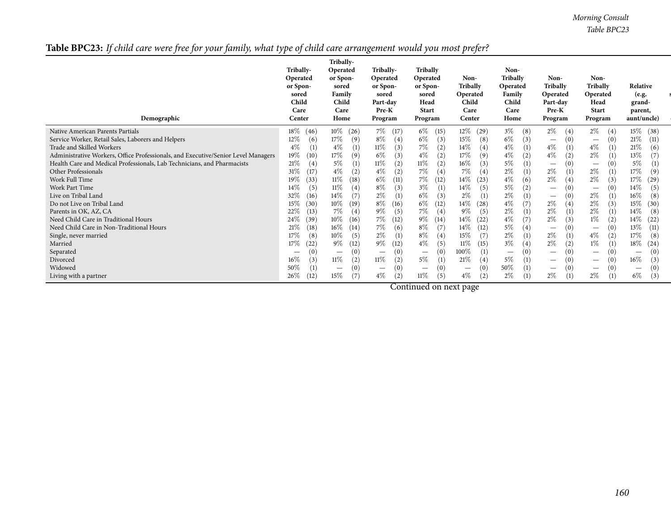*Morning Consult Table BPC23*

Table BPC23: If child care were free for your family, what type of child care arrangement would you most prefer?

| Demographic                                                                       | Tribally-<br>Operated<br>or Spon-<br>sored<br>Child<br>Care<br>Center | Tribally-<br>Operated<br>or Spon-<br>sored<br>Family<br>Child<br>Care<br>Home | Tribally-<br>Operated<br>or Spon-<br>sored<br>Part-day<br>Pre-K<br>Program | Tribally<br>Operated<br>or Spon-<br>sored<br>Head<br><b>Start</b><br>Program | Non-<br><b>Tribally</b><br>Operated<br>Child<br>Care<br>Center | Non-<br>Tribally<br>Operated<br>Family<br>Child<br>Care<br>Home | Non-<br>Tribally<br>Operated<br>Part-day<br>Pre-K<br>Program | Non-<br>Tribally<br>Operated<br>Head<br><b>Start</b><br>Program | Relative<br>(e.g.<br>grand-<br>parent,<br>aunt/uncle) |
|-----------------------------------------------------------------------------------|-----------------------------------------------------------------------|-------------------------------------------------------------------------------|----------------------------------------------------------------------------|------------------------------------------------------------------------------|----------------------------------------------------------------|-----------------------------------------------------------------|--------------------------------------------------------------|-----------------------------------------------------------------|-------------------------------------------------------|
| Native American Parents Partials                                                  | $18\%$                                                                | $10\%$                                                                        | 7%                                                                         | 6%                                                                           | 12\%                                                           | $3\%$                                                           | $2\%$                                                        | $2\%$                                                           | $15\%$                                                |
|                                                                                   | (46)                                                                  | (26)                                                                          | (17)                                                                       | (15)                                                                         | (29)                                                           | (8)                                                             | (4)                                                          | (4)                                                             | (38)                                                  |
| Service Worker, Retail Sales, Laborers and Helpers                                | 12%                                                                   | 17%                                                                           | $8\%$                                                                      | $6\%$                                                                        | 15%                                                            | 6\%                                                             | $\left( 0\right)$                                            | (0)                                                             | 21%                                                   |
|                                                                                   | (6)                                                                   | (9)                                                                           | (4)                                                                        | (3)                                                                          | (8)                                                            | (3)                                                             | $\qquad \qquad -$                                            | $\hspace{0.1mm}-\hspace{0.1mm}$                                 | (11)                                                  |
| Trade and Skilled Workers                                                         | $4\%$                                                                 | $4\%$                                                                         | $11\%$                                                                     | 7%                                                                           | 14%                                                            | $4\%$                                                           | $4\%$                                                        | $4\%$                                                           | $21\%$                                                |
|                                                                                   | (1)                                                                   | (1)                                                                           | (3)                                                                        | (2)                                                                          | (4)                                                            | (1)                                                             | (1)                                                          | (1)                                                             | (6)                                                   |
| Administrative Workers, Office Professionals, and Executive/Senior Level Managers | 19%                                                                   | 17%                                                                           | $6\%$                                                                      | $4\%$                                                                        | $17\%$                                                         | $4\%$                                                           | $4\%$                                                        | $2\%$                                                           | 13%                                                   |
|                                                                                   | (10)                                                                  | (9)                                                                           | (3)                                                                        | (2)                                                                          | (9)                                                            | (2)                                                             | (2)                                                          | (1)                                                             | (7)                                                   |
| Health Care and Medical Professionals, Lab Technicians, and Pharmacists           | 21%                                                                   | 5%                                                                            | $11\%$                                                                     | $11\%$                                                                       | 16%                                                            | 5%                                                              | $\left( 0\right)$                                            | (0)                                                             | 5%                                                    |
|                                                                                   | (4)                                                                   | (1)                                                                           | (2)                                                                        | (2)                                                                          | (3)                                                            | (1)                                                             | $\qquad \qquad -$                                            |                                                                 | (1)                                                   |
| Other Professionals                                                               | 31\%                                                                  | $4\%$                                                                         | $4\%$                                                                      | 7%                                                                           | $7\%$                                                          | $2\%$                                                           | $2\%$                                                        | $2\%$                                                           | 17%                                                   |
|                                                                                   | (17)                                                                  | (2)                                                                           | (2)                                                                        | (4)                                                                          | (4)                                                            | (1)                                                             | (1)                                                          | (1)                                                             | (9)                                                   |
| Work Full Time                                                                    | 19%                                                                   | $11\%$                                                                        | $6\%$                                                                      | 7%                                                                           | 14\%                                                           | $4\%$                                                           | $2\%$                                                        | $2\%$                                                           | 17%                                                   |
|                                                                                   | (33)                                                                  | (18)                                                                          | (11)                                                                       | (12)                                                                         | (23)                                                           | (6)                                                             | $\left(4\right)$                                             | (3)                                                             | (29)                                                  |
| Work Part Time                                                                    | (5)<br>14%                                                            | $11\%$<br>(4)                                                                 | 8%<br>(3)                                                                  | $3\%$<br>(1)                                                                 | (5)<br>14%                                                     | 5%<br>(2)                                                       | $\overline{\phantom{0}}$                                     | (0)                                                             | 14%<br>(5)                                            |
| Live on Tribal Land                                                               | 32%                                                                   | 14\%                                                                          | $2\%$                                                                      | $6\%$                                                                        | $2\%$                                                          | $2\%$                                                           | $\left( 0\right)$                                            | $2\%$                                                           | $16\%$                                                |
|                                                                                   | (16)                                                                  | (7)                                                                           | (1)                                                                        | (3)                                                                          | (1)                                                            | (1)                                                             | $\qquad \qquad -$                                            | (1)                                                             | (8)                                                   |
| Do not Live on Tribal Land                                                        | 15%                                                                   | $10\%$                                                                        | $8\%$                                                                      | $6\%$                                                                        | 14\%                                                           | $4\%$                                                           | $2\%$                                                        | $2\%$                                                           | $15\%$                                                |
|                                                                                   | (30)                                                                  | (19)                                                                          | (16)                                                                       | (12)                                                                         | (28)                                                           | (7)                                                             | $^{(4)}$                                                     | (3)                                                             | (30)                                                  |
| Parents in OK, AZ, CA                                                             | 22%                                                                   | 7%                                                                            | $9\%$                                                                      | 7%                                                                           | $9\%$                                                          | $2\%$                                                           | $2\%$                                                        | $2\%$                                                           | 14\%                                                  |
|                                                                                   | (13)                                                                  | (4)                                                                           | (5)                                                                        | (4)                                                                          | (5)                                                            | (1)                                                             | (1)                                                          | (1)                                                             | (8)                                                   |
| Need Child Care in Traditional Hours                                              | 24\%                                                                  | $10\%$                                                                        | $7\%$                                                                      | $9\%$                                                                        | 14%                                                            | $4\%$                                                           | $2\%$                                                        | $1\%$                                                           | 14\%                                                  |
|                                                                                   | (39)                                                                  | (16)                                                                          | (12)                                                                       | (14)                                                                         | (22)                                                           | (7)                                                             | $\mathfrak{z})$                                              | (2)                                                             | (22)                                                  |
| Need Child Care in Non-Traditional Hours                                          | 21%                                                                   | $16\%$                                                                        | 7%                                                                         | $8\%$                                                                        | 14%                                                            | 5%                                                              | $\left( 0\right)$                                            | (0)                                                             | 13%                                                   |
|                                                                                   | (18)                                                                  | (14)                                                                          | (6)                                                                        | (7)                                                                          | (12)                                                           | (4)                                                             | $\qquad \qquad -$                                            |                                                                 | (11)                                                  |
| Single, never married                                                             | 17%                                                                   | $10\%$                                                                        | $2\%$                                                                      | $8\%$                                                                        | (7)                                                            | $2\%$                                                           | $2\%$                                                        | $4\%$                                                           | 17%                                                   |
|                                                                                   | (8)                                                                   | (5)                                                                           | $\left(1\right)$                                                           | (4)                                                                          | 15\%                                                           | (1)                                                             | (1)                                                          | (2)                                                             | (8)                                                   |
| Married                                                                           | 17%                                                                   | $9\%$                                                                         | $9\%$                                                                      | $4\%$                                                                        | $11\%$                                                         | $3\%$                                                           | $2\%$                                                        | $1\%$                                                           | $18\%$                                                |
|                                                                                   | (22)                                                                  | (12)                                                                          | (12)                                                                       | (5)                                                                          | (15)                                                           | (4)                                                             | $\mathbf{2}$                                                 | (1)                                                             | (24)                                                  |
| Separated                                                                         | $\hspace{0.1mm}-\hspace{0.1mm}$                                       | (0)<br>$\hspace{0.1mm}-\hspace{0.1mm}$                                        | (0)<br>$\hspace{0.1mm}-\hspace{0.1mm}$                                     | (0)<br>$\hspace{0.1mm}-\hspace{0.1mm}$                                       | 100%<br>(1)                                                    | (0)<br>$\hspace{0.1mm}-\hspace{0.1mm}$                          | $\left( 0 \right)$<br>$\qquad \qquad -$                      | (0)<br>$\hspace{0.1mm}-\hspace{0.1mm}$                          | (0)<br>$\hspace{0.1mm}-\hspace{0.1mm}$                |
| Divorced                                                                          | 16%                                                                   | $11\%$                                                                        | $11\%$                                                                     | $5\%$                                                                        | 21%                                                            | $5\%$                                                           | $\left( 0\right)$                                            | (0)                                                             | 16%                                                   |
|                                                                                   | (3)                                                                   | (2)                                                                           | (2)                                                                        | (1)                                                                          | (4)                                                            | (1)                                                             | $\overline{\phantom{m}}$                                     | $\hspace{0.1mm}-\hspace{0.1mm}$                                 | (3)                                                   |
| Widowed                                                                           | 50%                                                                   | (0)                                                                           | (0)                                                                        | (0)                                                                          | (0)                                                            | 50%                                                             | $\left( 0\right)$                                            | (0)                                                             | (0)                                                   |
|                                                                                   | $\left(1\right)$                                                      | $\hspace{0.1mm}-\hspace{0.1mm}$                                               |                                                                            | $\hspace{0.1mm}-\hspace{0.1mm}$                                              | $\hspace{0.1mm}-\hspace{0.1mm}$                                | (1)                                                             | $\hspace{0.1mm}-\hspace{0.1mm}$                              | $\hspace{0.1mm}-\hspace{0.1mm}$                                 | $\hspace{0.1mm}-\hspace{0.1mm}$                       |
| Living with a partner                                                             | 26%<br>(12)                                                           | 15%<br>(7)                                                                    | $4\%$<br>(2)                                                               | 11%<br>(5)                                                                   | $4\%$<br>(2)                                                   | 2%                                                              | $2\%$<br>(1)                                                 | 2%<br>(1)                                                       | $6\%$<br>(3)                                          |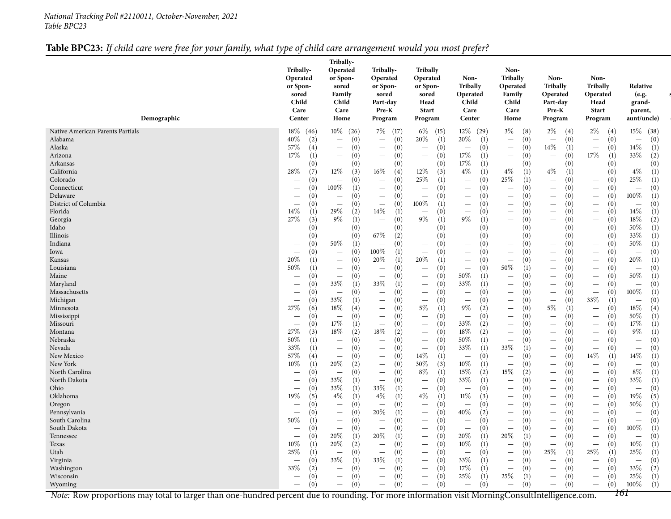#### *National Tracking Poll #2110011, October-November, <sup>2021</sup> Table BPC23*

### Table BPC23: If child care were free for your family, what type of child care arrangement would you most prefer?

| Demographic                                                                                                                                    | Tribally-<br>Operated<br>or Spon-<br>sored<br>Child<br>Care<br>Center | Tribally-<br>Operated<br>or Spon-<br>sored<br>Family<br>Child<br>Care<br>Home | Tribally-<br>Operated<br>or Spon-<br>sored<br>Part-day<br>Pre-K<br>Program | Tribally<br>Operated<br>or Spon-<br>sored<br>Head<br><b>Start</b><br>Program | Non-<br><b>Tribally</b><br>Operated<br>Child<br>Care<br>Center | Non-<br>Tribally<br>Operated<br>Family<br>Child<br>Care<br>Home    | Non-<br><b>Tribally</b><br>Operated<br>Part-day<br>Pre-K<br>Program | Non-<br><b>Tribally</b><br>Operated<br>Head<br><b>Start</b><br>Program | Relative<br>(e.g.<br>grand-<br>parent,<br>aunt/uncle) |
|------------------------------------------------------------------------------------------------------------------------------------------------|-----------------------------------------------------------------------|-------------------------------------------------------------------------------|----------------------------------------------------------------------------|------------------------------------------------------------------------------|----------------------------------------------------------------|--------------------------------------------------------------------|---------------------------------------------------------------------|------------------------------------------------------------------------|-------------------------------------------------------|
|                                                                                                                                                |                                                                       |                                                                               |                                                                            |                                                                              |                                                                |                                                                    |                                                                     |                                                                        |                                                       |
| Native American Parents Partials                                                                                                               | $18\%$ (46)                                                           | $10\%$ (26)                                                                   | 7\% (17)                                                                   | $6\%$<br>(15)                                                                | $12\%$ (29)                                                    | $3\%$<br>(8)                                                       | $2\%$<br>(4)                                                        | $2\%$<br>(4)                                                           | $15\%$ (38)                                           |
| Alabama                                                                                                                                        | 40\%                                                                  | (0)                                                                           | (0)                                                                        | 20%                                                                          | 20%                                                            | (0)                                                                | (0)                                                                 | (0)                                                                    | (0)                                                   |
|                                                                                                                                                | (2)                                                                   | $\qquad \qquad -$                                                             | $\overline{\phantom{m}}$                                                   | (1)                                                                          | (1)                                                            | $\overline{\phantom{m}}$                                           | $\overline{\phantom{m}}$                                            | $\overline{\phantom{m}}$                                               | $\overline{\phantom{m}}$                              |
| Alaska                                                                                                                                         | 57%                                                                   | (0)                                                                           | (0)                                                                        | (0)                                                                          | (0)                                                            | (0)                                                                | 14\%                                                                | (0)                                                                    | 14%                                                   |
|                                                                                                                                                | (4)                                                                   | $\overline{\phantom{m}}$                                                      | $\overline{\phantom{m}}$                                                   | $\overline{\phantom{m}}$                                                     | $\overline{\phantom{m}}$                                       | $\overline{\phantom{m}}$                                           | (1)                                                                 | $\overline{\phantom{m}}$                                               | (1)                                                   |
| Arizona                                                                                                                                        | 17%                                                                   | (0)                                                                           | (0)                                                                        | (0)                                                                          | $17\%$                                                         | (0)                                                                | (0)                                                                 | $17\%$                                                                 | 33%                                                   |
|                                                                                                                                                | (1)                                                                   | $\qquad \qquad -$                                                             | $\hspace{0.1mm}-\hspace{0.1mm}$                                            | $\overline{\phantom{m}}$                                                     | (1)                                                            | $\overline{\phantom{m}}$                                           | $\overline{\phantom{m}}$                                            | (1)                                                                    | (2)                                                   |
| Arkansas                                                                                                                                       | (0)                                                                   | (0)                                                                           | (0)                                                                        | (0)                                                                          | $17\%$                                                         | (0)                                                                | (0)                                                                 | (0)                                                                    | (0)                                                   |
|                                                                                                                                                | $\hspace{0.1mm}-\hspace{0.1mm}$                                       | $\overline{\phantom{m}}$                                                      | $\overline{\phantom{m}}$                                                   | $\overline{\phantom{m}}$                                                     | (1)                                                            | $\overline{\phantom{m}}$                                           | $\overline{\phantom{m}}$                                            | $\overline{\phantom{m}}$                                               | $\hspace{0.1mm}-\hspace{0.1mm}$                       |
| California                                                                                                                                     | 28\%                                                                  | $12\%$                                                                        | $16\%$                                                                     | 12%                                                                          | $4\%$                                                          | $4\%$                                                              | $4\%$                                                               | (0)                                                                    | $4\%$                                                 |
|                                                                                                                                                | (7)                                                                   | (3)                                                                           | (4)                                                                        | (3)                                                                          | (1)                                                            | (1)                                                                | (1)                                                                 | $\hspace{0.1mm}-\hspace{0.1mm}$                                        | (1)                                                   |
| Colorado                                                                                                                                       | (0)                                                                   | (0)                                                                           | (0)                                                                        | 25%                                                                          | (0)                                                            | 25%                                                                | (0)                                                                 | (0)                                                                    | $25\%$                                                |
|                                                                                                                                                | $\overbrace{\phantom{1232211}}$                                       |                                                                               | $\overline{\phantom{m}}$                                                   | (1)                                                                          |                                                                | (1)                                                                | $\overline{\phantom{m}}$                                            | $\qquad \qquad -$                                                      | (1)                                                   |
| Connecticut                                                                                                                                    | (0)                                                                   | 100%                                                                          | (0)                                                                        | (0)                                                                          | (0)                                                            | (0)                                                                | (0)                                                                 | (0)                                                                    | (0)                                                   |
|                                                                                                                                                |                                                                       | (1)                                                                           | $\overline{\phantom{m}}$                                                   | $\overline{\phantom{m}}$                                                     | $\qquad \qquad$                                                | $\overline{\phantom{m}}$                                           | $\qquad \qquad -$                                                   | $\overline{\phantom{m}}$                                               | $\overline{\phantom{a}}$                              |
| Delaware                                                                                                                                       | (0)                                                                   | (0)                                                                           | (0)                                                                        | (0)                                                                          | (0)                                                            | (0)                                                                | (0)                                                                 | (0)                                                                    | $100\%$                                               |
|                                                                                                                                                | $\overbrace{\phantom{1232211}}$                                       | $\qquad \qquad -$                                                             | $\hspace{0.1mm}-\hspace{0.1mm}$                                            | $\overline{\phantom{m}}$                                                     | $\qquad \qquad -$                                              | $\overline{\phantom{m}}$                                           |                                                                     | $\hspace{0.1mm}-\hspace{0.1mm}$                                        | (1)                                                   |
| District of Columbia                                                                                                                           | (0)<br>$\overbrace{\phantom{1232211}}$                                | (0)<br>$\overline{\phantom{m}}$<br>29%                                        | (0)<br>$\overline{\phantom{m}}$                                            | 100%<br>(1)                                                                  | (0)<br>$\qquad \qquad -$                                       | (0)<br>$\qquad \qquad -$                                           | (0)<br>$\qquad \qquad -$                                            | (0)<br>$\qquad \qquad -$                                               | (0)<br>$\overline{\phantom{a}}$<br>14%                |
| Florida                                                                                                                                        | 14\%<br>(1)<br>27%                                                    | (2)                                                                           | 14\%<br>(1)                                                                | (0)<br>$\overline{\phantom{m}}$<br>$9\%$                                     | (0)<br>$\overline{\phantom{m}}$                                | (0)<br>$\overline{\phantom{m}}$                                    | (0)                                                                 | (0)<br>$\hspace{0.1mm}-\hspace{0.1mm}$                                 | (1)                                                   |
| Georgia                                                                                                                                        | (3)                                                                   | $9\%$<br>(1)                                                                  | (0)<br>$\hspace{0.1mm}-\hspace{0.1mm}$                                     | (1)                                                                          | $9\%$<br>(1)                                                   | (0)<br>$\overline{\phantom{m}}$                                    | (0)<br>$\qquad \qquad -$                                            | (0)<br>$\qquad \qquad$                                                 | $18\%$<br>(2)<br>50%                                  |
| Idaho                                                                                                                                          | (0)<br>$\overbrace{\phantom{1232211}}$                                | (0)                                                                           | (0)<br>$\hspace{0.1mm}-\hspace{0.1mm}$<br>67%                              | (0)<br>$\overline{\phantom{m}}$                                              | (0)<br>$\overline{\phantom{0}}$<br>(0)                         | (0)<br>$\overline{\phantom{m}}$<br>(0)                             | (0)<br>$\qquad \qquad -$                                            | (0)<br>$\hspace{0.1mm}-\hspace{0.1mm}$                                 | (1)                                                   |
| Illinois                                                                                                                                       | (0)<br>$\overbrace{\phantom{1232211}}$<br>(0)                         | (0)<br>$\overline{\phantom{m}}$<br>$50\%$<br>(1)                              | (2)<br>(0)                                                                 | (0)<br>$\overline{\phantom{m}}$<br>(0)                                       | $\qquad \qquad$<br>(0)                                         | (0)                                                                | (0)<br>$\qquad \qquad -$                                            | (0)<br>$\hspace{0.1mm}-\hspace{0.1mm}$<br>(0)                          | 33%<br>(1)<br>50%                                     |
| Indiana                                                                                                                                        | (0)                                                                   | (0)                                                                           | $\hspace{0.1mm}-\hspace{0.1mm}$<br>$100\%$<br>(1)                          | $\hspace{0.1mm}-\hspace{0.1mm}$<br>(0)                                       | (0)                                                            | $\hspace{0.1mm}-\hspace{0.1mm}$<br>(0)<br>$\overline{\phantom{m}}$ | (0)<br>(0)                                                          | $\hspace{0.1mm}-\hspace{0.1mm}$<br>(0)                                 | (1)<br>(0)                                            |
| Iowa                                                                                                                                           | $\hspace{0.1mm}-\hspace{0.1mm}$<br>20%                                | $\overline{\phantom{m}}$<br>(0)                                               | 20%<br>(1)                                                                 | $\overline{\phantom{m}}$<br>20%                                              | $\qquad \qquad -$<br>(0)                                       | (0)                                                                | (0)                                                                 | $\hspace{0.1mm}-\hspace{0.1mm}$<br>(0)                                 | $\overline{\phantom{a}}$<br>20%                       |
| Kansas                                                                                                                                         | (1)<br>50%                                                            | $\qquad \qquad -$<br>(0)                                                      | (0)                                                                        | (1)<br>(0)                                                                   | $\qquad \qquad -$<br>(0)                                       | $\overline{\phantom{m}}$<br>50%<br>(1)                             | $\qquad \qquad -$<br>(0)                                            | $\qquad \qquad -$<br>(0)                                               | (1)<br>(0)                                            |
| Louisiana                                                                                                                                      | (1)                                                                   | $\overline{\phantom{m}}$                                                      | $\hspace{0.1mm}-\hspace{0.1mm}$                                            | $\overline{\phantom{m}}$                                                     | $\overline{\phantom{m}}$<br>50%<br>(1)                         | (0)                                                                | $\overline{\phantom{m}}$                                            | $\hspace{0.1mm}-\hspace{0.1mm}$                                        | $\hspace{0.1mm}-\hspace{0.1mm}$<br>$50\%$             |
| Maine                                                                                                                                          | (0)<br>(0)                                                            | (0)<br>$\qquad \qquad -$<br>33%                                               | (0)<br>$\hspace{0.1mm}-\hspace{0.1mm}$<br>33%<br>(1)                       | (0)<br>$\overline{\phantom{m}}$                                              | 33%<br>(1)                                                     | $\overline{\phantom{m}}$<br>(0)                                    | (0)<br>(0)                                                          | (0)<br>$\qquad \qquad$<br>(0)                                          | (1)<br>(0)                                            |
| Maryland                                                                                                                                       |                                                                       | (1)<br>(0)                                                                    |                                                                            | (0)<br>$\overline{\phantom{m}}$                                              | (0)                                                            | $\overline{\phantom{m}}$<br>(0)                                    | $\qquad \qquad$                                                     | $\qquad \qquad -$                                                      | $\overline{\phantom{a}}$<br>$100\%$                   |
| Massachusetts                                                                                                                                  | (0)<br>$\hspace{0.1mm}-\hspace{0.1mm}$                                | $\overline{\phantom{m}}$<br>33%                                               | (0)<br>$\hspace{0.1mm}-\hspace{0.1mm}$                                     | (0)<br>$\overline{\phantom{m}}$                                              | $\qquad \qquad$                                                | $\overline{\phantom{m}}$                                           | (0)<br>$\overline{\phantom{m}}$                                     | (0)<br>$\hspace{0.1mm}-\hspace{0.1mm}$<br>33%                          | (1)<br>(0)                                            |
| Michigan                                                                                                                                       | (0)<br>$\overbrace{\phantom{1232211}}$                                | (1)<br>$18\%$                                                                 | (0)<br>$\overline{\phantom{m}}$                                            | (0)<br>$\overline{\phantom{m}}$<br>$5\%$                                     | (0)<br>$\overline{\phantom{m}}$<br>$9\%$                       | (0)<br>$\overline{\phantom{m}}$                                    | (0)<br>$\overline{\phantom{m}}$                                     | (1)                                                                    | $\overline{\phantom{a}}$<br>$18\%$                    |
| Minnesota                                                                                                                                      | 27%<br>(6)                                                            | (4)                                                                           | (0)<br>$\overline{\phantom{m}}$                                            | (1)                                                                          | (2)                                                            | (0)<br>$\overline{\phantom{m}}$                                    | $5\%$<br>(1)                                                        | (0)<br>$\overline{\phantom{m}}$                                        | (4)                                                   |
| Mississippi                                                                                                                                    | (0)                                                                   | (0)                                                                           | (0)                                                                        | (0)                                                                          | (0)                                                            | (0)                                                                | (0)                                                                 | (0)                                                                    | 50%                                                   |
|                                                                                                                                                | $\overbrace{\phantom{1232211}}$                                       | $\overline{\phantom{m}}$                                                      | $\overline{\phantom{m}}$                                                   | $\overline{\phantom{m}}$                                                     | $\overline{\phantom{m}}$                                       | $\overline{\phantom{m}}$                                           | $\overline{\phantom{m}}$                                            | $\qquad \qquad -$                                                      | (1)                                                   |
| Missouri                                                                                                                                       | (0)                                                                   | $17\%$                                                                        | (0)                                                                        | (0)                                                                          | 33%                                                            | (0)                                                                | (0)                                                                 | (0)                                                                    | 17%                                                   |
|                                                                                                                                                | $\hspace{0.1mm}-\hspace{0.1mm}$                                       | (1)                                                                           | $\overline{\phantom{m}}$                                                   | $\overline{\phantom{m}}$                                                     | (2)                                                            | $\overline{\phantom{m}}$                                           | $\overline{\phantom{m}}$                                            | $\hspace{0.1mm}-\hspace{0.1mm}$                                        | (1)                                                   |
| Montana                                                                                                                                        | 27%                                                                   | $18\%$                                                                        | 18%                                                                        | (0)                                                                          | $18\%$                                                         | (0)                                                                | (0)                                                                 | (0)                                                                    | $9\%$                                                 |
|                                                                                                                                                | (3)                                                                   | (2)                                                                           | (2)                                                                        | $\overline{\phantom{m}}$                                                     | (2)                                                            | $\overline{\phantom{m}}$                                           | $\qquad \qquad$                                                     |                                                                        | (1)                                                   |
| Nebraska                                                                                                                                       | 50%                                                                   | (0)                                                                           | (0)                                                                        | (0)                                                                          | 50%                                                            | (0)                                                                | (0)                                                                 | (0)                                                                    | (0)                                                   |
|                                                                                                                                                | (1)                                                                   |                                                                               | $\overline{\phantom{m}}$                                                   | $\overline{\phantom{m}}$                                                     | (1)                                                            | $\overline{\phantom{m}}$                                           | $\overline{\phantom{m}}$                                            | $\hspace{0.1mm}-\hspace{0.1mm}$                                        | $\overline{\phantom{a}}$                              |
| Nevada                                                                                                                                         | 33%                                                                   | (0)                                                                           | (0)                                                                        | (0)                                                                          | 33%                                                            | 33%                                                                | (0)                                                                 | (0)                                                                    | (0)                                                   |
|                                                                                                                                                | (1)                                                                   | $\overline{\phantom{m}}$                                                      | $\hspace{0.1mm}-\hspace{0.1mm}$                                            | $\overline{\phantom{m}}$                                                     | (1)                                                            | (1)                                                                | $\overline{\phantom{m}}$                                            | $\hspace{0.1mm}-\hspace{0.1mm}$                                        | $\hspace{0.1mm}-\hspace{0.1mm}$                       |
| New Mexico                                                                                                                                     | 57%                                                                   | (0)                                                                           | (0)                                                                        | 14\%                                                                         | (0)                                                            | (0)                                                                | (0)                                                                 | 14%                                                                    | 14%                                                   |
|                                                                                                                                                | (4)                                                                   |                                                                               | $\overline{\phantom{m}}$                                                   | (1)                                                                          | $\overline{\phantom{m}}$                                       | $\overline{\phantom{m}}$                                           | $\qquad \qquad -$                                                   | (1)                                                                    | (1)                                                   |
| New York                                                                                                                                       | $10\%$                                                                | 20%                                                                           | (0)                                                                        | 30%                                                                          | $10\%$                                                         | (0)                                                                | (0)                                                                 | (0)                                                                    | (0)                                                   |
|                                                                                                                                                | (1)                                                                   | (2)                                                                           | $\overline{\phantom{m}}$                                                   | (3)                                                                          | (1)                                                            | $\overline{\phantom{m}}$                                           | $\overline{\phantom{m}}$                                            | $\hspace{0.1mm}-\hspace{0.1mm}$                                        | $\hspace{0.1mm}-\hspace{0.1mm}$                       |
| North Carolina                                                                                                                                 | (0)                                                                   | (0)                                                                           | (0)                                                                        | $8\%$                                                                        | 15%                                                            | $15\%$                                                             | (0)                                                                 | (0)                                                                    | $8\%$                                                 |
|                                                                                                                                                | $\hspace{0.1mm}-\hspace{0.1mm}$                                       | $\overline{\phantom{m}}$                                                      | $\hspace{0.1mm}-\hspace{0.1mm}$                                            | (1)                                                                          | (2)                                                            | (2)                                                                | $\overline{\phantom{m}}$                                            | $\overline{\phantom{m}}$                                               | (1)                                                   |
| North Dakota                                                                                                                                   | (0)                                                                   | 33%                                                                           | (0)                                                                        | (0)                                                                          | 33%                                                            | (0)                                                                | (0)                                                                 | (0)                                                                    | 33%                                                   |
|                                                                                                                                                | $\hspace{0.1mm}-\hspace{0.1mm}$                                       | (1)                                                                           | $\hspace{0.1mm}-\hspace{0.1mm}$                                            | $\overline{\phantom{m}}$                                                     | (1)                                                            | $\overline{\phantom{m}}$                                           |                                                                     | $\hspace{0.1mm}-\hspace{0.1mm}$                                        | (1)                                                   |
| Ohio                                                                                                                                           | (0)                                                                   | $33\%$                                                                        | 33%                                                                        | (0)                                                                          | (0)                                                            | (0)                                                                | (0)                                                                 | (0)                                                                    | (0)                                                   |
|                                                                                                                                                | $\hspace{0.1mm}-\hspace{0.1mm}$                                       | (1)                                                                           | (1)                                                                        | $\overline{\phantom{m}}$                                                     | $\overline{\phantom{m}}$                                       | $\overline{\phantom{m}}$                                           | $\qquad \qquad -$                                                   | $\qquad \qquad -$                                                      | $\overline{\phantom{a}}$                              |
| Oklahoma                                                                                                                                       | (5)                                                                   | $4\%$                                                                         | $4\%$                                                                      | $4\%$                                                                        | $11\%$                                                         | (0)                                                                | (0)                                                                 | (0)                                                                    | 19%                                                   |
|                                                                                                                                                | 19%                                                                   | (1)                                                                           | (1)                                                                        | (1)                                                                          | (3)                                                            | $\overline{\phantom{0}}$                                           | $\qquad \qquad -$                                                   | $\hspace{0.1mm}-\hspace{0.1mm}$                                        | (5)                                                   |
| Oregon                                                                                                                                         | (0)                                                                   | (0)                                                                           | (0)                                                                        | (0)                                                                          | (0)                                                            | (0)                                                                | (0)                                                                 | (0)                                                                    | 50%                                                   |
|                                                                                                                                                |                                                                       | $\overline{\phantom{m}}$                                                      | $\hspace{0.1mm}-\hspace{0.1mm}$                                            | $\overline{\phantom{m}}$                                                     | $\overline{\phantom{m}}$                                       | $\overline{\phantom{0}}$                                           |                                                                     | $\overline{\phantom{m}}$                                               | (1)                                                   |
| Pennsylvania                                                                                                                                   | (0)                                                                   | (0)                                                                           | 20%<br>(1)                                                                 | (0)<br>$\overline{\phantom{m}}$                                              | 40\%<br>(2)                                                    | (0)<br>$\overline{\phantom{m}}$                                    | (0)<br>$\qquad \qquad -$                                            | (0)<br>$\qquad \qquad -$                                               | (0)<br>$\overline{\phantom{m}}$                       |
| South Carolina                                                                                                                                 | $50\%$<br>(1)                                                         | (0)<br>$\overline{\phantom{m}}$                                               | (0)<br>$\overline{\phantom{m}}$                                            | (0)<br>$\overline{\phantom{m}}$                                              | (0)<br>$\overline{\phantom{m}}$                                | (0)<br>$\overline{\phantom{0}}$                                    | (0)                                                                 | (0)<br>$\overline{\phantom{m}}$                                        | (0)<br>$\hspace{0.1mm}-\hspace{0.1mm}$<br>100%        |
| South Dakota                                                                                                                                   | (0)<br>$\overline{\phantom{m}}$                                       | (0)<br>$\overline{\phantom{m}}$<br>(1)                                        | (0)<br>$\overline{\phantom{m}}$<br>(1)                                     | (0)<br>$\overline{\phantom{0}}$                                              | (0)<br>$\overline{\phantom{m}}$                                | (0)<br>$\overline{\phantom{m}}$                                    | (0)<br>(0)                                                          | (0)<br>$\overline{\phantom{m}}$                                        | (1)                                                   |
| Tennessee                                                                                                                                      | (0)<br>$\overbrace{\phantom{13333}}$                                  | $20\%$                                                                        | 20%                                                                        | (0)                                                                          | $20\%$<br>(1)                                                  | $20\%$<br>(1)                                                      |                                                                     | (0)<br>$\overline{\phantom{0}}$                                        | (0)                                                   |
| Texas                                                                                                                                          | (1)                                                                   | 20%                                                                           | (0)                                                                        | (0)                                                                          | $10\%$                                                         | (0)                                                                | (0)                                                                 | (0)                                                                    | $10\%$                                                |
|                                                                                                                                                | $10\%$                                                                | (2)                                                                           | $\hspace{0.1mm}-\hspace{0.1mm}$                                            | $\qquad \qquad -$                                                            | (1)                                                            | $\overline{\phantom{m}}$                                           | $\qquad \qquad -$                                                   | $\qquad \qquad -$                                                      | (1)                                                   |
| Utah                                                                                                                                           | $25\%$<br>(1)                                                         | (0)<br>$\overline{\phantom{m}}$<br>$33\%$                                     | (0)<br>$\overline{\phantom{m}}$                                            | (0)<br>$\qquad \qquad -$                                                     | (0)<br>$\overline{\phantom{m}}$                                | (0)<br>$\overline{\phantom{m}}$                                    | 25\%<br>(1)                                                         | 25\%<br>(1)                                                            | 25\%<br>$\left(1\right)$                              |
| Virginia                                                                                                                                       | (0)<br>$\qquad \qquad -$                                              | (1)                                                                           | $33\%$<br>$\left(1\right)$                                                 | (0)<br>$\overline{\phantom{m}}$                                              | 33%<br>(1)                                                     | (0)<br>$\overline{\phantom{m}}$                                    | (0)<br>$\overline{\phantom{m}}$                                     | (0)<br>$\overline{\phantom{m}}$                                        | (0)                                                   |
| Washington                                                                                                                                     | $33\%$                                                                | (0)                                                                           | (0)                                                                        | (0)                                                                          | 17%                                                            | (0)                                                                | (0)                                                                 | (0)                                                                    | 33%                                                   |
|                                                                                                                                                | (2)                                                                   | $\overline{\phantom{0}}$                                                      | $\overline{\phantom{m}}$                                                   | $\overline{\phantom{m}}$                                                     | (1)                                                            | $\overline{\phantom{m}}$                                           | $\overline{\phantom{m}}$                                            | $\overline{\phantom{m}}$                                               | (2)                                                   |
| Wisconsin                                                                                                                                      | (0)                                                                   | (0)                                                                           | (0)                                                                        | (0)                                                                          | 25%                                                            | 25\%                                                               | (0)                                                                 | (0)                                                                    | 25\%                                                  |
|                                                                                                                                                | $\qquad \qquad -$                                                     | $\overline{\phantom{m}}$                                                      | $\overline{\phantom{m}}$                                                   | $\overline{\phantom{0}}$                                                     | (1)                                                            | (1)                                                                | $\overline{\phantom{m}}$                                            | $\overline{\phantom{m}}$                                               | $\left(1\right)$                                      |
| Wyoming                                                                                                                                        | (0)                                                                   | (0)                                                                           | (0)                                                                        | (0)                                                                          | (0)                                                            | (0)                                                                | (0)                                                                 | (0)                                                                    | 100%                                                  |
|                                                                                                                                                | $\qquad \qquad -$                                                     | $\qquad \qquad -$                                                             | $\overline{\phantom{m}}$                                                   | $\qquad \qquad -$                                                            | $\overline{\phantom{m}}$                                       | $\overline{\phantom{m}}$                                           |                                                                     | $\qquad \qquad -$                                                      | $\left(1\right)$                                      |
| Note: Row proportions may total to larger than one-hundred percent due to rounding. For more information visit MorningConsultIntelligence.com. |                                                                       |                                                                               |                                                                            |                                                                              |                                                                |                                                                    |                                                                     |                                                                        | 76T                                                   |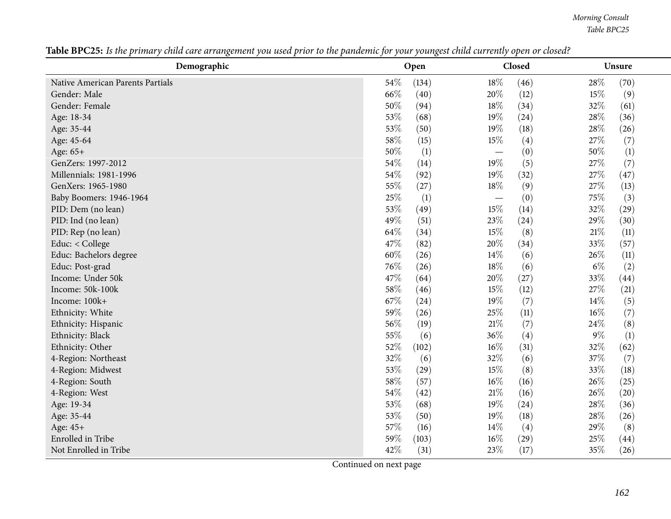*Morning Consult Table BPC25*

| Demographic                      | Open  | Closed                   | Unsure |
|----------------------------------|-------|--------------------------|--------|
| Native American Parents Partials | 54%   | 18%                      | 28%    |
|                                  | (134) | (46)                     | (70)   |
| Gender: Male                     | 66%   | 20%                      | 15%    |
|                                  | (40)  | (12)                     | (9)    |
| Gender: Female                   | 50%   | 18%                      | 32%    |
|                                  | (94)  | (34)                     | (61)   |
| Age: 18-34                       | 53%   | 19%                      | 28%    |
|                                  | (68)  | (24)                     | (36)   |
| Age: 35-44                       | 53%   | 19%                      | 28%    |
|                                  | (50)  | (18)                     | (26)   |
| Age: 45-64                       | 58%   | 15%                      | 27%    |
|                                  | (15)  | (4)                      | (7)    |
| Age: 65+                         | 50%   | (0)                      | $50\%$ |
|                                  | (1)   |                          | (1)    |
| GenZers: 1997-2012               | 54%   | 19%                      | 27%    |
|                                  | (14)  | (5)                      | (7)    |
| Millennials: 1981-1996           | 54%   | 19%                      | 27%    |
|                                  | (92)  | (32)                     | (47)   |
| GenXers: 1965-1980               | 55%   | 18%                      | 27%    |
|                                  | (27)  | (9)                      | (13)   |
| Baby Boomers: 1946-1964          | 25%   | (0)                      | 75%    |
|                                  | (1)   | $\overline{\phantom{m}}$ | (3)    |
| PID: Dem (no lean)               | 53%   | 15%                      | 32%    |
|                                  | (49)  | (14)                     | (29)   |
| PID: Ind (no lean)               | 49%   | 23%                      | 29%    |
|                                  | (51)  | (24)                     | (30)   |
| PID: Rep (no lean)               | 64%   | 15%                      | $21\%$ |
|                                  | (34)  | (8)                      | (11)   |
| Educ: < College                  | 47%   | 20%                      | 33%    |
|                                  | (82)  | (34)                     | (57)   |
| Educ: Bachelors degree           | 60%   | 14\%                     | 26%    |
|                                  | (26)  | (6)                      | (11)   |
| Educ: Post-grad                  | 76%   | 18%                      | $6\%$  |
|                                  | (26)  | (6)                      | (2)    |
| Income: Under 50k                | 47%   | 20%                      | 33%    |
|                                  | (64)  | (27)                     | (44)   |
| Income: 50k-100k                 | 58%   | 15%                      | 27\%   |
|                                  | (46)  | (12)                     | (21)   |
| Income: 100k+                    | 67%   | 19%                      | 14\%   |
|                                  | (24)  | (7)                      | (5)    |
| Ethnicity: White                 | 59%   | 25%                      | $16\%$ |
|                                  | (26)  | (11)                     | (7)    |
| Ethnicity: Hispanic              | 56%   | $21\%$                   | 24%    |
|                                  | (19)  | (7)                      | (8)    |
| Ethnicity: Black                 | 55%   | 36%                      | $9\%$  |
|                                  | (6)   | (4)                      | (1)    |
| Ethnicity: Other                 | 52%   | $16\%$                   | 32%    |
|                                  | (102) | (31)                     | (62)   |
| 4-Region: Northeast              | 32%   | 32%                      | 37%    |
|                                  | (6)   | (6)                      | (7)    |
| 4-Region: Midwest                | 53%   | 15%                      | 33%    |
|                                  | (29)  | (8)                      | (18)   |
| 4-Region: South                  | 58%   | 16%                      | 26\%   |
|                                  | (57)  | (16)                     | (25)   |
| 4-Region: West                   | 54%   | $21\%$                   | 26%    |
|                                  | (42)  | (16)                     | (20)   |
| Age: 19-34                       | 53%   | 19%                      | 28%    |
|                                  | (68)  | (24)                     | (36)   |
| Age: 35-44                       | 53%   | 19%                      | 28%    |
|                                  | (50)  | (18)                     | (26)   |
| Age: 45+                         | 57%   | 14\%                     | 29%    |
|                                  | (16)  | (4)                      | (8)    |
| <b>Enrolled</b> in Tribe         | 59%   | 16%                      | 25%    |
|                                  | (103) | (29)                     | (44)   |
| Not Enrolled in Tribe            | 42%   | 23%                      | 35%    |
|                                  | (31)  | (17)                     | (26)   |

Table BPC25: Is the primary child care arrangement you used prior to the pandemic for your youngest child currently open or closed?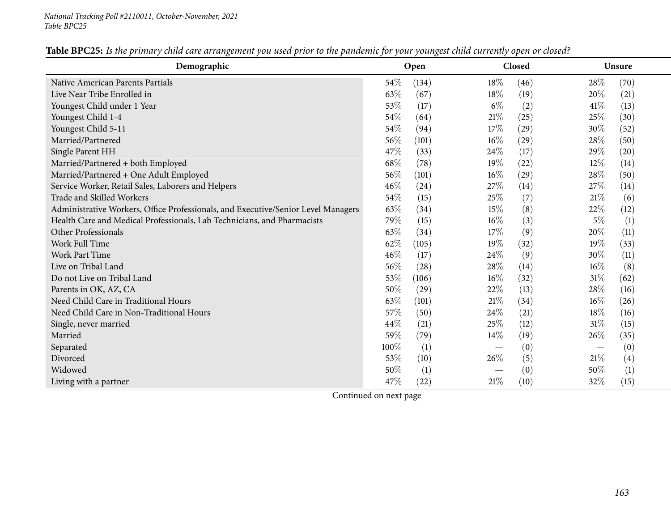| Demographic                                                                       | Open            | Closed         | <b>Unsure</b>  |  |
|-----------------------------------------------------------------------------------|-----------------|----------------|----------------|--|
| <b>Native American Parents Partials</b>                                           | $54\%$<br>(134) | 18%<br>(46)    | 28%<br>(70)    |  |
| Live Near Tribe Enrolled in                                                       | 63%<br>(67)     | 18%<br>(19)    | 20%<br>(21)    |  |
| Youngest Child under 1 Year                                                       | 53%<br>(17)     | $6\%$<br>(2)   | 41%<br>(13)    |  |
| Youngest Child 1-4                                                                | 54%<br>(64)     | 21%<br>(25)    | 25\%<br>(30)   |  |
| Youngest Child 5-11                                                               | 54\%<br>(94)    | 17%<br>(29)    | 30%<br>(52)    |  |
| Married/Partnered                                                                 | 56%<br>(101)    | $16\%$<br>(29) | 28%<br>(50)    |  |
| Single Parent HH                                                                  | 47%<br>(33)     | 24\%<br>(17)   | 29\%<br>(20)   |  |
| Married/Partnered + both Employed                                                 | 68%<br>(78)     | 19%<br>(22)    | 12%<br>(14)    |  |
| Married/Partnered + One Adult Employed                                            | 56%<br>(101)    | $16\%$<br>(29) | 28%<br>(50)    |  |
| Service Worker, Retail Sales, Laborers and Helpers                                | 46%<br>(24)     | 27\%<br>(14)   | 27\%<br>(14)   |  |
| <b>Trade and Skilled Workers</b>                                                  | 54%<br>(15)     | 25%<br>(7)     | 21%<br>(6)     |  |
| Administrative Workers, Office Professionals, and Executive/Senior Level Managers | 63%<br>(34)     | 15%<br>(8)     | 22\%<br>(12)   |  |
| Health Care and Medical Professionals, Lab Technicians, and Pharmacists           | 79%<br>(15)     | 16%<br>(3)     | $5\%$<br>(1)   |  |
| Other Professionals                                                               | 63%<br>(34)     | 17%<br>(9)     | 20%<br>(11)    |  |
| <b>Work Full Time</b>                                                             | 62%<br>(105)    | 19%<br>(32)    | 19%<br>(33)    |  |
| <b>Work Part Time</b>                                                             | 46%<br>(17)     | 24\%<br>(9)    | 30\%<br>(11)   |  |
| Live on Tribal Land                                                               | 56\%<br>(28)    | 28\%<br>(14)   | $16\%$<br>(8)  |  |
| Do not Live on Tribal Land                                                        | 53%<br>(106)    | $16\%$<br>(32) | $31\%$<br>(62) |  |
| Parents in OK, AZ, CA                                                             | 50%<br>(29)     | 22%<br>(13)    | 28\%<br>(16)   |  |
| Need Child Care in Traditional Hours                                              | 63%<br>(101)    | 21\%<br>(34)   | 16%<br>(26)    |  |
| Need Child Care in Non-Traditional Hours                                          | 57%<br>(50)     | 24%<br>(21)    | 18\%<br>(16)   |  |
| Single, never married                                                             | 44%<br>(21)     | 25%<br>(12)    | 31%<br>(15)    |  |
| Married                                                                           | 59%<br>(79)     | $14\%$<br>(19) | 26%<br>(35)    |  |
| Separated                                                                         | $100\%$<br>(1)  | (0)            | (0)            |  |
| Divorced                                                                          | 53%<br>(10)     | 26\%<br>(5)    | 21%<br>(4)     |  |
| Widowed                                                                           | 50%<br>(1)      | (0)            | (1)<br>50%     |  |
| Living with a partner                                                             | 47%<br>(22)     | 21%<br>(10)    | 32%<br>(15)    |  |

Table BPC25: Is the primary child care arrangement you used prior to the pandemic for your youngest child currently open or closed?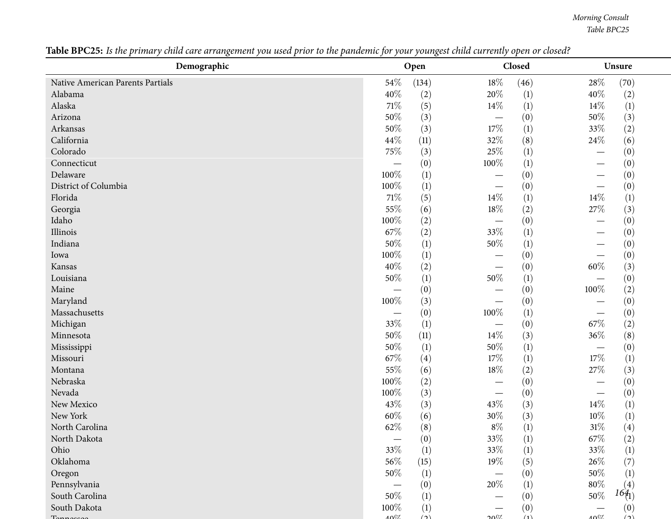*Morning Consult Table BPC25*

| Demographic                      |                 | Open     |                               | Closed | Unsure                  |
|----------------------------------|-----------------|----------|-------------------------------|--------|-------------------------|
| Native American Parents Partials | $54\%$          | (134)    | $18\%$                        | (46)   | $28\%$<br>(70)          |
| Alabama                          | 40%             | (2)      | 20%                           | (1)    | 40\%<br>(2)             |
| Alaska                           | $71\%$          | (5)      | 14%                           | (1)    | 14\%<br>(1)             |
| Arizona                          | 50%             | (3)      |                               | (0)    | 50%<br>(3)              |
| Arkansas                         | $50\%$          | (3)      | $17\%$                        | (1)    | 33%<br>(2)              |
| California                       | 44\%            | (11)     | 32%                           | (8)    | 24%<br>(6)              |
| Colorado                         | 75%             | (3)      | 25%                           | (1)    | (0)<br>—                |
| Connecticut                      |                 | (0)      | $100\%$                       | (1)    | (0)                     |
| Delaware                         | 100%            | (1)      |                               | (0)    | (0)                     |
| District of Columbia             | 100%            | (1)      |                               | (0)    | (0)                     |
| Florida                          | $71\%$          | (5)      | $14\%$                        | (1)    | 14%<br>$\left(1\right)$ |
| Georgia                          | 55%             | (6)      | $18\%$                        | (2)    | (3)<br>$27\%$           |
| Idaho                            | 100%            | (2)      |                               | (0)    | (0)                     |
| Illinois                         | 67\%            | (2)      | 33%                           | (1)    | (0)                     |
| Indiana                          | 50%             | (1)      | $50\%$                        | (1)    | (0)                     |
| Iowa                             | 100%            | (1)      |                               | (0)    | (0)                     |
| Kansas                           | 40%             | (2)      |                               | (0)    | $60\%$<br>(3)           |
| Louisiana                        | 50%             | (1)      | 50%                           | (1)    | (0)                     |
| Maine                            |                 | (0)      |                               | (0)    | 100%<br>(2)             |
| Maryland                         | 100%            | (3)      |                               | (0)    | (0)                     |
| Massachusetts                    |                 | (0)      | 100%                          | (1)    | (0)                     |
| Michigan                         | 33%             | (1)      |                               | (0)    | 67%<br>(2)              |
| Minnesota                        | 50%             | (11)     | 14\%                          | (3)    | 36%<br>(8)              |
| Mississippi                      | $50\%$          | (1)      | $50\%$                        | (1)    | (0)                     |
| Missouri                         | 67\%            | (4)      | 17%                           | (1)    | 17%<br>$\left(1\right)$ |
| Montana                          | $55\%$          | (6)      | $18\%$                        | (2)    | $27\%$<br>(3)           |
| Nebraska                         | 100%            | (2)      |                               | (0)    | (0)<br>—                |
| Nevada                           | 100%            | (3)      | $\overbrace{\phantom{13333}}$ | (0)    | (0)                     |
| New Mexico                       | 43%             | (3)      | 43%                           | (3)    | 14%<br>$\left(1\right)$ |
| New York                         | 60%             | (6)      | $30\%$                        | (3)    | $10\%$<br>(1)           |
| North Carolina                   | 62%             | (8)      | $8\%$                         | (1)    | $31\%$<br>(4)           |
| North Dakota                     |                 | (0)      | $33\%$                        | (1)    | $67\%$<br>(2)           |
| Ohio                             | 33%             | (1)      | 33%                           | (1)    | $\left(1\right)$<br>33% |
| Oklahoma                         | 56%             | (15)     | 19%                           | (5)    | (7)<br>26\%             |
| Oregon                           | 50%             | (1)      |                               | (0)    | (1)<br>50%              |
| Pennsylvania                     |                 | (0)      | 20%                           | (1)    | $80\%$<br>(4)           |
| South Carolina                   | 50%             | (1)      |                               | (0)    | $164_1$<br>50%          |
| South Dakota                     | 100%            | (1)      |                               | (0)    | (0)                     |
|                                  | 10 <sup>7</sup> | $\Delta$ | 2007                          | (1)    | 4007<br>$\Delta$        |

Table BPC25: Is the primary child care arrangement you used prior to the pandemic for your youngest child currently open or closed?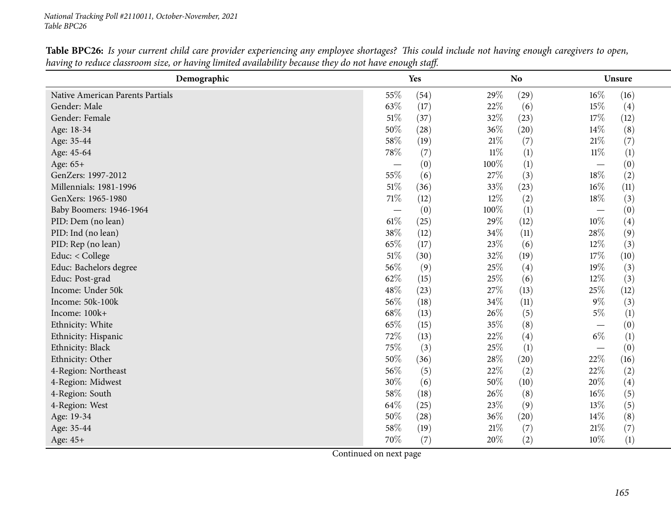*National Tracking Poll #2110011, October-November, <sup>2021</sup> Table BPC26*

| Demographic                      |                          | Yes  |        | <b>No</b> |        | Unsure           |  |
|----------------------------------|--------------------------|------|--------|-----------|--------|------------------|--|
| Native American Parents Partials | 55\%                     | (54) | 29%    | (29)      | $16\%$ | (16)             |  |
| Gender: Male                     | 63%                      | (17) | 22%    | (6)       | $15\%$ | (4)              |  |
| Gender: Female                   | $51\%$                   | (37) | 32%    | (23)      | 17%    | (12)             |  |
| Age: 18-34                       | 50%                      | (28) | 36%    | (20)      | $14\%$ | (8)              |  |
| Age: 35-44                       | 58\%                     | (19) | $21\%$ | (7)       | $21\%$ | (7)              |  |
| Age: 45-64                       | 78\%                     | (7)  | $11\%$ | (1)       | $11\%$ | $\left(1\right)$ |  |
| Age: 65+                         |                          | (0)  | 100%   | (1)       |        | (0)              |  |
| GenZers: 1997-2012               | 55%                      | (6)  | 27%    | (3)       | 18%    | (2)              |  |
| Millennials: 1981-1996           | $51\%$                   | (36) | 33%    | (23)      | 16%    | (11)             |  |
| GenXers: 1965-1980               | 71%                      | (12) | 12%    | (2)       | 18%    | (3)              |  |
| Baby Boomers: 1946-1964          | $\overline{\phantom{0}}$ | (0)  | 100%   | (1)       |        | (0)              |  |
| PID: Dem (no lean)               | 61\%                     | (25) | 29%    | (12)      | 10%    | (4)              |  |
| PID: Ind (no lean)               | 38%                      | (12) | 34%    | (11)      | 28%    | (9)              |  |
| PID: Rep (no lean)               | 65%                      | (17) | 23%    | (6)       | 12%    | (3)              |  |
| Educ: < College                  | $51\%$                   | (30) | 32%    | (19)      | 17%    | (10)             |  |
| Educ: Bachelors degree           | 56%                      | (9)  | 25%    | (4)       | 19%    | (3)              |  |
| Educ: Post-grad                  | 62%                      | (15) | 25%    | (6)       | 12%    | (3)              |  |
| Income: Under 50k                | 48%                      | (23) | 27%    | (13)      | 25%    | (12)             |  |
| Income: 50k-100k                 | 56%                      | (18) | 34%    | (11)      | $9\%$  | (3)              |  |
| Income: 100k+                    | 68%                      | (13) | 26%    | (5)       | $5\%$  | (1)              |  |
| Ethnicity: White                 | 65%                      | (15) | 35%    | (8)       |        | (0)              |  |
| Ethnicity: Hispanic              | 72%                      | (13) | 22%    | (4)       | $6\%$  | $\left(1\right)$ |  |
| Ethnicity: Black                 | 75%                      | (3)  | 25%    | (1)       |        | (0)              |  |
| Ethnicity: Other                 | 50%                      | (36) | 28\%   | (20)      | 22%    | (16)             |  |
| 4-Region: Northeast              | 56%                      | (5)  | 22%    | (2)       | 22%    | (2)              |  |
| 4-Region: Midwest                | 30%                      | (6)  | 50%    | (10)      | 20%    | (4)              |  |
| 4-Region: South                  | 58%                      | (18) | 26%    | (8)       | 16%    | (5)              |  |
| 4-Region: West                   | 64%                      | (25) | 23%    | (9)       | 13\%   | (5)              |  |
| Age: 19-34                       | 50%                      | (28) | 36%    | (20)      | 14\%   | (8)              |  |
| Age: 35-44                       | 58%                      | (19) | $21\%$ | (7)       | 21%    | (7)              |  |
| Age: 45+                         | 70%                      | (7)  | 20%    | (2)       | 10%    | (1)              |  |

Table BPC26: Is your current child care provider experiencing any employee shortages? This could include not having enough caregivers to open, having to reduce classroom size, or having limited availability because they do not have enough staff.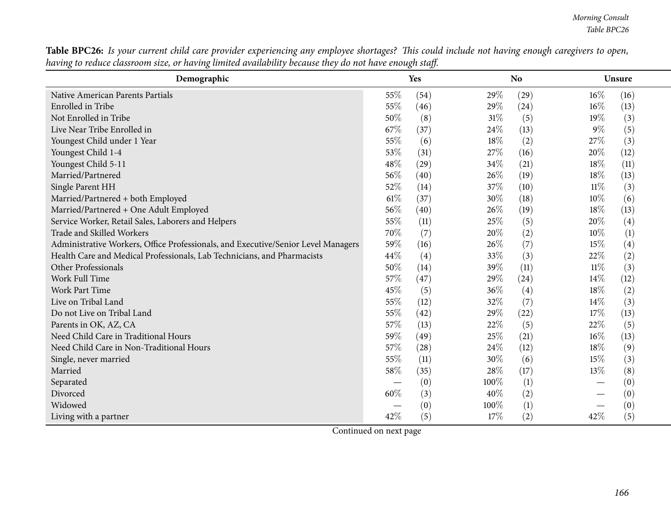| <b>Table BPC26:</b> Is your current child care provider experiencing any employee shortages? This could include not having enough caregivers to open, |  |
|-------------------------------------------------------------------------------------------------------------------------------------------------------|--|
| having to reduce classroom size, or having limited availability because they do not have enough staff.                                                |  |

| Demographic                                                                       |        | <b>Yes</b> |        | <b>No</b> |        | Unsure |  |
|-----------------------------------------------------------------------------------|--------|------------|--------|-----------|--------|--------|--|
| Native American Parents Partials                                                  | 55%    | (54)       | 29%    | (29)      | 16%    | (16)   |  |
| Enrolled in Tribe                                                                 | 55%    | (46)       | 29%    | (24)      | $16\%$ | (13)   |  |
| Not Enrolled in Tribe                                                             | 50%    | (8)        | $31\%$ | (5)       | $19\%$ | (3)    |  |
| Live Near Tribe Enrolled in                                                       | 67%    | (37)       | 24%    | (13)      | $9\%$  | (5)    |  |
| Youngest Child under 1 Year                                                       | 55%    | (6)        | 18%    | (2)       | 27\%   | (3)    |  |
| Youngest Child 1-4                                                                | 53%    | (31)       | 27%    | (16)      | 20%    | (12)   |  |
| Youngest Child 5-11                                                               | 48%    | (29)       | 34%    | (21)      | 18%    | (11)   |  |
| Married/Partnered                                                                 | 56%    | (40)       | 26%    | (19)      | 18%    | (13)   |  |
| Single Parent HH                                                                  | 52%    | (14)       | 37%    | (10)      | $11\%$ | (3)    |  |
| Married/Partnered + both Employed                                                 | $61\%$ | (37)       | 30%    | (18)      | $10\%$ | (6)    |  |
| Married/Partnered + One Adult Employed                                            | 56%    | (40)       | 26%    | (19)      | 18%    | (13)   |  |
| Service Worker, Retail Sales, Laborers and Helpers                                | 55%    | (11)       | 25\%   | (5)       | 20%    | (4)    |  |
| Trade and Skilled Workers                                                         | 70%    | (7)        | 20%    | (2)       | 10%    | (1)    |  |
| Administrative Workers, Office Professionals, and Executive/Senior Level Managers | 59%    | (16)       | 26\%   | (7)       | $15\%$ | (4)    |  |
| Health Care and Medical Professionals, Lab Technicians, and Pharmacists           | 44%    | (4)        | 33%    | (3)       | 22\%   | (2)    |  |
| Other Professionals                                                               | 50%    | (14)       | 39%    | (11)      | $11\%$ | (3)    |  |
| Work Full Time                                                                    | 57%    | (47)       | 29%    | (24)      | 14\%   | (12)   |  |
| <b>Work Part Time</b>                                                             | 45%    | (5)        | 36%    | (4)       | 18%    | (2)    |  |
| Live on Tribal Land                                                               | 55%    | (12)       | 32%    | (7)       | 14%    | (3)    |  |
| Do not Live on Tribal Land                                                        | 55%    | (42)       | 29%    | (22)      | 17%    | (13)   |  |
| Parents in OK, AZ, CA                                                             | 57%    | (13)       | 22%    | (5)       | 22%    | (5)    |  |
| Need Child Care in Traditional Hours                                              | 59%    | (49)       | 25%    | (21)      | $16\%$ | (13)   |  |
| Need Child Care in Non-Traditional Hours                                          | 57%    | (28)       | 24%    | (12)      | 18\%   | (9)    |  |
| Single, never married                                                             | 55%    | (11)       | 30%    | (6)       | 15%    | (3)    |  |
| Married                                                                           | 58%    | (35)       | 28%    | (17)      | 13\%   | (8)    |  |
| Separated                                                                         |        | (0)        | 100%   | (1)       |        | (0)    |  |
| Divorced                                                                          | 60%    | (3)        | 40%    | (2)       |        | (0)    |  |
| Widowed                                                                           |        | (0)        | 100%   | (1)       |        | (0)    |  |
| Living with a partner                                                             | 42%    | (5)        | 17\%   | (2)       | 42%    | (5)    |  |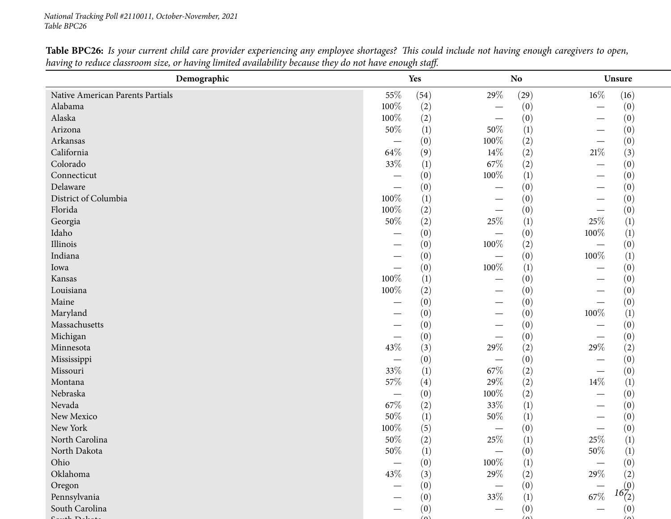*National Tracking Poll #2110011, October-November, <sup>2021</sup> Table BPC26*

| Demographic                      |                          | Yes  |                          | No               | Unsure                                    |
|----------------------------------|--------------------------|------|--------------------------|------------------|-------------------------------------------|
| Native American Parents Partials | 55%                      | (54) | $29\%$                   | (29)             | $16\%$<br>(16)                            |
| Alabama                          | $100\%$                  | (2)  |                          | (0)              | (0)<br>$\overline{\phantom{0}}$           |
| Alaska                           | 100%                     | (2)  |                          | (0)              | (0)                                       |
| Arizona                          | $50\%$                   | (1)  | 50%                      | $\left(1\right)$ | (0)                                       |
| Arkansas                         |                          | (0)  | 100%                     | (2)              | (0)                                       |
| California                       | 64%                      | (9)  | $14\%$                   | (2)              | (3)<br>$21\%$                             |
| Colorado                         | 33%                      | (1)  | 67\%                     | (2)              | (0)<br>$\overline{\phantom{0}}$           |
| Connecticut                      |                          | (0)  | 100%                     | (1)              | (0)                                       |
| Delaware                         | $\overline{\phantom{0}}$ | (0)  |                          | (0)              | (0)                                       |
| District of Columbia             | 100%                     | (1)  |                          | (0)              | (0)                                       |
| Florida                          | 100%                     | (2)  |                          | (0)              | (0)                                       |
| Georgia                          | 50%                      | (2)  | 25%                      | (1)              | 25%<br>$\left(1\right)$                   |
| Idaho                            |                          | (0)  |                          | (0)              | 100%<br>$\left(1\right)$                  |
| Illinois                         |                          | (0)  | 100%                     | (2)              | (0)                                       |
| Indiana                          |                          | (0)  | $\overline{\phantom{m}}$ | (0)              | (1)<br>100%                               |
| Iowa                             | $\overline{\phantom{0}}$ | (0)  | 100%                     | (1)              | (0)                                       |
| Kansas                           | 100%                     | (1)  |                          | (0)              | (0)                                       |
| Louisiana                        | 100%                     | (2)  |                          | (0)              | (0)                                       |
| Maine                            |                          | (0)  |                          | (0)              | (0)                                       |
| Maryland                         |                          | (0)  |                          | (0)              | 100%<br>$\left(1\right)$                  |
| Massachusetts                    |                          | (0)  |                          | (0)              | (0)                                       |
| Michigan                         |                          | (0)  |                          | (0)              | (0)                                       |
| Minnesota                        | 43%                      | (3)  | 29%                      | (2)              | 29\%<br>(2)                               |
| Mississippi                      |                          | (0)  |                          | (0)              | (0)                                       |
| Missouri                         | 33%                      | (1)  | $67\%$                   | (2)              | (0)<br>$\overline{\phantom{0}}$           |
| Montana                          | 57%                      | (4)  | 29%                      | (2)              | $14\%$<br>$\left(1\right)$                |
| Nebraska                         | $\overline{\phantom{m}}$ | (0)  | 100%                     | (2)              | (0)                                       |
| Nevada                           | 67\%                     | (2)  | 33%                      | $\left(1\right)$ | (0)                                       |
| New Mexico                       | 50%                      | (1)  | 50%                      | (1)              | (0)                                       |
| New York                         | 100%                     | (5)  |                          | (0)              | (0)                                       |
| North Carolina                   | $50\%$                   | (2)  | 25\%                     | (1)              | 25%<br>(1)                                |
| North Dakota                     | $50\%$                   | (1)  |                          | (0)              | $50\%$<br>(1)                             |
| Ohio                             |                          | (0)  | 100%                     | $\left(1\right)$ | $\begin{array}{c} (0) \\ (2) \end{array}$ |
| Oklahoma                         | 43%                      | (3)  | 29%                      | (2)              | $29\%$                                    |
| Oregon                           |                          | (0)  |                          | (0)              | $16^{(0)}_{(2)}$                          |
| Pennsylvania                     |                          | (0)  | 33%                      | (1)              | $67\%$                                    |
| South Carolina                   |                          | (0)  |                          | (0)              | (0)                                       |
| 4.71                             |                          |      |                          | (n)              | $\sqrt{2}$                                |

Table BPC26: Is your current child care provider experiencing any employee shortages? This could include not having enough caregivers to open, having to reduce classroom size, or having limited availability because they do not have enough staff.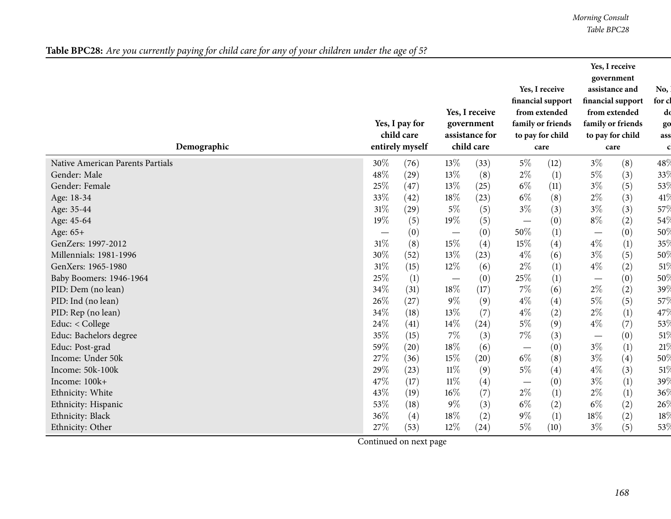*Morning Consult Table BPC28*

| Table BPC28: Are you currently paying for child care for any of your children under the age of 5? |
|---------------------------------------------------------------------------------------------------|
|---------------------------------------------------------------------------------------------------|

| $5\%$<br>(8)<br>48\<br>30%<br>13%<br>$3\%$<br>Native American Parents Partials<br>(76)<br>(33)<br>(12)<br>48%<br>13%<br>$2\%$<br>(1)<br>$5\%$<br>Gender: Male<br>(8)<br>(3)<br>33%<br>(29)<br>$6\%$<br>$3\%$<br>(5)<br>$25\%$<br>(11)<br>(47)<br>13\%<br>(25)<br>53%<br>Gender: Female<br>(3)<br>$6\%$<br>$2\%$<br>33%<br>18%<br>(8)<br>Age: 18-34<br>(42)<br>(23)<br>41%<br>31%<br>$3\%$<br>$3\%$<br>$5\%$<br>(3)<br>(3)<br>57%<br>(5)<br>Age: 35-44<br>(29)<br>19%<br>$8\%$<br>19%<br>(5)<br>(0)<br>(2)<br>54%<br>Age: 45-64<br>(5)<br>$\hspace{0.1mm}-\hspace{0.1mm}$<br>50%<br>(1)<br>(0)<br>(0)<br>50%<br>(0)<br>Age: 65+<br>$\overbrace{\phantom{123221111}}$<br>$31\%$<br>15%<br>15%<br>$4\%$<br>(4)<br>(4)<br>$\left(1\right)$<br>35%<br>GenZers: 1997-2012<br>(8)<br>30%<br>$3\%$<br>13%<br>$4\%$<br>(5)<br>Millennials: 1981-1996<br>(23)<br>(6)<br>50%<br>(52)<br>31%<br>$2\%$<br>(1)<br>$4\%$<br>(2)<br>GenXers: 1965-1980<br>(15)<br>12\%<br>(6)<br>51%<br>$25\%$<br>25%<br>(1)<br>(1)<br>(0)<br>50%<br>Baby Boomers: 1946-1964<br>(0)<br>$\overline{\phantom{m}}$<br>$\overline{\phantom{m}}$<br>34%<br>18%<br>$7\%$<br>$2\%$<br>39%<br>(6)<br>(2)<br>PID: Dem (no lean)<br>(17)<br>(31)<br>$4\%$<br>$5\%$<br>26%<br>$9\%$<br>57% |                    |
|-------------------------------------------------------------------------------------------------------------------------------------------------------------------------------------------------------------------------------------------------------------------------------------------------------------------------------------------------------------------------------------------------------------------------------------------------------------------------------------------------------------------------------------------------------------------------------------------------------------------------------------------------------------------------------------------------------------------------------------------------------------------------------------------------------------------------------------------------------------------------------------------------------------------------------------------------------------------------------------------------------------------------------------------------------------------------------------------------------------------------------------------------------------------------------------------------------------------------------------------------|--------------------|
|                                                                                                                                                                                                                                                                                                                                                                                                                                                                                                                                                                                                                                                                                                                                                                                                                                                                                                                                                                                                                                                                                                                                                                                                                                                 |                    |
|                                                                                                                                                                                                                                                                                                                                                                                                                                                                                                                                                                                                                                                                                                                                                                                                                                                                                                                                                                                                                                                                                                                                                                                                                                                 |                    |
|                                                                                                                                                                                                                                                                                                                                                                                                                                                                                                                                                                                                                                                                                                                                                                                                                                                                                                                                                                                                                                                                                                                                                                                                                                                 |                    |
|                                                                                                                                                                                                                                                                                                                                                                                                                                                                                                                                                                                                                                                                                                                                                                                                                                                                                                                                                                                                                                                                                                                                                                                                                                                 |                    |
|                                                                                                                                                                                                                                                                                                                                                                                                                                                                                                                                                                                                                                                                                                                                                                                                                                                                                                                                                                                                                                                                                                                                                                                                                                                 |                    |
|                                                                                                                                                                                                                                                                                                                                                                                                                                                                                                                                                                                                                                                                                                                                                                                                                                                                                                                                                                                                                                                                                                                                                                                                                                                 |                    |
|                                                                                                                                                                                                                                                                                                                                                                                                                                                                                                                                                                                                                                                                                                                                                                                                                                                                                                                                                                                                                                                                                                                                                                                                                                                 |                    |
|                                                                                                                                                                                                                                                                                                                                                                                                                                                                                                                                                                                                                                                                                                                                                                                                                                                                                                                                                                                                                                                                                                                                                                                                                                                 |                    |
|                                                                                                                                                                                                                                                                                                                                                                                                                                                                                                                                                                                                                                                                                                                                                                                                                                                                                                                                                                                                                                                                                                                                                                                                                                                 |                    |
|                                                                                                                                                                                                                                                                                                                                                                                                                                                                                                                                                                                                                                                                                                                                                                                                                                                                                                                                                                                                                                                                                                                                                                                                                                                 |                    |
|                                                                                                                                                                                                                                                                                                                                                                                                                                                                                                                                                                                                                                                                                                                                                                                                                                                                                                                                                                                                                                                                                                                                                                                                                                                 |                    |
|                                                                                                                                                                                                                                                                                                                                                                                                                                                                                                                                                                                                                                                                                                                                                                                                                                                                                                                                                                                                                                                                                                                                                                                                                                                 |                    |
| (5)<br>(9)<br>(4)<br>(27)                                                                                                                                                                                                                                                                                                                                                                                                                                                                                                                                                                                                                                                                                                                                                                                                                                                                                                                                                                                                                                                                                                                                                                                                                       | PID: Ind (no lean) |
| (1)<br>34\%<br>$4\%$<br>(2)<br>$2\%$<br>13%<br>(7)<br>47\<br>PID: Rep (no lean)<br>(18)                                                                                                                                                                                                                                                                                                                                                                                                                                                                                                                                                                                                                                                                                                                                                                                                                                                                                                                                                                                                                                                                                                                                                         |                    |
| 24\%<br>$5\%$<br>(9)<br>$4\%$<br>$14\%$<br>(7)<br>53\<br>Educ: < College<br>(24)<br>(41)                                                                                                                                                                                                                                                                                                                                                                                                                                                                                                                                                                                                                                                                                                                                                                                                                                                                                                                                                                                                                                                                                                                                                        |                    |
| 35%<br>$7\%$<br>(3)<br>Educ: Bachelors degree<br>$7\%$<br>(3)<br>(0)<br>(15)<br>51%                                                                                                                                                                                                                                                                                                                                                                                                                                                                                                                                                                                                                                                                                                                                                                                                                                                                                                                                                                                                                                                                                                                                                             |                    |
| (1)<br>59%<br>$3\%$<br>18%<br>(6)<br>(0)<br>Educ: Post-grad<br>(20)<br>21%<br>$\overline{\phantom{m}}$                                                                                                                                                                                                                                                                                                                                                                                                                                                                                                                                                                                                                                                                                                                                                                                                                                                                                                                                                                                                                                                                                                                                          |                    |
| $6\%$<br>$3\%$<br>27%<br>15%<br>(8)<br>(4)<br>50%<br>Income: Under 50k<br>(20)<br>(36)                                                                                                                                                                                                                                                                                                                                                                                                                                                                                                                                                                                                                                                                                                                                                                                                                                                                                                                                                                                                                                                                                                                                                          |                    |
| 29%<br>$5\%$<br>$4\%$<br>(3)<br>Income: 50k-100k<br>$11\%$<br>(9)<br>(4)<br>51%<br>(23)                                                                                                                                                                                                                                                                                                                                                                                                                                                                                                                                                                                                                                                                                                                                                                                                                                                                                                                                                                                                                                                                                                                                                         |                    |
| 47%<br>$3\%$<br>(1)<br>$11\%$<br>(4)<br>(0)<br>39%<br>(17)<br>Income: 100k+<br>$\hspace{0.1mm}-\hspace{0.1mm}$                                                                                                                                                                                                                                                                                                                                                                                                                                                                                                                                                                                                                                                                                                                                                                                                                                                                                                                                                                                                                                                                                                                                  |                    |
| 43%<br>$2\%$<br>(1)<br>$2\%$<br>$16\%$<br>(7)<br>(1)<br>36%<br>Ethnicity: White<br>(19)                                                                                                                                                                                                                                                                                                                                                                                                                                                                                                                                                                                                                                                                                                                                                                                                                                                                                                                                                                                                                                                                                                                                                         |                    |
| $6\%$<br>53%<br>$9\%$<br>$6\%$<br>(2)<br>(3)<br>(2)<br>(18)<br>26%<br>Ethnicity: Hispanic                                                                                                                                                                                                                                                                                                                                                                                                                                                                                                                                                                                                                                                                                                                                                                                                                                                                                                                                                                                                                                                                                                                                                       |                    |
| $9\%$<br>(1)<br>36%<br>(2)<br>18%<br>(2)<br>(4)<br>18%<br>18%<br>Ethnicity: Black                                                                                                                                                                                                                                                                                                                                                                                                                                                                                                                                                                                                                                                                                                                                                                                                                                                                                                                                                                                                                                                                                                                                                               |                    |
| 27%<br>$5\%$<br>$3\%$<br>(5)<br>12%<br>53%<br>Ethnicity: Other<br>(53)<br>(24)<br>(10)                                                                                                                                                                                                                                                                                                                                                                                                                                                                                                                                                                                                                                                                                                                                                                                                                                                                                                                                                                                                                                                                                                                                                          |                    |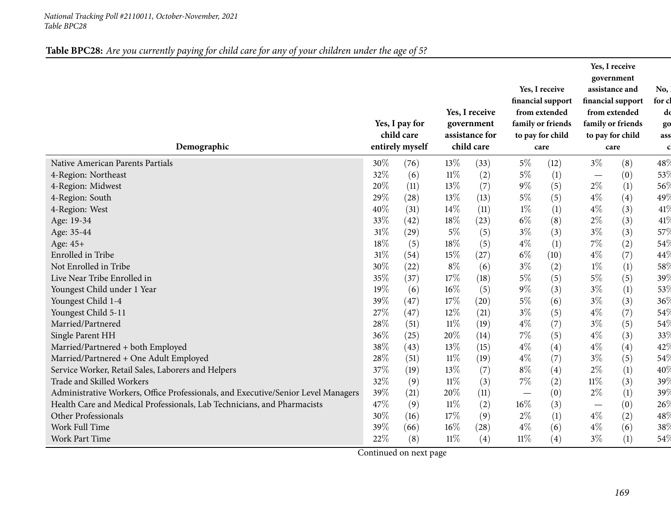## Table BPC28: Are you currently paying for child care for any of your children under the age of 5?

| Demographic                                                                       |        | Yes, I pay for<br>child care<br>entirely myself |        | Yes, I receive<br>government<br>assistance for<br>child care |        | Yes, I receive<br>financial support<br>from extended<br>family or friends<br>to pay for child<br>care |        | Yes, I receive<br>government<br>assistance and<br>financial support<br>from extended<br>family or friends<br>to pay for child<br>care | No,<br>for cl<br>dd<br>go<br>ass<br>$\mathbf c$ |
|-----------------------------------------------------------------------------------|--------|-------------------------------------------------|--------|--------------------------------------------------------------|--------|-------------------------------------------------------------------------------------------------------|--------|---------------------------------------------------------------------------------------------------------------------------------------|-------------------------------------------------|
| Native American Parents Partials                                                  | 30%    | (76)                                            | 13%    | (33)                                                         | $5\%$  | (12)                                                                                                  | $3\%$  | (8)                                                                                                                                   | 48%                                             |
| 4-Region: Northeast                                                               | 32%    | (6)                                             | $11\%$ | (2)                                                          | $5\%$  | (1)                                                                                                   |        | (0)                                                                                                                                   | 53%                                             |
| 4-Region: Midwest                                                                 | 20%    | (11)                                            | 13%    | (7)                                                          | $9\%$  | (5)                                                                                                   | $2\%$  | (1)                                                                                                                                   | 56%                                             |
| 4-Region: South                                                                   | 29%    | (28)                                            | 13%    | (13)                                                         | $5\%$  | (5)                                                                                                   | $4\%$  | (4)                                                                                                                                   | 49%                                             |
| 4-Region: West                                                                    | 40%    | (31)                                            | 14%    | (11)                                                         | $1\%$  | (1)                                                                                                   | $4\%$  | (3)                                                                                                                                   | 41%                                             |
| Age: 19-34                                                                        | 33%    | (42)                                            | 18%    | (23)                                                         | $6\%$  | (8)                                                                                                   | $2\%$  | (3)                                                                                                                                   | 41%                                             |
| Age: 35-44                                                                        | $31\%$ | (29)                                            | $5\%$  | (5)                                                          | $3\%$  | (3)                                                                                                   | $3\%$  | (3)                                                                                                                                   | 57%                                             |
| Age: 45+                                                                          | $18\%$ | (5)                                             | 18%    | (5)                                                          | $4\%$  | (1)                                                                                                   | 7%     | (2)                                                                                                                                   | 54%                                             |
| Enrolled in Tribe                                                                 | 31%    | (54)                                            | 15%    | (27)                                                         | $6\%$  | (10)                                                                                                  | $4\%$  | (7)                                                                                                                                   | 44%                                             |
| Not Enrolled in Tribe                                                             | 30%    | (22)                                            | $8\%$  | (6)                                                          | $3\%$  | (2)                                                                                                   | $1\%$  | (1)                                                                                                                                   | 58 <sup>0</sup>                                 |
| Live Near Tribe Enrolled in                                                       | 35%    | (37)                                            | 17%    | (18)                                                         | $5\%$  | (5)                                                                                                   | $5\%$  | (5)                                                                                                                                   | $39\%$                                          |
| Youngest Child under 1 Year                                                       | 19%    | (6)                                             | 16%    | (5)                                                          | $9\%$  | (3)                                                                                                   | $3\%$  | (1)                                                                                                                                   | 53%                                             |
| Youngest Child 1-4                                                                | 39%    | (47)                                            | 17%    | (20)                                                         | $5\%$  | (6)                                                                                                   | $3\%$  | (3)                                                                                                                                   | $36\%$                                          |
| Youngest Child 5-11                                                               | 27%    | (47)                                            | 12%    | (21)                                                         | $3\%$  | (5)                                                                                                   | $4\%$  | (7)                                                                                                                                   | 54%                                             |
| Married/Partnered                                                                 | $28\%$ | (51)                                            | $11\%$ | (19)                                                         | $4\%$  | (7)                                                                                                   | $3\%$  | (5)                                                                                                                                   | 54%                                             |
| Single Parent HH                                                                  | 36%    | (25)                                            | 20%    | (14)                                                         | 7%     | (5)                                                                                                   | $4\%$  | (3)                                                                                                                                   | 33%                                             |
| Married/Partnered + both Employed                                                 | 38%    | (43)                                            | 13%    | (15)                                                         | $4\%$  | (4)                                                                                                   | $4\%$  | (4)                                                                                                                                   | 42%                                             |
| Married/Partnered + One Adult Employed                                            | 28%    | (51)                                            | $11\%$ | (19)                                                         | $4\%$  | (7)                                                                                                   | $3\%$  | (5)                                                                                                                                   | 54%                                             |
| Service Worker, Retail Sales, Laborers and Helpers                                | 37%    | (19)                                            | 13%    | (7)                                                          | $8\%$  | (4)                                                                                                   | $2\%$  | (1)                                                                                                                                   | $40\%$                                          |
| Trade and Skilled Workers                                                         | 32%    | (9)                                             | $11\%$ | (3)                                                          | $7\%$  | (2)                                                                                                   | $11\%$ | (3)                                                                                                                                   | 39%                                             |
| Administrative Workers, Office Professionals, and Executive/Senior Level Managers | 39%    | (21)                                            | 20%    | (11)                                                         |        | (0)                                                                                                   | $2\%$  | (1)                                                                                                                                   | 39%                                             |
| Health Care and Medical Professionals, Lab Technicians, and Pharmacists           | 47%    | (9)                                             | $11\%$ | (2)                                                          | 16%    | (3)                                                                                                   |        | (0)                                                                                                                                   | 26%                                             |
| Other Professionals                                                               | 30%    | (16)                                            | 17%    | (9)                                                          | $2\%$  | (1)                                                                                                   | $4\%$  | (2)                                                                                                                                   | 48%                                             |
| Work Full Time                                                                    | 39%    | (66)                                            | $16\%$ | (28)                                                         | $4\%$  | (6)                                                                                                   | $4\%$  | (6)                                                                                                                                   | $38\%$                                          |
| <b>Work Part Time</b>                                                             | $22\%$ | (8)                                             | $11\%$ | (4)                                                          | $11\%$ | (4)                                                                                                   | $3\%$  | (1)                                                                                                                                   | 54\                                             |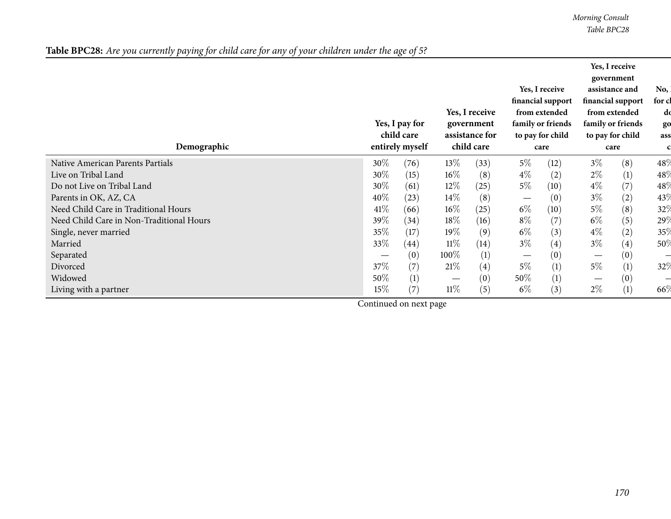*Morning Consult Table BPC28*

| Table BPC28: Are you currently paying for child care for any of your children under the age of 5? |
|---------------------------------------------------------------------------------------------------|
|---------------------------------------------------------------------------------------------------|

| Demographic                              |        | Yes, I pay for<br>child care<br>entirely myself |                                 | Yes, I receive<br>government<br>assistance for<br>child care |       | Yes, I receive<br>financial support<br>from extended<br>family or friends<br>to pay for child<br>care |       | Yes, I receive<br>government<br>assistance and<br>financial support<br>from extended<br>family or friends<br>to pay for child<br>care | No,<br>for cl<br>dd<br>go<br>ass |
|------------------------------------------|--------|-------------------------------------------------|---------------------------------|--------------------------------------------------------------|-------|-------------------------------------------------------------------------------------------------------|-------|---------------------------------------------------------------------------------------------------------------------------------------|----------------------------------|
| Native American Parents Partials         | $30\%$ | (76)                                            | $13\%$                          | (33)                                                         | 5%    | (12)                                                                                                  | $3\%$ | (8)                                                                                                                                   | 48%                              |
| Live on Tribal Land                      | 30%    | (15)                                            | $16\%$                          | (8)                                                          | $4\%$ | (2)                                                                                                   | $2\%$ | (1)                                                                                                                                   | 48%                              |
| Do not Live on Tribal Land               | 30%    | (61)                                            | $12\%$                          | (25)                                                         | $5\%$ | (10)                                                                                                  | $4\%$ | (7)                                                                                                                                   | 48%                              |
| Parents in OK, AZ, CA                    | 40\%   | (23)                                            | $14\%$                          | (8)                                                          |       | (0)                                                                                                   | $3\%$ | (2)                                                                                                                                   | 43%                              |
| Need Child Care in Traditional Hours     | $41\%$ | (66)                                            | $16\%$                          | (25)                                                         | $6\%$ | (10)                                                                                                  | $5\%$ | (8)                                                                                                                                   | 32%                              |
| Need Child Care in Non-Traditional Hours | 39%    | (34)                                            | $18\%$                          | (16)                                                         | $8\%$ | (7)                                                                                                   | $6\%$ | (5)                                                                                                                                   | 29%                              |
| Single, never married                    | 35\%   | (17)                                            | 19%                             | (9)                                                          | $6\%$ | (3)                                                                                                   | $4\%$ | (2)                                                                                                                                   | 35%                              |
| Married                                  | 33\%   | (44)                                            | 11%                             | (14)                                                         | $3\%$ | (4)                                                                                                   | $3\%$ | (4)                                                                                                                                   | 50%                              |
| Separated                                |        | (0)                                             | 100%                            | $\left(1\right)$                                             |       | (0)                                                                                                   |       | (0)                                                                                                                                   |                                  |
| Divorced                                 | 37\%   | (7)                                             | 21%                             | (4)                                                          | $5\%$ | (1)                                                                                                   | $5\%$ | (1)                                                                                                                                   | 32%                              |
| Widowed                                  | 50%    | (1)                                             | $\hspace{0.1mm}-\hspace{0.1mm}$ | (0)                                                          | 50%   | (1)                                                                                                   |       | (0)                                                                                                                                   |                                  |
| Living with a partner                    | $15\%$ | (7)                                             | $11\%$                          | (5)                                                          | $6\%$ | (3)                                                                                                   | $2\%$ | (1)                                                                                                                                   | 66%                              |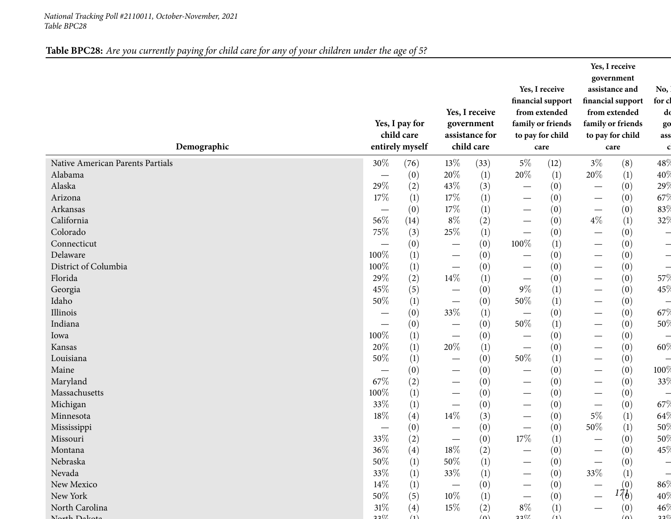# Table BPC28: Are you currently paying for child care for any of your children under the age of 5?

| Demographic                      |        | Yes, I pay for<br>child care<br>entirely myself |                                 | Yes, I receive<br>government<br>assistance for<br>child care |                                  | Yes, I receive<br>financial support<br>from extended<br>family or friends<br>to pay for child |                          | Yes, I receive<br>government<br>assistance and<br>financial support<br>from extended<br>family or friends<br>to pay for child | No,<br>for cl<br>do<br>go<br>ass |
|----------------------------------|--------|-------------------------------------------------|---------------------------------|--------------------------------------------------------------|----------------------------------|-----------------------------------------------------------------------------------------------|--------------------------|-------------------------------------------------------------------------------------------------------------------------------|----------------------------------|
|                                  |        |                                                 |                                 |                                                              |                                  | care                                                                                          |                          | care                                                                                                                          | $\mathbf c$                      |
| Native American Parents Partials | $30\%$ | (76)                                            | 13%                             | (33)                                                         | $5\%$                            | (12)                                                                                          | $3\%$                    | (8)                                                                                                                           | 48%                              |
| Alabama                          |        | (0)                                             | 20%                             | $\left(1\right)$                                             | 20%                              | (1)                                                                                           | 20%                      | $\left(1\right)$                                                                                                              | 40%                              |
| Alaska                           | 29%    | (2)                                             | 43%                             | (3)                                                          | $\overline{\phantom{0}}$         | (0)                                                                                           | $\overline{\phantom{0}}$ | (0)                                                                                                                           | 29%                              |
| Arizona                          | 17%    | (1)                                             | 17%                             | (1)                                                          | $\overline{\phantom{0}}$         | (0)                                                                                           | $\overline{\phantom{0}}$ | (0)                                                                                                                           | 67%                              |
| Arkansas                         |        | (0)                                             | 17%                             | (1)                                                          | $\overbrace{\phantom{12322111}}$ | (0)                                                                                           | $\overline{\phantom{m}}$ | (0)                                                                                                                           | 83%                              |
| California                       | 56%    | (14)                                            | $8\%$                           | (2)                                                          | $\overline{\phantom{0}}$         | (0)                                                                                           | $4\%$                    | $\left(1\right)$                                                                                                              | 32%                              |
| Colorado                         | 75%    | (3)                                             | 25%                             | (1)                                                          | $\overline{\phantom{0}}$         | (0)                                                                                           |                          | (0)                                                                                                                           |                                  |
| Connecticut                      |        | (0)                                             | —                               | (0)                                                          | 100%                             | (1)                                                                                           |                          | (0)                                                                                                                           |                                  |
| Delaware                         | 100%   | (1)                                             | —                               | (0)                                                          | $\overline{\phantom{0}}$         | (0)                                                                                           |                          | (0)                                                                                                                           |                                  |
| District of Columbia             | 100%   | (1)                                             |                                 | (0)                                                          | $\overline{\phantom{0}}$         | (0)                                                                                           | $\overline{\phantom{0}}$ | (0)                                                                                                                           |                                  |
| Florida                          | 29%    | (2)                                             | 14%                             | (1)                                                          | $\overline{\phantom{0}}$         | (0)                                                                                           |                          | (0)                                                                                                                           | 57%                              |
| Georgia                          | 45%    | (5)                                             | $\overline{\phantom{0}}$        | (0)                                                          | $9\%$                            | (1)                                                                                           | $\overline{\phantom{0}}$ | (0)                                                                                                                           | 45%                              |
| Idaho                            | 50%    | (1)                                             | $\qquad \qquad -$               | (0)                                                          | $50\%$                           | (1)                                                                                           |                          | (0)                                                                                                                           |                                  |
| Illinois                         |        | (0)                                             | 33%                             | (1)                                                          |                                  | (0)                                                                                           |                          | (0)                                                                                                                           | 67%                              |
| Indiana                          |        | (0)                                             | $\overline{\phantom{0}}$        | (0)                                                          | 50%                              | (1)                                                                                           |                          | (0)                                                                                                                           | 50%                              |
| Iowa                             | 100%   | (1)                                             | $\hspace{0.1mm}-\hspace{0.1mm}$ | (0)                                                          |                                  | (0)                                                                                           | $\overline{\phantom{0}}$ | (0)                                                                                                                           |                                  |
| Kansas                           | 20%    | (1)                                             | 20%                             | (1)                                                          | $\overbrace{\phantom{12322111}}$ | (0)                                                                                           | $\overline{\phantom{0}}$ | (0)                                                                                                                           | 60%                              |
| Louisiana                        | 50%    | (1)                                             |                                 | (0)                                                          | 50%                              | (1)                                                                                           |                          | (0)                                                                                                                           |                                  |
| Maine                            |        | (0)                                             |                                 | (0)                                                          | $\overline{\phantom{0}}$         | (0)                                                                                           | $\overline{\phantom{0}}$ | (0)                                                                                                                           | 100%                             |
| Maryland                         | 67%    | (2)                                             |                                 | (0)                                                          | $\overline{\phantom{0}}$         | (0)                                                                                           | $\overline{\phantom{0}}$ | (0)                                                                                                                           | 33%                              |
| Massachusetts                    | 100%   | (1)                                             |                                 | (0)                                                          | $\overline{\phantom{0}}$         | (0)                                                                                           | $\overline{\phantom{0}}$ | (0)                                                                                                                           |                                  |
| Michigan                         | 33%    | (1)                                             | $\overline{\phantom{0}}$        | (0)                                                          | $\overline{\phantom{0}}$         | (0)                                                                                           |                          | (0)                                                                                                                           | 67%                              |
| Minnesota                        | $18\%$ | (4)                                             | 14\%                            | (3)                                                          | —                                | (0)                                                                                           | $5\%$                    | (1)                                                                                                                           | 64\                              |
| Mississippi                      |        | (0)                                             |                                 | (0)                                                          |                                  | (0)                                                                                           | $50\%$                   | (1)                                                                                                                           | $50\%$                           |
| Missouri                         | $33\%$ | (2)                                             |                                 | (0)                                                          | 17%                              | (1)                                                                                           |                          | (0)                                                                                                                           | 50%                              |
| Montana                          | 36%    | $\left( 4\right)$                               | 18%                             | (2)                                                          |                                  | (0)                                                                                           |                          | (0)                                                                                                                           | 45%                              |
| Nebraska                         | 50%    | (1)                                             | $50\%$                          | (1)                                                          |                                  | (0)                                                                                           |                          | (0)                                                                                                                           |                                  |
| Nevada                           | 33%    | (1)                                             | 33\%                            | (1)                                                          |                                  | (0)                                                                                           | 33\%                     | (1)                                                                                                                           |                                  |
| New Mexico                       | 14%    | (1)                                             |                                 | (0)                                                          |                                  | (0)                                                                                           | $\overline{\phantom{0}}$ | (0)                                                                                                                           | 86%                              |
| New York                         | 50%    | (5)                                             | $10\%$                          | (1)                                                          |                                  | (0)                                                                                           |                          | 176)                                                                                                                          | $40\%$                           |
| North Carolina                   | 31%    | (4)                                             | 15\%                            | (2)                                                          | $8\%$                            | (1)                                                                                           |                          | (0)                                                                                                                           | 46%                              |
| Noth Delvet                      | 2207   | (1)                                             |                                 | $(\Omega)$                                                   | 2207                             | (1)                                                                                           |                          | (n)                                                                                                                           | 220                              |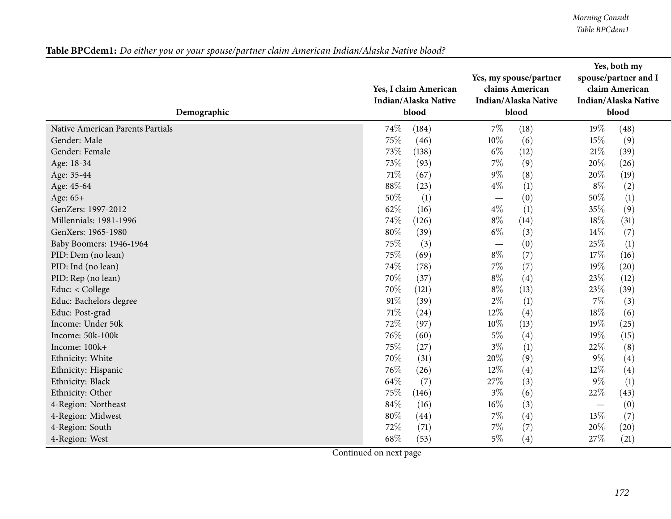*Morning Consult Table BPCdem1*

|  |  |  | Table BPCdem1: Do either you or your spouse/partner claim American Indian/Alaska Native blood? |
|--|--|--|------------------------------------------------------------------------------------------------|
|--|--|--|------------------------------------------------------------------------------------------------|

| Demographic                      | Yes, I claim American<br>Indian/Alaska Native<br>blood | Yes, my spouse/partner<br>claims American<br>Indian/Alaska Native<br>blood | Yes, both my<br>spouse/partner and I<br>claim American<br><b>Indian/Alaska Native</b><br>blood |
|----------------------------------|--------------------------------------------------------|----------------------------------------------------------------------------|------------------------------------------------------------------------------------------------|
| Native American Parents Partials | 74%                                                    | $7\%$                                                                      | 19%                                                                                            |
|                                  | (184)                                                  | (18)                                                                       | (48)                                                                                           |
| Gender: Male                     | 75%                                                    | 10%                                                                        | 15%                                                                                            |
|                                  | (46)                                                   | (6)                                                                        | (9)                                                                                            |
| Gender: Female                   | 73%                                                    | $6\%$                                                                      | $21\%$                                                                                         |
|                                  | (138)                                                  | (12)                                                                       | (39)                                                                                           |
| Age: 18-34                       | 73\%                                                   | $7\%$                                                                      | 20%                                                                                            |
|                                  | (93)                                                   | (9)                                                                        | (26)                                                                                           |
| Age: 35-44                       | 71%                                                    | $9\%$                                                                      | 20%                                                                                            |
|                                  | (67)                                                   | (8)                                                                        | (19)                                                                                           |
| Age: 45-64                       | 88%                                                    | $4\%$                                                                      | $8\%$                                                                                          |
|                                  | (23)                                                   | (1)                                                                        | (2)                                                                                            |
| Age: 65+                         | 50%                                                    | (0)                                                                        | 50%                                                                                            |
|                                  | (1)                                                    |                                                                            | (1)                                                                                            |
| GenZers: 1997-2012               | 62%                                                    | $4\%$                                                                      | 35%                                                                                            |
|                                  | (16)                                                   | (1)                                                                        | (9)                                                                                            |
| Millennials: 1981-1996           | 74%                                                    | $8\%$                                                                      | 18%                                                                                            |
|                                  | (126)                                                  | (14)                                                                       | (31)                                                                                           |
| GenXers: 1965-1980               | 80%                                                    | $6\%$                                                                      | 14\%                                                                                           |
|                                  | (39)                                                   | (3)                                                                        | (7)                                                                                            |
| Baby Boomers: 1946-1964          | 75%                                                    | (0)                                                                        | 25%                                                                                            |
|                                  | (3)                                                    |                                                                            | (1)                                                                                            |
| PID: Dem (no lean)               | 75%                                                    | $8\%$                                                                      | 17%                                                                                            |
|                                  | (69)                                                   | (7)                                                                        | (16)                                                                                           |
| PID: Ind (no lean)               | 74%                                                    | $7\%$                                                                      | 19%                                                                                            |
|                                  | (78)                                                   | (7)                                                                        | (20)                                                                                           |
| PID: Rep (no lean)               | 70%                                                    | $8\%$                                                                      | 23%                                                                                            |
|                                  | (37)                                                   | (4)                                                                        | (12)                                                                                           |
| Educ: < College                  | 70%                                                    | $8\%$                                                                      | 23%                                                                                            |
|                                  | (121)                                                  | (13)                                                                       | (39)                                                                                           |
| Educ: Bachelors degree           | 91%                                                    | $2\%$                                                                      | $7\%$                                                                                          |
|                                  | (39)                                                   | (1)                                                                        | (3)                                                                                            |
| Educ: Post-grad                  | 71%                                                    | 12%                                                                        | 18%                                                                                            |
|                                  | (24)                                                   | (4)                                                                        | (6)                                                                                            |
| Income: Under 50k                | 72%                                                    | 10%                                                                        | 19%                                                                                            |
|                                  | (97)                                                   | (13)                                                                       | (25)                                                                                           |
| Income: 50k-100k                 | 76%                                                    | $5\%$                                                                      | 19%                                                                                            |
|                                  | (60)                                                   | (4)                                                                        | (15)                                                                                           |
| Income: 100k+                    | 75%                                                    | $3\%$                                                                      | 22%                                                                                            |
|                                  | (27)                                                   | (1)                                                                        | (8)                                                                                            |
| Ethnicity: White                 | 70%                                                    | 20%                                                                        | $9\%$                                                                                          |
|                                  | (31)                                                   | (9)                                                                        | (4)                                                                                            |
| Ethnicity: Hispanic              | 76%                                                    | 12%                                                                        | 12%                                                                                            |
|                                  | (26)                                                   | (4)                                                                        | (4)                                                                                            |
| Ethnicity: Black                 | 64%                                                    | 27%                                                                        | $9\%$                                                                                          |
|                                  | (7)                                                    | (3)                                                                        | (1)                                                                                            |
| Ethnicity: Other                 | 75%                                                    | $3\%$                                                                      | 22%                                                                                            |
|                                  | (146)                                                  | (6)                                                                        | (43)                                                                                           |
| 4-Region: Northeast              | 84%                                                    | 16%                                                                        | (0)                                                                                            |
|                                  | (16)                                                   | (3)                                                                        | $\overline{\phantom{m}}$                                                                       |
| 4-Region: Midwest                | 80%                                                    | $7\%$                                                                      | 13%                                                                                            |
|                                  | (44)                                                   | (4)                                                                        | (7)                                                                                            |
| 4-Region: South                  | 72%                                                    | $7\%$                                                                      | 20%                                                                                            |
|                                  | (71)                                                   | (7)                                                                        | (20)                                                                                           |
| 4-Region: West                   | 68%                                                    | $5\%$                                                                      | 27%                                                                                            |
|                                  | (53)                                                   | (4)                                                                        | (21)                                                                                           |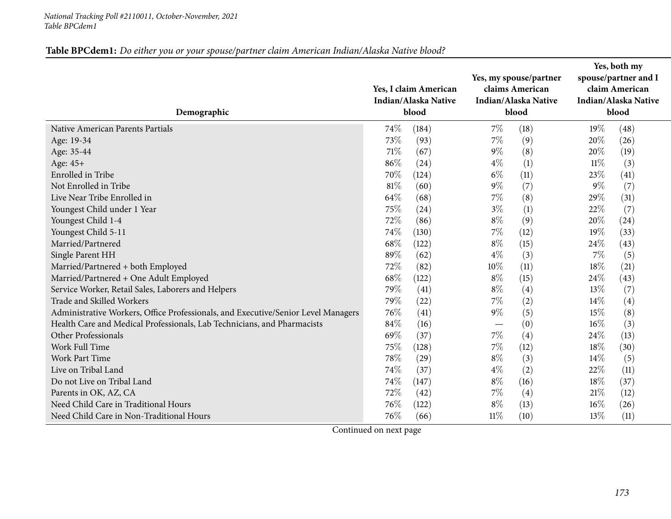| Table BPCdem1: Do either you or your spouse/partner claim American Indian/Alaska Native blood? |
|------------------------------------------------------------------------------------------------|
|------------------------------------------------------------------------------------------------|

| Demographic                                                                       | Yes, I claim American<br>Indian/Alaska Native<br>blood | Yes, my spouse/partner<br>claims American<br>Indian/Alaska Native<br>blood | Yes, both my<br>spouse/partner and I<br>claim American<br>Indian/Alaska Native<br>blood |
|-----------------------------------------------------------------------------------|--------------------------------------------------------|----------------------------------------------------------------------------|-----------------------------------------------------------------------------------------|
| Native American Parents Partials                                                  | 74%                                                    | $7\%$                                                                      | 19%                                                                                     |
|                                                                                   | (184)                                                  | (18)                                                                       | (48)                                                                                    |
| Age: 19-34                                                                        | 73%                                                    | $7\%$                                                                      | 20%                                                                                     |
|                                                                                   | (93)                                                   | (9)                                                                        | (26)                                                                                    |
| Age: 35-44                                                                        | 71%                                                    | $9\%$                                                                      | 20%                                                                                     |
|                                                                                   | (67)                                                   | (8)                                                                        | (19)                                                                                    |
| Age: 45+                                                                          | 86%                                                    | $4\%$                                                                      | $11\%$                                                                                  |
|                                                                                   | (24)                                                   | (1)                                                                        | (3)                                                                                     |
| Enrolled in Tribe                                                                 | 70%                                                    | $6\%$                                                                      | 23%                                                                                     |
|                                                                                   | (124)                                                  | (11)                                                                       | (41)                                                                                    |
| Not Enrolled in Tribe                                                             | 81%                                                    | $9\%$                                                                      | $9\%$                                                                                   |
|                                                                                   | (60)                                                   | (7)                                                                        | (7)                                                                                     |
| Live Near Tribe Enrolled in                                                       | 64%                                                    | $7\%$                                                                      | 29%                                                                                     |
|                                                                                   | (68)                                                   | (8)                                                                        | (31)                                                                                    |
| Youngest Child under 1 Year                                                       | 75%                                                    | $3\%$                                                                      | 22\%                                                                                    |
|                                                                                   | (24)                                                   | (1)                                                                        | (7)                                                                                     |
| Youngest Child 1-4                                                                | 72%                                                    | $8\%$                                                                      | 20%                                                                                     |
|                                                                                   | (86)                                                   | (9)                                                                        | (24)                                                                                    |
| Youngest Child 5-11                                                               | 74%                                                    | $7\%$                                                                      | 19%                                                                                     |
|                                                                                   | (130)                                                  | (12)                                                                       | (33)                                                                                    |
| Married/Partnered                                                                 | 68%                                                    | $8\%$                                                                      | 24\%                                                                                    |
|                                                                                   | (122)                                                  | (15)                                                                       | (43)                                                                                    |
| Single Parent HH                                                                  | 89%                                                    | $4\%$                                                                      | 7%                                                                                      |
|                                                                                   | (62)                                                   | (3)                                                                        | (5)                                                                                     |
| Married/Partnered + both Employed                                                 | 72%                                                    | 10%                                                                        | 18%                                                                                     |
|                                                                                   | (82)                                                   | (11)                                                                       | (21)                                                                                    |
| Married/Partnered + One Adult Employed                                            | 68%                                                    | $8\%$                                                                      | 24\%                                                                                    |
|                                                                                   | (122)                                                  | (15)                                                                       | (43)                                                                                    |
| Service Worker, Retail Sales, Laborers and Helpers                                | 79%                                                    | $8\%$                                                                      | 13\%                                                                                    |
|                                                                                   | (41)                                                   | (4)                                                                        | (7)                                                                                     |
| Trade and Skilled Workers                                                         | 79%                                                    | 7%                                                                         | (4)                                                                                     |
|                                                                                   | (22)                                                   | (2)                                                                        | $14\%$                                                                                  |
| Administrative Workers, Office Professionals, and Executive/Senior Level Managers | 76%                                                    | $9\%$                                                                      | 15%                                                                                     |
|                                                                                   | (41)                                                   | (5)                                                                        | (8)                                                                                     |
| Health Care and Medical Professionals, Lab Technicians, and Pharmacists           | 84%                                                    | (0)                                                                        | (3)                                                                                     |
|                                                                                   | (16)                                                   |                                                                            | $16\%$                                                                                  |
| Other Professionals                                                               | 69%                                                    | 7%                                                                         | 24\%                                                                                    |
|                                                                                   | (37)                                                   | (4)                                                                        | (13)                                                                                    |
| Work Full Time                                                                    | 75%                                                    | $7\%$                                                                      | 18%                                                                                     |
|                                                                                   | (128)                                                  | (12)                                                                       | (30)                                                                                    |
| <b>Work Part Time</b>                                                             | 78%                                                    | $8\%$                                                                      | $14\%$                                                                                  |
|                                                                                   | (29)                                                   | (3)                                                                        | (5)                                                                                     |
| Live on Tribal Land                                                               | 74%                                                    | $4\%$                                                                      | 22%                                                                                     |
|                                                                                   | (37)                                                   | (2)                                                                        | (11)                                                                                    |
| Do not Live on Tribal Land                                                        | 74%                                                    | $8\%$                                                                      | 18\%                                                                                    |
|                                                                                   | (147)                                                  | (16)                                                                       | (37)                                                                                    |
| Parents in OK, AZ, CA                                                             | 72%                                                    | 7%                                                                         | 21%                                                                                     |
|                                                                                   | (42)                                                   | (4)                                                                        | (12)                                                                                    |
| Need Child Care in Traditional Hours                                              | 76%                                                    | $8\%$                                                                      | 16%                                                                                     |
|                                                                                   | (122)                                                  | (13)                                                                       | (26)                                                                                    |
| Need Child Care in Non-Traditional Hours                                          | 76%                                                    | 11%                                                                        | $13\%$                                                                                  |
|                                                                                   | (66)                                                   | (10)                                                                       | (11)                                                                                    |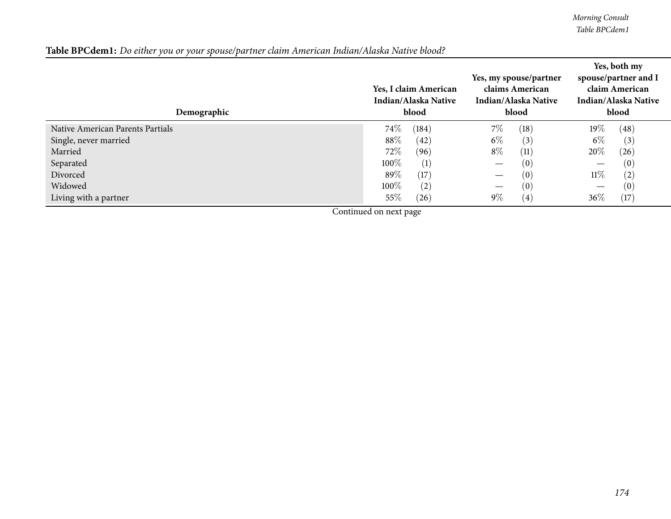*Morning Consult Table BPCdem1*

## Table BPCdem1: Do either you or your spouse/partner claim American Indian/Alaska Native blood?

| Demographic                      | Yes, I claim American<br>Indian/Alaska Native<br>blood | Yes, my spouse/partner<br>claims American<br>Indian/Alaska Native<br>blood | Yes, both my<br>spouse/partner and I<br>claim American<br>Indian/Alaska Native<br>blood |
|----------------------------------|--------------------------------------------------------|----------------------------------------------------------------------------|-----------------------------------------------------------------------------------------|
| Native American Parents Partials | 74\%                                                   | $7\%$                                                                      | $19\%$                                                                                  |
|                                  | (184)                                                  | (18)                                                                       | (48)                                                                                    |
| Single, never married            | 88\%                                                   | $6\%$                                                                      | $6\%$                                                                                   |
|                                  | (42)                                                   | (3)                                                                        | (3)                                                                                     |
| Married                          | 72\%                                                   | $8\%$                                                                      | 20%                                                                                     |
|                                  | (96)                                                   | (11)                                                                       | (26)                                                                                    |
| Separated                        | 100\%                                                  | (0)                                                                        | (0)                                                                                     |
|                                  | (1)                                                    |                                                                            | —                                                                                       |
| Divorced                         | 89%                                                    | (0)                                                                        | $11\%$                                                                                  |
|                                  | (17)                                                   | $\hspace{0.05cm}$                                                          | (2)                                                                                     |
| Widowed                          | 100\%                                                  | (0)                                                                        | (0)                                                                                     |
|                                  | (2)                                                    |                                                                            | —                                                                                       |
| Living with a partner            | 55\%                                                   | $9\%$                                                                      | 36%                                                                                     |
|                                  | (26)                                                   | (4)                                                                        | (17)                                                                                    |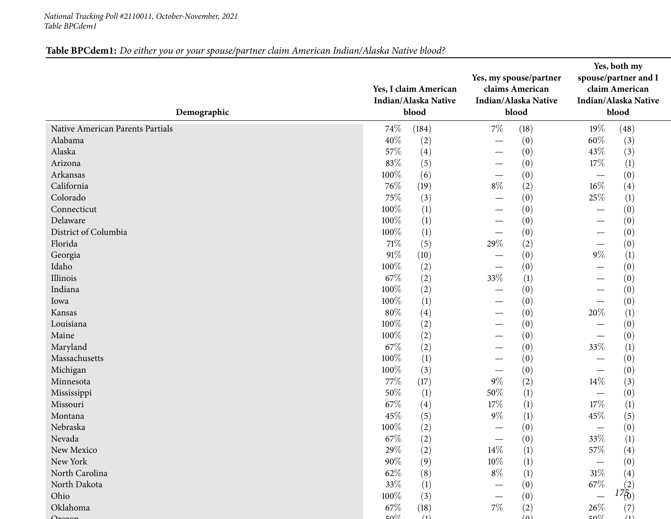#### *National Tracking Poll #2110011, October-November, <sup>2021</sup> Table BPCdem1*

## Table BPCdem1: Do either you or your spouse/partner claim American Indian/Alaska Native blood?

| Demographic                      | Yes, I claim American<br>Indian/Alaska Native<br>blood | Yes, my spouse/partner<br>claims American<br>Indian/Alaska Native<br>blood | Yes, both my<br>spouse/partner and I<br>claim American<br>Indian/Alaska Native<br>blood |
|----------------------------------|--------------------------------------------------------|----------------------------------------------------------------------------|-----------------------------------------------------------------------------------------|
| Native American Parents Partials | 74%<br>(184)                                           | $7\%$<br>(18)                                                              | 19%<br>(48)                                                                             |
| Alabama                          | 40%<br>(2)                                             | (0)                                                                        | 60%<br>(3)                                                                              |
| Alaska                           | 57%<br>(4)                                             | (0)<br>$\overbrace{\phantom{123321}}$                                      | 43\%<br>(3)                                                                             |
| Arizona                          | 83%<br>(5)                                             | (0)                                                                        | 17%<br>$\left(1\right)$                                                                 |
| Arkansas                         | 100%<br>(6)                                            | (0)                                                                        | (0)<br>$\hspace{0.1mm}-\hspace{0.1mm}$                                                  |
| California                       | 76%<br>(19)                                            | $8\%$<br>(2)                                                               | $16\%$<br>(4)                                                                           |
| Colorado                         | 75%<br>(3)                                             | (0)                                                                        | 25%<br>$\left(1\right)$                                                                 |
| Connecticut                      | 100%<br>(1)                                            | (0)                                                                        | (0)<br>—                                                                                |
| Delaware                         | (1)<br>100%                                            | (0)                                                                        | (0)<br>—                                                                                |
| District of Columbia             | (1)<br>100%                                            | (0)                                                                        | (0)                                                                                     |
| Florida                          | $71\%$<br>(5)                                          | 29%<br>(2)                                                                 | (0)                                                                                     |
| Georgia                          | 91%<br>(10)                                            | (0)                                                                        | $9\%$<br>$\left(1\right)$                                                               |
| Idaho                            | 100%<br>(2)                                            | (0)                                                                        | (0)                                                                                     |
| Illinois                         | 67\%<br>(2)                                            | 33%<br>(1)                                                                 | (0)                                                                                     |
| Indiana                          | 100%<br>(2)                                            | (0)                                                                        | (0)                                                                                     |
| Iowa                             | (1)<br>100%                                            | (0)                                                                        | (0)                                                                                     |
| Kansas                           | $80\%$<br>(4)                                          | (0)                                                                        | 20%<br>(1)                                                                              |
| Louisiana                        | 100%<br>(2)                                            | (0)                                                                        | (0)                                                                                     |
| Maine                            | 100%<br>(2)                                            | (0)                                                                        | (0)                                                                                     |
| Maryland                         | 67\%<br>(2)                                            | (0)                                                                        | 33%<br>$\left(1\right)$                                                                 |
| Massachusetts                    | (1)<br>100%                                            | (0)                                                                        | (0)<br>$\overline{\phantom{0}}$                                                         |
| Michigan                         | 100%<br>(3)                                            | (0)                                                                        | (0)<br>—                                                                                |
| Minnesota                        | 77\%<br>(17)                                           | $9\%$<br>(2)                                                               | 14\%<br>(3)                                                                             |
| Mississippi                      | 50%<br>(1)                                             | $50\%$<br>(1)                                                              | (0)                                                                                     |
| Missouri                         | 67\%<br>(4)                                            | 17%<br>(1)                                                                 | (1)<br>17%                                                                              |
| Montana                          | 45%<br>(5)                                             | $9\%$<br>$\left(1\right)$                                                  | 45%<br>(5)                                                                              |
| Nebraska                         | 100%<br>(2)                                            | (0)                                                                        | (0)<br>$\overline{\phantom{0}}$                                                         |
| Nevada                           | 67%<br>(2)                                             | (0)                                                                        | 33%<br>(1)                                                                              |
| New Mexico                       | 29%<br>(2)                                             | $14\%$<br>$\left(1\right)$                                                 | 57%<br>$\left( 4\right)$                                                                |
| New York                         | 90%<br>(9)                                             | 10%<br>(1)                                                                 | (0)                                                                                     |
| North Carolina                   | 62\%<br>(8)                                            | $8\%$<br>$\left(1\right)$                                                  | $31\%$<br>(4)                                                                           |
| North Dakota                     | 33\%<br>(1)                                            | (0)                                                                        | 67\%                                                                                    |
| Ohio                             | 100%<br>(3)                                            | (0)                                                                        | $17^{(2)}_{(0)}$                                                                        |
| Oklahoma                         | 67\%<br>(18)                                           | $7\%$<br>(2)                                                               | $26\%$<br>(7)                                                                           |
|                                  | $E\Omega$ <sup>07</sup><br>(1)                         | (n)                                                                        | $\mathsf{F}\Omega$<br>(1)                                                               |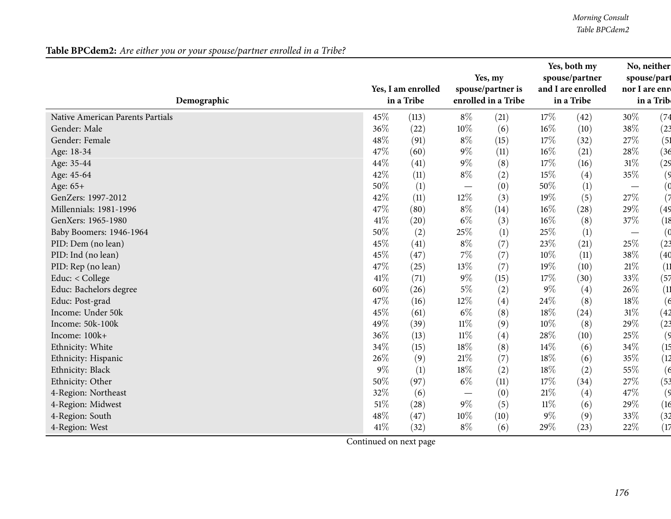*Morning Consult Table BPCdem2*

| Demographic                      |        | Yes, I am enrolled<br>in a Tribe |        | Yes, my<br>spouse/partner is<br>enrolled in a Tribe |        | Yes, both my<br>spouse/partner<br>and I are enrolled<br>in a Tribe | No, neither<br>spouse/part<br>nor I are enr | in a Trib      |
|----------------------------------|--------|----------------------------------|--------|-----------------------------------------------------|--------|--------------------------------------------------------------------|---------------------------------------------|----------------|
| Native American Parents Partials | 45%    | (113)                            | $8\%$  | (21)                                                | 17\%   | (42)                                                               | 30%                                         | (74)           |
| Gender: Male                     | 36%    | (22)                             | 10%    | (6)                                                 | 16%    | (10)                                                               | 38%                                         | (23)           |
| Gender: Female                   | 48%    | (91)                             | $8\%$  | (15)                                                | 17%    | (32)                                                               | 27%                                         | (51)           |
| Age: 18-34                       | 47%    | (60)                             | $9\%$  | (11)                                                | 16%    | (21)                                                               | 28\%                                        | (36)           |
| Age: 35-44                       | 44%    | (41)                             | $9\%$  | (8)                                                 | 17%    | (16)                                                               | $31\%$                                      | (29)           |
| Age: 45-64                       | 42%    | (11)                             | $8\%$  | (2)                                                 | 15%    | (4)                                                                | 35%                                         | (9)            |
| Age: 65+                         | 50%    | $\left(1\right)$                 |        | (0)                                                 | 50%    | (1)                                                                | $\overline{\phantom{m}}$                    | $\mathfrak{g}$ |
| GenZers: 1997-2012               | 42%    | (11)                             | 12%    | (3)                                                 | 19%    | (5)                                                                | 27%                                         | (7)            |
| Millennials: 1981-1996           | 47%    | (80)                             | $8\%$  | (14)                                                | 16%    | (28)                                                               | 29%                                         | (49            |
| GenXers: 1965-1980               | 41\%   | (20)                             | $6\%$  | (3)                                                 | 16%    | (8)                                                                | 37%                                         | (18)           |
| Baby Boomers: 1946-1964          | 50%    | (2)                              | 25%    | (1)                                                 | 25%    | $\left(1\right)$                                                   | $\overline{\phantom{m}}$                    | (0)            |
| PID: Dem (no lean)               | 45%    | (41)                             | $8\%$  | (7)                                                 | 23%    | (21)                                                               | 25%                                         | (23)           |
| PID: Ind (no lean)               | 45%    | (47)                             | 7%     | (7)                                                 | 10%    | (11)                                                               | 38%                                         | (40)           |
| PID: Rep (no lean)               | 47%    | (25)                             | 13%    | (7)                                                 | 19%    | (10)                                                               | $21\%$                                      | (11)           |
| Educ: < College                  | 41\%   | (71)                             | $9\%$  | (15)                                                | 17%    | (30)                                                               | 33%                                         | (57)           |
| Educ: Bachelors degree           | $60\%$ | (26)                             | $5\%$  | (2)                                                 | $9\%$  | (4)                                                                | $26\%$                                      | (11)           |
| Educ: Post-grad                  | 47%    | (16)                             | $12\%$ | (4)                                                 | 24%    | (8)                                                                | $18\%$                                      | (6)            |
| Income: Under 50k                | 45%    | (61)                             | $6\%$  | (8)                                                 | 18%    | (24)                                                               | $31\%$                                      | (42)           |
| Income: 50k-100k                 | 49%    | (39)                             | $11\%$ | (9)                                                 | 10%    | (8)                                                                | 29%                                         | (23)           |
| Income: 100k+                    | 36%    | (13)                             | $11\%$ | (4)                                                 | 28%    | (10)                                                               | 25%                                         | (9)            |
| Ethnicity: White                 | 34%    | (15)                             | 18%    | (8)                                                 | 14%    | (6)                                                                | 34%                                         | (15            |
| Ethnicity: Hispanic              | 26%    | (9)                              | $21\%$ | (7)                                                 | 18%    | (6)                                                                | $35\%$                                      | (12)           |
| Ethnicity: Black                 | $9\%$  | (1)                              | 18%    | (2)                                                 | 18%    | (2)                                                                | 55%                                         | (6)            |
| Ethnicity: Other                 | 50%    | (97)                             | $6\%$  | (11)                                                | 17%    | (34)                                                               | 27\%                                        | (53)           |
| 4-Region: Northeast              | 32%    | (6)                              |        | (0)                                                 | 21%    | (4)                                                                | 47%                                         | (9)            |
| 4-Region: Midwest                | 51%    | (28)                             | $9\%$  | (5)                                                 | $11\%$ | (6)                                                                | 29%                                         | (16)           |
| 4-Region: South                  | 48%    | (47)                             | 10%    | (10)                                                | $9\%$  | (9)                                                                | $33\%$                                      | (32)           |
| 4-Region: West                   | 41\%   | (32)                             | $8\%$  | (6)                                                 | 29%    | (23)                                                               | 22%                                         | (17)           |

Table BPCdem2: Are either you or your spouse/partner enrolled in a Tribe?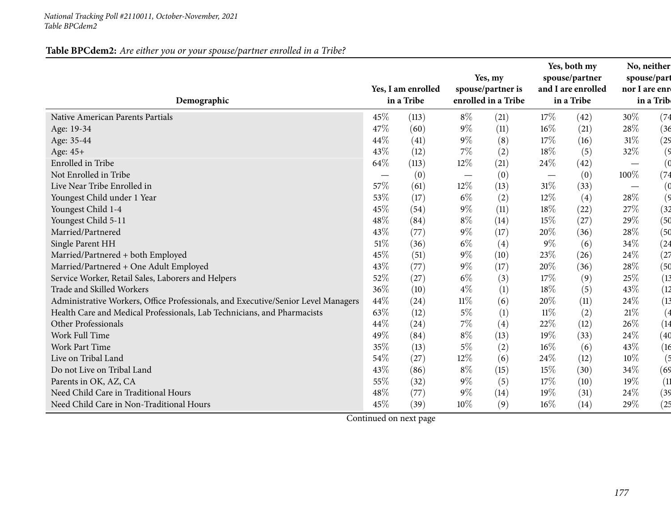#### *National Tracking Poll #2110011, October-November, <sup>2021</sup> Table BPCdem2*

## Table BPCdem2: Are either you or your spouse/partner enrolled in a Tribe?

| Demographic                                                                       |      | Yes, I am enrolled<br>in a Tribe | Yes, my<br>spouse/partner is<br>enrolled in a Tribe |      | Yes, both my<br>spouse/partner<br>and I are enrolled<br>in a Tribe |      | No, neither<br>spouse/part<br>nor I are enre<br>in a Trib |      |
|-----------------------------------------------------------------------------------|------|----------------------------------|-----------------------------------------------------|------|--------------------------------------------------------------------|------|-----------------------------------------------------------|------|
| Native American Parents Partials                                                  | 45%  | (113)                            | $8\%$                                               | (21) | 17\%                                                               | (42) | 30%                                                       | (74) |
| Age: 19-34                                                                        | 47%  | (60)                             | $9\%$                                               | (11) | $16\%$                                                             | (21) | 28%                                                       | (36) |
| Age: 35-44                                                                        | 44%  | (41)                             | $9\%$                                               | (8)  | 17%                                                                | (16) | $31\%$                                                    | (29  |
| Age: 45+                                                                          | 43%  | (12)                             | 7%                                                  | (2)  | 18%                                                                | (5)  | $32\%$                                                    | (9)  |
| Enrolled in Tribe                                                                 | 64\% | (113)                            | 12%                                                 | (21) | 24\%                                                               | (42) |                                                           | (0   |
| Not Enrolled in Tribe                                                             |      | (0)                              | $\hspace{0.1mm}-\hspace{0.1mm}$                     | (0)  |                                                                    | (0)  | 100%                                                      | (74  |
| Live Near Tribe Enrolled in                                                       | 57%  | (61)                             | 12%                                                 | (13) | $31\%$                                                             | (33) |                                                           | (0   |
| Youngest Child under 1 Year                                                       | 53%  | (17)                             | $6\%$                                               | (2)  | 12%                                                                | (4)  | 28\%                                                      | (9)  |
| Youngest Child 1-4                                                                | 45%  | (54)                             | $9\%$                                               | (11) | 18%                                                                | (22) | 27%                                                       | (32) |
| Youngest Child 5-11                                                               | 48%  | (84)                             | $8\%$                                               | (14) | 15%                                                                | (27) | 29%                                                       | (50  |
| Married/Partnered                                                                 | 43%  | (77)                             | $9\%$                                               | (17) | 20%                                                                | (36) | 28%                                                       | (50  |
| Single Parent HH                                                                  | 51%  | (36)                             | $6\%$                                               | (4)  | $9\%$                                                              | (6)  | 34%                                                       | (24  |
| Married/Partnered + both Employed                                                 | 45%  | (51)                             | $9\%$                                               | (10) | 23%                                                                | (26) | 24%                                                       | (27) |
| Married/Partnered + One Adult Employed                                            | 43%  | (77)                             | $9\%$                                               | (17) | 20%                                                                | (36) | 28%                                                       | (50  |
| Service Worker, Retail Sales, Laborers and Helpers                                | 52%  | (27)                             | $6\%$                                               | (3)  | 17%                                                                | (9)  | 25%                                                       | (13) |
| Trade and Skilled Workers                                                         | 36%  | (10)                             | $4\%$                                               | (1)  | 18%                                                                | (5)  | 43%                                                       | (12) |
| Administrative Workers, Office Professionals, and Executive/Senior Level Managers | 44%  | (24)                             | $11\%$                                              | (6)  | 20%                                                                | (11) | 24%                                                       | (13) |
| Health Care and Medical Professionals, Lab Technicians, and Pharmacists           | 63%  | (12)                             | $5\%$                                               | (1)  | $11\%$                                                             | (2)  | $21\%$                                                    | (4   |
| Other Professionals                                                               | 44%  | (24)                             | 7%                                                  | (4)  | 22%                                                                | (12) | 26%                                                       | (14  |
| Work Full Time                                                                    | 49%  | (84)                             | $8\%$                                               | (13) | 19%                                                                | (33) | 24%                                                       | (40  |
| <b>Work Part Time</b>                                                             | 35%  | (13)                             | $5\%$                                               | (2)  | 16%                                                                | (6)  | 43%                                                       | (16) |
| Live on Tribal Land                                                               | 54%  | (27)                             | 12%                                                 | (6)  | 24\%                                                               | (12) | 10%                                                       | (5   |
| Do not Live on Tribal Land                                                        | 43%  | (86)                             | $8\%$                                               | (15) | 15%                                                                | (30) | 34%                                                       | (69) |
| Parents in OK, AZ, CA                                                             | 55%  | (32)                             | $9\%$                                               | (5)  | 17%                                                                | (10) | 19%                                                       | (11) |
| Need Child Care in Traditional Hours                                              | 48%  | (77)                             | $9\%$                                               | (14) | 19%                                                                | (31) | 24%                                                       | (39) |
| Need Child Care in Non-Traditional Hours                                          | 45%  | (39)                             | 10%                                                 | (9)  | 16%                                                                | (14) | 29%                                                       | (25  |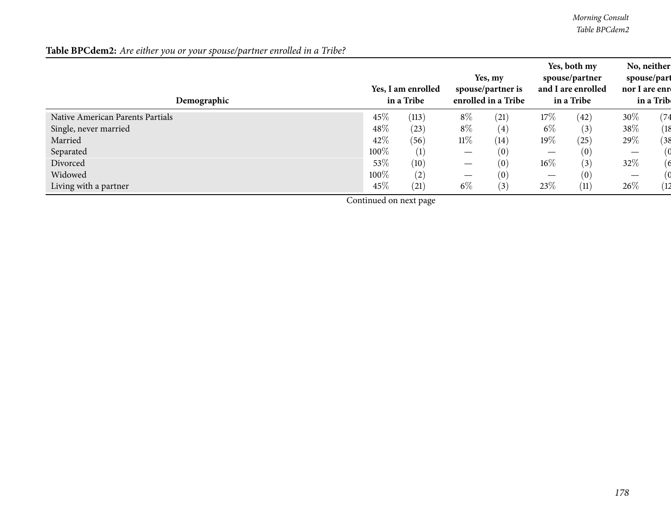*Morning Consult Table BPCdem2*

| Demographic                      | Yes, I am enrolled<br>in a Tribe |       | Yes, my<br>spouse/partner is<br>enrolled in a Tribe |      | Yes, both my<br>spouse/partner<br>and I are enrolled<br>in a Tribe |      | spouse/part<br>nor I are enre | No, neither<br>in a Trib |
|----------------------------------|----------------------------------|-------|-----------------------------------------------------|------|--------------------------------------------------------------------|------|-------------------------------|--------------------------|
| Native American Parents Partials | 45\%                             | (113) | $8\%$                                               | (21) | $17\%$                                                             | (42) | 30%                           | (74)                     |
| Single, never married            | 48\%                             | (23)  | $8\%$                                               | (4)  | $6\%$                                                              | (3)  | 38\%                          | (18                      |
| Married                          | 42\%                             | (56)  | $11\%$                                              | (14) | $19\%$                                                             | (25) | 29%                           | (38                      |
| Separated                        | $100\%$                          | (1)   |                                                     | (0)  |                                                                    | (0)  |                               |                          |
| Divorced                         | 53\%                             | (10)  | $\overbrace{\phantom{13333}}$                       | (0)  | $16\%$                                                             | (3)  | 32\%                          | 6                        |
| Widowed                          | 100%                             | (2)   | $\hspace{0.05cm}$                                   | (0)  |                                                                    | (0)  | $\overline{\phantom{0}}$      |                          |
| Living with a partner            | 45%                              | (21)  | $6\%$                                               | (3)  | $23\%$                                                             | (11) | 26\%                          | 12                       |

Table BPCdem2: Are either you or your spouse/partner enrolled in a Tribe?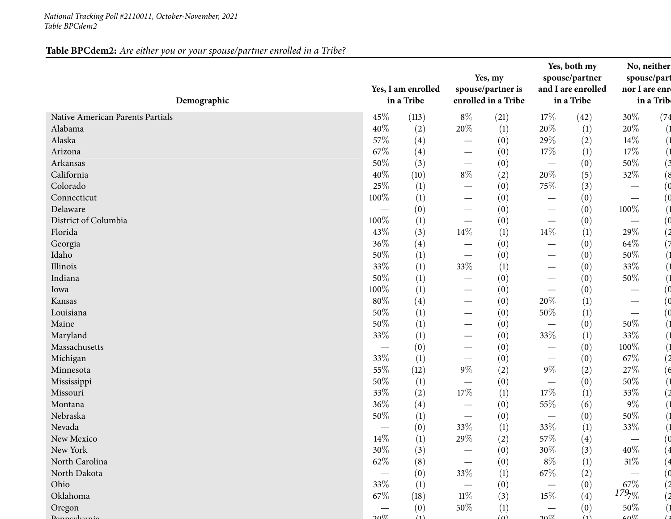#### *National Tracking Poll #2110011, October-November, <sup>2021</sup> Table BPCdem2*

## Table BPCdem2: Are either you or your spouse/partner enrolled in a Tribe?

| Demographic                      |                               | Yes, I am enrolled<br>in a Tribe |                                  | Yes, my<br>spouse/partner is<br>enrolled in a Tribe |                          | Yes, both my<br>spouse/partner<br>and I are enrolled<br>in a Tribe | No, neither<br>spouse/part<br>nor I are enre | in a Trib      |
|----------------------------------|-------------------------------|----------------------------------|----------------------------------|-----------------------------------------------------|--------------------------|--------------------------------------------------------------------|----------------------------------------------|----------------|
| Native American Parents Partials | 45\%                          | (113)                            | $8\%$                            | (21)                                                | 17%                      | (42)                                                               | 30%                                          | (74)           |
| Alabama                          | 40%                           | (2)                              | $20\%$                           | (1)                                                 | 20%                      | (1)                                                                | $20\%$                                       |                |
| Alaska                           | 57\%                          | (4)                              |                                  | (0)                                                 | 29%                      | (2)                                                                | $14\%$                                       |                |
| Arizona                          | 67\%                          | (4)                              |                                  | (0)                                                 | 17%                      | (1)                                                                | $17\%$                                       |                |
| Arkansas                         | 50%                           | (3)                              | $\hspace{0.1mm}-\hspace{0.1mm}$  | (0)                                                 |                          | (0)                                                                | 50%                                          | (3             |
| California                       | 40\%                          | (10)                             | $8\%$                            | (2)                                                 | $20\%$                   | (5)                                                                | 32\%                                         | (8)            |
| Colorado                         | 25%                           | $\left(1\right)$                 | $\hspace{0.1mm}-\hspace{0.1mm}$  | (0)                                                 | 75\%                     | (3)                                                                | $\hspace{0.1mm}-\hspace{0.1mm}$              | 0)             |
| Connecticut                      | 100%                          | (1)                              |                                  | (0)                                                 |                          | (0)                                                                | $\overline{\phantom{m}}$                     | (0             |
| Delaware                         |                               | (0)                              | $\overline{\phantom{0}}$         | (0)                                                 |                          | (0)                                                                | 100%                                         |                |
| District of Columbia             | 100%                          | (1)                              | $\overline{\phantom{0}}$         | (0)                                                 |                          | (0)                                                                | $\overbrace{\phantom{13333}}$                | (0             |
| Florida                          | 43%                           | (3)                              | 14\%                             | (1)                                                 | 14\%                     | (1)                                                                | 29%                                          | $\overline{2}$ |
| Georgia                          | 36%                           | (4)                              | —                                | (0)                                                 |                          | (0)                                                                | 64\%                                         |                |
| Idaho                            | $50\%$                        | (1)                              | $\overbrace{\phantom{12322111}}$ | (0)                                                 |                          | (0)                                                                | $50\%$                                       |                |
| Illinois                         | 33%                           | (1)                              | 33%                              | (1)                                                 |                          | (0)                                                                | 33%                                          |                |
| Indiana                          | $50\%$                        | (1)                              | $\overline{\phantom{0}}$         | (0)                                                 |                          | (0)                                                                | 50%                                          |                |
| Iowa                             | 100%                          | (1)                              | $\hspace{0.1mm}-\hspace{0.1mm}$  | (0)                                                 | $\overline{\phantom{m}}$ | (0)                                                                | $\hspace{0.1mm}-\hspace{0.1mm}$              |                |
| Kansas                           | 80%                           | (4)                              |                                  | (0)                                                 | 20%                      | $\left(1\right)$                                                   |                                              | 0)             |
| Louisiana                        | $50\%$                        | (1)                              |                                  | (0)                                                 | 50%                      | (1)                                                                |                                              | 0)             |
| Maine                            | 50%                           | (1)                              |                                  | (0)                                                 |                          | (0)                                                                | 50%                                          |                |
| Maryland                         | 33\%                          | (1)                              |                                  | (0)                                                 | 33%                      | (1)                                                                | 33%                                          |                |
| Massachusetts                    |                               | (0)                              |                                  | (0)                                                 |                          | (0)                                                                | 100%                                         |                |
| Michigan                         | 33%                           | (1)                              |                                  | (0)                                                 |                          | (0)                                                                | 67%                                          | $\overline{c}$ |
| Minnesota                        | 55%                           | (12)                             | $9\%$                            | (2)                                                 | $9\%$                    | (2)                                                                | $27\%$                                       | (6)            |
| Mississippi                      | 50%                           | (1)                              | $\overline{\phantom{0}}$         | (0)                                                 |                          | (0)                                                                | 50%                                          |                |
| Missouri                         | 33%                           | (2)                              | $17\%$                           | (1)                                                 | 17%                      | (1)                                                                | 33%                                          |                |
| Montana                          | 36%                           | (4)                              |                                  | (0)                                                 | 55%                      | (6)                                                                | $9\%$                                        |                |
| Nebraska                         | 50%                           | (1)                              | $\overbrace{\phantom{13333}}$    | (0)                                                 |                          | (0)                                                                | $50\%$                                       |                |
| Nevada                           | $\overbrace{\phantom{13333}}$ | (0)                              | 33%                              | (1)                                                 | 33%                      | (1)                                                                | 33%                                          |                |
| New Mexico                       | $14\%$                        | $\left(1\right)$                 | $29\%$                           | (2)                                                 | 57\%                     | (4)                                                                |                                              |                |
| New York                         | $30\%$                        | (3)                              |                                  | (0)                                                 | 30\%                     | (3)                                                                | $40\%$                                       |                |
| North Carolina                   | $62\%$                        | (8)                              | $\overline{\phantom{0}}$         | (0)                                                 | $8\%$                    | $\left(1\right)$                                                   | $31\%$                                       |                |
| North Dakota                     |                               | (0)                              | 33%                              | (1)                                                 | 67\%                     | (2)                                                                |                                              |                |
| Ohio                             | 33\%                          | (1)                              |                                  | (0)                                                 |                          | (0)                                                                | $67\%$                                       |                |
| Oklahoma                         | $67\%$                        | (18)                             | $11\%$                           | (3)                                                 | 15\%                     | (4)                                                                | $179\%$                                      |                |
| Oregon                           |                               | (0)                              | 50%                              | (1)                                                 |                          | (0)                                                                | 50%                                          |                |
|                                  | 2007                          | (1)                              |                                  | $(\Omega)$                                          | 2007                     | (1)                                                                | $\epsilon$ 07                                |                |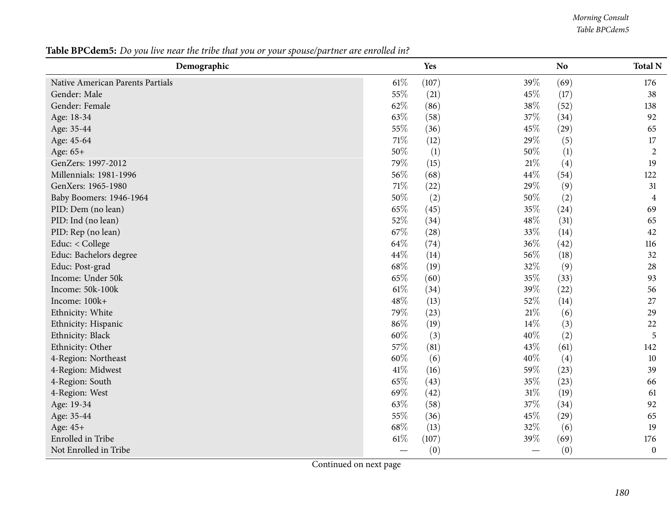*Morning Consult Table BPCdem5*

Table BPCdem5: Do you live near the tribe that you or your spouse/partner are enrolled in?

| Demographic                      |        | Yes              |        | N <sub>o</sub>   | <b>Total N</b>   |
|----------------------------------|--------|------------------|--------|------------------|------------------|
| Native American Parents Partials | $61\%$ | (107)            | 39%    | (69)             | 176              |
| Gender: Male                     | 55%    | (21)             | 45%    | (17)             | 38               |
| Gender: Female                   | 62%    | (86)             | 38\%   | (52)             | 138              |
| Age: 18-34                       | 63%    | (58)             | 37%    | (34)             | 92               |
| Age: 35-44                       | 55%    | (36)             | 45%    | (29)             | 65               |
| Age: 45-64                       | 71\%   | (12)             | 29%    | (5)              | 17               |
| Age: 65+                         | 50%    | $\left(1\right)$ | 50%    | $\left(1\right)$ | $\overline{2}$   |
| GenZers: 1997-2012               | 79%    | (15)             | $21\%$ | (4)              | 19               |
| Millennials: 1981-1996           | 56%    | (68)             | 44\%   | (54)             | 122              |
| GenXers: 1965-1980               | $71\%$ | (22)             | 29%    | (9)              | 31               |
| Baby Boomers: 1946-1964          | $50\%$ | (2)              | $50\%$ | (2)              | $\overline{4}$   |
| PID: Dem (no lean)               | 65%    | (45)             | 35%    | (24)             | 69               |
| PID: Ind (no lean)               | 52%    | (34)             | $48\%$ | (31)             | 65               |
| PID: Rep (no lean)               | 67\%   | (28)             | 33%    | (14)             | 42               |
| Educ: < College                  | 64\%   | (74)             | 36%    | (42)             | 116              |
| Educ: Bachelors degree           | 44\%   | (14)             | 56%    | (18)             | 32               |
| Educ: Post-grad                  | 68\%   | (19)             | 32%    | (9)              | 28               |
| Income: Under 50k                | 65%    | (60)             | 35%    | (33)             | 93               |
| Income: 50k-100k                 | $61\%$ | (34)             | 39%    | (22)             | 56               |
| Income: 100k+                    | 48%    | (13)             | 52%    | (14)             | 27               |
| Ethnicity: White                 | 79%    | (23)             | $21\%$ | (6)              | 29               |
| Ethnicity: Hispanic              | 86%    | (19)             | 14%    | (3)              | 22               |
| Ethnicity: Black                 | 60%    | (3)              | 40%    | (2)              | 5                |
| Ethnicity: Other                 | 57%    | (81)             | 43%    | (61)             | 142              |
| 4-Region: Northeast              | 60%    | (6)              | 40%    | (4)              | 10               |
| 4-Region: Midwest                | $41\%$ | (16)             | 59%    | (23)             | 39               |
| 4-Region: South                  | 65%    | (43)             | 35%    | (23)             | 66               |
| 4-Region: West                   | 69%    | (42)             | $31\%$ | (19)             | 61               |
| Age: 19-34                       | 63%    | (58)             | $37\%$ | (34)             | 92               |
| Age: 35-44                       | 55%    | (36)             | 45%    | (29)             | 65               |
| Age: 45+                         | 68\%   | (13)             | 32%    | (6)              | 19               |
| Enrolled in Tribe                | $61\%$ | (107)            | 39%    | (69)             | 176              |
| Not Enrolled in Tribe            |        | (0)              |        | (0)              | $\boldsymbol{0}$ |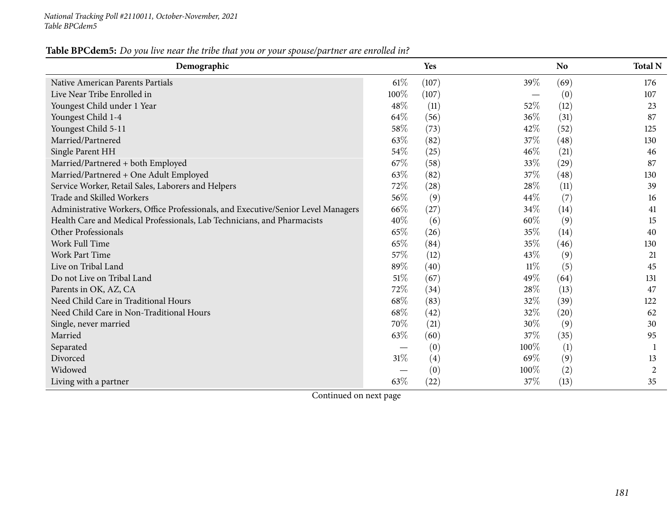#### Table BPCdem5: Do you live near the tribe that you or your spouse/partner are enrolled in?

| Demographic                                                                       |        | Yes               |        | <b>No</b> | <b>Total N</b> |
|-----------------------------------------------------------------------------------|--------|-------------------|--------|-----------|----------------|
| Native American Parents Partials                                                  | $61\%$ | (107)             | 39\%   | (69)      | 176            |
| Live Near Tribe Enrolled in                                                       | 100%   | (107)             |        | (0)       | 107            |
| Youngest Child under 1 Year                                                       | 48%    | (11)              | 52%    | (12)      | 23             |
| Youngest Child 1-4                                                                | 64%    | (56)              | 36%    | (31)      | 87             |
| Youngest Child 5-11                                                               | 58%    | (73)              | 42%    | (52)      | 125            |
| Married/Partnered                                                                 | 63%    | (82)              | 37\%   | (48)      | 130            |
| Single Parent HH                                                                  | 54%    | (25)              | 46\%   | (21)      | 46             |
| Married/Partnered + both Employed                                                 | 67\%   | (58)              | 33%    | (29)      | 87             |
| Married/Partnered + One Adult Employed                                            | 63\%   | (82)              | 37\%   | (48)      | 130            |
| Service Worker, Retail Sales, Laborers and Helpers                                | 72%    | (28)              | 28\%   | (11)      | 39             |
| Trade and Skilled Workers                                                         | 56%    | (9)               | 44%    | (7)       | 16             |
| Administrative Workers, Office Professionals, and Executive/Senior Level Managers | 66\%   | (27)              | 34\%   | (14)      | 41             |
| Health Care and Medical Professionals, Lab Technicians, and Pharmacists           | 40%    | (6)               | $60\%$ | (9)       | 15             |
| Other Professionals                                                               | 65%    | (26)              | 35%    | (14)      | 40             |
| Work Full Time                                                                    | 65%    | (84)              | 35%    | (46)      | 130            |
| <b>Work Part Time</b>                                                             | 57%    | (12)              | 43\%   | (9)       | 21             |
| Live on Tribal Land                                                               | 89%    | (40)              | $11\%$ | (5)       | 45             |
| Do not Live on Tribal Land                                                        | 51%    | (67)              | 49%    | (64)      | 131            |
| Parents in OK, AZ, CA                                                             | 72%    | (34)              | 28\%   | (13)      | 47             |
| Need Child Care in Traditional Hours                                              | 68%    | (83)              | 32%    | (39)      | 122            |
| Need Child Care in Non-Traditional Hours                                          | 68%    | (42)              | 32\%   | (20)      | 62             |
| Single, never married                                                             | 70%    | (21)              | 30%    | (9)       | 30             |
| Married                                                                           | 63%    | (60)              | 37%    | (35)      | 95             |
| Separated                                                                         |        | (0)               | 100%   | (1)       |                |
| Divorced                                                                          | $31\%$ | $\left( 4\right)$ | 69%    | (9)       | 13             |
| Widowed                                                                           |        | (0)               | 100%   | (2)       | 2              |
| Living with a partner                                                             | 63%    | (22)              | 37\%   | (13)      | 35             |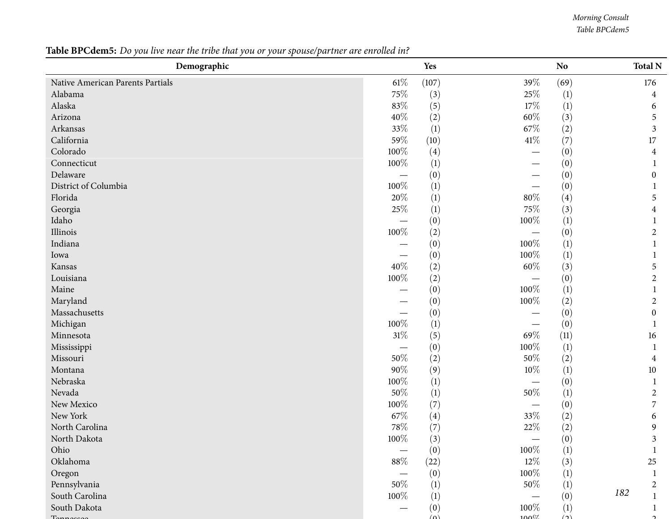*Morning Consult Table BPCdem5*

## Table BPCdem5: Do you live near the tribe that you or your spouse/partner are enrolled in?

| Demographic                      |                                 | Yes              |                                  | N <sub>o</sub>   | <b>Total N</b>   |
|----------------------------------|---------------------------------|------------------|----------------------------------|------------------|------------------|
| Native American Parents Partials | $61\%$                          | (107)            | 39%                              | (69)             | 176              |
| Alabama                          | 75%                             | (3)              | $25\%$                           | (1)              | 4                |
| Alaska                           | $83\%$                          | (5)              | 17%                              | $(1)$            | 6                |
| Arizona                          | $40\%$                          | (2)              | $60\%$                           | (3)              | 5                |
| Arkansas                         | $33\%$                          | (1)              | 67\%                             | (2)              | $\mathfrak{Z}$   |
| California                       | 59%                             | (10)             | $41\%$                           | (7)              | 17               |
| Colorado                         | 100%                            | (4)              | $\overbrace{\phantom{12321111}}$ | (0)              | 4                |
| Connecticut                      | 100%                            | $\left(1\right)$ | —                                | (0)              |                  |
| Delaware                         | $\overbrace{\phantom{123331}}$  | (0)              |                                  | (0)              | $\mathbf{0}$     |
| District of Columbia             | 100%                            | (1)              |                                  | (0)              |                  |
| Florida                          | $20\%$                          | (1)              | $80\%$                           | (4)              | 5                |
| Georgia                          | $25\%$                          | $\left(1\right)$ | 75%                              | (3)              | 4                |
| Idaho                            |                                 | (0)              | $100\%$                          | (1)              |                  |
| Illinois                         | $100\%$                         | (2)              | $\overbrace{\phantom{123331}}$   | (0)              | 2                |
| Indiana                          |                                 | (0)              | 100%                             | $(1)$            | 1                |
| Iowa                             | $\hspace{0.1mm}-\hspace{0.1mm}$ | (0)              | 100%                             | (1)              |                  |
| Kansas                           | $40\%$                          | (2)              | $60\%$                           | (3)              | 5                |
| Louisiana                        | 100%                            | (2)              | $\qquad \qquad -$                | (0)              | 2                |
| Maine                            |                                 | (0)              | 100%                             | $(1)$            |                  |
| Maryland                         |                                 | (0)              | $100\%$                          | (2)              | $\overline{2}$   |
| Massachusetts                    |                                 | (0)              | $\qquad \qquad -$                | (0)              | $\boldsymbol{0}$ |
| Michigan                         | 100%                            | (1)              |                                  | (0)              | -1               |
| Minnesota                        | $31\%$                          | (5)              | 69%                              | (11)             | 16               |
| Mississippi                      |                                 | (0)              | 100%                             | (1)              | -1               |
| Missouri                         | $50\%$                          | (2)              | $50\%$                           | (2)              | 4                |
| Montana                          | $90\%$                          | (9)              | $10\%$                           | $(1)$            | 10               |
| Nebraska                         | 100%                            | (1)              | $\overbrace{\phantom{123331}}$   | (0)              | -1               |
| Nevada                           | $50\%$                          | (1)              | $50\%$                           | (1)              | $\overline{2}$   |
| New Mexico                       | $100\%$                         | (7)              | $\qquad \qquad -$                | (0)              | $\overline{7}$   |
| New York                         | $67\%$                          | (4)              | $33\%$                           | (2)              | 6                |
| North Carolina                   | $78\%$                          | (7)              | $22\%$                           | (2)              | 9                |
| North Dakota                     | $100\%$                         | (3)              |                                  | (0)              | $\mathbf{c}$     |
| Ohio                             |                                 | (0)              | $100\%$                          | $(1)$            |                  |
| Oklahoma                         | $88\%$                          | (22)             | $12\%$                           | (3)              | 25               |
| Oregon                           |                                 | (0)              | 100%                             | $(1)$            |                  |
| Pennsylvania                     | 50%                             | $\left(1\right)$ | 50%                              | $\left(1\right)$ | $\overline{2}$   |
| South Carolina                   | 100%                            | $\left(1\right)$ |                                  | (0)              | 182              |
| South Dakota                     |                                 | (0)              | 100%                             | $(1)$            |                  |
|                                  |                                 | $\omega$         | $100\%$                          | $\Delta$         |                  |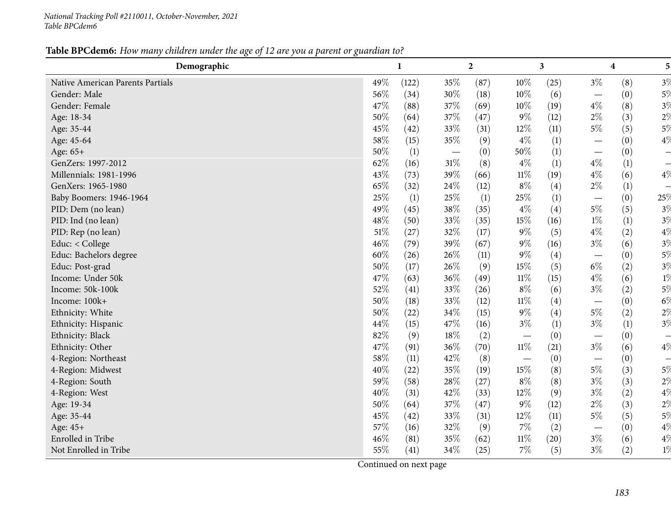#### Table BPCdem6: How many children under the age of 12 are you a parent or guardian to?

| Demographic                      |        | $\mathbf{1}$ |                          | $\overline{2}$ |        | $\mathbf{3}$ |                          | 4   | 5 <sup>1</sup> |
|----------------------------------|--------|--------------|--------------------------|----------------|--------|--------------|--------------------------|-----|----------------|
| Native American Parents Partials | 49%    | (122)        | 35%                      | (87)           | 10%    | (25)         | $3\%$                    | (8) | 3%             |
| Gender: Male                     | 56%    | (34)         | 30%                      | (18)           | 10%    | (6)          |                          | (0) | $5\%$          |
| Gender: Female                   | 47%    | (88)         | 37%                      | (69)           | 10%    | (19)         | $4\%$                    | (8) | $3\%$          |
| Age: 18-34                       | 50%    | (64)         | 37%                      | (47)           | $9\%$  | (12)         | $2\%$                    | (3) | 2 <sup>0</sup> |
| Age: 35-44                       | 45%    | (42)         | 33%                      | (31)           | 12%    | (11)         | $5\%$                    | (5) | $5\%$          |
| Age: 45-64                       | 58%    | (15)         | 35%                      | (9)            | $4\%$  | (1)          |                          | (0) | 4%             |
| Age: 65+                         | 50%    | (1)          | $\overline{\phantom{m}}$ | (0)            | 50%    | (1)          |                          | (0) |                |
| GenZers: 1997-2012               | 62%    | (16)         | 31%                      | (8)            | $4\%$  | (1)          | $4\%$                    | (1) |                |
| Millennials: 1981-1996           | 43%    | (73)         | 39%                      | (66)           | $11\%$ | (19)         | $4\%$                    | (6) | $4\%$          |
| GenXers: 1965-1980               | 65%    | (32)         | 24\%                     | (12)           | $8\%$  | (4)          | $2\%$                    | (1) |                |
| Baby Boomers: 1946-1964          | 25%    | (1)          | 25%                      | (1)            | 25%    | (1)          | $\overline{\phantom{m}}$ | (0) | 25%            |
| PID: Dem (no lean)               | 49%    | (45)         | 38%                      | (35)           | $4\%$  | (4)          | $5\%$                    | (5) | $3\%$          |
| PID: Ind (no lean)               | 48%    | (50)         | 33%                      | (35)           | $15\%$ | (16)         | $1\%$                    | (1) | $3\%$          |
| PID: Rep (no lean)               | $51\%$ | (27)         | 32%                      | (17)           | $9\%$  | (5)          | $4\%$                    | (2) | $4\%$          |
| Educ: < College                  | 46%    | (79)         | 39%                      | (67)           | $9\%$  | (16)         | $3\%$                    | (6) | $3\%$          |
| Educ: Bachelors degree           | 60%    | (26)         | 26%                      | (11)           | $9\%$  | (4)          |                          | (0) | 5%             |
| Educ: Post-grad                  | 50%    | (17)         | 26%                      | (9)            | 15%    | (5)          | $6\%$                    | (2) | $3\%$          |
| Income: Under 50k                | 47%    | (63)         | 36%                      | (49)           | $11\%$ | (15)         | $4\%$                    | (6) | $1\%$          |
| Income: 50k-100k                 | 52%    | (41)         | 33%                      | (26)           | $8\%$  | (6)          | $3\%$                    | (2) | $5\%$          |
| Income: 100k+                    | 50%    | (18)         | 33%                      | (12)           | $11\%$ | (4)          |                          | (0) | $6\%$          |
| Ethnicity: White                 | 50%    | (22)         | 34%                      | (15)           | $9\%$  | (4)          | $5\%$                    | (2) | $2\%$          |
| Ethnicity: Hispanic              | 44%    | (15)         | 47%                      | (16)           | $3\%$  | (1)          | $3\%$                    | (1) | 3%             |
| Ethnicity: Black                 | 82%    | (9)          | 18%                      | (2)            |        | (0)          |                          | (0) |                |
| Ethnicity: Other                 | 47%    | (91)         | 36%                      | (70)           | $11\%$ | (21)         | $3\%$                    | (6) | $4\%$          |
| 4-Region: Northeast              | 58%    | (11)         | 42%                      | (8)            |        | (0)          |                          | (0) |                |
| 4-Region: Midwest                | 40%    | (22)         | 35%                      | (19)           | $15\%$ | (8)          | $5\%$                    | (3) | $5\%$          |
| 4-Region: South                  | 59%    | (58)         | 28%                      | (27)           | $8\%$  | (8)          | $3\%$                    | (3) | $2\%$          |
| 4-Region: West                   | 40%    | (31)         | 42%                      | (33)           | 12%    | (9)          | $3\%$                    | (2) | $4\%$          |
| Age: 19-34                       | 50%    | (64)         | 37%                      | (47)           | $9\%$  | (12)         | $2\%$                    | (3) | $2\%$          |
| Age: 35-44                       | 45%    | (42)         | 33%                      | (31)           | 12%    | (11)         | $5\%$                    | (5) | 5%             |
| Age: 45+                         | 57%    | (16)         | 32%                      | (9)            | $7\%$  | (2)          | $\overline{\phantom{m}}$ | (0) | $4\%$          |
| Enrolled in Tribe                | 46%    | (81)         | 35%                      | (62)           | $11\%$ | (20)         | $3\%$                    | (6) | $4\%$          |
| Not Enrolled in Tribe            | 55%    | (41)         | 34%                      | (25)           | $7\%$  | (5)          | $3\%$                    | (2) | $1\%$          |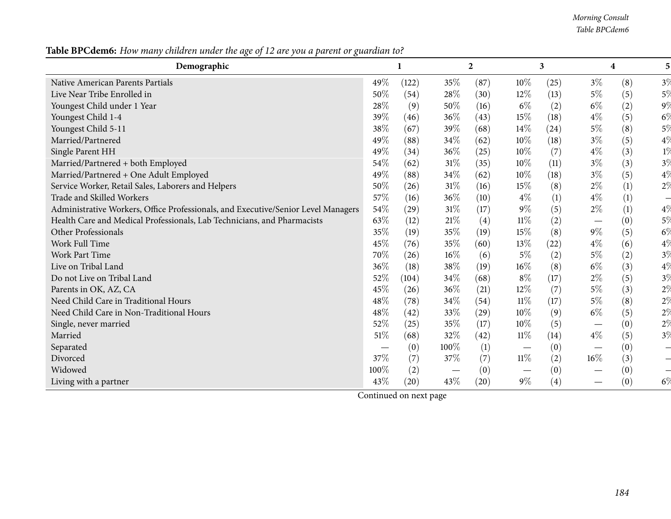*Morning Consult Table BPCdem6*

|--|

| Demographic                                                                       |        |       |        | $\boldsymbol{2}$ |                   | 3    |                                 | 4   | 5 <sub>l</sub> |
|-----------------------------------------------------------------------------------|--------|-------|--------|------------------|-------------------|------|---------------------------------|-----|----------------|
| Native American Parents Partials                                                  | 49%    | (122) | 35%    | (87)             | $10\%$            | (25) | $3\%$                           | (8) | 3%             |
| Live Near Tribe Enrolled in                                                       | 50%    | (54)  | 28%    | (30)             | $12\%$            | (13) | $5\%$                           | (5) | $5\%$          |
| Youngest Child under 1 Year                                                       | 28%    | (9)   | 50%    | (16)             | $6\%$             | (2)  | $6\%$                           | (2) | 9 <sup>0</sup> |
| Youngest Child 1-4                                                                | 39%    | (46)  | 36%    | (43)             | 15%               | (18) | $4\%$                           | (5) | $6\%$          |
| Youngest Child 5-11                                                               | 38\%   | (67)  | 39%    | (68)             | 14\%              | (24) | $5\%$                           | (8) | $5\%$          |
| Married/Partnered                                                                 | 49%    | (88)  | 34%    | (62)             | $10\%$            | (18) | $3\%$                           | (5) | $4\%$          |
| Single Parent HH                                                                  | 49%    | (34)  | 36%    | (25)             | 10%               | (7)  | $4\%$                           | (3) | $1\%$          |
| Married/Partnered + both Employed                                                 | 54%    | (62)  | 31%    | (35)             | 10%               | (11) | $3\%$                           | (3) | $3\%$          |
| Married/Partnered + One Adult Employed                                            | 49%    | (88)  | 34%    | (62)             | 10%               | (18) | $3\%$                           | (5) | $4\%$          |
| Service Worker, Retail Sales, Laborers and Helpers                                | 50%    | (26)  | 31%    | (16)             | 15%               | (8)  | $2\%$                           | (1) | $2\%$          |
| Trade and Skilled Workers                                                         | 57%    | (16)  | 36%    | (10)             | $4\%$             | (1)  | $4\%$                           | (1) |                |
| Administrative Workers, Office Professionals, and Executive/Senior Level Managers | 54%    | (29)  | $31\%$ | (17)             | $9\%$             | (5)  | $2\%$                           | (1) | 4%             |
| Health Care and Medical Professionals, Lab Technicians, and Pharmacists           | 63%    | (12)  | 21\%   | (4)              | $11\%$            | (2)  |                                 | (0) | $5\%$          |
| Other Professionals                                                               | 35%    | (19)  | 35%    | (19)             | $15\%$            | (8)  | $9\%$                           | (5) | $6\%$          |
| Work Full Time                                                                    | 45%    | (76)  | 35%    | (60)             | 13\%              | (22) | $4\%$                           | (6) | $4\%$          |
| <b>Work Part Time</b>                                                             | 70%    | (26)  | 16%    | (6)              | $5\%$             | (2)  | $5\%$                           | (2) | $3\%$          |
| Live on Tribal Land                                                               | 36%    | (18)  | 38%    | (19)             | 16%               | (8)  | $6\%$                           | (3) | $4\%$          |
| Do not Live on Tribal Land                                                        | 52\%   | (104) | 34%    | (68)             | $8\%$             | (17) | $2\%$                           | (5) | $3\%$          |
| Parents in OK, AZ, CA                                                             | 45%    | (26)  | 36%    | (21)             | 12%               | (7)  | $5\%$                           | (3) | $2\%$          |
| Need Child Care in Traditional Hours                                              | 48\%   | (78)  | 34%    | (54)             | $11\%$            | (17) | $5\%$                           | (8) | $2\%$          |
| Need Child Care in Non-Traditional Hours                                          | 48\%   | (42)  | 33%    | (29)             | $10\%$            | (9)  | $6\%$                           | (5) | $2\%$          |
| Single, never married                                                             | 52%    | (25)  | 35%    | (17)             | 10%               | (5)  | $\hspace{0.1mm}-\hspace{0.1mm}$ | (0) | $2\%$          |
| Married                                                                           | $51\%$ | (68)  | 32%    | (42)             | $11\%$            | (14) | $4\%$                           | (5) | $3\%$          |
| Separated                                                                         |        | (0)   | 100%   | (1)              | $\hspace{0.05cm}$ | (0)  |                                 | (0) |                |
| Divorced                                                                          | 37%    | (7)   | 37%    | (7)              | $11\%$            | (2)  | $16\%$                          | (3) |                |
| Widowed                                                                           | 100%   | (2)   |        | (0)              |                   | (0)  | $\overline{\phantom{0}}$        | (0) |                |
| Living with a partner                                                             | 43%    | (20)  | 43%    | (20)             | $9\%$             | (4)  | $\overline{\phantom{0}}$        | (0) | $6\%$          |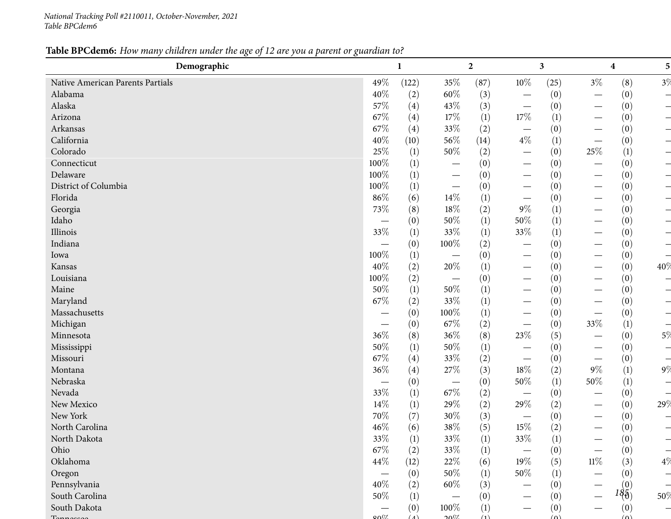*National Tracking Poll #2110011, October-November, <sup>2021</sup> Table BPCdem6*

## Table BPCdem6: How many children under the age of 12 are you a parent or guardian to?

| Demographic                      |         | $\mathbf{1}$ |                                 | $\boldsymbol{2}$ |                                  | $\mathbf{3}$     |                                  | 4                                             | 5 <sup>1</sup> |
|----------------------------------|---------|--------------|---------------------------------|------------------|----------------------------------|------------------|----------------------------------|-----------------------------------------------|----------------|
| Native American Parents Partials | 49%     | (122)        | 35%                             | (87)             | $10\%$                           | (25)             | $3\%$                            | (8)                                           | 3%             |
| Alabama                          | 40%     | (2)          | 60%                             | (3)              |                                  | (0)              |                                  | (0)                                           |                |
| Alaska                           | 57%     | (4)          | 43%                             | (3)              | $\overline{\phantom{m}}$         | (0)              |                                  | (0)                                           |                |
| Arizona                          | 67%     | (4)          | 17%                             | (1)              | 17%                              | $\left(1\right)$ |                                  | (0)                                           |                |
| Arkansas                         | 67%     | (4)          | 33%                             | (2)              |                                  | (0)              |                                  | (0)                                           |                |
| California                       | 40%     | (10)         | 56%                             | (14)             | $4\%$                            | (1)              |                                  | (0)                                           |                |
| Colorado                         | 25%     | (1)          | 50%                             | (2)              | $\overline{\phantom{0}}$         | (0)              | 25\%                             | $\left(1\right)$                              |                |
| Connecticut                      | 100%    | (1)          |                                 | (0)              | $\overline{\phantom{0}}$         | (0)              |                                  | (0)                                           |                |
| Delaware                         | $100\%$ | (1)          |                                 | (0)              |                                  | (0)              |                                  | (0)                                           |                |
| District of Columbia             | 100%    | (1)          |                                 | (0)              | $\overline{\phantom{0}}$         | (0)              |                                  | (0)                                           |                |
| Florida                          | 86%     | (6)          | 14%                             | $\left(1\right)$ | $\hspace{0.1mm}-\hspace{0.1mm}$  | (0)              |                                  | (0)                                           |                |
| Georgia                          | 73%     | (8)          | 18%                             | (2)              | $9\%$                            | (1)              |                                  | (0)                                           |                |
| Idaho                            |         | (0)          | 50%                             | (1)              | $50\%$                           | (1)              |                                  | (0)                                           |                |
| Illinois                         | 33%     | (1)          | 33%                             | (1)              | 33%                              | (1)              |                                  | (0)                                           |                |
| Indiana                          |         | (0)          | 100%                            | (2)              | $\overline{\phantom{0}}$         | (0)              |                                  | (0)                                           |                |
| Iowa                             | 100%    | (1)          |                                 | (0)              | $\overbrace{\phantom{13333}}$    | (0)              |                                  | (0)                                           |                |
| Kansas                           | 40%     | (2)          | 20%                             | (1)              | $\overline{\phantom{0}}$         | (0)              | $\hspace{0.1mm}-\hspace{0.1mm}$  | (0)                                           | 40%            |
| Louisiana                        | 100%    | (2)          | $\overline{\phantom{m}}$        | (0)              |                                  | (0)              |                                  | (0)                                           |                |
| Maine                            | 50%     | (1)          | 50%                             | (1)              | $\overline{\phantom{0}}$         | (0)              |                                  | (0)                                           |                |
| Maryland                         | 67%     | (2)          | 33%                             | (1)              |                                  | (0)              | $\hspace{0.1mm}-\hspace{0.1mm}$  | (0)                                           |                |
| Massachusetts                    |         | (0)          | 100%                            | (1)              | $\overline{\phantom{0}}$         | (0)              |                                  | (0)                                           |                |
| Michigan                         |         | (0)          | 67\%                            | (2)              | $\overbrace{\phantom{12322111}}$ | (0)              | 33%                              | (1)                                           |                |
| Minnesota                        | 36%     | (8)          | 36%                             | (8)              | 23%                              | (5)              |                                  | (0)                                           | 5%             |
| Mississippi                      | 50%     | (1)          | 50%                             | (1)              | $\overline{\phantom{0}}$         | (0)              | $\hspace{0.1mm}-\hspace{0.1mm}$  | (0)                                           |                |
| Missouri                         | 67%     | (4)          | 33%                             | (2)              | $\hspace{0.05cm}$                | (0)              | $\overbrace{\phantom{12322111}}$ | (0)                                           |                |
| Montana                          | 36%     | (4)          | 27%                             | (3)              | $18\%$                           | (2)              | $9\%$                            | (1)                                           | 9%             |
| Nebraska                         |         | (0)          | $\overline{\phantom{m}}$        | (0)              | 50%                              | (1)              | $50\%$                           | (1)                                           |                |
| Nevada                           | 33%     | (1)          | 67\%                            | (2)              | $\overline{\phantom{0}}$         | (0)              |                                  | (0)                                           |                |
| New Mexico                       | 14%     | (1)          | 29%                             | (2)              | 29%                              | (2)              |                                  | (0)                                           | 29%            |
| New York                         | $70\%$  | (7)          | 30%                             | (3)              | $\overline{\phantom{m}}$         | (0)              | $\hspace{0.1mm}-\hspace{0.1mm}$  | (0)                                           |                |
| North Carolina                   | 46%     | (6)          | 38%                             | (5)              | $15\%$                           | (2)              | —                                | (0)                                           |                |
| North Dakota                     | $33\%$  | (1)          | $33\%$                          | (1)              | $33\%$                           | (1)              |                                  | (0)                                           |                |
| Ohio                             | $67\%$  | (2)          | 33%                             | $\left(1\right)$ |                                  | (0)              |                                  | (0)                                           |                |
| Oklahoma                         | 44\%    | (12)         | 22%                             | (6)              | 19%                              | (5)              | $11\%$                           | (3)                                           | $4\%$          |
| Oregon                           |         | (0)          | 50%                             | (1)              | 50%                              | (1)              |                                  | (0)                                           |                |
| Pennsylvania                     | 40%     | (2)          | 60%                             | (3)              |                                  | (0)              |                                  |                                               |                |
| South Carolina                   | 50%     | (1)          | $\hspace{0.1mm}-\hspace{0.1mm}$ | (0)              |                                  | (0)              |                                  | $l \begin{pmatrix} 0 \\ \theta \end{pmatrix}$ | 50%            |
| South Dakota                     |         | (0)          | 100%                            | (1)              |                                  | (0)              |                                  | (0)                                           |                |
|                                  | 0.07    | (1)          | 2007                            | (1)              |                                  | (n)              |                                  | (n)                                           |                |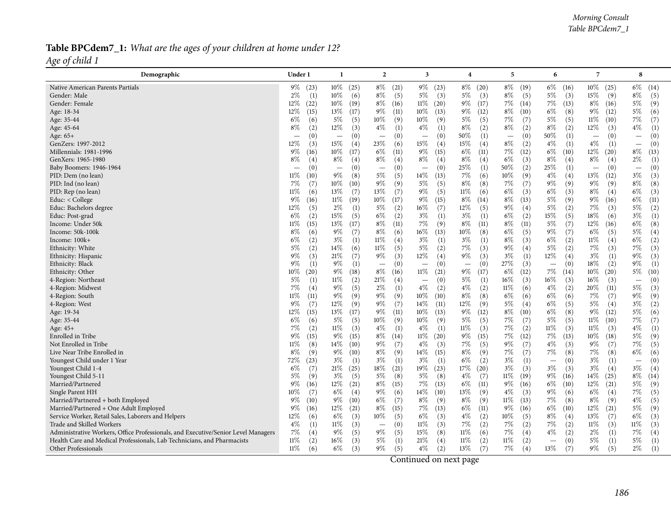### Table BPCdem7\_1: What are the ages of your children at home under 12? *Age of child <sup>1</sup>*

| Demographic                                                                       | Under 1                  |                          | $\overline{2}$           | 3                        | 4                               | 5                        | 6                        | 7                        | 8                        |
|-----------------------------------------------------------------------------------|--------------------------|--------------------------|--------------------------|--------------------------|---------------------------------|--------------------------|--------------------------|--------------------------|--------------------------|
| Native American Parents Partials                                                  | $9\%$ (23)               | $10\%$ (25)              | $8\%$<br>(21)            | $9\%$ (23)               | $8\%$ (20)                      | $8\%$ (19)               | $6\%$ (16)               | $10\%$ (25)              | $6\%$<br>(14)            |
| Gender: Male                                                                      | $2\%$                    | $10\%$                   | $8\%$                    | $5\%$                    | $5\%$                           | $8\%$                    | $5\%$                    | 15%                      | $8\%$                    |
|                                                                                   | (1)                      | (6)                      | (5)                      | (3)                      | (3)                             | (5)                      | (3)                      | (9)                      | (5)                      |
| Gender: Female                                                                    | $12\%$                   | $10\%$                   | $8\%$                    | $11\%$                   | 9%                              | 7%                       | 7%                       | $8\%$                    | $5\%$                    |
|                                                                                   | (22)                     | (19)                     | (16)                     | (20)                     | (17)                            | (14)                     | (13)                     | (16)                     | (9)                      |
| Age: 18-34                                                                        | $12\%$                   | 13%                      | $9\%$                    | $10\%$                   | $9\%$                           | $8\%$                    | $6\%$                    | 9%                       | $5\%$                    |
|                                                                                   | (15)                     | (17)                     | (11)                     | (13)                     | (12)                            | (10)                     | (8)                      | (12)                     | (6)                      |
| Age: 35-44                                                                        | $6\%$                    | $5\%$                    | $10\%$                   | 10%                      | $5\%$                           | 7%                       | $5\%$                    | $11\%$                   | 7%                       |
|                                                                                   | (6)                      | (5)                      | (9)                      | (9)                      | (5)                             | (7)                      | (5)                      | (10)                     | (7)                      |
| Age: 45-64                                                                        | $8\%$                    | $12\%$                   | $4\%$                    | $4\%$                    | $8\%$                           | $8\%$                    | $8\%$                    | 12%                      | $4\%$                    |
|                                                                                   | (2)                      | (3)                      | (1)                      | (1)                      | (2)                             | (2)                      | (2)                      | (3)                      | (1)                      |
| Age: 65+                                                                          | (0)                      | (0)                      | (0)                      | (0)                      | $50\%$                          | (0)                      | 50%                      | (0)                      | (0)                      |
|                                                                                   | $\qquad \qquad$          | $\overline{\phantom{m}}$ |                          | $\overline{\phantom{m}}$ | (1)                             | $\overline{\phantom{m}}$ | (1)                      | $\overline{\phantom{m}}$ | $\overline{\phantom{m}}$ |
| GenZers: 1997-2012                                                                | 12%                      | 15%                      | 23%                      | 15%                      | $15\%$                          | $8\%$                    | $4\%$                    | $4\%$                    | (0)                      |
|                                                                                   | (3)                      | (4)                      | (6)                      | (4)                      | (4)                             | (2)                      | (1)                      | (1)                      | $\overline{\phantom{m}}$ |
| Millennials: 1981-1996                                                            | $9\%$                    | $10\%$                   | $6\%$                    | $9\%$                    | $6\%$                           | $7\%$                    | $6\%$                    | $12\%$                   | $8\%$                    |
|                                                                                   | (16)                     | (17)                     | (11)                     | (15)                     | (11)                            | (12)                     | (10)                     | (20)                     | (13)                     |
| GenXers: 1965-1980                                                                | $8\%$                    | $8\%$                    | $8\%$                    | 8%                       | $8\%$                           | 6%                       | $8\%$                    | $8\%$                    | $2\%$                    |
|                                                                                   | (4)                      | (4)                      | (4)                      | (4)                      | (4)                             | (3)                      | (4)                      | (4)                      | (1)                      |
| Baby Boomers: 1946-1964                                                           | (0)                      | (0)                      | (0)                      | (0)                      | 25%                             | 50%                      | 25%                      | (0)                      | (0)                      |
|                                                                                   | $\overline{\phantom{m}}$ | $\overline{\phantom{m}}$ |                          | $\overline{\phantom{m}}$ | (1)                             | (2)                      | (1)                      | $\overline{\phantom{m}}$ | $\overline{\phantom{m}}$ |
| PID: Dem (no lean)                                                                | 11%                      | $9\%$                    | $5\%$                    | $14\%$                   | 7%                              | $10\%$                   | $4\%$                    | 13%                      | $3\%$                    |
|                                                                                   | (10)                     | (8)                      | (5)                      | (13)                     | (6)                             | (9)                      | (4)                      | (12)                     | (3)                      |
| PID: Ind (no lean)                                                                | 7%                       | $10\%$                   | $9\%$                    | 5%                       | $8\%$                           | 7%                       | 9%                       | $9\%$                    | $8\%$                    |
|                                                                                   | (7)                      | (10)                     | (9)                      | (5)                      | (8)                             | (7)                      | (9)                      | (9)                      | (8)                      |
| PID: Rep (no lean)                                                                | 11%                      | 13%                      | 13%                      | 9%                       | 11%                             | $6\%$                    | $6\%$                    | $8\%$                    | $6\%$                    |
|                                                                                   | (6)                      | (7)                      | (7)                      | (5)                      | (6)                             | (3)                      | (3)                      | (4)                      | (3)                      |
| Educ: $<$ College                                                                 | $9\%$                    | $11\%$                   | $10\%$                   | $9\%$                    | $8\%$                           | $8\%$                    | $5\%$                    | $9\%$                    | $6\%$                    |
|                                                                                   | (16)                     | (19)                     | (17)                     | (15)                     | (14)                            | (13)                     | (9)                      | (16)                     | (11)                     |
| Educ: Bachelors degree                                                            | 12%                      | $2\%$                    | 5%                       | 16%                      | $12\%$                          | $9\%$                    | $5\%$                    | $7\%$                    | $5\%$                    |
|                                                                                   | (5)                      | $\left(1\right)$         | (2)                      | (7)                      | (5)                             | (4)                      | (2)                      | (3)                      | (2)                      |
| Educ: Post-grad                                                                   | $6\%$                    | 15%                      | $6\%$                    | $3\%$                    | $3\%$                           | 6%                       | 15%                      | $18\%$                   | $3\%$                    |
|                                                                                   | (2)                      | (5)                      | (2)                      | (1)                      | (1)                             | (2)                      | (5)                      | (6)                      | (1)                      |
| Income: Under 50k                                                                 | 11%                      | 13%                      | $8\%$                    | 7%                       | $8\%$                           | $8\%$                    | $5\%$                    | $12\%$                   | $6\%$                    |
|                                                                                   | (15)                     | (17)                     | (11)                     | (9)                      | (11)                            | (11)                     | (7)                      | (16)                     | (8)                      |
| Income: 50k-100k                                                                  | $8\%$                    | $9\%$                    | $8\%$                    | $16\%$                   | $10\%$                          | $6\%$                    | $9\%$                    | $6\%$                    | $5\%$                    |
|                                                                                   | (6)                      | (7)                      | (6)                      | (13)                     | (8)                             | (5)                      | (7)                      | (5)                      | (4)                      |
| Income: 100k+                                                                     | $6\%$                    | $3\%$                    | $11\%$                   | $3\%$                    | $3\%$                           | $8\%$                    | $6\%$                    | $11\%$                   | $6\%$                    |
|                                                                                   | (2)                      | (1)                      | (4)                      | (1)                      | (1)                             | (3)                      | (2)                      | (4)                      | (2)                      |
| Ethnicity: White                                                                  | $5\%$                    | 14\%                     | $11\%$                   | $5\%$                    | 7%                              | $9\%$                    | $5\%$                    | 7%                       | 7%                       |
|                                                                                   | (2)                      | (6)                      | (5)                      | (2)                      | (3)                             | (4)                      | (2)                      | (3)                      | (3)                      |
| Ethnicity: Hispanic                                                               | $9\%$                    | 21%                      | $9\%$                    | 12%                      | 9%                              | $3\%$                    | $12\%$                   | $3\%$                    | $9\%$                    |
|                                                                                   | (3)                      | (7)                      | (3)                      | (4)                      | (3)                             | (1)                      | (4)                      | (1)                      | (3)                      |
| Ethnicity: Black                                                                  | $9\%$                    | $9\%$                    | (0)                      | (0)                      | (0)                             | 27\%                     | (0)                      | $18\%$                   | $9\%$                    |
|                                                                                   | (1)                      | (1)                      | $\equiv$                 | $\overline{\phantom{m}}$ | $\overbrace{\phantom{1232211}}$ | (3)                      | $\overline{\phantom{m}}$ | (2)                      | (1)                      |
| Ethnicity: Other                                                                  | $10\%$                   | $9\%$                    | $8\%$                    | $11\%$                   | $9\%$                           | $6\%$                    | 7%                       | $10\%$                   | $5\%$                    |
|                                                                                   | (20)                     | (18)                     | (16)                     | (21)                     | (17)                            | (12)                     | (14)                     | (20)                     | (10)                     |
| 4-Region: Northeast                                                               | 5%                       | $11\%$                   | 21%                      | (0)                      | $5\%$                           | 16\%                     | $16\%$                   | $16\%$                   | (0)                      |
|                                                                                   | (1)                      | (2)                      | (4)                      | $\overline{\phantom{m}}$ | (1)                             | (3)                      | (3)                      | (3)                      | $\overline{\phantom{m}}$ |
| 4-Region: Midwest                                                                 | $7\%$                    | $9\%$                    | $2\%$                    | $4\%$                    | $4\%$                           | $11\%$                   | $4\%$                    | 20%                      | $5\%$                    |
|                                                                                   | (4)                      | (5)                      | (1)                      | (2)                      | (2)                             | (6)                      | (2)                      | (11)                     | (3)                      |
| 4-Region: South                                                                   | 11%                      | $9\%$                    | $9\%$                    | $10\%$                   | $8\%$                           | $6\%$                    | $6\%$                    | 7%                       | $9\%$                    |
|                                                                                   | (11)                     | (9)                      | (9)                      | (10)                     | (8)                             | (6)                      | (6)                      | (7)                      | (9)                      |
| 4-Region: West                                                                    | $9\%$                    | 12%                      | $9\%$                    | 14%                      | 12%                             | $5\%$                    | $6\%$                    | $5\%$                    | $3\%$                    |
|                                                                                   | (7)                      | (9)                      | (7)                      | (11)                     | (9)                             | (4)                      | (5)                      | (4)                      | (2)                      |
| Age: 19-34                                                                        | 12%                      | 13%                      | $9\%$                    | $10\%$                   | $9\%$                           | $8\%$                    | $6\%$                    | $9\%$                    | $5\%$                    |
|                                                                                   | (15)                     | (17)                     | (11)                     | (13)                     | (12)                            | (10)                     | (8)                      | (12)                     | (6)                      |
| Age: 35-44                                                                        | $6\%$                    | $5\%$                    | $10\%$                   | $10\%$                   | $5\%$                           | 7%                       | $5\%$                    | $11\%$                   | 7%                       |
|                                                                                   | (6)                      | (5)                      | (9)                      | (9)                      | (5)                             | (7)                      | (5)                      | (10)                     | (7)                      |
| Age: 45+                                                                          | $7\%$                    | $11\%$                   | $4\%$                    | $4\%$                    | $11\%$                          | 7%                       | $11\%$                   | $11\%$                   | $4\%$                    |
|                                                                                   | (2)                      | (3)                      | (1)                      | (1)                      | (3)                             | (2)                      | (3)                      | (3)                      | (1)                      |
| Enrolled in Tribe                                                                 | $9\%$                    | $9\%$                    | $8\%$                    | $11\%$                   | $9\%$                           | 7%                       | $7\%$                    | $10\%$                   | $5\%$                    |
|                                                                                   | (15)                     | (15)                     | (14)                     | (20)                     | (15)                            | (12)                     | (13)                     | (18)                     | (9)                      |
| Not Enrolled in Tribe                                                             | 11%                      | $14\%$                   | $9\%$                    | $4\%$                    | 7%                              | $9\%$                    | $4\%$                    | $9\%$                    | 7%                       |
|                                                                                   | (8)                      | (10)                     | (7)                      | (3)                      | (5)                             | (7)                      | (3)                      | (7)                      | (5)                      |
| Live Near Tribe Enrolled in                                                       | $8\%$                    | $9\%$                    | $8\%$                    | $14\%$                   | $8\%$                           | $7\%$                    | $7\%$                    | $7\%$                    | $6\%$                    |
|                                                                                   | (9)                      | (10)                     | (9)                      | (15)                     | (9)                             | (7)                      | (8)                      | (8)                      | (6)                      |
| Youngest Child under 1 Year                                                       | 72\%                     | $3\%$                    | $3\%$                    | $3\%$                    | $6\%$                           | $3\%$                    | (0)                      | $3\%$                    | (0)                      |
|                                                                                   | (23)                     | (1)                      | (1)                      | (1)                      | (2)                             | (1)                      | $\qquad \qquad -$        | (1)                      | $\overline{\phantom{m}}$ |
| Youngest Child 1-4                                                                | $6\%$                    | 21%                      | $18\%$                   | 19%                      | 17%                             | $3\%$                    | $3\%$                    | $3\%$                    | $3\%$                    |
|                                                                                   | (7)                      | (25)                     | (21)                     | (23)                     | (20)                            | (3)                      | (3)                      | (4)                      | (4)                      |
| Youngest Child 5-11                                                               | $5\%$                    | $3\%$                    | 5%                       | $5\%$                    | $4\%$                           | $11\%$                   | 9%                       | $14\%$                   | $8\%$                    |
|                                                                                   | (9)                      | (5)                      | (8)                      | (8)                      | (7)                             | (19)                     | (16)                     | (25)                     | (14)                     |
| Married/Partnered                                                                 | $9\%$                    | $12\%$                   | $8\%$                    | 7%                       | $6\%$                           | $9\%$                    | $6\%$                    | $12\%$                   | $5\%$                    |
|                                                                                   | (16)                     | (21)                     | (15)                     | (13)                     | (11)                            | (16)                     | (10)                     | (21)                     | (9)                      |
| Single Parent HH                                                                  | (7)                      | $6\%$                    | $9\%$                    | 14%                      | 13%                             | $4\%$                    | $9\%$                    | $6\%$                    | $7\%$                    |
|                                                                                   | $10\%$                   | (4)                      | (6)                      | (10)                     | (9)                             | (3)                      | (6)                      | (4)                      | (5)                      |
| Married/Partnered + both Employed                                                 | $9\%$                    | $9\%$                    | $6\%$                    | $8\%$                    | $8\%$                           | $11\%$                   | 7%                       | $8\%$                    | $4\%$                    |
|                                                                                   | (10)                     | (10)                     | (7)                      | (9)                      | (9)                             | (13)                     | (8)                      | (9)                      | (5)                      |
| Married/Partnered + One Adult Employed                                            | 9%                       | 12%                      | $8\%$                    | 7%                       | $6\%$                           | $9\%$                    | 6%                       | 12%                      | $5\%$                    |
|                                                                                   | (16)                     | (21)                     | (15)                     | (13)                     | (11)                            | (16)                     | (10)                     | (21)                     | (9)                      |
| Service Worker, Retail Sales, Laborers and Helpers                                | 12%                      | $6\%$                    | $10\%$                   | $6\%$                    | $4\%$                           | $10\%$                   | $8\%$                    | 13\%                     | $6\%$                    |
|                                                                                   | (6)                      | (3)                      | (5)                      | (3)                      | (2)                             | (5)                      | (4)                      | (7)                      | (3)                      |
| Trade and Skilled Workers                                                         | $4\%$                    | $11\%$                   | (0)                      | $11\%$                   | 7%                              | 7%                       | 7%                       | $11\%$                   | $11\%$                   |
|                                                                                   | (1)                      | (3)                      | $\overline{\phantom{m}}$ | (3)                      | (2)                             | (2)                      | (2)                      | (3)                      | (3)                      |
| Administrative Workers, Office Professionals, and Executive/Senior Level Managers | 7%                       | $9\%$                    | $9\%$                    | 15%                      | $11\%$                          | 7%                       | $4\%$                    | $2\%$                    | $7\%$                    |
|                                                                                   | (4)                      | (5)                      | (5)                      | (8)                      | (6)                             | (4)                      | (2)                      | (1)                      | (4)                      |
| Health Care and Medical Professionals, Lab Technicians, and Pharmacists           | 11%                      | $16\%$                   | $5\%$                    | 21\%                     | $11\%$                          | $11\%$                   | (0)                      | 5%                       | $5\%$                    |
|                                                                                   | (2)                      | (3)                      | (1)                      | (4)                      | (2)                             | (2)                      | $\overline{\phantom{m}}$ | (1)                      | (1)                      |
| Other Professionals                                                               | $11\%$                   | $6\%$                    | $9\%$                    | $4\%$                    | $13\%$                          | 7%                       | 13%                      | $9\%$                    | $2\%$                    |
|                                                                                   | (6)                      | (3)                      | (5)                      | (2)                      | (7)                             | (4)                      | (7)                      | (5)                      | (1)                      |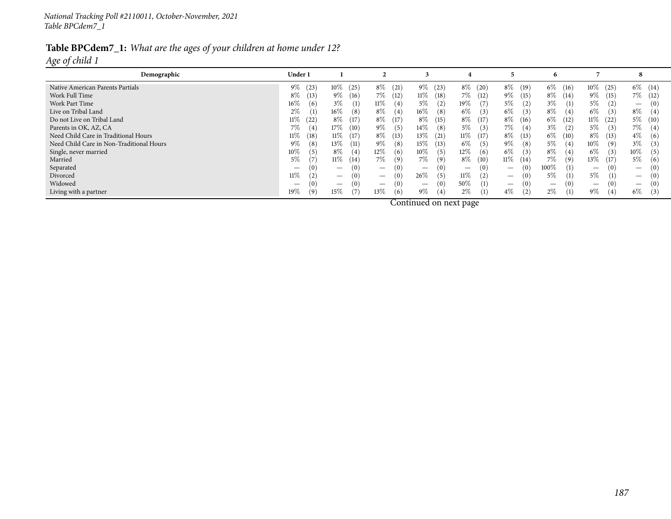#### Table BPCdem7\_1: What are the ages of your children at home under 12? *Age of child <sup>1</sup>*

**Demographicc c 1 D**<sub>**der1 1 2 2 3 4 1 5 6 6 7 8**</sub> Native American Parents Partials <sup>9</sup>% (23) <sup>10</sup>% (25) <sup>8</sup>% (21) <sup>9</sup>% (23) <sup>8</sup>% (20) <sup>8</sup>% (19) <sup>6</sup>% (16) <sup>10</sup>% (25) <sup>6</sup>% (14) <sup>5</sup>% (12) <sup>6</sup>% (16) <sup>14</sup>% (36) <sup>250</sup>Work Full Time 8% (13) 9% (13) 9% (16) 7% (12) 11% (18) 7% (12) 9% (15) 8% (14) 9% (15) 7% (12) Work Part Time 16% (6)  $\frac{16\%}{10}$  (6)  $\frac{3\%}{10}$  (1)  $\frac{11\%}{10}$  (4)  $\frac{5\%}{10}$  (7)  $\frac{5\%}{10}$  (2)  $\frac{3\%}{10}$  (1)  $\frac{5\%}{10}$  (2)  $\frac{1}{2}$  $-$  (0)<br> $\alpha$  (4) Live on Tribal Land $\frac{1}{2\%}\begin{bmatrix} 1 \end{bmatrix}$  16%  $\begin{bmatrix} 8 \end{bmatrix}$  8%  $\begin{bmatrix} 4 \end{bmatrix}$  16%  $\begin{bmatrix} 8 \end{bmatrix}$  6%  $\begin{bmatrix} 3 \end{bmatrix}$  6%  $\begin{bmatrix} 4 \end{bmatrix}$  6%  $\begin{bmatrix} 4 \end{bmatrix}$  6%  $\begin{bmatrix} 3 \end{bmatrix}$  8%  $\begin{bmatrix} 4 \end{bmatrix}$ Do not Live on Tribal Land $11\%$  (22)  $8\%$  (17)  $8\%$  (17)  $8\%$  (15)  $8\%$  (17)  $8\%$  (16)  $6\%$  (12)  $11\%$  (22)  $5\%$  (10) Parents in OK, AZ, CA<br>Need Child Care in Traditional Hours  $\mathcal{A}$   $\mathcal{I}\%$  (4)  $\mathcal{I}\%$  (4)  $\mathcal{I}\%$  (10)  $\mathcal{I}\%$  (5)  $\mathcal{I}\%$  (8)  $\mathcal{I}\%$  (3)  $\mathcal{I}\%$  (4)  $\mathcal{I}\%$  (2)  $\mathcal{I}\%$  (3)  $\mathcal{I}\%$  (4)  $\mathcal{I}\%$  (3)  $\mathcal{I}\%$  (4) Need Child Care in Traditional Hours 11 11% (18) 11% (17) 8% (13) 13% (21) 11% (17) 8% (13) 6% (10) 8% (13) 4% Need Child Care in Non-Traditional Hours 9% (8) 13% (11) 9% (8) 15% (13) 6% (5) 9% (8) 5% (4) 10% (9) 3% (3)<br>Single, never married 10% (5) 10% (5) 8% (4) 12% (6) 10% (5) 12% (6) 6% (3) 8% (4) 6% (3) 10% (5) Single, never married $10\%$  (5)  $8\%$  (4)  $12\%$  (6)  $10\%$  (5)  $12\%$  (6)  $6\%$  (3)  $8\%$  (4)  $6\%$  (3)  $10\%$  (5) Married <sup>5</sup>% (7) <sup>11</sup>% (14) <sup>7</sup>% (9) <sup>7</sup>% (9) <sup>8</sup>% (10) <sup>11</sup>% (14) <sup>7</sup>% (9) <sup>13</sup>% (17) <sup>5</sup>% (6) <sup>5</sup>% (7) <sup>8</sup>% (10) <sup>16</sup>% (21) <sup>133</sup> Separated — (0) — (0) — (0) — (0) — (0) — (0) <sup>100</sup>% (1) — (0) — (0) — (0) — (0) — (0) <sup>1</sup> Divorced $11\%$  (2)  $(-\t(0)$   $(0)$   $26\%$   $(5)$   $11\%$   $(2)$   $(0)$   $5\%$   $(1)$   $5\%$   $(1)$   $(0)$ <br>  $(0)$   $(0)$   $(0)$   $(0)$ Widowed $\frac{1}{2}$  (0) — (0) — (0) — (0) <sup>50</sup>% (1) — (0) — (0) — (0) — (0) — (0) — (0) <sup>50</sup>% (1) <sup>2</sup> Living with a partner 19% (1) 19% (9) 15% (7) 13% (6) 9% (4) 2% (1) 4% (2) 2% (1) 9% (4) 6% (3)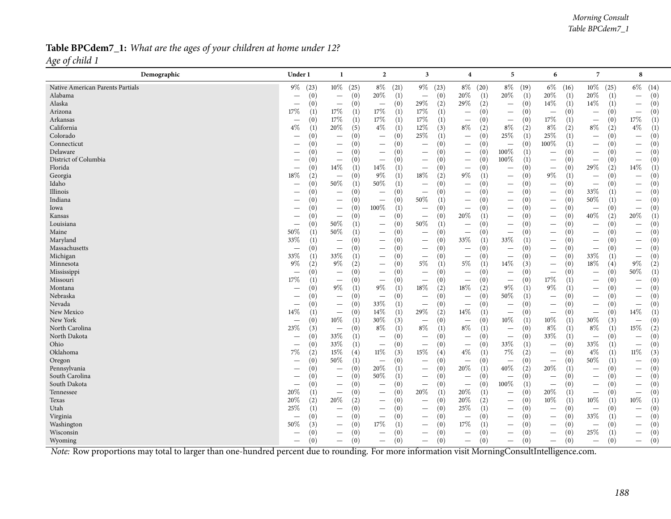#### Table BPCdem7\_1: What are the ages of your children at home under 12? *Age of child <sup>1</sup>*

| $10\%$ (25)<br>$6\%$<br>$10\%$ (25)<br>$8\%$<br>$9\%$<br>(14)<br>$9\%$ (23)<br>$8\%$ (20)<br>$8\%$<br>$6\%$<br>(16)<br>(21)<br>(23)<br>(19)<br>$20\%$<br>20%<br>20%<br>$20\%$<br>$\left(1\right)$<br>$20\%$<br>(0)<br>(0)<br>(1)<br>(1)<br>(1)<br>(1)<br>(0)<br>(0)<br>$\overline{\phantom{m}}$<br>$\overline{\phantom{m}}$<br>$\overline{\phantom{m}}$<br>$\overline{\phantom{m}}$<br>29%<br>14\%<br>29\%<br>(2)<br>(1)<br>$14\%$<br>(0)<br>(0)<br>(2)<br>(0)<br>(1)<br>(0)<br>(0)<br>$\overline{\phantom{m}}$<br>$\overline{\phantom{m}}$<br>$\overline{\phantom{m}}$<br>$\overline{\phantom{m}}$<br>$\hspace{0.1mm}-\hspace{0.1mm}$<br>$17\%$<br>$17\%$<br>$17\%$<br>17%<br>(1)<br>(1)<br>(1)<br>(0)<br>(1)<br>(0)<br>(0)<br>(0)<br>(0)<br>$\overline{\phantom{m}}$<br>$\overline{\phantom{m}}$<br>$\overline{\phantom{m}}$<br>$\overline{\phantom{m}}$<br>$\overline{\phantom{m}}$<br>$17\%$<br>17%<br>$17\%$<br>17%<br>17%<br>(0)<br>(1)<br>(1)<br>(1)<br>(0)<br>(0)<br>(1)<br>(1)<br>(0)<br>$\overline{\phantom{a}}$<br>$\overline{\phantom{m}}$<br>$\qquad \qquad -$<br>$8\%$<br>$8\%$<br>$4\%$<br>$4\%$<br>20%<br>$4\%$<br>12%<br>$8\%$<br>$8\%$<br>(5)<br>(1)<br>(3)<br>(2)<br>(2)<br>(2)<br>(2)<br>(1)<br>(1)<br>25%<br>25%<br>25%<br>(1)<br>(1)<br>(1)<br>(0)<br>(0)<br>(0)<br>(0)<br>(0)<br>(0)<br>$\overline{\phantom{m}}$<br>$\overline{\phantom{m}}$<br>$\equiv$<br>$\overline{\phantom{m}}$<br>$\overline{\phantom{m}}$<br>100%<br>(0)<br>(0)<br>(0)<br>(1)<br>(0)<br>(0)<br>(0)<br>(0)<br>(0)<br>$\overline{\phantom{m}}$<br>$\overline{\phantom{m}}$<br>$\qquad \qquad -$<br>$\overline{\phantom{m}}$<br>$\overline{\phantom{m}}$<br>$\overline{\phantom{m}}$<br>$\overline{\phantom{m}}$<br>$\overline{\phantom{m}}$<br>100%<br>(1)<br>(0)<br>(0)<br>(0)<br>(0)<br>(0)<br>(0)<br>(0)<br>(0)<br>$\overline{\phantom{0}}$<br>$\overline{\phantom{m}}$<br>$\overbrace{\phantom{1232211}}$<br>$\overline{\phantom{m}}$<br>$\overbrace{\phantom{12322111}}$<br>$\overline{\phantom{m}}$<br>$\overline{\phantom{m}}$<br>$\overbrace{\phantom{12332}}$<br>$100\%$<br>(0)<br>(0)<br>(0)<br>(0)<br>(0)<br>(0)<br>(0)<br>(1)<br>(0)<br>$\overline{\phantom{m}}$<br>$\qquad \qquad$<br>$\overline{\phantom{0}}$<br>$\qquad \qquad$<br>$\overline{\phantom{m}}$<br>$\overline{\phantom{m}}$<br>-<br>$14\%$<br>$14\%$<br>29%<br>14\%<br>(1)<br>(0)<br>(2)<br>(1)<br>(0)<br>(1)<br>(0)<br>(0)<br>(0)<br>$\overline{\phantom{m}}$<br>$\overline{\phantom{m}}$<br>$\qquad \qquad$<br>18%<br>9%<br>$9\%$<br>18%<br>(2)<br>9%<br>(0)<br>(1)<br>(2)<br>(1)<br>(0)<br>(1)<br>(0)<br>(0)<br>$\overline{\phantom{m}}$<br>$\overbrace{\phantom{12322111}}$<br>$\overline{\phantom{m}}$<br>$\overline{\phantom{0}}$<br>$50\%$<br>50%<br>(0)<br>(1)<br>(1)<br>(0)<br>(0)<br>(0)<br>(0)<br>(0)<br>(0)<br>$\overline{\phantom{m}}$<br>$\qquad \qquad -$<br>$\qquad \qquad$<br>$\overline{\phantom{m}}$<br>$\overline{\phantom{m}}$<br>$\overbrace{\phantom{12332}}$<br>33%<br>(0)<br>(0)<br>(0)<br>(0)<br>(0)<br>(0)<br>(0)<br>(0)<br>(1)<br>$\overline{\phantom{m}}$<br>$\overline{\phantom{m}}$<br>$\overline{\phantom{a}}$<br>$\overline{\phantom{0}}$<br>$\overline{\phantom{m}}$<br>50%<br>50%<br>(0)<br>(0)<br>(0)<br>(0)<br>(1)<br>(0)<br>(0)<br>(1)<br>(0)<br>$\qquad \qquad -$<br>$\qquad \qquad -$<br>$\qquad \qquad -$<br>$\overbrace{\phantom{12332}}$<br>$\overline{\phantom{m}}$<br>$\hspace{0.1mm}-\hspace{0.1mm}$<br>100%<br>(0)<br>(0)<br>(1)<br>(0)<br>(0)<br>(0)<br>(0)<br>(0)<br>(0)<br>$\overline{\phantom{m}}$<br>$\overline{\phantom{m}}$<br>$\overline{\phantom{m}}$<br>$\overbrace{\phantom{12322111}}$<br>$\overline{\phantom{0}}$<br>$\qquad \qquad -$<br>$\overline{\phantom{m}}$<br>40%<br>20%<br>20%<br>(0)<br>(1)<br>(2)<br>(1)<br>(0)<br>(0)<br>(0)<br>(0)<br>(0)<br>$\overline{\phantom{m}}$<br>$\overline{\phantom{m}}$<br>$\overline{\phantom{0}}$<br>$\qquad \qquad$<br>50%<br>50%<br>(1)<br>(1)<br>(0)<br>(0)<br>(0)<br>(0)<br>(0)<br>(0)<br>(0)<br>$\overline{\phantom{m}}$<br>$\qquad \qquad -$<br>$\qquad \qquad -$<br>$\qquad \qquad$<br>$\qquad \qquad -$<br>50%<br>50%<br>(1)<br>(1)<br>(0)<br>(0)<br>(0)<br>(0)<br>(0)<br>(0)<br>(0)<br>$\qquad \qquad -$<br>$\overline{\phantom{m}}$<br>$\overbrace{\phantom{1232211}}$<br>$\overline{\phantom{m}}$<br>$\qquad \qquad -$<br>$\qquad \qquad -$<br>$\overline{\phantom{m}}$<br>33%<br>33%<br>33%<br>(1)<br>(0)<br>(0)<br>(1)<br>(0)<br>(0)<br>(1)<br>(0)<br>(0)<br>$\overline{\phantom{m}}$<br>$\qquad \qquad -$<br>$\overline{\phantom{m}}$<br>$\qquad \qquad -$<br>$\overline{\phantom{m}}$<br>$\overline{\phantom{m}}$<br>(0)<br>(0)<br>(0)<br>(0)<br>(0)<br>(0)<br>(0)<br>(0)<br>(0)<br>$\overline{\phantom{m}}$<br>$\qquad \qquad -$<br>$\overline{\phantom{m}}$<br>$\overline{\phantom{m}}$<br>$\overline{\phantom{0}}$<br>$\overline{\phantom{m}}$<br>$\overbrace{\phantom{12322111}}$<br>33%<br>33%<br>33\%<br>(1)<br>(0)<br>(0)<br>(0)<br>(1)<br>(0)<br>(0)<br>(0)<br>(1)<br>$\overline{\phantom{m}}$<br>$\overline{\phantom{m}}$<br>$\qquad \qquad -$<br>$\qquad \qquad$<br>$\overline{\phantom{m}}$<br>$5\%$<br>$18\%$<br>$9\%$<br>$9\%$<br>5%<br>14%<br>$9\%$<br>(2)<br>(2)<br>(1)<br>(3)<br>(2)<br>(0)<br>(1)<br>(0)<br>(4)<br>$\overline{\phantom{0}}$<br>$50\%$<br>(0)<br>(0)<br>(0)<br>(0)<br>(0)<br>(0)<br>(1)<br>(0)<br>(0)<br>$\overline{\phantom{m}}$<br>$\overline{\phantom{m}}$<br>$\overline{\phantom{a}}$<br>$\overline{\phantom{m}}$<br>$\overline{\phantom{m}}$<br>$\overline{\phantom{m}}$<br>$\overline{\phantom{m}}$<br>$\qquad \qquad -$<br>$17\%$<br>17%<br>(0)<br>(0)<br>(0)<br>(1)<br>(0)<br>(1)<br>(0)<br>(0)<br>(0)<br>$\qquad \qquad -$<br>$\overline{\phantom{m}}$<br>$\overline{\phantom{m}}$<br>$\overline{\phantom{m}}$<br>$\overline{\phantom{m}}$<br>$\qquad \qquad -$<br>$18\%$<br>$9\%$<br>$9\%$<br>18%<br>$9\%$<br>$9\%$<br>(1)<br>(1)<br>(2)<br>(2)<br>$\left(1\right)$<br>(0)<br>(1)<br>(0)<br>(0)<br>$\qquad \qquad -$<br>$\overline{\phantom{m}}$<br>50%<br>$\left(0\right)$<br>(0)<br>(0)<br>(0)<br>(0)<br>(0)<br>(1)<br>(0)<br>(0)<br>$\overline{\phantom{m}}$<br>$\overline{\phantom{m}}$<br>$\overline{\phantom{m}}$<br>$\overline{\phantom{0}}$<br>$\qquad \qquad$<br>$\overline{\phantom{m}}$<br>$\hspace{0.1mm}-\hspace{0.1mm}$<br>33%<br>(0)<br>(0)<br>(1)<br>(0)<br>(0)<br>(0)<br>(0)<br>(0)<br>(0)<br>$\overline{\phantom{m}}$<br>$\overline{\phantom{m}}$<br>$\overline{\phantom{m}}$<br>$\qquad \qquad -$<br>$\overline{\phantom{m}}$<br>$\overline{\phantom{m}}$<br>$\overbrace{\phantom{1232211}}$<br>29%<br>14%<br>14%<br>14\%<br>$14\%$<br>(0)<br>(1)<br>(2)<br>(1)<br>(0)<br>(1)<br>(1)<br>(0)<br>(0)<br>$\overline{\phantom{m}}$<br>$\overline{\phantom{m}}$<br>$\overline{\phantom{0}}$<br>$\overline{\phantom{m}}$<br>$10\%$<br>$30\%$<br>$30\%$<br>$10\%$<br>$10\%$<br>(1)<br>(3)<br>(1)<br>(3)<br>(0)<br>(0)<br>(0)<br>(1)<br>(0)<br>$\overline{\phantom{m}}$<br>$\overline{\phantom{0}}$<br>$\overline{\phantom{m}}$<br>8%<br>8%<br>$8\%$<br>$8\%$<br>15%<br>23\%<br>$8\%$<br>(1)<br>(1)<br>(0)<br>(1)<br>(2)<br>(3)<br>(0)<br>(1)<br>(1)<br>$\overline{\phantom{m}}$<br>$\overbrace{\phantom{1232211}}$<br>33%<br>33%<br>(1)<br>(0)<br>(0)<br>(1)<br>(0)<br>(0)<br>(0)<br>(0)<br>(0)<br>$\overline{\phantom{m}}$<br>$\overline{\phantom{m}}$<br>$\overline{\phantom{m}}$<br>$\overline{\phantom{m}}$<br>$\overline{\phantom{m}}$<br>$\overline{\phantom{m}}$<br>$\hspace{0.1mm}-\hspace{0.1mm}$<br>33%<br>33%<br>33%<br>(0)<br>(1)<br>$\left(1\right)$<br>(0)<br>(0)<br>(0)<br>(1)<br>(0)<br>(0)<br>$\qquad \qquad -$<br>$\overline{\phantom{m}}$<br>$\overline{\phantom{m}}$<br>$\overline{\phantom{m}}$<br>$\overline{\phantom{m}}$<br>$\overline{\phantom{m}}$<br>$7\%$<br>15%<br>15%<br>$4\%$<br>$7\%$<br>(2)<br>$11\%$<br>$4\%$<br>$11\%$<br>(3)<br>(1)<br>(2)<br>(3)<br>(4)<br>(4)<br>(0)<br>(1)<br>$\overline{\phantom{m}}$<br>$50\%$<br>50%<br>(0)<br>(0)<br>(1)<br>(0)<br>(0)<br>(0)<br>(0)<br>(1)<br>(0)<br>$\overline{\phantom{m}}$<br>$\overline{\phantom{m}}$<br>$\qquad \qquad -$<br>$\overline{\phantom{m}}$<br>$\overline{\phantom{0}}$<br>20%<br>40%<br>20%<br>20%<br>(1)<br>(1)<br>(2)<br>(1)<br>(0)<br>(0)<br>(0)<br>(0)<br>(0)<br>$\overline{\phantom{m}}$<br>$\overline{\phantom{m}}$<br>$\overline{\phantom{0}}$<br>$\overline{\phantom{m}}$<br>-<br>50%<br>(1)<br>(0)<br>(0)<br>(0)<br>(0)<br>(0)<br>(0)<br>(0)<br>(0)<br>$\overline{\phantom{m}}$<br>$\overline{\phantom{m}}$<br>$\overline{\phantom{m}}$<br>$\qquad \qquad$<br>$\qquad \qquad -$<br>$\overline{\phantom{m}}$<br>-<br>100%<br>(1)<br>(0)<br>(0)<br>(0)<br>(0)<br>(0)<br>(0)<br>(0)<br>(0)<br>$\overline{\phantom{m}}$<br>$\overline{\phantom{m}}$<br>$\overbrace{\phantom{12322111}}$<br>$\overbrace{\phantom{12322111}}$<br>$\overline{\phantom{m}}$<br>$\overline{\phantom{m}}$<br>$\overline{\phantom{m}}$<br>20%<br>20%<br>20%<br>20%<br>(1)<br>(1)<br>(1)<br>(0)<br>(1)<br>(0)<br>(0)<br>(0)<br>(0)<br>$\overline{\phantom{m}}$<br>$\qquad \qquad -$<br>$\overline{\phantom{m}}$<br>$\overline{\phantom{m}}$<br>$\overline{\phantom{m}}$<br>20%<br>$10\%$<br>$10\%$<br>$10\%$<br>20%<br>20%<br>(2)<br>(2)<br>(0)<br>(0)<br>(2)<br>(0)<br>(1)<br>(1)<br>(1)<br>$\overline{\phantom{m}}$<br>$\qquad \qquad -$<br>$\overline{\phantom{0}}$<br>25\%<br>25%<br>(0)<br>(0)<br>(1)<br>(0)<br>(0)<br>(1)<br>(0)<br>(0)<br>(0)<br>$\overline{\phantom{m}}$<br>$\overline{\phantom{m}}$<br>$\overline{\phantom{a}}$<br>$\overline{\phantom{m}}$<br>$\qquad \qquad -$<br>$\overline{\phantom{m}}$<br>$\overbrace{\phantom{12322111}}$<br>33%<br>(0)<br>(0)<br>(0)<br>(0)<br>(0)<br>(0)<br>(0)<br>(0)<br>(1)<br>$\overline{\phantom{0}}$<br>$\overline{\phantom{m}}$<br>$\overline{\phantom{m}}$<br>$\overline{\phantom{0}}$<br>$\overline{\phantom{0}}$<br>$\overline{\phantom{m}}$<br>17%<br>17%<br>50%<br>(1)<br>(3)<br>(0)<br>(1)<br>(0)<br>(0)<br>(0)<br>(0)<br>(0)<br>$\overline{\phantom{m}}$<br>$\overline{\phantom{m}}$<br>$\qquad \qquad -$<br>$\overline{\phantom{a}}$<br>$\overline{\phantom{m}}$<br>$\overline{\phantom{m}}$<br>25%<br>(0)<br>(0)<br>(0)<br>(0)<br>(0)<br>(0)<br>(0)<br>(0)<br>(1)<br>$\qquad \qquad$<br>$\overline{\phantom{m}}$<br>$\qquad \qquad -$<br>$\hspace{0.1mm}-\hspace{0.1mm}$<br>$\hspace{0.1mm}-\hspace{0.1mm}$<br>(0)<br>(0)<br>(0)<br>(0)<br>(0)<br>(0)<br>(0)<br>(0)<br>(0)<br>$\overline{\phantom{m}}$<br>$\qquad \qquad -$<br>$\qquad \qquad -$<br>$\overline{\phantom{0}}$<br>$\overline{\phantom{m}}$<br>$\overline{\phantom{m}}$<br>—<br>Note: Row proportions may total to larger than one-hundred percent due to rounding. For more information visit MorningConsultIntelligence.com. | Demographic                      | Under 1 | -1 | $\overline{2}$ | 3 | 4 | 5 | 6 | 7 | 8 |
|----------------------------------------------------------------------------------------------------------------------------------------------------------------------------------------------------------------------------------------------------------------------------------------------------------------------------------------------------------------------------------------------------------------------------------------------------------------------------------------------------------------------------------------------------------------------------------------------------------------------------------------------------------------------------------------------------------------------------------------------------------------------------------------------------------------------------------------------------------------------------------------------------------------------------------------------------------------------------------------------------------------------------------------------------------------------------------------------------------------------------------------------------------------------------------------------------------------------------------------------------------------------------------------------------------------------------------------------------------------------------------------------------------------------------------------------------------------------------------------------------------------------------------------------------------------------------------------------------------------------------------------------------------------------------------------------------------------------------------------------------------------------------------------------------------------------------------------------------------------------------------------------------------------------------------------------------------------------------------------------------------------------------------------------------------------------------------------------------------------------------------------------------------------------------------------------------------------------------------------------------------------------------------------------------------------------------------------------------------------------------------------------------------------------------------------------------------------------------------------------------------------------------------------------------------------------------------------------------------------------------------------------------------------------------------------------------------------------------------------------------------------------------------------------------------------------------------------------------------------------------------------------------------------------------------------------------------------------------------------------------------------------------------------------------------------------------------------------------------------------------------------------------------------------------------------------------------------------------------------------------------------------------------------------------------------------------------------------------------------------------------------------------------------------------------------------------------------------------------------------------------------------------------------------------------------------------------------------------------------------------------------------------------------------------------------------------------------------------------------------------------------------------------------------------------------------------------------------------------------------------------------------------------------------------------------------------------------------------------------------------------------------------------------------------------------------------------------------------------------------------------------------------------------------------------------------------------------------------------------------------------------------------------------------------------------------------------------------------------------------------------------------------------------------------------------------------------------------------------------------------------------------------------------------------------------------------------------------------------------------------------------------------------------------------------------------------------------------------------------------------------------------------------------------------------------------------------------------------------------------------------------------------------------------------------------------------------------------------------------------------------------------------------------------------------------------------------------------------------------------------------------------------------------------------------------------------------------------------------------------------------------------------------------------------------------------------------------------------------------------------------------------------------------------------------------------------------------------------------------------------------------------------------------------------------------------------------------------------------------------------------------------------------------------------------------------------------------------------------------------------------------------------------------------------------------------------------------------------------------------------------------------------------------------------------------------------------------------------------------------------------------------------------------------------------------------------------------------------------------------------------------------------------------------------------------------------------------------------------------------------------------------------------------------------------------------------------------------------------------------------------------------------------------------------------------------------------------------------------------------------------------------------------------------------------------------------------------------------------------------------------------------------------------------------------------------------------------------------------------------------------------------------------------------------------------------------------------------------------------------------------------------------------------------------------------------------------------------------------------------------------------------------------------------------------------------------------------------------------------------------------------------------------------------------------------------------------------------------------------------------------------------------------------------------------------------------------------------------------------------------------------------------------------------------------------------------------------------------------------------------------------------------------------------------------------------------------------------------------------------------------------------------------------------------------------------------------------------------------------------------------------------------------------------------------------------------------------------------------------------------------------------------------------------------------------------------------------------------------------------------------------------------------------------------------------------------------------------------------------------------------------------------------------------------------------------------------------------------------------------------------------------------------------------------------------------------------------------------------------------------------------------------------------------------------------------------------------------------------------------------------------------------------------------------------------------------------------------------------------------------------------------------------------------------------------------------------------------------------------------------------------------------------------------------------------------------------------------------------------------------------------------------------------------------------------------------------------------------------------------------------------------------------------------------------------------------------------------------------------------------------------------------------------------------------------------------------------------------------------------------------------------------------------------------------------------------------------------------------------------------------------------------------------------------------------------------------------------------------------------------------------------------------------------------------------------------------------------------------------------------------------------------------------------------------------------------------------------------------------------------------------------------------------------------------------------------------------------------------------------------------------------------------------------------------------------------------------------------------------------------------------------------------------------------------------------------------------------------------------------------------------------------------------------------------------------------------------------------------------------------------------------------------------------------------------------------------------------------------------------------------------------------------------------------------------------------------------------------------------------------------------------------------------------------------------------------------------------------------------------------------------------------------------------------------------|----------------------------------|---------|----|----------------|---|---|---|---|---|---|
|                                                                                                                                                                                                                                                                                                                                                                                                                                                                                                                                                                                                                                                                                                                                                                                                                                                                                                                                                                                                                                                                                                                                                                                                                                                                                                                                                                                                                                                                                                                                                                                                                                                                                                                                                                                                                                                                                                                                                                                                                                                                                                                                                                                                                                                                                                                                                                                                                                                                                                                                                                                                                                                                                                                                                                                                                                                                                                                                                                                                                                                                                                                                                                                                                                                                                                                                                                                                                                                                                                                                                                                                                                                                                                                                                                                                                                                                                                                                                                                                                                                                                                                                                                                                                                                                                                                                                                                                                                                                                                                                                                                                                                                                                                                                                                                                                                                                                                                                                                                                                                                                                                                                                                                                                                                                                                                                                                                                                                                                                                                                                                                                                                                                                                                                                                                                                                                                                                                                                                                                                                                                                                                                                                                                                                                                                                                                                                                                                                                                                                                                                                                                                                                                                                                                                                                                                                                                                                                                                                                                                                                                                                                                                                                                                                                                                                                                                                                                                                                                                                                                                                                                                                                                                                                                                                                                                                                                                                                                                                                                                                                                                                                                                                                                                                                                                                                                                                                                                                                                                                                                                                                                                                                                                                                                                                                                                                                                                                                                                                                                                                                                                                                                                                                                                                                                                                                                                                                                                                                                                                                                                                                                                                                                                                                                                                                                                                                                                                                                                                                                                                                                                                                                                                                                                                                                                                                                                                                                                                                                                                                                                                                                                                                                                        | Native American Parents Partials |         |    |                |   |   |   |   |   |   |
|                                                                                                                                                                                                                                                                                                                                                                                                                                                                                                                                                                                                                                                                                                                                                                                                                                                                                                                                                                                                                                                                                                                                                                                                                                                                                                                                                                                                                                                                                                                                                                                                                                                                                                                                                                                                                                                                                                                                                                                                                                                                                                                                                                                                                                                                                                                                                                                                                                                                                                                                                                                                                                                                                                                                                                                                                                                                                                                                                                                                                                                                                                                                                                                                                                                                                                                                                                                                                                                                                                                                                                                                                                                                                                                                                                                                                                                                                                                                                                                                                                                                                                                                                                                                                                                                                                                                                                                                                                                                                                                                                                                                                                                                                                                                                                                                                                                                                                                                                                                                                                                                                                                                                                                                                                                                                                                                                                                                                                                                                                                                                                                                                                                                                                                                                                                                                                                                                                                                                                                                                                                                                                                                                                                                                                                                                                                                                                                                                                                                                                                                                                                                                                                                                                                                                                                                                                                                                                                                                                                                                                                                                                                                                                                                                                                                                                                                                                                                                                                                                                                                                                                                                                                                                                                                                                                                                                                                                                                                                                                                                                                                                                                                                                                                                                                                                                                                                                                                                                                                                                                                                                                                                                                                                                                                                                                                                                                                                                                                                                                                                                                                                                                                                                                                                                                                                                                                                                                                                                                                                                                                                                                                                                                                                                                                                                                                                                                                                                                                                                                                                                                                                                                                                                                                                                                                                                                                                                                                                                                                                                                                                                                                                                                                                        | Alabama                          |         |    |                |   |   |   |   |   |   |
|                                                                                                                                                                                                                                                                                                                                                                                                                                                                                                                                                                                                                                                                                                                                                                                                                                                                                                                                                                                                                                                                                                                                                                                                                                                                                                                                                                                                                                                                                                                                                                                                                                                                                                                                                                                                                                                                                                                                                                                                                                                                                                                                                                                                                                                                                                                                                                                                                                                                                                                                                                                                                                                                                                                                                                                                                                                                                                                                                                                                                                                                                                                                                                                                                                                                                                                                                                                                                                                                                                                                                                                                                                                                                                                                                                                                                                                                                                                                                                                                                                                                                                                                                                                                                                                                                                                                                                                                                                                                                                                                                                                                                                                                                                                                                                                                                                                                                                                                                                                                                                                                                                                                                                                                                                                                                                                                                                                                                                                                                                                                                                                                                                                                                                                                                                                                                                                                                                                                                                                                                                                                                                                                                                                                                                                                                                                                                                                                                                                                                                                                                                                                                                                                                                                                                                                                                                                                                                                                                                                                                                                                                                                                                                                                                                                                                                                                                                                                                                                                                                                                                                                                                                                                                                                                                                                                                                                                                                                                                                                                                                                                                                                                                                                                                                                                                                                                                                                                                                                                                                                                                                                                                                                                                                                                                                                                                                                                                                                                                                                                                                                                                                                                                                                                                                                                                                                                                                                                                                                                                                                                                                                                                                                                                                                                                                                                                                                                                                                                                                                                                                                                                                                                                                                                                                                                                                                                                                                                                                                                                                                                                                                                                                                                                        | Alaska                           |         |    |                |   |   |   |   |   |   |
|                                                                                                                                                                                                                                                                                                                                                                                                                                                                                                                                                                                                                                                                                                                                                                                                                                                                                                                                                                                                                                                                                                                                                                                                                                                                                                                                                                                                                                                                                                                                                                                                                                                                                                                                                                                                                                                                                                                                                                                                                                                                                                                                                                                                                                                                                                                                                                                                                                                                                                                                                                                                                                                                                                                                                                                                                                                                                                                                                                                                                                                                                                                                                                                                                                                                                                                                                                                                                                                                                                                                                                                                                                                                                                                                                                                                                                                                                                                                                                                                                                                                                                                                                                                                                                                                                                                                                                                                                                                                                                                                                                                                                                                                                                                                                                                                                                                                                                                                                                                                                                                                                                                                                                                                                                                                                                                                                                                                                                                                                                                                                                                                                                                                                                                                                                                                                                                                                                                                                                                                                                                                                                                                                                                                                                                                                                                                                                                                                                                                                                                                                                                                                                                                                                                                                                                                                                                                                                                                                                                                                                                                                                                                                                                                                                                                                                                                                                                                                                                                                                                                                                                                                                                                                                                                                                                                                                                                                                                                                                                                                                                                                                                                                                                                                                                                                                                                                                                                                                                                                                                                                                                                                                                                                                                                                                                                                                                                                                                                                                                                                                                                                                                                                                                                                                                                                                                                                                                                                                                                                                                                                                                                                                                                                                                                                                                                                                                                                                                                                                                                                                                                                                                                                                                                                                                                                                                                                                                                                                                                                                                                                                                                                                                                                        | Arizona                          |         |    |                |   |   |   |   |   |   |
|                                                                                                                                                                                                                                                                                                                                                                                                                                                                                                                                                                                                                                                                                                                                                                                                                                                                                                                                                                                                                                                                                                                                                                                                                                                                                                                                                                                                                                                                                                                                                                                                                                                                                                                                                                                                                                                                                                                                                                                                                                                                                                                                                                                                                                                                                                                                                                                                                                                                                                                                                                                                                                                                                                                                                                                                                                                                                                                                                                                                                                                                                                                                                                                                                                                                                                                                                                                                                                                                                                                                                                                                                                                                                                                                                                                                                                                                                                                                                                                                                                                                                                                                                                                                                                                                                                                                                                                                                                                                                                                                                                                                                                                                                                                                                                                                                                                                                                                                                                                                                                                                                                                                                                                                                                                                                                                                                                                                                                                                                                                                                                                                                                                                                                                                                                                                                                                                                                                                                                                                                                                                                                                                                                                                                                                                                                                                                                                                                                                                                                                                                                                                                                                                                                                                                                                                                                                                                                                                                                                                                                                                                                                                                                                                                                                                                                                                                                                                                                                                                                                                                                                                                                                                                                                                                                                                                                                                                                                                                                                                                                                                                                                                                                                                                                                                                                                                                                                                                                                                                                                                                                                                                                                                                                                                                                                                                                                                                                                                                                                                                                                                                                                                                                                                                                                                                                                                                                                                                                                                                                                                                                                                                                                                                                                                                                                                                                                                                                                                                                                                                                                                                                                                                                                                                                                                                                                                                                                                                                                                                                                                                                                                                                                                                        | Arkansas                         |         |    |                |   |   |   |   |   |   |
|                                                                                                                                                                                                                                                                                                                                                                                                                                                                                                                                                                                                                                                                                                                                                                                                                                                                                                                                                                                                                                                                                                                                                                                                                                                                                                                                                                                                                                                                                                                                                                                                                                                                                                                                                                                                                                                                                                                                                                                                                                                                                                                                                                                                                                                                                                                                                                                                                                                                                                                                                                                                                                                                                                                                                                                                                                                                                                                                                                                                                                                                                                                                                                                                                                                                                                                                                                                                                                                                                                                                                                                                                                                                                                                                                                                                                                                                                                                                                                                                                                                                                                                                                                                                                                                                                                                                                                                                                                                                                                                                                                                                                                                                                                                                                                                                                                                                                                                                                                                                                                                                                                                                                                                                                                                                                                                                                                                                                                                                                                                                                                                                                                                                                                                                                                                                                                                                                                                                                                                                                                                                                                                                                                                                                                                                                                                                                                                                                                                                                                                                                                                                                                                                                                                                                                                                                                                                                                                                                                                                                                                                                                                                                                                                                                                                                                                                                                                                                                                                                                                                                                                                                                                                                                                                                                                                                                                                                                                                                                                                                                                                                                                                                                                                                                                                                                                                                                                                                                                                                                                                                                                                                                                                                                                                                                                                                                                                                                                                                                                                                                                                                                                                                                                                                                                                                                                                                                                                                                                                                                                                                                                                                                                                                                                                                                                                                                                                                                                                                                                                                                                                                                                                                                                                                                                                                                                                                                                                                                                                                                                                                                                                                                                                                        | California                       |         |    |                |   |   |   |   |   |   |
|                                                                                                                                                                                                                                                                                                                                                                                                                                                                                                                                                                                                                                                                                                                                                                                                                                                                                                                                                                                                                                                                                                                                                                                                                                                                                                                                                                                                                                                                                                                                                                                                                                                                                                                                                                                                                                                                                                                                                                                                                                                                                                                                                                                                                                                                                                                                                                                                                                                                                                                                                                                                                                                                                                                                                                                                                                                                                                                                                                                                                                                                                                                                                                                                                                                                                                                                                                                                                                                                                                                                                                                                                                                                                                                                                                                                                                                                                                                                                                                                                                                                                                                                                                                                                                                                                                                                                                                                                                                                                                                                                                                                                                                                                                                                                                                                                                                                                                                                                                                                                                                                                                                                                                                                                                                                                                                                                                                                                                                                                                                                                                                                                                                                                                                                                                                                                                                                                                                                                                                                                                                                                                                                                                                                                                                                                                                                                                                                                                                                                                                                                                                                                                                                                                                                                                                                                                                                                                                                                                                                                                                                                                                                                                                                                                                                                                                                                                                                                                                                                                                                                                                                                                                                                                                                                                                                                                                                                                                                                                                                                                                                                                                                                                                                                                                                                                                                                                                                                                                                                                                                                                                                                                                                                                                                                                                                                                                                                                                                                                                                                                                                                                                                                                                                                                                                                                                                                                                                                                                                                                                                                                                                                                                                                                                                                                                                                                                                                                                                                                                                                                                                                                                                                                                                                                                                                                                                                                                                                                                                                                                                                                                                                                                                                        | Colorado                         |         |    |                |   |   |   |   |   |   |
|                                                                                                                                                                                                                                                                                                                                                                                                                                                                                                                                                                                                                                                                                                                                                                                                                                                                                                                                                                                                                                                                                                                                                                                                                                                                                                                                                                                                                                                                                                                                                                                                                                                                                                                                                                                                                                                                                                                                                                                                                                                                                                                                                                                                                                                                                                                                                                                                                                                                                                                                                                                                                                                                                                                                                                                                                                                                                                                                                                                                                                                                                                                                                                                                                                                                                                                                                                                                                                                                                                                                                                                                                                                                                                                                                                                                                                                                                                                                                                                                                                                                                                                                                                                                                                                                                                                                                                                                                                                                                                                                                                                                                                                                                                                                                                                                                                                                                                                                                                                                                                                                                                                                                                                                                                                                                                                                                                                                                                                                                                                                                                                                                                                                                                                                                                                                                                                                                                                                                                                                                                                                                                                                                                                                                                                                                                                                                                                                                                                                                                                                                                                                                                                                                                                                                                                                                                                                                                                                                                                                                                                                                                                                                                                                                                                                                                                                                                                                                                                                                                                                                                                                                                                                                                                                                                                                                                                                                                                                                                                                                                                                                                                                                                                                                                                                                                                                                                                                                                                                                                                                                                                                                                                                                                                                                                                                                                                                                                                                                                                                                                                                                                                                                                                                                                                                                                                                                                                                                                                                                                                                                                                                                                                                                                                                                                                                                                                                                                                                                                                                                                                                                                                                                                                                                                                                                                                                                                                                                                                                                                                                                                                                                                                                                        | Connecticut                      |         |    |                |   |   |   |   |   |   |
|                                                                                                                                                                                                                                                                                                                                                                                                                                                                                                                                                                                                                                                                                                                                                                                                                                                                                                                                                                                                                                                                                                                                                                                                                                                                                                                                                                                                                                                                                                                                                                                                                                                                                                                                                                                                                                                                                                                                                                                                                                                                                                                                                                                                                                                                                                                                                                                                                                                                                                                                                                                                                                                                                                                                                                                                                                                                                                                                                                                                                                                                                                                                                                                                                                                                                                                                                                                                                                                                                                                                                                                                                                                                                                                                                                                                                                                                                                                                                                                                                                                                                                                                                                                                                                                                                                                                                                                                                                                                                                                                                                                                                                                                                                                                                                                                                                                                                                                                                                                                                                                                                                                                                                                                                                                                                                                                                                                                                                                                                                                                                                                                                                                                                                                                                                                                                                                                                                                                                                                                                                                                                                                                                                                                                                                                                                                                                                                                                                                                                                                                                                                                                                                                                                                                                                                                                                                                                                                                                                                                                                                                                                                                                                                                                                                                                                                                                                                                                                                                                                                                                                                                                                                                                                                                                                                                                                                                                                                                                                                                                                                                                                                                                                                                                                                                                                                                                                                                                                                                                                                                                                                                                                                                                                                                                                                                                                                                                                                                                                                                                                                                                                                                                                                                                                                                                                                                                                                                                                                                                                                                                                                                                                                                                                                                                                                                                                                                                                                                                                                                                                                                                                                                                                                                                                                                                                                                                                                                                                                                                                                                                                                                                                                                                        | Delaware                         |         |    |                |   |   |   |   |   |   |
|                                                                                                                                                                                                                                                                                                                                                                                                                                                                                                                                                                                                                                                                                                                                                                                                                                                                                                                                                                                                                                                                                                                                                                                                                                                                                                                                                                                                                                                                                                                                                                                                                                                                                                                                                                                                                                                                                                                                                                                                                                                                                                                                                                                                                                                                                                                                                                                                                                                                                                                                                                                                                                                                                                                                                                                                                                                                                                                                                                                                                                                                                                                                                                                                                                                                                                                                                                                                                                                                                                                                                                                                                                                                                                                                                                                                                                                                                                                                                                                                                                                                                                                                                                                                                                                                                                                                                                                                                                                                                                                                                                                                                                                                                                                                                                                                                                                                                                                                                                                                                                                                                                                                                                                                                                                                                                                                                                                                                                                                                                                                                                                                                                                                                                                                                                                                                                                                                                                                                                                                                                                                                                                                                                                                                                                                                                                                                                                                                                                                                                                                                                                                                                                                                                                                                                                                                                                                                                                                                                                                                                                                                                                                                                                                                                                                                                                                                                                                                                                                                                                                                                                                                                                                                                                                                                                                                                                                                                                                                                                                                                                                                                                                                                                                                                                                                                                                                                                                                                                                                                                                                                                                                                                                                                                                                                                                                                                                                                                                                                                                                                                                                                                                                                                                                                                                                                                                                                                                                                                                                                                                                                                                                                                                                                                                                                                                                                                                                                                                                                                                                                                                                                                                                                                                                                                                                                                                                                                                                                                                                                                                                                                                                                                                                        | District of Columbia             |         |    |                |   |   |   |   |   |   |
|                                                                                                                                                                                                                                                                                                                                                                                                                                                                                                                                                                                                                                                                                                                                                                                                                                                                                                                                                                                                                                                                                                                                                                                                                                                                                                                                                                                                                                                                                                                                                                                                                                                                                                                                                                                                                                                                                                                                                                                                                                                                                                                                                                                                                                                                                                                                                                                                                                                                                                                                                                                                                                                                                                                                                                                                                                                                                                                                                                                                                                                                                                                                                                                                                                                                                                                                                                                                                                                                                                                                                                                                                                                                                                                                                                                                                                                                                                                                                                                                                                                                                                                                                                                                                                                                                                                                                                                                                                                                                                                                                                                                                                                                                                                                                                                                                                                                                                                                                                                                                                                                                                                                                                                                                                                                                                                                                                                                                                                                                                                                                                                                                                                                                                                                                                                                                                                                                                                                                                                                                                                                                                                                                                                                                                                                                                                                                                                                                                                                                                                                                                                                                                                                                                                                                                                                                                                                                                                                                                                                                                                                                                                                                                                                                                                                                                                                                                                                                                                                                                                                                                                                                                                                                                                                                                                                                                                                                                                                                                                                                                                                                                                                                                                                                                                                                                                                                                                                                                                                                                                                                                                                                                                                                                                                                                                                                                                                                                                                                                                                                                                                                                                                                                                                                                                                                                                                                                                                                                                                                                                                                                                                                                                                                                                                                                                                                                                                                                                                                                                                                                                                                                                                                                                                                                                                                                                                                                                                                                                                                                                                                                                                                                                                                        | Florida                          |         |    |                |   |   |   |   |   |   |
|                                                                                                                                                                                                                                                                                                                                                                                                                                                                                                                                                                                                                                                                                                                                                                                                                                                                                                                                                                                                                                                                                                                                                                                                                                                                                                                                                                                                                                                                                                                                                                                                                                                                                                                                                                                                                                                                                                                                                                                                                                                                                                                                                                                                                                                                                                                                                                                                                                                                                                                                                                                                                                                                                                                                                                                                                                                                                                                                                                                                                                                                                                                                                                                                                                                                                                                                                                                                                                                                                                                                                                                                                                                                                                                                                                                                                                                                                                                                                                                                                                                                                                                                                                                                                                                                                                                                                                                                                                                                                                                                                                                                                                                                                                                                                                                                                                                                                                                                                                                                                                                                                                                                                                                                                                                                                                                                                                                                                                                                                                                                                                                                                                                                                                                                                                                                                                                                                                                                                                                                                                                                                                                                                                                                                                                                                                                                                                                                                                                                                                                                                                                                                                                                                                                                                                                                                                                                                                                                                                                                                                                                                                                                                                                                                                                                                                                                                                                                                                                                                                                                                                                                                                                                                                                                                                                                                                                                                                                                                                                                                                                                                                                                                                                                                                                                                                                                                                                                                                                                                                                                                                                                                                                                                                                                                                                                                                                                                                                                                                                                                                                                                                                                                                                                                                                                                                                                                                                                                                                                                                                                                                                                                                                                                                                                                                                                                                                                                                                                                                                                                                                                                                                                                                                                                                                                                                                                                                                                                                                                                                                                                                                                                                                                                        | Georgia                          |         |    |                |   |   |   |   |   |   |
|                                                                                                                                                                                                                                                                                                                                                                                                                                                                                                                                                                                                                                                                                                                                                                                                                                                                                                                                                                                                                                                                                                                                                                                                                                                                                                                                                                                                                                                                                                                                                                                                                                                                                                                                                                                                                                                                                                                                                                                                                                                                                                                                                                                                                                                                                                                                                                                                                                                                                                                                                                                                                                                                                                                                                                                                                                                                                                                                                                                                                                                                                                                                                                                                                                                                                                                                                                                                                                                                                                                                                                                                                                                                                                                                                                                                                                                                                                                                                                                                                                                                                                                                                                                                                                                                                                                                                                                                                                                                                                                                                                                                                                                                                                                                                                                                                                                                                                                                                                                                                                                                                                                                                                                                                                                                                                                                                                                                                                                                                                                                                                                                                                                                                                                                                                                                                                                                                                                                                                                                                                                                                                                                                                                                                                                                                                                                                                                                                                                                                                                                                                                                                                                                                                                                                                                                                                                                                                                                                                                                                                                                                                                                                                                                                                                                                                                                                                                                                                                                                                                                                                                                                                                                                                                                                                                                                                                                                                                                                                                                                                                                                                                                                                                                                                                                                                                                                                                                                                                                                                                                                                                                                                                                                                                                                                                                                                                                                                                                                                                                                                                                                                                                                                                                                                                                                                                                                                                                                                                                                                                                                                                                                                                                                                                                                                                                                                                                                                                                                                                                                                                                                                                                                                                                                                                                                                                                                                                                                                                                                                                                                                                                                                                                                        | Idaho                            |         |    |                |   |   |   |   |   |   |
|                                                                                                                                                                                                                                                                                                                                                                                                                                                                                                                                                                                                                                                                                                                                                                                                                                                                                                                                                                                                                                                                                                                                                                                                                                                                                                                                                                                                                                                                                                                                                                                                                                                                                                                                                                                                                                                                                                                                                                                                                                                                                                                                                                                                                                                                                                                                                                                                                                                                                                                                                                                                                                                                                                                                                                                                                                                                                                                                                                                                                                                                                                                                                                                                                                                                                                                                                                                                                                                                                                                                                                                                                                                                                                                                                                                                                                                                                                                                                                                                                                                                                                                                                                                                                                                                                                                                                                                                                                                                                                                                                                                                                                                                                                                                                                                                                                                                                                                                                                                                                                                                                                                                                                                                                                                                                                                                                                                                                                                                                                                                                                                                                                                                                                                                                                                                                                                                                                                                                                                                                                                                                                                                                                                                                                                                                                                                                                                                                                                                                                                                                                                                                                                                                                                                                                                                                                                                                                                                                                                                                                                                                                                                                                                                                                                                                                                                                                                                                                                                                                                                                                                                                                                                                                                                                                                                                                                                                                                                                                                                                                                                                                                                                                                                                                                                                                                                                                                                                                                                                                                                                                                                                                                                                                                                                                                                                                                                                                                                                                                                                                                                                                                                                                                                                                                                                                                                                                                                                                                                                                                                                                                                                                                                                                                                                                                                                                                                                                                                                                                                                                                                                                                                                                                                                                                                                                                                                                                                                                                                                                                                                                                                                                                                                        | Illinois                         |         |    |                |   |   |   |   |   |   |
|                                                                                                                                                                                                                                                                                                                                                                                                                                                                                                                                                                                                                                                                                                                                                                                                                                                                                                                                                                                                                                                                                                                                                                                                                                                                                                                                                                                                                                                                                                                                                                                                                                                                                                                                                                                                                                                                                                                                                                                                                                                                                                                                                                                                                                                                                                                                                                                                                                                                                                                                                                                                                                                                                                                                                                                                                                                                                                                                                                                                                                                                                                                                                                                                                                                                                                                                                                                                                                                                                                                                                                                                                                                                                                                                                                                                                                                                                                                                                                                                                                                                                                                                                                                                                                                                                                                                                                                                                                                                                                                                                                                                                                                                                                                                                                                                                                                                                                                                                                                                                                                                                                                                                                                                                                                                                                                                                                                                                                                                                                                                                                                                                                                                                                                                                                                                                                                                                                                                                                                                                                                                                                                                                                                                                                                                                                                                                                                                                                                                                                                                                                                                                                                                                                                                                                                                                                                                                                                                                                                                                                                                                                                                                                                                                                                                                                                                                                                                                                                                                                                                                                                                                                                                                                                                                                                                                                                                                                                                                                                                                                                                                                                                                                                                                                                                                                                                                                                                                                                                                                                                                                                                                                                                                                                                                                                                                                                                                                                                                                                                                                                                                                                                                                                                                                                                                                                                                                                                                                                                                                                                                                                                                                                                                                                                                                                                                                                                                                                                                                                                                                                                                                                                                                                                                                                                                                                                                                                                                                                                                                                                                                                                                                                                                        | Indiana                          |         |    |                |   |   |   |   |   |   |
|                                                                                                                                                                                                                                                                                                                                                                                                                                                                                                                                                                                                                                                                                                                                                                                                                                                                                                                                                                                                                                                                                                                                                                                                                                                                                                                                                                                                                                                                                                                                                                                                                                                                                                                                                                                                                                                                                                                                                                                                                                                                                                                                                                                                                                                                                                                                                                                                                                                                                                                                                                                                                                                                                                                                                                                                                                                                                                                                                                                                                                                                                                                                                                                                                                                                                                                                                                                                                                                                                                                                                                                                                                                                                                                                                                                                                                                                                                                                                                                                                                                                                                                                                                                                                                                                                                                                                                                                                                                                                                                                                                                                                                                                                                                                                                                                                                                                                                                                                                                                                                                                                                                                                                                                                                                                                                                                                                                                                                                                                                                                                                                                                                                                                                                                                                                                                                                                                                                                                                                                                                                                                                                                                                                                                                                                                                                                                                                                                                                                                                                                                                                                                                                                                                                                                                                                                                                                                                                                                                                                                                                                                                                                                                                                                                                                                                                                                                                                                                                                                                                                                                                                                                                                                                                                                                                                                                                                                                                                                                                                                                                                                                                                                                                                                                                                                                                                                                                                                                                                                                                                                                                                                                                                                                                                                                                                                                                                                                                                                                                                                                                                                                                                                                                                                                                                                                                                                                                                                                                                                                                                                                                                                                                                                                                                                                                                                                                                                                                                                                                                                                                                                                                                                                                                                                                                                                                                                                                                                                                                                                                                                                                                                                                                                        | Iowa                             |         |    |                |   |   |   |   |   |   |
|                                                                                                                                                                                                                                                                                                                                                                                                                                                                                                                                                                                                                                                                                                                                                                                                                                                                                                                                                                                                                                                                                                                                                                                                                                                                                                                                                                                                                                                                                                                                                                                                                                                                                                                                                                                                                                                                                                                                                                                                                                                                                                                                                                                                                                                                                                                                                                                                                                                                                                                                                                                                                                                                                                                                                                                                                                                                                                                                                                                                                                                                                                                                                                                                                                                                                                                                                                                                                                                                                                                                                                                                                                                                                                                                                                                                                                                                                                                                                                                                                                                                                                                                                                                                                                                                                                                                                                                                                                                                                                                                                                                                                                                                                                                                                                                                                                                                                                                                                                                                                                                                                                                                                                                                                                                                                                                                                                                                                                                                                                                                                                                                                                                                                                                                                                                                                                                                                                                                                                                                                                                                                                                                                                                                                                                                                                                                                                                                                                                                                                                                                                                                                                                                                                                                                                                                                                                                                                                                                                                                                                                                                                                                                                                                                                                                                                                                                                                                                                                                                                                                                                                                                                                                                                                                                                                                                                                                                                                                                                                                                                                                                                                                                                                                                                                                                                                                                                                                                                                                                                                                                                                                                                                                                                                                                                                                                                                                                                                                                                                                                                                                                                                                                                                                                                                                                                                                                                                                                                                                                                                                                                                                                                                                                                                                                                                                                                                                                                                                                                                                                                                                                                                                                                                                                                                                                                                                                                                                                                                                                                                                                                                                                                                                                        | Kansas                           |         |    |                |   |   |   |   |   |   |
|                                                                                                                                                                                                                                                                                                                                                                                                                                                                                                                                                                                                                                                                                                                                                                                                                                                                                                                                                                                                                                                                                                                                                                                                                                                                                                                                                                                                                                                                                                                                                                                                                                                                                                                                                                                                                                                                                                                                                                                                                                                                                                                                                                                                                                                                                                                                                                                                                                                                                                                                                                                                                                                                                                                                                                                                                                                                                                                                                                                                                                                                                                                                                                                                                                                                                                                                                                                                                                                                                                                                                                                                                                                                                                                                                                                                                                                                                                                                                                                                                                                                                                                                                                                                                                                                                                                                                                                                                                                                                                                                                                                                                                                                                                                                                                                                                                                                                                                                                                                                                                                                                                                                                                                                                                                                                                                                                                                                                                                                                                                                                                                                                                                                                                                                                                                                                                                                                                                                                                                                                                                                                                                                                                                                                                                                                                                                                                                                                                                                                                                                                                                                                                                                                                                                                                                                                                                                                                                                                                                                                                                                                                                                                                                                                                                                                                                                                                                                                                                                                                                                                                                                                                                                                                                                                                                                                                                                                                                                                                                                                                                                                                                                                                                                                                                                                                                                                                                                                                                                                                                                                                                                                                                                                                                                                                                                                                                                                                                                                                                                                                                                                                                                                                                                                                                                                                                                                                                                                                                                                                                                                                                                                                                                                                                                                                                                                                                                                                                                                                                                                                                                                                                                                                                                                                                                                                                                                                                                                                                                                                                                                                                                                                                                                        | Louisiana                        |         |    |                |   |   |   |   |   |   |
|                                                                                                                                                                                                                                                                                                                                                                                                                                                                                                                                                                                                                                                                                                                                                                                                                                                                                                                                                                                                                                                                                                                                                                                                                                                                                                                                                                                                                                                                                                                                                                                                                                                                                                                                                                                                                                                                                                                                                                                                                                                                                                                                                                                                                                                                                                                                                                                                                                                                                                                                                                                                                                                                                                                                                                                                                                                                                                                                                                                                                                                                                                                                                                                                                                                                                                                                                                                                                                                                                                                                                                                                                                                                                                                                                                                                                                                                                                                                                                                                                                                                                                                                                                                                                                                                                                                                                                                                                                                                                                                                                                                                                                                                                                                                                                                                                                                                                                                                                                                                                                                                                                                                                                                                                                                                                                                                                                                                                                                                                                                                                                                                                                                                                                                                                                                                                                                                                                                                                                                                                                                                                                                                                                                                                                                                                                                                                                                                                                                                                                                                                                                                                                                                                                                                                                                                                                                                                                                                                                                                                                                                                                                                                                                                                                                                                                                                                                                                                                                                                                                                                                                                                                                                                                                                                                                                                                                                                                                                                                                                                                                                                                                                                                                                                                                                                                                                                                                                                                                                                                                                                                                                                                                                                                                                                                                                                                                                                                                                                                                                                                                                                                                                                                                                                                                                                                                                                                                                                                                                                                                                                                                                                                                                                                                                                                                                                                                                                                                                                                                                                                                                                                                                                                                                                                                                                                                                                                                                                                                                                                                                                                                                                                                                                        | Maine                            |         |    |                |   |   |   |   |   |   |
|                                                                                                                                                                                                                                                                                                                                                                                                                                                                                                                                                                                                                                                                                                                                                                                                                                                                                                                                                                                                                                                                                                                                                                                                                                                                                                                                                                                                                                                                                                                                                                                                                                                                                                                                                                                                                                                                                                                                                                                                                                                                                                                                                                                                                                                                                                                                                                                                                                                                                                                                                                                                                                                                                                                                                                                                                                                                                                                                                                                                                                                                                                                                                                                                                                                                                                                                                                                                                                                                                                                                                                                                                                                                                                                                                                                                                                                                                                                                                                                                                                                                                                                                                                                                                                                                                                                                                                                                                                                                                                                                                                                                                                                                                                                                                                                                                                                                                                                                                                                                                                                                                                                                                                                                                                                                                                                                                                                                                                                                                                                                                                                                                                                                                                                                                                                                                                                                                                                                                                                                                                                                                                                                                                                                                                                                                                                                                                                                                                                                                                                                                                                                                                                                                                                                                                                                                                                                                                                                                                                                                                                                                                                                                                                                                                                                                                                                                                                                                                                                                                                                                                                                                                                                                                                                                                                                                                                                                                                                                                                                                                                                                                                                                                                                                                                                                                                                                                                                                                                                                                                                                                                                                                                                                                                                                                                                                                                                                                                                                                                                                                                                                                                                                                                                                                                                                                                                                                                                                                                                                                                                                                                                                                                                                                                                                                                                                                                                                                                                                                                                                                                                                                                                                                                                                                                                                                                                                                                                                                                                                                                                                                                                                                                                                        | Maryland                         |         |    |                |   |   |   |   |   |   |
|                                                                                                                                                                                                                                                                                                                                                                                                                                                                                                                                                                                                                                                                                                                                                                                                                                                                                                                                                                                                                                                                                                                                                                                                                                                                                                                                                                                                                                                                                                                                                                                                                                                                                                                                                                                                                                                                                                                                                                                                                                                                                                                                                                                                                                                                                                                                                                                                                                                                                                                                                                                                                                                                                                                                                                                                                                                                                                                                                                                                                                                                                                                                                                                                                                                                                                                                                                                                                                                                                                                                                                                                                                                                                                                                                                                                                                                                                                                                                                                                                                                                                                                                                                                                                                                                                                                                                                                                                                                                                                                                                                                                                                                                                                                                                                                                                                                                                                                                                                                                                                                                                                                                                                                                                                                                                                                                                                                                                                                                                                                                                                                                                                                                                                                                                                                                                                                                                                                                                                                                                                                                                                                                                                                                                                                                                                                                                                                                                                                                                                                                                                                                                                                                                                                                                                                                                                                                                                                                                                                                                                                                                                                                                                                                                                                                                                                                                                                                                                                                                                                                                                                                                                                                                                                                                                                                                                                                                                                                                                                                                                                                                                                                                                                                                                                                                                                                                                                                                                                                                                                                                                                                                                                                                                                                                                                                                                                                                                                                                                                                                                                                                                                                                                                                                                                                                                                                                                                                                                                                                                                                                                                                                                                                                                                                                                                                                                                                                                                                                                                                                                                                                                                                                                                                                                                                                                                                                                                                                                                                                                                                                                                                                                                                                        | Massachusetts                    |         |    |                |   |   |   |   |   |   |
|                                                                                                                                                                                                                                                                                                                                                                                                                                                                                                                                                                                                                                                                                                                                                                                                                                                                                                                                                                                                                                                                                                                                                                                                                                                                                                                                                                                                                                                                                                                                                                                                                                                                                                                                                                                                                                                                                                                                                                                                                                                                                                                                                                                                                                                                                                                                                                                                                                                                                                                                                                                                                                                                                                                                                                                                                                                                                                                                                                                                                                                                                                                                                                                                                                                                                                                                                                                                                                                                                                                                                                                                                                                                                                                                                                                                                                                                                                                                                                                                                                                                                                                                                                                                                                                                                                                                                                                                                                                                                                                                                                                                                                                                                                                                                                                                                                                                                                                                                                                                                                                                                                                                                                                                                                                                                                                                                                                                                                                                                                                                                                                                                                                                                                                                                                                                                                                                                                                                                                                                                                                                                                                                                                                                                                                                                                                                                                                                                                                                                                                                                                                                                                                                                                                                                                                                                                                                                                                                                                                                                                                                                                                                                                                                                                                                                                                                                                                                                                                                                                                                                                                                                                                                                                                                                                                                                                                                                                                                                                                                                                                                                                                                                                                                                                                                                                                                                                                                                                                                                                                                                                                                                                                                                                                                                                                                                                                                                                                                                                                                                                                                                                                                                                                                                                                                                                                                                                                                                                                                                                                                                                                                                                                                                                                                                                                                                                                                                                                                                                                                                                                                                                                                                                                                                                                                                                                                                                                                                                                                                                                                                                                                                                                                                        | Michigan                         |         |    |                |   |   |   |   |   |   |
|                                                                                                                                                                                                                                                                                                                                                                                                                                                                                                                                                                                                                                                                                                                                                                                                                                                                                                                                                                                                                                                                                                                                                                                                                                                                                                                                                                                                                                                                                                                                                                                                                                                                                                                                                                                                                                                                                                                                                                                                                                                                                                                                                                                                                                                                                                                                                                                                                                                                                                                                                                                                                                                                                                                                                                                                                                                                                                                                                                                                                                                                                                                                                                                                                                                                                                                                                                                                                                                                                                                                                                                                                                                                                                                                                                                                                                                                                                                                                                                                                                                                                                                                                                                                                                                                                                                                                                                                                                                                                                                                                                                                                                                                                                                                                                                                                                                                                                                                                                                                                                                                                                                                                                                                                                                                                                                                                                                                                                                                                                                                                                                                                                                                                                                                                                                                                                                                                                                                                                                                                                                                                                                                                                                                                                                                                                                                                                                                                                                                                                                                                                                                                                                                                                                                                                                                                                                                                                                                                                                                                                                                                                                                                                                                                                                                                                                                                                                                                                                                                                                                                                                                                                                                                                                                                                                                                                                                                                                                                                                                                                                                                                                                                                                                                                                                                                                                                                                                                                                                                                                                                                                                                                                                                                                                                                                                                                                                                                                                                                                                                                                                                                                                                                                                                                                                                                                                                                                                                                                                                                                                                                                                                                                                                                                                                                                                                                                                                                                                                                                                                                                                                                                                                                                                                                                                                                                                                                                                                                                                                                                                                                                                                                                                                        | Minnesota                        |         |    |                |   |   |   |   |   |   |
|                                                                                                                                                                                                                                                                                                                                                                                                                                                                                                                                                                                                                                                                                                                                                                                                                                                                                                                                                                                                                                                                                                                                                                                                                                                                                                                                                                                                                                                                                                                                                                                                                                                                                                                                                                                                                                                                                                                                                                                                                                                                                                                                                                                                                                                                                                                                                                                                                                                                                                                                                                                                                                                                                                                                                                                                                                                                                                                                                                                                                                                                                                                                                                                                                                                                                                                                                                                                                                                                                                                                                                                                                                                                                                                                                                                                                                                                                                                                                                                                                                                                                                                                                                                                                                                                                                                                                                                                                                                                                                                                                                                                                                                                                                                                                                                                                                                                                                                                                                                                                                                                                                                                                                                                                                                                                                                                                                                                                                                                                                                                                                                                                                                                                                                                                                                                                                                                                                                                                                                                                                                                                                                                                                                                                                                                                                                                                                                                                                                                                                                                                                                                                                                                                                                                                                                                                                                                                                                                                                                                                                                                                                                                                                                                                                                                                                                                                                                                                                                                                                                                                                                                                                                                                                                                                                                                                                                                                                                                                                                                                                                                                                                                                                                                                                                                                                                                                                                                                                                                                                                                                                                                                                                                                                                                                                                                                                                                                                                                                                                                                                                                                                                                                                                                                                                                                                                                                                                                                                                                                                                                                                                                                                                                                                                                                                                                                                                                                                                                                                                                                                                                                                                                                                                                                                                                                                                                                                                                                                                                                                                                                                                                                                                                                        | Mississippi                      |         |    |                |   |   |   |   |   |   |
|                                                                                                                                                                                                                                                                                                                                                                                                                                                                                                                                                                                                                                                                                                                                                                                                                                                                                                                                                                                                                                                                                                                                                                                                                                                                                                                                                                                                                                                                                                                                                                                                                                                                                                                                                                                                                                                                                                                                                                                                                                                                                                                                                                                                                                                                                                                                                                                                                                                                                                                                                                                                                                                                                                                                                                                                                                                                                                                                                                                                                                                                                                                                                                                                                                                                                                                                                                                                                                                                                                                                                                                                                                                                                                                                                                                                                                                                                                                                                                                                                                                                                                                                                                                                                                                                                                                                                                                                                                                                                                                                                                                                                                                                                                                                                                                                                                                                                                                                                                                                                                                                                                                                                                                                                                                                                                                                                                                                                                                                                                                                                                                                                                                                                                                                                                                                                                                                                                                                                                                                                                                                                                                                                                                                                                                                                                                                                                                                                                                                                                                                                                                                                                                                                                                                                                                                                                                                                                                                                                                                                                                                                                                                                                                                                                                                                                                                                                                                                                                                                                                                                                                                                                                                                                                                                                                                                                                                                                                                                                                                                                                                                                                                                                                                                                                                                                                                                                                                                                                                                                                                                                                                                                                                                                                                                                                                                                                                                                                                                                                                                                                                                                                                                                                                                                                                                                                                                                                                                                                                                                                                                                                                                                                                                                                                                                                                                                                                                                                                                                                                                                                                                                                                                                                                                                                                                                                                                                                                                                                                                                                                                                                                                                                                                        | Missouri                         |         |    |                |   |   |   |   |   |   |
|                                                                                                                                                                                                                                                                                                                                                                                                                                                                                                                                                                                                                                                                                                                                                                                                                                                                                                                                                                                                                                                                                                                                                                                                                                                                                                                                                                                                                                                                                                                                                                                                                                                                                                                                                                                                                                                                                                                                                                                                                                                                                                                                                                                                                                                                                                                                                                                                                                                                                                                                                                                                                                                                                                                                                                                                                                                                                                                                                                                                                                                                                                                                                                                                                                                                                                                                                                                                                                                                                                                                                                                                                                                                                                                                                                                                                                                                                                                                                                                                                                                                                                                                                                                                                                                                                                                                                                                                                                                                                                                                                                                                                                                                                                                                                                                                                                                                                                                                                                                                                                                                                                                                                                                                                                                                                                                                                                                                                                                                                                                                                                                                                                                                                                                                                                                                                                                                                                                                                                                                                                                                                                                                                                                                                                                                                                                                                                                                                                                                                                                                                                                                                                                                                                                                                                                                                                                                                                                                                                                                                                                                                                                                                                                                                                                                                                                                                                                                                                                                                                                                                                                                                                                                                                                                                                                                                                                                                                                                                                                                                                                                                                                                                                                                                                                                                                                                                                                                                                                                                                                                                                                                                                                                                                                                                                                                                                                                                                                                                                                                                                                                                                                                                                                                                                                                                                                                                                                                                                                                                                                                                                                                                                                                                                                                                                                                                                                                                                                                                                                                                                                                                                                                                                                                                                                                                                                                                                                                                                                                                                                                                                                                                                                                                        | Montana                          |         |    |                |   |   |   |   |   |   |
|                                                                                                                                                                                                                                                                                                                                                                                                                                                                                                                                                                                                                                                                                                                                                                                                                                                                                                                                                                                                                                                                                                                                                                                                                                                                                                                                                                                                                                                                                                                                                                                                                                                                                                                                                                                                                                                                                                                                                                                                                                                                                                                                                                                                                                                                                                                                                                                                                                                                                                                                                                                                                                                                                                                                                                                                                                                                                                                                                                                                                                                                                                                                                                                                                                                                                                                                                                                                                                                                                                                                                                                                                                                                                                                                                                                                                                                                                                                                                                                                                                                                                                                                                                                                                                                                                                                                                                                                                                                                                                                                                                                                                                                                                                                                                                                                                                                                                                                                                                                                                                                                                                                                                                                                                                                                                                                                                                                                                                                                                                                                                                                                                                                                                                                                                                                                                                                                                                                                                                                                                                                                                                                                                                                                                                                                                                                                                                                                                                                                                                                                                                                                                                                                                                                                                                                                                                                                                                                                                                                                                                                                                                                                                                                                                                                                                                                                                                                                                                                                                                                                                                                                                                                                                                                                                                                                                                                                                                                                                                                                                                                                                                                                                                                                                                                                                                                                                                                                                                                                                                                                                                                                                                                                                                                                                                                                                                                                                                                                                                                                                                                                                                                                                                                                                                                                                                                                                                                                                                                                                                                                                                                                                                                                                                                                                                                                                                                                                                                                                                                                                                                                                                                                                                                                                                                                                                                                                                                                                                                                                                                                                                                                                                                                                        | Nebraska                         |         |    |                |   |   |   |   |   |   |
|                                                                                                                                                                                                                                                                                                                                                                                                                                                                                                                                                                                                                                                                                                                                                                                                                                                                                                                                                                                                                                                                                                                                                                                                                                                                                                                                                                                                                                                                                                                                                                                                                                                                                                                                                                                                                                                                                                                                                                                                                                                                                                                                                                                                                                                                                                                                                                                                                                                                                                                                                                                                                                                                                                                                                                                                                                                                                                                                                                                                                                                                                                                                                                                                                                                                                                                                                                                                                                                                                                                                                                                                                                                                                                                                                                                                                                                                                                                                                                                                                                                                                                                                                                                                                                                                                                                                                                                                                                                                                                                                                                                                                                                                                                                                                                                                                                                                                                                                                                                                                                                                                                                                                                                                                                                                                                                                                                                                                                                                                                                                                                                                                                                                                                                                                                                                                                                                                                                                                                                                                                                                                                                                                                                                                                                                                                                                                                                                                                                                                                                                                                                                                                                                                                                                                                                                                                                                                                                                                                                                                                                                                                                                                                                                                                                                                                                                                                                                                                                                                                                                                                                                                                                                                                                                                                                                                                                                                                                                                                                                                                                                                                                                                                                                                                                                                                                                                                                                                                                                                                                                                                                                                                                                                                                                                                                                                                                                                                                                                                                                                                                                                                                                                                                                                                                                                                                                                                                                                                                                                                                                                                                                                                                                                                                                                                                                                                                                                                                                                                                                                                                                                                                                                                                                                                                                                                                                                                                                                                                                                                                                                                                                                                                                                        | Nevada                           |         |    |                |   |   |   |   |   |   |
|                                                                                                                                                                                                                                                                                                                                                                                                                                                                                                                                                                                                                                                                                                                                                                                                                                                                                                                                                                                                                                                                                                                                                                                                                                                                                                                                                                                                                                                                                                                                                                                                                                                                                                                                                                                                                                                                                                                                                                                                                                                                                                                                                                                                                                                                                                                                                                                                                                                                                                                                                                                                                                                                                                                                                                                                                                                                                                                                                                                                                                                                                                                                                                                                                                                                                                                                                                                                                                                                                                                                                                                                                                                                                                                                                                                                                                                                                                                                                                                                                                                                                                                                                                                                                                                                                                                                                                                                                                                                                                                                                                                                                                                                                                                                                                                                                                                                                                                                                                                                                                                                                                                                                                                                                                                                                                                                                                                                                                                                                                                                                                                                                                                                                                                                                                                                                                                                                                                                                                                                                                                                                                                                                                                                                                                                                                                                                                                                                                                                                                                                                                                                                                                                                                                                                                                                                                                                                                                                                                                                                                                                                                                                                                                                                                                                                                                                                                                                                                                                                                                                                                                                                                                                                                                                                                                                                                                                                                                                                                                                                                                                                                                                                                                                                                                                                                                                                                                                                                                                                                                                                                                                                                                                                                                                                                                                                                                                                                                                                                                                                                                                                                                                                                                                                                                                                                                                                                                                                                                                                                                                                                                                                                                                                                                                                                                                                                                                                                                                                                                                                                                                                                                                                                                                                                                                                                                                                                                                                                                                                                                                                                                                                                                                                        | New Mexico                       |         |    |                |   |   |   |   |   |   |
|                                                                                                                                                                                                                                                                                                                                                                                                                                                                                                                                                                                                                                                                                                                                                                                                                                                                                                                                                                                                                                                                                                                                                                                                                                                                                                                                                                                                                                                                                                                                                                                                                                                                                                                                                                                                                                                                                                                                                                                                                                                                                                                                                                                                                                                                                                                                                                                                                                                                                                                                                                                                                                                                                                                                                                                                                                                                                                                                                                                                                                                                                                                                                                                                                                                                                                                                                                                                                                                                                                                                                                                                                                                                                                                                                                                                                                                                                                                                                                                                                                                                                                                                                                                                                                                                                                                                                                                                                                                                                                                                                                                                                                                                                                                                                                                                                                                                                                                                                                                                                                                                                                                                                                                                                                                                                                                                                                                                                                                                                                                                                                                                                                                                                                                                                                                                                                                                                                                                                                                                                                                                                                                                                                                                                                                                                                                                                                                                                                                                                                                                                                                                                                                                                                                                                                                                                                                                                                                                                                                                                                                                                                                                                                                                                                                                                                                                                                                                                                                                                                                                                                                                                                                                                                                                                                                                                                                                                                                                                                                                                                                                                                                                                                                                                                                                                                                                                                                                                                                                                                                                                                                                                                                                                                                                                                                                                                                                                                                                                                                                                                                                                                                                                                                                                                                                                                                                                                                                                                                                                                                                                                                                                                                                                                                                                                                                                                                                                                                                                                                                                                                                                                                                                                                                                                                                                                                                                                                                                                                                                                                                                                                                                                                                                        | New York                         |         |    |                |   |   |   |   |   |   |
|                                                                                                                                                                                                                                                                                                                                                                                                                                                                                                                                                                                                                                                                                                                                                                                                                                                                                                                                                                                                                                                                                                                                                                                                                                                                                                                                                                                                                                                                                                                                                                                                                                                                                                                                                                                                                                                                                                                                                                                                                                                                                                                                                                                                                                                                                                                                                                                                                                                                                                                                                                                                                                                                                                                                                                                                                                                                                                                                                                                                                                                                                                                                                                                                                                                                                                                                                                                                                                                                                                                                                                                                                                                                                                                                                                                                                                                                                                                                                                                                                                                                                                                                                                                                                                                                                                                                                                                                                                                                                                                                                                                                                                                                                                                                                                                                                                                                                                                                                                                                                                                                                                                                                                                                                                                                                                                                                                                                                                                                                                                                                                                                                                                                                                                                                                                                                                                                                                                                                                                                                                                                                                                                                                                                                                                                                                                                                                                                                                                                                                                                                                                                                                                                                                                                                                                                                                                                                                                                                                                                                                                                                                                                                                                                                                                                                                                                                                                                                                                                                                                                                                                                                                                                                                                                                                                                                                                                                                                                                                                                                                                                                                                                                                                                                                                                                                                                                                                                                                                                                                                                                                                                                                                                                                                                                                                                                                                                                                                                                                                                                                                                                                                                                                                                                                                                                                                                                                                                                                                                                                                                                                                                                                                                                                                                                                                                                                                                                                                                                                                                                                                                                                                                                                                                                                                                                                                                                                                                                                                                                                                                                                                                                                                                                        | North Carolina                   |         |    |                |   |   |   |   |   |   |
|                                                                                                                                                                                                                                                                                                                                                                                                                                                                                                                                                                                                                                                                                                                                                                                                                                                                                                                                                                                                                                                                                                                                                                                                                                                                                                                                                                                                                                                                                                                                                                                                                                                                                                                                                                                                                                                                                                                                                                                                                                                                                                                                                                                                                                                                                                                                                                                                                                                                                                                                                                                                                                                                                                                                                                                                                                                                                                                                                                                                                                                                                                                                                                                                                                                                                                                                                                                                                                                                                                                                                                                                                                                                                                                                                                                                                                                                                                                                                                                                                                                                                                                                                                                                                                                                                                                                                                                                                                                                                                                                                                                                                                                                                                                                                                                                                                                                                                                                                                                                                                                                                                                                                                                                                                                                                                                                                                                                                                                                                                                                                                                                                                                                                                                                                                                                                                                                                                                                                                                                                                                                                                                                                                                                                                                                                                                                                                                                                                                                                                                                                                                                                                                                                                                                                                                                                                                                                                                                                                                                                                                                                                                                                                                                                                                                                                                                                                                                                                                                                                                                                                                                                                                                                                                                                                                                                                                                                                                                                                                                                                                                                                                                                                                                                                                                                                                                                                                                                                                                                                                                                                                                                                                                                                                                                                                                                                                                                                                                                                                                                                                                                                                                                                                                                                                                                                                                                                                                                                                                                                                                                                                                                                                                                                                                                                                                                                                                                                                                                                                                                                                                                                                                                                                                                                                                                                                                                                                                                                                                                                                                                                                                                                                                                        | North Dakota                     |         |    |                |   |   |   |   |   |   |
|                                                                                                                                                                                                                                                                                                                                                                                                                                                                                                                                                                                                                                                                                                                                                                                                                                                                                                                                                                                                                                                                                                                                                                                                                                                                                                                                                                                                                                                                                                                                                                                                                                                                                                                                                                                                                                                                                                                                                                                                                                                                                                                                                                                                                                                                                                                                                                                                                                                                                                                                                                                                                                                                                                                                                                                                                                                                                                                                                                                                                                                                                                                                                                                                                                                                                                                                                                                                                                                                                                                                                                                                                                                                                                                                                                                                                                                                                                                                                                                                                                                                                                                                                                                                                                                                                                                                                                                                                                                                                                                                                                                                                                                                                                                                                                                                                                                                                                                                                                                                                                                                                                                                                                                                                                                                                                                                                                                                                                                                                                                                                                                                                                                                                                                                                                                                                                                                                                                                                                                                                                                                                                                                                                                                                                                                                                                                                                                                                                                                                                                                                                                                                                                                                                                                                                                                                                                                                                                                                                                                                                                                                                                                                                                                                                                                                                                                                                                                                                                                                                                                                                                                                                                                                                                                                                                                                                                                                                                                                                                                                                                                                                                                                                                                                                                                                                                                                                                                                                                                                                                                                                                                                                                                                                                                                                                                                                                                                                                                                                                                                                                                                                                                                                                                                                                                                                                                                                                                                                                                                                                                                                                                                                                                                                                                                                                                                                                                                                                                                                                                                                                                                                                                                                                                                                                                                                                                                                                                                                                                                                                                                                                                                                                                                        | Ohio                             |         |    |                |   |   |   |   |   |   |
|                                                                                                                                                                                                                                                                                                                                                                                                                                                                                                                                                                                                                                                                                                                                                                                                                                                                                                                                                                                                                                                                                                                                                                                                                                                                                                                                                                                                                                                                                                                                                                                                                                                                                                                                                                                                                                                                                                                                                                                                                                                                                                                                                                                                                                                                                                                                                                                                                                                                                                                                                                                                                                                                                                                                                                                                                                                                                                                                                                                                                                                                                                                                                                                                                                                                                                                                                                                                                                                                                                                                                                                                                                                                                                                                                                                                                                                                                                                                                                                                                                                                                                                                                                                                                                                                                                                                                                                                                                                                                                                                                                                                                                                                                                                                                                                                                                                                                                                                                                                                                                                                                                                                                                                                                                                                                                                                                                                                                                                                                                                                                                                                                                                                                                                                                                                                                                                                                                                                                                                                                                                                                                                                                                                                                                                                                                                                                                                                                                                                                                                                                                                                                                                                                                                                                                                                                                                                                                                                                                                                                                                                                                                                                                                                                                                                                                                                                                                                                                                                                                                                                                                                                                                                                                                                                                                                                                                                                                                                                                                                                                                                                                                                                                                                                                                                                                                                                                                                                                                                                                                                                                                                                                                                                                                                                                                                                                                                                                                                                                                                                                                                                                                                                                                                                                                                                                                                                                                                                                                                                                                                                                                                                                                                                                                                                                                                                                                                                                                                                                                                                                                                                                                                                                                                                                                                                                                                                                                                                                                                                                                                                                                                                                                                                        | Oklahoma                         |         |    |                |   |   |   |   |   |   |
|                                                                                                                                                                                                                                                                                                                                                                                                                                                                                                                                                                                                                                                                                                                                                                                                                                                                                                                                                                                                                                                                                                                                                                                                                                                                                                                                                                                                                                                                                                                                                                                                                                                                                                                                                                                                                                                                                                                                                                                                                                                                                                                                                                                                                                                                                                                                                                                                                                                                                                                                                                                                                                                                                                                                                                                                                                                                                                                                                                                                                                                                                                                                                                                                                                                                                                                                                                                                                                                                                                                                                                                                                                                                                                                                                                                                                                                                                                                                                                                                                                                                                                                                                                                                                                                                                                                                                                                                                                                                                                                                                                                                                                                                                                                                                                                                                                                                                                                                                                                                                                                                                                                                                                                                                                                                                                                                                                                                                                                                                                                                                                                                                                                                                                                                                                                                                                                                                                                                                                                                                                                                                                                                                                                                                                                                                                                                                                                                                                                                                                                                                                                                                                                                                                                                                                                                                                                                                                                                                                                                                                                                                                                                                                                                                                                                                                                                                                                                                                                                                                                                                                                                                                                                                                                                                                                                                                                                                                                                                                                                                                                                                                                                                                                                                                                                                                                                                                                                                                                                                                                                                                                                                                                                                                                                                                                                                                                                                                                                                                                                                                                                                                                                                                                                                                                                                                                                                                                                                                                                                                                                                                                                                                                                                                                                                                                                                                                                                                                                                                                                                                                                                                                                                                                                                                                                                                                                                                                                                                                                                                                                                                                                                                                                                        | Oregon                           |         |    |                |   |   |   |   |   |   |
|                                                                                                                                                                                                                                                                                                                                                                                                                                                                                                                                                                                                                                                                                                                                                                                                                                                                                                                                                                                                                                                                                                                                                                                                                                                                                                                                                                                                                                                                                                                                                                                                                                                                                                                                                                                                                                                                                                                                                                                                                                                                                                                                                                                                                                                                                                                                                                                                                                                                                                                                                                                                                                                                                                                                                                                                                                                                                                                                                                                                                                                                                                                                                                                                                                                                                                                                                                                                                                                                                                                                                                                                                                                                                                                                                                                                                                                                                                                                                                                                                                                                                                                                                                                                                                                                                                                                                                                                                                                                                                                                                                                                                                                                                                                                                                                                                                                                                                                                                                                                                                                                                                                                                                                                                                                                                                                                                                                                                                                                                                                                                                                                                                                                                                                                                                                                                                                                                                                                                                                                                                                                                                                                                                                                                                                                                                                                                                                                                                                                                                                                                                                                                                                                                                                                                                                                                                                                                                                                                                                                                                                                                                                                                                                                                                                                                                                                                                                                                                                                                                                                                                                                                                                                                                                                                                                                                                                                                                                                                                                                                                                                                                                                                                                                                                                                                                                                                                                                                                                                                                                                                                                                                                                                                                                                                                                                                                                                                                                                                                                                                                                                                                                                                                                                                                                                                                                                                                                                                                                                                                                                                                                                                                                                                                                                                                                                                                                                                                                                                                                                                                                                                                                                                                                                                                                                                                                                                                                                                                                                                                                                                                                                                                                                                        | Pennsylvania                     |         |    |                |   |   |   |   |   |   |
|                                                                                                                                                                                                                                                                                                                                                                                                                                                                                                                                                                                                                                                                                                                                                                                                                                                                                                                                                                                                                                                                                                                                                                                                                                                                                                                                                                                                                                                                                                                                                                                                                                                                                                                                                                                                                                                                                                                                                                                                                                                                                                                                                                                                                                                                                                                                                                                                                                                                                                                                                                                                                                                                                                                                                                                                                                                                                                                                                                                                                                                                                                                                                                                                                                                                                                                                                                                                                                                                                                                                                                                                                                                                                                                                                                                                                                                                                                                                                                                                                                                                                                                                                                                                                                                                                                                                                                                                                                                                                                                                                                                                                                                                                                                                                                                                                                                                                                                                                                                                                                                                                                                                                                                                                                                                                                                                                                                                                                                                                                                                                                                                                                                                                                                                                                                                                                                                                                                                                                                                                                                                                                                                                                                                                                                                                                                                                                                                                                                                                                                                                                                                                                                                                                                                                                                                                                                                                                                                                                                                                                                                                                                                                                                                                                                                                                                                                                                                                                                                                                                                                                                                                                                                                                                                                                                                                                                                                                                                                                                                                                                                                                                                                                                                                                                                                                                                                                                                                                                                                                                                                                                                                                                                                                                                                                                                                                                                                                                                                                                                                                                                                                                                                                                                                                                                                                                                                                                                                                                                                                                                                                                                                                                                                                                                                                                                                                                                                                                                                                                                                                                                                                                                                                                                                                                                                                                                                                                                                                                                                                                                                                                                                                                                                        | South Carolina                   |         |    |                |   |   |   |   |   |   |
|                                                                                                                                                                                                                                                                                                                                                                                                                                                                                                                                                                                                                                                                                                                                                                                                                                                                                                                                                                                                                                                                                                                                                                                                                                                                                                                                                                                                                                                                                                                                                                                                                                                                                                                                                                                                                                                                                                                                                                                                                                                                                                                                                                                                                                                                                                                                                                                                                                                                                                                                                                                                                                                                                                                                                                                                                                                                                                                                                                                                                                                                                                                                                                                                                                                                                                                                                                                                                                                                                                                                                                                                                                                                                                                                                                                                                                                                                                                                                                                                                                                                                                                                                                                                                                                                                                                                                                                                                                                                                                                                                                                                                                                                                                                                                                                                                                                                                                                                                                                                                                                                                                                                                                                                                                                                                                                                                                                                                                                                                                                                                                                                                                                                                                                                                                                                                                                                                                                                                                                                                                                                                                                                                                                                                                                                                                                                                                                                                                                                                                                                                                                                                                                                                                                                                                                                                                                                                                                                                                                                                                                                                                                                                                                                                                                                                                                                                                                                                                                                                                                                                                                                                                                                                                                                                                                                                                                                                                                                                                                                                                                                                                                                                                                                                                                                                                                                                                                                                                                                                                                                                                                                                                                                                                                                                                                                                                                                                                                                                                                                                                                                                                                                                                                                                                                                                                                                                                                                                                                                                                                                                                                                                                                                                                                                                                                                                                                                                                                                                                                                                                                                                                                                                                                                                                                                                                                                                                                                                                                                                                                                                                                                                                                                                        | South Dakota                     |         |    |                |   |   |   |   |   |   |
|                                                                                                                                                                                                                                                                                                                                                                                                                                                                                                                                                                                                                                                                                                                                                                                                                                                                                                                                                                                                                                                                                                                                                                                                                                                                                                                                                                                                                                                                                                                                                                                                                                                                                                                                                                                                                                                                                                                                                                                                                                                                                                                                                                                                                                                                                                                                                                                                                                                                                                                                                                                                                                                                                                                                                                                                                                                                                                                                                                                                                                                                                                                                                                                                                                                                                                                                                                                                                                                                                                                                                                                                                                                                                                                                                                                                                                                                                                                                                                                                                                                                                                                                                                                                                                                                                                                                                                                                                                                                                                                                                                                                                                                                                                                                                                                                                                                                                                                                                                                                                                                                                                                                                                                                                                                                                                                                                                                                                                                                                                                                                                                                                                                                                                                                                                                                                                                                                                                                                                                                                                                                                                                                                                                                                                                                                                                                                                                                                                                                                                                                                                                                                                                                                                                                                                                                                                                                                                                                                                                                                                                                                                                                                                                                                                                                                                                                                                                                                                                                                                                                                                                                                                                                                                                                                                                                                                                                                                                                                                                                                                                                                                                                                                                                                                                                                                                                                                                                                                                                                                                                                                                                                                                                                                                                                                                                                                                                                                                                                                                                                                                                                                                                                                                                                                                                                                                                                                                                                                                                                                                                                                                                                                                                                                                                                                                                                                                                                                                                                                                                                                                                                                                                                                                                                                                                                                                                                                                                                                                                                                                                                                                                                                                                                        | Tennessee                        |         |    |                |   |   |   |   |   |   |
|                                                                                                                                                                                                                                                                                                                                                                                                                                                                                                                                                                                                                                                                                                                                                                                                                                                                                                                                                                                                                                                                                                                                                                                                                                                                                                                                                                                                                                                                                                                                                                                                                                                                                                                                                                                                                                                                                                                                                                                                                                                                                                                                                                                                                                                                                                                                                                                                                                                                                                                                                                                                                                                                                                                                                                                                                                                                                                                                                                                                                                                                                                                                                                                                                                                                                                                                                                                                                                                                                                                                                                                                                                                                                                                                                                                                                                                                                                                                                                                                                                                                                                                                                                                                                                                                                                                                                                                                                                                                                                                                                                                                                                                                                                                                                                                                                                                                                                                                                                                                                                                                                                                                                                                                                                                                                                                                                                                                                                                                                                                                                                                                                                                                                                                                                                                                                                                                                                                                                                                                                                                                                                                                                                                                                                                                                                                                                                                                                                                                                                                                                                                                                                                                                                                                                                                                                                                                                                                                                                                                                                                                                                                                                                                                                                                                                                                                                                                                                                                                                                                                                                                                                                                                                                                                                                                                                                                                                                                                                                                                                                                                                                                                                                                                                                                                                                                                                                                                                                                                                                                                                                                                                                                                                                                                                                                                                                                                                                                                                                                                                                                                                                                                                                                                                                                                                                                                                                                                                                                                                                                                                                                                                                                                                                                                                                                                                                                                                                                                                                                                                                                                                                                                                                                                                                                                                                                                                                                                                                                                                                                                                                                                                                                                                        | Texas                            |         |    |                |   |   |   |   |   |   |
|                                                                                                                                                                                                                                                                                                                                                                                                                                                                                                                                                                                                                                                                                                                                                                                                                                                                                                                                                                                                                                                                                                                                                                                                                                                                                                                                                                                                                                                                                                                                                                                                                                                                                                                                                                                                                                                                                                                                                                                                                                                                                                                                                                                                                                                                                                                                                                                                                                                                                                                                                                                                                                                                                                                                                                                                                                                                                                                                                                                                                                                                                                                                                                                                                                                                                                                                                                                                                                                                                                                                                                                                                                                                                                                                                                                                                                                                                                                                                                                                                                                                                                                                                                                                                                                                                                                                                                                                                                                                                                                                                                                                                                                                                                                                                                                                                                                                                                                                                                                                                                                                                                                                                                                                                                                                                                                                                                                                                                                                                                                                                                                                                                                                                                                                                                                                                                                                                                                                                                                                                                                                                                                                                                                                                                                                                                                                                                                                                                                                                                                                                                                                                                                                                                                                                                                                                                                                                                                                                                                                                                                                                                                                                                                                                                                                                                                                                                                                                                                                                                                                                                                                                                                                                                                                                                                                                                                                                                                                                                                                                                                                                                                                                                                                                                                                                                                                                                                                                                                                                                                                                                                                                                                                                                                                                                                                                                                                                                                                                                                                                                                                                                                                                                                                                                                                                                                                                                                                                                                                                                                                                                                                                                                                                                                                                                                                                                                                                                                                                                                                                                                                                                                                                                                                                                                                                                                                                                                                                                                                                                                                                                                                                                                                                        | Utah                             |         |    |                |   |   |   |   |   |   |
|                                                                                                                                                                                                                                                                                                                                                                                                                                                                                                                                                                                                                                                                                                                                                                                                                                                                                                                                                                                                                                                                                                                                                                                                                                                                                                                                                                                                                                                                                                                                                                                                                                                                                                                                                                                                                                                                                                                                                                                                                                                                                                                                                                                                                                                                                                                                                                                                                                                                                                                                                                                                                                                                                                                                                                                                                                                                                                                                                                                                                                                                                                                                                                                                                                                                                                                                                                                                                                                                                                                                                                                                                                                                                                                                                                                                                                                                                                                                                                                                                                                                                                                                                                                                                                                                                                                                                                                                                                                                                                                                                                                                                                                                                                                                                                                                                                                                                                                                                                                                                                                                                                                                                                                                                                                                                                                                                                                                                                                                                                                                                                                                                                                                                                                                                                                                                                                                                                                                                                                                                                                                                                                                                                                                                                                                                                                                                                                                                                                                                                                                                                                                                                                                                                                                                                                                                                                                                                                                                                                                                                                                                                                                                                                                                                                                                                                                                                                                                                                                                                                                                                                                                                                                                                                                                                                                                                                                                                                                                                                                                                                                                                                                                                                                                                                                                                                                                                                                                                                                                                                                                                                                                                                                                                                                                                                                                                                                                                                                                                                                                                                                                                                                                                                                                                                                                                                                                                                                                                                                                                                                                                                                                                                                                                                                                                                                                                                                                                                                                                                                                                                                                                                                                                                                                                                                                                                                                                                                                                                                                                                                                                                                                                                                                        | Virginia                         |         |    |                |   |   |   |   |   |   |
|                                                                                                                                                                                                                                                                                                                                                                                                                                                                                                                                                                                                                                                                                                                                                                                                                                                                                                                                                                                                                                                                                                                                                                                                                                                                                                                                                                                                                                                                                                                                                                                                                                                                                                                                                                                                                                                                                                                                                                                                                                                                                                                                                                                                                                                                                                                                                                                                                                                                                                                                                                                                                                                                                                                                                                                                                                                                                                                                                                                                                                                                                                                                                                                                                                                                                                                                                                                                                                                                                                                                                                                                                                                                                                                                                                                                                                                                                                                                                                                                                                                                                                                                                                                                                                                                                                                                                                                                                                                                                                                                                                                                                                                                                                                                                                                                                                                                                                                                                                                                                                                                                                                                                                                                                                                                                                                                                                                                                                                                                                                                                                                                                                                                                                                                                                                                                                                                                                                                                                                                                                                                                                                                                                                                                                                                                                                                                                                                                                                                                                                                                                                                                                                                                                                                                                                                                                                                                                                                                                                                                                                                                                                                                                                                                                                                                                                                                                                                                                                                                                                                                                                                                                                                                                                                                                                                                                                                                                                                                                                                                                                                                                                                                                                                                                                                                                                                                                                                                                                                                                                                                                                                                                                                                                                                                                                                                                                                                                                                                                                                                                                                                                                                                                                                                                                                                                                                                                                                                                                                                                                                                                                                                                                                                                                                                                                                                                                                                                                                                                                                                                                                                                                                                                                                                                                                                                                                                                                                                                                                                                                                                                                                                                                                                        | Washington                       |         |    |                |   |   |   |   |   |   |
|                                                                                                                                                                                                                                                                                                                                                                                                                                                                                                                                                                                                                                                                                                                                                                                                                                                                                                                                                                                                                                                                                                                                                                                                                                                                                                                                                                                                                                                                                                                                                                                                                                                                                                                                                                                                                                                                                                                                                                                                                                                                                                                                                                                                                                                                                                                                                                                                                                                                                                                                                                                                                                                                                                                                                                                                                                                                                                                                                                                                                                                                                                                                                                                                                                                                                                                                                                                                                                                                                                                                                                                                                                                                                                                                                                                                                                                                                                                                                                                                                                                                                                                                                                                                                                                                                                                                                                                                                                                                                                                                                                                                                                                                                                                                                                                                                                                                                                                                                                                                                                                                                                                                                                                                                                                                                                                                                                                                                                                                                                                                                                                                                                                                                                                                                                                                                                                                                                                                                                                                                                                                                                                                                                                                                                                                                                                                                                                                                                                                                                                                                                                                                                                                                                                                                                                                                                                                                                                                                                                                                                                                                                                                                                                                                                                                                                                                                                                                                                                                                                                                                                                                                                                                                                                                                                                                                                                                                                                                                                                                                                                                                                                                                                                                                                                                                                                                                                                                                                                                                                                                                                                                                                                                                                                                                                                                                                                                                                                                                                                                                                                                                                                                                                                                                                                                                                                                                                                                                                                                                                                                                                                                                                                                                                                                                                                                                                                                                                                                                                                                                                                                                                                                                                                                                                                                                                                                                                                                                                                                                                                                                                                                                                                                                        | Wisconsin                        |         |    |                |   |   |   |   |   |   |
|                                                                                                                                                                                                                                                                                                                                                                                                                                                                                                                                                                                                                                                                                                                                                                                                                                                                                                                                                                                                                                                                                                                                                                                                                                                                                                                                                                                                                                                                                                                                                                                                                                                                                                                                                                                                                                                                                                                                                                                                                                                                                                                                                                                                                                                                                                                                                                                                                                                                                                                                                                                                                                                                                                                                                                                                                                                                                                                                                                                                                                                                                                                                                                                                                                                                                                                                                                                                                                                                                                                                                                                                                                                                                                                                                                                                                                                                                                                                                                                                                                                                                                                                                                                                                                                                                                                                                                                                                                                                                                                                                                                                                                                                                                                                                                                                                                                                                                                                                                                                                                                                                                                                                                                                                                                                                                                                                                                                                                                                                                                                                                                                                                                                                                                                                                                                                                                                                                                                                                                                                                                                                                                                                                                                                                                                                                                                                                                                                                                                                                                                                                                                                                                                                                                                                                                                                                                                                                                                                                                                                                                                                                                                                                                                                                                                                                                                                                                                                                                                                                                                                                                                                                                                                                                                                                                                                                                                                                                                                                                                                                                                                                                                                                                                                                                                                                                                                                                                                                                                                                                                                                                                                                                                                                                                                                                                                                                                                                                                                                                                                                                                                                                                                                                                                                                                                                                                                                                                                                                                                                                                                                                                                                                                                                                                                                                                                                                                                                                                                                                                                                                                                                                                                                                                                                                                                                                                                                                                                                                                                                                                                                                                                                                                                        | Wyoming                          |         |    |                |   |   |   |   |   |   |
|                                                                                                                                                                                                                                                                                                                                                                                                                                                                                                                                                                                                                                                                                                                                                                                                                                                                                                                                                                                                                                                                                                                                                                                                                                                                                                                                                                                                                                                                                                                                                                                                                                                                                                                                                                                                                                                                                                                                                                                                                                                                                                                                                                                                                                                                                                                                                                                                                                                                                                                                                                                                                                                                                                                                                                                                                                                                                                                                                                                                                                                                                                                                                                                                                                                                                                                                                                                                                                                                                                                                                                                                                                                                                                                                                                                                                                                                                                                                                                                                                                                                                                                                                                                                                                                                                                                                                                                                                                                                                                                                                                                                                                                                                                                                                                                                                                                                                                                                                                                                                                                                                                                                                                                                                                                                                                                                                                                                                                                                                                                                                                                                                                                                                                                                                                                                                                                                                                                                                                                                                                                                                                                                                                                                                                                                                                                                                                                                                                                                                                                                                                                                                                                                                                                                                                                                                                                                                                                                                                                                                                                                                                                                                                                                                                                                                                                                                                                                                                                                                                                                                                                                                                                                                                                                                                                                                                                                                                                                                                                                                                                                                                                                                                                                                                                                                                                                                                                                                                                                                                                                                                                                                                                                                                                                                                                                                                                                                                                                                                                                                                                                                                                                                                                                                                                                                                                                                                                                                                                                                                                                                                                                                                                                                                                                                                                                                                                                                                                                                                                                                                                                                                                                                                                                                                                                                                                                                                                                                                                                                                                                                                                                                                                                                        |                                  |         |    |                |   |   |   |   |   |   |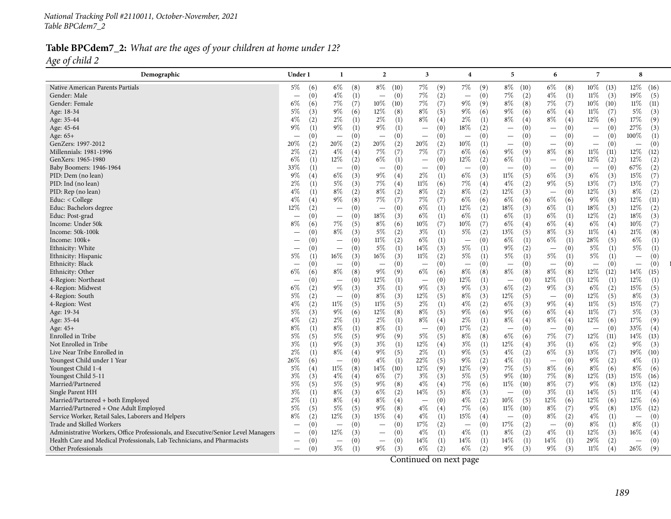#### Table BPCdem7\_2: What are the ages of your children at home under 12? *Age of child <sup>2</sup>*

| Demographic                                                                       | Under 1                  | $\mathbf{1}$             | $\overline{2}$           | 3                               | $\overline{\bf{4}}$      | 5                               | 6                               | 7                                | 8                               |
|-----------------------------------------------------------------------------------|--------------------------|--------------------------|--------------------------|---------------------------------|--------------------------|---------------------------------|---------------------------------|----------------------------------|---------------------------------|
| Native American Parents Partials                                                  | 5%<br>(6)                | $6\%$<br>(8)             | $8\%$ (10)               | 7%<br>(9)                       | 7%<br>(9)                | $8\%$<br>(10)                   | $6\%$<br>(8)                    | $10\%$<br>(13)                   | 12%<br>(16)                     |
| Gender: Male                                                                      | (0)                      | $4\%$                    | (0)                      | $7\%$                           | (0)                      | 7%                              | $4\%$                           | $11\%$                           | 19%                             |
|                                                                                   |                          | (1)                      |                          | (2)                             | $\overline{\phantom{m}}$ | (2)                             | (1)                             | (3)                              | (5)                             |
| Gender: Female                                                                    | $6\%$                    | 7%                       | $10\%$                   | 7%                              | $9\%$                    | $8\%$                           | 7%                              | $10\%$                           | $11\%$                          |
|                                                                                   | (6)                      | (7)                      | (10)                     | (7)                             | (9)                      | (8)                             | (7)                             | (10)                             | (11)                            |
| Age: 18-34                                                                        | $5\%$                    | $9\%$                    | 12%                      | $8\%$                           | $9\%$                    | 9%                              | $6\%$                           | $11\%$                           | $5\%$                           |
|                                                                                   | (3)                      | (6)                      | (8)                      | (5)                             | (6)                      | (6)                             | (4)                             | (7)                              | (3)                             |
| Age: 35-44                                                                        | $4\%$                    | $2\%$                    | $2\%$                    | $8\%$                           | 2%                       | $8\%$                           | $8\%$                           | 12\%                             | 17%                             |
|                                                                                   | (2)                      | (1)                      | (1)                      | (4)                             | (1)                      | (4)                             | (4)                             | (6)                              | (9)                             |
| Age: 45-64                                                                        | 9%                       | $9\%$                    | 9%                       | (0)                             | 18%                      | (0)                             | (0)                             | (0)                              | 27%                             |
|                                                                                   | (1)                      | (1)                      | (1)                      | $\overline{\phantom{0}}$        | (2)                      | $\overbrace{\phantom{1232211}}$ | $\overbrace{\phantom{1232211}}$ | $\overbrace{\phantom{12322111}}$ | (3)                             |
| Age: $65+$                                                                        | (0)                      | (0)                      | (0)                      | (0)                             | (0)                      | (0)                             | (0)                             | (0)                              | $100\%$                         |
|                                                                                   | $\overline{\phantom{0}}$ | $\overline{\phantom{m}}$ | $\overline{\phantom{m}}$ | $\hspace{0.1mm}-\hspace{0.1mm}$ | $\overline{\phantom{a}}$ | $\overbrace{\phantom{1232211}}$ | $\overline{\phantom{m}}$        | $\qquad \qquad -$                | (1)                             |
| GenZers: 1997-2012                                                                | 20%                      | 20%                      | 20%                      | 20%                             | $10\%$                   | (0)                             | (0)                             | (0)                              | (0)                             |
|                                                                                   | (2)                      | (2)                      | (2)                      | (2)                             | (1)                      | $\overline{\phantom{m}}$        | $\overline{\phantom{m}}$        | $\hspace{0.1mm}-\hspace{0.1mm}$  | $\hspace{0.1mm}-\hspace{0.1mm}$ |
| Millennials: 1981-1996                                                            | $2\%$                    | $4\%$                    | $7\%$                    | 7%                              | $6\%$                    | $9\%$                           | $8\%$                           | $11\%$                           | 12%                             |
|                                                                                   | (2)                      | (4)                      | (7)                      | (7)                             | (6)                      | (9)                             | (8)                             | (11)                             | (12)                            |
| GenXers: 1965-1980                                                                | $6\%$                    | 12%                      | $6\%$                    | (0)                             | $12\%$                   | 6%                              | (0)                             | $12\%$                           | 12%                             |
|                                                                                   | (1)                      | (2)                      | (1)                      | $\overbrace{\phantom{1232211}}$ | (2)                      | (1)                             | $\overline{\phantom{m}}$        | (2)                              | (2)                             |
| Baby Boomers: 1946-1964                                                           | 33\%                     | (0)                      | (0)                      | (0)                             | (0)                      | (0)                             | (0)                             | (0)                              | 67\%                            |
|                                                                                   | (1)                      | $\overline{\phantom{m}}$ | $\overline{\phantom{m}}$ | $\overline{\phantom{a}}$        | $\overline{\phantom{m}}$ | $\overline{\phantom{m}}$        | $\overline{\phantom{m}}$        | $\overline{\phantom{m}}$         | (2)                             |
| PID: Dem (no lean)                                                                | $9\%$                    | $6\%$                    | $9\%$                    | $2\%$                           | $6\%$                    | $11\%$                          | $6\%$                           | $6\%$                            | 15%                             |
|                                                                                   | (4)                      | (3)                      | (4)                      | (1)                             | (3)                      | (5)                             | (3)                             | (3)                              | (7)                             |
| PID: Ind (no lean)                                                                | $2\%$                    | $5\%$                    | 7%                       | $11\%$                          | 7%                       | $4\%$                           | $9\%$                           | 13%                              | 13%                             |
|                                                                                   | (1)                      | (3)                      | (4)                      | (6)                             | (4)                      | (2)                             | (5)                             | (7)                              | (7)                             |
| PID: Rep (no lean)                                                                | $4\%$                    | $8\%$                    | $8\%$                    | $8\%$                           | $8\%$                    | 12%                             | (0)                             | 12%                              | $8\%$                           |
|                                                                                   | (1)                      | (2)                      | (2)                      | (2)                             | (2)                      | (3)                             | $\overline{\phantom{m}}$        | (3)                              | (2)                             |
| Educ: $<$ College                                                                 | $4\%$                    | $9\%$                    | 7%                       | 7%                              | 6%                       | 6%                              | $6\%$                           | $9\%$                            | 12%                             |
|                                                                                   | (4)                      | (8)                      | (7)                      | (7)                             | (6)                      | (6)                             | (6)                             | (8)                              | (11)                            |
| Educ: Bachelors degree                                                            | 12%                      | (0)                      | (0)                      | $6\%$                           | $12\%$                   | $18\%$                          | $6\%$                           | 18%                              | 12%                             |
|                                                                                   | (2)                      | $\overline{\phantom{m}}$ | $\overline{\phantom{m}}$ | (1)                             | (2)                      | (3)                             | (1)                             | (3)                              | (2)                             |
| Educ: Post-grad                                                                   | (0)                      | (0)                      | $18\%$                   | $6\%$                           | $6\%$                    | $6\%$                           | $6\%$                           | 12\%                             | $18\%$                          |
|                                                                                   | $\overline{\phantom{0}}$ | $\overline{\phantom{m}}$ | (3)                      | (1)                             | (1)                      | (1)                             | (1)                             | (2)                              | (3)                             |
| Income: Under 50k                                                                 | $8\%$                    | 7%                       | $8\%$                    | 10%                             | 10%                      | $6\%$                           | $6\%$                           | $6\%$                            | 10%                             |
|                                                                                   | (6)                      | (5)                      | (6)                      | (7)                             | (7)                      | (4)                             | (4)                             | (4)                              | (7)                             |
| Income: 50k-100k                                                                  | (0)                      | $8\%$                    | $5\%$                    | $3\%$                           | $5\%$                    | 13%                             | $8\%$                           | $11\%$                           | 21%                             |
|                                                                                   |                          | (3)                      | (2)                      | (1)                             | (2)                      | (5)                             | (3)                             | (4)                              | (8)                             |
| Income: 100k+                                                                     | (0)                      | (0)                      | $11\%$                   | $6\%$                           | (0)                      | $6\%$                           | $6\%$                           | 28\%                             | $6\%$                           |
|                                                                                   | $\overline{\phantom{0}}$ | $\overline{\phantom{m}}$ | (2)                      | (1)                             | $\overline{\phantom{m}}$ | (1)                             | (1)                             | (5)                              | (1)                             |
| Ethnicity: White                                                                  | (0)                      | (0)                      | $5\%$                    | 14%                             | $5\%$                    | $9\%$                           | (0)                             | $5\%$                            | $5\%$                           |
|                                                                                   |                          | $\overline{\phantom{m}}$ | (1)                      | (3)                             | (1)                      | (2)                             | $\overline{\phantom{m}}$        | (1)                              | (1)                             |
| Ethnicity: Hispanic                                                               | $5\%$                    | $16\%$                   | 16%                      | $11\%$                          | 5%                       | 5%                              | $5\%$                           | 5%                               | (0)                             |
|                                                                                   | (1)                      | (3)                      | (3)                      | (2)                             | (1)                      | (1)                             | (1)                             | (1)                              | $\overline{\phantom{m}}$        |
| Ethnicity: Black                                                                  | (0)                      | (0)                      | (0)                      | (0)                             | (0)                      | (0)                             | (0)                             | (0)                              | (0)                             |
|                                                                                   | -                        | $\overline{\phantom{m}}$ | $\overline{\phantom{m}}$ | $\overline{\phantom{m}}$        | $\overline{\phantom{m}}$ | $\overbrace{\phantom{1232211}}$ | $\qquad \qquad -$               | $\overline{\phantom{m}}$         | $\overline{\phantom{m}}$        |
| Ethnicity: Other                                                                  | $6\%$                    | $8\%$                    | $9\%$                    | $6\%$                           | $8\%$                    | $8\%$                           | $8\%$                           | 12%                              | $14\%$                          |
|                                                                                   | (6)                      | (8)                      | (9)                      | (6)                             | (8)                      | (8)                             | (8)                             | (12)                             | (15)                            |
| 4-Region: Northeast                                                               | (0)                      | (0)                      | $12\%$                   | (0)                             | $12\%$                   | (0)                             | 12%                             | 12%                              | 12%                             |
|                                                                                   | $\overline{\phantom{0}}$ | $\overline{\phantom{m}}$ | (1)                      | $\overline{\phantom{0}}$        | (1)                      | $\equiv$                        | (1)                             | (1)                              | (1)                             |
| 4-Region: Midwest                                                                 | $6\%$                    | $9\%$                    | $3\%$                    | $9\%$                           | $9\%$                    | 6%                              | $9\%$                           | $6\%$                            | $15\%$                          |
|                                                                                   | (2)                      | (3)                      | (1)                      | (3)                             | (3)                      | (2)                             | (3)                             | (2)                              | (5)                             |
| 4-Region: South                                                                   | $5\%$                    | (0)                      | $8\%$                    | 12%                             | 8%                       | 12%                             | (0)                             | $12\%$                           | $8\%$                           |
|                                                                                   | (2)                      | $\overline{\phantom{m}}$ | (3)                      | (5)                             | (3)                      | (5)                             | $\overline{\phantom{m}}$        | (5)                              | (3)                             |
| 4-Region: West                                                                    | $4\%$                    | $11\%$                   | $11\%$                   | $2\%$                           | $4\%$                    | 6%                              | $9\%$                           | $11\%$                           | $15\%$                          |
|                                                                                   | (2)                      | (5)                      | (5)                      | (1)                             | (2)                      | (3)                             | (4)                             | (5)                              | (7)                             |
| Age: 19-34                                                                        | $5\%$                    | $9\%$                    | 12%                      | $8\%$                           | $9\%$                    | $9\%$                           | $6\%$                           | $11\%$                           | $5\%$                           |
|                                                                                   | (3)                      | (6)                      | (8)                      | (5)                             | (6)                      | (6)                             | (4)                             | (7)                              | (3)                             |
| Age: 35-44                                                                        | $4\%$                    | $2\%$                    | $2\%$                    | $8\%$                           | $2\%$                    | $8\%$                           | $8\%$                           | 12%                              | $17\%$                          |
|                                                                                   | (2)                      | (1)                      | (1)                      | (4)                             | (1)                      | (4)                             | (4)                             | (6)                              | (9)                             |
| Age: 45+                                                                          | $8\%$                    | $8\%$                    | $8\%$                    | (0)                             | 17%                      | (0)                             | (0)                             | (0)                              | 33%                             |
|                                                                                   | (1)                      | (1)                      | (1)                      | $\overline{\phantom{a}}$        | (2)                      | $\hspace{0.1mm}-\hspace{0.1mm}$ | $\qquad \qquad -$               | $\overline{\phantom{m}}$         | (4)                             |
| Enrolled in Tribe                                                                 | $5\%$                    | $5\%$                    | $9\%$                    | 5%                              | $8\%$                    | $6\%$                           | 7%                              | $12\%$                           | $14\%$                          |
|                                                                                   | (5)                      | (5)                      | (9)                      | (5)                             | (8)                      | (6)                             | (7)                             | (11)                             | (13)                            |
| Not Enrolled in Tribe                                                             | $3\%$                    | $9\%$                    | $3\%$                    | 12%                             | $3\%$                    | $12\%$                          | $3\%$                           | $6\%$                            | $9\%$                           |
|                                                                                   | (1)                      | (3)                      | (1)                      | (4)                             | (1)                      | (4)                             | (1)                             | (2)                              | (3)                             |
| Live Near Tribe Enrolled in                                                       | $2\%$                    | $8\%$                    | $9\%$                    | $2\%$                           | $9\%$                    | $4\%$                           | $6\%$                           | 13%                              | 19%                             |
|                                                                                   | (1)                      | (4)                      | (5)                      | (1)                             | (5)                      | (2)                             | (3)                             | (7)                              | (10)                            |
| Youngest Child under 1 Year                                                       | 26\%                     | (0)                      | $4\%$                    | 22%                             | $9\%$                    | $4\%$                           | (0)                             | $9\%$                            | $4\%$                           |
|                                                                                   | (6)                      | $\overline{\phantom{m}}$ | (1)                      | (5)                             | (2)                      | (1)                             | $\overline{\phantom{m}}$        | (2)                              | (1)                             |
| Youngest Child 1-4                                                                | $5\%$                    | $11\%$                   | 14\%                     | 12%                             | $12\%$                   | 7%                              | $8\%$                           | $8\%$                            | $8\%$                           |
|                                                                                   | (4)                      | (8)                      | (10)                     | (9)                             | (9)                      | (5)                             | (6)                             | (6)                              | (6)                             |
| Youngest Child 5-11                                                               | $3\%$                    | $4\%$                    | $6\%$                    | $3\%$                           | $5\%$                    | $9\%$                           | $7\%$                           | 12%                              | 15%                             |
|                                                                                   | (3)                      | (4)                      | (7)                      | (3)                             | (5)                      | (10)                            | (8)                             | (13)                             | (16)                            |
| Married/Partnered                                                                 | $5\%$                    | 5%                       | $9\%$                    | $4\%$                           | $7\%$                    | $11\%$                          | $8\%$                           | $9\%$                            | $13\%$                          |
|                                                                                   | (5)                      | (5)                      | (8)                      | (4)                             | (6)                      | (10)                            | (7)                             | (8)                              | (12)                            |
| Single Parent HH                                                                  | $3\%$                    | $8\%$                    | $6\%$                    | 14%                             | $8\%$                    | (0)                             | $3\%$                           | $14\%$                           | $11\%$                          |
|                                                                                   | (1)                      | (3)                      | (2)                      | (5)                             | (3)                      | $\overline{\phantom{m}}$        | (1)                             | (5)                              | (4)                             |
| Married/Partnered + both Employed                                                 | $2\%$                    | $8\%$                    | $8\%$                    | (0)                             | $4\%$                    | $10\%$                          | 12%                             | 12%                              | $12\%$                          |
|                                                                                   | (1)                      | (4)                      | (4)                      | $\overline{\phantom{a}}$        | (2)                      | (5)                             | (6)                             | (6)                              | (6)                             |
| Married/Partnered + One Adult Employed                                            | 5%                       | $5\%$                    | $9\%$                    | $4\%$                           | 7%                       | $11\%$                          | $8\%$                           | $9\%$                            | 13\%                            |
|                                                                                   | (5)                      | (5)                      | (8)                      | (4)                             | (6)                      | (10)                            | (7)                             | (8)                              | (12)                            |
| Service Worker, Retail Sales, Laborers and Helpers                                | $8\%$                    | $12\%$                   | $15\%$                   | $4\%$                           | $15\%$                   | (0)                             | $8\%$                           | $4\%$                            | (0)                             |
|                                                                                   | (2)                      | (3)                      | (4)                      | (1)                             | (4)                      | $\overline{\phantom{m}}$        | (2)                             | (1)                              | $\overline{\phantom{m}}$        |
| Trade and Skilled Workers                                                         | (0)                      | (0)                      | (0)                      | 17%                             | (0)                      | 17%                             | (0)                             | 8%                               | $8\%$                           |
|                                                                                   | $\qquad \qquad$          | $\qquad \qquad -$        | $\qquad \qquad -$        | (2)                             | $\overline{\phantom{m}}$ | (2)                             | $\overline{\phantom{0}}$        | (1)                              | (1)                             |
| Administrative Workers, Office Professionals, and Executive/Senior Level Managers | (0)                      | 12%                      | (0)                      | $4\%$                           | $4\%$                    | $8\%$                           | $4\%$                           | 12\%                             | $16\%$                          |
|                                                                                   |                          | (3)                      | $\qquad \qquad -$        | (1)                             | (1)                      | (2)                             | (1)                             | (3)                              | (4)                             |
| Health Care and Medical Professionals, Lab Technicians, and Pharmacists           | (0)                      | (0)                      | (0)                      | 14%                             | 14\%                     | $14\%$                          | $14\%$                          | 29\%                             | (0)                             |
|                                                                                   | $\overline{\phantom{0}}$ | $\overline{\phantom{0}}$ |                          | (1)                             | (1)                      | (1)                             | (1)                             | (2)                              | $\overline{\phantom{m}}$        |
| Other Professionals                                                               | (0)                      | $3\%$                    | 9%                       | $6\%$                           | $6\%$                    | 9%                              | $9\%$                           | $11\%$                           | 26\%                            |
|                                                                                   | $\qquad \qquad$          | (1)                      | (3)                      | (2)                             | (2)                      | (3)                             | (3)                             | (4)                              | (9)                             |
|                                                                                   |                          |                          |                          |                                 |                          |                                 |                                 |                                  |                                 |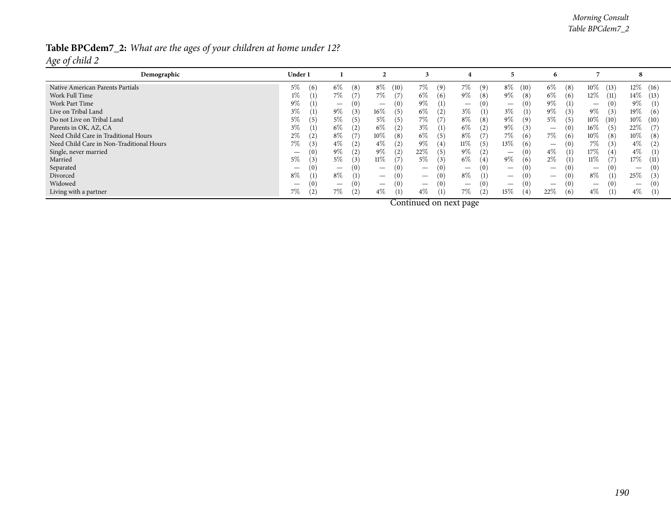#### *Morning Consult Table BPCdem7\_2*

# Table BPCdem7\_2: What are the ages of your children at home under 12?

*Age of child <sup>2</sup>*

| Demographic                              | Under 1      |                           |                                        |                                        |               |                                 | n                               |                                        | $\Omega$                 |
|------------------------------------------|--------------|---------------------------|----------------------------------------|----------------------------------------|---------------|---------------------------------|---------------------------------|----------------------------------------|--------------------------|
| Native American Parents Partials         | 5%<br>(6)    | $6\%$<br>$\left(8\right)$ | $8\%$<br>(10)                          | 7%<br>(9)                              | 7%<br>(9)     | $8\%$<br>(10)                   | $6\%$<br>(8)                    | $10\%$<br>(13)                         | $12\%$ (16)              |
| Work Full Time                           | 1%           | 7%                        | 7%<br>(7)                              | 6%<br>(6)                              | $9\%$<br>(8)  | 9%<br>(8)                       | $6\%$<br>(6)                    | $12\%$<br>(11)                         | $14\%$ (13)              |
| Work Part Time                           | $9\%$        | $\overline{\phantom{0}}$  | (0)                                    | $9\%$<br>(1)                           |               | (0)<br>$\overline{\phantom{0}}$ | $9\%$<br>(1)                    | (0)<br>$\overline{\phantom{0}}$        | $9\%$<br>(1)             |
| Live on Tribal Land                      | $3\%$        | $9\%$<br>.51              | $16\%$<br>(5)                          | $6\%$<br>(2)                           | $3\%$<br>(1)  | $3\%$<br>$\left(1\right)$       | $9\%$<br>(3)                    | $9\%$<br>(3)                           | 19%<br>(6)               |
| Do not Live on Tribal Land               | $5\%$<br>(5) | $5\%$<br>5)               | 5%<br>(5)                              | 7%<br>(7)                              | $8\%$<br>(8)  | $9\%$<br>(9)                    | $5\%$<br>(5)                    | $10\%$<br>(10)                         | $10\%$ (10)              |
| Parents in OK, AZ, CA                    | $3\%$        | $6\%$                     | $6\%$<br>(2)                           | $3\%$<br>(1)                           | $6\%$<br>(2)  | 9%<br>(3)                       | (O)<br>$\qquad \qquad$          | $16\%$<br>(5)                          | 22\%                     |
| Need Child Care in Traditional Hours     | $2\%$        | $8\%$                     | 10%<br>(8)                             | $6\%$<br>(5)                           | $8\%$<br>(7)  | 7%<br>(6)                       | 7%<br>(6)                       | $10\%$<br>(8)                          | $10\%$<br>(8)            |
| Need Child Care in Non-Traditional Hours | 7%<br>(3)    | $4\%$                     | $4\%$<br>(2)                           | $9\%$<br>(4)                           | $11\%$<br>(5) | 13%<br>(6)                      | (0)<br>$\qquad \qquad -$        | 7%<br>(3)                              | $4\%$<br>$2^{\circ}$     |
| Single, never married                    | (0)          | $9\%$<br>(2)              | $9\%$<br>(2)                           | 22\%<br>(5)                            | $9\%$<br>(2)  | (0)<br>$\overline{\phantom{0}}$ | $4\%$<br>(1)                    | $17\%$<br>(4)                          | $4\%$<br>(1)             |
| Married                                  | 5%<br>(3)    | $5\%$<br>3)               | $11\%$<br>(7)                          | 5%<br>(3)                              | $6\%$<br>(4)  | $9\%$<br>(6)                    | $2\%$                           | $11\%$                                 | 17\%<br>(11)             |
| Separated                                |              | $\overline{\phantom{0}}$  | (0)                                    | (0)                                    |               | (0)<br>$\overline{\phantom{0}}$ |                                 | (0)<br>$\hspace{0.1mm}-\hspace{0.1mm}$ | $\overline{\phantom{0}}$ |
| Divorced                                 | $8\%$        | $8\%$<br>$\left(1\right)$ | (0)                                    | (0)                                    | $8\%$<br>(1)  | $\overline{\phantom{0}}$        | $\overline{\phantom{0}}$        | 8%                                     | 25%<br>3                 |
| Widowed                                  | (0)          | $\overline{\phantom{0}}$  | (0)<br>$\hspace{0.1mm}-\hspace{0.1mm}$ | (0)<br>$\hspace{0.1mm}-\hspace{0.1mm}$ |               | (0)<br>$\overline{\phantom{0}}$ | (0)<br>$\overline{\phantom{0}}$ | (0)                                    | $\overline{\phantom{0}}$ |
| Living with a partner                    | 7%           | 7%<br>[2]                 | $4\%$<br>(1)                           | 4%<br>(1)                              | 7%<br>(2)     | 15%<br>(4)                      | 22%<br>(6)                      | $4\%$                                  | $4\%$<br>(1)             |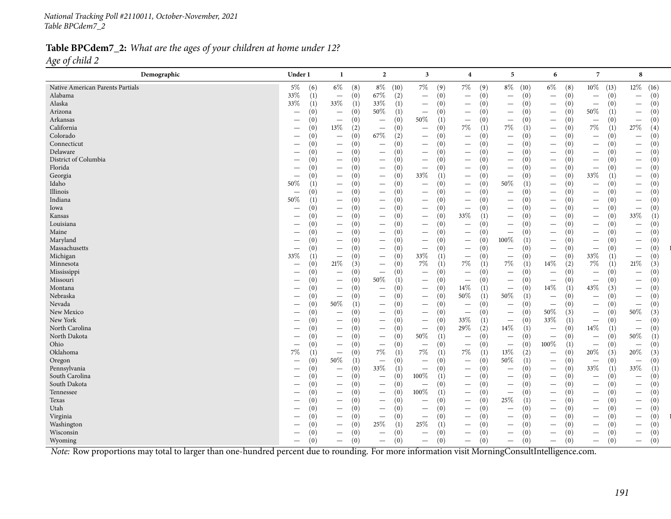#### Table BPCdem7\_2: What are the ages of your children at home under 12? *Age of child <sup>2</sup>*

| Demographic                                                                                                                                    | Under 1                         | $\mathbf{1}$                         | $\overline{2}$                   | $\overline{\mathbf{3}}$         | $\overline{4}$                  | 5                               | 6                                      | $\overline{7}$                  | 8                               |
|------------------------------------------------------------------------------------------------------------------------------------------------|---------------------------------|--------------------------------------|----------------------------------|---------------------------------|---------------------------------|---------------------------------|----------------------------------------|---------------------------------|---------------------------------|
| Native American Parents Partials                                                                                                               | $5\%$<br>(6)                    | $6\%$<br>(8)                         | $8\%$<br>(10)                    | $7\%$<br>(9)                    | $7\%$<br>(9)                    | $8\%$ (10)                      | $6\%$<br>(8)                           | $10\%$<br>(13)                  | $12\%$<br>(16)                  |
| Alabama                                                                                                                                        | 33%                             | (0)                                  | 67%                              | (0)                             | (0)                             | (0)                             | (0)                                    | (0)                             | (0)                             |
|                                                                                                                                                | (1)                             | $\overline{\phantom{m}}$             | (2)                              | $\overline{\phantom{m}}$        | $\overline{\phantom{m}}$        |                                 | $\overline{\phantom{m}}$               | $\qquad \qquad -$               | $\overline{\phantom{m}}$        |
| Alaska                                                                                                                                         | 33%                             | $33\%$                               | 33%                              | (0)                             | (0)                             | (0)                             | (0)                                    | (0)                             | (0)                             |
|                                                                                                                                                | (1)                             | (1)                                  | (1)                              |                                 | $\hspace{0.1mm}-\hspace{0.1mm}$ | $\qquad \qquad -$               | $\overline{\phantom{m}}$               | $\qquad \qquad -$               | $\overline{\phantom{m}}$        |
| Arizona                                                                                                                                        | (0)                             | (0)                                  | $50\%$                           | (0)                             | (0)                             | (0)                             | (0)                                    | 50%                             | (0)                             |
|                                                                                                                                                | $\overline{\phantom{m}}$        | $\overline{\phantom{m}}$             | (1)                              |                                 | $\overline{\phantom{m}}$        | $\overline{\phantom{0}}$        | $\overline{\phantom{m}}$               | (1)                             | $\overline{\phantom{m}}$        |
| Arkansas                                                                                                                                       | (0)                             | (0)                                  | (0)                              | 50%                             | (0)                             | (0)                             | (0)                                    | (0)                             | (0)                             |
|                                                                                                                                                | $\overline{\phantom{m}}$        | $\overline{\phantom{m}}$             |                                  | (1)                             | $\overline{\phantom{m}}$        | $\overline{\phantom{m}}$        | $\overline{\phantom{m}}$               |                                 | $\overline{\phantom{m}}$        |
| California                                                                                                                                     | (0)                             | $13\%$                               | (0)                              | (0)                             | $7\%$                           | 7%                              | (0)                                    | 7%                              | 27%                             |
|                                                                                                                                                |                                 | (2)                                  | $\overline{\phantom{m}}$         | $\overbrace{\phantom{1232211}}$ | (1)                             | (1)                             | $\overline{\phantom{m}}$               | (1)                             | (4)                             |
| Colorado                                                                                                                                       | (0)                             | (0)                                  | $67\%$                           | (0)                             | (0)                             | (0)                             | (0)                                    | (0)                             | (0)                             |
|                                                                                                                                                | $\overline{\phantom{m}}$        | $\equiv$                             | (2)                              | $\overbrace{\phantom{1232211}}$ | $\overline{\phantom{m}}$        | $\equiv$                        | $\overline{\phantom{0}}$               | $\equiv$                        | $\overline{\phantom{m}}$        |
| Connecticut                                                                                                                                    | (0)                             | (0)                                  | (0)                              | (0)                             | (0)                             | (0)                             | (0)                                    | (0)                             | (0)                             |
|                                                                                                                                                |                                 | $\overline{\phantom{0}}$             | $\overbrace{\phantom{1232211}}$  | $\overline{\phantom{m}}$        | $\overline{\phantom{m}}$        | $\overline{\phantom{0}}$        | $\overline{\phantom{m}}$               |                                 | $\overline{\phantom{m}}$        |
| Delaware                                                                                                                                       | (0)                             | (0)                                  | (0)                              | (0)                             | (0)                             | (0)                             | (0)                                    | (0)                             | (0)                             |
|                                                                                                                                                | $\hspace{0.05cm}$               | $\overline{\phantom{0}}$             | $\qquad \qquad -$                |                                 |                                 | $\overline{\phantom{0}}$        | $\overline{\phantom{m}}$               | $\overline{\phantom{0}}$        | $\qquad \qquad -$               |
| District of Columbia                                                                                                                           | (0)                             | (0)                                  | (0)                              | (0)                             | (0)                             | (0)                             | (0)                                    | (0)                             | (0)                             |
|                                                                                                                                                |                                 | $\overline{\phantom{0}}$             | $\hspace{0.1mm}-\hspace{0.1mm}$  | $\overline{\phantom{0}}$        | $\overline{\phantom{m}}$        | $\overline{\phantom{0}}$        | $\overbrace{\phantom{1232211}}$        | —                               | $\qquad \qquad -$               |
| Florida                                                                                                                                        | (0)                             | (0)                                  | (0)                              | (0)                             | (0)                             | (0)                             | (0)                                    | (0)                             | (0)                             |
|                                                                                                                                                | -                               | $\overbrace{\phantom{12333}}$        | $\overline{\phantom{m}}$         | $\overline{\phantom{m}}$        | $\overline{\phantom{m}}$        | $\overline{\phantom{0}}$        | $\overline{\phantom{m}}$               | $\qquad \qquad$                 | $\qquad \qquad -$               |
| Georgia                                                                                                                                        | (0)                             | (0)                                  | (0)                              | 33%                             | (0)                             | (0)                             | (0)                                    | 33%                             | (0)                             |
|                                                                                                                                                |                                 | $\overbrace{\phantom{12333}}$        | $\overline{\phantom{m}}$         | (1)                             | $\qquad \qquad -$               | $\overline{\phantom{m}}$        |                                        | (1)                             | $\overline{\phantom{m}}$        |
| Idaho                                                                                                                                          | $50\%$                          | (0)                                  | (0)                              | (0)                             | (0)                             | 50%                             | (0)                                    | (0)                             | (0)                             |
|                                                                                                                                                | (1)                             | $\overline{\phantom{0}}$             | $\overline{\phantom{m}}$         | $\overline{\phantom{0}}$        | $\overline{\phantom{m}}$        | (1)                             | $\overline{\phantom{m}}$               |                                 | $\overline{\phantom{m}}$        |
| Illinois                                                                                                                                       | (0)                             | (0)                                  | (0)                              | (0)                             | (0)                             | (0)                             | (0)                                    | (0)                             | (0)                             |
|                                                                                                                                                | $\overline{\phantom{m}}$        | $\overline{\phantom{0}}$             | $\overline{\phantom{m}}$         | $\overline{\phantom{0}}$        | $\overline{\phantom{m}}$        | $\overbrace{\phantom{1232211}}$ | $\overline{\phantom{m}}$               | $\overline{\phantom{0}}$        | $\overline{\phantom{m}}$        |
| Indiana                                                                                                                                        | 50%                             | (0)                                  | (0)                              | (0)                             | (0)                             | (0)                             | (0)                                    | (0)                             | (0)                             |
|                                                                                                                                                | (1)                             |                                      | $\qquad \qquad -$                | $\overline{\phantom{m}}$        | $\overline{\phantom{m}}$        | $\qquad \qquad -$               | $\overline{\phantom{m}}$               | $\qquad \qquad -$               | $\overline{\phantom{m}}$        |
| Iowa                                                                                                                                           | (0)                             | (0)                                  | (0)                              | (0)                             | (0)                             | (0)                             | (0)                                    | (0)                             | (0)                             |
|                                                                                                                                                | $\overline{\phantom{m}}$        | $\overline{\phantom{0}}$             | $\overbrace{\phantom{12322111}}$ | $\overline{\phantom{m}}$        | $\overline{\phantom{m}}$        | $\overline{\phantom{m}}$        | $\overline{\phantom{m}}$               | $\qquad \qquad -$               | $\overline{\phantom{m}}$        |
| Kansas                                                                                                                                         | (0)                             | (0)                                  | (0)                              | (0)                             | 33%                             | (0)                             | (0)                                    | (0)                             | 33%                             |
|                                                                                                                                                | $\overline{\phantom{m}}$        | $\overline{\phantom{0}}$             |                                  |                                 | (1)                             |                                 | $\overline{\phantom{0}}$               | $\qquad \qquad -$               | (1)                             |
| Louisiana                                                                                                                                      | (0)                             | (0)<br>$\overbrace{\phantom{13333}}$ | (0)                              | (0)                             | (0)<br>$\overline{\phantom{m}}$ | (0)<br>$\overline{\phantom{0}}$ | (0)<br>$\overline{\phantom{0}}$        | (0)<br>—                        | (0)                             |
|                                                                                                                                                | (0)                             | (0)                                  | (0)                              | (0)                             | (0)                             | (0)                             | (0)                                    | (0)                             | (0)                             |
| Maine                                                                                                                                          |                                 |                                      |                                  |                                 | $\overline{\phantom{0}}$        |                                 | $\overline{\phantom{0}}$               |                                 | $\overline{\phantom{m}}$        |
| Maryland                                                                                                                                       | (0)                             | (0)                                  | (0)                              | (0)                             | (0)                             | 100%                            | (0)                                    | (0)                             | (0)                             |
|                                                                                                                                                |                                 | $\overbrace{\phantom{13333}}$        | $\overline{\phantom{m}}$         | $\overline{\phantom{m}}$        | $\overline{\phantom{m}}$        | (1)                             | $\overline{\phantom{m}}$               | $\qquad \qquad -$               | $\overline{\phantom{m}}$        |
| Massachusetts                                                                                                                                  | (0)                             | (0)                                  | (0)                              | (0)                             | (0)                             | (0)                             | (0)                                    | (0)                             | (0)                             |
|                                                                                                                                                |                                 |                                      | $\overline{\phantom{m}}$         | $\overline{\phantom{m}}$        | $\overline{\phantom{m}}$        | $\overline{\phantom{0}}$        | $\qquad \qquad$                        | $\qquad \qquad -$               | $\overline{\phantom{m}}$        |
| Michigan                                                                                                                                       | 33%                             | (0)                                  | (0)                              | 33%                             | (0)                             | (0)                             | (0)                                    | 33%                             | (0)                             |
|                                                                                                                                                | (1)                             | $\overline{\phantom{m}}$             | $\overline{\phantom{m}}$         | (1)                             | $\overline{\phantom{m}}$        |                                 | $\overline{\phantom{m}}$               | (1)                             | $\overline{\phantom{m}}$        |
| Minnesota                                                                                                                                      | (0)                             | $21\%$                               | (0)                              | 7%                              | 7%                              | $7\%$                           | 14%                                    | 7%                              | $21\%$                          |
|                                                                                                                                                |                                 | (3)                                  | $\overline{\phantom{m}}$         | (1)                             | (1)                             | (1)                             | (2)                                    | (1)                             | (3)                             |
| Mississippi                                                                                                                                    | (0)                             | (0)                                  | (0)                              | (0)                             | (0)                             | (0)                             | (0)                                    | (0)                             | (0)                             |
|                                                                                                                                                | $\overline{\phantom{m}}$        | $\overline{\phantom{m}}$             | $\overline{\phantom{m}}$         | $\overbrace{\phantom{1232211}}$ | $\overline{\phantom{m}}$        | $\qquad \qquad -$               | $\overline{\phantom{m}}$               | $\qquad \qquad -$               | $\overline{\phantom{m}}$        |
| Missouri                                                                                                                                       | (0)                             | (0)                                  | $50\%$                           | (0)                             | (0)                             | (0)                             | (0)                                    | (0)                             | (0)                             |
|                                                                                                                                                |                                 |                                      | (1)                              | $\overline{\phantom{0}}$        | $\overline{\phantom{m}}$        | $\overline{\phantom{m}}$        | $\overline{\phantom{m}}$               | $\qquad \qquad -$               | $\overline{\phantom{m}}$        |
| Montana                                                                                                                                        | (0)                             | (0)                                  | (0)                              | (0)                             | 14%                             | (0)                             | 14%                                    | 43%                             | (0)                             |
|                                                                                                                                                | -                               | $\overline{\phantom{m}}$             |                                  | $\overline{\phantom{m}}$        | (1)                             |                                 | (1)                                    | (3)                             | $\qquad \qquad -$               |
| Nebraska                                                                                                                                       | (0)                             | (0)                                  | (0)                              | (0)                             | $50\%$                          | 50%                             | (0)                                    | (0)                             | (0)                             |
|                                                                                                                                                | $\hspace{0.1mm}-\hspace{0.1mm}$ | $\qquad \qquad -$                    | $\overline{\phantom{m}}$         | $\qquad \qquad -$               | (1)                             | (1)                             | $\overline{\phantom{m}}$               | $\qquad \qquad -$               | $\overline{\phantom{m}}$        |
| Nevada                                                                                                                                         | (0)                             | $50\%$                               | (0)                              | (0)                             | (0)                             | (0)                             | (0)                                    | (0)                             | (0)                             |
|                                                                                                                                                | $\overbrace{\phantom{1232211}}$ | (1)                                  | $\qquad \qquad -$                | $\overline{\phantom{m}}$        | $\qquad \qquad -$               | $\overline{\phantom{0}}$        | $\overline{\phantom{m}}$               | $\qquad \qquad -$               | $\overline{\phantom{m}}$        |
| New Mexico                                                                                                                                     | (0)                             | (0)                                  | (0)                              | (0)                             | (0)                             | (0)                             | 50%                                    | (0)                             | 50%                             |
|                                                                                                                                                | $\overbrace{\phantom{12332}}$   | $\equiv$                             | $\qquad \qquad -$                | $\overbrace{\phantom{1232211}}$ | $\overline{\phantom{m}}$        | $\equiv$                        | (3)                                    | $\equiv$                        | (3)                             |
| New York                                                                                                                                       | (0)                             | (0)                                  | (0)                              | (0)                             | 33%                             | (0)                             | 33%                                    | (0)                             | (0)                             |
|                                                                                                                                                | $\overline{\phantom{m}}$        |                                      | $\qquad \qquad -$                | $\overline{\phantom{m}}$        | (1)                             | $\overline{\phantom{m}}$        | (1)                                    | $\qquad \qquad -$               | $\overline{\phantom{m}}$        |
| North Carolina                                                                                                                                 | (0)                             | (0)                                  | (0)                              | (0)                             | 29%                             | $14\%$                          | (0)                                    | 14%                             | (0)                             |
|                                                                                                                                                |                                 | $\overline{\phantom{0}}$             | $\overbrace{\phantom{12322111}}$ |                                 | (2)                             | (1)                             | $\overline{\phantom{m}}$               | (1)                             | $\overline{\phantom{m}}$        |
| North Dakota                                                                                                                                   | (0)                             | (0)                                  | (0)                              | 50%                             | (0)                             | (0)                             | (0)                                    | (0)                             | 50%                             |
|                                                                                                                                                | -                               | $\overbrace{\phantom{12333}}$        |                                  | (1)                             | $\overline{\phantom{m}}$        |                                 |                                        |                                 | (1)                             |
| Ohio                                                                                                                                           | (0)                             | (0)                                  | (0)                              | (0)                             | (0)                             | (0)                             | 100%                                   | (0)                             | (0)                             |
|                                                                                                                                                |                                 | $\overbrace{\phantom{12333}}$        |                                  | $\overline{\phantom{0}}$        | $\overline{\phantom{m}}$        |                                 | (1)                                    | $\qquad \qquad -$               | $\overline{\phantom{m}}$        |
| Oklahoma                                                                                                                                       | 7%                              | (0)                                  | $7\%$                            | 7%                              | 7%                              | 13%                             | (0)                                    | 20%                             | 20%                             |
|                                                                                                                                                | (1)                             | $\qquad \qquad -$                    | (1)                              | (1)                             | (1)                             | (2)                             | $\overline{\phantom{0}}$               | (3)                             | (3)                             |
| Oregon                                                                                                                                         | (0)                             | 50%                                  | (0)                              | (0)                             | (0)                             | 50%                             | (0)                                    | (0)                             | (0)                             |
|                                                                                                                                                | $\overline{\phantom{0}}$        | (1)                                  | $\overline{\phantom{m}}$         | $\overbrace{\phantom{1232211}}$ | $\overline{\phantom{m}}$        | (1)                             | $\overline{\phantom{m}}$               | $\qquad \qquad -$               | $\overline{\phantom{m}}$        |
| Pennsylvania                                                                                                                                   | (0)                             | (0)                                  | 33%                              | (0)                             | (0)                             | (0)                             | (0)                                    | 33%                             | 33%                             |
|                                                                                                                                                |                                 | $\overline{\phantom{m}}$             | (1)                              |                                 | $\overline{\phantom{m}}$        | $\overbrace{\phantom{1232211}}$ | $\overline{\phantom{m}}$               | (1)                             | (1)                             |
| South Carolina                                                                                                                                 | (0)                             | (0)                                  | (0)                              | $100\%$                         | (0)                             | (0)                             | (0)                                    | (0)                             | (0)                             |
|                                                                                                                                                | $\hspace{0.1mm}-\hspace{0.1mm}$ | $\qquad \qquad -$                    | $\overline{\phantom{m}}$         | (1)                             | $\hspace{0.1mm}-\hspace{0.1mm}$ | $\overline{\phantom{m}}$        | $\overline{\phantom{m}}$               | $\qquad \qquad -$               | $\overline{\phantom{m}}$        |
| South Dakota                                                                                                                                   | (0)                             | (0)                                  | (0)                              | (0)                             | (0)                             | (0)                             | (0)                                    | (0)                             | (0)                             |
|                                                                                                                                                |                                 |                                      | $\qquad \qquad -$                | $\overline{\phantom{0}}$        |                                 | $\overline{\phantom{m}}$        | $\overline{\phantom{m}}$               |                                 | $\overline{\phantom{m}}$        |
| Tennessee                                                                                                                                      | (0)                             | (0)<br>$\overbrace{\phantom{12333}}$ | (0)<br>$\overline{\phantom{m}}$  | $100\%$<br>(1)                  | (0)<br>$\qquad \qquad -$        | (0)<br>$\overline{\phantom{m}}$ | (0)<br>$\overline{\phantom{m}}$        | (0)<br>—                        | (0)                             |
| Texas                                                                                                                                          | (0)                             | (0)                                  | (0)<br>$\overline{\phantom{m}}$  | (0)<br>$\overline{\phantom{0}}$ | (0)<br>$\overline{\phantom{m}}$ | $25\%$<br>(1)                   | (0)<br>$\overline{\phantom{m}}$        | (0)<br>$\overline{\phantom{0}}$ | $\overline{\phantom{m}}$<br>(0) |
|                                                                                                                                                | (0)                             | (0)                                  | (0)                              | (0)                             | (0)                             | (0)                             |                                        | (0)                             | $\overline{\phantom{m}}$<br>(0) |
| Utah                                                                                                                                           | $\overline{\phantom{0}}$        | $\overline{\phantom{0}}$             | $\overline{\phantom{m}}$         | $\overbrace{\phantom{1232211}}$ |                                 | $\equiv$                        | (0)<br>$\overbrace{\phantom{1232211}}$ | $\overline{\phantom{0}}$        | $\qquad \qquad -$               |
| Virginia                                                                                                                                       | (0)                             | (0)                                  | (0)                              | (0)                             | (0)                             | (0)                             | (0)                                    | (0)                             | (0)                             |
|                                                                                                                                                | -                               | $\overline{\phantom{0}}$             | $\overline{\phantom{m}}$         | $\overline{\phantom{m}}$        | $\overline{\phantom{m}}$        | $\overline{\phantom{0}}$        | $\overline{\phantom{m}}$               |                                 | $\qquad \qquad -$               |
| Washington                                                                                                                                     | (0)                             | (0)                                  | 25%                              | 25%                             | (0)                             | (0)                             | (0)                                    | (0)                             | (0)                             |
|                                                                                                                                                | $\overline{\phantom{m}}$        | $\qquad \qquad -$                    | (1)                              | (1)                             | $\overline{\phantom{m}}$        | $\overline{\phantom{m}}$        | $\overline{\phantom{m}}$               | $\qquad \qquad -$               | $\overline{\phantom{m}}$        |
| Wisconsin                                                                                                                                      | (0)                             | (0)                                  | (0)                              | (0)                             | (0)                             | (0)                             | (0)                                    | (0)                             | (0)                             |
|                                                                                                                                                | $\qquad \qquad -$               | $\overline{\phantom{0}}$             |                                  | $\overline{\phantom{0}}$        |                                 | $\overbrace{\phantom{1232211}}$ | $\overline{\phantom{0}}$               |                                 | $\overline{\phantom{m}}$        |
| Wyoming                                                                                                                                        | (0)                             | (0)                                  | (0)                              | (0)                             | (0)                             | (0)                             | (0)                                    | (0)                             | (0)                             |
|                                                                                                                                                | $\qquad \qquad -$               |                                      |                                  |                                 |                                 | $\qquad \qquad -$               | $\overline{\phantom{m}}$               | $\qquad \qquad -$               |                                 |
| Note: Row proportions may total to larger than one-hundred percent due to rounding. For more information visit MorningConsultIntelligence.com. |                                 |                                      |                                  |                                 |                                 |                                 |                                        |                                 |                                 |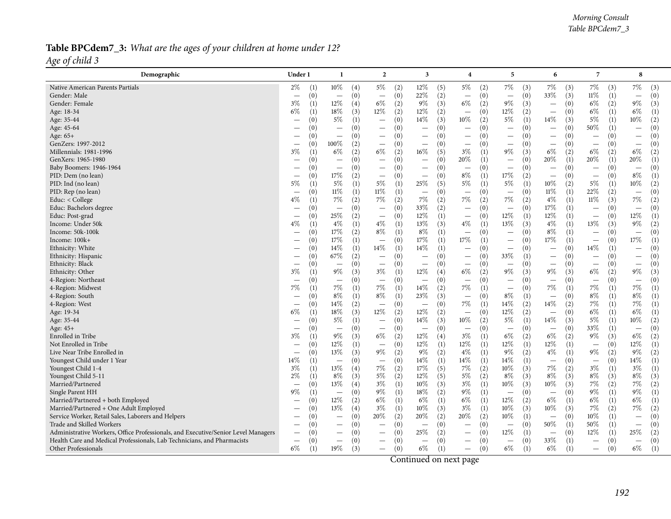### Table BPCdem7\_3: What are the ages of your children at home under 12? *Age of child <sup>3</sup>*

| Demographic                                                                       | Under 1                          | -1                              | $\overline{2}$                  | 3                               | 4                                        | 5                               | 6                               | 7                        | 8                                      |
|-----------------------------------------------------------------------------------|----------------------------------|---------------------------------|---------------------------------|---------------------------------|------------------------------------------|---------------------------------|---------------------------------|--------------------------|----------------------------------------|
| Native American Parents Partials                                                  | $2\%$                            | $10\%$                          | $5\%$                           | 12%                             | $5\%$                                    | 7%                              | 7%                              | 7%                       | 7%                                     |
|                                                                                   | (1)                              | (4)                             | (2)                             | (5)                             | (2)                                      | (3)                             | (3)                             | (3)                      | (3)                                    |
| Gender: Male                                                                      | (0)                              | (0)                             | (0)                             | 22%                             | (0)                                      | (0)                             | 33%                             | $11\%$                   | (0)                                    |
|                                                                                   | $\overbrace{\phantom{12322111}}$ | $\overline{\phantom{0}}$        | $\overline{\phantom{m}}$        | (2)                             |                                          | $\equiv$                        | (3)                             | (1)                      | $\overline{\phantom{m}}$               |
| Gender: Female                                                                    | $3\%$                            | $12\%$                          | $6\%$                           | 9%                              | 6%                                       | $9\%$                           | (0)                             | $6\%$                    | $9\%$                                  |
|                                                                                   | (1)                              | (4)                             | (2)                             | (3)                             | (2)                                      | (3)                             | $\overline{\phantom{m}}$        | (2)                      | (3)                                    |
| Age: 18-34                                                                        | $6\%$                            | 18%                             | $12\%$                          | 12%                             | (0)                                      | $12\%$                          | (0)                             | $6\%$                    | $6\%$                                  |
|                                                                                   | (1)                              | (3)                             | (2)                             | (2)                             | $\overline{\phantom{0}}$                 | (2)                             | $\overline{\phantom{m}}$        | (1)                      | (1)                                    |
| Age: 35-44                                                                        | (0)                              | 5%                              | (0)                             | 14%                             | $10\%$                                   | 5%                              | 14\%                            | $5\%$                    | $10\%$                                 |
|                                                                                   | $\hspace{0.1mm}-\hspace{0.1mm}$  | (1)                             | $\qquad \qquad -$               | (3)                             | (2)                                      | (1)                             | (3)                             | (1)                      | (2)                                    |
| Age: 45-64                                                                        | (0)                              | (0)                             | (0)                             | (0)                             | (0)                                      | (0)                             | (0)                             | 50%                      | (0)                                    |
|                                                                                   |                                  | $\overline{\phantom{0}}$        | $\qquad \qquad -$               | $\overline{\phantom{a}}$        | $\overline{\phantom{0}}$                 | $\overline{\phantom{m}}$        | $\overline{\phantom{0}}$        | (1)                      | $\overline{\phantom{m}}$               |
| Age: 65+                                                                          | (0)                              | (0)<br>$\overline{\phantom{m}}$ | (0)<br>$\qquad \qquad$          | (0)<br>$\overline{\phantom{0}}$ | (0)<br>$\overline{\phantom{0}}$          | (0)<br>$\overline{\phantom{m}}$ | (0)<br>$\qquad \qquad$          | (0)                      | (0)<br>$\overline{\phantom{m}}$        |
| GenZers: 1997-2012                                                                | (0)                              | $100\%$                         | (0)                             | (0)                             | (0)                                      | (0)                             | (0)                             | (0)                      | (0)                                    |
|                                                                                   | $\overline{\phantom{0}}$         | (2)                             | $\qquad \qquad -$               | $\overline{\phantom{m}}$        | $\overline{\phantom{m}}$                 | $\overline{\phantom{m}}$        |                                 | $\overline{\phantom{m}}$ | $\overline{\phantom{m}}$               |
| Millennials: 1981-1996                                                            | $3\%$                            | $6\%$                           | $6\%$                           | $16\%$                          | $3\%$                                    | 9%                              | $6\%$                           | 6%                       | $6\%$                                  |
|                                                                                   | (1)                              | (2)                             | (2)                             | (5)                             | (1)                                      | (3)                             | (2)                             | (2)                      | (2)                                    |
| GenXers: 1965-1980                                                                | (0)                              | (0)                             | (0)                             | (0)                             | 20%                                      | (0)                             | 20%                             | 20%                      | 20%                                    |
|                                                                                   | $\overbrace{\phantom{12332}}$    | $\overline{\phantom{m}}$        | $\qquad \qquad -$               | $\overline{\phantom{m}}$        | (1)                                      | $\overline{\phantom{m}}$        | (1)                             | (1)                      | (1)                                    |
| Baby Boomers: 1946-1964                                                           | (0)                              | (0)                             | (0)                             | (0)                             | (0)                                      | (0)                             | (0)                             | (0)                      | (0)                                    |
|                                                                                   |                                  | $\hspace{0.1mm}-\hspace{0.1mm}$ | $\qquad \qquad -$               | $\overline{\phantom{m}}$        | $\overline{\phantom{m}}$                 | $\overline{\phantom{m}}$        | $\overline{\phantom{m}}$        | $\qquad \qquad -$        | $\overline{\phantom{m}}$               |
| PID: Dem (no lean)                                                                | (0)                              | $17\%$                          | (0)                             | (0)                             | $8\%$                                    | $17\%$                          | (0)                             | (0)                      | $8\%$                                  |
|                                                                                   | $\overbrace{\phantom{123221}}$   | (2)                             | $\qquad \qquad -$               | $\overline{\phantom{m}}$        | (1)                                      | (2)                             |                                 | $\overline{\phantom{m}}$ | (1)                                    |
| PID: Ind (no lean)                                                                | $5\%$                            | $5\%$                           | $5\%$                           | 25%                             | $5\%$                                    | 5%                              | $10\%$                          | 5%                       | $10\%$                                 |
|                                                                                   | (1)                              | (1)                             | (1)                             | (5)                             | (1)                                      | (1)                             | (2)                             | (1)                      | (2)                                    |
| PID: Rep (no lean)                                                                | (0)                              | $11\%$                          | $11\%$                          | (0)                             | (0)                                      | (0)                             | $11\%$                          | 22%                      | (0)                                    |
|                                                                                   | $\hspace{0.1mm}-\hspace{0.1mm}$  | (1)                             | (1)                             | $\overline{\phantom{m}}$        | $\overline{\phantom{m}}$                 | $\overline{\phantom{m}}$        | (1)                             | (2)                      | $\overline{\phantom{m}}$               |
| Educ: < College                                                                   | $4\%$                            | $7\%$                           | $7\%$                           | 7%                              | 7%                                       | 7%                              | $4\%$                           | $11\%$                   | $7\%$                                  |
|                                                                                   | (1)                              | (2)                             | (2)                             | (2)                             | (2)                                      | (2)                             | (1)                             | (3)                      | (2)                                    |
| Educ: Bachelors degree                                                            | (0)                              | (0)                             | (0)                             | 33%                             | (0)                                      | (0)                             | 17%                             | (0)                      | (0)                                    |
|                                                                                   | $\overline{\phantom{m}}$         | $\overline{\phantom{m}}$        | $\overline{\phantom{m}}$        | (2)                             | $\overline{\phantom{0}}$                 | $\overline{\phantom{m}}$        | (1)                             | $\overline{\phantom{m}}$ | $\overline{\phantom{m}}$               |
| Educ: Post-grad                                                                   | (0)                              | 25%                             | (0)                             | 12%                             | (0)                                      | 12%                             | 12%                             | (0)                      | 12%                                    |
|                                                                                   | $\hspace{0.1mm}-\hspace{0.1mm}$  | (2)                             | $\overline{\phantom{m}}$        | (1)                             | $\overline{\phantom{m}}$                 | (1)                             | (1)                             | $\overline{\phantom{a}}$ | (1)                                    |
| Income: Under 50k                                                                 | $4\%$                            | $4\%$                           | $4\%$                           | 13%                             | $4\%$                                    | 13%                             | $4\%$                           | 13%                      | $9\%$                                  |
|                                                                                   | (1)                              | (1)                             | (1)                             | (3)                             | (1)                                      | (3)                             | (1)                             | (3)                      | (2)                                    |
| Income: 50k-100k                                                                  | (0)                              | 17%                             | $8\%$                           | $8\%$                           | (0)                                      | (0)                             | $8\%$                           | (0)                      | (0)                                    |
|                                                                                   | $\overline{\phantom{0}}$         | (2)                             | (1)                             | (1)                             | $\overbrace{\phantom{12322111}}$         | $\overbrace{\phantom{1232211}}$ | (1)                             | $\overline{\phantom{m}}$ | $\overline{\phantom{m}}$               |
| Income: 100k+                                                                     | (0)                              | $17\%$                          | (0)                             | $17\%$                          | 17%                                      | (0)                             | $17\%$                          | (0)                      | $17\%$                                 |
|                                                                                   | $\hspace{0.1mm}-\hspace{0.1mm}$  | (1)                             | $\overline{\phantom{m}}$        | (1)                             | (1)                                      | $\overline{\phantom{m}}$        | (1)                             | $\overline{\phantom{m}}$ | (1)                                    |
| Ethnicity: White                                                                  | (0)                              | 14%<br>(1)                      | 14\%<br>(1)                     | 14%<br>(1)                      | (0)<br>$\overbrace{\phantom{123221111}}$ | (0)<br>$\overline{\phantom{a}}$ | (0)<br>$\overline{\phantom{0}}$ | 14%<br>(1)               | (0)<br>$\overbrace{\phantom{1232211}}$ |
| Ethnicity: Hispanic                                                               | (0)                              | $67\%$                          | (0)                             | (0)                             | (0)                                      | 33%                             | (0)                             | (0)                      | (0)                                    |
|                                                                                   | $\hspace{0.1mm}-\hspace{0.1mm}$  | (2)                             | $\qquad \qquad -$               | $\hspace{0.1mm}-\hspace{0.1mm}$ |                                          | (1)                             | $\qquad \qquad -$               | $\overline{\phantom{m}}$ | $\hspace{0.1mm}-\hspace{0.1mm}$        |
| Ethnicity: Black                                                                  | (0)                              | (0)                             | (0)                             | (0)                             | (0)                                      | (0)                             | (0)                             | (0)                      | (0)                                    |
|                                                                                   |                                  | $\overline{\phantom{m}}$        | $\overline{\phantom{m}}$        | $\overline{\phantom{m}}$        |                                          | $\overbrace{\phantom{1232211}}$ | $\qquad \qquad -$               | $\overline{\phantom{m}}$ | $\overline{\phantom{m}}$               |
| Ethnicity: Other                                                                  | $3\%$                            | $9\%$<br>(3)                    | $3\%$<br>(1)                    | $12\%$<br>(4)                   | $6\%$<br>(2)                             | $9\%$<br>(3)                    | $9\%$<br>(3)                    | $6\%$<br>(2)             | 9%<br>(3)                              |
| 4-Region: Northeast                                                               | (0)                              | (0)                             | (0)                             | (0)                             | (0)                                      | (0)                             | (0)                             | (0)                      | (0)                                    |
|                                                                                   | $\overline{\phantom{0}}$         | $\overline{\phantom{0}}$        | $\overline{\phantom{m}}$        | $\overline{\phantom{0}}$        | $\overline{\phantom{0}}$                 | $\overbrace{\phantom{1232211}}$ | $\overline{\phantom{0}}$        | $\qquad \qquad =$        | $\overline{\phantom{m}}$               |
| 4-Region: Midwest                                                                 | $7\%$                            | 7%                              | $7\%$                           | $14\%$                          | 7%                                       | (0)                             | $7\%$                           | $7\%$                    | 7%                                     |
|                                                                                   | (1)                              | (1)                             | (1)                             | (2)                             | (1)                                      | $\overline{\phantom{m}}$        | (1)                             | (1)                      | (1)                                    |
| 4-Region: South                                                                   | (0)                              | $8\%$                           | $8\%$                           | 23%                             | (0)                                      | 8%                              | (0)                             | $8\%$                    | $8\%$                                  |
|                                                                                   |                                  | (1)                             | (1)                             | (3)                             | $\overbrace{\phantom{1232211}}$          | (1)                             | $\overline{\phantom{m}}$        | (1)                      | (1)                                    |
| 4-Region: West                                                                    | (0)                              | 14\%                            | (0)                             | (0)                             | 7%                                       | 14%                             | $14\%$                          | 7%                       | $7\%$                                  |
|                                                                                   | $\hspace{0.1mm}-\hspace{0.1mm}$  | (2)                             | $\overline{\phantom{m}}$        | $\overline{\phantom{m}}$        | (1)                                      | (2)                             | (2)                             | (1)                      | (1)                                    |
| Age: 19-34                                                                        | 6%                               | $18\%$                          | 12%                             | $12\%$                          | (0)                                      | 12%                             | (0)                             | 6%                       | $6\%$                                  |
|                                                                                   | (1)                              | (3)                             | (2)                             | (2)                             | $\overbrace{\phantom{12322111}}$         | (2)                             | $\overline{\phantom{m}}$        | (1)                      | (1)                                    |
| Age: 35-44                                                                        | (0)                              | $5\%$                           | (0)                             | $14\%$                          | 10%                                      | 5%                              | $14\%$                          | $5\%$                    | $10\%$                                 |
|                                                                                   | $\overline{\phantom{0}}$         | (1)                             | $\overline{\phantom{m}}$        | (3)                             | (2)                                      | (1)                             | (3)                             | (1)                      | (2)                                    |
| Age: 45+                                                                          | (0)                              | (0)                             | (0)                             | (0)                             | (0)                                      | (0)                             | (0)                             | 33%                      | (0)                                    |
|                                                                                   | $\overline{\phantom{m}}$         | $\overline{\phantom{0}}$        | $\overline{\phantom{m}}$        | $\overline{\phantom{m}}$        | $\overbrace{\phantom{12322111}}$         | $\overline{\phantom{m}}$        | $\overline{\phantom{m}}$        | (1)                      | $\overline{\phantom{m}}$               |
| Enrolled in Tribe                                                                 | $3\%$                            | $9\%$                           | $6\%$                           | 12%                             | $3\%$                                    | 6%                              | $6\%$                           | $9\%$                    | $6\%$                                  |
|                                                                                   | (1)                              | (3)                             | (2)                             | (4)                             | (1)                                      | (2)                             | (2)                             | (3)                      | (2)                                    |
| Not Enrolled in Tribe                                                             | (0)                              | 12%                             | (0)                             | 12%                             | 12%                                      | 12%                             | 12%                             | (0)                      | $12\%$                                 |
|                                                                                   | $\overline{\phantom{0}}$         | (1)                             | $\overline{\phantom{m}}$        | (1)                             | (1)                                      | (1)                             | (1)                             | $\overline{\phantom{m}}$ | (1)                                    |
| Live Near Tribe Enrolled in                                                       | (0)                              | 13%                             | $9\%$                           | $9\%$                           | $4\%$                                    | 9%                              | $4\%$                           | $9\%$                    | $9\%$                                  |
|                                                                                   | $\overline{\phantom{m}}$         | (3)                             | (2)                             | (2)                             | (1)                                      | (2)                             | (1)                             | (2)                      | (2)                                    |
| Youngest Child under 1 Year                                                       | $14\%$                           | (0)                             | (0)                             | 14%                             | $14\%$                                   | $14\%$                          | (0)                             | (0)                      | 14\%                                   |
|                                                                                   | (1)                              | $\overline{\phantom{m}}$        | $\overline{\phantom{m}}$        | (1)                             | (1)                                      | (1)                             | $\overline{\phantom{0}}$        | $\overline{\phantom{m}}$ | (1)                                    |
| Youngest Child 1-4                                                                | $3\%$                            | 13%                             | 7%                              | 17%                             | 7%                                       | $10\%$                          | $7\%$                           | $3\%$                    | $3\%$                                  |
|                                                                                   | (1)                              | (4)                             | (2)                             | (5)                             | (2)                                      | (3)                             | (2)                             | (1)                      | (1)                                    |
| Youngest Child 5-11                                                               | $2\%$                            | $8\%$                           | $5\%$                           | 12%                             | $5\%$                                    | 8%                              | $8\%$                           | $8\%$                    | $8\%$                                  |
|                                                                                   | (1)                              | (3)                             | (2)                             | (5)                             | (2)                                      | (3)                             | (3)                             | (3)                      | (3)                                    |
| Married/Partnered                                                                 | (0)                              | 13%                             | $3\%$                           | 10%                             | $3\%$                                    | 10%                             | $10\%$                          | 7%                       | $7\%$                                  |
|                                                                                   | $\overline{\phantom{m}}$         | (4)                             | (1)                             | (3)                             | (1)                                      | (3)                             | (3)                             | (2)                      | (2)                                    |
| Single Parent HH                                                                  | $9\%$                            | (0)                             | $9\%$                           | $18\%$                          | $9\%$                                    | (0)                             | (0)                             | $9\%$                    | $9\%$                                  |
|                                                                                   | (1)                              | $\overline{\phantom{m}}$        | (1)                             | (2)                             | (1)                                      | $\overline{\phantom{m}}$        | $\overline{\phantom{m}}$        | (1)                      | (1)                                    |
| Married/Partnered + both Employed                                                 | (0)                              | 12%                             | $6\%$                           | 6%                              | 6%                                       | 12%                             | $6\%$                           | 6%                       | $6\%$                                  |
|                                                                                   | $\overline{\phantom{0}}$         | (2)                             | (1)                             | (1)                             | (1)                                      | (2)                             | (1)                             | (1)                      | (1)                                    |
| Married/Partnered + One Adult Employed                                            | (0)                              | $13\%$                          | $3\%$                           | 10%                             | $3\%$                                    | $10\%$                          | $10\%$                          | $7\%$                    | $7\%$                                  |
|                                                                                   |                                  | (4)                             | (1)                             | (3)                             | (1)                                      | (3)                             | (3)                             | (2)                      | (2)                                    |
| Service Worker, Retail Sales, Laborers and Helpers                                | (0)                              | (0)                             | 20%                             | 20%                             | 20%                                      | 10%                             | (0)                             | $10\%$                   | (0)                                    |
|                                                                                   | $\overline{\phantom{m}}$         | $\overline{\phantom{m}}$        | (2)                             | (2)                             | (2)                                      | (1)                             | $\overline{\phantom{m}}$        | (1)                      | $\overline{\phantom{m}}$               |
| Trade and Skilled Workers                                                         | (0)                              | (0)                             | (0)                             | (0)                             | (0)                                      | (0)                             | 50%                             | 50%                      | (0)                                    |
|                                                                                   | $\overbrace{\phantom{12332}}$    | $\overbrace{\phantom{1232211}}$ |                                 | $\overline{\phantom{m}}$        |                                          | $\overline{\phantom{m}}$        | (1)                             | (1)                      | $\overline{\phantom{m}}$               |
| Administrative Workers, Office Professionals, and Executive/Senior Level Managers | (0)                              | (0)                             | (0)                             | 25%                             | (0)                                      | 12%                             | (0)                             | 12%                      | 25\%                                   |
|                                                                                   |                                  |                                 | $\qquad \qquad -$               | (2)                             |                                          | (1)                             | $\overline{\phantom{m}}$        | (1)                      | (2)                                    |
| Health Care and Medical Professionals, Lab Technicians, and Pharmacists           | (0)                              | (0)                             | (0)                             | (0)                             | (0)                                      | (0)                             | 33\%                            | (0)                      | (0)                                    |
|                                                                                   | $\hspace{0.1mm}-\hspace{0.1mm}$  |                                 | $\overbrace{\phantom{1232211}}$ | $\overline{\phantom{m}}$        | $\overline{\phantom{0}}$                 | $\overline{\phantom{m}}$        | (1)                             | $\overline{\phantom{m}}$ | $\overline{\phantom{m}}$               |
| Other Professionals                                                               | $6\%$                            | 19%<br>(3)                      | (0)<br>$\qquad \qquad$          | $6\%$<br>(1)                    | (0)<br>-                                 | $6\%$<br>(1)                    | $6\%$<br>(1)                    | (0)<br>$\qquad \qquad -$ | $6\%$<br>(1)                           |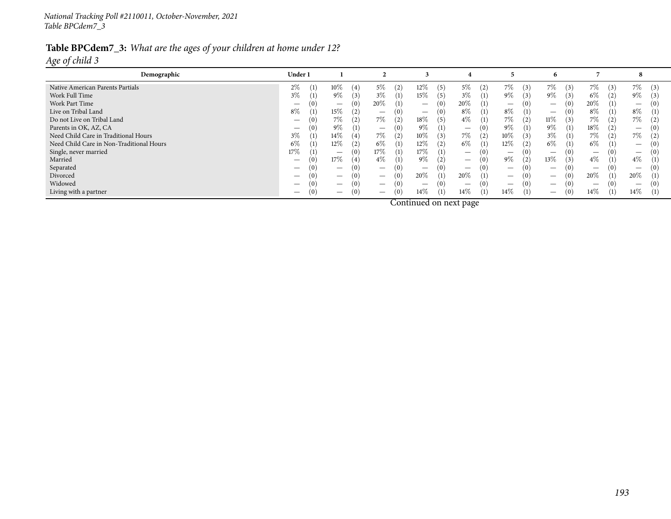## Table BPCdem7\_3: What are the ages of your children at home under 12?

*Age of child <sup>3</sup>*

| $7\%$<br>$2\%$<br>12%<br>7%<br>(3)<br>5%<br>(2)<br>$5\%$<br>(2)<br>7%<br>Native American Parents Partials<br>10%<br>(5)<br>7%<br>(3)<br>$\mathfrak{B}$<br>(3)<br>$3\%$<br>$9\%$<br>9%<br>3%<br>$9\%$<br>$6\%$<br>Work Full Time<br>15%<br>$3\%$<br>9%<br>(5)<br>(1)<br>(3)<br>$\left(1\right)$<br>$\left(3\right)$<br>(3)<br>20%<br>20%<br>Work Part Time<br>20%<br>(0)<br>(1)<br>(0)<br>$\left(1\right)$<br>(0)<br>(0)<br>$\mathbf{0}$<br>$\overline{\phantom{a}}$<br>$\overline{\phantom{0}}$<br>$\overline{\phantom{0}}$<br>$\overline{\phantom{0}}$<br>$\overline{\phantom{0}}$<br>$8\%$<br>$8\%$<br>8%<br>$8\%$<br>$8\%$<br>Live on Tribal Land<br>(0)<br>15%<br>(1)<br>(1)<br>(1)<br>(0)<br>(0)<br>$\qquad \qquad$<br>$\qquad \qquad \overline{\qquad \qquad }$<br>$\overline{\phantom{m}}$<br>7%<br>18%<br>$4\%$<br>$11\%$<br>7%<br>7%<br>7%<br>7%<br>(5)<br>Do not Live on Tribal Land<br>(2)<br>(1)<br>(2)<br>(3)<br>(0)<br>(2)<br>(2)<br>∠<br>9%<br>$9\%$<br>9%<br>$9\%$<br>Parents in OK, AZ, CA<br>$18\%$<br>(1)<br>(1)<br>(0)<br>(0)<br>(2)<br>(1)<br>(0)<br>$\left( 0\right)$<br>$3\%$<br>7%<br>$7\%$<br>7%<br>3%<br>$7\%$<br>14%<br>10%<br>(2)<br>Need Child Care in Traditional Hours<br>(3)<br>10%<br>(2)<br>(3)<br>(2)<br>(1)<br>(2)<br>$6\%$<br>$6\%$<br>12%<br>$12\%$<br>Need Child Care in Non-Traditional Hours<br>$6\%$<br>$6\%$<br>6%<br>12%<br>(2)<br>(1)<br>(1)<br>$\left(1\right)$<br>(2)<br>$\theta$ )<br>$\overline{\phantom{0}}$<br>17%<br>17%<br>17%<br>Single, never married<br>(1)<br>(0)<br>(1<br>( U )<br>$\mathbf{0}$<br>$\overline{\phantom{0}}$<br>4%<br>$9\%$<br>9%<br>13\%<br>$4\%$<br>$4\%$<br>17%<br>(2)<br>(0)<br>(3)<br>Married<br>(0)<br>$\left(1\right)$<br>(2)<br>(1)<br>(1)<br>$\overline{\phantom{0}}$<br>Separated<br>(0)<br>(0)<br>(0)<br>(0)<br>(0)<br>$\overline{\phantom{0}}$<br>$\overline{\phantom{0}}$<br>$\hspace{0.1mm}-\hspace{0.1mm}$<br>$\qquad \qquad$<br>$\overline{\phantom{0}}$<br>$\overline{\phantom{0}}$<br>20%<br>20%<br>20%<br>(1)<br>(1)<br>20%<br>(0)<br>(0)<br>Divorced<br>(0)<br>(0)<br>$\overline{\phantom{0}}$<br>$\overline{\phantom{0}}$<br>$\overline{\phantom{0}}$<br>Widowed<br>(0)<br>(0)<br>(0)<br>$\Omega$<br>$\hspace{0.1mm}-\hspace{0.1mm}$<br>$\overline{\phantom{0}}$<br>$\hspace{0.1mm}-\hspace{0.1mm}$ | Demographic           | Under 1 |                          |                                 |               |            |               | ĥ                               |            | - 8           |
|---------------------------------------------------------------------------------------------------------------------------------------------------------------------------------------------------------------------------------------------------------------------------------------------------------------------------------------------------------------------------------------------------------------------------------------------------------------------------------------------------------------------------------------------------------------------------------------------------------------------------------------------------------------------------------------------------------------------------------------------------------------------------------------------------------------------------------------------------------------------------------------------------------------------------------------------------------------------------------------------------------------------------------------------------------------------------------------------------------------------------------------------------------------------------------------------------------------------------------------------------------------------------------------------------------------------------------------------------------------------------------------------------------------------------------------------------------------------------------------------------------------------------------------------------------------------------------------------------------------------------------------------------------------------------------------------------------------------------------------------------------------------------------------------------------------------------------------------------------------------------------------------------------------------------------------------------------------------------------------------------------------------------------------------------------------------------------------------------------------------------------------------------------------------------------------------------------------------------------------------------------------------------------------------------|-----------------------|---------|--------------------------|---------------------------------|---------------|------------|---------------|---------------------------------|------------|---------------|
|                                                                                                                                                                                                                                                                                                                                                                                                                                                                                                                                                                                                                                                                                                                                                                                                                                                                                                                                                                                                                                                                                                                                                                                                                                                                                                                                                                                                                                                                                                                                                                                                                                                                                                                                                                                                                                                                                                                                                                                                                                                                                                                                                                                                                                                                                                   |                       |         |                          |                                 |               |            |               |                                 |            |               |
|                                                                                                                                                                                                                                                                                                                                                                                                                                                                                                                                                                                                                                                                                                                                                                                                                                                                                                                                                                                                                                                                                                                                                                                                                                                                                                                                                                                                                                                                                                                                                                                                                                                                                                                                                                                                                                                                                                                                                                                                                                                                                                                                                                                                                                                                                                   |                       |         |                          |                                 |               |            |               |                                 |            |               |
|                                                                                                                                                                                                                                                                                                                                                                                                                                                                                                                                                                                                                                                                                                                                                                                                                                                                                                                                                                                                                                                                                                                                                                                                                                                                                                                                                                                                                                                                                                                                                                                                                                                                                                                                                                                                                                                                                                                                                                                                                                                                                                                                                                                                                                                                                                   |                       |         |                          |                                 |               |            |               |                                 |            |               |
|                                                                                                                                                                                                                                                                                                                                                                                                                                                                                                                                                                                                                                                                                                                                                                                                                                                                                                                                                                                                                                                                                                                                                                                                                                                                                                                                                                                                                                                                                                                                                                                                                                                                                                                                                                                                                                                                                                                                                                                                                                                                                                                                                                                                                                                                                                   |                       |         |                          |                                 |               |            |               |                                 |            |               |
|                                                                                                                                                                                                                                                                                                                                                                                                                                                                                                                                                                                                                                                                                                                                                                                                                                                                                                                                                                                                                                                                                                                                                                                                                                                                                                                                                                                                                                                                                                                                                                                                                                                                                                                                                                                                                                                                                                                                                                                                                                                                                                                                                                                                                                                                                                   |                       |         |                          |                                 |               |            |               |                                 |            |               |
|                                                                                                                                                                                                                                                                                                                                                                                                                                                                                                                                                                                                                                                                                                                                                                                                                                                                                                                                                                                                                                                                                                                                                                                                                                                                                                                                                                                                                                                                                                                                                                                                                                                                                                                                                                                                                                                                                                                                                                                                                                                                                                                                                                                                                                                                                                   |                       |         |                          |                                 |               |            |               |                                 |            |               |
|                                                                                                                                                                                                                                                                                                                                                                                                                                                                                                                                                                                                                                                                                                                                                                                                                                                                                                                                                                                                                                                                                                                                                                                                                                                                                                                                                                                                                                                                                                                                                                                                                                                                                                                                                                                                                                                                                                                                                                                                                                                                                                                                                                                                                                                                                                   |                       |         |                          |                                 |               |            |               |                                 |            |               |
|                                                                                                                                                                                                                                                                                                                                                                                                                                                                                                                                                                                                                                                                                                                                                                                                                                                                                                                                                                                                                                                                                                                                                                                                                                                                                                                                                                                                                                                                                                                                                                                                                                                                                                                                                                                                                                                                                                                                                                                                                                                                                                                                                                                                                                                                                                   |                       |         |                          |                                 |               |            |               |                                 |            |               |
|                                                                                                                                                                                                                                                                                                                                                                                                                                                                                                                                                                                                                                                                                                                                                                                                                                                                                                                                                                                                                                                                                                                                                                                                                                                                                                                                                                                                                                                                                                                                                                                                                                                                                                                                                                                                                                                                                                                                                                                                                                                                                                                                                                                                                                                                                                   |                       |         |                          |                                 |               |            |               |                                 |            |               |
|                                                                                                                                                                                                                                                                                                                                                                                                                                                                                                                                                                                                                                                                                                                                                                                                                                                                                                                                                                                                                                                                                                                                                                                                                                                                                                                                                                                                                                                                                                                                                                                                                                                                                                                                                                                                                                                                                                                                                                                                                                                                                                                                                                                                                                                                                                   |                       |         |                          |                                 |               |            |               |                                 |            |               |
|                                                                                                                                                                                                                                                                                                                                                                                                                                                                                                                                                                                                                                                                                                                                                                                                                                                                                                                                                                                                                                                                                                                                                                                                                                                                                                                                                                                                                                                                                                                                                                                                                                                                                                                                                                                                                                                                                                                                                                                                                                                                                                                                                                                                                                                                                                   |                       |         |                          |                                 |               |            |               |                                 |            |               |
|                                                                                                                                                                                                                                                                                                                                                                                                                                                                                                                                                                                                                                                                                                                                                                                                                                                                                                                                                                                                                                                                                                                                                                                                                                                                                                                                                                                                                                                                                                                                                                                                                                                                                                                                                                                                                                                                                                                                                                                                                                                                                                                                                                                                                                                                                                   |                       |         |                          |                                 |               |            |               |                                 |            |               |
|                                                                                                                                                                                                                                                                                                                                                                                                                                                                                                                                                                                                                                                                                                                                                                                                                                                                                                                                                                                                                                                                                                                                                                                                                                                                                                                                                                                                                                                                                                                                                                                                                                                                                                                                                                                                                                                                                                                                                                                                                                                                                                                                                                                                                                                                                                   |                       |         |                          |                                 |               |            |               |                                 |            |               |
|                                                                                                                                                                                                                                                                                                                                                                                                                                                                                                                                                                                                                                                                                                                                                                                                                                                                                                                                                                                                                                                                                                                                                                                                                                                                                                                                                                                                                                                                                                                                                                                                                                                                                                                                                                                                                                                                                                                                                                                                                                                                                                                                                                                                                                                                                                   | Living with a partner | (0)     | $\overline{\phantom{0}}$ | (0)<br>$\overline{\phantom{a}}$ | $14\%$<br>(1) | 14%<br>(1) | $14\%$<br>(1) | (0)<br>$\overline{\phantom{0}}$ | 14%<br>(1) | $14\%$<br>(1) |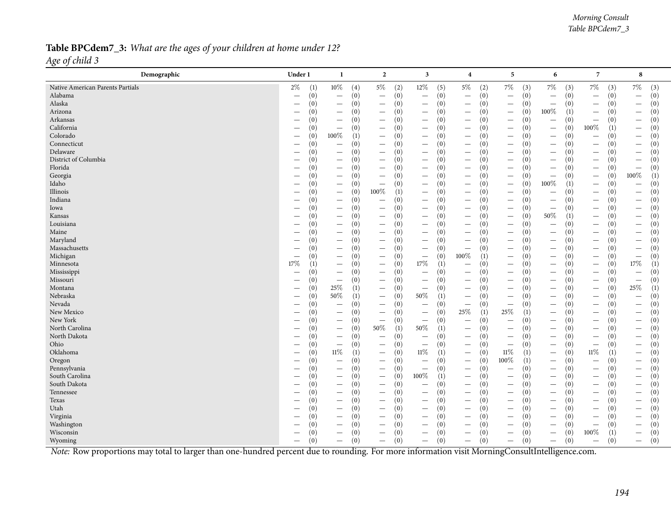#### Table BPCdem7\_3: What are the ages of your children at home under 12? *Age of child <sup>3</sup>*

| Demographic                                                                                                                                    | Under 1                       | -1                                      | $\overline{2}$                          | 3                                      | $\overline{4}$                           | 5                                      | 6                                      | $\overline{7}$                          | 8                                      |
|------------------------------------------------------------------------------------------------------------------------------------------------|-------------------------------|-----------------------------------------|-----------------------------------------|----------------------------------------|------------------------------------------|----------------------------------------|----------------------------------------|-----------------------------------------|----------------------------------------|
| Native American Parents Partials                                                                                                               | $2\%$                         | $10\%$                                  | $5\%$                                   | 12%                                    | $5\%$                                    | $7\%$                                  | $7\%$                                  | $7\%$                                   | $7\%$                                  |
|                                                                                                                                                | (1)                           | (4)                                     | (2)                                     | (5)                                    | (2)                                      | (3)                                    | (3)                                    | (3)                                     | (3)                                    |
| Alabama                                                                                                                                        | (0)                           | (0)                                     | (0)                                     | (0)                                    | (0)                                      | (0)                                    | (0)                                    | (0)                                     | (0)                                    |
|                                                                                                                                                | $\qquad \qquad -$             | $\overline{\phantom{m}}$                |                                         | $\overline{\phantom{m}}$               | $\overline{\phantom{0}}$                 | $\overline{\phantom{m}}$               | $\overline{\phantom{m}}$               | $\overline{\phantom{m}}$                | $\overline{\phantom{m}}$               |
| Alaska                                                                                                                                         | (0)                           | (0)                                     | (0)                                     | (0)                                    | (0)                                      | (0)                                    | (0)                                    | (0)                                     | (0)                                    |
|                                                                                                                                                | $\overline{\phantom{0}}$      | $\qquad \qquad -$                       | $\qquad \qquad -$                       | $\overline{\phantom{m}}$               | $\overline{\phantom{m}}$                 | $\overline{\phantom{m}}$               | $\overline{\phantom{m}}$               | $\overline{\phantom{m}}$                | $\overline{\phantom{m}}$               |
| Arizona                                                                                                                                        | (0)                           | (0)                                     | (0)                                     | (0)                                    | (0)                                      | (0)                                    | 100%                                   | (0)                                     | (0)                                    |
|                                                                                                                                                | $\overline{\phantom{0}}$      | $\overline{\phantom{m}}$                | $\qquad \qquad -$                       | $\overline{\phantom{m}}$               | $\overline{\phantom{m}}$                 | $\qquad \qquad -$                      | (1)                                    | $\overline{\phantom{m}}$                | $\overline{\phantom{m}}$               |
| Arkansas                                                                                                                                       | (0)                           | (0)                                     | (0)                                     | (0)                                    | (0)                                      | (0)                                    | (0)                                    | (0)                                     | (0)                                    |
|                                                                                                                                                | $\overline{\phantom{0}}$      | $\overline{\phantom{m}}$                | $\qquad \qquad -$                       | $\overline{\phantom{m}}$               | $\overline{\phantom{0}}$                 | $\overbrace{\phantom{1232211}}$        | $\qquad \qquad -$                      | $\overline{\phantom{m}}$                | $\overline{\phantom{m}}$               |
| California                                                                                                                                     | (0)                           | (0)                                     | (0)                                     | (0)                                    | (0)                                      | (0)                                    | (0)                                    | 100%                                    | (0)                                    |
|                                                                                                                                                | $\overline{\phantom{m}}$      | $\overline{\phantom{m}}$                | $\qquad \qquad -$                       | $\overline{\phantom{m}}$               | $\overline{\phantom{0}}$                 | $\overline{\phantom{m}}$               | $\overline{\phantom{0}}$               | (1)                                     | $\overline{\phantom{m}}$               |
| Colorado                                                                                                                                       | (0)                           | $100\%$                                 | (0)                                     | (0)                                    | (0)                                      | (0)                                    | (0)                                    | (0)                                     | (0)                                    |
|                                                                                                                                                | $\overbrace{\phantom{12332}}$ | (1)                                     | $\overbrace{\phantom{1232211}}$         | $\overline{\phantom{m}}$               | $\overline{\phantom{0}}$                 | $\overline{\phantom{0}}$               | $\qquad \qquad -$                      |                                         | $\overline{\phantom{m}}$               |
| Connecticut                                                                                                                                    | (0)                           | (0)                                     | (0)                                     | (0)                                    | (0)                                      | (0)                                    | (0)                                    | (0)                                     | (0)                                    |
|                                                                                                                                                |                               | $\overbrace{\phantom{1232211}}$         | $\qquad \qquad -$                       | $\overline{\phantom{m}}$               | $\overline{\phantom{0}}$                 |                                        | $\overline{\phantom{0}}$               |                                         | $\overline{\phantom{m}}$               |
| Delaware                                                                                                                                       | (0)                           | (0)                                     | (0)                                     | (0)                                    | (0)                                      | (0)                                    | (0)                                    | (0)                                     | (0)                                    |
|                                                                                                                                                |                               | $\hspace{0.1mm}-\hspace{0.1mm}$         |                                         | $\overline{\phantom{a}}$               | $\overline{\phantom{0}}$                 | $\overline{\phantom{0}}$               | $\overline{\phantom{0}}$               | -                                       | $\overline{\phantom{m}}$               |
| District of Columbia                                                                                                                           | (0)                           | (0)<br>$\overbrace{\phantom{1232211}}$  | (0)<br>$\overbrace{\phantom{12322111}}$ | (0)                                    | (0)<br>$\overline{\phantom{0}}$          | (0)                                    | (0)<br>$\overline{\phantom{0}}$        | (0)<br>$\overline{\phantom{0}}$         | (0)<br>$\overline{\phantom{m}}$        |
| Florida                                                                                                                                        | (0)                           | (0)                                     | (0)                                     | (0)                                    | (0)                                      | (0)                                    | (0)                                    | (0)                                     | (0)                                    |
|                                                                                                                                                | $\overbrace{\phantom{12332}}$ | $\overline{\phantom{m}}$                | $\qquad \qquad -$                       | $\overline{\phantom{m}}$               | $\overline{\phantom{m}}$                 | $\overline{\phantom{m}}$               | $\qquad \qquad$                        | $\qquad \qquad -$                       |                                        |
| Georgia                                                                                                                                        | (0)                           | (0)<br>$\overline{\phantom{m}}$         | (0)<br>$\qquad \qquad -$                | (0)<br>$\overline{\phantom{m}}$        | (0)<br>$\overline{\phantom{0}}$          | (0)<br>$\overline{\phantom{m}}$        | (0)<br>$\overline{\phantom{0}}$        | (0)<br>$\qquad \qquad -$                | $100\%$<br>(1)                         |
| Idaho                                                                                                                                          | (0)                           | (0)<br>$\overline{\phantom{m}}$         | (0)<br>$\qquad \qquad -$                | (0)<br>$\overline{\phantom{m}}$        | (0)<br>$\overline{\phantom{0}}$          | (0)<br>$\overbrace{\phantom{1232211}}$ | 100%<br>(1)                            | (0)<br>$\overline{\phantom{m}}$         | (0)<br>$\overbrace{\phantom{1232211}}$ |
| Illinois                                                                                                                                       | (0)                           | (0)<br>$\overline{\phantom{m}}$         | $100\%$<br>(1)                          | (0)<br>$\overline{\phantom{m}}$        | (0)<br>-                                 | (0)<br>$\overline{\phantom{m}}$        | (0)<br>$\overline{\phantom{0}}$        | (0)<br>$\overline{\phantom{m}}$         | (0)<br>$\overline{\phantom{m}}$        |
| Indiana                                                                                                                                        | (0)                           | (0)                                     | (0)                                     | (0)                                    | (0)                                      | (0)                                    | (0)                                    | (0)                                     | (0)                                    |
|                                                                                                                                                |                               | $\overline{\phantom{m}}$                | $\overbrace{\phantom{12322111}}$        | $\overline{\phantom{m}}$               | $\overline{\phantom{0}}$                 | $\overline{\phantom{m}}$               | $\overbrace{\phantom{1232211}}$        |                                         | $\overline{\phantom{m}}$               |
| Iowa                                                                                                                                           | (0)                           | (0)                                     | (0)                                     | (0)                                    | (0)                                      | (0)                                    | (0)                                    | (0)                                     | (0)                                    |
|                                                                                                                                                |                               | $\overline{\phantom{m}}$                | $\qquad \qquad$                         | $\overline{\phantom{m}}$               | $\overline{\phantom{0}}$                 | $\overbrace{\phantom{12322111}}$       | $\qquad \qquad$                        | $\overline{\phantom{0}}$                | $\overline{\phantom{m}}$               |
| Kansas                                                                                                                                         | (0)                           | (0)<br>$\overline{\phantom{m}}$         | (0)                                     | (0)<br>$\overline{\phantom{m}}$        | (0)<br>$\overline{\phantom{0}}$          | (0)<br>$\overline{\phantom{0}}$        | $50\%$<br>(1)                          | (0)<br>$\overline{\phantom{0}}$         | (0)<br>$\overline{\phantom{m}}$        |
| Louisiana                                                                                                                                      | (0)                           | (0)                                     | (0)                                     | (0)                                    | (0)                                      | (0)                                    | (0)                                    | (0)                                     | (0)                                    |
|                                                                                                                                                |                               | $\overline{\phantom{m}}$                | $\qquad \qquad -$                       | $\overline{\phantom{m}}$               | $\overline{\phantom{0}}$                 | $\overline{\phantom{m}}$               | $\overbrace{\phantom{1232211}}$        |                                         | $\overline{\phantom{m}}$               |
| Maine                                                                                                                                          | (0)                           | (0)                                     | (0)                                     | (0)                                    | (0)                                      | (0)                                    | (0)                                    | (0)                                     | (0)                                    |
|                                                                                                                                                |                               |                                         | $\qquad \qquad -$                       | $\overline{\phantom{m}}$               | $\overline{\phantom{0}}$                 | $\overline{\phantom{m}}$               | $\qquad \qquad$                        |                                         |                                        |
| Maryland                                                                                                                                       | (0)                           | (0)                                     | (0)                                     | (0)                                    | (0)                                      | (0)                                    | (0)                                    | (0)                                     | (0)                                    |
|                                                                                                                                                |                               |                                         | $\qquad \qquad -$                       | $\overline{\phantom{m}}$               | $\overline{\phantom{0}}$                 | $\overline{\phantom{m}}$               | $\overline{\phantom{0}}$               |                                         |                                        |
| Massachusetts                                                                                                                                  | (0)                           | (0)                                     | (0)                                     | (0)                                    | (0)                                      | (0)                                    | (0)                                    | (0)                                     | (0)                                    |
|                                                                                                                                                |                               | $\overline{\phantom{m}}$                | $\qquad \qquad -$                       | $\overline{\phantom{m}}$               | $\overline{\phantom{0}}$                 | $\overline{\phantom{m}}$               | $\overline{\phantom{0}}$               | $\overline{\phantom{0}}$                | $\overline{\phantom{m}}$               |
| Michigan                                                                                                                                       | (0)                           | (0)                                     | (0)                                     | (0)                                    | 100%                                     | (0)                                    | (0)                                    | (0)                                     | (0)                                    |
|                                                                                                                                                | $\overline{\phantom{0}}$      | $\hspace{0.1mm}-\hspace{0.1mm}$         | $\qquad \qquad -$                       | $\overline{\phantom{m}}$               | (1)                                      | $\overline{\phantom{0}}$               |                                        |                                         | $\overline{\phantom{m}}$               |
| Minnesota                                                                                                                                      | 17%                           | (0)                                     | (0)                                     | 17%                                    | (0)                                      | (0)                                    | (0)                                    | (0)                                     | 17%                                    |
|                                                                                                                                                | (1)                           | $\overline{\phantom{m}}$                | $\qquad \qquad -$                       | (1)                                    | $\overline{\phantom{0}}$                 | $\overline{\phantom{0}}$               | $\overline{\phantom{0}}$               | $\overline{\phantom{0}}$                | (1)                                    |
| Mississippi                                                                                                                                    | (0)                           | (0)<br>$\overline{\phantom{m}}$         | (0)<br>$\qquad \qquad -$                | (0)<br>$\overline{\phantom{m}}$        | (0)                                      | (0)<br>$\overline{\phantom{m}}$        | (0)<br>$\qquad \qquad$                 | (0)<br>$\qquad \qquad -$                | (0)<br>$\overline{\phantom{m}}$        |
| Missouri                                                                                                                                       | (0)                           | (0)                                     | (0)                                     | (0)                                    | (0)                                      | (0)                                    | (0)                                    | (0)                                     | (0)                                    |
|                                                                                                                                                | $\overline{\phantom{m}}$      | $\overline{\phantom{m}}$                | $\qquad \qquad -$                       | $\overline{\phantom{m}}$               | $\overline{\phantom{0}}$                 | $\overline{\phantom{m}}$               | $\overline{\phantom{0}}$               |                                         | $\overline{\phantom{m}}$               |
| Montana                                                                                                                                        | (0)                           | 25%                                     | (0)                                     | (0)                                    | (0)                                      | (0)                                    | (0)                                    | (0)                                     | $25\%$                                 |
|                                                                                                                                                | $\overbrace{\phantom{12332}}$ | (1)                                     | $\qquad \qquad -$                       | $\overline{\phantom{m}}$               |                                          | $\overline{\phantom{m}}$               | $\overline{\phantom{0}}$               |                                         | (1)                                    |
| Nebraska                                                                                                                                       | (0)                           | $50\%$                                  | (0)                                     | 50%                                    | (0)                                      | (0)                                    | (0)                                    | (0)                                     | (0)                                    |
|                                                                                                                                                | $\overline{\phantom{0}}$      | (1)                                     | $\qquad \qquad -$                       | (1)                                    | $\overbrace{\phantom{12322111}}$         | $\overbrace{\phantom{12332}}$          | $\qquad \qquad -$                      | $\overbrace{\phantom{1232211}}$         | $\overline{\phantom{m}}$               |
| Nevada                                                                                                                                         | (0)                           | (0)                                     | (0)                                     | (0)                                    | (0)                                      | (0)                                    | (0)                                    | (0)                                     | (0)                                    |
|                                                                                                                                                | $\overline{\phantom{0}}$      | $\overline{\phantom{m}}$                | $\qquad \qquad -$                       | $\overline{\phantom{m}}$               | $\overline{\phantom{m}}$                 | $\qquad \qquad -$                      | $\qquad \qquad$                        |                                         | $\overline{\phantom{m}}$               |
| New Mexico                                                                                                                                     | (0)                           | (0)<br>$\overline{\phantom{m}}$         | (0)<br>$\qquad \qquad -$                | (0)<br>$\overline{\phantom{0}}$        | 25%<br>(1)                               | 25%<br>(1)                             | (0)<br>$\qquad \qquad$                 | (0)<br>—                                | (0)<br>$\overline{\phantom{m}}$        |
| New York                                                                                                                                       | (0)                           | (0)<br>$\overline{\phantom{m}}$         | (0)<br>$\qquad \qquad -$                | (0)<br>$\overline{\phantom{m}}$        | (0)<br>$\overbrace{\phantom{123221111}}$ | (0)<br>$\overbrace{\phantom{1232211}}$ | (0)<br>$\overbrace{\phantom{1232211}}$ | (0)<br>$\overline{\phantom{0}}$         | (0)<br>$\overline{\phantom{m}}$        |
| North Carolina                                                                                                                                 | (0)                           | (0)                                     | 50%                                     | 50%                                    | (0)                                      | (0)                                    | (0)                                    | (0)                                     | (0)                                    |
|                                                                                                                                                |                               |                                         | (1)                                     | (1)                                    |                                          | $\overline{\phantom{m}}$               | $\qquad \qquad$                        | —                                       |                                        |
| North Dakota                                                                                                                                   | (0)                           | (0)                                     | (0)                                     | (0)                                    | (0)                                      | (0)                                    | (0)                                    | (0)                                     | (0)                                    |
|                                                                                                                                                | $\overbrace{\phantom{12332}}$ | $\qquad \qquad -$                       |                                         | $\overline{\phantom{m}}$               | $\overline{\phantom{0}}$                 | $\overline{\phantom{m}}$               | $\qquad \qquad -$                      |                                         | $\overline{\phantom{m}}$               |
| Ohio                                                                                                                                           | (0)                           | (0)                                     | (0)                                     | (0)                                    | (0)                                      | (0)                                    | (0)                                    | (0)                                     | (0)                                    |
|                                                                                                                                                |                               |                                         | $\qquad \qquad -$                       | $\overline{\phantom{m}}$               | $\overline{\phantom{m}}$                 | $\overline{\phantom{m}}$               | $\qquad \qquad$                        | $\overline{\phantom{m}}$                |                                        |
| Oklahoma                                                                                                                                       | (0)                           | $11\%$                                  | (0)                                     | $11\%$                                 | (0)                                      | $11\%$                                 | (0)                                    | $11\%$                                  | (0)                                    |
|                                                                                                                                                | -                             | (1)                                     | $\qquad \qquad -$                       | (1)                                    |                                          | (1)                                    | $\qquad \qquad$                        | (1)                                     | $\overline{\phantom{m}}$               |
| Oregon                                                                                                                                         | (0)                           | (0)<br>$\overbrace{\phantom{12322111}}$ | (0)<br>$\qquad \qquad -$                | (0)                                    | (0)<br>$\overline{\phantom{0}}$          | 100%<br>(1)                            | (0)<br>$\overline{\phantom{0}}$        | (0)<br>$\overbrace{\phantom{12322111}}$ | (0)<br>$\overline{\phantom{m}}$        |
| Pennsylvania                                                                                                                                   | (0)                           | (0)                                     | (0)                                     | (0)                                    | (0)                                      | (0)                                    | (0)                                    | (0)                                     | (0)                                    |
|                                                                                                                                                |                               | $\overline{\phantom{m}}$                | $\qquad \qquad -$                       | $\overline{\phantom{m}}$               | $\overline{\phantom{m}}$                 | $\overline{\phantom{0}}$               | $\qquad \qquad$                        | $\qquad \qquad -$                       | $\overline{\phantom{m}}$               |
| South Carolina                                                                                                                                 | (0)                           | (0)                                     | (0)                                     | $100\%$                                | (0)                                      | (0)                                    | (0)                                    | (0)                                     | (0)                                    |
|                                                                                                                                                | -                             | $\overline{\phantom{m}}$                | $\qquad \qquad -$                       | (1)                                    | $\overbrace{\phantom{12322111}}$         | $\overbrace{\phantom{1232211}}$        |                                        | $\overbrace{\phantom{1232211}}$         | $\overline{\phantom{m}}$               |
| South Dakota                                                                                                                                   | (0)                           | (0)<br>$\overline{\phantom{m}}$         | (0)<br>$\qquad \qquad -$                | (0)<br>$\overbrace{\phantom{1232211}}$ | (0)<br>$\overline{\phantom{0}}$          | (0)<br>$\overline{\phantom{0}}$        | (0)<br>$\overline{\phantom{0}}$        | (0)<br>—                                | (0)<br>$\overline{\phantom{m}}$        |
| Tennessee                                                                                                                                      | (0)                           | (0)                                     | (0)                                     | (0)                                    | (0)                                      | (0)                                    | (0)                                    | (0)                                     | (0)                                    |
|                                                                                                                                                |                               | $\hspace{0.1mm}-\hspace{0.1mm}$         | $\qquad \qquad -$                       | $\overline{\phantom{a}}$               |                                          |                                        | $\overline{\phantom{0}}$               | $\overline{\phantom{m}}$                | $\overline{\phantom{m}}$               |
| Texas                                                                                                                                          | (0)                           | (0)                                     | (0)                                     | (0)                                    | (0)                                      | (0)                                    | (0)                                    | (0)                                     | (0)                                    |
|                                                                                                                                                |                               | $\overline{\phantom{m}}$                |                                         | $\overline{\phantom{m}}$               | $\overline{\phantom{0}}$                 | $\overline{\phantom{0}}$               | $\qquad \qquad$                        | $\overline{\phantom{0}}$                | $\overline{\phantom{m}}$               |
| Utah                                                                                                                                           | (0)                           | (0)                                     | (0)                                     | (0)                                    | (0)                                      | (0)                                    | (0)                                    | (0)                                     | (0)                                    |
|                                                                                                                                                | -                             | $\overline{\phantom{m}}$                | $\qquad \qquad -$                       | $\overline{\phantom{m}}$               | $\overbrace{\phantom{123331}}$           | $\overline{\phantom{0}}$               | $\qquad \qquad$                        |                                         | $\overline{\phantom{m}}$               |
| Virginia                                                                                                                                       | (0)                           | (0)<br>$\overline{\phantom{m}}$         | (0)<br>$\qquad \qquad -$                | (0)<br>$\overline{\phantom{m}}$        | (0)<br>$\overline{\phantom{0}}$          | (0)                                    | (0)<br>$\overline{\phantom{0}}$        | (0)                                     | (0)<br>$\overline{\phantom{m}}$        |
| Washington                                                                                                                                     | (0)                           | (0)                                     | (0)                                     | (0)                                    | (0)                                      | (0)                                    | (0)                                    | (0)                                     | (0)                                    |
|                                                                                                                                                | $\overline{\phantom{m}}$      | $\overline{\phantom{m}}$                | $\qquad \qquad -$                       | $\overline{\phantom{m}}$               | $\overline{\phantom{0}}$                 | $\overline{\phantom{m}}$               | $\qquad \qquad -$                      | $\hspace{0.1mm}-\hspace{0.1mm}$         | $\overline{\phantom{m}}$               |
| Wisconsin                                                                                                                                      | (0)                           | (0)                                     | (0)                                     | (0)                                    | (0)                                      | (0)                                    | (0)                                    | 100%                                    | (0)                                    |
|                                                                                                                                                | $\overline{\phantom{m}}$      | $\overline{\phantom{m}}$                | $\qquad \qquad -$                       | $\overline{\phantom{m}}$               | $\overline{\phantom{0}}$                 | $\overline{\phantom{0}}$               | $\overline{\phantom{0}}$               | (1)                                     | $\overline{\phantom{0}}$               |
| Wyoming                                                                                                                                        | (0)                           | (0)                                     | (0)                                     | (0)                                    | (0)                                      | (0)                                    | (0)                                    | (0)                                     | (0)                                    |
|                                                                                                                                                | $\qquad \qquad -$             | $\overline{\phantom{m}}$                | $\qquad \qquad -$                       | $\overline{\phantom{m}}$               | —                                        |                                        | $\overline{\phantom{0}}$               | $\overline{\phantom{m}}$                | $\overline{\phantom{0}}$               |
|                                                                                                                                                |                               |                                         |                                         |                                        |                                          |                                        |                                        |                                         |                                        |
| Note: Row proportions may total to larger than one-hundred percent due to rounding. For more information visit MorningConsultIntelligence.com. |                               |                                         |                                         |                                        |                                          |                                        |                                        |                                         |                                        |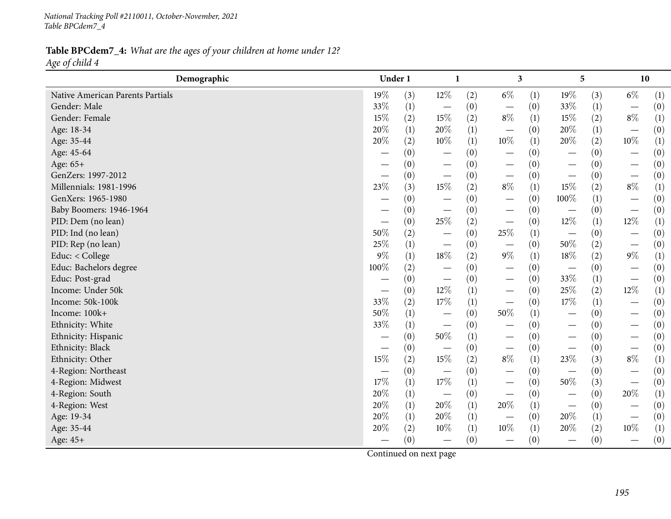*National Tracking Poll #2110011, October-November, <sup>2021</sup> Table BPCdem7\_4*

#### Table BPCdem7\_4: What are the ages of your children at home under 12? *Age of child <sup>4</sup>*

| Demographic                      | Under 1                  |     | 1                                |                  | $\mathbf{3}$                    |     | 5                             |     | 10                            |     |
|----------------------------------|--------------------------|-----|----------------------------------|------------------|---------------------------------|-----|-------------------------------|-----|-------------------------------|-----|
| Native American Parents Partials | $19\%$                   | (3) | $12\%$                           | (2)              | $6\%$                           | (1) | 19%                           | (3) | $6\%$                         | (1) |
| Gender: Male                     | 33%                      | (1) | $\overline{\phantom{m}}$         | (0)              | $\hspace{0.1mm}-\hspace{0.1mm}$ | (0) | 33%                           | (1) | $\overline{\phantom{0}}$      | (0) |
| Gender: Female                   | $15\%$                   | (2) | 15%                              | (2)              | $8\%$                           | (1) | 15%                           | (2) | $8\%$                         | (1) |
| Age: 18-34                       | 20%                      | (1) | 20%                              | (1)              | $\hspace{0.1mm}-\hspace{0.1mm}$ | (0) | 20%                           | (1) | $\overbrace{\phantom{12333}}$ | (0) |
| Age: 35-44                       | 20%                      | (2) | 10%                              | (1)              | $10\%$                          | (1) | $20\%$                        | (2) | $10\%$                        | (1) |
| Age: 45-64                       |                          | (0) |                                  | (0)              | $\hspace{0.1mm}-\hspace{0.1mm}$ | (0) |                               | (0) | $\overbrace{\phantom{12333}}$ | (0) |
| Age: 65+                         |                          | (0) |                                  | (0)              | $\hspace{0.1mm}-\hspace{0.1mm}$ | (0) |                               | (0) | $\overbrace{\phantom{12333}}$ | (0) |
| GenZers: 1997-2012               |                          | (0) | $\overline{\phantom{m}}$         | (0)              | $\hspace{0.1mm}-\hspace{0.1mm}$ | (0) |                               | (0) |                               | (0) |
| Millennials: 1981-1996           | 23%                      | (3) | 15%                              | (2)              | $8\%$                           | (1) | 15%                           | (2) | $8\%$                         | (1) |
| GenXers: 1965-1980               | $\overline{\phantom{0}}$ | (0) | $\hspace{0.1mm}-\hspace{0.1mm}$  | (0)              | $\hspace{0.1mm}-\hspace{0.1mm}$ | (0) | 100%                          | (1) | $\overline{\phantom{m}}$      | (0) |
| Baby Boomers: 1946-1964          | —                        | (0) | $\hspace{0.1mm}-\hspace{0.1mm}$  | (0)              | $\hspace{0.1mm}-\hspace{0.1mm}$ | (0) | $\overline{\phantom{m}}$      | (0) |                               | (0) |
| PID: Dem (no lean)               |                          | (0) | 25%                              | (2)              | $\hspace{0.1mm}-\hspace{0.1mm}$ | (0) | $12\%$                        | (1) | $12\%$                        | (1) |
| PID: Ind (no lean)               | $50\%$                   | (2) | $\hspace{0.1mm}-\hspace{0.1mm}$  | (0)              | $25\%$                          | (1) |                               | (0) |                               | (0) |
| PID: Rep (no lean)               | 25%                      | (1) | $\hspace{0.1mm}-\hspace{0.1mm}$  | (0)              | $\hspace{0.1mm}-\hspace{0.1mm}$ | (0) | $50\%$                        | (2) | $\overline{\phantom{m}}$      | (0) |
| Educ: < College                  | $9\%$                    | (1) | $18\%$                           | (2)              | $9\%$                           | (1) | 18%                           | (2) | $9\%$                         | (1) |
| Educ: Bachelors degree           | 100%                     | (2) | $\overbrace{\phantom{12322111}}$ | (0)              |                                 | (0) | $\overline{\phantom{m}}$      | (0) |                               | (0) |
| Educ: Post-grad                  |                          | (0) | $\hspace{0.1mm}-\hspace{0.1mm}$  | (0)              | $\hspace{0.1mm}-\hspace{0.1mm}$ | (0) | 33%                           | (1) |                               | (0) |
| Income: Under 50k                | —                        | (0) | 12%                              | $\left(1\right)$ | $\overline{\phantom{m}}$        | (0) | 25%                           | (2) | $12\%$                        | (1) |
| Income: 50k-100k                 | 33%                      | (2) | 17%                              | $\left(1\right)$ | $\hspace{0.1mm}-\hspace{0.1mm}$ | (0) | 17%                           | (1) |                               | (0) |
| Income: 100k+                    | 50%                      | (1) | $\overline{\phantom{m}}$         | (0)              | $50\%$                          | (1) | $\overbrace{\phantom{aaaaa}}$ | (0) |                               | (0) |
| Ethnicity: White                 | 33%                      | (1) | $\hspace{0.1mm}-\hspace{0.1mm}$  | (0)              |                                 | (0) |                               | (0) |                               | (0) |
| Ethnicity: Hispanic              | $\overline{\phantom{0}}$ | (0) | $50\%$                           | $\left(1\right)$ | $\hspace{0.1mm}-\hspace{0.1mm}$ | (0) |                               | (0) | $\qquad \qquad$               | (0) |
| Ethnicity: Black                 |                          | (0) | $\overline{\phantom{m}}$         | (0)              | $\overline{\phantom{m}}$        | (0) |                               | (0) |                               | (0) |
| Ethnicity: Other                 | 15%                      | (2) | 15%                              | (2)              | $8\%$                           | (1) | 23%                           | (3) | $8\%$                         | (1) |
| 4-Region: Northeast              |                          | (0) | $\overline{\phantom{m}}$         | (0)              |                                 | (0) |                               | (0) | $\overline{\phantom{m}}$      | (0) |
| 4-Region: Midwest                | 17%                      | (1) | 17%                              | (1)              |                                 | (0) | $50\%$                        | (3) |                               | (0) |
| 4-Region: South                  | 20%                      | (1) | $\overline{\phantom{m}}$         | (0)              | $\overline{\phantom{m}}$        | (0) |                               | (0) | 20%                           | (1) |
| 4-Region: West                   | 20%                      | (1) | 20%                              | (1)              | 20%                             | (1) |                               | (0) |                               | (0) |
| Age: 19-34                       | 20%                      | (1) | 20%                              | (1)              |                                 | (0) | 20%                           | (1) |                               | (0) |
| Age: 35-44                       | 20%                      | (2) | 10%                              | (1)              | $10\%$                          | (1) | 20%                           | (2) | $10\%$                        | (1) |
| Age: 45+                         |                          | (0) | $\overbrace{\phantom{12322111}}$ | (0)              |                                 | (0) | $\overbrace{\phantom{aaaaa}}$ | (0) |                               | (0) |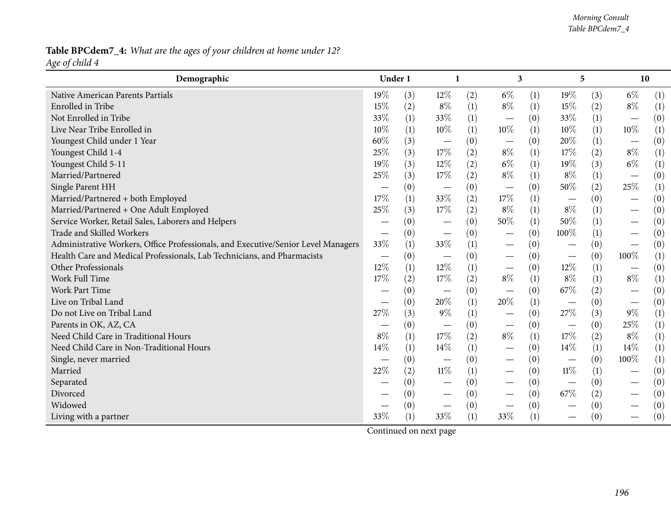#### Table BPCdem7\_4: What are the ages of your children at home under 12? *Age of child <sup>4</sup>*

| Demographic                                                                       | Under 1                  |     |                                 |                  | 3                               |                  | 5                             |     | 10                              |     |
|-----------------------------------------------------------------------------------|--------------------------|-----|---------------------------------|------------------|---------------------------------|------------------|-------------------------------|-----|---------------------------------|-----|
| Native American Parents Partials                                                  | 19%                      | (3) | 12%                             | (2)              | $6\%$                           | (1)              | $19\%$                        | (3) | $6\%$                           | (1) |
| Enrolled in Tribe                                                                 | 15%                      | (2) | $8\%$                           | (1)              | $8\%$                           | (1)              | 15%                           | (2) | $8\%$                           | (1) |
| Not Enrolled in Tribe                                                             | 33%                      | (1) | 33%                             | (1)              |                                 | (0)              | 33%                           | (1) |                                 | (0) |
| Live Near Tribe Enrolled in                                                       | 10%                      | (1) | 10%                             | (1)              | $10\%$                          | (1)              | 10%                           | (1) | $10\%$                          | (1) |
| Youngest Child under 1 Year                                                       | 60%                      | (3) | $\hspace{0.1mm}-\hspace{0.1mm}$ | (0)              | $\hspace{0.1mm}-\hspace{0.1mm}$ | (0)              | $20\%$                        | (1) | $\overline{\phantom{m}}$        | (0) |
| Youngest Child 1-4                                                                | 25%                      | (3) | 17%                             | (2)              | $8\%$                           | (1)              | 17%                           | (2) | $8\%$                           | (1) |
| Youngest Child 5-11                                                               | 19%                      | (3) | 12%                             | (2)              | $6\%$                           | (1)              | 19%                           | (3) | $6\%$                           | (1) |
| Married/Partnered                                                                 | 25%                      | (3) | 17%                             | (2)              | $8\%$                           | (1)              | $8\%$                         | (1) | $\overbrace{\phantom{12333}}$   | (0) |
| Single Parent HH                                                                  |                          | (0) | $\hspace{0.1mm}-\hspace{0.1mm}$ | (0)              | $\hspace{0.1mm}-\hspace{0.1mm}$ | (0)              | 50%                           | (2) | 25%                             | (1) |
| Married/Partnered + both Employed                                                 | 17%                      | (1) | 33%                             | (2)              | 17%                             | (1)              |                               | (0) |                                 | (0) |
| Married/Partnered + One Adult Employed                                            | 25%                      | (3) | 17%                             | (2)              | $8\%$                           | (1)              | $8\%$                         | (1) |                                 | (0) |
| Service Worker, Retail Sales, Laborers and Helpers                                |                          | (0) | $\hspace{0.1mm}-\hspace{0.1mm}$ | (0)              | 50%                             | (1)              | 50%                           | (1) |                                 | (0) |
| Trade and Skilled Workers                                                         |                          | (0) | $\hspace{0.05cm}$               | (0)              |                                 | (0)              | 100%                          | (1) | $\hspace{0.1mm}-\hspace{0.1mm}$ | (0) |
| Administrative Workers, Office Professionals, and Executive/Senior Level Managers | 33%                      | (1) | 33%                             | (1)              |                                 | (0)              |                               | (0) | $\overbrace{\phantom{13333}}$   | (0) |
| Health Care and Medical Professionals, Lab Technicians, and Pharmacists           | $\overline{\phantom{0}}$ | (0) | $\hspace{0.1mm}-\hspace{0.1mm}$ | (0)              |                                 | (0)              | $\overbrace{\phantom{aaaaa}}$ | (0) | 100%                            | (1) |
| Other Professionals                                                               | 12%                      | (1) | 12%                             | (1)              | $\hspace{0.1mm}-\hspace{0.1mm}$ | (0)              | $12\%$                        | (1) | $\overline{\phantom{m}}$        | (0) |
| Work Full Time                                                                    | 17%                      | (2) | 17%                             | (2)              | $8\%$                           | (1)              | $8\%$                         | (1) | $8\%$                           | (1) |
| <b>Work Part Time</b>                                                             |                          | (0) |                                 | (0)              |                                 | (0)              | 67%                           | (2) |                                 | (0) |
| Live on Tribal Land                                                               |                          | (0) | 20%                             | $\left(1\right)$ | 20%                             | (1)              |                               | (0) | $\overline{\phantom{m}}$        | (0) |
| Do not Live on Tribal Land                                                        | 27%                      | (3) | $9\%$                           | (1)              | $\overbrace{\phantom{123321}}$  | (0)              | 27%                           | (3) | $9\%$                           | (1) |
| Parents in OK, AZ, CA                                                             |                          | (0) | $\overline{\phantom{m}}$        | (0)              | $\hspace{0.1mm}-\hspace{0.1mm}$ | (0)              | $\overline{\phantom{m}}$      | (0) | 25%                             | (1) |
| Need Child Care in Traditional Hours                                              | $8\%$                    | (1) | 17%                             | (2)              | $8\%$                           | $\left(1\right)$ | 17%                           | (2) | $8\%$                           | (1) |
| Need Child Care in Non-Traditional Hours                                          | 14%                      | (1) | 14%                             | (1)              |                                 | (0)              | 14%                           | (1) | 14%                             | (1) |
| Single, never married                                                             |                          | (0) | $\hspace{0.1mm}-\hspace{0.1mm}$ | (0)              |                                 | (0)              |                               | (0) | 100%                            | (1) |
| Married                                                                           | 22%                      | (2) | $11\%$                          | (1)              |                                 | (0)              | $11\%$                        | (1) | $\hspace{0.1mm}-\hspace{0.1mm}$ | (0) |
| Separated                                                                         |                          | (0) | $\hspace{0.1mm}-\hspace{0.1mm}$ | (0)              |                                 | (0)              | $\overline{\phantom{m}}$      | (0) | $\overline{\phantom{m}}$        | (0) |
| Divorced                                                                          |                          | (0) |                                 | (0)              |                                 | (0)              | 67%                           | (2) |                                 | (0) |
| Widowed                                                                           |                          | (0) |                                 | (0)              |                                 | (0)              |                               | (0) |                                 | (0) |
| Living with a partner                                                             | 33%                      | (1) | 33%                             | (1)              | 33\%                            | (1)              |                               | (0) |                                 | (0) |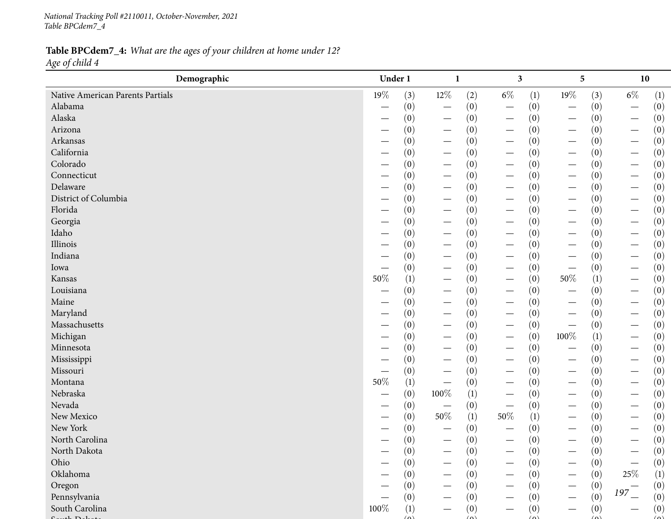*National Tracking Poll #2110011, October-November, <sup>2021</sup> Table BPCdem7\_4*

### Table BPCdem7\_4: What are the ages of your children at home under 12? *Age of child <sup>4</sup>*

| Demographic                      | Under 1                       |                            |                                 |                  | 3                               |                  |                                 | 5   |                                 | 10  |
|----------------------------------|-------------------------------|----------------------------|---------------------------------|------------------|---------------------------------|------------------|---------------------------------|-----|---------------------------------|-----|
| Native American Parents Partials | 19%                           | (3)                        | $12\%$                          | (2)              | $6\%$                           | $\left(1\right)$ | $19\%$                          | (3) | $6\%$                           | (1) |
| Alabama                          |                               | (0)                        | $\hspace{0.1mm}-\hspace{0.1mm}$ | (0)              | $\hspace{0.1mm}-\hspace{0.1mm}$ | (0)              |                                 | (0) |                                 | (0) |
| Alaska                           |                               | (0)                        | $\hspace{0.1mm}-\hspace{0.1mm}$ | (0)              | $\hspace{0.1mm}-\hspace{0.1mm}$ | (0)              |                                 | (0) | $\overline{\phantom{m}}$        | (0) |
| Arizona                          |                               | (0)                        | $\overline{\phantom{m}}$        | (0)              | $\hspace{0.1mm}-\hspace{0.1mm}$ | (0)              | $\overline{\phantom{m}}$        | (0) | $\overline{\phantom{m}}$        | (0) |
| Arkansas                         | $\overbrace{\phantom{13333}}$ | (0)                        | $\hspace{0.1mm}-\hspace{0.1mm}$ | (0)              | $\hspace{0.1mm}-\hspace{0.1mm}$ | (0)              | $\hspace{0.1mm}-\hspace{0.1mm}$ | (0) | $\overbrace{\phantom{13333}}$   | (0) |
| California                       |                               | (0)                        | $\hspace{0.1mm}-\hspace{0.1mm}$ | (0)              | $\hspace{0.1mm}-\hspace{0.1mm}$ | (0)              |                                 | (0) | $\qquad \qquad$                 | (0) |
| Colorado                         |                               | (0)                        | $\overline{\phantom{m}}$        | (0)              | $\hspace{0.1mm}-\hspace{0.1mm}$ | (0)              | $\hspace{0.1mm}-\hspace{0.1mm}$ | (0) | $\overline{\phantom{m}}$        | (0) |
| Connecticut                      |                               | (0)                        | $\hspace{0.1mm}-\hspace{0.1mm}$ | (0)              | $\hspace{0.1mm}-\hspace{0.1mm}$ | (0)              | $\overline{\phantom{m}}$        | (0) | $\hspace{0.1mm}-\hspace{0.1mm}$ | (0) |
| Delaware                         |                               | (0)                        | $\hspace{0.1mm}-\hspace{0.1mm}$ | (0)              | $\hspace{0.1mm}-\hspace{0.1mm}$ | (0)              |                                 | (0) | $\hspace{0.1mm}-\hspace{0.1mm}$ | (0) |
| District of Columbia             |                               | (0)                        | $\hspace{0.1mm}-\hspace{0.1mm}$ | (0)              | $\hspace{0.1mm}-\hspace{0.1mm}$ | (0)              |                                 | (0) | $\hspace{0.1mm}-\hspace{0.1mm}$ | (0) |
| Florida                          |                               | (0)                        | $\hspace{0.1mm}-\hspace{0.1mm}$ | (0)              | $\hspace{0.1mm}-\hspace{0.1mm}$ | (0)              | $\hspace{0.1mm}-\hspace{0.1mm}$ | (0) | $\hspace{0.1mm}-\hspace{0.1mm}$ | (0) |
| Georgia                          |                               | (0)                        | $\overline{\phantom{m}}$        | (0)              | $\hspace{0.1mm}-\hspace{0.1mm}$ | (0)              | $\overline{\phantom{m}}$        | (0) | $\qquad \qquad -$               | (0) |
| Idaho                            |                               | (0)                        | $\hspace{0.1mm}-\hspace{0.1mm}$ | (0)              | $\hspace{0.1mm}-\hspace{0.1mm}$ | (0)              | $\hspace{0.1mm}-\hspace{0.1mm}$ | (0) | $\qquad \qquad$                 | (0) |
| Illinois                         |                               | (0)                        | $\hspace{0.1mm}-\hspace{0.1mm}$ | (0)              |                                 | (0)              |                                 | (0) | $\overline{\phantom{m}}$        | (0) |
| Indiana                          |                               | (0)                        | $\hspace{0.1mm}-\hspace{0.1mm}$ | (0)              | $\hspace{0.05cm}$               | (0)              | $\hspace{0.05cm}$               | (0) | $\overline{\phantom{m}}$        | (0) |
| Iowa                             |                               | (0)                        | $\hspace{0.1mm}-\hspace{0.1mm}$ | (0)              | $\hspace{0.1mm}-\hspace{0.1mm}$ | (0)              | $\overbrace{\phantom{13333}}$   | (0) | $\qquad \qquad$                 | (0) |
| Kansas                           | 50%                           | (1)                        |                                 | (0)              | $\hspace{0.1mm}-\hspace{0.1mm}$ | (0)              | $50\%$                          | (1) |                                 | (0) |
| Louisiana                        |                               | (0)                        | $\overline{\phantom{m}}$        | (0)              |                                 | (0)              |                                 | (0) |                                 | (0) |
| Maine                            |                               | (0)                        | $\hspace{0.1mm}-\hspace{0.1mm}$ | (0)              | $\overline{\phantom{m}}$        | (0)              | $\hspace{0.1mm}-\hspace{0.1mm}$ | (0) | $\overline{\phantom{m}}$        | (0) |
| Maryland                         | $\overbrace{\phantom{aaaaa}}$ | (0)                        | $\overline{\phantom{m}}$        | (0)              | $\hspace{0.1mm}-\hspace{0.1mm}$ | (0)              |                                 | (0) | $\qquad \qquad -$               | (0) |
| Massachusetts                    |                               | (0)                        | $\hspace{0.1mm}-\hspace{0.1mm}$ | (0)              | $\hspace{0.1mm}-\hspace{0.1mm}$ | (0)              |                                 | (0) |                                 | (0) |
| Michigan                         |                               | (0)                        | $\overline{\phantom{m}}$        | (0)              | $\hspace{0.1mm}-\hspace{0.1mm}$ | (0)              | 100%                            | (1) |                                 | (0) |
| Minnesota                        |                               | (0)                        | $\hspace{0.1mm}-\hspace{0.1mm}$ | (0)              |                                 | (0)              |                                 | (0) |                                 | (0) |
| Mississippi                      |                               | (0)                        |                                 | (0)              | $\hspace{0.1mm}-\hspace{0.1mm}$ | (0)              |                                 | (0) | $\hspace{0.1mm}-\hspace{0.1mm}$ | (0) |
| Missouri                         |                               | (0)                        |                                 | (0)              |                                 | (0)              |                                 | (0) |                                 | (0) |
| Montana                          | 50%                           | (1)                        | $\overline{\phantom{m}}$        | (0)              | $\overline{\phantom{m}}$        | (0)              |                                 | (0) | $\hspace{0.1mm}-\hspace{0.1mm}$ | (0) |
| Nebraska                         | $\overbrace{\phantom{aaaaa}}$ | (0)                        | 100%                            | $\left(1\right)$ | $\hspace{0.1mm}-\hspace{0.1mm}$ | (0)              |                                 | (0) | $\hspace{0.1mm}-\hspace{0.1mm}$ | (0) |
| Nevada                           |                               | (0)                        | $\overline{\phantom{m}}$        | (0)              | $\hspace{0.1mm}-\hspace{0.1mm}$ | (0)              |                                 | (0) | $\qquad \qquad$                 | (0) |
| New Mexico                       |                               | (0)                        | $50\%$                          | (1)              | 50%                             | $\left(1\right)$ |                                 | (0) |                                 | (0) |
| New York                         |                               | (0)                        |                                 | (0)              |                                 | (0)              |                                 | (0) | $\hspace{0.1mm}-\hspace{0.1mm}$ | (0) |
| North Carolina                   |                               | (0)                        | $\hspace{0.1mm}-\hspace{0.1mm}$ | (0)              | $\hspace{0.1mm}-\hspace{0.1mm}$ | (0)              | $\hspace{0.1mm}-\hspace{0.1mm}$ | (0) | $\qquad \qquad$                 | (0) |
| North Dakota                     |                               | (0)                        |                                 | (0)              |                                 | (0)              |                                 | (0) |                                 | (0) |
| Ohio                             |                               | (0)                        | $\overline{\phantom{0}}$        | (0)              |                                 | (0)              |                                 | (0) |                                 | (0) |
| Oklahoma                         |                               | (0)                        |                                 | (0)              |                                 | (0)              |                                 | (0) | 25\%                            | (1) |
| Oregon                           |                               | (0)                        |                                 | (0)              |                                 | (0)              |                                 | (0) |                                 | (0) |
| Pennsylvania                     |                               | (0)                        |                                 | (0)              |                                 | (0)              |                                 | (0) | $197 -$                         | (0) |
| South Carolina                   | 100%                          | (1)                        |                                 | (0)              |                                 | (0)              |                                 | (0) |                                 | (0) |
| 1.71                             |                               | $\left( \mathbf{a}\right)$ |                                 |                  |                                 |                  |                                 |     |                                 | (0) |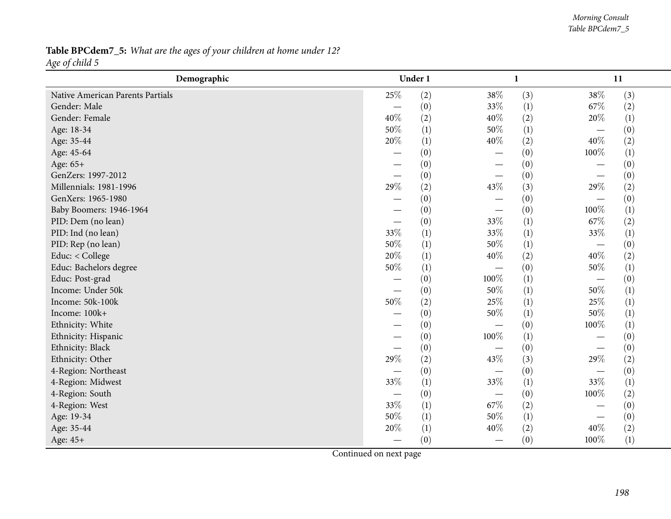| Table BPCdem7_5: What are the ages of your children at home under 12? |  |  |  |  |
|-----------------------------------------------------------------------|--|--|--|--|
| Age of child 5                                                        |  |  |  |  |

| Demographic                      |                          | Under 1 |        | $\mathbf{1}$ |                               | 11  |  |
|----------------------------------|--------------------------|---------|--------|--------------|-------------------------------|-----|--|
| Native American Parents Partials | 25%                      | (2)     | 38%    | (3)          | 38%                           | (3) |  |
| Gender: Male                     |                          | (0)     | $33\%$ | (1)          | 67\%                          | (2) |  |
| Gender: Female                   | 40%                      | (2)     | 40%    | (2)          | 20%                           | (1) |  |
| Age: 18-34                       | 50%                      | (1)     | $50\%$ | (1)          | $\overbrace{\phantom{12332}}$ | (0) |  |
| Age: 35-44                       | 20%                      | (1)     | 40%    | (2)          | 40%                           | (2) |  |
| Age: 45-64                       |                          | (0)     |        | (0)          | 100%                          | (1) |  |
| Age: 65+                         |                          | (0)     |        | (0)          |                               | (0) |  |
| GenZers: 1997-2012               |                          | (0)     |        | (0)          |                               | (0) |  |
| Millennials: 1981-1996           | 29%                      | (2)     | 43%    | (3)          | 29%                           | (2) |  |
| GenXers: 1965-1980               |                          | (0)     |        | (0)          |                               | (0) |  |
| Baby Boomers: 1946-1964          |                          | (0)     |        | (0)          | 100%                          | (1) |  |
| PID: Dem (no lean)               |                          | (0)     | 33%    | (1)          | 67%                           | (2) |  |
| PID: Ind (no lean)               | 33%                      | (1)     | 33%    | (1)          | 33%                           | (1) |  |
| PID: Rep (no lean)               | 50%                      | (1)     | 50%    | (1)          |                               | (0) |  |
| Educ: < College                  | 20%                      | (1)     | 40%    | (2)          | 40%                           | (2) |  |
| Educ: Bachelors degree           | 50%                      | (1)     |        | (0)          | 50%                           | (1) |  |
| Educ: Post-grad                  |                          | (0)     | 100%   | (1)          |                               | (0) |  |
| Income: Under 50k                | $\overline{\phantom{0}}$ | (0)     | 50%    | (1)          | 50%                           | (1) |  |
| Income: 50k-100k                 | 50%                      | (2)     | 25%    | (1)          | 25%                           | (1) |  |
| Income: 100k+                    |                          | (0)     | $50\%$ | (1)          | 50%                           | (1) |  |
| Ethnicity: White                 |                          | (0)     |        | (0)          | 100%                          | (1) |  |
| Ethnicity: Hispanic              |                          | (0)     | 100%   | (1)          |                               | (0) |  |
| Ethnicity: Black                 | $\overline{\phantom{0}}$ | (0)     |        | (0)          |                               | (0) |  |
| Ethnicity: Other                 | 29%                      | (2)     | 43%    | (3)          | 29%                           | (2) |  |
| 4-Region: Northeast              |                          | (0)     |        | (0)          |                               | (0) |  |
| 4-Region: Midwest                | 33%                      | (1)     | 33%    | (1)          | 33%                           | (1) |  |
| 4-Region: South                  |                          | (0)     |        | (0)          | 100%                          | (2) |  |
| 4-Region: West                   | 33%                      | (1)     | 67%    | (2)          |                               | (0) |  |
| Age: 19-34                       | 50%                      | (1)     | 50%    | (1)          |                               | (0) |  |
| Age: 35-44                       | 20%                      | (1)     | 40%    | (2)          | 40%                           | (2) |  |
| Age: 45+                         |                          | (0)     |        | (0)          | 100%                          | (1) |  |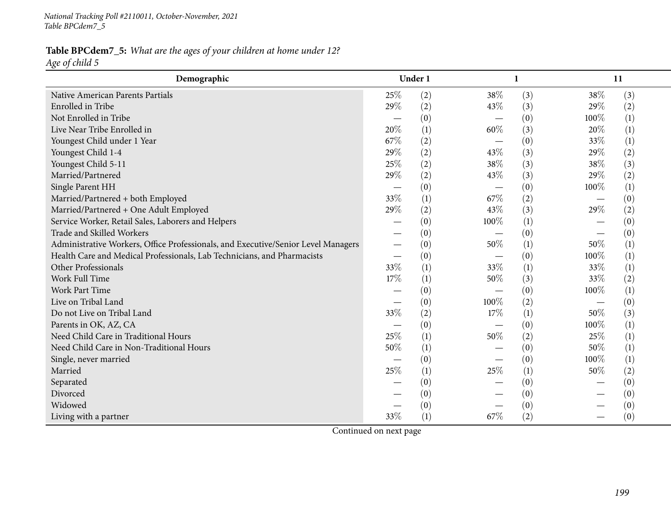*National Tracking Poll #2110011, October-November, <sup>2021</sup> Table BPCdem7\_5*

Table BPCdem7\_5: What are the ages of your children at home under 12? *Age of child <sup>5</sup>*

| Demographic                                                                       |                               | Under 1          |                               | 1   |      | 11  |  |
|-----------------------------------------------------------------------------------|-------------------------------|------------------|-------------------------------|-----|------|-----|--|
| Native American Parents Partials                                                  | 25\%                          | (2)              | 38%                           | (3) | 38%  | (3) |  |
| Enrolled in Tribe                                                                 | 29%                           | (2)              | 43\%                          | (3) | 29%  | (2) |  |
| Not Enrolled in Tribe                                                             |                               | (0)              |                               | (0) | 100% | (1) |  |
| Live Near Tribe Enrolled in                                                       | 20%                           | (1)              | 60%                           | (3) | 20%  | (1) |  |
| Youngest Child under 1 Year                                                       | 67\%                          | (2)              |                               | (0) | 33%  | (1) |  |
| Youngest Child 1-4                                                                | 29%                           | (2)              | 43%                           | (3) | 29%  | (2) |  |
| Youngest Child 5-11                                                               | 25%                           | (2)              | 38%                           | (3) | 38%  | (3) |  |
| Married/Partnered                                                                 | 29%                           | (2)              | 43%                           | (3) | 29%  | (2) |  |
| Single Parent HH                                                                  |                               | (0)              |                               | (0) | 100% | (1) |  |
| Married/Partnered + both Employed                                                 | 33%                           | (1)              | 67\%                          | (2) |      | (0) |  |
| Married/Partnered + One Adult Employed                                            | 29%                           | (2)              | 43%                           | (3) | 29%  | (2) |  |
| Service Worker, Retail Sales, Laborers and Helpers                                |                               | (0)              | 100%                          | (1) |      | (0) |  |
| Trade and Skilled Workers                                                         |                               | (0)              |                               | (0) |      | (0) |  |
| Administrative Workers, Office Professionals, and Executive/Senior Level Managers | $\overline{\phantom{0}}$      | (0)              | 50%                           | (1) | 50%  | (1) |  |
| Health Care and Medical Professionals, Lab Technicians, and Pharmacists           |                               | (0)              |                               | (0) | 100% | (1) |  |
| Other Professionals                                                               | 33%                           | (1)              | 33%                           | (1) | 33%  | (1) |  |
| Work Full Time                                                                    | 17%                           | (1)              | 50%                           | (3) | 33%  | (2) |  |
| <b>Work Part Time</b>                                                             |                               | (0)              |                               | (0) | 100% | (1) |  |
| Live on Tribal Land                                                               |                               | (0)              | 100%                          | (2) | —    | (0) |  |
| Do not Live on Tribal Land                                                        | 33%                           | (2)              | 17%                           | (1) | 50%  | (3) |  |
| Parents in OK, AZ, CA                                                             | $\overbrace{\phantom{aaaaa}}$ | (0)              | $\overbrace{\phantom{aaaaa}}$ | (0) | 100% | (1) |  |
| Need Child Care in Traditional Hours                                              | 25\%                          | (1)              | 50%                           | (2) | 25%  | (1) |  |
| Need Child Care in Non-Traditional Hours                                          | 50%                           | (1)              |                               | (0) | 50%  | (1) |  |
| Single, never married                                                             |                               | (0)              |                               | (0) | 100% | (1) |  |
| Married                                                                           | 25%                           | (1)              | 25%                           | (1) | 50%  | (2) |  |
| Separated                                                                         |                               | $\left(0\right)$ |                               | (0) |      | (0) |  |
| Divorced                                                                          |                               | (0)              |                               | (0) |      | (0) |  |
| Widowed                                                                           |                               | (0)              |                               | (0) |      | (0) |  |
| Living with a partner                                                             | 33%                           | (1)              | 67\%                          | (2) |      | (0) |  |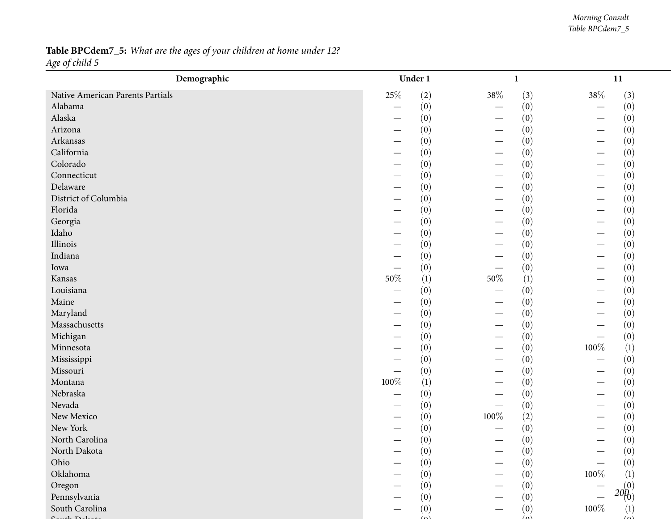#### *Morning Consult Table BPCdem7\_5*

### Table BPCdem7\_5: What are the ages of your children at home under 12? *Age of child <sup>5</sup>*

| Demographic                      |         | Under 1  | $\mathbf{1}$                  |                                 | 11               |
|----------------------------------|---------|----------|-------------------------------|---------------------------------|------------------|
| Native American Parents Partials | $25\%$  | (2)      | 38\%                          | $38\%$<br>(3)                   | (3)              |
| Alabama                          |         | (0)      |                               | (0)<br>$\overline{\phantom{0}}$ | (0)              |
| Alaska                           |         | (0)      |                               | (0)                             | (0)              |
| Arizona                          |         | (0)      |                               | (0)                             | (0)              |
| Arkansas                         |         | (0)      |                               | (0)                             | (0)              |
| California                       |         | (0)      |                               | (0)                             | (0)              |
| Colorado                         |         | (0)      |                               | (0)<br>—                        | (0)              |
| Connecticut                      |         | (0)      |                               | (0)                             | (0)              |
| Delaware                         |         | (0)      |                               | (0)                             | (0)              |
| District of Columbia             |         | (0)      |                               | (0)                             | (0)              |
| Florida                          |         | (0)      |                               | (0)                             | (0)              |
| Georgia                          |         | (0)      |                               | (0)                             | (0)              |
| Idaho                            |         | (0)      |                               | (0)                             | (0)              |
| Illinois                         |         | (0)      |                               | (0)                             | (0)              |
| Indiana                          |         | (0)      |                               | (0)                             | (0)              |
| Iowa                             |         | (0)      | $\overbrace{\phantom{aaaaa}}$ | (0)                             | (0)              |
| Kansas                           | $50\%$  | (1)      | $50\%$                        | (1)                             | (0)              |
| Louisiana                        |         | (0)      | $\overbrace{\phantom{aaaaa}}$ | (0)                             | (0)              |
| Maine                            | —       | (0)      |                               | (0)                             | (0)              |
| Maryland                         |         | (0)      |                               | (0)                             | (0)              |
| Massachusetts                    |         | (0)      |                               | (0)                             | (0)              |
| Michigan                         |         | (0)      |                               | (0)                             | (0)              |
| Minnesota                        |         | (0)      |                               | $100\%$<br>(0)                  | $\left(1\right)$ |
| Mississippi                      |         | (0)      |                               | (0)                             | (0)              |
| Missouri                         |         | (0)      |                               | (0)                             | (0)              |
| Montana                          | $100\%$ | (1)      |                               | (0)                             | (0)              |
| Nebraska                         |         | (0)      |                               | (0)                             | (0)              |
| Nevada                           |         | (0)      |                               | (0)                             | (0)              |
| New Mexico                       |         | (0)      | $100\%$                       | (2)                             | (0)              |
| New York                         |         | (0)      |                               | (0)                             | (0)              |
| North Carolina                   |         | (0)      |                               | (0)                             | (0)              |
| North Dakota                     |         | (0)      |                               | (0)                             | (0)              |
| Ohio                             |         | (0)      |                               | (0)                             | (0)              |
| Oklahoma                         |         | (0)      |                               | $100\%$<br>(0)                  | $(1)$            |
| Oregon                           |         | (0)      |                               | (0)                             | $20^{(0)}_{(0)}$ |
| Pennsylvania                     |         | (0)      |                               | (0)                             |                  |
| South Carolina                   |         | (0)      |                               | $100\%$<br>(0)                  | (1)              |
| 4.5.1                            |         | $\wedge$ |                               |                                 | $\Delta$         |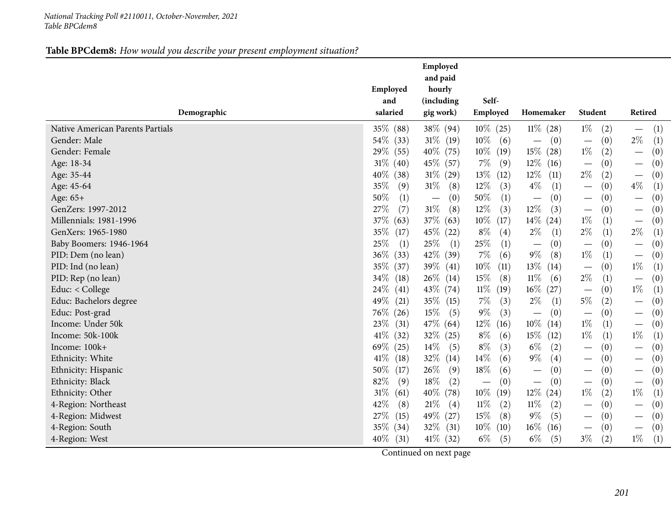#### *National Tracking Poll #2110011, October-November, <sup>2021</sup> Table BPCdem8*

#### **Table BPCdem8:** *How would you describe your present employment situation?*

|                                  | Employed<br>and | Employed<br>and paid<br>hourly<br>(including | Self-          |                                 |                                      |                                          |
|----------------------------------|-----------------|----------------------------------------------|----------------|---------------------------------|--------------------------------------|------------------------------------------|
| Demographic                      | salaried        | gig work)                                    | Employed       | Homemaker                       | Student                              | Retired                                  |
| Native American Parents Partials | 35% (88)        | 38\% (94)                                    | $10\%$ (25)    | $11\%$ (28)                     | $1\%$<br>(2)                         | (1)<br>$\overline{\phantom{m}}$          |
| Gender: Male                     | 54\% (33)       | $31\%$ (19)                                  | $10\%$<br>(6)  | (0)<br>$\qquad \qquad -$        | (0)<br>$\overline{\phantom{m}}$      | $2\%$<br>(1)                             |
| Gender: Female                   | 29% (55)        | $40\%$ (75)                                  | $10\%$<br>(19) | $15\%$ (28)                     | $1\%$<br>(2)                         | (0)                                      |
| Age: 18-34                       | $31\%$ (40)     | 45\% (57)                                    | $7\%$<br>(9)   | $12\%$<br>(16)                  | (0)                                  | (0)                                      |
| Age: 35-44                       | $40\%$<br>(38)  | $31\% (29)$                                  | 13%<br>(12)    | $12\%$<br>(11)                  | $2\%$<br>(2)                         | (0)                                      |
| Age: 45-64                       | 35%<br>(9)      | $31\%$<br>(8)                                | $12\%$<br>(3)  | $4\%$<br>(1)                    | (0)<br>$\overline{\phantom{0}}$      | $4\%$<br>(1)                             |
| Age: 65+                         | 50%<br>(1)      | (0)<br>$\overline{\phantom{m}}$              | 50%<br>(1)     | (0)<br>$\overline{\phantom{0}}$ | (0)<br>$\overline{\phantom{m}}$      | (0)<br>$\overbrace{\phantom{123221111}}$ |
| GenZers: 1997-2012               | 27%<br>(7)      | $31\%$<br>(8)                                | 12%<br>(3)     | $12\%$<br>(3)                   | (0)<br>$\overline{\phantom{m}}$      | (0)                                      |
| Millennials: 1981-1996           | 37\%<br>(63)    | $37\%$ (63)                                  | $10\%$<br>(17) | $14\%$ (24)                     | $1\%$<br>(1)                         | (0)<br>$\overline{\phantom{m}}$          |
| GenXers: 1965-1980               | 35\%<br>(17)    | $45\%$ (22)                                  | $8\%$<br>(4)   | $2\%$<br>(1)                    | $2\%$<br>(1)                         | $2\%$<br>(1)                             |
| Baby Boomers: 1946-1964          | $25\%$<br>(1)   | 25\%<br>(1)                                  | 25%<br>(1)     | (0)<br>$\qquad \qquad -$        | (0)<br>$\overline{\phantom{m}}$      | (0)<br>$\overline{\phantom{m}}$          |
| PID: Dem (no lean)               | $36\%$<br>(33)  | 42\% (39)                                    | $7\%$<br>(6)   | $9\%$<br>(8)                    | $1\%$<br>(1)                         | (0)                                      |
| PID: Ind (no lean)               | 35\% (37)       | $39\%$ (41)                                  | 10%<br>(11)    | $13\%$<br>(14)                  | (0)<br>$\overline{\phantom{0}}$      | $1\%$<br>(1)                             |
| PID: Rep (no lean)               | 34\%<br>(18)    | $26\%$ (14)                                  | 15%<br>(8)     | $11\%$<br>(6)                   | $2\%$<br>(1)                         | (0)                                      |
| Educ: < College                  | $24\%$<br>(41)  | 43\% (74)                                    | $11\%$<br>(19) | $16\%$ (27)                     | (0)                                  | $1\%$<br>(1)                             |
| Educ: Bachelors degree           | 49\%<br>(21)    | $35\%$ (15)                                  | $7\%$<br>(3)   | $2\%$<br>(1)                    | 5%<br>(2)                            | (0)                                      |
| Educ: Post-grad                  | $76\%$ (26)     | $15\%$<br>(5)                                | $9\%$<br>(3)   | (0)<br>$\qquad \qquad -$        | (0)<br>$\overline{\phantom{m}}$      | (0)<br>$\overline{\phantom{m}}$          |
| Income: Under 50k                | 23\%<br>(31)    | $47\%$ (64)                                  | $12\%$<br>(16) | $10\%$<br>(14)                  | $1\%$<br>(1)                         | (0)<br>$\overline{\phantom{m}}$          |
| Income: 50k-100k                 | $41\%$<br>(32)  | $32\%$ (25)                                  | $8\%$<br>(6)   | $15\%$<br>(12)                  | $1\%$<br>(1)                         | $1\%$<br>(1)                             |
| Income: 100k+                    | $69\%$ (25)     | $14\%$<br>(5)                                | $8\%$<br>(3)   | $6\%$<br>(2)                    | (0)                                  | (0)                                      |
| Ethnicity: White                 | $41\%$<br>(18)  | $32\%$ (14)                                  | 14%<br>(6)     | $9\%$<br>(4)                    | (0)                                  | (0)                                      |
| Ethnicity: Hispanic              | 50%<br>(17)     | 26\%<br>(9)                                  | $18\%$<br>(6)  | (0)<br>$\qquad \qquad -$        | (0)                                  | (0)<br>$\overline{\phantom{0}}$          |
| Ethnicity: Black                 | 82%<br>(9)      | $18\%$<br>(2)                                | (0)            | (0)<br>$\overline{\phantom{0}}$ | (0)<br>$\overbrace{\phantom{12333}}$ | (0)<br>$\overline{\phantom{0}}$          |
| Ethnicity: Other                 | $31\%$<br>(61)  | $40\%$ (78)                                  | $10\%$<br>(19) | $12\%$ (24)                     | $1\%$<br>(2)                         | $1\%$<br>(1)                             |
| 4-Region: Northeast              | 42%<br>(8)      | $21\%$<br>(4)                                | $11\%$<br>(2)  | $11\%$<br>(2)                   | (0)<br>$\overline{\phantom{m}}$      | (0)<br>$\overline{\phantom{m}}$          |
| 4-Region: Midwest                | 27\%<br>(15)    | 49\% (27)                                    | 15%<br>(8)     | $9\%$<br>(5)                    | (0)                                  | (0)                                      |
| 4-Region: South                  | $35\%$ (34)     | $32\%$ (31)                                  | $10\%$<br>(10) | $16\%$<br>(16)                  | (0)<br>$\overline{\phantom{m}}$      | (0)<br>$\overline{\phantom{0}}$          |
| 4-Region: West                   | $40\%$<br>(31)  | $41\%$ (32)                                  | $6\%$<br>(5)   | $6\%$<br>(5)                    | $3\%$<br>(2)                         | $1\%$<br>(1)                             |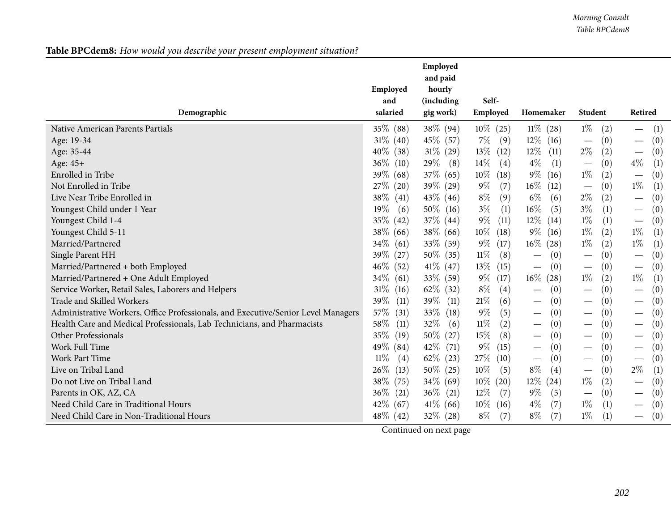| Table BPCdem8: How would you describe your present employment situation? |
|--------------------------------------------------------------------------|
|--------------------------------------------------------------------------|

| Employed<br>hourly<br>Self-<br>(including<br>and                                                                                                                                                                          |
|---------------------------------------------------------------------------------------------------------------------------------------------------------------------------------------------------------------------------|
| Student<br>Demographic<br>salaried<br>Employed<br>Homemaker<br>Retired<br>gig work)                                                                                                                                       |
| $1\%$<br>Native American Parents Partials<br>35% (88)<br>$38\%$ (94)<br>$11\%$ (28)<br>(1)<br>$10\%$ (25)<br>(2)<br>$\overline{\phantom{m}}$                                                                              |
| $31\%$ (40)<br>45\% (57)<br>$7\%$<br>$12\%$ (16)<br>(0)<br>(0)<br>Age: 19-34<br>(9)<br>$\overline{\phantom{m}}$                                                                                                           |
| $2\%$<br>$13\%$<br>$31\%$ (29)<br>$12\%$<br>(11)<br>(2)<br>(0)<br>$40\%$<br>(38)<br>(12)<br>Age: 35-44<br>$\overline{\phantom{m}}$                                                                                        |
| $4\%$<br>29\%<br>$14\%$<br>$4\%$<br>(1)<br>(0)<br>(1)<br>$36\%$<br>(10)<br>(8)<br>Age: 45+<br>(4)<br>$\overline{\phantom{m}}$                                                                                             |
| $9\%$<br>Enrolled in Tribe<br>39\% (68)<br>37\% (65)<br>$10\%$<br>$1\%$<br>(2)<br>(0)<br>(18)<br>(16)<br>$\overline{\phantom{m}}$                                                                                         |
| $1\%$<br>27\% (20)<br>39% (29)<br>$9\%$<br>(7)<br>$16\%$<br>(1)<br>Not Enrolled in Tribe<br>(12)<br>(0)                                                                                                                   |
| $2\%$<br>Live Near Tribe Enrolled in<br>$8\%$<br>(9)<br>$6\%$<br>(2)<br>(0)<br>38\%<br>(41)<br>$43\%$ (46)<br>(6)<br>$\overline{\phantom{m}}$                                                                             |
| $3\%$<br>$50\%$ (16)<br>$3\%$<br>$16\%$<br>19%<br>(1)<br>(5)<br>(1)<br>(0)<br>Youngest Child under 1 Year<br>(6)<br>$\overline{\phantom{m}}$                                                                              |
| $9\%$<br>$1\%$<br>35% (42)<br>$12\%$ (14)<br>(1)<br>Youngest Child 1-4<br>$37\%$ (44)<br>(11)<br>(0)<br>$\overline{\phantom{m}}$                                                                                          |
| $1\%$<br>(2)<br>$1\%$<br>(1)<br>Youngest Child 5-11<br>38\% (66)<br>$38\%$ (66)<br>$10\%$<br>$9\%$ (16)<br>(18)                                                                                                           |
| $1\%$<br>$1\%$<br>Married/Partnered<br>$34\%$<br>33\% (59)<br>$9\%$<br>$16\%$ (28)<br>(61)<br>(2)<br>(1)<br>(17)                                                                                                          |
| $11\%$<br>Single Parent HH<br>$50\%$ (35)<br>(8)<br>(0)<br>$39\%$ (27)<br>(0)<br>(0)                                                                                                                                      |
| Married/Partnered + both Employed<br>46\% (52)<br>$41\%$ (47)<br>$13\%$<br>(0)<br>(0)<br>(15)<br>(0)<br>$\hspace{0.1mm}-\hspace{0.1mm}$<br>$\overline{\phantom{m}}$                                                       |
| $34\%$<br>$9\%$<br>$1\%$<br>(2)<br>$1\%$<br>Married/Partnered + One Adult Employed<br>$33\%$ (59)<br>(17)<br>$16\%$ (28)<br>(1)<br>(61)                                                                                   |
| $8\%$<br>Service Worker, Retail Sales, Laborers and Helpers<br>$62\%$ (32)<br>(0)<br>$31\%$<br>(4)<br>(0)<br>(16)<br>(0)<br>$\overbrace{\phantom{12322111}}$<br>$\overline{\phantom{m}}$                                  |
| Trade and Skilled Workers<br>$21\%$<br>39\%<br>(11)<br>$39\%$ (11)<br>(6)<br>(0)<br>(0)<br>(0)<br>$\overline{\phantom{m}}$<br>$\overline{\phantom{m}}$                                                                    |
| Administrative Workers, Office Professionals, and Executive/Senior Level Managers<br>57\%<br>$9\%$<br>$33\%$ (18)<br>(0)<br>(31)<br>(5)<br>(0)<br>(0)<br>$\hspace{0.1mm}-\hspace{0.1mm}$<br>—<br>$\overline{\phantom{m}}$ |
| $11\%$<br>32%<br>Health Care and Medical Professionals, Lab Technicians, and Pharmacists<br>58\%<br>(6)<br>(2)<br>(0)<br>(0)<br>(11)<br>(0)<br>—<br>$\overline{\phantom{m}}$                                              |
| $15\%$<br>(8)<br>Other Professionals<br>35\% (19)<br>$50\%$ (27)<br>(0)<br>(0)<br>(0)<br>$\hspace{0.1mm}-\hspace{0.1mm}$<br>—                                                                                             |
| $9\%$<br>Work Full Time<br>49\% (84)<br>42\% (71)<br>(15)<br>(0)<br>(0)<br>(0)<br>$\overline{\phantom{m}}$<br>$\overline{\phantom{m}}$<br>—                                                                               |
| <b>Work Part Time</b><br>$11\%$<br>$62\%$ (23)<br>27\%<br>(0)<br>(0)<br>(0)<br>(4)<br>(10)<br>$\overline{\phantom{m}}$<br>$\overline{\phantom{m}}$                                                                        |
| $8\%$<br>$2\%$<br>(1)<br>Live on Tribal Land<br>$10\%$<br>(4)<br>$26\%$<br>(13)<br>$50\%$ (25)<br>(5)<br>(0)                                                                                                              |
| $10\%$<br>$12\%$ (24)<br>$1\%$<br>Do not Live on Tribal Land<br>38\%<br>(75)<br>$34\%$ (69)<br>(2)<br>(0)<br>(20)<br>$\overline{\phantom{m}}$                                                                             |
| 36%<br>$12\%$<br>$9\%$<br>(5)<br>Parents in OK, AZ, CA<br>(21)<br>$36\%$ (21)<br>(0)<br>(7)<br>(0)<br>$\hspace{0.1mm}-\hspace{0.1mm}$                                                                                     |
| $4\%$<br>$1\%$<br>Need Child Care in Traditional Hours<br>42\% (67)<br>$41\%$ (66)<br>$10\%$ (16)<br>(7)<br>(1)<br>(0)<br>$\hspace{0.05cm}$                                                                               |
| Need Child Care in Non-Traditional Hours<br>$48\%$ (42)<br>$8\%$<br>$8\%$<br>$1\%$<br>$32\%$ (28)<br>(7)<br>(7)<br>(1)<br>(0)                                                                                             |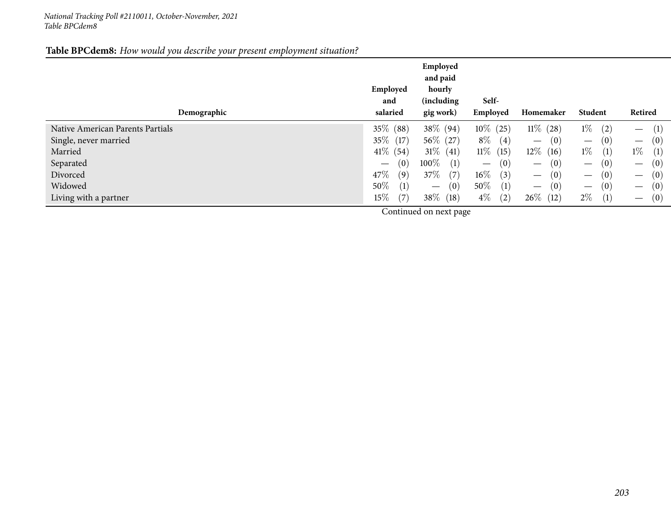#### *National Tracking Poll #2110011, October-November, <sup>2021</sup> Table BPCdem8*

#### **Table BPCdem8:** *How would you describe your present employment situation?*

| Demographic                      | Employed<br>and<br>salaried            | Employed<br>and paid<br>hourly<br>(including<br>gig work) | Self-<br>Employed                      | Homemaker                              | Student                                | Retired                                |
|----------------------------------|----------------------------------------|-----------------------------------------------------------|----------------------------------------|----------------------------------------|----------------------------------------|----------------------------------------|
| Native American Parents Partials | 35\% (88)                              | 38\% (94)                                                 | $10\%$ (25)                            | $11\%$<br>(28)                         | $1\%$<br>(2)                           | (1)<br>$\hspace{0.1mm}-\hspace{0.1mm}$ |
| Single, never married            | $35\%$ (17)                            | $56\%$ (27)                                               | $8\%$<br>$\left( 4\right)$             | (0)<br>$\hspace{0.1mm}-\hspace{0.1mm}$ | (0)<br>$\hspace{0.1mm}-\hspace{0.1mm}$ | (0)<br>$\overline{\phantom{m}}$        |
| Married                          | $41\%$ (54)                            | $31\%$<br>(41)                                            | $11\%$<br>(15)                         | $12\%$<br>(16)                         | $1\%$<br>(1)                           | $1\%$<br>(1)                           |
| Separated                        | (0)<br>$\hspace{0.1mm}-\hspace{0.1mm}$ | $100\%$<br>(1)                                            | (0)<br>$\hspace{0.1mm}-\hspace{0.1mm}$ | (0)<br>$\hspace{0.1mm}-\hspace{0.1mm}$ | (0)<br>$\hspace{0.1mm}-\hspace{0.1mm}$ | (0)<br>$\hspace{0.1mm}-\hspace{0.1mm}$ |
| Divorced                         | 47\%<br>(9)                            | 37\%<br>(7)                                               | $16\%$<br>(3)                          | (0)<br>$\qquad \qquad -$               | (0)<br>$\hspace{0.1mm}-\hspace{0.1mm}$ | (0)<br>$\hspace{0.1mm}-\hspace{0.1mm}$ |
| Widowed                          | $50\%$<br>(1)                          | (0)                                                       | $50\%$<br>(1)                          | (0)<br>$\qquad \qquad -$               | (0)<br>$\hspace{0.1mm}-\hspace{0.1mm}$ | (0)<br>$\hspace{0.1mm}-\hspace{0.1mm}$ |
| Living with a partner            | $15\%$<br>(7)                          | 38\%<br>(18)                                              | $4\%$<br>(2)                           | $26\%$<br>(12)                         | $2\%$<br>$\left(1\right)$              | (0)<br>$\hspace{0.1mm}-\hspace{0.1mm}$ |
|                                  |                                        |                                                           |                                        |                                        |                                        |                                        |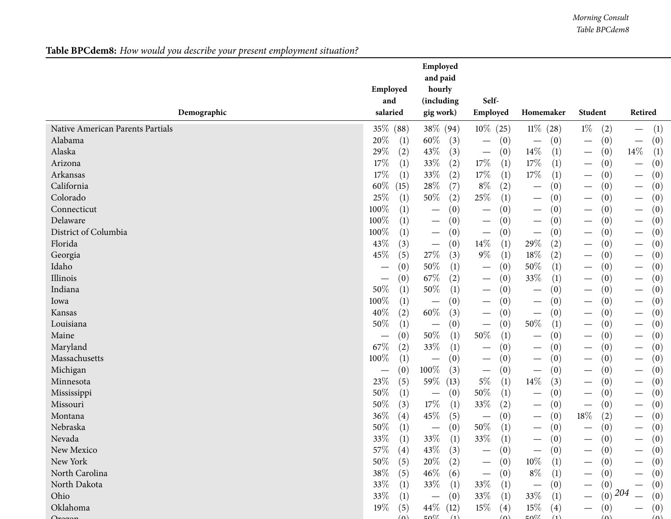## **Table BPCdem8:** *How would you describe your present employment situation?*

|                                  | Employed<br>and               | Employed<br>and paid<br>hourly<br>(including | Self-                           |                                             |                                 |                                 |
|----------------------------------|-------------------------------|----------------------------------------------|---------------------------------|---------------------------------------------|---------------------------------|---------------------------------|
| Demographic                      | salaried                      | gig work)                                    | Employed                        | Homemaker                                   | Student                         | Retired                         |
| Native American Parents Partials | 35% (88)                      | 38% (94)                                     | $10\%$ (25)                     | $11\% (28)$                                 | $1\%$<br>(2)                    | (1)<br>$\overline{\phantom{m}}$ |
| Alabama                          | 20%                           | 60\%                                         | (0)                             | (0)                                         | (0)                             | (0)                             |
|                                  | $\left(1\right)$              | (3)                                          | $\overline{\phantom{m}}$        | $\overline{\phantom{0}}$                    | $\overbrace{\phantom{13333}}$   | $\overline{\phantom{m}}$        |
| Alaska                           | 29%                           | 43%                                          | (0)                             | $14\%$                                      | (0)                             | $14\%$                          |
|                                  | (2)                           | (3)                                          | $\overline{\phantom{m}}$        | (1)                                         |                                 | (1)                             |
| Arizona                          | $17\%$                        | 33%                                          | $17\%$                          | $17\%$                                      | (0)                             | (0)                             |
|                                  | (1)                           | (2)                                          | (1)                             | (1)                                         |                                 | $\overline{\phantom{m}}$        |
| Arkansas                         | 17%                           | 33%                                          | $17\%$                          | $17\%$                                      | (0)                             | (0)                             |
|                                  | (1)                           | (2)                                          | (1)                             | $\left(1\right)$                            |                                 |                                 |
| California                       | $60\%$                        | 28\%                                         | $8\%$                           | (0)                                         | (0)                             | (0)                             |
|                                  | (15)                          | (7)                                          | (2)                             | $\qquad \qquad -$                           |                                 | $\overline{\phantom{m}}$        |
| Colorado                         | 25%                           | 50%                                          | 25\%                            | (0)                                         | (0)                             | (0)                             |
|                                  | (1)                           | (2)                                          | (1)                             | $\qquad \qquad$                             |                                 |                                 |
| Connecticut                      | 100%                          | (0)                                          | (0)                             | (0)                                         | (0)                             | (0)                             |
|                                  | (1)                           | $\overline{\phantom{m}}$                     | $\overline{\phantom{m}}$        | $\overline{\phantom{m}}$                    | $\hspace{0.1mm}-\hspace{0.1mm}$ |                                 |
| Delaware                         | 100%                          | (0)                                          | (0)                             | (0)                                         | (0)                             | (0)                             |
|                                  | (1)                           | $\hspace{0.1mm}-\hspace{0.1mm}$              | $\overline{\phantom{m}}$        | $\overline{\phantom{m}}$                    | $\hspace{0.1mm}-\hspace{0.1mm}$ | $\overline{\phantom{m}}$        |
| District of Columbia             | 100%                          | (0)                                          | (0)                             | (0)                                         | (0)                             | (0)                             |
|                                  | (1)                           | $\hspace{0.1mm}-\hspace{0.1mm}$              | $\overline{\phantom{m}}$        |                                             |                                 |                                 |
| Florida                          | 43%                           | (0)                                          | 14\%                            | 29%                                         | (0)                             | (0)                             |
|                                  | (3)                           | $\hspace{0.1mm}-\hspace{0.1mm}$              | (1)                             | (2)                                         |                                 | $\overline{\phantom{m}}$        |
| Georgia                          | 45%                           | $27\%$                                       | $9\%$                           | $18\%$                                      | (0)                             | (0)                             |
|                                  | (5)                           | (3)                                          | (1)                             | (2)                                         | $\overbrace{\phantom{13333}}$   | $\overline{\phantom{m}}$        |
| Idaho                            | (0)                           | 50%                                          | (0)                             | 50%                                         | (0)                             | (0)                             |
|                                  | $\hspace{0.05cm}$             | (1)                                          | $\overline{\phantom{m}}$        | (1)                                         | $\overbrace{\phantom{13333}}$   | $\overline{\phantom{m}}$        |
| Illinois                         | (0)                           | 67%                                          | (0)                             | 33%                                         | (0)                             | (0)                             |
|                                  | $\hspace{0.05cm}$             | (2)                                          | $\hspace{0.1mm}-\hspace{0.1mm}$ | (1)                                         | $\hspace{0.1mm}-\hspace{0.1mm}$ | $\hspace{0.1mm}-\hspace{0.1mm}$ |
| Indiana                          | 50%                           | $50\%$                                       | (0)                             | (0)                                         | (0)                             | (0)                             |
|                                  | (1)                           | (1)                                          | $\hspace{0.1mm}-\hspace{0.1mm}$ | $\overline{\phantom{m}}$                    | $\hspace{0.1mm}-\hspace{0.1mm}$ |                                 |
| Iowa                             | 100%                          | (0)                                          | (0)                             | (0)                                         | (0)                             | (0)                             |
|                                  | (1)                           | $\overline{\phantom{0}}$                     |                                 |                                             | $\overline{\phantom{0}}$        |                                 |
| Kansas                           | 40%                           | $60\%$                                       | (0)                             | (0)                                         | (0)                             | (0)                             |
|                                  | (2)                           | (3)                                          |                                 | $\overbrace{\phantom{13333}}$               |                                 |                                 |
| Louisiana                        | 50%                           | (0)                                          | (0)                             | 50%                                         | (0)                             | (0)                             |
|                                  | (1)                           |                                              |                                 | (1)                                         | —                               |                                 |
| Maine                            | (0)                           | $50\%$                                       | $50\%$                          | (0)                                         | (0)                             | (0)                             |
|                                  | $\overbrace{\phantom{13333}}$ | (1)                                          | (1)                             | $\overline{\phantom{m}}$                    | $\overbrace{\phantom{13333}}$   | $\overline{\phantom{m}}$        |
| Maryland                         | 67\%                          | 33%                                          | (0)                             | (0)                                         | (0)                             | (0)                             |
|                                  | (2)                           | (1)                                          | $\overline{\phantom{m}}$        |                                             | $\overbrace{\phantom{13333}}$   | $\overline{\phantom{m}}$        |
| Massachusetts                    | 100%                          | (0)                                          | (0)                             | (0)                                         | (0)                             | (0)                             |
|                                  | (1)                           |                                              | $\overline{\phantom{m}}$        |                                             | $\overline{\phantom{0}}$        |                                 |
| Michigan                         | (0)                           | 100%                                         | (0)                             | (0)                                         | (0)                             | (0)                             |
|                                  |                               | (3)                                          |                                 | $\overbrace{\phantom{12333}}$               | —                               | $\hspace{0.1mm}-\hspace{0.1mm}$ |
| Minnesota                        | 23%                           | 59%                                          | $5\%$                           | $14\%$                                      | (0)                             | (0)                             |
|                                  | (5)                           | (13)                                         | (1)                             | (3)                                         |                                 |                                 |
| Mississippi                      | 50%                           | (0)                                          | 50%                             | (0)                                         | (0)                             | (0)                             |
|                                  | (1)                           | $\overline{\phantom{m}}$                     | (1)                             | $\overline{\phantom{m}}$                    |                                 |                                 |
| Missouri                         | 50%                           | $17\%$                                       | 33%                             | (0)                                         | (0)                             | (0)                             |
|                                  | (3)                           | (1)                                          | (2)                             | $\qquad \qquad$                             |                                 | $\overline{\phantom{m}}$        |
| Montana                          | 36%                           | 45%                                          | (0)                             | (0)                                         | $18\%$                          | (0)                             |
|                                  | (4)                           | (5)                                          | $\overline{\phantom{m}}$        | $\hspace{0.1mm}-\hspace{0.1mm}$             | (2)                             | $\hspace{0.1mm}-\hspace{0.1mm}$ |
| Nebraska                         | 50%                           | (0)                                          | $50\%$                          | (0)                                         | (0)                             | (0)                             |
|                                  | (1)                           | $\overline{\phantom{m}}$                     | (1)                             | $\hspace{0.1mm}-\hspace{0.1mm}$             |                                 |                                 |
| Nevada                           | $33\%$<br>(1)<br>$\lambda$    | 33\%<br>(1)<br>$\lambda$                     | 33%<br>(1)                      | (0)                                         | (0)                             | (0)                             |
| New Mexico                       | 57\%                          | 43%                                          | (0)                             | (0)                                         | (0)                             | (0)                             |
|                                  | $\left( 4\right)$             | (3)                                          | —                               | $\qquad \qquad$                             |                                 |                                 |
| New York                         | $50\%$<br>(5)                 | $20\%$<br>(2)                                | (0)<br>$\overline{\phantom{m}}$ | $10\%$<br>(1)                               | (0)                             | (0)                             |
| North Carolina                   | $38\%$                        | $46\%$                                       | (0)                             | $8\%$                                       | (0)                             | (0)                             |
|                                  | (5)                           | (6)                                          | $\overline{\phantom{m}}$        | (1)                                         |                                 |                                 |
| North Dakota                     | 33%<br>(1)                    | 33\%<br>(1)                                  | 33%<br>(1)                      | (0)                                         | (0)<br>$\overline{\phantom{0}}$ | (0)                             |
| Ohio                             | $33\%$                        | (0)                                          | 33\%                            | 33\%                                        | (0)                             | 204                             |
|                                  | (1)                           | $\overline{\phantom{m}}$                     | (1)                             | (1)                                         |                                 | (0)                             |
| Oklahoma                         | 19%<br>(5)                    | 44\% (12)                                    | $15\%$<br>$\left( 4\right)$     | $15\%$<br>(4)                               | (0)                             | (0)                             |
|                                  | $(\Omega)$                    | $\mathsf{L}\Omega$                           | $(\Delta)$                      | $E\Omega$ <sup><math>07</math></sup><br>(1) | (0)                             | $(\Omega)$                      |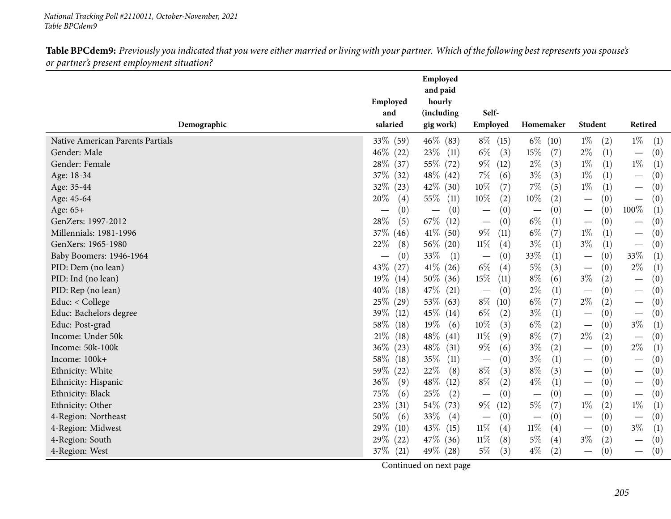| salaried<br>Employed<br>Homemaker<br>Student<br>Retired<br>Demographic<br>gig work)<br>$1\%$<br>$1\%$<br>(1)<br>33% (59)<br>46\% (83)<br>$8\%$ (15)<br>$6\%$ (10)<br>Native American Parents Partials<br>(2)<br>$6\%$<br>$2\%$<br>$46\%$ (22)<br>$23\%$ (11)<br>(3)<br>$15\%$<br>(7)<br>(1)<br>(0)<br>Gender: Male<br>$\overline{\phantom{m}}$<br>$1\%$<br>(1)<br>$9\%$<br>$2\%$<br>(1)<br>$1\%$<br>Gender: Female<br>28\% (37)<br>55\% (72)<br>(12)<br>(3)<br>$1\%$<br>48\% (42)<br>$7\%$<br>$3\%$<br>37\% (32)<br>(3)<br>(1)<br>(0)<br>Age: 18-34<br>(6)<br>$\overline{\phantom{m}}$<br>$10\%$<br>$7\%$<br>$1\%$<br>32\%<br>$42\%$ (30)<br>(7)<br>(5)<br>(1)<br>(23)<br>(0)<br>Age: 35-44<br>$\overline{\phantom{m}}$<br>10%<br>$10\%$<br>Age: 45-64<br>20%<br>$55\%$<br>(2)<br>(2)<br>(0)<br>(0)<br>(4)<br>(11)<br>$\overline{\phantom{m}}$<br>(0)<br>(0)<br>100%<br>(0)<br>(0)<br>(0)<br>(1)<br>Age: 65+<br>$\overline{\phantom{0}}$<br>$67\%$ (12)<br>$6\%$<br>28%<br>(5)<br>(0)<br>(1)<br>(0)<br>GenZers: 1997-2012<br>(0)<br>$\overline{\phantom{m}}$<br>$\overline{\phantom{m}}$<br>$\qquad \qquad \longleftarrow$<br>$6\%$<br>$41\%$ (50)<br>$9\%$<br>(7)<br>$1\%$<br>37% (46)<br>(1)<br>(0)<br>Millennials: 1981-1996<br>(11)<br>$\overline{\phantom{m}}$<br>$3\%$<br>$11\%$<br>$3\%$<br>22%<br>$56\%$ (20)<br>(0)<br>GenXers: 1965-1980<br>(8)<br>(4)<br>(1)<br>(1)<br>$\overline{\phantom{m}}$<br>33%<br>33%<br>33\%<br>Baby Boomers: 1946-1964<br>(1)<br>(0)<br>(1)<br>(0)<br>(1)<br>(0)<br>$\overline{\phantom{m}}$<br>$\qquad \qquad -$<br>$2\%$<br>$41\%$ (26)<br>$6\%$<br>$5\%$<br>43\%<br>(3)<br>(1)<br>PID: Dem (no lean)<br>(27)<br>(4)<br>(0)<br>$\overbrace{\phantom{12333}}$<br>$8\%$<br>15%<br>$3\%$<br>PID: Ind (no lean)<br>$19\%$<br>(14)<br>$50\%$ (36)<br>(11)<br>(6)<br>(2)<br>(0)<br>$2\%$<br>(0)<br>PID: Rep (no lean)<br>47\% (21)<br>(0)<br>(1)<br>(0)<br>$40\%$<br>(18)<br>$\overline{\phantom{m}}$<br>$\overline{\phantom{m}}$<br>$\overline{\phantom{m}}$<br>$6\%$<br>$2\%$<br>$53\%$ (63)<br>$8\%$<br>(7)<br>(2)<br>Educ: < College<br>25%<br>(10)<br>(0)<br>(29)<br>$\overline{\phantom{m}}$<br>$3\%$<br>Educ: Bachelors degree<br>39%<br>45\% (14)<br>$6\%$<br>(2)<br>(0)<br>(12)<br>(1)<br>(0)<br>$\overline{\phantom{m}}$<br>$6\%$<br>$19\%$<br>10%<br>$3\%$<br>Educ: Post-grad<br>58\%<br>(3)<br>(2)<br>(0)<br>(1)<br>(18)<br>(6)<br>$8\%$<br>$2\%$<br>$48\%$<br>$11\%$<br>(7)<br>(0)<br>Income: Under 50k<br>21%<br>(9)<br>(2)<br>(18)<br>(41)<br>$3\%$<br>$9\%$<br>$2\%$<br>Income: 50k-100k<br>$48\%$ (31)<br>(6)<br>(2)<br>(0)<br>(1)<br>$36\%$<br>(23)<br>$3\%$<br>Income: 100k+<br>35%<br>(0)<br>(1)<br>(0)<br>58\%<br>(18)<br>(11)<br>(0)<br>$\overline{\phantom{m}}$<br>$\overline{\phantom{m}}$<br>$8\%$<br>$8\%$<br>(22)<br>22\%<br>(3)<br>(3)<br>(0)<br>Ethnicity: White<br>$59\%$<br>(8)<br>(0)<br>$\overline{\phantom{m}}$<br>$48\%$<br>$8\%$<br>$4\%$<br>36%<br>(9)<br>(2)<br>(1)<br>(0)<br>Ethnicity: Hispanic<br>(12)<br>(0)<br>$\overline{\phantom{0}}$<br>25%<br>75%<br>(6)<br>(0)<br>(0)<br>(0)<br>Ethnicity: Black<br>(2)<br>(0)<br>$\overline{\phantom{m}}$<br>$\overbrace{\phantom{12333}}$<br>$\overline{\phantom{m}}$<br>$5\%$<br>$1\%$<br>$1\%$<br>54\% (73)<br>$9\%$<br>23\%<br>(12)<br>(7)<br>(2)<br>(1)<br>Ethnicity: Other<br>(31)<br>33\%<br>(0)<br>(6)<br>(4)<br>(0)<br>(0)<br>(0)<br>4-Region: Northeast<br>$50\%$<br>$\overline{\phantom{m}}$<br>$\overline{\phantom{m}}$<br>$\overbrace{\phantom{12333}}$<br>$\overline{\phantom{m}}$<br>$11\%$<br>$3\%$<br>$43\%$ (15)<br>$11\%$<br>(1)<br>29\%<br>(10)<br>(4)<br>(4)<br>(0)<br>4-Region: Midwest<br>$\qquad \qquad -$ | Employed<br>and | Employed<br>and paid<br>hourly<br>(including | Self- |  |  |
|------------------------------------------------------------------------------------------------------------------------------------------------------------------------------------------------------------------------------------------------------------------------------------------------------------------------------------------------------------------------------------------------------------------------------------------------------------------------------------------------------------------------------------------------------------------------------------------------------------------------------------------------------------------------------------------------------------------------------------------------------------------------------------------------------------------------------------------------------------------------------------------------------------------------------------------------------------------------------------------------------------------------------------------------------------------------------------------------------------------------------------------------------------------------------------------------------------------------------------------------------------------------------------------------------------------------------------------------------------------------------------------------------------------------------------------------------------------------------------------------------------------------------------------------------------------------------------------------------------------------------------------------------------------------------------------------------------------------------------------------------------------------------------------------------------------------------------------------------------------------------------------------------------------------------------------------------------------------------------------------------------------------------------------------------------------------------------------------------------------------------------------------------------------------------------------------------------------------------------------------------------------------------------------------------------------------------------------------------------------------------------------------------------------------------------------------------------------------------------------------------------------------------------------------------------------------------------------------------------------------------------------------------------------------------------------------------------------------------------------------------------------------------------------------------------------------------------------------------------------------------------------------------------------------------------------------------------------------------------------------------------------------------------------------------------------------------------------------------------------------------------------------------------------------------------------------------------------------------------------------------------------------------------------------------------------------------------------------------------------------------------------------------------------------------------------------------------------------------------------------------------------------------------------------------------------------------------------------------------------------------------------------------|-----------------|----------------------------------------------|-------|--|--|
|                                                                                                                                                                                                                                                                                                                                                                                                                                                                                                                                                                                                                                                                                                                                                                                                                                                                                                                                                                                                                                                                                                                                                                                                                                                                                                                                                                                                                                                                                                                                                                                                                                                                                                                                                                                                                                                                                                                                                                                                                                                                                                                                                                                                                                                                                                                                                                                                                                                                                                                                                                                                                                                                                                                                                                                                                                                                                                                                                                                                                                                                                                                                                                                                                                                                                                                                                                                                                                                                                                                                                                                                                                                      |                 |                                              |       |  |  |
|                                                                                                                                                                                                                                                                                                                                                                                                                                                                                                                                                                                                                                                                                                                                                                                                                                                                                                                                                                                                                                                                                                                                                                                                                                                                                                                                                                                                                                                                                                                                                                                                                                                                                                                                                                                                                                                                                                                                                                                                                                                                                                                                                                                                                                                                                                                                                                                                                                                                                                                                                                                                                                                                                                                                                                                                                                                                                                                                                                                                                                                                                                                                                                                                                                                                                                                                                                                                                                                                                                                                                                                                                                                      |                 |                                              |       |  |  |
|                                                                                                                                                                                                                                                                                                                                                                                                                                                                                                                                                                                                                                                                                                                                                                                                                                                                                                                                                                                                                                                                                                                                                                                                                                                                                                                                                                                                                                                                                                                                                                                                                                                                                                                                                                                                                                                                                                                                                                                                                                                                                                                                                                                                                                                                                                                                                                                                                                                                                                                                                                                                                                                                                                                                                                                                                                                                                                                                                                                                                                                                                                                                                                                                                                                                                                                                                                                                                                                                                                                                                                                                                                                      |                 |                                              |       |  |  |
|                                                                                                                                                                                                                                                                                                                                                                                                                                                                                                                                                                                                                                                                                                                                                                                                                                                                                                                                                                                                                                                                                                                                                                                                                                                                                                                                                                                                                                                                                                                                                                                                                                                                                                                                                                                                                                                                                                                                                                                                                                                                                                                                                                                                                                                                                                                                                                                                                                                                                                                                                                                                                                                                                                                                                                                                                                                                                                                                                                                                                                                                                                                                                                                                                                                                                                                                                                                                                                                                                                                                                                                                                                                      |                 |                                              |       |  |  |
|                                                                                                                                                                                                                                                                                                                                                                                                                                                                                                                                                                                                                                                                                                                                                                                                                                                                                                                                                                                                                                                                                                                                                                                                                                                                                                                                                                                                                                                                                                                                                                                                                                                                                                                                                                                                                                                                                                                                                                                                                                                                                                                                                                                                                                                                                                                                                                                                                                                                                                                                                                                                                                                                                                                                                                                                                                                                                                                                                                                                                                                                                                                                                                                                                                                                                                                                                                                                                                                                                                                                                                                                                                                      |                 |                                              |       |  |  |
|                                                                                                                                                                                                                                                                                                                                                                                                                                                                                                                                                                                                                                                                                                                                                                                                                                                                                                                                                                                                                                                                                                                                                                                                                                                                                                                                                                                                                                                                                                                                                                                                                                                                                                                                                                                                                                                                                                                                                                                                                                                                                                                                                                                                                                                                                                                                                                                                                                                                                                                                                                                                                                                                                                                                                                                                                                                                                                                                                                                                                                                                                                                                                                                                                                                                                                                                                                                                                                                                                                                                                                                                                                                      |                 |                                              |       |  |  |
|                                                                                                                                                                                                                                                                                                                                                                                                                                                                                                                                                                                                                                                                                                                                                                                                                                                                                                                                                                                                                                                                                                                                                                                                                                                                                                                                                                                                                                                                                                                                                                                                                                                                                                                                                                                                                                                                                                                                                                                                                                                                                                                                                                                                                                                                                                                                                                                                                                                                                                                                                                                                                                                                                                                                                                                                                                                                                                                                                                                                                                                                                                                                                                                                                                                                                                                                                                                                                                                                                                                                                                                                                                                      |                 |                                              |       |  |  |
|                                                                                                                                                                                                                                                                                                                                                                                                                                                                                                                                                                                                                                                                                                                                                                                                                                                                                                                                                                                                                                                                                                                                                                                                                                                                                                                                                                                                                                                                                                                                                                                                                                                                                                                                                                                                                                                                                                                                                                                                                                                                                                                                                                                                                                                                                                                                                                                                                                                                                                                                                                                                                                                                                                                                                                                                                                                                                                                                                                                                                                                                                                                                                                                                                                                                                                                                                                                                                                                                                                                                                                                                                                                      |                 |                                              |       |  |  |
|                                                                                                                                                                                                                                                                                                                                                                                                                                                                                                                                                                                                                                                                                                                                                                                                                                                                                                                                                                                                                                                                                                                                                                                                                                                                                                                                                                                                                                                                                                                                                                                                                                                                                                                                                                                                                                                                                                                                                                                                                                                                                                                                                                                                                                                                                                                                                                                                                                                                                                                                                                                                                                                                                                                                                                                                                                                                                                                                                                                                                                                                                                                                                                                                                                                                                                                                                                                                                                                                                                                                                                                                                                                      |                 |                                              |       |  |  |
|                                                                                                                                                                                                                                                                                                                                                                                                                                                                                                                                                                                                                                                                                                                                                                                                                                                                                                                                                                                                                                                                                                                                                                                                                                                                                                                                                                                                                                                                                                                                                                                                                                                                                                                                                                                                                                                                                                                                                                                                                                                                                                                                                                                                                                                                                                                                                                                                                                                                                                                                                                                                                                                                                                                                                                                                                                                                                                                                                                                                                                                                                                                                                                                                                                                                                                                                                                                                                                                                                                                                                                                                                                                      |                 |                                              |       |  |  |
|                                                                                                                                                                                                                                                                                                                                                                                                                                                                                                                                                                                                                                                                                                                                                                                                                                                                                                                                                                                                                                                                                                                                                                                                                                                                                                                                                                                                                                                                                                                                                                                                                                                                                                                                                                                                                                                                                                                                                                                                                                                                                                                                                                                                                                                                                                                                                                                                                                                                                                                                                                                                                                                                                                                                                                                                                                                                                                                                                                                                                                                                                                                                                                                                                                                                                                                                                                                                                                                                                                                                                                                                                                                      |                 |                                              |       |  |  |
|                                                                                                                                                                                                                                                                                                                                                                                                                                                                                                                                                                                                                                                                                                                                                                                                                                                                                                                                                                                                                                                                                                                                                                                                                                                                                                                                                                                                                                                                                                                                                                                                                                                                                                                                                                                                                                                                                                                                                                                                                                                                                                                                                                                                                                                                                                                                                                                                                                                                                                                                                                                                                                                                                                                                                                                                                                                                                                                                                                                                                                                                                                                                                                                                                                                                                                                                                                                                                                                                                                                                                                                                                                                      |                 |                                              |       |  |  |
|                                                                                                                                                                                                                                                                                                                                                                                                                                                                                                                                                                                                                                                                                                                                                                                                                                                                                                                                                                                                                                                                                                                                                                                                                                                                                                                                                                                                                                                                                                                                                                                                                                                                                                                                                                                                                                                                                                                                                                                                                                                                                                                                                                                                                                                                                                                                                                                                                                                                                                                                                                                                                                                                                                                                                                                                                                                                                                                                                                                                                                                                                                                                                                                                                                                                                                                                                                                                                                                                                                                                                                                                                                                      |                 |                                              |       |  |  |
|                                                                                                                                                                                                                                                                                                                                                                                                                                                                                                                                                                                                                                                                                                                                                                                                                                                                                                                                                                                                                                                                                                                                                                                                                                                                                                                                                                                                                                                                                                                                                                                                                                                                                                                                                                                                                                                                                                                                                                                                                                                                                                                                                                                                                                                                                                                                                                                                                                                                                                                                                                                                                                                                                                                                                                                                                                                                                                                                                                                                                                                                                                                                                                                                                                                                                                                                                                                                                                                                                                                                                                                                                                                      |                 |                                              |       |  |  |
|                                                                                                                                                                                                                                                                                                                                                                                                                                                                                                                                                                                                                                                                                                                                                                                                                                                                                                                                                                                                                                                                                                                                                                                                                                                                                                                                                                                                                                                                                                                                                                                                                                                                                                                                                                                                                                                                                                                                                                                                                                                                                                                                                                                                                                                                                                                                                                                                                                                                                                                                                                                                                                                                                                                                                                                                                                                                                                                                                                                                                                                                                                                                                                                                                                                                                                                                                                                                                                                                                                                                                                                                                                                      |                 |                                              |       |  |  |
|                                                                                                                                                                                                                                                                                                                                                                                                                                                                                                                                                                                                                                                                                                                                                                                                                                                                                                                                                                                                                                                                                                                                                                                                                                                                                                                                                                                                                                                                                                                                                                                                                                                                                                                                                                                                                                                                                                                                                                                                                                                                                                                                                                                                                                                                                                                                                                                                                                                                                                                                                                                                                                                                                                                                                                                                                                                                                                                                                                                                                                                                                                                                                                                                                                                                                                                                                                                                                                                                                                                                                                                                                                                      |                 |                                              |       |  |  |
|                                                                                                                                                                                                                                                                                                                                                                                                                                                                                                                                                                                                                                                                                                                                                                                                                                                                                                                                                                                                                                                                                                                                                                                                                                                                                                                                                                                                                                                                                                                                                                                                                                                                                                                                                                                                                                                                                                                                                                                                                                                                                                                                                                                                                                                                                                                                                                                                                                                                                                                                                                                                                                                                                                                                                                                                                                                                                                                                                                                                                                                                                                                                                                                                                                                                                                                                                                                                                                                                                                                                                                                                                                                      |                 |                                              |       |  |  |
|                                                                                                                                                                                                                                                                                                                                                                                                                                                                                                                                                                                                                                                                                                                                                                                                                                                                                                                                                                                                                                                                                                                                                                                                                                                                                                                                                                                                                                                                                                                                                                                                                                                                                                                                                                                                                                                                                                                                                                                                                                                                                                                                                                                                                                                                                                                                                                                                                                                                                                                                                                                                                                                                                                                                                                                                                                                                                                                                                                                                                                                                                                                                                                                                                                                                                                                                                                                                                                                                                                                                                                                                                                                      |                 |                                              |       |  |  |
|                                                                                                                                                                                                                                                                                                                                                                                                                                                                                                                                                                                                                                                                                                                                                                                                                                                                                                                                                                                                                                                                                                                                                                                                                                                                                                                                                                                                                                                                                                                                                                                                                                                                                                                                                                                                                                                                                                                                                                                                                                                                                                                                                                                                                                                                                                                                                                                                                                                                                                                                                                                                                                                                                                                                                                                                                                                                                                                                                                                                                                                                                                                                                                                                                                                                                                                                                                                                                                                                                                                                                                                                                                                      |                 |                                              |       |  |  |
|                                                                                                                                                                                                                                                                                                                                                                                                                                                                                                                                                                                                                                                                                                                                                                                                                                                                                                                                                                                                                                                                                                                                                                                                                                                                                                                                                                                                                                                                                                                                                                                                                                                                                                                                                                                                                                                                                                                                                                                                                                                                                                                                                                                                                                                                                                                                                                                                                                                                                                                                                                                                                                                                                                                                                                                                                                                                                                                                                                                                                                                                                                                                                                                                                                                                                                                                                                                                                                                                                                                                                                                                                                                      |                 |                                              |       |  |  |
|                                                                                                                                                                                                                                                                                                                                                                                                                                                                                                                                                                                                                                                                                                                                                                                                                                                                                                                                                                                                                                                                                                                                                                                                                                                                                                                                                                                                                                                                                                                                                                                                                                                                                                                                                                                                                                                                                                                                                                                                                                                                                                                                                                                                                                                                                                                                                                                                                                                                                                                                                                                                                                                                                                                                                                                                                                                                                                                                                                                                                                                                                                                                                                                                                                                                                                                                                                                                                                                                                                                                                                                                                                                      |                 |                                              |       |  |  |
|                                                                                                                                                                                                                                                                                                                                                                                                                                                                                                                                                                                                                                                                                                                                                                                                                                                                                                                                                                                                                                                                                                                                                                                                                                                                                                                                                                                                                                                                                                                                                                                                                                                                                                                                                                                                                                                                                                                                                                                                                                                                                                                                                                                                                                                                                                                                                                                                                                                                                                                                                                                                                                                                                                                                                                                                                                                                                                                                                                                                                                                                                                                                                                                                                                                                                                                                                                                                                                                                                                                                                                                                                                                      |                 |                                              |       |  |  |
|                                                                                                                                                                                                                                                                                                                                                                                                                                                                                                                                                                                                                                                                                                                                                                                                                                                                                                                                                                                                                                                                                                                                                                                                                                                                                                                                                                                                                                                                                                                                                                                                                                                                                                                                                                                                                                                                                                                                                                                                                                                                                                                                                                                                                                                                                                                                                                                                                                                                                                                                                                                                                                                                                                                                                                                                                                                                                                                                                                                                                                                                                                                                                                                                                                                                                                                                                                                                                                                                                                                                                                                                                                                      |                 |                                              |       |  |  |
|                                                                                                                                                                                                                                                                                                                                                                                                                                                                                                                                                                                                                                                                                                                                                                                                                                                                                                                                                                                                                                                                                                                                                                                                                                                                                                                                                                                                                                                                                                                                                                                                                                                                                                                                                                                                                                                                                                                                                                                                                                                                                                                                                                                                                                                                                                                                                                                                                                                                                                                                                                                                                                                                                                                                                                                                                                                                                                                                                                                                                                                                                                                                                                                                                                                                                                                                                                                                                                                                                                                                                                                                                                                      |                 |                                              |       |  |  |
|                                                                                                                                                                                                                                                                                                                                                                                                                                                                                                                                                                                                                                                                                                                                                                                                                                                                                                                                                                                                                                                                                                                                                                                                                                                                                                                                                                                                                                                                                                                                                                                                                                                                                                                                                                                                                                                                                                                                                                                                                                                                                                                                                                                                                                                                                                                                                                                                                                                                                                                                                                                                                                                                                                                                                                                                                                                                                                                                                                                                                                                                                                                                                                                                                                                                                                                                                                                                                                                                                                                                                                                                                                                      |                 |                                              |       |  |  |
|                                                                                                                                                                                                                                                                                                                                                                                                                                                                                                                                                                                                                                                                                                                                                                                                                                                                                                                                                                                                                                                                                                                                                                                                                                                                                                                                                                                                                                                                                                                                                                                                                                                                                                                                                                                                                                                                                                                                                                                                                                                                                                                                                                                                                                                                                                                                                                                                                                                                                                                                                                                                                                                                                                                                                                                                                                                                                                                                                                                                                                                                                                                                                                                                                                                                                                                                                                                                                                                                                                                                                                                                                                                      |                 |                                              |       |  |  |
|                                                                                                                                                                                                                                                                                                                                                                                                                                                                                                                                                                                                                                                                                                                                                                                                                                                                                                                                                                                                                                                                                                                                                                                                                                                                                                                                                                                                                                                                                                                                                                                                                                                                                                                                                                                                                                                                                                                                                                                                                                                                                                                                                                                                                                                                                                                                                                                                                                                                                                                                                                                                                                                                                                                                                                                                                                                                                                                                                                                                                                                                                                                                                                                                                                                                                                                                                                                                                                                                                                                                                                                                                                                      |                 |                                              |       |  |  |
| 47\% (36)<br>$11\%$<br>$5\%$<br>$3\%$<br>$29\%$<br>(22)<br>(8)<br>(2)<br>(0)<br>4-Region: South<br>(4)                                                                                                                                                                                                                                                                                                                                                                                                                                                                                                                                                                                                                                                                                                                                                                                                                                                                                                                                                                                                                                                                                                                                                                                                                                                                                                                                                                                                                                                                                                                                                                                                                                                                                                                                                                                                                                                                                                                                                                                                                                                                                                                                                                                                                                                                                                                                                                                                                                                                                                                                                                                                                                                                                                                                                                                                                                                                                                                                                                                                                                                                                                                                                                                                                                                                                                                                                                                                                                                                                                                                               |                 |                                              |       |  |  |
| $4\%$<br>37\%<br>49\% (28)<br>$5\%$<br>(0)<br>4-Region: West<br>(21)<br>(3)<br>(2)<br>(0)<br>—<br>$\overbrace{\phantom{12333}}$                                                                                                                                                                                                                                                                                                                                                                                                                                                                                                                                                                                                                                                                                                                                                                                                                                                                                                                                                                                                                                                                                                                                                                                                                                                                                                                                                                                                                                                                                                                                                                                                                                                                                                                                                                                                                                                                                                                                                                                                                                                                                                                                                                                                                                                                                                                                                                                                                                                                                                                                                                                                                                                                                                                                                                                                                                                                                                                                                                                                                                                                                                                                                                                                                                                                                                                                                                                                                                                                                                                      |                 |                                              |       |  |  |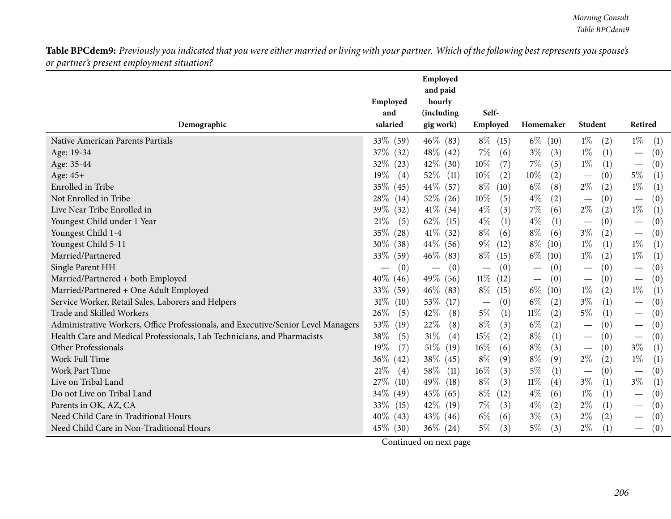| Demographic                                                                       | Employed<br>and<br>salaried | Employed<br>and paid<br>hourly<br>(including<br>gig work) | Self-<br>Employed               | Homemaker                            | Student                              | Retired                         |
|-----------------------------------------------------------------------------------|-----------------------------|-----------------------------------------------------------|---------------------------------|--------------------------------------|--------------------------------------|---------------------------------|
| Native American Parents Partials                                                  | 33% (59)                    | $46\%$ (83)                                               | $8\%$ (15)                      | $6\%$ (10)                           | $1\%$<br>(2)                         | $1\%$<br>(1)                    |
| Age: 19-34                                                                        | $37\%$ (32)                 | $48\%$ (42)                                               | $7\%$<br>(6)                    | $3\%$<br>(3)                         | $1\%$<br>(1)                         | (0)                             |
| Age: 35-44                                                                        | $32\%$ (23)                 | $42\%$ (30)                                               | $10\%$<br>(7)                   | $7\%$<br>(5)                         | $1\%$<br>(1)                         | (0)<br>$\overline{\phantom{m}}$ |
| Age: 45+                                                                          | $19\%$<br>(4)               | $52\%$ (11)                                               | 10%<br>(2)                      | $10\%$<br>(2)                        | (0)                                  | $5\%$<br>(1)                    |
| Enrolled in Tribe                                                                 | 35\%<br>(45)                | 44\% (57)                                                 | $8\%$<br>(10)                   | $6\%$<br>(8)                         | $2\%$<br>(2)                         | $1\%$<br>(1)                    |
| Not Enrolled in Tribe                                                             | $28\%$<br>(14)              | $52\%$ (26)                                               | $10\%$<br>(5)                   | $4\%$<br>(2)                         | (0)<br>$\overline{\phantom{m}}$      | (0)<br>$\overline{\phantom{m}}$ |
| Live Near Tribe Enrolled in                                                       | 39\% (32)                   | $41\%$ (34)                                               | $4\%$<br>(3)                    | $7\%$<br>(6)                         | $2\%$<br>(2)                         | $1\%$<br>(1)                    |
| Youngest Child under 1 Year                                                       | 21%<br>(5)                  | $62\%$ (15)                                               | $4\%$<br>(1)                    | $4\%$<br>(1)                         | (0)                                  | (0)                             |
| Youngest Child 1-4                                                                | $35\%$ (28)                 | $41\%$ (32)                                               | $8\%$<br>(6)                    | $8\%$<br>(6)                         | $3\%$<br>(2)                         | (0)                             |
| Youngest Child 5-11                                                               | $30\%$ (38)                 | 44\% (56)                                                 | $9\%$<br>(12)                   | $8\%$<br>(10)                        | $1\%$<br>(1)                         | $1\%$<br>(1)                    |
| Married/Partnered                                                                 | 33\%<br>(59)                | $46\%$ (83)                                               | $8\%$<br>(15)                   | $6\%$<br>(10)                        | $1\%$<br>(2)                         | $1\%$<br>(1)                    |
| Single Parent HH                                                                  | (0)                         | (0)<br>$\overline{\phantom{m}}$                           | (0)<br>$\overline{\phantom{m}}$ | (0)                                  | (0)                                  | (0)                             |
| Married/Partnered + both Employed                                                 | $40\%$ (46)                 | 49\% (56)                                                 | $11\%$<br>(12)                  | (0)<br>$\overbrace{\phantom{13333}}$ | (0)<br>$\overbrace{\phantom{12333}}$ | (0)<br>$\overline{\phantom{m}}$ |
| Married/Partnered + One Adult Employed                                            | 33\% (59)                   | $46\%$ (83)                                               | $8\%$<br>(15)                   | $6\%$<br>(10)                        | $1\%$<br>(2)                         | $1\%$<br>(1)                    |
| Service Worker, Retail Sales, Laborers and Helpers                                | $31\%$<br>(10)              | $53\%$ (17)                                               | (0)<br>$\overline{\phantom{m}}$ | $6\%$<br>(2)                         | $3\%$<br>(1)                         | (0)                             |
| Trade and Skilled Workers                                                         | 26\%<br>(5)                 | 42\%<br>(8)                                               | $5\%$<br>(1)                    | $11\%$<br>(2)                        | $5\%$<br>(1)                         | (0)                             |
| Administrative Workers, Office Professionals, and Executive/Senior Level Managers | 53%<br>(19)                 | 22%<br>(8)                                                | $8\%$<br>(3)                    | $6\%$<br>(2)                         | (0)                                  | (0)                             |
| Health Care and Medical Professionals, Lab Technicians, and Pharmacists           | 38%<br>(5)                  | $31\%$<br>(4)                                             | 15%<br>(2)                      | $8\%$<br>(1)                         | (0)                                  | (0)<br>$\overline{\phantom{m}}$ |
| Other Professionals                                                               | 19%<br>(7)                  | $51\%$ (19)                                               | $16\%$<br>(6)                   | $8\%$<br>(3)                         | (0)<br>$\overline{\phantom{m}}$      | $3\%$<br>(1)                    |
| Work Full Time                                                                    | $36\%$<br>(42)              | $38\%$ (45)                                               | $8\%$<br>(9)                    | $8\%$<br>(9)                         | $2\%$<br>(2)                         | $1\%$<br>(1)                    |
| Work Part Time                                                                    | 21\%<br>(4)                 | 58\%<br>(11)                                              | $16\%$<br>(3)                   | $5\%$<br>(1)                         | (0)<br>$\overline{\phantom{m}}$      | (0)<br>$\overline{\phantom{m}}$ |
| Live on Tribal Land                                                               | 27\%<br>(10)                | 49\% (18)                                                 | $8\%$<br>(3)                    | $11\%$<br>(4)                        | $3\%$<br>(1)                         | $3\%$<br>(1)                    |
| Do not Live on Tribal Land                                                        | 34\% (49)                   | $45\%$ (65)                                               | $8\%$<br>(12)                   | $4\%$<br>(6)                         | $1\%$<br>(1)                         | (0)                             |
| Parents in OK, AZ, CA                                                             | 33\%<br>(15)                | 42\% (19)                                                 | $7\%$<br>(3)                    | $4\%$<br>(2)                         | $2\%$<br>(1)                         | (0)                             |
| Need Child Care in Traditional Hours                                              | $40\%$ (43)                 | $43\%$ (46)                                               | $6\%$<br>(6)                    | $3\%$<br>(3)                         | $2\%$<br>(2)                         | (0)                             |
| Need Child Care in Non-Traditional Hours                                          | $45\%$ (30)                 | $36\%$ (24)                                               | $5\%$<br>(3)                    | $5\%$<br>(3)                         | $2\%$<br>(1)                         | (0)                             |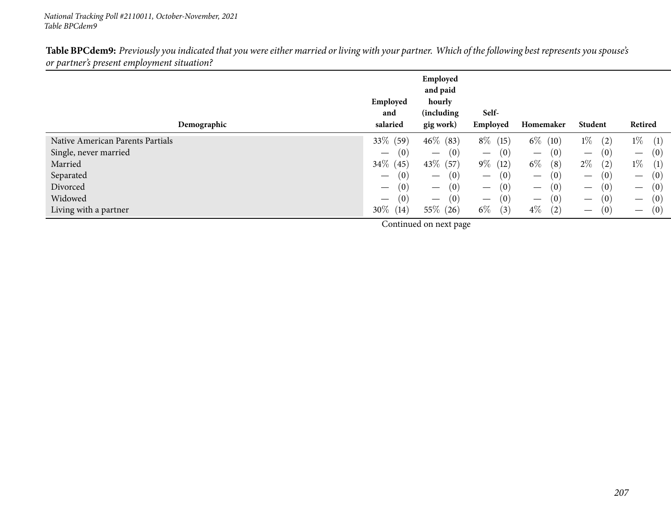| Demographic                      | Employed<br>and<br>salaried            | Employed<br>and paid<br>hourly<br>(including<br>gig work) | Self-<br>Employed                      | Homemaker                              | Student                                | Retired                                |
|----------------------------------|----------------------------------------|-----------------------------------------------------------|----------------------------------------|----------------------------------------|----------------------------------------|----------------------------------------|
| Native American Parents Partials | 33\% (59)                              | $46\%$ (83)                                               | $8\%$<br>(15)                          | $6\%$<br>(10)                          | $1\%$<br>(2)                           | $1\%$<br>(1)                           |
| Single, never married            | (0)<br>$\overline{\phantom{0}}$        | (0)<br>$\overbrace{\phantom{13333}}$                      | (0)<br>$\qquad \qquad$                 | (0)<br>$\hspace{0.1mm}-\hspace{0.1mm}$ | (0)<br>$\hspace{0.1mm}-\hspace{0.1mm}$ | (0)<br>$\hspace{0.1mm}-\hspace{0.1mm}$ |
| Married                          | $34\%$ (45)                            | 43\% (57)                                                 | $9\%$<br>(12)                          | $6\%$<br>(8)                           | $2\%$<br>(2)                           | $1\%$<br>(1)                           |
| Separated                        | (0)<br>$\hspace{0.1mm}-\hspace{0.1mm}$ | (0)<br>$\hspace{0.1mm}-\hspace{0.1mm}$                    | (0)<br>$\hspace{0.1mm}-\hspace{0.1mm}$ | (0)<br>$\overline{\phantom{0}}$        | (0)<br>$\hspace{0.1mm}-\hspace{0.1mm}$ | (0)<br>$\overline{\phantom{m}}$        |
| Divorced                         | (0)<br>$\overline{\phantom{m}}$        | (0)<br>$\hspace{0.1mm}-\hspace{0.1mm}$                    | (0)<br>$\qquad \qquad -$               | (0)<br>$\overline{\phantom{m}}$        | (0)<br>$\hspace{0.1mm}-\hspace{0.1mm}$ | (0)<br>$\hspace{0.1mm}-\hspace{0.1mm}$ |
| Widowed                          | (0)<br>$\hspace{0.05cm}$               | (0)<br>$\hspace{0.1mm}-\hspace{0.1mm}$                    | (0)<br>$\qquad \qquad$                 | (0)<br>$\hspace{0.1mm}-\hspace{0.1mm}$ | (0)<br>$\hspace{0.1mm}-\hspace{0.1mm}$ | (0)<br>$\overline{\phantom{m}}$        |
| Living with a partner            | 30\%<br>(14)                           | $55\%$ (26)                                               | $6\%$<br>(3)                           | $4\%$<br>(2)                           | (0)<br>$\hspace{0.1mm}-\hspace{0.1mm}$ | (0)<br>$\hspace{0.1mm}-\hspace{0.1mm}$ |
|                                  | the contract of the contract of the    |                                                           |                                        |                                        |                                        |                                        |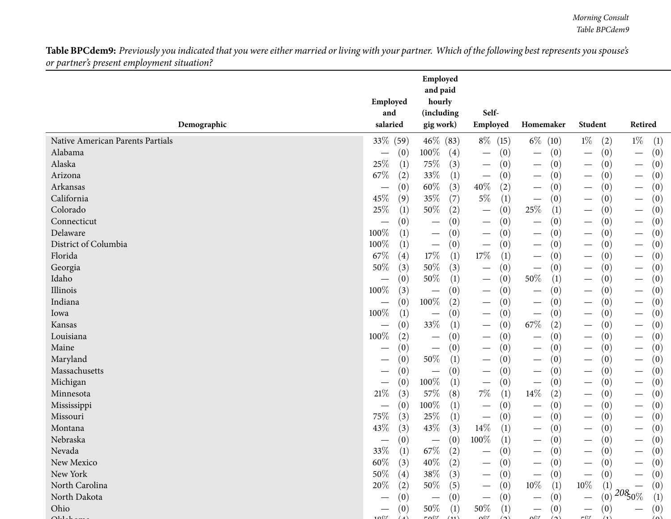|                                  | Employed<br>and                        | Employed<br>and paid<br>hourly<br>(including | Self-                                   |                                        |        |                                 |                  |                                 |     |
|----------------------------------|----------------------------------------|----------------------------------------------|-----------------------------------------|----------------------------------------|--------|---------------------------------|------------------|---------------------------------|-----|
| Demographic                      | salaried                               | gig work)                                    | Employed                                | Homemaker                              |        | Student                         |                  | Retired                         |     |
| Native American Parents Partials | 33% (59)                               | $46\%$ (83)                                  | $8\%$<br>(15)                           | $6\%$ (10)                             |        | $1\%$                           | (2)              | $1\%$                           | (1) |
| Alabama                          | (0)                                    | 100%<br>$\left( 4\right)$                    | $\overline{\phantom{m}}$                | (0)<br>$\qquad \qquad$                 | (0)    |                                 | (0)              | $\overline{\phantom{m}}$        | (0) |
| Alaska                           | 25%<br>(1)                             | 75%<br>(3)                                   | $\overline{\phantom{m}}$                | (0)                                    | (0)    |                                 | (0)              | $\overline{\phantom{m}}$        | (0) |
| Arizona                          | 67\%<br>(2)                            | 33%<br>(1)                                   | $\overline{\phantom{m}}$                | (0)<br>$\qquad \qquad$                 | (0)    |                                 | (0)              | $\hspace{0.1mm}-\hspace{0.1mm}$ | (0) |
| Arkansas                         | (0)                                    | $60\%$<br>(3)                                | 40%                                     | (2)<br>$\qquad \qquad$                 | (0)    |                                 | (0)              | $\overline{\phantom{m}}$        | (0) |
| California                       | 45%<br>(9)                             | 35%<br>(7)                                   | $5\%$                                   | (1)<br>$\overline{\phantom{m}}$        | (0)    |                                 | (0)              | $\overline{\phantom{m}}$        | (0) |
| Colorado                         | 25%<br>(1)                             | 50%<br>(2)                                   | $\overline{\phantom{m}}$                | $25\%$<br>(0)                          | (1)    |                                 | (0)              |                                 | (0) |
| Connecticut                      | (0)                                    | (0)<br>$\overline{\phantom{m}}$              | $\overline{\phantom{m}}$                | (0)<br>$\qquad \qquad -$               | (0)    |                                 | (0)              | $\hspace{0.1mm}-\hspace{0.1mm}$ | (0) |
| Delaware                         | 100%<br>(1)                            | (0)<br>$\overline{\phantom{m}}$              | $\hspace{0.1mm}-\hspace{0.1mm}$         | (0)<br>$\qquad \qquad$                 | (0)    |                                 | (0)              | $\overline{\phantom{m}}$        | (0) |
| District of Columbia             | 100%<br>(1)                            | (0)<br>$\hspace{0.1mm}-\hspace{0.1mm}$       | $\hspace{0.1mm}-\hspace{0.1mm}$         | (0)<br>$\hspace{0.1mm}-\hspace{0.1mm}$ | (0)    |                                 | (0)              | $\overline{\phantom{m}}$        | (0) |
| Florida                          | 67\%<br>(4)                            | $17\%$<br>(1)                                | $17\%$                                  | (1)<br>$\overbrace{\phantom{13333}}$   | (0)    | $\overline{\phantom{0}}$        | (0)              | $\overline{\phantom{m}}$        | (0) |
| Georgia                          | 50%<br>(3)                             | $50\%$<br>(3)                                | $\overline{\phantom{m}}$                | (0)<br>$\overbrace{\phantom{13333}}$   | (0)    |                                 | (0)              | $\hspace{0.1mm}-\hspace{0.1mm}$ | (0) |
| Idaho                            | (0)<br>$\hspace{0.05cm}$               | 50%<br>(1)                                   | $\hspace{0.1mm}-\hspace{0.1mm}$         | $50\%$<br>(0)                          | (1)    | $\hspace{0.1mm}-\hspace{0.1mm}$ | (0)              | $\hspace{0.1mm}-\hspace{0.1mm}$ | (0) |
| Illinois                         | 100%<br>(3)                            | (0)                                          | $\hspace{0.1mm}-\hspace{0.1mm}$         | (0)<br>$\overline{\phantom{m}}$        | (0)    | $\hspace{0.1mm}-\hspace{0.1mm}$ | (0)              |                                 | (0) |
| Indiana                          | (0)<br>$\overline{\phantom{m}}$        | $100\%$<br>(2)                               | $\hspace{0.1mm}-\hspace{0.1mm}$         | (0)<br>$\overline{\phantom{m}}$        | (0)    |                                 | (0)              | $\overline{\phantom{m}}$        | (0) |
| lowa                             | 100%<br>(1)                            | (0)                                          | $\hspace{0.1mm}-\hspace{0.1mm}$         | (0)<br>$\qquad \qquad -$               | (0)    |                                 | (0)              |                                 | (0) |
| Kansas                           | (0)<br>$\hspace{0.1mm}-\hspace{0.1mm}$ | $33\%$<br>(1)                                | $\hspace{0.1mm}-\hspace{0.1mm}$         | $67\%$<br>(0)                          | (2)    |                                 | (0)              | $\overline{\phantom{m}}$        | (0) |
| Louisiana                        | 100%<br>(2)                            | (0)<br>$\overline{\phantom{m}}$              | $\hspace{0.1mm}-\hspace{0.1mm}$         | (0)<br>$\hspace{0.1mm}-\hspace{0.1mm}$ | (0)    | $\overbrace{\phantom{13333}}$   | (0)              | $\overline{\phantom{m}}$        | (0) |
| Maine                            | (0)                                    | (0)<br>$\overline{\phantom{m}}$              |                                         | (0)<br>$\overbrace{\phantom{13333}}$   | (0)    | $\overline{\phantom{0}}$        | (0)              |                                 | (0) |
| Maryland                         | (0)<br>$\hspace{0.05cm}$               | $50\%$<br>(1)                                |                                         | (0)                                    | (0)    | —                               | (0)              |                                 | (0) |
| Massachusetts                    | (0)<br>$\hspace{0.05cm}$               | (0)                                          | $\overline{\phantom{m}}$                | (0)<br>$\overline{\phantom{m}}$        | (0)    |                                 | (0)              | $\overline{\phantom{m}}$        | (0) |
| Michigan                         | (0)                                    | $100\%$<br>(1)                               | $\overline{\phantom{m}}$                | (0)<br>$\overline{\phantom{m}}$        | (0)    |                                 | (0)              | $\overline{\phantom{m}}$        | (0) |
| Minnesota                        | 21%<br>(3)                             | 57%<br>(8)                                   | $7\%$                                   | $14\%$<br>(1)                          | (2)    |                                 | (0)              |                                 | (0) |
| Mississippi                      | (0)                                    | $100\%$<br>(1)                               | $\overline{\phantom{m}}$                | (0)                                    | (0)    |                                 | (0)              | $\hspace{0.1mm}-\hspace{0.1mm}$ | (0) |
| Missouri                         | 75%<br>(3)                             | 25\%<br>(1)                                  | $\hspace{0.1mm}-\hspace{0.1mm}$         | (0)<br>$\overline{\phantom{m}}$        | (0)    |                                 | (0)              | $\overline{\phantom{m}}$        | (0) |
| Montana                          | 43%<br>(3)                             | 43\%<br>(3)                                  | $14\%$                                  | (1)<br>$\overbrace{\phantom{13333}}$   | (0)    | —                               | (0)              |                                 | (0) |
| Nebraska                         | (0)<br>$\hspace{0.05cm}$               | (0)<br>$\hspace{0.1mm}-\hspace{0.1mm}$       | $100\%$                                 | (1)<br>$\hspace{0.1mm}-\hspace{0.1mm}$ | (0)    | $\overline{\phantom{0}}$        | (0)              |                                 | (0) |
| Nevada                           | $33\%$<br>$\left(1\right)$             | $67\%$<br>(2)                                |                                         | (0)                                    | (0)    |                                 | (0)              |                                 | (0) |
| New Mexico                       | $60\%$<br>(3)                          | $40\%$<br>(2)                                |                                         | (0)                                    | (0)    | —                               | (0)              |                                 | (0) |
| New York                         | $50\%$<br>(4)                          | $38\%$<br>(3)                                |                                         | (0)<br>$\overbrace{\phantom{13333}}$   | (0)    |                                 | (0)              |                                 | (0) |
| North Carolina                   | 20%<br>(2)                             | 50%<br>(5)                                   | $\hspace{0.1mm}-\hspace{0.1mm}$         | $10\%$<br>(0)                          | (1)    | $10\%$                          | $\left(1\right)$ |                                 | (0) |
| North Dakota                     | (0)                                    | (0)                                          |                                         | (0)                                    | (0)    |                                 | (0)              | $208_{0\%}$                     | (1) |
| Ohio                             | (0)                                    | 50%<br>(1)                                   | $50\%$                                  | (1)<br>$\hspace{0.1mm}-\hspace{0.1mm}$ | (0)    |                                 | (0)              |                                 | (0) |
| $\Omega_{11}$                    | $\cap$                                 | $F \cap \mathbb{C}$                          | $\alpha$ <sup><math>\alpha</math></sup> | ∩∩≁                                    | $\sim$ | $-01$                           |                  |                                 | (0) |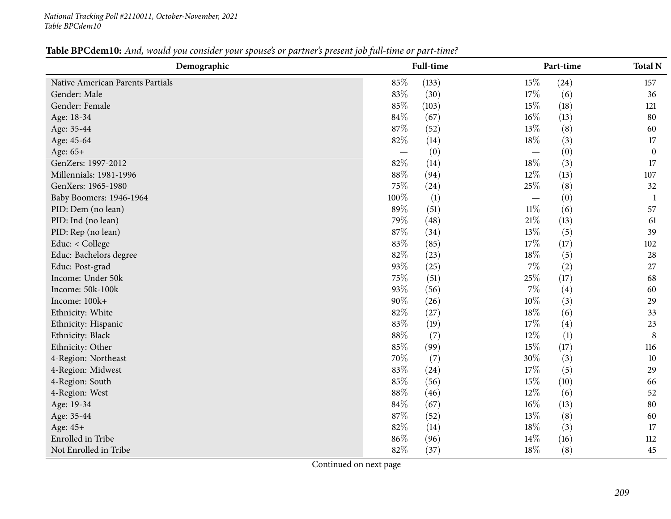| Table BPCdem10: And, would you consider your spouse's or partner's present job full-time or part-time? |
|--------------------------------------------------------------------------------------------------------|
|--------------------------------------------------------------------------------------------------------|

| Demographic                      |        | <b>Full-time</b> |        | Part-time | <b>Total N</b>   |
|----------------------------------|--------|------------------|--------|-----------|------------------|
| Native American Parents Partials | 85%    | (133)            | 15%    | (24)      | 157              |
| Gender: Male                     | 83%    | (30)             | 17%    | (6)       | 36               |
| Gender: Female                   | 85%    | (103)            | 15%    | (18)      | 121              |
| Age: 18-34                       | 84\%   | (67)             | $16\%$ | (13)      | 80               |
| Age: 35-44                       | 87%    | (52)             | 13%    | (8)       | 60               |
| Age: 45-64                       | 82%    | (14)             | 18%    | (3)       | 17               |
| Age: 65+                         |        | (0)              |        | (0)       | $\boldsymbol{0}$ |
| GenZers: 1997-2012               | 82%    | (14)             | $18\%$ | (3)       | 17               |
| Millennials: 1981-1996           | 88%    | (94)             | 12%    | (13)      | 107              |
| GenXers: 1965-1980               | 75%    | (24)             | $25\%$ | (8)       | 32               |
| Baby Boomers: 1946-1964          | 100%   | $\left(1\right)$ |        | (0)       | 1                |
| PID: Dem (no lean)               | 89%    | (51)             | $11\%$ | (6)       | 57               |
| PID: Ind (no lean)               | 79%    | (48)             | $21\%$ | (13)      | 61               |
| PID: Rep (no lean)               | 87%    | (34)             | 13%    | (5)       | 39               |
| Educ: < College                  | 83%    | (85)             | 17%    | (17)      | 102              |
| Educ: Bachelors degree           | 82%    | (23)             | $18\%$ | (5)       | 28               |
| Educ: Post-grad                  | 93%    | (25)             | $7\%$  | (2)       | 27               |
| Income: Under 50k                | 75%    | (51)             | 25%    | (17)      | 68               |
| Income: 50k-100k                 | 93%    | (56)             | $7\%$  | (4)       | 60               |
| Income: 100k+                    | 90%    | (26)             | $10\%$ | (3)       | 29               |
| Ethnicity: White                 | 82%    | (27)             | $18\%$ | (6)       | 33               |
| Ethnicity: Hispanic              | 83%    | (19)             | $17\%$ | (4)       | 23               |
| Ethnicity: Black                 | 88%    | (7)              | $12\%$ | (1)       | $\, 8$           |
| Ethnicity: Other                 | 85%    | (99)             | 15%    | (17)      | 116              |
| 4-Region: Northeast              | 70%    | (7)              | 30%    | (3)       | 10               |
| 4-Region: Midwest                | 83%    | (24)             | 17%    | (5)       | 29               |
| 4-Region: South                  | 85%    | (56)             | 15%    | (10)      | 66               |
| 4-Region: West                   | $88\%$ | (46)             | $12\%$ | (6)       | 52               |
| Age: 19-34                       | 84%    | (67)             | $16\%$ | (13)      | 80               |
| Age: 35-44                       | 87%    | (52)             | 13%    | (8)       | 60               |
| Age: 45+                         | 82%    | (14)             | 18%    | (3)       | 17               |
| Enrolled in Tribe                | 86%    | (96)             | 14\%   | (16)      | 112              |
| Not Enrolled in Tribe            | 82%    | (37)             | 18%    | (8)       | 45               |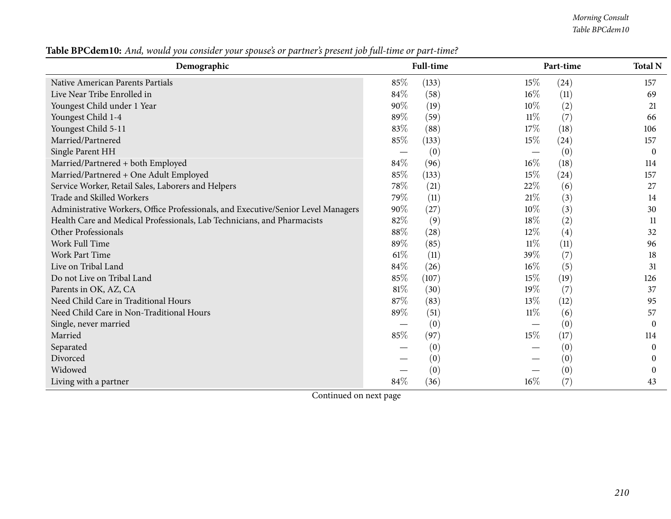*Morning Consult Table BPCdem10*

| Demographic                                                                       |      | <b>Full-time</b> |        | Part-time          | <b>Total N</b> |
|-----------------------------------------------------------------------------------|------|------------------|--------|--------------------|----------------|
| Native American Parents Partials                                                  | 85%  | (133)            | 15%    | (24)               | 157            |
| Live Near Tribe Enrolled in                                                       | 84\% | (58)             | $16\%$ | (11)               | 69             |
| Youngest Child under 1 Year                                                       | 90%  | (19)             | $10\%$ | (2)                | 21             |
| Youngest Child 1-4                                                                | 89%  | (59)             | $11\%$ | (7)                | 66             |
| Youngest Child 5-11                                                               | 83%  | (88)             | 17%    | (18)               | 106            |
| Married/Partnered                                                                 | 85%  | (133)            | 15\%   | $\left( 24\right)$ | 157            |
| Single Parent HH                                                                  |      | (0)              |        | (0)                | $\theta$       |
| Married/Partnered + both Employed                                                 | 84%  | (96)             | $16\%$ | (18)               | 114            |
| Married/Partnered + One Adult Employed                                            | 85%  | (133)            | 15%    | (24)               | 157            |
| Service Worker, Retail Sales, Laborers and Helpers                                | 78%  | (21)             | 22%    | (6)                | 27             |
| Trade and Skilled Workers                                                         | 79%  | (11)             | 21%    | (3)                | 14             |
| Administrative Workers, Office Professionals, and Executive/Senior Level Managers | 90%  | (27)             | $10\%$ | (3)                | 30             |
| Health Care and Medical Professionals, Lab Technicians, and Pharmacists           | 82%  | (9)              | 18%    | (2)                | 11             |
| Other Professionals                                                               | 88%  | (28)             | 12%    | $\left( 4\right)$  | 32             |
| Work Full Time                                                                    | 89%  | (85)             | $11\%$ | (11)               | 96             |
| <b>Work Part Time</b>                                                             | 61%  | (11)             | 39%    | (7)                | 18             |
| Live on Tribal Land                                                               | 84%  | (26)             | 16%    | (5)                | 31             |
| Do not Live on Tribal Land                                                        | 85%  | (107)            | 15%    | (19)               | 126            |
| Parents in OK, AZ, CA                                                             | 81%  | (30)             | 19%    | (7)                | 37             |
| Need Child Care in Traditional Hours                                              | 87%  | (83)             | 13\%   | (12)               | 95             |
| Need Child Care in Non-Traditional Hours                                          | 89%  | (51)             | 11%    | (6)                | 57             |
| Single, never married                                                             |      | (0)              |        | (0)                | $\theta$       |
| Married                                                                           | 85%  | (97)             | 15%    | (17)               | 114            |
| Separated                                                                         |      | (0)              |        | (0)                | $\Omega$       |
| Divorced                                                                          |      | (0)              |        | (0)                | 0              |
| Widowed                                                                           |      | (0)              |        | (0)                | $\Omega$       |
| Living with a partner                                                             | 84%  | (36)             | $16\%$ | (7)                | 43             |

Table BPCdem10: And, would you consider your spouse's or partner's present job full-time or part-time?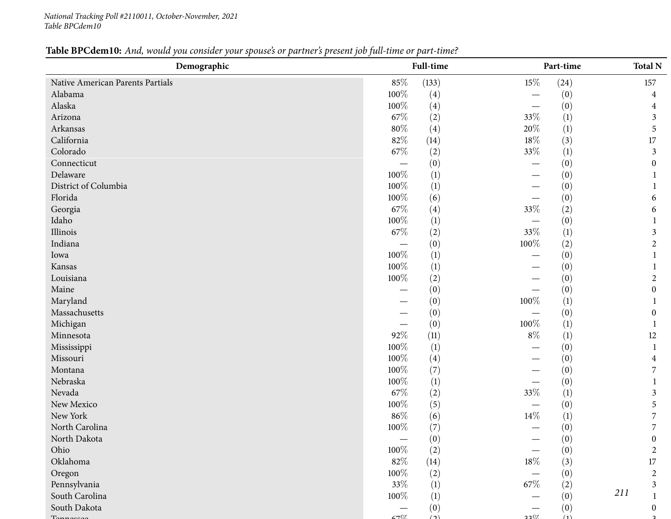#### Table BPCdem10: And, would you consider your spouse's or partner's present job full-time or part-time?

| Demographic                      |         | Full-time        |         | Part-time        | <b>Total N</b> |
|----------------------------------|---------|------------------|---------|------------------|----------------|
| Native American Parents Partials | $85\%$  | (133)            | $15\%$  | (24)             | 157            |
| Alabama                          | 100%    | (4)              |         | (0)              | 4              |
| Alaska                           | 100%    | (4)              |         | (0)              | 4              |
| Arizona                          | 67\%    | (2)              | 33%     | (1)              | 3              |
| Arkansas                         | $80\%$  | (4)              | $20\%$  | $\left(1\right)$ | 5              |
| California                       | $82\%$  | (14)             | $18\%$  | (3)              | $17\,$         |
| Colorado                         | 67\%    | (2)              | 33%     | (1)              | 3              |
| Connecticut                      |         | (0)              |         | (0)              | $\Omega$       |
| Delaware                         | 100%    | $\left(1\right)$ |         | (0)              |                |
| District of Columbia             | 100%    | $\left(1\right)$ |         | (0)              |                |
| Florida                          | 100%    | (6)              |         | (0)              | 6              |
| Georgia                          | 67\%    | (4)              | 33%     | (2)              | 6              |
| Idaho                            | 100%    | (1)              |         | (0)              |                |
| Illinois                         | $67\%$  | (2)              | 33%     | (1)              | 3              |
| Indiana                          |         | (0)              | $100\%$ | (2)              | 2              |
| Iowa                             | 100%    | (1)              |         | (0)              |                |
| Kansas                           | 100%    | (1)              |         | (0)              |                |
| Louisiana                        | 100%    | (2)              |         | (0)              | $\overline{c}$ |
| Maine                            |         | (0)              |         | (0)              | $\overline{0}$ |
| Maryland                         |         | (0)              | 100%    | $\left(1\right)$ |                |
| Massachusetts                    |         | (0)              |         | (0)              | 0              |
| Michigan                         |         | (0)              | $100\%$ | (1)              |                |
| Minnesota                        | 92%     | (11)             | $8\%$   | (1)              | 12             |
| Mississippi                      | 100%    | (1)              |         | (0)              |                |
| Missouri                         | 100%    | (4)              |         | (0)              | 4              |
| Montana                          | 100%    | (7)              |         | (0)              | 7              |
| Nebraska                         | 100%    | (1)              |         | (0)              |                |
| Nevada                           | 67%     | (2)              | 33%     | $\left(1\right)$ | 3              |
| New Mexico                       | 100%    | (5)              |         | (0)              | 5              |
| New York                         | $86\%$  | (6)              | $14\%$  | (1)              |                |
| North Carolina                   | $100\%$ | (7)              |         | (0)              | 7              |
| North Dakota                     |         | (0)              |         | (0)              | 0              |
| Ohio                             | 100%    | (2)              |         | (0)              | $\overline{2}$ |
| Oklahoma                         | $82\%$  | (14)             | $18\%$  | (3)              | $17\,$         |
| Oregon                           | 100%    | (2)              |         | (0)              | $\overline{2}$ |
| Pennsylvania                     | 33%     | (1)              | 67\%    | (2)              | 3              |
| South Carolina                   | 100%    | $\left(1\right)$ |         | (0)              | 211            |
| South Dakota                     |         | (0)              |         | (0)              |                |
|                                  | 1707    | $\Delta$         | 2207    | (1)              |                |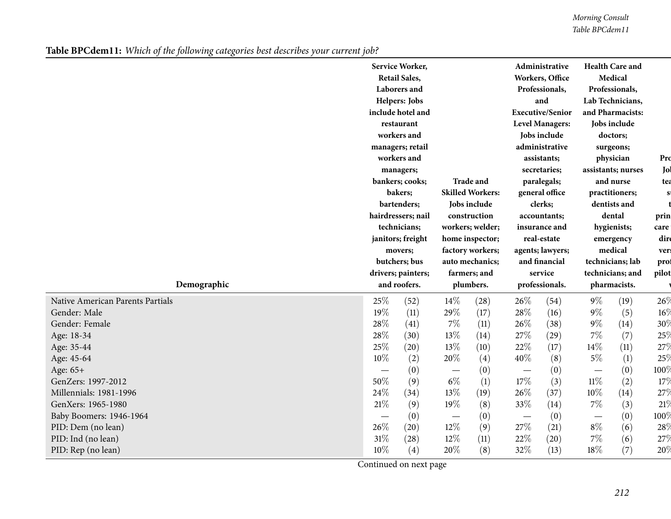*Morning Consult Table BPCdem11*

Table BPCdem11: Which of the following categories best describes your current job?

|                                  |      | Service Worker,<br><b>Retail Sales,</b><br>Laborers and<br>Helpers: Jobs<br>include hotel and<br>restaurant<br>workers and<br>managers; retail<br>workers and<br>managers;<br>bankers; cooks;<br>bakers;<br>bartenders;<br>hairdressers; nail<br>technicians;<br>janitors; freight<br>movers;<br>butchers; bus |                          | <b>Trade and</b><br><b>Skilled Workers:</b><br>Jobs include<br>construction<br>workers; welder;<br>home inspector;<br>factory workers;<br>auto mechanics; |                          | Administrative<br>Workers, Office<br>Professionals,<br>and<br><b>Executive/Senior</b><br><b>Level Managers:</b><br>Jobs include<br>administrative<br>assistants;<br>secretaries;<br>paralegals;<br>general office<br>clerks;<br>accountants;<br>insurance and<br>real-estate<br>agents; lawyers;<br>and financial |                          | <b>Health Care and</b><br>Medical<br>Professionals,<br>Lab Technicians,<br>and Pharmacists:<br>Jobs include<br>doctors;<br>surgeons;<br>physician<br>assistants; nurses<br>and nurse<br>practitioners;<br>dentists and<br>dental<br>hygienists;<br>emergency<br>medical<br>technicians; lab | Pro<br>Jol<br>tea<br>$\mathbf{s}$<br>prin<br>care<br>dire<br>vers<br>prof |
|----------------------------------|------|----------------------------------------------------------------------------------------------------------------------------------------------------------------------------------------------------------------------------------------------------------------------------------------------------------------|--------------------------|-----------------------------------------------------------------------------------------------------------------------------------------------------------|--------------------------|-------------------------------------------------------------------------------------------------------------------------------------------------------------------------------------------------------------------------------------------------------------------------------------------------------------------|--------------------------|---------------------------------------------------------------------------------------------------------------------------------------------------------------------------------------------------------------------------------------------------------------------------------------------|---------------------------------------------------------------------------|
| Demographic                      |      | drivers; painters;<br>and roofers.                                                                                                                                                                                                                                                                             |                          | farmers; and<br>plumbers.                                                                                                                                 |                          | service<br>professionals.                                                                                                                                                                                                                                                                                         |                          | technicians; and<br>pharmacists.                                                                                                                                                                                                                                                            | pilot                                                                     |
| Native American Parents Partials | 25%  | (52)                                                                                                                                                                                                                                                                                                           | $14\%$                   | (28)                                                                                                                                                      | 26%                      | (54)                                                                                                                                                                                                                                                                                                              | $9\%$                    | (19)                                                                                                                                                                                                                                                                                        | 26%                                                                       |
| Gender: Male                     | 19%  | (11)                                                                                                                                                                                                                                                                                                           | 29%                      | (17)                                                                                                                                                      | 28%                      | (16)                                                                                                                                                                                                                                                                                                              | $9\%$                    | (5)                                                                                                                                                                                                                                                                                         | 16%                                                                       |
| Gender: Female                   | 28%  | (41)                                                                                                                                                                                                                                                                                                           | $7\%$                    | (11)                                                                                                                                                      | 26%                      | (38)                                                                                                                                                                                                                                                                                                              | 9%                       | (14)                                                                                                                                                                                                                                                                                        | $30\%$                                                                    |
| Age: 18-34                       | 28%  | (30)                                                                                                                                                                                                                                                                                                           | 13%                      | (14)                                                                                                                                                      | 27%                      | (29)                                                                                                                                                                                                                                                                                                              | 7%                       | (7)                                                                                                                                                                                                                                                                                         | 25%                                                                       |
| Age: 35-44                       | 25%  | (20)                                                                                                                                                                                                                                                                                                           | 13\%                     | (10)                                                                                                                                                      | 22%                      | (17)                                                                                                                                                                                                                                                                                                              | 14\%                     | (11)                                                                                                                                                                                                                                                                                        | 27%                                                                       |
| Age: 45-64                       | 10%  | (2)                                                                                                                                                                                                                                                                                                            | 20%                      | (4)                                                                                                                                                       | 40%                      | (8)                                                                                                                                                                                                                                                                                                               | $5\%$                    | (1)                                                                                                                                                                                                                                                                                         | 25%                                                                       |
| Age: 65+                         |      | (0)                                                                                                                                                                                                                                                                                                            | $\overline{\phantom{m}}$ | (0)                                                                                                                                                       | $\overline{\phantom{m}}$ | (0)                                                                                                                                                                                                                                                                                                               | $\overline{\phantom{m}}$ | (0)                                                                                                                                                                                                                                                                                         | 100%                                                                      |
| GenZers: 1997-2012               | 50%  | (9)                                                                                                                                                                                                                                                                                                            | $6\%$                    | (1)                                                                                                                                                       | 17%                      | (3)                                                                                                                                                                                                                                                                                                               | $11\%$                   | (2)                                                                                                                                                                                                                                                                                         | 17%                                                                       |
| Millennials: 1981-1996           | 24%  | (34)                                                                                                                                                                                                                                                                                                           | 13%                      | (19)                                                                                                                                                      | 26%                      | (37)                                                                                                                                                                                                                                                                                                              | 10%                      | (14)                                                                                                                                                                                                                                                                                        | 27%                                                                       |
| GenXers: 1965-1980               | 21\% | (9)                                                                                                                                                                                                                                                                                                            | 19%                      | (8)                                                                                                                                                       | 33%                      | (14)                                                                                                                                                                                                                                                                                                              | 7%                       | (3)                                                                                                                                                                                                                                                                                         | 21%                                                                       |
| Baby Boomers: 1946-1964          |      | (0)                                                                                                                                                                                                                                                                                                            |                          | (0)                                                                                                                                                       | $\overline{\phantom{m}}$ | (0)                                                                                                                                                                                                                                                                                                               | $\overline{\phantom{m}}$ | (0)                                                                                                                                                                                                                                                                                         | 100%                                                                      |
| PID: Dem (no lean)               | 26%  | (20)                                                                                                                                                                                                                                                                                                           | 12\%                     | (9)                                                                                                                                                       | 27%                      | (21)                                                                                                                                                                                                                                                                                                              | $8\%$                    | (6)                                                                                                                                                                                                                                                                                         | 28 <sup>0</sup>                                                           |
| PID: Ind (no lean)               | 31%  | (28)                                                                                                                                                                                                                                                                                                           | $12\%$                   | (11)                                                                                                                                                      | 22%                      | (20)                                                                                                                                                                                                                                                                                                              | 7%                       | (6)                                                                                                                                                                                                                                                                                         | 27%                                                                       |
| PID: Rep (no lean)               | 10%  | (4)                                                                                                                                                                                                                                                                                                            | 20%                      | (8)                                                                                                                                                       | 32%                      | (13)                                                                                                                                                                                                                                                                                                              | 18%                      | (7)                                                                                                                                                                                                                                                                                         | 20%                                                                       |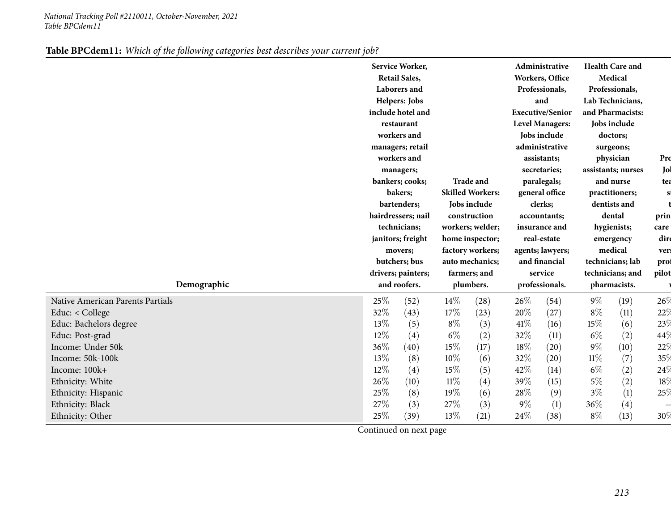|--|

| Demographic                      |     | Service Worker,<br><b>Retail Sales,</b><br>Laborers and<br>Helpers: Jobs<br>include hotel and<br>restaurant<br>workers and<br>managers; retail<br>workers and<br>managers;<br>bankers; cooks;<br>bakers;<br>bartenders;<br>hairdressers; nail<br>technicians;<br>janitors; freight<br>movers;<br>butchers; bus<br>drivers; painters;<br>and roofers. |        | <b>Trade and</b><br><b>Skilled Workers:</b><br>Jobs include<br>construction<br>workers; welder;<br>home inspector;<br>factory workers;<br>auto mechanics;<br>farmers; and<br>plumbers. |       | Administrative<br>Workers, Office<br>Professionals,<br>and<br><b>Executive/Senior</b><br><b>Level Managers:</b><br>Jobs include<br>administrative<br>assistants;<br>secretaries;<br>paralegals;<br>general office<br>clerks;<br>accountants;<br>insurance and<br>real-estate<br>agents; lawyers;<br>and financial<br>service<br>professionals. |        | <b>Health Care and</b><br>Medical<br>Professionals,<br>Lab Technicians,<br>and Pharmacists:<br>Jobs include<br>doctors;<br>surgeons;<br>physician<br>assistants; nurses<br>and nurse<br>practitioners;<br>dentists and<br>dental<br>hygienists;<br>emergency<br>medical<br>technicians; lab<br>technicians; and<br>pharmacists. | Pro<br>Jol<br>tea<br>$\mathbf{s}$<br>prin<br>care<br>dire<br>ver:<br>prof<br>pilot |
|----------------------------------|-----|------------------------------------------------------------------------------------------------------------------------------------------------------------------------------------------------------------------------------------------------------------------------------------------------------------------------------------------------------|--------|----------------------------------------------------------------------------------------------------------------------------------------------------------------------------------------|-------|------------------------------------------------------------------------------------------------------------------------------------------------------------------------------------------------------------------------------------------------------------------------------------------------------------------------------------------------|--------|---------------------------------------------------------------------------------------------------------------------------------------------------------------------------------------------------------------------------------------------------------------------------------------------------------------------------------|------------------------------------------------------------------------------------|
| Native American Parents Partials | 25% | (52)                                                                                                                                                                                                                                                                                                                                                 | $14\%$ | (28)                                                                                                                                                                                   | 26%   | (54)                                                                                                                                                                                                                                                                                                                                           | $9\%$  | (19)                                                                                                                                                                                                                                                                                                                            | 26%                                                                                |
| Educ: < College                  | 32% | (43)                                                                                                                                                                                                                                                                                                                                                 | 17%    | (23)                                                                                                                                                                                   | 20%   | (27)                                                                                                                                                                                                                                                                                                                                           | $8\%$  | (11)                                                                                                                                                                                                                                                                                                                            | 22%                                                                                |
| Educ: Bachelors degree           | 13% | (5)                                                                                                                                                                                                                                                                                                                                                  | $8\%$  | (3)                                                                                                                                                                                    | 41\%  | (16)                                                                                                                                                                                                                                                                                                                                           | 15%    | (6)                                                                                                                                                                                                                                                                                                                             | 23%                                                                                |
| Educ: Post-grad                  | 12% | (4)                                                                                                                                                                                                                                                                                                                                                  | $6\%$  | (2)                                                                                                                                                                                    | 32%   | (11)                                                                                                                                                                                                                                                                                                                                           | $6\%$  | (2)                                                                                                                                                                                                                                                                                                                             | 44\                                                                                |
| Income: Under 50k                | 36% | (40)                                                                                                                                                                                                                                                                                                                                                 | 15%    | (17)                                                                                                                                                                                   | 18%   | (20)                                                                                                                                                                                                                                                                                                                                           | $9\%$  | (10)                                                                                                                                                                                                                                                                                                                            | 22%                                                                                |
| Income: 50k-100k                 | 13% | (8)                                                                                                                                                                                                                                                                                                                                                  | 10%    | (6)                                                                                                                                                                                    | 32%   | (20)                                                                                                                                                                                                                                                                                                                                           | $11\%$ | (7)                                                                                                                                                                                                                                                                                                                             | 35%                                                                                |
| Income: 100k+                    | 12% | (4)                                                                                                                                                                                                                                                                                                                                                  | 15%    | (5)                                                                                                                                                                                    | 42%   | (14)                                                                                                                                                                                                                                                                                                                                           | $6\%$  | (2)                                                                                                                                                                                                                                                                                                                             | 24%                                                                                |
| Ethnicity: White                 | 26% | (10)                                                                                                                                                                                                                                                                                                                                                 | $11\%$ | (4)                                                                                                                                                                                    | 39%   | (15)                                                                                                                                                                                                                                                                                                                                           | $5\%$  | (2)                                                                                                                                                                                                                                                                                                                             | 18 <sup>°</sup>                                                                    |
| Ethnicity: Hispanic              | 25% | (8)                                                                                                                                                                                                                                                                                                                                                  | 19%    | (6)                                                                                                                                                                                    | 28\%  | (9)                                                                                                                                                                                                                                                                                                                                            | $3\%$  | (1)                                                                                                                                                                                                                                                                                                                             | 25%                                                                                |
| Ethnicity: Black                 | 27% | (3)                                                                                                                                                                                                                                                                                                                                                  | 27\%   | (3)                                                                                                                                                                                    | $9\%$ | (1)                                                                                                                                                                                                                                                                                                                                            | 36%    | (4)                                                                                                                                                                                                                                                                                                                             |                                                                                    |
| Ethnicity: Other                 | 25% | (39)                                                                                                                                                                                                                                                                                                                                                 | 13\%   | (21)                                                                                                                                                                                   | 24\%  | (38)                                                                                                                                                                                                                                                                                                                                           | $8\%$  | (13)                                                                                                                                                                                                                                                                                                                            | 30%                                                                                |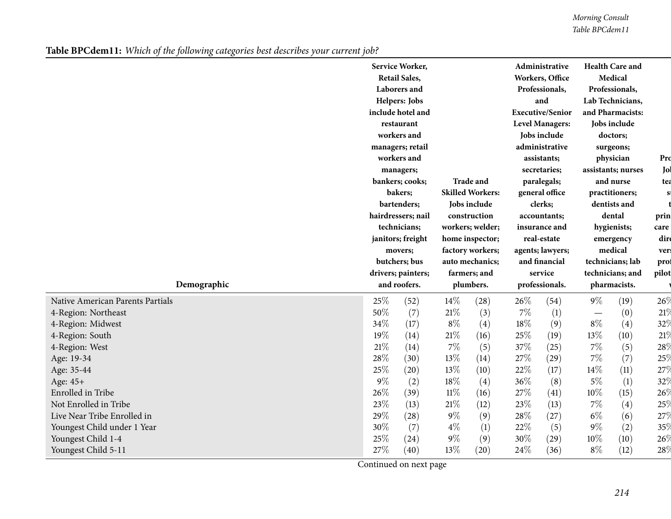*Morning Consult Table BPCdem11*

Table BPCdem11: Which of the following categories best describes your current job?

|                                  |                                    | Service Worker,<br><b>Retail Sales,</b><br>Laborers and<br>Helpers: Jobs<br>include hotel and<br>restaurant<br>workers and<br>managers; retail<br>workers and<br>managers;<br>bankers; cooks;<br>bakers;<br>bartenders;<br>hairdressers; nail<br>technicians;<br>janitors; freight<br>movers;<br>butchers; bus |                           | <b>Trade and</b><br><b>Skilled Workers:</b><br>Jobs include<br>construction<br>workers; welder;<br>home inspector;<br>factory workers;<br>auto mechanics; |                           | Administrative<br>Workers, Office<br>Professionals,<br>and<br><b>Executive/Senior</b><br><b>Level Managers:</b><br>Jobs include<br>administrative<br>assistants;<br>secretaries;<br>paralegals;<br>general office<br>clerks;<br>accountants;<br>insurance and<br>real-estate<br>agents; lawyers;<br>and financial |                                  | <b>Health Care and</b><br>Medical<br>Professionals,<br>Lab Technicians,<br>and Pharmacists:<br>Jobs include<br>doctors;<br>surgeons;<br>physician<br>assistants; nurses<br>and nurse<br>practitioners;<br>dentists and<br>dental<br>hygienists;<br>emergency<br>medical<br>technicians; lab | Pro<br>Jol<br>tea<br>$\mathbf{s}$<br>prin<br>care<br>dire<br>vers<br>prof |
|----------------------------------|------------------------------------|----------------------------------------------------------------------------------------------------------------------------------------------------------------------------------------------------------------------------------------------------------------------------------------------------------------|---------------------------|-----------------------------------------------------------------------------------------------------------------------------------------------------------|---------------------------|-------------------------------------------------------------------------------------------------------------------------------------------------------------------------------------------------------------------------------------------------------------------------------------------------------------------|----------------------------------|---------------------------------------------------------------------------------------------------------------------------------------------------------------------------------------------------------------------------------------------------------------------------------------------|---------------------------------------------------------------------------|
| Demographic                      | drivers; painters;<br>and roofers. |                                                                                                                                                                                                                                                                                                                | farmers; and<br>plumbers. |                                                                                                                                                           | service<br>professionals. |                                                                                                                                                                                                                                                                                                                   | technicians; and<br>pharmacists. |                                                                                                                                                                                                                                                                                             | pilot                                                                     |
| Native American Parents Partials | 25%                                | (52)                                                                                                                                                                                                                                                                                                           | $14\%$                    | (28)                                                                                                                                                      | 26%                       | (54)                                                                                                                                                                                                                                                                                                              | $9\%$                            | (19)                                                                                                                                                                                                                                                                                        | 26%                                                                       |
| 4-Region: Northeast              | 50%                                | (7)                                                                                                                                                                                                                                                                                                            | $21\%$                    | (3)                                                                                                                                                       | $7\%$                     | (1)                                                                                                                                                                                                                                                                                                               |                                  | (0)                                                                                                                                                                                                                                                                                         | 21%                                                                       |
| 4-Region: Midwest                | 34%                                | (17)                                                                                                                                                                                                                                                                                                           | $8\%$                     | (4)                                                                                                                                                       | 18%                       | (9)                                                                                                                                                                                                                                                                                                               | $8\%$                            | (4)                                                                                                                                                                                                                                                                                         | 32%                                                                       |
| 4-Region: South                  | 19%                                | (14)                                                                                                                                                                                                                                                                                                           | $21\%$                    | (16)                                                                                                                                                      | 25%                       | (19)                                                                                                                                                                                                                                                                                                              | 13%                              | (10)                                                                                                                                                                                                                                                                                        | 21%                                                                       |
| 4-Region: West                   | $21\%$                             | (14)                                                                                                                                                                                                                                                                                                           | 7%                        | (5)                                                                                                                                                       | 37%                       | (25)                                                                                                                                                                                                                                                                                                              | $7\%$                            | (5)                                                                                                                                                                                                                                                                                         | 28 <sup>0</sup>                                                           |
| Age: 19-34                       | 28%                                | (30)                                                                                                                                                                                                                                                                                                           | 13%                       | (14)                                                                                                                                                      | 27%                       | (29)                                                                                                                                                                                                                                                                                                              | $7\%$                            | (7)                                                                                                                                                                                                                                                                                         | 25%                                                                       |
| Age: 35-44                       | 25%                                | (20)                                                                                                                                                                                                                                                                                                           | 13%                       | (10)                                                                                                                                                      | 22%                       | (17)                                                                                                                                                                                                                                                                                                              | 14\%                             | (11)                                                                                                                                                                                                                                                                                        | 27%                                                                       |
| Age: 45+                         | $9\%$                              | (2)                                                                                                                                                                                                                                                                                                            | 18%                       | (4)                                                                                                                                                       | 36%                       | (8)                                                                                                                                                                                                                                                                                                               | $5\%$                            | (1)                                                                                                                                                                                                                                                                                         | 32 <sup>0</sup>                                                           |
| Enrolled in Tribe                | 26%                                | (39)                                                                                                                                                                                                                                                                                                           | $11\%$                    | (16)                                                                                                                                                      | 27%                       | (41)                                                                                                                                                                                                                                                                                                              | $10\%$                           | (15)                                                                                                                                                                                                                                                                                        | 26%                                                                       |
| Not Enrolled in Tribe            | 23%                                | (13)                                                                                                                                                                                                                                                                                                           | $21\%$                    | (12)                                                                                                                                                      | 23%                       | (13)                                                                                                                                                                                                                                                                                                              | $7\%$                            | (4)                                                                                                                                                                                                                                                                                         | 25%                                                                       |
| Live Near Tribe Enrolled in      | 29%                                | (28)                                                                                                                                                                                                                                                                                                           | $9\%$                     | (9)                                                                                                                                                       | 28%                       | (27)                                                                                                                                                                                                                                                                                                              | $6\%$                            | (6)                                                                                                                                                                                                                                                                                         | 27%                                                                       |
| Youngest Child under 1 Year      | 30%                                | (7)                                                                                                                                                                                                                                                                                                            | $4\%$                     | (1)                                                                                                                                                       | 22%                       | (5)                                                                                                                                                                                                                                                                                                               | $9\%$                            | (2)                                                                                                                                                                                                                                                                                         | 35%                                                                       |
| Youngest Child 1-4               | 25%                                | (24)                                                                                                                                                                                                                                                                                                           | $9\%$                     | (9)                                                                                                                                                       | 30%                       | (29)                                                                                                                                                                                                                                                                                                              | 10%                              | (10)                                                                                                                                                                                                                                                                                        | $26^{\circ}$                                                              |
| Youngest Child 5-11              | 27%                                | (40)                                                                                                                                                                                                                                                                                                           | 13%                       | (20)                                                                                                                                                      | 24%                       | (36)                                                                                                                                                                                                                                                                                                              | $8\%$                            | (12)                                                                                                                                                                                                                                                                                        | 28 <sup>0</sup>                                                           |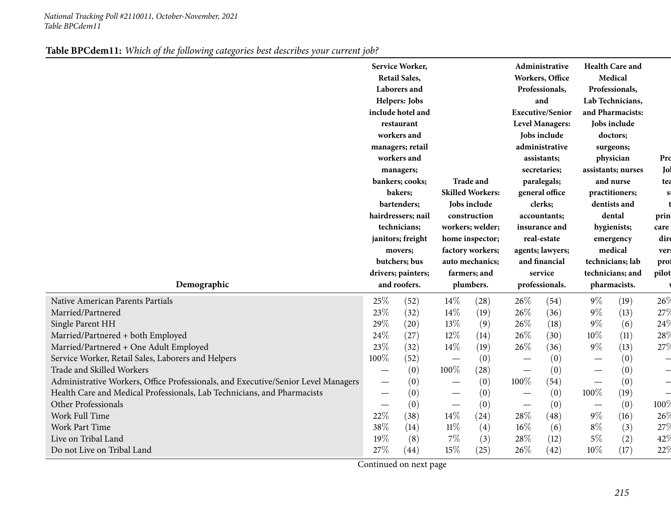| Medical<br><b>Retail Sales,</b><br>Workers, Office<br>Laborers and<br>Professionals,<br>Professionals,<br>Helpers: Jobs<br>Lab Technicians,<br>and<br><b>Executive/Senior</b><br>include hotel and<br>and Pharmacists:<br><b>Level Managers:</b><br>Jobs include<br>restaurant<br>workers and<br>Jobs include<br>doctors;<br>administrative<br>managers; retail<br>surgeons;<br>workers and<br>physician<br>assistants;<br>secretaries;<br>assistants; nurses<br>managers;<br><b>Trade and</b><br>bankers; cooks;<br>paralegals;<br>and nurse<br><b>Skilled Workers:</b><br>bakers;<br>general office<br>practitioners;<br>bartenders;<br>Jobs include<br>clerks;<br>dentists and<br>hairdressers; nail<br>construction<br>dental<br>accountants;<br>technicians;<br>workers; welder;<br>insurance and<br>hygienists;<br>janitors; freight<br>home inspector;<br>real-estate<br>emergency<br>medical<br>factory workers;<br>agents; lawyers;<br>movers;<br>and financial<br>butchers; bus<br>auto mechanics;<br>technicians; lab<br>drivers; painters;<br>farmers; and<br>service<br>technicians; and<br>Demographic<br>and roofers.<br>plumbers.<br>professionals.<br>pharmacists.<br>25%<br>$9\%$<br>14%<br>26\%<br>(19)<br>(52)<br>(28)<br>(54)<br>23%<br>26%<br>$9\%$<br>14%<br>(13)<br>(32)<br>(19)<br>(36)<br>29%<br>$9\%$<br>13%<br>26%<br>(18)<br>(6)<br>(20)<br>(9)<br>24%<br>12%<br>26%<br>$10\%$<br>(11)<br>(27)<br>(30)<br>(14)<br>23%<br>14%<br>26%<br>$9\%$<br>(13)<br>(32)<br>(19)<br>(36)<br>100%<br>(0)<br>(52)<br>(0)<br>(0)<br>$\overbrace{\phantom{123221111}}$<br>100%<br>(0)<br>(0)<br>(28)<br>(0)<br>100%<br>(0)<br>(0)<br>(54)<br>(0)<br>100%<br>(19)<br>(0)<br>(0)<br>(0)<br>$\overline{\phantom{0}}$<br>(0)<br>(0)<br>(0)<br>(0)<br>22%<br>14\%<br>28%<br>$9\%$<br>(38)<br>(48)<br>(24)<br>(16)<br>38%<br>$11\%$<br>$8\%$<br>$16\%$<br>(6)<br>(3)<br>(14)<br>$\left( 4\right)$<br>19%<br>7%<br>28%<br>$5\%$<br>(2)<br>(8)<br>(3)<br>(12)<br>27%<br>26%<br>10%<br>22%<br>15%<br>(17)<br>Do not Live on Tribal Land<br>(44)<br>(25)<br>(42) |                                                                                   |  | Service Worker, |  |  |  | Administrative |  | <b>Health Care and</b> |                          |
|---------------------------------------------------------------------------------------------------------------------------------------------------------------------------------------------------------------------------------------------------------------------------------------------------------------------------------------------------------------------------------------------------------------------------------------------------------------------------------------------------------------------------------------------------------------------------------------------------------------------------------------------------------------------------------------------------------------------------------------------------------------------------------------------------------------------------------------------------------------------------------------------------------------------------------------------------------------------------------------------------------------------------------------------------------------------------------------------------------------------------------------------------------------------------------------------------------------------------------------------------------------------------------------------------------------------------------------------------------------------------------------------------------------------------------------------------------------------------------------------------------------------------------------------------------------------------------------------------------------------------------------------------------------------------------------------------------------------------------------------------------------------------------------------------------------------------------------------------------------------------------------------------------------------------------------------------------------------------------------------------------------------------------------------------------------------|-----------------------------------------------------------------------------------|--|-----------------|--|--|--|----------------|--|------------------------|--------------------------|
|                                                                                                                                                                                                                                                                                                                                                                                                                                                                                                                                                                                                                                                                                                                                                                                                                                                                                                                                                                                                                                                                                                                                                                                                                                                                                                                                                                                                                                                                                                                                                                                                                                                                                                                                                                                                                                                                                                                                                                                                                                                                     |                                                                                   |  |                 |  |  |  |                |  |                        |                          |
|                                                                                                                                                                                                                                                                                                                                                                                                                                                                                                                                                                                                                                                                                                                                                                                                                                                                                                                                                                                                                                                                                                                                                                                                                                                                                                                                                                                                                                                                                                                                                                                                                                                                                                                                                                                                                                                                                                                                                                                                                                                                     |                                                                                   |  |                 |  |  |  |                |  |                        |                          |
|                                                                                                                                                                                                                                                                                                                                                                                                                                                                                                                                                                                                                                                                                                                                                                                                                                                                                                                                                                                                                                                                                                                                                                                                                                                                                                                                                                                                                                                                                                                                                                                                                                                                                                                                                                                                                                                                                                                                                                                                                                                                     |                                                                                   |  |                 |  |  |  |                |  |                        |                          |
|                                                                                                                                                                                                                                                                                                                                                                                                                                                                                                                                                                                                                                                                                                                                                                                                                                                                                                                                                                                                                                                                                                                                                                                                                                                                                                                                                                                                                                                                                                                                                                                                                                                                                                                                                                                                                                                                                                                                                                                                                                                                     |                                                                                   |  |                 |  |  |  |                |  |                        |                          |
|                                                                                                                                                                                                                                                                                                                                                                                                                                                                                                                                                                                                                                                                                                                                                                                                                                                                                                                                                                                                                                                                                                                                                                                                                                                                                                                                                                                                                                                                                                                                                                                                                                                                                                                                                                                                                                                                                                                                                                                                                                                                     |                                                                                   |  |                 |  |  |  |                |  |                        |                          |
|                                                                                                                                                                                                                                                                                                                                                                                                                                                                                                                                                                                                                                                                                                                                                                                                                                                                                                                                                                                                                                                                                                                                                                                                                                                                                                                                                                                                                                                                                                                                                                                                                                                                                                                                                                                                                                                                                                                                                                                                                                                                     |                                                                                   |  |                 |  |  |  |                |  |                        |                          |
|                                                                                                                                                                                                                                                                                                                                                                                                                                                                                                                                                                                                                                                                                                                                                                                                                                                                                                                                                                                                                                                                                                                                                                                                                                                                                                                                                                                                                                                                                                                                                                                                                                                                                                                                                                                                                                                                                                                                                                                                                                                                     |                                                                                   |  |                 |  |  |  |                |  |                        |                          |
|                                                                                                                                                                                                                                                                                                                                                                                                                                                                                                                                                                                                                                                                                                                                                                                                                                                                                                                                                                                                                                                                                                                                                                                                                                                                                                                                                                                                                                                                                                                                                                                                                                                                                                                                                                                                                                                                                                                                                                                                                                                                     |                                                                                   |  |                 |  |  |  |                |  |                        | Pro                      |
|                                                                                                                                                                                                                                                                                                                                                                                                                                                                                                                                                                                                                                                                                                                                                                                                                                                                                                                                                                                                                                                                                                                                                                                                                                                                                                                                                                                                                                                                                                                                                                                                                                                                                                                                                                                                                                                                                                                                                                                                                                                                     |                                                                                   |  |                 |  |  |  |                |  |                        | Jol                      |
|                                                                                                                                                                                                                                                                                                                                                                                                                                                                                                                                                                                                                                                                                                                                                                                                                                                                                                                                                                                                                                                                                                                                                                                                                                                                                                                                                                                                                                                                                                                                                                                                                                                                                                                                                                                                                                                                                                                                                                                                                                                                     |                                                                                   |  |                 |  |  |  |                |  |                        | tea                      |
|                                                                                                                                                                                                                                                                                                                                                                                                                                                                                                                                                                                                                                                                                                                                                                                                                                                                                                                                                                                                                                                                                                                                                                                                                                                                                                                                                                                                                                                                                                                                                                                                                                                                                                                                                                                                                                                                                                                                                                                                                                                                     |                                                                                   |  |                 |  |  |  |                |  |                        | S                        |
|                                                                                                                                                                                                                                                                                                                                                                                                                                                                                                                                                                                                                                                                                                                                                                                                                                                                                                                                                                                                                                                                                                                                                                                                                                                                                                                                                                                                                                                                                                                                                                                                                                                                                                                                                                                                                                                                                                                                                                                                                                                                     |                                                                                   |  |                 |  |  |  |                |  |                        |                          |
|                                                                                                                                                                                                                                                                                                                                                                                                                                                                                                                                                                                                                                                                                                                                                                                                                                                                                                                                                                                                                                                                                                                                                                                                                                                                                                                                                                                                                                                                                                                                                                                                                                                                                                                                                                                                                                                                                                                                                                                                                                                                     |                                                                                   |  |                 |  |  |  |                |  |                        | prin                     |
|                                                                                                                                                                                                                                                                                                                                                                                                                                                                                                                                                                                                                                                                                                                                                                                                                                                                                                                                                                                                                                                                                                                                                                                                                                                                                                                                                                                                                                                                                                                                                                                                                                                                                                                                                                                                                                                                                                                                                                                                                                                                     |                                                                                   |  |                 |  |  |  |                |  |                        | care                     |
|                                                                                                                                                                                                                                                                                                                                                                                                                                                                                                                                                                                                                                                                                                                                                                                                                                                                                                                                                                                                                                                                                                                                                                                                                                                                                                                                                                                                                                                                                                                                                                                                                                                                                                                                                                                                                                                                                                                                                                                                                                                                     |                                                                                   |  |                 |  |  |  |                |  |                        | dire                     |
|                                                                                                                                                                                                                                                                                                                                                                                                                                                                                                                                                                                                                                                                                                                                                                                                                                                                                                                                                                                                                                                                                                                                                                                                                                                                                                                                                                                                                                                                                                                                                                                                                                                                                                                                                                                                                                                                                                                                                                                                                                                                     |                                                                                   |  |                 |  |  |  |                |  |                        | vers                     |
|                                                                                                                                                                                                                                                                                                                                                                                                                                                                                                                                                                                                                                                                                                                                                                                                                                                                                                                                                                                                                                                                                                                                                                                                                                                                                                                                                                                                                                                                                                                                                                                                                                                                                                                                                                                                                                                                                                                                                                                                                                                                     |                                                                                   |  |                 |  |  |  |                |  |                        | prof                     |
|                                                                                                                                                                                                                                                                                                                                                                                                                                                                                                                                                                                                                                                                                                                                                                                                                                                                                                                                                                                                                                                                                                                                                                                                                                                                                                                                                                                                                                                                                                                                                                                                                                                                                                                                                                                                                                                                                                                                                                                                                                                                     |                                                                                   |  |                 |  |  |  |                |  |                        | pilot                    |
|                                                                                                                                                                                                                                                                                                                                                                                                                                                                                                                                                                                                                                                                                                                                                                                                                                                                                                                                                                                                                                                                                                                                                                                                                                                                                                                                                                                                                                                                                                                                                                                                                                                                                                                                                                                                                                                                                                                                                                                                                                                                     |                                                                                   |  |                 |  |  |  |                |  |                        |                          |
|                                                                                                                                                                                                                                                                                                                                                                                                                                                                                                                                                                                                                                                                                                                                                                                                                                                                                                                                                                                                                                                                                                                                                                                                                                                                                                                                                                                                                                                                                                                                                                                                                                                                                                                                                                                                                                                                                                                                                                                                                                                                     |                                                                                   |  |                 |  |  |  |                |  |                        |                          |
|                                                                                                                                                                                                                                                                                                                                                                                                                                                                                                                                                                                                                                                                                                                                                                                                                                                                                                                                                                                                                                                                                                                                                                                                                                                                                                                                                                                                                                                                                                                                                                                                                                                                                                                                                                                                                                                                                                                                                                                                                                                                     | Native American Parents Partials                                                  |  |                 |  |  |  |                |  |                        | 26%                      |
|                                                                                                                                                                                                                                                                                                                                                                                                                                                                                                                                                                                                                                                                                                                                                                                                                                                                                                                                                                                                                                                                                                                                                                                                                                                                                                                                                                                                                                                                                                                                                                                                                                                                                                                                                                                                                                                                                                                                                                                                                                                                     | Married/Partnered                                                                 |  |                 |  |  |  |                |  |                        | 27%                      |
|                                                                                                                                                                                                                                                                                                                                                                                                                                                                                                                                                                                                                                                                                                                                                                                                                                                                                                                                                                                                                                                                                                                                                                                                                                                                                                                                                                                                                                                                                                                                                                                                                                                                                                                                                                                                                                                                                                                                                                                                                                                                     | Single Parent HH                                                                  |  |                 |  |  |  |                |  |                        | 24%                      |
|                                                                                                                                                                                                                                                                                                                                                                                                                                                                                                                                                                                                                                                                                                                                                                                                                                                                                                                                                                                                                                                                                                                                                                                                                                                                                                                                                                                                                                                                                                                                                                                                                                                                                                                                                                                                                                                                                                                                                                                                                                                                     | Married/Partnered + both Employed                                                 |  |                 |  |  |  |                |  |                        | 28 <sup>0</sup>          |
|                                                                                                                                                                                                                                                                                                                                                                                                                                                                                                                                                                                                                                                                                                                                                                                                                                                                                                                                                                                                                                                                                                                                                                                                                                                                                                                                                                                                                                                                                                                                                                                                                                                                                                                                                                                                                                                                                                                                                                                                                                                                     | Married/Partnered + One Adult Employed                                            |  |                 |  |  |  |                |  |                        | 27%                      |
|                                                                                                                                                                                                                                                                                                                                                                                                                                                                                                                                                                                                                                                                                                                                                                                                                                                                                                                                                                                                                                                                                                                                                                                                                                                                                                                                                                                                                                                                                                                                                                                                                                                                                                                                                                                                                                                                                                                                                                                                                                                                     | Service Worker, Retail Sales, Laborers and Helpers                                |  |                 |  |  |  |                |  |                        | $\overline{\phantom{0}}$ |
|                                                                                                                                                                                                                                                                                                                                                                                                                                                                                                                                                                                                                                                                                                                                                                                                                                                                                                                                                                                                                                                                                                                                                                                                                                                                                                                                                                                                                                                                                                                                                                                                                                                                                                                                                                                                                                                                                                                                                                                                                                                                     | Trade and Skilled Workers                                                         |  |                 |  |  |  |                |  |                        | $\overline{\phantom{0}}$ |
|                                                                                                                                                                                                                                                                                                                                                                                                                                                                                                                                                                                                                                                                                                                                                                                                                                                                                                                                                                                                                                                                                                                                                                                                                                                                                                                                                                                                                                                                                                                                                                                                                                                                                                                                                                                                                                                                                                                                                                                                                                                                     | Administrative Workers, Office Professionals, and Executive/Senior Level Managers |  |                 |  |  |  |                |  |                        | $\overline{\phantom{0}}$ |
|                                                                                                                                                                                                                                                                                                                                                                                                                                                                                                                                                                                                                                                                                                                                                                                                                                                                                                                                                                                                                                                                                                                                                                                                                                                                                                                                                                                                                                                                                                                                                                                                                                                                                                                                                                                                                                                                                                                                                                                                                                                                     | Health Care and Medical Professionals, Lab Technicians, and Pharmacists           |  |                 |  |  |  |                |  |                        | $\frac{1}{2}$            |
|                                                                                                                                                                                                                                                                                                                                                                                                                                                                                                                                                                                                                                                                                                                                                                                                                                                                                                                                                                                                                                                                                                                                                                                                                                                                                                                                                                                                                                                                                                                                                                                                                                                                                                                                                                                                                                                                                                                                                                                                                                                                     | Other Professionals                                                               |  |                 |  |  |  |                |  |                        | 100 $\%$                 |
|                                                                                                                                                                                                                                                                                                                                                                                                                                                                                                                                                                                                                                                                                                                                                                                                                                                                                                                                                                                                                                                                                                                                                                                                                                                                                                                                                                                                                                                                                                                                                                                                                                                                                                                                                                                                                                                                                                                                                                                                                                                                     | Work Full Time                                                                    |  |                 |  |  |  |                |  |                        | 26%                      |
|                                                                                                                                                                                                                                                                                                                                                                                                                                                                                                                                                                                                                                                                                                                                                                                                                                                                                                                                                                                                                                                                                                                                                                                                                                                                                                                                                                                                                                                                                                                                                                                                                                                                                                                                                                                                                                                                                                                                                                                                                                                                     | Work Part Time                                                                    |  |                 |  |  |  |                |  |                        | 27%                      |
|                                                                                                                                                                                                                                                                                                                                                                                                                                                                                                                                                                                                                                                                                                                                                                                                                                                                                                                                                                                                                                                                                                                                                                                                                                                                                                                                                                                                                                                                                                                                                                                                                                                                                                                                                                                                                                                                                                                                                                                                                                                                     | Live on Tribal Land                                                               |  |                 |  |  |  |                |  |                        | 42%                      |

|  | Table BPCdem11: Which of the following categories best describes your current job? |  |  |  |  |  |
|--|------------------------------------------------------------------------------------|--|--|--|--|--|
|--|------------------------------------------------------------------------------------|--|--|--|--|--|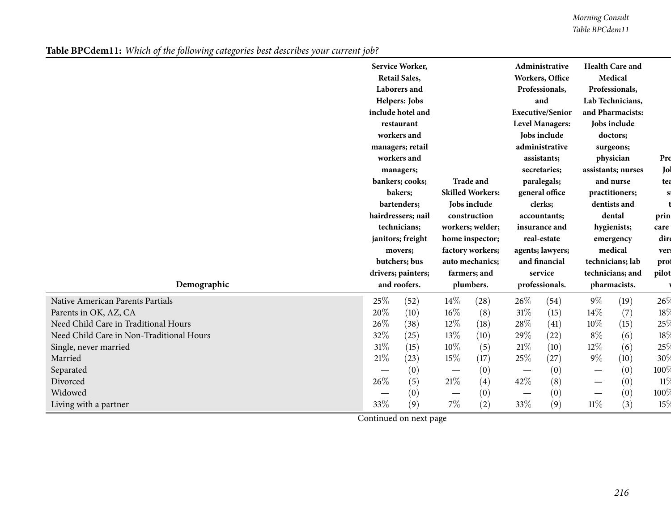*Morning Consult Table BPCdem11*

Table BPCdem11: Which of the following categories best describes your current job?

|                                          |                                         | Service Worker,      |                                 |                  |                                            | Administrative          |                                              | <b>Health Care and</b> |                 |
|------------------------------------------|-----------------------------------------|----------------------|---------------------------------|------------------|--------------------------------------------|-------------------------|----------------------------------------------|------------------------|-----------------|
|                                          |                                         | <b>Retail Sales,</b> |                                 |                  |                                            | Workers, Office         |                                              | Medical                |                 |
|                                          |                                         | Laborers and         |                                 |                  |                                            | Professionals,          |                                              | Professionals,         |                 |
|                                          |                                         | Helpers: Jobs        |                                 |                  |                                            | and                     |                                              | Lab Technicians,       |                 |
|                                          |                                         | include hotel and    |                                 |                  |                                            | <b>Executive/Senior</b> |                                              | and Pharmacists:       |                 |
|                                          |                                         | restaurant           |                                 |                  |                                            | <b>Level Managers:</b>  |                                              | Jobs include           |                 |
|                                          |                                         | workers and          |                                 |                  |                                            | Jobs include            |                                              | doctors;               |                 |
|                                          | managers; retail                        |                      |                                 |                  |                                            | administrative          |                                              | surgeons;              |                 |
|                                          |                                         | workers and          |                                 |                  | assistants;<br>secretaries;<br>paralegals; |                         | physician<br>assistants; nurses<br>and nurse |                        | Pro             |
|                                          | managers;<br>bankers; cooks;<br>bakers; |                      |                                 |                  |                                            |                         |                                              |                        | Jol             |
|                                          |                                         |                      |                                 | <b>Trade and</b> |                                            |                         |                                              |                        | tea             |
|                                          |                                         |                      | <b>Skilled Workers:</b>         |                  | general office                             |                         | practitioners;                               |                        | S               |
|                                          |                                         | bartenders;          |                                 | Jobs include     |                                            | clerks;                 |                                              | dentists and           |                 |
|                                          |                                         | hairdressers; nail   |                                 | construction     |                                            | accountants;            |                                              | dental                 | prin            |
|                                          |                                         | technicians;         |                                 | workers; welder; |                                            | insurance and           |                                              | hygienists;            | care            |
|                                          |                                         | janitors; freight    |                                 | home inspector;  |                                            | real-estate             |                                              | emergency              | dire            |
|                                          |                                         | movers;              |                                 | factory workers; |                                            | agents; lawyers;        |                                              | medical                | ver:            |
|                                          |                                         | butchers; bus        |                                 | auto mechanics;  |                                            | and financial           |                                              | technicians; lab       | prof            |
|                                          |                                         | drivers; painters;   |                                 | farmers; and     |                                            | service                 |                                              | technicians; and       | pilot           |
| Demographic                              | and roofers.                            |                      | plumbers.                       |                  | professionals.                             |                         | pharmacists.                                 |                        |                 |
| Native American Parents Partials         | 25\%                                    | (52)                 | $14\%$                          | (28)             | 26%                                        | (54)                    | $9\%$                                        | (19)                   | 26%             |
| Parents in OK, AZ, CA                    | 20%                                     | (10)                 | $16\%$                          | (8)              | 31%                                        | (15)                    | 14%                                          | (7)                    | 18%             |
| Need Child Care in Traditional Hours     | 26%                                     | (38)                 | 12%                             | (18)             | 28%                                        | (41)                    | 10%                                          | (15)                   | 25%             |
| Need Child Care in Non-Traditional Hours | 32%                                     | (25)                 | 13\%                            | (10)             | 29%                                        | (22)                    | $8\%$                                        | (6)                    | 18 <sup>0</sup> |
|                                          |                                         |                      |                                 |                  |                                            |                         |                                              |                        |                 |
| Single, never married                    | $31\%$                                  | (15)                 | $10\%$                          | (5)              | 21%                                        | (10)                    | 12%                                          | (6)                    | 25%             |
| Married                                  | 21%                                     | (23)                 | 15%                             | (17)             | 25%                                        | (27)                    | $9\%$                                        | (10)                   | 30%             |
| Separated                                | —                                       | (0)                  | $\hspace{0.1mm}-\hspace{0.1mm}$ | (0)              |                                            | (0)                     | $\hspace{0.1mm}-\hspace{0.1mm}$              | (0)                    | 100%            |
| Divorced                                 | 26%                                     | (5)                  | 21%                             | (4)              | 42\%                                       | (8)                     | $\overline{\phantom{0}}$                     | (0)                    | $11\%$          |
| Widowed                                  | 33%                                     | (0)                  | $7\%$                           | (0)              | 33%                                        | (0)<br>(9)              | $11\%$                                       | (0)<br>(3)             | 100%            |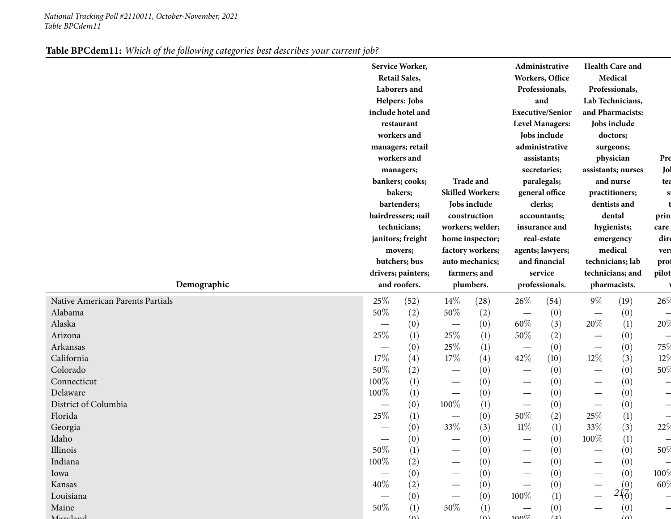|--|

|                                  |                                    | Service Worker,<br><b>Retail Sales,</b><br>Laborers and<br>Helpers: Jobs<br>include hotel and<br>restaurant<br>workers and<br>managers; retail<br>workers and<br>managers;<br>bankers; cooks;<br>bakers;<br>bartenders;<br>hairdressers; nail<br>technicians;<br>janitors; freight<br>movers;<br>butchers; bus | <b>Trade and</b><br><b>Skilled Workers:</b><br>Jobs include<br>construction<br>workers; welder;<br>home inspector;<br>factory workers;<br>auto mechanics; |      | Administrative<br>Workers, Office<br>Professionals,<br>and<br><b>Executive/Senior</b><br><b>Level Managers:</b><br>Jobs include<br>administrative<br>assistants;<br>secretaries;<br>paralegals;<br>general office<br>clerks;<br>accountants;<br>insurance and<br>real-estate<br>agents; lawyers;<br>and financial |                  | <b>Health Care and</b><br>Medical<br>Professionals,<br>Lab Technicians,<br>and Pharmacists:<br>Jobs include<br>doctors;<br>surgeons;<br>physician<br>assistants; nurses<br>and nurse<br>practitioners;<br>dentists and<br>dental<br>hygienists;<br>emergency<br>medical<br>technicians; lab |                  | Pro<br>Jol<br>tea<br>$\mathbf{s}$<br>prin<br>care<br>dire<br>ver:<br>prof |
|----------------------------------|------------------------------------|----------------------------------------------------------------------------------------------------------------------------------------------------------------------------------------------------------------------------------------------------------------------------------------------------------------|-----------------------------------------------------------------------------------------------------------------------------------------------------------|------|-------------------------------------------------------------------------------------------------------------------------------------------------------------------------------------------------------------------------------------------------------------------------------------------------------------------|------------------|---------------------------------------------------------------------------------------------------------------------------------------------------------------------------------------------------------------------------------------------------------------------------------------------|------------------|---------------------------------------------------------------------------|
| Demographic                      | drivers; painters;<br>and roofers. |                                                                                                                                                                                                                                                                                                                | farmers; and<br>plumbers.                                                                                                                                 |      | service<br>professionals.                                                                                                                                                                                                                                                                                         |                  | technicians; and<br>pharmacists.                                                                                                                                                                                                                                                            |                  | pilot                                                                     |
| Native American Parents Partials | 25%                                | (52)                                                                                                                                                                                                                                                                                                           | $14\%$                                                                                                                                                    | (28) | 26\%                                                                                                                                                                                                                                                                                                              | (54)             | $9\%$                                                                                                                                                                                                                                                                                       | (19)             | 26%                                                                       |
| Alabama                          | 50%                                | (2)                                                                                                                                                                                                                                                                                                            | 50%                                                                                                                                                       | (2)  |                                                                                                                                                                                                                                                                                                                   | (0)              | —                                                                                                                                                                                                                                                                                           | (0)              |                                                                           |
| Alaska                           | $\overline{\phantom{0}}$           | (0)                                                                                                                                                                                                                                                                                                            |                                                                                                                                                           | (0)  | 60%                                                                                                                                                                                                                                                                                                               | (3)              | 20%                                                                                                                                                                                                                                                                                         | (1)              | 20%                                                                       |
| Arizona                          | 25%                                | (1)                                                                                                                                                                                                                                                                                                            | 25\%                                                                                                                                                      | (1)  | $50\%$                                                                                                                                                                                                                                                                                                            | (2)              |                                                                                                                                                                                                                                                                                             | (0)              | $\overline{\phantom{0}}$                                                  |
| Arkansas                         |                                    | (0)                                                                                                                                                                                                                                                                                                            | 25%                                                                                                                                                       | (1)  |                                                                                                                                                                                                                                                                                                                   | (0)              |                                                                                                                                                                                                                                                                                             | (0)              | 75%                                                                       |
| California                       | 17%                                | (4)                                                                                                                                                                                                                                                                                                            | $17\%$                                                                                                                                                    | (4)  | 42\%                                                                                                                                                                                                                                                                                                              | (10)             | $12\%$                                                                                                                                                                                                                                                                                      | (3)              | 12%                                                                       |
| Colorado                         | 50%                                | (2)                                                                                                                                                                                                                                                                                                            |                                                                                                                                                           | (0)  | $\hspace{0.1mm}-\hspace{0.1mm}$                                                                                                                                                                                                                                                                                   | (0)              | $\overline{\phantom{m}}$                                                                                                                                                                                                                                                                    | (0)              | 50%                                                                       |
| Connecticut                      | 100%                               | (1)                                                                                                                                                                                                                                                                                                            |                                                                                                                                                           | (0)  | $\hspace{0.1mm}-\hspace{0.1mm}$                                                                                                                                                                                                                                                                                   | (0)              |                                                                                                                                                                                                                                                                                             | (0)              | $\overline{\phantom{0}}$                                                  |
| Delaware                         | 100%                               | (1)                                                                                                                                                                                                                                                                                                            | $\overbrace{\phantom{12321111}}$                                                                                                                          | (0)  | $\hspace{0.1mm}-\hspace{0.1mm}$                                                                                                                                                                                                                                                                                   | (0)              |                                                                                                                                                                                                                                                                                             | (0)              | $\overline{\phantom{0}}$                                                  |
| District of Columbia             |                                    | (0)                                                                                                                                                                                                                                                                                                            | 100%                                                                                                                                                      | (1)  |                                                                                                                                                                                                                                                                                                                   | (0)              |                                                                                                                                                                                                                                                                                             | (0)              | $\overline{\phantom{0}}$                                                  |
| Florida                          | 25%                                | (1)                                                                                                                                                                                                                                                                                                            |                                                                                                                                                           | (0)  | $50\%$                                                                                                                                                                                                                                                                                                            | (2)              | $25\%$                                                                                                                                                                                                                                                                                      | (1)              | $\overline{\phantom{0}}$                                                  |
| Georgia                          |                                    | (0)                                                                                                                                                                                                                                                                                                            | 33\%                                                                                                                                                      | (3)  | $11\%$                                                                                                                                                                                                                                                                                                            | (1)              | 33%                                                                                                                                                                                                                                                                                         | (3)              | 22%                                                                       |
| Idaho                            |                                    | (0)                                                                                                                                                                                                                                                                                                            |                                                                                                                                                           | (0)  |                                                                                                                                                                                                                                                                                                                   | (0)              | $100\%$                                                                                                                                                                                                                                                                                     | (1)              |                                                                           |
| Illinois                         | 50%                                | (1)                                                                                                                                                                                                                                                                                                            |                                                                                                                                                           | (0)  |                                                                                                                                                                                                                                                                                                                   | (0)              |                                                                                                                                                                                                                                                                                             | (0)              | 50%                                                                       |
| Indiana                          | 100%                               | (2)                                                                                                                                                                                                                                                                                                            |                                                                                                                                                           | (0)  |                                                                                                                                                                                                                                                                                                                   | (0)              |                                                                                                                                                                                                                                                                                             | (0)              |                                                                           |
| Iowa                             |                                    | (0)                                                                                                                                                                                                                                                                                                            |                                                                                                                                                           | (0)  |                                                                                                                                                                                                                                                                                                                   | (0)              |                                                                                                                                                                                                                                                                                             | (0)              | 100%                                                                      |
| Kansas                           | 40%                                | (2)                                                                                                                                                                                                                                                                                                            |                                                                                                                                                           | (0)  |                                                                                                                                                                                                                                                                                                                   | (0)              |                                                                                                                                                                                                                                                                                             | (0)              | 60%                                                                       |
| Louisiana                        |                                    | (0)                                                                                                                                                                                                                                                                                                            |                                                                                                                                                           | (0)  | 100%                                                                                                                                                                                                                                                                                                              | $\left(1\right)$ |                                                                                                                                                                                                                                                                                             | $2I_0^2$         |                                                                           |
| Maine                            | 50%                                | (1)                                                                                                                                                                                                                                                                                                            | 50\%                                                                                                                                                      | (1)  |                                                                                                                                                                                                                                                                                                                   | (0)              |                                                                                                                                                                                                                                                                                             | $\left(0\right)$ |                                                                           |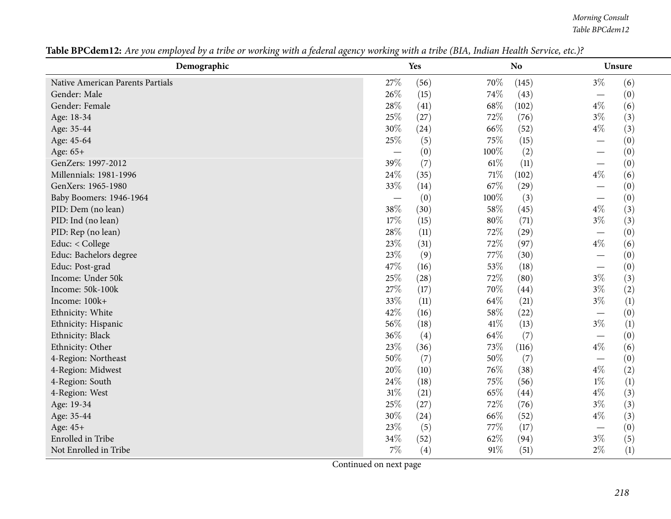| Demographic                      |                          | Yes               |        | <b>No</b> | Unsure                          |
|----------------------------------|--------------------------|-------------------|--------|-----------|---------------------------------|
| Native American Parents Partials | 27%                      | (56)              | 70%    | (145)     | $3\%$<br>(6)                    |
| Gender: Male                     | 26%                      | (15)              | 74%    | (43)      | (0)                             |
| Gender: Female                   | 28%                      | (41)              | 68\%   | (102)     | $4\%$<br>(6)                    |
| Age: 18-34                       | 25%                      | (27)              | 72\%   | (76)      | $3\%$<br>(3)                    |
| Age: 35-44                       | 30%                      | (24)              | 66%    | (52)      | $4\%$<br>(3)                    |
| Age: 45-64                       | 25%                      | (5)               | 75\%   | (15)      | (0)                             |
| Age: 65+                         | $\overline{\phantom{m}}$ | (0)               | 100%   | (2)       | (0)                             |
| GenZers: 1997-2012               | 39%                      | (7)               | $61\%$ | (11)      | (0)                             |
| Millennials: 1981-1996           | 24\%                     | (35)              | $71\%$ | (102)     | $4\%$<br>(6)                    |
| GenXers: 1965-1980               | 33%                      | (14)              | 67%    | (29)      | (0)                             |
| Baby Boomers: 1946-1964          |                          | (0)               | 100%   | (3)       | (0)                             |
| PID: Dem (no lean)               | 38%                      | (30)              | 58%    | (45)      | $4\%$<br>(3)                    |
| PID: Ind (no lean)               | 17%                      | (15)              | $80\%$ | (71)      | $3\%$<br>(3)                    |
| PID: Rep (no lean)               | 28\%                     | (11)              | 72%    | (29)      | (0)<br>$\overline{\phantom{m}}$ |
| Educ: < College                  | 23%                      | (31)              | 72%    | (97)      | $4\%$<br>(6)                    |
| Educ: Bachelors degree           | 23%                      | (9)               | 77%    | (30)      | (0)<br>$\overline{\phantom{0}}$ |
| Educ: Post-grad                  | 47%                      | (16)              | 53%    | (18)      | (0)                             |
| Income: Under 50k                | 25%                      | (28)              | 72%    | (80)      | $3\%$<br>(3)                    |
| Income: 50k-100k                 | 27%                      | (17)              | 70%    | (44)      | $3\%$<br>(2)                    |
| Income: 100k+                    | 33%                      | (11)              | 64\%   | (21)      | (1)<br>$3\%$                    |
| Ethnicity: White                 | 42%                      | (16)              | 58%    | (22)      | (0)<br>$\overline{\phantom{m}}$ |
| Ethnicity: Hispanic              | 56%                      | (18)              | 41\%   | (13)      | $3\%$<br>$\left(1\right)$       |
| Ethnicity: Black                 | 36%                      | $\left( 4\right)$ | 64\%   | (7)       | (0)                             |
| Ethnicity: Other                 | 23%                      | (36)              | 73\%   | (116)     | $4\%$<br>(6)                    |
| 4-Region: Northeast              | 50%                      | (7)               | $50\%$ | (7)       | (0)                             |
| 4-Region: Midwest                | 20%                      | (10)              | 76%    | (38)      | $4\%$<br>(2)                    |
| 4-Region: South                  | 24\%                     | (18)              | 75%    | (56)      | $1\%$<br>(1)                    |
| 4-Region: West                   | $31\%$                   | (21)              | 65%    | (44)      | $4\%$<br>(3)                    |
| Age: 19-34                       | $25\%$                   | (27)              | 72%    | (76)      | $3\%$<br>(3)                    |
| Age: 35-44                       | 30%                      | (24)              | 66%    | (52)      | $4\%$<br>(3)                    |
| Age: 45+                         | 23%                      | (5)               | 77%    | (17)      | (0)                             |
| Enrolled in Tribe                | 34%                      | (52)              | 62%    | (94)      | $3\%$<br>(5)                    |
| Not Enrolled in Tribe            | 7%                       | (4)               | 91%    | (51)      | $2\%$<br>(1)                    |

Table BPCdem12: Are you employed by a tribe or working with a federal agency working with a tribe (BIA, Indian Health Service, etc.)?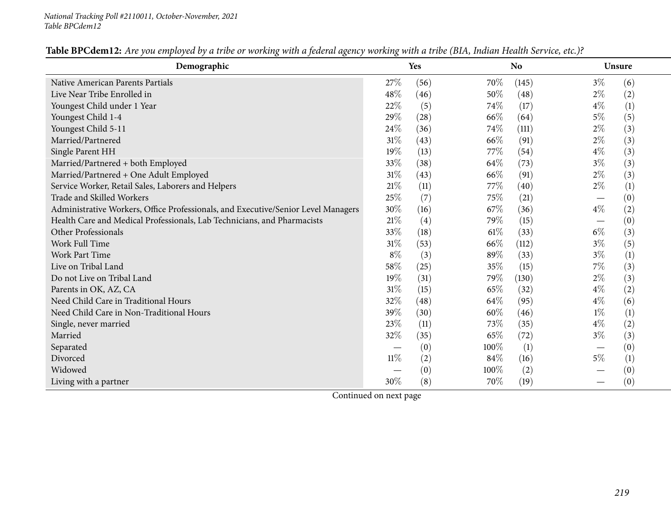| Demographic                                                                       |        | Yes  |        | N <sub>o</sub> |       | <b>Unsure</b> |  |  |
|-----------------------------------------------------------------------------------|--------|------|--------|----------------|-------|---------------|--|--|
| Native American Parents Partials                                                  | 27%    | (56) | 70%    | (145)          | $3\%$ | (6)           |  |  |
| Live Near Tribe Enrolled in                                                       | 48%    | (46) | 50%    | (48)           | $2\%$ | (2)           |  |  |
| Youngest Child under 1 Year                                                       | 22%    | (5)  | 74%    | (17)           | $4\%$ | (1)           |  |  |
| Youngest Child 1-4                                                                | 29%    | (28) | 66\%   | (64)           | $5\%$ | (5)           |  |  |
| Youngest Child 5-11                                                               | 24%    | (36) | 74%    | (111)          | $2\%$ | (3)           |  |  |
| Married/Partnered                                                                 | 31%    | (43) | 66\%   | (91)           | $2\%$ | (3)           |  |  |
| Single Parent HH                                                                  | 19%    | (13) | 77\%   | (54)           | $4\%$ | (3)           |  |  |
| Married/Partnered + both Employed                                                 | 33%    | (38) | 64\%   | (73)           | $3\%$ | (3)           |  |  |
| Married/Partnered + One Adult Employed                                            | 31%    | (43) | 66\%   | (91)           | $2\%$ | (3)           |  |  |
| Service Worker, Retail Sales, Laborers and Helpers                                | 21%    | (11) | 77\%   | (40)           | $2\%$ | (1)           |  |  |
| Trade and Skilled Workers                                                         | 25%    | (7)  | 75%    | (21)           |       | (0)           |  |  |
| Administrative Workers, Office Professionals, and Executive/Senior Level Managers | 30%    | (16) | 67%    | (36)           | $4\%$ | (2)           |  |  |
| Health Care and Medical Professionals, Lab Technicians, and Pharmacists           | 21%    | (4)  | 79%    | (15)           |       | (0)           |  |  |
| Other Professionals                                                               | 33%    | (18) | $61\%$ | (33)           | $6\%$ | (3)           |  |  |
| Work Full Time                                                                    | 31%    | (53) | 66%    | (112)          | $3\%$ | (5)           |  |  |
| <b>Work Part Time</b>                                                             | $8\%$  | (3)  | 89%    | (33)           | $3\%$ | (1)           |  |  |
| Live on Tribal Land                                                               | 58%    | (25) | 35%    | (15)           | 7%    | (3)           |  |  |
| Do not Live on Tribal Land                                                        | 19%    | (31) | 79%    | (130)          | $2\%$ | (3)           |  |  |
| Parents in OK, AZ, CA                                                             | 31%    | (15) | 65%    | (32)           | $4\%$ | (2)           |  |  |
| Need Child Care in Traditional Hours                                              | 32%    | (48) | 64\%   | (95)           | $4\%$ | (6)           |  |  |
| Need Child Care in Non-Traditional Hours                                          | 39%    | (30) | 60%    | (46)           | $1\%$ | (1)           |  |  |
| Single, never married                                                             | 23%    | (11) | 73\%   | (35)           | $4\%$ | (2)           |  |  |
| Married                                                                           | 32%    | (35) | 65\%   | (72)           | $3\%$ | (3)           |  |  |
| Separated                                                                         |        | (0)  | 100%   | (1)            |       | (0)           |  |  |
| Divorced                                                                          | $11\%$ | (2)  | 84%    | (16)           | $5\%$ | (1)           |  |  |
| Widowed                                                                           |        | (0)  | 100%   | (2)            |       | (0)           |  |  |
| Living with a partner                                                             | 30%    | (8)  | 70\%   | (19)           |       | (0)           |  |  |

Table BPCdem12: Are you employed by a tribe or working with a federal agency working with a tribe (BIA, Indian Health Service, etc.)?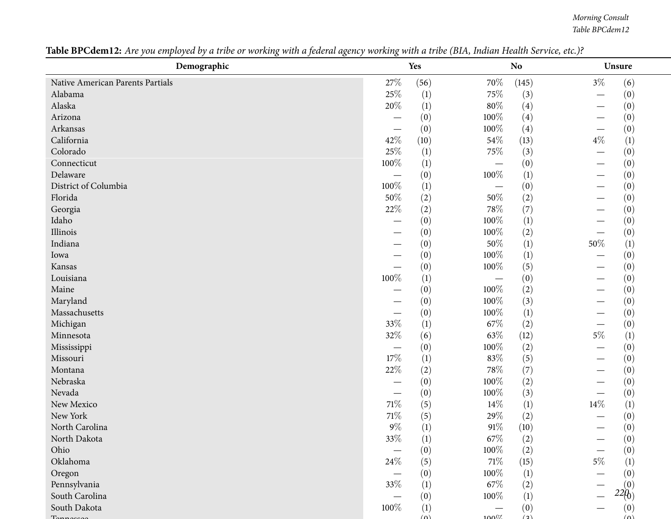| Demographic                      |                                   | Yes              |         | <b>No</b>        | Unsure                    |
|----------------------------------|-----------------------------------|------------------|---------|------------------|---------------------------|
| Native American Parents Partials | 27%                               | (56)             | 70%     | (145)            | $3\%$<br>(6)              |
| Alabama                          | 25%                               | (1)              | 75\%    | (3)              | (0)                       |
| Alaska                           | 20%                               | (1)              | $80\%$  | (4)              | (0)                       |
| Arizona                          | —                                 | (0)              | 100%    | (4)              | (0)                       |
| Arkansas                         | $\overbrace{\phantom{123221111}}$ | (0)              | 100%    | (4)              | (0)                       |
| California                       | 42%                               | (10)             | 54%     | (13)             | $4\%$<br>(1)              |
| Colorado                         | 25%                               | (1)              | 75%     | (3)              | (0)                       |
| Connecticut                      | 100%                              | (1)              |         | (0)              | (0)                       |
| Delaware                         |                                   | (0)              | 100%    | (1)              | (0)                       |
| District of Columbia             | 100%                              | (1)              |         | (0)              | (0)                       |
| Florida                          | 50%                               | (2)              | 50%     | (2)              | (0)                       |
| Georgia                          | $22\%$                            | (2)              | $78\%$  | (7)              | (0)                       |
| Idaho                            |                                   | (0)              | 100%    | (1)              | (0)                       |
| Illinois                         |                                   | (0)              | 100%    | (2)              | (0)                       |
| Indiana                          |                                   | (0)              | $50\%$  | (1)              | $50\%$<br>(1)             |
| Iowa                             |                                   | (0)              | 100%    | (1)              | (0)                       |
| Kansas                           | $\overline{\phantom{0}}$          | (0)              | 100%    | (5)              | (0)                       |
| Louisiana                        | $100\%$                           | (1)              |         | (0)              | (0)                       |
| Maine                            |                                   | (0)              | 100%    | (2)              | (0)                       |
| Maryland                         |                                   | (0)              | 100%    | (3)              | (0)                       |
| Massachusetts                    | $\overline{\phantom{0}}$          | (0)              | 100%    | $\left(1\right)$ | (0)                       |
| Michigan                         | 33%                               | (1)              | 67\%    | (2)              | (0)                       |
| Minnesota                        | 32%                               | (6)              | 63\%    | (12)             | $5\%$<br>$\left(1\right)$ |
| Mississippi                      | $\overline{\phantom{m}}$          | (0)              | 100%    | (2)              | (0)                       |
| Missouri                         | 17%                               | (1)              | 83%     | (5)              | (0)                       |
| Montana                          | 22%                               | (2)              | 78\%    | (7)              | (0)                       |
| Nebraska                         | $\overbrace{\phantom{aaaaa}}$     | (0)              | 100%    | (2)              | (0)                       |
| Nevada                           |                                   | (0)              | 100%    | (3)              | (0)                       |
| New Mexico                       | $71\%$                            | (5)              | 14%     | (1)              | 14\%<br>$\left(1\right)$  |
| New York                         | 71%                               | (5)              | 29%     | (2)              | (0)                       |
| North Carolina                   | $9\%$                             | (1)              | $91\%$  | (10)             | (0)                       |
| North Dakota                     | 33\%                              | $\left(1\right)$ | 67%     | (2)              | (0)                       |
| Ohio                             |                                   | (0)              | 100%    | (2)              | (0)                       |
| Oklahoma                         | 24\%                              | (5)              | $71\%$  | (15)             | $5\%$<br>(1)              |
| Oregon                           | $\overline{\phantom{m}}$          | (0)              | 100%    | (1)              | (0)                       |
| Pennsylvania                     | 33%                               | (1)              | 67\%    | (2)              | (0)                       |
| South Carolina                   |                                   | (0)              | 100%    | (1)              | 220 <sub>0</sub>          |
| South Dakota                     | 100%                              | (1)              |         | (0)              | (0)                       |
|                                  |                                   | $\omega$         | $100\%$ | (2)              | $(\Omega)$                |

Table BPCdem12: Are you employed by a tribe or working with a federal agency working with a tribe (BIA, Indian Health Service, etc.)?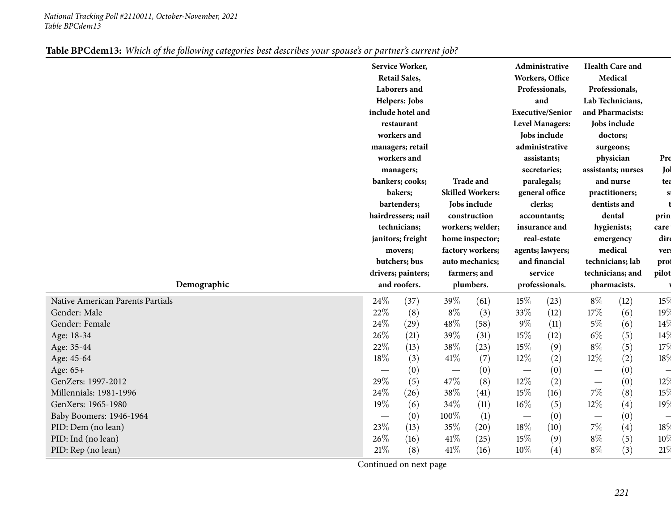|                                  |                                 | Service Worker,<br><b>Retail Sales,</b><br>Laborers and<br>Helpers: Jobs<br>include hotel and<br>restaurant<br>workers and<br>managers; retail<br>workers and<br>managers;<br>bankers; cooks;<br>bakers;<br>bartenders;<br>hairdressers; nail<br>technicians;<br>janitors; freight<br>movers;<br>butchers; bus<br>drivers; painters; |                           | <b>Trade and</b><br><b>Skilled Workers:</b><br>Jobs include<br>construction<br>workers; welder;<br>home inspector;<br>factory workers;<br>auto mechanics; |                          | Administrative<br>Workers, Office<br>Professionals,<br>and<br><b>Executive/Senior</b><br><b>Level Managers:</b><br>Jobs include<br>administrative<br>assistants;<br>secretaries;<br>paralegals;<br>general office<br>clerks;<br>accountants;<br>insurance and<br>real-estate<br>agents; lawyers;<br>and financial<br>service | <b>Health Care and</b><br>Medical<br>Professionals,<br>Lab Technicians,<br>and Pharmacists:<br>Jobs include<br>doctors;<br>surgeons;<br>physician<br>assistants; nurses<br>and nurse<br>practitioners;<br>dentists and<br>dental<br>hygienists;<br>emergency<br>medical<br>technicians; lab<br>technicians; and<br>pharmacists. |            | Pro<br>Jol<br>tea<br>S<br>prin<br>care<br>dire<br>vers<br>prof<br>pilot |
|----------------------------------|---------------------------------|--------------------------------------------------------------------------------------------------------------------------------------------------------------------------------------------------------------------------------------------------------------------------------------------------------------------------------------|---------------------------|-----------------------------------------------------------------------------------------------------------------------------------------------------------|--------------------------|------------------------------------------------------------------------------------------------------------------------------------------------------------------------------------------------------------------------------------------------------------------------------------------------------------------------------|---------------------------------------------------------------------------------------------------------------------------------------------------------------------------------------------------------------------------------------------------------------------------------------------------------------------------------|------------|-------------------------------------------------------------------------|
| Demographic                      | and roofers.                    |                                                                                                                                                                                                                                                                                                                                      | farmers; and<br>plumbers. |                                                                                                                                                           | professionals.           |                                                                                                                                                                                                                                                                                                                              |                                                                                                                                                                                                                                                                                                                                 |            |                                                                         |
| Native American Parents Partials | 24\%                            | (37)                                                                                                                                                                                                                                                                                                                                 | 39%                       | (61)                                                                                                                                                      | 15%                      | (23)                                                                                                                                                                                                                                                                                                                         | $8\%$                                                                                                                                                                                                                                                                                                                           | (12)       | 15%                                                                     |
| Gender: Male<br>Gender: Female   | 22%<br>24%                      | (8)<br>(29)                                                                                                                                                                                                                                                                                                                          | $8\%$<br>48\%             | (3)                                                                                                                                                       | 33%<br>$9\%$             | (12)<br>(11)                                                                                                                                                                                                                                                                                                                 | $17\%$<br>$5\%$                                                                                                                                                                                                                                                                                                                 | (6)        | 19 $\%$<br>14%                                                          |
| Age: 18-34                       | 26%                             | (21)                                                                                                                                                                                                                                                                                                                                 | 39%                       | (58)<br>(31)                                                                                                                                              | 15%                      | (12)                                                                                                                                                                                                                                                                                                                         | $6\%$                                                                                                                                                                                                                                                                                                                           | (6)<br>(5) | 14%                                                                     |
| Age: 35-44                       | 22%                             | (13)                                                                                                                                                                                                                                                                                                                                 | 38%                       | (23)                                                                                                                                                      | 15%                      | (9)                                                                                                                                                                                                                                                                                                                          | $8\%$                                                                                                                                                                                                                                                                                                                           | (5)        | 17%                                                                     |
| Age: 45-64                       | 18%                             | (3)                                                                                                                                                                                                                                                                                                                                  | $41\%$                    | (7)                                                                                                                                                       | 12%                      | (2)                                                                                                                                                                                                                                                                                                                          | 12%                                                                                                                                                                                                                                                                                                                             | (2)        | 18 $\%$                                                                 |
| Age: 65+                         | $\hspace{0.1mm}-\hspace{0.1mm}$ | (0)                                                                                                                                                                                                                                                                                                                                  |                           | (0)                                                                                                                                                       | $\overline{\phantom{m}}$ | (0)                                                                                                                                                                                                                                                                                                                          | $\overline{\phantom{m}}$                                                                                                                                                                                                                                                                                                        | (0)        | $\overline{\phantom{0}}$                                                |
| GenZers: 1997-2012               | 29%                             | (5)                                                                                                                                                                                                                                                                                                                                  | 47\%                      | (8)                                                                                                                                                       | 12%                      | (2)                                                                                                                                                                                                                                                                                                                          | $\overline{\phantom{0}}$                                                                                                                                                                                                                                                                                                        | (0)        | 12%                                                                     |
| Millennials: 1981-1996           | 24%                             | (26)                                                                                                                                                                                                                                                                                                                                 | 38%                       | (41)                                                                                                                                                      | 15%                      | (16)                                                                                                                                                                                                                                                                                                                         | $7\%$                                                                                                                                                                                                                                                                                                                           | (8)        | 15%                                                                     |
| GenXers: 1965-1980               | 19%                             | (6)                                                                                                                                                                                                                                                                                                                                  | 34\%                      | (11)                                                                                                                                                      | $16\%$                   | (5)                                                                                                                                                                                                                                                                                                                          | 12%                                                                                                                                                                                                                                                                                                                             | (4)        | 19%                                                                     |
| Baby Boomers: 1946-1964          |                                 | (0)                                                                                                                                                                                                                                                                                                                                  | 100%                      | (1)                                                                                                                                                       |                          | (0)                                                                                                                                                                                                                                                                                                                          | $\overbrace{\phantom{13333}}$                                                                                                                                                                                                                                                                                                   | (0)        |                                                                         |
| PID: Dem (no lean)               | 23%                             | (13)                                                                                                                                                                                                                                                                                                                                 | 35%                       | (20)                                                                                                                                                      | $18\%$                   | (10)                                                                                                                                                                                                                                                                                                                         | $7\%$                                                                                                                                                                                                                                                                                                                           | (4)        | 18 $\%$                                                                 |
| PID: Ind (no lean)               | 26%                             | (16)                                                                                                                                                                                                                                                                                                                                 | 41\%                      | (25)                                                                                                                                                      | 15%                      | (9)                                                                                                                                                                                                                                                                                                                          | $8\%$                                                                                                                                                                                                                                                                                                                           | (5)        | 10 <sup>o</sup>                                                         |
| PID: Rep (no lean)               | 21\%                            | (8)                                                                                                                                                                                                                                                                                                                                  | 41\%                      | (16)                                                                                                                                                      | $10\%$                   | (4)                                                                                                                                                                                                                                                                                                                          | $8\%$                                                                                                                                                                                                                                                                                                                           | (3)        | 21%                                                                     |

|  | Table BPCdem13: Which of the following categories best describes your spouse's or partner's current job? |  |  |  |  |  |  |  |
|--|----------------------------------------------------------------------------------------------------------|--|--|--|--|--|--|--|
|--|----------------------------------------------------------------------------------------------------------|--|--|--|--|--|--|--|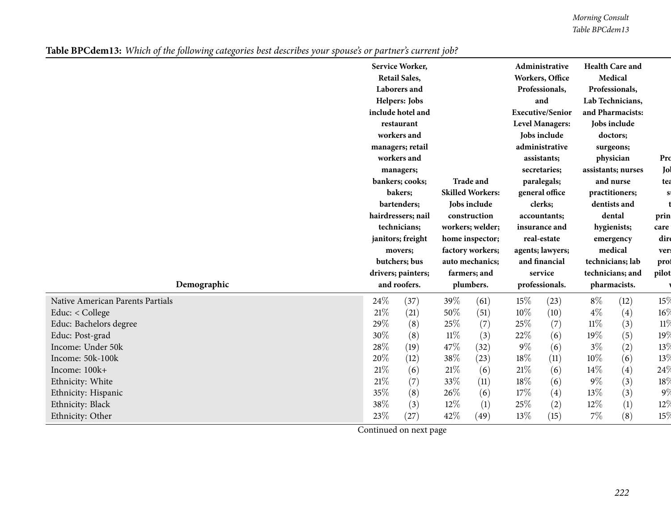|                                  |                                                              | Service Worker,<br><b>Retail Sales,</b><br>Laborers and<br>Helpers: Jobs<br>include hotel and<br>restaurant<br>workers and<br>managers; retail<br>workers and<br>managers;<br>bankers; cooks; |                           | <b>Trade and</b><br><b>Skilled Workers:</b>      |                                          | Administrative<br>Workers, Office<br>Professionals,<br>and<br><b>Executive/Senior</b><br><b>Level Managers:</b><br>Jobs include<br>administrative<br>assistants;<br>secretaries;<br>paralegals;<br>general office |                                                         | <b>Health Care and</b><br>Medical<br>Professionals,<br>Lab Technicians,<br>and Pharmacists:<br>Jobs include<br>doctors;<br>surgeons;<br>physician<br>assistants; nurses<br>and nurse | Pro<br>Jol<br>tea<br><b>SI</b> |
|----------------------------------|--------------------------------------------------------------|-----------------------------------------------------------------------------------------------------------------------------------------------------------------------------------------------|---------------------------|--------------------------------------------------|------------------------------------------|-------------------------------------------------------------------------------------------------------------------------------------------------------------------------------------------------------------------|---------------------------------------------------------|--------------------------------------------------------------------------------------------------------------------------------------------------------------------------------------|--------------------------------|
|                                  | bakers;<br>bartenders;<br>hairdressers; nail<br>technicians; |                                                                                                                                                                                               |                           | Jobs include<br>construction<br>workers; welder; | clerks;<br>accountants;<br>insurance and |                                                                                                                                                                                                                   | practitioners;<br>dentists and<br>dental<br>hygienists; |                                                                                                                                                                                      | prin<br>care                   |
|                                  |                                                              | janitors; freight<br>movers;                                                                                                                                                                  |                           | home inspector;<br>factory workers;              |                                          | real-estate<br>agents; lawyers;                                                                                                                                                                                   |                                                         | emergency<br>medical                                                                                                                                                                 | dire<br>ver:                   |
|                                  |                                                              | butchers; bus                                                                                                                                                                                 |                           | auto mechanics;                                  |                                          | and financial<br>service                                                                                                                                                                                          |                                                         | technicians; lab                                                                                                                                                                     | prof<br>pilot                  |
| Demographic                      | drivers; painters;<br>and roofers.                           |                                                                                                                                                                                               | farmers; and<br>plumbers. |                                                  | professionals.                           |                                                                                                                                                                                                                   | technicians; and<br>pharmacists.                        |                                                                                                                                                                                      |                                |
| Native American Parents Partials | 24%                                                          | (37)                                                                                                                                                                                          | 39%                       | (61)                                             | $15\%$                                   | (23)                                                                                                                                                                                                              | $8\%$                                                   | (12)                                                                                                                                                                                 | 15%                            |
| Educ: $<$ College                | $21\%$                                                       | (21)                                                                                                                                                                                          | 50%                       | (51)                                             | 10%                                      | (10)                                                                                                                                                                                                              | $4\%$                                                   | (4)                                                                                                                                                                                  | $16\%$                         |
| Educ: Bachelors degree           | 29%                                                          | (8)                                                                                                                                                                                           | 25%                       | (7)                                              | 25%                                      | (7)                                                                                                                                                                                                               | $11\%$                                                  | (3)                                                                                                                                                                                  | 11%                            |
| Educ: Post-grad                  | 30%                                                          | (8)                                                                                                                                                                                           | $11\%$                    | (3)                                              | 22\%                                     | (6)                                                                                                                                                                                                               | 19%                                                     | (5)                                                                                                                                                                                  | 19%                            |
| Income: Under 50k                | 28\%                                                         | (19)                                                                                                                                                                                          | 47%                       | (32)                                             | $9\%$                                    | (6)                                                                                                                                                                                                               | $3\%$                                                   | (2)                                                                                                                                                                                  | 13%                            |
| Income: 50k-100k                 | 20%                                                          | (12)                                                                                                                                                                                          | 38%                       | (23)                                             | 18%                                      | (11)                                                                                                                                                                                                              | 10%                                                     | (6)                                                                                                                                                                                  | 13%                            |
| Income: 100k+                    | $21\%$                                                       | (6)                                                                                                                                                                                           | 21%                       | (6)                                              | $21\%$                                   | (6)                                                                                                                                                                                                               | 14\%                                                    | (4)                                                                                                                                                                                  | 24%                            |
| Ethnicity: White                 | 21\%                                                         | (7)                                                                                                                                                                                           | 33%                       | (11)                                             | 18%                                      | (6)                                                                                                                                                                                                               | $9\%$                                                   | (3)                                                                                                                                                                                  | 18 $\%$                        |
| Ethnicity: Hispanic              | 35%                                                          | (8)                                                                                                                                                                                           | 26%                       | (6)                                              | 17%                                      | (4)                                                                                                                                                                                                               | 13%                                                     | (3)                                                                                                                                                                                  | $9\%$                          |
| Ethnicity: Black                 | 38%                                                          | (3)                                                                                                                                                                                           | 12%                       | (1)                                              | 25%                                      | (2)                                                                                                                                                                                                               | 12%                                                     | (1)                                                                                                                                                                                  | 12%                            |
| Ethnicity: Other                 | 23%                                                          | (27)                                                                                                                                                                                          | 42%                       | (49)                                             | 13%                                      | (15)                                                                                                                                                                                                              | $7\%$                                                   | (8)                                                                                                                                                                                  | 15\%                           |

Table BPCdem13: Which of the following categories best describes your spouse's or partner's current job?

Continued on next page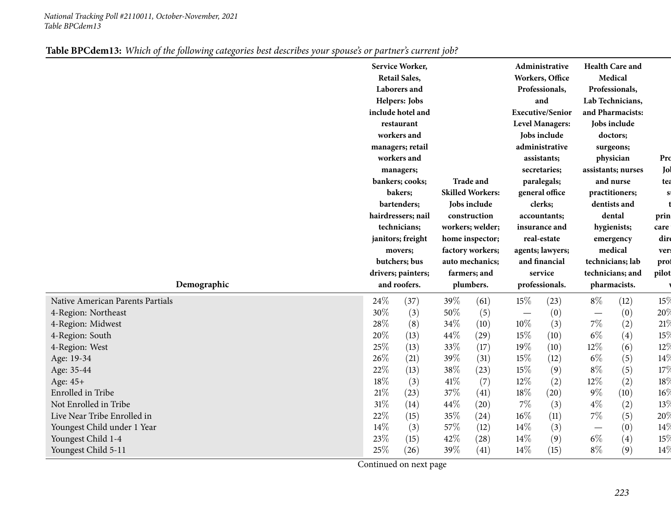|                                  |                                    | Service Worker,<br><b>Retail Sales,</b><br>Laborers and<br>Helpers: Jobs<br>include hotel and<br>restaurant<br>workers and<br>managers; retail<br>workers and<br>managers;<br>bankers; cooks;<br>bakers;<br>bartenders;<br>hairdressers; nail<br>technicians;<br>janitors; freight<br>movers;<br>butchers; bus |                           | <b>Trade and</b><br><b>Skilled Workers:</b><br>Jobs include<br>construction<br>workers; welder;<br>home inspector;<br>factory workers;<br>auto mechanics; |                           | Administrative<br>Workers, Office<br>Professionals,<br>and<br><b>Executive/Senior</b><br><b>Level Managers:</b><br>Jobs include<br>administrative<br>assistants;<br>secretaries;<br>paralegals;<br>general office<br>clerks;<br>accountants;<br>insurance and<br>real-estate<br>agents; lawyers;<br>and financial |                                   | <b>Health Care and</b><br>Medical<br>Professionals,<br>Lab Technicians,<br>and Pharmacists:<br>Jobs include<br>doctors;<br>surgeons;<br>physician<br>assistants; nurses<br>and nurse<br>practitioners;<br>dentists and<br>dental<br>hygienists;<br>emergency<br>medical<br>technicians; lab |                 |
|----------------------------------|------------------------------------|----------------------------------------------------------------------------------------------------------------------------------------------------------------------------------------------------------------------------------------------------------------------------------------------------------------|---------------------------|-----------------------------------------------------------------------------------------------------------------------------------------------------------|---------------------------|-------------------------------------------------------------------------------------------------------------------------------------------------------------------------------------------------------------------------------------------------------------------------------------------------------------------|-----------------------------------|---------------------------------------------------------------------------------------------------------------------------------------------------------------------------------------------------------------------------------------------------------------------------------------------|-----------------|
| Demographic                      | drivers; painters;<br>and roofers. |                                                                                                                                                                                                                                                                                                                | farmers; and<br>plumbers. |                                                                                                                                                           | service<br>professionals. |                                                                                                                                                                                                                                                                                                                   | technicians; and<br>pharmacists.  |                                                                                                                                                                                                                                                                                             | pilot           |
| Native American Parents Partials | 24\%                               | (37)                                                                                                                                                                                                                                                                                                           | 39%                       | (61)                                                                                                                                                      | 15%                       | (23)                                                                                                                                                                                                                                                                                                              | $8\%$                             | (12)                                                                                                                                                                                                                                                                                        | 15%             |
| 4-Region: Northeast              | 30%                                | (3)                                                                                                                                                                                                                                                                                                            | 50%                       | (5)                                                                                                                                                       | $\overline{\phantom{m}}$  | (0)                                                                                                                                                                                                                                                                                                               |                                   | (0)                                                                                                                                                                                                                                                                                         | 20%             |
| 4-Region: Midwest                | 28%                                | (8)                                                                                                                                                                                                                                                                                                            | 34%                       | (10)                                                                                                                                                      | 10%                       | (3)                                                                                                                                                                                                                                                                                                               | $7\%$                             | (2)                                                                                                                                                                                                                                                                                         | 21%             |
| 4-Region: South                  | 20%                                | (13)                                                                                                                                                                                                                                                                                                           | 44\%                      | (29)                                                                                                                                                      | 15%                       | (10)                                                                                                                                                                                                                                                                                                              | $6\%$                             | (4)                                                                                                                                                                                                                                                                                         | 15%             |
| 4-Region: West                   | 25%                                | (13)                                                                                                                                                                                                                                                                                                           | 33%                       | (17)                                                                                                                                                      | 19%                       | (10)                                                                                                                                                                                                                                                                                                              | $12\%$                            | (6)                                                                                                                                                                                                                                                                                         | 12%             |
| Age: 19-34                       | 26%                                | (21)                                                                                                                                                                                                                                                                                                           | 39%                       | (31)                                                                                                                                                      | 15%                       | (12)                                                                                                                                                                                                                                                                                                              | $6\%$                             | (5)                                                                                                                                                                                                                                                                                         | 14%             |
| Age: 35-44                       | 22%                                | (13)                                                                                                                                                                                                                                                                                                           | 38%                       | (23)                                                                                                                                                      | 15%                       | (9)                                                                                                                                                                                                                                                                                                               | $8\%$                             | (5)                                                                                                                                                                                                                                                                                         | 17%             |
| Age: 45+                         | 18%                                | (3)                                                                                                                                                                                                                                                                                                            | 41\%                      | (7)                                                                                                                                                       | 12%                       | (2)                                                                                                                                                                                                                                                                                                               | 12%                               | (2)                                                                                                                                                                                                                                                                                         | 18 <sup>°</sup> |
| Enrolled in Tribe                | 21%                                | (23)                                                                                                                                                                                                                                                                                                           | 37%                       | (41)                                                                                                                                                      | 18%                       | (20)                                                                                                                                                                                                                                                                                                              | $9\%$                             | (10)                                                                                                                                                                                                                                                                                        | 16%             |
| Not Enrolled in Tribe            | 31%                                | (14)                                                                                                                                                                                                                                                                                                           | 44\%                      | (20)                                                                                                                                                      | $7\%$                     | (3)                                                                                                                                                                                                                                                                                                               | $4\%$                             | (2)                                                                                                                                                                                                                                                                                         | 13%             |
| Live Near Tribe Enrolled in      | 22%                                | (15)                                                                                                                                                                                                                                                                                                           | 35%                       | (24)                                                                                                                                                      | $16\%$                    | (11)                                                                                                                                                                                                                                                                                                              | $7\%$                             | (5)                                                                                                                                                                                                                                                                                         | 20%             |
| Youngest Child under 1 Year      | 14%                                | (3)                                                                                                                                                                                                                                                                                                            | 57\%                      | (12)                                                                                                                                                      | 14%                       | (3)                                                                                                                                                                                                                                                                                                               | $\overbrace{\phantom{123221111}}$ | (0)                                                                                                                                                                                                                                                                                         | 14%             |
| Youngest Child 1-4               | 23%                                | (15)                                                                                                                                                                                                                                                                                                           | 42%                       | (28)                                                                                                                                                      | $14\%$                    | (9)                                                                                                                                                                                                                                                                                                               | $6\%$                             | (4)                                                                                                                                                                                                                                                                                         | 15%             |
| Youngest Child 5-11              | 25%                                | (26)                                                                                                                                                                                                                                                                                                           | 39%                       | (41)                                                                                                                                                      | 14%                       | (15)                                                                                                                                                                                                                                                                                                              | $8\%$                             | (9)                                                                                                                                                                                                                                                                                         | 14%             |

|--|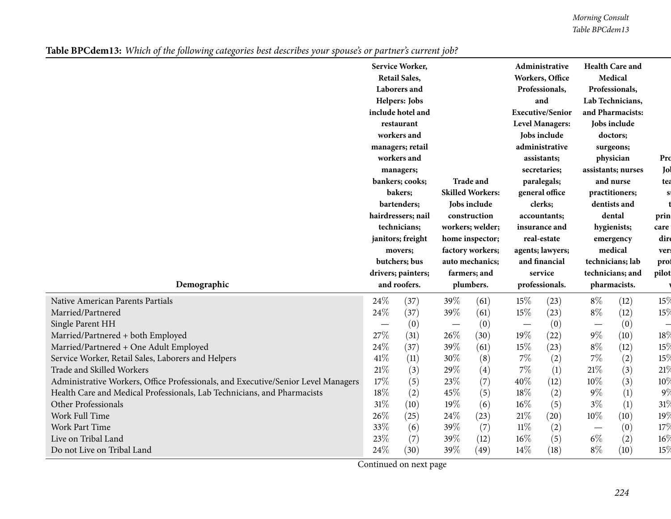|                                                                                   |              | Service Worker,<br><b>Retail Sales,</b><br>Laborers and<br>Helpers: Jobs<br>include hotel and<br>restaurant<br>workers and<br>managers; retail<br>workers and<br>managers;<br>bankers; cooks;<br>bakers;<br>bartenders;<br>hairdressers; nail<br>technicians;<br>janitors; freight<br>movers;<br>butchers; bus<br>drivers; painters; |           | <b>Trade and</b><br><b>Skilled Workers:</b><br>Jobs include<br>construction<br>workers; welder;<br>home inspector;<br>factory workers;<br>auto mechanics;<br>farmers; and |                           | <b>Administrative</b><br>Workers, Office<br>Professionals,<br>and<br><b>Executive/Senior</b><br><b>Level Managers:</b><br>Jobs include<br>administrative<br>assistants;<br>secretaries;<br>paralegals;<br>general office<br>clerks;<br>accountants;<br>insurance and<br>real-estate<br>agents; lawyers;<br>and financial |                                  | <b>Health Care and</b><br>Medical<br>Professionals,<br>Lab Technicians,<br>and Pharmacists:<br>Jobs include<br>doctors;<br>surgeons;<br>physician<br>assistants; nurses<br>and nurse<br>practitioners;<br>dentists and<br>dental<br>hygienists;<br>emergency<br>medical<br>technicians; lab |                          |
|-----------------------------------------------------------------------------------|--------------|--------------------------------------------------------------------------------------------------------------------------------------------------------------------------------------------------------------------------------------------------------------------------------------------------------------------------------------|-----------|---------------------------------------------------------------------------------------------------------------------------------------------------------------------------|---------------------------|--------------------------------------------------------------------------------------------------------------------------------------------------------------------------------------------------------------------------------------------------------------------------------------------------------------------------|----------------------------------|---------------------------------------------------------------------------------------------------------------------------------------------------------------------------------------------------------------------------------------------------------------------------------------------|--------------------------|
| Demographic                                                                       | and roofers. |                                                                                                                                                                                                                                                                                                                                      | plumbers. |                                                                                                                                                                           | service<br>professionals. |                                                                                                                                                                                                                                                                                                                          | technicians; and<br>pharmacists. |                                                                                                                                                                                                                                                                                             | pilot                    |
| <b>Native American Parents Partials</b>                                           | 24\%         | (37)                                                                                                                                                                                                                                                                                                                                 | 39%       | (61)                                                                                                                                                                      | 15%                       | (23)                                                                                                                                                                                                                                                                                                                     | $8\%$                            | (12)                                                                                                                                                                                                                                                                                        | 15%                      |
| Married/Partnered                                                                 | 24%          | (37)                                                                                                                                                                                                                                                                                                                                 | 39%       | (61)                                                                                                                                                                      | $15\%$                    | (23)                                                                                                                                                                                                                                                                                                                     | $8\%$                            | (12)                                                                                                                                                                                                                                                                                        | 15%                      |
| Single Parent HH                                                                  |              | (0)                                                                                                                                                                                                                                                                                                                                  |           | (0)                                                                                                                                                                       |                           | (0)                                                                                                                                                                                                                                                                                                                      | $\overline{\phantom{m}}$         | (0)                                                                                                                                                                                                                                                                                         | $\overline{\phantom{0}}$ |
| Married/Partnered + both Employed                                                 | 27%          | (31)                                                                                                                                                                                                                                                                                                                                 | 26\%      | (30)                                                                                                                                                                      | 19%                       | (22)                                                                                                                                                                                                                                                                                                                     | $9\%$                            | (10)                                                                                                                                                                                                                                                                                        | 18%                      |
| Married/Partnered + One Adult Employed                                            | 24%          | (37)                                                                                                                                                                                                                                                                                                                                 | 39%       | (61)                                                                                                                                                                      | $15\%$                    | (23)                                                                                                                                                                                                                                                                                                                     | $8\%$                            | (12)                                                                                                                                                                                                                                                                                        | 15%                      |
| Service Worker, Retail Sales, Laborers and Helpers                                | 41\%         | (11)                                                                                                                                                                                                                                                                                                                                 | 30%       | (8)                                                                                                                                                                       | $7\%$                     | (2)                                                                                                                                                                                                                                                                                                                      | $7\%$                            | (2)                                                                                                                                                                                                                                                                                         | 15%                      |
| Trade and Skilled Workers                                                         | 21\%         | (3)                                                                                                                                                                                                                                                                                                                                  | 29%       | (4)                                                                                                                                                                       | $7\%$                     | (1)                                                                                                                                                                                                                                                                                                                      | $21\%$                           | (3)                                                                                                                                                                                                                                                                                         | 21%                      |
| Administrative Workers, Office Professionals, and Executive/Senior Level Managers | 17%          | (5)                                                                                                                                                                                                                                                                                                                                  | 23%       | (7)                                                                                                                                                                       | 40%                       | (12)                                                                                                                                                                                                                                                                                                                     | $10\%$                           | (3)                                                                                                                                                                                                                                                                                         | 10%                      |
| Health Care and Medical Professionals, Lab Technicians, and Pharmacists           | 18%          | (2)                                                                                                                                                                                                                                                                                                                                  | 45%       | (5)                                                                                                                                                                       | 18%                       | (2)                                                                                                                                                                                                                                                                                                                      | $9\%$                            | (1)                                                                                                                                                                                                                                                                                         | 9%                       |
| Other Professionals                                                               | 31%          | (10)                                                                                                                                                                                                                                                                                                                                 | 19%       | (6)                                                                                                                                                                       | $16\%$                    | (5)                                                                                                                                                                                                                                                                                                                      | $3\%$                            | (1)                                                                                                                                                                                                                                                                                         | 31%                      |
| Work Full Time                                                                    | 26%          | (25)                                                                                                                                                                                                                                                                                                                                 | 24%       | (23)                                                                                                                                                                      | 21%                       | (20)                                                                                                                                                                                                                                                                                                                     | 10%                              | (10)                                                                                                                                                                                                                                                                                        | 19%                      |
| Work Part Time                                                                    | 33%          | (6)                                                                                                                                                                                                                                                                                                                                  | 39%       | (7)                                                                                                                                                                       | $11\%$                    | (2)                                                                                                                                                                                                                                                                                                                      | $\hspace{0.1mm}-\hspace{0.1mm}$  | (0)                                                                                                                                                                                                                                                                                         | 17%                      |
| Live on Tribal Land                                                               | $23\%$       | (7)                                                                                                                                                                                                                                                                                                                                  | 39%       | (12)                                                                                                                                                                      | $16\%$                    | (5)                                                                                                                                                                                                                                                                                                                      | $6\%$                            | (2)                                                                                                                                                                                                                                                                                         | $16\%$                   |
| Do not Live on Tribal Land                                                        | 24%          | (30)                                                                                                                                                                                                                                                                                                                                 | 39%       | (49)                                                                                                                                                                      | $14\%$                    | (18)                                                                                                                                                                                                                                                                                                                     | $8\%$                            | (10)                                                                                                                                                                                                                                                                                        | 15%                      |

Table BPCdem13: Which of the following categories best describes your spouse's or partner's current job?

Continued on next page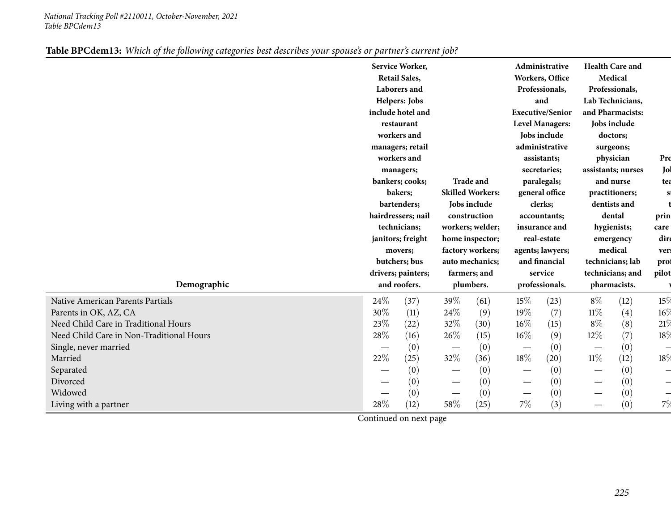| Service Worker,<br><b>Health Care and</b><br>Administrative<br><b>Retail Sales,</b><br>Medical<br>Workers, Office<br>Professionals,<br>Professionals,<br>Laborers and<br>Lab Technicians,<br>Helpers: Jobs<br>and<br>include hotel and<br><b>Executive/Senior</b><br>and Pharmacists:<br><b>Level Managers:</b><br>Jobs include<br>restaurant<br>workers and<br>Jobs include<br>doctors;<br>administrative<br>managers; retail<br>surgeons;<br>workers and<br>assistants;<br>physician<br>assistants; nurses<br>secretaries;<br>managers;<br>Trade and<br>bankers; cooks;<br>paralegals;<br>and nurse<br><b>Skilled Workers:</b><br>bakers;<br>general office<br>practitioners;<br>bartenders;<br>Jobs include<br>clerks;<br>dentists and<br>hairdressers; nail<br>construction<br>dental<br>accountants;<br>technicians;<br>workers; welder;<br>insurance and<br>hygienists;<br>janitors; freight<br>real-estate<br>home inspector;<br>emergency<br>medical<br>factory workers;<br>agents; lawyers;<br>movers;<br>technicians; lab<br>butchers; bus<br>auto mechanics;<br>and financial<br>service<br>drivers; painters;<br>technicians; and<br>farmers; and | Pro<br>Jol<br>tea<br>S<br>prin<br>care<br>dire<br>ver:<br>prof<br>pilot |
|---------------------------------------------------------------------------------------------------------------------------------------------------------------------------------------------------------------------------------------------------------------------------------------------------------------------------------------------------------------------------------------------------------------------------------------------------------------------------------------------------------------------------------------------------------------------------------------------------------------------------------------------------------------------------------------------------------------------------------------------------------------------------------------------------------------------------------------------------------------------------------------------------------------------------------------------------------------------------------------------------------------------------------------------------------------------------------------------------------------------------------------------------------------|-------------------------------------------------------------------------|
| Demographic<br>and roofers.<br>plumbers.<br>professionals.<br>pharmacists.                                                                                                                                                                                                                                                                                                                                                                                                                                                                                                                                                                                                                                                                                                                                                                                                                                                                                                                                                                                                                                                                                    |                                                                         |
| $8\%$<br>24\%<br>39%<br>(61)<br>15%<br>(23)<br>(12)<br>Native American Parents Partials<br>(37)<br>30%<br>24\%<br>19%<br>$11\%$<br>(4)<br>(7)<br>Parents in OK, AZ, CA<br>(11)<br>(9)                                                                                                                                                                                                                                                                                                                                                                                                                                                                                                                                                                                                                                                                                                                                                                                                                                                                                                                                                                         | 15%<br>$16\%$                                                           |
| 23%<br>$8\%$<br>Need Child Care in Traditional Hours<br>32%<br>$16\%$<br>(8)<br>(22)<br>(30)<br>(15)                                                                                                                                                                                                                                                                                                                                                                                                                                                                                                                                                                                                                                                                                                                                                                                                                                                                                                                                                                                                                                                          | 21%                                                                     |
| 28\%<br>(7)<br>26\%<br>$16\%$<br>12%<br>Need Child Care in Non-Traditional Hours<br>(9)<br>(16)<br>(15)                                                                                                                                                                                                                                                                                                                                                                                                                                                                                                                                                                                                                                                                                                                                                                                                                                                                                                                                                                                                                                                       | 18%                                                                     |
| (0)<br>(0)<br>(0)<br>(0)<br>Single, never married<br>$\overline{\phantom{m}}$<br>$\hspace{0.1mm}-\hspace{0.1mm}$<br>$\hspace{0.1mm}-\hspace{0.1mm}$                                                                                                                                                                                                                                                                                                                                                                                                                                                                                                                                                                                                                                                                                                                                                                                                                                                                                                                                                                                                           | $\overline{\phantom{0}}$                                                |
| 18%<br>22%<br>32%<br>$11\%$<br>(12)<br>(25)<br>(20)<br>Married<br>(36)                                                                                                                                                                                                                                                                                                                                                                                                                                                                                                                                                                                                                                                                                                                                                                                                                                                                                                                                                                                                                                                                                        | 18%                                                                     |
| (0)<br>(0)<br>(0)<br>Separated<br>(0)<br>$\overline{\phantom{m}}$                                                                                                                                                                                                                                                                                                                                                                                                                                                                                                                                                                                                                                                                                                                                                                                                                                                                                                                                                                                                                                                                                             | $\overline{\phantom{0}}$                                                |
| (0)<br>Divorced<br>(0)<br>(0)<br>(0)                                                                                                                                                                                                                                                                                                                                                                                                                                                                                                                                                                                                                                                                                                                                                                                                                                                                                                                                                                                                                                                                                                                          | $\overline{\phantom{0}}$                                                |
| (0)<br>Widowed<br>(0)<br>(0)<br>(0)<br>$\hspace{0.1mm}-\hspace{0.1mm}$                                                                                                                                                                                                                                                                                                                                                                                                                                                                                                                                                                                                                                                                                                                                                                                                                                                                                                                                                                                                                                                                                        | $\overline{\phantom{0}}$                                                |
| 7%<br>28%<br>58\%<br>(3)<br>(0)<br>(12)<br>(25)<br>Living with a partner<br>$\overline{\phantom{0}}$                                                                                                                                                                                                                                                                                                                                                                                                                                                                                                                                                                                                                                                                                                                                                                                                                                                                                                                                                                                                                                                          | 7%                                                                      |

|--|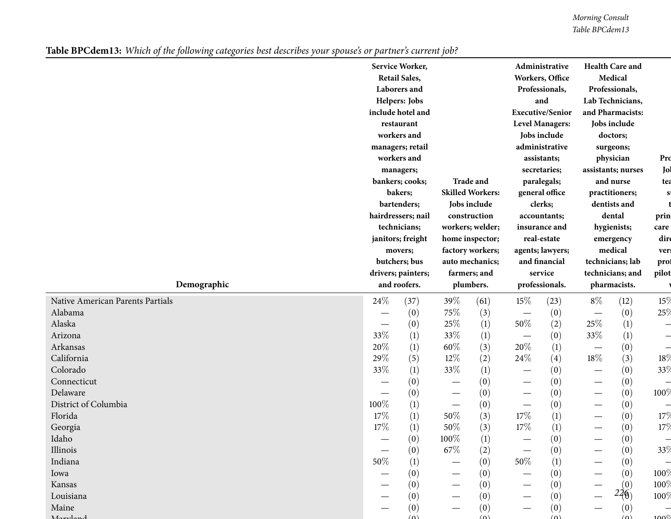|                                  |             |  |      | Service Worker,      |                   |                         |                                  | Administrative          |                          | <b>Health Care and</b> |                          |
|----------------------------------|-------------|--|------|----------------------|-------------------|-------------------------|----------------------------------|-------------------------|--------------------------|------------------------|--------------------------|
|                                  |             |  |      | <b>Retail Sales,</b> |                   |                         |                                  | Workers, Office         |                          | Medical                |                          |
|                                  |             |  |      | Laborers and         |                   |                         |                                  | Professionals,          |                          | Professionals,         |                          |
|                                  |             |  |      | Helpers: Jobs        |                   |                         |                                  | and                     |                          | Lab Technicians,       |                          |
|                                  |             |  |      | include hotel and    |                   |                         |                                  | <b>Executive/Senior</b> |                          | and Pharmacists:       |                          |
|                                  |             |  |      | restaurant           |                   |                         |                                  | <b>Level Managers:</b>  |                          | Jobs include           |                          |
|                                  |             |  |      | workers and          |                   |                         |                                  | Jobs include            |                          | doctors;               |                          |
|                                  |             |  |      | managers; retail     |                   |                         |                                  | administrative          |                          | surgeons;              |                          |
|                                  |             |  |      | workers and          |                   |                         |                                  | assistants;             |                          | physician              | Pro                      |
|                                  |             |  |      | managers;            |                   |                         |                                  | secretaries;            |                          | assistants; nurses     | Jol                      |
|                                  |             |  |      | bankers; cooks;      |                   | <b>Trade and</b>        |                                  | paralegals;             |                          | and nurse              | tea                      |
|                                  |             |  |      | bakers;              |                   | <b>Skilled Workers:</b> |                                  | general office          |                          | practitioners;         |                          |
|                                  |             |  |      | bartenders;          |                   | Jobs include            |                                  | clerks;                 |                          | dentists and           |                          |
|                                  |             |  |      | hairdressers; nail   |                   | construction            |                                  | accountants;            |                          | dental                 | prin                     |
|                                  |             |  |      | technicians;         |                   | workers; welder;        |                                  | insurance and           |                          | hygienists;            | care                     |
|                                  |             |  |      | janitors; freight    |                   | home inspector;         |                                  | real-estate             |                          | emergency              | dire                     |
|                                  |             |  |      | movers;              |                   | factory workers;        |                                  | agents; lawyers;        |                          | medical                | ver:                     |
|                                  |             |  |      | butchers; bus        |                   | auto mechanics;         |                                  | and financial           |                          | technicians; lab       | prof                     |
|                                  |             |  |      | drivers; painters;   |                   | farmers; and            |                                  | service                 |                          | technicians; and       | pilot                    |
|                                  | Demographic |  |      | and roofers.         |                   | plumbers.               |                                  | professionals.          |                          | pharmacists.           |                          |
| Native American Parents Partials |             |  | 24\% | (37)                 | 39%               | (61)                    | 15%                              | (23)                    | $8\%$                    | (12)                   | 15%                      |
| Alabama                          |             |  |      | (0)                  | 75%               | (3)                     | $\overbrace{\phantom{12322111}}$ | (0)                     |                          | (0)                    | 25%                      |
| Alaska                           |             |  | —    | (0)                  | 25\%              | (1)                     | 50%                              | (2)                     | 25%                      | (1)                    | $\overline{\phantom{0}}$ |
| Arizona                          |             |  | 33%  | (1)                  | 33\%              | (1)                     |                                  | (0)                     | 33%                      | (1)                    |                          |
| Arkansas                         |             |  | 20%  | (1)                  | 60\%              | (3)                     | 20%                              | (1)                     | $\overline{\phantom{m}}$ | (0)                    | $\overline{\phantom{0}}$ |
| California                       |             |  | 29%  | (5)                  | $12\%$            | (2)                     | 24%                              | (4)                     | $18\%$                   | (3)                    | 18%                      |
| Colorado                         |             |  | 33%  | (1)                  | 33\%              | (1)                     |                                  | (0)                     | $\overline{\phantom{0}}$ | (0)                    | 33%                      |
| Connecticut                      |             |  |      | (0)                  |                   | (0)                     | $\overbrace{\phantom{13333}}$    | (0)                     |                          | (0)                    |                          |
| Delaware                         |             |  |      | (0)                  | $\hspace{0.05cm}$ | (0)                     |                                  | (0)                     |                          | (0)                    | $100\%$                  |
| District of Columbia             |             |  | 100% | (1)                  |                   | (0)                     |                                  | (0)                     | $\overline{\phantom{0}}$ | (0)                    |                          |
| Florida                          |             |  | 17%  | (1)                  | $50\%$            | (3)                     | 17%                              | $\left(1\right)$        | —                        | (0)                    | 17%                      |
| Georgia                          |             |  | 17%  | (1)                  | 50\%              | (3)                     | 17%                              | (1)                     |                          | (0)                    | 17%                      |
| Idaho                            |             |  |      | (0)                  | $100\%$           | (1)                     |                                  | (0)                     |                          | (0)                    |                          |
| Illinois                         |             |  |      | (0)                  | 67\%              | (2)                     |                                  | (0)                     |                          | (0)                    | 33%                      |
| Indiana                          |             |  | 50%  | (1)                  |                   | (0)                     | 50%                              | (1)                     |                          | (0)                    |                          |
| Iowa                             |             |  |      | (0)                  |                   | (0)                     |                                  | (0)                     |                          | (0)                    | 100 $\%$                 |
| Kansas                           |             |  |      | (0)                  |                   | (0)                     |                                  | (0)                     |                          | (0)                    | $100\%$                  |
|                                  |             |  |      | (0)                  |                   | (0)                     |                                  | (0)                     |                          | 226                    | $100\%$                  |
| Louisiana<br>Maine               |             |  |      | $\left(0\right)$     |                   | (0)                     |                                  | (0)                     |                          | (0)                    |                          |

Table BPCdem13: Which of the following categories best describes your spouse's or partner's current job?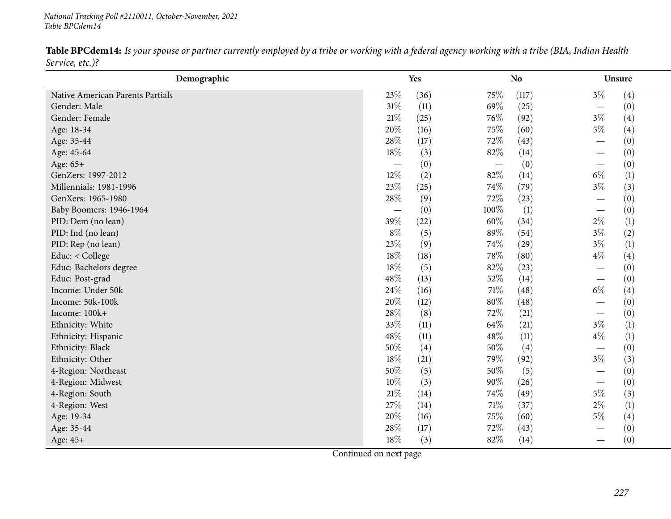**Demographic Yes NoNo Unsure** Native American Parents Partials  $23\%$   $(36)$   $75\%$   $(117)$   $3\%$   $(4)$ <br>Gender: Male  $31\%$   $(11)$   $69\%$   $(25)$   $(25)$   $(10)$ Gender: Male  $31\%$  (11)  $69\%$  (25) —  $\frac{1}{\sqrt{2}}$  (0) Gender: Female 21% (25)  $21\%$  (25)  $76\%$  (92)  $3\%$  (4) Age: 18-34 20% (16)  $20\%$  (16)  $75\%$  (60)  $5\%$  (4) Age: 35-44 28% (17)  $28\%$  (17)  $72\%$  (43)  $-$  (0)  $(0)$ Age: 45-64  $18\%$  (3)  $82\%$  (14)  $-$  (0)  $(0)$ Age: 65+<br>GenZers: 1997-2012  $\tau$  , the contract of the contract of the contract of the contract of the contract of  $\tau$  $-$  (0)  $-$  (0)  $-$  (0)<br>  $\frac{07}{2}$  (1)  $\frac{07}{2}$  (1)  $\frac{07}{2}$  (1) GenZers: 1997-2012  $12\%$  (2)  $82\%$  (14)  $6\%$  (1) Millennials: 1981-1996  $23\%$   $(25)$   $74\%$   $(79)$   $3\%$   $(3)$ GenXers: 1965-1980  $-$  28% (9)  $72\%$  (23)  $-$  (0)  $(0)$ Baby Boomers: 1946-1964 —  $-$  1964 —  $39\%$  $-$  (0)  $100\%$  (1)  $-$  (0)<br>  $\frac{60\%}{400}$  (23)  $\frac{60\%}{400}$  (24)  $\frac{20\%}{400}$  (1) PID: Dem (no lean)  $39\%$   $(22)$   $60\%$   $(34)$   $2\%$   $(1)$ PID: Ind (no lean)  $8\%$  (5)  $8\%$  (54)  $3\%$  (2) PID: Rep (no lean)  $23\%$  (9)  $74\%$  (29)  $3\%$  (1) Educ: < College  $18\%$  (18)  $78\%$  (80)  $4\%$  (4) Educ: Bachelors degree  $\begin{array}{cccc} 18\% & (5) & 82\% & (23) & - \\ \text{Educ: Post-grad} & 48\% & (13) & 52\% & (14) & - \end{array}$  $-$  (0)  $(0)$ Educ: Post-gradd  $48\%$  (13)  $52\%$  (14)  $\frac{1}{20}$  (0) Income: Under 50k**24%** (16) 71% (48) 6% (4) Income: 50k-100k**20%** (12)  $80\%$  (48)  $-$  (0)  $(0)$ Income: 100k+<br>Ethnicity: White  $+$  28% (8)  $72\%$  (21)  $\frac{1}{20}$  (0) Ethnicity: White  $33\%$  (11)  $64\%$  (21)  $3\%$  (1) Ethnicity: Hispanic  $48\%$  (11)  $48\%$  (11)  $48\%$  (11)  $4\%$  (1) Ethnicity: Black**k**  $50\%$  (4)  $50\%$  (4)  $\frac{1}{\alpha}$  (0) Ethnicity: Other 18% (21)  $79\%$  (92)  $3\%$  (3) 4-Region: Northeast  $50\%$  (5)  $50\%$  (5)  $50\%$  (5)  $-$  (0)  $(0)$ 4-Region: Midwest  $10\%$  (3)  $90\%$  (26)  $\frac{1}{\alpha}$  (0) 4-Region: South**h**  $21\%$   $(14)$   $74\%$   $(49)$   $5\%$   $(3)$ 4-Region: West 27% (14)  $27\%$  (14)  $71\%$  (37)  $2\%$  (1) Age: 19-34 20% (16)  $20\%$  (16)  $75\%$  (60)  $5\%$  (4) Age: 35-44 28% (17)  $28\%$  (17)  $72\%$  (43)  $-$  (0)  $(0)$ Age: 45+ $18\%$  (3)  $82\%$  (14)  $-$  (0)

Table BPCdem14: Is your spouse or partner currently employed by a tribe or working with a federal agency working with a tribe (BIA, Indian Health *Service, etc.)?*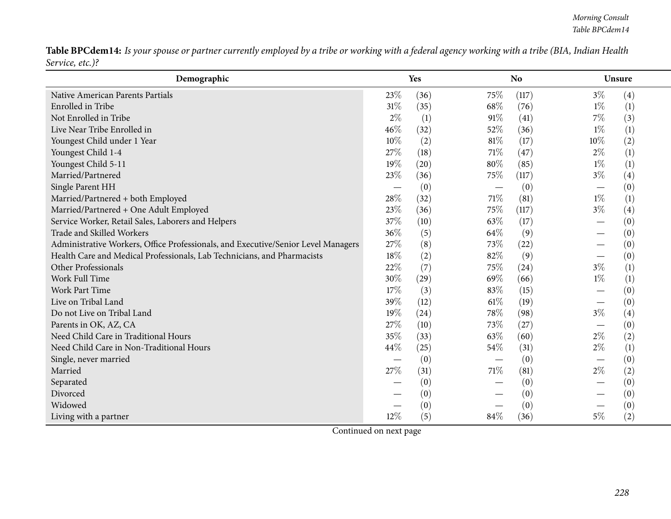Table BPCdem14: Is your spouse or partner currently employed by a tribe or working with a federal agency working with a tribe (BIA, Indian Health *Service, etc.)?*

| Demographic                                                                       |        | Yes  |      | <b>No</b> | <b>Unsure</b> |     |
|-----------------------------------------------------------------------------------|--------|------|------|-----------|---------------|-----|
| Native American Parents Partials                                                  | 23%    | (36) | 75%  | (117)     | $3\%$         | (4) |
| Enrolled in Tribe                                                                 | 31%    | (35) | 68%  | (76)      | $1\%$         | (1) |
| Not Enrolled in Tribe                                                             | $2\%$  | (1)  | 91%  | (41)      | 7%            | (3) |
| Live Near Tribe Enrolled in                                                       | 46%    | (32) | 52%  | (36)      | $1\%$         | (1) |
| Youngest Child under 1 Year                                                       | 10%    | (2)  | 81\% | (17)      | 10%           | (2) |
| Youngest Child 1-4                                                                | 27%    | (18) | 71\% | (47)      | $2\%$         | (1) |
| Youngest Child 5-11                                                               | 19%    | (20) | 80%  | (85)      | $1\%$         | (1) |
| Married/Partnered                                                                 | 23\%   | (36) | 75%  | (117)     | $3\%$         | (4) |
| Single Parent HH                                                                  |        | (0)  |      | (0)       |               | (0) |
| Married/Partnered + both Employed                                                 | 28%    | (32) | 71\% | (81)      | $1\%$         | (1) |
| Married/Partnered + One Adult Employed                                            | 23%    | (36) | 75%  | (117)     | $3\%$         | (4) |
| Service Worker, Retail Sales, Laborers and Helpers                                | 37%    | (10) | 63%  | (17)      | —             | (0) |
| Trade and Skilled Workers                                                         | 36%    | (5)  | 64%  | (9)       |               | (0) |
| Administrative Workers, Office Professionals, and Executive/Senior Level Managers | 27%    | (8)  | 73%  | (22)      |               | (0) |
| Health Care and Medical Professionals, Lab Technicians, and Pharmacists           | 18%    | (2)  | 82%  | (9)       |               | (0) |
| Other Professionals                                                               | 22%    | (7)  | 75%  | (24)      | $3\%$         | (1) |
| Work Full Time                                                                    | 30%    | (29) | 69%  | (66)      | $1\%$         | (1) |
| Work Part Time                                                                    | 17%    | (3)  | 83%  | (15)      |               | (0) |
| Live on Tribal Land                                                               | 39%    | (12) | 61\% | (19)      |               | (0) |
| Do not Live on Tribal Land                                                        | 19%    | (24) | 78%  | (98)      | $3\%$         | (4) |
| Parents in OK, AZ, CA                                                             | 27%    | (10) | 73%  | (27)      |               | (0) |
| Need Child Care in Traditional Hours                                              | 35%    | (33) | 63%  | (60)      | $2\%$         | (2) |
| Need Child Care in Non-Traditional Hours                                          | 44\%   | (25) | 54%  | (31)      | $2\%$         | (1) |
| Single, never married                                                             |        | (0)  |      | (0)       |               | (0) |
| Married                                                                           | 27\%   | (31) | 71\% | (81)      | $2\%$         | (2) |
| Separated                                                                         |        | (0)  |      | (0)       |               | (0) |
| Divorced                                                                          |        | (0)  |      | (0)       |               | (0) |
| Widowed                                                                           |        | (0)  |      | (0)       |               | (0) |
| Living with a partner                                                             | $12\%$ | (5)  | 84%  | (36)      | $5\%$         | (2) |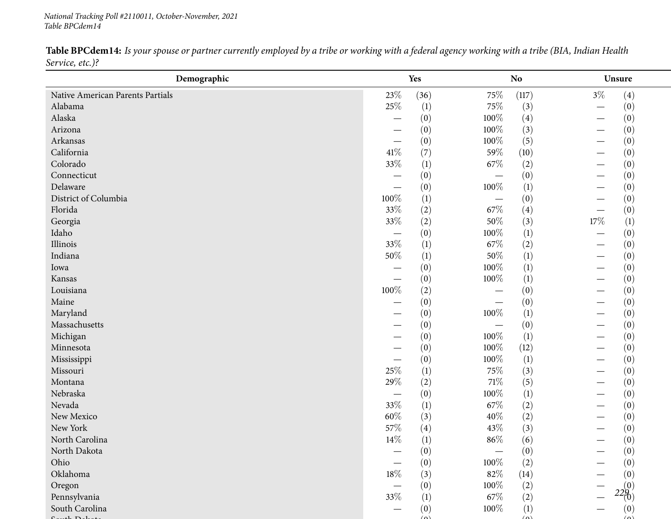*National Tracking Poll #2110011, October-November, <sup>2021</sup> Table BPCdem14*

*229* **Demographic Yes NoNo Unsure** Native American Parents Partials **23%** (36) 75% (117) 3% (4)<br>Alabama 25% (1) 75% (3) - (0) Alabamaa and  $25\%$  (1)  $75\%$  (3)  $-$  (0)  $(0)$ Alaska $\overline{a}$  and  $\overline{a}$  and  $\overline{a}$  and  $\overline{a}$  and  $\overline{a}$  and  $\overline{a}$  and  $\overline{a}$  and  $\overline{a}$  and  $\overline{a}$  and  $\overline{a}$  and  $\overline{a}$  and  $\overline{a}$  and  $\overline{a}$  and  $\overline{a}$  and  $\overline{a}$  and  $\overline{a}$  and  $\overline{a}$  and  $-$  (0)  $100\%$  (4)  $-$  (0)  $100\%$  (2)  $-$  (0) Arizona $\overline{a}$  and  $\overline{a}$  and  $\overline{a}$  and  $\overline{a}$  and  $\overline{a}$  and  $\overline{a}$  and  $\overline{a}$  and  $\overline{a}$  and  $\overline{a}$  and  $\overline{a}$  and  $\overline{a}$  and  $\overline{a}$  and  $\overline{a}$  and  $\overline{a}$  and  $\overline{a}$  and  $\overline{a}$  and  $\overline{a}$  and  $-$  (0)  $100\%$  (3)  $-$  (0)  $100\%$  (5)  $-$  (0) Arkansas $\overline{\phantom{a}}$  $\begin{array}{cccc} - & (0) & 100\% & (5) & - & (0) \\ \frac{07}{2} & (7) & 50\% & (10) & (10) \end{array}$ Californiaa  $41\%$  (7)  $59\%$  (10)  $-$  (0)  $(0)$ Colorado**b**  $33\%$  (1)  $67\%$  (2)  $-$  (0)  $(0)$ Connecticut $\overline{ }$  $-$  (0)  $-$  (0)  $-$  (0)  $-$  (0) Delaware $\epsilon$  and  $\epsilon$  and  $\epsilon$  and  $\epsilon$  and  $\epsilon$  and  $\epsilon$  and  $\epsilon$  and  $\epsilon$  and  $\epsilon$  and  $\epsilon$  and  $\epsilon$  and  $\epsilon$  and  $\epsilon$  and  $\epsilon$  and  $\epsilon$  and  $\epsilon$  and  $\epsilon$  and  $\epsilon$  and  $\epsilon$  and  $\epsilon$  and  $\epsilon$  and  $\epsilon$  and  $\epsilon$  and  $\epsilon$  and  $\epsilon$   $\begin{array}{cccc} - & (0) & 100\% & (1) & - & (0) \\ \frac{07}{2} & (1) & (0) & (0) & - & (0) \end{array}$ District of Columbia  $\begin{array}{ccc}\n100\% & (1) & - \\
\end{array}$ <br>
Florida  $\begin{array}{ccc}\n33\% & (2) & 67\% \\
\end{array}$  $\begin{array}{cccc} - & (0) & - & (0) \\ \frac{07}{2} & (4) & (1) & (1) \end{array}$ Floridaa and  $33\%$  (2) 67% (4)  $\frac{1}{2}$  (0) Georgiaa  $33\%$  (2)  $50\%$  (3)  $17\%$  (1) Idaho — $\begin{array}{cccc} - & (0) & 100\% & (1) & - & (0) \\ \frac{67}{2} & (1) & 67\% & (2) & (1) \end{array}$ Illinoiss  $33\%$  (1)  $(2)$   $67\%$   $(2)$   $-$  (0)  $(0)$ Indianaa  $50\%$  (1)  $50\%$  (1)  $-$  (0)  $(0)$ Iowa $\overline{a}$  and  $\overline{b}$  and  $\overline{c}$  and  $\overline{a}$  and  $\overline{a}$  and  $\overline{a}$  and  $\overline{a}$  and  $\overline{a}$  and  $\overline{a}$  and  $\overline{a}$  and  $\overline{a}$  and  $\overline{a}$  and  $\overline{a}$  and  $\overline{a}$  and  $\overline{a}$  and  $\overline{a}$  and  $\overline{a}$  and  $-$  (0)  $100\%$  (1)  $-$  (0)  $(0)$  100<sup>07</sup> (1)  $-$  (0) Kansas $\sim$   $\begin{array}{cccc} - & (0) & 100\% & (1) & - & (0) \\ \frac{07}{2} & (2) & (0) & (0) & - & (0) \end{array}$ Louisianaa and  $100\%$  (2)  $-$  (0)  $-$  (0)  $-$  (0) Maine $\epsilon$  $-$  (0)  $-$  (0)  $-$  (0)  $-$  (0) Maryland $\mathbf{u}$  and  $\mathbf{v}$  and  $\mathbf{v}$  and  $\mathbf{v}$  and  $\mathbf{v}$  and  $\mathbf{v}$  and  $\mathbf{v}$  and  $\mathbf{v}$  $-$  (0) 100\% (1)  $-$  (0)  $(0)$ Massachusetts $\sim$   $-$  (0)  $-$  (0)  $-$  (0)  $-$  (0) Michigan $\frac{1}{2}$  and  $\frac{1}{2}$  and  $\frac{1}{2}$  and  $\frac{1}{2}$  and  $\frac{1}{2}$  and  $\frac{1}{2}$  and  $\frac{1}{2}$  and  $\frac{1}{2}$  and  $\frac{1}{2}$  and  $\frac{1}{2}$  and  $\frac{1}{2}$  and  $\frac{1}{2}$  and  $\frac{1}{2}$  and  $\frac{1}{2}$  and  $\frac{1}{2}$  and  $\frac{1}{2}$  a  $-$  (0)  $100\%$  (1)  $-$  (0)  $(0)$  100<sup>07</sup> (12)  $-$  (0) Minnesota $\overline{a}$  and  $\overline{a}$  and  $\overline{a}$  and  $\overline{a}$  and  $\overline{a}$  and  $\overline{a}$  and  $\overline{a}$  and  $\overline{a}$  and  $\overline{a}$  and  $\overline{a}$  and  $\overline{a}$  and  $\overline{a}$  and  $\overline{a}$  and  $\overline{a}$  and  $\overline{a}$  and  $\overline{a}$  and  $\overline{a}$  and  $-$  (0)  $100\%$  (12)  $-$  (0)  $(0)$   $100\%$  (1)  $(1)$   $(0)$ Mississippi $\overline{1}$  and  $\overline{1}$  and  $\overline{1}$  and  $\overline{1}$  and  $\overline{1}$  and  $\overline{1}$  and  $\overline{1}$  and  $\overline{1}$  and  $\overline{1}$  and  $\overline{1}$  and  $\overline{1}$  and  $\overline{1}$  and  $\overline{1}$  and  $\overline{1}$  and  $\overline{1}$  and  $\overline{1}$  and  $\overline{1}$  and  $\begin{array}{cccc} - & (0) & 100\% & (1) & - & (0) \\ \frac{07}{2} & (1) & 75\% & (3) & (1) \end{array}$ Missourii and the contract of the contract of the contract of  $25\%$  (1)  $75\%$  (3) —  $-$  (0)  $(0)$ Montanaa and  $29\%$  (2)  $71\%$  (5)  $-$  (0)  $(0)$ Nebraska $\overline{a}$  and  $\overline{a}$  and  $\overline{a}$  and  $\overline{a}$  and  $\overline{a}$  and  $\overline{a}$  and  $\overline{a}$  and  $\overline{a}$  and  $\overline{a}$  and  $\overline{a}$  and  $\overline{a}$  and  $\overline{a}$  and  $\overline{a}$  and  $\overline{a}$  and  $\overline{a}$  and  $\overline{a}$  and  $\overline{a}$  and  $\begin{array}{cccc} - & (0) & 100\% & (1) & - & (0) \\ \frac{07}{2} & (1) & 67\% & (2) & \end{array}$ Nevadaa a  $33\%$  (1)  $67\%$  (2)  $-$  (0)  $(0)$ New Mexico**60**% (3)  $40\%$  (2)  $-$  (0)  $(0)$ New York<br>North Carolina k  $(4)$   $43\%$   $(3)$   $-$  (0)  $(0)$ North Carolina  $14\%$  (1)  $86\%$  (6) —  $-$  (0)  $(0)$ North Dakota — $-$  (0)  $-$  (0)  $-$  (0)  $-$  (0) Ohio $\sim$   $\begin{array}{cccc} - & (0) & 100\% & (2) & - & (0) \\ \frac{07}{2} & (3) & 83\% & (14) & (0) \end{array}$ Oklahomaa a  $18\%$  (3)  $82\%$  (14)  $-$  (0)  $(0)$ Oregon $\frac{1}{2}$  $\begin{array}{cccc} - & (0) & 100\% & (2) & - & (0) \\ \frac{07}{2} & (1) & 67\% & (3) & - & 22\% \end{array}$ Pennsylvaniaa  $33\%$  (1)  $67\%$  (2)  $22(0)$ South Carolina — $-$  (0) 100\% (1)  $-$  (0)  $(0)$ 

 $\langle 0 \rangle$   $\langle 0 \rangle$   $\langle 0 \rangle$ 

 $S = \{1, D, 1, \ldots, N\}$ 

Table BPCdem14: Is your spouse or partner currently employed by a tribe or working with a federal agency working with a tribe (BIA, Indian Health *Service, etc.)?*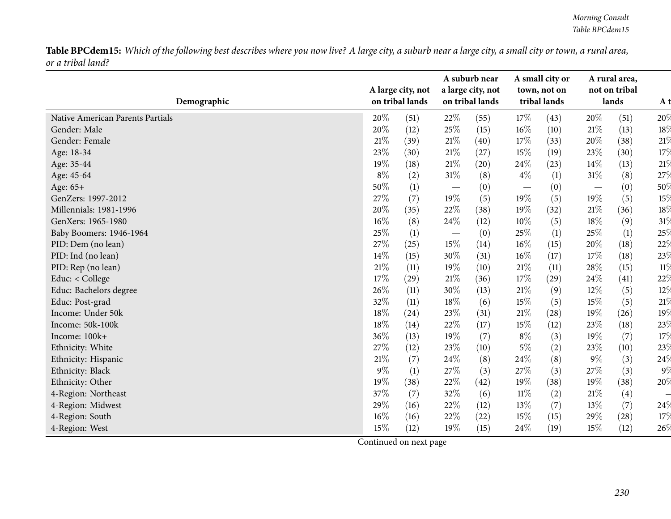Table BPCdem15: Which of the following best describes where you now live? A large city, a suburb near a large city, a small city or town, a rural area, *or <sup>a</sup> tribal land?*

| Demographic                      |        | A large city, not<br>on tribal lands |                                 | A suburb near<br>a large city, not<br>on tribal lands |        | A small city or<br>town, not on<br>tribal lands |        | A rural area,<br>not on tribal<br>lands | A t    |
|----------------------------------|--------|--------------------------------------|---------------------------------|-------------------------------------------------------|--------|-------------------------------------------------|--------|-----------------------------------------|--------|
| Native American Parents Partials | 20%    | (51)                                 | 22%                             | (55)                                                  | 17\%   | (43)                                            | 20%    | (51)                                    | 20%    |
| Gender: Male                     | $20\%$ | (12)                                 | 25%                             | (15)                                                  | 16%    | (10)                                            | 21%    | (13)                                    | 18%    |
| Gender: Female                   | 21%    | (39)                                 | 21%                             | (40)                                                  | 17%    | (33)                                            | 20%    | (38)                                    | 21%    |
| Age: 18-34                       | 23%    | (30)                                 | 21%                             | (27)                                                  | 15%    | (19)                                            | 23%    | (30)                                    | 17%    |
| Age: 35-44                       | 19%    | (18)                                 | 21\%                            | (20)                                                  | 24%    | (23)                                            | 14%    | (13)                                    | 21%    |
| Age: 45-64                       | $8\%$  | (2)                                  | $31\%$                          | (8)                                                   | $4\%$  | $\left(1\right)$                                | $31\%$ | (8)                                     | 27%    |
| Age: 65+                         | 50%    | (1)                                  | $\hspace{0.1mm}-\hspace{0.1mm}$ | (0)                                                   |        | (0)                                             |        | (0)                                     | 50%    |
| GenZers: 1997-2012               | 27%    | (7)                                  | 19%                             | (5)                                                   | 19%    | (5)                                             | 19%    | (5)                                     | 15%    |
| Millennials: 1981-1996           | 20%    | (35)                                 | 22%                             | (38)                                                  | 19%    | (32)                                            | 21%    | (36)                                    | $18\%$ |
| GenXers: 1965-1980               | 16%    | (8)                                  | 24%                             | (12)                                                  | 10%    | (5)                                             | 18%    | (9)                                     | 31%    |
| Baby Boomers: 1946-1964          | 25%    | (1)                                  | $\overline{\phantom{m}}$        | (0)                                                   | 25%    | (1)                                             | 25%    | (1)                                     | 25%    |
| PID: Dem (no lean)               | 27%    | (25)                                 | 15%                             | (14)                                                  | 16%    | (15)                                            | 20%    | (18)                                    | 22%    |
| PID: Ind (no lean)               | 14%    | (15)                                 | 30%                             | (31)                                                  | 16%    | (17)                                            | 17%    | (18)                                    | 23%    |
| PID: Rep (no lean)               | 21%    | (11)                                 | 19%                             | (10)                                                  | 21\%   | (11)                                            | 28%    | (15)                                    | $11\%$ |
| Educ: < College                  | 17%    | (29)                                 | 21%                             | (36)                                                  | 17%    | (29)                                            | 24%    | (41)                                    | 22%    |
| Educ: Bachelors degree           | 26%    | (11)                                 | 30%                             | (13)                                                  | 21%    | (9)                                             | 12%    | (5)                                     | 12%    |
| Educ: Post-grad                  | 32%    | (11)                                 | 18%                             | (6)                                                   | 15%    | (5)                                             | 15%    | (5)                                     | 21%    |
| Income: Under 50k                | 18%    | (24)                                 | 23%                             | (31)                                                  | $21\%$ | (28)                                            | 19%    | (26)                                    | 19%    |
| Income: 50k-100k                 | 18%    | (14)                                 | 22%                             | (17)                                                  | 15%    | (12)                                            | 23%    | (18)                                    | 23%    |
| Income: 100k+                    | 36%    | (13)                                 | 19%                             | (7)                                                   | $8\%$  | (3)                                             | 19%    | (7)                                     | 17%    |
| Ethnicity: White                 | 27%    | (12)                                 | 23%                             | (10)                                                  | $5\%$  | (2)                                             | 23%    | (10)                                    | 23%    |
| Ethnicity: Hispanic              | 21%    | (7)                                  | 24\%                            | (8)                                                   | 24%    | (8)                                             | 9%     | (3)                                     | 24%    |
| Ethnicity: Black                 | 9%     | (1)                                  | 27%                             | (3)                                                   | 27%    | (3)                                             | 27%    | (3)                                     | $9\%$  |
| Ethnicity: Other                 | 19%    | (38)                                 | 22%                             | (42)                                                  | 19%    | (38)                                            | $19\%$ | (38)                                    | 20%    |
| 4-Region: Northeast              | 37%    | (7)                                  | 32%                             | (6)                                                   | $11\%$ | (2)                                             | 21%    | (4)                                     |        |
| 4-Region: Midwest                | 29%    | (16)                                 | 22%                             | (12)                                                  | 13%    | (7)                                             | 13%    | (7)                                     | 24%    |
| 4-Region: South                  | 16%    | (16)                                 | 22%                             | (22)                                                  | 15%    | (15)                                            | 29%    | (28)                                    | 17%    |
| 4-Region: West                   | 15%    | (12)                                 | 19%                             | (15)                                                  | 24%    | (19)                                            | 15%    | (12)                                    | 26%    |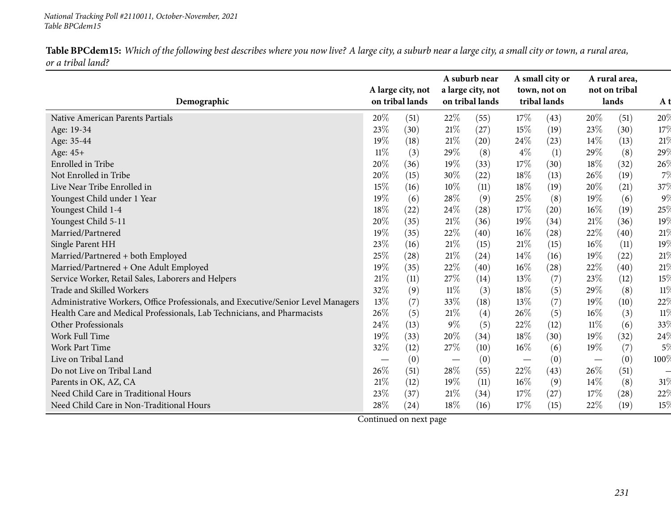Table BPCdem15: Which of the following best describes where you now live? A large city, a suburb near a large city, a small city or town, a rural area, *or <sup>a</sup> tribal land?*

| Demographic                                                                       |        | A large city, not<br>on tribal lands |       | A suburb near<br>a large city, not<br>on tribal lands |                                 | A small city or<br>town, not on<br>tribal lands |                          | A rural area,<br>not on tribal<br>lands | A t     |
|-----------------------------------------------------------------------------------|--------|--------------------------------------|-------|-------------------------------------------------------|---------------------------------|-------------------------------------------------|--------------------------|-----------------------------------------|---------|
| Native American Parents Partials                                                  | 20%    | (51)                                 | 22%   | (55)                                                  | 17%                             | (43)                                            | 20%                      | (51)                                    | 20%     |
| Age: 19-34                                                                        | 23%    | (30)                                 | 21%   | (27)                                                  | 15%                             | (19)                                            | 23%                      | (30)                                    | 17%     |
| Age: 35-44                                                                        | 19%    | (18)                                 | 21%   | (20)                                                  | 24\%                            | (23)                                            | 14%                      | (13)                                    | 21%     |
| Age: 45+                                                                          | $11\%$ | (3)                                  | 29%   | (8)                                                   | $4\%$                           | (1)                                             | 29%                      | (8)                                     | 29%     |
| <b>Enrolled</b> in Tribe                                                          | 20%    | (36)                                 | 19%   | (33)                                                  | $17\%$                          | (30)                                            | $18\%$                   | (32)                                    | 26%     |
| Not Enrolled in Tribe                                                             | 20%    | (15)                                 | 30%   | (22)                                                  | 18%                             | (13)                                            | 26%                      | (19)                                    | 7%      |
| Live Near Tribe Enrolled in                                                       | 15%    | (16)                                 | 10%   | (11)                                                  | 18%                             | (19)                                            | 20%                      | (21)                                    | 37%     |
| Youngest Child under 1 Year                                                       | 19%    | (6)                                  | 28%   | (9)                                                   | 25\%                            | (8)                                             | 19%                      | (6)                                     | $9\%$   |
| Youngest Child 1-4                                                                | 18%    | (22)                                 | 24\%  | (28)                                                  | $17\%$                          | (20)                                            | $16\%$                   | (19)                                    | 25%     |
| Youngest Child 5-11                                                               | 20%    | (35)                                 | 21%   | (36)                                                  | 19%                             | (34)                                            | 21%                      | (36)                                    | 19%     |
| Married/Partnered                                                                 | 19%    | (35)                                 | 22%   | (40)                                                  | $16\%$                          | (28)                                            | 22%                      | (40)                                    | 21%     |
| Single Parent HH                                                                  | 23%    | (16)                                 | 21%   | (15)                                                  | 21%                             | (15)                                            | $16\%$                   | (11)                                    | 19%     |
| Married/Partnered + both Employed                                                 | 25\%   | (28)                                 | 21%   | (24)                                                  | 14\%                            | (16)                                            | 19%                      | (22)                                    | 21%     |
| Married/Partnered + One Adult Employed                                            | 19%    | (35)                                 | 22%   | (40)                                                  | $16\%$                          | (28)                                            | 22%                      | (40)                                    | 21%     |
| Service Worker, Retail Sales, Laborers and Helpers                                | $21\%$ | (11)                                 | 27%   | (14)                                                  | 13\%                            | (7)                                             | 23%                      | (12)                                    | 15%     |
| Trade and Skilled Workers                                                         | 32%    | (9)                                  | 11%   | (3)                                                   | 18\%                            | (5)                                             | 29%                      | (8)                                     | $11\%$  |
| Administrative Workers, Office Professionals, and Executive/Senior Level Managers | 13%    | (7)                                  | 33%   | (18)                                                  | 13%                             | (7)                                             | 19%                      | (10)                                    | 22%     |
| Health Care and Medical Professionals, Lab Technicians, and Pharmacists           | 26%    | (5)                                  | 21\%  | (4)                                                   | 26\%                            | (5)                                             | 16%                      | (3)                                     | 11%     |
| Other Professionals                                                               | 24%    | (13)                                 | $9\%$ | (5)                                                   | 22%                             | (12)                                            | $11\%$                   | (6)                                     | 33%     |
| Work Full Time                                                                    | 19%    | (33)                                 | 20%   | (34)                                                  | 18%                             | (30)                                            | 19%                      | (32)                                    | 24%     |
| Work Part Time                                                                    | 32%    | (12)                                 | 27\%  | (10)                                                  | 16%                             | (6)                                             | 19%                      | (7)                                     | $5\%$   |
| Live on Tribal Land                                                               |        | (0)                                  |       | (0)                                                   | $\hspace{0.1mm}-\hspace{0.1mm}$ | (0)                                             | $\overline{\phantom{m}}$ | (0)                                     | $100\%$ |
| Do not Live on Tribal Land                                                        | 26%    | (51)                                 | 28%   | (55)                                                  | 22\%                            | (43)                                            | $26\%$                   | (51)                                    |         |
| Parents in OK, AZ, CA                                                             | 21\%   | (12)                                 | 19%   | (11)                                                  | $16\%$                          | (9)                                             | 14%                      | (8)                                     | $31\%$  |
| Need Child Care in Traditional Hours                                              | 23%    | (37)                                 | 21%   | (34)                                                  | 17%                             | (27)                                            | 17%                      | (28)                                    | 22%     |
| Need Child Care in Non-Traditional Hours                                          | 28\%   | (24)                                 | 18%   | (16)                                                  | 17%                             | (15)                                            | 22%                      | (19)                                    | 15%     |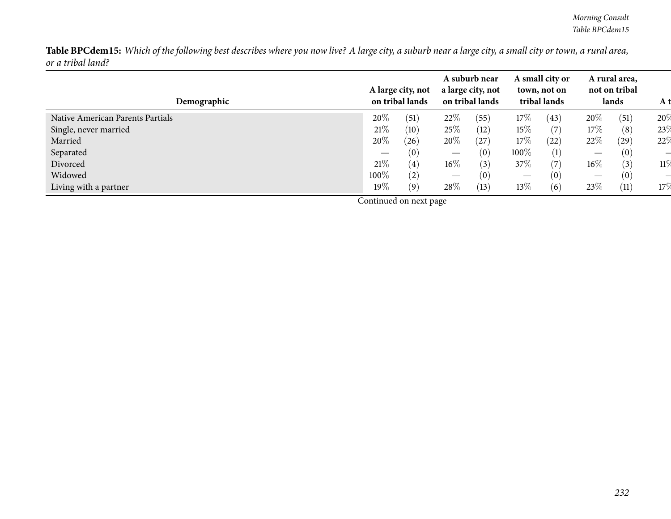Table BPCdem15: Which of the following best describes where you now live? A large city, a suburb near a large city, a small city or town, a rural area, *or <sup>a</sup> tribal land?*

| Demographic                      |                                 | A large city, not<br>on tribal lands |        | A suburb near<br>a large city, not<br>on tribal lands |         | A small city or<br>town, not on<br>tribal lands |                          | A rural area,<br>not on tribal<br>lands | A t |
|----------------------------------|---------------------------------|--------------------------------------|--------|-------------------------------------------------------|---------|-------------------------------------------------|--------------------------|-----------------------------------------|-----|
| Native American Parents Partials | 20%                             | (51)                                 | 22%    | (55)                                                  | 17%     | (43)                                            | 20%                      | (51)                                    | 20% |
| Single, never married            | 21%                             | (10)                                 | 25\%   | (12)                                                  | 15%     | (7)                                             | 17%                      | (8)                                     | 23% |
| Married                          | 20%                             | (26)                                 | 20%    | (27)                                                  | 17\%    | (22)                                            | 22%                      | (29)                                    | 22% |
| Separated                        | $\hspace{0.1mm}-\hspace{0.1mm}$ | (0)                                  |        | (0)                                                   | $100\%$ | (1)                                             | $\overline{\phantom{0}}$ | (0)                                     |     |
| Divorced                         | 21%                             | $\left( 4\right)$                    | $16\%$ | (3)                                                   | 37%     | (7)                                             | 16%                      | (3)                                     | 11% |
| Widowed                          | 100%                            | (2)                                  |        | (0)                                                   |         | (0)                                             |                          | (0)                                     |     |
| Living with a partner            | $19\%$                          | (9)                                  | 28\%   | (13)                                                  | 13%     | (6)                                             | 23\%                     | (11)                                    | 17% |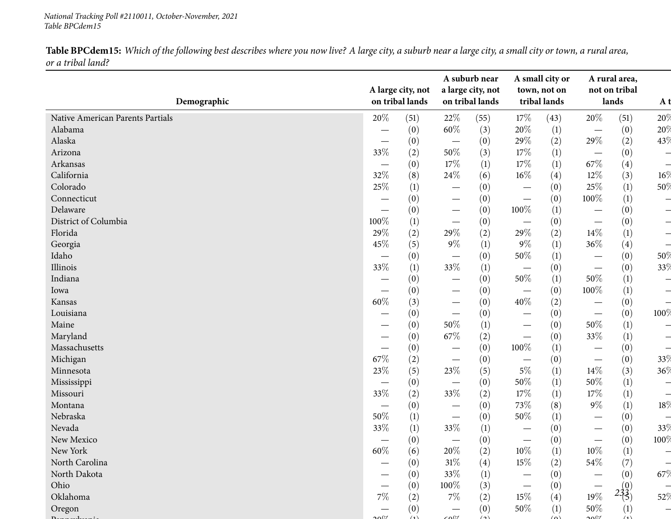#### *National Tracking Poll #2110011, October-November, <sup>2021</sup> Table BPCdem15*

Table BPCdem15: Which of the following best describes where you now live? A large city, a suburb near a large city, a small city or town, a rural area, *or <sup>a</sup> tribal land?*

| Demographic                      |                                 | A large city, not<br>on tribal lands |                                 | A suburb near<br>a large city, not<br>on tribal lands |                                   | A small city or<br>town, not on<br>tribal lands |                                 | A rural area,<br>not on tribal<br>lands | A t  |
|----------------------------------|---------------------------------|--------------------------------------|---------------------------------|-------------------------------------------------------|-----------------------------------|-------------------------------------------------|---------------------------------|-----------------------------------------|------|
|                                  |                                 |                                      |                                 |                                                       |                                   |                                                 |                                 |                                         |      |
| Native American Parents Partials | $20\%$                          | (51)                                 | 22%                             | (55)                                                  | 17\%                              | (43)                                            | 20%                             | (51)                                    | 20%  |
| Alabama                          |                                 | (0)                                  | $60\%$                          | (3)                                                   | 20%                               | $\left(1\right)$                                | $\overline{\phantom{m}}$        | (0)                                     | 20%  |
| Alaska                           |                                 | (0)                                  | $\overline{\phantom{m}}$        | (0)                                                   | 29%                               | (2)                                             | 29%                             | (2)                                     | 43%  |
| Arizona                          | 33%                             | (2)                                  | 50%                             | (3)                                                   | 17%                               | (1)                                             | $\hspace{0.1mm}-\hspace{0.1mm}$ | (0)                                     |      |
| Arkansas                         |                                 | (0)                                  | 17%                             | (1)                                                   | $17\%$                            | (1)                                             | 67%                             | (4)                                     |      |
| California                       | 32%                             | (8)                                  | 24%                             | (6)                                                   | $16\%$                            | (4)                                             | $12\%$                          | (3)                                     | 16%  |
| Colorado                         | 25%                             | (1)                                  | —                               | (0)                                                   | $\hspace{0.1mm}-\hspace{0.1mm}$   | (0)                                             | $25\%$                          | (1)                                     | 50%  |
| Connecticut                      |                                 | (0)                                  |                                 | (0)                                                   |                                   | (0)                                             | $100\%$                         | (1)                                     |      |
| Delaware                         |                                 | (0)                                  | $\hspace{0.1mm}-\hspace{0.1mm}$ | (0)                                                   | $100\%$                           | $\left(1\right)$                                |                                 | (0)                                     |      |
| District of Columbia             | 100%                            | (1)                                  | $\hspace{0.1mm}-\hspace{0.1mm}$ | (0)                                                   | $\overbrace{\phantom{123221111}}$ | (0)                                             |                                 | (0)                                     |      |
| Florida                          | 29%                             | (2)                                  | 29%                             | (2)                                                   | $29\%$                            | (2)                                             | 14%                             | (1)                                     |      |
| Georgia                          | 45%                             | (5)                                  | $9\%$                           | (1)                                                   | $9\%$                             | (1)                                             | $36\%$                          | (4)                                     |      |
| Idaho                            |                                 | (0)                                  | $\overline{\phantom{m}}$        | (0)                                                   | $50\%$                            | (1)                                             |                                 | (0)                                     | 50%  |
| Illinois                         | 33%                             | (1)                                  | 33%                             | (1)                                                   | $\hspace{0.1mm}-\hspace{0.1mm}$   | (0)                                             |                                 | (0)                                     | 33%  |
| Indiana                          |                                 | (0)                                  |                                 | (0)                                                   | $50\%$                            | (1)                                             | 50%                             | (1)                                     |      |
| Iowa                             |                                 | (0)                                  | $\hspace{0.1mm}-\hspace{0.1mm}$ | (0)                                                   | $\hspace{0.1mm}-\hspace{0.1mm}$   | (0)                                             | 100%                            | (1)                                     |      |
| Kansas                           | $60\%$                          | (3)                                  |                                 | (0)                                                   | 40%                               | (2)                                             |                                 | (0)                                     |      |
| Louisiana                        |                                 | (0)                                  |                                 | (0)                                                   | $\hspace{0.05cm}$                 | (0)                                             | $\overline{\phantom{m}}$        | (0)                                     | 100% |
| Maine                            |                                 | (0)                                  | 50%                             | (1)                                                   | $\hspace{0.1mm}-\hspace{0.1mm}$   | (0)                                             | 50%                             | (1)                                     |      |
| Maryland                         |                                 | (0)                                  | 67\%                            | (2)                                                   | $\hspace{0.05cm}$                 | (0)                                             | 33%                             | (1)                                     |      |
| Massachusetts                    |                                 | (0)                                  | $\hspace{0.1mm}-\hspace{0.1mm}$ | (0)                                                   | 100%                              | $\left(1\right)$                                |                                 | (0)                                     |      |
| Michigan                         | 67%                             | (2)                                  | $\overline{\phantom{m}}$        | (0)                                                   | $\overline{\phantom{m}}$          | (0)                                             |                                 | (0)                                     | 33%  |
| Minnesota                        | 23%                             | (5)                                  | 23\%                            | (5)                                                   | $5\%$                             | (1)                                             | 14%                             | (3)                                     | 36%  |
| Mississippi                      |                                 | (0)                                  | $\hspace{0.1mm}-\hspace{0.1mm}$ | (0)                                                   | 50%                               | (1)                                             | 50%                             | (1)                                     |      |
| Missouri                         | 33%                             | (2)                                  | 33%                             | (2)                                                   | 17%                               | (1)                                             | 17%                             | (1)                                     |      |
| Montana                          |                                 | (0)                                  | $\hspace{0.1mm}-\hspace{0.1mm}$ | (0)                                                   | 73%                               | (8)                                             | $9\%$                           | (1)                                     | 18%  |
| Nebraska                         | $50\%$                          | (1)                                  | $\overline{\phantom{m}}$        | (0)                                                   | 50%                               | (1)                                             |                                 | (0)                                     |      |
| Nevada                           | 33%                             | (1)                                  | 33%                             | $\left(1\right)$                                      | $\hspace{0.1mm}-\hspace{0.1mm}$   | (0)                                             |                                 | (0)                                     | 33%  |
| New Mexico                       | $\hspace{0.1mm}-\hspace{0.1mm}$ | (0)                                  | $\hspace{0.1mm}-\hspace{0.1mm}$ | (0)                                                   | $\hspace{0.1mm}-\hspace{0.1mm}$   | (0)                                             |                                 | (0)                                     | 100% |
| New York                         | $60\%$                          | (6)                                  | $20\%$                          | (2)                                                   | $10\%$                            | (1)                                             | $10\%$                          | (1)                                     |      |
| North Carolina                   |                                 | (0)                                  | $31\%$                          | (4)                                                   | 15%                               | (2)                                             | 54\%                            | (7)                                     |      |
| North Dakota                     |                                 | (0)                                  | 33%                             |                                                       |                                   | (0)                                             |                                 |                                         | 67%  |
| Ohio                             |                                 | (0)                                  | 100%                            | (1)                                                   |                                   |                                                 |                                 | (0)                                     |      |
| Oklahoma                         | $7\%$                           |                                      | $7\%$                           | (3)                                                   | $15\%$                            | (0)                                             | $19\%$                          | $2\frac{1}{3}$                          | 52%  |
|                                  |                                 | (2)                                  |                                 | (2)                                                   |                                   | (4)                                             |                                 |                                         |      |
| Oregon                           |                                 | (0)<br>(1)                           | $\sim 0$                        | (0)<br>$\big(\mathbf{a}\big)$                         | 50%                               | (1)<br>$\bigtriangleup$                         | 50%<br>∠0∆د                     | (1)<br>(1)                              |      |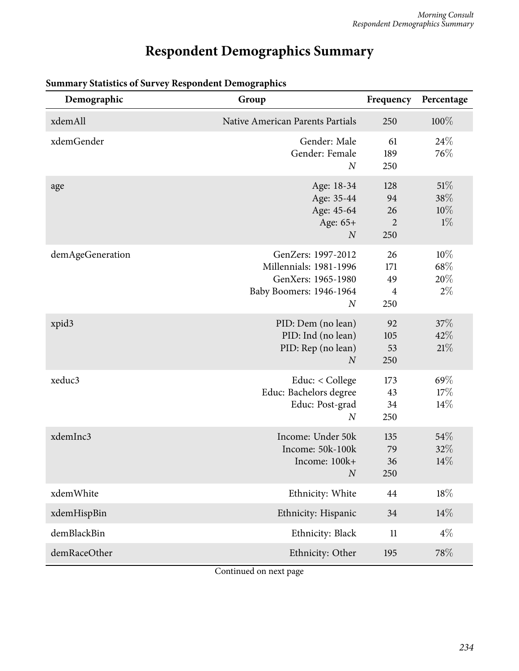## **Respondent Demographics Summary**

| Demographic      | Group                                                                                                             | Frequency                                | Percentage                  |
|------------------|-------------------------------------------------------------------------------------------------------------------|------------------------------------------|-----------------------------|
| xdemAll          | Native American Parents Partials                                                                                  | 250                                      | $100\%$                     |
| xdemGender       | Gender: Male<br>Gender: Female<br>$\boldsymbol{N}$                                                                | 61<br>189<br>250                         | 24\%<br>76\%                |
| age              | Age: 18-34<br>Age: 35-44<br>Age: 45-64<br>Age: 65+<br>$\boldsymbol{N}$                                            | 128<br>94<br>26<br>$\overline{2}$<br>250 | 51%<br>38%<br>10%<br>$1\%$  |
| demAgeGeneration | GenZers: 1997-2012<br>Millennials: 1981-1996<br>GenXers: 1965-1980<br>Baby Boomers: 1946-1964<br>$\boldsymbol{N}$ | 26<br>171<br>49<br>4<br>250              | 10%<br>68\%<br>20%<br>$2\%$ |
| xpid3            | PID: Dem (no lean)<br>PID: Ind (no lean)<br>PID: Rep (no lean)<br>$\overline{N}$                                  | 92<br>105<br>53<br>250                   | 37%<br>42%<br>21%           |
| xeduc3           | Educ: < College<br>Educ: Bachelors degree<br>Educ: Post-grad<br>$\boldsymbol{N}$                                  | 173<br>43<br>34<br>250                   | 69%<br>17%<br>14%           |
| xdemInc3         | Income: Under 50k<br>Income: 50k-100k<br>Income: 100k+<br>$\overline{N}$                                          | 135<br>79<br>36<br>250                   | 54%<br>32%<br>$14\%$        |
| xdemWhite        | Ethnicity: White                                                                                                  | 44                                       | $18\%$                      |
| xdemHispBin      | Ethnicity: Hispanic                                                                                               | 34                                       | $14\%$                      |
| demBlackBin      | Ethnicity: Black                                                                                                  | 11                                       | $4\%$                       |
| demRaceOther     | Ethnicity: Other                                                                                                  | 195                                      | $78\%$                      |

### **Summary Statistics of Survey Respondent Demographics**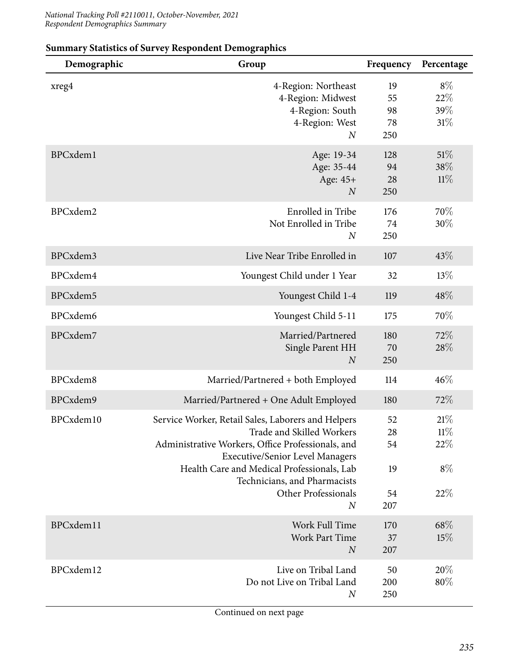| Demographic | Group                                                                                                                                                                                                                                                                                                          | Frequency                         | Percentage                            |
|-------------|----------------------------------------------------------------------------------------------------------------------------------------------------------------------------------------------------------------------------------------------------------------------------------------------------------------|-----------------------------------|---------------------------------------|
| xreg4       | 4-Region: Northeast<br>4-Region: Midwest<br>4-Region: South<br>4-Region: West<br>$\boldsymbol{N}$                                                                                                                                                                                                              | 19<br>55<br>98<br>78<br>250       | $8\%$<br>22%<br>39%<br>31%            |
| BPCxdem1    | Age: 19-34<br>Age: 35-44<br>Age: 45+<br>$\boldsymbol{N}$                                                                                                                                                                                                                                                       | 128<br>94<br>28<br>250            | 51%<br>38%<br>11%                     |
| BPCxdem2    | Enrolled in Tribe<br>Not Enrolled in Tribe<br>$\boldsymbol{N}$                                                                                                                                                                                                                                                 | 176<br>74<br>250                  | 70\%<br>30%                           |
| BPCxdem3    | Live Near Tribe Enrolled in                                                                                                                                                                                                                                                                                    | 107                               | 43%                                   |
| BPCxdem4    | Youngest Child under 1 Year                                                                                                                                                                                                                                                                                    | 32                                | 13%                                   |
| BPCxdem5    | Youngest Child 1-4                                                                                                                                                                                                                                                                                             | 119                               | 48%                                   |
| BPCxdem6    | Youngest Child 5-11                                                                                                                                                                                                                                                                                            | 175                               | 70%                                   |
| BPCxdem7    | Married/Partnered<br>Single Parent HH<br>$\overline{N}$                                                                                                                                                                                                                                                        | 180<br>70<br>250                  | 72%<br>28%                            |
| BPCxdem8    | Married/Partnered + both Employed                                                                                                                                                                                                                                                                              | 114                               | 46%                                   |
| BPCxdem9    | Married/Partnered + One Adult Employed                                                                                                                                                                                                                                                                         | 180                               | 72%                                   |
| BPCxdem10   | Service Worker, Retail Sales, Laborers and Helpers<br>Trade and Skilled Workers<br>Administrative Workers, Office Professionals, and<br><b>Executive/Senior Level Managers</b><br>Health Care and Medical Professionals, Lab<br>Technicians, and Pharmacists<br><b>Other Professionals</b><br>$\boldsymbol{N}$ | 52<br>28<br>54<br>19<br>54<br>207 | 21%<br>$11\%$<br>22\%<br>$8\%$<br>22% |
|             |                                                                                                                                                                                                                                                                                                                |                                   |                                       |
| BPCxdem11   | Work Full Time<br><b>Work Part Time</b><br>$\boldsymbol{N}$                                                                                                                                                                                                                                                    | 170<br>37<br>207                  | 68%<br>15%                            |
| BPCxdem12   | Live on Tribal Land<br>Do not Live on Tribal Land<br>$\boldsymbol{N}$                                                                                                                                                                                                                                          | 50<br>200<br>250                  | 20%<br>$80\%$                         |

#### **Summary Statistics of Survey Respondent Demographics**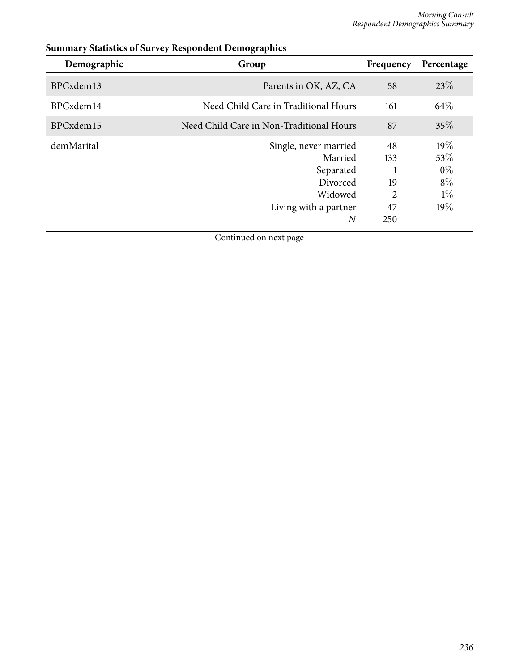| Demographic | Group                                                                                                           | Frequency                         | Percentage                                    |
|-------------|-----------------------------------------------------------------------------------------------------------------|-----------------------------------|-----------------------------------------------|
| BPCxdem13   | Parents in OK, AZ, CA                                                                                           | 58                                | 23\%                                          |
| BPCxdem14   | Need Child Care in Traditional Hours                                                                            | 161                               | 64\%                                          |
| BPCxdem15   | Need Child Care in Non-Traditional Hours                                                                        | 87                                | 35%                                           |
| demMarital  | Single, never married<br>Married<br>Separated<br>Divorced<br>Widowed<br>Living with a partner<br>$\overline{N}$ | 48<br>133<br>19<br>2<br>47<br>250 | 19%<br>53\%<br>$0\%$<br>$8\%$<br>$1\%$<br>19% |

### **Summary Statistics of Survey Respondent Demographics**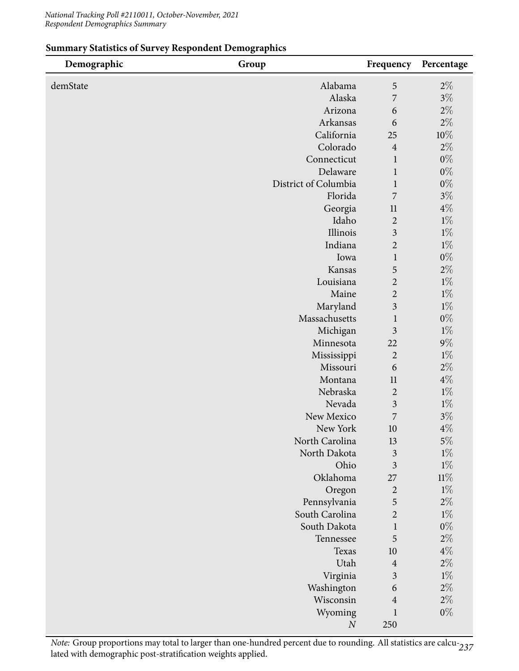| Demographic | Group                | Frequency               | Percentage     |
|-------------|----------------------|-------------------------|----------------|
| demState    | Alabama              | 5                       | $2\%$          |
|             | Alaska               | 7                       | $3\%$          |
|             | Arizona              | 6                       | $2\%$          |
|             | Arkansas             | 6                       | $2\%$          |
|             | California           | 25                      | $10\%$         |
|             | Colorado             | $\overline{4}$          | $2\%$          |
|             | Connecticut          | $\mathbf{1}$            | $0\%$          |
|             | Delaware             | $\mathbf{1}$            | $0\%$          |
|             | District of Columbia | $\mathbf{1}$            | $0\%$          |
|             | Florida              | 7                       | $3\%$          |
|             | Georgia              | 11                      | $4\%$          |
|             | Idaho                | $\overline{2}$          | $1\%$          |
|             | Illinois             | $\overline{\mathbf{3}}$ | $1\%$          |
|             | Indiana              | $\overline{2}$          | $1\%$          |
|             | Iowa                 | $\mathbf{1}$            | $0\%$          |
|             | Kansas               | 5                       | $2\%$          |
|             | Louisiana            | $\overline{2}$          | $1\%$          |
|             | Maine                | $\overline{2}$          | $1\%$          |
|             | Maryland             | $\overline{3}$          | $1\%$          |
|             | Massachusetts        | $\mathbf{1}$            | $0\%$          |
|             | Michigan             | $\overline{\mathbf{3}}$ | $1\%$          |
|             | Minnesota            | 22                      | $9\%$          |
|             | Mississippi          | $\overline{2}$          | $1\%$          |
|             | Missouri             | 6                       | $2\%$          |
|             | Montana<br>Nebraska  | 11<br>$\overline{2}$    | $4\%$<br>$1\%$ |
|             | Nevada               | $\overline{\mathbf{3}}$ | $1\%$          |
|             | New Mexico           | 7                       | $3\%$          |
|             | New York             | 10                      | $4\%$          |
|             | North Carolina       | 13                      | $5\%$          |
|             | North Dakota         | $\overline{\mathbf{3}}$ | $1\%$          |
|             | Ohio                 | $\overline{3}$          | $1\%$          |
|             | Oklahoma             | 27                      | $11\%$         |
|             | Oregon               | $\overline{2}$          | $1\%$          |
|             | Pennsylvania         | 5                       | $2\%$          |
|             | South Carolina       | $\overline{2}$          | $1\%$          |
|             | South Dakota         | $\mathbf{1}$            | $0\%$          |
|             | Tennessee            | 5                       | $2\%$          |
|             | Texas                | 10                      | $4\%$          |
|             | Utah                 | $\overline{4}$          | $2\%$          |
|             | Virginia             | $\overline{\mathbf{3}}$ | $1\%$          |
|             | Washington           | 6                       | $2\%$          |
|             | Wisconsin            | $\overline{4}$          | $2\%$          |
|             | Wyoming              | $\mathbf{1}$            | $0\%$          |
|             | $\cal N$             | 250                     |                |

#### **Summary Statistics of Survey Respondent Demographics**